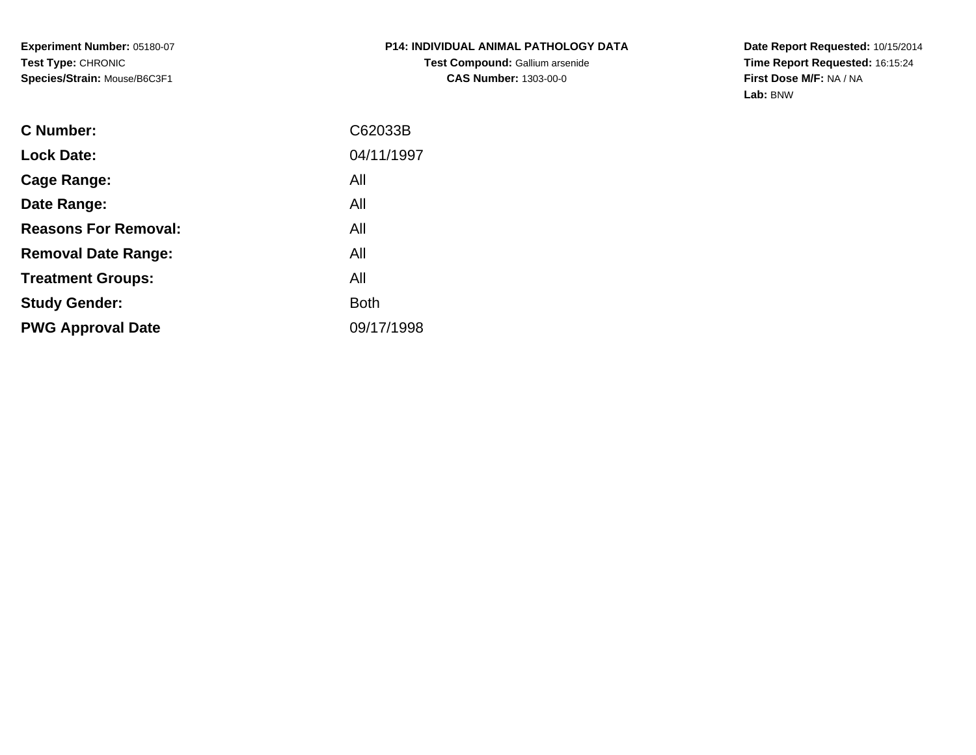**Experiment Number:** 05180-07**Test Type:** CHRONIC**Species/Strain:** Mouse/B6C3F1

**Date Report Requested:** 10/15/2014 **Time Report Requested:** 16:15:24**First Dose M/F:** NA / NA**Lab:** BNW

| C Number:                   | C62033B     |
|-----------------------------|-------------|
| <b>Lock Date:</b>           | 04/11/1997  |
| Cage Range:                 | All         |
| Date Range:                 | All         |
| <b>Reasons For Removal:</b> | All         |
| <b>Removal Date Range:</b>  | All         |
| <b>Treatment Groups:</b>    | All         |
| <b>Study Gender:</b>        | <b>Both</b> |
| <b>PWG Approval Date</b>    | 09/17/1998  |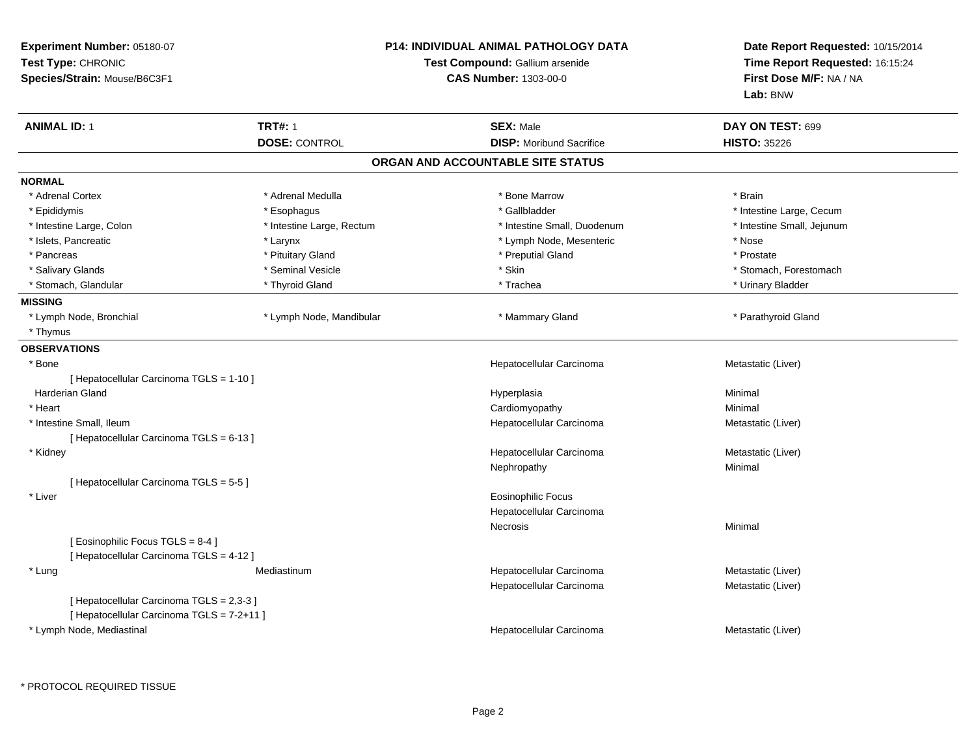| Experiment Number: 05180-07<br>Test Type: CHRONIC<br>Species/Strain: Mouse/B6C3F1 |                           | <b>P14: INDIVIDUAL ANIMAL PATHOLOGY DATA</b><br><b>Test Compound: Gallium arsenide</b><br><b>CAS Number: 1303-00-0</b> | Date Report Requested: 10/15/2014<br>Time Report Requested: 16:15:24<br>First Dose M/F: NA / NA<br>Lab: BNW |
|-----------------------------------------------------------------------------------|---------------------------|------------------------------------------------------------------------------------------------------------------------|-------------------------------------------------------------------------------------------------------------|
| <b>ANIMAL ID: 1</b>                                                               | <b>TRT#: 1</b>            | <b>SEX: Male</b>                                                                                                       | DAY ON TEST: 699                                                                                            |
|                                                                                   | <b>DOSE: CONTROL</b>      | <b>DISP:</b> Moribund Sacrifice                                                                                        | <b>HISTO: 35226</b>                                                                                         |
|                                                                                   |                           | ORGAN AND ACCOUNTABLE SITE STATUS                                                                                      |                                                                                                             |
| <b>NORMAL</b>                                                                     |                           |                                                                                                                        |                                                                                                             |
| * Adrenal Cortex                                                                  | * Adrenal Medulla         | * Bone Marrow                                                                                                          | * Brain                                                                                                     |
| * Epididymis                                                                      | * Esophagus               | * Gallbladder                                                                                                          | * Intestine Large, Cecum                                                                                    |
| * Intestine Large, Colon                                                          | * Intestine Large, Rectum | * Intestine Small, Duodenum                                                                                            | * Intestine Small, Jejunum                                                                                  |
| * Islets, Pancreatic                                                              | * Larynx                  | * Lymph Node, Mesenteric                                                                                               | * Nose                                                                                                      |
| * Pancreas                                                                        | * Pituitary Gland         | * Preputial Gland                                                                                                      | * Prostate                                                                                                  |
| * Salivary Glands                                                                 | * Seminal Vesicle         | * Skin                                                                                                                 | * Stomach, Forestomach                                                                                      |
| * Stomach, Glandular                                                              | * Thyroid Gland           | * Trachea                                                                                                              | * Urinary Bladder                                                                                           |
| <b>MISSING</b>                                                                    |                           |                                                                                                                        |                                                                                                             |
| * Lymph Node, Bronchial                                                           | * Lymph Node, Mandibular  | * Mammary Gland                                                                                                        | * Parathyroid Gland                                                                                         |
| * Thymus                                                                          |                           |                                                                                                                        |                                                                                                             |
| <b>OBSERVATIONS</b>                                                               |                           |                                                                                                                        |                                                                                                             |
| $*$ Bone                                                                          |                           | Hepatocellular Carcinoma                                                                                               | Metastatic (Liver)                                                                                          |
| [ Hepatocellular Carcinoma TGLS = 1-10 ]                                          |                           |                                                                                                                        |                                                                                                             |
| <b>Harderian Gland</b>                                                            |                           | Hyperplasia                                                                                                            | Minimal                                                                                                     |
| * Heart                                                                           |                           | Cardiomyopathy                                                                                                         | Minimal                                                                                                     |
| * Intestine Small, Ileum                                                          |                           | Hepatocellular Carcinoma                                                                                               | Metastatic (Liver)                                                                                          |
| [ Hepatocellular Carcinoma TGLS = 6-13 ]                                          |                           |                                                                                                                        |                                                                                                             |
| * Kidney                                                                          |                           | Hepatocellular Carcinoma                                                                                               | Metastatic (Liver)                                                                                          |
|                                                                                   |                           | Nephropathy                                                                                                            | Minimal                                                                                                     |
| [ Hepatocellular Carcinoma TGLS = 5-5 ]                                           |                           |                                                                                                                        |                                                                                                             |
| * Liver                                                                           |                           | <b>Eosinophilic Focus</b>                                                                                              |                                                                                                             |
|                                                                                   |                           | Hepatocellular Carcinoma                                                                                               |                                                                                                             |
|                                                                                   |                           | Necrosis                                                                                                               | Minimal                                                                                                     |
| [ Eosinophilic Focus TGLS = 8-4 ]                                                 |                           |                                                                                                                        |                                                                                                             |
| [ Hepatocellular Carcinoma TGLS = 4-12 ]                                          |                           |                                                                                                                        |                                                                                                             |
| * Lung                                                                            | Mediastinum               | Hepatocellular Carcinoma                                                                                               | Metastatic (Liver)                                                                                          |
|                                                                                   |                           | Hepatocellular Carcinoma                                                                                               | Metastatic (Liver)                                                                                          |
| [ Hepatocellular Carcinoma TGLS = 2,3-3 ]                                         |                           |                                                                                                                        |                                                                                                             |
| [ Hepatocellular Carcinoma TGLS = 7-2+11 ]                                        |                           |                                                                                                                        |                                                                                                             |
| * Lymph Node, Mediastinal                                                         |                           | Hepatocellular Carcinoma                                                                                               | Metastatic (Liver)                                                                                          |
|                                                                                   |                           |                                                                                                                        |                                                                                                             |

\* PROTOCOL REQUIRED TISSUE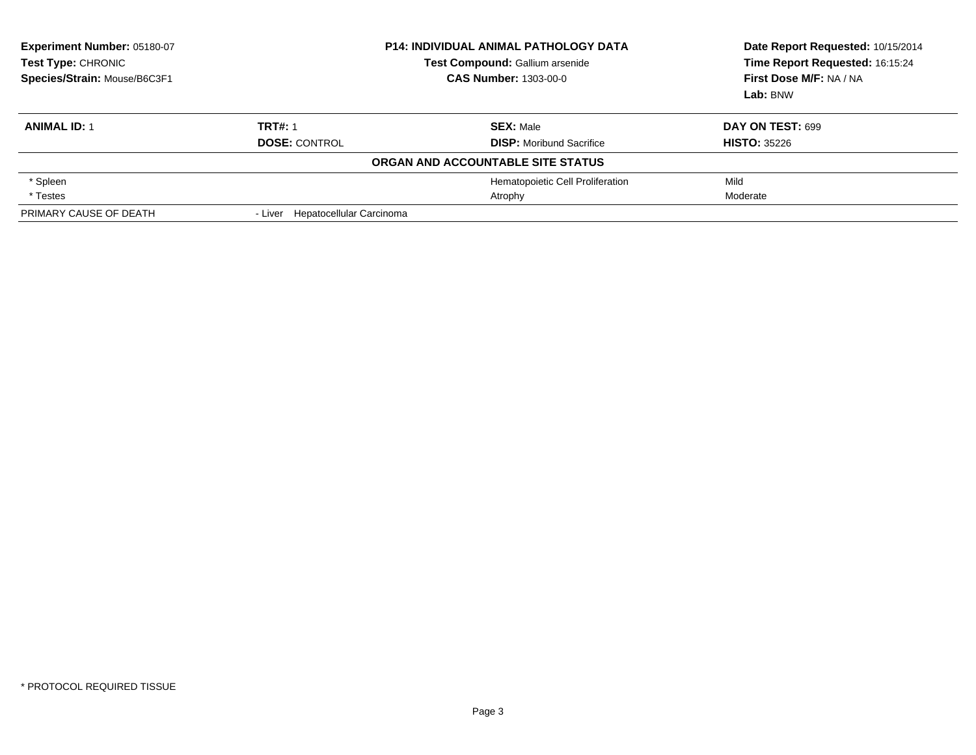| <b>Experiment Number: 05180-07</b><br><b>Test Type: CHRONIC</b><br>Species/Strain: Mouse/B6C3F1 | <b>P14: INDIVIDUAL ANIMAL PATHOLOGY DATA</b><br>Test Compound: Gallium arsenide<br><b>CAS Number: 1303-00-0</b> |                                                     | Date Report Requested: 10/15/2014<br>Time Report Requested: 16:15:24<br>First Dose M/F: NA / NA<br>Lab: BNW |
|-------------------------------------------------------------------------------------------------|-----------------------------------------------------------------------------------------------------------------|-----------------------------------------------------|-------------------------------------------------------------------------------------------------------------|
| <b>ANIMAL ID: 1</b>                                                                             | <b>TRT#: 1</b><br><b>DOSE: CONTROL</b>                                                                          | <b>SEX: Male</b><br><b>DISP:</b> Moribund Sacrifice | DAY ON TEST: 699<br><b>HISTO: 35226</b>                                                                     |
|                                                                                                 |                                                                                                                 | ORGAN AND ACCOUNTABLE SITE STATUS                   |                                                                                                             |
| * Spleen                                                                                        |                                                                                                                 | Hematopoietic Cell Proliferation                    | Mild                                                                                                        |
| * Testes                                                                                        |                                                                                                                 | Atrophy                                             | Moderate                                                                                                    |
| PRIMARY CAUSE OF DEATH                                                                          | - Liver Hepatocellular Carcinoma                                                                                |                                                     |                                                                                                             |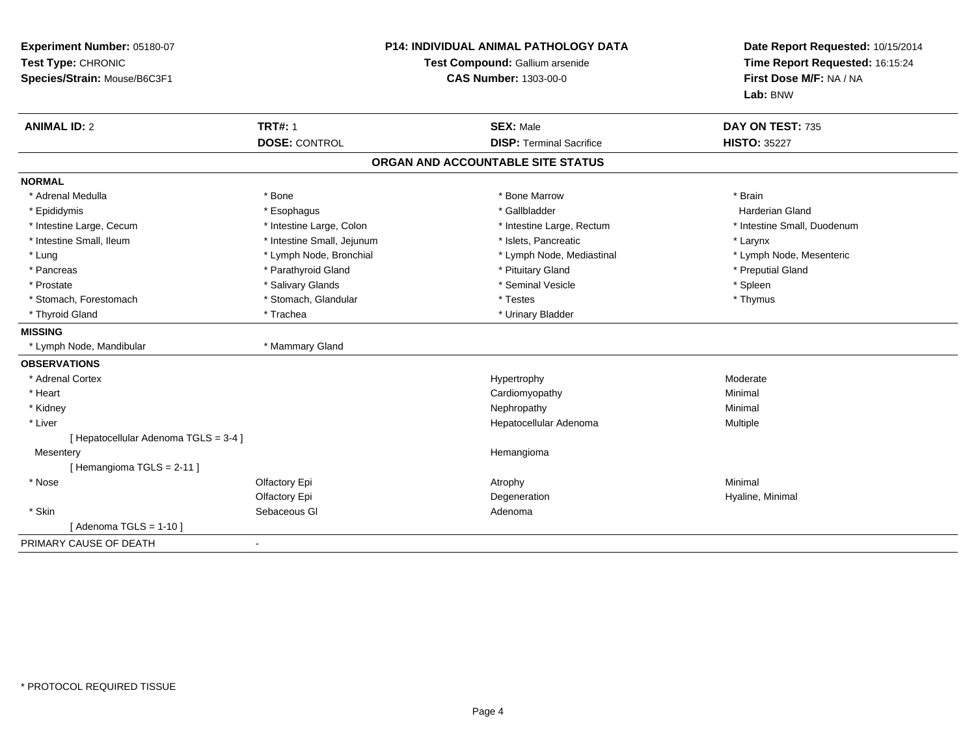| Experiment Number: 05180-07<br>Test Type: CHRONIC<br>Species/Strain: Mouse/B6C3F1 |                            | P14: INDIVIDUAL ANIMAL PATHOLOGY DATA<br>Test Compound: Gallium arsenide<br><b>CAS Number: 1303-00-0</b> | Date Report Requested: 10/15/2014<br>Time Report Requested: 16:15:24<br>First Dose M/F: NA / NA<br>Lab: BNW |
|-----------------------------------------------------------------------------------|----------------------------|----------------------------------------------------------------------------------------------------------|-------------------------------------------------------------------------------------------------------------|
| <b>ANIMAL ID: 2</b>                                                               | <b>TRT#: 1</b>             | <b>SEX: Male</b>                                                                                         | DAY ON TEST: 735                                                                                            |
|                                                                                   | <b>DOSE: CONTROL</b>       | <b>DISP: Terminal Sacrifice</b>                                                                          | <b>HISTO: 35227</b>                                                                                         |
|                                                                                   |                            | ORGAN AND ACCOUNTABLE SITE STATUS                                                                        |                                                                                                             |
| <b>NORMAL</b>                                                                     |                            |                                                                                                          |                                                                                                             |
| * Adrenal Medulla                                                                 | * Bone                     | * Bone Marrow                                                                                            | * Brain                                                                                                     |
| * Epididymis                                                                      | * Esophagus                | * Gallbladder                                                                                            | <b>Harderian Gland</b>                                                                                      |
| * Intestine Large, Cecum                                                          | * Intestine Large, Colon   | * Intestine Large, Rectum                                                                                | * Intestine Small, Duodenum                                                                                 |
| * Intestine Small, Ileum                                                          | * Intestine Small, Jejunum | * Islets. Pancreatic                                                                                     | * Larynx                                                                                                    |
| * Lung                                                                            | * Lymph Node, Bronchial    | * Lymph Node, Mediastinal                                                                                | * Lymph Node, Mesenteric                                                                                    |
| * Pancreas                                                                        | * Parathyroid Gland        | * Pituitary Gland                                                                                        | * Preputial Gland                                                                                           |
| * Prostate                                                                        | * Salivary Glands          | * Seminal Vesicle                                                                                        | * Spleen                                                                                                    |
| * Stomach, Forestomach                                                            | * Stomach, Glandular       | * Testes                                                                                                 | * Thymus                                                                                                    |
| * Thyroid Gland                                                                   | * Trachea                  | * Urinary Bladder                                                                                        |                                                                                                             |
| <b>MISSING</b>                                                                    |                            |                                                                                                          |                                                                                                             |
| * Lymph Node, Mandibular                                                          | * Mammary Gland            |                                                                                                          |                                                                                                             |
| <b>OBSERVATIONS</b>                                                               |                            |                                                                                                          |                                                                                                             |
| * Adrenal Cortex                                                                  |                            | Hypertrophy                                                                                              | Moderate                                                                                                    |
| * Heart                                                                           |                            | Cardiomyopathy                                                                                           | Minimal                                                                                                     |
| * Kidney                                                                          |                            | Nephropathy                                                                                              | Minimal                                                                                                     |
| * Liver                                                                           |                            | Hepatocellular Adenoma                                                                                   | Multiple                                                                                                    |
| [ Hepatocellular Adenoma TGLS = 3-4 ]                                             |                            |                                                                                                          |                                                                                                             |
| Mesentery                                                                         |                            | Hemangioma                                                                                               |                                                                                                             |
| [Hemangioma TGLS = 2-11]                                                          |                            |                                                                                                          |                                                                                                             |
| * Nose                                                                            | Olfactory Epi              | Atrophy                                                                                                  | Minimal                                                                                                     |
|                                                                                   | Olfactory Epi              | Degeneration                                                                                             | Hyaline, Minimal                                                                                            |
| * Skin                                                                            | Sebaceous GI               | Adenoma                                                                                                  |                                                                                                             |
| [Adenoma TGLS = $1-10$ ]                                                          |                            |                                                                                                          |                                                                                                             |
| PRIMARY CAUSE OF DEATH                                                            | $\blacksquare$             |                                                                                                          |                                                                                                             |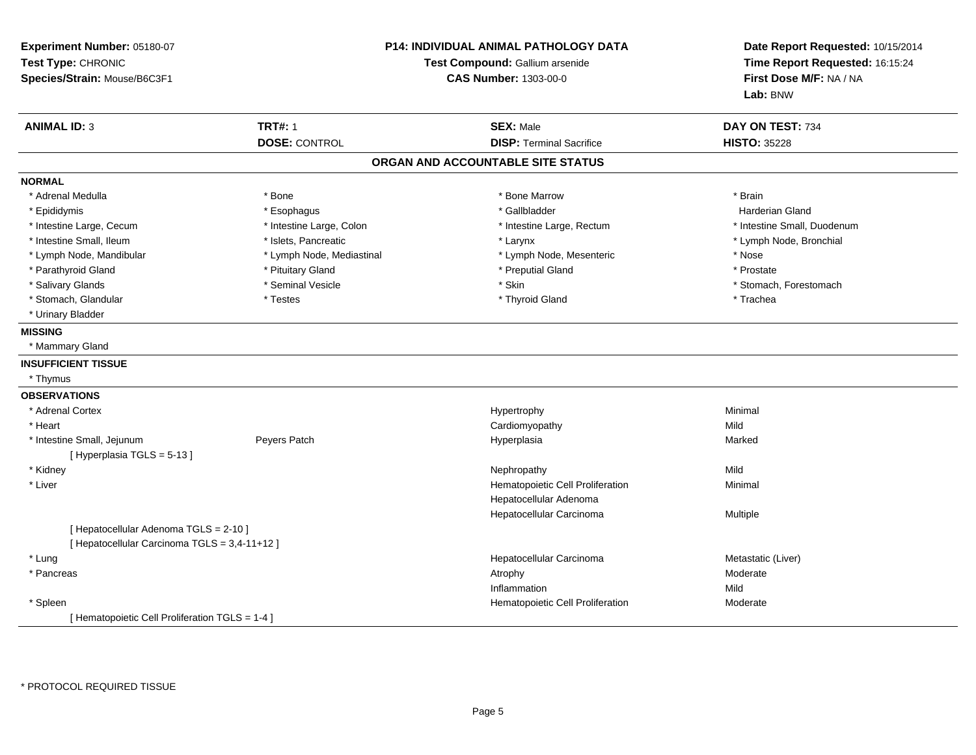| Experiment Number: 05180-07<br>Test Type: CHRONIC<br>Species/Strain: Mouse/B6C3F1       |                                        | <b>P14: INDIVIDUAL ANIMAL PATHOLOGY DATA</b><br>Test Compound: Gallium arsenide<br><b>CAS Number: 1303-00-0</b> | Date Report Requested: 10/15/2014<br>Time Report Requested: 16:15:24<br>First Dose M/F: NA / NA<br>Lab: BNW |
|-----------------------------------------------------------------------------------------|----------------------------------------|-----------------------------------------------------------------------------------------------------------------|-------------------------------------------------------------------------------------------------------------|
| <b>ANIMAL ID: 3</b>                                                                     | <b>TRT#: 1</b><br><b>DOSE: CONTROL</b> | <b>SEX: Male</b><br><b>DISP: Terminal Sacrifice</b>                                                             | DAY ON TEST: 734<br><b>HISTO: 35228</b>                                                                     |
|                                                                                         |                                        | ORGAN AND ACCOUNTABLE SITE STATUS                                                                               |                                                                                                             |
| <b>NORMAL</b>                                                                           |                                        |                                                                                                                 |                                                                                                             |
| * Adrenal Medulla                                                                       | * Bone                                 | * Bone Marrow                                                                                                   | * Brain                                                                                                     |
| * Epididymis                                                                            | * Esophagus                            | * Gallbladder                                                                                                   | <b>Harderian Gland</b>                                                                                      |
| * Intestine Large, Cecum                                                                | * Intestine Large, Colon               | * Intestine Large, Rectum                                                                                       | * Intestine Small, Duodenum                                                                                 |
| * Intestine Small, Ileum                                                                | * Islets, Pancreatic                   | * Larynx                                                                                                        | * Lymph Node, Bronchial                                                                                     |
| * Lymph Node, Mandibular                                                                | * Lymph Node, Mediastinal              | * Lymph Node, Mesenteric                                                                                        | * Nose                                                                                                      |
| * Parathyroid Gland                                                                     | * Pituitary Gland                      | * Preputial Gland                                                                                               | * Prostate                                                                                                  |
| * Salivary Glands                                                                       | * Seminal Vesicle                      | * Skin                                                                                                          | * Stomach, Forestomach                                                                                      |
| * Stomach, Glandular                                                                    | * Testes                               | * Thyroid Gland                                                                                                 | * Trachea                                                                                                   |
| * Urinary Bladder                                                                       |                                        |                                                                                                                 |                                                                                                             |
| <b>MISSING</b>                                                                          |                                        |                                                                                                                 |                                                                                                             |
| * Mammary Gland                                                                         |                                        |                                                                                                                 |                                                                                                             |
| <b>INSUFFICIENT TISSUE</b>                                                              |                                        |                                                                                                                 |                                                                                                             |
| * Thymus                                                                                |                                        |                                                                                                                 |                                                                                                             |
| <b>OBSERVATIONS</b>                                                                     |                                        |                                                                                                                 |                                                                                                             |
| * Adrenal Cortex                                                                        |                                        | Hypertrophy                                                                                                     | Minimal                                                                                                     |
| * Heart                                                                                 |                                        | Cardiomyopathy                                                                                                  | Mild                                                                                                        |
| * Intestine Small, Jejunum<br>[Hyperplasia TGLS = 5-13]                                 | Peyers Patch                           | Hyperplasia                                                                                                     | Marked                                                                                                      |
| * Kidney                                                                                |                                        | Nephropathy                                                                                                     | Mild                                                                                                        |
| * Liver                                                                                 |                                        | Hematopoietic Cell Proliferation                                                                                | Minimal                                                                                                     |
|                                                                                         |                                        | Hepatocellular Adenoma                                                                                          |                                                                                                             |
|                                                                                         |                                        | Hepatocellular Carcinoma                                                                                        | Multiple                                                                                                    |
| [ Hepatocellular Adenoma TGLS = 2-10 ]<br>[ Hepatocellular Carcinoma TGLS = 3,4-11+12 ] |                                        |                                                                                                                 |                                                                                                             |
| * Lung                                                                                  |                                        | Hepatocellular Carcinoma                                                                                        | Metastatic (Liver)                                                                                          |
| * Pancreas                                                                              |                                        | Atrophy                                                                                                         | Moderate                                                                                                    |
|                                                                                         |                                        | Inflammation                                                                                                    | Mild                                                                                                        |
| * Spleen                                                                                |                                        | Hematopoietic Cell Proliferation                                                                                | Moderate                                                                                                    |
| [ Hematopoietic Cell Proliferation TGLS = 1-4 ]                                         |                                        |                                                                                                                 |                                                                                                             |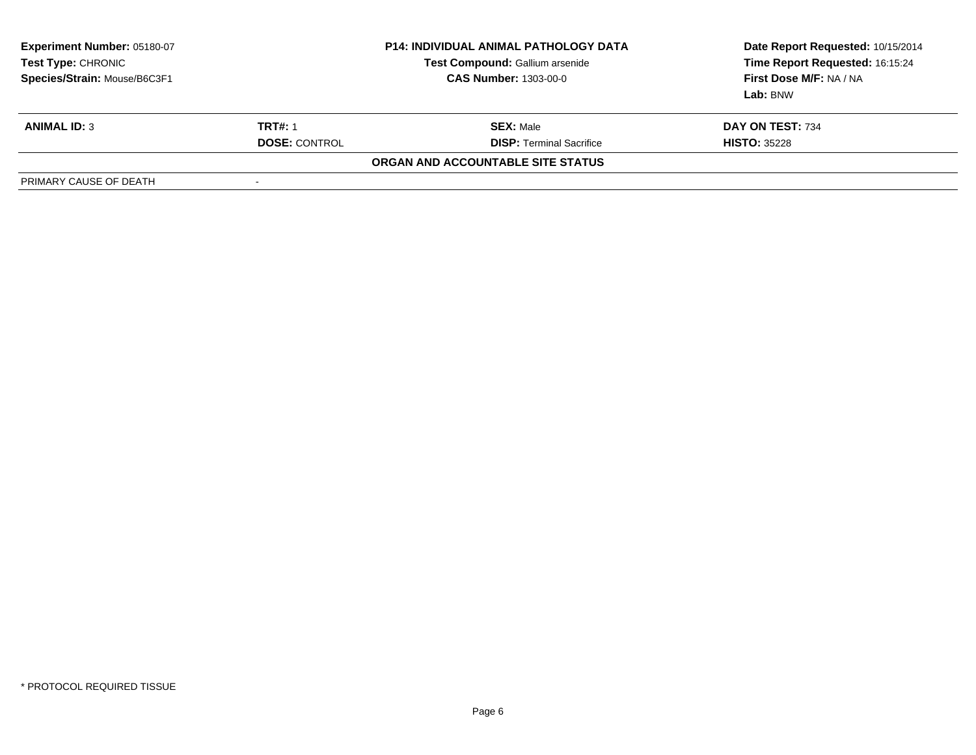| Experiment Number: 05180-07<br>Test Type: CHRONIC<br>Species/Strain: Mouse/B6C3F1 |                          | <b>P14: INDIVIDUAL ANIMAL PATHOLOGY DATA</b><br>Test Compound: Gallium arsenide<br><b>CAS Number: 1303-00-0</b> | Date Report Requested: 10/15/2014<br>Time Report Requested: 16:15:24<br>First Dose M/F: NA / NA<br>Lab: BNW |
|-----------------------------------------------------------------------------------|--------------------------|-----------------------------------------------------------------------------------------------------------------|-------------------------------------------------------------------------------------------------------------|
| <b>ANIMAL ID: 3</b>                                                               | <b>TRT#: 1</b>           | <b>SEX: Male</b>                                                                                                | DAY ON TEST: 734                                                                                            |
|                                                                                   | <b>DOSE: CONTROL</b>     | <b>DISP: Terminal Sacrifice</b>                                                                                 | <b>HISTO: 35228</b>                                                                                         |
|                                                                                   |                          | ORGAN AND ACCOUNTABLE SITE STATUS                                                                               |                                                                                                             |
| PRIMARY CAUSE OF DEATH                                                            | $\overline{\phantom{a}}$ |                                                                                                                 |                                                                                                             |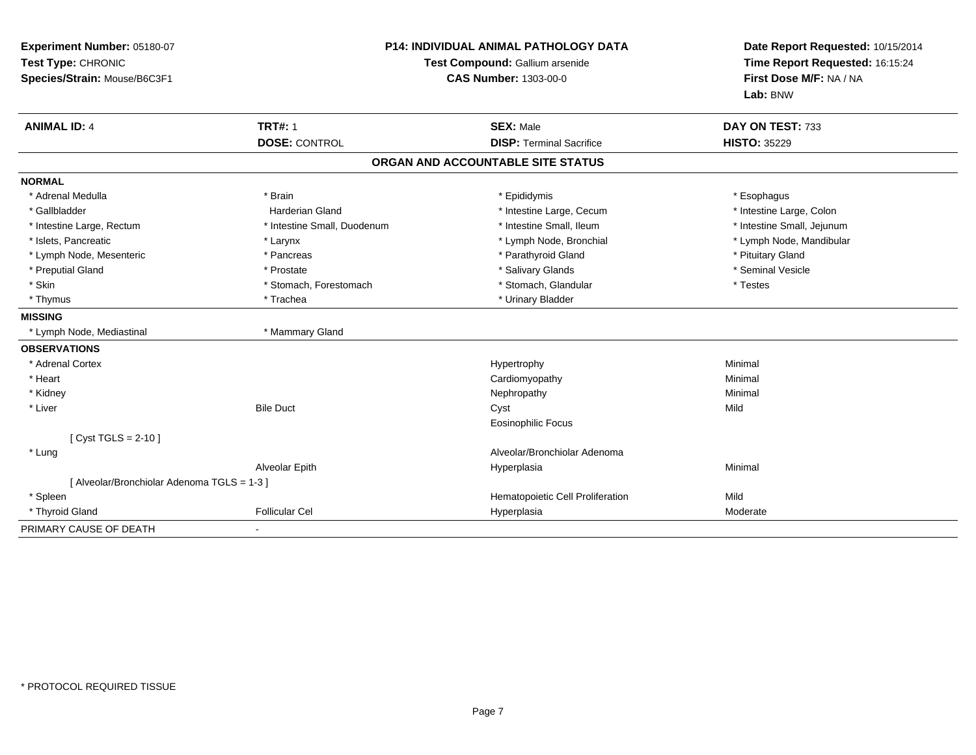| Experiment Number: 05180-07<br>Test Type: CHRONIC<br>Species/Strain: Mouse/B6C3F1 | <b>P14: INDIVIDUAL ANIMAL PATHOLOGY DATA</b><br>Test Compound: Gallium arsenide<br><b>CAS Number: 1303-00-0</b> |                                   | Date Report Requested: 10/15/2014<br>Time Report Requested: 16:15:24<br>First Dose M/F: NA / NA<br>Lab: BNW |
|-----------------------------------------------------------------------------------|-----------------------------------------------------------------------------------------------------------------|-----------------------------------|-------------------------------------------------------------------------------------------------------------|
| <b>ANIMAL ID: 4</b>                                                               | <b>TRT#: 1</b>                                                                                                  | <b>SEX: Male</b>                  | DAY ON TEST: 733                                                                                            |
|                                                                                   | <b>DOSE: CONTROL</b>                                                                                            | <b>DISP: Terminal Sacrifice</b>   | <b>HISTO: 35229</b>                                                                                         |
|                                                                                   |                                                                                                                 | ORGAN AND ACCOUNTABLE SITE STATUS |                                                                                                             |
| <b>NORMAL</b>                                                                     |                                                                                                                 |                                   |                                                                                                             |
| * Adrenal Medulla                                                                 | * Brain                                                                                                         | * Epididymis                      | * Esophagus                                                                                                 |
| * Gallbladder                                                                     | <b>Harderian Gland</b>                                                                                          | * Intestine Large, Cecum          | * Intestine Large, Colon                                                                                    |
| * Intestine Large, Rectum                                                         | * Intestine Small, Duodenum                                                                                     | * Intestine Small, Ileum          | * Intestine Small, Jejunum                                                                                  |
| * Islets, Pancreatic                                                              | * Larynx                                                                                                        | * Lymph Node, Bronchial           | * Lymph Node, Mandibular                                                                                    |
| * Lymph Node, Mesenteric                                                          | * Pancreas                                                                                                      | * Parathyroid Gland               | * Pituitary Gland                                                                                           |
| * Preputial Gland                                                                 | * Prostate                                                                                                      | * Salivary Glands                 | * Seminal Vesicle                                                                                           |
| * Skin                                                                            | * Stomach, Forestomach                                                                                          | * Stomach, Glandular              | * Testes                                                                                                    |
| * Thymus                                                                          | * Trachea                                                                                                       | * Urinary Bladder                 |                                                                                                             |
| <b>MISSING</b>                                                                    |                                                                                                                 |                                   |                                                                                                             |
| * Lymph Node, Mediastinal                                                         | * Mammary Gland                                                                                                 |                                   |                                                                                                             |
| <b>OBSERVATIONS</b>                                                               |                                                                                                                 |                                   |                                                                                                             |
| * Adrenal Cortex                                                                  |                                                                                                                 | Hypertrophy                       | Minimal                                                                                                     |
| * Heart                                                                           |                                                                                                                 | Cardiomyopathy                    | Minimal                                                                                                     |
| * Kidney                                                                          |                                                                                                                 | Nephropathy                       | Minimal                                                                                                     |
| * Liver                                                                           | <b>Bile Duct</b>                                                                                                | Cyst                              | Mild                                                                                                        |
|                                                                                   |                                                                                                                 | <b>Eosinophilic Focus</b>         |                                                                                                             |
| $Cvst TGLS = 2-10$                                                                |                                                                                                                 |                                   |                                                                                                             |
| * Lung                                                                            |                                                                                                                 | Alveolar/Bronchiolar Adenoma      |                                                                                                             |
|                                                                                   | Alveolar Epith                                                                                                  | Hyperplasia                       | Minimal                                                                                                     |
| [ Alveolar/Bronchiolar Adenoma TGLS = 1-3 ]                                       |                                                                                                                 |                                   |                                                                                                             |
| * Spleen                                                                          |                                                                                                                 | Hematopoietic Cell Proliferation  | Mild                                                                                                        |
| * Thyroid Gland                                                                   | <b>Follicular Cel</b>                                                                                           | Hyperplasia                       | Moderate                                                                                                    |
| PRIMARY CAUSE OF DEATH                                                            |                                                                                                                 |                                   |                                                                                                             |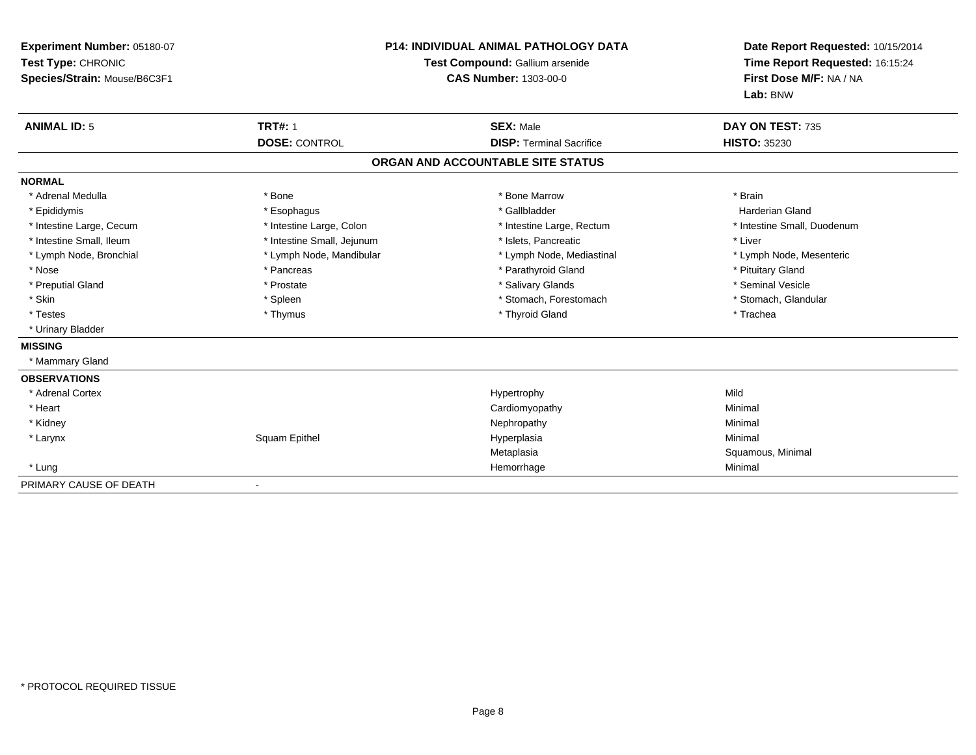| Experiment Number: 05180-07<br>Test Type: CHRONIC<br>Species/Strain: Mouse/B6C3F1<br><b>ANIMAL ID: 5</b> | <b>TRT#: 1</b>             | <b>P14: INDIVIDUAL ANIMAL PATHOLOGY DATA</b><br>Test Compound: Gallium arsenide<br><b>CAS Number: 1303-00-0</b><br><b>SEX: Male</b> | Date Report Requested: 10/15/2014<br>Time Report Requested: 16:15:24<br>First Dose M/F: NA / NA<br>Lab: BNW<br>DAY ON TEST: 735 |
|----------------------------------------------------------------------------------------------------------|----------------------------|-------------------------------------------------------------------------------------------------------------------------------------|---------------------------------------------------------------------------------------------------------------------------------|
|                                                                                                          | <b>DOSE: CONTROL</b>       | <b>DISP: Terminal Sacrifice</b>                                                                                                     | <b>HISTO: 35230</b>                                                                                                             |
|                                                                                                          |                            | ORGAN AND ACCOUNTABLE SITE STATUS                                                                                                   |                                                                                                                                 |
| <b>NORMAL</b>                                                                                            |                            |                                                                                                                                     |                                                                                                                                 |
| * Adrenal Medulla                                                                                        | * Bone                     | * Bone Marrow                                                                                                                       | * Brain                                                                                                                         |
| * Epididymis                                                                                             | * Esophagus                | * Gallbladder                                                                                                                       | Harderian Gland                                                                                                                 |
| * Intestine Large, Cecum                                                                                 | * Intestine Large, Colon   | * Intestine Large, Rectum                                                                                                           | * Intestine Small, Duodenum                                                                                                     |
| * Intestine Small, Ileum                                                                                 | * Intestine Small, Jejunum | * Islets. Pancreatic                                                                                                                | * Liver                                                                                                                         |
| * Lymph Node, Bronchial                                                                                  | * Lymph Node, Mandibular   | * Lymph Node, Mediastinal                                                                                                           | * Lymph Node, Mesenteric                                                                                                        |
| * Nose                                                                                                   | * Pancreas                 | * Parathyroid Gland                                                                                                                 | * Pituitary Gland                                                                                                               |
| * Preputial Gland                                                                                        | * Prostate                 | * Salivary Glands                                                                                                                   | * Seminal Vesicle                                                                                                               |
| * Skin                                                                                                   | * Spleen                   | * Stomach, Forestomach                                                                                                              | * Stomach, Glandular                                                                                                            |
| * Testes                                                                                                 | * Thymus                   | * Thyroid Gland                                                                                                                     | * Trachea                                                                                                                       |
| * Urinary Bladder                                                                                        |                            |                                                                                                                                     |                                                                                                                                 |
| <b>MISSING</b>                                                                                           |                            |                                                                                                                                     |                                                                                                                                 |
| * Mammary Gland                                                                                          |                            |                                                                                                                                     |                                                                                                                                 |
| <b>OBSERVATIONS</b>                                                                                      |                            |                                                                                                                                     |                                                                                                                                 |
| * Adrenal Cortex                                                                                         |                            | Hypertrophy                                                                                                                         | Mild                                                                                                                            |
| * Heart                                                                                                  |                            | Cardiomyopathy                                                                                                                      | Minimal                                                                                                                         |
| * Kidney                                                                                                 |                            | Nephropathy                                                                                                                         | Minimal                                                                                                                         |
| * Larynx                                                                                                 | Squam Epithel              | Hyperplasia                                                                                                                         | Minimal                                                                                                                         |
|                                                                                                          |                            | Metaplasia                                                                                                                          | Squamous, Minimal                                                                                                               |
| * Lung                                                                                                   |                            | Hemorrhage                                                                                                                          | Minimal                                                                                                                         |
| PRIMARY CAUSE OF DEATH                                                                                   | $\blacksquare$             |                                                                                                                                     |                                                                                                                                 |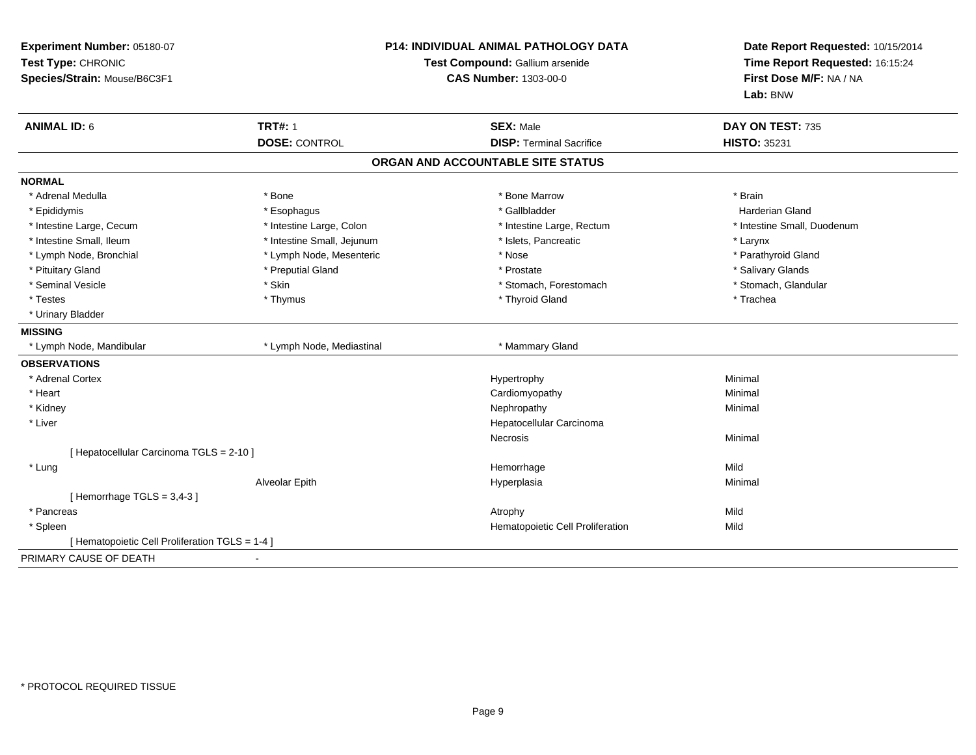| Experiment Number: 05180-07<br>Test Type: CHRONIC<br>Species/Strain: Mouse/B6C3F1 | <b>P14: INDIVIDUAL ANIMAL PATHOLOGY DATA</b><br>Test Compound: Gallium arsenide<br><b>CAS Number: 1303-00-0</b> |                                   | Date Report Requested: 10/15/2014<br>Time Report Requested: 16:15:24<br>First Dose M/F: NA / NA<br>Lab: BNW |  |
|-----------------------------------------------------------------------------------|-----------------------------------------------------------------------------------------------------------------|-----------------------------------|-------------------------------------------------------------------------------------------------------------|--|
| <b>ANIMAL ID: 6</b>                                                               | <b>TRT#: 1</b>                                                                                                  | <b>SEX: Male</b>                  | DAY ON TEST: 735                                                                                            |  |
|                                                                                   | <b>DOSE: CONTROL</b>                                                                                            | <b>DISP: Terminal Sacrifice</b>   | <b>HISTO: 35231</b>                                                                                         |  |
|                                                                                   |                                                                                                                 | ORGAN AND ACCOUNTABLE SITE STATUS |                                                                                                             |  |
| <b>NORMAL</b>                                                                     |                                                                                                                 |                                   |                                                                                                             |  |
| * Adrenal Medulla                                                                 | * Bone                                                                                                          | * Bone Marrow                     | * Brain                                                                                                     |  |
| * Epididymis                                                                      | * Esophagus                                                                                                     | * Gallbladder                     | <b>Harderian Gland</b>                                                                                      |  |
| * Intestine Large, Cecum                                                          | * Intestine Large, Colon                                                                                        | * Intestine Large, Rectum         | * Intestine Small, Duodenum                                                                                 |  |
| * Intestine Small, Ileum                                                          | * Intestine Small, Jejunum                                                                                      | * Islets, Pancreatic              | * Larynx                                                                                                    |  |
| * Lymph Node, Bronchial                                                           | * Lymph Node, Mesenteric                                                                                        | * Nose                            | * Parathyroid Gland                                                                                         |  |
| * Pituitary Gland                                                                 | * Preputial Gland                                                                                               | * Prostate                        | * Salivary Glands                                                                                           |  |
| * Seminal Vesicle                                                                 | * Skin                                                                                                          | * Stomach, Forestomach            | * Stomach, Glandular                                                                                        |  |
| * Testes                                                                          | * Thymus                                                                                                        | * Thyroid Gland                   | * Trachea                                                                                                   |  |
| * Urinary Bladder                                                                 |                                                                                                                 |                                   |                                                                                                             |  |
| <b>MISSING</b>                                                                    |                                                                                                                 |                                   |                                                                                                             |  |
| * Lymph Node, Mandibular                                                          | * Lymph Node, Mediastinal                                                                                       | * Mammary Gland                   |                                                                                                             |  |
| <b>OBSERVATIONS</b>                                                               |                                                                                                                 |                                   |                                                                                                             |  |
| * Adrenal Cortex                                                                  |                                                                                                                 | Hypertrophy                       | Minimal                                                                                                     |  |
| * Heart                                                                           |                                                                                                                 | Cardiomyopathy                    | Minimal                                                                                                     |  |
| * Kidney                                                                          |                                                                                                                 | Nephropathy                       | Minimal                                                                                                     |  |
| * Liver                                                                           |                                                                                                                 | Hepatocellular Carcinoma          |                                                                                                             |  |
|                                                                                   |                                                                                                                 | <b>Necrosis</b>                   | Minimal                                                                                                     |  |
| [ Hepatocellular Carcinoma TGLS = 2-10 ]                                          |                                                                                                                 |                                   |                                                                                                             |  |
| * Lung                                                                            |                                                                                                                 | Hemorrhage                        | Mild                                                                                                        |  |
|                                                                                   | Alveolar Epith                                                                                                  | Hyperplasia                       | Minimal                                                                                                     |  |
| [Hemorrhage TGLS = $3,4-3$ ]                                                      |                                                                                                                 |                                   |                                                                                                             |  |
| * Pancreas                                                                        |                                                                                                                 | Atrophy                           | Mild                                                                                                        |  |
| * Spleen                                                                          |                                                                                                                 | Hematopoietic Cell Proliferation  | Mild                                                                                                        |  |
| [ Hematopoietic Cell Proliferation TGLS = 1-4 ]                                   |                                                                                                                 |                                   |                                                                                                             |  |
| PRIMARY CAUSE OF DEATH                                                            |                                                                                                                 |                                   |                                                                                                             |  |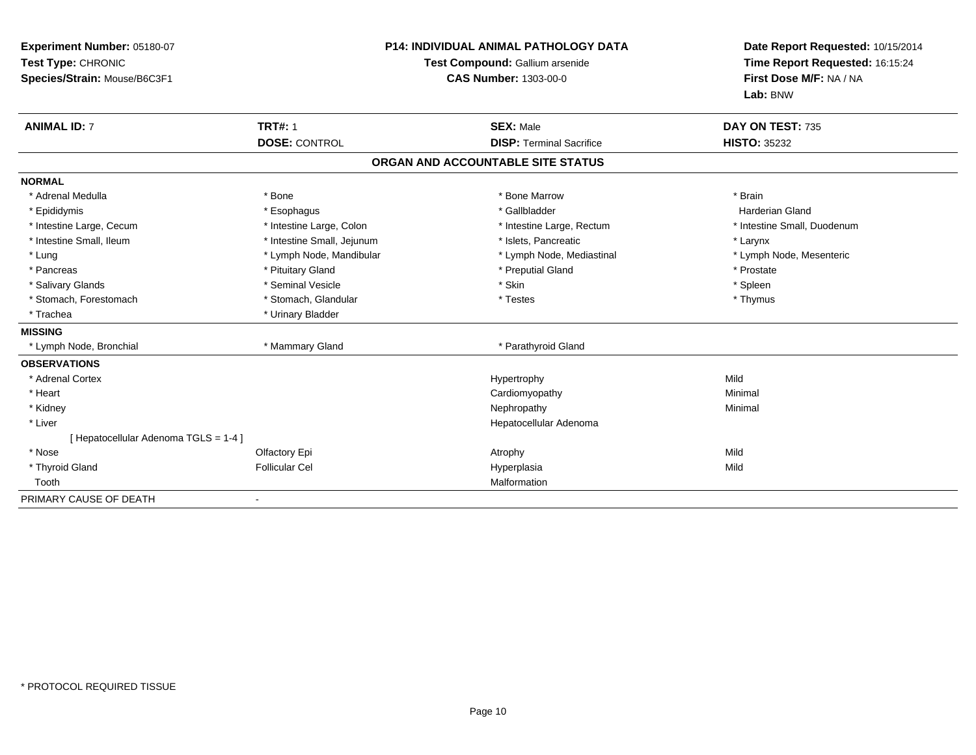| Experiment Number: 05180-07<br>Test Type: CHRONIC<br>Species/Strain: Mouse/B6C3F1<br><b>ANIMAL ID: 7</b> | <b>TRT#: 1</b>             | <b>P14: INDIVIDUAL ANIMAL PATHOLOGY DATA</b><br>Test Compound: Gallium arsenide<br><b>CAS Number: 1303-00-0</b><br><b>SEX: Male</b> | Date Report Requested: 10/15/2014<br>Time Report Requested: 16:15:24<br>First Dose M/F: NA / NA<br>Lab: BNW<br>DAY ON TEST: 735 |
|----------------------------------------------------------------------------------------------------------|----------------------------|-------------------------------------------------------------------------------------------------------------------------------------|---------------------------------------------------------------------------------------------------------------------------------|
|                                                                                                          | <b>DOSE: CONTROL</b>       | <b>DISP: Terminal Sacrifice</b>                                                                                                     | <b>HISTO: 35232</b>                                                                                                             |
|                                                                                                          |                            | ORGAN AND ACCOUNTABLE SITE STATUS                                                                                                   |                                                                                                                                 |
| <b>NORMAL</b>                                                                                            |                            |                                                                                                                                     |                                                                                                                                 |
| * Adrenal Medulla                                                                                        | * Bone                     | * Bone Marrow                                                                                                                       | * Brain                                                                                                                         |
| * Epididymis                                                                                             | * Esophagus                | * Gallbladder                                                                                                                       | <b>Harderian Gland</b>                                                                                                          |
| * Intestine Large, Cecum                                                                                 | * Intestine Large, Colon   | * Intestine Large, Rectum                                                                                                           | * Intestine Small, Duodenum                                                                                                     |
| * Intestine Small, Ileum                                                                                 | * Intestine Small, Jejunum | * Islets, Pancreatic                                                                                                                | * Larynx                                                                                                                        |
| * Lung                                                                                                   | * Lymph Node, Mandibular   | * Lymph Node, Mediastinal                                                                                                           | * Lymph Node, Mesenteric                                                                                                        |
| * Pancreas                                                                                               | * Pituitary Gland          | * Preputial Gland                                                                                                                   | * Prostate                                                                                                                      |
| * Salivary Glands                                                                                        | * Seminal Vesicle          | * Skin                                                                                                                              | * Spleen                                                                                                                        |
| * Stomach, Forestomach                                                                                   | * Stomach, Glandular       | * Testes                                                                                                                            | * Thymus                                                                                                                        |
| * Trachea                                                                                                | * Urinary Bladder          |                                                                                                                                     |                                                                                                                                 |
| <b>MISSING</b>                                                                                           |                            |                                                                                                                                     |                                                                                                                                 |
| * Lymph Node, Bronchial                                                                                  | * Mammary Gland            | * Parathyroid Gland                                                                                                                 |                                                                                                                                 |
| <b>OBSERVATIONS</b>                                                                                      |                            |                                                                                                                                     |                                                                                                                                 |
| * Adrenal Cortex                                                                                         |                            | Hypertrophy                                                                                                                         | Mild                                                                                                                            |
| * Heart                                                                                                  |                            | Cardiomyopathy                                                                                                                      | Minimal                                                                                                                         |
| * Kidney                                                                                                 |                            | Nephropathy                                                                                                                         | Minimal                                                                                                                         |
| * Liver                                                                                                  |                            | Hepatocellular Adenoma                                                                                                              |                                                                                                                                 |
| [ Hepatocellular Adenoma TGLS = 1-4 ]                                                                    |                            |                                                                                                                                     |                                                                                                                                 |
| * Nose                                                                                                   | Olfactory Epi              | Atrophy                                                                                                                             | Mild                                                                                                                            |
| * Thyroid Gland                                                                                          | <b>Follicular Cel</b>      | Hyperplasia                                                                                                                         | Mild                                                                                                                            |
| Tooth                                                                                                    |                            | Malformation                                                                                                                        |                                                                                                                                 |
| PRIMARY CAUSE OF DEATH                                                                                   |                            |                                                                                                                                     |                                                                                                                                 |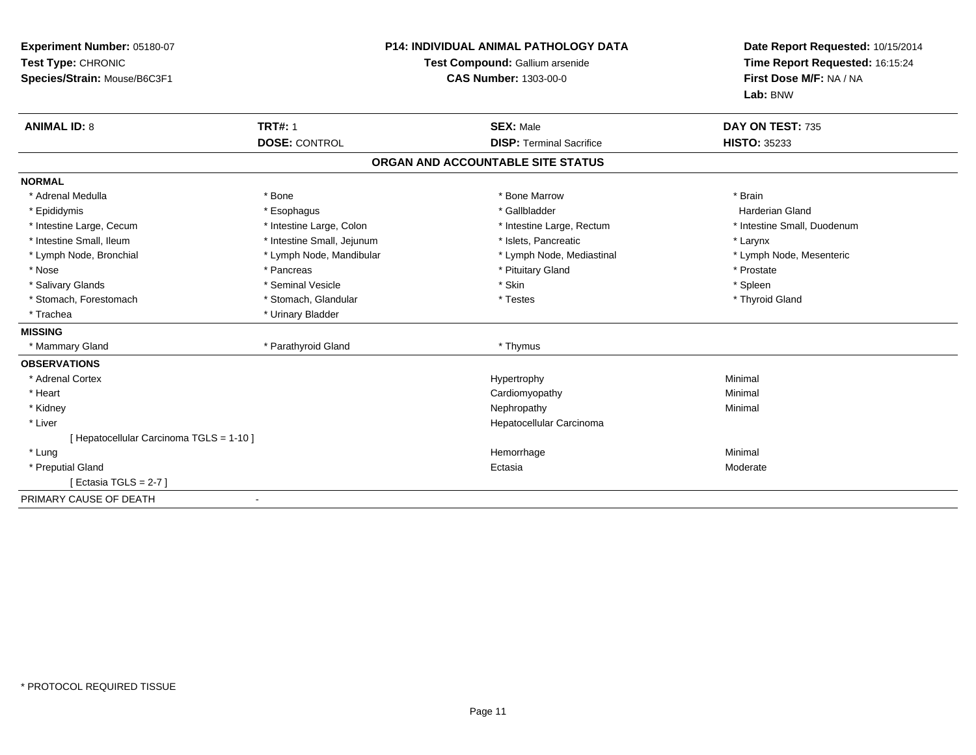| Experiment Number: 05180-07<br>Test Type: CHRONIC<br>Species/Strain: Mouse/B6C3F1 |                                        | <b>P14: INDIVIDUAL ANIMAL PATHOLOGY DATA</b><br>Test Compound: Gallium arsenide<br><b>CAS Number: 1303-00-0</b> | Date Report Requested: 10/15/2014<br>Time Report Requested: 16:15:24<br>First Dose M/F: NA / NA<br>Lab: BNW |
|-----------------------------------------------------------------------------------|----------------------------------------|-----------------------------------------------------------------------------------------------------------------|-------------------------------------------------------------------------------------------------------------|
| <b>ANIMAL ID: 8</b>                                                               | <b>TRT#: 1</b><br><b>DOSE: CONTROL</b> | <b>SEX: Male</b><br><b>DISP: Terminal Sacrifice</b>                                                             | DAY ON TEST: 735<br><b>HISTO: 35233</b>                                                                     |
|                                                                                   |                                        | ORGAN AND ACCOUNTABLE SITE STATUS                                                                               |                                                                                                             |
| <b>NORMAL</b>                                                                     |                                        |                                                                                                                 |                                                                                                             |
| * Adrenal Medulla                                                                 | * Bone                                 | * Bone Marrow                                                                                                   | * Brain                                                                                                     |
| * Epididymis                                                                      | * Esophagus                            | * Gallbladder                                                                                                   | <b>Harderian Gland</b>                                                                                      |
| * Intestine Large, Cecum                                                          | * Intestine Large, Colon               | * Intestine Large, Rectum                                                                                       | * Intestine Small, Duodenum                                                                                 |
| * Intestine Small, Ileum                                                          | * Intestine Small, Jejunum             | * Islets, Pancreatic                                                                                            | * Larynx                                                                                                    |
| * Lymph Node, Bronchial                                                           | * Lymph Node, Mandibular               | * Lymph Node, Mediastinal                                                                                       | * Lymph Node, Mesenteric                                                                                    |
| * Nose                                                                            | * Pancreas                             | * Pituitary Gland                                                                                               | * Prostate                                                                                                  |
| * Salivary Glands                                                                 | * Seminal Vesicle                      | * Skin                                                                                                          | * Spleen                                                                                                    |
| * Stomach, Forestomach                                                            | * Stomach, Glandular                   | * Testes                                                                                                        | * Thyroid Gland                                                                                             |
| * Trachea                                                                         | * Urinary Bladder                      |                                                                                                                 |                                                                                                             |
| <b>MISSING</b>                                                                    |                                        |                                                                                                                 |                                                                                                             |
| * Mammary Gland                                                                   | * Parathyroid Gland                    | * Thymus                                                                                                        |                                                                                                             |
| <b>OBSERVATIONS</b>                                                               |                                        |                                                                                                                 |                                                                                                             |
| * Adrenal Cortex                                                                  |                                        | Hypertrophy                                                                                                     | Minimal                                                                                                     |
| * Heart                                                                           |                                        | Cardiomyopathy                                                                                                  | Minimal                                                                                                     |
| * Kidney                                                                          |                                        | Nephropathy                                                                                                     | Minimal                                                                                                     |
| * Liver                                                                           |                                        | Hepatocellular Carcinoma                                                                                        |                                                                                                             |
| [ Hepatocellular Carcinoma TGLS = 1-10 ]                                          |                                        |                                                                                                                 |                                                                                                             |
| * Lung                                                                            |                                        | Hemorrhage                                                                                                      | Minimal                                                                                                     |
| * Preputial Gland                                                                 |                                        | Ectasia                                                                                                         | Moderate                                                                                                    |
| [ Ectasia TGLS = $2-7$ ]                                                          |                                        |                                                                                                                 |                                                                                                             |
| PRIMARY CAUSE OF DEATH                                                            |                                        |                                                                                                                 |                                                                                                             |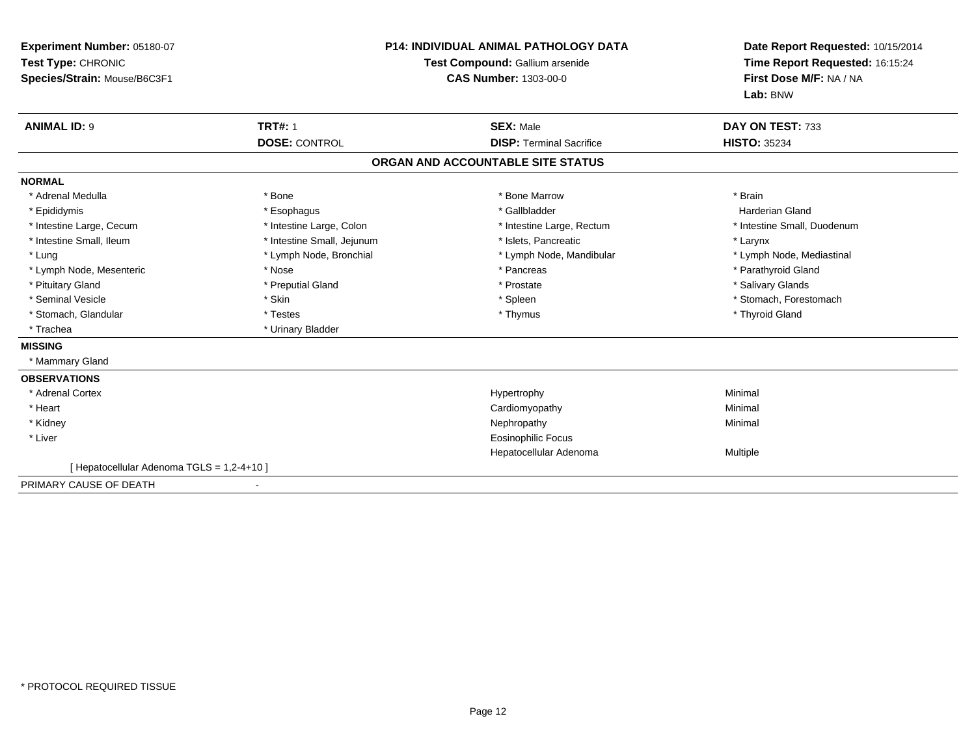| Experiment Number: 05180-07<br>Test Type: CHRONIC<br>Species/Strain: Mouse/B6C3F1<br><b>ANIMAL ID: 9</b> | <b>TRT#: 1</b>             | <b>P14: INDIVIDUAL ANIMAL PATHOLOGY DATA</b><br>Test Compound: Gallium arsenide<br><b>CAS Number: 1303-00-0</b><br><b>SEX: Male</b> | Date Report Requested: 10/15/2014<br>Time Report Requested: 16:15:24<br>First Dose M/F: NA / NA<br>Lab: BNW<br>DAY ON TEST: 733 |
|----------------------------------------------------------------------------------------------------------|----------------------------|-------------------------------------------------------------------------------------------------------------------------------------|---------------------------------------------------------------------------------------------------------------------------------|
|                                                                                                          | <b>DOSE: CONTROL</b>       | <b>DISP: Terminal Sacrifice</b>                                                                                                     | <b>HISTO: 35234</b>                                                                                                             |
|                                                                                                          |                            | ORGAN AND ACCOUNTABLE SITE STATUS                                                                                                   |                                                                                                                                 |
| <b>NORMAL</b>                                                                                            |                            |                                                                                                                                     |                                                                                                                                 |
| * Adrenal Medulla                                                                                        | * Bone                     | * Bone Marrow                                                                                                                       | * Brain                                                                                                                         |
| * Epididymis                                                                                             | * Esophagus                | * Gallbladder                                                                                                                       | Harderian Gland                                                                                                                 |
| * Intestine Large, Cecum                                                                                 | * Intestine Large, Colon   | * Intestine Large, Rectum                                                                                                           | * Intestine Small, Duodenum                                                                                                     |
| * Intestine Small, Ileum                                                                                 | * Intestine Small, Jejunum | * Islets, Pancreatic                                                                                                                | * Larynx                                                                                                                        |
| * Lung                                                                                                   | * Lymph Node, Bronchial    | * Lymph Node, Mandibular                                                                                                            | * Lymph Node, Mediastinal                                                                                                       |
| * Lymph Node, Mesenteric                                                                                 | * Nose                     | * Pancreas                                                                                                                          | * Parathyroid Gland                                                                                                             |
| * Pituitary Gland                                                                                        | * Preputial Gland          | * Prostate                                                                                                                          | * Salivary Glands                                                                                                               |
| * Seminal Vesicle                                                                                        | * Skin                     | * Spleen                                                                                                                            | * Stomach, Forestomach                                                                                                          |
| * Stomach, Glandular                                                                                     | * Testes                   | * Thymus                                                                                                                            | * Thyroid Gland                                                                                                                 |
| * Trachea                                                                                                | * Urinary Bladder          |                                                                                                                                     |                                                                                                                                 |
| <b>MISSING</b>                                                                                           |                            |                                                                                                                                     |                                                                                                                                 |
| * Mammary Gland                                                                                          |                            |                                                                                                                                     |                                                                                                                                 |
| <b>OBSERVATIONS</b>                                                                                      |                            |                                                                                                                                     |                                                                                                                                 |
| * Adrenal Cortex                                                                                         |                            | Hypertrophy                                                                                                                         | Minimal                                                                                                                         |
| * Heart                                                                                                  |                            | Cardiomyopathy                                                                                                                      | Minimal                                                                                                                         |
| * Kidney                                                                                                 |                            | Nephropathy                                                                                                                         | Minimal                                                                                                                         |
| * Liver                                                                                                  |                            | <b>Eosinophilic Focus</b>                                                                                                           |                                                                                                                                 |
|                                                                                                          |                            | Hepatocellular Adenoma                                                                                                              | Multiple                                                                                                                        |
| [ Hepatocellular Adenoma TGLS = 1,2-4+10 ]                                                               |                            |                                                                                                                                     |                                                                                                                                 |
| PRIMARY CAUSE OF DEATH                                                                                   |                            |                                                                                                                                     |                                                                                                                                 |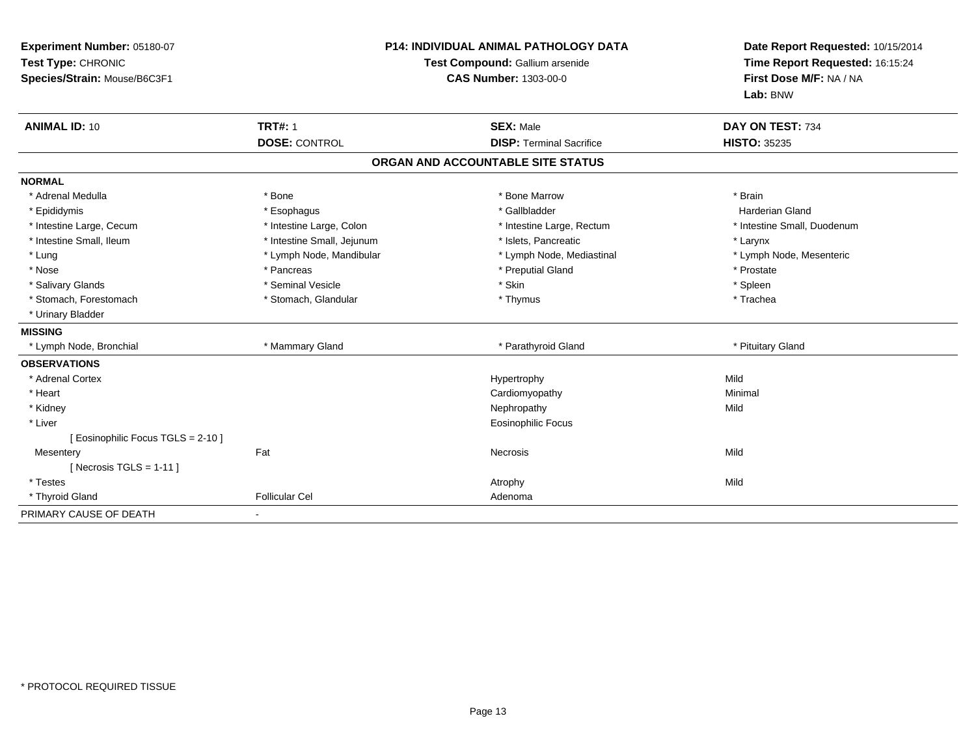| Experiment Number: 05180-07<br>Test Type: CHRONIC<br>Species/Strain: Mouse/B6C3F1 | <b>P14: INDIVIDUAL ANIMAL PATHOLOGY DATA</b><br>Test Compound: Gallium arsenide<br><b>CAS Number: 1303-00-0</b> |                                   | Date Report Requested: 10/15/2014<br>Time Report Requested: 16:15:24<br>First Dose M/F: NA / NA<br>Lab: BNW |  |
|-----------------------------------------------------------------------------------|-----------------------------------------------------------------------------------------------------------------|-----------------------------------|-------------------------------------------------------------------------------------------------------------|--|
| <b>ANIMAL ID: 10</b>                                                              | <b>TRT#: 1</b>                                                                                                  | <b>SEX: Male</b>                  | DAY ON TEST: 734                                                                                            |  |
|                                                                                   | <b>DOSE: CONTROL</b>                                                                                            | <b>DISP: Terminal Sacrifice</b>   | <b>HISTO: 35235</b>                                                                                         |  |
|                                                                                   |                                                                                                                 | ORGAN AND ACCOUNTABLE SITE STATUS |                                                                                                             |  |
| <b>NORMAL</b>                                                                     |                                                                                                                 |                                   |                                                                                                             |  |
| * Adrenal Medulla                                                                 | * Bone                                                                                                          | * Bone Marrow                     | * Brain                                                                                                     |  |
| * Epididymis                                                                      | * Esophagus                                                                                                     | * Gallbladder                     | <b>Harderian Gland</b>                                                                                      |  |
| * Intestine Large, Cecum                                                          | * Intestine Large, Colon                                                                                        | * Intestine Large, Rectum         | * Intestine Small, Duodenum                                                                                 |  |
| * Intestine Small, Ileum                                                          | * Intestine Small, Jejunum                                                                                      | * Islets, Pancreatic              | * Larynx                                                                                                    |  |
| * Lung                                                                            | * Lymph Node, Mandibular                                                                                        | * Lymph Node, Mediastinal         | * Lymph Node, Mesenteric                                                                                    |  |
| * Nose                                                                            | * Pancreas                                                                                                      | * Preputial Gland                 | * Prostate                                                                                                  |  |
| * Salivary Glands                                                                 | * Seminal Vesicle                                                                                               | * Skin                            | * Spleen                                                                                                    |  |
| * Stomach, Forestomach                                                            | * Stomach, Glandular                                                                                            | * Thymus                          | * Trachea                                                                                                   |  |
| * Urinary Bladder                                                                 |                                                                                                                 |                                   |                                                                                                             |  |
| <b>MISSING</b>                                                                    |                                                                                                                 |                                   |                                                                                                             |  |
| * Lymph Node, Bronchial                                                           | * Mammary Gland                                                                                                 | * Parathyroid Gland               | * Pituitary Gland                                                                                           |  |
| <b>OBSERVATIONS</b>                                                               |                                                                                                                 |                                   |                                                                                                             |  |
| * Adrenal Cortex                                                                  |                                                                                                                 | Hypertrophy                       | Mild                                                                                                        |  |
| * Heart                                                                           |                                                                                                                 | Cardiomyopathy                    | Minimal                                                                                                     |  |
| * Kidney                                                                          |                                                                                                                 | Nephropathy                       | Mild                                                                                                        |  |
| * Liver                                                                           |                                                                                                                 | <b>Eosinophilic Focus</b>         |                                                                                                             |  |
| [ Eosinophilic Focus TGLS = 2-10 ]                                                |                                                                                                                 |                                   |                                                                                                             |  |
| Mesentery                                                                         | Fat                                                                                                             | <b>Necrosis</b>                   | Mild                                                                                                        |  |
| [Necrosis TGLS = $1-11$ ]                                                         |                                                                                                                 |                                   |                                                                                                             |  |
| * Testes                                                                          |                                                                                                                 | Atrophy                           | Mild                                                                                                        |  |
| * Thyroid Gland                                                                   | <b>Follicular Cel</b>                                                                                           | Adenoma                           |                                                                                                             |  |
| PRIMARY CAUSE OF DEATH                                                            |                                                                                                                 |                                   |                                                                                                             |  |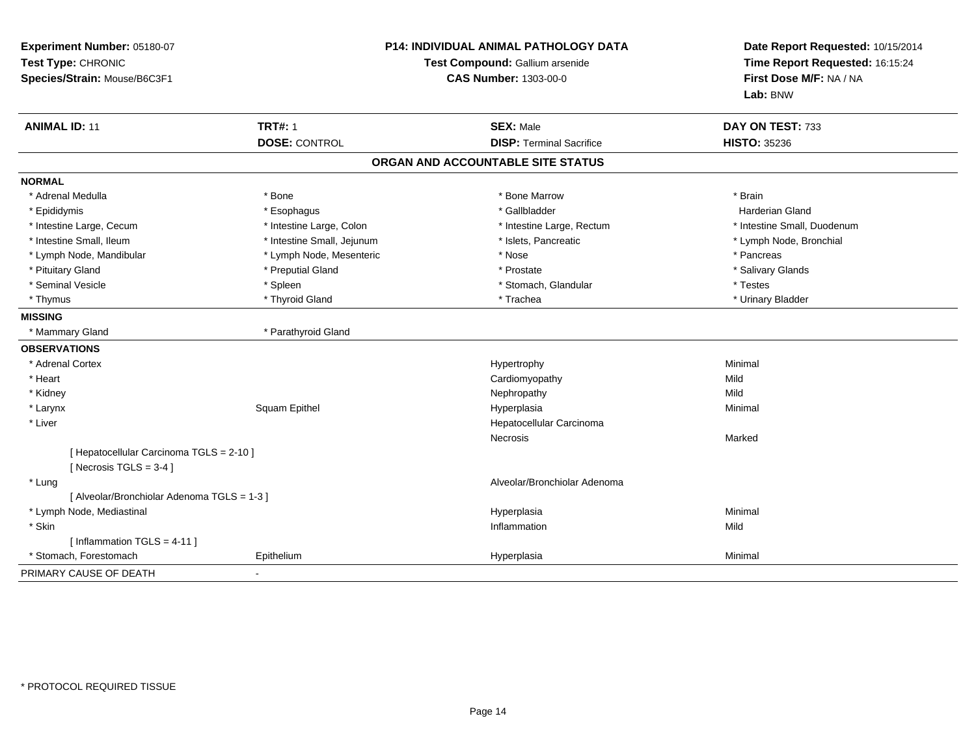| Experiment Number: 05180-07<br>Test Type: CHRONIC<br>Species/Strain: Mouse/B6C3F1 | P14: INDIVIDUAL ANIMAL PATHOLOGY DATA<br>Test Compound: Gallium arsenide<br><b>CAS Number: 1303-00-0</b> |                                   | Date Report Requested: 10/15/2014<br>Time Report Requested: 16:15:24<br>First Dose M/F: NA / NA<br>Lab: BNW |
|-----------------------------------------------------------------------------------|----------------------------------------------------------------------------------------------------------|-----------------------------------|-------------------------------------------------------------------------------------------------------------|
| <b>ANIMAL ID: 11</b>                                                              | <b>TRT#: 1</b>                                                                                           | <b>SEX: Male</b>                  | DAY ON TEST: 733                                                                                            |
|                                                                                   | <b>DOSE: CONTROL</b>                                                                                     | <b>DISP: Terminal Sacrifice</b>   | <b>HISTO: 35236</b>                                                                                         |
|                                                                                   |                                                                                                          | ORGAN AND ACCOUNTABLE SITE STATUS |                                                                                                             |
| <b>NORMAL</b>                                                                     |                                                                                                          |                                   |                                                                                                             |
| * Adrenal Medulla                                                                 | * Bone                                                                                                   | * Bone Marrow                     | * Brain                                                                                                     |
| * Epididymis                                                                      | * Esophagus                                                                                              | * Gallbladder                     | <b>Harderian Gland</b>                                                                                      |
| * Intestine Large, Cecum                                                          | * Intestine Large, Colon                                                                                 | * Intestine Large, Rectum         | * Intestine Small, Duodenum                                                                                 |
| * Intestine Small, Ileum                                                          | * Intestine Small, Jejunum                                                                               | * Islets, Pancreatic              | * Lymph Node, Bronchial                                                                                     |
| * Lymph Node, Mandibular                                                          | * Lymph Node, Mesenteric                                                                                 | * Nose                            | * Pancreas                                                                                                  |
| * Pituitary Gland                                                                 | * Preputial Gland                                                                                        | * Prostate                        | * Salivary Glands                                                                                           |
| * Seminal Vesicle                                                                 | * Spleen                                                                                                 | * Stomach, Glandular              | * Testes                                                                                                    |
| * Thymus                                                                          | * Thyroid Gland                                                                                          | * Trachea                         | * Urinary Bladder                                                                                           |
| <b>MISSING</b>                                                                    |                                                                                                          |                                   |                                                                                                             |
| * Mammary Gland                                                                   | * Parathyroid Gland                                                                                      |                                   |                                                                                                             |
| <b>OBSERVATIONS</b>                                                               |                                                                                                          |                                   |                                                                                                             |
| * Adrenal Cortex                                                                  |                                                                                                          | Hypertrophy                       | Minimal                                                                                                     |
| * Heart                                                                           |                                                                                                          | Cardiomyopathy                    | Mild                                                                                                        |
| * Kidney                                                                          |                                                                                                          | Nephropathy                       | Mild                                                                                                        |
| * Larynx                                                                          | Squam Epithel                                                                                            | Hyperplasia                       | Minimal                                                                                                     |
| * Liver                                                                           |                                                                                                          | Hepatocellular Carcinoma          |                                                                                                             |
|                                                                                   |                                                                                                          | Necrosis                          | Marked                                                                                                      |
| [ Hepatocellular Carcinoma TGLS = 2-10 ]                                          |                                                                                                          |                                   |                                                                                                             |
| [ Necrosis TGLS = $3-4$ ]                                                         |                                                                                                          |                                   |                                                                                                             |
| * Lung                                                                            |                                                                                                          | Alveolar/Bronchiolar Adenoma      |                                                                                                             |
| [ Alveolar/Bronchiolar Adenoma TGLS = 1-3 ]                                       |                                                                                                          |                                   |                                                                                                             |
| * Lymph Node, Mediastinal                                                         |                                                                                                          | Hyperplasia                       | Minimal                                                                                                     |
| * Skin                                                                            |                                                                                                          | Inflammation                      | Mild                                                                                                        |
| [ Inflammation $TGLS = 4-11$ ]                                                    |                                                                                                          |                                   |                                                                                                             |
| * Stomach, Forestomach                                                            | Epithelium                                                                                               | Hyperplasia                       | Minimal                                                                                                     |
| PRIMARY CAUSE OF DEATH                                                            |                                                                                                          |                                   |                                                                                                             |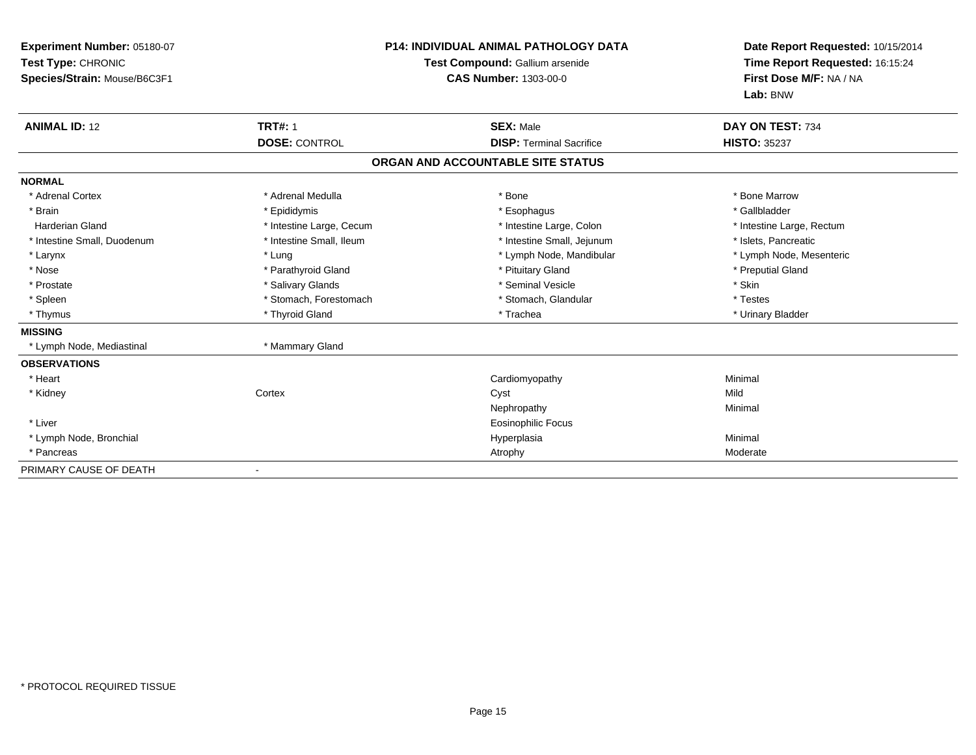| Experiment Number: 05180-07<br>Test Type: CHRONIC<br>Species/Strain: Mouse/B6C3F1<br><b>ANIMAL ID: 12</b> | <b>TRT#: 1</b>           | <b>P14: INDIVIDUAL ANIMAL PATHOLOGY DATA</b><br>Test Compound: Gallium arsenide<br><b>CAS Number: 1303-00-0</b><br><b>SEX: Male</b> | Date Report Requested: 10/15/2014<br>Time Report Requested: 16:15:24<br>First Dose M/F: NA / NA<br>Lab: BNW<br>DAY ON TEST: 734 |
|-----------------------------------------------------------------------------------------------------------|--------------------------|-------------------------------------------------------------------------------------------------------------------------------------|---------------------------------------------------------------------------------------------------------------------------------|
|                                                                                                           | <b>DOSE: CONTROL</b>     | <b>DISP:</b> Terminal Sacrifice                                                                                                     | <b>HISTO: 35237</b>                                                                                                             |
|                                                                                                           |                          | ORGAN AND ACCOUNTABLE SITE STATUS                                                                                                   |                                                                                                                                 |
| <b>NORMAL</b>                                                                                             |                          |                                                                                                                                     |                                                                                                                                 |
| * Adrenal Cortex                                                                                          | * Adrenal Medulla        | * Bone                                                                                                                              | * Bone Marrow                                                                                                                   |
| * Brain                                                                                                   | * Epididymis             | * Esophagus                                                                                                                         | * Gallbladder                                                                                                                   |
| <b>Harderian Gland</b>                                                                                    | * Intestine Large, Cecum | * Intestine Large, Colon                                                                                                            | * Intestine Large, Rectum                                                                                                       |
| * Intestine Small, Duodenum                                                                               | * Intestine Small, Ileum | * Intestine Small, Jejunum                                                                                                          | * Islets, Pancreatic                                                                                                            |
| * Larynx                                                                                                  | * Lung                   | * Lymph Node, Mandibular                                                                                                            | * Lymph Node, Mesenteric                                                                                                        |
| * Nose                                                                                                    | * Parathyroid Gland      | * Pituitary Gland                                                                                                                   | * Preputial Gland                                                                                                               |
| * Prostate                                                                                                | * Salivary Glands        | * Seminal Vesicle                                                                                                                   | * Skin                                                                                                                          |
| * Spleen                                                                                                  | * Stomach, Forestomach   | * Stomach, Glandular                                                                                                                | * Testes                                                                                                                        |
| * Thymus                                                                                                  | * Thyroid Gland          | * Trachea                                                                                                                           | * Urinary Bladder                                                                                                               |
| <b>MISSING</b>                                                                                            |                          |                                                                                                                                     |                                                                                                                                 |
| * Lymph Node, Mediastinal                                                                                 | * Mammary Gland          |                                                                                                                                     |                                                                                                                                 |
| <b>OBSERVATIONS</b>                                                                                       |                          |                                                                                                                                     |                                                                                                                                 |
| * Heart                                                                                                   |                          | Cardiomyopathy                                                                                                                      | Minimal                                                                                                                         |
| * Kidney                                                                                                  | Cortex                   | Cyst                                                                                                                                | Mild                                                                                                                            |
|                                                                                                           |                          | Nephropathy                                                                                                                         | Minimal                                                                                                                         |
| * Liver                                                                                                   |                          | <b>Eosinophilic Focus</b>                                                                                                           |                                                                                                                                 |
| * Lymph Node, Bronchial                                                                                   |                          | Hyperplasia                                                                                                                         | Minimal                                                                                                                         |
| * Pancreas                                                                                                |                          | Atrophy                                                                                                                             | Moderate                                                                                                                        |
| PRIMARY CAUSE OF DEATH                                                                                    |                          |                                                                                                                                     |                                                                                                                                 |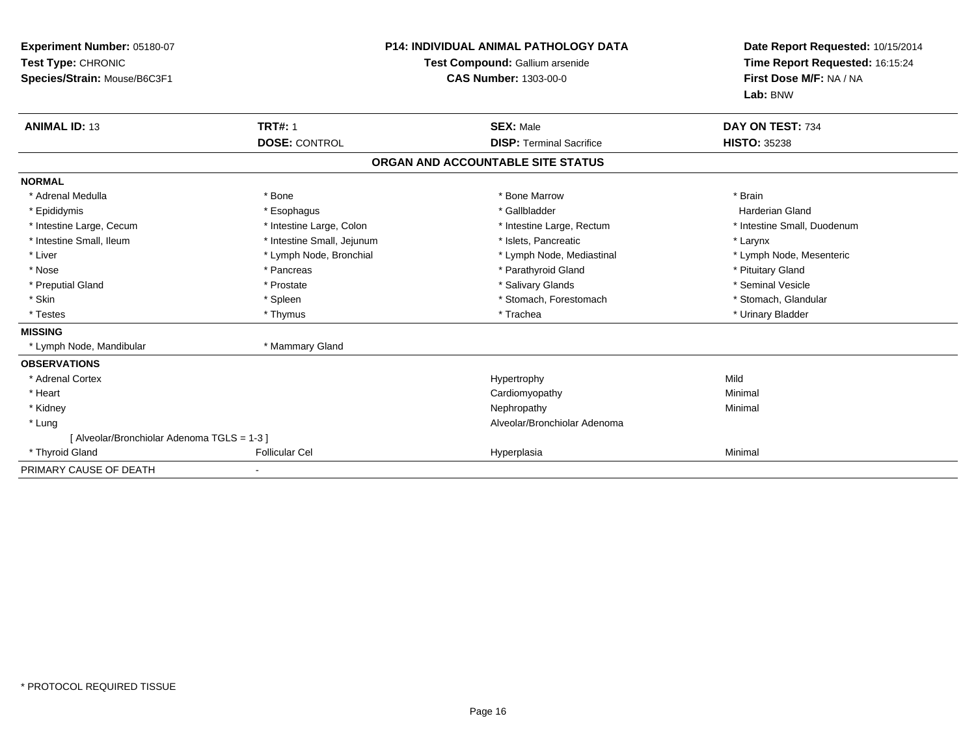| Experiment Number: 05180-07<br>Test Type: CHRONIC<br>Species/Strain: Mouse/B6C3F1 | <b>P14: INDIVIDUAL ANIMAL PATHOLOGY DATA</b><br>Test Compound: Gallium arsenide<br><b>CAS Number: 1303-00-0</b> |                                   | Date Report Requested: 10/15/2014<br>Time Report Requested: 16:15:24<br>First Dose M/F: NA / NA<br>Lab: BNW |
|-----------------------------------------------------------------------------------|-----------------------------------------------------------------------------------------------------------------|-----------------------------------|-------------------------------------------------------------------------------------------------------------|
| <b>ANIMAL ID: 13</b>                                                              | <b>TRT#: 1</b>                                                                                                  | <b>SEX: Male</b>                  | DAY ON TEST: 734                                                                                            |
|                                                                                   | <b>DOSE: CONTROL</b>                                                                                            | <b>DISP: Terminal Sacrifice</b>   | <b>HISTO: 35238</b>                                                                                         |
|                                                                                   |                                                                                                                 | ORGAN AND ACCOUNTABLE SITE STATUS |                                                                                                             |
| <b>NORMAL</b>                                                                     |                                                                                                                 |                                   |                                                                                                             |
| * Adrenal Medulla                                                                 | * Bone                                                                                                          | * Bone Marrow                     | * Brain                                                                                                     |
| * Epididymis                                                                      | * Esophagus                                                                                                     | * Gallbladder                     | <b>Harderian Gland</b>                                                                                      |
| * Intestine Large, Cecum                                                          | * Intestine Large, Colon                                                                                        | * Intestine Large, Rectum         | * Intestine Small, Duodenum                                                                                 |
| * Intestine Small, Ileum                                                          | * Intestine Small, Jejunum                                                                                      | * Islets, Pancreatic              | * Larynx                                                                                                    |
| * Liver                                                                           | * Lymph Node, Bronchial                                                                                         | * Lymph Node, Mediastinal         | * Lymph Node, Mesenteric                                                                                    |
| * Nose                                                                            | * Pancreas                                                                                                      | * Parathyroid Gland               | * Pituitary Gland                                                                                           |
| * Preputial Gland                                                                 | * Prostate                                                                                                      | * Salivary Glands                 | * Seminal Vesicle                                                                                           |
| * Skin                                                                            | * Spleen                                                                                                        | * Stomach, Forestomach            | * Stomach, Glandular                                                                                        |
| * Testes                                                                          | * Thymus                                                                                                        | * Trachea                         | * Urinary Bladder                                                                                           |
| <b>MISSING</b>                                                                    |                                                                                                                 |                                   |                                                                                                             |
| * Lymph Node, Mandibular                                                          | * Mammary Gland                                                                                                 |                                   |                                                                                                             |
| <b>OBSERVATIONS</b>                                                               |                                                                                                                 |                                   |                                                                                                             |
| * Adrenal Cortex                                                                  |                                                                                                                 | Hypertrophy                       | Mild                                                                                                        |
| * Heart                                                                           |                                                                                                                 | Cardiomyopathy                    | Minimal                                                                                                     |
| * Kidney                                                                          |                                                                                                                 | Nephropathy                       | Minimal                                                                                                     |
| * Lung                                                                            |                                                                                                                 | Alveolar/Bronchiolar Adenoma      |                                                                                                             |
| [ Alveolar/Bronchiolar Adenoma TGLS = 1-3 ]                                       |                                                                                                                 |                                   |                                                                                                             |
| * Thyroid Gland                                                                   | <b>Follicular Cel</b>                                                                                           | Hyperplasia                       | Minimal                                                                                                     |
| PRIMARY CAUSE OF DEATH                                                            |                                                                                                                 |                                   |                                                                                                             |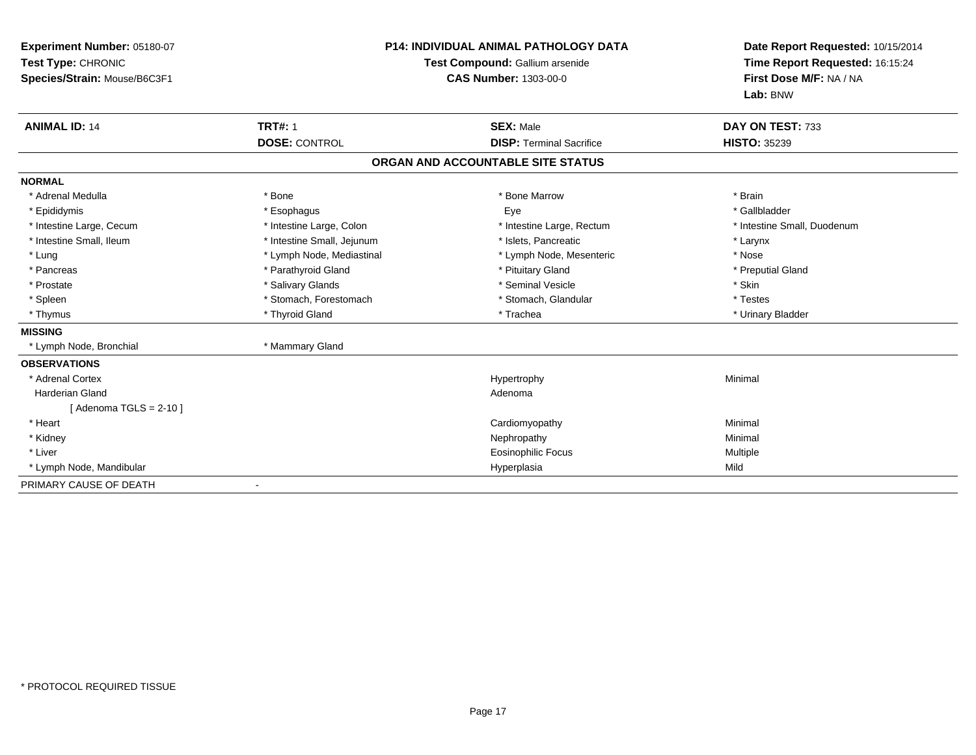| Experiment Number: 05180-07<br>Test Type: CHRONIC<br>Species/Strain: Mouse/B6C3F1<br><b>ANIMAL ID: 14</b> | <b>TRT#: 1</b>             | <b>P14: INDIVIDUAL ANIMAL PATHOLOGY DATA</b><br>Test Compound: Gallium arsenide<br><b>CAS Number: 1303-00-0</b><br><b>SEX: Male</b> | Date Report Requested: 10/15/2014<br>Time Report Requested: 16:15:24<br>First Dose M/F: NA / NA<br>Lab: BNW<br>DAY ON TEST: 733 |
|-----------------------------------------------------------------------------------------------------------|----------------------------|-------------------------------------------------------------------------------------------------------------------------------------|---------------------------------------------------------------------------------------------------------------------------------|
|                                                                                                           | <b>DOSE: CONTROL</b>       | <b>DISP: Terminal Sacrifice</b>                                                                                                     | <b>HISTO: 35239</b>                                                                                                             |
|                                                                                                           |                            | ORGAN AND ACCOUNTABLE SITE STATUS                                                                                                   |                                                                                                                                 |
| <b>NORMAL</b>                                                                                             |                            |                                                                                                                                     |                                                                                                                                 |
| * Adrenal Medulla                                                                                         | * Bone                     | * Bone Marrow                                                                                                                       | * Brain                                                                                                                         |
| * Epididymis                                                                                              | * Esophagus                | Eye                                                                                                                                 | * Gallbladder                                                                                                                   |
| * Intestine Large, Cecum                                                                                  | * Intestine Large, Colon   | * Intestine Large, Rectum                                                                                                           | * Intestine Small, Duodenum                                                                                                     |
| * Intestine Small, Ileum                                                                                  | * Intestine Small, Jejunum | * Islets. Pancreatic                                                                                                                | * Larynx                                                                                                                        |
| * Lung                                                                                                    | * Lymph Node, Mediastinal  | * Lymph Node, Mesenteric                                                                                                            | * Nose                                                                                                                          |
| * Pancreas                                                                                                | * Parathyroid Gland        | * Pituitary Gland                                                                                                                   | * Preputial Gland                                                                                                               |
| * Prostate                                                                                                | * Salivary Glands          | * Seminal Vesicle                                                                                                                   | * Skin                                                                                                                          |
| * Spleen                                                                                                  | * Stomach, Forestomach     | * Stomach, Glandular                                                                                                                | * Testes                                                                                                                        |
| * Thymus                                                                                                  | * Thyroid Gland            | * Trachea                                                                                                                           | * Urinary Bladder                                                                                                               |
| <b>MISSING</b>                                                                                            |                            |                                                                                                                                     |                                                                                                                                 |
| * Lymph Node, Bronchial                                                                                   | * Mammary Gland            |                                                                                                                                     |                                                                                                                                 |
| <b>OBSERVATIONS</b>                                                                                       |                            |                                                                                                                                     |                                                                                                                                 |
| * Adrenal Cortex                                                                                          |                            | Hypertrophy                                                                                                                         | Minimal                                                                                                                         |
| <b>Harderian Gland</b>                                                                                    |                            | Adenoma                                                                                                                             |                                                                                                                                 |
| [Adenoma TGLS = $2-10$ ]                                                                                  |                            |                                                                                                                                     |                                                                                                                                 |
| * Heart                                                                                                   |                            | Cardiomyopathy                                                                                                                      | Minimal                                                                                                                         |
| * Kidney                                                                                                  |                            | Nephropathy                                                                                                                         | Minimal                                                                                                                         |
| * Liver                                                                                                   |                            | <b>Eosinophilic Focus</b>                                                                                                           | Multiple                                                                                                                        |
| * Lymph Node, Mandibular                                                                                  |                            | Hyperplasia                                                                                                                         | Mild                                                                                                                            |
| PRIMARY CAUSE OF DEATH                                                                                    |                            |                                                                                                                                     |                                                                                                                                 |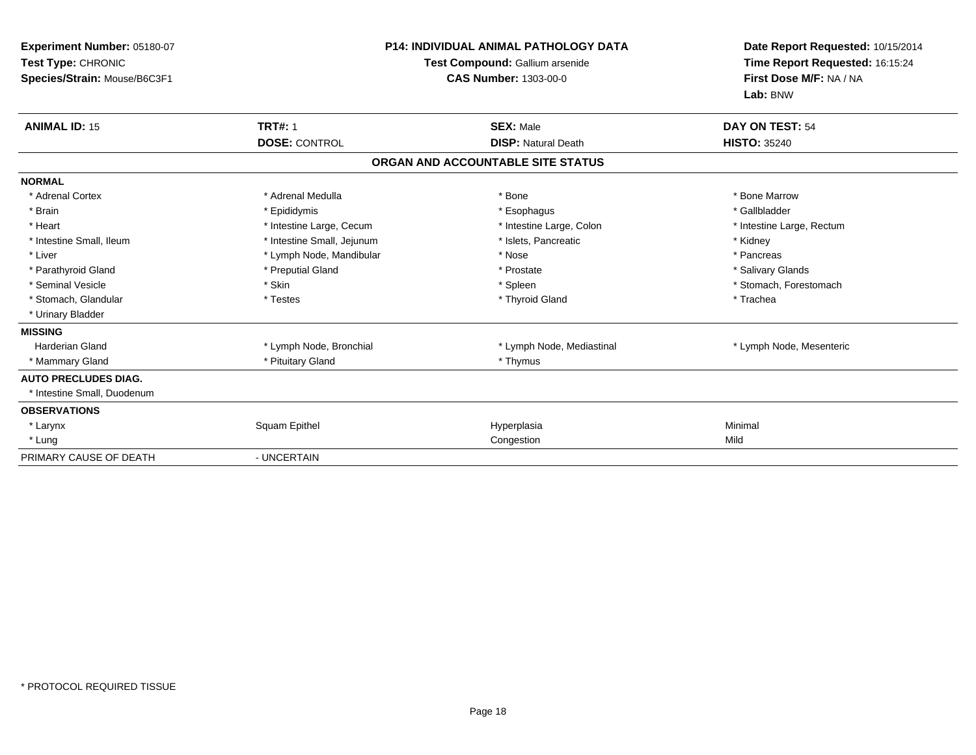| Experiment Number: 05180-07<br>Test Type: CHRONIC<br>Species/Strain: Mouse/B6C3F1 | <b>P14: INDIVIDUAL ANIMAL PATHOLOGY DATA</b><br>Test Compound: Gallium arsenide<br><b>CAS Number: 1303-00-0</b> |                                   | Date Report Requested: 10/15/2014<br>Time Report Requested: 16:15:24<br>First Dose M/F: NA / NA<br>Lab: BNW |  |
|-----------------------------------------------------------------------------------|-----------------------------------------------------------------------------------------------------------------|-----------------------------------|-------------------------------------------------------------------------------------------------------------|--|
| <b>ANIMAL ID: 15</b>                                                              | <b>TRT#: 1</b>                                                                                                  | <b>SEX: Male</b>                  | DAY ON TEST: 54                                                                                             |  |
|                                                                                   | <b>DOSE: CONTROL</b>                                                                                            | <b>DISP: Natural Death</b>        | <b>HISTO: 35240</b>                                                                                         |  |
|                                                                                   |                                                                                                                 | ORGAN AND ACCOUNTABLE SITE STATUS |                                                                                                             |  |
| <b>NORMAL</b>                                                                     |                                                                                                                 |                                   |                                                                                                             |  |
| * Adrenal Cortex                                                                  | * Adrenal Medulla                                                                                               | * Bone                            | * Bone Marrow                                                                                               |  |
| * Brain                                                                           | * Epididymis                                                                                                    | * Esophagus                       | * Gallbladder                                                                                               |  |
| * Heart                                                                           | * Intestine Large, Cecum                                                                                        | * Intestine Large, Colon          | * Intestine Large, Rectum                                                                                   |  |
| * Intestine Small. Ileum                                                          | * Intestine Small, Jejunum                                                                                      | * Islets. Pancreatic              | * Kidney                                                                                                    |  |
| * Liver                                                                           | * Lymph Node, Mandibular                                                                                        | * Nose                            | * Pancreas                                                                                                  |  |
| * Parathyroid Gland                                                               | * Preputial Gland                                                                                               | * Prostate                        | * Salivary Glands                                                                                           |  |
| * Seminal Vesicle                                                                 | * Skin                                                                                                          | * Spleen                          | * Stomach, Forestomach                                                                                      |  |
| * Stomach, Glandular                                                              | * Testes                                                                                                        | * Thyroid Gland                   | * Trachea                                                                                                   |  |
| * Urinary Bladder                                                                 |                                                                                                                 |                                   |                                                                                                             |  |
| <b>MISSING</b>                                                                    |                                                                                                                 |                                   |                                                                                                             |  |
| <b>Harderian Gland</b>                                                            | * Lymph Node, Bronchial                                                                                         | * Lymph Node, Mediastinal         | * Lymph Node, Mesenteric                                                                                    |  |
| * Mammary Gland                                                                   | * Pituitary Gland                                                                                               | * Thymus                          |                                                                                                             |  |
| <b>AUTO PRECLUDES DIAG.</b>                                                       |                                                                                                                 |                                   |                                                                                                             |  |
| * Intestine Small, Duodenum                                                       |                                                                                                                 |                                   |                                                                                                             |  |
| <b>OBSERVATIONS</b>                                                               |                                                                                                                 |                                   |                                                                                                             |  |
| * Larynx                                                                          | Squam Epithel                                                                                                   | Hyperplasia                       | Minimal                                                                                                     |  |
| * Lung                                                                            |                                                                                                                 | Congestion                        | Mild                                                                                                        |  |
| PRIMARY CAUSE OF DEATH                                                            | - UNCERTAIN                                                                                                     |                                   |                                                                                                             |  |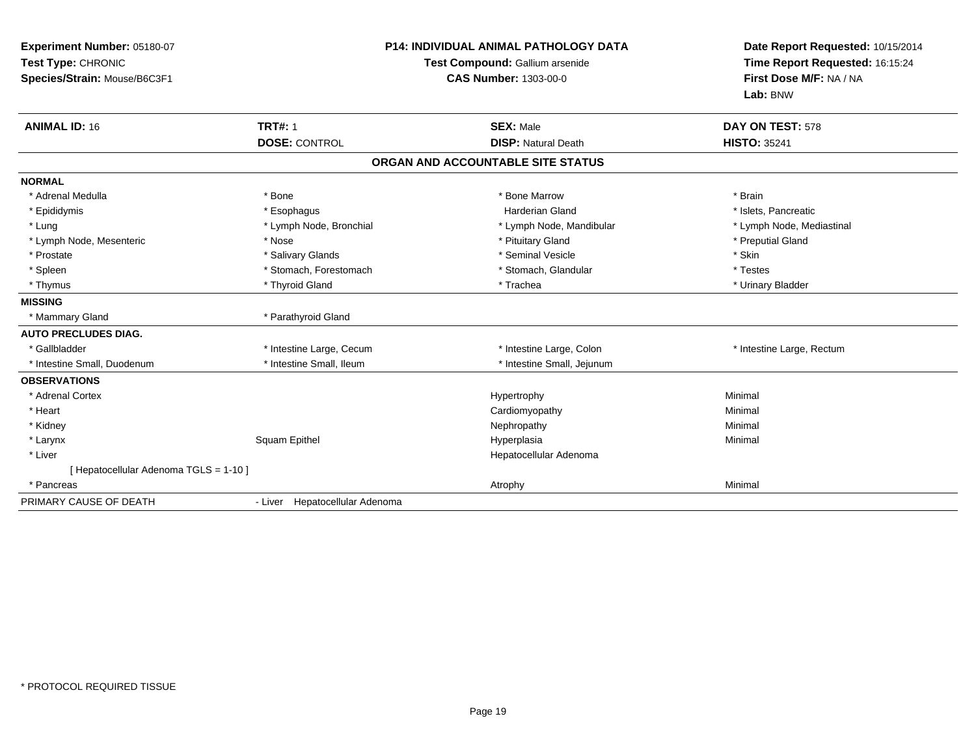| Experiment Number: 05180-07<br>Test Type: CHRONIC<br>Species/Strain: Mouse/B6C3F1<br><b>ANIMAL ID: 16</b> | <b>P14: INDIVIDUAL ANIMAL PATHOLOGY DATA</b><br>Test Compound: Gallium arsenide<br><b>CAS Number: 1303-00-0</b><br><b>TRT#: 1</b><br><b>SEX: Male</b><br><b>DOSE: CONTROL</b><br><b>DISP: Natural Death</b> |                                                        | Date Report Requested: 10/15/2014<br>Time Report Requested: 16:15:24<br>First Dose M/F: NA / NA<br>Lab: BNW<br>DAY ON TEST: 578<br><b>HISTO: 35241</b> |  |
|-----------------------------------------------------------------------------------------------------------|-------------------------------------------------------------------------------------------------------------------------------------------------------------------------------------------------------------|--------------------------------------------------------|--------------------------------------------------------------------------------------------------------------------------------------------------------|--|
|                                                                                                           |                                                                                                                                                                                                             | ORGAN AND ACCOUNTABLE SITE STATUS                      |                                                                                                                                                        |  |
| <b>NORMAL</b><br>* Adrenal Medulla                                                                        | * Bone                                                                                                                                                                                                      | * Bone Marrow                                          | * Brain                                                                                                                                                |  |
| * Epididymis                                                                                              | * Esophagus                                                                                                                                                                                                 | <b>Harderian Gland</b>                                 | * Islets, Pancreatic                                                                                                                                   |  |
| * Lung<br>* Lymph Node, Mesenteric                                                                        | * Lymph Node, Bronchial<br>* Nose                                                                                                                                                                           | * Lymph Node, Mandibular<br>* Pituitary Gland          | * Lymph Node, Mediastinal<br>* Preputial Gland                                                                                                         |  |
| * Prostate<br>* Spleen                                                                                    | * Salivary Glands<br>* Stomach, Forestomach                                                                                                                                                                 | * Seminal Vesicle<br>* Stomach, Glandular              | * Skin<br>* Testes                                                                                                                                     |  |
| * Thymus                                                                                                  | * Thyroid Gland                                                                                                                                                                                             | * Trachea                                              | * Urinary Bladder                                                                                                                                      |  |
| <b>MISSING</b><br>* Mammary Gland                                                                         | * Parathyroid Gland                                                                                                                                                                                         |                                                        |                                                                                                                                                        |  |
| <b>AUTO PRECLUDES DIAG.</b>                                                                               |                                                                                                                                                                                                             |                                                        |                                                                                                                                                        |  |
| * Gallbladder<br>* Intestine Small, Duodenum                                                              | * Intestine Large, Cecum<br>* Intestine Small, Ileum                                                                                                                                                        | * Intestine Large, Colon<br>* Intestine Small, Jejunum | * Intestine Large, Rectum                                                                                                                              |  |
| <b>OBSERVATIONS</b>                                                                                       |                                                                                                                                                                                                             |                                                        |                                                                                                                                                        |  |
| * Adrenal Cortex                                                                                          |                                                                                                                                                                                                             | Hypertrophy                                            | Minimal                                                                                                                                                |  |
| * Heart                                                                                                   |                                                                                                                                                                                                             | Cardiomyopathy                                         | Minimal                                                                                                                                                |  |
| * Kidney                                                                                                  |                                                                                                                                                                                                             | Nephropathy                                            | Minimal                                                                                                                                                |  |
| * Larynx                                                                                                  | Squam Epithel                                                                                                                                                                                               | Hyperplasia                                            | Minimal                                                                                                                                                |  |
| * Liver                                                                                                   |                                                                                                                                                                                                             | Hepatocellular Adenoma                                 |                                                                                                                                                        |  |
| [ Hepatocellular Adenoma TGLS = 1-10 ]                                                                    |                                                                                                                                                                                                             |                                                        |                                                                                                                                                        |  |
| * Pancreas                                                                                                |                                                                                                                                                                                                             | Atrophy                                                | Minimal                                                                                                                                                |  |
| PRIMARY CAUSE OF DEATH                                                                                    | - Liver Hepatocellular Adenoma                                                                                                                                                                              |                                                        |                                                                                                                                                        |  |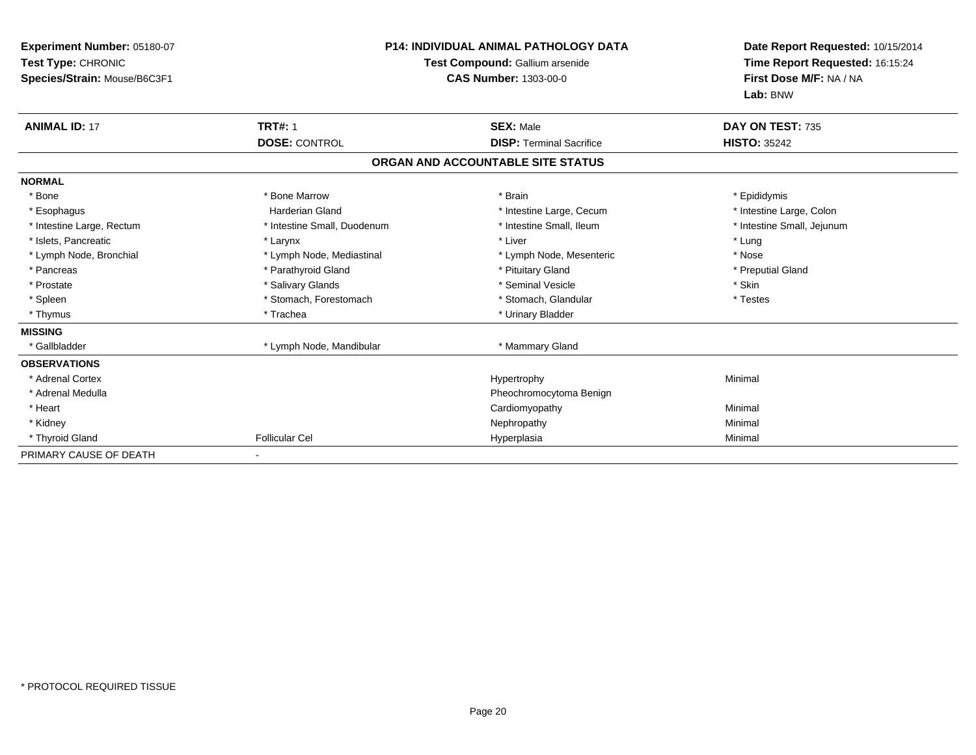| Experiment Number: 05180-07<br>Test Type: CHRONIC<br>Species/Strain: Mouse/B6C3F1 | <b>P14: INDIVIDUAL ANIMAL PATHOLOGY DATA</b><br>Test Compound: Gallium arsenide<br><b>CAS Number: 1303-00-0</b> |                                   | Date Report Requested: 10/15/2014<br>Time Report Requested: 16:15:24<br>First Dose M/F: NA / NA<br>Lab: BNW |
|-----------------------------------------------------------------------------------|-----------------------------------------------------------------------------------------------------------------|-----------------------------------|-------------------------------------------------------------------------------------------------------------|
| <b>ANIMAL ID: 17</b>                                                              | <b>TRT#: 1</b>                                                                                                  | <b>SEX: Male</b>                  | DAY ON TEST: 735                                                                                            |
|                                                                                   | <b>DOSE: CONTROL</b>                                                                                            | <b>DISP: Terminal Sacrifice</b>   | <b>HISTO: 35242</b>                                                                                         |
|                                                                                   |                                                                                                                 | ORGAN AND ACCOUNTABLE SITE STATUS |                                                                                                             |
| <b>NORMAL</b>                                                                     |                                                                                                                 |                                   |                                                                                                             |
| * Bone                                                                            | * Bone Marrow                                                                                                   | * Brain                           | * Epididymis                                                                                                |
| * Esophagus                                                                       | <b>Harderian Gland</b>                                                                                          | * Intestine Large, Cecum          | * Intestine Large, Colon                                                                                    |
| * Intestine Large, Rectum                                                         | * Intestine Small, Duodenum                                                                                     | * Intestine Small, Ileum          | * Intestine Small, Jejunum                                                                                  |
| * Islets, Pancreatic                                                              | * Larynx                                                                                                        | * Liver                           | * Lung                                                                                                      |
| * Lymph Node, Bronchial                                                           | * Lymph Node, Mediastinal                                                                                       | * Lymph Node, Mesenteric          | * Nose                                                                                                      |
| * Pancreas                                                                        | * Parathyroid Gland                                                                                             | * Pituitary Gland                 | * Preputial Gland                                                                                           |
| * Prostate                                                                        | * Salivary Glands                                                                                               | * Seminal Vesicle                 | * Skin                                                                                                      |
| * Spleen                                                                          | * Stomach, Forestomach                                                                                          | * Stomach, Glandular              | * Testes                                                                                                    |
| * Thymus                                                                          | * Trachea                                                                                                       | * Urinary Bladder                 |                                                                                                             |
| <b>MISSING</b>                                                                    |                                                                                                                 |                                   |                                                                                                             |
| * Gallbladder                                                                     | * Lymph Node, Mandibular                                                                                        | * Mammary Gland                   |                                                                                                             |
| <b>OBSERVATIONS</b>                                                               |                                                                                                                 |                                   |                                                                                                             |
| * Adrenal Cortex                                                                  |                                                                                                                 | Hypertrophy                       | Minimal                                                                                                     |
| * Adrenal Medulla                                                                 |                                                                                                                 | Pheochromocytoma Benign           |                                                                                                             |
| * Heart                                                                           |                                                                                                                 | Cardiomyopathy                    | Minimal                                                                                                     |
| * Kidney                                                                          |                                                                                                                 | Nephropathy                       | Minimal                                                                                                     |
| * Thyroid Gland                                                                   | <b>Follicular Cel</b>                                                                                           | Hyperplasia                       | Minimal                                                                                                     |
| PRIMARY CAUSE OF DEATH                                                            |                                                                                                                 |                                   |                                                                                                             |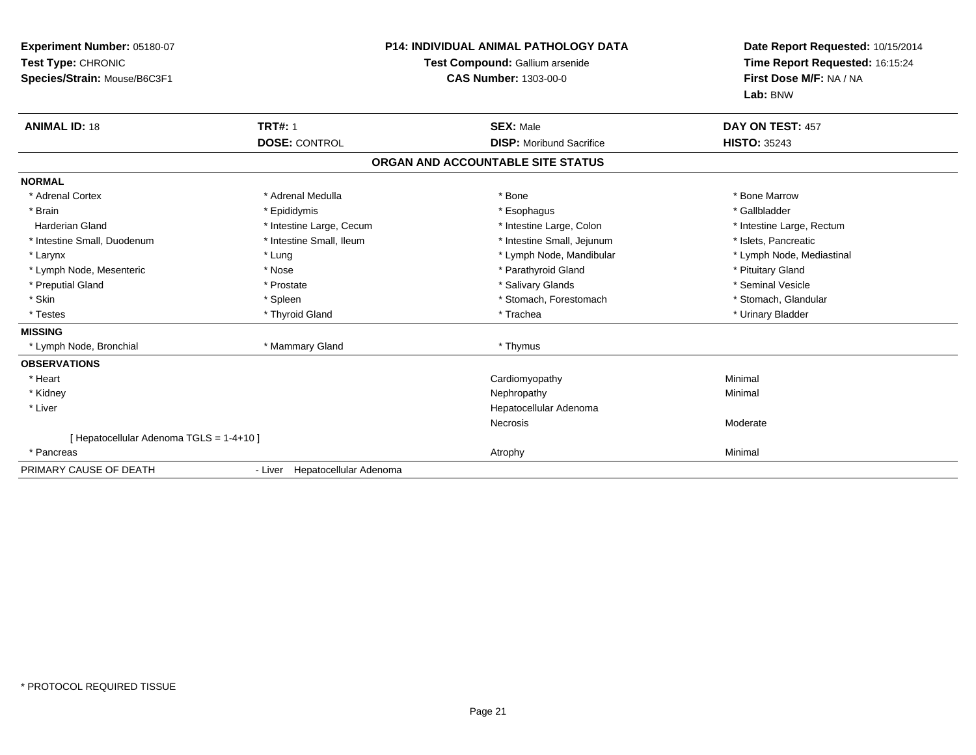| Experiment Number: 05180-07<br>Test Type: CHRONIC<br>Species/Strain: Mouse/B6C3F1 |                                | <b>P14: INDIVIDUAL ANIMAL PATHOLOGY DATA</b><br>Test Compound: Gallium arsenide<br><b>CAS Number: 1303-00-0</b> | Date Report Requested: 10/15/2014<br>Time Report Requested: 16:15:24<br>First Dose M/F: NA / NA<br>Lab: BNW |  |
|-----------------------------------------------------------------------------------|--------------------------------|-----------------------------------------------------------------------------------------------------------------|-------------------------------------------------------------------------------------------------------------|--|
| <b>ANIMAL ID: 18</b>                                                              | <b>TRT#: 1</b>                 | <b>SEX: Male</b>                                                                                                | DAY ON TEST: 457                                                                                            |  |
|                                                                                   | <b>DOSE: CONTROL</b>           | <b>DISP:</b> Moribund Sacrifice                                                                                 | <b>HISTO: 35243</b>                                                                                         |  |
|                                                                                   |                                | ORGAN AND ACCOUNTABLE SITE STATUS                                                                               |                                                                                                             |  |
| <b>NORMAL</b>                                                                     |                                |                                                                                                                 |                                                                                                             |  |
| * Adrenal Cortex                                                                  | * Adrenal Medulla              | * Bone                                                                                                          | * Bone Marrow                                                                                               |  |
| * Brain                                                                           | * Epididymis                   | * Esophagus                                                                                                     | * Gallbladder                                                                                               |  |
| <b>Harderian Gland</b>                                                            | * Intestine Large, Cecum       | * Intestine Large, Colon                                                                                        | * Intestine Large, Rectum                                                                                   |  |
| * Intestine Small, Duodenum                                                       | * Intestine Small, Ileum       | * Intestine Small, Jejunum                                                                                      | * Islets, Pancreatic                                                                                        |  |
| * Larynx                                                                          | * Lung                         | * Lymph Node, Mandibular                                                                                        | * Lymph Node, Mediastinal                                                                                   |  |
| * Lymph Node, Mesenteric                                                          | * Nose                         | * Parathyroid Gland                                                                                             | * Pituitary Gland                                                                                           |  |
| * Preputial Gland                                                                 | * Prostate                     | * Salivary Glands                                                                                               | * Seminal Vesicle                                                                                           |  |
| * Skin                                                                            | * Spleen                       | * Stomach, Forestomach                                                                                          | * Stomach, Glandular                                                                                        |  |
| * Testes                                                                          | * Thyroid Gland                | * Trachea                                                                                                       | * Urinary Bladder                                                                                           |  |
| <b>MISSING</b>                                                                    |                                |                                                                                                                 |                                                                                                             |  |
| * Lymph Node, Bronchial                                                           | * Mammary Gland                | * Thymus                                                                                                        |                                                                                                             |  |
| <b>OBSERVATIONS</b>                                                               |                                |                                                                                                                 |                                                                                                             |  |
| * Heart                                                                           |                                | Cardiomyopathy                                                                                                  | Minimal                                                                                                     |  |
| * Kidney                                                                          |                                | Nephropathy                                                                                                     | Minimal                                                                                                     |  |
| * Liver                                                                           |                                | Hepatocellular Adenoma                                                                                          |                                                                                                             |  |
|                                                                                   |                                | Necrosis                                                                                                        | Moderate                                                                                                    |  |
| [ Hepatocellular Adenoma TGLS = 1-4+10 ]                                          |                                |                                                                                                                 |                                                                                                             |  |
| * Pancreas                                                                        |                                | Atrophy                                                                                                         | Minimal                                                                                                     |  |
| PRIMARY CAUSE OF DEATH                                                            | - Liver Hepatocellular Adenoma |                                                                                                                 |                                                                                                             |  |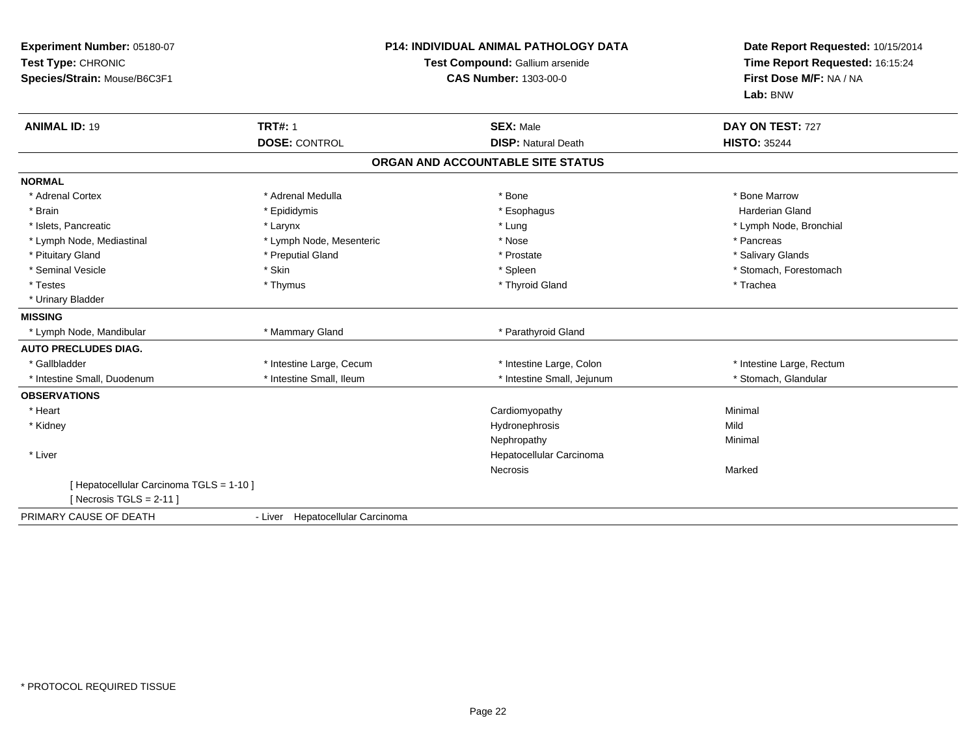| Experiment Number: 05180-07<br>Test Type: CHRONIC<br>Species/Strain: Mouse/B6C3F1 |                                  | <b>P14: INDIVIDUAL ANIMAL PATHOLOGY DATA</b><br>Test Compound: Gallium arsenide<br><b>CAS Number: 1303-00-0</b> | Date Report Requested: 10/15/2014<br>Time Report Requested: 16:15:24<br>First Dose M/F: NA / NA<br>Lab: BNW |
|-----------------------------------------------------------------------------------|----------------------------------|-----------------------------------------------------------------------------------------------------------------|-------------------------------------------------------------------------------------------------------------|
| <b>ANIMAL ID: 19</b>                                                              | <b>TRT#: 1</b>                   | <b>SEX: Male</b>                                                                                                | DAY ON TEST: 727                                                                                            |
|                                                                                   | <b>DOSE: CONTROL</b>             | <b>DISP: Natural Death</b>                                                                                      | <b>HISTO: 35244</b>                                                                                         |
|                                                                                   |                                  | ORGAN AND ACCOUNTABLE SITE STATUS                                                                               |                                                                                                             |
| <b>NORMAL</b>                                                                     |                                  |                                                                                                                 |                                                                                                             |
| * Adrenal Cortex                                                                  | * Adrenal Medulla                | * Bone                                                                                                          | * Bone Marrow                                                                                               |
| * Brain                                                                           | * Epididymis                     | * Esophagus                                                                                                     | <b>Harderian Gland</b>                                                                                      |
| * Islets, Pancreatic                                                              | * Larynx                         | * Lung                                                                                                          | * Lymph Node, Bronchial                                                                                     |
| * Lymph Node, Mediastinal                                                         | * Lymph Node, Mesenteric         | * Nose                                                                                                          | * Pancreas                                                                                                  |
| * Pituitary Gland                                                                 | * Preputial Gland                | * Prostate                                                                                                      | * Salivary Glands                                                                                           |
| * Seminal Vesicle                                                                 | * Skin                           | * Spleen                                                                                                        | * Stomach, Forestomach                                                                                      |
| * Testes                                                                          | * Thymus                         | * Thyroid Gland                                                                                                 | * Trachea                                                                                                   |
| * Urinary Bladder                                                                 |                                  |                                                                                                                 |                                                                                                             |
| <b>MISSING</b>                                                                    |                                  |                                                                                                                 |                                                                                                             |
| * Lymph Node, Mandibular                                                          | * Mammary Gland                  | * Parathyroid Gland                                                                                             |                                                                                                             |
| <b>AUTO PRECLUDES DIAG.</b>                                                       |                                  |                                                                                                                 |                                                                                                             |
| * Gallbladder                                                                     | * Intestine Large, Cecum         | * Intestine Large, Colon                                                                                        | * Intestine Large, Rectum                                                                                   |
| * Intestine Small, Duodenum                                                       | * Intestine Small, Ileum         | * Intestine Small, Jejunum                                                                                      | * Stomach, Glandular                                                                                        |
| <b>OBSERVATIONS</b>                                                               |                                  |                                                                                                                 |                                                                                                             |
| * Heart                                                                           |                                  | Cardiomyopathy                                                                                                  | Minimal                                                                                                     |
| * Kidney                                                                          |                                  | Hydronephrosis                                                                                                  | Mild                                                                                                        |
|                                                                                   |                                  | Nephropathy                                                                                                     | Minimal                                                                                                     |
| * Liver                                                                           |                                  | Hepatocellular Carcinoma                                                                                        |                                                                                                             |
|                                                                                   |                                  | Necrosis                                                                                                        | Marked                                                                                                      |
| [ Hepatocellular Carcinoma TGLS = 1-10 ]<br>[ Necrosis TGLS = $2-11$ ]            |                                  |                                                                                                                 |                                                                                                             |
| PRIMARY CAUSE OF DEATH                                                            | - Liver Hepatocellular Carcinoma |                                                                                                                 |                                                                                                             |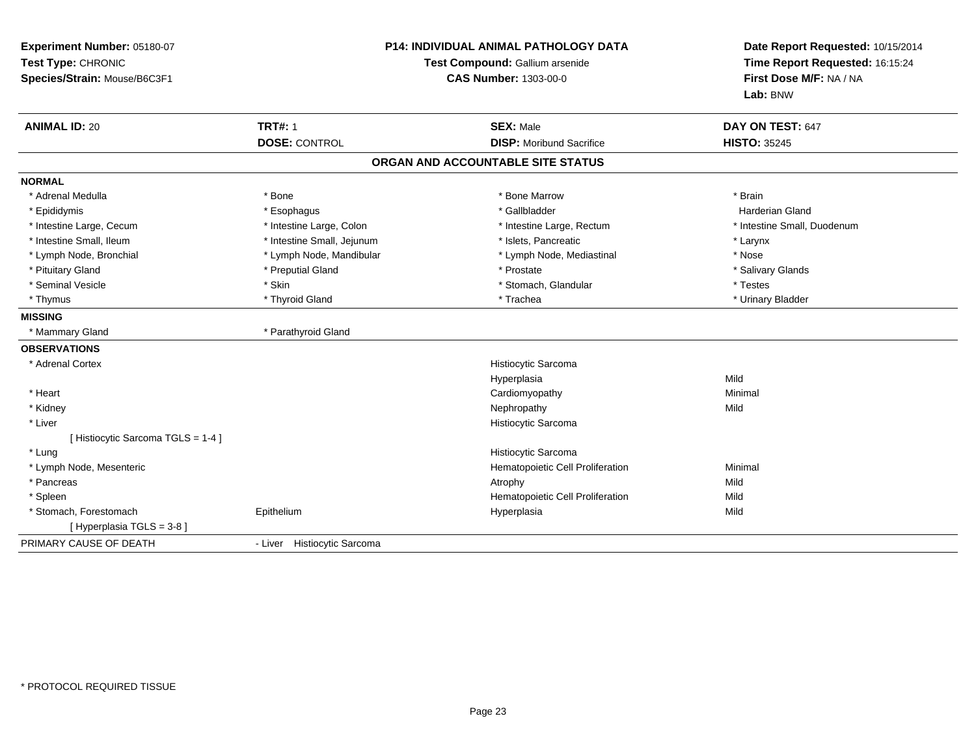| Experiment Number: 05180-07<br>Test Type: CHRONIC<br>Species/Strain: Mouse/B6C3F1 | <b>P14: INDIVIDUAL ANIMAL PATHOLOGY DATA</b><br>Test Compound: Gallium arsenide<br><b>CAS Number: 1303-00-0</b> |                                                     | Date Report Requested: 10/15/2014<br>Time Report Requested: 16:15:24<br>First Dose M/F: NA / NA<br>Lab: BNW |  |
|-----------------------------------------------------------------------------------|-----------------------------------------------------------------------------------------------------------------|-----------------------------------------------------|-------------------------------------------------------------------------------------------------------------|--|
| <b>ANIMAL ID: 20</b>                                                              | <b>TRT#: 1</b><br><b>DOSE: CONTROL</b>                                                                          | <b>SEX: Male</b><br><b>DISP: Moribund Sacrifice</b> | DAY ON TEST: 647<br><b>HISTO: 35245</b>                                                                     |  |
|                                                                                   |                                                                                                                 | ORGAN AND ACCOUNTABLE SITE STATUS                   |                                                                                                             |  |
|                                                                                   |                                                                                                                 |                                                     |                                                                                                             |  |
| <b>NORMAL</b>                                                                     |                                                                                                                 |                                                     |                                                                                                             |  |
| * Adrenal Medulla                                                                 | * Bone                                                                                                          | * Bone Marrow                                       | * Brain                                                                                                     |  |
| * Epididymis                                                                      | * Esophagus                                                                                                     | * Gallbladder                                       | Harderian Gland                                                                                             |  |
| * Intestine Large, Cecum                                                          | * Intestine Large, Colon                                                                                        | * Intestine Large, Rectum                           | * Intestine Small, Duodenum                                                                                 |  |
| * Intestine Small, Ileum                                                          | * Intestine Small, Jejunum                                                                                      | * Islets. Pancreatic                                | * Larynx                                                                                                    |  |
| * Lymph Node, Bronchial                                                           | * Lymph Node, Mandibular                                                                                        | * Lymph Node, Mediastinal                           | * Nose                                                                                                      |  |
| * Pituitary Gland                                                                 | * Preputial Gland                                                                                               | * Prostate                                          | * Salivary Glands                                                                                           |  |
| * Seminal Vesicle                                                                 | * Skin                                                                                                          | * Stomach, Glandular                                | * Testes                                                                                                    |  |
| * Thymus                                                                          | * Thyroid Gland                                                                                                 | * Trachea                                           | * Urinary Bladder                                                                                           |  |
| <b>MISSING</b>                                                                    |                                                                                                                 |                                                     |                                                                                                             |  |
| * Mammary Gland                                                                   | * Parathyroid Gland                                                                                             |                                                     |                                                                                                             |  |
| <b>OBSERVATIONS</b>                                                               |                                                                                                                 |                                                     |                                                                                                             |  |
| * Adrenal Cortex                                                                  |                                                                                                                 | Histiocytic Sarcoma                                 |                                                                                                             |  |
|                                                                                   |                                                                                                                 | Hyperplasia                                         | Mild                                                                                                        |  |
| * Heart                                                                           |                                                                                                                 | Cardiomyopathy                                      | Minimal                                                                                                     |  |
| * Kidney                                                                          |                                                                                                                 | Nephropathy                                         | Mild                                                                                                        |  |
| * Liver                                                                           |                                                                                                                 | Histiocytic Sarcoma                                 |                                                                                                             |  |
| [Histiocytic Sarcoma TGLS = 1-4]                                                  |                                                                                                                 |                                                     |                                                                                                             |  |
| * Lung                                                                            |                                                                                                                 | Histiocytic Sarcoma                                 |                                                                                                             |  |
| * Lymph Node, Mesenteric                                                          |                                                                                                                 | Hematopoietic Cell Proliferation                    | Minimal                                                                                                     |  |
| * Pancreas                                                                        |                                                                                                                 | Atrophy                                             | Mild                                                                                                        |  |
| * Spleen                                                                          |                                                                                                                 | Hematopoietic Cell Proliferation                    | Mild                                                                                                        |  |
| * Stomach, Forestomach                                                            | Epithelium                                                                                                      | Hyperplasia                                         | Mild                                                                                                        |  |
| [ Hyperplasia TGLS = 3-8 ]                                                        |                                                                                                                 |                                                     |                                                                                                             |  |
| PRIMARY CAUSE OF DEATH                                                            | - Liver Histiocytic Sarcoma                                                                                     |                                                     |                                                                                                             |  |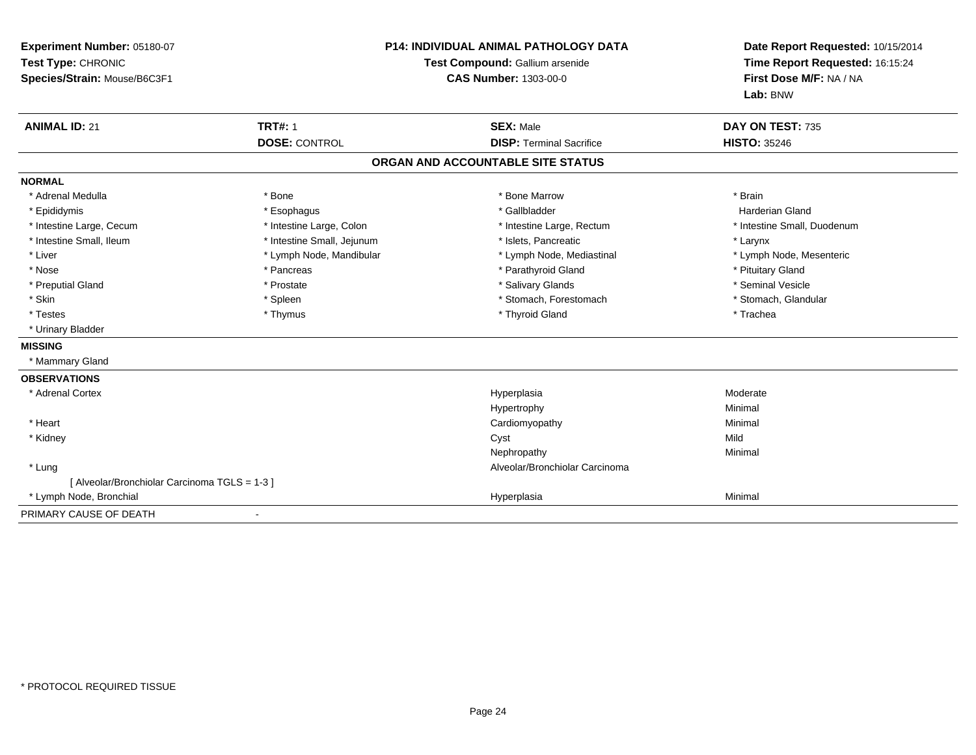| Experiment Number: 05180-07<br>Test Type: CHRONIC<br>Species/Strain: Mouse/B6C3F1 | <b>P14: INDIVIDUAL ANIMAL PATHOLOGY DATA</b><br>Test Compound: Gallium arsenide<br><b>CAS Number: 1303-00-0</b> |                                   | Date Report Requested: 10/15/2014<br>Time Report Requested: 16:15:24<br>First Dose M/F: NA / NA<br>Lab: BNW |
|-----------------------------------------------------------------------------------|-----------------------------------------------------------------------------------------------------------------|-----------------------------------|-------------------------------------------------------------------------------------------------------------|
| <b>ANIMAL ID: 21</b>                                                              | <b>TRT#: 1</b>                                                                                                  | <b>SEX: Male</b>                  | DAY ON TEST: 735                                                                                            |
|                                                                                   | <b>DOSE: CONTROL</b>                                                                                            | <b>DISP: Terminal Sacrifice</b>   | <b>HISTO: 35246</b>                                                                                         |
|                                                                                   |                                                                                                                 | ORGAN AND ACCOUNTABLE SITE STATUS |                                                                                                             |
| <b>NORMAL</b>                                                                     |                                                                                                                 |                                   |                                                                                                             |
| * Adrenal Medulla                                                                 | * Bone                                                                                                          | * Bone Marrow                     | * Brain                                                                                                     |
| * Epididymis                                                                      | * Esophagus                                                                                                     | * Gallbladder                     | <b>Harderian Gland</b>                                                                                      |
| * Intestine Large, Cecum                                                          | * Intestine Large, Colon                                                                                        | * Intestine Large, Rectum         | * Intestine Small, Duodenum                                                                                 |
| * Intestine Small, Ileum                                                          | * Intestine Small, Jejunum                                                                                      | * Islets, Pancreatic              | * Larynx                                                                                                    |
| * Liver                                                                           | * Lymph Node, Mandibular                                                                                        | * Lymph Node, Mediastinal         | * Lymph Node, Mesenteric                                                                                    |
| * Nose                                                                            | * Pancreas                                                                                                      | * Parathyroid Gland               | * Pituitary Gland                                                                                           |
| * Preputial Gland                                                                 | * Prostate                                                                                                      | * Salivary Glands                 | * Seminal Vesicle                                                                                           |
| * Skin                                                                            | * Spleen                                                                                                        | * Stomach, Forestomach            | * Stomach, Glandular                                                                                        |
| * Testes                                                                          | * Thymus                                                                                                        | * Thyroid Gland                   | * Trachea                                                                                                   |
| * Urinary Bladder                                                                 |                                                                                                                 |                                   |                                                                                                             |
| <b>MISSING</b>                                                                    |                                                                                                                 |                                   |                                                                                                             |
| * Mammary Gland                                                                   |                                                                                                                 |                                   |                                                                                                             |
| <b>OBSERVATIONS</b>                                                               |                                                                                                                 |                                   |                                                                                                             |
| * Adrenal Cortex                                                                  |                                                                                                                 | Hyperplasia                       | Moderate                                                                                                    |
|                                                                                   |                                                                                                                 | Hypertrophy                       | Minimal                                                                                                     |
| * Heart                                                                           |                                                                                                                 | Cardiomyopathy                    | Minimal                                                                                                     |
| * Kidney                                                                          |                                                                                                                 | Cyst                              | Mild                                                                                                        |
|                                                                                   |                                                                                                                 | Nephropathy                       | Minimal                                                                                                     |
| * Lung                                                                            |                                                                                                                 | Alveolar/Bronchiolar Carcinoma    |                                                                                                             |
| [ Alveolar/Bronchiolar Carcinoma TGLS = 1-3 ]                                     |                                                                                                                 |                                   |                                                                                                             |
| * Lymph Node, Bronchial                                                           |                                                                                                                 | Hyperplasia                       | Minimal                                                                                                     |
| PRIMARY CAUSE OF DEATH                                                            |                                                                                                                 |                                   |                                                                                                             |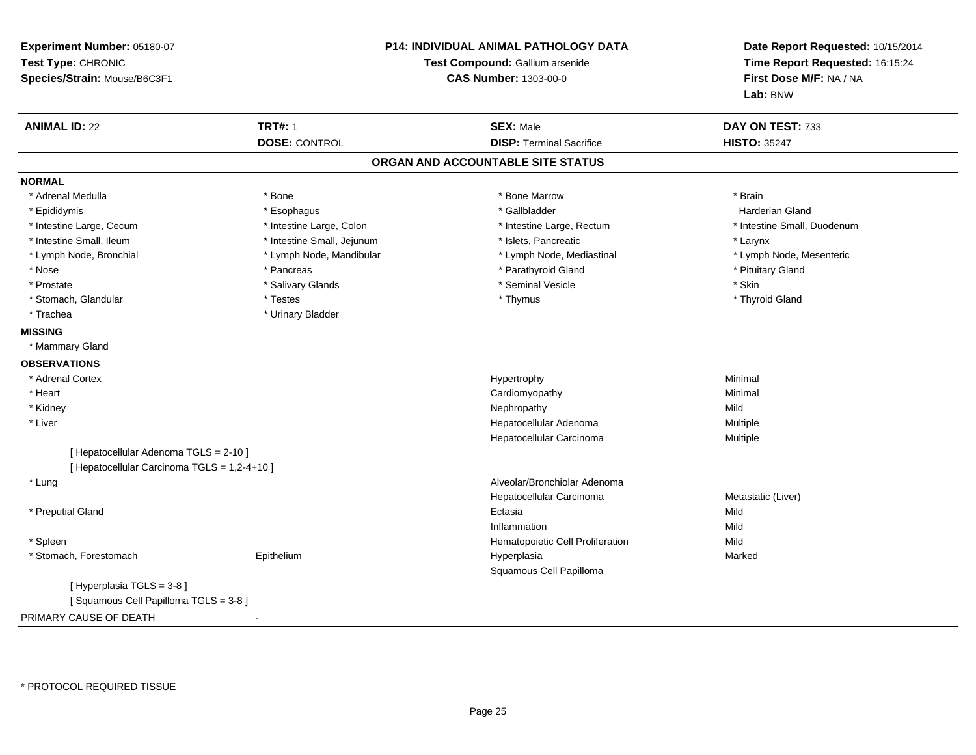| Experiment Number: 05180-07<br>Test Type: CHRONIC<br>Species/Strain: Mouse/B6C3F1 |                            | <b>P14: INDIVIDUAL ANIMAL PATHOLOGY DATA</b><br>Test Compound: Gallium arsenide<br><b>CAS Number: 1303-00-0</b> | Date Report Requested: 10/15/2014<br>Time Report Requested: 16:15:24<br>First Dose M/F: NA / NA<br>Lab: BNW |
|-----------------------------------------------------------------------------------|----------------------------|-----------------------------------------------------------------------------------------------------------------|-------------------------------------------------------------------------------------------------------------|
| <b>ANIMAL ID: 22</b>                                                              | <b>TRT#: 1</b>             | <b>SEX: Male</b>                                                                                                | DAY ON TEST: 733                                                                                            |
|                                                                                   | <b>DOSE: CONTROL</b>       | <b>DISP: Terminal Sacrifice</b>                                                                                 | <b>HISTO: 35247</b>                                                                                         |
|                                                                                   |                            | ORGAN AND ACCOUNTABLE SITE STATUS                                                                               |                                                                                                             |
| <b>NORMAL</b>                                                                     |                            |                                                                                                                 |                                                                                                             |
| * Adrenal Medulla                                                                 | * Bone                     | * Bone Marrow                                                                                                   | * Brain                                                                                                     |
| * Epididymis                                                                      | * Esophagus                | * Gallbladder                                                                                                   | <b>Harderian Gland</b>                                                                                      |
| * Intestine Large, Cecum                                                          | * Intestine Large, Colon   | * Intestine Large, Rectum                                                                                       | * Intestine Small, Duodenum                                                                                 |
| * Intestine Small, Ileum                                                          | * Intestine Small, Jejunum | * Islets, Pancreatic                                                                                            | * Larynx                                                                                                    |
| * Lymph Node, Bronchial                                                           | * Lymph Node, Mandibular   | * Lymph Node, Mediastinal                                                                                       | * Lymph Node, Mesenteric                                                                                    |
| * Nose                                                                            | * Pancreas                 | * Parathyroid Gland                                                                                             | * Pituitary Gland                                                                                           |
| * Prostate                                                                        | * Salivary Glands          | * Seminal Vesicle                                                                                               | * Skin                                                                                                      |
| * Stomach, Glandular                                                              | * Testes                   | * Thymus                                                                                                        | * Thyroid Gland                                                                                             |
| * Trachea                                                                         | * Urinary Bladder          |                                                                                                                 |                                                                                                             |
| <b>MISSING</b>                                                                    |                            |                                                                                                                 |                                                                                                             |
| * Mammary Gland                                                                   |                            |                                                                                                                 |                                                                                                             |
| <b>OBSERVATIONS</b>                                                               |                            |                                                                                                                 |                                                                                                             |
| * Adrenal Cortex                                                                  |                            | Hypertrophy                                                                                                     | Minimal                                                                                                     |
| * Heart                                                                           |                            | Cardiomyopathy                                                                                                  | Minimal                                                                                                     |
| * Kidney                                                                          |                            | Nephropathy                                                                                                     | Mild                                                                                                        |
| * Liver                                                                           |                            | Hepatocellular Adenoma                                                                                          | Multiple                                                                                                    |
|                                                                                   |                            | Hepatocellular Carcinoma                                                                                        | Multiple                                                                                                    |
| [ Hepatocellular Adenoma TGLS = 2-10 ]                                            |                            |                                                                                                                 |                                                                                                             |
| [ Hepatocellular Carcinoma TGLS = 1,2-4+10 ]                                      |                            |                                                                                                                 |                                                                                                             |
| * Lung                                                                            |                            | Alveolar/Bronchiolar Adenoma                                                                                    |                                                                                                             |
|                                                                                   |                            | Hepatocellular Carcinoma                                                                                        | Metastatic (Liver)                                                                                          |
| * Preputial Gland                                                                 |                            | Ectasia                                                                                                         | Mild                                                                                                        |
|                                                                                   |                            | Inflammation                                                                                                    | Mild                                                                                                        |
| * Spleen                                                                          |                            | Hematopoietic Cell Proliferation                                                                                | Mild                                                                                                        |
| * Stomach, Forestomach                                                            | Epithelium                 | Hyperplasia                                                                                                     | Marked                                                                                                      |
|                                                                                   |                            | Squamous Cell Papilloma                                                                                         |                                                                                                             |
| [Hyperplasia TGLS = 3-8]                                                          |                            |                                                                                                                 |                                                                                                             |
| [Squamous Cell Papilloma TGLS = 3-8]                                              |                            |                                                                                                                 |                                                                                                             |
| PRIMARY CAUSE OF DEATH                                                            |                            |                                                                                                                 |                                                                                                             |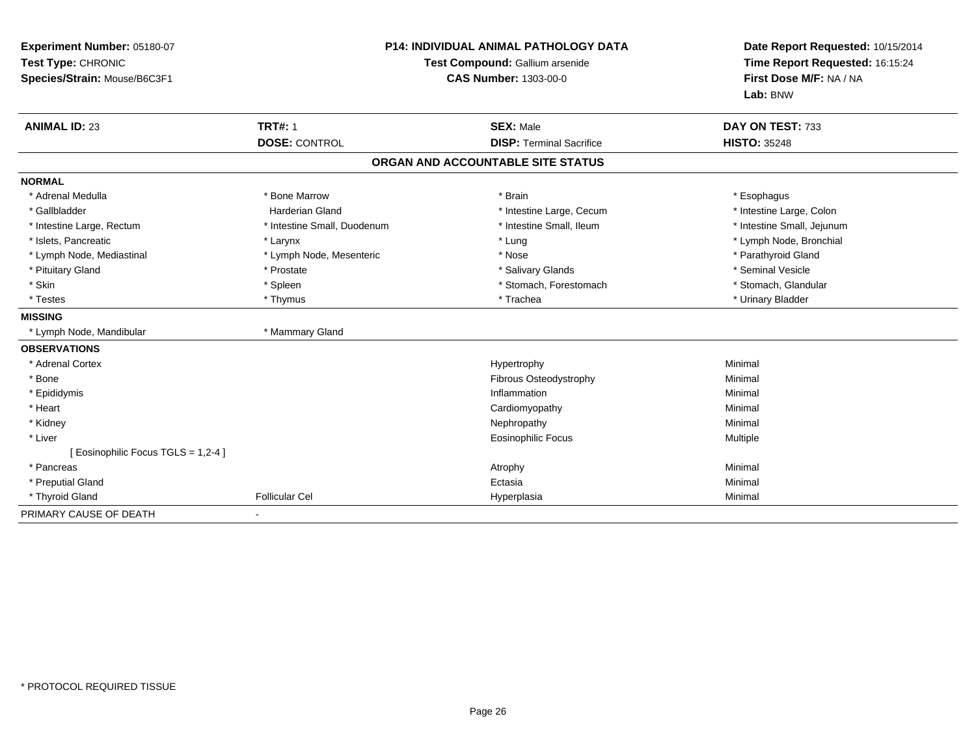| Experiment Number: 05180-07<br>Test Type: CHRONIC<br>Species/Strain: Mouse/B6C3F1 |                             | <b>P14: INDIVIDUAL ANIMAL PATHOLOGY DATA</b><br>Test Compound: Gallium arsenide<br><b>CAS Number: 1303-00-0</b> | Date Report Requested: 10/15/2014<br>Time Report Requested: 16:15:24<br>First Dose M/F: NA / NA<br>Lab: BNW |
|-----------------------------------------------------------------------------------|-----------------------------|-----------------------------------------------------------------------------------------------------------------|-------------------------------------------------------------------------------------------------------------|
| <b>ANIMAL ID: 23</b>                                                              | <b>TRT#: 1</b>              | <b>SEX: Male</b>                                                                                                | DAY ON TEST: 733                                                                                            |
|                                                                                   | <b>DOSE: CONTROL</b>        | <b>DISP: Terminal Sacrifice</b>                                                                                 | <b>HISTO: 35248</b>                                                                                         |
|                                                                                   |                             | ORGAN AND ACCOUNTABLE SITE STATUS                                                                               |                                                                                                             |
| <b>NORMAL</b>                                                                     |                             |                                                                                                                 |                                                                                                             |
| * Adrenal Medulla                                                                 | * Bone Marrow               | * Brain                                                                                                         | * Esophagus                                                                                                 |
| * Gallbladder                                                                     | Harderian Gland             | * Intestine Large, Cecum                                                                                        | * Intestine Large, Colon                                                                                    |
| * Intestine Large, Rectum                                                         | * Intestine Small, Duodenum | * Intestine Small, Ileum                                                                                        | * Intestine Small, Jejunum                                                                                  |
| * Islets, Pancreatic                                                              | * Larynx                    | * Lung                                                                                                          | * Lymph Node, Bronchial                                                                                     |
| * Lymph Node, Mediastinal                                                         | * Lymph Node, Mesenteric    | * Nose                                                                                                          | * Parathyroid Gland                                                                                         |
| * Pituitary Gland                                                                 | * Prostate                  | * Salivary Glands                                                                                               | * Seminal Vesicle                                                                                           |
| * Skin                                                                            | * Spleen                    | * Stomach, Forestomach                                                                                          | * Stomach, Glandular                                                                                        |
| * Testes                                                                          | * Thymus                    | * Trachea                                                                                                       | * Urinary Bladder                                                                                           |
| <b>MISSING</b>                                                                    |                             |                                                                                                                 |                                                                                                             |
| * Lymph Node, Mandibular                                                          | * Mammary Gland             |                                                                                                                 |                                                                                                             |
| <b>OBSERVATIONS</b>                                                               |                             |                                                                                                                 |                                                                                                             |
| * Adrenal Cortex                                                                  |                             | Hypertrophy                                                                                                     | Minimal                                                                                                     |
| * Bone                                                                            |                             | Fibrous Osteodystrophy                                                                                          | Minimal                                                                                                     |
| * Epididymis                                                                      |                             | Inflammation                                                                                                    | Minimal                                                                                                     |
| * Heart                                                                           |                             | Cardiomyopathy                                                                                                  | Minimal                                                                                                     |
| * Kidney                                                                          |                             | Nephropathy                                                                                                     | Minimal                                                                                                     |
| * Liver                                                                           |                             | <b>Eosinophilic Focus</b>                                                                                       | Multiple                                                                                                    |
| [ Eosinophilic Focus TGLS = 1,2-4 ]                                               |                             |                                                                                                                 |                                                                                                             |
| * Pancreas                                                                        |                             | Atrophy                                                                                                         | Minimal                                                                                                     |
| * Preputial Gland                                                                 |                             | Ectasia                                                                                                         | Minimal                                                                                                     |
| * Thyroid Gland                                                                   | <b>Follicular Cel</b>       | Hyperplasia                                                                                                     | Minimal                                                                                                     |
| PRIMARY CAUSE OF DEATH                                                            |                             |                                                                                                                 |                                                                                                             |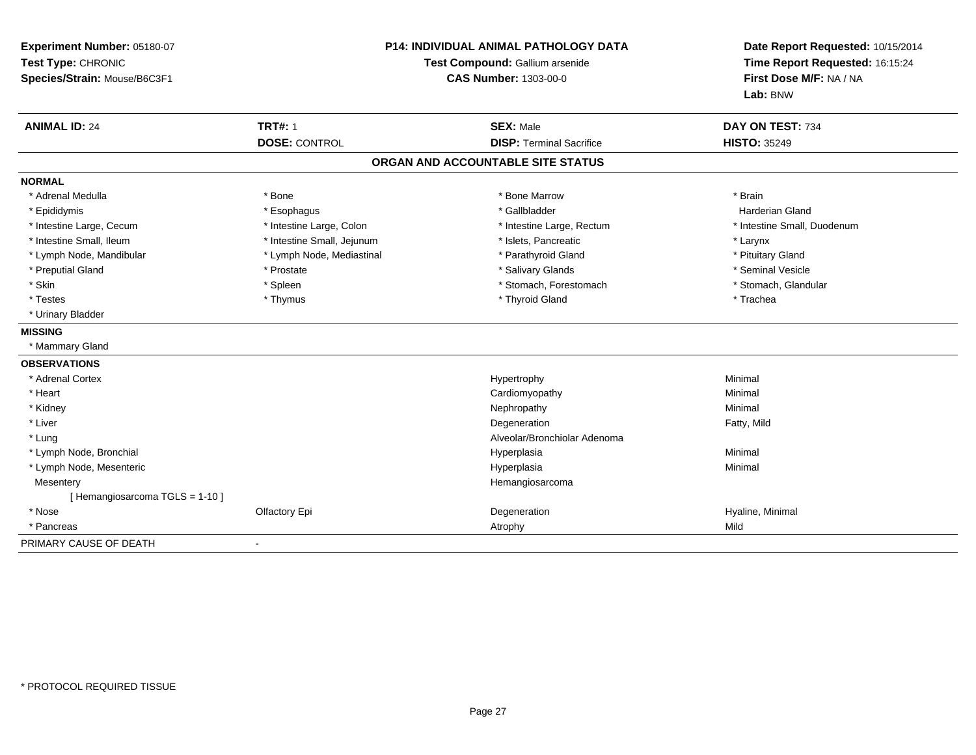| Experiment Number: 05180-07<br>Test Type: CHRONIC<br>Species/Strain: Mouse/B6C3F1 | P14: INDIVIDUAL ANIMAL PATHOLOGY DATA<br>Test Compound: Gallium arsenide<br><b>CAS Number: 1303-00-0</b> |                                   | Date Report Requested: 10/15/2014<br>Time Report Requested: 16:15:24<br>First Dose M/F: NA / NA<br>Lab: BNW |
|-----------------------------------------------------------------------------------|----------------------------------------------------------------------------------------------------------|-----------------------------------|-------------------------------------------------------------------------------------------------------------|
| <b>ANIMAL ID: 24</b>                                                              | <b>TRT#: 1</b>                                                                                           | <b>SEX: Male</b>                  | DAY ON TEST: 734                                                                                            |
|                                                                                   | <b>DOSE: CONTROL</b>                                                                                     | <b>DISP: Terminal Sacrifice</b>   | <b>HISTO: 35249</b>                                                                                         |
|                                                                                   |                                                                                                          | ORGAN AND ACCOUNTABLE SITE STATUS |                                                                                                             |
| <b>NORMAL</b>                                                                     |                                                                                                          |                                   |                                                                                                             |
| * Adrenal Medulla                                                                 | * Bone                                                                                                   | * Bone Marrow                     | * Brain                                                                                                     |
| * Epididymis                                                                      | * Esophagus                                                                                              | * Gallbladder                     | <b>Harderian Gland</b>                                                                                      |
| * Intestine Large, Cecum                                                          | * Intestine Large, Colon                                                                                 | * Intestine Large, Rectum         | * Intestine Small, Duodenum                                                                                 |
| * Intestine Small, Ileum                                                          | * Intestine Small, Jejunum                                                                               | * Islets, Pancreatic              | * Larynx                                                                                                    |
| * Lymph Node, Mandibular                                                          | * Lymph Node, Mediastinal                                                                                | * Parathyroid Gland               | * Pituitary Gland                                                                                           |
| * Preputial Gland                                                                 | * Prostate                                                                                               | * Salivary Glands                 | * Seminal Vesicle                                                                                           |
| * Skin                                                                            | * Spleen                                                                                                 | * Stomach, Forestomach            | * Stomach, Glandular                                                                                        |
| * Testes                                                                          | * Thymus                                                                                                 | * Thyroid Gland                   | * Trachea                                                                                                   |
| * Urinary Bladder                                                                 |                                                                                                          |                                   |                                                                                                             |
| <b>MISSING</b>                                                                    |                                                                                                          |                                   |                                                                                                             |
| * Mammary Gland                                                                   |                                                                                                          |                                   |                                                                                                             |
| <b>OBSERVATIONS</b>                                                               |                                                                                                          |                                   |                                                                                                             |
| * Adrenal Cortex                                                                  |                                                                                                          | Hypertrophy                       | Minimal                                                                                                     |
| * Heart                                                                           |                                                                                                          | Cardiomyopathy                    | Minimal                                                                                                     |
| * Kidney                                                                          |                                                                                                          | Nephropathy                       | Minimal                                                                                                     |
| * Liver                                                                           |                                                                                                          | Degeneration                      | Fatty, Mild                                                                                                 |
| * Lung                                                                            |                                                                                                          | Alveolar/Bronchiolar Adenoma      |                                                                                                             |
| * Lymph Node, Bronchial                                                           |                                                                                                          | Hyperplasia                       | Minimal                                                                                                     |
| * Lymph Node, Mesenteric                                                          |                                                                                                          | Hyperplasia                       | Minimal                                                                                                     |
| Mesentery                                                                         |                                                                                                          | Hemangiosarcoma                   |                                                                                                             |
| [Hemangiosarcoma TGLS = 1-10]                                                     |                                                                                                          |                                   |                                                                                                             |
| * Nose                                                                            | Olfactory Epi                                                                                            | Degeneration                      | Hyaline, Minimal                                                                                            |
| * Pancreas                                                                        |                                                                                                          | Atrophy                           | Mild                                                                                                        |
| PRIMARY CAUSE OF DEATH                                                            |                                                                                                          |                                   |                                                                                                             |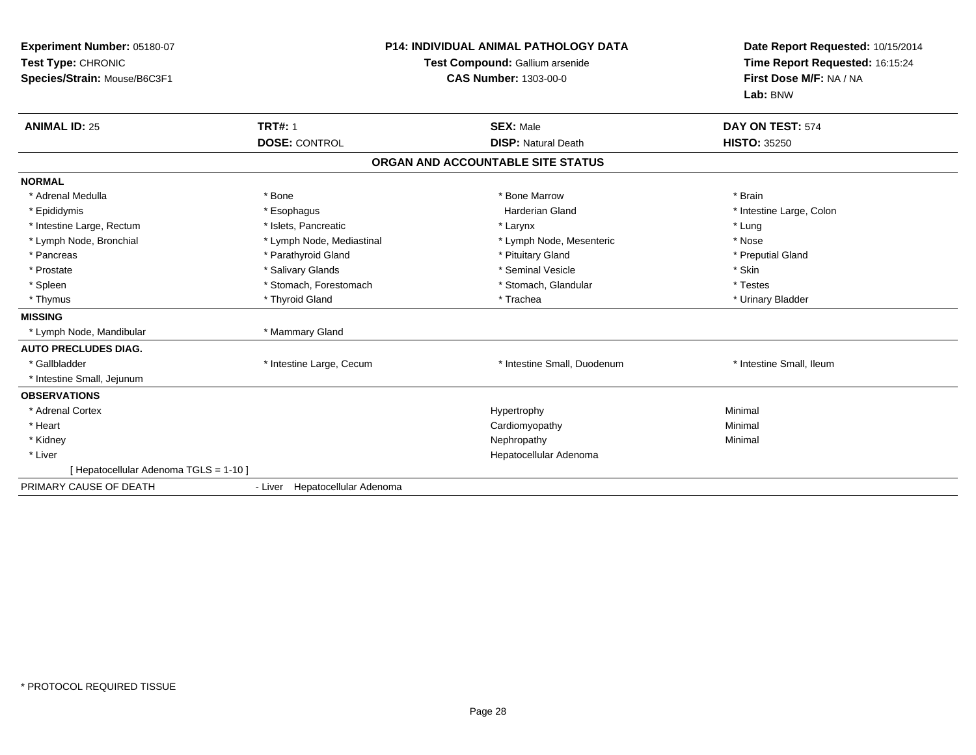| Experiment Number: 05180-07<br>Test Type: CHRONIC<br>Species/Strain: Mouse/B6C3F1 |                                | <b>P14: INDIVIDUAL ANIMAL PATHOLOGY DATA</b><br>Test Compound: Gallium arsenide<br><b>CAS Number: 1303-00-0</b> | Date Report Requested: 10/15/2014<br>Time Report Requested: 16:15:24<br>First Dose M/F: NA / NA<br>Lab: BNW |
|-----------------------------------------------------------------------------------|--------------------------------|-----------------------------------------------------------------------------------------------------------------|-------------------------------------------------------------------------------------------------------------|
| <b>ANIMAL ID: 25</b>                                                              | <b>TRT#: 1</b>                 | <b>SEX: Male</b>                                                                                                | DAY ON TEST: 574                                                                                            |
|                                                                                   | <b>DOSE: CONTROL</b>           | <b>DISP: Natural Death</b>                                                                                      | <b>HISTO: 35250</b>                                                                                         |
|                                                                                   |                                | ORGAN AND ACCOUNTABLE SITE STATUS                                                                               |                                                                                                             |
| <b>NORMAL</b>                                                                     |                                |                                                                                                                 |                                                                                                             |
| * Adrenal Medulla                                                                 | * Bone                         | * Bone Marrow                                                                                                   | * Brain                                                                                                     |
| * Epididymis                                                                      | * Esophagus                    | <b>Harderian Gland</b>                                                                                          | * Intestine Large, Colon                                                                                    |
| * Intestine Large, Rectum                                                         | * Islets, Pancreatic           | * Larynx                                                                                                        | * Lung                                                                                                      |
| * Lymph Node, Bronchial                                                           | * Lymph Node, Mediastinal      | * Lymph Node, Mesenteric                                                                                        | * Nose                                                                                                      |
| * Pancreas                                                                        | * Parathyroid Gland            | * Pituitary Gland                                                                                               | * Preputial Gland                                                                                           |
| * Prostate                                                                        | * Salivary Glands              | * Seminal Vesicle                                                                                               | * Skin                                                                                                      |
| * Spleen                                                                          | * Stomach, Forestomach         | * Stomach, Glandular                                                                                            | * Testes                                                                                                    |
| * Thymus                                                                          | * Thyroid Gland                | * Trachea                                                                                                       | * Urinary Bladder                                                                                           |
| <b>MISSING</b>                                                                    |                                |                                                                                                                 |                                                                                                             |
| * Lymph Node, Mandibular                                                          | * Mammary Gland                |                                                                                                                 |                                                                                                             |
| <b>AUTO PRECLUDES DIAG.</b>                                                       |                                |                                                                                                                 |                                                                                                             |
| * Gallbladder                                                                     | * Intestine Large, Cecum       | * Intestine Small, Duodenum                                                                                     | * Intestine Small, Ileum                                                                                    |
| * Intestine Small, Jejunum                                                        |                                |                                                                                                                 |                                                                                                             |
| <b>OBSERVATIONS</b>                                                               |                                |                                                                                                                 |                                                                                                             |
| * Adrenal Cortex                                                                  |                                | Hypertrophy                                                                                                     | Minimal                                                                                                     |
| * Heart                                                                           |                                | Cardiomyopathy                                                                                                  | Minimal                                                                                                     |
| * Kidney                                                                          |                                | Nephropathy                                                                                                     | Minimal                                                                                                     |
| * Liver                                                                           |                                | Hepatocellular Adenoma                                                                                          |                                                                                                             |
| [ Hepatocellular Adenoma TGLS = 1-10 ]                                            |                                |                                                                                                                 |                                                                                                             |
| PRIMARY CAUSE OF DEATH                                                            | - Liver Hepatocellular Adenoma |                                                                                                                 |                                                                                                             |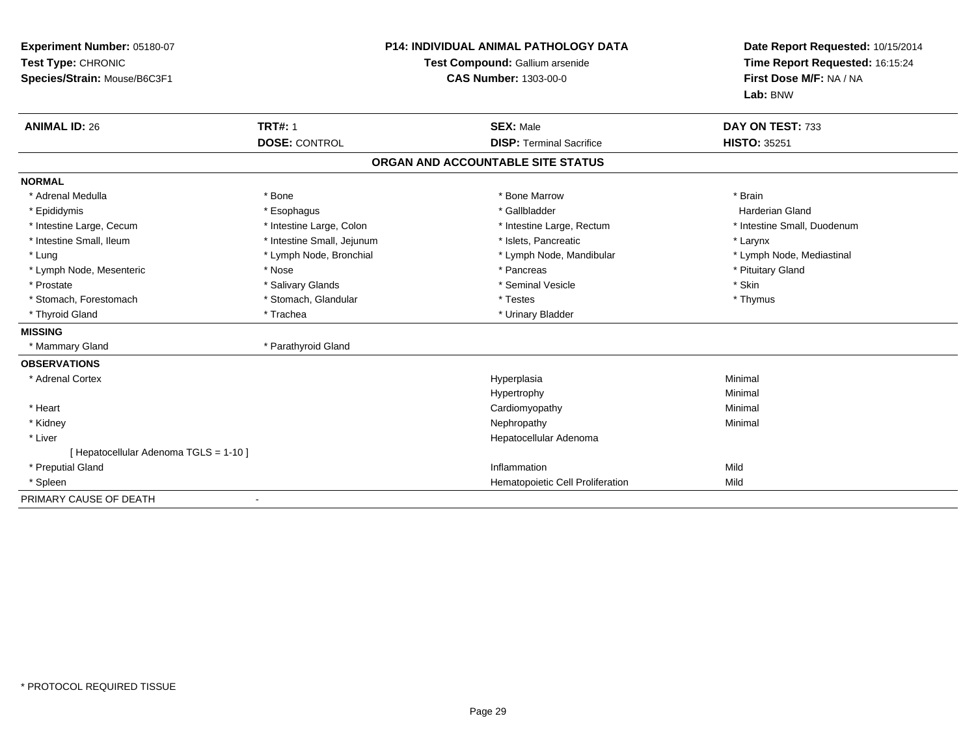| Experiment Number: 05180-07<br>Test Type: CHRONIC<br>Species/Strain: Mouse/B6C3F1<br><b>ANIMAL ID: 26</b> | <b>TRT#: 1</b>             | <b>P14: INDIVIDUAL ANIMAL PATHOLOGY DATA</b><br>Test Compound: Gallium arsenide<br><b>CAS Number: 1303-00-0</b><br><b>SEX: Male</b> | Date Report Requested: 10/15/2014<br>Time Report Requested: 16:15:24<br>First Dose M/F: NA / NA<br>Lab: BNW<br>DAY ON TEST: 733 |
|-----------------------------------------------------------------------------------------------------------|----------------------------|-------------------------------------------------------------------------------------------------------------------------------------|---------------------------------------------------------------------------------------------------------------------------------|
|                                                                                                           | <b>DOSE: CONTROL</b>       | <b>DISP: Terminal Sacrifice</b>                                                                                                     | <b>HISTO: 35251</b>                                                                                                             |
|                                                                                                           |                            | ORGAN AND ACCOUNTABLE SITE STATUS                                                                                                   |                                                                                                                                 |
| <b>NORMAL</b>                                                                                             |                            |                                                                                                                                     |                                                                                                                                 |
| * Adrenal Medulla                                                                                         | * Bone                     | * Bone Marrow                                                                                                                       | * Brain                                                                                                                         |
| * Epididymis                                                                                              | * Esophagus                | * Gallbladder                                                                                                                       | <b>Harderian Gland</b>                                                                                                          |
| * Intestine Large, Cecum                                                                                  | * Intestine Large, Colon   | * Intestine Large, Rectum                                                                                                           | * Intestine Small, Duodenum                                                                                                     |
| * Intestine Small, Ileum                                                                                  | * Intestine Small, Jejunum | * Islets, Pancreatic                                                                                                                | * Larynx                                                                                                                        |
| * Lung                                                                                                    | * Lymph Node, Bronchial    | * Lymph Node, Mandibular                                                                                                            | * Lymph Node, Mediastinal                                                                                                       |
| * Lymph Node, Mesenteric                                                                                  | * Nose                     | * Pancreas                                                                                                                          | * Pituitary Gland                                                                                                               |
| * Prostate                                                                                                | * Salivary Glands          | * Seminal Vesicle                                                                                                                   | * Skin                                                                                                                          |
| * Stomach, Forestomach                                                                                    | * Stomach, Glandular       | * Testes                                                                                                                            | * Thymus                                                                                                                        |
| * Thyroid Gland                                                                                           | * Trachea                  | * Urinary Bladder                                                                                                                   |                                                                                                                                 |
| <b>MISSING</b>                                                                                            |                            |                                                                                                                                     |                                                                                                                                 |
| * Mammary Gland                                                                                           | * Parathyroid Gland        |                                                                                                                                     |                                                                                                                                 |
| <b>OBSERVATIONS</b>                                                                                       |                            |                                                                                                                                     |                                                                                                                                 |
| * Adrenal Cortex                                                                                          |                            | Hyperplasia                                                                                                                         | Minimal                                                                                                                         |
|                                                                                                           |                            | Hypertrophy                                                                                                                         | Minimal                                                                                                                         |
| * Heart                                                                                                   |                            | Cardiomyopathy                                                                                                                      | Minimal                                                                                                                         |
| * Kidney                                                                                                  |                            | Nephropathy                                                                                                                         | Minimal                                                                                                                         |
| * Liver                                                                                                   |                            | Hepatocellular Adenoma                                                                                                              |                                                                                                                                 |
| [ Hepatocellular Adenoma TGLS = 1-10 ]                                                                    |                            |                                                                                                                                     |                                                                                                                                 |
| * Preputial Gland                                                                                         |                            | Inflammation                                                                                                                        | Mild                                                                                                                            |
| * Spleen                                                                                                  |                            | Hematopoietic Cell Proliferation                                                                                                    | Mild                                                                                                                            |
| PRIMARY CAUSE OF DEATH                                                                                    |                            |                                                                                                                                     |                                                                                                                                 |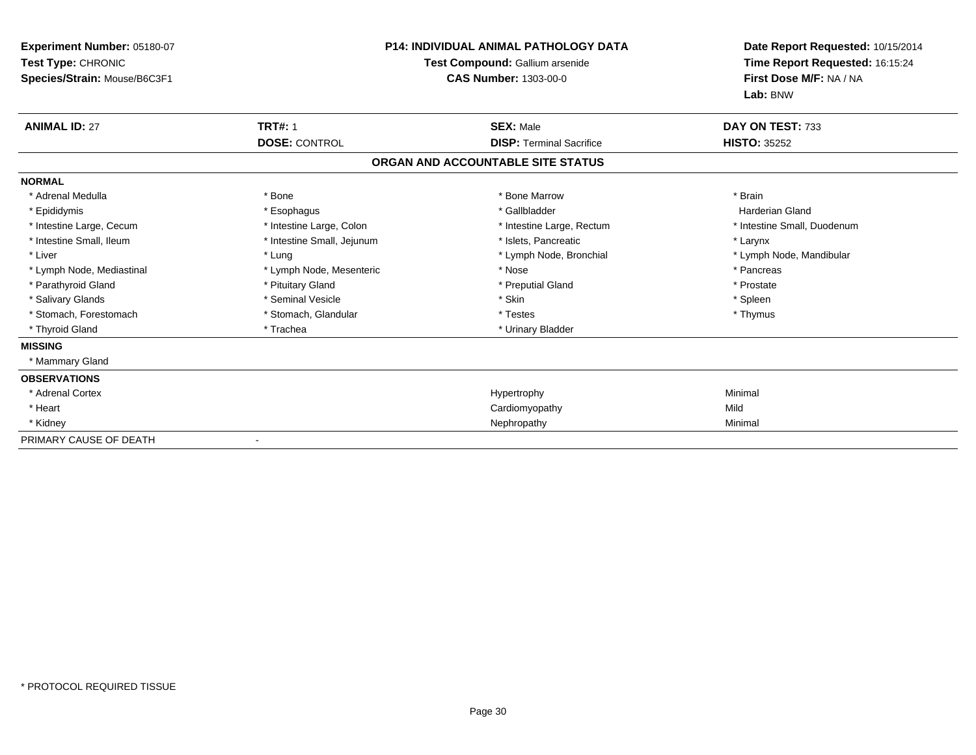| Experiment Number: 05180-07<br>Test Type: CHRONIC<br>Species/Strain: Mouse/B6C3F1 | <b>P14: INDIVIDUAL ANIMAL PATHOLOGY DATA</b><br>Test Compound: Gallium arsenide<br><b>CAS Number: 1303-00-0</b> |                                   | Date Report Requested: 10/15/2014<br>Time Report Requested: 16:15:24<br>First Dose M/F: NA / NA<br>Lab: BNW |
|-----------------------------------------------------------------------------------|-----------------------------------------------------------------------------------------------------------------|-----------------------------------|-------------------------------------------------------------------------------------------------------------|
| <b>ANIMAL ID: 27</b>                                                              | <b>TRT#: 1</b>                                                                                                  | <b>SEX: Male</b>                  | DAY ON TEST: 733                                                                                            |
|                                                                                   | <b>DOSE: CONTROL</b>                                                                                            | <b>DISP: Terminal Sacrifice</b>   | <b>HISTO: 35252</b>                                                                                         |
|                                                                                   |                                                                                                                 | ORGAN AND ACCOUNTABLE SITE STATUS |                                                                                                             |
| <b>NORMAL</b>                                                                     |                                                                                                                 |                                   |                                                                                                             |
| * Adrenal Medulla                                                                 | * Bone                                                                                                          | * Bone Marrow                     | * Brain                                                                                                     |
| * Epididymis                                                                      | * Esophagus                                                                                                     | * Gallbladder                     | <b>Harderian Gland</b>                                                                                      |
| * Intestine Large, Cecum                                                          | * Intestine Large, Colon                                                                                        | * Intestine Large, Rectum         | * Intestine Small, Duodenum                                                                                 |
| * Intestine Small, Ileum                                                          | * Intestine Small, Jejunum                                                                                      | * Islets, Pancreatic              | * Larynx                                                                                                    |
| * Liver                                                                           | * Lung                                                                                                          | * Lymph Node, Bronchial           | * Lymph Node, Mandibular                                                                                    |
| * Lymph Node, Mediastinal                                                         | * Lymph Node, Mesenteric                                                                                        | * Nose                            | * Pancreas                                                                                                  |
| * Parathyroid Gland                                                               | * Pituitary Gland                                                                                               | * Preputial Gland                 | * Prostate                                                                                                  |
| * Salivary Glands                                                                 | * Seminal Vesicle                                                                                               | * Skin                            | * Spleen                                                                                                    |
| * Stomach, Forestomach                                                            | * Stomach, Glandular                                                                                            | * Testes                          | * Thymus                                                                                                    |
| * Thyroid Gland                                                                   | * Trachea                                                                                                       | * Urinary Bladder                 |                                                                                                             |
| <b>MISSING</b>                                                                    |                                                                                                                 |                                   |                                                                                                             |
| * Mammary Gland                                                                   |                                                                                                                 |                                   |                                                                                                             |
| <b>OBSERVATIONS</b>                                                               |                                                                                                                 |                                   |                                                                                                             |
| * Adrenal Cortex                                                                  |                                                                                                                 | Hypertrophy                       | Minimal                                                                                                     |
| * Heart                                                                           |                                                                                                                 | Cardiomyopathy                    | Mild                                                                                                        |
| * Kidney                                                                          |                                                                                                                 | Nephropathy                       | Minimal                                                                                                     |
| PRIMARY CAUSE OF DEATH                                                            |                                                                                                                 |                                   |                                                                                                             |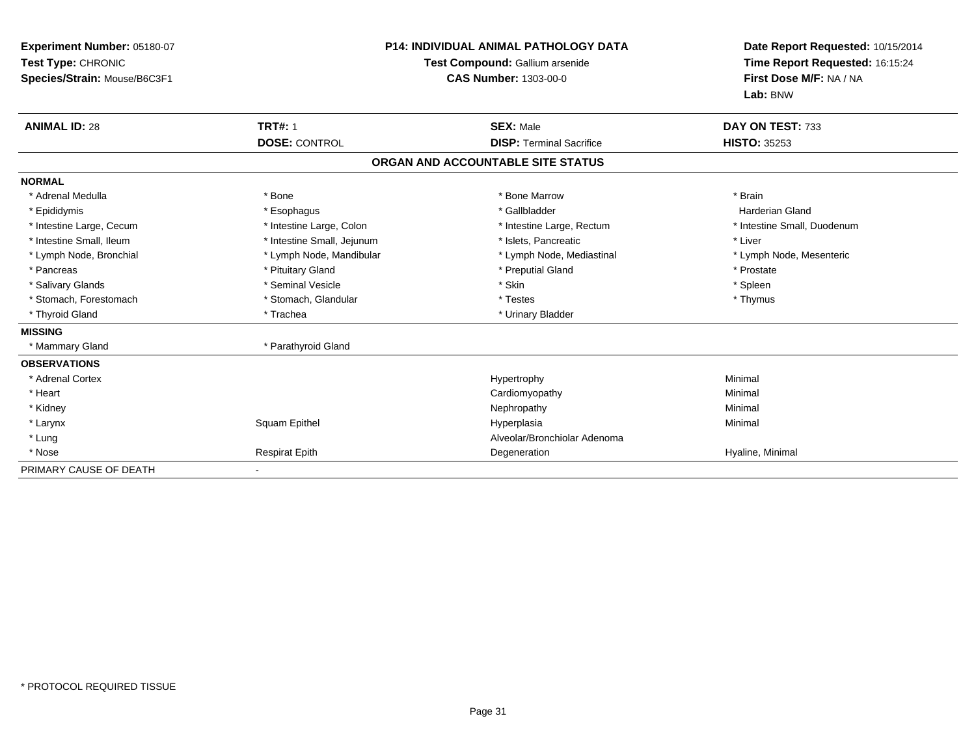| Experiment Number: 05180-07<br>Test Type: CHRONIC<br>Species/Strain: Mouse/B6C3F1 |                            | <b>P14: INDIVIDUAL ANIMAL PATHOLOGY DATA</b><br>Test Compound: Gallium arsenide<br><b>CAS Number: 1303-00-0</b> | Date Report Requested: 10/15/2014<br>Time Report Requested: 16:15:24<br>First Dose M/F: NA / NA<br>Lab: BNW |
|-----------------------------------------------------------------------------------|----------------------------|-----------------------------------------------------------------------------------------------------------------|-------------------------------------------------------------------------------------------------------------|
| <b>ANIMAL ID: 28</b>                                                              | <b>TRT#: 1</b>             | <b>SEX: Male</b>                                                                                                | DAY ON TEST: 733                                                                                            |
|                                                                                   | <b>DOSE: CONTROL</b>       | <b>DISP: Terminal Sacrifice</b>                                                                                 | <b>HISTO: 35253</b>                                                                                         |
|                                                                                   |                            | ORGAN AND ACCOUNTABLE SITE STATUS                                                                               |                                                                                                             |
| <b>NORMAL</b>                                                                     |                            |                                                                                                                 |                                                                                                             |
| * Adrenal Medulla                                                                 | * Bone                     | * Bone Marrow                                                                                                   | * Brain                                                                                                     |
| * Epididymis                                                                      | * Esophagus                | * Gallbladder                                                                                                   | Harderian Gland                                                                                             |
| * Intestine Large, Cecum                                                          | * Intestine Large, Colon   | * Intestine Large, Rectum                                                                                       | * Intestine Small, Duodenum                                                                                 |
| * Intestine Small, Ileum                                                          | * Intestine Small, Jejunum | * Islets. Pancreatic                                                                                            | * Liver                                                                                                     |
| * Lymph Node, Bronchial                                                           | * Lymph Node, Mandibular   | * Lymph Node, Mediastinal                                                                                       | * Lymph Node, Mesenteric                                                                                    |
| * Pancreas                                                                        | * Pituitary Gland          | * Preputial Gland                                                                                               | * Prostate                                                                                                  |
| * Salivary Glands                                                                 | * Seminal Vesicle          | * Skin                                                                                                          | * Spleen                                                                                                    |
| * Stomach, Forestomach                                                            | * Stomach, Glandular       | * Testes                                                                                                        | * Thymus                                                                                                    |
| * Thyroid Gland                                                                   | * Trachea                  | * Urinary Bladder                                                                                               |                                                                                                             |
| <b>MISSING</b>                                                                    |                            |                                                                                                                 |                                                                                                             |
| * Mammary Gland                                                                   | * Parathyroid Gland        |                                                                                                                 |                                                                                                             |
| <b>OBSERVATIONS</b>                                                               |                            |                                                                                                                 |                                                                                                             |
| * Adrenal Cortex                                                                  |                            | Hypertrophy                                                                                                     | Minimal                                                                                                     |
| * Heart                                                                           |                            | Cardiomyopathy                                                                                                  | Minimal                                                                                                     |
| * Kidney                                                                          |                            | Nephropathy                                                                                                     | Minimal                                                                                                     |
| * Larynx                                                                          | Squam Epithel              | Hyperplasia                                                                                                     | Minimal                                                                                                     |
| * Lung                                                                            |                            | Alveolar/Bronchiolar Adenoma                                                                                    |                                                                                                             |
| * Nose                                                                            | <b>Respirat Epith</b>      | Degeneration                                                                                                    | Hyaline, Minimal                                                                                            |
| PRIMARY CAUSE OF DEATH                                                            |                            |                                                                                                                 |                                                                                                             |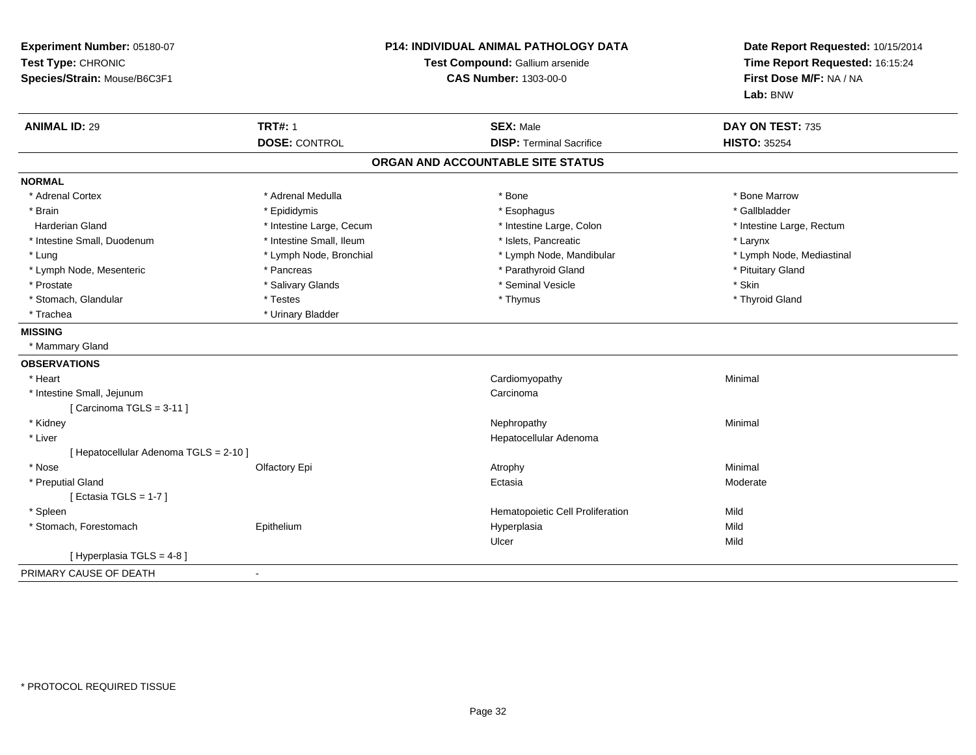| P14: INDIVIDUAL ANIMAL PATHOLOGY DATA<br>Experiment Number: 05180-07<br>Test Type: CHRONIC<br>Test Compound: Gallium arsenide<br>Species/Strain: Mouse/B6C3F1<br><b>CAS Number: 1303-00-0</b> |                          |                                   | Date Report Requested: 10/15/2014<br>Time Report Requested: 16:15:24<br>First Dose M/F: NA / NA<br>Lab: BNW |
|-----------------------------------------------------------------------------------------------------------------------------------------------------------------------------------------------|--------------------------|-----------------------------------|-------------------------------------------------------------------------------------------------------------|
| <b>ANIMAL ID: 29</b>                                                                                                                                                                          | <b>TRT#: 1</b>           | <b>SEX: Male</b>                  | DAY ON TEST: 735                                                                                            |
|                                                                                                                                                                                               | <b>DOSE: CONTROL</b>     | <b>DISP: Terminal Sacrifice</b>   | <b>HISTO: 35254</b>                                                                                         |
|                                                                                                                                                                                               |                          | ORGAN AND ACCOUNTABLE SITE STATUS |                                                                                                             |
| <b>NORMAL</b>                                                                                                                                                                                 |                          |                                   |                                                                                                             |
| * Adrenal Cortex                                                                                                                                                                              | * Adrenal Medulla        | * Bone                            | * Bone Marrow                                                                                               |
| * Brain                                                                                                                                                                                       | * Epididymis             | * Esophagus                       | * Gallbladder                                                                                               |
| <b>Harderian Gland</b>                                                                                                                                                                        | * Intestine Large, Cecum | * Intestine Large, Colon          | * Intestine Large, Rectum                                                                                   |
| * Intestine Small, Duodenum                                                                                                                                                                   | * Intestine Small, Ileum | * Islets, Pancreatic              | * Larynx                                                                                                    |
| * Lung                                                                                                                                                                                        | * Lymph Node, Bronchial  | * Lymph Node, Mandibular          | * Lymph Node, Mediastinal                                                                                   |
| * Lymph Node, Mesenteric                                                                                                                                                                      | * Pancreas               | * Parathyroid Gland               | * Pituitary Gland                                                                                           |
| * Prostate                                                                                                                                                                                    | * Salivary Glands        | * Seminal Vesicle                 | * Skin                                                                                                      |
| * Stomach, Glandular                                                                                                                                                                          | * Testes                 | * Thymus                          | * Thyroid Gland                                                                                             |
| * Trachea                                                                                                                                                                                     | * Urinary Bladder        |                                   |                                                                                                             |
| <b>MISSING</b>                                                                                                                                                                                |                          |                                   |                                                                                                             |
| * Mammary Gland                                                                                                                                                                               |                          |                                   |                                                                                                             |
| <b>OBSERVATIONS</b>                                                                                                                                                                           |                          |                                   |                                                                                                             |
| * Heart                                                                                                                                                                                       |                          | Cardiomyopathy                    | Minimal                                                                                                     |
| * Intestine Small, Jejunum                                                                                                                                                                    |                          | Carcinoma                         |                                                                                                             |
| [ Carcinoma TGLS = 3-11 ]                                                                                                                                                                     |                          |                                   |                                                                                                             |
| * Kidney                                                                                                                                                                                      |                          | Nephropathy                       | Minimal                                                                                                     |
| * Liver                                                                                                                                                                                       |                          | Hepatocellular Adenoma            |                                                                                                             |
| [ Hepatocellular Adenoma TGLS = 2-10 ]                                                                                                                                                        |                          |                                   |                                                                                                             |
| * Nose                                                                                                                                                                                        | Olfactory Epi            | Atrophy                           | Minimal                                                                                                     |
| * Preputial Gland                                                                                                                                                                             |                          | Ectasia                           | Moderate                                                                                                    |
| [Ectasia TGLS = $1-7$ ]                                                                                                                                                                       |                          |                                   |                                                                                                             |
| * Spleen                                                                                                                                                                                      |                          | Hematopoietic Cell Proliferation  | Mild                                                                                                        |
| * Stomach, Forestomach                                                                                                                                                                        | Epithelium               | Hyperplasia                       | Mild                                                                                                        |
|                                                                                                                                                                                               |                          | Ulcer                             | Mild                                                                                                        |
| [ Hyperplasia TGLS = 4-8]                                                                                                                                                                     |                          |                                   |                                                                                                             |
| PRIMARY CAUSE OF DEATH                                                                                                                                                                        | $\overline{\phantom{a}}$ |                                   |                                                                                                             |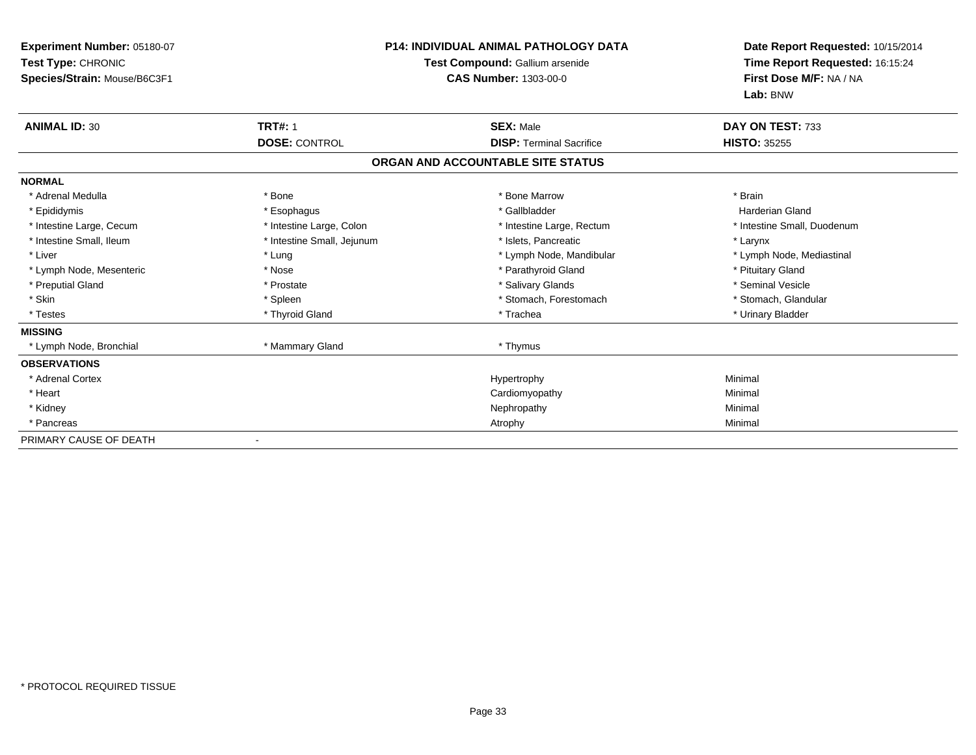| Experiment Number: 05180-07<br>Test Type: CHRONIC<br>Species/Strain: Mouse/B6C3F1 |                            | <b>P14: INDIVIDUAL ANIMAL PATHOLOGY DATA</b><br>Test Compound: Gallium arsenide<br><b>CAS Number: 1303-00-0</b> | Date Report Requested: 10/15/2014<br>Time Report Requested: 16:15:24<br>First Dose M/F: NA / NA<br>Lab: BNW |
|-----------------------------------------------------------------------------------|----------------------------|-----------------------------------------------------------------------------------------------------------------|-------------------------------------------------------------------------------------------------------------|
| <b>ANIMAL ID: 30</b>                                                              | <b>TRT#: 1</b>             | <b>SEX: Male</b>                                                                                                | DAY ON TEST: 733                                                                                            |
|                                                                                   | <b>DOSE: CONTROL</b>       | <b>DISP: Terminal Sacrifice</b>                                                                                 | <b>HISTO: 35255</b>                                                                                         |
|                                                                                   |                            | ORGAN AND ACCOUNTABLE SITE STATUS                                                                               |                                                                                                             |
| <b>NORMAL</b>                                                                     |                            |                                                                                                                 |                                                                                                             |
| * Adrenal Medulla                                                                 | * Bone                     | * Bone Marrow                                                                                                   | * Brain                                                                                                     |
| * Epididymis                                                                      | * Esophagus                | * Gallbladder                                                                                                   | <b>Harderian Gland</b>                                                                                      |
| * Intestine Large, Cecum                                                          | * Intestine Large, Colon   | * Intestine Large, Rectum                                                                                       | * Intestine Small, Duodenum                                                                                 |
| * Intestine Small, Ileum                                                          | * Intestine Small, Jejunum | * Islets, Pancreatic                                                                                            | * Larynx                                                                                                    |
| * Liver                                                                           | * Lung                     | * Lymph Node, Mandibular                                                                                        | * Lymph Node, Mediastinal                                                                                   |
| * Lymph Node, Mesenteric                                                          | * Nose                     | * Parathyroid Gland                                                                                             | * Pituitary Gland                                                                                           |
| * Preputial Gland                                                                 | * Prostate                 | * Salivary Glands                                                                                               | * Seminal Vesicle                                                                                           |
| * Skin                                                                            | * Spleen                   | * Stomach, Forestomach                                                                                          | * Stomach, Glandular                                                                                        |
| * Testes                                                                          | * Thyroid Gland            | * Trachea                                                                                                       | * Urinary Bladder                                                                                           |
| <b>MISSING</b>                                                                    |                            |                                                                                                                 |                                                                                                             |
| * Lymph Node, Bronchial                                                           | * Mammary Gland            | * Thymus                                                                                                        |                                                                                                             |
| <b>OBSERVATIONS</b>                                                               |                            |                                                                                                                 |                                                                                                             |
| * Adrenal Cortex                                                                  |                            | Hypertrophy                                                                                                     | Minimal                                                                                                     |
| * Heart                                                                           |                            | Cardiomyopathy                                                                                                  | Minimal                                                                                                     |
| * Kidney                                                                          |                            | Nephropathy                                                                                                     | Minimal                                                                                                     |
| * Pancreas                                                                        |                            | Atrophy                                                                                                         | Minimal                                                                                                     |
| PRIMARY CAUSE OF DEATH                                                            | $\overline{\phantom{a}}$   |                                                                                                                 |                                                                                                             |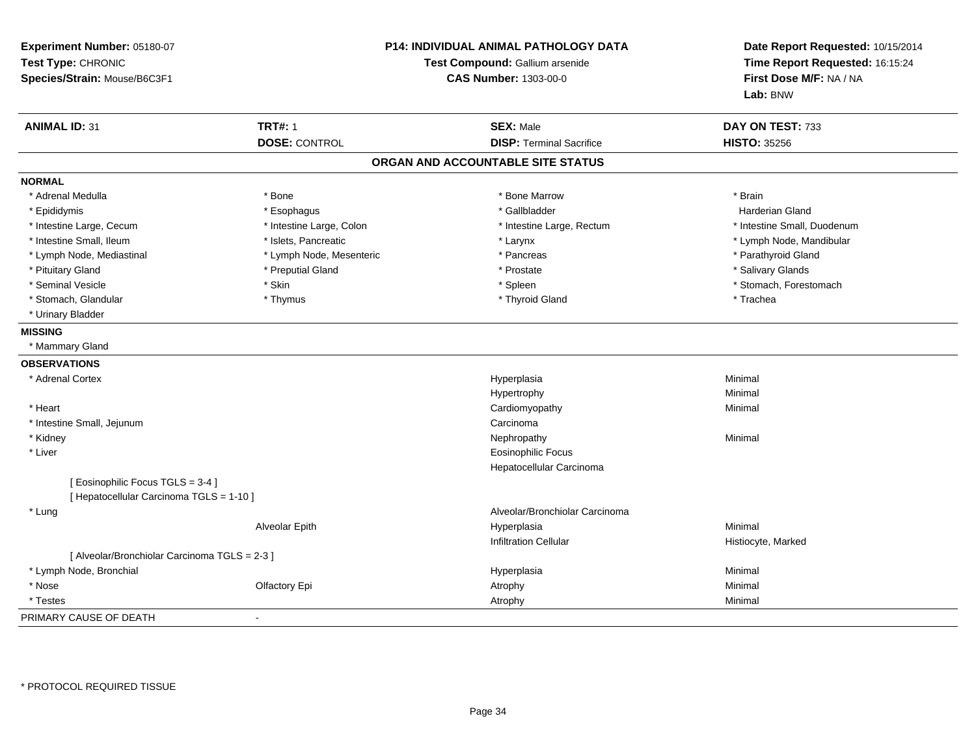| Experiment Number: 05180-07<br>Test Type: CHRONIC<br>Species/Strain: Mouse/B6C3F1 |                          | P14: INDIVIDUAL ANIMAL PATHOLOGY DATA<br>Test Compound: Gallium arsenide<br><b>CAS Number: 1303-00-0</b> | Date Report Requested: 10/15/2014<br>Time Report Requested: 16:15:24<br>First Dose M/F: NA / NA<br>Lab: BNW |
|-----------------------------------------------------------------------------------|--------------------------|----------------------------------------------------------------------------------------------------------|-------------------------------------------------------------------------------------------------------------|
| <b>ANIMAL ID: 31</b>                                                              | <b>TRT#: 1</b>           | <b>SEX: Male</b>                                                                                         | DAY ON TEST: 733                                                                                            |
|                                                                                   | <b>DOSE: CONTROL</b>     | <b>DISP: Terminal Sacrifice</b>                                                                          | <b>HISTO: 35256</b>                                                                                         |
|                                                                                   |                          | ORGAN AND ACCOUNTABLE SITE STATUS                                                                        |                                                                                                             |
| <b>NORMAL</b>                                                                     |                          |                                                                                                          |                                                                                                             |
| * Adrenal Medulla                                                                 | * Bone                   | * Bone Marrow                                                                                            | * Brain                                                                                                     |
| * Epididymis                                                                      | * Esophagus              | * Gallbladder                                                                                            | <b>Harderian Gland</b>                                                                                      |
| * Intestine Large, Cecum                                                          | * Intestine Large, Colon | * Intestine Large, Rectum                                                                                | * Intestine Small, Duodenum                                                                                 |
| * Intestine Small, Ileum                                                          | * Islets, Pancreatic     | * Larynx                                                                                                 | * Lymph Node, Mandibular                                                                                    |
| * Lymph Node, Mediastinal                                                         | * Lymph Node, Mesenteric | * Pancreas                                                                                               | * Parathyroid Gland                                                                                         |
| * Pituitary Gland                                                                 | * Preputial Gland        | * Prostate                                                                                               | * Salivary Glands                                                                                           |
| * Seminal Vesicle                                                                 | * Skin                   | * Spleen                                                                                                 | * Stomach, Forestomach                                                                                      |
| * Stomach, Glandular                                                              | * Thymus                 | * Thyroid Gland                                                                                          | * Trachea                                                                                                   |
| * Urinary Bladder                                                                 |                          |                                                                                                          |                                                                                                             |
| <b>MISSING</b>                                                                    |                          |                                                                                                          |                                                                                                             |
| * Mammary Gland                                                                   |                          |                                                                                                          |                                                                                                             |
| <b>OBSERVATIONS</b>                                                               |                          |                                                                                                          |                                                                                                             |
| * Adrenal Cortex                                                                  |                          | Hyperplasia                                                                                              | Minimal                                                                                                     |
|                                                                                   |                          | Hypertrophy                                                                                              | Minimal                                                                                                     |
| * Heart                                                                           |                          | Cardiomyopathy                                                                                           | Minimal                                                                                                     |
| * Intestine Small, Jejunum                                                        |                          | Carcinoma                                                                                                |                                                                                                             |
| * Kidney                                                                          |                          | Nephropathy                                                                                              | Minimal                                                                                                     |
| * Liver                                                                           |                          | <b>Eosinophilic Focus</b>                                                                                |                                                                                                             |
|                                                                                   |                          | Hepatocellular Carcinoma                                                                                 |                                                                                                             |
| [Eosinophilic Focus TGLS = 3-4]                                                   |                          |                                                                                                          |                                                                                                             |
| [ Hepatocellular Carcinoma TGLS = 1-10 ]                                          |                          |                                                                                                          |                                                                                                             |
| * Lung                                                                            |                          | Alveolar/Bronchiolar Carcinoma                                                                           |                                                                                                             |
|                                                                                   | Alveolar Epith           | Hyperplasia                                                                                              | Minimal                                                                                                     |
|                                                                                   |                          | <b>Infiltration Cellular</b>                                                                             | Histiocyte, Marked                                                                                          |
| [ Alveolar/Bronchiolar Carcinoma TGLS = 2-3 ]                                     |                          |                                                                                                          |                                                                                                             |
| * Lymph Node, Bronchial                                                           |                          | Hyperplasia                                                                                              | Minimal                                                                                                     |
| * Nose                                                                            | Olfactory Epi            | Atrophy                                                                                                  | Minimal                                                                                                     |
| * Testes                                                                          |                          | Atrophy                                                                                                  | Minimal                                                                                                     |
| PRIMARY CAUSE OF DEATH                                                            | ÷.                       |                                                                                                          |                                                                                                             |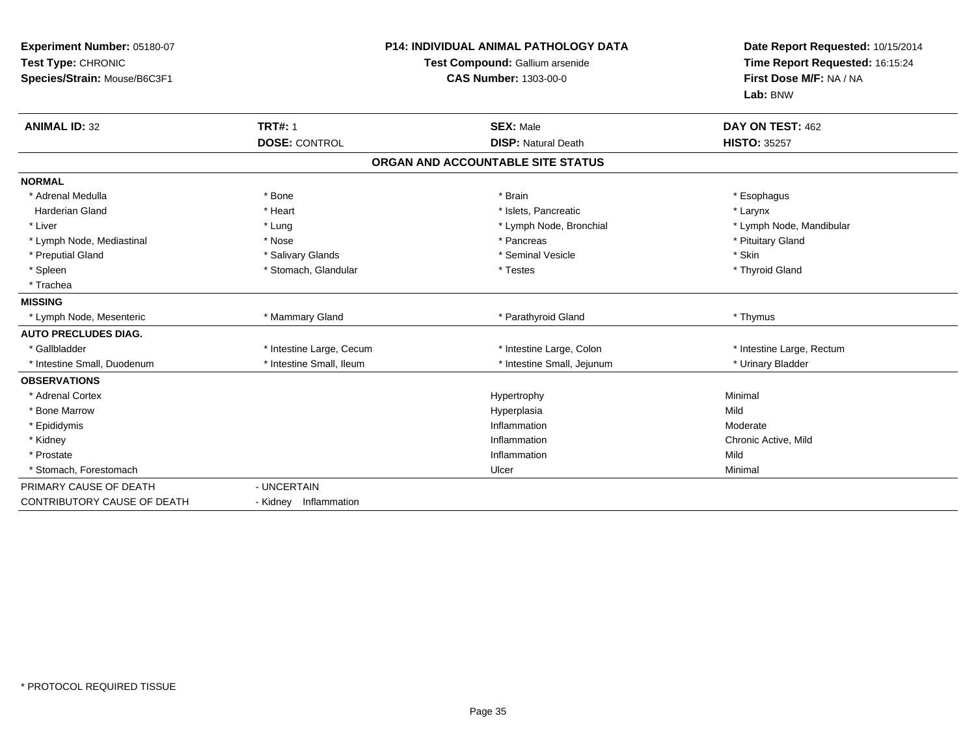| Experiment Number: 05180-07<br>Test Type: CHRONIC<br>Species/Strain: Mouse/B6C3F1 |                          | <b>P14: INDIVIDUAL ANIMAL PATHOLOGY DATA</b><br>Test Compound: Gallium arsenide<br><b>CAS Number: 1303-00-0</b> | Date Report Requested: 10/15/2014<br>Time Report Requested: 16:15:24<br>First Dose M/F: NA / NA<br>Lab: BNW |
|-----------------------------------------------------------------------------------|--------------------------|-----------------------------------------------------------------------------------------------------------------|-------------------------------------------------------------------------------------------------------------|
| <b>ANIMAL ID: 32</b>                                                              | <b>TRT#: 1</b>           | <b>SEX: Male</b>                                                                                                | DAY ON TEST: 462                                                                                            |
|                                                                                   | <b>DOSE: CONTROL</b>     | <b>DISP: Natural Death</b>                                                                                      | <b>HISTO: 35257</b>                                                                                         |
|                                                                                   |                          | ORGAN AND ACCOUNTABLE SITE STATUS                                                                               |                                                                                                             |
| <b>NORMAL</b>                                                                     |                          |                                                                                                                 |                                                                                                             |
| * Adrenal Medulla                                                                 | * Bone                   | * Brain                                                                                                         | * Esophagus                                                                                                 |
| Harderian Gland                                                                   | * Heart                  | * Islets, Pancreatic                                                                                            | * Larynx                                                                                                    |
| * Liver                                                                           | * Lung                   | * Lymph Node, Bronchial                                                                                         | * Lymph Node, Mandibular                                                                                    |
| * Lymph Node, Mediastinal                                                         | * Nose                   | * Pancreas                                                                                                      | * Pituitary Gland                                                                                           |
| * Preputial Gland                                                                 | * Salivary Glands        | * Seminal Vesicle                                                                                               | * Skin                                                                                                      |
| * Spleen                                                                          | * Stomach, Glandular     | * Testes                                                                                                        | * Thyroid Gland                                                                                             |
| * Trachea                                                                         |                          |                                                                                                                 |                                                                                                             |
| <b>MISSING</b>                                                                    |                          |                                                                                                                 |                                                                                                             |
| * Lymph Node, Mesenteric                                                          | * Mammary Gland          | * Parathyroid Gland                                                                                             | * Thymus                                                                                                    |
| <b>AUTO PRECLUDES DIAG.</b>                                                       |                          |                                                                                                                 |                                                                                                             |
| * Gallbladder                                                                     | * Intestine Large, Cecum | * Intestine Large, Colon                                                                                        | * Intestine Large, Rectum                                                                                   |
| * Intestine Small, Duodenum                                                       | * Intestine Small. Ileum | * Intestine Small, Jejunum                                                                                      | * Urinary Bladder                                                                                           |
| <b>OBSERVATIONS</b>                                                               |                          |                                                                                                                 |                                                                                                             |
| * Adrenal Cortex                                                                  |                          | Hypertrophy                                                                                                     | Minimal                                                                                                     |
| * Bone Marrow                                                                     |                          | Hyperplasia                                                                                                     | Mild                                                                                                        |
| * Epididymis                                                                      |                          | Inflammation                                                                                                    | Moderate                                                                                                    |
| * Kidney                                                                          |                          | Inflammation                                                                                                    | Chronic Active, Mild                                                                                        |
| * Prostate                                                                        |                          | Inflammation                                                                                                    | Mild                                                                                                        |
| * Stomach, Forestomach                                                            |                          | Ulcer                                                                                                           | Minimal                                                                                                     |
| PRIMARY CAUSE OF DEATH                                                            | - UNCERTAIN              |                                                                                                                 |                                                                                                             |
| <b>CONTRIBUTORY CAUSE OF DEATH</b>                                                | - Kidney Inflammation    |                                                                                                                 |                                                                                                             |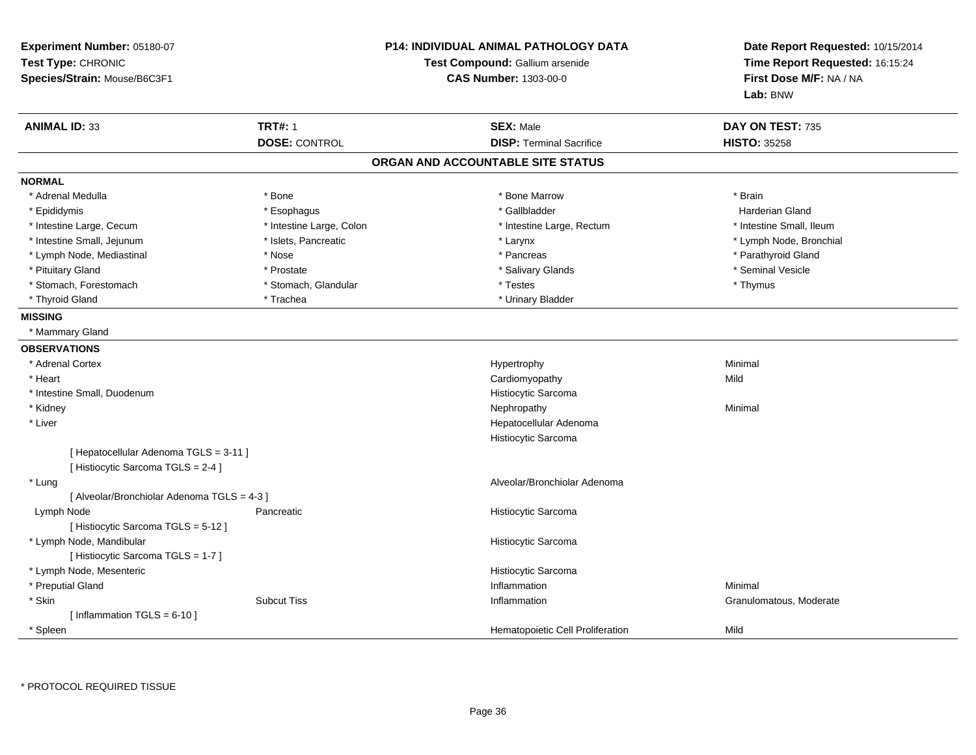| Experiment Number: 05180-07<br>Test Type: CHRONIC<br>Species/Strain: Mouse/B6C3F1 |                          | <b>P14: INDIVIDUAL ANIMAL PATHOLOGY DATA</b><br>Test Compound: Gallium arsenide<br><b>CAS Number: 1303-00-0</b> | Date Report Requested: 10/15/2014<br>Time Report Requested: 16:15:24<br>First Dose M/F: NA / NA<br>Lab: BNW |
|-----------------------------------------------------------------------------------|--------------------------|-----------------------------------------------------------------------------------------------------------------|-------------------------------------------------------------------------------------------------------------|
| <b>ANIMAL ID: 33</b>                                                              | <b>TRT#: 1</b>           | <b>SEX: Male</b>                                                                                                | DAY ON TEST: 735                                                                                            |
|                                                                                   | <b>DOSE: CONTROL</b>     | <b>DISP: Terminal Sacrifice</b>                                                                                 | <b>HISTO: 35258</b>                                                                                         |
|                                                                                   |                          | ORGAN AND ACCOUNTABLE SITE STATUS                                                                               |                                                                                                             |
| <b>NORMAL</b>                                                                     |                          |                                                                                                                 |                                                                                                             |
| * Adrenal Medulla                                                                 | * Bone                   | * Bone Marrow                                                                                                   | * Brain                                                                                                     |
| * Epididymis                                                                      | * Esophagus              | * Gallbladder                                                                                                   | <b>Harderian Gland</b>                                                                                      |
| * Intestine Large, Cecum                                                          | * Intestine Large, Colon | * Intestine Large, Rectum                                                                                       | * Intestine Small, Ileum                                                                                    |
| * Intestine Small, Jejunum                                                        | * Islets, Pancreatic     | * Larynx                                                                                                        | * Lymph Node, Bronchial                                                                                     |
| * Lymph Node, Mediastinal                                                         | * Nose                   | * Pancreas                                                                                                      | * Parathyroid Gland                                                                                         |
| * Pituitary Gland                                                                 | * Prostate               | * Salivary Glands                                                                                               | * Seminal Vesicle                                                                                           |
| * Stomach, Forestomach                                                            | * Stomach, Glandular     | * Testes                                                                                                        | * Thymus                                                                                                    |
| * Thyroid Gland                                                                   | * Trachea                | * Urinary Bladder                                                                                               |                                                                                                             |
| <b>MISSING</b>                                                                    |                          |                                                                                                                 |                                                                                                             |
| * Mammary Gland                                                                   |                          |                                                                                                                 |                                                                                                             |
| <b>OBSERVATIONS</b>                                                               |                          |                                                                                                                 |                                                                                                             |
| * Adrenal Cortex                                                                  |                          | Hypertrophy                                                                                                     | Minimal                                                                                                     |
| * Heart                                                                           |                          | Cardiomyopathy                                                                                                  | Mild                                                                                                        |
| * Intestine Small, Duodenum                                                       |                          | Histiocytic Sarcoma                                                                                             |                                                                                                             |
| * Kidney                                                                          |                          | Nephropathy                                                                                                     | Minimal                                                                                                     |
| * Liver                                                                           |                          | Hepatocellular Adenoma                                                                                          |                                                                                                             |
|                                                                                   |                          | Histiocytic Sarcoma                                                                                             |                                                                                                             |
| [ Hepatocellular Adenoma TGLS = 3-11 ]<br>[ Histiocytic Sarcoma TGLS = 2-4 ]      |                          |                                                                                                                 |                                                                                                             |
| * Lung<br>[ Alveolar/Bronchiolar Adenoma TGLS = 4-3 ]                             |                          | Alveolar/Bronchiolar Adenoma                                                                                    |                                                                                                             |
| Lymph Node<br>[ Histiocytic Sarcoma TGLS = 5-12 ]                                 | Pancreatic               | Histiocytic Sarcoma                                                                                             |                                                                                                             |
| * Lymph Node, Mandibular<br>[Histiocytic Sarcoma TGLS = 1-7]                      |                          | Histiocytic Sarcoma                                                                                             |                                                                                                             |
| * Lymph Node, Mesenteric                                                          |                          | Histiocytic Sarcoma                                                                                             |                                                                                                             |
| * Preputial Gland                                                                 |                          | Inflammation                                                                                                    | Minimal                                                                                                     |
| * Skin                                                                            | <b>Subcut Tiss</b>       | Inflammation                                                                                                    | Granulomatous, Moderate                                                                                     |
| [Inflammation TGLS = $6-10$ ]                                                     |                          |                                                                                                                 |                                                                                                             |
| * Spleen                                                                          |                          | Hematopoietic Cell Proliferation                                                                                | Mild                                                                                                        |

\* PROTOCOL REQUIRED TISSUE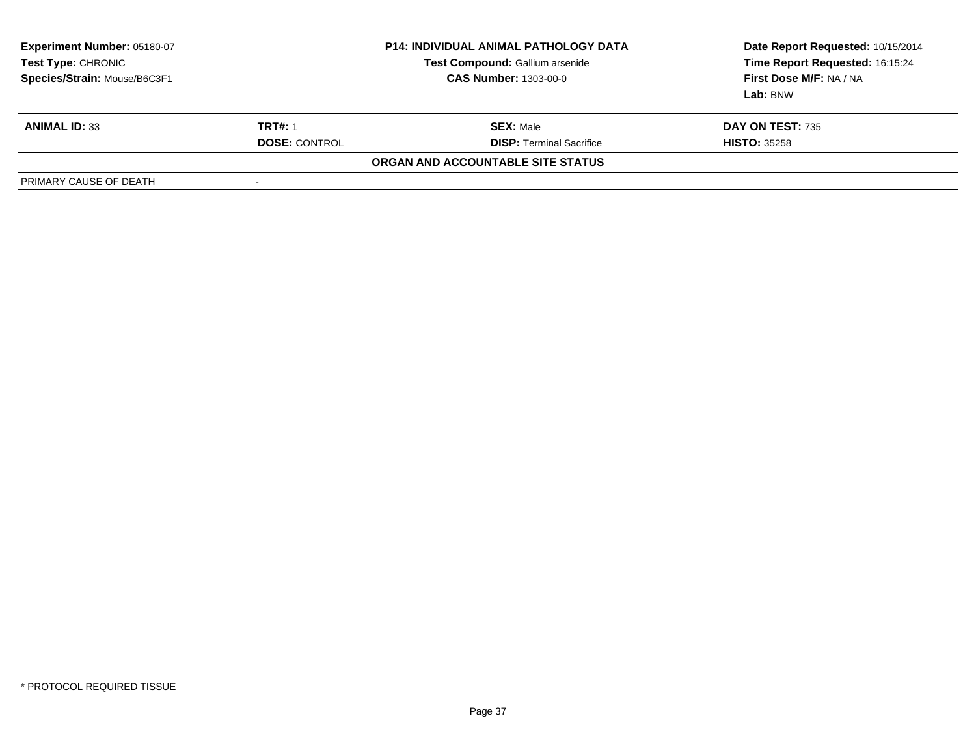| <b>Experiment Number: 05180-07</b><br>Test Type: CHRONIC<br>Species/Strain: Mouse/B6C3F1 | <b>P14: INDIVIDUAL ANIMAL PATHOLOGY DATA</b><br>Test Compound: Gallium arsenide<br><b>CAS Number: 1303-00-0</b> |                                   | Date Report Requested: 10/15/2014<br>Time Report Requested: 16:15:24<br>First Dose M/F: NA / NA<br>Lab: BNW |
|------------------------------------------------------------------------------------------|-----------------------------------------------------------------------------------------------------------------|-----------------------------------|-------------------------------------------------------------------------------------------------------------|
| <b>ANIMAL ID: 33</b>                                                                     | <b>TRT#: 1</b>                                                                                                  | <b>SEX: Male</b>                  | <b>DAY ON TEST: 735</b>                                                                                     |
|                                                                                          | <b>DOSE: CONTROL</b>                                                                                            | <b>DISP:</b> Terminal Sacrifice   | <b>HISTO: 35258</b>                                                                                         |
|                                                                                          |                                                                                                                 | ORGAN AND ACCOUNTABLE SITE STATUS |                                                                                                             |
| PRIMARY CAUSE OF DEATH                                                                   | $\overline{\phantom{a}}$                                                                                        |                                   |                                                                                                             |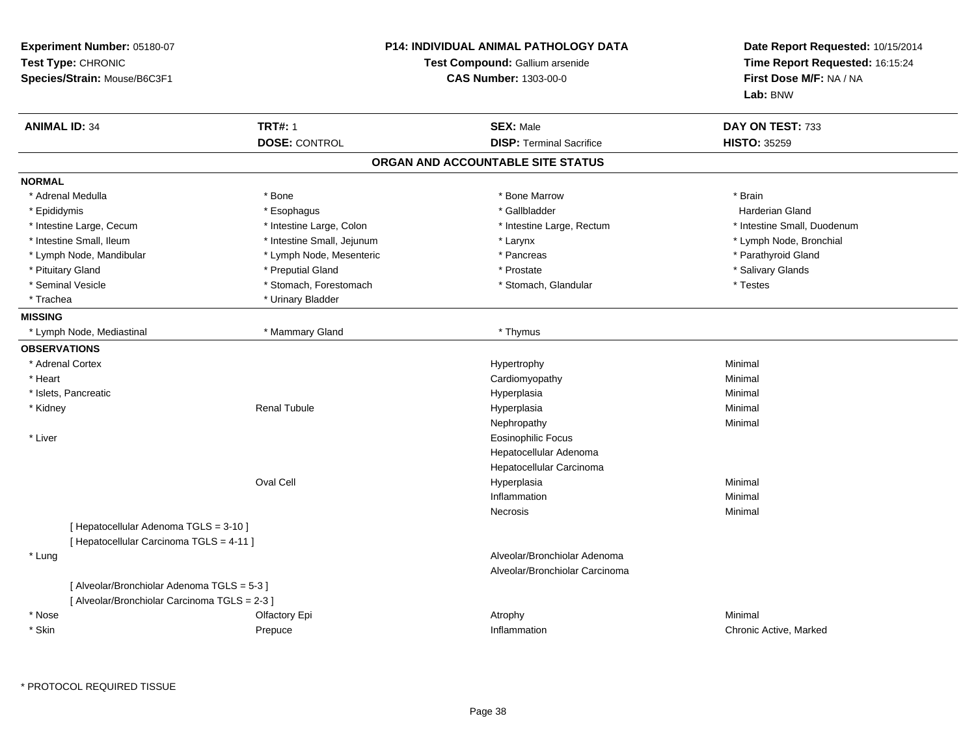| Experiment Number: 05180-07<br>Test Type: CHRONIC<br>Species/Strain: Mouse/B6C3F1            |                            | P14: INDIVIDUAL ANIMAL PATHOLOGY DATA<br>Test Compound: Gallium arsenide<br><b>CAS Number: 1303-00-0</b> | Date Report Requested: 10/15/2014<br>Time Report Requested: 16:15:24<br>First Dose M/F: NA / NA<br>Lab: BNW |
|----------------------------------------------------------------------------------------------|----------------------------|----------------------------------------------------------------------------------------------------------|-------------------------------------------------------------------------------------------------------------|
| <b>ANIMAL ID: 34</b>                                                                         | <b>TRT#: 1</b>             | <b>SEX: Male</b>                                                                                         | DAY ON TEST: 733                                                                                            |
|                                                                                              | <b>DOSE: CONTROL</b>       | <b>DISP: Terminal Sacrifice</b>                                                                          | <b>HISTO: 35259</b>                                                                                         |
|                                                                                              |                            | ORGAN AND ACCOUNTABLE SITE STATUS                                                                        |                                                                                                             |
| <b>NORMAL</b>                                                                                |                            |                                                                                                          |                                                                                                             |
| * Adrenal Medulla                                                                            | * Bone                     | * Bone Marrow                                                                                            | * Brain                                                                                                     |
| * Epididymis                                                                                 | * Esophagus                | * Gallbladder                                                                                            | Harderian Gland                                                                                             |
| * Intestine Large, Cecum                                                                     | * Intestine Large, Colon   | * Intestine Large, Rectum                                                                                | * Intestine Small, Duodenum                                                                                 |
| * Intestine Small, Ileum                                                                     | * Intestine Small, Jejunum | * Larynx                                                                                                 | * Lymph Node, Bronchial                                                                                     |
| * Lymph Node, Mandibular                                                                     | * Lymph Node, Mesenteric   | * Pancreas                                                                                               | * Parathyroid Gland                                                                                         |
| * Pituitary Gland                                                                            | * Preputial Gland          | * Prostate                                                                                               | * Salivary Glands                                                                                           |
| * Seminal Vesicle                                                                            | * Stomach, Forestomach     | * Stomach, Glandular                                                                                     | * Testes                                                                                                    |
| * Trachea                                                                                    | * Urinary Bladder          |                                                                                                          |                                                                                                             |
| <b>MISSING</b>                                                                               |                            |                                                                                                          |                                                                                                             |
| * Lymph Node, Mediastinal                                                                    | * Mammary Gland            | * Thymus                                                                                                 |                                                                                                             |
| <b>OBSERVATIONS</b>                                                                          |                            |                                                                                                          |                                                                                                             |
| * Adrenal Cortex                                                                             |                            | Hypertrophy                                                                                              | Minimal                                                                                                     |
| * Heart                                                                                      |                            | Cardiomyopathy                                                                                           | Minimal                                                                                                     |
| * Islets, Pancreatic                                                                         |                            | Hyperplasia                                                                                              | Minimal                                                                                                     |
| * Kidney                                                                                     | <b>Renal Tubule</b>        | Hyperplasia                                                                                              | Minimal                                                                                                     |
|                                                                                              |                            | Nephropathy                                                                                              | Minimal                                                                                                     |
| * Liver                                                                                      |                            | <b>Eosinophilic Focus</b>                                                                                |                                                                                                             |
|                                                                                              |                            | Hepatocellular Adenoma                                                                                   |                                                                                                             |
|                                                                                              |                            | Hepatocellular Carcinoma                                                                                 |                                                                                                             |
|                                                                                              | <b>Oval Cell</b>           | Hyperplasia                                                                                              | Minimal                                                                                                     |
|                                                                                              |                            | Inflammation                                                                                             | Minimal                                                                                                     |
|                                                                                              |                            | Necrosis                                                                                                 | Minimal                                                                                                     |
| [ Hepatocellular Adenoma TGLS = 3-10 ]<br>[ Hepatocellular Carcinoma TGLS = 4-11 ]           |                            |                                                                                                          |                                                                                                             |
| * Lung                                                                                       |                            | Alveolar/Bronchiolar Adenoma                                                                             |                                                                                                             |
|                                                                                              |                            | Alveolar/Bronchiolar Carcinoma                                                                           |                                                                                                             |
| [ Alveolar/Bronchiolar Adenoma TGLS = 5-3 ]<br>[ Alveolar/Bronchiolar Carcinoma TGLS = 2-3 ] |                            |                                                                                                          |                                                                                                             |
| * Nose                                                                                       | Olfactory Epi              | Atrophy                                                                                                  | Minimal                                                                                                     |
| * Skin                                                                                       | Prepuce                    | Inflammation                                                                                             | Chronic Active, Marked                                                                                      |
|                                                                                              |                            |                                                                                                          |                                                                                                             |

\* PROTOCOL REQUIRED TISSUE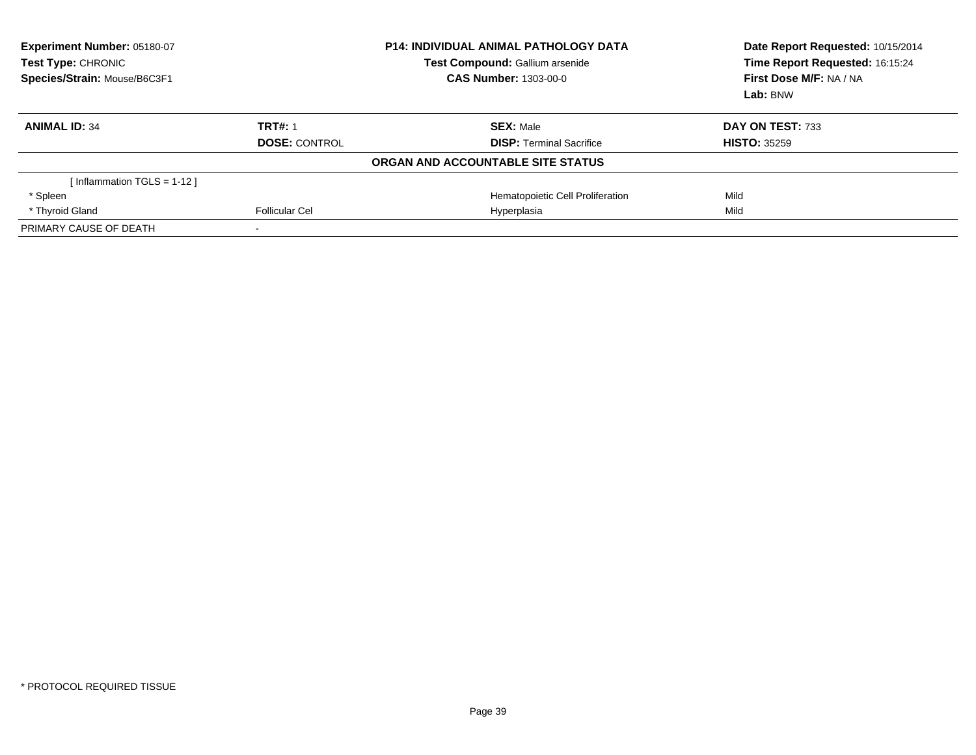| <b>Experiment Number: 05180-07</b><br><b>Test Type: CHRONIC</b><br>Species/Strain: Mouse/B6C3F1 |                      | <b>P14: INDIVIDUAL ANIMAL PATHOLOGY DATA</b><br>Test Compound: Gallium arsenide<br><b>CAS Number: 1303-00-0</b> | Date Report Requested: 10/15/2014<br>Time Report Requested: 16:15:24<br>First Dose M/F: NA / NA<br>Lab: BNW |
|-------------------------------------------------------------------------------------------------|----------------------|-----------------------------------------------------------------------------------------------------------------|-------------------------------------------------------------------------------------------------------------|
| <b>ANIMAL ID: 34</b>                                                                            | <b>TRT#: 1</b>       | <b>SEX: Male</b>                                                                                                | DAY ON TEST: 733                                                                                            |
|                                                                                                 | <b>DOSE: CONTROL</b> | <b>DISP:</b> Terminal Sacrifice                                                                                 | <b>HISTO: 35259</b>                                                                                         |
|                                                                                                 |                      | ORGAN AND ACCOUNTABLE SITE STATUS                                                                               |                                                                                                             |
| [Inflammation TGLS = $1-12$ ]                                                                   |                      |                                                                                                                 |                                                                                                             |
| * Spleen                                                                                        |                      | Hematopoietic Cell Proliferation                                                                                | Mild                                                                                                        |
| * Thyroid Gland                                                                                 | Follicular Cel       | Hyperplasia                                                                                                     | Mild                                                                                                        |
| PRIMARY CAUSE OF DEATH                                                                          |                      |                                                                                                                 |                                                                                                             |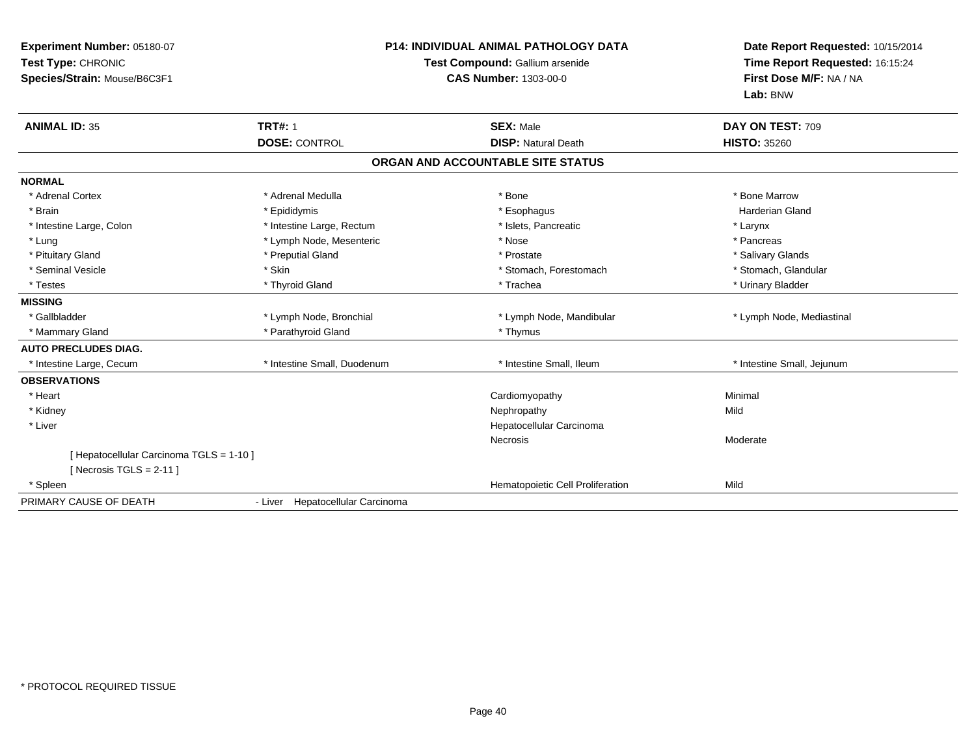| Experiment Number: 05180-07<br>Test Type: CHRONIC<br>Species/Strain: Mouse/B6C3F1 | <b>P14: INDIVIDUAL ANIMAL PATHOLOGY DATA</b><br>Test Compound: Gallium arsenide<br><b>CAS Number: 1303-00-0</b> |                                                | Date Report Requested: 10/15/2014<br>Time Report Requested: 16:15:24<br>First Dose M/F: NA / NA<br>Lab: BNW |
|-----------------------------------------------------------------------------------|-----------------------------------------------------------------------------------------------------------------|------------------------------------------------|-------------------------------------------------------------------------------------------------------------|
| <b>ANIMAL ID: 35</b>                                                              | <b>TRT#: 1</b><br><b>DOSE: CONTROL</b>                                                                          | <b>SEX: Male</b><br><b>DISP: Natural Death</b> | DAY ON TEST: 709<br><b>HISTO: 35260</b>                                                                     |
|                                                                                   |                                                                                                                 |                                                |                                                                                                             |
|                                                                                   |                                                                                                                 | ORGAN AND ACCOUNTABLE SITE STATUS              |                                                                                                             |
| <b>NORMAL</b>                                                                     |                                                                                                                 |                                                |                                                                                                             |
| * Adrenal Cortex                                                                  | * Adrenal Medulla                                                                                               | * Bone                                         | * Bone Marrow                                                                                               |
| * Brain                                                                           | * Epididymis                                                                                                    | * Esophagus                                    | <b>Harderian Gland</b>                                                                                      |
| * Intestine Large, Colon                                                          | * Intestine Large, Rectum                                                                                       | * Islets, Pancreatic                           | * Larynx                                                                                                    |
| * Lung                                                                            | * Lymph Node, Mesenteric                                                                                        | * Nose                                         | * Pancreas                                                                                                  |
| * Pituitary Gland                                                                 | * Preputial Gland                                                                                               | * Prostate                                     | * Salivary Glands                                                                                           |
| * Seminal Vesicle                                                                 | * Skin                                                                                                          | * Stomach, Forestomach                         | * Stomach, Glandular                                                                                        |
| * Testes                                                                          | * Thyroid Gland                                                                                                 | * Trachea                                      | * Urinary Bladder                                                                                           |
| <b>MISSING</b>                                                                    |                                                                                                                 |                                                |                                                                                                             |
| * Gallbladder                                                                     | * Lymph Node, Bronchial                                                                                         | * Lymph Node, Mandibular                       | * Lymph Node, Mediastinal                                                                                   |
| * Mammary Gland                                                                   | * Parathyroid Gland                                                                                             | * Thymus                                       |                                                                                                             |
| <b>AUTO PRECLUDES DIAG.</b>                                                       |                                                                                                                 |                                                |                                                                                                             |
| * Intestine Large, Cecum                                                          | * Intestine Small, Duodenum                                                                                     | * Intestine Small, Ileum                       | * Intestine Small, Jejunum                                                                                  |
| <b>OBSERVATIONS</b>                                                               |                                                                                                                 |                                                |                                                                                                             |
| * Heart                                                                           |                                                                                                                 | Cardiomyopathy                                 | Minimal                                                                                                     |
| * Kidney                                                                          |                                                                                                                 | Nephropathy                                    | Mild                                                                                                        |
| * Liver                                                                           |                                                                                                                 | Hepatocellular Carcinoma                       |                                                                                                             |
|                                                                                   |                                                                                                                 | Necrosis                                       | Moderate                                                                                                    |
| [ Hepatocellular Carcinoma TGLS = 1-10 ]<br>[Necrosis TGLS = $2-11$ ]             |                                                                                                                 |                                                |                                                                                                             |
| * Spleen                                                                          |                                                                                                                 | Hematopoietic Cell Proliferation               | Mild                                                                                                        |
| PRIMARY CAUSE OF DEATH                                                            | - Liver Hepatocellular Carcinoma                                                                                |                                                |                                                                                                             |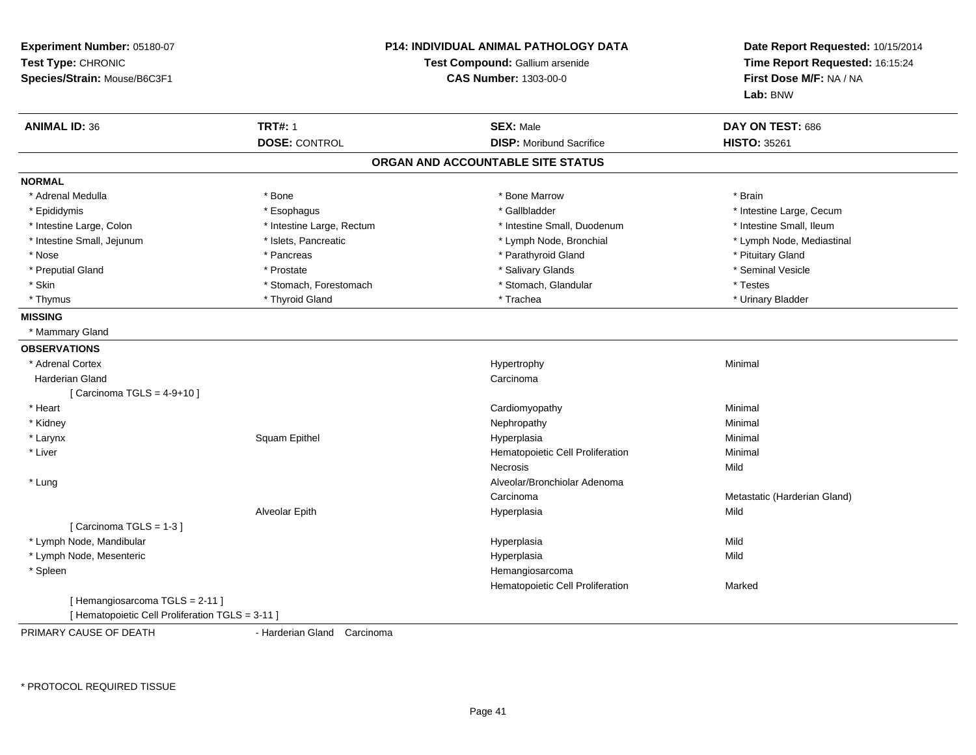| Experiment Number: 05180-07<br>Test Type: CHRONIC<br>Species/Strain: Mouse/B6C3F1 | <b>P14: INDIVIDUAL ANIMAL PATHOLOGY DATA</b><br>Test Compound: Gallium arsenide<br><b>CAS Number: 1303-00-0</b> | Date Report Requested: 10/15/2014<br>Time Report Requested: 16:15:24<br>First Dose M/F: NA / NA<br>Lab: BNW |
|-----------------------------------------------------------------------------------|-----------------------------------------------------------------------------------------------------------------|-------------------------------------------------------------------------------------------------------------|
| <b>ANIMAL ID: 36</b><br><b>TRT#: 1</b>                                            | <b>SEX: Male</b>                                                                                                | DAY ON TEST: 686                                                                                            |
| <b>DOSE: CONTROL</b>                                                              | <b>DISP:</b> Moribund Sacrifice                                                                                 | <b>HISTO: 35261</b>                                                                                         |
|                                                                                   | ORGAN AND ACCOUNTABLE SITE STATUS                                                                               |                                                                                                             |
| <b>NORMAL</b>                                                                     |                                                                                                                 |                                                                                                             |
| * Adrenal Medulla<br>* Bone                                                       | * Bone Marrow                                                                                                   | * Brain                                                                                                     |
| * Epididymis<br>* Esophagus                                                       | * Gallbladder                                                                                                   | * Intestine Large, Cecum                                                                                    |
| * Intestine Large, Rectum<br>* Intestine Large, Colon                             | * Intestine Small, Duodenum                                                                                     | * Intestine Small, Ileum                                                                                    |
| * Intestine Small, Jejunum<br>* Islets, Pancreatic                                | * Lymph Node, Bronchial                                                                                         | * Lymph Node, Mediastinal                                                                                   |
| * Nose<br>* Pancreas                                                              | * Parathyroid Gland                                                                                             | * Pituitary Gland                                                                                           |
| * Preputial Gland<br>* Prostate                                                   | * Salivary Glands                                                                                               | * Seminal Vesicle                                                                                           |
| * Skin<br>* Stomach, Forestomach                                                  | * Stomach, Glandular                                                                                            | * Testes                                                                                                    |
| * Thymus<br>* Thyroid Gland                                                       | * Trachea                                                                                                       | * Urinary Bladder                                                                                           |
| <b>MISSING</b>                                                                    |                                                                                                                 |                                                                                                             |
| * Mammary Gland                                                                   |                                                                                                                 |                                                                                                             |
| <b>OBSERVATIONS</b>                                                               |                                                                                                                 |                                                                                                             |
| * Adrenal Cortex                                                                  | Hypertrophy                                                                                                     | Minimal                                                                                                     |
| <b>Harderian Gland</b>                                                            | Carcinoma                                                                                                       |                                                                                                             |
| [Carcinoma TGLS = $4-9+10$ ]                                                      |                                                                                                                 |                                                                                                             |
| * Heart                                                                           | Cardiomyopathy                                                                                                  | Minimal                                                                                                     |
| * Kidney                                                                          | Nephropathy                                                                                                     | Minimal                                                                                                     |
| * Larynx<br>Squam Epithel                                                         | Hyperplasia                                                                                                     | Minimal                                                                                                     |
| * Liver                                                                           | Hematopoietic Cell Proliferation                                                                                | Minimal                                                                                                     |
|                                                                                   | Necrosis                                                                                                        | Mild                                                                                                        |
| * Lung                                                                            | Alveolar/Bronchiolar Adenoma                                                                                    |                                                                                                             |
|                                                                                   | Carcinoma                                                                                                       | Metastatic (Harderian Gland)                                                                                |
| Alveolar Epith                                                                    | Hyperplasia                                                                                                     | Mild                                                                                                        |
| [Carcinoma TGLS = 1-3]                                                            |                                                                                                                 |                                                                                                             |
| * Lymph Node, Mandibular                                                          | Hyperplasia                                                                                                     | Mild                                                                                                        |
| * Lymph Node, Mesenteric                                                          | Hyperplasia                                                                                                     | Mild                                                                                                        |
| * Spleen                                                                          | Hemangiosarcoma                                                                                                 |                                                                                                             |
|                                                                                   | Hematopoietic Cell Proliferation                                                                                | Marked                                                                                                      |
| [Hemangiosarcoma TGLS = 2-11]<br>[ Hematopoietic Cell Proliferation TGLS = 3-11 ] |                                                                                                                 |                                                                                                             |
| PRIMARY CAUSE OF DEATH<br>- Harderian Gland                                       | Carcinoma                                                                                                       |                                                                                                             |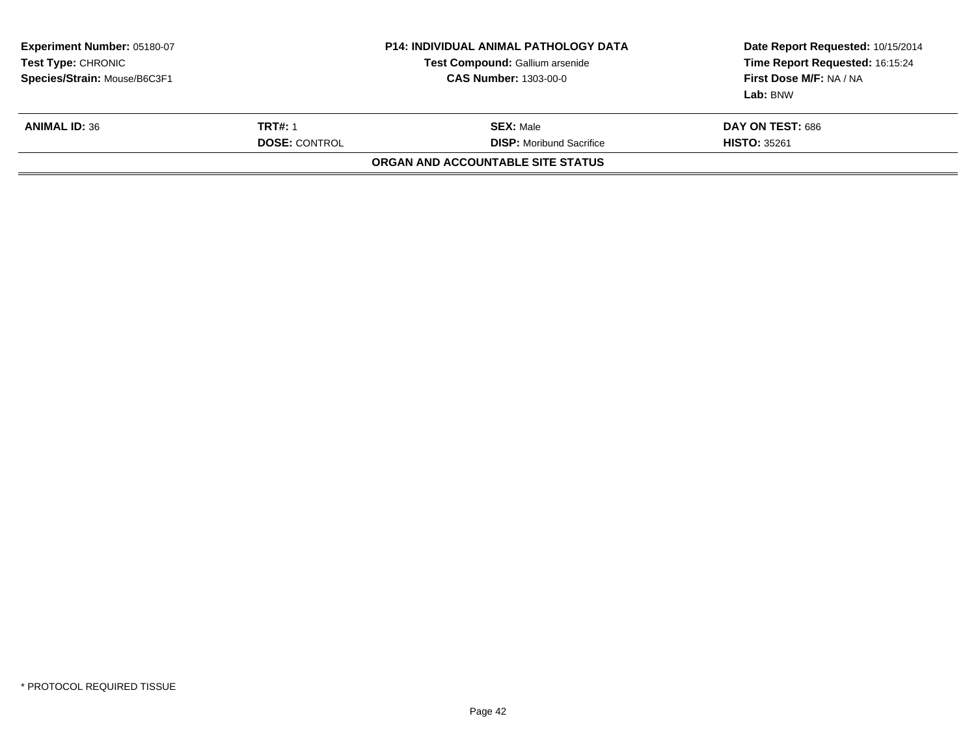| Experiment Number: 05180-07<br>Test Type: CHRONIC<br>Species/Strain: Mouse/B6C3F1 |  | <b>P14: INDIVIDUAL ANIMAL PATHOLOGY DATA</b><br>Test Compound: Gallium arsenide<br><b>CAS Number: 1303-00-0</b> | Date Report Requested: 10/15/2014<br>Time Report Requested: 16:15:24<br>First Dose M/F: NA / NA<br>Lab: BNW |
|-----------------------------------------------------------------------------------|--|-----------------------------------------------------------------------------------------------------------------|-------------------------------------------------------------------------------------------------------------|
| <b>TRT#: 1</b><br><b>ANIMAL ID: 36</b><br><b>DOSE: CONTROL</b>                    |  | <b>SEX: Male</b><br><b>DISP:</b> Moribund Sacrifice                                                             | <b>DAY ON TEST: 686</b><br><b>HISTO: 35261</b>                                                              |
|                                                                                   |  | ORGAN AND ACCOUNTABLE SITE STATUS                                                                               |                                                                                                             |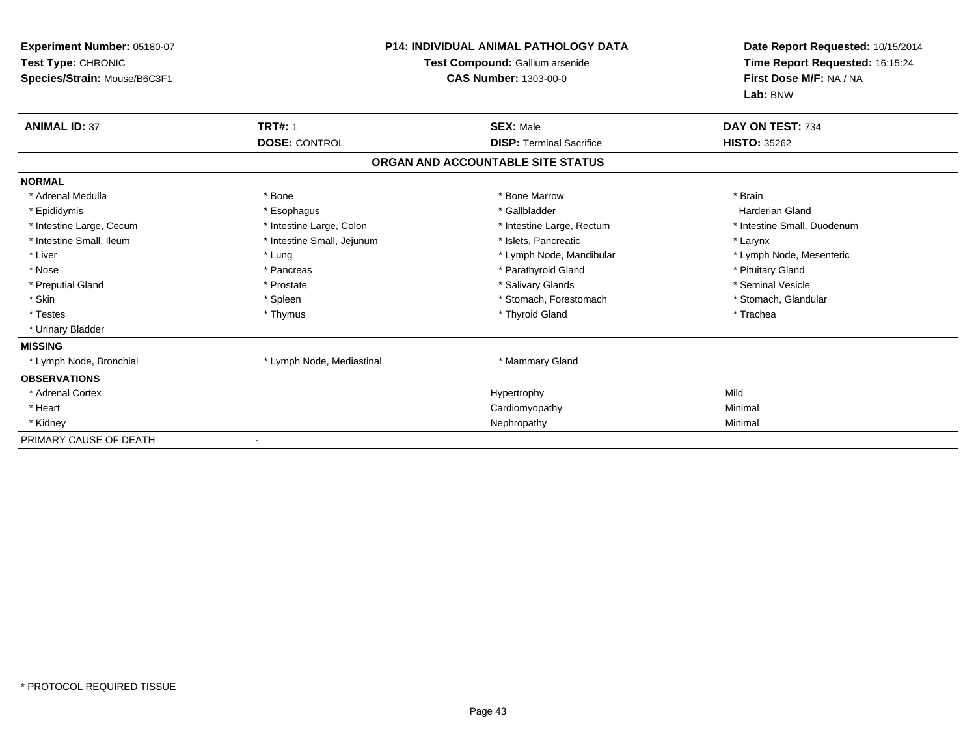| Experiment Number: 05180-07<br>Test Type: CHRONIC<br>Species/Strain: Mouse/B6C3F1 |                            | <b>P14: INDIVIDUAL ANIMAL PATHOLOGY DATA</b><br>Test Compound: Gallium arsenide<br><b>CAS Number: 1303-00-0</b> | Date Report Requested: 10/15/2014<br>Time Report Requested: 16:15:24<br>First Dose M/F: NA / NA<br>Lab: BNW |
|-----------------------------------------------------------------------------------|----------------------------|-----------------------------------------------------------------------------------------------------------------|-------------------------------------------------------------------------------------------------------------|
| <b>ANIMAL ID: 37</b>                                                              | <b>TRT#: 1</b>             | <b>SEX: Male</b>                                                                                                | DAY ON TEST: 734                                                                                            |
|                                                                                   | <b>DOSE: CONTROL</b>       | <b>DISP: Terminal Sacrifice</b>                                                                                 | <b>HISTO: 35262</b>                                                                                         |
|                                                                                   |                            | ORGAN AND ACCOUNTABLE SITE STATUS                                                                               |                                                                                                             |
| <b>NORMAL</b>                                                                     |                            |                                                                                                                 |                                                                                                             |
| * Adrenal Medulla                                                                 | * Bone                     | * Bone Marrow                                                                                                   | * Brain                                                                                                     |
| * Epididymis                                                                      | * Esophagus                | * Gallbladder                                                                                                   | <b>Harderian Gland</b>                                                                                      |
| * Intestine Large, Cecum                                                          | * Intestine Large, Colon   | * Intestine Large, Rectum                                                                                       | * Intestine Small, Duodenum                                                                                 |
| * Intestine Small, Ileum                                                          | * Intestine Small, Jejunum | * Islets, Pancreatic                                                                                            | * Larynx                                                                                                    |
| * Liver                                                                           | * Lung                     | * Lymph Node, Mandibular                                                                                        | * Lymph Node, Mesenteric                                                                                    |
| * Nose                                                                            | * Pancreas                 | * Parathyroid Gland                                                                                             | * Pituitary Gland                                                                                           |
| * Preputial Gland                                                                 | * Prostate                 | * Salivary Glands                                                                                               | * Seminal Vesicle                                                                                           |
| * Skin                                                                            | * Spleen                   | * Stomach, Forestomach                                                                                          | * Stomach, Glandular                                                                                        |
| * Testes                                                                          | * Thymus                   | * Thyroid Gland                                                                                                 | * Trachea                                                                                                   |
| * Urinary Bladder                                                                 |                            |                                                                                                                 |                                                                                                             |
| <b>MISSING</b>                                                                    |                            |                                                                                                                 |                                                                                                             |
| * Lymph Node, Bronchial                                                           | * Lymph Node, Mediastinal  | * Mammary Gland                                                                                                 |                                                                                                             |
| <b>OBSERVATIONS</b>                                                               |                            |                                                                                                                 |                                                                                                             |
| * Adrenal Cortex                                                                  |                            | Hypertrophy                                                                                                     | Mild                                                                                                        |
| * Heart                                                                           |                            | Cardiomyopathy                                                                                                  | Minimal                                                                                                     |
| * Kidney                                                                          |                            | Nephropathy                                                                                                     | Minimal                                                                                                     |
| PRIMARY CAUSE OF DEATH                                                            |                            |                                                                                                                 |                                                                                                             |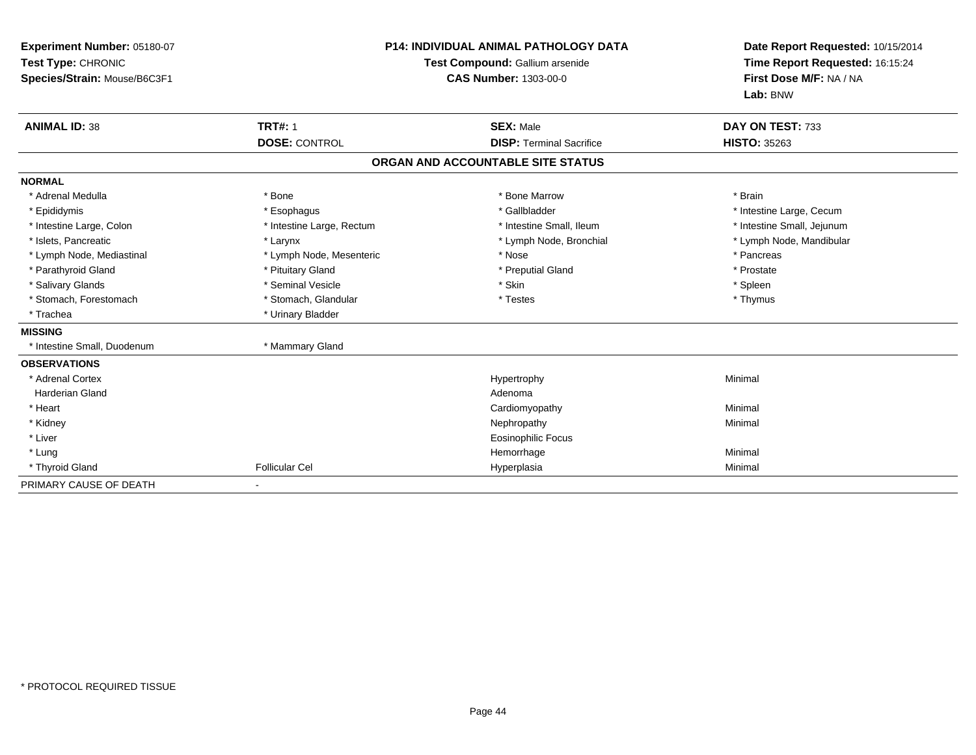| Experiment Number: 05180-07<br>Test Type: CHRONIC<br>Species/Strain: Mouse/B6C3F1<br><b>ANIMAL ID: 38</b>                                                                                                                                              | <b>TRT#: 1</b><br><b>DOSE: CONTROL</b>                                                                                                                                                               | <b>P14: INDIVIDUAL ANIMAL PATHOLOGY DATA</b><br>Test Compound: Gallium arsenide<br><b>CAS Number: 1303-00-0</b><br><b>SEX: Male</b><br><b>DISP: Terminal Sacrifice</b> | Date Report Requested: 10/15/2014<br>Time Report Requested: 16:15:24<br>First Dose M/F: NA / NA<br>Lab: BNW<br>DAY ON TEST: 733<br><b>HISTO: 35263</b> |
|--------------------------------------------------------------------------------------------------------------------------------------------------------------------------------------------------------------------------------------------------------|------------------------------------------------------------------------------------------------------------------------------------------------------------------------------------------------------|------------------------------------------------------------------------------------------------------------------------------------------------------------------------|--------------------------------------------------------------------------------------------------------------------------------------------------------|
|                                                                                                                                                                                                                                                        |                                                                                                                                                                                                      | ORGAN AND ACCOUNTABLE SITE STATUS                                                                                                                                      |                                                                                                                                                        |
| <b>NORMAL</b>                                                                                                                                                                                                                                          |                                                                                                                                                                                                      |                                                                                                                                                                        |                                                                                                                                                        |
| * Adrenal Medulla<br>* Epididymis<br>* Intestine Large, Colon<br>* Islets. Pancreatic<br>* Lymph Node, Mediastinal<br>* Parathyroid Gland<br>* Salivary Glands<br>* Stomach, Forestomach<br>* Trachea<br><b>MISSING</b><br>* Intestine Small, Duodenum | * Bone<br>* Esophagus<br>* Intestine Large, Rectum<br>* Larynx<br>* Lymph Node, Mesenteric<br>* Pituitary Gland<br>* Seminal Vesicle<br>* Stomach, Glandular<br>* Urinary Bladder<br>* Mammary Gland | * Bone Marrow<br>* Gallbladder<br>* Intestine Small, Ileum<br>* Lymph Node, Bronchial<br>* Nose<br>* Preputial Gland<br>* Skin<br>* Testes                             | * Brain<br>* Intestine Large, Cecum<br>* Intestine Small, Jejunum<br>* Lymph Node, Mandibular<br>* Pancreas<br>* Prostate<br>* Spleen<br>* Thymus      |
| <b>OBSERVATIONS</b><br>* Adrenal Cortex<br><b>Harderian Gland</b><br>* Heart<br>* Kidney<br>* Liver<br>* Lung<br>* Thyroid Gland                                                                                                                       | <b>Follicular Cel</b>                                                                                                                                                                                | Hypertrophy<br>Adenoma<br>Cardiomyopathy<br>Nephropathy<br><b>Eosinophilic Focus</b><br>Hemorrhage<br>Hyperplasia                                                      | Minimal<br>Minimal<br>Minimal<br>Minimal<br>Minimal                                                                                                    |
| PRIMARY CAUSE OF DEATH                                                                                                                                                                                                                                 |                                                                                                                                                                                                      |                                                                                                                                                                        |                                                                                                                                                        |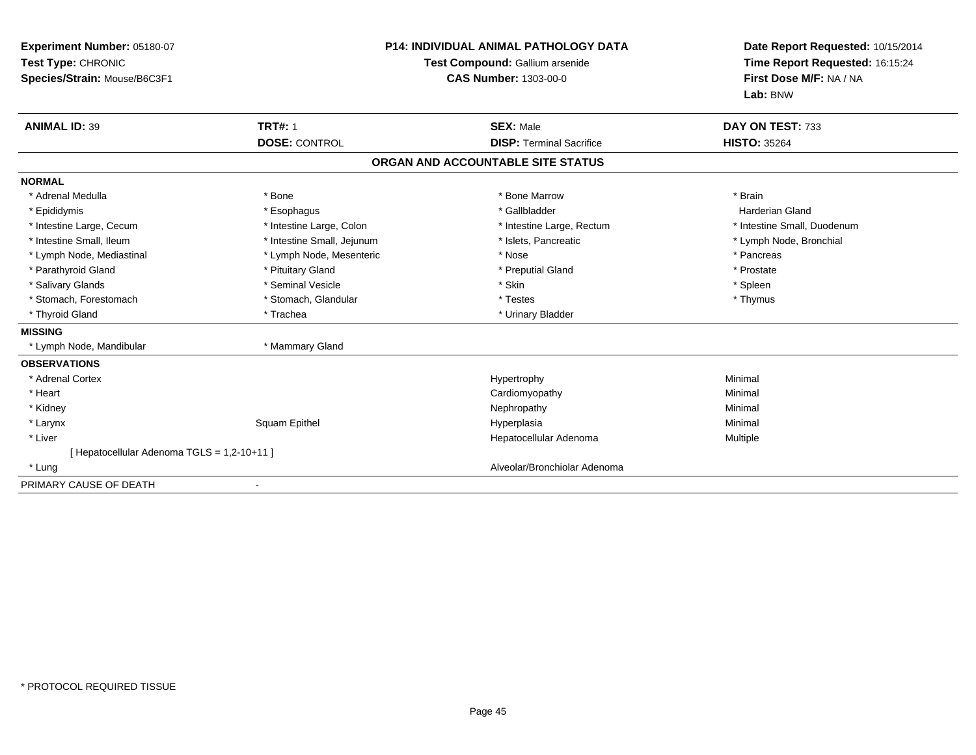| Experiment Number: 05180-07<br>Test Type: CHRONIC<br>Species/Strain: Mouse/B6C3F1 |                            | <b>P14: INDIVIDUAL ANIMAL PATHOLOGY DATA</b><br>Test Compound: Gallium arsenide<br><b>CAS Number: 1303-00-0</b> | Date Report Requested: 10/15/2014<br>Time Report Requested: 16:15:24<br>First Dose M/F: NA / NA<br>Lab: BNW |
|-----------------------------------------------------------------------------------|----------------------------|-----------------------------------------------------------------------------------------------------------------|-------------------------------------------------------------------------------------------------------------|
| <b>ANIMAL ID: 39</b>                                                              | <b>TRT#: 1</b>             | <b>SEX: Male</b>                                                                                                | DAY ON TEST: 733                                                                                            |
|                                                                                   | <b>DOSE: CONTROL</b>       | <b>DISP: Terminal Sacrifice</b>                                                                                 | <b>HISTO: 35264</b>                                                                                         |
|                                                                                   |                            | ORGAN AND ACCOUNTABLE SITE STATUS                                                                               |                                                                                                             |
| <b>NORMAL</b>                                                                     |                            |                                                                                                                 |                                                                                                             |
| * Adrenal Medulla                                                                 | * Bone                     | * Bone Marrow                                                                                                   | * Brain                                                                                                     |
| * Epididymis                                                                      | * Esophagus                | * Gallbladder                                                                                                   | <b>Harderian Gland</b>                                                                                      |
| * Intestine Large, Cecum                                                          | * Intestine Large, Colon   | * Intestine Large, Rectum                                                                                       | * Intestine Small, Duodenum                                                                                 |
| * Intestine Small, Ileum                                                          | * Intestine Small, Jejunum | * Islets, Pancreatic                                                                                            | * Lymph Node, Bronchial                                                                                     |
| * Lymph Node, Mediastinal                                                         | * Lymph Node, Mesenteric   | * Nose                                                                                                          | * Pancreas                                                                                                  |
| * Parathyroid Gland                                                               | * Pituitary Gland          | * Preputial Gland                                                                                               | * Prostate                                                                                                  |
| * Salivary Glands                                                                 | * Seminal Vesicle          | * Skin                                                                                                          | * Spleen                                                                                                    |
| * Stomach, Forestomach                                                            | * Stomach, Glandular       | * Testes                                                                                                        | * Thymus                                                                                                    |
| * Thyroid Gland                                                                   | * Trachea                  | * Urinary Bladder                                                                                               |                                                                                                             |
| <b>MISSING</b>                                                                    |                            |                                                                                                                 |                                                                                                             |
| * Lymph Node, Mandibular                                                          | * Mammary Gland            |                                                                                                                 |                                                                                                             |
| <b>OBSERVATIONS</b>                                                               |                            |                                                                                                                 |                                                                                                             |
| * Adrenal Cortex                                                                  |                            | Hypertrophy                                                                                                     | Minimal                                                                                                     |
| * Heart                                                                           |                            | Cardiomyopathy                                                                                                  | Minimal                                                                                                     |
| * Kidney                                                                          |                            | Nephropathy                                                                                                     | Minimal                                                                                                     |
| * Larynx                                                                          | Squam Epithel              | Hyperplasia                                                                                                     | Minimal                                                                                                     |
| * Liver                                                                           |                            | Hepatocellular Adenoma                                                                                          | Multiple                                                                                                    |
| [ Hepatocellular Adenoma TGLS = 1,2-10+11 ]                                       |                            |                                                                                                                 |                                                                                                             |
| * Lung                                                                            |                            | Alveolar/Bronchiolar Adenoma                                                                                    |                                                                                                             |
| PRIMARY CAUSE OF DEATH                                                            |                            |                                                                                                                 |                                                                                                             |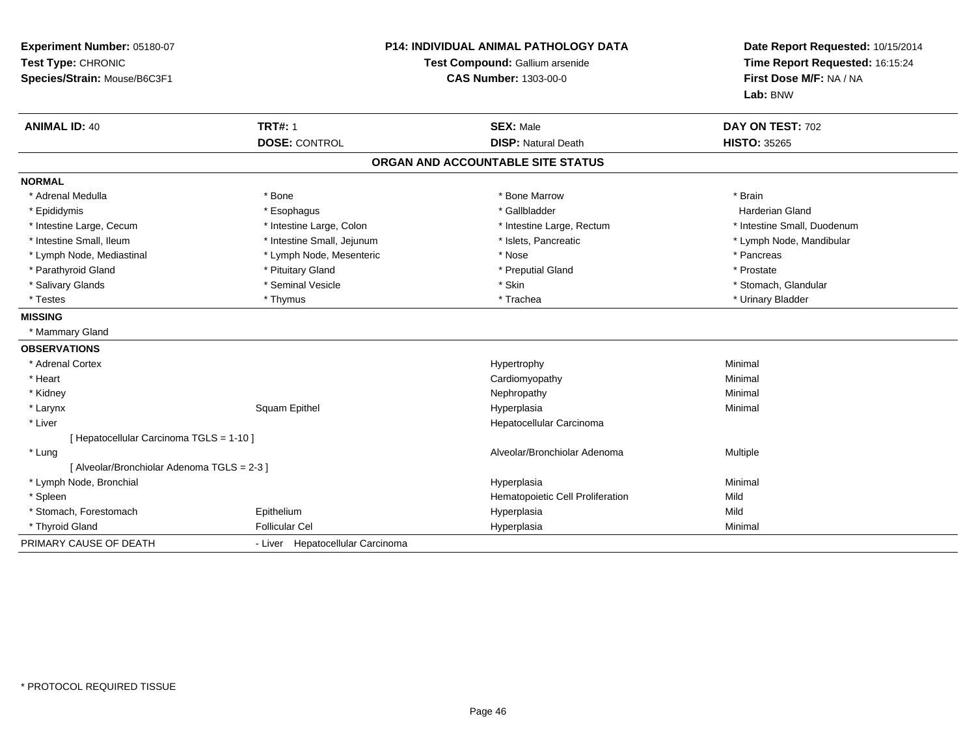| Experiment Number: 05180-07<br>Test Type: CHRONIC<br>Species/Strain: Mouse/B6C3F1 |                                  | <b>P14: INDIVIDUAL ANIMAL PATHOLOGY DATA</b><br>Test Compound: Gallium arsenide<br><b>CAS Number: 1303-00-0</b> | Date Report Requested: 10/15/2014<br>Time Report Requested: 16:15:24<br>First Dose M/F: NA / NA<br>Lab: BNW |
|-----------------------------------------------------------------------------------|----------------------------------|-----------------------------------------------------------------------------------------------------------------|-------------------------------------------------------------------------------------------------------------|
| <b>ANIMAL ID: 40</b>                                                              | <b>TRT#: 1</b>                   | <b>SEX: Male</b>                                                                                                | DAY ON TEST: 702                                                                                            |
|                                                                                   | <b>DOSE: CONTROL</b>             | <b>DISP: Natural Death</b>                                                                                      | <b>HISTO: 35265</b>                                                                                         |
|                                                                                   |                                  | ORGAN AND ACCOUNTABLE SITE STATUS                                                                               |                                                                                                             |
| <b>NORMAL</b>                                                                     |                                  |                                                                                                                 |                                                                                                             |
| * Adrenal Medulla                                                                 | * Bone                           | * Bone Marrow                                                                                                   | * Brain                                                                                                     |
| * Epididymis                                                                      | * Esophagus                      | * Gallbladder                                                                                                   | Harderian Gland                                                                                             |
| * Intestine Large, Cecum                                                          | * Intestine Large, Colon         | * Intestine Large, Rectum                                                                                       | * Intestine Small, Duodenum                                                                                 |
| * Intestine Small, Ileum                                                          | * Intestine Small, Jejunum       | * Islets, Pancreatic                                                                                            | * Lymph Node, Mandibular                                                                                    |
| * Lymph Node, Mediastinal                                                         | * Lymph Node, Mesenteric         | * Nose                                                                                                          | * Pancreas                                                                                                  |
| * Parathyroid Gland                                                               | * Pituitary Gland                | * Preputial Gland                                                                                               | * Prostate                                                                                                  |
| * Salivary Glands                                                                 | * Seminal Vesicle                | * Skin                                                                                                          | * Stomach, Glandular                                                                                        |
| * Testes                                                                          | * Thymus                         | * Trachea                                                                                                       | * Urinary Bladder                                                                                           |
| <b>MISSING</b>                                                                    |                                  |                                                                                                                 |                                                                                                             |
| * Mammary Gland                                                                   |                                  |                                                                                                                 |                                                                                                             |
| <b>OBSERVATIONS</b>                                                               |                                  |                                                                                                                 |                                                                                                             |
| * Adrenal Cortex                                                                  |                                  | Hypertrophy                                                                                                     | Minimal                                                                                                     |
| * Heart                                                                           |                                  | Cardiomyopathy                                                                                                  | Minimal                                                                                                     |
| * Kidney                                                                          |                                  | Nephropathy                                                                                                     | Minimal                                                                                                     |
| * Larynx                                                                          | Squam Epithel                    | Hyperplasia                                                                                                     | Minimal                                                                                                     |
| * Liver                                                                           |                                  | Hepatocellular Carcinoma                                                                                        |                                                                                                             |
| [Hepatocellular Carcinoma TGLS = 1-10]                                            |                                  |                                                                                                                 |                                                                                                             |
| * Lung                                                                            |                                  | Alveolar/Bronchiolar Adenoma                                                                                    | Multiple                                                                                                    |
| [ Alveolar/Bronchiolar Adenoma TGLS = 2-3 ]                                       |                                  |                                                                                                                 |                                                                                                             |
| * Lymph Node, Bronchial                                                           |                                  | Hyperplasia                                                                                                     | Minimal                                                                                                     |
| * Spleen                                                                          |                                  | Hematopoietic Cell Proliferation                                                                                | Mild                                                                                                        |
| * Stomach, Forestomach                                                            | Epithelium                       | Hyperplasia                                                                                                     | Mild                                                                                                        |
| * Thyroid Gland                                                                   | <b>Follicular Cel</b>            | Hyperplasia                                                                                                     | Minimal                                                                                                     |
| PRIMARY CAUSE OF DEATH                                                            | - Liver Hepatocellular Carcinoma |                                                                                                                 |                                                                                                             |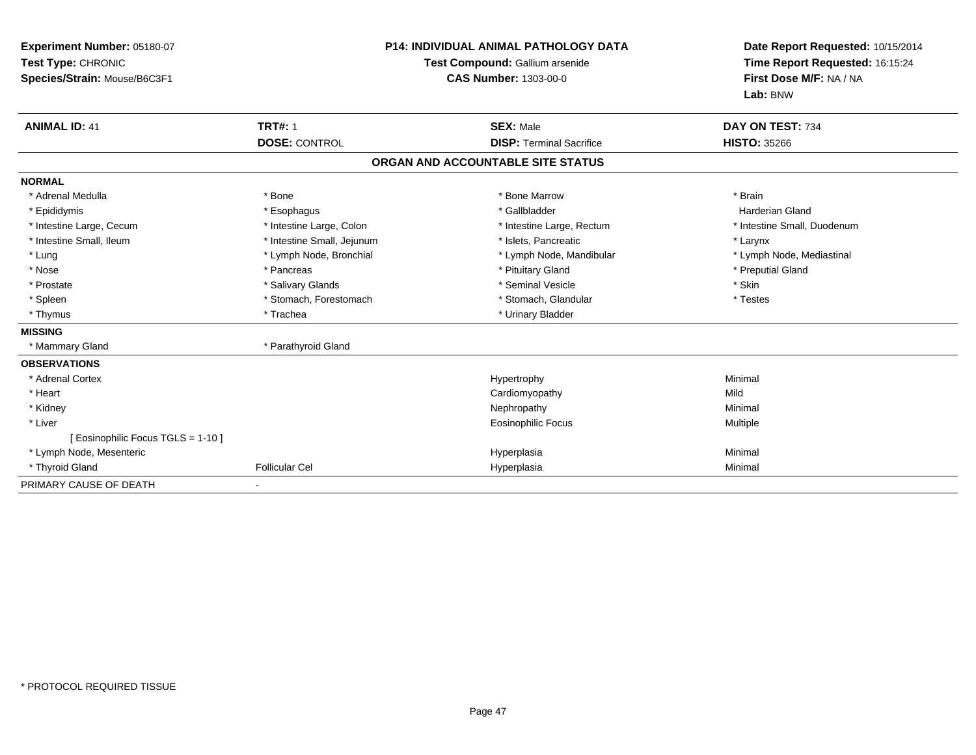| Experiment Number: 05180-07<br>Test Type: CHRONIC<br>Species/Strain: Mouse/B6C3F1 |                            | <b>P14: INDIVIDUAL ANIMAL PATHOLOGY DATA</b><br>Test Compound: Gallium arsenide<br><b>CAS Number: 1303-00-0</b> | Date Report Requested: 10/15/2014<br>Time Report Requested: 16:15:24<br>First Dose M/F: NA / NA<br>Lab: BNW |  |
|-----------------------------------------------------------------------------------|----------------------------|-----------------------------------------------------------------------------------------------------------------|-------------------------------------------------------------------------------------------------------------|--|
| <b>ANIMAL ID: 41</b>                                                              | <b>TRT#: 1</b>             | <b>SEX: Male</b>                                                                                                | DAY ON TEST: 734                                                                                            |  |
|                                                                                   | <b>DOSE: CONTROL</b>       | <b>DISP: Terminal Sacrifice</b>                                                                                 | <b>HISTO: 35266</b>                                                                                         |  |
|                                                                                   |                            | ORGAN AND ACCOUNTABLE SITE STATUS                                                                               |                                                                                                             |  |
| <b>NORMAL</b>                                                                     |                            |                                                                                                                 |                                                                                                             |  |
| * Adrenal Medulla                                                                 | * Bone                     | * Bone Marrow                                                                                                   | * Brain                                                                                                     |  |
| * Epididymis                                                                      | * Esophagus                | * Gallbladder                                                                                                   | Harderian Gland                                                                                             |  |
| * Intestine Large, Cecum                                                          | * Intestine Large, Colon   | * Intestine Large, Rectum                                                                                       | * Intestine Small, Duodenum                                                                                 |  |
| * Intestine Small, Ileum                                                          | * Intestine Small, Jejunum | * Islets, Pancreatic                                                                                            | * Larynx                                                                                                    |  |
| * Lung                                                                            | * Lymph Node, Bronchial    | * Lymph Node, Mandibular                                                                                        | * Lymph Node, Mediastinal                                                                                   |  |
| * Nose                                                                            | * Pancreas                 | * Pituitary Gland                                                                                               | * Preputial Gland                                                                                           |  |
| * Prostate                                                                        | * Salivary Glands          | * Seminal Vesicle                                                                                               | * Skin                                                                                                      |  |
| * Spleen                                                                          | * Stomach, Forestomach     | * Stomach, Glandular                                                                                            | * Testes                                                                                                    |  |
| * Thymus                                                                          | * Trachea                  | * Urinary Bladder                                                                                               |                                                                                                             |  |
| <b>MISSING</b>                                                                    |                            |                                                                                                                 |                                                                                                             |  |
| * Mammary Gland                                                                   | * Parathyroid Gland        |                                                                                                                 |                                                                                                             |  |
| <b>OBSERVATIONS</b>                                                               |                            |                                                                                                                 |                                                                                                             |  |
| * Adrenal Cortex                                                                  |                            | Hypertrophy                                                                                                     | Minimal                                                                                                     |  |
| * Heart                                                                           |                            | Cardiomyopathy                                                                                                  | Mild                                                                                                        |  |
| * Kidney                                                                          |                            | Nephropathy                                                                                                     | Minimal                                                                                                     |  |
| * Liver                                                                           |                            | Eosinophilic Focus                                                                                              | <b>Multiple</b>                                                                                             |  |
| [ Eosinophilic Focus TGLS = 1-10 ]                                                |                            |                                                                                                                 |                                                                                                             |  |
| * Lymph Node, Mesenteric                                                          |                            | Hyperplasia                                                                                                     | Minimal                                                                                                     |  |
| * Thyroid Gland                                                                   | <b>Follicular Cel</b>      | Hyperplasia                                                                                                     | Minimal                                                                                                     |  |
| PRIMARY CAUSE OF DEATH                                                            |                            |                                                                                                                 |                                                                                                             |  |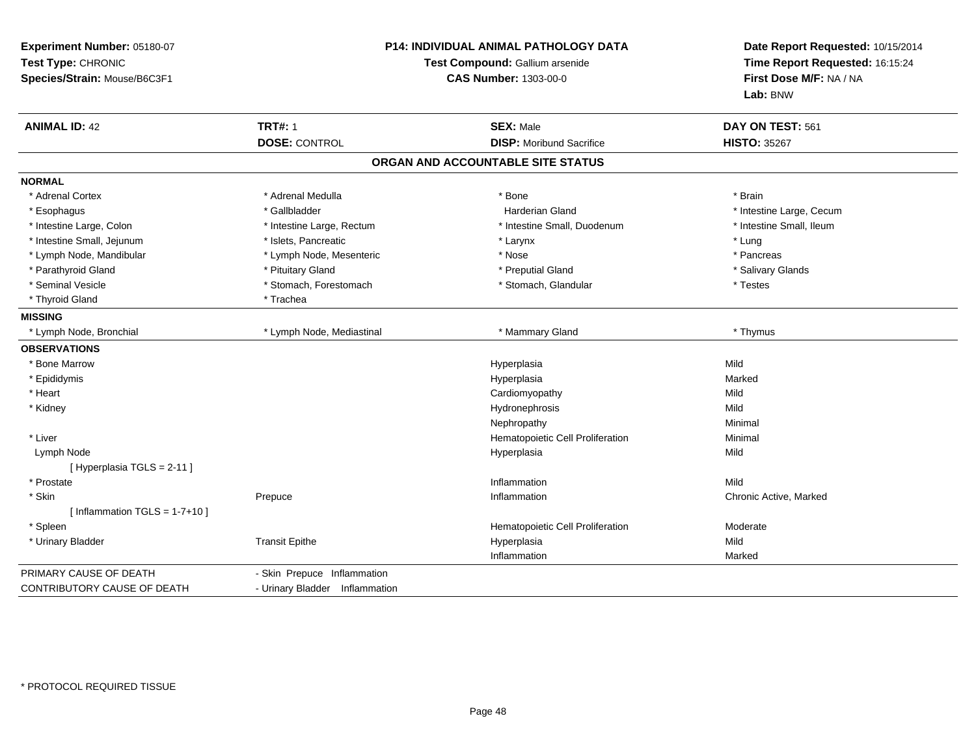| Experiment Number: 05180-07<br>Test Type: CHRONIC<br>Species/Strain: Mouse/B6C3F1 | <b>P14: INDIVIDUAL ANIMAL PATHOLOGY DATA</b><br>Test Compound: Gallium arsenide<br><b>CAS Number: 1303-00-0</b> |                                   | Date Report Requested: 10/15/2014<br>Time Report Requested: 16:15:24<br>First Dose M/F: NA / NA<br>Lab: BNW |  |
|-----------------------------------------------------------------------------------|-----------------------------------------------------------------------------------------------------------------|-----------------------------------|-------------------------------------------------------------------------------------------------------------|--|
| <b>ANIMAL ID: 42</b>                                                              | <b>TRT#: 1</b>                                                                                                  | <b>SEX: Male</b>                  | DAY ON TEST: 561                                                                                            |  |
|                                                                                   | <b>DOSE: CONTROL</b>                                                                                            | <b>DISP:</b> Moribund Sacrifice   | <b>HISTO: 35267</b>                                                                                         |  |
|                                                                                   |                                                                                                                 | ORGAN AND ACCOUNTABLE SITE STATUS |                                                                                                             |  |
| <b>NORMAL</b>                                                                     |                                                                                                                 |                                   |                                                                                                             |  |
| * Adrenal Cortex                                                                  | * Adrenal Medulla                                                                                               | * Bone                            | * Brain                                                                                                     |  |
| * Esophagus                                                                       | * Gallbladder                                                                                                   | <b>Harderian Gland</b>            | * Intestine Large, Cecum                                                                                    |  |
| * Intestine Large, Colon                                                          | * Intestine Large, Rectum                                                                                       | * Intestine Small, Duodenum       | * Intestine Small, Ileum                                                                                    |  |
| * Intestine Small, Jejunum                                                        | * Islets, Pancreatic                                                                                            | * Larynx                          | * Lung                                                                                                      |  |
| * Lymph Node, Mandibular                                                          | * Lymph Node, Mesenteric                                                                                        | * Nose                            | * Pancreas                                                                                                  |  |
| * Parathyroid Gland                                                               | * Pituitary Gland                                                                                               | * Preputial Gland                 | * Salivary Glands                                                                                           |  |
| * Seminal Vesicle                                                                 | * Stomach, Forestomach                                                                                          | * Stomach, Glandular              | * Testes                                                                                                    |  |
| * Thyroid Gland                                                                   | * Trachea                                                                                                       |                                   |                                                                                                             |  |
| <b>MISSING</b>                                                                    |                                                                                                                 |                                   |                                                                                                             |  |
| * Lymph Node, Bronchial                                                           | * Lymph Node, Mediastinal                                                                                       | * Mammary Gland                   | * Thymus                                                                                                    |  |
| <b>OBSERVATIONS</b>                                                               |                                                                                                                 |                                   |                                                                                                             |  |
| * Bone Marrow                                                                     |                                                                                                                 | Hyperplasia                       | Mild                                                                                                        |  |
| * Epididymis                                                                      |                                                                                                                 | Hyperplasia                       | Marked                                                                                                      |  |
| * Heart                                                                           |                                                                                                                 | Cardiomyopathy                    | Mild                                                                                                        |  |
| * Kidney                                                                          |                                                                                                                 | Hydronephrosis                    | Mild                                                                                                        |  |
|                                                                                   |                                                                                                                 | Nephropathy                       | Minimal                                                                                                     |  |
| * Liver                                                                           |                                                                                                                 | Hematopoietic Cell Proliferation  | Minimal                                                                                                     |  |
| Lymph Node                                                                        |                                                                                                                 | Hyperplasia                       | Mild                                                                                                        |  |
| [ Hyperplasia TGLS = 2-11 ]                                                       |                                                                                                                 |                                   |                                                                                                             |  |
| * Prostate                                                                        |                                                                                                                 | Inflammation                      | Mild                                                                                                        |  |
| * Skin                                                                            | Prepuce                                                                                                         | Inflammation                      | Chronic Active, Marked                                                                                      |  |
| [Inflammation TGLS = $1-7+10$ ]                                                   |                                                                                                                 |                                   |                                                                                                             |  |
| * Spleen                                                                          |                                                                                                                 | Hematopoietic Cell Proliferation  | Moderate                                                                                                    |  |
| * Urinary Bladder                                                                 | <b>Transit Epithe</b>                                                                                           | Hyperplasia                       | Mild                                                                                                        |  |
|                                                                                   |                                                                                                                 | Inflammation                      | Marked                                                                                                      |  |
| PRIMARY CAUSE OF DEATH                                                            | - Skin Prepuce Inflammation                                                                                     |                                   |                                                                                                             |  |
| CONTRIBUTORY CAUSE OF DEATH                                                       | - Urinary Bladder Inflammation                                                                                  |                                   |                                                                                                             |  |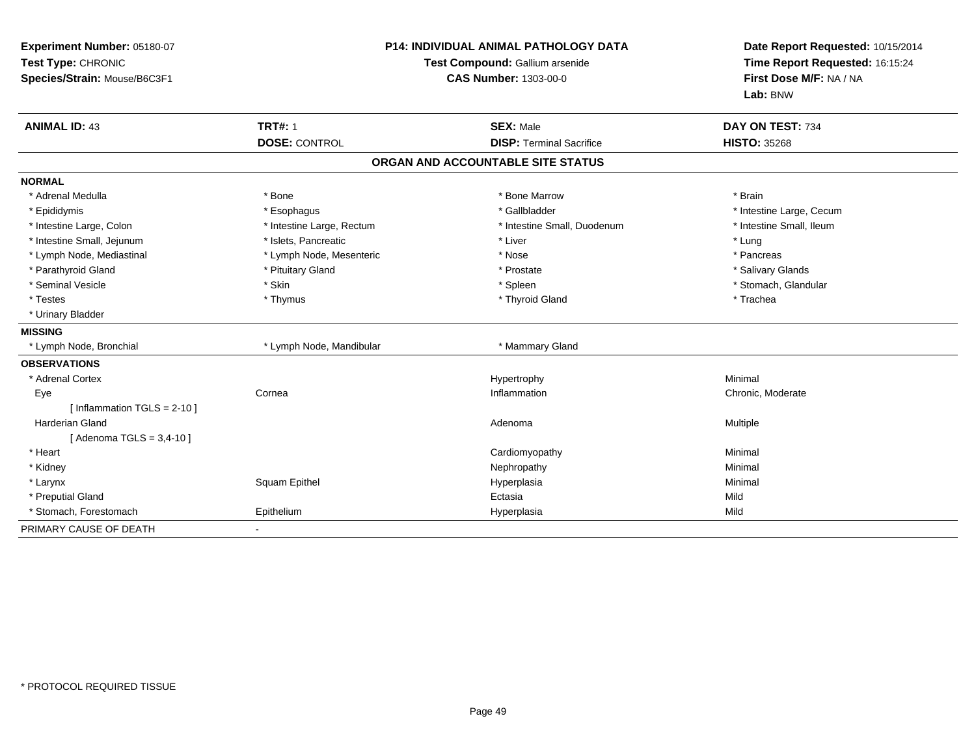| Experiment Number: 05180-07<br>Test Type: CHRONIC<br>Species/Strain: Mouse/B6C3F1 |                           | <b>P14: INDIVIDUAL ANIMAL PATHOLOGY DATA</b><br>Test Compound: Gallium arsenide<br>CAS Number: 1303-00-0 | Date Report Requested: 10/15/2014<br>Time Report Requested: 16:15:24<br>First Dose M/F: NA / NA<br>Lab: BNW |
|-----------------------------------------------------------------------------------|---------------------------|----------------------------------------------------------------------------------------------------------|-------------------------------------------------------------------------------------------------------------|
| <b>ANIMAL ID: 43</b>                                                              | <b>TRT#: 1</b>            | <b>SEX: Male</b>                                                                                         | DAY ON TEST: 734                                                                                            |
|                                                                                   | <b>DOSE: CONTROL</b>      | <b>DISP: Terminal Sacrifice</b>                                                                          | <b>HISTO: 35268</b>                                                                                         |
|                                                                                   |                           | ORGAN AND ACCOUNTABLE SITE STATUS                                                                        |                                                                                                             |
| <b>NORMAL</b>                                                                     |                           |                                                                                                          |                                                                                                             |
| * Adrenal Medulla                                                                 | * Bone                    | * Bone Marrow                                                                                            | * Brain                                                                                                     |
| * Epididymis                                                                      | * Esophagus               | * Gallbladder                                                                                            | * Intestine Large, Cecum                                                                                    |
| * Intestine Large, Colon                                                          | * Intestine Large, Rectum | * Intestine Small, Duodenum                                                                              | * Intestine Small, Ileum                                                                                    |
| * Intestine Small, Jejunum                                                        | * Islets, Pancreatic      | * Liver                                                                                                  | * Lung                                                                                                      |
| * Lymph Node, Mediastinal                                                         | * Lymph Node, Mesenteric  | * Nose                                                                                                   | * Pancreas                                                                                                  |
| * Parathyroid Gland                                                               | * Pituitary Gland         | * Prostate                                                                                               | * Salivary Glands                                                                                           |
| * Seminal Vesicle                                                                 | * Skin                    | * Spleen                                                                                                 | * Stomach, Glandular                                                                                        |
| * Testes                                                                          | * Thymus                  | * Thyroid Gland                                                                                          | * Trachea                                                                                                   |
| * Urinary Bladder                                                                 |                           |                                                                                                          |                                                                                                             |
| <b>MISSING</b>                                                                    |                           |                                                                                                          |                                                                                                             |
| * Lymph Node, Bronchial                                                           | * Lymph Node, Mandibular  | * Mammary Gland                                                                                          |                                                                                                             |
| <b>OBSERVATIONS</b>                                                               |                           |                                                                                                          |                                                                                                             |
| * Adrenal Cortex                                                                  |                           | Hypertrophy                                                                                              | Minimal                                                                                                     |
| Eye                                                                               | Cornea                    | Inflammation                                                                                             | Chronic, Moderate                                                                                           |
| [ Inflammation $TGLS = 2-10$ ]                                                    |                           |                                                                                                          |                                                                                                             |
| <b>Harderian Gland</b>                                                            |                           | Adenoma                                                                                                  | <b>Multiple</b>                                                                                             |
| [ Adenoma TGLS = 3,4-10 ]                                                         |                           |                                                                                                          |                                                                                                             |
| * Heart                                                                           |                           | Cardiomyopathy                                                                                           | Minimal                                                                                                     |
| * Kidney                                                                          |                           | Nephropathy                                                                                              | Minimal                                                                                                     |
| * Larynx                                                                          | Squam Epithel             | Hyperplasia                                                                                              | Minimal                                                                                                     |
| * Preputial Gland                                                                 |                           | Ectasia                                                                                                  | Mild                                                                                                        |
| * Stomach, Forestomach                                                            | Epithelium                | Hyperplasia                                                                                              | Mild                                                                                                        |
| PRIMARY CAUSE OF DEATH                                                            |                           |                                                                                                          |                                                                                                             |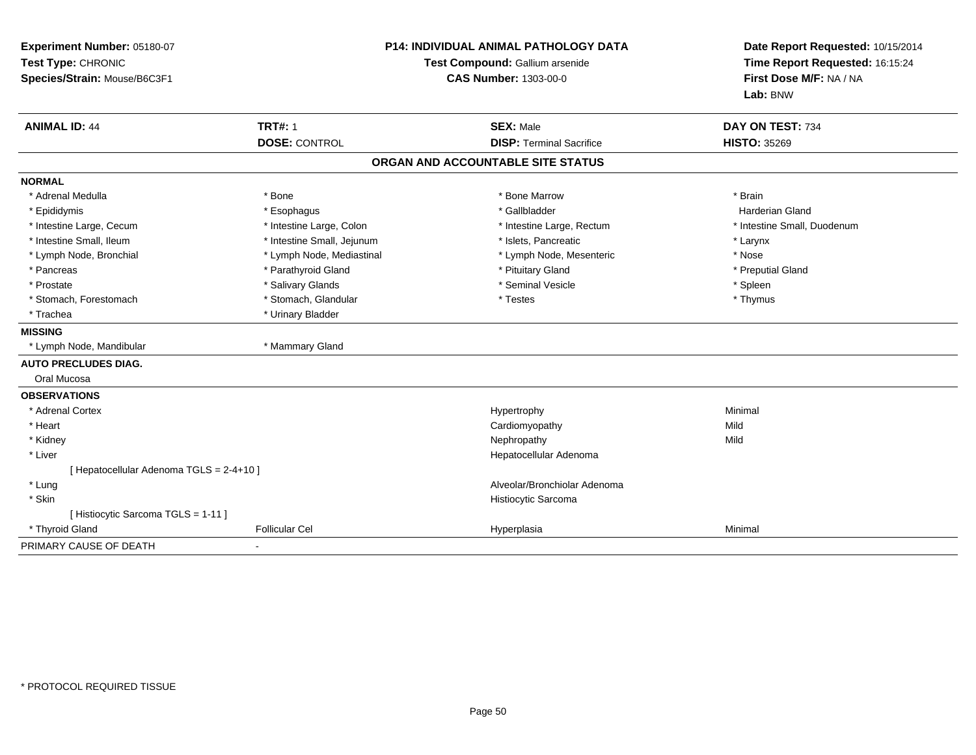| Experiment Number: 05180-07              | <b>P14: INDIVIDUAL ANIMAL PATHOLOGY DATA</b><br>Test Compound: Gallium arsenide |                                   | Date Report Requested: 10/15/2014 |
|------------------------------------------|---------------------------------------------------------------------------------|-----------------------------------|-----------------------------------|
| Test Type: CHRONIC                       |                                                                                 |                                   | Time Report Requested: 16:15:24   |
| Species/Strain: Mouse/B6C3F1             |                                                                                 | <b>CAS Number: 1303-00-0</b>      | First Dose M/F: NA / NA           |
|                                          |                                                                                 |                                   | Lab: BNW                          |
| <b>ANIMAL ID: 44</b>                     | <b>TRT#: 1</b>                                                                  | <b>SEX: Male</b>                  | DAY ON TEST: 734                  |
|                                          | <b>DOSE: CONTROL</b>                                                            | <b>DISP: Terminal Sacrifice</b>   | <b>HISTO: 35269</b>               |
|                                          |                                                                                 | ORGAN AND ACCOUNTABLE SITE STATUS |                                   |
| <b>NORMAL</b>                            |                                                                                 |                                   |                                   |
| * Adrenal Medulla                        | * Bone                                                                          | * Bone Marrow                     | * Brain                           |
| * Epididymis                             | * Esophagus                                                                     | * Gallbladder                     | <b>Harderian Gland</b>            |
| * Intestine Large, Cecum                 | * Intestine Large, Colon                                                        | * Intestine Large, Rectum         | * Intestine Small, Duodenum       |
| * Intestine Small, Ileum                 | * Intestine Small, Jejunum                                                      | * Islets, Pancreatic              | * Larynx                          |
| * Lymph Node, Bronchial                  | * Lymph Node, Mediastinal                                                       | * Lymph Node, Mesenteric          | * Nose                            |
| * Pancreas                               | * Parathyroid Gland                                                             | * Pituitary Gland                 | * Preputial Gland                 |
| * Prostate                               | * Salivary Glands                                                               | * Seminal Vesicle                 | * Spleen                          |
| * Stomach, Forestomach                   | * Stomach, Glandular                                                            | * Testes                          | * Thymus                          |
| * Trachea                                | * Urinary Bladder                                                               |                                   |                                   |
| <b>MISSING</b>                           |                                                                                 |                                   |                                   |
| * Lymph Node, Mandibular                 | * Mammary Gland                                                                 |                                   |                                   |
| <b>AUTO PRECLUDES DIAG.</b>              |                                                                                 |                                   |                                   |
| Oral Mucosa                              |                                                                                 |                                   |                                   |
| <b>OBSERVATIONS</b>                      |                                                                                 |                                   |                                   |
| * Adrenal Cortex                         |                                                                                 | Hypertrophy                       | Minimal                           |
| * Heart                                  |                                                                                 | Cardiomyopathy                    | Mild                              |
| * Kidney                                 |                                                                                 | Nephropathy                       | Mild                              |
| * Liver                                  |                                                                                 | Hepatocellular Adenoma            |                                   |
| [ Hepatocellular Adenoma TGLS = 2-4+10 ] |                                                                                 |                                   |                                   |
| * Lung                                   |                                                                                 | Alveolar/Bronchiolar Adenoma      |                                   |
| * Skin                                   |                                                                                 | Histiocytic Sarcoma               |                                   |
| [ Histiocytic Sarcoma TGLS = 1-11 ]      |                                                                                 |                                   |                                   |
| * Thyroid Gland                          | <b>Follicular Cel</b>                                                           | Hyperplasia                       | Minimal                           |
| PRIMARY CAUSE OF DEATH                   |                                                                                 |                                   |                                   |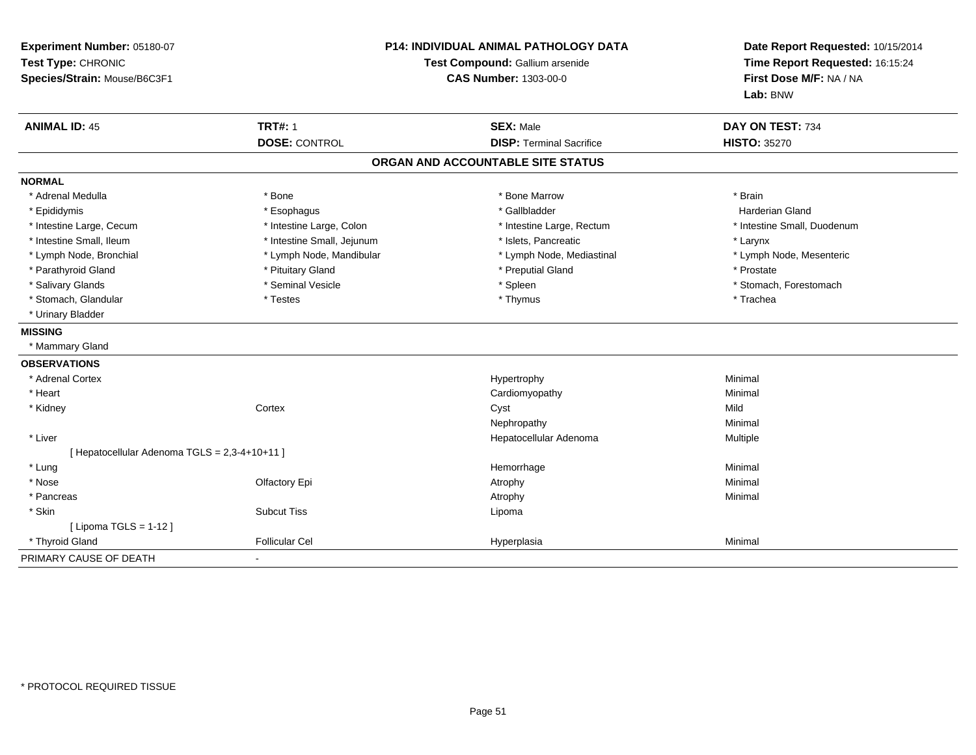| Experiment Number: 05180-07<br>Test Type: CHRONIC<br>Species/Strain: Mouse/B6C3F1 |                            | <b>P14: INDIVIDUAL ANIMAL PATHOLOGY DATA</b><br>Test Compound: Gallium arsenide<br><b>CAS Number: 1303-00-0</b> | Date Report Requested: 10/15/2014<br>Time Report Requested: 16:15:24<br>First Dose M/F: NA / NA<br>Lab: BNW |
|-----------------------------------------------------------------------------------|----------------------------|-----------------------------------------------------------------------------------------------------------------|-------------------------------------------------------------------------------------------------------------|
| <b>ANIMAL ID: 45</b>                                                              | <b>TRT#: 1</b>             | <b>SEX: Male</b>                                                                                                | DAY ON TEST: 734                                                                                            |
|                                                                                   | <b>DOSE: CONTROL</b>       | <b>DISP: Terminal Sacrifice</b>                                                                                 | <b>HISTO: 35270</b>                                                                                         |
|                                                                                   |                            | ORGAN AND ACCOUNTABLE SITE STATUS                                                                               |                                                                                                             |
| <b>NORMAL</b>                                                                     |                            |                                                                                                                 |                                                                                                             |
| * Adrenal Medulla                                                                 | * Bone                     | * Bone Marrow                                                                                                   | * Brain                                                                                                     |
| * Epididymis                                                                      | * Esophagus                | * Gallbladder                                                                                                   | <b>Harderian Gland</b>                                                                                      |
| * Intestine Large, Cecum                                                          | * Intestine Large, Colon   | * Intestine Large, Rectum                                                                                       | * Intestine Small, Duodenum                                                                                 |
| * Intestine Small, Ileum                                                          | * Intestine Small, Jejunum | * Islets, Pancreatic                                                                                            | * Larynx                                                                                                    |
| * Lymph Node, Bronchial                                                           | * Lymph Node, Mandibular   | * Lymph Node, Mediastinal                                                                                       | * Lymph Node, Mesenteric                                                                                    |
| * Parathyroid Gland                                                               | * Pituitary Gland          | * Preputial Gland                                                                                               | * Prostate                                                                                                  |
| * Salivary Glands                                                                 | * Seminal Vesicle          | * Spleen                                                                                                        | * Stomach, Forestomach                                                                                      |
| * Stomach, Glandular                                                              | * Testes                   | * Thymus                                                                                                        | * Trachea                                                                                                   |
| * Urinary Bladder                                                                 |                            |                                                                                                                 |                                                                                                             |
| <b>MISSING</b>                                                                    |                            |                                                                                                                 |                                                                                                             |
| * Mammary Gland                                                                   |                            |                                                                                                                 |                                                                                                             |
| <b>OBSERVATIONS</b>                                                               |                            |                                                                                                                 |                                                                                                             |
| * Adrenal Cortex                                                                  |                            | Hypertrophy                                                                                                     | Minimal                                                                                                     |
| * Heart                                                                           |                            | Cardiomyopathy                                                                                                  | Minimal                                                                                                     |
| * Kidney                                                                          | Cortex                     | Cyst                                                                                                            | Mild                                                                                                        |
|                                                                                   |                            | Nephropathy                                                                                                     | Minimal                                                                                                     |
| * Liver                                                                           |                            | Hepatocellular Adenoma                                                                                          | Multiple                                                                                                    |
| [ Hepatocellular Adenoma TGLS = 2,3-4+10+11 ]                                     |                            |                                                                                                                 |                                                                                                             |
| * Lung                                                                            |                            | Hemorrhage                                                                                                      | Minimal                                                                                                     |
| * Nose                                                                            | Olfactory Epi              | Atrophy                                                                                                         | Minimal                                                                                                     |
| * Pancreas                                                                        |                            | Atrophy                                                                                                         | Minimal                                                                                                     |
| * Skin                                                                            | <b>Subcut Tiss</b>         | Lipoma                                                                                                          |                                                                                                             |
| [ Lipoma TGLS = $1-12$ ]                                                          |                            |                                                                                                                 |                                                                                                             |
| * Thyroid Gland                                                                   | <b>Follicular Cel</b>      | Hyperplasia                                                                                                     | Minimal                                                                                                     |
| PRIMARY CAUSE OF DEATH                                                            | $\blacksquare$             |                                                                                                                 |                                                                                                             |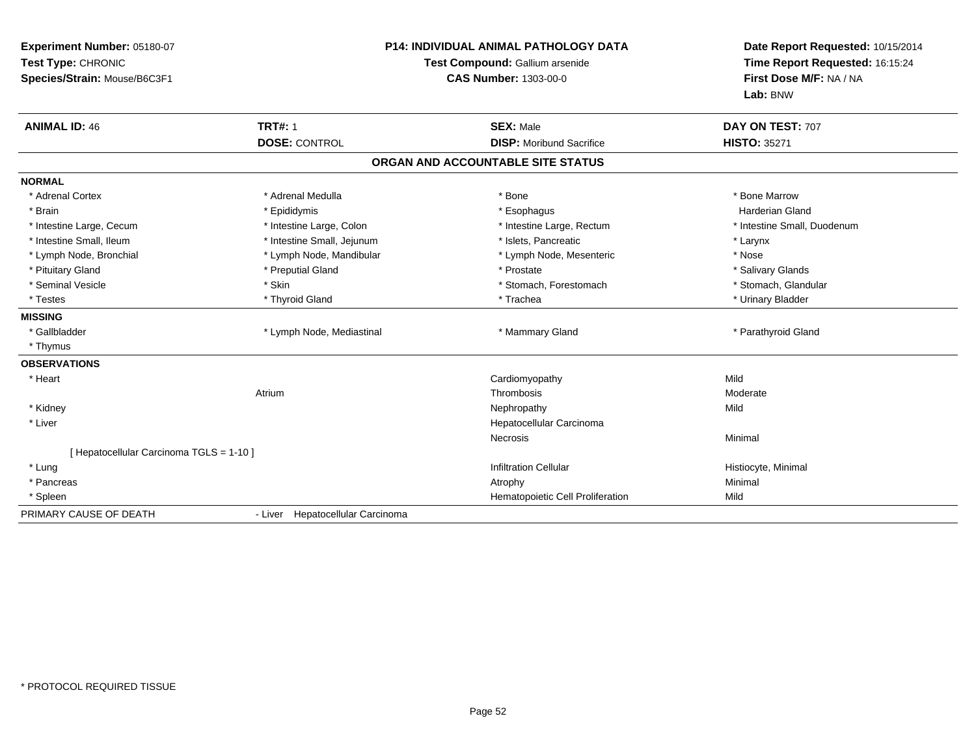| Experiment Number: 05180-07<br>Test Type: CHRONIC<br>Species/Strain: Mouse/B6C3F1 |                                  | <b>P14: INDIVIDUAL ANIMAL PATHOLOGY DATA</b><br>Test Compound: Gallium arsenide<br><b>CAS Number: 1303-00-0</b> | Date Report Requested: 10/15/2014<br>Time Report Requested: 16:15:24<br>First Dose M/F: NA / NA<br>Lab: BNW |
|-----------------------------------------------------------------------------------|----------------------------------|-----------------------------------------------------------------------------------------------------------------|-------------------------------------------------------------------------------------------------------------|
| <b>ANIMAL ID: 46</b>                                                              | <b>TRT#: 1</b>                   | <b>SEX: Male</b>                                                                                                | DAY ON TEST: 707                                                                                            |
|                                                                                   | <b>DOSE: CONTROL</b>             | <b>DISP:</b> Moribund Sacrifice                                                                                 | <b>HISTO: 35271</b>                                                                                         |
|                                                                                   |                                  | ORGAN AND ACCOUNTABLE SITE STATUS                                                                               |                                                                                                             |
| <b>NORMAL</b>                                                                     |                                  |                                                                                                                 |                                                                                                             |
| * Adrenal Cortex                                                                  | * Adrenal Medulla                | * Bone                                                                                                          | * Bone Marrow                                                                                               |
| * Brain                                                                           | * Epididymis                     | * Esophagus                                                                                                     | <b>Harderian Gland</b>                                                                                      |
| * Intestine Large, Cecum                                                          | * Intestine Large, Colon         | * Intestine Large, Rectum                                                                                       | * Intestine Small, Duodenum                                                                                 |
| * Intestine Small, Ileum                                                          | * Intestine Small, Jejunum       | * Islets, Pancreatic                                                                                            | * Larynx                                                                                                    |
| * Lymph Node, Bronchial                                                           | * Lymph Node, Mandibular         | * Lymph Node, Mesenteric                                                                                        | * Nose                                                                                                      |
| * Pituitary Gland                                                                 | * Preputial Gland                | * Prostate                                                                                                      | * Salivary Glands                                                                                           |
| * Seminal Vesicle                                                                 | * Skin                           | * Stomach, Forestomach                                                                                          | * Stomach, Glandular                                                                                        |
| * Testes                                                                          | * Thyroid Gland                  | * Trachea                                                                                                       | * Urinary Bladder                                                                                           |
| <b>MISSING</b>                                                                    |                                  |                                                                                                                 |                                                                                                             |
| * Gallbladder                                                                     | * Lymph Node, Mediastinal        | * Mammary Gland                                                                                                 | * Parathyroid Gland                                                                                         |
| * Thymus                                                                          |                                  |                                                                                                                 |                                                                                                             |
| <b>OBSERVATIONS</b>                                                               |                                  |                                                                                                                 |                                                                                                             |
| * Heart                                                                           |                                  | Cardiomyopathy                                                                                                  | Mild                                                                                                        |
|                                                                                   | Atrium                           | Thrombosis                                                                                                      | Moderate                                                                                                    |
| * Kidney                                                                          |                                  | Nephropathy                                                                                                     | Mild                                                                                                        |
| * Liver                                                                           |                                  | Hepatocellular Carcinoma                                                                                        |                                                                                                             |
|                                                                                   |                                  | Necrosis                                                                                                        | Minimal                                                                                                     |
| [ Hepatocellular Carcinoma TGLS = 1-10 ]                                          |                                  |                                                                                                                 |                                                                                                             |
| * Lung                                                                            |                                  | <b>Infiltration Cellular</b>                                                                                    | Histiocyte, Minimal                                                                                         |
| * Pancreas                                                                        |                                  | Atrophy                                                                                                         | Minimal                                                                                                     |
| * Spleen                                                                          |                                  | Hematopoietic Cell Proliferation                                                                                | Mild                                                                                                        |
| PRIMARY CAUSE OF DEATH                                                            | - Liver Hepatocellular Carcinoma |                                                                                                                 |                                                                                                             |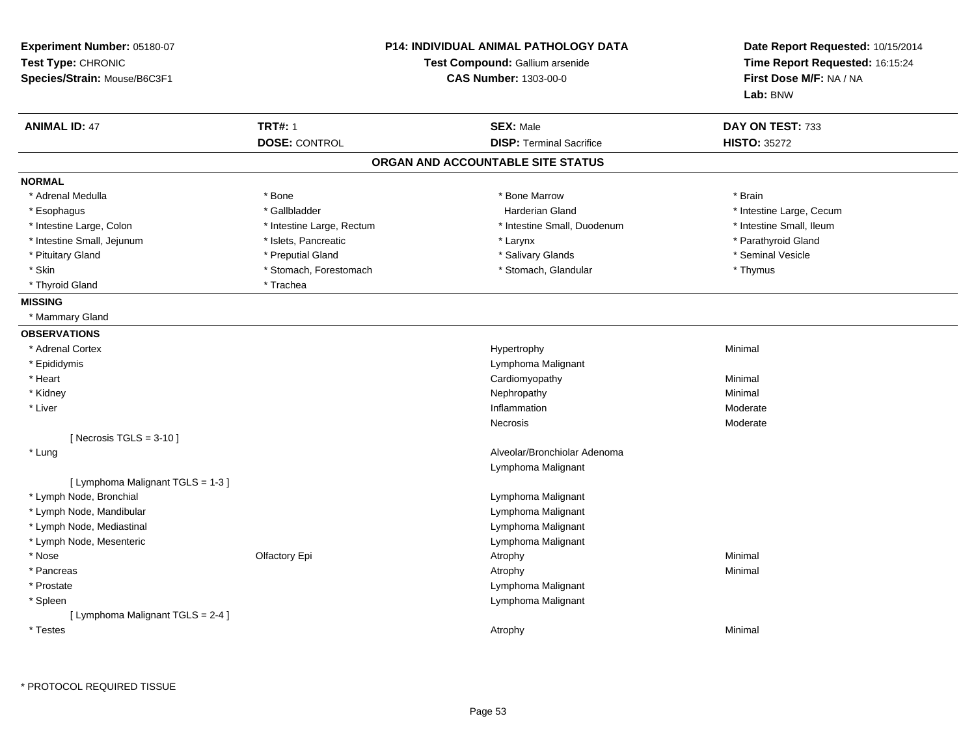| Experiment Number: 05180-07<br>Test Type: CHRONIC<br>Species/Strain: Mouse/B6C3F1 |                           | <b>P14: INDIVIDUAL ANIMAL PATHOLOGY DATA</b><br>Test Compound: Gallium arsenide<br><b>CAS Number: 1303-00-0</b> | Date Report Requested: 10/15/2014<br>Time Report Requested: 16:15:24<br>First Dose M/F: NA / NA<br>Lab: BNW |
|-----------------------------------------------------------------------------------|---------------------------|-----------------------------------------------------------------------------------------------------------------|-------------------------------------------------------------------------------------------------------------|
| <b>ANIMAL ID: 47</b>                                                              | <b>TRT#: 1</b>            | <b>SEX: Male</b>                                                                                                | DAY ON TEST: 733                                                                                            |
|                                                                                   | <b>DOSE: CONTROL</b>      | <b>DISP: Terminal Sacrifice</b>                                                                                 | <b>HISTO: 35272</b>                                                                                         |
|                                                                                   |                           | ORGAN AND ACCOUNTABLE SITE STATUS                                                                               |                                                                                                             |
| <b>NORMAL</b>                                                                     |                           |                                                                                                                 |                                                                                                             |
| * Adrenal Medulla                                                                 | * Bone                    | * Bone Marrow                                                                                                   | * Brain                                                                                                     |
| * Esophagus                                                                       | * Gallbladder             | <b>Harderian Gland</b>                                                                                          | * Intestine Large, Cecum                                                                                    |
| * Intestine Large, Colon                                                          | * Intestine Large, Rectum | * Intestine Small, Duodenum                                                                                     | * Intestine Small, Ileum                                                                                    |
| * Intestine Small, Jejunum                                                        | * Islets, Pancreatic      | * Larynx                                                                                                        | * Parathyroid Gland                                                                                         |
| * Pituitary Gland                                                                 | * Preputial Gland         | * Salivary Glands                                                                                               | * Seminal Vesicle                                                                                           |
| * Skin                                                                            | * Stomach, Forestomach    | * Stomach, Glandular                                                                                            | * Thymus                                                                                                    |
| * Thyroid Gland                                                                   | * Trachea                 |                                                                                                                 |                                                                                                             |
| <b>MISSING</b>                                                                    |                           |                                                                                                                 |                                                                                                             |
| * Mammary Gland                                                                   |                           |                                                                                                                 |                                                                                                             |
| <b>OBSERVATIONS</b>                                                               |                           |                                                                                                                 |                                                                                                             |
| * Adrenal Cortex                                                                  |                           | Hypertrophy                                                                                                     | Minimal                                                                                                     |
| * Epididymis                                                                      |                           | Lymphoma Malignant                                                                                              |                                                                                                             |
| * Heart                                                                           |                           | Cardiomyopathy                                                                                                  | Minimal                                                                                                     |
| * Kidney                                                                          |                           | Nephropathy                                                                                                     | Minimal                                                                                                     |
| * Liver                                                                           |                           | Inflammation                                                                                                    | Moderate                                                                                                    |
|                                                                                   |                           | Necrosis                                                                                                        | Moderate                                                                                                    |
| [Necrosis TGLS = $3-10$ ]                                                         |                           |                                                                                                                 |                                                                                                             |
| * Lung                                                                            |                           | Alveolar/Bronchiolar Adenoma                                                                                    |                                                                                                             |
|                                                                                   |                           | Lymphoma Malignant                                                                                              |                                                                                                             |
| [ Lymphoma Malignant TGLS = 1-3 ]                                                 |                           |                                                                                                                 |                                                                                                             |
| * Lymph Node, Bronchial                                                           |                           | Lymphoma Malignant                                                                                              |                                                                                                             |
| * Lymph Node, Mandibular                                                          |                           | Lymphoma Malignant                                                                                              |                                                                                                             |
| * Lymph Node, Mediastinal                                                         |                           | Lymphoma Malignant                                                                                              |                                                                                                             |
| * Lymph Node, Mesenteric                                                          |                           | Lymphoma Malignant                                                                                              |                                                                                                             |
| * Nose                                                                            | Olfactory Epi             | Atrophy                                                                                                         | Minimal                                                                                                     |
| * Pancreas                                                                        |                           | Atrophy                                                                                                         | Minimal                                                                                                     |
| * Prostate                                                                        |                           | Lymphoma Malignant                                                                                              |                                                                                                             |
| * Spleen                                                                          |                           | Lymphoma Malignant                                                                                              |                                                                                                             |
| [ Lymphoma Malignant TGLS = 2-4 ]                                                 |                           |                                                                                                                 |                                                                                                             |
| * Testes                                                                          |                           | Atrophy                                                                                                         | Minimal                                                                                                     |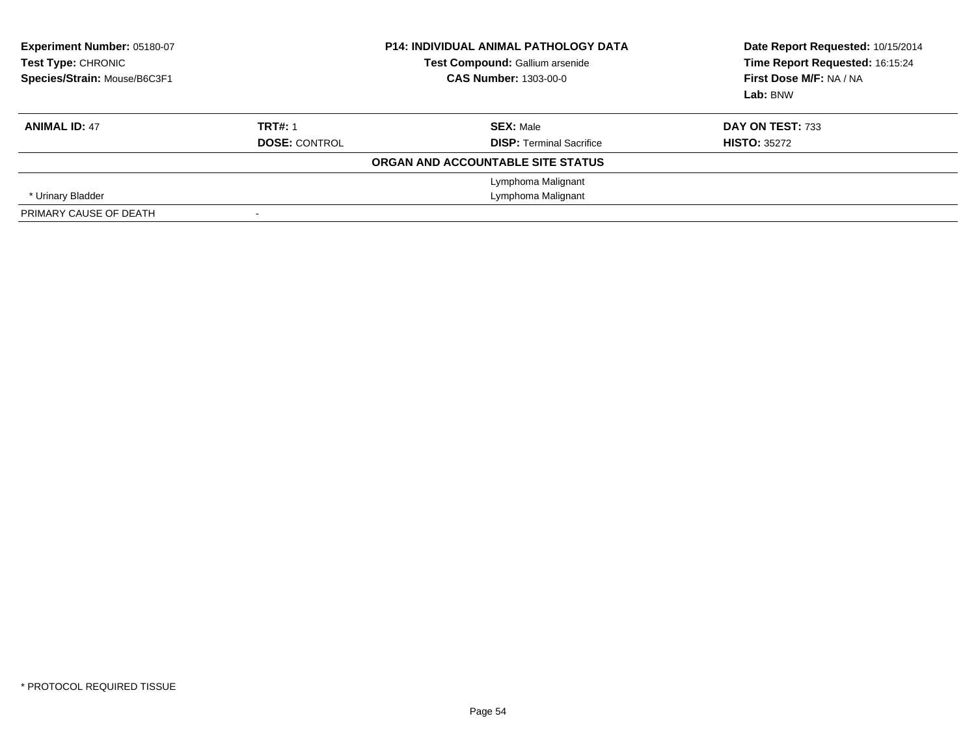| Experiment Number: 05180-07<br>Test Type: CHRONIC<br>Species/Strain: Mouse/B6C3F1 |                      | <b>P14: INDIVIDUAL ANIMAL PATHOLOGY DATA</b><br>Test Compound: Gallium arsenide<br><b>CAS Number: 1303-00-0</b> | Date Report Requested: 10/15/2014<br>Time Report Requested: 16:15:24<br>First Dose M/F: NA / NA<br>Lab: BNW |
|-----------------------------------------------------------------------------------|----------------------|-----------------------------------------------------------------------------------------------------------------|-------------------------------------------------------------------------------------------------------------|
| <b>ANIMAL ID: 47</b>                                                              | <b>TRT#: 1</b>       | <b>SEX: Male</b>                                                                                                | DAY ON TEST: 733                                                                                            |
|                                                                                   | <b>DOSE: CONTROL</b> | <b>DISP: Terminal Sacrifice</b>                                                                                 | <b>HISTO: 35272</b>                                                                                         |
|                                                                                   |                      | ORGAN AND ACCOUNTABLE SITE STATUS                                                                               |                                                                                                             |
|                                                                                   |                      | Lymphoma Malignant                                                                                              |                                                                                                             |
| * Urinary Bladder                                                                 |                      | Lymphoma Malignant                                                                                              |                                                                                                             |
| PRIMARY CAUSE OF DEATH                                                            |                      |                                                                                                                 |                                                                                                             |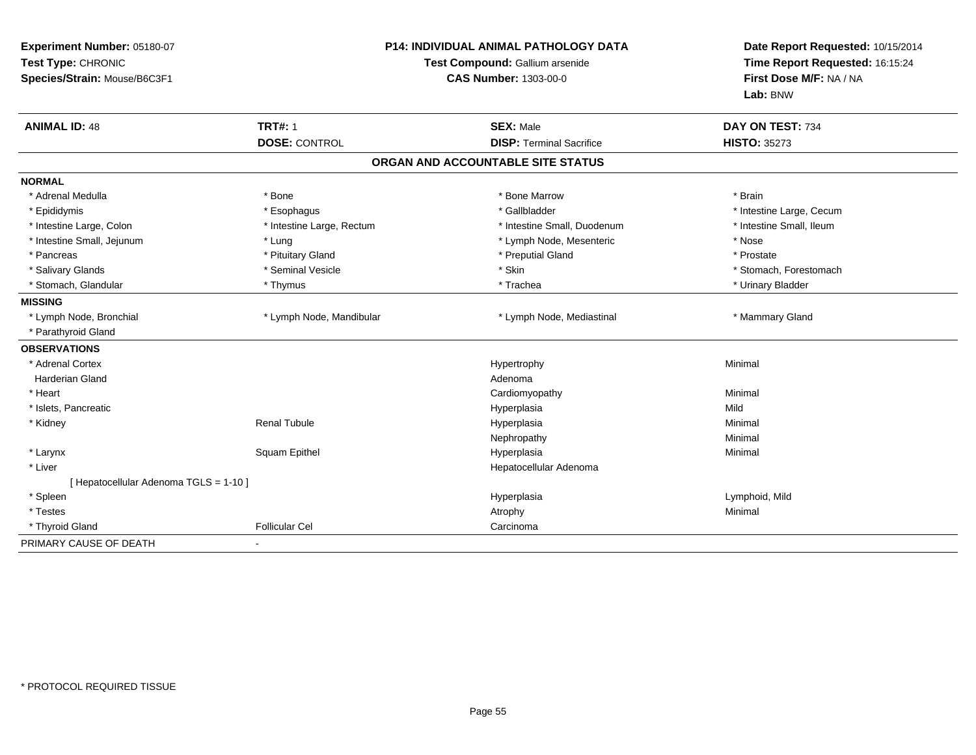| Experiment Number: 05180-07<br>Test Type: CHRONIC<br>Species/Strain: Mouse/B6C3F1 |                                        | <b>P14: INDIVIDUAL ANIMAL PATHOLOGY DATA</b><br>Test Compound: Gallium arsenide<br><b>CAS Number: 1303-00-0</b> | Date Report Requested: 10/15/2014<br>Time Report Requested: 16:15:24<br>First Dose M/F: NA / NA<br>Lab: BNW |
|-----------------------------------------------------------------------------------|----------------------------------------|-----------------------------------------------------------------------------------------------------------------|-------------------------------------------------------------------------------------------------------------|
| <b>ANIMAL ID: 48</b>                                                              | <b>TRT#: 1</b><br><b>DOSE: CONTROL</b> | <b>SEX: Male</b><br><b>DISP: Terminal Sacrifice</b>                                                             | DAY ON TEST: 734<br><b>HISTO: 35273</b>                                                                     |
|                                                                                   |                                        | ORGAN AND ACCOUNTABLE SITE STATUS                                                                               |                                                                                                             |
| <b>NORMAL</b>                                                                     |                                        |                                                                                                                 |                                                                                                             |
| * Adrenal Medulla                                                                 | * Bone                                 | * Bone Marrow                                                                                                   | * Brain                                                                                                     |
| * Epididymis                                                                      | * Esophagus                            | * Gallbladder                                                                                                   | * Intestine Large, Cecum                                                                                    |
| * Intestine Large, Colon                                                          | * Intestine Large, Rectum              | * Intestine Small, Duodenum                                                                                     | * Intestine Small, Ileum                                                                                    |
| * Intestine Small, Jejunum                                                        | * Lung                                 | * Lymph Node, Mesenteric                                                                                        | * Nose                                                                                                      |
| * Pancreas                                                                        | * Pituitary Gland                      | * Preputial Gland                                                                                               | * Prostate                                                                                                  |
| * Salivary Glands                                                                 | * Seminal Vesicle                      | * Skin                                                                                                          | * Stomach, Forestomach                                                                                      |
| * Stomach, Glandular                                                              | * Thymus                               | * Trachea                                                                                                       | * Urinary Bladder                                                                                           |
| <b>MISSING</b>                                                                    |                                        |                                                                                                                 |                                                                                                             |
| * Lymph Node, Bronchial                                                           | * Lymph Node, Mandibular               | * Lymph Node, Mediastinal                                                                                       | * Mammary Gland                                                                                             |
| * Parathyroid Gland                                                               |                                        |                                                                                                                 |                                                                                                             |
| <b>OBSERVATIONS</b>                                                               |                                        |                                                                                                                 |                                                                                                             |
| * Adrenal Cortex                                                                  |                                        | Hypertrophy                                                                                                     | Minimal                                                                                                     |
| <b>Harderian Gland</b>                                                            |                                        | Adenoma                                                                                                         |                                                                                                             |
| * Heart                                                                           |                                        | Cardiomyopathy                                                                                                  | Minimal                                                                                                     |
| * Islets, Pancreatic                                                              |                                        | Hyperplasia                                                                                                     | Mild                                                                                                        |
| * Kidney                                                                          | <b>Renal Tubule</b>                    | Hyperplasia                                                                                                     | Minimal                                                                                                     |
|                                                                                   |                                        | Nephropathy                                                                                                     | Minimal                                                                                                     |
| * Larynx                                                                          | Squam Epithel                          | Hyperplasia                                                                                                     | Minimal                                                                                                     |
| * Liver                                                                           |                                        | Hepatocellular Adenoma                                                                                          |                                                                                                             |
| [ Hepatocellular Adenoma TGLS = 1-10 ]                                            |                                        |                                                                                                                 |                                                                                                             |
| * Spleen                                                                          |                                        | Hyperplasia                                                                                                     | Lymphoid, Mild                                                                                              |
| * Testes                                                                          |                                        | Atrophy                                                                                                         | Minimal                                                                                                     |
| * Thyroid Gland                                                                   | <b>Follicular Cel</b>                  | Carcinoma                                                                                                       |                                                                                                             |
| PRIMARY CAUSE OF DEATH                                                            |                                        |                                                                                                                 |                                                                                                             |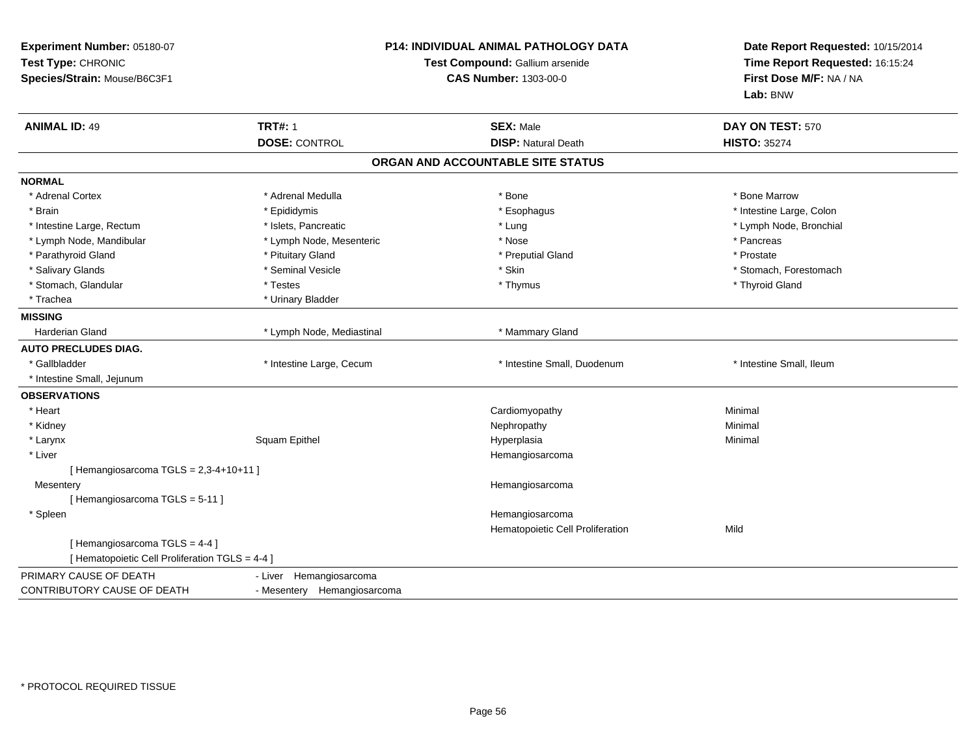| Experiment Number: 05180-07<br>Test Type: CHRONIC<br>Species/Strain: Mouse/B6C3F1 | <b>P14: INDIVIDUAL ANIMAL PATHOLOGY DATA</b><br>Test Compound: Gallium arsenide<br><b>CAS Number: 1303-00-0</b> |                                   | Date Report Requested: 10/15/2014<br>Time Report Requested: 16:15:24<br>First Dose M/F: NA / NA<br>Lab: BNW |
|-----------------------------------------------------------------------------------|-----------------------------------------------------------------------------------------------------------------|-----------------------------------|-------------------------------------------------------------------------------------------------------------|
| <b>ANIMAL ID: 49</b>                                                              | <b>TRT#: 1</b>                                                                                                  | <b>SEX: Male</b>                  | DAY ON TEST: 570                                                                                            |
|                                                                                   | <b>DOSE: CONTROL</b>                                                                                            | <b>DISP: Natural Death</b>        | <b>HISTO: 35274</b>                                                                                         |
|                                                                                   |                                                                                                                 | ORGAN AND ACCOUNTABLE SITE STATUS |                                                                                                             |
| <b>NORMAL</b>                                                                     |                                                                                                                 |                                   |                                                                                                             |
| * Adrenal Cortex                                                                  | * Adrenal Medulla                                                                                               | * Bone                            | * Bone Marrow                                                                                               |
| * Brain                                                                           | * Epididymis                                                                                                    | * Esophagus                       | * Intestine Large, Colon                                                                                    |
| * Intestine Large, Rectum                                                         | * Islets, Pancreatic                                                                                            | * Lung                            | * Lymph Node, Bronchial                                                                                     |
| * Lymph Node, Mandibular                                                          | * Lymph Node, Mesenteric                                                                                        | * Nose                            | * Pancreas                                                                                                  |
| * Parathyroid Gland                                                               | * Pituitary Gland                                                                                               | * Preputial Gland                 | * Prostate                                                                                                  |
| * Salivary Glands                                                                 | * Seminal Vesicle                                                                                               | * Skin                            | * Stomach, Forestomach                                                                                      |
| * Stomach, Glandular                                                              | * Testes                                                                                                        | * Thymus                          | * Thyroid Gland                                                                                             |
| * Trachea                                                                         | * Urinary Bladder                                                                                               |                                   |                                                                                                             |
| <b>MISSING</b>                                                                    |                                                                                                                 |                                   |                                                                                                             |
| <b>Harderian Gland</b>                                                            | * Lymph Node, Mediastinal                                                                                       | * Mammary Gland                   |                                                                                                             |
| <b>AUTO PRECLUDES DIAG.</b>                                                       |                                                                                                                 |                                   |                                                                                                             |
| * Gallbladder                                                                     | * Intestine Large, Cecum                                                                                        | * Intestine Small, Duodenum       | * Intestine Small, Ileum                                                                                    |
| * Intestine Small, Jejunum                                                        |                                                                                                                 |                                   |                                                                                                             |
| <b>OBSERVATIONS</b>                                                               |                                                                                                                 |                                   |                                                                                                             |
| * Heart                                                                           |                                                                                                                 | Cardiomyopathy                    | Minimal                                                                                                     |
| * Kidney                                                                          |                                                                                                                 | Nephropathy                       | Minimal                                                                                                     |
| * Larynx                                                                          | Squam Epithel                                                                                                   | Hyperplasia                       | Minimal                                                                                                     |
| * Liver                                                                           |                                                                                                                 | Hemangiosarcoma                   |                                                                                                             |
| [Hemangiosarcoma TGLS = 2,3-4+10+11]                                              |                                                                                                                 |                                   |                                                                                                             |
| Mesentery                                                                         |                                                                                                                 | Hemangiosarcoma                   |                                                                                                             |
| [Hemangiosarcoma TGLS = 5-11]                                                     |                                                                                                                 |                                   |                                                                                                             |
| * Spleen                                                                          |                                                                                                                 | Hemangiosarcoma                   |                                                                                                             |
|                                                                                   |                                                                                                                 | Hematopoietic Cell Proliferation  | Mild                                                                                                        |
| [Hemangiosarcoma TGLS = 4-4]<br>[ Hematopoietic Cell Proliferation TGLS = 4-4 ]   |                                                                                                                 |                                   |                                                                                                             |
| PRIMARY CAUSE OF DEATH                                                            | - Liver Hemangiosarcoma                                                                                         |                                   |                                                                                                             |
| CONTRIBUTORY CAUSE OF DEATH                                                       | - Mesentery Hemangiosarcoma                                                                                     |                                   |                                                                                                             |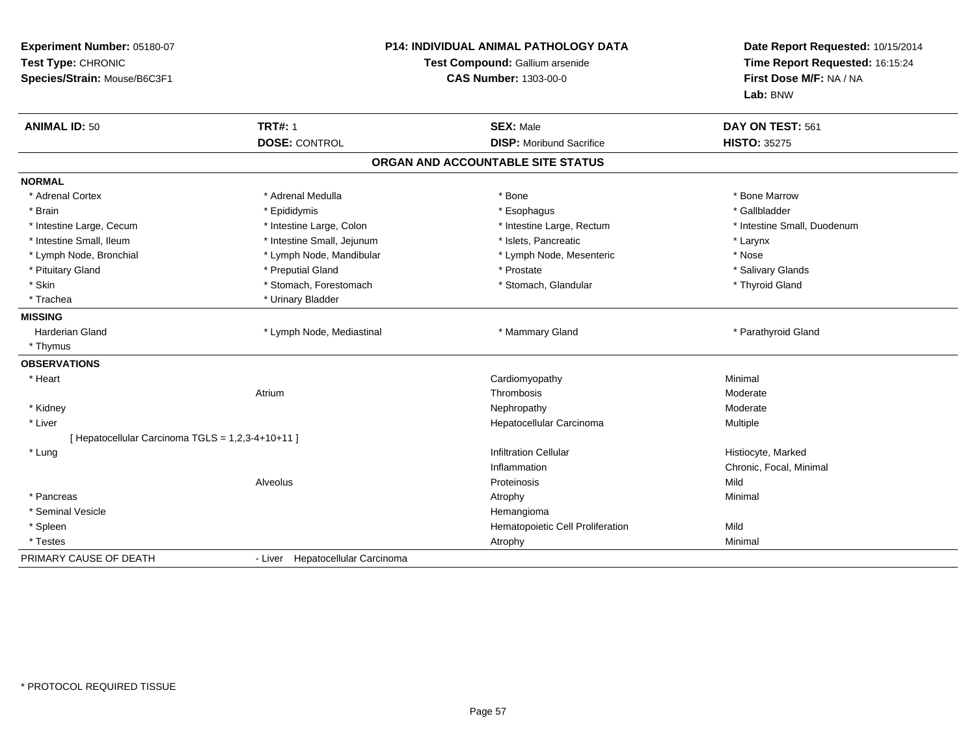| Experiment Number: 05180-07<br>Test Type: CHRONIC<br>Species/Strain: Mouse/B6C3F1 |                                  | <b>P14: INDIVIDUAL ANIMAL PATHOLOGY DATA</b><br>Test Compound: Gallium arsenide<br><b>CAS Number: 1303-00-0</b> | Date Report Requested: 10/15/2014<br>Time Report Requested: 16:15:24<br>First Dose M/F: NA / NA<br>Lab: BNW |
|-----------------------------------------------------------------------------------|----------------------------------|-----------------------------------------------------------------------------------------------------------------|-------------------------------------------------------------------------------------------------------------|
| <b>ANIMAL ID: 50</b>                                                              | <b>TRT#: 1</b>                   | <b>SEX: Male</b>                                                                                                | DAY ON TEST: 561                                                                                            |
|                                                                                   | <b>DOSE: CONTROL</b>             | <b>DISP: Moribund Sacrifice</b>                                                                                 | <b>HISTO: 35275</b>                                                                                         |
|                                                                                   |                                  | ORGAN AND ACCOUNTABLE SITE STATUS                                                                               |                                                                                                             |
| <b>NORMAL</b>                                                                     |                                  |                                                                                                                 |                                                                                                             |
| * Adrenal Cortex                                                                  | * Adrenal Medulla                | * Bone                                                                                                          | * Bone Marrow                                                                                               |
| * Brain                                                                           | * Epididymis                     | * Esophagus                                                                                                     | * Gallbladder                                                                                               |
| * Intestine Large, Cecum                                                          | * Intestine Large, Colon         | * Intestine Large, Rectum                                                                                       | * Intestine Small, Duodenum                                                                                 |
| * Intestine Small, Ileum                                                          | * Intestine Small, Jejunum       | * Islets, Pancreatic                                                                                            | * Larynx                                                                                                    |
| * Lymph Node, Bronchial                                                           | * Lymph Node, Mandibular         | * Lymph Node, Mesenteric                                                                                        | * Nose                                                                                                      |
| * Pituitary Gland                                                                 | * Preputial Gland                | * Prostate                                                                                                      | * Salivary Glands                                                                                           |
| * Skin                                                                            | * Stomach, Forestomach           | * Stomach, Glandular                                                                                            | * Thyroid Gland                                                                                             |
| * Trachea                                                                         | * Urinary Bladder                |                                                                                                                 |                                                                                                             |
| <b>MISSING</b>                                                                    |                                  |                                                                                                                 |                                                                                                             |
| Harderian Gland                                                                   | * Lymph Node, Mediastinal        | * Mammary Gland                                                                                                 | * Parathyroid Gland                                                                                         |
| * Thymus                                                                          |                                  |                                                                                                                 |                                                                                                             |
| <b>OBSERVATIONS</b>                                                               |                                  |                                                                                                                 |                                                                                                             |
| * Heart                                                                           |                                  | Cardiomyopathy                                                                                                  | Minimal                                                                                                     |
|                                                                                   | Atrium                           | Thrombosis                                                                                                      | Moderate                                                                                                    |
| * Kidney                                                                          |                                  | Nephropathy                                                                                                     | Moderate                                                                                                    |
| * Liver                                                                           |                                  | Hepatocellular Carcinoma                                                                                        | Multiple                                                                                                    |
| [ Hepatocellular Carcinoma TGLS = 1,2,3-4+10+11 ]                                 |                                  |                                                                                                                 |                                                                                                             |
| * Lung                                                                            |                                  | <b>Infiltration Cellular</b>                                                                                    | Histiocyte, Marked                                                                                          |
|                                                                                   |                                  | Inflammation                                                                                                    | Chronic, Focal, Minimal                                                                                     |
|                                                                                   | Alveolus                         | Proteinosis                                                                                                     | Mild                                                                                                        |
| * Pancreas                                                                        |                                  | Atrophy                                                                                                         | Minimal                                                                                                     |
| * Seminal Vesicle                                                                 |                                  | Hemangioma                                                                                                      |                                                                                                             |
| * Spleen                                                                          |                                  | Hematopoietic Cell Proliferation                                                                                | Mild                                                                                                        |
| * Testes                                                                          |                                  | Atrophy                                                                                                         | Minimal                                                                                                     |
| PRIMARY CAUSE OF DEATH                                                            | - Liver Hepatocellular Carcinoma |                                                                                                                 |                                                                                                             |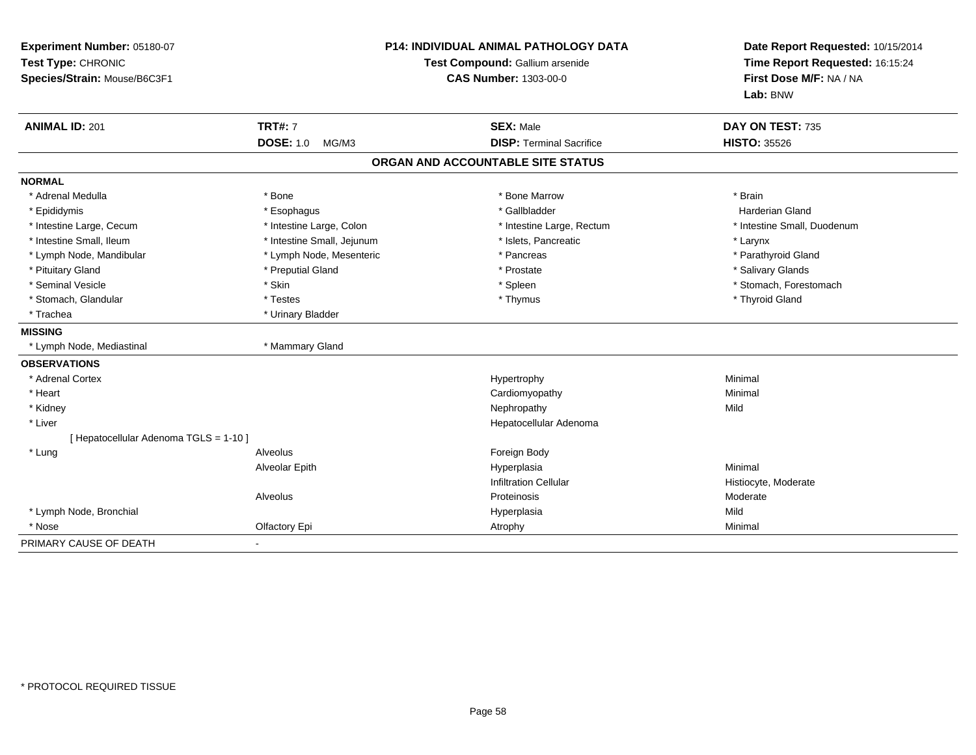| Experiment Number: 05180-07<br>Test Type: CHRONIC<br>Species/Strain: Mouse/B6C3F1 | <b>P14: INDIVIDUAL ANIMAL PATHOLOGY DATA</b><br>Test Compound: Gallium arsenide<br><b>CAS Number: 1303-00-0</b> |                                                     | Date Report Requested: 10/15/2014<br>Time Report Requested: 16:15:24<br>First Dose M/F: NA / NA<br>Lab: BNW |  |
|-----------------------------------------------------------------------------------|-----------------------------------------------------------------------------------------------------------------|-----------------------------------------------------|-------------------------------------------------------------------------------------------------------------|--|
| <b>ANIMAL ID: 201</b>                                                             | <b>TRT#: 7</b><br><b>DOSE: 1.0</b><br>MG/M3                                                                     | <b>SEX: Male</b><br><b>DISP: Terminal Sacrifice</b> | DAY ON TEST: 735<br><b>HISTO: 35526</b>                                                                     |  |
|                                                                                   |                                                                                                                 | ORGAN AND ACCOUNTABLE SITE STATUS                   |                                                                                                             |  |
|                                                                                   |                                                                                                                 |                                                     |                                                                                                             |  |
| <b>NORMAL</b>                                                                     |                                                                                                                 |                                                     |                                                                                                             |  |
| * Adrenal Medulla                                                                 | * Bone                                                                                                          | * Bone Marrow                                       | * Brain                                                                                                     |  |
| * Epididymis                                                                      | * Esophagus                                                                                                     | * Gallbladder                                       | <b>Harderian Gland</b>                                                                                      |  |
| * Intestine Large, Cecum                                                          | * Intestine Large, Colon                                                                                        | * Intestine Large, Rectum                           | * Intestine Small, Duodenum                                                                                 |  |
| * Intestine Small, Ileum                                                          | * Intestine Small, Jejunum                                                                                      | * Islets, Pancreatic                                | * Larynx                                                                                                    |  |
| * Lymph Node, Mandibular                                                          | * Lymph Node, Mesenteric                                                                                        | * Pancreas                                          | * Parathyroid Gland                                                                                         |  |
| * Pituitary Gland                                                                 | * Preputial Gland                                                                                               | * Prostate                                          | * Salivary Glands                                                                                           |  |
| * Seminal Vesicle                                                                 | * Skin                                                                                                          | * Spleen                                            | * Stomach, Forestomach                                                                                      |  |
| * Stomach, Glandular                                                              | * Testes                                                                                                        | * Thymus                                            | * Thyroid Gland                                                                                             |  |
| * Trachea                                                                         | * Urinary Bladder                                                                                               |                                                     |                                                                                                             |  |
| <b>MISSING</b>                                                                    |                                                                                                                 |                                                     |                                                                                                             |  |
| * Lymph Node, Mediastinal                                                         | * Mammary Gland                                                                                                 |                                                     |                                                                                                             |  |
| <b>OBSERVATIONS</b>                                                               |                                                                                                                 |                                                     |                                                                                                             |  |
| * Adrenal Cortex                                                                  |                                                                                                                 | Hypertrophy                                         | Minimal                                                                                                     |  |
| * Heart                                                                           |                                                                                                                 | Cardiomyopathy                                      | Minimal                                                                                                     |  |
| * Kidney                                                                          |                                                                                                                 | Nephropathy                                         | Mild                                                                                                        |  |
| * Liver                                                                           |                                                                                                                 | Hepatocellular Adenoma                              |                                                                                                             |  |
| [ Hepatocellular Adenoma TGLS = 1-10 ]                                            |                                                                                                                 |                                                     |                                                                                                             |  |
| * Lung                                                                            | Alveolus                                                                                                        | Foreign Body                                        |                                                                                                             |  |
|                                                                                   | Alveolar Epith                                                                                                  | Hyperplasia                                         | Minimal                                                                                                     |  |
|                                                                                   |                                                                                                                 | <b>Infiltration Cellular</b>                        | Histiocyte, Moderate                                                                                        |  |
|                                                                                   | Alveolus                                                                                                        | Proteinosis                                         | Moderate                                                                                                    |  |
| * Lymph Node, Bronchial                                                           |                                                                                                                 | Hyperplasia                                         | Mild                                                                                                        |  |
| * Nose                                                                            | Olfactory Epi                                                                                                   | Atrophy                                             | Minimal                                                                                                     |  |
| PRIMARY CAUSE OF DEATH                                                            | $\blacksquare$                                                                                                  |                                                     |                                                                                                             |  |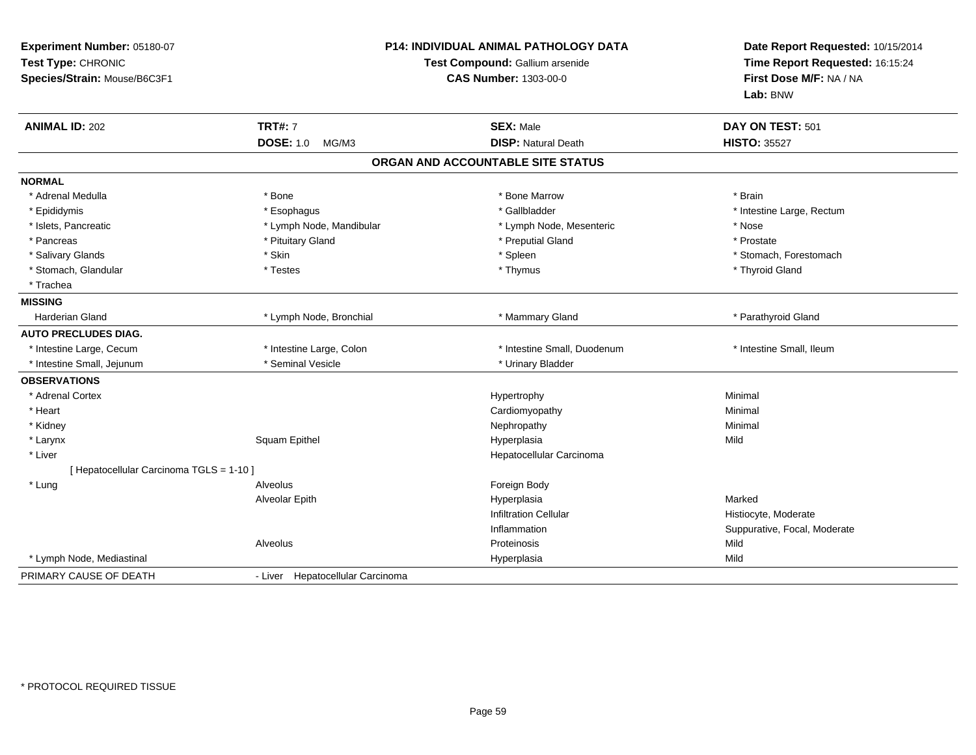| Experiment Number: 05180-07<br>Test Type: CHRONIC<br>Species/Strain: Mouse/B6C3F1 |                                  | P14: INDIVIDUAL ANIMAL PATHOLOGY DATA<br>Test Compound: Gallium arsenide<br>CAS Number: 1303-00-0 | Date Report Requested: 10/15/2014<br>Time Report Requested: 16:15:24<br>First Dose M/F: NA / NA<br>Lab: BNW |
|-----------------------------------------------------------------------------------|----------------------------------|---------------------------------------------------------------------------------------------------|-------------------------------------------------------------------------------------------------------------|
| <b>ANIMAL ID: 202</b>                                                             | <b>TRT#: 7</b>                   | <b>SEX: Male</b>                                                                                  | DAY ON TEST: 501                                                                                            |
|                                                                                   | <b>DOSE: 1.0</b><br>MG/M3        | <b>DISP: Natural Death</b>                                                                        | <b>HISTO: 35527</b>                                                                                         |
|                                                                                   |                                  | ORGAN AND ACCOUNTABLE SITE STATUS                                                                 |                                                                                                             |
| <b>NORMAL</b>                                                                     |                                  |                                                                                                   |                                                                                                             |
| * Adrenal Medulla                                                                 | * Bone                           | * Bone Marrow                                                                                     | * Brain                                                                                                     |
| * Epididymis                                                                      | * Esophagus                      | * Gallbladder                                                                                     | * Intestine Large, Rectum                                                                                   |
| * Islets, Pancreatic                                                              | * Lymph Node, Mandibular         | * Lymph Node, Mesenteric                                                                          | * Nose                                                                                                      |
| * Pancreas                                                                        | * Pituitary Gland                | * Preputial Gland                                                                                 | * Prostate                                                                                                  |
| * Salivary Glands                                                                 | * Skin                           | * Spleen                                                                                          | * Stomach, Forestomach                                                                                      |
| * Stomach, Glandular                                                              | * Testes                         | * Thymus                                                                                          | * Thyroid Gland                                                                                             |
| * Trachea                                                                         |                                  |                                                                                                   |                                                                                                             |
| <b>MISSING</b>                                                                    |                                  |                                                                                                   |                                                                                                             |
| <b>Harderian Gland</b>                                                            | * Lymph Node, Bronchial          | * Mammary Gland                                                                                   | * Parathyroid Gland                                                                                         |
| <b>AUTO PRECLUDES DIAG.</b>                                                       |                                  |                                                                                                   |                                                                                                             |
| * Intestine Large, Cecum                                                          | * Intestine Large, Colon         | * Intestine Small, Duodenum                                                                       | * Intestine Small, Ileum                                                                                    |
| * Intestine Small, Jejunum                                                        | * Seminal Vesicle                | * Urinary Bladder                                                                                 |                                                                                                             |
| <b>OBSERVATIONS</b>                                                               |                                  |                                                                                                   |                                                                                                             |
| * Adrenal Cortex                                                                  |                                  | Hypertrophy                                                                                       | Minimal                                                                                                     |
| * Heart                                                                           |                                  | Cardiomyopathy                                                                                    | Minimal                                                                                                     |
| * Kidney                                                                          |                                  | Nephropathy                                                                                       | Minimal                                                                                                     |
| * Larynx                                                                          | Squam Epithel                    | Hyperplasia                                                                                       | Mild                                                                                                        |
| * Liver                                                                           |                                  | Hepatocellular Carcinoma                                                                          |                                                                                                             |
| [ Hepatocellular Carcinoma TGLS = 1-10 ]                                          |                                  |                                                                                                   |                                                                                                             |
| * Lung                                                                            | Alveolus                         | Foreign Body                                                                                      |                                                                                                             |
|                                                                                   | Alveolar Epith                   | Hyperplasia                                                                                       | Marked                                                                                                      |
|                                                                                   |                                  | <b>Infiltration Cellular</b>                                                                      | Histiocyte, Moderate                                                                                        |
|                                                                                   |                                  | Inflammation                                                                                      | Suppurative, Focal, Moderate                                                                                |
|                                                                                   | Alveolus                         | Proteinosis                                                                                       | Mild                                                                                                        |
| * Lymph Node, Mediastinal                                                         |                                  | Hyperplasia                                                                                       | Mild                                                                                                        |
| PRIMARY CAUSE OF DEATH                                                            | - Liver Hepatocellular Carcinoma |                                                                                                   |                                                                                                             |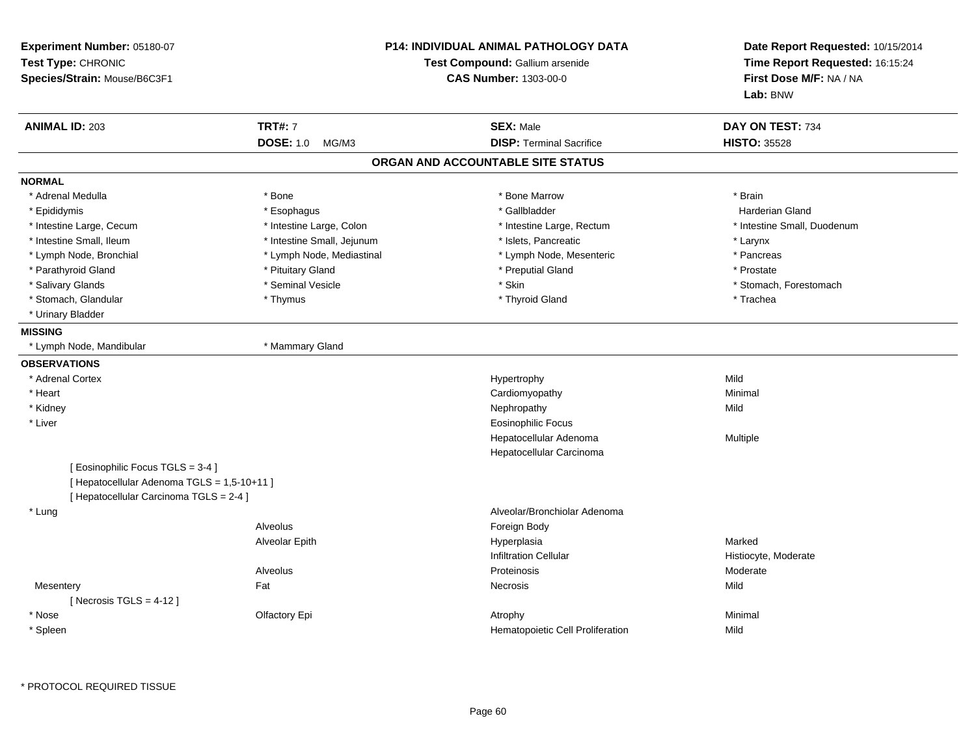| Experiment Number: 05180-07<br>Test Type: CHRONIC<br>Species/Strain: Mouse/B6C3F1 |                            | <b>P14: INDIVIDUAL ANIMAL PATHOLOGY DATA</b><br>Test Compound: Gallium arsenide<br><b>CAS Number: 1303-00-0</b> | Date Report Requested: 10/15/2014<br>Time Report Requested: 16:15:24<br>First Dose M/F: NA / NA<br>Lab: BNW |
|-----------------------------------------------------------------------------------|----------------------------|-----------------------------------------------------------------------------------------------------------------|-------------------------------------------------------------------------------------------------------------|
| <b>ANIMAL ID: 203</b>                                                             | <b>TRT#: 7</b>             | <b>SEX: Male</b>                                                                                                | DAY ON TEST: 734                                                                                            |
|                                                                                   | DOSE: 1.0 MG/M3            | <b>DISP: Terminal Sacrifice</b>                                                                                 | <b>HISTO: 35528</b>                                                                                         |
|                                                                                   |                            | ORGAN AND ACCOUNTABLE SITE STATUS                                                                               |                                                                                                             |
| <b>NORMAL</b>                                                                     |                            |                                                                                                                 |                                                                                                             |
| * Adrenal Medulla                                                                 | * Bone                     | * Bone Marrow                                                                                                   | * Brain                                                                                                     |
| * Epididymis                                                                      | * Esophagus                | * Gallbladder                                                                                                   | <b>Harderian Gland</b>                                                                                      |
| * Intestine Large, Cecum                                                          | * Intestine Large, Colon   | * Intestine Large, Rectum                                                                                       | * Intestine Small, Duodenum                                                                                 |
| * Intestine Small, Ileum                                                          | * Intestine Small, Jejunum | * Islets, Pancreatic                                                                                            | * Larynx                                                                                                    |
| * Lymph Node, Bronchial                                                           | * Lymph Node, Mediastinal  | * Lymph Node, Mesenteric                                                                                        | * Pancreas                                                                                                  |
| * Parathyroid Gland                                                               | * Pituitary Gland          | * Preputial Gland                                                                                               | * Prostate                                                                                                  |
| * Salivary Glands                                                                 | * Seminal Vesicle          | * Skin                                                                                                          | * Stomach, Forestomach                                                                                      |
| * Stomach, Glandular                                                              | * Thymus                   | * Thyroid Gland                                                                                                 | * Trachea                                                                                                   |
| * Urinary Bladder                                                                 |                            |                                                                                                                 |                                                                                                             |
| <b>MISSING</b>                                                                    |                            |                                                                                                                 |                                                                                                             |
| * Lymph Node, Mandibular                                                          | * Mammary Gland            |                                                                                                                 |                                                                                                             |
| <b>OBSERVATIONS</b>                                                               |                            |                                                                                                                 |                                                                                                             |
| * Adrenal Cortex                                                                  |                            | Hypertrophy                                                                                                     | Mild                                                                                                        |
| * Heart                                                                           |                            | Cardiomyopathy                                                                                                  | Minimal                                                                                                     |
| * Kidney                                                                          |                            | Nephropathy                                                                                                     | Mild                                                                                                        |
| * Liver                                                                           |                            | <b>Eosinophilic Focus</b>                                                                                       |                                                                                                             |
|                                                                                   |                            | Hepatocellular Adenoma                                                                                          | Multiple                                                                                                    |
|                                                                                   |                            | Hepatocellular Carcinoma                                                                                        |                                                                                                             |
| [ Eosinophilic Focus TGLS = 3-4 ]                                                 |                            |                                                                                                                 |                                                                                                             |
| [ Hepatocellular Adenoma TGLS = 1,5-10+11 ]                                       |                            |                                                                                                                 |                                                                                                             |
| [ Hepatocellular Carcinoma TGLS = 2-4 ]                                           |                            |                                                                                                                 |                                                                                                             |
| * Lung                                                                            |                            | Alveolar/Bronchiolar Adenoma                                                                                    |                                                                                                             |
|                                                                                   | Alveolus                   | Foreign Body                                                                                                    |                                                                                                             |
|                                                                                   | Alveolar Epith             | Hyperplasia                                                                                                     | Marked                                                                                                      |
|                                                                                   |                            | <b>Infiltration Cellular</b>                                                                                    | Histiocyte, Moderate                                                                                        |
|                                                                                   | Alveolus                   | Proteinosis                                                                                                     | Moderate                                                                                                    |
| Mesentery                                                                         | Fat                        | Necrosis                                                                                                        | Mild                                                                                                        |
| [Necrosis TGLS = $4-12$ ]                                                         |                            |                                                                                                                 |                                                                                                             |
| * Nose                                                                            | Olfactory Epi              | Atrophy                                                                                                         | Minimal                                                                                                     |
| * Spleen                                                                          |                            | Hematopoietic Cell Proliferation                                                                                | Mild                                                                                                        |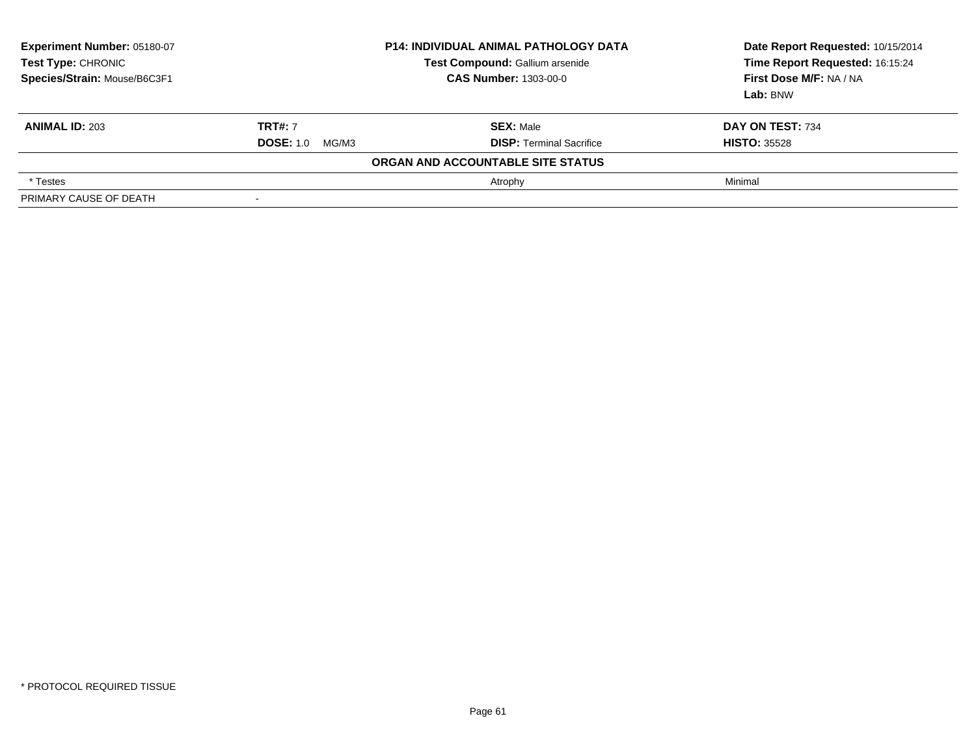| <b>Experiment Number: 05180-07</b><br><b>Test Type: CHRONIC</b><br>Species/Strain: Mouse/B6C3F1 | <b>P14: INDIVIDUAL ANIMAL PATHOLOGY DATA</b><br>Test Compound: Gallium arsenide<br><b>CAS Number: 1303-00-0</b> |                                                     | Date Report Requested: 10/15/2014<br>Time Report Requested: 16:15:24<br>First Dose M/F: NA / NA<br>Lab: BNW |
|-------------------------------------------------------------------------------------------------|-----------------------------------------------------------------------------------------------------------------|-----------------------------------------------------|-------------------------------------------------------------------------------------------------------------|
| <b>ANIMAL ID: 203</b>                                                                           | <b>TRT#: 7</b><br><b>DOSE: 1.0</b><br>MG/M3                                                                     | <b>SEX: Male</b><br><b>DISP: Terminal Sacrifice</b> | DAY ON TEST: 734<br><b>HISTO: 35528</b>                                                                     |
|                                                                                                 |                                                                                                                 | ORGAN AND ACCOUNTABLE SITE STATUS                   |                                                                                                             |
| * Testes                                                                                        |                                                                                                                 | Atrophy                                             | Minimal                                                                                                     |
| PRIMARY CAUSE OF DEATH                                                                          |                                                                                                                 |                                                     |                                                                                                             |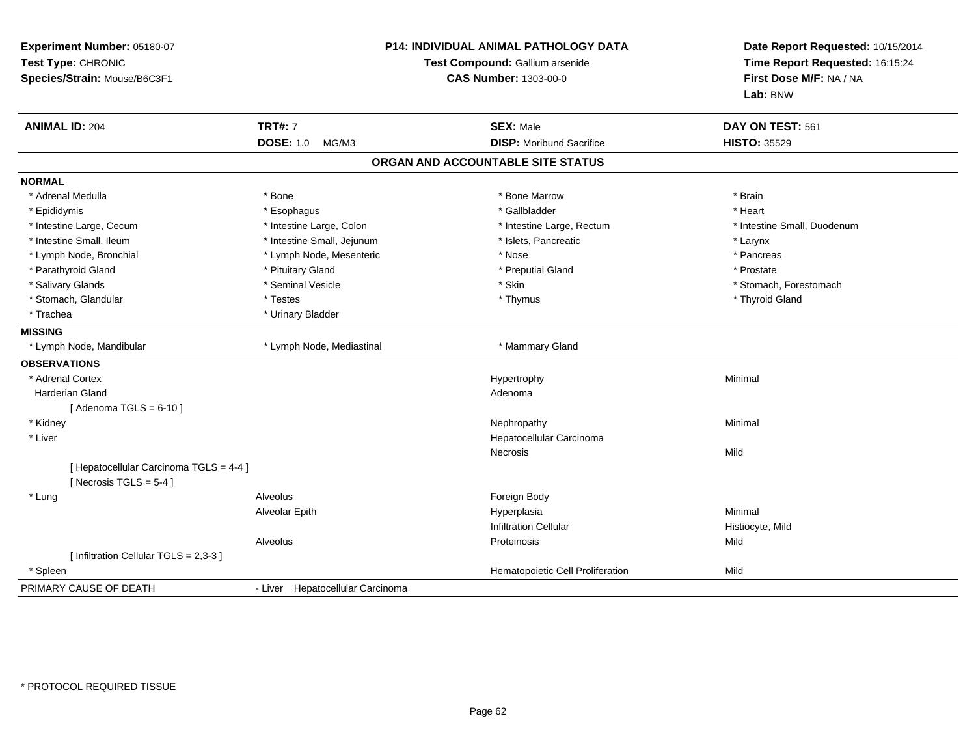| Experiment Number: 05180-07<br>Test Type: CHRONIC<br>Species/Strain: Mouse/B6C3F1 | <b>P14: INDIVIDUAL ANIMAL PATHOLOGY DATA</b><br>Test Compound: Gallium arsenide<br><b>CAS Number: 1303-00-0</b> |                                   | Date Report Requested: 10/15/2014<br>Time Report Requested: 16:15:24<br>First Dose M/F: NA / NA<br>Lab: BNW |
|-----------------------------------------------------------------------------------|-----------------------------------------------------------------------------------------------------------------|-----------------------------------|-------------------------------------------------------------------------------------------------------------|
| <b>ANIMAL ID: 204</b>                                                             | <b>TRT#: 7</b>                                                                                                  | <b>SEX: Male</b>                  | DAY ON TEST: 561                                                                                            |
|                                                                                   | <b>DOSE: 1.0</b><br>MG/M3                                                                                       | <b>DISP:</b> Moribund Sacrifice   | <b>HISTO: 35529</b>                                                                                         |
|                                                                                   |                                                                                                                 | ORGAN AND ACCOUNTABLE SITE STATUS |                                                                                                             |
| <b>NORMAL</b>                                                                     |                                                                                                                 |                                   |                                                                                                             |
| * Adrenal Medulla                                                                 | * Bone                                                                                                          | * Bone Marrow                     | * Brain                                                                                                     |
| * Epididymis                                                                      | * Esophagus                                                                                                     | * Gallbladder                     | * Heart                                                                                                     |
| * Intestine Large, Cecum                                                          | * Intestine Large, Colon                                                                                        | * Intestine Large, Rectum         | * Intestine Small, Duodenum                                                                                 |
| * Intestine Small, Ileum                                                          | * Intestine Small, Jejunum                                                                                      | * Islets, Pancreatic              | * Larynx                                                                                                    |
| * Lymph Node, Bronchial                                                           | * Lymph Node, Mesenteric                                                                                        | * Nose                            | * Pancreas                                                                                                  |
| * Parathyroid Gland                                                               | * Pituitary Gland                                                                                               | * Preputial Gland                 | * Prostate                                                                                                  |
| * Salivary Glands                                                                 | * Seminal Vesicle                                                                                               | * Skin                            | * Stomach, Forestomach                                                                                      |
| * Stomach, Glandular                                                              | * Testes                                                                                                        | * Thymus                          | * Thyroid Gland                                                                                             |
| * Trachea                                                                         | * Urinary Bladder                                                                                               |                                   |                                                                                                             |
| <b>MISSING</b>                                                                    |                                                                                                                 |                                   |                                                                                                             |
| * Lymph Node, Mandibular                                                          | * Lymph Node, Mediastinal                                                                                       | * Mammary Gland                   |                                                                                                             |
| <b>OBSERVATIONS</b>                                                               |                                                                                                                 |                                   |                                                                                                             |
| * Adrenal Cortex                                                                  |                                                                                                                 | Hypertrophy                       | Minimal                                                                                                     |
| <b>Harderian Gland</b>                                                            |                                                                                                                 | Adenoma                           |                                                                                                             |
| [Adenoma TGLS = $6-10$ ]                                                          |                                                                                                                 |                                   |                                                                                                             |
| * Kidney                                                                          |                                                                                                                 | Nephropathy                       | Minimal                                                                                                     |
| * Liver                                                                           |                                                                                                                 | Hepatocellular Carcinoma          |                                                                                                             |
|                                                                                   |                                                                                                                 | Necrosis                          | Mild                                                                                                        |
| [ Hepatocellular Carcinoma TGLS = 4-4 ]<br>[ Necrosis TGLS = $5-4$ ]              |                                                                                                                 |                                   |                                                                                                             |
| * Lung                                                                            | Alveolus                                                                                                        | Foreign Body                      |                                                                                                             |
|                                                                                   | Alveolar Epith                                                                                                  | Hyperplasia                       | Minimal                                                                                                     |
|                                                                                   |                                                                                                                 | <b>Infiltration Cellular</b>      | Histiocyte, Mild                                                                                            |
|                                                                                   | Alveolus                                                                                                        | Proteinosis                       | Mild                                                                                                        |
| [ Infiltration Cellular TGLS = 2,3-3 ]                                            |                                                                                                                 |                                   |                                                                                                             |
| * Spleen                                                                          |                                                                                                                 | Hematopoietic Cell Proliferation  | Mild                                                                                                        |
| PRIMARY CAUSE OF DEATH                                                            | - Liver Hepatocellular Carcinoma                                                                                |                                   |                                                                                                             |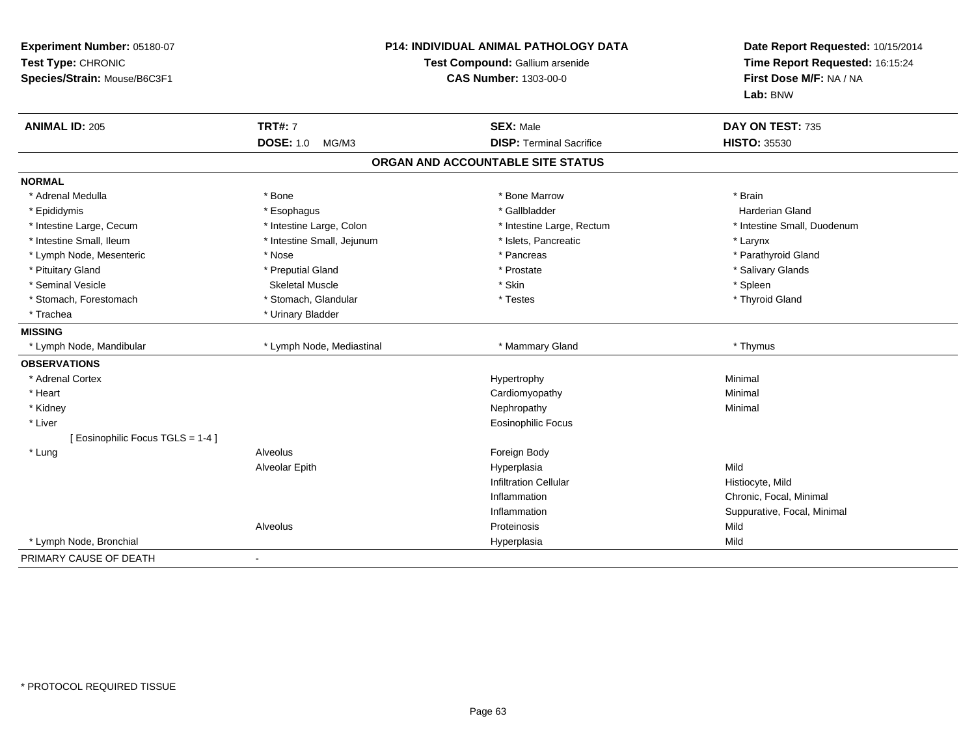| Experiment Number: 05180-07<br>Test Type: CHRONIC<br>Species/Strain: Mouse/B6C3F1 | <b>P14: INDIVIDUAL ANIMAL PATHOLOGY DATA</b><br>Test Compound: Gallium arsenide<br><b>CAS Number: 1303-00-0</b> |                                   | Date Report Requested: 10/15/2014<br>Time Report Requested: 16:15:24<br>First Dose M/F: NA / NA<br>Lab: BNW |
|-----------------------------------------------------------------------------------|-----------------------------------------------------------------------------------------------------------------|-----------------------------------|-------------------------------------------------------------------------------------------------------------|
| <b>ANIMAL ID: 205</b>                                                             | <b>TRT#: 7</b>                                                                                                  | <b>SEX: Male</b>                  | DAY ON TEST: 735                                                                                            |
|                                                                                   | DOSE: 1.0 MG/M3                                                                                                 | <b>DISP: Terminal Sacrifice</b>   | <b>HISTO: 35530</b>                                                                                         |
|                                                                                   |                                                                                                                 | ORGAN AND ACCOUNTABLE SITE STATUS |                                                                                                             |
| <b>NORMAL</b>                                                                     |                                                                                                                 |                                   |                                                                                                             |
| * Adrenal Medulla                                                                 | * Bone                                                                                                          | * Bone Marrow                     | * Brain                                                                                                     |
| * Epididymis                                                                      | * Esophagus                                                                                                     | * Gallbladder                     | <b>Harderian Gland</b>                                                                                      |
| * Intestine Large, Cecum                                                          | * Intestine Large, Colon                                                                                        | * Intestine Large, Rectum         | * Intestine Small, Duodenum                                                                                 |
| * Intestine Small, Ileum                                                          | * Intestine Small, Jejunum                                                                                      | * Islets, Pancreatic              | * Larynx                                                                                                    |
| * Lymph Node, Mesenteric                                                          | * Nose                                                                                                          | * Pancreas                        | * Parathyroid Gland                                                                                         |
| * Pituitary Gland                                                                 | * Preputial Gland                                                                                               | * Prostate                        | * Salivary Glands                                                                                           |
| * Seminal Vesicle                                                                 | <b>Skeletal Muscle</b>                                                                                          | * Skin                            | * Spleen                                                                                                    |
| * Stomach, Forestomach                                                            | * Stomach, Glandular                                                                                            | * Testes                          | * Thyroid Gland                                                                                             |
| * Trachea                                                                         | * Urinary Bladder                                                                                               |                                   |                                                                                                             |
| <b>MISSING</b>                                                                    |                                                                                                                 |                                   |                                                                                                             |
| * Lymph Node, Mandibular                                                          | * Lymph Node, Mediastinal                                                                                       | * Mammary Gland                   | * Thymus                                                                                                    |
| <b>OBSERVATIONS</b>                                                               |                                                                                                                 |                                   |                                                                                                             |
| * Adrenal Cortex                                                                  |                                                                                                                 | Hypertrophy                       | Minimal                                                                                                     |
| * Heart                                                                           |                                                                                                                 | Cardiomyopathy                    | Minimal                                                                                                     |
| * Kidney                                                                          |                                                                                                                 | Nephropathy                       | Minimal                                                                                                     |
| * Liver                                                                           |                                                                                                                 | Eosinophilic Focus                |                                                                                                             |
| [Eosinophilic Focus TGLS = 1-4]                                                   |                                                                                                                 |                                   |                                                                                                             |
| * Lung                                                                            | Alveolus                                                                                                        | Foreign Body                      |                                                                                                             |
|                                                                                   | Alveolar Epith                                                                                                  | Hyperplasia                       | Mild                                                                                                        |
|                                                                                   |                                                                                                                 | <b>Infiltration Cellular</b>      | Histiocyte, Mild                                                                                            |
|                                                                                   |                                                                                                                 | Inflammation                      | Chronic, Focal, Minimal                                                                                     |
|                                                                                   |                                                                                                                 | Inflammation                      | Suppurative, Focal, Minimal                                                                                 |
|                                                                                   | Alveolus                                                                                                        | Proteinosis                       | Mild                                                                                                        |
| * Lymph Node, Bronchial                                                           |                                                                                                                 | Hyperplasia                       | Mild                                                                                                        |
| PRIMARY CAUSE OF DEATH                                                            |                                                                                                                 |                                   |                                                                                                             |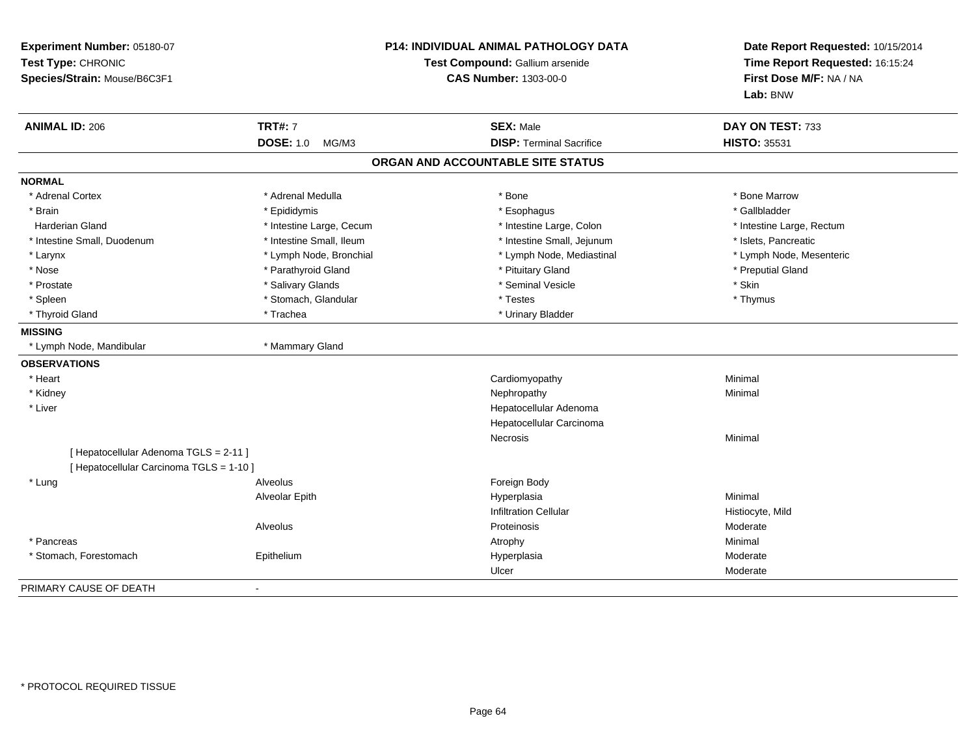| Experiment Number: 05180-07<br>Test Type: CHRONIC<br>Species/Strain: Mouse/B6C3F1 |                           | <b>P14: INDIVIDUAL ANIMAL PATHOLOGY DATA</b><br>Test Compound: Gallium arsenide<br><b>CAS Number: 1303-00-0</b> |                           |
|-----------------------------------------------------------------------------------|---------------------------|-----------------------------------------------------------------------------------------------------------------|---------------------------|
| <b>ANIMAL ID: 206</b>                                                             | <b>TRT#: 7</b>            | <b>SEX: Male</b>                                                                                                | DAY ON TEST: 733          |
|                                                                                   | <b>DOSE: 1.0</b><br>MG/M3 | <b>DISP: Terminal Sacrifice</b>                                                                                 | <b>HISTO: 35531</b>       |
|                                                                                   |                           | ORGAN AND ACCOUNTABLE SITE STATUS                                                                               |                           |
| <b>NORMAL</b>                                                                     |                           |                                                                                                                 |                           |
| * Adrenal Cortex                                                                  | * Adrenal Medulla         | * Bone                                                                                                          | * Bone Marrow             |
| * Brain                                                                           | * Epididymis              | * Esophagus                                                                                                     | * Gallbladder             |
| <b>Harderian Gland</b>                                                            | * Intestine Large, Cecum  | * Intestine Large, Colon                                                                                        | * Intestine Large, Rectum |
| * Intestine Small, Duodenum                                                       | * Intestine Small, Ileum  | * Intestine Small, Jejunum                                                                                      | * Islets, Pancreatic      |
| * Larynx                                                                          | * Lymph Node, Bronchial   | * Lymph Node, Mediastinal                                                                                       | * Lymph Node, Mesenteric  |
| * Nose                                                                            | * Parathyroid Gland       | * Pituitary Gland                                                                                               | * Preputial Gland         |
| * Prostate                                                                        | * Salivary Glands         | * Seminal Vesicle                                                                                               | * Skin                    |
| * Spleen                                                                          | * Stomach, Glandular      | * Testes                                                                                                        | * Thymus                  |
| * Thyroid Gland                                                                   | * Trachea                 | * Urinary Bladder                                                                                               |                           |
| <b>MISSING</b>                                                                    |                           |                                                                                                                 |                           |
| * Lymph Node, Mandibular                                                          | * Mammary Gland           |                                                                                                                 |                           |
| <b>OBSERVATIONS</b>                                                               |                           |                                                                                                                 |                           |
| * Heart                                                                           |                           | Cardiomyopathy                                                                                                  | Minimal                   |
| * Kidney                                                                          |                           | Nephropathy                                                                                                     | Minimal                   |
| * Liver                                                                           |                           | Hepatocellular Adenoma                                                                                          |                           |
|                                                                                   |                           | Hepatocellular Carcinoma                                                                                        |                           |
|                                                                                   |                           | Necrosis                                                                                                        | Minimal                   |
| [ Hepatocellular Adenoma TGLS = 2-11 ]                                            |                           |                                                                                                                 |                           |
| [ Hepatocellular Carcinoma TGLS = 1-10 ]                                          |                           |                                                                                                                 |                           |
| * Lung                                                                            | Alveolus                  | Foreign Body                                                                                                    |                           |
|                                                                                   | Alveolar Epith            | Hyperplasia                                                                                                     | Minimal                   |
|                                                                                   |                           | <b>Infiltration Cellular</b>                                                                                    | Histiocyte, Mild          |
|                                                                                   | Alveolus                  | Proteinosis                                                                                                     | Moderate                  |
| * Pancreas                                                                        |                           | Atrophy                                                                                                         | Minimal                   |
| * Stomach, Forestomach                                                            | Epithelium                | Hyperplasia                                                                                                     | Moderate                  |
|                                                                                   |                           | Ulcer                                                                                                           | Moderate                  |
| PRIMARY CAUSE OF DEATH                                                            | $\overline{\phantom{a}}$  |                                                                                                                 |                           |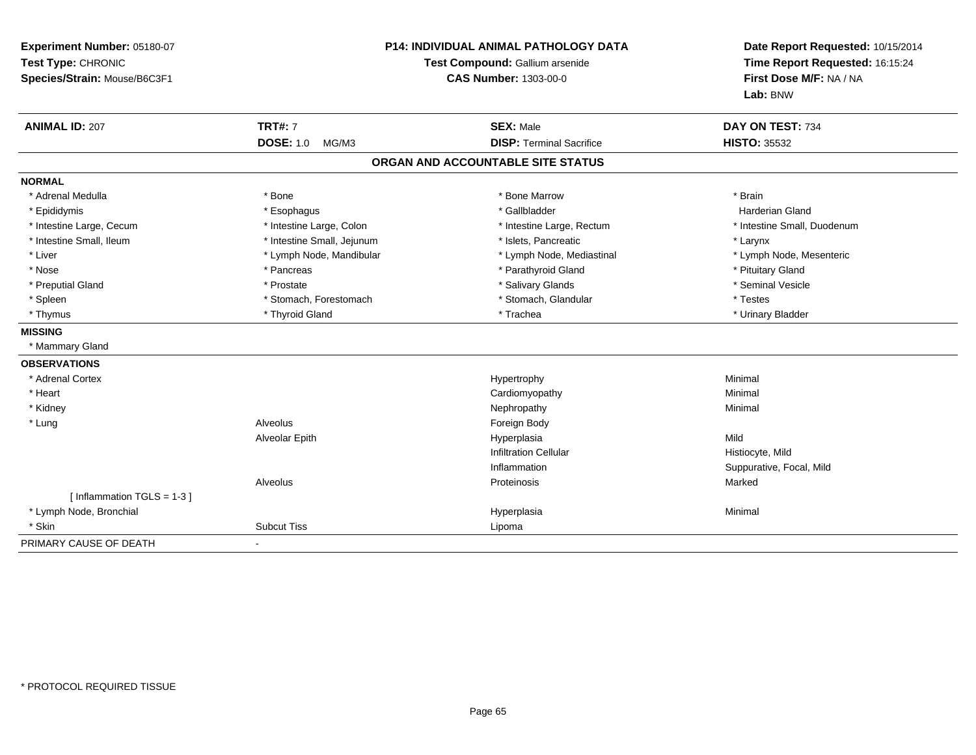| Experiment Number: 05180-07<br>Test Type: CHRONIC<br>Species/Strain: Mouse/B6C3F1 | <b>P14: INDIVIDUAL ANIMAL PATHOLOGY DATA</b><br>Test Compound: Gallium arsenide<br><b>CAS Number: 1303-00-0</b> |                                   | Date Report Requested: 10/15/2014<br>Time Report Requested: 16:15:24<br>First Dose M/F: NA / NA<br>Lab: BNW |
|-----------------------------------------------------------------------------------|-----------------------------------------------------------------------------------------------------------------|-----------------------------------|-------------------------------------------------------------------------------------------------------------|
| <b>ANIMAL ID: 207</b>                                                             | <b>TRT#: 7</b>                                                                                                  | <b>SEX: Male</b>                  | DAY ON TEST: 734                                                                                            |
|                                                                                   | <b>DOSE: 1.0</b><br>MG/M3                                                                                       | <b>DISP: Terminal Sacrifice</b>   | <b>HISTO: 35532</b>                                                                                         |
|                                                                                   |                                                                                                                 | ORGAN AND ACCOUNTABLE SITE STATUS |                                                                                                             |
| <b>NORMAL</b>                                                                     |                                                                                                                 |                                   |                                                                                                             |
| * Adrenal Medulla                                                                 | * Bone                                                                                                          | * Bone Marrow                     | * Brain                                                                                                     |
| * Epididymis                                                                      | * Esophagus                                                                                                     | * Gallbladder                     | Harderian Gland                                                                                             |
| * Intestine Large, Cecum                                                          | * Intestine Large, Colon                                                                                        | * Intestine Large, Rectum         | * Intestine Small, Duodenum                                                                                 |
| * Intestine Small, Ileum                                                          | * Intestine Small, Jejunum                                                                                      | * Islets. Pancreatic              | * Larynx                                                                                                    |
| * Liver                                                                           | * Lymph Node, Mandibular                                                                                        | * Lymph Node, Mediastinal         | * Lymph Node, Mesenteric                                                                                    |
| * Nose                                                                            | * Pancreas                                                                                                      | * Parathyroid Gland               | * Pituitary Gland                                                                                           |
| * Preputial Gland                                                                 | * Prostate                                                                                                      | * Salivary Glands                 | * Seminal Vesicle                                                                                           |
| * Spleen                                                                          | * Stomach, Forestomach                                                                                          | * Stomach, Glandular              | * Testes                                                                                                    |
| * Thymus                                                                          | * Thyroid Gland                                                                                                 | * Trachea                         | * Urinary Bladder                                                                                           |
| <b>MISSING</b>                                                                    |                                                                                                                 |                                   |                                                                                                             |
| * Mammary Gland                                                                   |                                                                                                                 |                                   |                                                                                                             |
| <b>OBSERVATIONS</b>                                                               |                                                                                                                 |                                   |                                                                                                             |
| * Adrenal Cortex                                                                  |                                                                                                                 | Hypertrophy                       | Minimal                                                                                                     |
| * Heart                                                                           |                                                                                                                 | Cardiomyopathy                    | Minimal                                                                                                     |
| * Kidney                                                                          |                                                                                                                 | Nephropathy                       | Minimal                                                                                                     |
| * Lung                                                                            | Alveolus                                                                                                        | Foreign Body                      |                                                                                                             |
|                                                                                   | Alveolar Epith                                                                                                  | Hyperplasia                       | Mild                                                                                                        |
|                                                                                   |                                                                                                                 | <b>Infiltration Cellular</b>      | Histiocyte, Mild                                                                                            |
|                                                                                   |                                                                                                                 | Inflammation                      | Suppurative, Focal, Mild                                                                                    |
|                                                                                   | Alveolus                                                                                                        | Proteinosis                       | Marked                                                                                                      |
| [Inflammation TGLS = 1-3]                                                         |                                                                                                                 |                                   |                                                                                                             |
| * Lymph Node, Bronchial                                                           |                                                                                                                 | Hyperplasia                       | Minimal                                                                                                     |
| * Skin                                                                            | <b>Subcut Tiss</b>                                                                                              | Lipoma                            |                                                                                                             |
| PRIMARY CAUSE OF DEATH                                                            | $\blacksquare$                                                                                                  |                                   |                                                                                                             |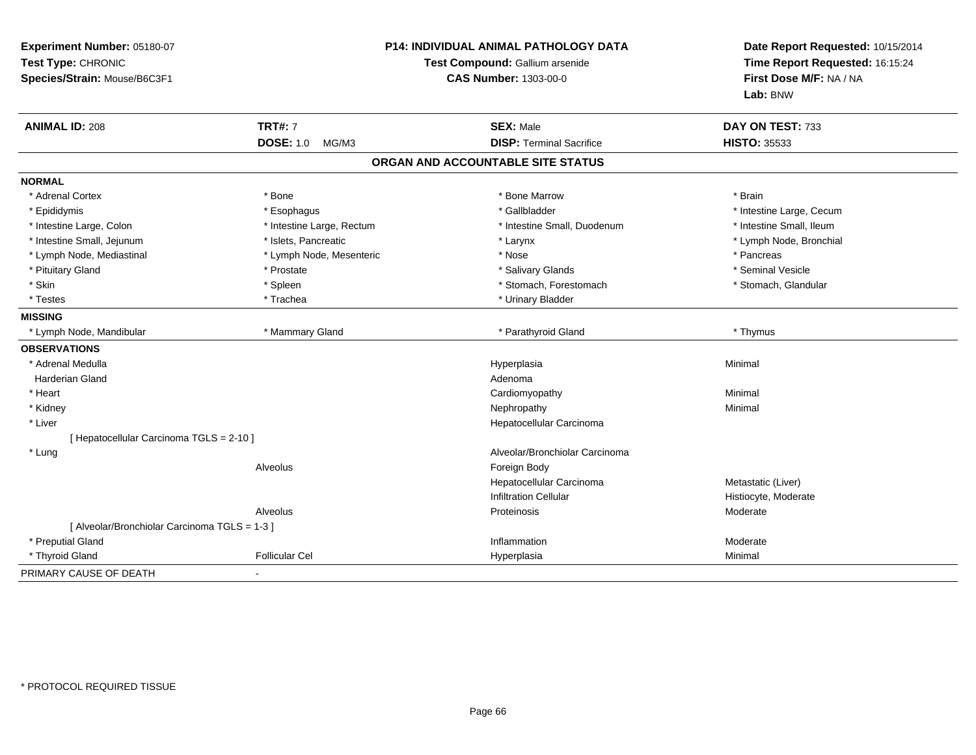| Experiment Number: 05180-07<br>Test Type: CHRONIC<br>Species/Strain: Mouse/B6C3F1 |                           | P14: INDIVIDUAL ANIMAL PATHOLOGY DATA<br>Test Compound: Gallium arsenide<br><b>CAS Number: 1303-00-0</b> | Date Report Requested: 10/15/2014<br>Time Report Requested: 16:15:24<br>First Dose M/F: NA / NA<br>Lab: BNW |  |
|-----------------------------------------------------------------------------------|---------------------------|----------------------------------------------------------------------------------------------------------|-------------------------------------------------------------------------------------------------------------|--|
| <b>ANIMAL ID: 208</b>                                                             | <b>TRT#: 7</b>            | <b>SEX: Male</b>                                                                                         | DAY ON TEST: 733                                                                                            |  |
|                                                                                   | <b>DOSE: 1.0</b><br>MG/M3 | <b>DISP: Terminal Sacrifice</b>                                                                          | <b>HISTO: 35533</b>                                                                                         |  |
|                                                                                   |                           | ORGAN AND ACCOUNTABLE SITE STATUS                                                                        |                                                                                                             |  |
| <b>NORMAL</b>                                                                     |                           |                                                                                                          |                                                                                                             |  |
| * Adrenal Cortex                                                                  | * Bone                    | * Bone Marrow                                                                                            | * Brain                                                                                                     |  |
| * Epididymis                                                                      | * Esophagus               | * Gallbladder                                                                                            | * Intestine Large, Cecum                                                                                    |  |
| * Intestine Large, Colon                                                          | * Intestine Large, Rectum | * Intestine Small, Duodenum                                                                              | * Intestine Small, Ileum                                                                                    |  |
| * Intestine Small, Jejunum                                                        | * Islets, Pancreatic      | * Larynx                                                                                                 | * Lymph Node, Bronchial                                                                                     |  |
| * Lymph Node, Mediastinal                                                         | * Lymph Node, Mesenteric  | * Nose                                                                                                   | * Pancreas                                                                                                  |  |
| * Pituitary Gland                                                                 | * Prostate                | * Salivary Glands                                                                                        | * Seminal Vesicle                                                                                           |  |
| * Skin                                                                            | * Spleen                  | * Stomach, Forestomach                                                                                   | * Stomach, Glandular                                                                                        |  |
| * Testes                                                                          | * Trachea                 | * Urinary Bladder                                                                                        |                                                                                                             |  |
| <b>MISSING</b>                                                                    |                           |                                                                                                          |                                                                                                             |  |
| * Lymph Node, Mandibular                                                          | * Mammary Gland           | * Parathyroid Gland                                                                                      | * Thymus                                                                                                    |  |
| <b>OBSERVATIONS</b>                                                               |                           |                                                                                                          |                                                                                                             |  |
| * Adrenal Medulla                                                                 |                           | Hyperplasia                                                                                              | Minimal                                                                                                     |  |
| <b>Harderian Gland</b>                                                            |                           | Adenoma                                                                                                  |                                                                                                             |  |
| * Heart                                                                           |                           | Cardiomyopathy                                                                                           | Minimal                                                                                                     |  |
| * Kidney                                                                          |                           | Nephropathy                                                                                              | Minimal                                                                                                     |  |
| * Liver                                                                           |                           | Hepatocellular Carcinoma                                                                                 |                                                                                                             |  |
| [ Hepatocellular Carcinoma TGLS = 2-10 ]                                          |                           |                                                                                                          |                                                                                                             |  |
| * Lung                                                                            |                           | Alveolar/Bronchiolar Carcinoma                                                                           |                                                                                                             |  |
|                                                                                   | Alveolus                  | Foreign Body                                                                                             |                                                                                                             |  |
|                                                                                   |                           | Hepatocellular Carcinoma                                                                                 | Metastatic (Liver)                                                                                          |  |
|                                                                                   |                           | <b>Infiltration Cellular</b>                                                                             | Histiocyte, Moderate                                                                                        |  |
|                                                                                   | Alveolus                  | Proteinosis                                                                                              | Moderate                                                                                                    |  |
| [ Alveolar/Bronchiolar Carcinoma TGLS = 1-3 ]                                     |                           |                                                                                                          |                                                                                                             |  |
| * Preputial Gland                                                                 |                           | Inflammation                                                                                             | Moderate                                                                                                    |  |
| * Thyroid Gland                                                                   | <b>Follicular Cel</b>     | Hyperplasia                                                                                              | Minimal                                                                                                     |  |
| PRIMARY CAUSE OF DEATH                                                            |                           |                                                                                                          |                                                                                                             |  |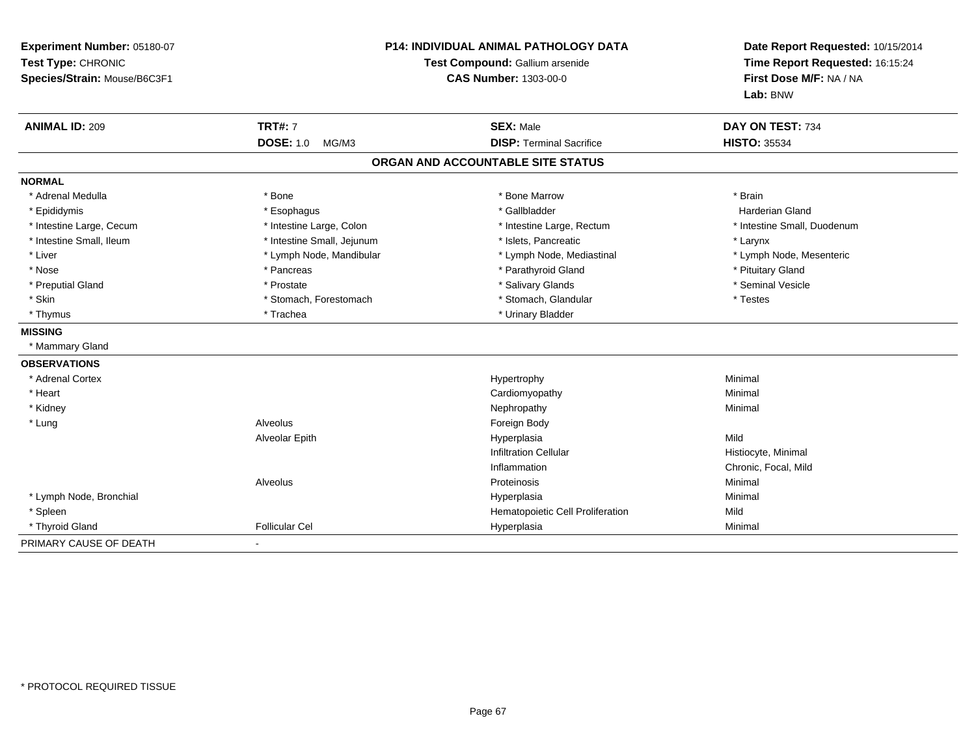| Experiment Number: 05180-07<br>Test Type: CHRONIC<br>Species/Strain: Mouse/B6C3F1 | P14: INDIVIDUAL ANIMAL PATHOLOGY DATA<br>Test Compound: Gallium arsenide<br><b>CAS Number: 1303-00-0</b> |                                                     | Date Report Requested: 10/15/2014<br>Time Report Requested: 16:15:24<br>First Dose M/F: NA / NA<br>Lab: BNW |
|-----------------------------------------------------------------------------------|----------------------------------------------------------------------------------------------------------|-----------------------------------------------------|-------------------------------------------------------------------------------------------------------------|
| <b>ANIMAL ID: 209</b>                                                             | <b>TRT#: 7</b><br><b>DOSE: 1.0</b><br>MG/M3                                                              | <b>SEX: Male</b><br><b>DISP: Terminal Sacrifice</b> | DAY ON TEST: 734<br><b>HISTO: 35534</b>                                                                     |
|                                                                                   |                                                                                                          | ORGAN AND ACCOUNTABLE SITE STATUS                   |                                                                                                             |
| <b>NORMAL</b>                                                                     |                                                                                                          |                                                     |                                                                                                             |
| * Adrenal Medulla                                                                 | * Bone                                                                                                   | * Bone Marrow                                       | * Brain                                                                                                     |
| * Epididymis                                                                      | * Esophagus                                                                                              | * Gallbladder                                       | <b>Harderian Gland</b>                                                                                      |
| * Intestine Large, Cecum                                                          | * Intestine Large, Colon                                                                                 | * Intestine Large, Rectum                           | * Intestine Small, Duodenum                                                                                 |
| * Intestine Small, Ileum                                                          | * Intestine Small, Jejunum                                                                               | * Islets, Pancreatic                                | * Larynx                                                                                                    |
| * Liver                                                                           | * Lymph Node, Mandibular                                                                                 | * Lymph Node, Mediastinal                           | * Lymph Node, Mesenteric                                                                                    |
| * Nose                                                                            | * Pancreas                                                                                               | * Parathyroid Gland                                 | * Pituitary Gland                                                                                           |
| * Preputial Gland                                                                 | * Prostate                                                                                               | * Salivary Glands                                   | * Seminal Vesicle                                                                                           |
| * Skin                                                                            | * Stomach, Forestomach                                                                                   | * Stomach, Glandular                                | * Testes                                                                                                    |
| * Thymus                                                                          | * Trachea                                                                                                | * Urinary Bladder                                   |                                                                                                             |
| <b>MISSING</b>                                                                    |                                                                                                          |                                                     |                                                                                                             |
| * Mammary Gland                                                                   |                                                                                                          |                                                     |                                                                                                             |
| <b>OBSERVATIONS</b>                                                               |                                                                                                          |                                                     |                                                                                                             |
| * Adrenal Cortex                                                                  |                                                                                                          | Hypertrophy                                         | Minimal                                                                                                     |
| * Heart                                                                           |                                                                                                          | Cardiomyopathy                                      | Minimal                                                                                                     |
| * Kidney                                                                          |                                                                                                          | Nephropathy                                         | Minimal                                                                                                     |
| * Lung                                                                            | Alveolus                                                                                                 | Foreign Body                                        |                                                                                                             |
|                                                                                   | Alveolar Epith                                                                                           | Hyperplasia                                         | Mild                                                                                                        |
|                                                                                   |                                                                                                          | <b>Infiltration Cellular</b>                        | Histiocyte, Minimal                                                                                         |
|                                                                                   |                                                                                                          | Inflammation                                        | Chronic, Focal, Mild                                                                                        |
|                                                                                   | Alveolus                                                                                                 | Proteinosis                                         | Minimal                                                                                                     |
| * Lymph Node, Bronchial                                                           |                                                                                                          | Hyperplasia                                         | Minimal                                                                                                     |
| * Spleen                                                                          |                                                                                                          | Hematopoietic Cell Proliferation                    | Mild                                                                                                        |
| * Thyroid Gland                                                                   | <b>Follicular Cel</b>                                                                                    | Hyperplasia                                         | Minimal                                                                                                     |
| PRIMARY CAUSE OF DEATH                                                            |                                                                                                          |                                                     |                                                                                                             |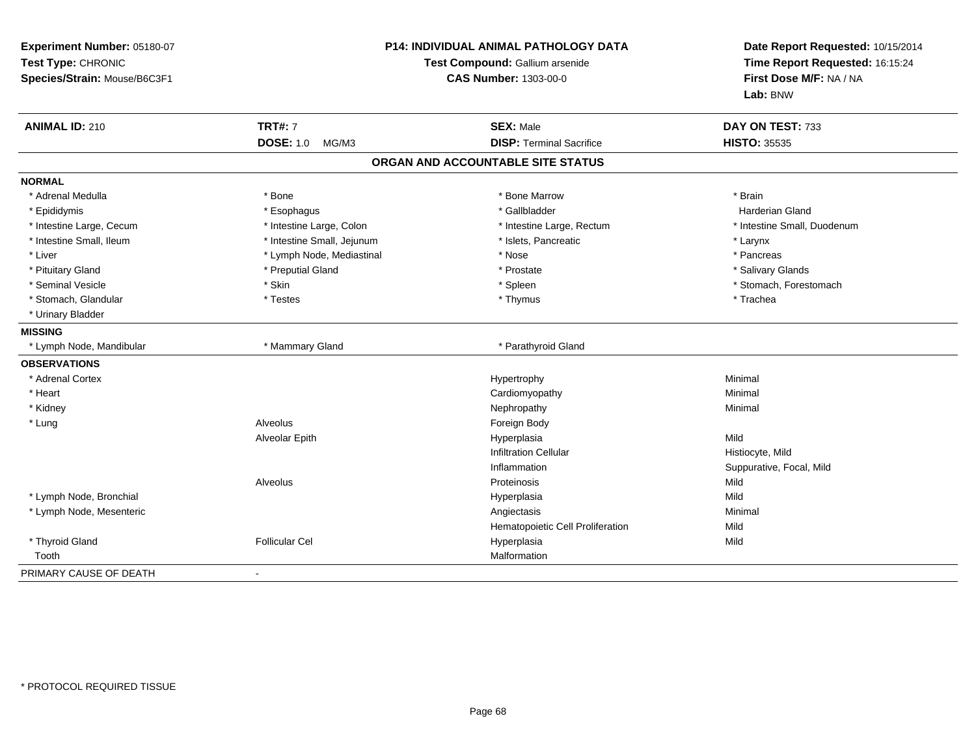| Experiment Number: 05180-07<br>Test Type: CHRONIC<br>Species/Strain: Mouse/B6C3F1 | P14: INDIVIDUAL ANIMAL PATHOLOGY DATA<br>Test Compound: Gallium arsenide<br><b>CAS Number: 1303-00-0</b> |                                   | Date Report Requested: 10/15/2014<br>Time Report Requested: 16:15:24<br>First Dose M/F: NA / NA<br>Lab: BNW |
|-----------------------------------------------------------------------------------|----------------------------------------------------------------------------------------------------------|-----------------------------------|-------------------------------------------------------------------------------------------------------------|
| <b>ANIMAL ID: 210</b>                                                             | <b>TRT#: 7</b>                                                                                           | <b>SEX: Male</b>                  | DAY ON TEST: 733                                                                                            |
|                                                                                   | <b>DOSE: 1.0</b><br>MG/M3                                                                                | <b>DISP: Terminal Sacrifice</b>   | <b>HISTO: 35535</b>                                                                                         |
|                                                                                   |                                                                                                          | ORGAN AND ACCOUNTABLE SITE STATUS |                                                                                                             |
| <b>NORMAL</b>                                                                     |                                                                                                          |                                   |                                                                                                             |
| * Adrenal Medulla                                                                 | * Bone                                                                                                   | * Bone Marrow                     | * Brain                                                                                                     |
| * Epididymis                                                                      | * Esophagus                                                                                              | * Gallbladder                     | <b>Harderian Gland</b>                                                                                      |
| * Intestine Large, Cecum                                                          | * Intestine Large, Colon                                                                                 | * Intestine Large, Rectum         | * Intestine Small, Duodenum                                                                                 |
| * Intestine Small, Ileum                                                          | * Intestine Small, Jejunum                                                                               | * Islets, Pancreatic              | * Larynx                                                                                                    |
| * Liver                                                                           | * Lymph Node, Mediastinal                                                                                | * Nose                            | * Pancreas                                                                                                  |
| * Pituitary Gland                                                                 | * Preputial Gland                                                                                        | * Prostate                        | * Salivary Glands                                                                                           |
| * Seminal Vesicle                                                                 | * Skin                                                                                                   | * Spleen                          | * Stomach, Forestomach                                                                                      |
| * Stomach, Glandular                                                              | * Testes                                                                                                 | * Thymus                          | * Trachea                                                                                                   |
| * Urinary Bladder                                                                 |                                                                                                          |                                   |                                                                                                             |
| <b>MISSING</b>                                                                    |                                                                                                          |                                   |                                                                                                             |
| * Lymph Node, Mandibular                                                          | * Mammary Gland                                                                                          | * Parathyroid Gland               |                                                                                                             |
| <b>OBSERVATIONS</b>                                                               |                                                                                                          |                                   |                                                                                                             |
| * Adrenal Cortex                                                                  |                                                                                                          | Hypertrophy                       | Minimal                                                                                                     |
| * Heart                                                                           |                                                                                                          | Cardiomyopathy                    | Minimal                                                                                                     |
| * Kidney                                                                          |                                                                                                          | Nephropathy                       | Minimal                                                                                                     |
| * Lung                                                                            | Alveolus                                                                                                 | Foreign Body                      |                                                                                                             |
|                                                                                   | Alveolar Epith                                                                                           | Hyperplasia                       | Mild                                                                                                        |
|                                                                                   |                                                                                                          | <b>Infiltration Cellular</b>      | Histiocyte, Mild                                                                                            |
|                                                                                   |                                                                                                          | Inflammation                      | Suppurative, Focal, Mild                                                                                    |
|                                                                                   | Alveolus                                                                                                 | Proteinosis                       | Mild                                                                                                        |
| * Lymph Node, Bronchial                                                           |                                                                                                          | Hyperplasia                       | Mild                                                                                                        |
| * Lymph Node, Mesenteric                                                          |                                                                                                          | Angiectasis                       | Minimal                                                                                                     |
|                                                                                   |                                                                                                          | Hematopoietic Cell Proliferation  | Mild                                                                                                        |
| * Thyroid Gland                                                                   | <b>Follicular Cel</b>                                                                                    | Hyperplasia                       | Mild                                                                                                        |
| Tooth                                                                             |                                                                                                          | Malformation                      |                                                                                                             |
| PRIMARY CAUSE OF DEATH                                                            |                                                                                                          |                                   |                                                                                                             |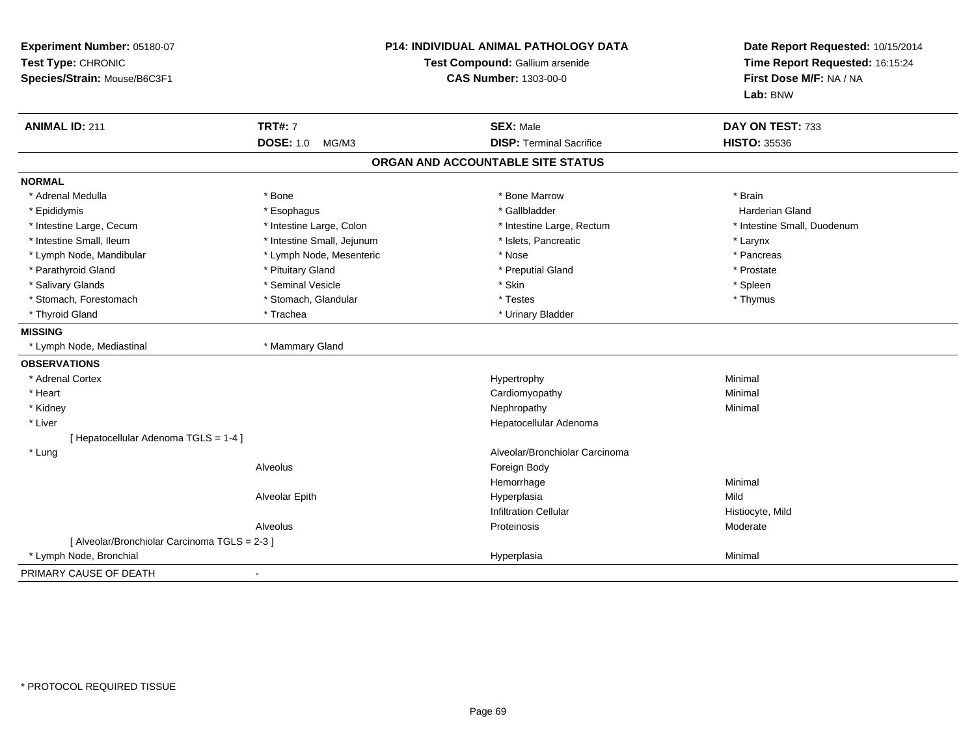| Experiment Number: 05180-07<br>Test Type: CHRONIC<br>Species/Strain: Mouse/B6C3F1 |                            | P14: INDIVIDUAL ANIMAL PATHOLOGY DATA<br>Test Compound: Gallium arsenide<br><b>CAS Number: 1303-00-0</b> | Date Report Requested: 10/15/2014<br>Time Report Requested: 16:15:24<br>First Dose M/F: NA / NA<br>Lab: BNW |  |
|-----------------------------------------------------------------------------------|----------------------------|----------------------------------------------------------------------------------------------------------|-------------------------------------------------------------------------------------------------------------|--|
| <b>ANIMAL ID: 211</b>                                                             | <b>TRT#: 7</b>             | <b>SEX: Male</b>                                                                                         | DAY ON TEST: 733                                                                                            |  |
|                                                                                   | <b>DOSE: 1.0</b><br>MG/M3  | <b>DISP: Terminal Sacrifice</b>                                                                          | <b>HISTO: 35536</b>                                                                                         |  |
|                                                                                   |                            | ORGAN AND ACCOUNTABLE SITE STATUS                                                                        |                                                                                                             |  |
| <b>NORMAL</b>                                                                     |                            |                                                                                                          |                                                                                                             |  |
| * Adrenal Medulla                                                                 | * Bone                     | * Bone Marrow                                                                                            | * Brain                                                                                                     |  |
| * Epididymis                                                                      | * Esophagus                | * Gallbladder                                                                                            | <b>Harderian Gland</b>                                                                                      |  |
| * Intestine Large, Cecum                                                          | * Intestine Large, Colon   | * Intestine Large, Rectum                                                                                | * Intestine Small, Duodenum                                                                                 |  |
| * Intestine Small, Ileum                                                          | * Intestine Small, Jejunum | * Islets, Pancreatic                                                                                     | * Larynx                                                                                                    |  |
| * Lymph Node, Mandibular                                                          | * Lymph Node, Mesenteric   | * Nose                                                                                                   | * Pancreas                                                                                                  |  |
| * Parathyroid Gland                                                               | * Pituitary Gland          | * Preputial Gland                                                                                        | * Prostate                                                                                                  |  |
| * Salivary Glands                                                                 | * Seminal Vesicle          | * Skin                                                                                                   | * Spleen                                                                                                    |  |
| * Stomach, Forestomach                                                            | * Stomach, Glandular       | * Testes                                                                                                 | * Thymus                                                                                                    |  |
| * Thyroid Gland                                                                   | * Trachea                  | * Urinary Bladder                                                                                        |                                                                                                             |  |
| <b>MISSING</b>                                                                    |                            |                                                                                                          |                                                                                                             |  |
| * Lymph Node, Mediastinal                                                         | * Mammary Gland            |                                                                                                          |                                                                                                             |  |
| <b>OBSERVATIONS</b>                                                               |                            |                                                                                                          |                                                                                                             |  |
| * Adrenal Cortex                                                                  |                            | Hypertrophy                                                                                              | Minimal                                                                                                     |  |
| * Heart                                                                           |                            | Cardiomyopathy                                                                                           | Minimal                                                                                                     |  |
| * Kidney                                                                          |                            | Nephropathy                                                                                              | Minimal                                                                                                     |  |
| * Liver                                                                           |                            | Hepatocellular Adenoma                                                                                   |                                                                                                             |  |
| [ Hepatocellular Adenoma TGLS = 1-4 ]                                             |                            |                                                                                                          |                                                                                                             |  |
| * Lung                                                                            |                            | Alveolar/Bronchiolar Carcinoma                                                                           |                                                                                                             |  |
|                                                                                   | Alveolus                   | Foreign Body                                                                                             |                                                                                                             |  |
|                                                                                   |                            | Hemorrhage                                                                                               | Minimal                                                                                                     |  |
|                                                                                   | Alveolar Epith             | Hyperplasia                                                                                              | Mild                                                                                                        |  |
|                                                                                   |                            | <b>Infiltration Cellular</b>                                                                             | Histiocyte, Mild                                                                                            |  |
|                                                                                   | Alveolus                   | Proteinosis                                                                                              | Moderate                                                                                                    |  |
| [ Alveolar/Bronchiolar Carcinoma TGLS = 2-3 ]                                     |                            |                                                                                                          |                                                                                                             |  |
| * Lymph Node, Bronchial                                                           |                            | Hyperplasia                                                                                              | Minimal                                                                                                     |  |
| PRIMARY CAUSE OF DEATH                                                            | $\blacksquare$             |                                                                                                          |                                                                                                             |  |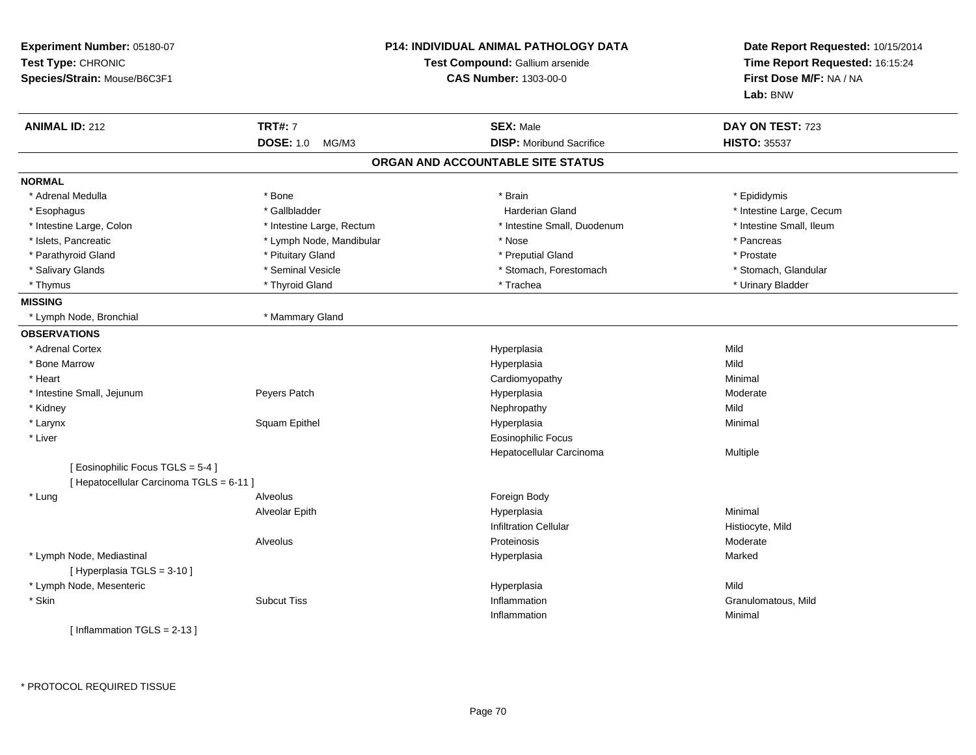| Experiment Number: 05180-07<br>Test Type: CHRONIC<br>Species/Strain: Mouse/B6C3F1 |                           | <b>P14: INDIVIDUAL ANIMAL PATHOLOGY DATA</b><br>Test Compound: Gallium arsenide<br><b>CAS Number: 1303-00-0</b> |                          |
|-----------------------------------------------------------------------------------|---------------------------|-----------------------------------------------------------------------------------------------------------------|--------------------------|
| <b>ANIMAL ID: 212</b>                                                             | <b>TRT#: 7</b>            | <b>SEX: Male</b>                                                                                                | DAY ON TEST: 723         |
|                                                                                   | <b>DOSE: 1.0</b><br>MG/M3 | <b>DISP:</b> Moribund Sacrifice                                                                                 | <b>HISTO: 35537</b>      |
|                                                                                   |                           | ORGAN AND ACCOUNTABLE SITE STATUS                                                                               |                          |
| <b>NORMAL</b>                                                                     |                           |                                                                                                                 |                          |
| * Adrenal Medulla                                                                 | * Bone                    | * Brain                                                                                                         | * Epididymis             |
| * Esophagus                                                                       | * Gallbladder             | <b>Harderian Gland</b>                                                                                          | * Intestine Large, Cecum |
| * Intestine Large, Colon                                                          | * Intestine Large, Rectum | * Intestine Small, Duodenum                                                                                     | * Intestine Small, Ileum |
| * Islets, Pancreatic                                                              | * Lymph Node, Mandibular  | * Nose                                                                                                          | * Pancreas               |
| * Parathyroid Gland                                                               | * Pituitary Gland         | * Preputial Gland                                                                                               | * Prostate               |
| * Salivary Glands                                                                 | * Seminal Vesicle         | * Stomach, Forestomach                                                                                          | * Stomach, Glandular     |
| * Thymus                                                                          | * Thyroid Gland           | * Trachea                                                                                                       | * Urinary Bladder        |
| <b>MISSING</b>                                                                    |                           |                                                                                                                 |                          |
| * Lymph Node, Bronchial                                                           | * Mammary Gland           |                                                                                                                 |                          |
| <b>OBSERVATIONS</b>                                                               |                           |                                                                                                                 |                          |
| * Adrenal Cortex                                                                  |                           | Hyperplasia                                                                                                     | Mild                     |
| * Bone Marrow                                                                     |                           | Hyperplasia                                                                                                     | Mild                     |
| * Heart                                                                           |                           | Cardiomyopathy                                                                                                  | Minimal                  |
| * Intestine Small, Jejunum                                                        | Peyers Patch              | Hyperplasia                                                                                                     | Moderate                 |
| * Kidney                                                                          |                           | Nephropathy                                                                                                     | Mild                     |
| * Larynx                                                                          | Squam Epithel             | Hyperplasia                                                                                                     | Minimal                  |
| * Liver                                                                           |                           | Eosinophilic Focus                                                                                              |                          |
|                                                                                   |                           | Hepatocellular Carcinoma                                                                                        | Multiple                 |
| [ Eosinophilic Focus TGLS = 5-4 ]<br>[ Hepatocellular Carcinoma TGLS = 6-11 ]     |                           |                                                                                                                 |                          |
| * Lung                                                                            | <b>Alveolus</b>           | Foreign Body                                                                                                    |                          |
|                                                                                   | Alveolar Epith            | Hyperplasia                                                                                                     | Minimal                  |
|                                                                                   |                           | <b>Infiltration Cellular</b>                                                                                    | Histiocyte, Mild         |
|                                                                                   | Alveolus                  | Proteinosis                                                                                                     | Moderate                 |
| * Lymph Node, Mediastinal                                                         |                           | Hyperplasia                                                                                                     | Marked                   |
| [ Hyperplasia TGLS = 3-10 ]                                                       |                           |                                                                                                                 |                          |
| * Lymph Node, Mesenteric                                                          |                           | Hyperplasia                                                                                                     | Mild                     |
| * Skin                                                                            | <b>Subcut Tiss</b>        | Inflammation                                                                                                    | Granulomatous, Mild      |
|                                                                                   |                           | Inflammation                                                                                                    | Minimal                  |
| [Inflammation TGLS = $2-13$ ]                                                     |                           |                                                                                                                 |                          |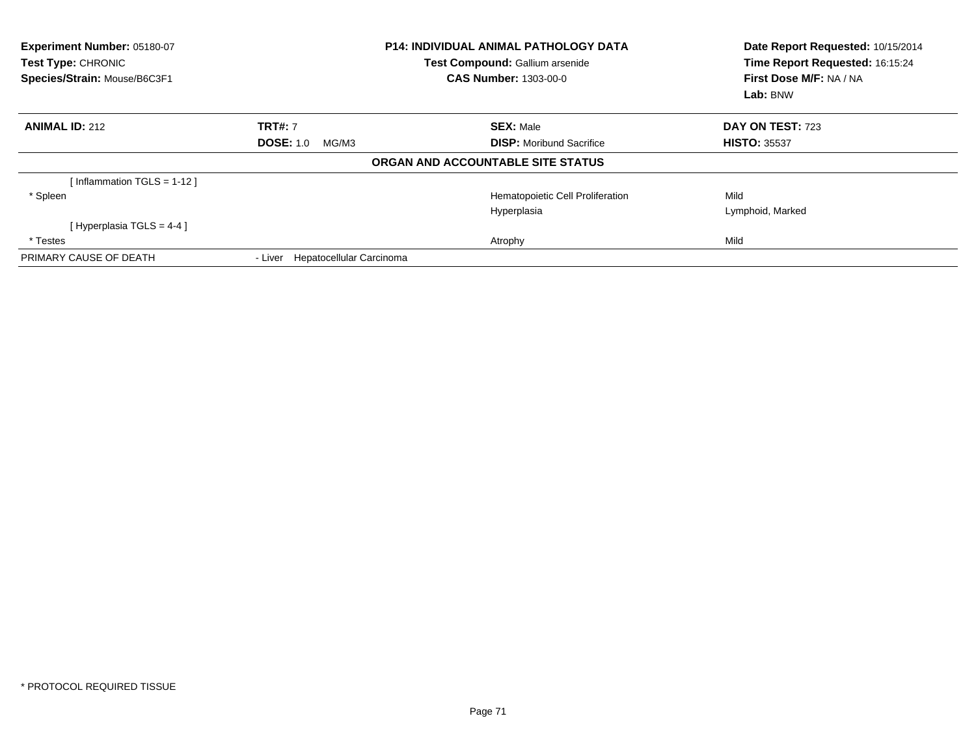| Experiment Number: 05180-07<br><b>Test Type: CHRONIC</b><br>Species/Strain: Mouse/B6C3F1 |                                     | <b>P14: INDIVIDUAL ANIMAL PATHOLOGY DATA</b><br>Test Compound: Gallium arsenide<br><b>CAS Number: 1303-00-0</b> | Date Report Requested: 10/15/2014<br>Time Report Requested: 16:15:24<br>First Dose M/F: NA / NA<br>Lab: BNW |
|------------------------------------------------------------------------------------------|-------------------------------------|-----------------------------------------------------------------------------------------------------------------|-------------------------------------------------------------------------------------------------------------|
| <b>ANIMAL ID: 212</b>                                                                    | <b>TRT#: 7</b>                      | <b>SEX: Male</b>                                                                                                | DAY ON TEST: 723                                                                                            |
|                                                                                          | <b>DOSE: 1.0</b><br>MG/M3           | <b>DISP:</b> Moribund Sacrifice                                                                                 | <b>HISTO: 35537</b>                                                                                         |
|                                                                                          |                                     | ORGAN AND ACCOUNTABLE SITE STATUS                                                                               |                                                                                                             |
| [Inflammation TGLS = $1-12$ ]                                                            |                                     |                                                                                                                 |                                                                                                             |
| * Spleen                                                                                 |                                     | Hematopoietic Cell Proliferation                                                                                | Mild                                                                                                        |
|                                                                                          |                                     | Hyperplasia                                                                                                     | Lymphoid, Marked                                                                                            |
| [Hyperplasia TGLS = $4-4$ ]                                                              |                                     |                                                                                                                 |                                                                                                             |
| * Testes                                                                                 |                                     | Atrophy                                                                                                         | Mild                                                                                                        |
| PRIMARY CAUSE OF DEATH                                                                   | Hepatocellular Carcinoma<br>- Liver |                                                                                                                 |                                                                                                             |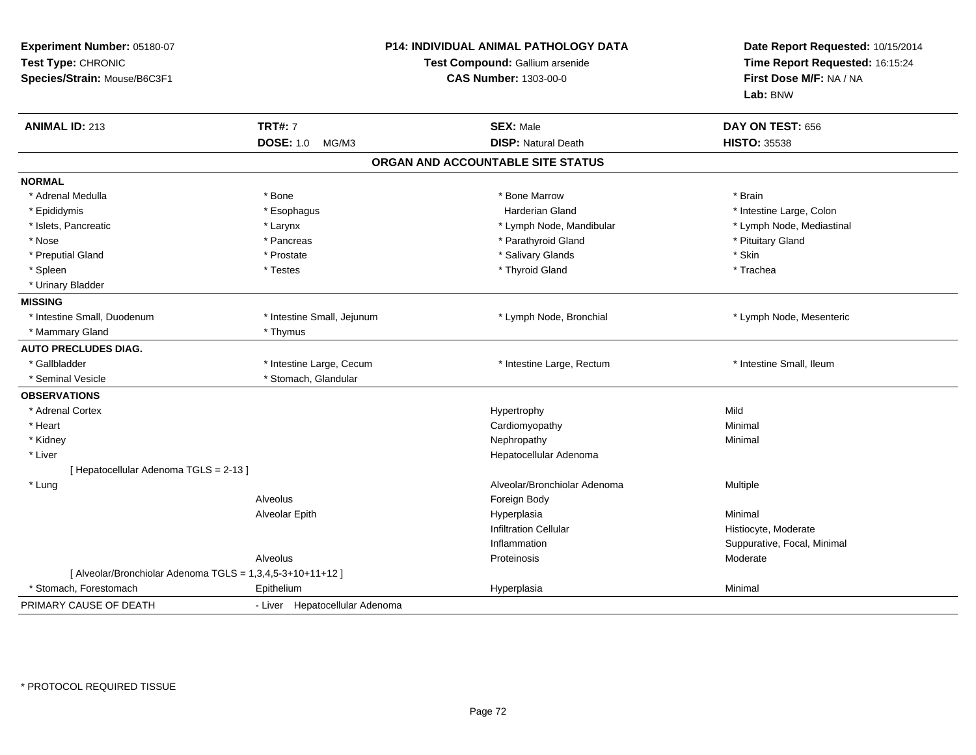| Experiment Number: 05180-07<br>Test Type: CHRONIC<br>Species/Strain: Mouse/B6C3F1 |                                | P14: INDIVIDUAL ANIMAL PATHOLOGY DATA<br>Test Compound: Gallium arsenide<br><b>CAS Number: 1303-00-0</b> |                             |
|-----------------------------------------------------------------------------------|--------------------------------|----------------------------------------------------------------------------------------------------------|-----------------------------|
| <b>ANIMAL ID: 213</b>                                                             | <b>TRT#: 7</b>                 | <b>SEX: Male</b>                                                                                         | DAY ON TEST: 656            |
|                                                                                   | <b>DOSE: 1.0</b><br>MG/M3      | <b>DISP: Natural Death</b>                                                                               | <b>HISTO: 35538</b>         |
|                                                                                   |                                | ORGAN AND ACCOUNTABLE SITE STATUS                                                                        |                             |
| <b>NORMAL</b>                                                                     |                                |                                                                                                          |                             |
| * Adrenal Medulla                                                                 | * Bone                         | * Bone Marrow                                                                                            | * Brain                     |
| * Epididymis                                                                      | * Esophagus                    | <b>Harderian Gland</b>                                                                                   | * Intestine Large, Colon    |
| * Islets, Pancreatic                                                              | * Larynx                       | * Lymph Node, Mandibular                                                                                 | * Lymph Node, Mediastinal   |
| * Nose                                                                            | * Pancreas                     | * Parathyroid Gland                                                                                      | * Pituitary Gland           |
| * Preputial Gland                                                                 | * Prostate                     | * Salivary Glands                                                                                        | * Skin                      |
| * Spleen                                                                          | * Testes                       | * Thyroid Gland                                                                                          | * Trachea                   |
| * Urinary Bladder                                                                 |                                |                                                                                                          |                             |
| <b>MISSING</b>                                                                    |                                |                                                                                                          |                             |
| * Intestine Small, Duodenum                                                       | * Intestine Small, Jejunum     | * Lymph Node, Bronchial                                                                                  | * Lymph Node, Mesenteric    |
| * Mammary Gland                                                                   | * Thymus                       |                                                                                                          |                             |
| <b>AUTO PRECLUDES DIAG.</b>                                                       |                                |                                                                                                          |                             |
| * Gallbladder                                                                     | * Intestine Large, Cecum       | * Intestine Large, Rectum                                                                                | * Intestine Small, Ileum    |
| * Seminal Vesicle                                                                 | * Stomach, Glandular           |                                                                                                          |                             |
| <b>OBSERVATIONS</b>                                                               |                                |                                                                                                          |                             |
| * Adrenal Cortex                                                                  |                                | Hypertrophy                                                                                              | Mild                        |
| * Heart                                                                           |                                | Cardiomyopathy                                                                                           | Minimal                     |
| * Kidney                                                                          |                                | Nephropathy                                                                                              | Minimal                     |
| * Liver                                                                           |                                | Hepatocellular Adenoma                                                                                   |                             |
| [Hepatocellular Adenoma TGLS = 2-13]                                              |                                |                                                                                                          |                             |
| * Lung                                                                            |                                | Alveolar/Bronchiolar Adenoma                                                                             | Multiple                    |
|                                                                                   | Alveolus                       | Foreign Body                                                                                             |                             |
|                                                                                   | <b>Alveolar Epith</b>          | Hyperplasia                                                                                              | Minimal                     |
|                                                                                   |                                | <b>Infiltration Cellular</b>                                                                             | Histiocyte, Moderate        |
|                                                                                   |                                | Inflammation                                                                                             | Suppurative, Focal, Minimal |
|                                                                                   | Alveolus                       | Proteinosis                                                                                              | Moderate                    |
| [ Alveolar/Bronchiolar Adenoma TGLS = 1,3,4,5-3+10+11+12 ]                        |                                |                                                                                                          |                             |
| * Stomach, Forestomach                                                            | Epithelium                     | Hyperplasia                                                                                              | Minimal                     |
| PRIMARY CAUSE OF DEATH                                                            | - Liver Hepatocellular Adenoma |                                                                                                          |                             |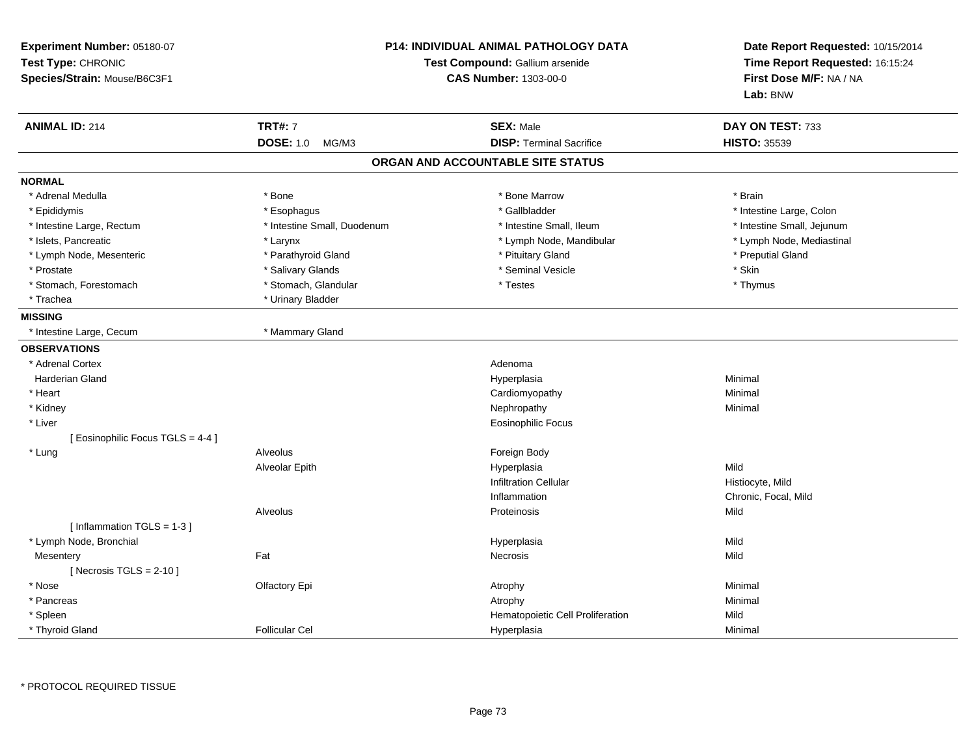| Experiment Number: 05180-07<br>Test Type: CHRONIC<br>Species/Strain: Mouse/B6C3F1 | <b>P14: INDIVIDUAL ANIMAL PATHOLOGY DATA</b><br>Test Compound: Gallium arsenide<br><b>CAS Number: 1303-00-0</b> |                                   | Date Report Requested: 10/15/2014<br>Time Report Requested: 16:15:24<br>First Dose M/F: NA / NA<br>Lab: BNW |
|-----------------------------------------------------------------------------------|-----------------------------------------------------------------------------------------------------------------|-----------------------------------|-------------------------------------------------------------------------------------------------------------|
| <b>ANIMAL ID: 214</b>                                                             | <b>TRT#: 7</b>                                                                                                  | <b>SEX: Male</b>                  | DAY ON TEST: 733                                                                                            |
|                                                                                   | <b>DOSE: 1.0</b><br>MG/M3                                                                                       | <b>DISP: Terminal Sacrifice</b>   | <b>HISTO: 35539</b>                                                                                         |
|                                                                                   |                                                                                                                 | ORGAN AND ACCOUNTABLE SITE STATUS |                                                                                                             |
| <b>NORMAL</b>                                                                     |                                                                                                                 |                                   |                                                                                                             |
| * Adrenal Medulla                                                                 | * Bone                                                                                                          | * Bone Marrow                     | * Brain                                                                                                     |
| * Epididymis                                                                      | * Esophagus                                                                                                     | * Gallbladder                     | * Intestine Large, Colon                                                                                    |
| * Intestine Large, Rectum                                                         | * Intestine Small, Duodenum                                                                                     | * Intestine Small, Ileum          | * Intestine Small, Jejunum                                                                                  |
| * Islets, Pancreatic                                                              | * Larynx                                                                                                        | * Lymph Node, Mandibular          | * Lymph Node, Mediastinal                                                                                   |
| * Lymph Node, Mesenteric                                                          | * Parathyroid Gland                                                                                             | * Pituitary Gland                 | * Preputial Gland                                                                                           |
| * Prostate                                                                        | * Salivary Glands                                                                                               | * Seminal Vesicle                 | * Skin                                                                                                      |
| * Stomach, Forestomach                                                            | * Stomach, Glandular                                                                                            | * Testes                          | * Thymus                                                                                                    |
| * Trachea                                                                         | * Urinary Bladder                                                                                               |                                   |                                                                                                             |
| <b>MISSING</b>                                                                    |                                                                                                                 |                                   |                                                                                                             |
| * Intestine Large, Cecum                                                          | * Mammary Gland                                                                                                 |                                   |                                                                                                             |
| <b>OBSERVATIONS</b>                                                               |                                                                                                                 |                                   |                                                                                                             |
| * Adrenal Cortex                                                                  |                                                                                                                 | Adenoma                           |                                                                                                             |
| <b>Harderian Gland</b>                                                            |                                                                                                                 | Hyperplasia                       | Minimal                                                                                                     |
| * Heart                                                                           |                                                                                                                 | Cardiomyopathy                    | Minimal                                                                                                     |
| * Kidney                                                                          |                                                                                                                 | Nephropathy                       | Minimal                                                                                                     |
| * Liver                                                                           |                                                                                                                 | <b>Eosinophilic Focus</b>         |                                                                                                             |
| [ Eosinophilic Focus TGLS = 4-4 ]                                                 |                                                                                                                 |                                   |                                                                                                             |
| * Lung                                                                            | Alveolus                                                                                                        | Foreign Body                      |                                                                                                             |
|                                                                                   | Alveolar Epith                                                                                                  | Hyperplasia                       | Mild                                                                                                        |
|                                                                                   |                                                                                                                 | <b>Infiltration Cellular</b>      | Histiocyte, Mild                                                                                            |
|                                                                                   |                                                                                                                 | Inflammation                      | Chronic, Focal, Mild                                                                                        |
|                                                                                   | Alveolus                                                                                                        | Proteinosis                       | Mild                                                                                                        |
| [Inflammation TGLS = 1-3]                                                         |                                                                                                                 |                                   |                                                                                                             |
| * Lymph Node, Bronchial                                                           |                                                                                                                 | Hyperplasia                       | Mild                                                                                                        |
| Mesentery                                                                         | Fat                                                                                                             | Necrosis                          | Mild                                                                                                        |
| [ Necrosis $TGLS = 2-10$ ]                                                        |                                                                                                                 |                                   |                                                                                                             |
| * Nose                                                                            | Olfactory Epi                                                                                                   | Atrophy                           | Minimal                                                                                                     |
| * Pancreas                                                                        |                                                                                                                 | Atrophy                           | Minimal                                                                                                     |
| * Spleen                                                                          |                                                                                                                 | Hematopoietic Cell Proliferation  | Mild                                                                                                        |
| * Thyroid Gland                                                                   | <b>Follicular Cel</b>                                                                                           | Hyperplasia                       | Minimal                                                                                                     |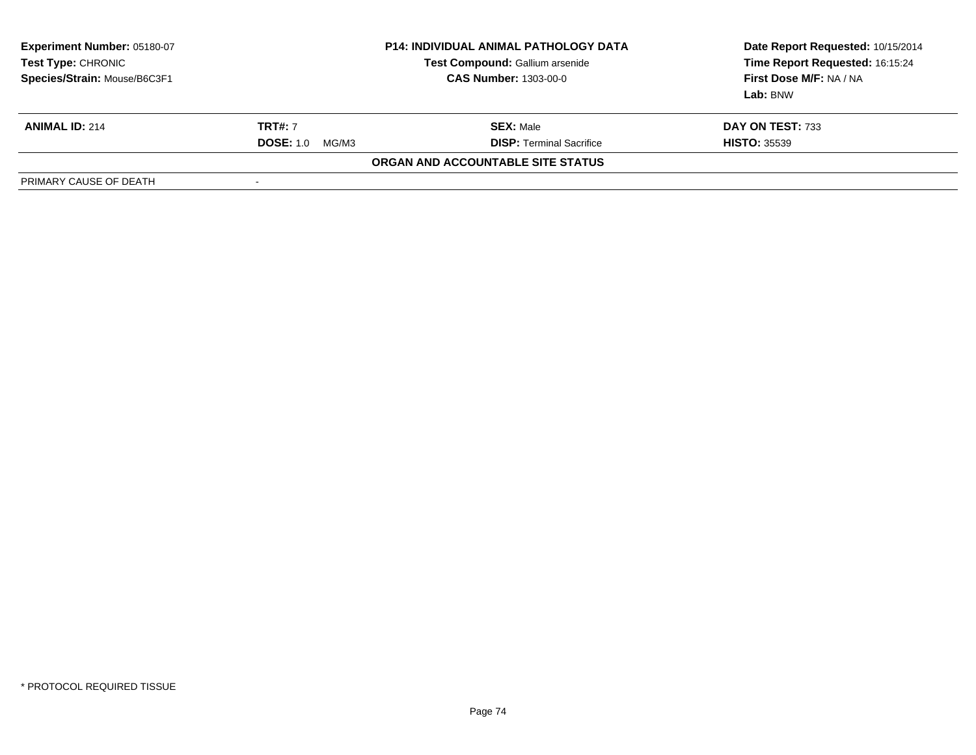| Experiment Number: 05180-07<br>Test Type: CHRONIC<br>Species/Strain: Mouse/B6C3F1 | <b>P14: INDIVIDUAL ANIMAL PATHOLOGY DATA</b><br>Test Compound: Gallium arsenide<br><b>CAS Number: 1303-00-0</b> |                                   | Date Report Requested: 10/15/2014<br>Time Report Requested: 16:15:24<br>First Dose M/F: NA / NA<br>Lab: BNW |
|-----------------------------------------------------------------------------------|-----------------------------------------------------------------------------------------------------------------|-----------------------------------|-------------------------------------------------------------------------------------------------------------|
| <b>ANIMAL ID: 214</b>                                                             | <b>TRT#: 7</b>                                                                                                  | <b>SEX: Male</b>                  | DAY ON TEST: 733                                                                                            |
|                                                                                   | <b>DOSE: 1.0</b><br>MG/M3                                                                                       | <b>DISP: Terminal Sacrifice</b>   | <b>HISTO: 35539</b>                                                                                         |
|                                                                                   |                                                                                                                 | ORGAN AND ACCOUNTABLE SITE STATUS |                                                                                                             |
| PRIMARY CAUSE OF DEATH                                                            | -                                                                                                               |                                   |                                                                                                             |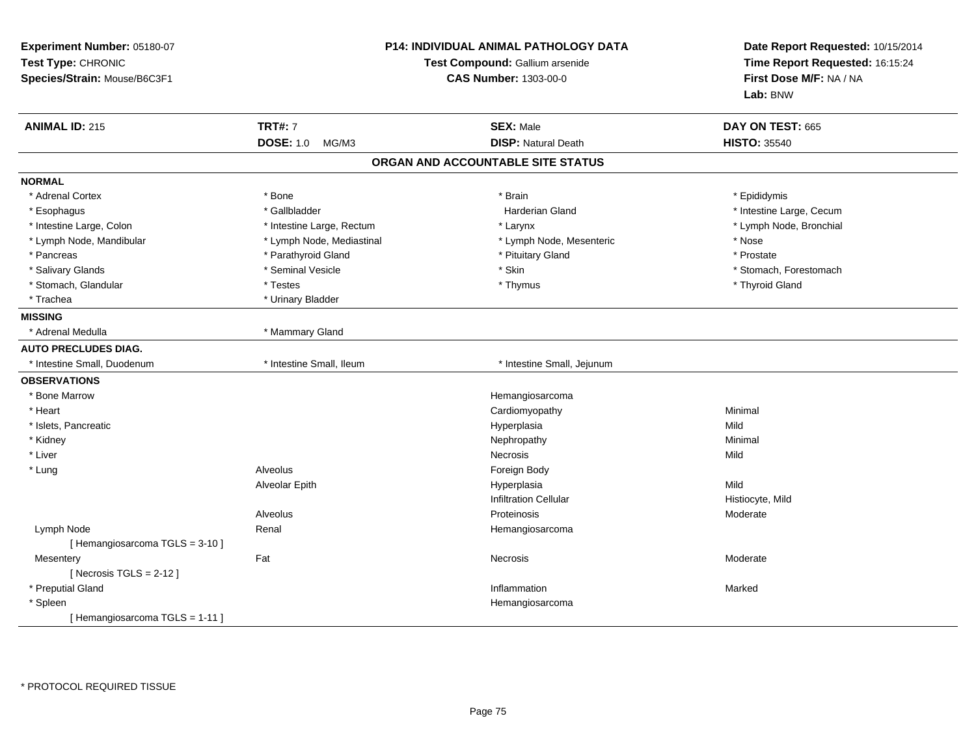| Experiment Number: 05180-07<br>Test Type: CHRONIC<br>Species/Strain: Mouse/B6C3F1 | P14: INDIVIDUAL ANIMAL PATHOLOGY DATA<br>Test Compound: Gallium arsenide<br><b>CAS Number: 1303-00-0</b> |                                   | Date Report Requested: 10/15/2014<br>Time Report Requested: 16:15:24<br>First Dose M/F: NA / NA<br>Lab: BNW |
|-----------------------------------------------------------------------------------|----------------------------------------------------------------------------------------------------------|-----------------------------------|-------------------------------------------------------------------------------------------------------------|
| <b>ANIMAL ID: 215</b>                                                             | <b>TRT#: 7</b>                                                                                           | <b>SEX: Male</b>                  | DAY ON TEST: 665                                                                                            |
|                                                                                   | <b>DOSE: 1.0</b><br>MG/M3                                                                                | <b>DISP: Natural Death</b>        | <b>HISTO: 35540</b>                                                                                         |
|                                                                                   |                                                                                                          | ORGAN AND ACCOUNTABLE SITE STATUS |                                                                                                             |
| <b>NORMAL</b>                                                                     |                                                                                                          |                                   |                                                                                                             |
| * Adrenal Cortex                                                                  | * Bone                                                                                                   | * Brain                           | * Epididymis                                                                                                |
| * Esophagus                                                                       | * Gallbladder                                                                                            | <b>Harderian Gland</b>            | * Intestine Large, Cecum                                                                                    |
| * Intestine Large, Colon                                                          | * Intestine Large, Rectum                                                                                | * Larynx                          | * Lymph Node, Bronchial                                                                                     |
| * Lymph Node, Mandibular                                                          | * Lymph Node, Mediastinal                                                                                | * Lymph Node, Mesenteric          | * Nose                                                                                                      |
| * Pancreas                                                                        | * Parathyroid Gland                                                                                      | * Pituitary Gland                 | * Prostate                                                                                                  |
| * Salivary Glands                                                                 | * Seminal Vesicle                                                                                        | * Skin                            | * Stomach, Forestomach                                                                                      |
| * Stomach, Glandular                                                              | * Testes                                                                                                 | * Thymus                          | * Thyroid Gland                                                                                             |
| * Trachea                                                                         | * Urinary Bladder                                                                                        |                                   |                                                                                                             |
| <b>MISSING</b>                                                                    |                                                                                                          |                                   |                                                                                                             |
| * Adrenal Medulla                                                                 | * Mammary Gland                                                                                          |                                   |                                                                                                             |
| <b>AUTO PRECLUDES DIAG.</b>                                                       |                                                                                                          |                                   |                                                                                                             |
| * Intestine Small, Duodenum                                                       | * Intestine Small, Ileum                                                                                 | * Intestine Small, Jejunum        |                                                                                                             |
| <b>OBSERVATIONS</b>                                                               |                                                                                                          |                                   |                                                                                                             |
| * Bone Marrow                                                                     |                                                                                                          | Hemangiosarcoma                   |                                                                                                             |
| * Heart                                                                           |                                                                                                          | Cardiomyopathy                    | Minimal                                                                                                     |
| * Islets, Pancreatic                                                              |                                                                                                          | Hyperplasia                       | Mild                                                                                                        |
| * Kidney                                                                          |                                                                                                          | Nephropathy                       | Minimal                                                                                                     |
| * Liver                                                                           |                                                                                                          | Necrosis                          | Mild                                                                                                        |
| * Lung                                                                            | Alveolus                                                                                                 | Foreign Body                      |                                                                                                             |
|                                                                                   | Alveolar Epith                                                                                           | Hyperplasia                       | Mild                                                                                                        |
|                                                                                   |                                                                                                          | <b>Infiltration Cellular</b>      | Histiocyte, Mild                                                                                            |
|                                                                                   | Alveolus                                                                                                 | Proteinosis                       | Moderate                                                                                                    |
| Lymph Node                                                                        | Renal                                                                                                    | Hemangiosarcoma                   |                                                                                                             |
| [Hemangiosarcoma TGLS = 3-10]                                                     |                                                                                                          |                                   |                                                                                                             |
| Mesentery                                                                         | Fat                                                                                                      | <b>Necrosis</b>                   | Moderate                                                                                                    |
| [Necrosis $TGLS = 2-12$ ]                                                         |                                                                                                          |                                   |                                                                                                             |
| * Preputial Gland                                                                 |                                                                                                          | Inflammation                      | Marked                                                                                                      |
| * Spleen                                                                          |                                                                                                          | Hemangiosarcoma                   |                                                                                                             |
| [Hemangiosarcoma TGLS = 1-11]                                                     |                                                                                                          |                                   |                                                                                                             |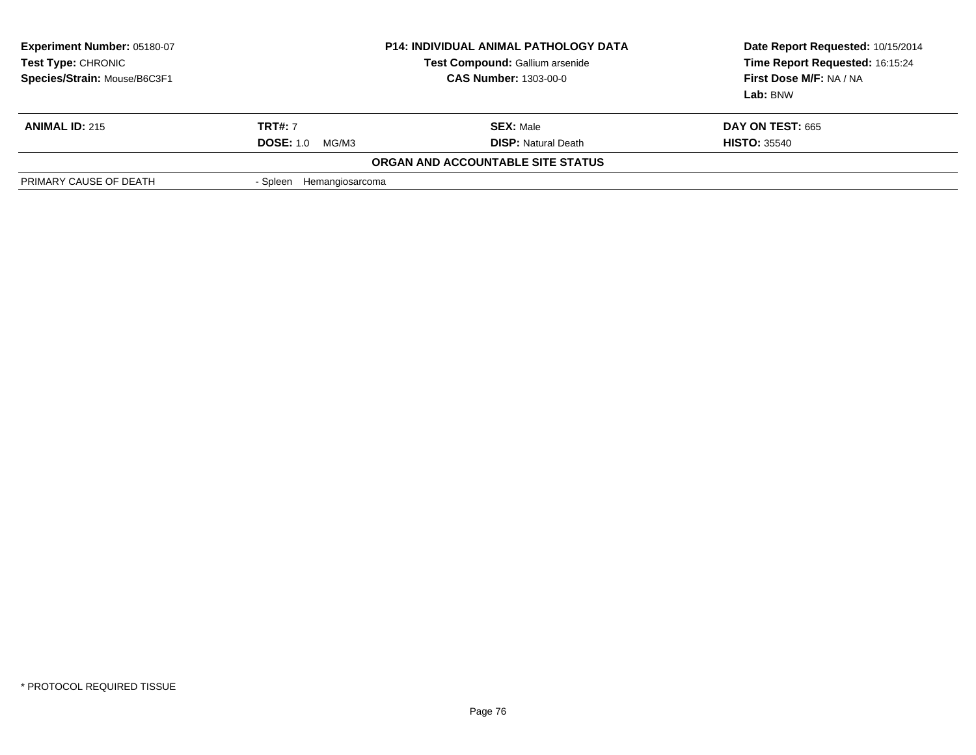| Experiment Number: 05180-07<br>Test Type: CHRONIC<br>Species/Strain: Mouse/B6C3F1 |                             | <b>P14: INDIVIDUAL ANIMAL PATHOLOGY DATA</b><br>Test Compound: Gallium arsenide<br><b>CAS Number: 1303-00-0</b> | Date Report Requested: 10/15/2014<br>Time Report Requested: 16:15:24<br>First Dose M/F: NA / NA<br>Lab: BNW |
|-----------------------------------------------------------------------------------|-----------------------------|-----------------------------------------------------------------------------------------------------------------|-------------------------------------------------------------------------------------------------------------|
| <b>ANIMAL ID: 215</b>                                                             | <b>TRT#: 7</b>              | <b>SEX: Male</b>                                                                                                | <b>DAY ON TEST: 665</b>                                                                                     |
|                                                                                   | <b>DOSE: 1.0</b><br>MG/M3   | <b>DISP:</b> Natural Death                                                                                      | <b>HISTO: 35540</b>                                                                                         |
|                                                                                   |                             | ORGAN AND ACCOUNTABLE SITE STATUS                                                                               |                                                                                                             |
| PRIMARY CAUSE OF DEATH                                                            | Hemangiosarcoma<br>- Spleen |                                                                                                                 |                                                                                                             |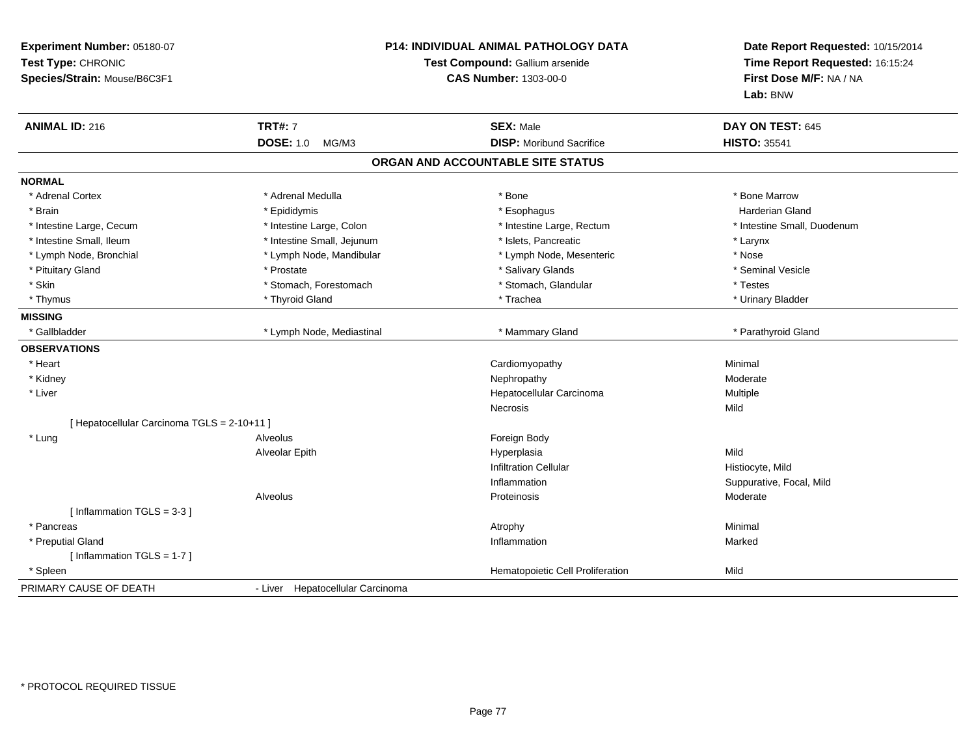| Experiment Number: 05180-07<br>Test Type: CHRONIC<br>Species/Strain: Mouse/B6C3F1 |                                  | P14: INDIVIDUAL ANIMAL PATHOLOGY DATA<br>Test Compound: Gallium arsenide<br><b>CAS Number: 1303-00-0</b> |                             |
|-----------------------------------------------------------------------------------|----------------------------------|----------------------------------------------------------------------------------------------------------|-----------------------------|
| <b>ANIMAL ID: 216</b>                                                             | <b>TRT#: 7</b>                   | <b>SEX: Male</b>                                                                                         | DAY ON TEST: 645            |
|                                                                                   | <b>DOSE: 1.0</b><br>MG/M3        | <b>DISP:</b> Moribund Sacrifice                                                                          | <b>HISTO: 35541</b>         |
|                                                                                   |                                  | ORGAN AND ACCOUNTABLE SITE STATUS                                                                        |                             |
| <b>NORMAL</b>                                                                     |                                  |                                                                                                          |                             |
| * Adrenal Cortex                                                                  | * Adrenal Medulla                | * Bone                                                                                                   | * Bone Marrow               |
| * Brain                                                                           | * Epididymis                     | * Esophagus                                                                                              | <b>Harderian Gland</b>      |
| * Intestine Large, Cecum                                                          | * Intestine Large, Colon         | * Intestine Large, Rectum                                                                                | * Intestine Small, Duodenum |
| * Intestine Small, Ileum                                                          | * Intestine Small, Jejunum       | * Islets, Pancreatic                                                                                     | * Larynx                    |
| * Lymph Node, Bronchial                                                           | * Lymph Node, Mandibular         | * Lymph Node, Mesenteric                                                                                 | * Nose                      |
| * Pituitary Gland                                                                 | * Prostate                       | * Salivary Glands                                                                                        | * Seminal Vesicle           |
| * Skin                                                                            | * Stomach, Forestomach           | * Stomach, Glandular                                                                                     | * Testes                    |
| * Thymus                                                                          | * Thyroid Gland                  | * Trachea                                                                                                | * Urinary Bladder           |
| <b>MISSING</b>                                                                    |                                  |                                                                                                          |                             |
| * Gallbladder                                                                     | * Lymph Node, Mediastinal        | * Mammary Gland                                                                                          | * Parathyroid Gland         |
| <b>OBSERVATIONS</b>                                                               |                                  |                                                                                                          |                             |
| * Heart                                                                           |                                  | Cardiomyopathy                                                                                           | Minimal                     |
| * Kidney                                                                          |                                  | Nephropathy                                                                                              | Moderate                    |
| * Liver                                                                           |                                  | Hepatocellular Carcinoma                                                                                 | Multiple                    |
|                                                                                   |                                  | Necrosis                                                                                                 | Mild                        |
| [ Hepatocellular Carcinoma TGLS = 2-10+11 ]                                       |                                  |                                                                                                          |                             |
| * Lung                                                                            | Alveolus                         | Foreign Body                                                                                             |                             |
|                                                                                   | <b>Alveolar Epith</b>            | Hyperplasia                                                                                              | Mild                        |
|                                                                                   |                                  | <b>Infiltration Cellular</b>                                                                             | Histiocyte, Mild            |
|                                                                                   |                                  | Inflammation                                                                                             | Suppurative, Focal, Mild    |
|                                                                                   | Alveolus                         | Proteinosis                                                                                              | Moderate                    |
| [Inflammation TGLS = $3.3$ ]                                                      |                                  |                                                                                                          |                             |
| * Pancreas                                                                        |                                  | Atrophy                                                                                                  | Minimal                     |
| * Preputial Gland                                                                 |                                  | Inflammation                                                                                             | Marked                      |
| [Inflammation TGLS = 1-7]                                                         |                                  |                                                                                                          |                             |
| * Spleen                                                                          |                                  | Hematopoietic Cell Proliferation                                                                         | Mild                        |
| PRIMARY CAUSE OF DEATH                                                            | - Liver Hepatocellular Carcinoma |                                                                                                          |                             |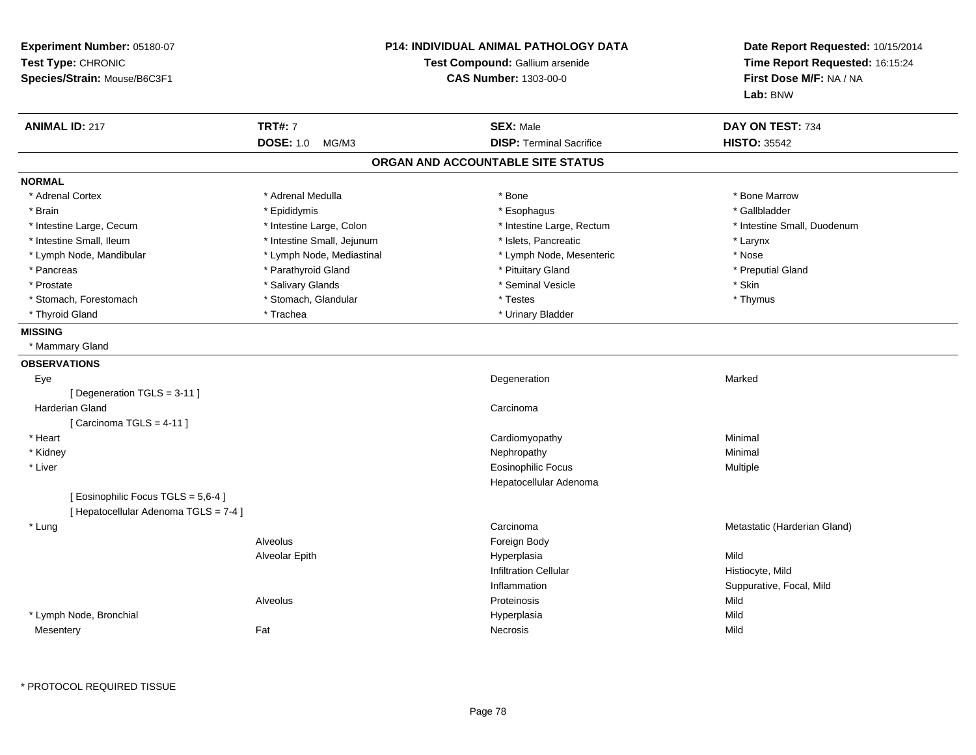| Experiment Number: 05180-07<br>Test Type: CHRONIC<br>Species/Strain: Mouse/B6C3F1 | <b>P14: INDIVIDUAL ANIMAL PATHOLOGY DATA</b><br>Test Compound: Gallium arsenide<br><b>CAS Number: 1303-00-0</b> |                                   | Date Report Requested: 10/15/2014<br>Time Report Requested: 16:15:24<br>First Dose M/F: NA / NA<br>Lab: BNW |  |
|-----------------------------------------------------------------------------------|-----------------------------------------------------------------------------------------------------------------|-----------------------------------|-------------------------------------------------------------------------------------------------------------|--|
| <b>ANIMAL ID: 217</b>                                                             | <b>TRT#: 7</b>                                                                                                  | <b>SEX: Male</b>                  | DAY ON TEST: 734                                                                                            |  |
|                                                                                   | <b>DOSE: 1.0</b><br>MG/M3                                                                                       | <b>DISP: Terminal Sacrifice</b>   | <b>HISTO: 35542</b>                                                                                         |  |
|                                                                                   |                                                                                                                 | ORGAN AND ACCOUNTABLE SITE STATUS |                                                                                                             |  |
| <b>NORMAL</b>                                                                     |                                                                                                                 |                                   |                                                                                                             |  |
| * Adrenal Cortex                                                                  | * Adrenal Medulla                                                                                               | * Bone                            | * Bone Marrow                                                                                               |  |
| * Brain                                                                           | * Epididymis                                                                                                    | * Esophagus                       | * Gallbladder                                                                                               |  |
| * Intestine Large, Cecum                                                          | * Intestine Large, Colon                                                                                        | * Intestine Large, Rectum         | * Intestine Small, Duodenum                                                                                 |  |
| * Intestine Small, Ileum                                                          | * Intestine Small, Jejunum                                                                                      | * Islets, Pancreatic              | * Larynx                                                                                                    |  |
| * Lymph Node, Mandibular                                                          | * Lymph Node, Mediastinal                                                                                       | * Lymph Node, Mesenteric          | * Nose                                                                                                      |  |
| * Pancreas                                                                        | * Parathyroid Gland                                                                                             | * Pituitary Gland                 | * Preputial Gland                                                                                           |  |
| * Prostate                                                                        | * Salivary Glands                                                                                               | * Seminal Vesicle                 | * Skin                                                                                                      |  |
| * Stomach, Forestomach                                                            | * Stomach, Glandular                                                                                            | * Testes                          | * Thymus                                                                                                    |  |
| * Thyroid Gland                                                                   | * Trachea                                                                                                       | * Urinary Bladder                 |                                                                                                             |  |
| <b>MISSING</b>                                                                    |                                                                                                                 |                                   |                                                                                                             |  |
| * Mammary Gland                                                                   |                                                                                                                 |                                   |                                                                                                             |  |
| <b>OBSERVATIONS</b>                                                               |                                                                                                                 |                                   |                                                                                                             |  |
| Eye                                                                               |                                                                                                                 | Degeneration                      | Marked                                                                                                      |  |
| [Degeneration TGLS = 3-11]                                                        |                                                                                                                 |                                   |                                                                                                             |  |
| Harderian Gland                                                                   |                                                                                                                 | Carcinoma                         |                                                                                                             |  |
| [Carcinoma TGLS = $4-11$ ]                                                        |                                                                                                                 |                                   |                                                                                                             |  |
| * Heart                                                                           |                                                                                                                 | Cardiomyopathy                    | Minimal                                                                                                     |  |
| * Kidney                                                                          |                                                                                                                 | Nephropathy                       | Minimal                                                                                                     |  |
| * Liver                                                                           |                                                                                                                 | <b>Eosinophilic Focus</b>         | Multiple                                                                                                    |  |
|                                                                                   |                                                                                                                 | Hepatocellular Adenoma            |                                                                                                             |  |
| [ Eosinophilic Focus TGLS = 5,6-4 ]                                               |                                                                                                                 |                                   |                                                                                                             |  |
| [ Hepatocellular Adenoma TGLS = 7-4 ]                                             |                                                                                                                 |                                   |                                                                                                             |  |
| * Lung                                                                            |                                                                                                                 | Carcinoma                         | Metastatic (Harderian Gland)                                                                                |  |
|                                                                                   | Alveolus                                                                                                        | Foreign Body                      |                                                                                                             |  |
|                                                                                   | Alveolar Epith                                                                                                  | Hyperplasia                       | Mild                                                                                                        |  |
|                                                                                   |                                                                                                                 | <b>Infiltration Cellular</b>      | Histiocyte, Mild                                                                                            |  |
|                                                                                   |                                                                                                                 | Inflammation                      | Suppurative, Focal, Mild                                                                                    |  |
|                                                                                   | Alveolus                                                                                                        | Proteinosis                       | Mild                                                                                                        |  |
| * Lymph Node, Bronchial                                                           |                                                                                                                 | Hyperplasia                       | Mild                                                                                                        |  |
| Mesentery                                                                         | Fat                                                                                                             | Necrosis                          | Mild                                                                                                        |  |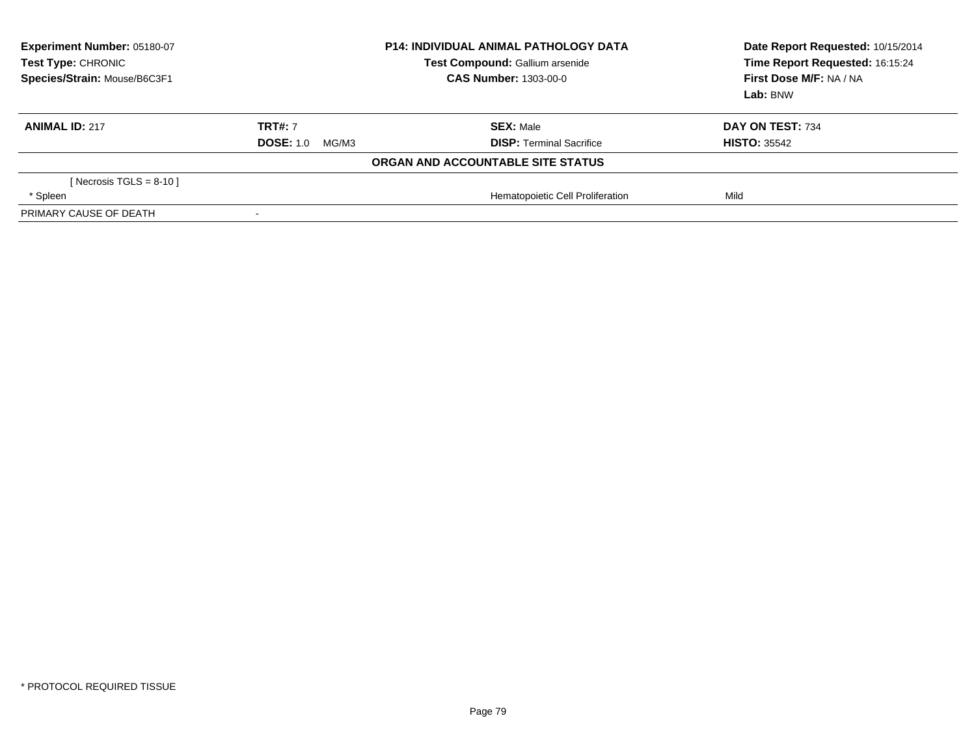| Experiment Number: 05180-07<br>Test Type: CHRONIC<br>Species/Strain: Mouse/B6C3F1 | <b>P14: INDIVIDUAL ANIMAL PATHOLOGY DATA</b><br>Test Compound: Gallium arsenide<br><b>CAS Number: 1303-00-0</b> |                                   |                     |  | Date Report Requested: 10/15/2014<br>Time Report Requested: 16:15:24<br>First Dose M/F: NA / NA<br>Lab: BNW |  |
|-----------------------------------------------------------------------------------|-----------------------------------------------------------------------------------------------------------------|-----------------------------------|---------------------|--|-------------------------------------------------------------------------------------------------------------|--|
| <b>ANIMAL ID: 217</b>                                                             | <b>TRT#: 7</b>                                                                                                  | <b>SEX: Male</b>                  | DAY ON TEST: 734    |  |                                                                                                             |  |
|                                                                                   | <b>DOSE: 1.0</b><br>MG/M3                                                                                       | <b>DISP:</b> Terminal Sacrifice   | <b>HISTO: 35542</b> |  |                                                                                                             |  |
|                                                                                   |                                                                                                                 | ORGAN AND ACCOUNTABLE SITE STATUS |                     |  |                                                                                                             |  |
| [Necrosis TGLS = 8-10 ]                                                           |                                                                                                                 |                                   |                     |  |                                                                                                             |  |
| * Spleen                                                                          |                                                                                                                 | Hematopoietic Cell Proliferation  | Mild                |  |                                                                                                             |  |
| PRIMARY CAUSE OF DEATH                                                            | $\overline{\phantom{a}}$                                                                                        |                                   |                     |  |                                                                                                             |  |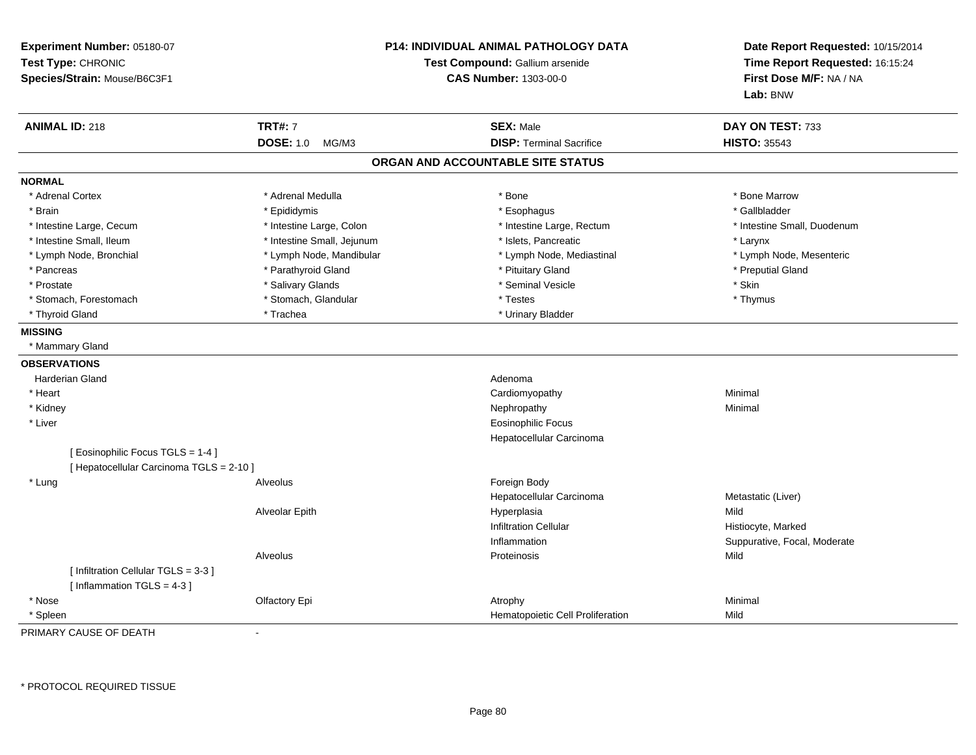| Experiment Number: 05180-07<br>Test Type: CHRONIC<br>Species/Strain: Mouse/B6C3F1 |                            | <b>P14: INDIVIDUAL ANIMAL PATHOLOGY DATA</b><br>Test Compound: Gallium arsenide<br><b>CAS Number: 1303-00-0</b> | Date Report Requested: 10/15/2014<br>Time Report Requested: 16:15:24<br>First Dose M/F: NA / NA<br>Lab: BNW |
|-----------------------------------------------------------------------------------|----------------------------|-----------------------------------------------------------------------------------------------------------------|-------------------------------------------------------------------------------------------------------------|
| <b>ANIMAL ID: 218</b>                                                             | <b>TRT#: 7</b>             | <b>SEX: Male</b>                                                                                                | DAY ON TEST: 733                                                                                            |
|                                                                                   | <b>DOSE: 1.0</b><br>MG/M3  | <b>DISP: Terminal Sacrifice</b>                                                                                 | <b>HISTO: 35543</b>                                                                                         |
|                                                                                   |                            | ORGAN AND ACCOUNTABLE SITE STATUS                                                                               |                                                                                                             |
| <b>NORMAL</b>                                                                     |                            |                                                                                                                 |                                                                                                             |
| * Adrenal Cortex                                                                  | * Adrenal Medulla          | * Bone                                                                                                          | * Bone Marrow                                                                                               |
| * Brain                                                                           | * Epididymis               | * Esophagus                                                                                                     | * Gallbladder                                                                                               |
| * Intestine Large, Cecum                                                          | * Intestine Large, Colon   | * Intestine Large, Rectum                                                                                       | * Intestine Small, Duodenum                                                                                 |
| * Intestine Small, Ileum                                                          | * Intestine Small, Jejunum | * Islets, Pancreatic                                                                                            | * Larynx                                                                                                    |
| * Lymph Node, Bronchial                                                           | * Lymph Node, Mandibular   | * Lymph Node, Mediastinal                                                                                       | * Lymph Node, Mesenteric                                                                                    |
| * Pancreas                                                                        | * Parathyroid Gland        | * Pituitary Gland                                                                                               | * Preputial Gland                                                                                           |
| * Prostate                                                                        | * Salivary Glands          | * Seminal Vesicle                                                                                               | * Skin                                                                                                      |
| * Stomach, Forestomach                                                            | * Stomach, Glandular       | * Testes                                                                                                        | * Thymus                                                                                                    |
| * Thyroid Gland                                                                   | * Trachea                  | * Urinary Bladder                                                                                               |                                                                                                             |
| <b>MISSING</b>                                                                    |                            |                                                                                                                 |                                                                                                             |
| * Mammary Gland                                                                   |                            |                                                                                                                 |                                                                                                             |
| <b>OBSERVATIONS</b>                                                               |                            |                                                                                                                 |                                                                                                             |
| Harderian Gland                                                                   |                            | Adenoma                                                                                                         |                                                                                                             |
| * Heart                                                                           |                            | Cardiomyopathy                                                                                                  | Minimal                                                                                                     |
| * Kidney                                                                          |                            | Nephropathy                                                                                                     | Minimal                                                                                                     |
| * Liver                                                                           |                            | <b>Eosinophilic Focus</b>                                                                                       |                                                                                                             |
|                                                                                   |                            | Hepatocellular Carcinoma                                                                                        |                                                                                                             |
| [ Eosinophilic Focus TGLS = 1-4 ]                                                 |                            |                                                                                                                 |                                                                                                             |
| [ Hepatocellular Carcinoma TGLS = 2-10 ]                                          |                            |                                                                                                                 |                                                                                                             |
| * Lung                                                                            | Alveolus                   | Foreign Body                                                                                                    |                                                                                                             |
|                                                                                   |                            | Hepatocellular Carcinoma                                                                                        | Metastatic (Liver)                                                                                          |
|                                                                                   | Alveolar Epith             | Hyperplasia                                                                                                     | Mild                                                                                                        |
|                                                                                   |                            | <b>Infiltration Cellular</b>                                                                                    | Histiocyte, Marked                                                                                          |
|                                                                                   |                            | Inflammation                                                                                                    | Suppurative, Focal, Moderate                                                                                |
|                                                                                   | Alveolus                   | Proteinosis                                                                                                     | Mild                                                                                                        |
| [Infiltration Cellular TGLS = 3-3]                                                |                            |                                                                                                                 |                                                                                                             |
| [Inflammation TGLS = $4-3$ ]                                                      |                            |                                                                                                                 |                                                                                                             |
| * Nose                                                                            | Olfactory Epi              | Atrophy                                                                                                         | Minimal                                                                                                     |
| * Spleen                                                                          |                            | Hematopoietic Cell Proliferation                                                                                | Mild                                                                                                        |

PRIMARY CAUSE OF DEATH-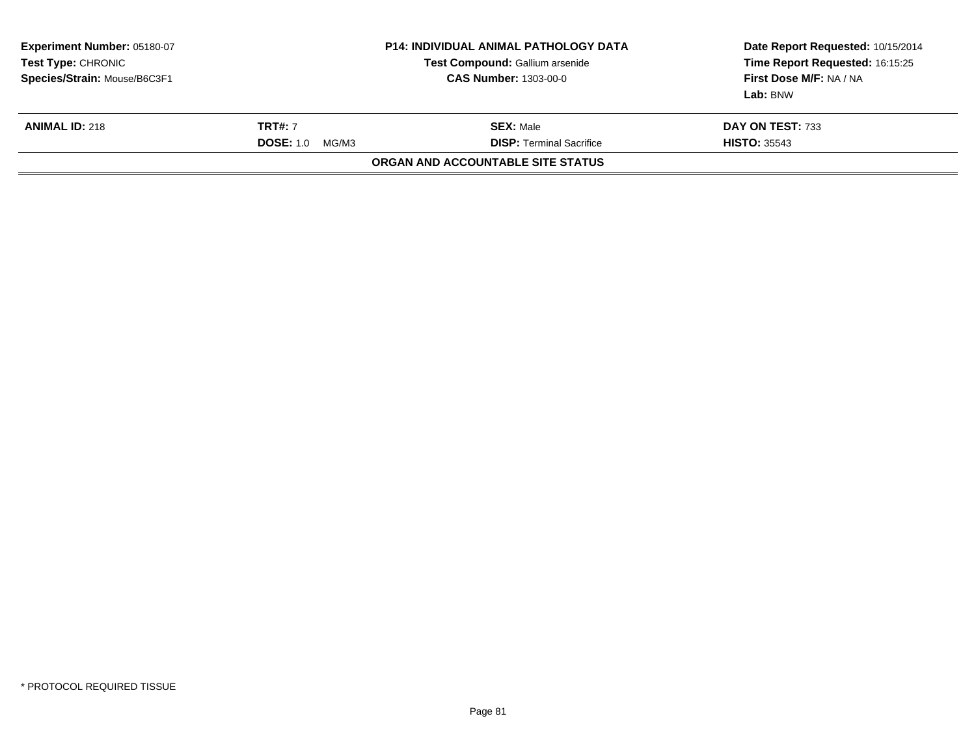| <b>P14: INDIVIDUAL ANIMAL PATHOLOGY DATA</b><br><b>Experiment Number: 05180-07</b><br>Test Compound: Gallium arsenide<br>Test Type: CHRONIC<br>Species/Strain: Mouse/B6C3F1<br><b>CAS Number: 1303-00-0</b> |                                             |                                                     | Date Report Requested: 10/15/2014<br>Time Report Requested: 16:15:25<br>First Dose M/F: NA / NA<br>Lab: BNW |
|-------------------------------------------------------------------------------------------------------------------------------------------------------------------------------------------------------------|---------------------------------------------|-----------------------------------------------------|-------------------------------------------------------------------------------------------------------------|
| <b>ANIMAL ID: 218</b>                                                                                                                                                                                       | <b>TRT#: 7</b><br><b>DOSE: 1.0</b><br>MG/M3 | <b>SEX: Male</b><br><b>DISP:</b> Terminal Sacrifice | DAY ON TEST: 733<br><b>HISTO: 35543</b>                                                                     |
|                                                                                                                                                                                                             |                                             | ORGAN AND ACCOUNTABLE SITE STATUS                   |                                                                                                             |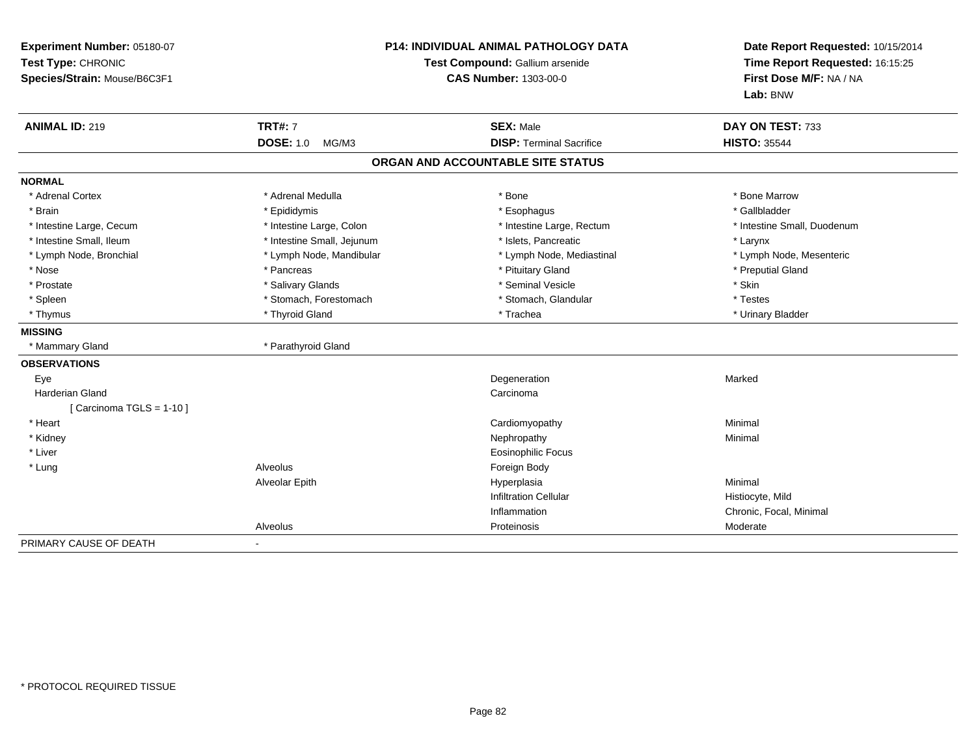| Experiment Number: 05180-07<br>Test Type: CHRONIC<br>Species/Strain: Mouse/B6C3F1 | <b>P14: INDIVIDUAL ANIMAL PATHOLOGY DATA</b><br>Test Compound: Gallium arsenide<br><b>CAS Number: 1303-00-0</b> |                                   | Date Report Requested: 10/15/2014<br>Time Report Requested: 16:15:25<br>First Dose M/F: NA / NA<br>Lab: BNW |
|-----------------------------------------------------------------------------------|-----------------------------------------------------------------------------------------------------------------|-----------------------------------|-------------------------------------------------------------------------------------------------------------|
| <b>ANIMAL ID: 219</b>                                                             | <b>TRT#: 7</b>                                                                                                  | <b>SEX: Male</b>                  | DAY ON TEST: 733                                                                                            |
|                                                                                   | <b>DOSE: 1.0</b><br>MG/M3                                                                                       | <b>DISP: Terminal Sacrifice</b>   | <b>HISTO: 35544</b>                                                                                         |
|                                                                                   |                                                                                                                 | ORGAN AND ACCOUNTABLE SITE STATUS |                                                                                                             |
| <b>NORMAL</b>                                                                     |                                                                                                                 |                                   |                                                                                                             |
| * Adrenal Cortex                                                                  | * Adrenal Medulla                                                                                               | * Bone                            | * Bone Marrow                                                                                               |
| * Brain                                                                           | * Epididymis                                                                                                    | * Esophagus                       | * Gallbladder                                                                                               |
| * Intestine Large, Cecum                                                          | * Intestine Large, Colon                                                                                        | * Intestine Large, Rectum         | * Intestine Small, Duodenum                                                                                 |
| * Intestine Small, Ileum                                                          | * Intestine Small, Jejunum                                                                                      | * Islets. Pancreatic              | * Larynx                                                                                                    |
| * Lymph Node, Bronchial                                                           | * Lymph Node, Mandibular                                                                                        | * Lymph Node, Mediastinal         | * Lymph Node, Mesenteric                                                                                    |
| * Nose                                                                            | * Pancreas                                                                                                      | * Pituitary Gland                 | * Preputial Gland                                                                                           |
| * Prostate                                                                        | * Salivary Glands                                                                                               | * Seminal Vesicle                 | * Skin                                                                                                      |
| * Spleen                                                                          | * Stomach, Forestomach                                                                                          | * Stomach, Glandular              | * Testes                                                                                                    |
| * Thymus                                                                          | * Thyroid Gland                                                                                                 | * Trachea                         | * Urinary Bladder                                                                                           |
| <b>MISSING</b>                                                                    |                                                                                                                 |                                   |                                                                                                             |
| * Mammary Gland                                                                   | * Parathyroid Gland                                                                                             |                                   |                                                                                                             |
| <b>OBSERVATIONS</b>                                                               |                                                                                                                 |                                   |                                                                                                             |
| Eye                                                                               |                                                                                                                 | Degeneration                      | Marked                                                                                                      |
| <b>Harderian Gland</b>                                                            |                                                                                                                 | Carcinoma                         |                                                                                                             |
| [Carcinoma TGLS = $1-10$ ]                                                        |                                                                                                                 |                                   |                                                                                                             |
| * Heart                                                                           |                                                                                                                 | Cardiomyopathy                    | Minimal                                                                                                     |
| * Kidney                                                                          |                                                                                                                 | Nephropathy                       | Minimal                                                                                                     |
| * Liver                                                                           |                                                                                                                 | Eosinophilic Focus                |                                                                                                             |
| * Lung                                                                            | Alveolus                                                                                                        | Foreign Body                      |                                                                                                             |
|                                                                                   | Alveolar Epith                                                                                                  | Hyperplasia                       | Minimal                                                                                                     |
|                                                                                   |                                                                                                                 | <b>Infiltration Cellular</b>      | Histiocyte, Mild                                                                                            |
|                                                                                   |                                                                                                                 | Inflammation                      | Chronic, Focal, Minimal                                                                                     |
|                                                                                   | Alveolus                                                                                                        | Proteinosis                       | Moderate                                                                                                    |
| PRIMARY CAUSE OF DEATH                                                            | $\blacksquare$                                                                                                  |                                   |                                                                                                             |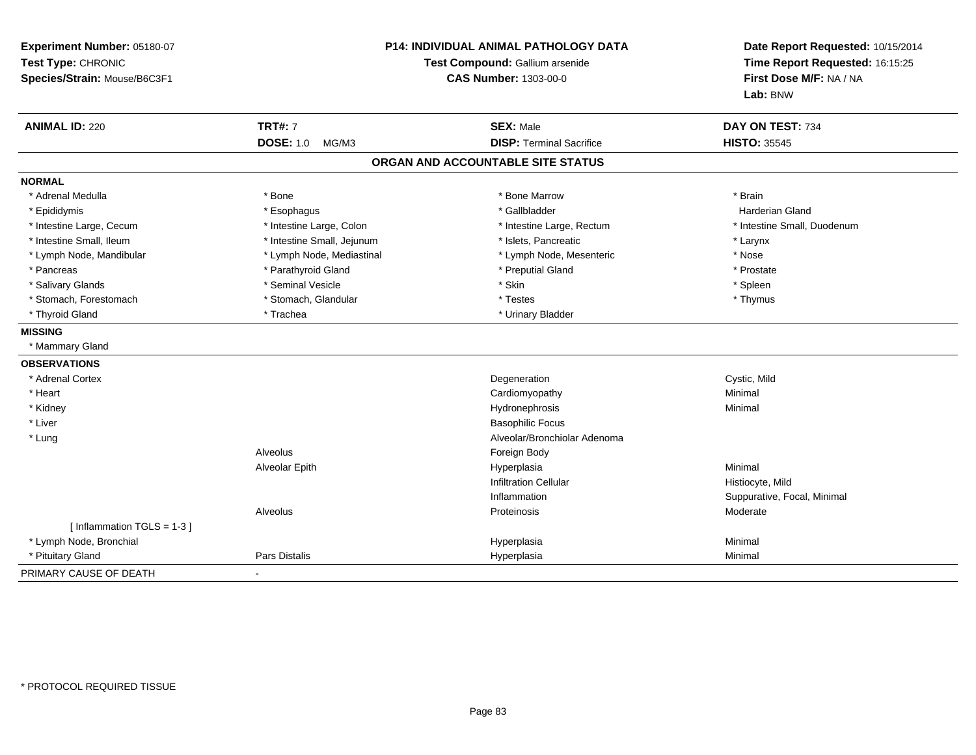| Experiment Number: 05180-07<br>Test Type: CHRONIC<br>Species/Strain: Mouse/B6C3F1 | P14: INDIVIDUAL ANIMAL PATHOLOGY DATA<br>Test Compound: Gallium arsenide<br><b>CAS Number: 1303-00-0</b> |                                   | Date Report Requested: 10/15/2014<br>Time Report Requested: 16:15:25<br>First Dose M/F: NA / NA<br>Lab: BNW |
|-----------------------------------------------------------------------------------|----------------------------------------------------------------------------------------------------------|-----------------------------------|-------------------------------------------------------------------------------------------------------------|
| <b>ANIMAL ID: 220</b>                                                             | <b>TRT#: 7</b>                                                                                           | <b>SEX: Male</b>                  | DAY ON TEST: 734                                                                                            |
|                                                                                   | <b>DOSE: 1.0</b><br>MG/M3                                                                                | <b>DISP: Terminal Sacrifice</b>   | <b>HISTO: 35545</b>                                                                                         |
|                                                                                   |                                                                                                          | ORGAN AND ACCOUNTABLE SITE STATUS |                                                                                                             |
| <b>NORMAL</b>                                                                     |                                                                                                          |                                   |                                                                                                             |
| * Adrenal Medulla                                                                 | * Bone                                                                                                   | * Bone Marrow                     | * Brain                                                                                                     |
| * Epididymis                                                                      | * Esophagus                                                                                              | * Gallbladder                     | Harderian Gland                                                                                             |
| * Intestine Large, Cecum                                                          | * Intestine Large, Colon                                                                                 | * Intestine Large, Rectum         | * Intestine Small, Duodenum                                                                                 |
| * Intestine Small, Ileum                                                          | * Intestine Small, Jejunum                                                                               | * Islets, Pancreatic              | * Larynx                                                                                                    |
| * Lymph Node, Mandibular                                                          | * Lymph Node, Mediastinal                                                                                | * Lymph Node, Mesenteric          | * Nose                                                                                                      |
| * Pancreas                                                                        | * Parathyroid Gland                                                                                      | * Preputial Gland                 | * Prostate                                                                                                  |
| * Salivary Glands                                                                 | * Seminal Vesicle                                                                                        | * Skin                            | * Spleen                                                                                                    |
| * Stomach, Forestomach                                                            | * Stomach, Glandular                                                                                     | * Testes                          | * Thymus                                                                                                    |
| * Thyroid Gland                                                                   | * Trachea                                                                                                | * Urinary Bladder                 |                                                                                                             |
| <b>MISSING</b>                                                                    |                                                                                                          |                                   |                                                                                                             |
| * Mammary Gland                                                                   |                                                                                                          |                                   |                                                                                                             |
| <b>OBSERVATIONS</b>                                                               |                                                                                                          |                                   |                                                                                                             |
| * Adrenal Cortex                                                                  |                                                                                                          | Degeneration                      | Cystic, Mild                                                                                                |
| * Heart                                                                           |                                                                                                          | Cardiomyopathy                    | Minimal                                                                                                     |
| * Kidney                                                                          |                                                                                                          | Hydronephrosis                    | Minimal                                                                                                     |
| * Liver                                                                           |                                                                                                          | <b>Basophilic Focus</b>           |                                                                                                             |
| * Lung                                                                            |                                                                                                          | Alveolar/Bronchiolar Adenoma      |                                                                                                             |
|                                                                                   | Alveolus                                                                                                 | Foreign Body                      |                                                                                                             |
|                                                                                   | Alveolar Epith                                                                                           | Hyperplasia                       | Minimal                                                                                                     |
|                                                                                   |                                                                                                          | <b>Infiltration Cellular</b>      | Histiocyte, Mild                                                                                            |
|                                                                                   |                                                                                                          | Inflammation                      | Suppurative, Focal, Minimal                                                                                 |
|                                                                                   | Alveolus                                                                                                 | Proteinosis                       | Moderate                                                                                                    |
| [Inflammation TGLS = 1-3]                                                         |                                                                                                          |                                   |                                                                                                             |
| * Lymph Node, Bronchial                                                           |                                                                                                          | Hyperplasia                       | Minimal                                                                                                     |
| * Pituitary Gland                                                                 | Pars Distalis                                                                                            | Hyperplasia                       | Minimal                                                                                                     |
| PRIMARY CAUSE OF DEATH                                                            |                                                                                                          |                                   |                                                                                                             |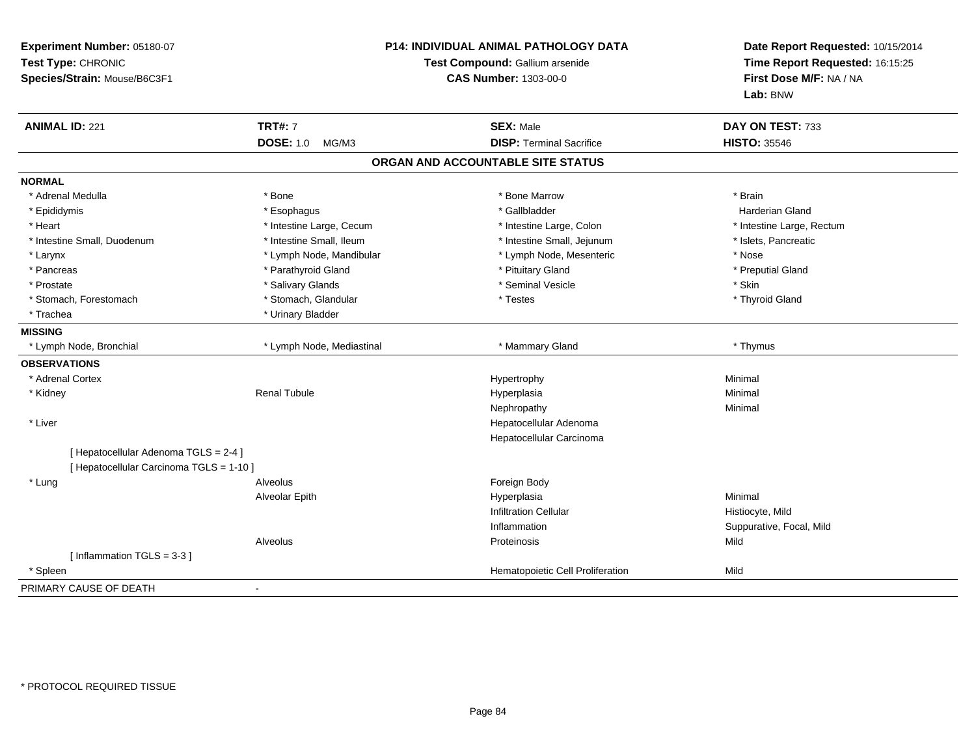| Experiment Number: 05180-07<br>Test Type: CHRONIC<br>Species/Strain: Mouse/B6C3F1 | <b>P14: INDIVIDUAL ANIMAL PATHOLOGY DATA</b><br>Test Compound: Gallium arsenide<br><b>CAS Number: 1303-00-0</b> |                                   | Date Report Requested: 10/15/2014<br>Time Report Requested: 16:15:25<br>First Dose M/F: NA / NA<br>Lab: BNW |
|-----------------------------------------------------------------------------------|-----------------------------------------------------------------------------------------------------------------|-----------------------------------|-------------------------------------------------------------------------------------------------------------|
| <b>ANIMAL ID: 221</b>                                                             | <b>TRT#: 7</b>                                                                                                  | <b>SEX: Male</b>                  | DAY ON TEST: 733                                                                                            |
|                                                                                   | <b>DOSE: 1.0</b><br>MG/M3                                                                                       | <b>DISP: Terminal Sacrifice</b>   | <b>HISTO: 35546</b>                                                                                         |
|                                                                                   |                                                                                                                 | ORGAN AND ACCOUNTABLE SITE STATUS |                                                                                                             |
| <b>NORMAL</b>                                                                     |                                                                                                                 |                                   |                                                                                                             |
| * Adrenal Medulla                                                                 | * Bone                                                                                                          | * Bone Marrow                     | * Brain                                                                                                     |
| * Epididymis                                                                      | * Esophagus                                                                                                     | * Gallbladder                     | <b>Harderian Gland</b>                                                                                      |
| * Heart                                                                           | * Intestine Large, Cecum                                                                                        | * Intestine Large, Colon          | * Intestine Large, Rectum                                                                                   |
| * Intestine Small, Duodenum                                                       | * Intestine Small, Ileum                                                                                        | * Intestine Small, Jejunum        | * Islets, Pancreatic                                                                                        |
| * Larynx                                                                          | * Lymph Node, Mandibular                                                                                        | * Lymph Node, Mesenteric          | * Nose                                                                                                      |
| * Pancreas                                                                        | * Parathyroid Gland                                                                                             | * Pituitary Gland                 | * Preputial Gland                                                                                           |
| * Prostate                                                                        | * Salivary Glands                                                                                               | * Seminal Vesicle                 | * Skin                                                                                                      |
| * Stomach, Forestomach                                                            | * Stomach, Glandular                                                                                            | * Testes                          | * Thyroid Gland                                                                                             |
| * Trachea                                                                         | * Urinary Bladder                                                                                               |                                   |                                                                                                             |
| <b>MISSING</b>                                                                    |                                                                                                                 |                                   |                                                                                                             |
| * Lymph Node, Bronchial                                                           | * Lymph Node, Mediastinal                                                                                       | * Mammary Gland                   | * Thymus                                                                                                    |
| <b>OBSERVATIONS</b>                                                               |                                                                                                                 |                                   |                                                                                                             |
| * Adrenal Cortex                                                                  |                                                                                                                 | Hypertrophy                       | Minimal                                                                                                     |
| * Kidney                                                                          | <b>Renal Tubule</b>                                                                                             | Hyperplasia                       | Minimal                                                                                                     |
|                                                                                   |                                                                                                                 | Nephropathy                       | Minimal                                                                                                     |
| * Liver                                                                           |                                                                                                                 | Hepatocellular Adenoma            |                                                                                                             |
|                                                                                   |                                                                                                                 | Hepatocellular Carcinoma          |                                                                                                             |
| [ Hepatocellular Adenoma TGLS = 2-4 ]                                             |                                                                                                                 |                                   |                                                                                                             |
| [ Hepatocellular Carcinoma TGLS = 1-10 ]                                          |                                                                                                                 |                                   |                                                                                                             |
| * Lung                                                                            | Alveolus                                                                                                        | Foreign Body                      |                                                                                                             |
|                                                                                   | Alveolar Epith                                                                                                  | Hyperplasia                       | Minimal                                                                                                     |
|                                                                                   |                                                                                                                 | <b>Infiltration Cellular</b>      | Histiocyte, Mild                                                                                            |
|                                                                                   |                                                                                                                 | Inflammation                      | Suppurative, Focal, Mild                                                                                    |
|                                                                                   | Alveolus                                                                                                        | Proteinosis                       | Mild                                                                                                        |
| [Inflammation TGLS = 3-3]                                                         |                                                                                                                 |                                   |                                                                                                             |
| * Spleen                                                                          |                                                                                                                 | Hematopoietic Cell Proliferation  | Mild                                                                                                        |
| PRIMARY CAUSE OF DEATH                                                            |                                                                                                                 |                                   |                                                                                                             |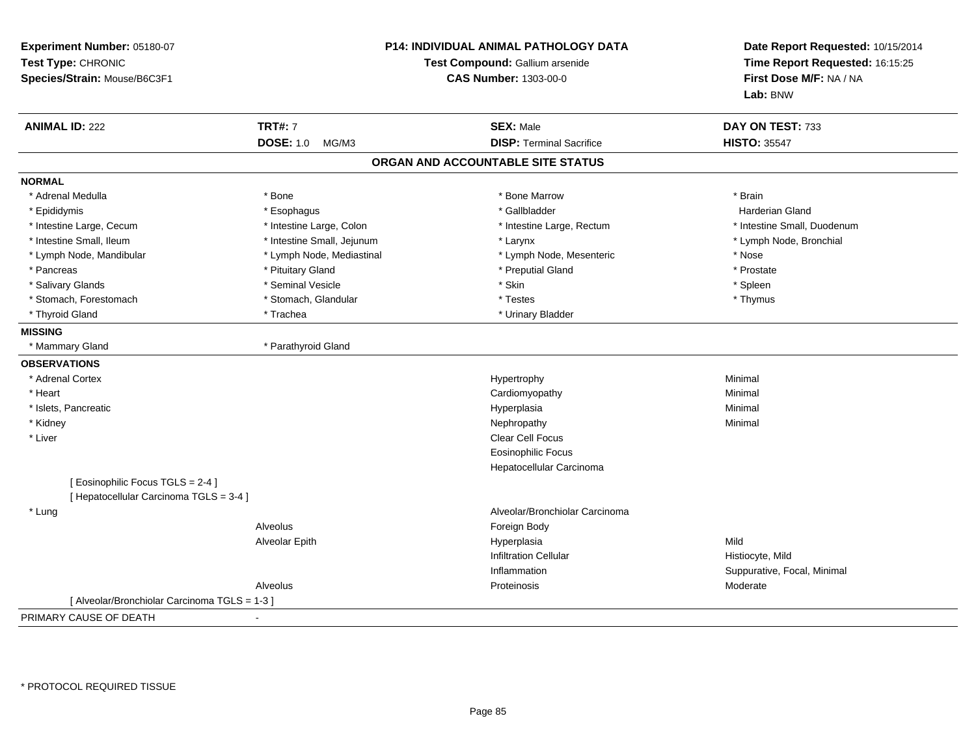| Experiment Number: 05180-07<br>Test Type: CHRONIC<br>Species/Strain: Mouse/B6C3F1 | <b>P14: INDIVIDUAL ANIMAL PATHOLOGY DATA</b><br>Test Compound: Gallium arsenide<br><b>CAS Number: 1303-00-0</b> |                                   | Date Report Requested: 10/15/2014<br>Time Report Requested: 16:15:25<br>First Dose M/F: NA / NA<br>Lab: BNW |
|-----------------------------------------------------------------------------------|-----------------------------------------------------------------------------------------------------------------|-----------------------------------|-------------------------------------------------------------------------------------------------------------|
| <b>ANIMAL ID: 222</b>                                                             | <b>TRT#: 7</b>                                                                                                  | <b>SEX: Male</b>                  | DAY ON TEST: 733                                                                                            |
|                                                                                   | <b>DOSE: 1.0</b><br>MG/M3                                                                                       | <b>DISP: Terminal Sacrifice</b>   | <b>HISTO: 35547</b>                                                                                         |
|                                                                                   |                                                                                                                 | ORGAN AND ACCOUNTABLE SITE STATUS |                                                                                                             |
| <b>NORMAL</b>                                                                     |                                                                                                                 |                                   |                                                                                                             |
| * Adrenal Medulla                                                                 | * Bone                                                                                                          | * Bone Marrow                     | * Brain                                                                                                     |
| * Epididymis                                                                      | * Esophagus                                                                                                     | * Gallbladder                     | <b>Harderian Gland</b>                                                                                      |
| * Intestine Large, Cecum                                                          | * Intestine Large, Colon                                                                                        | * Intestine Large, Rectum         | * Intestine Small, Duodenum                                                                                 |
| * Intestine Small, Ileum                                                          | * Intestine Small, Jejunum                                                                                      | * Larynx                          | * Lymph Node, Bronchial                                                                                     |
| * Lymph Node, Mandibular                                                          | * Lymph Node, Mediastinal                                                                                       | * Lymph Node, Mesenteric          | * Nose                                                                                                      |
| * Pancreas                                                                        | * Pituitary Gland                                                                                               | * Preputial Gland                 | * Prostate                                                                                                  |
| * Salivary Glands                                                                 | * Seminal Vesicle                                                                                               | * Skin                            | * Spleen                                                                                                    |
| * Stomach, Forestomach                                                            | * Stomach, Glandular                                                                                            | * Testes                          | * Thymus                                                                                                    |
| * Thyroid Gland                                                                   | * Trachea                                                                                                       | * Urinary Bladder                 |                                                                                                             |
| <b>MISSING</b>                                                                    |                                                                                                                 |                                   |                                                                                                             |
| * Mammary Gland                                                                   | * Parathyroid Gland                                                                                             |                                   |                                                                                                             |
| <b>OBSERVATIONS</b>                                                               |                                                                                                                 |                                   |                                                                                                             |
| * Adrenal Cortex                                                                  |                                                                                                                 | Hypertrophy                       | Minimal                                                                                                     |
| * Heart                                                                           |                                                                                                                 | Cardiomyopathy                    | Minimal                                                                                                     |
| * Islets, Pancreatic                                                              |                                                                                                                 | Hyperplasia                       | Minimal                                                                                                     |
| * Kidney                                                                          |                                                                                                                 | Nephropathy                       | Minimal                                                                                                     |
| * Liver                                                                           |                                                                                                                 | Clear Cell Focus                  |                                                                                                             |
|                                                                                   |                                                                                                                 | <b>Eosinophilic Focus</b>         |                                                                                                             |
|                                                                                   |                                                                                                                 | Hepatocellular Carcinoma          |                                                                                                             |
| [Eosinophilic Focus TGLS = 2-4]                                                   |                                                                                                                 |                                   |                                                                                                             |
| [ Hepatocellular Carcinoma TGLS = 3-4 ]                                           |                                                                                                                 |                                   |                                                                                                             |
| * Lung                                                                            |                                                                                                                 | Alveolar/Bronchiolar Carcinoma    |                                                                                                             |
|                                                                                   | Alveolus                                                                                                        | Foreign Body                      |                                                                                                             |
|                                                                                   | Alveolar Epith                                                                                                  | Hyperplasia                       | Mild                                                                                                        |
|                                                                                   |                                                                                                                 | <b>Infiltration Cellular</b>      | Histiocyte, Mild                                                                                            |
|                                                                                   |                                                                                                                 | Inflammation                      | Suppurative, Focal, Minimal                                                                                 |
|                                                                                   | Alveolus                                                                                                        | Proteinosis                       | Moderate                                                                                                    |
| [ Alveolar/Bronchiolar Carcinoma TGLS = 1-3 ]                                     |                                                                                                                 |                                   |                                                                                                             |
| PRIMARY CAUSE OF DEATH                                                            |                                                                                                                 |                                   |                                                                                                             |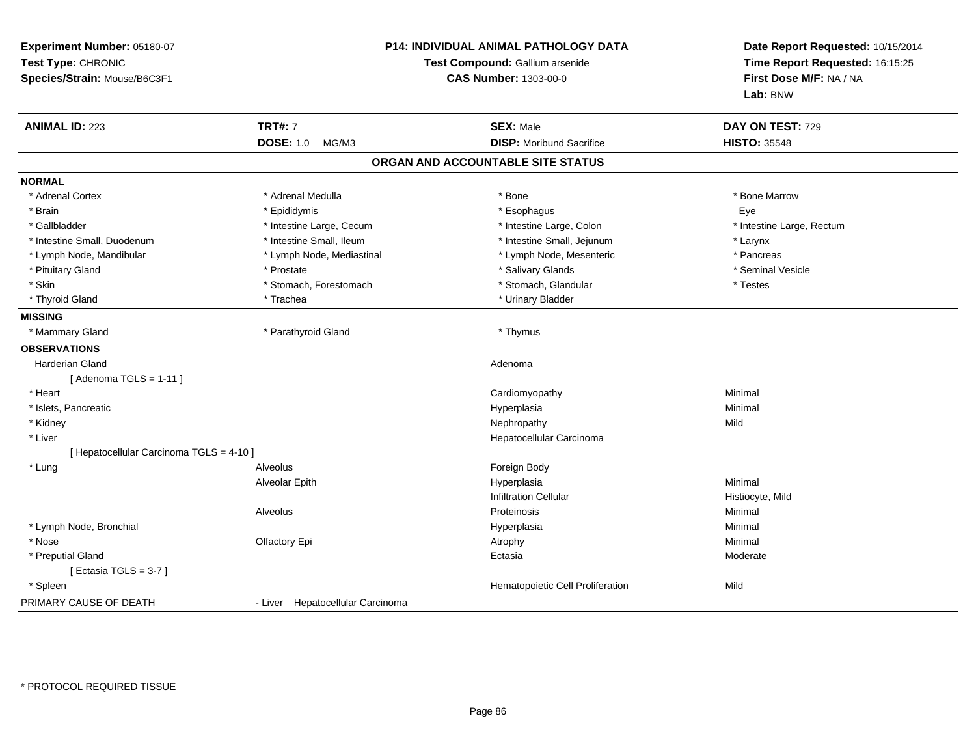| Experiment Number: 05180-07<br>Test Type: CHRONIC<br>Species/Strain: Mouse/B6C3F1 | <b>P14: INDIVIDUAL ANIMAL PATHOLOGY DATA</b><br>Test Compound: Gallium arsenide<br><b>CAS Number: 1303-00-0</b> |                                   | Date Report Requested: 10/15/2014<br>Time Report Requested: 16:15:25<br>First Dose M/F: NA / NA<br>Lab: BNW |
|-----------------------------------------------------------------------------------|-----------------------------------------------------------------------------------------------------------------|-----------------------------------|-------------------------------------------------------------------------------------------------------------|
| <b>ANIMAL ID: 223</b>                                                             | <b>TRT#: 7</b>                                                                                                  | <b>SEX: Male</b>                  | DAY ON TEST: 729                                                                                            |
|                                                                                   | <b>DOSE: 1.0</b><br>MG/M3                                                                                       | <b>DISP:</b> Moribund Sacrifice   | <b>HISTO: 35548</b>                                                                                         |
|                                                                                   |                                                                                                                 | ORGAN AND ACCOUNTABLE SITE STATUS |                                                                                                             |
| <b>NORMAL</b>                                                                     |                                                                                                                 |                                   |                                                                                                             |
| * Adrenal Cortex                                                                  | * Adrenal Medulla                                                                                               | * Bone                            | * Bone Marrow                                                                                               |
| * Brain                                                                           | * Epididymis                                                                                                    | * Esophagus                       | Eye                                                                                                         |
| * Gallbladder                                                                     | * Intestine Large, Cecum                                                                                        | * Intestine Large, Colon          | * Intestine Large, Rectum                                                                                   |
| * Intestine Small, Duodenum                                                       | * Intestine Small, Ileum                                                                                        | * Intestine Small, Jejunum        | * Larynx                                                                                                    |
| * Lymph Node, Mandibular                                                          | * Lymph Node, Mediastinal                                                                                       | * Lymph Node, Mesenteric          | * Pancreas                                                                                                  |
| * Pituitary Gland                                                                 | * Prostate                                                                                                      | * Salivary Glands                 | * Seminal Vesicle                                                                                           |
| * Skin                                                                            | * Stomach, Forestomach                                                                                          | * Stomach, Glandular              | * Testes                                                                                                    |
| * Thyroid Gland                                                                   | * Trachea                                                                                                       | * Urinary Bladder                 |                                                                                                             |
| <b>MISSING</b>                                                                    |                                                                                                                 |                                   |                                                                                                             |
| * Mammary Gland                                                                   | * Parathyroid Gland                                                                                             | * Thymus                          |                                                                                                             |
| <b>OBSERVATIONS</b>                                                               |                                                                                                                 |                                   |                                                                                                             |
| Harderian Gland                                                                   |                                                                                                                 | Adenoma                           |                                                                                                             |
| [Adenoma TGLS = $1-11$ ]                                                          |                                                                                                                 |                                   |                                                                                                             |
| * Heart                                                                           |                                                                                                                 | Cardiomyopathy                    | Minimal                                                                                                     |
| * Islets, Pancreatic                                                              |                                                                                                                 | Hyperplasia                       | Minimal                                                                                                     |
| * Kidney                                                                          |                                                                                                                 | Nephropathy                       | Mild                                                                                                        |
| * Liver                                                                           |                                                                                                                 | Hepatocellular Carcinoma          |                                                                                                             |
| [ Hepatocellular Carcinoma TGLS = 4-10 ]                                          |                                                                                                                 |                                   |                                                                                                             |
| * Lung                                                                            | Alveolus                                                                                                        | Foreign Body                      |                                                                                                             |
|                                                                                   | <b>Alveolar Epith</b>                                                                                           | Hyperplasia                       | Minimal                                                                                                     |
|                                                                                   |                                                                                                                 | <b>Infiltration Cellular</b>      | Histiocyte, Mild                                                                                            |
|                                                                                   | Alveolus                                                                                                        | Proteinosis                       | Minimal                                                                                                     |
| * Lymph Node, Bronchial                                                           |                                                                                                                 | Hyperplasia                       | Minimal                                                                                                     |
| * Nose                                                                            | Olfactory Epi                                                                                                   | Atrophy                           | Minimal                                                                                                     |
| * Preputial Gland                                                                 |                                                                                                                 | Ectasia                           | Moderate                                                                                                    |
| [ Ectasia TGLS = $3-7$ ]                                                          |                                                                                                                 |                                   |                                                                                                             |
| * Spleen                                                                          |                                                                                                                 | Hematopoietic Cell Proliferation  | Mild                                                                                                        |
| PRIMARY CAUSE OF DEATH                                                            | - Liver Hepatocellular Carcinoma                                                                                |                                   |                                                                                                             |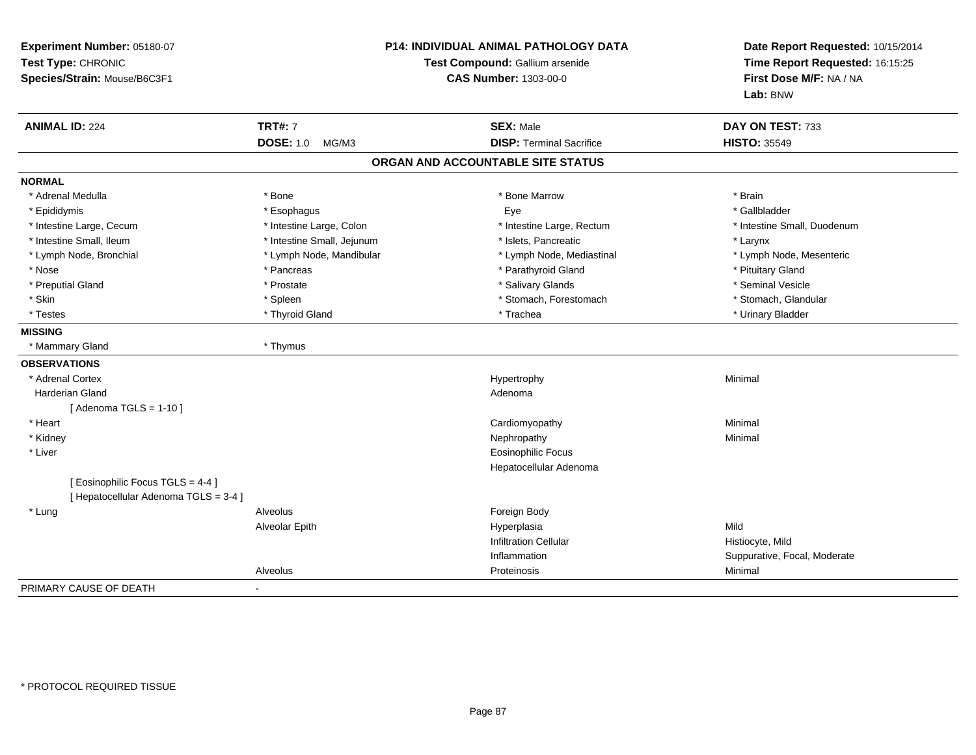| Test Type: CHRONIC<br>Species/Strain: Mouse/B6C3F1                         | <b>P14: INDIVIDUAL ANIMAL PATHOLOGY DATA</b><br>Test Compound: Gallium arsenide<br><b>CAS Number: 1303-00-0</b> |                                   | Date Report Requested: 10/15/2014<br>Time Report Requested: 16:15:25<br>First Dose M/F: NA / NA<br>Lab: BNW |
|----------------------------------------------------------------------------|-----------------------------------------------------------------------------------------------------------------|-----------------------------------|-------------------------------------------------------------------------------------------------------------|
| <b>ANIMAL ID: 224</b>                                                      | <b>TRT#: 7</b>                                                                                                  | <b>SEX: Male</b>                  | DAY ON TEST: 733                                                                                            |
|                                                                            | <b>DOSE: 1.0</b><br>MG/M3                                                                                       | <b>DISP: Terminal Sacrifice</b>   | <b>HISTO: 35549</b>                                                                                         |
|                                                                            |                                                                                                                 | ORGAN AND ACCOUNTABLE SITE STATUS |                                                                                                             |
| <b>NORMAL</b>                                                              |                                                                                                                 |                                   |                                                                                                             |
| * Adrenal Medulla                                                          | * Bone                                                                                                          | * Bone Marrow                     | * Brain                                                                                                     |
| * Epididymis                                                               | * Esophagus                                                                                                     | Eye                               | * Gallbladder                                                                                               |
| * Intestine Large, Cecum                                                   | * Intestine Large, Colon                                                                                        | * Intestine Large, Rectum         | * Intestine Small, Duodenum                                                                                 |
| * Intestine Small, Ileum                                                   | * Intestine Small, Jejunum                                                                                      | * Islets, Pancreatic              | * Larynx                                                                                                    |
| * Lymph Node, Bronchial                                                    | * Lymph Node, Mandibular                                                                                        | * Lymph Node, Mediastinal         | * Lymph Node, Mesenteric                                                                                    |
| * Nose                                                                     | * Pancreas                                                                                                      | * Parathyroid Gland               | * Pituitary Gland                                                                                           |
| * Preputial Gland                                                          | * Prostate                                                                                                      | * Salivary Glands                 | * Seminal Vesicle                                                                                           |
| * Skin                                                                     | * Spleen                                                                                                        | * Stomach, Forestomach            | * Stomach, Glandular                                                                                        |
| * Testes                                                                   | * Thyroid Gland                                                                                                 | * Trachea                         | * Urinary Bladder                                                                                           |
| <b>MISSING</b>                                                             |                                                                                                                 |                                   |                                                                                                             |
| * Mammary Gland                                                            | * Thymus                                                                                                        |                                   |                                                                                                             |
| <b>OBSERVATIONS</b>                                                        |                                                                                                                 |                                   |                                                                                                             |
| * Adrenal Cortex                                                           |                                                                                                                 | Hypertrophy                       | Minimal                                                                                                     |
| <b>Harderian Gland</b>                                                     |                                                                                                                 | Adenoma                           |                                                                                                             |
| [Adenoma TGLS = $1-10$ ]                                                   |                                                                                                                 |                                   |                                                                                                             |
| * Heart                                                                    |                                                                                                                 | Cardiomyopathy                    | Minimal                                                                                                     |
| * Kidney                                                                   |                                                                                                                 | Nephropathy                       | Minimal                                                                                                     |
| * Liver                                                                    |                                                                                                                 | <b>Eosinophilic Focus</b>         |                                                                                                             |
|                                                                            |                                                                                                                 | Hepatocellular Adenoma            |                                                                                                             |
| [ Eosinophilic Focus TGLS = 4-4 ]<br>[ Hepatocellular Adenoma TGLS = 3-4 ] |                                                                                                                 |                                   |                                                                                                             |
| * Lung                                                                     | Alveolus                                                                                                        | Foreign Body                      |                                                                                                             |
|                                                                            | Alveolar Epith                                                                                                  | Hyperplasia                       | Mild                                                                                                        |
|                                                                            |                                                                                                                 | <b>Infiltration Cellular</b>      | Histiocyte, Mild                                                                                            |
|                                                                            |                                                                                                                 | Inflammation                      | Suppurative, Focal, Moderate                                                                                |
|                                                                            | Alveolus                                                                                                        | Proteinosis                       | Minimal                                                                                                     |
| PRIMARY CAUSE OF DEATH                                                     |                                                                                                                 |                                   |                                                                                                             |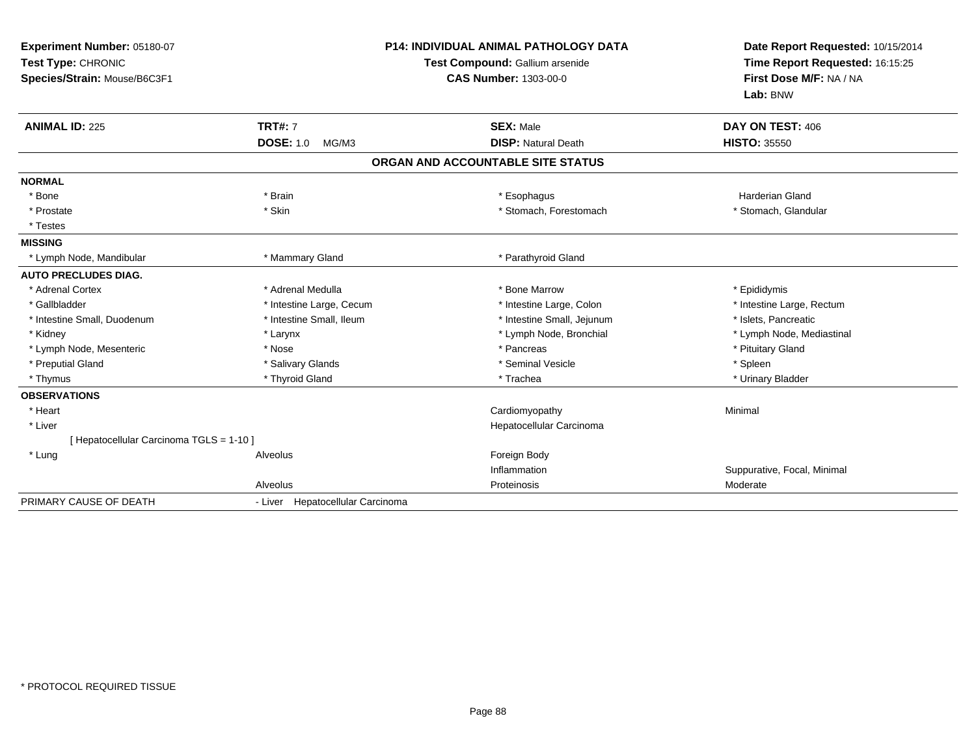| Experiment Number: 05180-07<br>Test Type: CHRONIC<br>Species/Strain: Mouse/B6C3F1<br><b>ANIMAL ID: 225</b> | <b>TRT#: 7</b><br><b>DOSE: 1.0</b><br>MG/M3 | <b>P14: INDIVIDUAL ANIMAL PATHOLOGY DATA</b><br>Test Compound: Gallium arsenide<br><b>CAS Number: 1303-00-0</b><br><b>SEX: Male</b><br><b>DISP: Natural Death</b> | Date Report Requested: 10/15/2014<br>Time Report Requested: 16:15:25<br>First Dose M/F: NA / NA<br>Lab: BNW<br>DAY ON TEST: 406<br><b>HISTO: 35550</b> |
|------------------------------------------------------------------------------------------------------------|---------------------------------------------|-------------------------------------------------------------------------------------------------------------------------------------------------------------------|--------------------------------------------------------------------------------------------------------------------------------------------------------|
|                                                                                                            |                                             | ORGAN AND ACCOUNTABLE SITE STATUS                                                                                                                                 |                                                                                                                                                        |
| <b>NORMAL</b>                                                                                              |                                             |                                                                                                                                                                   |                                                                                                                                                        |
| * Bone                                                                                                     | * Brain                                     | * Esophagus                                                                                                                                                       | <b>Harderian Gland</b>                                                                                                                                 |
| * Prostate                                                                                                 | * Skin                                      | * Stomach, Forestomach                                                                                                                                            | * Stomach, Glandular                                                                                                                                   |
| * Testes                                                                                                   |                                             |                                                                                                                                                                   |                                                                                                                                                        |
| <b>MISSING</b>                                                                                             |                                             |                                                                                                                                                                   |                                                                                                                                                        |
| * Lymph Node, Mandibular                                                                                   | * Mammary Gland                             | * Parathyroid Gland                                                                                                                                               |                                                                                                                                                        |
| <b>AUTO PRECLUDES DIAG.</b>                                                                                |                                             |                                                                                                                                                                   |                                                                                                                                                        |
| * Adrenal Cortex                                                                                           | * Adrenal Medulla                           | * Bone Marrow                                                                                                                                                     | * Epididymis                                                                                                                                           |
| * Gallbladder                                                                                              | * Intestine Large, Cecum                    | * Intestine Large, Colon                                                                                                                                          | * Intestine Large, Rectum                                                                                                                              |
| * Intestine Small, Duodenum                                                                                | * Intestine Small, Ileum                    | * Intestine Small, Jejunum                                                                                                                                        | * Islets, Pancreatic                                                                                                                                   |
| * Kidney                                                                                                   | * Larynx                                    | * Lymph Node, Bronchial                                                                                                                                           | * Lymph Node, Mediastinal                                                                                                                              |
| * Lymph Node, Mesenteric                                                                                   | * Nose                                      | * Pancreas                                                                                                                                                        | * Pituitary Gland                                                                                                                                      |
| * Preputial Gland                                                                                          | * Salivary Glands                           | * Seminal Vesicle                                                                                                                                                 | * Spleen                                                                                                                                               |
| * Thymus                                                                                                   | * Thyroid Gland                             | * Trachea                                                                                                                                                         | * Urinary Bladder                                                                                                                                      |
| <b>OBSERVATIONS</b>                                                                                        |                                             |                                                                                                                                                                   |                                                                                                                                                        |
| * Heart                                                                                                    |                                             | Cardiomyopathy                                                                                                                                                    | Minimal                                                                                                                                                |
| * Liver                                                                                                    |                                             | Hepatocellular Carcinoma                                                                                                                                          |                                                                                                                                                        |
| [ Hepatocellular Carcinoma TGLS = 1-10 ]                                                                   |                                             |                                                                                                                                                                   |                                                                                                                                                        |
| * Lung                                                                                                     | Alveolus                                    | Foreign Body                                                                                                                                                      |                                                                                                                                                        |
|                                                                                                            |                                             | Inflammation                                                                                                                                                      | Suppurative, Focal, Minimal                                                                                                                            |
|                                                                                                            | Alveolus                                    | Proteinosis                                                                                                                                                       | Moderate                                                                                                                                               |
| PRIMARY CAUSE OF DEATH                                                                                     | - Liver Hepatocellular Carcinoma            |                                                                                                                                                                   |                                                                                                                                                        |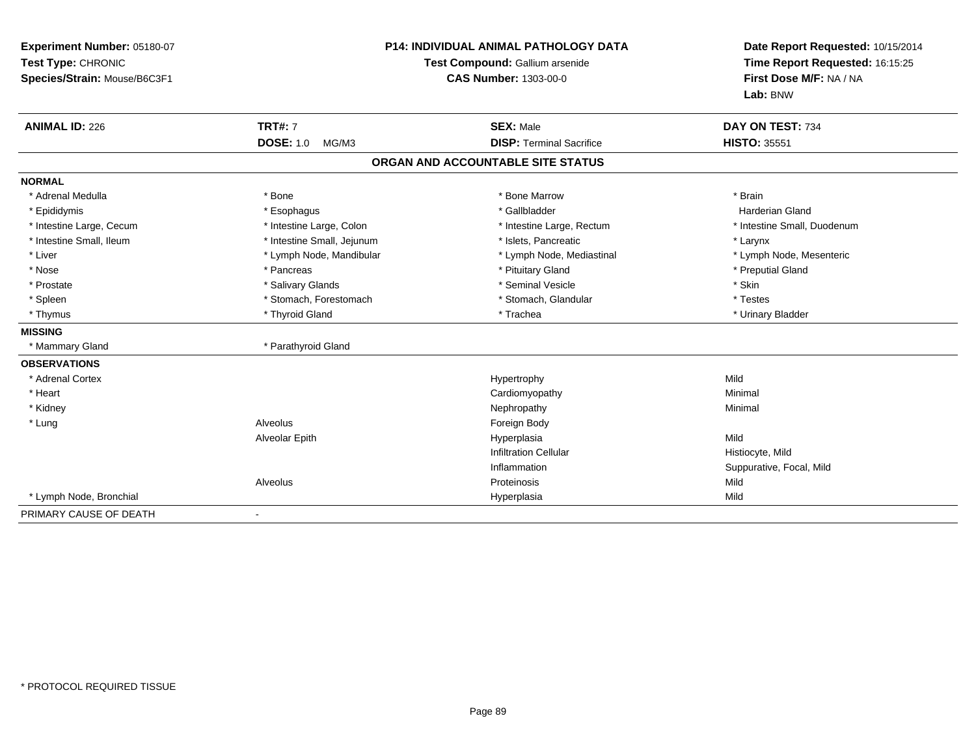| Experiment Number: 05180-07<br>Test Type: CHRONIC<br>Species/Strain: Mouse/B6C3F1 | <b>P14: INDIVIDUAL ANIMAL PATHOLOGY DATA</b><br>Test Compound: Gallium arsenide<br><b>CAS Number: 1303-00-0</b> |                                   | Date Report Requested: 10/15/2014<br>Time Report Requested: 16:15:25<br>First Dose M/F: NA / NA<br>Lab: BNW |
|-----------------------------------------------------------------------------------|-----------------------------------------------------------------------------------------------------------------|-----------------------------------|-------------------------------------------------------------------------------------------------------------|
| <b>ANIMAL ID: 226</b>                                                             | <b>TRT#: 7</b>                                                                                                  | <b>SEX: Male</b>                  | DAY ON TEST: 734                                                                                            |
|                                                                                   | <b>DOSE: 1.0</b><br>MG/M3                                                                                       | <b>DISP: Terminal Sacrifice</b>   | <b>HISTO: 35551</b>                                                                                         |
|                                                                                   |                                                                                                                 | ORGAN AND ACCOUNTABLE SITE STATUS |                                                                                                             |
| <b>NORMAL</b>                                                                     |                                                                                                                 |                                   |                                                                                                             |
| * Adrenal Medulla                                                                 | * Bone                                                                                                          | * Bone Marrow                     | * Brain                                                                                                     |
| * Epididymis                                                                      | * Esophagus                                                                                                     | * Gallbladder                     | <b>Harderian Gland</b>                                                                                      |
| * Intestine Large, Cecum                                                          | * Intestine Large, Colon                                                                                        | * Intestine Large, Rectum         | * Intestine Small, Duodenum                                                                                 |
| * Intestine Small, Ileum                                                          | * Intestine Small, Jejunum                                                                                      | * Islets. Pancreatic              | * Larynx                                                                                                    |
| * Liver                                                                           | * Lymph Node, Mandibular                                                                                        | * Lymph Node, Mediastinal         | * Lymph Node, Mesenteric                                                                                    |
| * Nose                                                                            | * Pancreas                                                                                                      | * Pituitary Gland                 | * Preputial Gland                                                                                           |
| * Prostate                                                                        | * Salivary Glands                                                                                               | * Seminal Vesicle                 | * Skin                                                                                                      |
| * Spleen                                                                          | * Stomach, Forestomach                                                                                          | * Stomach, Glandular              | * Testes                                                                                                    |
| * Thymus                                                                          | * Thyroid Gland                                                                                                 | * Trachea                         | * Urinary Bladder                                                                                           |
| <b>MISSING</b>                                                                    |                                                                                                                 |                                   |                                                                                                             |
| * Mammary Gland                                                                   | * Parathyroid Gland                                                                                             |                                   |                                                                                                             |
| <b>OBSERVATIONS</b>                                                               |                                                                                                                 |                                   |                                                                                                             |
| * Adrenal Cortex                                                                  |                                                                                                                 | Hypertrophy                       | Mild                                                                                                        |
| * Heart                                                                           |                                                                                                                 | Cardiomyopathy                    | Minimal                                                                                                     |
| * Kidney                                                                          |                                                                                                                 | Nephropathy                       | Minimal                                                                                                     |
| * Lung                                                                            | Alveolus                                                                                                        | Foreign Body                      |                                                                                                             |
|                                                                                   | Alveolar Epith                                                                                                  | Hyperplasia                       | Mild                                                                                                        |
|                                                                                   |                                                                                                                 | <b>Infiltration Cellular</b>      | Histiocyte, Mild                                                                                            |
|                                                                                   |                                                                                                                 | Inflammation                      | Suppurative, Focal, Mild                                                                                    |
|                                                                                   | Alveolus                                                                                                        | Proteinosis                       | Mild                                                                                                        |
| * Lymph Node, Bronchial                                                           |                                                                                                                 | Hyperplasia                       | Mild                                                                                                        |
| PRIMARY CAUSE OF DEATH                                                            |                                                                                                                 |                                   |                                                                                                             |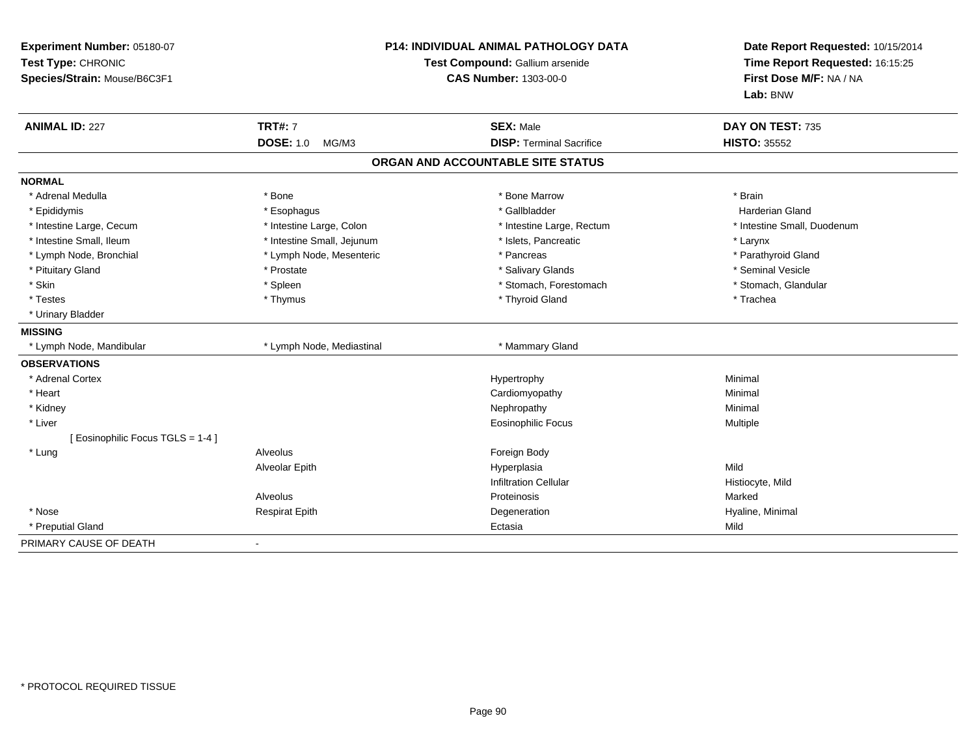| Experiment Number: 05180-07<br>Test Type: CHRONIC<br>Species/Strain: Mouse/B6C3F1 | P14: INDIVIDUAL ANIMAL PATHOLOGY DATA<br>Test Compound: Gallium arsenide<br><b>CAS Number: 1303-00-0</b> |                                                     | Date Report Requested: 10/15/2014<br>Time Report Requested: 16:15:25<br>First Dose M/F: NA / NA<br>Lab: BNW |
|-----------------------------------------------------------------------------------|----------------------------------------------------------------------------------------------------------|-----------------------------------------------------|-------------------------------------------------------------------------------------------------------------|
| <b>ANIMAL ID: 227</b>                                                             | <b>TRT#: 7</b><br><b>DOSE: 1.0</b><br>MG/M3                                                              | <b>SEX: Male</b><br><b>DISP: Terminal Sacrifice</b> | DAY ON TEST: 735<br><b>HISTO: 35552</b>                                                                     |
|                                                                                   |                                                                                                          |                                                     |                                                                                                             |
|                                                                                   |                                                                                                          | ORGAN AND ACCOUNTABLE SITE STATUS                   |                                                                                                             |
| <b>NORMAL</b>                                                                     |                                                                                                          |                                                     |                                                                                                             |
| * Adrenal Medulla                                                                 | * Bone                                                                                                   | * Bone Marrow                                       | * Brain                                                                                                     |
| * Epididymis                                                                      | * Esophagus                                                                                              | * Gallbladder                                       | <b>Harderian Gland</b>                                                                                      |
| * Intestine Large, Cecum                                                          | * Intestine Large, Colon                                                                                 | * Intestine Large, Rectum                           | * Intestine Small, Duodenum                                                                                 |
| * Intestine Small, Ileum                                                          | * Intestine Small, Jejunum                                                                               | * Islets, Pancreatic                                | * Larynx                                                                                                    |
| * Lymph Node, Bronchial                                                           | * Lymph Node, Mesenteric                                                                                 | * Pancreas                                          | * Parathyroid Gland                                                                                         |
| * Pituitary Gland                                                                 | * Prostate                                                                                               | * Salivary Glands                                   | * Seminal Vesicle                                                                                           |
| * Skin                                                                            | * Spleen                                                                                                 | * Stomach, Forestomach                              | * Stomach, Glandular                                                                                        |
| * Testes                                                                          | * Thymus                                                                                                 | * Thyroid Gland                                     | * Trachea                                                                                                   |
| * Urinary Bladder                                                                 |                                                                                                          |                                                     |                                                                                                             |
| <b>MISSING</b>                                                                    |                                                                                                          |                                                     |                                                                                                             |
| * Lymph Node, Mandibular                                                          | * Lymph Node, Mediastinal                                                                                | * Mammary Gland                                     |                                                                                                             |
| <b>OBSERVATIONS</b>                                                               |                                                                                                          |                                                     |                                                                                                             |
| * Adrenal Cortex                                                                  |                                                                                                          | Hypertrophy                                         | Minimal                                                                                                     |
| * Heart                                                                           |                                                                                                          | Cardiomyopathy                                      | Minimal                                                                                                     |
| * Kidney                                                                          |                                                                                                          | Nephropathy                                         | Minimal                                                                                                     |
| * Liver                                                                           |                                                                                                          | <b>Eosinophilic Focus</b>                           | Multiple                                                                                                    |
| [ Eosinophilic Focus TGLS = 1-4 ]                                                 |                                                                                                          |                                                     |                                                                                                             |
| * Lung                                                                            | Alveolus                                                                                                 | Foreign Body                                        |                                                                                                             |
|                                                                                   | Alveolar Epith                                                                                           | Hyperplasia                                         | Mild                                                                                                        |
|                                                                                   |                                                                                                          | <b>Infiltration Cellular</b>                        | Histiocyte, Mild                                                                                            |
|                                                                                   | Alveolus                                                                                                 | Proteinosis                                         | Marked                                                                                                      |
| * Nose                                                                            | <b>Respirat Epith</b>                                                                                    | Degeneration                                        | Hyaline, Minimal                                                                                            |
| * Preputial Gland                                                                 |                                                                                                          | Ectasia                                             | Mild                                                                                                        |
| PRIMARY CAUSE OF DEATH                                                            |                                                                                                          |                                                     |                                                                                                             |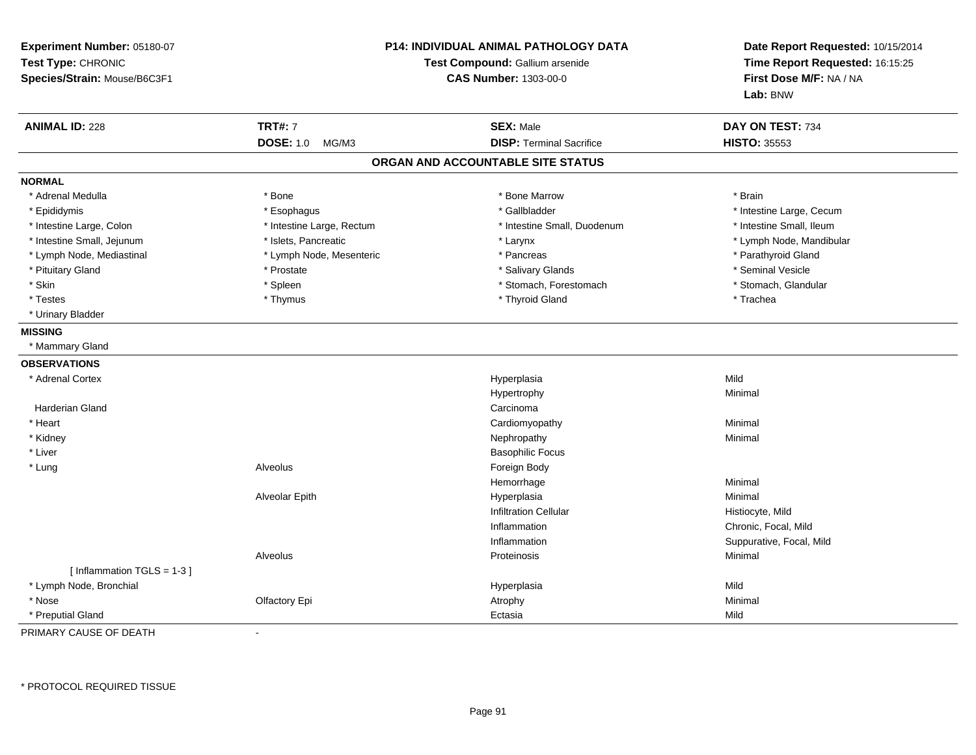| Experiment Number: 05180-07<br>Test Type: CHRONIC<br>Species/Strain: Mouse/B6C3F1 | P14: INDIVIDUAL ANIMAL PATHOLOGY DATA<br>Test Compound: Gallium arsenide<br><b>CAS Number: 1303-00-0</b> |                                   | Date Report Requested: 10/15/2014<br>Time Report Requested: 16:15:25<br>First Dose M/F: NA / NA<br>Lab: BNW |
|-----------------------------------------------------------------------------------|----------------------------------------------------------------------------------------------------------|-----------------------------------|-------------------------------------------------------------------------------------------------------------|
| <b>ANIMAL ID: 228</b>                                                             | <b>TRT#: 7</b>                                                                                           | <b>SEX: Male</b>                  | DAY ON TEST: 734                                                                                            |
|                                                                                   | <b>DOSE: 1.0</b><br>MG/M3                                                                                | <b>DISP: Terminal Sacrifice</b>   | <b>HISTO: 35553</b>                                                                                         |
|                                                                                   |                                                                                                          | ORGAN AND ACCOUNTABLE SITE STATUS |                                                                                                             |
| <b>NORMAL</b>                                                                     |                                                                                                          |                                   |                                                                                                             |
| * Adrenal Medulla                                                                 | * Bone                                                                                                   | * Bone Marrow                     | * Brain                                                                                                     |
| * Epididymis                                                                      | * Esophagus                                                                                              | * Gallbladder                     | * Intestine Large, Cecum                                                                                    |
| * Intestine Large, Colon                                                          | * Intestine Large, Rectum                                                                                | * Intestine Small, Duodenum       | * Intestine Small, Ileum                                                                                    |
| * Intestine Small, Jejunum                                                        | * Islets, Pancreatic                                                                                     | * Larynx                          | * Lymph Node, Mandibular                                                                                    |
| * Lymph Node, Mediastinal                                                         | * Lymph Node, Mesenteric                                                                                 | * Pancreas                        | * Parathyroid Gland                                                                                         |
| * Pituitary Gland                                                                 | * Prostate                                                                                               | * Salivary Glands                 | * Seminal Vesicle                                                                                           |
| * Skin                                                                            | * Spleen                                                                                                 | * Stomach, Forestomach            | * Stomach, Glandular                                                                                        |
| * Testes                                                                          | * Thymus                                                                                                 | * Thyroid Gland                   | * Trachea                                                                                                   |
| * Urinary Bladder                                                                 |                                                                                                          |                                   |                                                                                                             |
| <b>MISSING</b>                                                                    |                                                                                                          |                                   |                                                                                                             |
| * Mammary Gland                                                                   |                                                                                                          |                                   |                                                                                                             |
| <b>OBSERVATIONS</b>                                                               |                                                                                                          |                                   |                                                                                                             |
| * Adrenal Cortex                                                                  |                                                                                                          | Hyperplasia                       | Mild                                                                                                        |
|                                                                                   |                                                                                                          | Hypertrophy                       | Minimal                                                                                                     |
| Harderian Gland                                                                   |                                                                                                          | Carcinoma                         |                                                                                                             |
| * Heart                                                                           |                                                                                                          | Cardiomyopathy                    | Minimal                                                                                                     |
| * Kidney                                                                          |                                                                                                          | Nephropathy                       | Minimal                                                                                                     |
| * Liver                                                                           |                                                                                                          | <b>Basophilic Focus</b>           |                                                                                                             |
| * Lung                                                                            | Alveolus                                                                                                 | Foreign Body                      |                                                                                                             |
|                                                                                   |                                                                                                          | Hemorrhage                        | Minimal                                                                                                     |
|                                                                                   | Alveolar Epith                                                                                           | Hyperplasia                       | Minimal                                                                                                     |
|                                                                                   |                                                                                                          | Infiltration Cellular             | Histiocyte, Mild                                                                                            |
|                                                                                   |                                                                                                          | Inflammation                      | Chronic, Focal, Mild                                                                                        |
|                                                                                   |                                                                                                          | Inflammation                      | Suppurative, Focal, Mild                                                                                    |
|                                                                                   | Alveolus                                                                                                 | Proteinosis                       | Minimal                                                                                                     |
| [Inflammation TGLS = 1-3]                                                         |                                                                                                          |                                   |                                                                                                             |
| * Lymph Node, Bronchial                                                           |                                                                                                          | Hyperplasia                       | Mild                                                                                                        |
| * Nose                                                                            | Olfactory Epi                                                                                            | Atrophy                           | Minimal                                                                                                     |
| * Preputial Gland                                                                 |                                                                                                          | Ectasia                           | Mild                                                                                                        |

PRIMARY CAUSE OF DEATH-

\* PROTOCOL REQUIRED TISSUE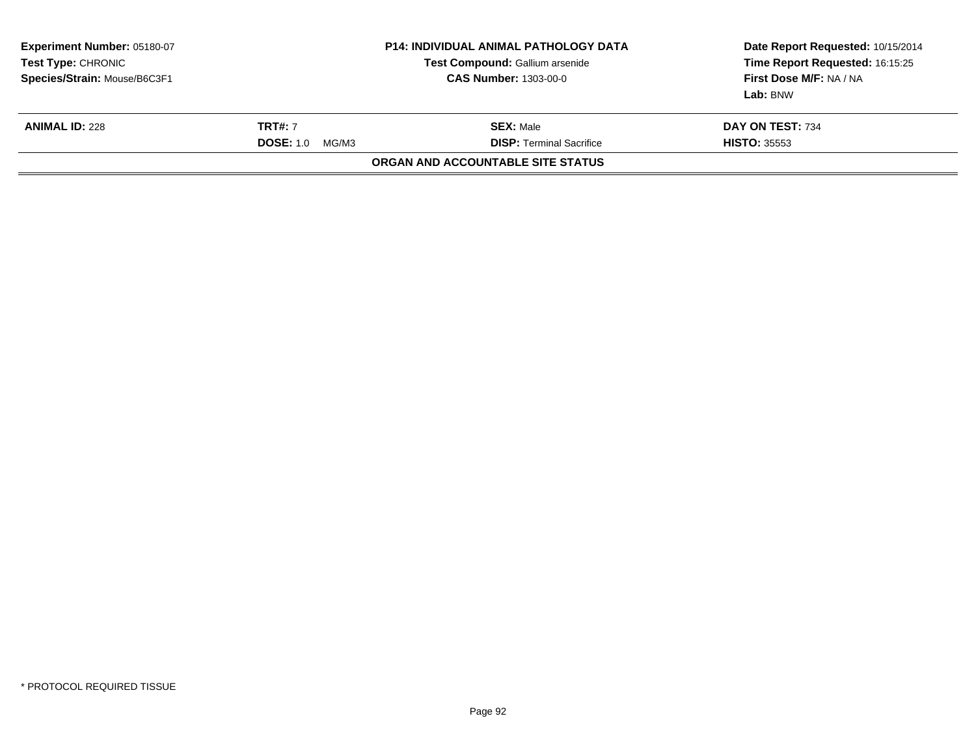| Experiment Number: 05180-07<br><b>Test Type: CHRONIC</b><br>Species/Strain: Mouse/B6C3F1 |                                             | <b>P14: INDIVIDUAL ANIMAL PATHOLOGY DATA</b><br>Test Compound: Gallium arsenide<br><b>CAS Number: 1303-00-0</b> | Date Report Requested: 10/15/2014<br>Time Report Requested: 16:15:25<br>First Dose M/F: NA / NA<br>Lab: BNW |
|------------------------------------------------------------------------------------------|---------------------------------------------|-----------------------------------------------------------------------------------------------------------------|-------------------------------------------------------------------------------------------------------------|
| <b>ANIMAL ID: 228</b>                                                                    | <b>TRT#: 7</b><br><b>DOSE: 1.0</b><br>MG/M3 | <b>SEX: Male</b><br><b>DISP: Terminal Sacrifice</b>                                                             | DAY ON TEST: 734<br><b>HISTO: 35553</b>                                                                     |
|                                                                                          |                                             | ORGAN AND ACCOUNTABLE SITE STATUS                                                                               |                                                                                                             |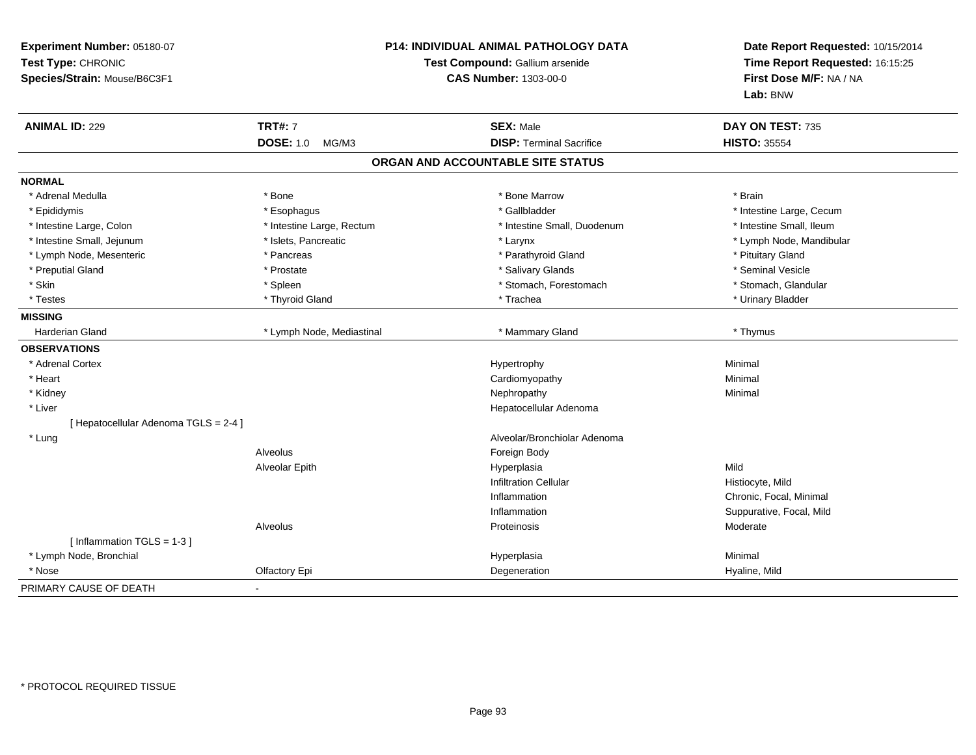| Experiment Number: 05180-07<br>Test Type: CHRONIC<br>Species/Strain: Mouse/B6C3F1 |                           | <b>P14: INDIVIDUAL ANIMAL PATHOLOGY DATA</b><br>Test Compound: Gallium arsenide<br><b>CAS Number: 1303-00-0</b> | Date Report Requested: 10/15/2014<br>Time Report Requested: 16:15:25<br>First Dose M/F: NA / NA<br>Lab: BNW |
|-----------------------------------------------------------------------------------|---------------------------|-----------------------------------------------------------------------------------------------------------------|-------------------------------------------------------------------------------------------------------------|
| <b>ANIMAL ID: 229</b>                                                             | <b>TRT#: 7</b>            | <b>SEX: Male</b>                                                                                                | DAY ON TEST: 735                                                                                            |
|                                                                                   | <b>DOSE: 1.0</b><br>MG/M3 | <b>DISP: Terminal Sacrifice</b>                                                                                 | <b>HISTO: 35554</b>                                                                                         |
|                                                                                   |                           | ORGAN AND ACCOUNTABLE SITE STATUS                                                                               |                                                                                                             |
| <b>NORMAL</b>                                                                     |                           |                                                                                                                 |                                                                                                             |
| * Adrenal Medulla                                                                 | * Bone                    | * Bone Marrow                                                                                                   | * Brain                                                                                                     |
| * Epididymis                                                                      | * Esophagus               | * Gallbladder                                                                                                   | * Intestine Large, Cecum                                                                                    |
| * Intestine Large, Colon                                                          | * Intestine Large, Rectum | * Intestine Small, Duodenum                                                                                     | * Intestine Small, Ileum                                                                                    |
| * Intestine Small, Jejunum                                                        | * Islets, Pancreatic      | * Larynx                                                                                                        | * Lymph Node, Mandibular                                                                                    |
| * Lymph Node, Mesenteric                                                          | * Pancreas                | * Parathyroid Gland                                                                                             | * Pituitary Gland                                                                                           |
| * Preputial Gland                                                                 | * Prostate                | * Salivary Glands                                                                                               | * Seminal Vesicle                                                                                           |
| * Skin                                                                            | * Spleen                  | * Stomach, Forestomach                                                                                          | * Stomach, Glandular                                                                                        |
| * Testes                                                                          | * Thyroid Gland           | * Trachea                                                                                                       | * Urinary Bladder                                                                                           |
| <b>MISSING</b>                                                                    |                           |                                                                                                                 |                                                                                                             |
| Harderian Gland                                                                   | * Lymph Node, Mediastinal | * Mammary Gland                                                                                                 | * Thymus                                                                                                    |
| <b>OBSERVATIONS</b>                                                               |                           |                                                                                                                 |                                                                                                             |
| * Adrenal Cortex                                                                  |                           | Hypertrophy                                                                                                     | Minimal                                                                                                     |
| * Heart                                                                           |                           | Cardiomyopathy                                                                                                  | Minimal                                                                                                     |
| * Kidney                                                                          |                           | Nephropathy                                                                                                     | Minimal                                                                                                     |
| * Liver                                                                           |                           | Hepatocellular Adenoma                                                                                          |                                                                                                             |
| [ Hepatocellular Adenoma TGLS = 2-4 ]                                             |                           |                                                                                                                 |                                                                                                             |
| * Lung                                                                            |                           | Alveolar/Bronchiolar Adenoma                                                                                    |                                                                                                             |
|                                                                                   | Alveolus                  | Foreign Body                                                                                                    |                                                                                                             |
|                                                                                   | Alveolar Epith            | Hyperplasia                                                                                                     | Mild                                                                                                        |
|                                                                                   |                           | <b>Infiltration Cellular</b>                                                                                    | Histiocyte, Mild                                                                                            |
|                                                                                   |                           | Inflammation                                                                                                    | Chronic, Focal, Minimal                                                                                     |
|                                                                                   |                           | Inflammation                                                                                                    | Suppurative, Focal, Mild                                                                                    |
|                                                                                   | Alveolus                  | Proteinosis                                                                                                     | Moderate                                                                                                    |
| [Inflammation TGLS = 1-3]                                                         |                           |                                                                                                                 |                                                                                                             |
| * Lymph Node, Bronchial                                                           |                           | Hyperplasia                                                                                                     | Minimal                                                                                                     |
| * Nose                                                                            | Olfactory Epi             | Degeneration                                                                                                    | Hyaline, Mild                                                                                               |
| PRIMARY CAUSE OF DEATH                                                            |                           |                                                                                                                 |                                                                                                             |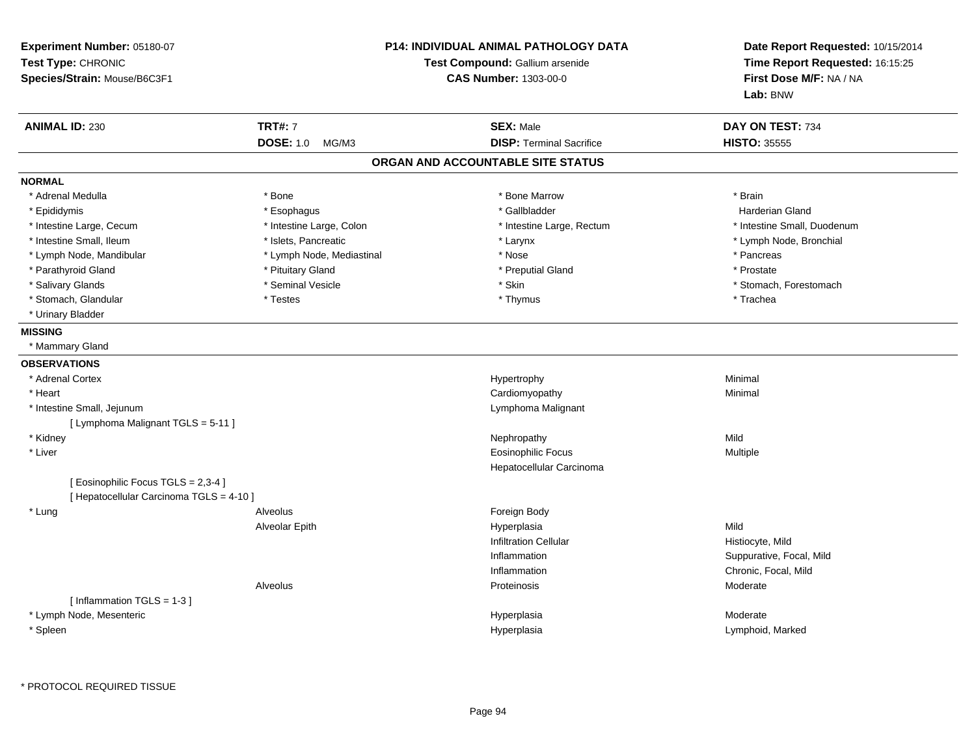| Experiment Number: 05180-07<br>Test Type: CHRONIC<br>Species/Strain: Mouse/B6C3F1 | <b>P14: INDIVIDUAL ANIMAL PATHOLOGY DATA</b><br>Test Compound: Gallium arsenide<br><b>CAS Number: 1303-00-0</b> |                                   | Date Report Requested: 10/15/2014<br>Time Report Requested: 16:15:25<br>First Dose M/F: NA / NA<br>Lab: BNW |
|-----------------------------------------------------------------------------------|-----------------------------------------------------------------------------------------------------------------|-----------------------------------|-------------------------------------------------------------------------------------------------------------|
| <b>ANIMAL ID: 230</b>                                                             | <b>TRT#: 7</b>                                                                                                  | <b>SEX: Male</b>                  | DAY ON TEST: 734                                                                                            |
|                                                                                   | <b>DOSE: 1.0</b><br>MG/M3                                                                                       | <b>DISP: Terminal Sacrifice</b>   | <b>HISTO: 35555</b>                                                                                         |
|                                                                                   |                                                                                                                 | ORGAN AND ACCOUNTABLE SITE STATUS |                                                                                                             |
| <b>NORMAL</b>                                                                     |                                                                                                                 |                                   |                                                                                                             |
| * Adrenal Medulla                                                                 | * Bone                                                                                                          | * Bone Marrow                     | * Brain                                                                                                     |
| * Epididymis                                                                      | * Esophagus                                                                                                     | * Gallbladder                     | <b>Harderian Gland</b>                                                                                      |
| * Intestine Large, Cecum                                                          | * Intestine Large, Colon                                                                                        | * Intestine Large, Rectum         | * Intestine Small, Duodenum                                                                                 |
| * Intestine Small, Ileum                                                          | * Islets, Pancreatic                                                                                            | * Larynx                          | * Lymph Node, Bronchial                                                                                     |
| * Lymph Node, Mandibular                                                          | * Lymph Node, Mediastinal                                                                                       | * Nose                            | * Pancreas                                                                                                  |
| * Parathyroid Gland                                                               | * Pituitary Gland                                                                                               | * Preputial Gland                 | * Prostate                                                                                                  |
| * Salivary Glands                                                                 | * Seminal Vesicle                                                                                               | * Skin                            | * Stomach, Forestomach                                                                                      |
| * Stomach, Glandular                                                              | * Testes                                                                                                        | * Thymus                          | * Trachea                                                                                                   |
| * Urinary Bladder                                                                 |                                                                                                                 |                                   |                                                                                                             |
| <b>MISSING</b>                                                                    |                                                                                                                 |                                   |                                                                                                             |
| * Mammary Gland                                                                   |                                                                                                                 |                                   |                                                                                                             |
| <b>OBSERVATIONS</b>                                                               |                                                                                                                 |                                   |                                                                                                             |
| * Adrenal Cortex                                                                  |                                                                                                                 | Hypertrophy                       | Minimal                                                                                                     |
| * Heart                                                                           |                                                                                                                 | Cardiomyopathy                    | Minimal                                                                                                     |
| * Intestine Small, Jejunum                                                        |                                                                                                                 | Lymphoma Malignant                |                                                                                                             |
| [ Lymphoma Malignant TGLS = 5-11 ]                                                |                                                                                                                 |                                   |                                                                                                             |
| * Kidney                                                                          |                                                                                                                 | Nephropathy                       | Mild                                                                                                        |
| * Liver                                                                           |                                                                                                                 | <b>Eosinophilic Focus</b>         | Multiple                                                                                                    |
|                                                                                   |                                                                                                                 | Hepatocellular Carcinoma          |                                                                                                             |
| [ Eosinophilic Focus TGLS = 2,3-4 ]                                               |                                                                                                                 |                                   |                                                                                                             |
| [ Hepatocellular Carcinoma TGLS = 4-10 ]                                          |                                                                                                                 |                                   |                                                                                                             |
| * Lung                                                                            | Alveolus                                                                                                        | Foreign Body                      |                                                                                                             |
|                                                                                   | Alveolar Epith                                                                                                  | Hyperplasia                       | Mild                                                                                                        |
|                                                                                   |                                                                                                                 | <b>Infiltration Cellular</b>      | Histiocyte, Mild                                                                                            |
|                                                                                   |                                                                                                                 | Inflammation                      | Suppurative, Focal, Mild                                                                                    |
|                                                                                   |                                                                                                                 | Inflammation                      | Chronic, Focal, Mild                                                                                        |
|                                                                                   | Alveolus                                                                                                        | Proteinosis                       | Moderate                                                                                                    |
| [Inflammation TGLS = $1-3$ ]                                                      |                                                                                                                 |                                   |                                                                                                             |
| * Lymph Node, Mesenteric                                                          |                                                                                                                 | Hyperplasia                       | Moderate                                                                                                    |
| * Spleen                                                                          |                                                                                                                 | Hyperplasia                       | Lymphoid, Marked                                                                                            |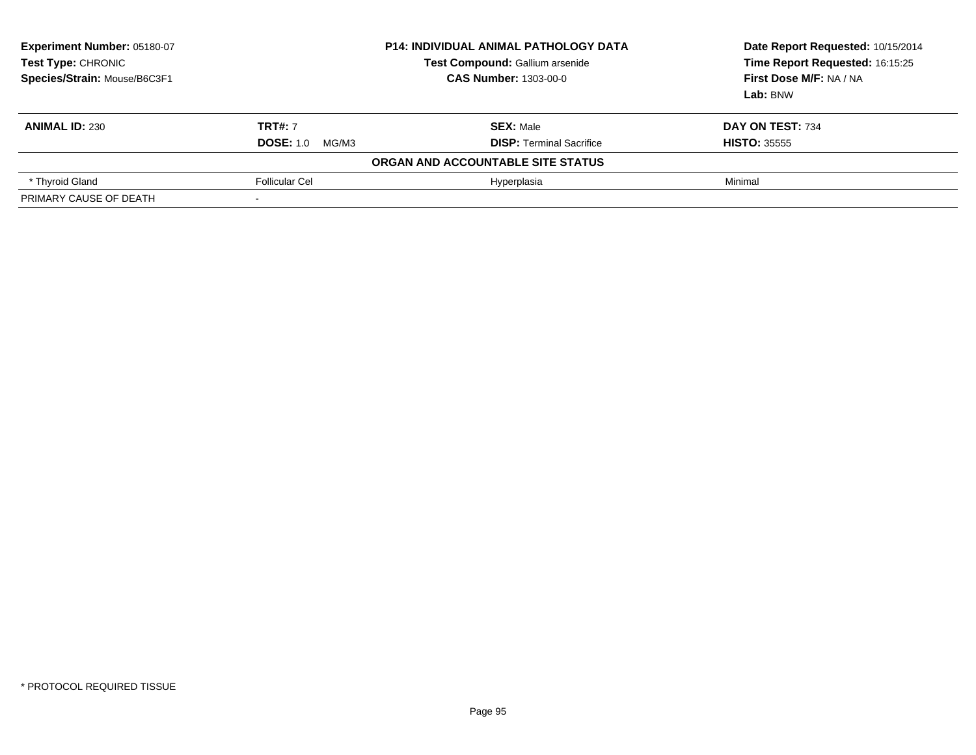| Experiment Number: 05180-07<br>Test Type: CHRONIC<br>Species/Strain: Mouse/B6C3F1 | <b>P14: INDIVIDUAL ANIMAL PATHOLOGY DATA</b><br>Test Compound: Gallium arsenide<br><b>CAS Number: 1303-00-0</b> |                                   | Date Report Requested: 10/15/2014<br>Time Report Requested: 16:15:25<br>First Dose M/F: NA / NA<br>Lab: BNW |
|-----------------------------------------------------------------------------------|-----------------------------------------------------------------------------------------------------------------|-----------------------------------|-------------------------------------------------------------------------------------------------------------|
| <b>ANIMAL ID: 230</b>                                                             | <b>TRT#: 7</b>                                                                                                  | <b>SEX: Male</b>                  | DAY ON TEST: 734                                                                                            |
|                                                                                   | <b>DOSE: 1.0</b><br>MG/M3                                                                                       | <b>DISP:</b> Terminal Sacrifice   | <b>HISTO: 35555</b>                                                                                         |
|                                                                                   |                                                                                                                 | ORGAN AND ACCOUNTABLE SITE STATUS |                                                                                                             |
| * Thyroid Gland                                                                   | <b>Follicular Cel</b>                                                                                           | Hyperplasia                       | Minimal                                                                                                     |
| PRIMARY CAUSE OF DEATH                                                            |                                                                                                                 |                                   |                                                                                                             |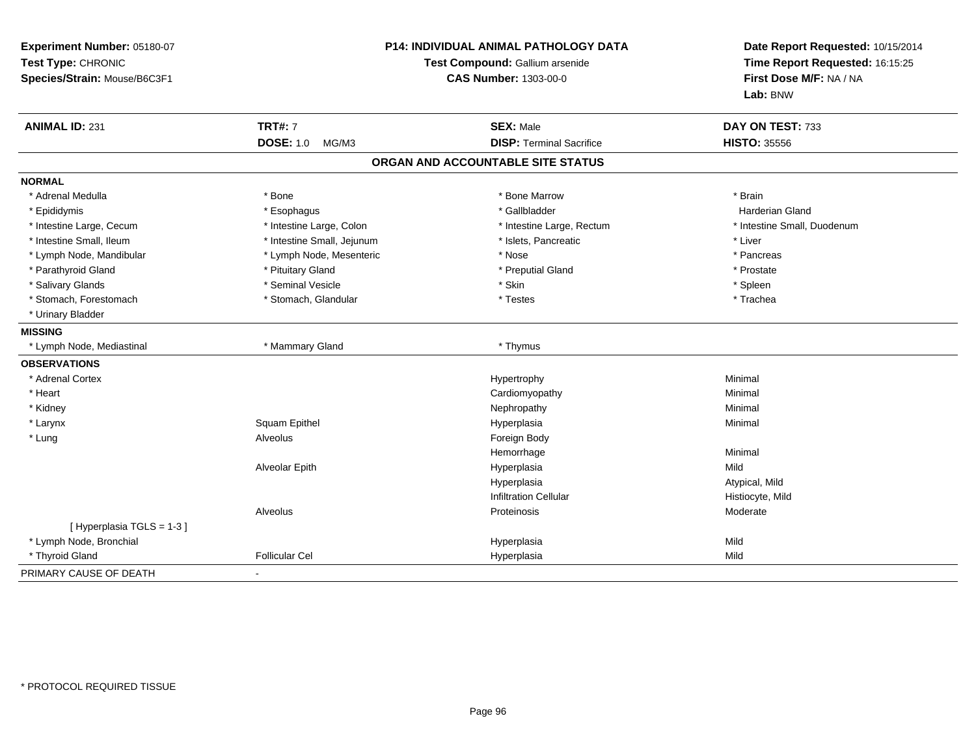| Experiment Number: 05180-07<br>Test Type: CHRONIC<br>Species/Strain: Mouse/B6C3F1 | P14: INDIVIDUAL ANIMAL PATHOLOGY DATA<br>Test Compound: Gallium arsenide<br><b>CAS Number: 1303-00-0</b> |                                   | Date Report Requested: 10/15/2014<br>Time Report Requested: 16:15:25<br>First Dose M/F: NA / NA<br>Lab: BNW |
|-----------------------------------------------------------------------------------|----------------------------------------------------------------------------------------------------------|-----------------------------------|-------------------------------------------------------------------------------------------------------------|
| <b>ANIMAL ID: 231</b>                                                             | <b>TRT#: 7</b>                                                                                           | <b>SEX: Male</b>                  | DAY ON TEST: 733                                                                                            |
|                                                                                   | <b>DOSE: 1.0</b><br>MG/M3                                                                                | <b>DISP: Terminal Sacrifice</b>   | <b>HISTO: 35556</b>                                                                                         |
|                                                                                   |                                                                                                          | ORGAN AND ACCOUNTABLE SITE STATUS |                                                                                                             |
| <b>NORMAL</b>                                                                     |                                                                                                          |                                   |                                                                                                             |
| * Adrenal Medulla                                                                 | * Bone                                                                                                   | * Bone Marrow                     | * Brain                                                                                                     |
| * Epididymis                                                                      | * Esophagus                                                                                              | * Gallbladder                     | <b>Harderian Gland</b>                                                                                      |
| * Intestine Large, Cecum                                                          | * Intestine Large, Colon                                                                                 | * Intestine Large, Rectum         | * Intestine Small, Duodenum                                                                                 |
| * Intestine Small, Ileum                                                          | * Intestine Small, Jejunum                                                                               | * Islets, Pancreatic              | * Liver                                                                                                     |
| * Lymph Node, Mandibular                                                          | * Lymph Node, Mesenteric                                                                                 | * Nose                            | * Pancreas                                                                                                  |
| * Parathyroid Gland                                                               | * Pituitary Gland                                                                                        | * Preputial Gland                 | * Prostate                                                                                                  |
| * Salivary Glands                                                                 | * Seminal Vesicle                                                                                        | * Skin                            | * Spleen                                                                                                    |
| * Stomach, Forestomach                                                            | * Stomach, Glandular                                                                                     | * Testes                          | * Trachea                                                                                                   |
| * Urinary Bladder                                                                 |                                                                                                          |                                   |                                                                                                             |
| <b>MISSING</b>                                                                    |                                                                                                          |                                   |                                                                                                             |
| * Lymph Node, Mediastinal                                                         | * Mammary Gland                                                                                          | * Thymus                          |                                                                                                             |
| <b>OBSERVATIONS</b>                                                               |                                                                                                          |                                   |                                                                                                             |
| * Adrenal Cortex                                                                  |                                                                                                          | Hypertrophy                       | Minimal                                                                                                     |
| * Heart                                                                           |                                                                                                          | Cardiomyopathy                    | Minimal                                                                                                     |
| * Kidney                                                                          |                                                                                                          | Nephropathy                       | Minimal                                                                                                     |
| * Larynx                                                                          | <b>Squam Epithel</b>                                                                                     | Hyperplasia                       | Minimal                                                                                                     |
| * Lung                                                                            | Alveolus                                                                                                 | Foreign Body                      |                                                                                                             |
|                                                                                   |                                                                                                          | Hemorrhage                        | Minimal                                                                                                     |
|                                                                                   | Alveolar Epith                                                                                           | Hyperplasia                       | Mild                                                                                                        |
|                                                                                   |                                                                                                          | Hyperplasia                       | Atypical, Mild                                                                                              |
|                                                                                   |                                                                                                          | <b>Infiltration Cellular</b>      | Histiocyte, Mild                                                                                            |
|                                                                                   | Alveolus                                                                                                 | Proteinosis                       | Moderate                                                                                                    |
| [Hyperplasia TGLS = 1-3]                                                          |                                                                                                          |                                   |                                                                                                             |
| * Lymph Node, Bronchial                                                           |                                                                                                          | Hyperplasia                       | Mild                                                                                                        |
| * Thyroid Gland                                                                   | <b>Follicular Cel</b>                                                                                    | Hyperplasia                       | Mild                                                                                                        |
| PRIMARY CAUSE OF DEATH                                                            |                                                                                                          |                                   |                                                                                                             |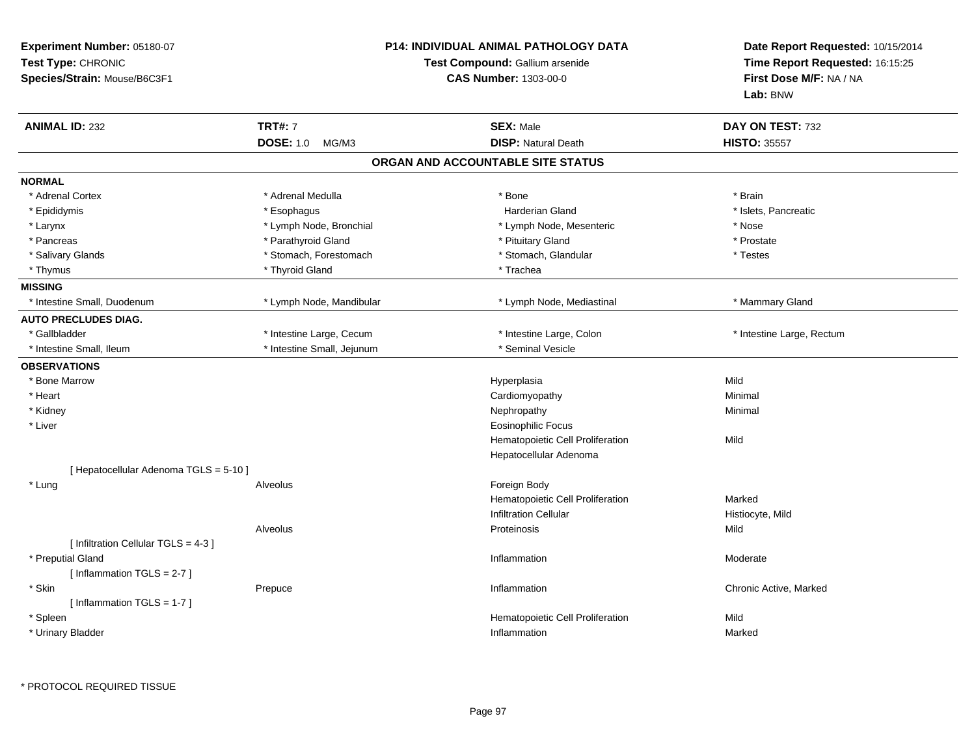| Experiment Number: 05180-07<br>Test Type: CHRONIC<br>Species/Strain: Mouse/B6C3F1 |                                                        | <b>P14: INDIVIDUAL ANIMAL PATHOLOGY DATA</b><br>Test Compound: Gallium arsenide<br><b>CAS Number: 1303-00-0</b> | Date Report Requested: 10/15/2014<br>Time Report Requested: 16:15:25<br>First Dose M/F: NA / NA<br>Lab: BNW |
|-----------------------------------------------------------------------------------|--------------------------------------------------------|-----------------------------------------------------------------------------------------------------------------|-------------------------------------------------------------------------------------------------------------|
| <b>ANIMAL ID: 232</b>                                                             | <b>TRT#: 7</b>                                         | <b>SEX: Male</b>                                                                                                | DAY ON TEST: 732                                                                                            |
|                                                                                   | <b>DOSE: 1.0</b><br>MG/M3                              | <b>DISP: Natural Death</b><br>ORGAN AND ACCOUNTABLE SITE STATUS                                                 | <b>HISTO: 35557</b>                                                                                         |
|                                                                                   |                                                        |                                                                                                                 |                                                                                                             |
| <b>NORMAL</b><br>* Adrenal Cortex                                                 | * Adrenal Medulla                                      |                                                                                                                 | * Brain                                                                                                     |
|                                                                                   |                                                        | * Bone                                                                                                          |                                                                                                             |
| * Epididymis                                                                      | * Esophagus<br>* Lymph Node, Bronchial                 | Harderian Gland<br>* Lymph Node, Mesenteric                                                                     | * Islets, Pancreatic<br>* Nose                                                                              |
| * Larynx<br>* Pancreas                                                            | * Parathyroid Gland                                    | * Pituitary Gland                                                                                               | * Prostate                                                                                                  |
| * Salivary Glands                                                                 | * Stomach, Forestomach                                 | * Stomach, Glandular                                                                                            | * Testes                                                                                                    |
|                                                                                   | * Thyroid Gland                                        | * Trachea                                                                                                       |                                                                                                             |
| * Thymus<br><b>MISSING</b>                                                        |                                                        |                                                                                                                 |                                                                                                             |
| * Intestine Small, Duodenum                                                       | * Lymph Node, Mandibular                               | * Lymph Node, Mediastinal                                                                                       | * Mammary Gland                                                                                             |
| <b>AUTO PRECLUDES DIAG.</b>                                                       |                                                        |                                                                                                                 |                                                                                                             |
| * Gallbladder                                                                     |                                                        |                                                                                                                 |                                                                                                             |
| * Intestine Small, Ileum                                                          | * Intestine Large, Cecum<br>* Intestine Small, Jejunum | * Intestine Large, Colon<br>* Seminal Vesicle                                                                   | * Intestine Large, Rectum                                                                                   |
|                                                                                   |                                                        |                                                                                                                 |                                                                                                             |
| <b>OBSERVATIONS</b>                                                               |                                                        |                                                                                                                 |                                                                                                             |
| * Bone Marrow                                                                     |                                                        | Hyperplasia                                                                                                     | Mild                                                                                                        |
| * Heart                                                                           |                                                        | Cardiomyopathy                                                                                                  | Minimal                                                                                                     |
| * Kidney                                                                          |                                                        | Nephropathy                                                                                                     | Minimal                                                                                                     |
| * Liver                                                                           |                                                        | <b>Eosinophilic Focus</b>                                                                                       |                                                                                                             |
|                                                                                   |                                                        | Hematopoietic Cell Proliferation                                                                                | Mild                                                                                                        |
|                                                                                   |                                                        | Hepatocellular Adenoma                                                                                          |                                                                                                             |
| [ Hepatocellular Adenoma TGLS = 5-10 ]                                            |                                                        |                                                                                                                 |                                                                                                             |
| * Lung                                                                            | Alveolus                                               | Foreign Body                                                                                                    |                                                                                                             |
|                                                                                   |                                                        | Hematopoietic Cell Proliferation                                                                                | Marked                                                                                                      |
|                                                                                   |                                                        | <b>Infiltration Cellular</b>                                                                                    | Histiocyte, Mild                                                                                            |
|                                                                                   | Alveolus                                               | Proteinosis                                                                                                     | Mild                                                                                                        |
| [ Infiltration Cellular TGLS = 4-3 ]                                              |                                                        |                                                                                                                 |                                                                                                             |
| * Preputial Gland                                                                 |                                                        | Inflammation                                                                                                    | Moderate                                                                                                    |
| [Inflammation TGLS = $2-7$ ]                                                      |                                                        |                                                                                                                 |                                                                                                             |
| * Skin                                                                            | Prepuce                                                | Inflammation                                                                                                    | Chronic Active, Marked                                                                                      |
| [Inflammation TGLS = $1-7$ ]                                                      |                                                        |                                                                                                                 |                                                                                                             |
| * Spleen                                                                          |                                                        | Hematopoietic Cell Proliferation                                                                                | Mild                                                                                                        |
| * Urinary Bladder                                                                 |                                                        | Inflammation                                                                                                    | Marked                                                                                                      |

\* PROTOCOL REQUIRED TISSUE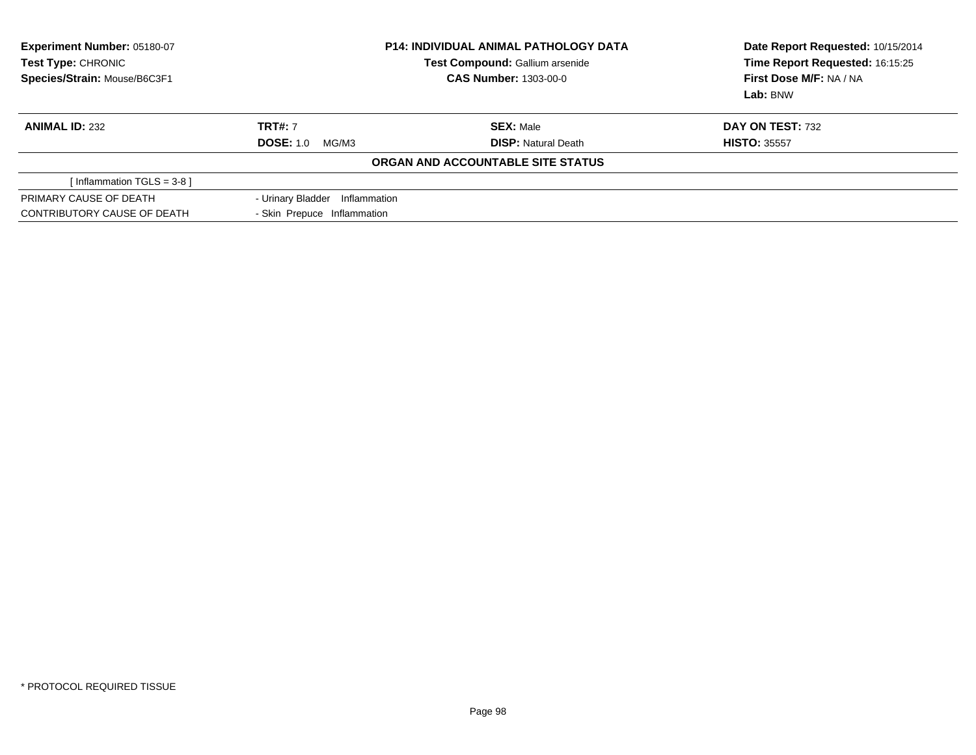| <b>Experiment Number: 05180-07</b><br>Test Type: CHRONIC<br>Species/Strain: Mouse/B6C3F1 | <b>P14: INDIVIDUAL ANIMAL PATHOLOGY DATA</b><br>Test Compound: Gallium arsenide<br><b>CAS Number: 1303-00-0</b> |                                   | Date Report Requested: 10/15/2014<br>Time Report Requested: 16:15:25<br>First Dose M/F: NA / NA<br>Lab: BNW |
|------------------------------------------------------------------------------------------|-----------------------------------------------------------------------------------------------------------------|-----------------------------------|-------------------------------------------------------------------------------------------------------------|
| <b>ANIMAL ID: 232</b>                                                                    | <b>TRT#: 7</b>                                                                                                  | <b>SEX: Male</b>                  | DAY ON TEST: 732                                                                                            |
|                                                                                          | <b>DOSE: 1.0</b><br>MG/M3                                                                                       | <b>DISP:</b> Natural Death        | <b>HISTO: 35557</b>                                                                                         |
|                                                                                          |                                                                                                                 | ORGAN AND ACCOUNTABLE SITE STATUS |                                                                                                             |
| [Inflammation TGLS = $3-8$ ]                                                             |                                                                                                                 |                                   |                                                                                                             |
| PRIMARY CAUSE OF DEATH                                                                   | - Urinary Bladder<br>Inflammation                                                                               |                                   |                                                                                                             |
| CONTRIBUTORY CAUSE OF DEATH                                                              | - Skin Prepuce Inflammation                                                                                     |                                   |                                                                                                             |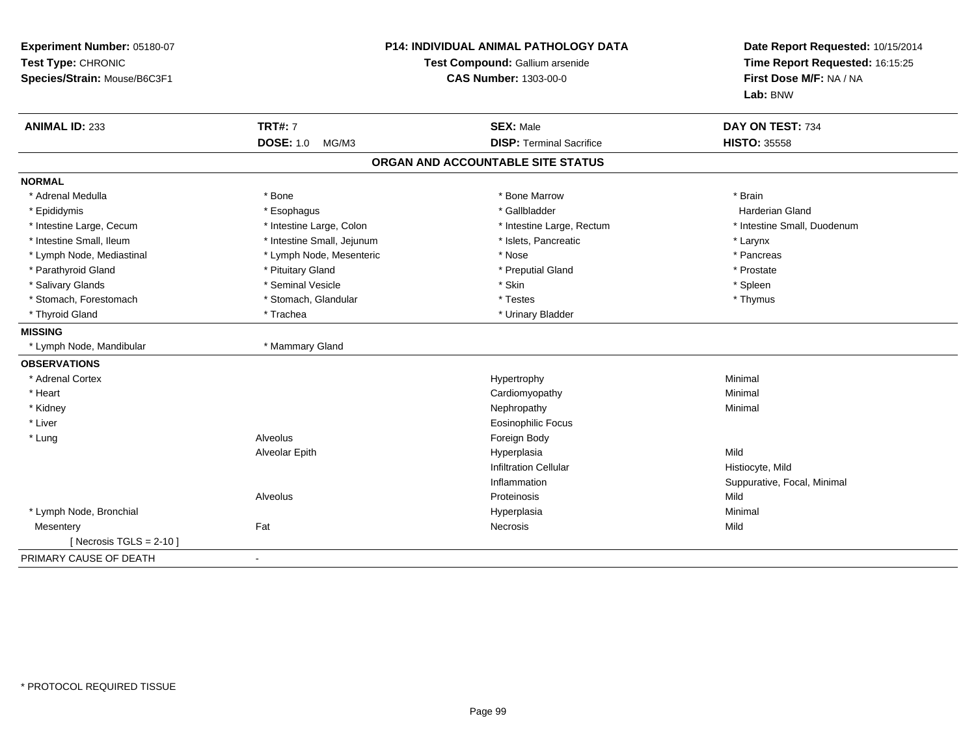| Experiment Number: 05180-07<br>Test Type: CHRONIC<br>Species/Strain: Mouse/B6C3F1 |                                             | <b>P14: INDIVIDUAL ANIMAL PATHOLOGY DATA</b><br>Test Compound: Gallium arsenide<br><b>CAS Number: 1303-00-0</b> | Date Report Requested: 10/15/2014<br>Time Report Requested: 16:15:25<br>First Dose M/F: NA / NA<br>Lab: BNW |
|-----------------------------------------------------------------------------------|---------------------------------------------|-----------------------------------------------------------------------------------------------------------------|-------------------------------------------------------------------------------------------------------------|
| <b>ANIMAL ID: 233</b>                                                             | <b>TRT#: 7</b><br><b>DOSE: 1.0</b><br>MG/M3 | <b>SEX: Male</b><br><b>DISP: Terminal Sacrifice</b>                                                             | DAY ON TEST: 734<br><b>HISTO: 35558</b>                                                                     |
|                                                                                   |                                             |                                                                                                                 |                                                                                                             |
|                                                                                   |                                             | ORGAN AND ACCOUNTABLE SITE STATUS                                                                               |                                                                                                             |
| <b>NORMAL</b>                                                                     |                                             |                                                                                                                 |                                                                                                             |
| * Adrenal Medulla                                                                 | * Bone                                      | * Bone Marrow                                                                                                   | * Brain                                                                                                     |
| * Epididymis                                                                      | * Esophagus                                 | * Gallbladder                                                                                                   | <b>Harderian Gland</b>                                                                                      |
| * Intestine Large, Cecum                                                          | * Intestine Large, Colon                    | * Intestine Large, Rectum                                                                                       | * Intestine Small, Duodenum                                                                                 |
| * Intestine Small, Ileum                                                          | * Intestine Small, Jejunum                  | * Islets, Pancreatic                                                                                            | * Larynx                                                                                                    |
| * Lymph Node, Mediastinal                                                         | * Lymph Node, Mesenteric                    | * Nose                                                                                                          | * Pancreas                                                                                                  |
| * Parathyroid Gland                                                               | * Pituitary Gland                           | * Preputial Gland                                                                                               | * Prostate                                                                                                  |
| * Salivary Glands                                                                 | * Seminal Vesicle                           | * Skin                                                                                                          | * Spleen                                                                                                    |
| * Stomach, Forestomach                                                            | * Stomach, Glandular                        | * Testes                                                                                                        | * Thymus                                                                                                    |
| * Thyroid Gland                                                                   | * Trachea                                   | * Urinary Bladder                                                                                               |                                                                                                             |
| <b>MISSING</b>                                                                    |                                             |                                                                                                                 |                                                                                                             |
| * Lymph Node, Mandibular                                                          | * Mammary Gland                             |                                                                                                                 |                                                                                                             |
| <b>OBSERVATIONS</b>                                                               |                                             |                                                                                                                 |                                                                                                             |
| * Adrenal Cortex                                                                  |                                             | Hypertrophy                                                                                                     | Minimal                                                                                                     |
| * Heart                                                                           |                                             | Cardiomyopathy                                                                                                  | Minimal                                                                                                     |
| * Kidney                                                                          |                                             | Nephropathy                                                                                                     | Minimal                                                                                                     |
| * Liver                                                                           |                                             | <b>Eosinophilic Focus</b>                                                                                       |                                                                                                             |
| * Lung                                                                            | Alveolus                                    | Foreign Body                                                                                                    |                                                                                                             |
|                                                                                   | Alveolar Epith                              | Hyperplasia                                                                                                     | Mild                                                                                                        |
|                                                                                   |                                             | <b>Infiltration Cellular</b>                                                                                    | Histiocyte, Mild                                                                                            |
|                                                                                   |                                             | Inflammation                                                                                                    | Suppurative, Focal, Minimal                                                                                 |
|                                                                                   | Alveolus                                    | Proteinosis                                                                                                     | Mild                                                                                                        |
| * Lymph Node, Bronchial                                                           |                                             | Hyperplasia                                                                                                     | Minimal                                                                                                     |
| Mesentery                                                                         | Fat                                         | <b>Necrosis</b>                                                                                                 | Mild                                                                                                        |
| [ Necrosis $TGLS = 2-10$ ]                                                        |                                             |                                                                                                                 |                                                                                                             |
| PRIMARY CAUSE OF DEATH                                                            |                                             |                                                                                                                 |                                                                                                             |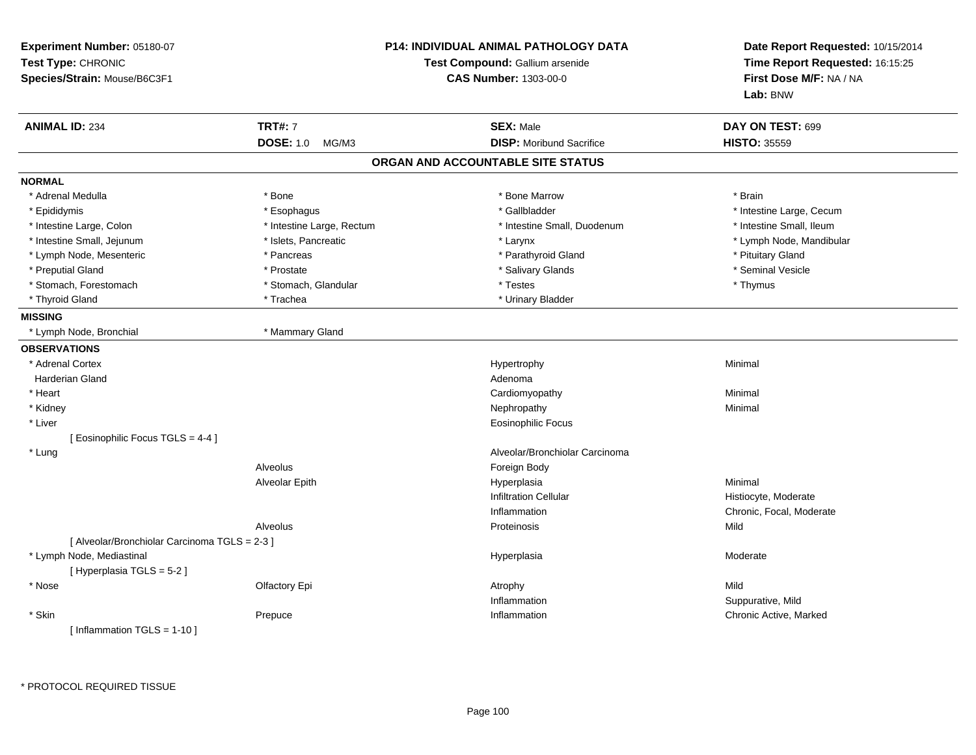| Experiment Number: 05180-07<br>Test Type: CHRONIC<br>Species/Strain: Mouse/B6C3F1 |                           | <b>P14: INDIVIDUAL ANIMAL PATHOLOGY DATA</b><br>Test Compound: Gallium arsenide<br><b>CAS Number: 1303-00-0</b> | Date Report Requested: 10/15/2014<br>Time Report Requested: 16:15:25<br>First Dose M/F: NA / NA<br>Lab: BNW |
|-----------------------------------------------------------------------------------|---------------------------|-----------------------------------------------------------------------------------------------------------------|-------------------------------------------------------------------------------------------------------------|
| <b>ANIMAL ID: 234</b>                                                             | <b>TRT#: 7</b>            | <b>SEX: Male</b>                                                                                                | DAY ON TEST: 699                                                                                            |
|                                                                                   | <b>DOSE: 1.0</b><br>MG/M3 | <b>DISP:</b> Moribund Sacrifice                                                                                 | <b>HISTO: 35559</b>                                                                                         |
|                                                                                   |                           | ORGAN AND ACCOUNTABLE SITE STATUS                                                                               |                                                                                                             |
| <b>NORMAL</b>                                                                     |                           |                                                                                                                 |                                                                                                             |
| * Adrenal Medulla                                                                 | * Bone                    | * Bone Marrow                                                                                                   | * Brain                                                                                                     |
| * Epididymis                                                                      | * Esophagus               | * Gallbladder                                                                                                   | * Intestine Large, Cecum                                                                                    |
| * Intestine Large, Colon                                                          | * Intestine Large, Rectum | * Intestine Small, Duodenum                                                                                     | * Intestine Small, Ileum                                                                                    |
| * Intestine Small, Jejunum                                                        | * Islets, Pancreatic      | * Larynx                                                                                                        | * Lymph Node, Mandibular                                                                                    |
| * Lymph Node, Mesenteric                                                          | * Pancreas                | * Parathyroid Gland                                                                                             | * Pituitary Gland                                                                                           |
| * Preputial Gland                                                                 | * Prostate                | * Salivary Glands                                                                                               | * Seminal Vesicle                                                                                           |
| * Stomach, Forestomach                                                            | * Stomach, Glandular      | * Testes                                                                                                        | * Thymus                                                                                                    |
| * Thyroid Gland                                                                   | * Trachea                 | * Urinary Bladder                                                                                               |                                                                                                             |
| <b>MISSING</b>                                                                    |                           |                                                                                                                 |                                                                                                             |
| * Lymph Node, Bronchial                                                           | * Mammary Gland           |                                                                                                                 |                                                                                                             |
| <b>OBSERVATIONS</b>                                                               |                           |                                                                                                                 |                                                                                                             |
| * Adrenal Cortex                                                                  |                           | Hypertrophy                                                                                                     | Minimal                                                                                                     |
| <b>Harderian Gland</b>                                                            |                           | Adenoma                                                                                                         |                                                                                                             |
| * Heart                                                                           |                           | Cardiomyopathy                                                                                                  | Minimal                                                                                                     |
| * Kidney                                                                          |                           | Nephropathy                                                                                                     | Minimal                                                                                                     |
| * Liver                                                                           |                           | <b>Eosinophilic Focus</b>                                                                                       |                                                                                                             |
| [ Eosinophilic Focus TGLS = 4-4 ]                                                 |                           |                                                                                                                 |                                                                                                             |
| * Lung                                                                            |                           | Alveolar/Bronchiolar Carcinoma                                                                                  |                                                                                                             |
|                                                                                   | Alveolus                  | Foreign Body                                                                                                    |                                                                                                             |
|                                                                                   | Alveolar Epith            | Hyperplasia                                                                                                     | Minimal                                                                                                     |
|                                                                                   |                           | <b>Infiltration Cellular</b>                                                                                    | Histiocyte, Moderate                                                                                        |
|                                                                                   |                           | Inflammation                                                                                                    | Chronic, Focal, Moderate                                                                                    |
|                                                                                   | Alveolus                  | Proteinosis                                                                                                     | Mild                                                                                                        |
| [ Alveolar/Bronchiolar Carcinoma TGLS = 2-3 ]                                     |                           |                                                                                                                 |                                                                                                             |
| * Lymph Node, Mediastinal                                                         |                           | Hyperplasia                                                                                                     | Moderate                                                                                                    |
| [Hyperplasia TGLS = 5-2]                                                          |                           |                                                                                                                 |                                                                                                             |
| $*$ Nose                                                                          | Olfactory Epi             | Atrophy                                                                                                         | Mild                                                                                                        |
|                                                                                   |                           | Inflammation                                                                                                    | Suppurative, Mild                                                                                           |
| * Skin                                                                            | Prepuce                   | Inflammation                                                                                                    | Chronic Active, Marked                                                                                      |
| [Inflammation TGLS = $1-10$ ]                                                     |                           |                                                                                                                 |                                                                                                             |
|                                                                                   |                           |                                                                                                                 |                                                                                                             |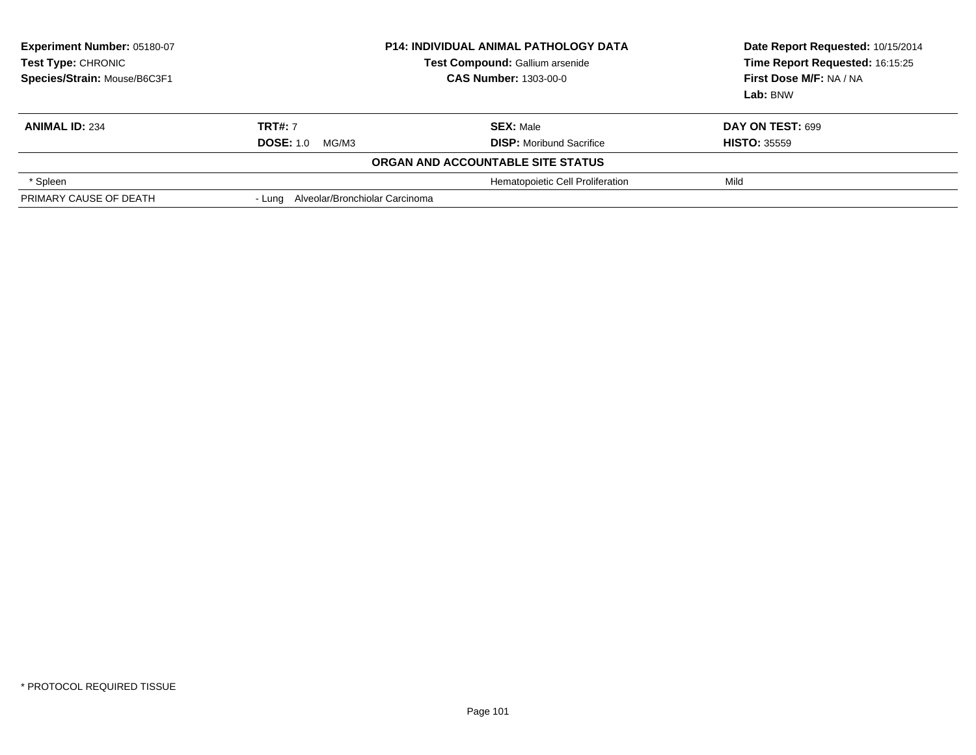| <b>Experiment Number: 05180-07</b><br>Test Type: CHRONIC<br>Species/Strain: Mouse/B6C3F1 | <b>P14: INDIVIDUAL ANIMAL PATHOLOGY DATA</b><br>Test Compound: Gallium arsenide<br><b>CAS Number: 1303-00-0</b> |                                   | Date Report Requested: 10/15/2014<br>Time Report Requested: 16:15:25<br>First Dose M/F: NA / NA<br>Lab: BNW |
|------------------------------------------------------------------------------------------|-----------------------------------------------------------------------------------------------------------------|-----------------------------------|-------------------------------------------------------------------------------------------------------------|
| <b>ANIMAL ID: 234</b>                                                                    | <b>TRT#: 7</b>                                                                                                  | <b>SEX: Male</b>                  | DAY ON TEST: 699                                                                                            |
|                                                                                          | <b>DOSE: 1.0</b><br>MG/M3                                                                                       | <b>DISP:</b> Moribund Sacrifice   | <b>HISTO: 35559</b>                                                                                         |
|                                                                                          |                                                                                                                 | ORGAN AND ACCOUNTABLE SITE STATUS |                                                                                                             |
| * Spleen                                                                                 |                                                                                                                 | Hematopoietic Cell Proliferation  | Mild                                                                                                        |
| PRIMARY CAUSE OF DEATH                                                                   | - Lung Alveolar/Bronchiolar Carcinoma                                                                           |                                   |                                                                                                             |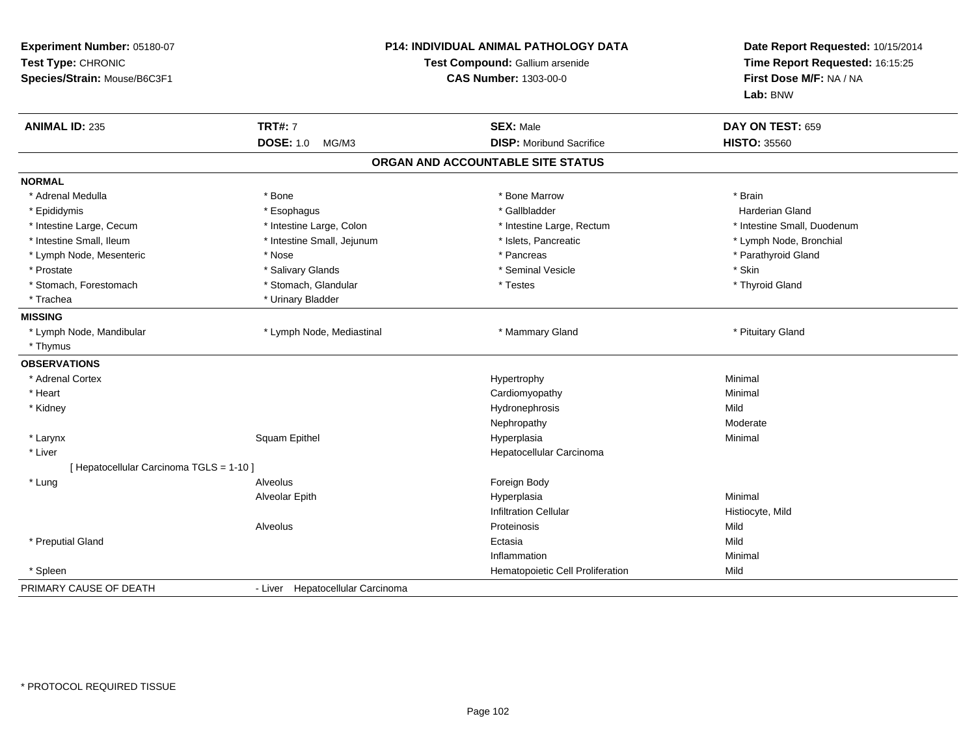| Experiment Number: 05180-07<br>Test Type: CHRONIC<br>Species/Strain: Mouse/B6C3F1 |                                  | P14: INDIVIDUAL ANIMAL PATHOLOGY DATA<br>Test Compound: Gallium arsenide<br><b>CAS Number: 1303-00-0</b> | Date Report Requested: 10/15/2014<br>Time Report Requested: 16:15:25<br>First Dose M/F: NA / NA<br>Lab: BNW |
|-----------------------------------------------------------------------------------|----------------------------------|----------------------------------------------------------------------------------------------------------|-------------------------------------------------------------------------------------------------------------|
| <b>ANIMAL ID: 235</b>                                                             | <b>TRT#: 7</b>                   | <b>SEX: Male</b>                                                                                         | DAY ON TEST: 659                                                                                            |
|                                                                                   | <b>DOSE: 1.0</b><br>MG/M3        | <b>DISP:</b> Moribund Sacrifice                                                                          | <b>HISTO: 35560</b>                                                                                         |
|                                                                                   |                                  | ORGAN AND ACCOUNTABLE SITE STATUS                                                                        |                                                                                                             |
| <b>NORMAL</b>                                                                     |                                  |                                                                                                          |                                                                                                             |
| * Adrenal Medulla                                                                 | * Bone                           | * Bone Marrow                                                                                            | * Brain                                                                                                     |
| * Epididymis                                                                      | * Esophagus                      | * Gallbladder                                                                                            | <b>Harderian Gland</b>                                                                                      |
| * Intestine Large, Cecum                                                          | * Intestine Large, Colon         | * Intestine Large, Rectum                                                                                | * Intestine Small, Duodenum                                                                                 |
| * Intestine Small, Ileum                                                          | * Intestine Small, Jejunum       | * Islets, Pancreatic                                                                                     | * Lymph Node, Bronchial                                                                                     |
| * Lymph Node, Mesenteric                                                          | * Nose                           | * Pancreas                                                                                               | * Parathyroid Gland                                                                                         |
| * Prostate                                                                        | * Salivary Glands                | * Seminal Vesicle                                                                                        | * Skin                                                                                                      |
| * Stomach, Forestomach                                                            | * Stomach, Glandular             | * Testes                                                                                                 | * Thyroid Gland                                                                                             |
| * Trachea                                                                         | * Urinary Bladder                |                                                                                                          |                                                                                                             |
| <b>MISSING</b>                                                                    |                                  |                                                                                                          |                                                                                                             |
| * Lymph Node, Mandibular                                                          | * Lymph Node, Mediastinal        | * Mammary Gland                                                                                          | * Pituitary Gland                                                                                           |
| * Thymus                                                                          |                                  |                                                                                                          |                                                                                                             |
| <b>OBSERVATIONS</b>                                                               |                                  |                                                                                                          |                                                                                                             |
| * Adrenal Cortex                                                                  |                                  | Hypertrophy                                                                                              | Minimal                                                                                                     |
| * Heart                                                                           |                                  | Cardiomyopathy                                                                                           | Minimal                                                                                                     |
| * Kidney                                                                          |                                  | Hydronephrosis                                                                                           | Mild                                                                                                        |
|                                                                                   |                                  | Nephropathy                                                                                              | Moderate                                                                                                    |
| * Larynx                                                                          | Squam Epithel                    | Hyperplasia                                                                                              | Minimal                                                                                                     |
| * Liver                                                                           |                                  | Hepatocellular Carcinoma                                                                                 |                                                                                                             |
| [ Hepatocellular Carcinoma TGLS = 1-10 ]                                          |                                  |                                                                                                          |                                                                                                             |
| * Lung                                                                            | Alveolus                         | Foreign Body                                                                                             |                                                                                                             |
|                                                                                   | Alveolar Epith                   | Hyperplasia                                                                                              | Minimal                                                                                                     |
|                                                                                   |                                  | <b>Infiltration Cellular</b>                                                                             | Histiocyte, Mild                                                                                            |
|                                                                                   | Alveolus                         | Proteinosis                                                                                              | Mild                                                                                                        |
| * Preputial Gland                                                                 |                                  | Ectasia                                                                                                  | Mild                                                                                                        |
|                                                                                   |                                  | Inflammation                                                                                             | Minimal                                                                                                     |
| * Spleen                                                                          |                                  | Hematopoietic Cell Proliferation                                                                         | Mild                                                                                                        |
| PRIMARY CAUSE OF DEATH                                                            | - Liver Hepatocellular Carcinoma |                                                                                                          |                                                                                                             |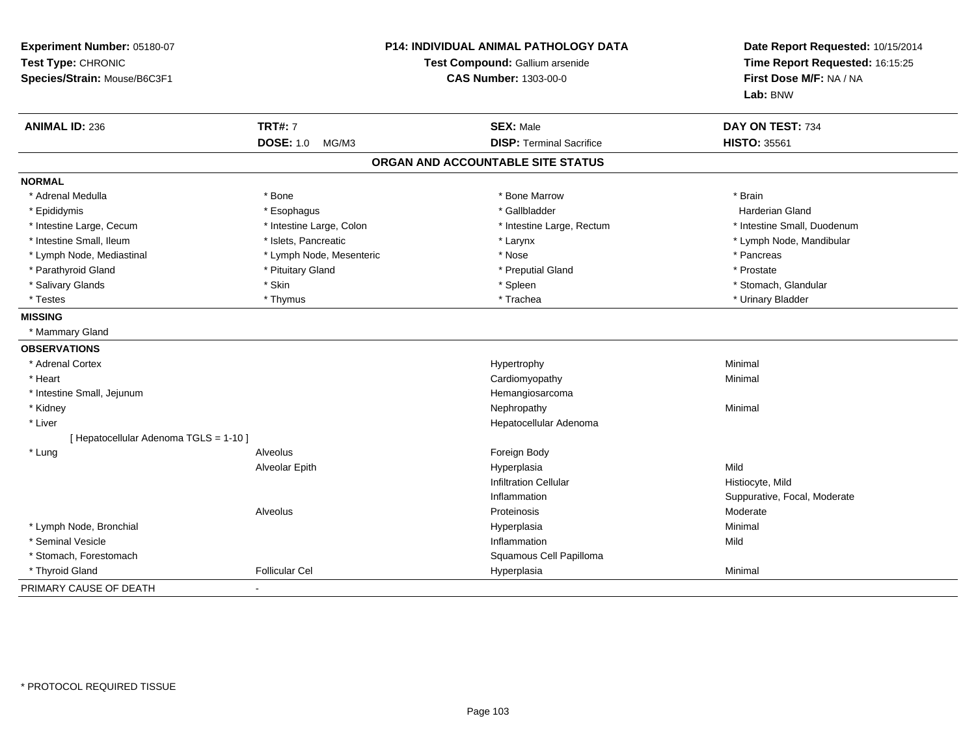| Experiment Number: 05180-07<br>Test Type: CHRONIC<br>Species/Strain: Mouse/B6C3F1 |                           | <b>P14: INDIVIDUAL ANIMAL PATHOLOGY DATA</b><br>Test Compound: Gallium arsenide<br><b>CAS Number: 1303-00-0</b> | Date Report Requested: 10/15/2014<br>Time Report Requested: 16:15:25<br>First Dose M/F: NA / NA<br>Lab: BNW |
|-----------------------------------------------------------------------------------|---------------------------|-----------------------------------------------------------------------------------------------------------------|-------------------------------------------------------------------------------------------------------------|
| <b>ANIMAL ID: 236</b>                                                             | <b>TRT#: 7</b>            | <b>SEX: Male</b>                                                                                                | DAY ON TEST: 734                                                                                            |
|                                                                                   | <b>DOSE: 1.0</b><br>MG/M3 | <b>DISP: Terminal Sacrifice</b>                                                                                 | <b>HISTO: 35561</b>                                                                                         |
|                                                                                   |                           | ORGAN AND ACCOUNTABLE SITE STATUS                                                                               |                                                                                                             |
| <b>NORMAL</b>                                                                     |                           |                                                                                                                 |                                                                                                             |
| * Adrenal Medulla                                                                 | * Bone                    | * Bone Marrow                                                                                                   | * Brain                                                                                                     |
| * Epididymis                                                                      | * Esophagus               | * Gallbladder                                                                                                   | <b>Harderian Gland</b>                                                                                      |
| * Intestine Large, Cecum                                                          | * Intestine Large, Colon  | * Intestine Large, Rectum                                                                                       | * Intestine Small, Duodenum                                                                                 |
| * Intestine Small, Ileum                                                          | * Islets, Pancreatic      | * Larynx                                                                                                        | * Lymph Node, Mandibular                                                                                    |
| * Lymph Node, Mediastinal                                                         | * Lymph Node, Mesenteric  | * Nose                                                                                                          | * Pancreas                                                                                                  |
| * Parathyroid Gland                                                               | * Pituitary Gland         | * Preputial Gland                                                                                               | * Prostate                                                                                                  |
| * Salivary Glands                                                                 | * Skin                    | * Spleen                                                                                                        | * Stomach, Glandular                                                                                        |
| * Testes                                                                          | * Thymus                  | * Trachea                                                                                                       | * Urinary Bladder                                                                                           |
| <b>MISSING</b>                                                                    |                           |                                                                                                                 |                                                                                                             |
| * Mammary Gland                                                                   |                           |                                                                                                                 |                                                                                                             |
| <b>OBSERVATIONS</b>                                                               |                           |                                                                                                                 |                                                                                                             |
| * Adrenal Cortex                                                                  |                           | Hypertrophy                                                                                                     | Minimal                                                                                                     |
| * Heart                                                                           |                           | Cardiomyopathy                                                                                                  | Minimal                                                                                                     |
| * Intestine Small, Jejunum                                                        |                           | Hemangiosarcoma                                                                                                 |                                                                                                             |
| * Kidney                                                                          |                           | Nephropathy                                                                                                     | Minimal                                                                                                     |
| * Liver                                                                           |                           | Hepatocellular Adenoma                                                                                          |                                                                                                             |
| [ Hepatocellular Adenoma TGLS = 1-10 ]                                            |                           |                                                                                                                 |                                                                                                             |
| * Lung                                                                            | Alveolus                  | Foreign Body                                                                                                    |                                                                                                             |
|                                                                                   | Alveolar Epith            | Hyperplasia                                                                                                     | Mild                                                                                                        |
|                                                                                   |                           | <b>Infiltration Cellular</b>                                                                                    | Histiocyte, Mild                                                                                            |
|                                                                                   |                           | Inflammation                                                                                                    | Suppurative, Focal, Moderate                                                                                |
|                                                                                   | Alveolus                  | Proteinosis                                                                                                     | Moderate                                                                                                    |
| * Lymph Node, Bronchial                                                           |                           | Hyperplasia                                                                                                     | Minimal                                                                                                     |
| * Seminal Vesicle                                                                 |                           | Inflammation                                                                                                    | Mild                                                                                                        |
| * Stomach, Forestomach                                                            |                           | Squamous Cell Papilloma                                                                                         |                                                                                                             |
| * Thyroid Gland                                                                   | <b>Follicular Cel</b>     | Hyperplasia                                                                                                     | Minimal                                                                                                     |
| PRIMARY CAUSE OF DEATH                                                            |                           |                                                                                                                 |                                                                                                             |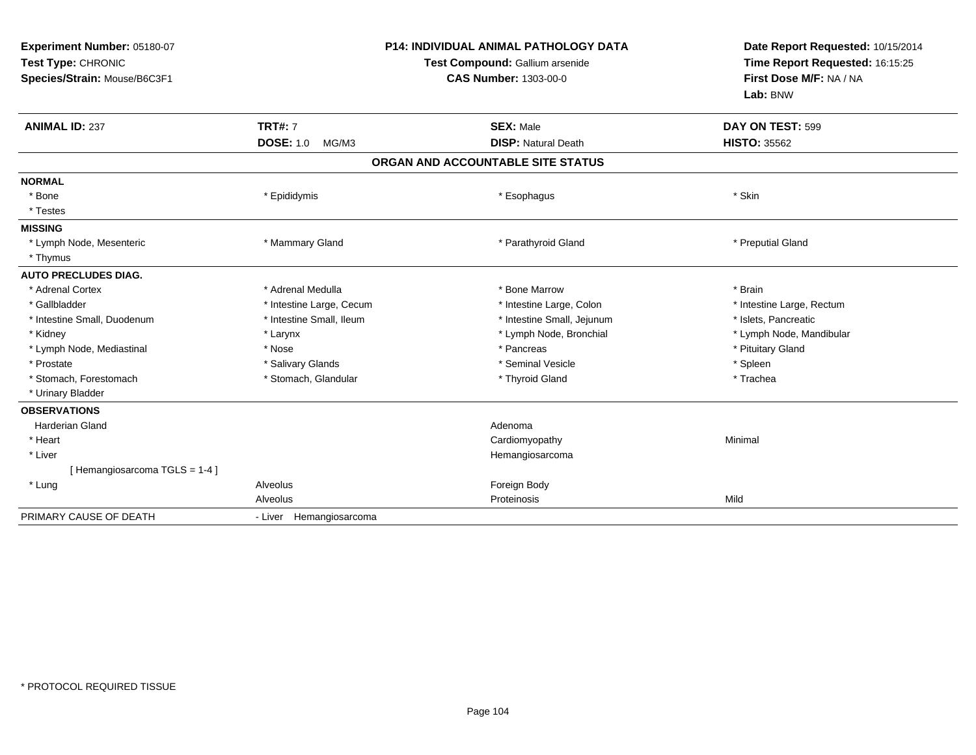| Experiment Number: 05180-07<br>Test Type: CHRONIC<br>Species/Strain: Mouse/B6C3F1 | <b>P14: INDIVIDUAL ANIMAL PATHOLOGY DATA</b><br>Test Compound: Gallium arsenide<br><b>CAS Number: 1303-00-0</b> |                                   | Date Report Requested: 10/15/2014<br>Time Report Requested: 16:15:25<br>First Dose M/F: NA / NA<br>Lab: BNW |  |
|-----------------------------------------------------------------------------------|-----------------------------------------------------------------------------------------------------------------|-----------------------------------|-------------------------------------------------------------------------------------------------------------|--|
| <b>ANIMAL ID: 237</b>                                                             | <b>TRT#: 7</b>                                                                                                  | <b>SEX: Male</b>                  | DAY ON TEST: 599                                                                                            |  |
|                                                                                   | <b>DOSE: 1.0</b><br>MG/M3                                                                                       | <b>DISP: Natural Death</b>        | <b>HISTO: 35562</b>                                                                                         |  |
|                                                                                   |                                                                                                                 | ORGAN AND ACCOUNTABLE SITE STATUS |                                                                                                             |  |
| <b>NORMAL</b>                                                                     |                                                                                                                 |                                   |                                                                                                             |  |
| * Bone                                                                            | * Epididymis                                                                                                    | * Esophagus                       | * Skin                                                                                                      |  |
| * Testes                                                                          |                                                                                                                 |                                   |                                                                                                             |  |
| <b>MISSING</b>                                                                    |                                                                                                                 |                                   |                                                                                                             |  |
| * Lymph Node, Mesenteric                                                          | * Mammary Gland                                                                                                 | * Parathyroid Gland               | * Preputial Gland                                                                                           |  |
| * Thymus                                                                          |                                                                                                                 |                                   |                                                                                                             |  |
| <b>AUTO PRECLUDES DIAG.</b>                                                       |                                                                                                                 |                                   |                                                                                                             |  |
| * Adrenal Cortex                                                                  | * Adrenal Medulla                                                                                               | * Bone Marrow                     | * Brain                                                                                                     |  |
| * Gallbladder                                                                     | * Intestine Large, Cecum                                                                                        | * Intestine Large, Colon          | * Intestine Large, Rectum                                                                                   |  |
| * Intestine Small, Duodenum                                                       | * Intestine Small, Ileum                                                                                        | * Intestine Small, Jejunum        | * Islets, Pancreatic                                                                                        |  |
| * Kidney                                                                          | * Larynx                                                                                                        | * Lymph Node, Bronchial           | * Lymph Node, Mandibular                                                                                    |  |
| * Lymph Node, Mediastinal                                                         | * Nose                                                                                                          | * Pancreas                        | * Pituitary Gland                                                                                           |  |
| * Prostate                                                                        | * Salivary Glands                                                                                               | * Seminal Vesicle                 | * Spleen                                                                                                    |  |
| * Stomach, Forestomach                                                            | * Stomach, Glandular                                                                                            | * Thyroid Gland                   | * Trachea                                                                                                   |  |
| * Urinary Bladder                                                                 |                                                                                                                 |                                   |                                                                                                             |  |
| <b>OBSERVATIONS</b>                                                               |                                                                                                                 |                                   |                                                                                                             |  |
| <b>Harderian Gland</b>                                                            |                                                                                                                 | Adenoma                           |                                                                                                             |  |
| * Heart                                                                           |                                                                                                                 | Cardiomyopathy                    | Minimal                                                                                                     |  |
| * Liver                                                                           |                                                                                                                 | Hemangiosarcoma                   |                                                                                                             |  |
| [Hemangiosarcoma TGLS = 1-4]                                                      |                                                                                                                 |                                   |                                                                                                             |  |
| * Lung                                                                            | Alveolus                                                                                                        | Foreign Body                      |                                                                                                             |  |
|                                                                                   | Alveolus                                                                                                        | Proteinosis                       | Mild                                                                                                        |  |
| PRIMARY CAUSE OF DEATH                                                            | - Liver Hemangiosarcoma                                                                                         |                                   |                                                                                                             |  |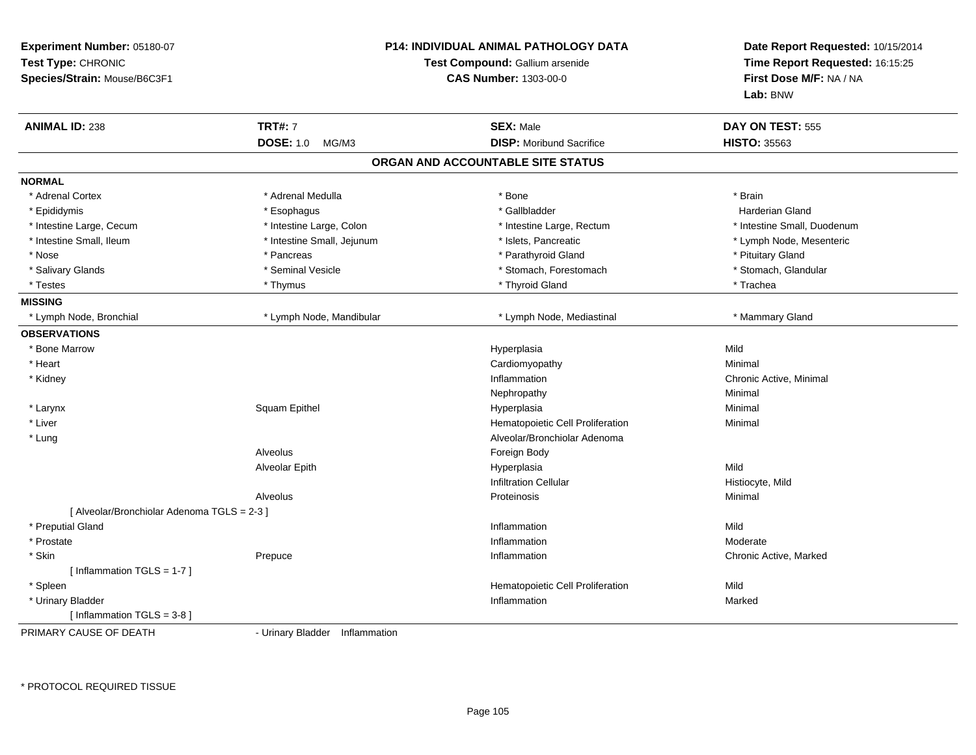| Experiment Number: 05180-07<br>Test Type: CHRONIC<br>Species/Strain: Mouse/B6C3F1 | P14: INDIVIDUAL ANIMAL PATHOLOGY DATA<br>Test Compound: Gallium arsenide<br><b>CAS Number: 1303-00-0</b> |                                   | Date Report Requested: 10/15/2014<br>Time Report Requested: 16:15:25<br>First Dose M/F: NA / NA<br>Lab: BNW |
|-----------------------------------------------------------------------------------|----------------------------------------------------------------------------------------------------------|-----------------------------------|-------------------------------------------------------------------------------------------------------------|
| <b>ANIMAL ID: 238</b>                                                             | <b>TRT#: 7</b>                                                                                           | <b>SEX: Male</b>                  | DAY ON TEST: 555                                                                                            |
|                                                                                   | <b>DOSE: 1.0</b><br>MG/M3                                                                                | <b>DISP:</b> Moribund Sacrifice   | <b>HISTO: 35563</b>                                                                                         |
|                                                                                   |                                                                                                          | ORGAN AND ACCOUNTABLE SITE STATUS |                                                                                                             |
| <b>NORMAL</b>                                                                     |                                                                                                          |                                   |                                                                                                             |
| * Adrenal Cortex                                                                  | * Adrenal Medulla                                                                                        | * Bone                            | * Brain                                                                                                     |
| * Epididymis                                                                      | * Esophagus                                                                                              | * Gallbladder                     | <b>Harderian Gland</b>                                                                                      |
| * Intestine Large, Cecum                                                          | * Intestine Large, Colon                                                                                 | * Intestine Large, Rectum         | * Intestine Small, Duodenum                                                                                 |
| * Intestine Small, Ileum                                                          | * Intestine Small, Jejunum                                                                               | * Islets, Pancreatic              | * Lymph Node, Mesenteric                                                                                    |
| * Nose                                                                            | * Pancreas                                                                                               | * Parathyroid Gland               | * Pituitary Gland                                                                                           |
| * Salivary Glands                                                                 | * Seminal Vesicle                                                                                        | * Stomach, Forestomach            | * Stomach, Glandular                                                                                        |
| * Testes                                                                          | * Thymus                                                                                                 | * Thyroid Gland                   | * Trachea                                                                                                   |
| <b>MISSING</b>                                                                    |                                                                                                          |                                   |                                                                                                             |
| * Lymph Node, Bronchial                                                           | * Lymph Node, Mandibular                                                                                 | * Lymph Node, Mediastinal         | * Mammary Gland                                                                                             |
| <b>OBSERVATIONS</b>                                                               |                                                                                                          |                                   |                                                                                                             |
| * Bone Marrow                                                                     |                                                                                                          | Hyperplasia                       | Mild                                                                                                        |
| * Heart                                                                           |                                                                                                          | Cardiomyopathy                    | Minimal                                                                                                     |
| * Kidney                                                                          |                                                                                                          | Inflammation                      | Chronic Active, Minimal                                                                                     |
|                                                                                   |                                                                                                          | Nephropathy                       | Minimal                                                                                                     |
| * Larynx                                                                          | Squam Epithel                                                                                            | Hyperplasia                       | Minimal                                                                                                     |
| * Liver                                                                           |                                                                                                          | Hematopoietic Cell Proliferation  | Minimal                                                                                                     |
| * Lung                                                                            |                                                                                                          | Alveolar/Bronchiolar Adenoma      |                                                                                                             |
|                                                                                   | Alveolus                                                                                                 | Foreign Body                      |                                                                                                             |
|                                                                                   | Alveolar Epith                                                                                           | Hyperplasia                       | Mild                                                                                                        |
|                                                                                   |                                                                                                          | <b>Infiltration Cellular</b>      | Histiocyte, Mild                                                                                            |
|                                                                                   | Alveolus                                                                                                 | Proteinosis                       | Minimal                                                                                                     |
| [ Alveolar/Bronchiolar Adenoma TGLS = 2-3 ]                                       |                                                                                                          |                                   |                                                                                                             |
| * Preputial Gland                                                                 |                                                                                                          | Inflammation                      | Mild                                                                                                        |
| * Prostate                                                                        |                                                                                                          | Inflammation                      | Moderate                                                                                                    |
| * Skin                                                                            | Prepuce                                                                                                  | Inflammation                      | Chronic Active, Marked                                                                                      |
| [Inflammation TGLS = 1-7]                                                         |                                                                                                          |                                   |                                                                                                             |
| * Spleen                                                                          |                                                                                                          | Hematopoietic Cell Proliferation  | Mild                                                                                                        |
| * Urinary Bladder                                                                 |                                                                                                          | Inflammation                      | Marked                                                                                                      |
| [ Inflammation TGLS = 3-8 ]                                                       |                                                                                                          |                                   |                                                                                                             |
| DDIMADV CALICE OF DEATH                                                           | <b>Lirinary Pladdor</b> Inflammation                                                                     |                                   |                                                                                                             |

PRIMARY CAUSE OF DEATH

- Urinary Bladder Inflammation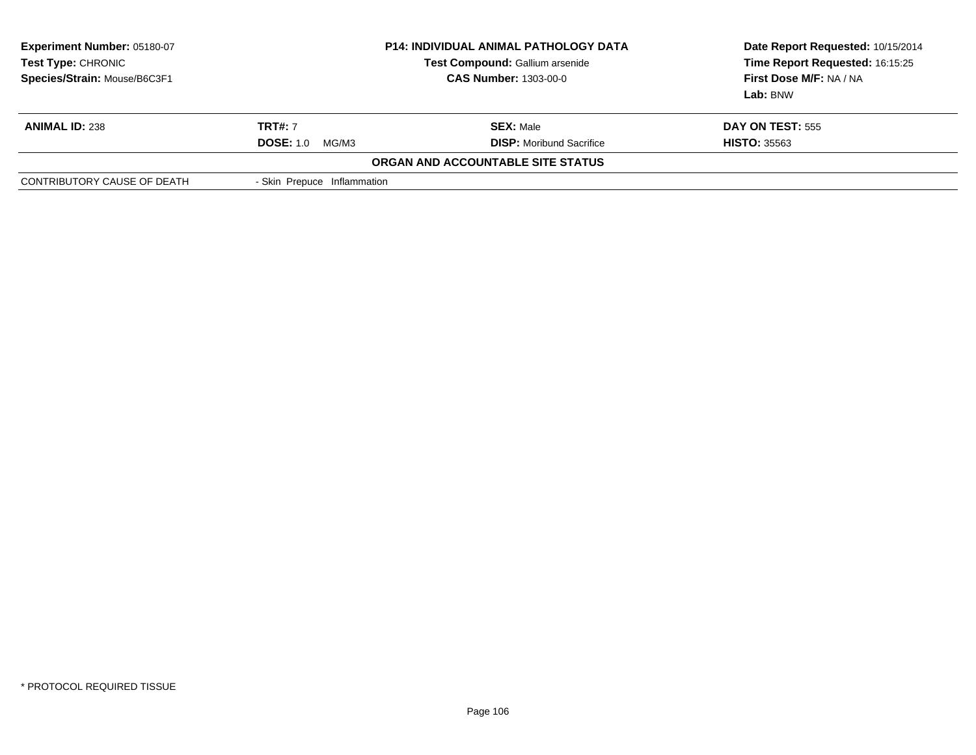| <b>Experiment Number: 05180-07</b><br>Test Type: CHRONIC<br>Species/Strain: Mouse/B6C3F1 | <b>P14: INDIVIDUAL ANIMAL PATHOLOGY DATA</b><br>Test Compound: Gallium arsenide<br><b>CAS Number: 1303-00-0</b> |                                   | Date Report Requested: 10/15/2014<br>Time Report Requested: 16:15:25<br>First Dose M/F: NA / NA<br>Lab: BNW |
|------------------------------------------------------------------------------------------|-----------------------------------------------------------------------------------------------------------------|-----------------------------------|-------------------------------------------------------------------------------------------------------------|
| <b>ANIMAL ID: 238</b>                                                                    | <b>TRT#: 7</b>                                                                                                  | <b>SEX: Male</b>                  | <b>DAY ON TEST: 555</b>                                                                                     |
|                                                                                          | <b>DOSE: 1.0</b><br>MG/M3                                                                                       | <b>DISP:</b> Moribund Sacrifice   | <b>HISTO: 35563</b>                                                                                         |
|                                                                                          |                                                                                                                 | ORGAN AND ACCOUNTABLE SITE STATUS |                                                                                                             |
| CONTRIBUTORY CAUSE OF DEATH                                                              | - Skin Prepuce Inflammation                                                                                     |                                   |                                                                                                             |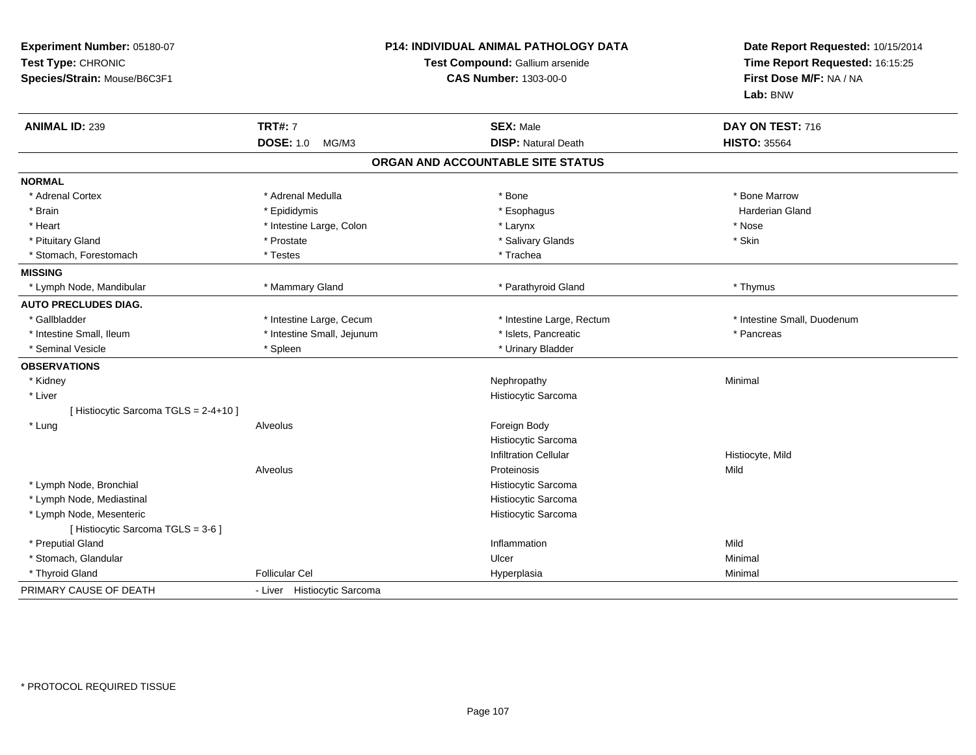| Experiment Number: 05180-07<br>Test Type: CHRONIC<br>Species/Strain: Mouse/B6C3F1 | P14: INDIVIDUAL ANIMAL PATHOLOGY DATA<br>Test Compound: Gallium arsenide<br><b>CAS Number: 1303-00-0</b> |                                                                     | Date Report Requested: 10/15/2014<br>Time Report Requested: 16:15:25<br>First Dose M/F: NA / NA<br>Lab: BNW |
|-----------------------------------------------------------------------------------|----------------------------------------------------------------------------------------------------------|---------------------------------------------------------------------|-------------------------------------------------------------------------------------------------------------|
| <b>ANIMAL ID: 239</b>                                                             | <b>TRT#: 7</b>                                                                                           | <b>SEX: Male</b>                                                    | DAY ON TEST: 716                                                                                            |
|                                                                                   | <b>DOSE: 1.0</b><br>MG/M3                                                                                | <b>DISP: Natural Death</b>                                          | <b>HISTO: 35564</b>                                                                                         |
|                                                                                   |                                                                                                          | ORGAN AND ACCOUNTABLE SITE STATUS                                   |                                                                                                             |
| <b>NORMAL</b>                                                                     |                                                                                                          |                                                                     |                                                                                                             |
| * Adrenal Cortex                                                                  | * Adrenal Medulla                                                                                        | * Bone                                                              | * Bone Marrow                                                                                               |
| * Brain                                                                           | * Epididymis                                                                                             | * Esophagus                                                         | <b>Harderian Gland</b>                                                                                      |
| * Heart                                                                           | * Intestine Large, Colon                                                                                 | * Larynx                                                            | * Nose                                                                                                      |
| * Pituitary Gland                                                                 | * Prostate                                                                                               | * Salivary Glands                                                   | * Skin                                                                                                      |
| * Stomach, Forestomach                                                            | * Testes                                                                                                 | * Trachea                                                           |                                                                                                             |
| <b>MISSING</b>                                                                    |                                                                                                          |                                                                     |                                                                                                             |
| * Lymph Node, Mandibular                                                          | * Mammary Gland                                                                                          | * Parathyroid Gland                                                 | * Thymus                                                                                                    |
| <b>AUTO PRECLUDES DIAG.</b>                                                       |                                                                                                          |                                                                     |                                                                                                             |
| * Gallbladder                                                                     | * Intestine Large, Cecum                                                                                 | * Intestine Large, Rectum                                           | * Intestine Small, Duodenum                                                                                 |
| * Intestine Small, Ileum                                                          | * Intestine Small, Jejunum                                                                               | * Islets, Pancreatic                                                | * Pancreas                                                                                                  |
| * Seminal Vesicle                                                                 | * Spleen                                                                                                 | * Urinary Bladder                                                   |                                                                                                             |
| <b>OBSERVATIONS</b>                                                               |                                                                                                          |                                                                     |                                                                                                             |
| * Kidney                                                                          |                                                                                                          | Nephropathy                                                         | Minimal                                                                                                     |
| * Liver                                                                           |                                                                                                          | Histiocytic Sarcoma                                                 |                                                                                                             |
| [ Histiocytic Sarcoma TGLS = 2-4+10 ]                                             |                                                                                                          |                                                                     |                                                                                                             |
| * Lung                                                                            | Alveolus                                                                                                 | Foreign Body<br>Histiocytic Sarcoma<br><b>Infiltration Cellular</b> | Histiocyte, Mild                                                                                            |
|                                                                                   | Alveolus                                                                                                 | Proteinosis                                                         | Mild                                                                                                        |
| * Lymph Node, Bronchial                                                           |                                                                                                          | Histiocytic Sarcoma                                                 |                                                                                                             |
| * Lymph Node, Mediastinal                                                         |                                                                                                          | Histiocytic Sarcoma                                                 |                                                                                                             |
| * Lymph Node, Mesenteric<br>[Histiocytic Sarcoma TGLS = 3-6]                      |                                                                                                          | Histiocytic Sarcoma                                                 |                                                                                                             |
| * Preputial Gland                                                                 |                                                                                                          | Inflammation                                                        | Mild                                                                                                        |
| * Stomach, Glandular                                                              |                                                                                                          | Ulcer                                                               | Minimal                                                                                                     |
| * Thyroid Gland                                                                   | <b>Follicular Cel</b>                                                                                    | Hyperplasia                                                         | Minimal                                                                                                     |
| PRIMARY CAUSE OF DEATH                                                            | - Liver Histiocytic Sarcoma                                                                              |                                                                     |                                                                                                             |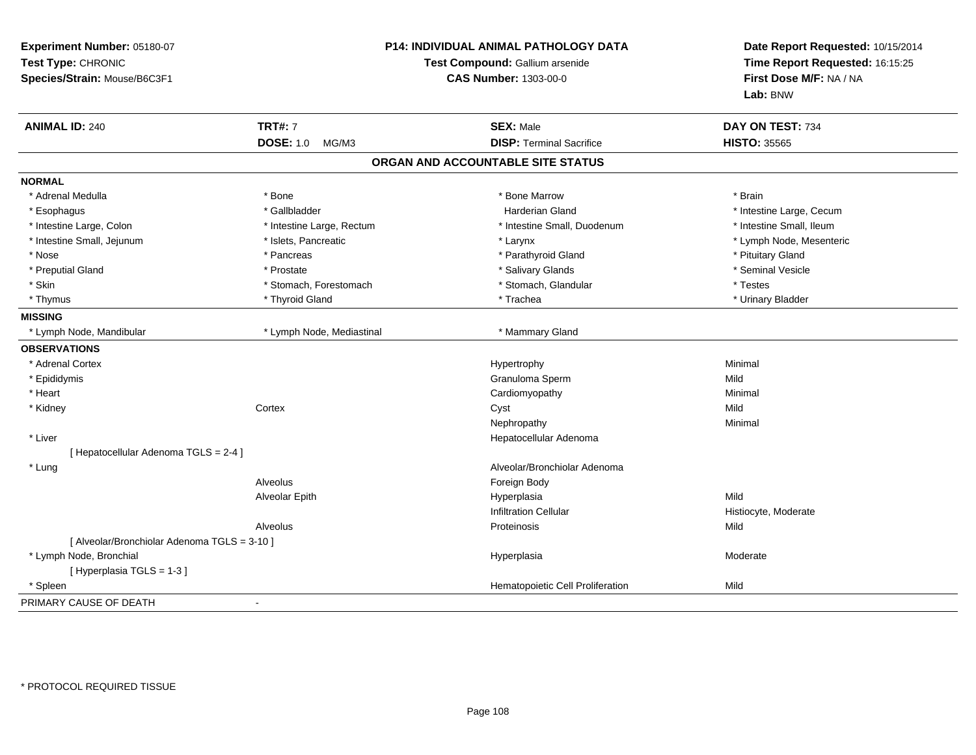| Experiment Number: 05180-07<br>Test Type: CHRONIC<br>Species/Strain: Mouse/B6C3F1 | P14: INDIVIDUAL ANIMAL PATHOLOGY DATA<br>Test Compound: Gallium arsenide<br><b>CAS Number: 1303-00-0</b> |                                   | Date Report Requested: 10/15/2014<br>Time Report Requested: 16:15:25<br>First Dose M/F: NA / NA<br>Lab: BNW |  |
|-----------------------------------------------------------------------------------|----------------------------------------------------------------------------------------------------------|-----------------------------------|-------------------------------------------------------------------------------------------------------------|--|
| <b>ANIMAL ID: 240</b>                                                             | <b>TRT#: 7</b>                                                                                           | <b>SEX: Male</b>                  | DAY ON TEST: 734                                                                                            |  |
|                                                                                   | <b>DOSE: 1.0</b><br>MG/M3                                                                                | <b>DISP: Terminal Sacrifice</b>   | <b>HISTO: 35565</b>                                                                                         |  |
|                                                                                   |                                                                                                          | ORGAN AND ACCOUNTABLE SITE STATUS |                                                                                                             |  |
| <b>NORMAL</b>                                                                     |                                                                                                          |                                   |                                                                                                             |  |
| * Adrenal Medulla                                                                 | * Bone                                                                                                   | * Bone Marrow                     | * Brain                                                                                                     |  |
| * Esophagus                                                                       | * Gallbladder                                                                                            | Harderian Gland                   | * Intestine Large, Cecum                                                                                    |  |
| * Intestine Large, Colon                                                          | * Intestine Large, Rectum                                                                                | * Intestine Small, Duodenum       | * Intestine Small, Ileum                                                                                    |  |
| * Intestine Small, Jejunum                                                        | * Islets, Pancreatic                                                                                     | * Larynx                          | * Lymph Node, Mesenteric                                                                                    |  |
| * Nose                                                                            | * Pancreas                                                                                               | * Parathyroid Gland               | * Pituitary Gland                                                                                           |  |
| * Preputial Gland                                                                 | * Prostate                                                                                               | * Salivary Glands                 | * Seminal Vesicle                                                                                           |  |
| * Skin                                                                            | * Stomach, Forestomach                                                                                   | * Stomach, Glandular              | * Testes                                                                                                    |  |
| * Thymus                                                                          | * Thyroid Gland                                                                                          | * Trachea                         | * Urinary Bladder                                                                                           |  |
| <b>MISSING</b>                                                                    |                                                                                                          |                                   |                                                                                                             |  |
| * Lymph Node, Mandibular                                                          | * Lymph Node, Mediastinal                                                                                | * Mammary Gland                   |                                                                                                             |  |
| <b>OBSERVATIONS</b>                                                               |                                                                                                          |                                   |                                                                                                             |  |
| * Adrenal Cortex                                                                  |                                                                                                          | Hypertrophy                       | Minimal                                                                                                     |  |
| * Epididymis                                                                      |                                                                                                          | Granuloma Sperm                   | Mild                                                                                                        |  |
| * Heart                                                                           |                                                                                                          | Cardiomyopathy                    | Minimal                                                                                                     |  |
| * Kidney                                                                          | Cortex                                                                                                   | Cyst                              | Mild                                                                                                        |  |
|                                                                                   |                                                                                                          | Nephropathy                       | Minimal                                                                                                     |  |
| * Liver                                                                           |                                                                                                          | Hepatocellular Adenoma            |                                                                                                             |  |
| [ Hepatocellular Adenoma TGLS = 2-4 ]                                             |                                                                                                          |                                   |                                                                                                             |  |
| * Lung                                                                            |                                                                                                          | Alveolar/Bronchiolar Adenoma      |                                                                                                             |  |
|                                                                                   | Alveolus                                                                                                 | Foreign Body                      |                                                                                                             |  |
|                                                                                   | Alveolar Epith                                                                                           | Hyperplasia                       | Mild                                                                                                        |  |
|                                                                                   |                                                                                                          | <b>Infiltration Cellular</b>      | Histiocyte, Moderate                                                                                        |  |
|                                                                                   | Alveolus                                                                                                 | Proteinosis                       | Mild                                                                                                        |  |
| [ Alveolar/Bronchiolar Adenoma TGLS = 3-10 ]                                      |                                                                                                          |                                   |                                                                                                             |  |
| * Lymph Node, Bronchial                                                           |                                                                                                          | Hyperplasia                       | Moderate                                                                                                    |  |
| [Hyperplasia TGLS = 1-3]                                                          |                                                                                                          |                                   |                                                                                                             |  |
| * Spleen                                                                          |                                                                                                          | Hematopoietic Cell Proliferation  | Mild                                                                                                        |  |
| PRIMARY CAUSE OF DEATH                                                            |                                                                                                          |                                   |                                                                                                             |  |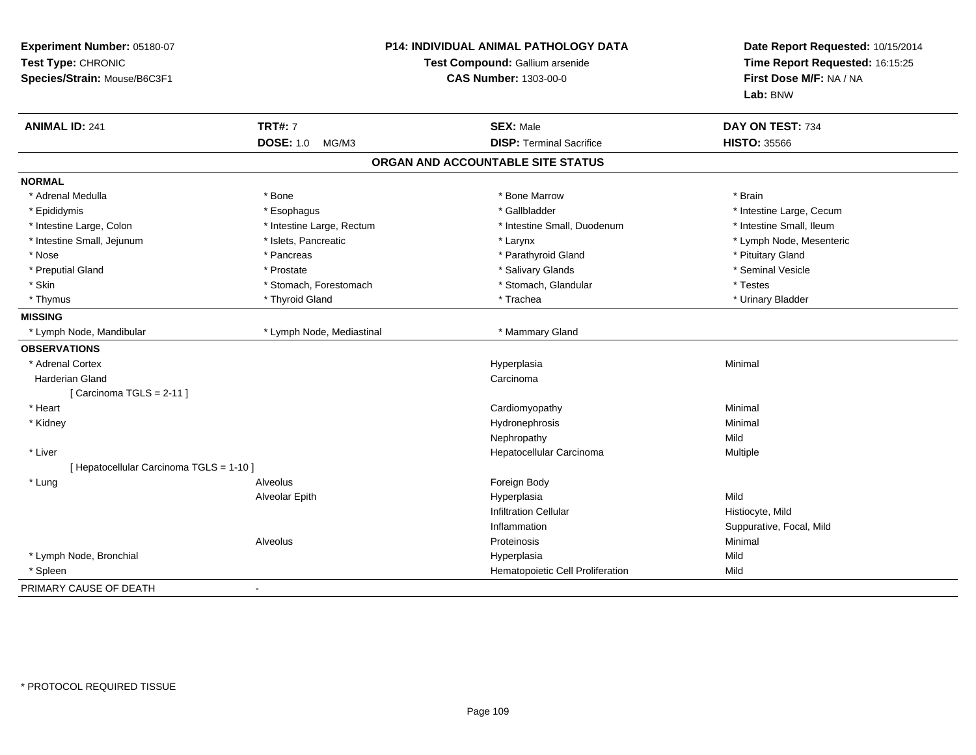| Experiment Number: 05180-07<br>Test Type: CHRONIC<br>Species/Strain: Mouse/B6C3F1 |                           | <b>P14: INDIVIDUAL ANIMAL PATHOLOGY DATA</b><br>Test Compound: Gallium arsenide<br><b>CAS Number: 1303-00-0</b> |                          |
|-----------------------------------------------------------------------------------|---------------------------|-----------------------------------------------------------------------------------------------------------------|--------------------------|
| <b>ANIMAL ID: 241</b>                                                             | <b>TRT#: 7</b>            | <b>SEX: Male</b>                                                                                                | DAY ON TEST: 734         |
|                                                                                   | <b>DOSE: 1.0</b><br>MG/M3 | <b>DISP: Terminal Sacrifice</b>                                                                                 | <b>HISTO: 35566</b>      |
|                                                                                   |                           | ORGAN AND ACCOUNTABLE SITE STATUS                                                                               |                          |
| <b>NORMAL</b>                                                                     |                           |                                                                                                                 |                          |
| * Adrenal Medulla                                                                 | * Bone                    | * Bone Marrow                                                                                                   | * Brain                  |
| * Epididymis                                                                      | * Esophagus               | * Gallbladder                                                                                                   | * Intestine Large, Cecum |
| * Intestine Large, Colon                                                          | * Intestine Large, Rectum | * Intestine Small, Duodenum                                                                                     | * Intestine Small, Ileum |
| * Intestine Small, Jejunum                                                        | * Islets, Pancreatic      | * Larynx                                                                                                        | * Lymph Node, Mesenteric |
| * Nose                                                                            | * Pancreas                | * Parathyroid Gland                                                                                             | * Pituitary Gland        |
| * Preputial Gland                                                                 | * Prostate                | * Salivary Glands                                                                                               | * Seminal Vesicle        |
| * Skin                                                                            | * Stomach, Forestomach    | * Stomach, Glandular                                                                                            | * Testes                 |
| * Thymus                                                                          | * Thyroid Gland           | * Trachea                                                                                                       | * Urinary Bladder        |
| <b>MISSING</b>                                                                    |                           |                                                                                                                 |                          |
| * Lymph Node, Mandibular                                                          | * Lymph Node, Mediastinal | * Mammary Gland                                                                                                 |                          |
| <b>OBSERVATIONS</b>                                                               |                           |                                                                                                                 |                          |
| * Adrenal Cortex                                                                  |                           | Hyperplasia                                                                                                     | Minimal                  |
| <b>Harderian Gland</b>                                                            |                           | Carcinoma                                                                                                       |                          |
| [ Carcinoma TGLS = $2-11$ ]                                                       |                           |                                                                                                                 |                          |
| * Heart                                                                           |                           | Cardiomyopathy                                                                                                  | Minimal                  |
| * Kidney                                                                          |                           | Hydronephrosis                                                                                                  | Minimal                  |
|                                                                                   |                           | Nephropathy                                                                                                     | Mild                     |
| * Liver                                                                           |                           | Hepatocellular Carcinoma                                                                                        | Multiple                 |
| [ Hepatocellular Carcinoma TGLS = 1-10 ]                                          |                           |                                                                                                                 |                          |
| * Lung                                                                            | Alveolus                  | Foreign Body                                                                                                    |                          |
|                                                                                   | Alveolar Epith            | Hyperplasia                                                                                                     | Mild                     |
|                                                                                   |                           | <b>Infiltration Cellular</b>                                                                                    | Histiocyte, Mild         |
|                                                                                   |                           | Inflammation                                                                                                    | Suppurative, Focal, Mild |
|                                                                                   | Alveolus                  | Proteinosis                                                                                                     | Minimal                  |
| * Lymph Node, Bronchial                                                           |                           | Hyperplasia                                                                                                     | Mild                     |
| * Spleen                                                                          |                           | Hematopoietic Cell Proliferation                                                                                | Mild                     |
| PRIMARY CAUSE OF DEATH                                                            | $\blacksquare$            |                                                                                                                 |                          |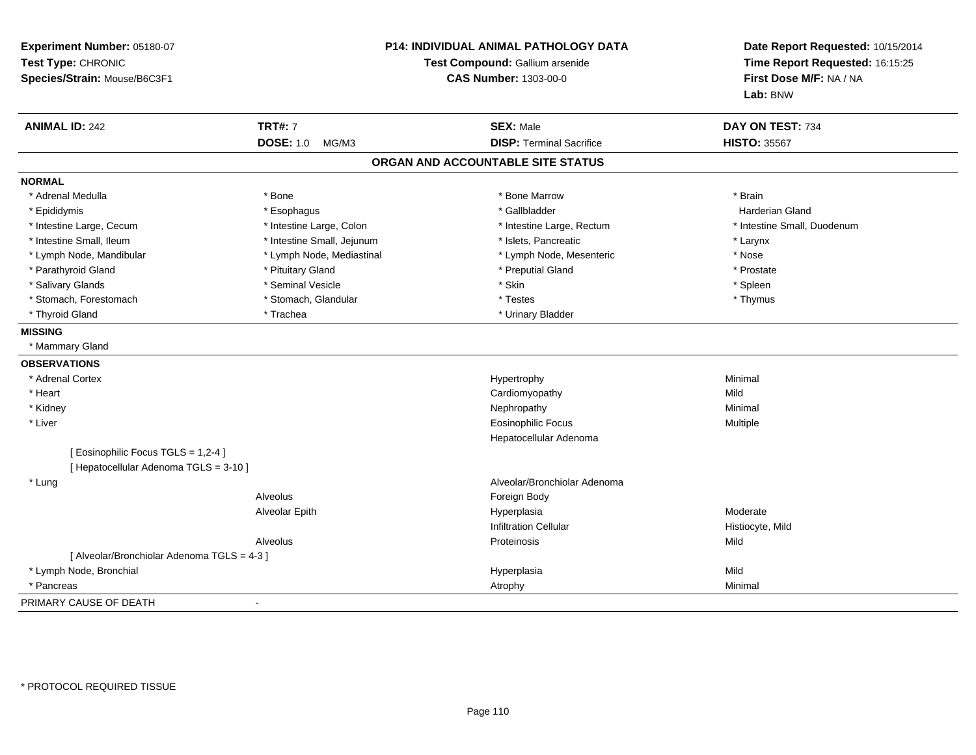| Experiment Number: 05180-07<br>Test Type: CHRONIC<br>Species/Strain: Mouse/B6C3F1 |                            | <b>P14: INDIVIDUAL ANIMAL PATHOLOGY DATA</b><br>Test Compound: Gallium arsenide<br><b>CAS Number: 1303-00-0</b> | Date Report Requested: 10/15/2014<br>Time Report Requested: 16:15:25<br>First Dose M/F: NA / NA<br>Lab: BNW |
|-----------------------------------------------------------------------------------|----------------------------|-----------------------------------------------------------------------------------------------------------------|-------------------------------------------------------------------------------------------------------------|
| <b>ANIMAL ID: 242</b>                                                             | <b>TRT#: 7</b>             | <b>SEX: Male</b>                                                                                                | DAY ON TEST: 734                                                                                            |
|                                                                                   | <b>DOSE: 1.0</b><br>MG/M3  | <b>DISP: Terminal Sacrifice</b>                                                                                 | <b>HISTO: 35567</b>                                                                                         |
|                                                                                   |                            | ORGAN AND ACCOUNTABLE SITE STATUS                                                                               |                                                                                                             |
| <b>NORMAL</b>                                                                     |                            |                                                                                                                 |                                                                                                             |
| * Adrenal Medulla                                                                 | * Bone                     | * Bone Marrow                                                                                                   | * Brain                                                                                                     |
| * Epididymis                                                                      | * Esophagus                | * Gallbladder                                                                                                   | <b>Harderian Gland</b>                                                                                      |
| * Intestine Large, Cecum                                                          | * Intestine Large, Colon   | * Intestine Large, Rectum                                                                                       | * Intestine Small, Duodenum                                                                                 |
| * Intestine Small, Ileum                                                          | * Intestine Small, Jejunum | * Islets, Pancreatic                                                                                            | * Larynx                                                                                                    |
| * Lymph Node, Mandibular                                                          | * Lymph Node, Mediastinal  | * Lymph Node, Mesenteric                                                                                        | * Nose                                                                                                      |
| * Parathyroid Gland                                                               | * Pituitary Gland          | * Preputial Gland                                                                                               | * Prostate                                                                                                  |
| * Salivary Glands                                                                 | * Seminal Vesicle          | * Skin                                                                                                          | * Spleen                                                                                                    |
| * Stomach, Forestomach                                                            | * Stomach, Glandular       | * Testes                                                                                                        | * Thymus                                                                                                    |
| * Thyroid Gland                                                                   | * Trachea                  | * Urinary Bladder                                                                                               |                                                                                                             |
| <b>MISSING</b>                                                                    |                            |                                                                                                                 |                                                                                                             |
| * Mammary Gland                                                                   |                            |                                                                                                                 |                                                                                                             |
| <b>OBSERVATIONS</b>                                                               |                            |                                                                                                                 |                                                                                                             |
| * Adrenal Cortex                                                                  |                            | Hypertrophy                                                                                                     | Minimal                                                                                                     |
| * Heart                                                                           |                            | Cardiomyopathy                                                                                                  | Mild                                                                                                        |
| * Kidney                                                                          |                            | Nephropathy                                                                                                     | Minimal                                                                                                     |
| * Liver                                                                           |                            | <b>Eosinophilic Focus</b>                                                                                       | Multiple                                                                                                    |
|                                                                                   |                            | Hepatocellular Adenoma                                                                                          |                                                                                                             |
| [ Eosinophilic Focus TGLS = 1,2-4 ]                                               |                            |                                                                                                                 |                                                                                                             |
| [ Hepatocellular Adenoma TGLS = 3-10 ]                                            |                            |                                                                                                                 |                                                                                                             |
| * Lung                                                                            |                            | Alveolar/Bronchiolar Adenoma                                                                                    |                                                                                                             |
|                                                                                   | Alveolus                   | Foreign Body                                                                                                    |                                                                                                             |
|                                                                                   | Alveolar Epith             | Hyperplasia                                                                                                     | Moderate                                                                                                    |
|                                                                                   |                            | <b>Infiltration Cellular</b>                                                                                    | Histiocyte, Mild                                                                                            |
|                                                                                   | Alveolus                   | Proteinosis                                                                                                     | Mild                                                                                                        |
| [ Alveolar/Bronchiolar Adenoma TGLS = 4-3 ]                                       |                            |                                                                                                                 |                                                                                                             |
| * Lymph Node, Bronchial                                                           |                            | Hyperplasia                                                                                                     | Mild                                                                                                        |
| * Pancreas                                                                        |                            | Atrophy                                                                                                         | Minimal                                                                                                     |
| PRIMARY CAUSE OF DEATH                                                            | $\sim$                     |                                                                                                                 |                                                                                                             |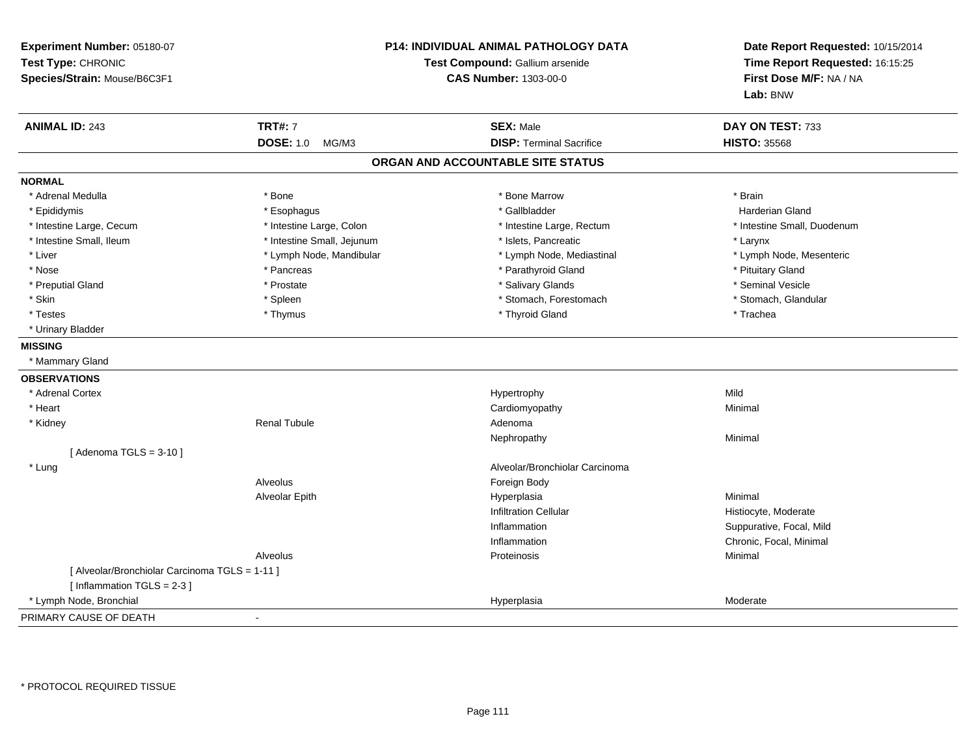| Experiment Number: 05180-07<br>Test Type: CHRONIC<br>Species/Strain: Mouse/B6C3F1 |                            | <b>P14: INDIVIDUAL ANIMAL PATHOLOGY DATA</b><br>Test Compound: Gallium arsenide<br><b>CAS Number: 1303-00-0</b> | Date Report Requested: 10/15/2014<br>Time Report Requested: 16:15:25<br>First Dose M/F: NA / NA<br>Lab: BNW |
|-----------------------------------------------------------------------------------|----------------------------|-----------------------------------------------------------------------------------------------------------------|-------------------------------------------------------------------------------------------------------------|
| <b>ANIMAL ID: 243</b>                                                             | <b>TRT#: 7</b>             | <b>SEX: Male</b>                                                                                                | DAY ON TEST: 733                                                                                            |
|                                                                                   | <b>DOSE: 1.0</b><br>MG/M3  | <b>DISP: Terminal Sacrifice</b>                                                                                 | <b>HISTO: 35568</b>                                                                                         |
|                                                                                   |                            | ORGAN AND ACCOUNTABLE SITE STATUS                                                                               |                                                                                                             |
| <b>NORMAL</b>                                                                     |                            |                                                                                                                 |                                                                                                             |
| * Adrenal Medulla                                                                 | * Bone                     | * Bone Marrow                                                                                                   | * Brain                                                                                                     |
| * Epididymis                                                                      | * Esophagus                | * Gallbladder                                                                                                   | <b>Harderian Gland</b>                                                                                      |
| * Intestine Large, Cecum                                                          | * Intestine Large, Colon   | * Intestine Large, Rectum                                                                                       | * Intestine Small, Duodenum                                                                                 |
| * Intestine Small, Ileum                                                          | * Intestine Small, Jejunum | * Islets, Pancreatic                                                                                            | * Larynx                                                                                                    |
| * Liver                                                                           | * Lymph Node, Mandibular   | * Lymph Node, Mediastinal                                                                                       | * Lymph Node, Mesenteric                                                                                    |
| * Nose                                                                            | * Pancreas                 | * Parathyroid Gland                                                                                             | * Pituitary Gland                                                                                           |
| * Preputial Gland                                                                 | * Prostate                 | * Salivary Glands                                                                                               | * Seminal Vesicle                                                                                           |
| * Skin                                                                            | * Spleen                   | * Stomach, Forestomach                                                                                          | * Stomach, Glandular                                                                                        |
| * Testes                                                                          | * Thymus                   | * Thyroid Gland                                                                                                 | * Trachea                                                                                                   |
| * Urinary Bladder                                                                 |                            |                                                                                                                 |                                                                                                             |
| <b>MISSING</b>                                                                    |                            |                                                                                                                 |                                                                                                             |
| * Mammary Gland                                                                   |                            |                                                                                                                 |                                                                                                             |
| <b>OBSERVATIONS</b>                                                               |                            |                                                                                                                 |                                                                                                             |
| * Adrenal Cortex                                                                  |                            | Hypertrophy                                                                                                     | Mild                                                                                                        |
| * Heart                                                                           |                            | Cardiomyopathy                                                                                                  | Minimal                                                                                                     |
| * Kidney                                                                          | <b>Renal Tubule</b>        | Adenoma                                                                                                         |                                                                                                             |
|                                                                                   |                            | Nephropathy                                                                                                     | Minimal                                                                                                     |
| [Adenoma TGLS = $3-10$ ]                                                          |                            |                                                                                                                 |                                                                                                             |
| * Lung                                                                            |                            | Alveolar/Bronchiolar Carcinoma                                                                                  |                                                                                                             |
|                                                                                   | Alveolus                   | Foreign Body                                                                                                    |                                                                                                             |
|                                                                                   | Alveolar Epith             | Hyperplasia                                                                                                     | Minimal                                                                                                     |
|                                                                                   |                            | <b>Infiltration Cellular</b>                                                                                    | Histiocyte, Moderate                                                                                        |
|                                                                                   |                            | Inflammation                                                                                                    | Suppurative, Focal, Mild                                                                                    |
|                                                                                   |                            | Inflammation                                                                                                    | Chronic, Focal, Minimal                                                                                     |
|                                                                                   | Alveolus                   | Proteinosis                                                                                                     | Minimal                                                                                                     |
| [ Alveolar/Bronchiolar Carcinoma TGLS = 1-11 ]                                    |                            |                                                                                                                 |                                                                                                             |
| [Inflammation $TGLS = 2-3$ ]                                                      |                            |                                                                                                                 |                                                                                                             |
| * Lymph Node, Bronchial                                                           |                            | Hyperplasia                                                                                                     | Moderate                                                                                                    |
| PRIMARY CAUSE OF DEATH                                                            | $\blacksquare$             |                                                                                                                 |                                                                                                             |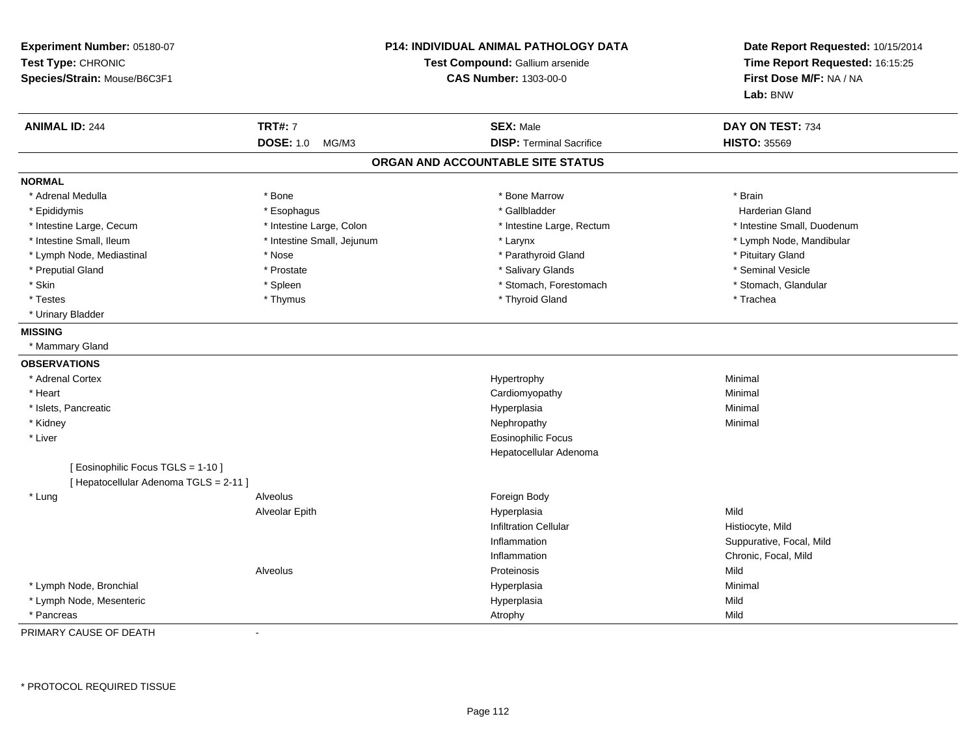| Experiment Number: 05180-07<br>Test Type: CHRONIC<br>Species/Strain: Mouse/B6C3F1 |                            | P14: INDIVIDUAL ANIMAL PATHOLOGY DATA<br>Test Compound: Gallium arsenide<br><b>CAS Number: 1303-00-0</b> | Date Report Requested: 10/15/2014<br>Time Report Requested: 16:15:25<br>First Dose M/F: NA / NA<br>Lab: BNW |
|-----------------------------------------------------------------------------------|----------------------------|----------------------------------------------------------------------------------------------------------|-------------------------------------------------------------------------------------------------------------|
| <b>ANIMAL ID: 244</b>                                                             | <b>TRT#: 7</b>             | <b>SEX: Male</b>                                                                                         | DAY ON TEST: 734                                                                                            |
|                                                                                   | <b>DOSE: 1.0</b><br>MG/M3  | <b>DISP: Terminal Sacrifice</b>                                                                          | <b>HISTO: 35569</b>                                                                                         |
|                                                                                   |                            | ORGAN AND ACCOUNTABLE SITE STATUS                                                                        |                                                                                                             |
| <b>NORMAL</b>                                                                     |                            |                                                                                                          |                                                                                                             |
| * Adrenal Medulla                                                                 | * Bone                     | * Bone Marrow                                                                                            | * Brain                                                                                                     |
| * Epididymis                                                                      | * Esophagus                | * Gallbladder                                                                                            | <b>Harderian Gland</b>                                                                                      |
| * Intestine Large, Cecum                                                          | * Intestine Large, Colon   | * Intestine Large, Rectum                                                                                | * Intestine Small, Duodenum                                                                                 |
| * Intestine Small, Ileum                                                          | * Intestine Small, Jejunum | * Larynx                                                                                                 | * Lymph Node, Mandibular                                                                                    |
| * Lymph Node, Mediastinal                                                         | * Nose                     | * Parathyroid Gland                                                                                      | * Pituitary Gland                                                                                           |
| * Preputial Gland                                                                 | * Prostate                 | * Salivary Glands                                                                                        | * Seminal Vesicle                                                                                           |
| * Skin                                                                            | * Spleen                   | * Stomach, Forestomach                                                                                   | * Stomach, Glandular                                                                                        |
| * Testes                                                                          | * Thymus                   | * Thyroid Gland                                                                                          | * Trachea                                                                                                   |
| * Urinary Bladder                                                                 |                            |                                                                                                          |                                                                                                             |
| <b>MISSING</b>                                                                    |                            |                                                                                                          |                                                                                                             |
| * Mammary Gland                                                                   |                            |                                                                                                          |                                                                                                             |
| <b>OBSERVATIONS</b>                                                               |                            |                                                                                                          |                                                                                                             |
| * Adrenal Cortex                                                                  |                            | Hypertrophy                                                                                              | Minimal                                                                                                     |
| * Heart                                                                           |                            | Cardiomyopathy                                                                                           | Minimal                                                                                                     |
| * Islets, Pancreatic                                                              |                            | Hyperplasia                                                                                              | Minimal                                                                                                     |
| * Kidney                                                                          |                            | Nephropathy                                                                                              | Minimal                                                                                                     |
| * Liver                                                                           |                            | <b>Eosinophilic Focus</b>                                                                                |                                                                                                             |
|                                                                                   |                            | Hepatocellular Adenoma                                                                                   |                                                                                                             |
| [ Eosinophilic Focus TGLS = 1-10 ]                                                |                            |                                                                                                          |                                                                                                             |
| [ Hepatocellular Adenoma TGLS = 2-11 ]                                            |                            |                                                                                                          |                                                                                                             |
| * Lung                                                                            | Alveolus                   | Foreign Body                                                                                             |                                                                                                             |
|                                                                                   | Alveolar Epith             | Hyperplasia                                                                                              | Mild                                                                                                        |
|                                                                                   |                            | <b>Infiltration Cellular</b>                                                                             | Histiocyte, Mild                                                                                            |
|                                                                                   |                            | Inflammation                                                                                             | Suppurative, Focal, Mild                                                                                    |
|                                                                                   |                            | Inflammation                                                                                             | Chronic, Focal, Mild                                                                                        |
|                                                                                   | Alveolus                   | Proteinosis                                                                                              | Mild                                                                                                        |
| * Lymph Node, Bronchial                                                           |                            | Hyperplasia                                                                                              | Minimal                                                                                                     |
| * Lymph Node, Mesenteric                                                          |                            | Hyperplasia                                                                                              | Mild                                                                                                        |
| * Pancreas                                                                        |                            | Atrophy                                                                                                  | Mild                                                                                                        |

PRIMARY CAUSE OF DEATH-

\* PROTOCOL REQUIRED TISSUE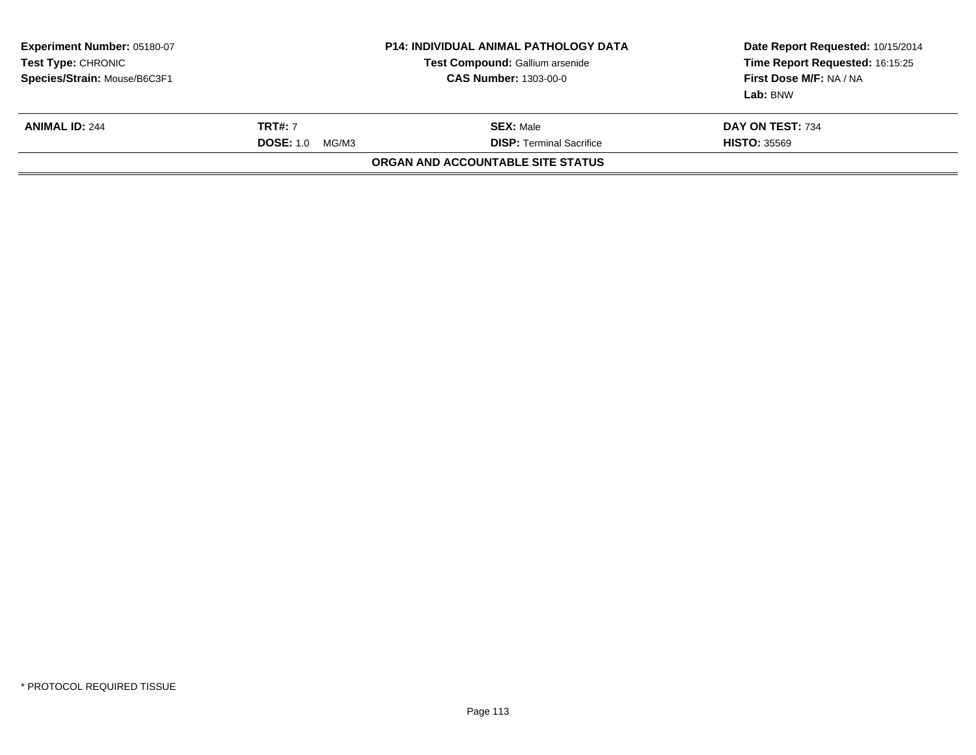| Experiment Number: 05180-07<br><b>Test Type:</b> CHRONIC<br>Species/Strain: Mouse/B6C3F1 |                                                                                                    | <b>P14: INDIVIDUAL ANIMAL PATHOLOGY DATA</b><br>Test Compound: Gallium arsenide<br><b>CAS Number: 1303-00-0</b> | Date Report Requested: 10/15/2014<br>Time Report Requested: 16:15:25<br>First Dose M/F: NA / NA<br>Lab: BNW |
|------------------------------------------------------------------------------------------|----------------------------------------------------------------------------------------------------|-----------------------------------------------------------------------------------------------------------------|-------------------------------------------------------------------------------------------------------------|
| <b>ANIMAL ID: 244</b>                                                                    | <b>TRT#: 7</b><br><b>SEX: Male</b><br><b>DISP: Terminal Sacrifice</b><br><b>DOSE: 1.0</b><br>MG/M3 |                                                                                                                 | DAY ON TEST: 734<br><b>HISTO: 35569</b>                                                                     |
|                                                                                          |                                                                                                    | ORGAN AND ACCOUNTABLE SITE STATUS                                                                               |                                                                                                             |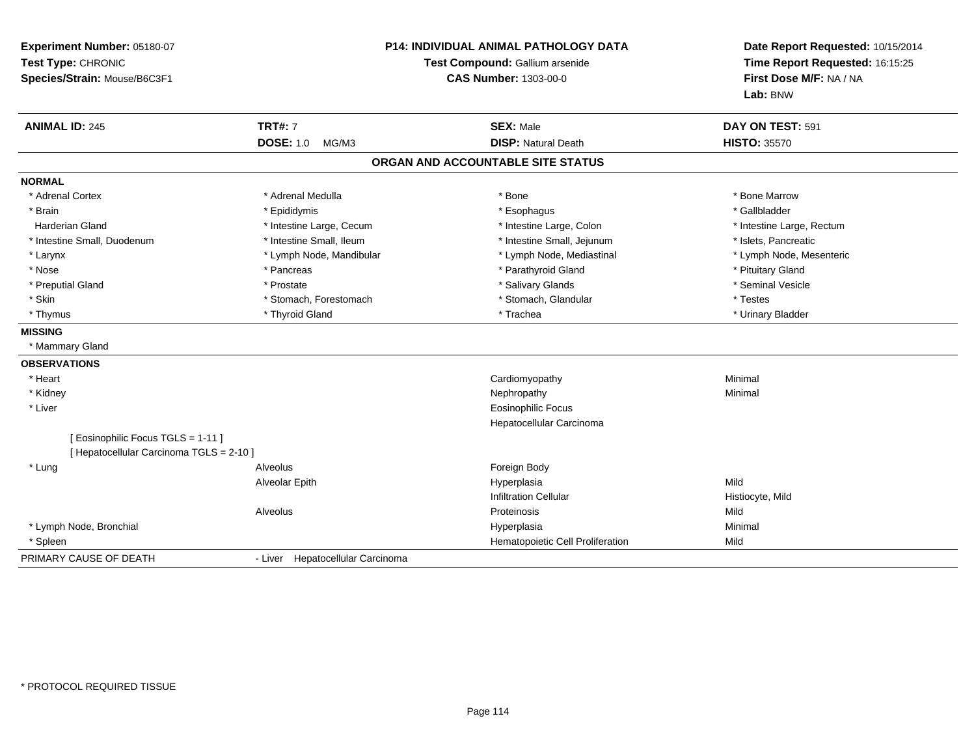| Experiment Number: 05180-07<br>Test Type: CHRONIC<br>Species/Strain: Mouse/B6C3F1 | <b>P14: INDIVIDUAL ANIMAL PATHOLOGY DATA</b><br>Test Compound: Gallium arsenide<br><b>CAS Number: 1303-00-0</b> |                                   | Date Report Requested: 10/15/2014<br>Time Report Requested: 16:15:25<br>First Dose M/F: NA / NA<br>Lab: BNW |
|-----------------------------------------------------------------------------------|-----------------------------------------------------------------------------------------------------------------|-----------------------------------|-------------------------------------------------------------------------------------------------------------|
| <b>ANIMAL ID: 245</b>                                                             | <b>TRT#: 7</b>                                                                                                  | <b>SEX: Male</b>                  | DAY ON TEST: 591                                                                                            |
|                                                                                   | <b>DOSE: 1.0</b><br>MG/M3                                                                                       | <b>DISP: Natural Death</b>        | <b>HISTO: 35570</b>                                                                                         |
|                                                                                   |                                                                                                                 | ORGAN AND ACCOUNTABLE SITE STATUS |                                                                                                             |
| <b>NORMAL</b>                                                                     |                                                                                                                 |                                   |                                                                                                             |
| * Adrenal Cortex                                                                  | * Adrenal Medulla                                                                                               | * Bone                            | * Bone Marrow                                                                                               |
| * Brain                                                                           | * Epididymis                                                                                                    | * Esophagus                       | * Gallbladder                                                                                               |
| <b>Harderian Gland</b>                                                            | * Intestine Large, Cecum                                                                                        | * Intestine Large, Colon          | * Intestine Large, Rectum                                                                                   |
| * Intestine Small, Duodenum                                                       | * Intestine Small, Ileum                                                                                        | * Intestine Small, Jejunum        | * Islets, Pancreatic                                                                                        |
| * Larynx                                                                          | * Lymph Node, Mandibular                                                                                        | * Lymph Node, Mediastinal         | * Lymph Node, Mesenteric                                                                                    |
| * Nose                                                                            | * Pancreas                                                                                                      | * Parathyroid Gland               | * Pituitary Gland                                                                                           |
| * Preputial Gland                                                                 | * Prostate                                                                                                      | * Salivary Glands                 | * Seminal Vesicle                                                                                           |
| * Skin                                                                            | * Stomach, Forestomach                                                                                          | * Stomach, Glandular              | * Testes                                                                                                    |
| * Thymus                                                                          | * Thyroid Gland                                                                                                 | * Trachea                         | * Urinary Bladder                                                                                           |
| <b>MISSING</b>                                                                    |                                                                                                                 |                                   |                                                                                                             |
| * Mammary Gland                                                                   |                                                                                                                 |                                   |                                                                                                             |
| <b>OBSERVATIONS</b>                                                               |                                                                                                                 |                                   |                                                                                                             |
| * Heart                                                                           |                                                                                                                 | Cardiomyopathy                    | Minimal                                                                                                     |
| * Kidney                                                                          |                                                                                                                 | Nephropathy                       | Minimal                                                                                                     |
| * Liver                                                                           |                                                                                                                 | <b>Eosinophilic Focus</b>         |                                                                                                             |
|                                                                                   |                                                                                                                 | Hepatocellular Carcinoma          |                                                                                                             |
| [ Eosinophilic Focus TGLS = 1-11 ]                                                |                                                                                                                 |                                   |                                                                                                             |
| [ Hepatocellular Carcinoma TGLS = 2-10 ]                                          |                                                                                                                 |                                   |                                                                                                             |
| * Lung                                                                            | Alveolus                                                                                                        | Foreign Body                      |                                                                                                             |
|                                                                                   | Alveolar Epith                                                                                                  | Hyperplasia                       | Mild                                                                                                        |
|                                                                                   |                                                                                                                 | <b>Infiltration Cellular</b>      | Histiocyte, Mild                                                                                            |
|                                                                                   | Alveolus                                                                                                        | Proteinosis                       | Mild                                                                                                        |
| * Lymph Node, Bronchial                                                           |                                                                                                                 | Hyperplasia                       | Minimal                                                                                                     |
| * Spleen                                                                          |                                                                                                                 | Hematopoietic Cell Proliferation  | Mild                                                                                                        |
| PRIMARY CAUSE OF DEATH                                                            | - Liver Hepatocellular Carcinoma                                                                                |                                   |                                                                                                             |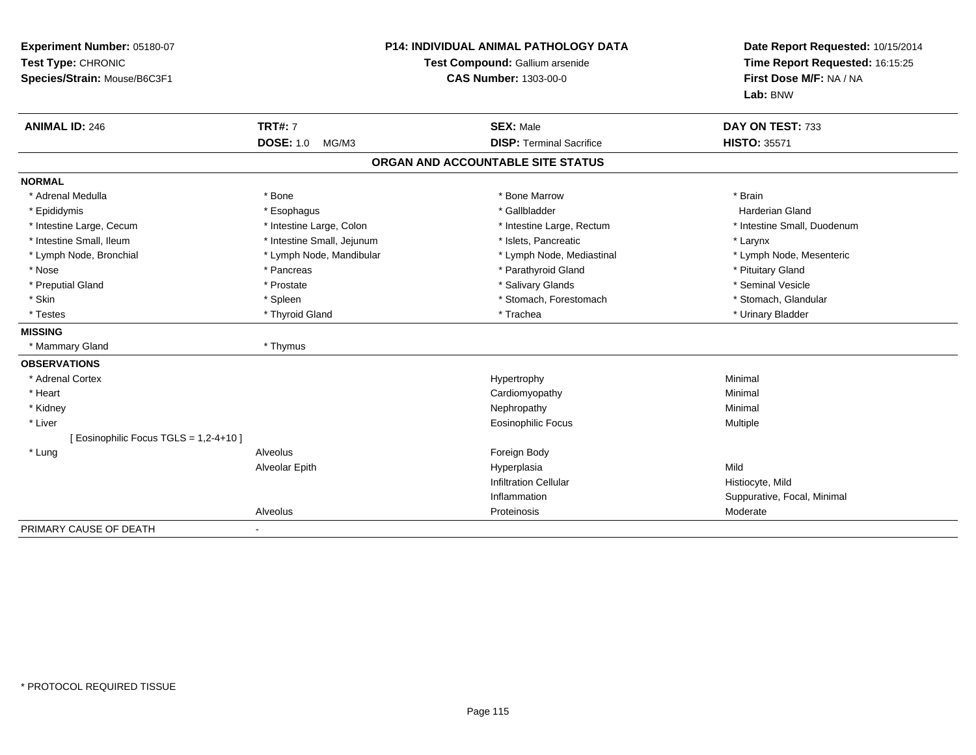| Experiment Number: 05180-07<br>Test Type: CHRONIC<br>Species/Strain: Mouse/B6C3F1 | <b>P14: INDIVIDUAL ANIMAL PATHOLOGY DATA</b><br>Test Compound: Gallium arsenide<br><b>CAS Number: 1303-00-0</b> |                                   | Date Report Requested: 10/15/2014<br>Time Report Requested: 16:15:25<br>First Dose M/F: NA / NA<br>Lab: BNW |  |
|-----------------------------------------------------------------------------------|-----------------------------------------------------------------------------------------------------------------|-----------------------------------|-------------------------------------------------------------------------------------------------------------|--|
| <b>ANIMAL ID: 246</b>                                                             | <b>TRT#: 7</b>                                                                                                  | <b>SEX: Male</b>                  | DAY ON TEST: 733                                                                                            |  |
|                                                                                   | <b>DOSE: 1.0</b><br>MG/M3                                                                                       | <b>DISP: Terminal Sacrifice</b>   | <b>HISTO: 35571</b>                                                                                         |  |
|                                                                                   |                                                                                                                 | ORGAN AND ACCOUNTABLE SITE STATUS |                                                                                                             |  |
| <b>NORMAL</b>                                                                     |                                                                                                                 |                                   |                                                                                                             |  |
| * Adrenal Medulla                                                                 | * Bone                                                                                                          | * Bone Marrow                     | * Brain                                                                                                     |  |
| * Epididymis                                                                      | * Esophagus                                                                                                     | * Gallbladder                     | <b>Harderian Gland</b>                                                                                      |  |
| * Intestine Large, Cecum                                                          | * Intestine Large, Colon                                                                                        | * Intestine Large, Rectum         | * Intestine Small, Duodenum                                                                                 |  |
| * Intestine Small, Ileum                                                          | * Intestine Small, Jejunum                                                                                      | * Islets, Pancreatic              | * Larynx                                                                                                    |  |
| * Lymph Node, Bronchial                                                           | * Lymph Node, Mandibular                                                                                        | * Lymph Node, Mediastinal         | * Lymph Node, Mesenteric                                                                                    |  |
| * Nose                                                                            | * Pancreas                                                                                                      | * Parathyroid Gland               | * Pituitary Gland                                                                                           |  |
| * Preputial Gland                                                                 | * Prostate                                                                                                      | * Salivary Glands                 | * Seminal Vesicle                                                                                           |  |
| * Skin                                                                            | * Spleen                                                                                                        | * Stomach, Forestomach            | * Stomach, Glandular                                                                                        |  |
| * Testes                                                                          | * Thyroid Gland                                                                                                 | * Trachea                         | * Urinary Bladder                                                                                           |  |
| <b>MISSING</b>                                                                    |                                                                                                                 |                                   |                                                                                                             |  |
| * Mammary Gland                                                                   | * Thymus                                                                                                        |                                   |                                                                                                             |  |
| <b>OBSERVATIONS</b>                                                               |                                                                                                                 |                                   |                                                                                                             |  |
| * Adrenal Cortex                                                                  |                                                                                                                 | Hypertrophy                       | Minimal                                                                                                     |  |
| * Heart                                                                           |                                                                                                                 | Cardiomyopathy                    | Minimal                                                                                                     |  |
| * Kidney                                                                          |                                                                                                                 | Nephropathy                       | Minimal                                                                                                     |  |
| * Liver                                                                           |                                                                                                                 | <b>Eosinophilic Focus</b>         | Multiple                                                                                                    |  |
| [ Eosinophilic Focus TGLS = 1,2-4+10 ]                                            |                                                                                                                 |                                   |                                                                                                             |  |
| * Lung                                                                            | Alveolus                                                                                                        | Foreign Body                      |                                                                                                             |  |
|                                                                                   | Alveolar Epith                                                                                                  | Hyperplasia                       | Mild                                                                                                        |  |
|                                                                                   |                                                                                                                 | <b>Infiltration Cellular</b>      | Histiocyte, Mild                                                                                            |  |
|                                                                                   |                                                                                                                 | Inflammation                      | Suppurative, Focal, Minimal                                                                                 |  |
|                                                                                   | Alveolus                                                                                                        | Proteinosis                       | Moderate                                                                                                    |  |
| PRIMARY CAUSE OF DEATH                                                            | $\blacksquare$                                                                                                  |                                   |                                                                                                             |  |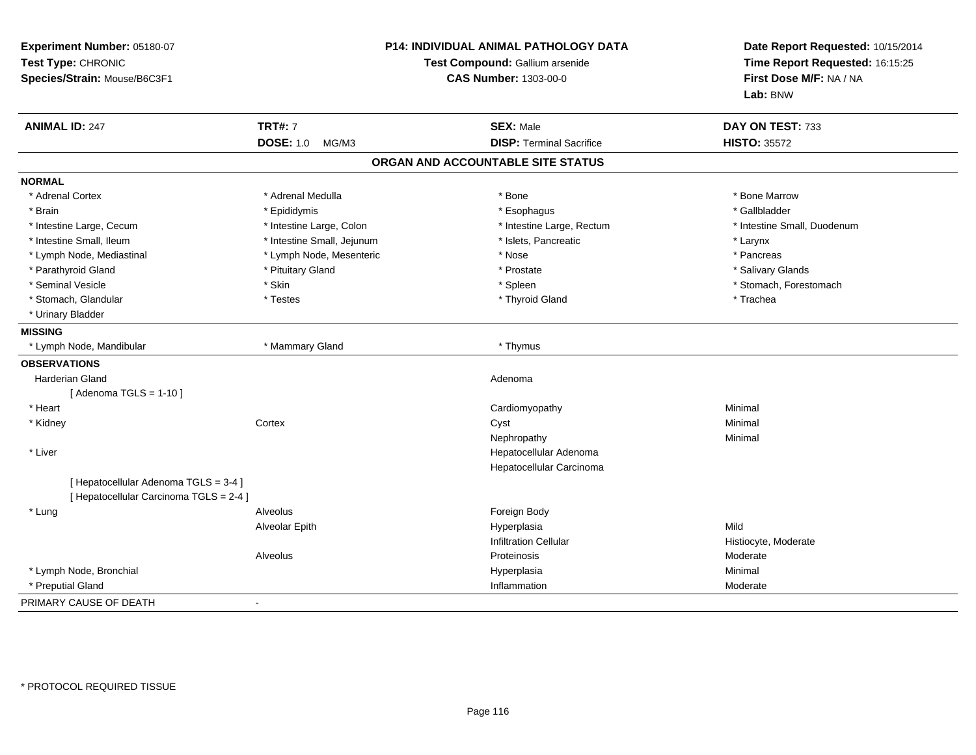| Experiment Number: 05180-07<br>Test Type: CHRONIC<br>Species/Strain: Mouse/B6C3F1 | P14: INDIVIDUAL ANIMAL PATHOLOGY DATA<br>Test Compound: Gallium arsenide<br><b>CAS Number: 1303-00-0</b> |                                   | Date Report Requested: 10/15/2014<br>Time Report Requested: 16:15:25<br>First Dose M/F: NA / NA<br>Lab: BNW |
|-----------------------------------------------------------------------------------|----------------------------------------------------------------------------------------------------------|-----------------------------------|-------------------------------------------------------------------------------------------------------------|
| <b>ANIMAL ID: 247</b>                                                             | <b>TRT#: 7</b>                                                                                           | <b>SEX: Male</b>                  | DAY ON TEST: 733                                                                                            |
|                                                                                   | <b>DOSE: 1.0</b><br>MG/M3                                                                                | <b>DISP: Terminal Sacrifice</b>   | <b>HISTO: 35572</b>                                                                                         |
|                                                                                   |                                                                                                          | ORGAN AND ACCOUNTABLE SITE STATUS |                                                                                                             |
| <b>NORMAL</b>                                                                     |                                                                                                          |                                   |                                                                                                             |
| * Adrenal Cortex                                                                  | * Adrenal Medulla                                                                                        | * Bone                            | * Bone Marrow                                                                                               |
| * Brain                                                                           | * Epididymis                                                                                             | * Esophagus                       | * Gallbladder                                                                                               |
| * Intestine Large, Cecum                                                          | * Intestine Large, Colon                                                                                 | * Intestine Large, Rectum         | * Intestine Small, Duodenum                                                                                 |
| * Intestine Small, Ileum                                                          | * Intestine Small, Jejunum                                                                               | * Islets, Pancreatic              | * Larynx                                                                                                    |
| * Lymph Node, Mediastinal                                                         | * Lymph Node, Mesenteric                                                                                 | * Nose                            | * Pancreas                                                                                                  |
| * Parathyroid Gland                                                               | * Pituitary Gland                                                                                        | * Prostate                        | * Salivary Glands                                                                                           |
| * Seminal Vesicle                                                                 | * Skin                                                                                                   | * Spleen                          | * Stomach, Forestomach                                                                                      |
| * Stomach, Glandular                                                              | * Testes                                                                                                 | * Thyroid Gland                   | * Trachea                                                                                                   |
| * Urinary Bladder                                                                 |                                                                                                          |                                   |                                                                                                             |
| <b>MISSING</b>                                                                    |                                                                                                          |                                   |                                                                                                             |
| * Lymph Node, Mandibular                                                          | * Mammary Gland                                                                                          | * Thymus                          |                                                                                                             |
| <b>OBSERVATIONS</b>                                                               |                                                                                                          |                                   |                                                                                                             |
| <b>Harderian Gland</b>                                                            |                                                                                                          | Adenoma                           |                                                                                                             |
| [Adenoma TGLS = $1-10$ ]                                                          |                                                                                                          |                                   |                                                                                                             |
| * Heart                                                                           |                                                                                                          | Cardiomyopathy                    | Minimal                                                                                                     |
| * Kidney                                                                          | Cortex                                                                                                   | Cyst                              | Minimal                                                                                                     |
|                                                                                   |                                                                                                          | Nephropathy                       | Minimal                                                                                                     |
| * Liver                                                                           |                                                                                                          | Hepatocellular Adenoma            |                                                                                                             |
|                                                                                   |                                                                                                          | Hepatocellular Carcinoma          |                                                                                                             |
| [ Hepatocellular Adenoma TGLS = 3-4 ]                                             |                                                                                                          |                                   |                                                                                                             |
| [ Hepatocellular Carcinoma TGLS = 2-4 ]                                           |                                                                                                          |                                   |                                                                                                             |
| * Lung                                                                            | Alveolus                                                                                                 | Foreign Body                      |                                                                                                             |
|                                                                                   | Alveolar Epith                                                                                           | Hyperplasia                       | Mild                                                                                                        |
|                                                                                   |                                                                                                          | <b>Infiltration Cellular</b>      | Histiocyte, Moderate                                                                                        |
|                                                                                   | Alveolus                                                                                                 | Proteinosis                       | Moderate                                                                                                    |
| * Lymph Node, Bronchial                                                           |                                                                                                          | Hyperplasia                       | Minimal                                                                                                     |
| * Preputial Gland                                                                 |                                                                                                          | Inflammation                      | Moderate                                                                                                    |
| PRIMARY CAUSE OF DEATH                                                            | $\sim$                                                                                                   |                                   |                                                                                                             |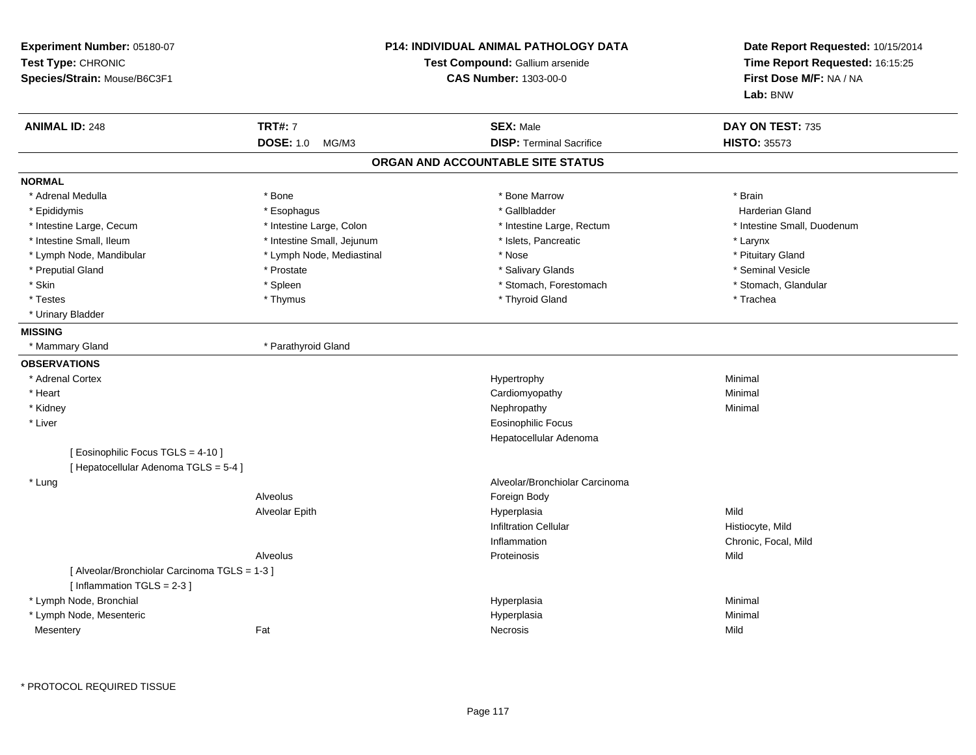| Experiment Number: 05180-07<br>Test Type: CHRONIC<br>Species/Strain: Mouse/B6C3F1 |                            | <b>P14: INDIVIDUAL ANIMAL PATHOLOGY DATA</b><br><b>Test Compound: Gallium arsenide</b><br><b>CAS Number: 1303-00-0</b> | Date Report Requested: 10/15/2014<br>Time Report Requested: 16:15:25<br>First Dose M/F: NA / NA<br>Lab: BNW |
|-----------------------------------------------------------------------------------|----------------------------|------------------------------------------------------------------------------------------------------------------------|-------------------------------------------------------------------------------------------------------------|
| <b>ANIMAL ID: 248</b>                                                             | <b>TRT#: 7</b>             | <b>SEX: Male</b>                                                                                                       | DAY ON TEST: 735                                                                                            |
|                                                                                   | DOSE: 1.0 MG/M3            | <b>DISP: Terminal Sacrifice</b>                                                                                        | <b>HISTO: 35573</b>                                                                                         |
|                                                                                   |                            | ORGAN AND ACCOUNTABLE SITE STATUS                                                                                      |                                                                                                             |
| <b>NORMAL</b>                                                                     |                            |                                                                                                                        |                                                                                                             |
| * Adrenal Medulla                                                                 | * Bone                     | * Bone Marrow                                                                                                          | * Brain                                                                                                     |
| * Epididymis                                                                      | * Esophagus                | * Gallbladder                                                                                                          | <b>Harderian Gland</b>                                                                                      |
| * Intestine Large, Cecum                                                          | * Intestine Large, Colon   | * Intestine Large, Rectum                                                                                              | * Intestine Small, Duodenum                                                                                 |
| * Intestine Small, Ileum                                                          | * Intestine Small, Jejunum | * Islets, Pancreatic                                                                                                   | * Larynx                                                                                                    |
| * Lymph Node, Mandibular                                                          | * Lymph Node, Mediastinal  | * Nose                                                                                                                 | * Pituitary Gland                                                                                           |
| * Preputial Gland                                                                 | * Prostate                 | * Salivary Glands                                                                                                      | * Seminal Vesicle                                                                                           |
| * Skin                                                                            | * Spleen                   | * Stomach, Forestomach                                                                                                 | * Stomach, Glandular                                                                                        |
| * Testes                                                                          | * Thymus                   | * Thyroid Gland                                                                                                        | * Trachea                                                                                                   |
| * Urinary Bladder                                                                 |                            |                                                                                                                        |                                                                                                             |
| <b>MISSING</b>                                                                    |                            |                                                                                                                        |                                                                                                             |
| * Mammary Gland                                                                   | * Parathyroid Gland        |                                                                                                                        |                                                                                                             |
| <b>OBSERVATIONS</b>                                                               |                            |                                                                                                                        |                                                                                                             |
| * Adrenal Cortex                                                                  |                            | Hypertrophy                                                                                                            | Minimal                                                                                                     |
| * Heart                                                                           |                            | Cardiomyopathy                                                                                                         | Minimal                                                                                                     |
| * Kidney                                                                          |                            | Nephropathy                                                                                                            | Minimal                                                                                                     |
| * Liver                                                                           |                            | Eosinophilic Focus                                                                                                     |                                                                                                             |
|                                                                                   |                            | Hepatocellular Adenoma                                                                                                 |                                                                                                             |
| [ Eosinophilic Focus TGLS = 4-10 ]<br>[ Hepatocellular Adenoma TGLS = 5-4 ]       |                            |                                                                                                                        |                                                                                                             |
| * Lung                                                                            |                            | Alveolar/Bronchiolar Carcinoma                                                                                         |                                                                                                             |
|                                                                                   | Alveolus                   | Foreign Body                                                                                                           |                                                                                                             |
|                                                                                   | Alveolar Epith             | Hyperplasia                                                                                                            | Mild                                                                                                        |
|                                                                                   |                            | <b>Infiltration Cellular</b>                                                                                           | Histiocyte, Mild                                                                                            |
|                                                                                   |                            | Inflammation                                                                                                           | Chronic, Focal, Mild                                                                                        |
|                                                                                   | Alveolus                   | Proteinosis                                                                                                            | Mild                                                                                                        |
| [ Alveolar/Bronchiolar Carcinoma TGLS = 1-3 ]<br>[ Inflammation TGLS = 2-3 ]      |                            |                                                                                                                        |                                                                                                             |
| * Lymph Node, Bronchial                                                           |                            | Hyperplasia                                                                                                            | Minimal                                                                                                     |
| * Lymph Node, Mesenteric                                                          |                            | Hyperplasia                                                                                                            | Minimal                                                                                                     |
| Mesentery                                                                         | Fat                        | Necrosis                                                                                                               | Mild                                                                                                        |

\* PROTOCOL REQUIRED TISSUE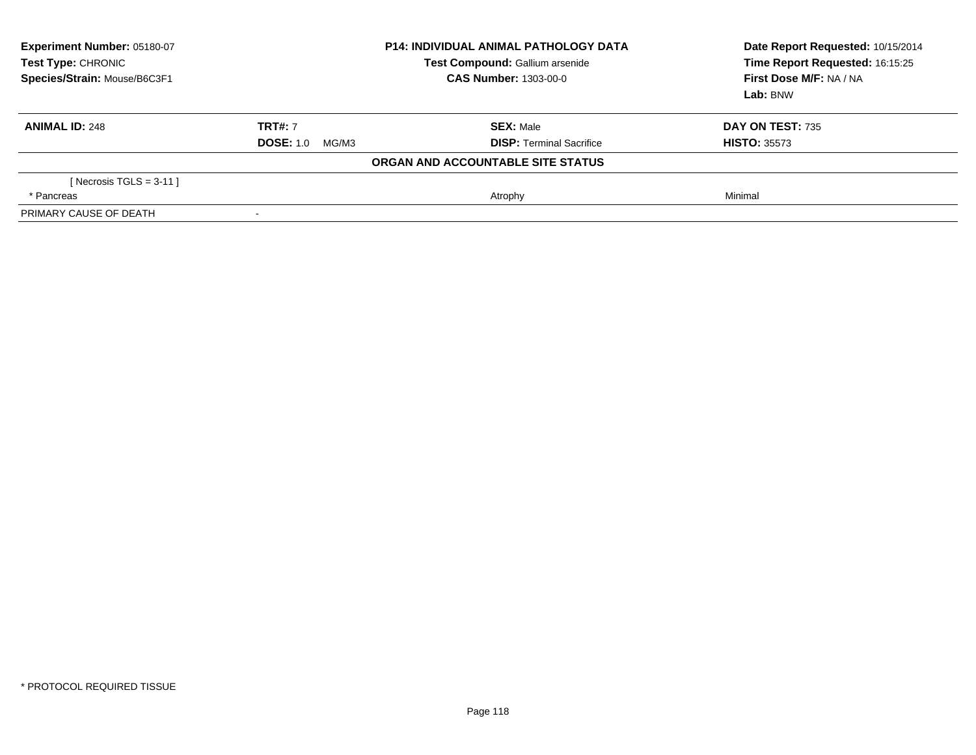| Experiment Number: 05180-07<br>Test Type: CHRONIC<br>Species/Strain: Mouse/B6C3F1 | <b>P14: INDIVIDUAL ANIMAL PATHOLOGY DATA</b><br>Test Compound: Gallium arsenide<br><b>CAS Number: 1303-00-0</b> |                                   | Date Report Requested: 10/15/2014<br>Time Report Requested: 16:15:25<br>First Dose M/F: NA / NA<br>Lab: BNW |
|-----------------------------------------------------------------------------------|-----------------------------------------------------------------------------------------------------------------|-----------------------------------|-------------------------------------------------------------------------------------------------------------|
| <b>ANIMAL ID: 248</b>                                                             | <b>TRT#: 7</b>                                                                                                  | <b>SEX: Male</b>                  | DAY ON TEST: 735                                                                                            |
|                                                                                   | <b>DOSE: 1.0</b><br>MG/M3                                                                                       | <b>DISP:</b> Terminal Sacrifice   | <b>HISTO: 35573</b>                                                                                         |
|                                                                                   |                                                                                                                 | ORGAN AND ACCOUNTABLE SITE STATUS |                                                                                                             |
| [ Necrosis TGLS = $3-11$ ]                                                        |                                                                                                                 |                                   |                                                                                                             |
| * Pancreas                                                                        |                                                                                                                 | Atrophy                           | Minimal                                                                                                     |
| PRIMARY CAUSE OF DEATH                                                            |                                                                                                                 |                                   |                                                                                                             |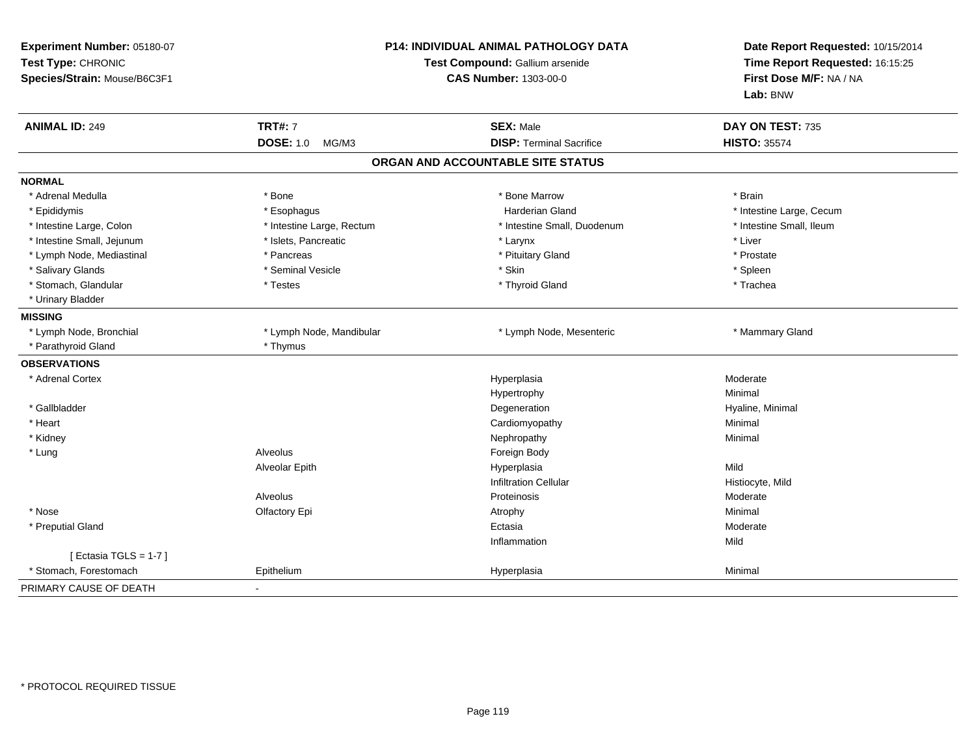| Experiment Number: 05180-07<br>Test Type: CHRONIC<br>Species/Strain: Mouse/B6C3F1 | P14: INDIVIDUAL ANIMAL PATHOLOGY DATA<br>Test Compound: Gallium arsenide<br><b>CAS Number: 1303-00-0</b> |                                   | Date Report Requested: 10/15/2014<br>Time Report Requested: 16:15:25<br>First Dose M/F: NA / NA<br>Lab: BNW |
|-----------------------------------------------------------------------------------|----------------------------------------------------------------------------------------------------------|-----------------------------------|-------------------------------------------------------------------------------------------------------------|
| <b>ANIMAL ID: 249</b>                                                             | <b>TRT#: 7</b>                                                                                           | <b>SEX: Male</b>                  | DAY ON TEST: 735                                                                                            |
|                                                                                   | <b>DOSE: 1.0</b><br>MG/M3                                                                                | <b>DISP: Terminal Sacrifice</b>   | <b>HISTO: 35574</b>                                                                                         |
|                                                                                   |                                                                                                          | ORGAN AND ACCOUNTABLE SITE STATUS |                                                                                                             |
| <b>NORMAL</b>                                                                     |                                                                                                          |                                   |                                                                                                             |
| * Adrenal Medulla                                                                 | * Bone                                                                                                   | * Bone Marrow                     | * Brain                                                                                                     |
| * Epididymis                                                                      | * Esophagus                                                                                              | <b>Harderian Gland</b>            | * Intestine Large, Cecum                                                                                    |
| * Intestine Large, Colon                                                          | * Intestine Large, Rectum                                                                                | * Intestine Small, Duodenum       | * Intestine Small, Ileum                                                                                    |
| * Intestine Small, Jejunum                                                        | * Islets, Pancreatic                                                                                     | * Larynx                          | * Liver                                                                                                     |
| * Lymph Node, Mediastinal                                                         | * Pancreas                                                                                               | * Pituitary Gland                 | * Prostate                                                                                                  |
| * Salivary Glands                                                                 | * Seminal Vesicle                                                                                        | * Skin                            | * Spleen                                                                                                    |
| * Stomach, Glandular                                                              | * Testes                                                                                                 | * Thyroid Gland                   | * Trachea                                                                                                   |
| * Urinary Bladder                                                                 |                                                                                                          |                                   |                                                                                                             |
| <b>MISSING</b>                                                                    |                                                                                                          |                                   |                                                                                                             |
| * Lymph Node, Bronchial                                                           | * Lymph Node, Mandibular                                                                                 | * Lymph Node, Mesenteric          | * Mammary Gland                                                                                             |
| * Parathyroid Gland                                                               | * Thymus                                                                                                 |                                   |                                                                                                             |
| <b>OBSERVATIONS</b>                                                               |                                                                                                          |                                   |                                                                                                             |
| * Adrenal Cortex                                                                  |                                                                                                          | Hyperplasia                       | Moderate                                                                                                    |
|                                                                                   |                                                                                                          | Hypertrophy                       | Minimal                                                                                                     |
| * Gallbladder                                                                     |                                                                                                          | Degeneration                      | Hyaline, Minimal                                                                                            |
| * Heart                                                                           |                                                                                                          | Cardiomyopathy                    | Minimal                                                                                                     |
| * Kidney                                                                          |                                                                                                          | Nephropathy                       | Minimal                                                                                                     |
| * Lung                                                                            | Alveolus                                                                                                 | Foreign Body                      |                                                                                                             |
|                                                                                   | <b>Alveolar Epith</b>                                                                                    | Hyperplasia                       | Mild                                                                                                        |
|                                                                                   |                                                                                                          | <b>Infiltration Cellular</b>      | Histiocyte, Mild                                                                                            |
|                                                                                   | Alveolus                                                                                                 | Proteinosis                       | Moderate                                                                                                    |
| * Nose                                                                            | Olfactory Epi                                                                                            | Atrophy                           | Minimal                                                                                                     |
| * Preputial Gland                                                                 |                                                                                                          | Ectasia                           | Moderate                                                                                                    |
|                                                                                   |                                                                                                          | Inflammation                      | Mild                                                                                                        |
| [ Ectasia TGLS = $1-7$ ]                                                          |                                                                                                          |                                   |                                                                                                             |
| * Stomach, Forestomach                                                            | Epithelium                                                                                               | Hyperplasia                       | Minimal                                                                                                     |
| PRIMARY CAUSE OF DEATH                                                            |                                                                                                          |                                   |                                                                                                             |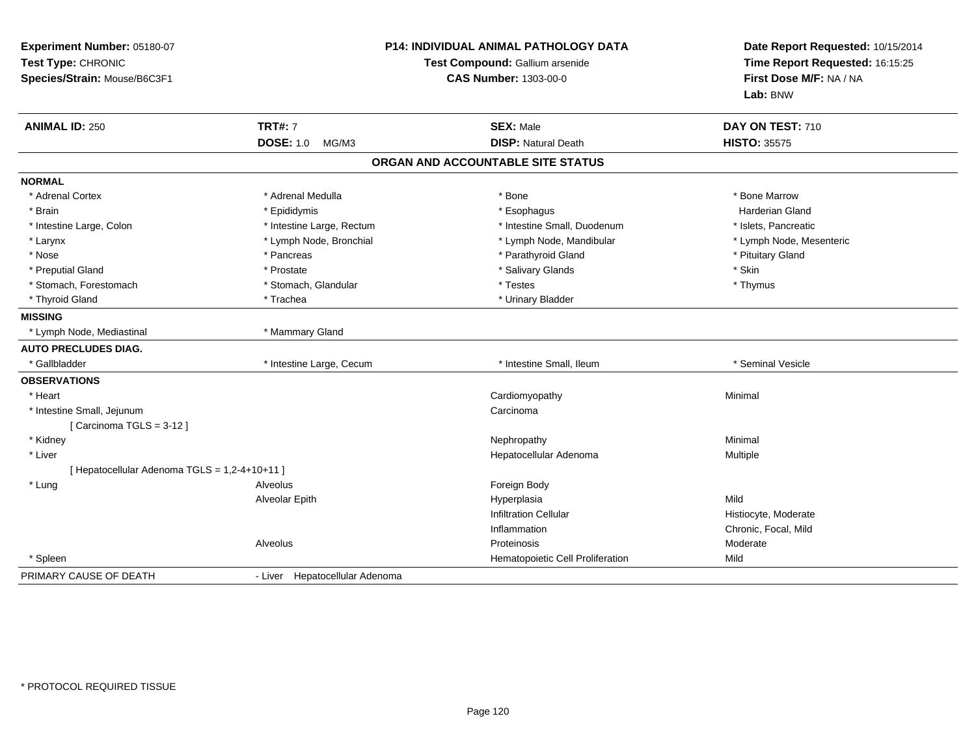| Experiment Number: 05180-07<br>Test Type: CHRONIC<br>Species/Strain: Mouse/B6C3F1 | <b>P14: INDIVIDUAL ANIMAL PATHOLOGY DATA</b><br>Test Compound: Gallium arsenide<br><b>CAS Number: 1303-00-0</b> |                                   | Date Report Requested: 10/15/2014<br>Time Report Requested: 16:15:25<br>First Dose M/F: NA / NA<br>Lab: BNW |  |
|-----------------------------------------------------------------------------------|-----------------------------------------------------------------------------------------------------------------|-----------------------------------|-------------------------------------------------------------------------------------------------------------|--|
| <b>ANIMAL ID: 250</b>                                                             | <b>TRT#: 7</b>                                                                                                  | <b>SEX: Male</b>                  | DAY ON TEST: 710                                                                                            |  |
|                                                                                   | <b>DOSE: 1.0</b><br>MG/M3                                                                                       | <b>DISP: Natural Death</b>        | <b>HISTO: 35575</b>                                                                                         |  |
|                                                                                   |                                                                                                                 | ORGAN AND ACCOUNTABLE SITE STATUS |                                                                                                             |  |
| <b>NORMAL</b>                                                                     |                                                                                                                 |                                   |                                                                                                             |  |
| * Adrenal Cortex                                                                  | * Adrenal Medulla                                                                                               | * Bone                            | * Bone Marrow                                                                                               |  |
| * Brain                                                                           | * Epididymis                                                                                                    | * Esophagus                       | <b>Harderian Gland</b>                                                                                      |  |
| * Intestine Large, Colon                                                          | * Intestine Large, Rectum                                                                                       | * Intestine Small, Duodenum       | * Islets, Pancreatic                                                                                        |  |
| * Larynx                                                                          | * Lymph Node, Bronchial                                                                                         | * Lymph Node, Mandibular          | * Lymph Node, Mesenteric                                                                                    |  |
| * Nose                                                                            | * Pancreas                                                                                                      | * Parathyroid Gland               | * Pituitary Gland                                                                                           |  |
| * Preputial Gland                                                                 | * Prostate                                                                                                      | * Salivary Glands                 | * Skin                                                                                                      |  |
| * Stomach, Forestomach                                                            | * Stomach, Glandular                                                                                            | * Testes                          | * Thymus                                                                                                    |  |
| * Thyroid Gland                                                                   | * Trachea                                                                                                       | * Urinary Bladder                 |                                                                                                             |  |
| <b>MISSING</b>                                                                    |                                                                                                                 |                                   |                                                                                                             |  |
| * Lymph Node, Mediastinal                                                         | * Mammary Gland                                                                                                 |                                   |                                                                                                             |  |
| <b>AUTO PRECLUDES DIAG.</b>                                                       |                                                                                                                 |                                   |                                                                                                             |  |
| * Gallbladder                                                                     | * Intestine Large, Cecum                                                                                        | * Intestine Small, Ileum          | * Seminal Vesicle                                                                                           |  |
| <b>OBSERVATIONS</b>                                                               |                                                                                                                 |                                   |                                                                                                             |  |
| * Heart                                                                           |                                                                                                                 | Cardiomyopathy                    | Minimal                                                                                                     |  |
| * Intestine Small, Jejunum                                                        |                                                                                                                 | Carcinoma                         |                                                                                                             |  |
| [Carcinoma TGLS = $3-12$ ]                                                        |                                                                                                                 |                                   |                                                                                                             |  |
| * Kidney                                                                          |                                                                                                                 | Nephropathy                       | Minimal                                                                                                     |  |
| * Liver                                                                           |                                                                                                                 | Hepatocellular Adenoma            | Multiple                                                                                                    |  |
| [ Hepatocellular Adenoma TGLS = 1,2-4+10+11 ]                                     |                                                                                                                 |                                   |                                                                                                             |  |
| * Lung                                                                            | Alveolus                                                                                                        | Foreign Body                      |                                                                                                             |  |
|                                                                                   | Alveolar Epith                                                                                                  | Hyperplasia                       | Mild                                                                                                        |  |
|                                                                                   |                                                                                                                 | <b>Infiltration Cellular</b>      | Histiocyte, Moderate                                                                                        |  |
|                                                                                   |                                                                                                                 | Inflammation                      | Chronic, Focal, Mild                                                                                        |  |
|                                                                                   | Alveolus                                                                                                        | Proteinosis                       | Moderate                                                                                                    |  |
| * Spleen                                                                          |                                                                                                                 | Hematopoietic Cell Proliferation  | Mild                                                                                                        |  |
| PRIMARY CAUSE OF DEATH                                                            | - Liver Hepatocellular Adenoma                                                                                  |                                   |                                                                                                             |  |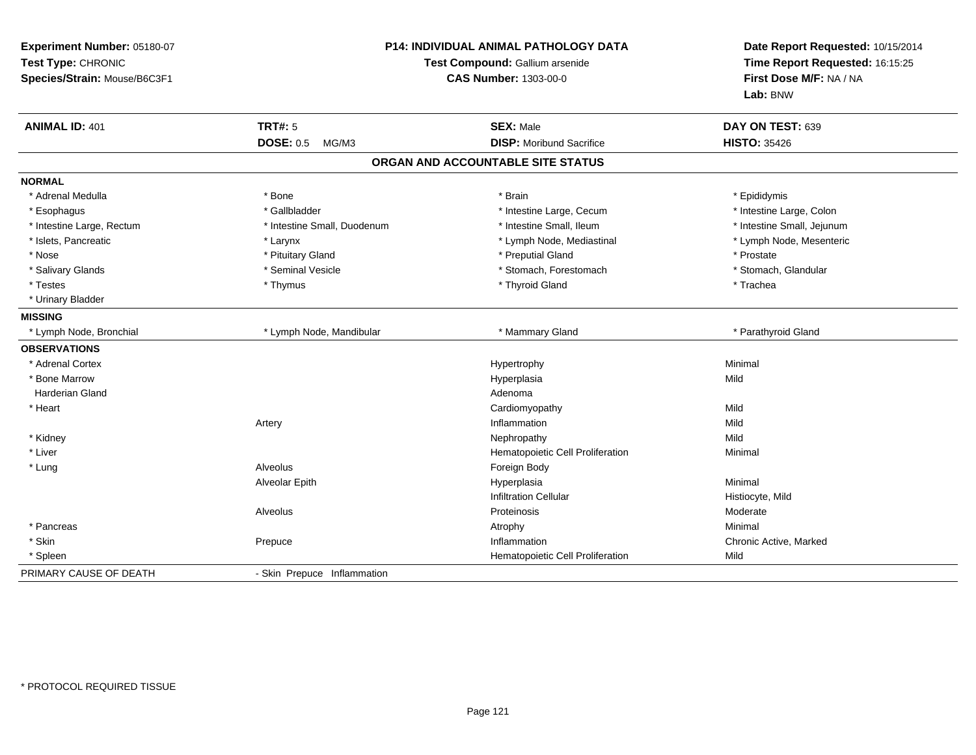| Experiment Number: 05180-07<br>Test Type: CHRONIC<br>Species/Strain: Mouse/B6C3F1 | P14: INDIVIDUAL ANIMAL PATHOLOGY DATA<br>Test Compound: Gallium arsenide<br><b>CAS Number: 1303-00-0</b> |                                   | Date Report Requested: 10/15/2014<br>Time Report Requested: 16:15:25<br>First Dose M/F: NA / NA<br>Lab: BNW |
|-----------------------------------------------------------------------------------|----------------------------------------------------------------------------------------------------------|-----------------------------------|-------------------------------------------------------------------------------------------------------------|
| <b>ANIMAL ID: 401</b>                                                             | <b>TRT#: 5</b>                                                                                           | <b>SEX: Male</b>                  | DAY ON TEST: 639                                                                                            |
|                                                                                   | <b>DOSE: 0.5</b><br>MG/M3                                                                                | <b>DISP:</b> Moribund Sacrifice   | <b>HISTO: 35426</b>                                                                                         |
|                                                                                   |                                                                                                          | ORGAN AND ACCOUNTABLE SITE STATUS |                                                                                                             |
| <b>NORMAL</b>                                                                     |                                                                                                          |                                   |                                                                                                             |
| * Adrenal Medulla                                                                 | * Bone                                                                                                   | * Brain                           | * Epididymis                                                                                                |
| * Esophagus                                                                       | * Gallbladder                                                                                            | * Intestine Large, Cecum          | * Intestine Large, Colon                                                                                    |
| * Intestine Large, Rectum                                                         | * Intestine Small, Duodenum                                                                              | * Intestine Small, Ileum          | * Intestine Small, Jejunum                                                                                  |
| * Islets, Pancreatic                                                              | * Larynx                                                                                                 | * Lymph Node, Mediastinal         | * Lymph Node, Mesenteric                                                                                    |
| * Nose                                                                            | * Pituitary Gland                                                                                        | * Preputial Gland                 | * Prostate                                                                                                  |
| * Salivary Glands                                                                 | * Seminal Vesicle                                                                                        | * Stomach, Forestomach            | * Stomach, Glandular                                                                                        |
| * Testes                                                                          | * Thymus                                                                                                 | * Thyroid Gland                   | * Trachea                                                                                                   |
| * Urinary Bladder                                                                 |                                                                                                          |                                   |                                                                                                             |
| <b>MISSING</b>                                                                    |                                                                                                          |                                   |                                                                                                             |
| * Lymph Node, Bronchial                                                           | * Lymph Node, Mandibular                                                                                 | * Mammary Gland                   | * Parathyroid Gland                                                                                         |
| <b>OBSERVATIONS</b>                                                               |                                                                                                          |                                   |                                                                                                             |
| * Adrenal Cortex                                                                  |                                                                                                          | Hypertrophy                       | Minimal                                                                                                     |
| * Bone Marrow                                                                     |                                                                                                          | Hyperplasia                       | Mild                                                                                                        |
| <b>Harderian Gland</b>                                                            |                                                                                                          | Adenoma                           |                                                                                                             |
| * Heart                                                                           |                                                                                                          | Cardiomyopathy                    | Mild                                                                                                        |
|                                                                                   | Artery                                                                                                   | Inflammation                      | Mild                                                                                                        |
| * Kidney                                                                          |                                                                                                          | Nephropathy                       | Mild                                                                                                        |
| * Liver                                                                           |                                                                                                          | Hematopoietic Cell Proliferation  | Minimal                                                                                                     |
| * Lung                                                                            | Alveolus                                                                                                 | Foreign Body                      |                                                                                                             |
|                                                                                   | Alveolar Epith                                                                                           | Hyperplasia                       | Minimal                                                                                                     |
|                                                                                   |                                                                                                          | <b>Infiltration Cellular</b>      | Histiocyte, Mild                                                                                            |
|                                                                                   | Alveolus                                                                                                 | Proteinosis                       | Moderate                                                                                                    |
| * Pancreas                                                                        |                                                                                                          | Atrophy                           | Minimal                                                                                                     |
| * Skin                                                                            | Prepuce                                                                                                  | Inflammation                      | Chronic Active, Marked                                                                                      |
| * Spleen                                                                          |                                                                                                          | Hematopoietic Cell Proliferation  | Mild                                                                                                        |
| PRIMARY CAUSE OF DEATH                                                            | - Skin Prepuce Inflammation                                                                              |                                   |                                                                                                             |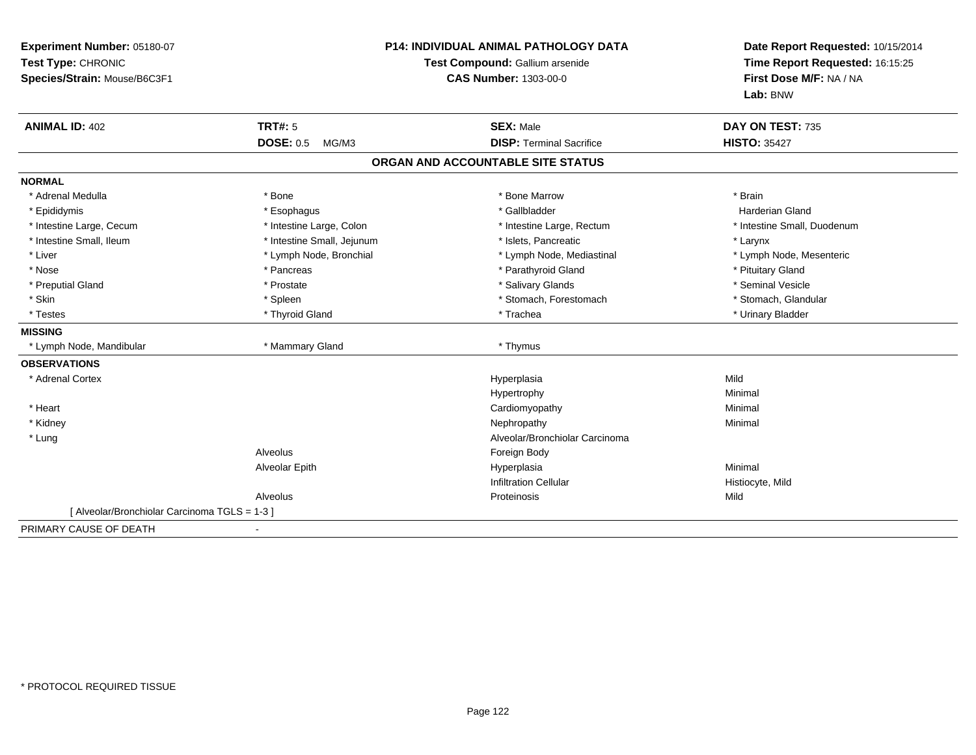| Experiment Number: 05180-07<br>Test Type: CHRONIC<br>Species/Strain: Mouse/B6C3F1 | <b>P14: INDIVIDUAL ANIMAL PATHOLOGY DATA</b><br>Test Compound: Gallium arsenide<br><b>CAS Number: 1303-00-0</b> |                                   | Date Report Requested: 10/15/2014<br>Time Report Requested: 16:15:25<br>First Dose M/F: NA / NA<br>Lab: BNW |
|-----------------------------------------------------------------------------------|-----------------------------------------------------------------------------------------------------------------|-----------------------------------|-------------------------------------------------------------------------------------------------------------|
| <b>ANIMAL ID: 402</b>                                                             | TRT#: 5                                                                                                         | <b>SEX: Male</b>                  | DAY ON TEST: 735                                                                                            |
|                                                                                   | <b>DOSE: 0.5</b><br>MG/M3                                                                                       | <b>DISP: Terminal Sacrifice</b>   | <b>HISTO: 35427</b>                                                                                         |
|                                                                                   |                                                                                                                 | ORGAN AND ACCOUNTABLE SITE STATUS |                                                                                                             |
| <b>NORMAL</b>                                                                     |                                                                                                                 |                                   |                                                                                                             |
| * Adrenal Medulla                                                                 | * Bone                                                                                                          | * Bone Marrow                     | * Brain                                                                                                     |
| * Epididymis                                                                      | * Esophagus                                                                                                     | * Gallbladder                     | <b>Harderian Gland</b>                                                                                      |
| * Intestine Large, Cecum                                                          | * Intestine Large, Colon                                                                                        | * Intestine Large, Rectum         | * Intestine Small, Duodenum                                                                                 |
| * Intestine Small, Ileum                                                          | * Intestine Small, Jejunum                                                                                      | * Islets, Pancreatic              | * Larynx                                                                                                    |
| * Liver                                                                           | * Lymph Node, Bronchial                                                                                         | * Lymph Node, Mediastinal         | * Lymph Node, Mesenteric                                                                                    |
| * Nose                                                                            | * Pancreas                                                                                                      | * Parathyroid Gland               | * Pituitary Gland                                                                                           |
| * Preputial Gland                                                                 | * Prostate                                                                                                      | * Salivary Glands                 | * Seminal Vesicle                                                                                           |
| * Skin                                                                            | * Spleen                                                                                                        | * Stomach, Forestomach            | * Stomach, Glandular                                                                                        |
| * Testes                                                                          | * Thyroid Gland                                                                                                 | * Trachea                         | * Urinary Bladder                                                                                           |
| <b>MISSING</b>                                                                    |                                                                                                                 |                                   |                                                                                                             |
| * Lymph Node, Mandibular                                                          | * Mammary Gland                                                                                                 | * Thymus                          |                                                                                                             |
| <b>OBSERVATIONS</b>                                                               |                                                                                                                 |                                   |                                                                                                             |
| * Adrenal Cortex                                                                  |                                                                                                                 | Hyperplasia                       | Mild                                                                                                        |
|                                                                                   |                                                                                                                 | Hypertrophy                       | Minimal                                                                                                     |
| * Heart                                                                           |                                                                                                                 | Cardiomyopathy                    | Minimal                                                                                                     |
| * Kidney                                                                          |                                                                                                                 | Nephropathy                       | Minimal                                                                                                     |
| * Lung                                                                            |                                                                                                                 | Alveolar/Bronchiolar Carcinoma    |                                                                                                             |
|                                                                                   | Alveolus                                                                                                        | Foreign Body                      |                                                                                                             |
|                                                                                   | Alveolar Epith                                                                                                  | Hyperplasia                       | Minimal                                                                                                     |
|                                                                                   |                                                                                                                 | <b>Infiltration Cellular</b>      | Histiocyte, Mild                                                                                            |
|                                                                                   | Alveolus                                                                                                        | Proteinosis                       | Mild                                                                                                        |
| [Alveolar/Bronchiolar Carcinoma TGLS = 1-3]                                       |                                                                                                                 |                                   |                                                                                                             |
| PRIMARY CAUSE OF DEATH                                                            |                                                                                                                 |                                   |                                                                                                             |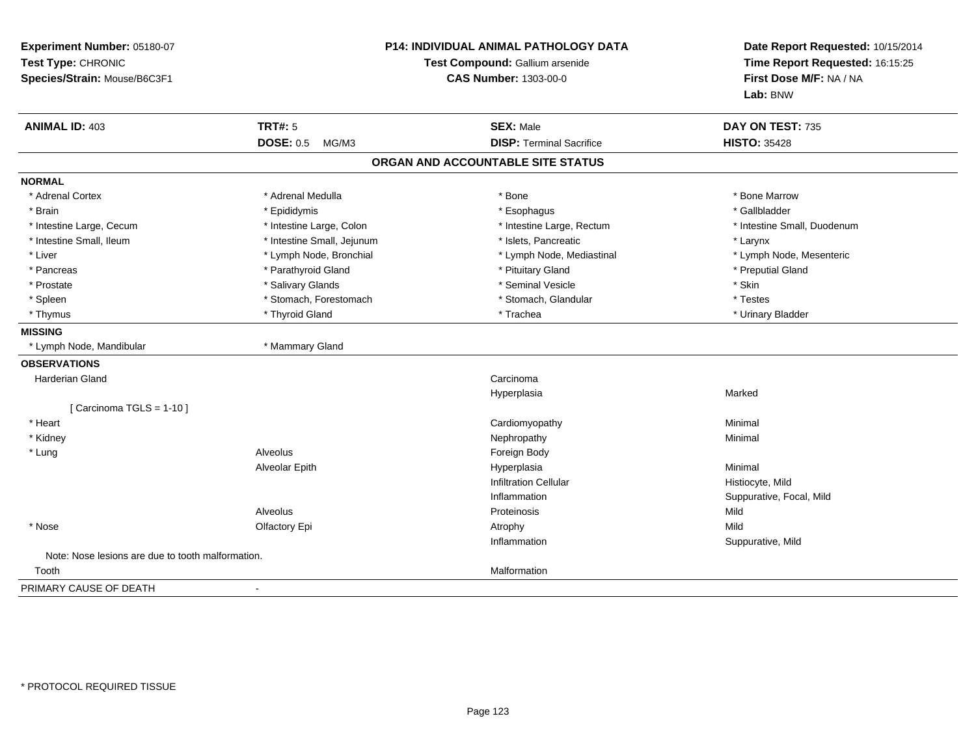| Experiment Number: 05180-07<br>Test Type: CHRONIC<br>Species/Strain: Mouse/B6C3F1 |                            | <b>P14: INDIVIDUAL ANIMAL PATHOLOGY DATA</b><br>Test Compound: Gallium arsenide<br><b>CAS Number: 1303-00-0</b> |                             |
|-----------------------------------------------------------------------------------|----------------------------|-----------------------------------------------------------------------------------------------------------------|-----------------------------|
| <b>ANIMAL ID: 403</b>                                                             | <b>TRT#: 5</b>             | <b>SEX: Male</b>                                                                                                | DAY ON TEST: 735            |
|                                                                                   | <b>DOSE: 0.5</b><br>MG/M3  | <b>DISP: Terminal Sacrifice</b>                                                                                 | <b>HISTO: 35428</b>         |
|                                                                                   |                            | ORGAN AND ACCOUNTABLE SITE STATUS                                                                               |                             |
| <b>NORMAL</b>                                                                     |                            |                                                                                                                 |                             |
| * Adrenal Cortex                                                                  | * Adrenal Medulla          | * Bone                                                                                                          | * Bone Marrow               |
| * Brain                                                                           | * Epididymis               | * Esophagus                                                                                                     | * Gallbladder               |
| * Intestine Large, Cecum                                                          | * Intestine Large, Colon   | * Intestine Large, Rectum                                                                                       | * Intestine Small, Duodenum |
| * Intestine Small, Ileum                                                          | * Intestine Small, Jejunum | * Islets, Pancreatic                                                                                            | * Larynx                    |
| * Liver                                                                           | * Lymph Node, Bronchial    | * Lymph Node, Mediastinal                                                                                       | * Lymph Node, Mesenteric    |
| * Pancreas                                                                        | * Parathyroid Gland        | * Pituitary Gland                                                                                               | * Preputial Gland           |
| * Prostate                                                                        | * Salivary Glands          | * Seminal Vesicle                                                                                               | * Skin                      |
| * Spleen                                                                          | * Stomach, Forestomach     | * Stomach, Glandular                                                                                            | * Testes                    |
| * Thymus                                                                          | * Thyroid Gland            | * Trachea                                                                                                       | * Urinary Bladder           |
| <b>MISSING</b>                                                                    |                            |                                                                                                                 |                             |
| * Lymph Node, Mandibular                                                          | * Mammary Gland            |                                                                                                                 |                             |
| <b>OBSERVATIONS</b>                                                               |                            |                                                                                                                 |                             |
| Harderian Gland                                                                   |                            | Carcinoma                                                                                                       |                             |
|                                                                                   |                            | Hyperplasia                                                                                                     | Marked                      |
| [Carcinoma TGLS = $1-10$ ]                                                        |                            |                                                                                                                 |                             |
| * Heart                                                                           |                            | Cardiomyopathy                                                                                                  | Minimal                     |
| * Kidney                                                                          |                            | Nephropathy                                                                                                     | Minimal                     |
| * Lung                                                                            | Alveolus                   | Foreign Body                                                                                                    |                             |
|                                                                                   | Alveolar Epith             | Hyperplasia                                                                                                     | Minimal                     |
|                                                                                   |                            | <b>Infiltration Cellular</b>                                                                                    | Histiocyte, Mild            |
|                                                                                   |                            | Inflammation                                                                                                    | Suppurative, Focal, Mild    |
|                                                                                   | Alveolus                   | Proteinosis                                                                                                     | Mild                        |
| * Nose                                                                            | Olfactory Epi              | Atrophy                                                                                                         | Mild                        |
|                                                                                   |                            | Inflammation                                                                                                    | Suppurative, Mild           |
| Note: Nose lesions are due to tooth malformation.                                 |                            |                                                                                                                 |                             |
| Tooth                                                                             |                            | Malformation                                                                                                    |                             |
| PRIMARY CAUSE OF DEATH                                                            | $\blacksquare$             |                                                                                                                 |                             |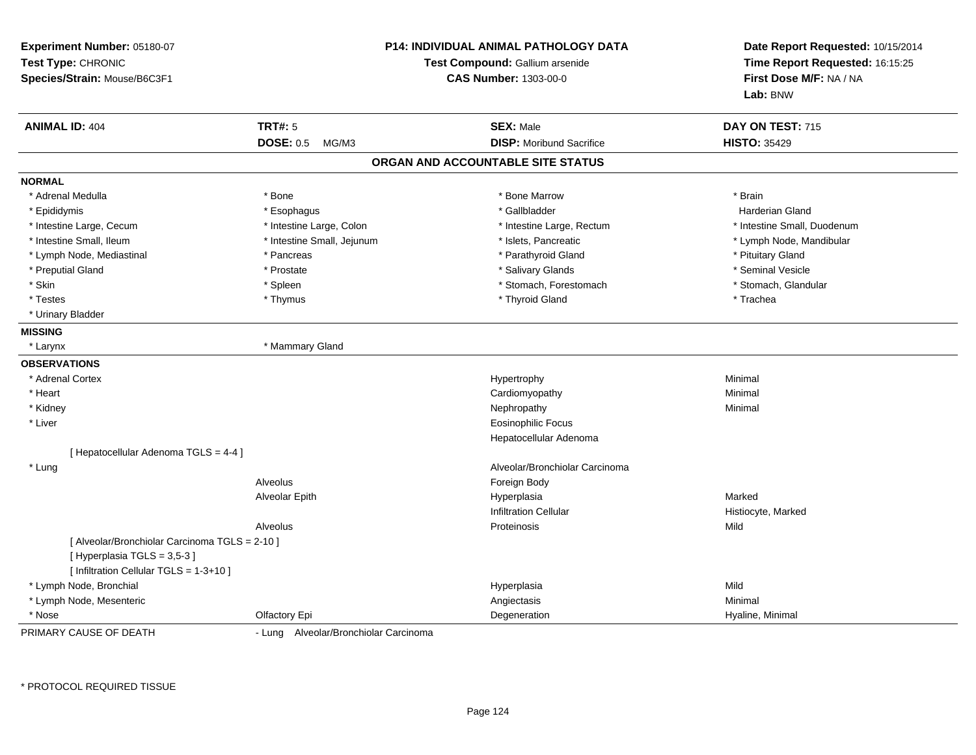| Experiment Number: 05180-07<br>Test Type: CHRONIC<br>Species/Strain: Mouse/B6C3F1 |                                       | <b>P14: INDIVIDUAL ANIMAL PATHOLOGY DATA</b><br>Test Compound: Gallium arsenide<br><b>CAS Number: 1303-00-0</b> | Date Report Requested: 10/15/2014<br>Time Report Requested: 16:15:25<br>First Dose M/F: NA / NA<br>Lab: BNW |
|-----------------------------------------------------------------------------------|---------------------------------------|-----------------------------------------------------------------------------------------------------------------|-------------------------------------------------------------------------------------------------------------|
| <b>ANIMAL ID: 404</b>                                                             | <b>TRT#: 5</b>                        | <b>SEX: Male</b>                                                                                                | DAY ON TEST: 715                                                                                            |
|                                                                                   | <b>DOSE: 0.5</b><br>MG/M3             | <b>DISP:</b> Moribund Sacrifice                                                                                 | <b>HISTO: 35429</b>                                                                                         |
|                                                                                   |                                       | ORGAN AND ACCOUNTABLE SITE STATUS                                                                               |                                                                                                             |
| <b>NORMAL</b>                                                                     |                                       |                                                                                                                 |                                                                                                             |
| * Adrenal Medulla                                                                 | * Bone                                | * Bone Marrow                                                                                                   | * Brain                                                                                                     |
| * Epididymis                                                                      | * Esophagus                           | * Gallbladder                                                                                                   | Harderian Gland                                                                                             |
| * Intestine Large, Cecum                                                          | * Intestine Large, Colon              | * Intestine Large, Rectum                                                                                       | * Intestine Small, Duodenum                                                                                 |
| * Intestine Small, Ileum                                                          | * Intestine Small, Jejunum            | * Islets, Pancreatic                                                                                            | * Lymph Node, Mandibular                                                                                    |
| * Lymph Node, Mediastinal                                                         | * Pancreas                            | * Parathyroid Gland                                                                                             | * Pituitary Gland                                                                                           |
| * Preputial Gland                                                                 | * Prostate                            | * Salivary Glands                                                                                               | * Seminal Vesicle                                                                                           |
| * Skin                                                                            | * Spleen                              | * Stomach, Forestomach                                                                                          | * Stomach, Glandular                                                                                        |
| * Testes                                                                          | * Thymus                              | * Thyroid Gland                                                                                                 | * Trachea                                                                                                   |
| * Urinary Bladder                                                                 |                                       |                                                                                                                 |                                                                                                             |
| <b>MISSING</b>                                                                    |                                       |                                                                                                                 |                                                                                                             |
| * Larynx                                                                          | * Mammary Gland                       |                                                                                                                 |                                                                                                             |
| <b>OBSERVATIONS</b>                                                               |                                       |                                                                                                                 |                                                                                                             |
| * Adrenal Cortex                                                                  |                                       | Hypertrophy                                                                                                     | Minimal                                                                                                     |
| * Heart                                                                           |                                       | Cardiomyopathy                                                                                                  | Minimal                                                                                                     |
| * Kidney                                                                          |                                       | Nephropathy                                                                                                     | Minimal                                                                                                     |
| * Liver                                                                           |                                       | Eosinophilic Focus                                                                                              |                                                                                                             |
|                                                                                   |                                       | Hepatocellular Adenoma                                                                                          |                                                                                                             |
| [ Hepatocellular Adenoma TGLS = 4-4 ]                                             |                                       |                                                                                                                 |                                                                                                             |
| * Lung                                                                            |                                       | Alveolar/Bronchiolar Carcinoma                                                                                  |                                                                                                             |
|                                                                                   | Alveolus                              | Foreign Body                                                                                                    |                                                                                                             |
|                                                                                   | Alveolar Epith                        | Hyperplasia                                                                                                     | Marked                                                                                                      |
|                                                                                   |                                       | <b>Infiltration Cellular</b>                                                                                    | Histiocyte, Marked                                                                                          |
|                                                                                   | <b>Alveolus</b>                       | Proteinosis                                                                                                     | Mild                                                                                                        |
| [ Alveolar/Bronchiolar Carcinoma TGLS = 2-10 ]                                    |                                       |                                                                                                                 |                                                                                                             |
| [Hyperplasia TGLS = 3,5-3]                                                        |                                       |                                                                                                                 |                                                                                                             |
| [ Infiltration Cellular TGLS = 1-3+10 ]                                           |                                       |                                                                                                                 |                                                                                                             |
| * Lymph Node, Bronchial                                                           |                                       | Hyperplasia                                                                                                     | Mild                                                                                                        |
| * Lymph Node, Mesenteric                                                          |                                       | Angiectasis                                                                                                     | Minimal                                                                                                     |
| * Nose                                                                            | Olfactory Epi                         | Degeneration                                                                                                    | Hyaline, Minimal                                                                                            |
| PRIMARY CAUSE OF DEATH                                                            | - Lung Alveolar/Bronchiolar Carcinoma |                                                                                                                 |                                                                                                             |

\* PROTOCOL REQUIRED TISSUE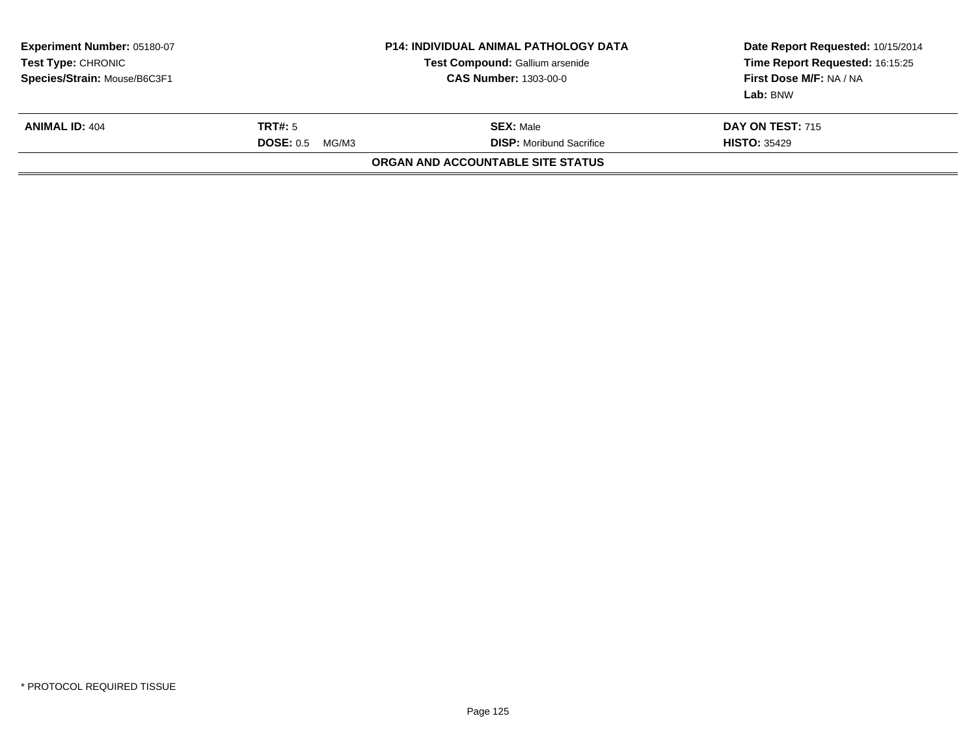| <b>Experiment Number: 05180-07</b><br><b>Test Type: CHRONIC</b><br>Species/Strain: Mouse/B6C3F1 |                                      | <b>P14: INDIVIDUAL ANIMAL PATHOLOGY DATA</b><br>Test Compound: Gallium arsenide<br><b>CAS Number: 1303-00-0</b> | Date Report Requested: 10/15/2014<br>Time Report Requested: 16:15:25<br>First Dose M/F: NA / NA<br>Lab: BNW |
|-------------------------------------------------------------------------------------------------|--------------------------------------|-----------------------------------------------------------------------------------------------------------------|-------------------------------------------------------------------------------------------------------------|
| <b>ANIMAL ID: 404</b>                                                                           | <b>TRT#:</b> 5<br>DOSE: 0.5<br>MG/M3 | <b>SEX: Male</b><br><b>DISP:</b> Moribund Sacrifice                                                             | <b>DAY ON TEST: 715</b><br><b>HISTO: 35429</b>                                                              |
|                                                                                                 |                                      | ORGAN AND ACCOUNTABLE SITE STATUS                                                                               |                                                                                                             |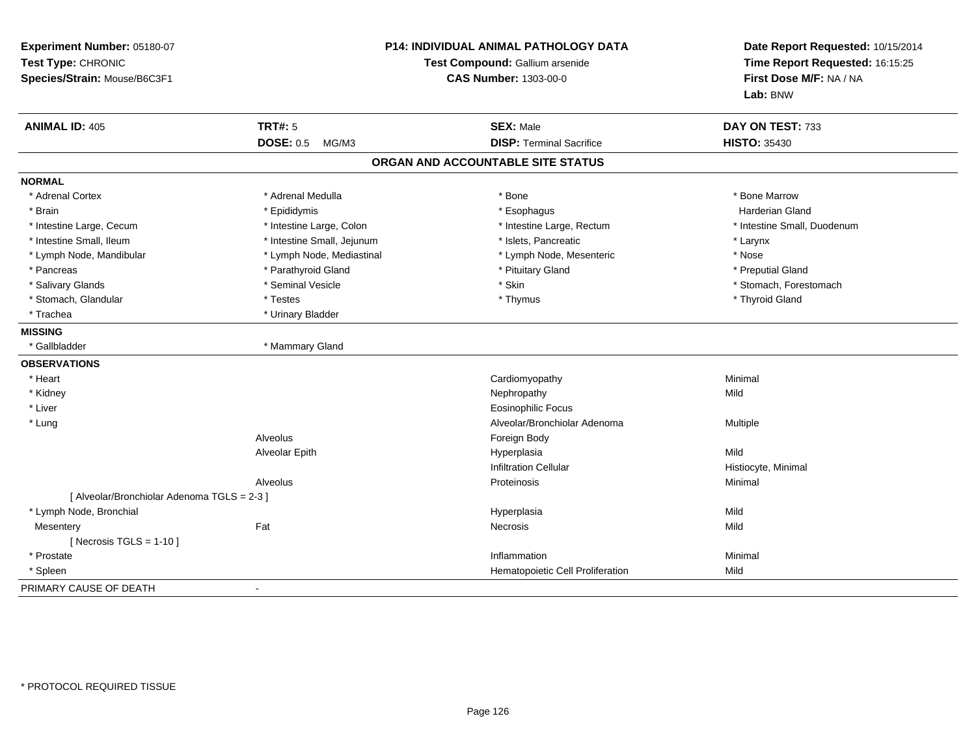| Experiment Number: 05180-07<br>Test Type: CHRONIC<br>Species/Strain: Mouse/B6C3F1 | <b>P14: INDIVIDUAL ANIMAL PATHOLOGY DATA</b><br>Test Compound: Gallium arsenide<br><b>CAS Number: 1303-00-0</b> |                                   | Date Report Requested: 10/15/2014<br>Time Report Requested: 16:15:25<br>First Dose M/F: NA / NA<br>Lab: BNW |
|-----------------------------------------------------------------------------------|-----------------------------------------------------------------------------------------------------------------|-----------------------------------|-------------------------------------------------------------------------------------------------------------|
| <b>ANIMAL ID: 405</b>                                                             | <b>TRT#: 5</b>                                                                                                  | <b>SEX: Male</b>                  | DAY ON TEST: 733                                                                                            |
|                                                                                   | <b>DOSE: 0.5</b><br>MG/M3                                                                                       | <b>DISP: Terminal Sacrifice</b>   | <b>HISTO: 35430</b>                                                                                         |
|                                                                                   |                                                                                                                 | ORGAN AND ACCOUNTABLE SITE STATUS |                                                                                                             |
| <b>NORMAL</b>                                                                     |                                                                                                                 |                                   |                                                                                                             |
| * Adrenal Cortex                                                                  | * Adrenal Medulla                                                                                               | * Bone                            | * Bone Marrow                                                                                               |
| * Brain                                                                           | * Epididymis                                                                                                    | * Esophagus                       | <b>Harderian Gland</b>                                                                                      |
| * Intestine Large, Cecum                                                          | * Intestine Large, Colon                                                                                        | * Intestine Large, Rectum         | * Intestine Small, Duodenum                                                                                 |
| * Intestine Small, Ileum                                                          | * Intestine Small, Jejunum                                                                                      | * Islets, Pancreatic              | * Larynx                                                                                                    |
| * Lymph Node, Mandibular                                                          | * Lymph Node, Mediastinal                                                                                       | * Lymph Node, Mesenteric          | * Nose                                                                                                      |
| * Pancreas                                                                        | * Parathyroid Gland                                                                                             | * Pituitary Gland                 | * Preputial Gland                                                                                           |
| * Salivary Glands                                                                 | * Seminal Vesicle                                                                                               | * Skin                            | * Stomach, Forestomach                                                                                      |
| * Stomach, Glandular                                                              | * Testes                                                                                                        | * Thymus                          | * Thyroid Gland                                                                                             |
| * Trachea                                                                         | * Urinary Bladder                                                                                               |                                   |                                                                                                             |
| <b>MISSING</b>                                                                    |                                                                                                                 |                                   |                                                                                                             |
| * Gallbladder                                                                     | * Mammary Gland                                                                                                 |                                   |                                                                                                             |
| <b>OBSERVATIONS</b>                                                               |                                                                                                                 |                                   |                                                                                                             |
| * Heart                                                                           |                                                                                                                 | Cardiomyopathy                    | Minimal                                                                                                     |
| * Kidney                                                                          |                                                                                                                 | Nephropathy                       | Mild                                                                                                        |
| * Liver                                                                           |                                                                                                                 | <b>Eosinophilic Focus</b>         |                                                                                                             |
| * Lung                                                                            |                                                                                                                 | Alveolar/Bronchiolar Adenoma      | Multiple                                                                                                    |
|                                                                                   | Alveolus                                                                                                        | Foreign Body                      |                                                                                                             |
|                                                                                   | Alveolar Epith                                                                                                  | Hyperplasia                       | Mild                                                                                                        |
|                                                                                   |                                                                                                                 | <b>Infiltration Cellular</b>      | Histiocyte, Minimal                                                                                         |
|                                                                                   | Alveolus                                                                                                        | Proteinosis                       | Minimal                                                                                                     |
| [ Alveolar/Bronchiolar Adenoma TGLS = 2-3 ]                                       |                                                                                                                 |                                   |                                                                                                             |
| * Lymph Node, Bronchial                                                           |                                                                                                                 | Hyperplasia                       | Mild                                                                                                        |
| Mesentery                                                                         | Fat                                                                                                             | Necrosis                          | Mild                                                                                                        |
| [ Necrosis TGLS = $1-10$ ]                                                        |                                                                                                                 |                                   |                                                                                                             |
| * Prostate                                                                        |                                                                                                                 | Inflammation                      | Minimal                                                                                                     |
| * Spleen                                                                          |                                                                                                                 | Hematopoietic Cell Proliferation  | Mild                                                                                                        |
| PRIMARY CAUSE OF DEATH                                                            |                                                                                                                 |                                   |                                                                                                             |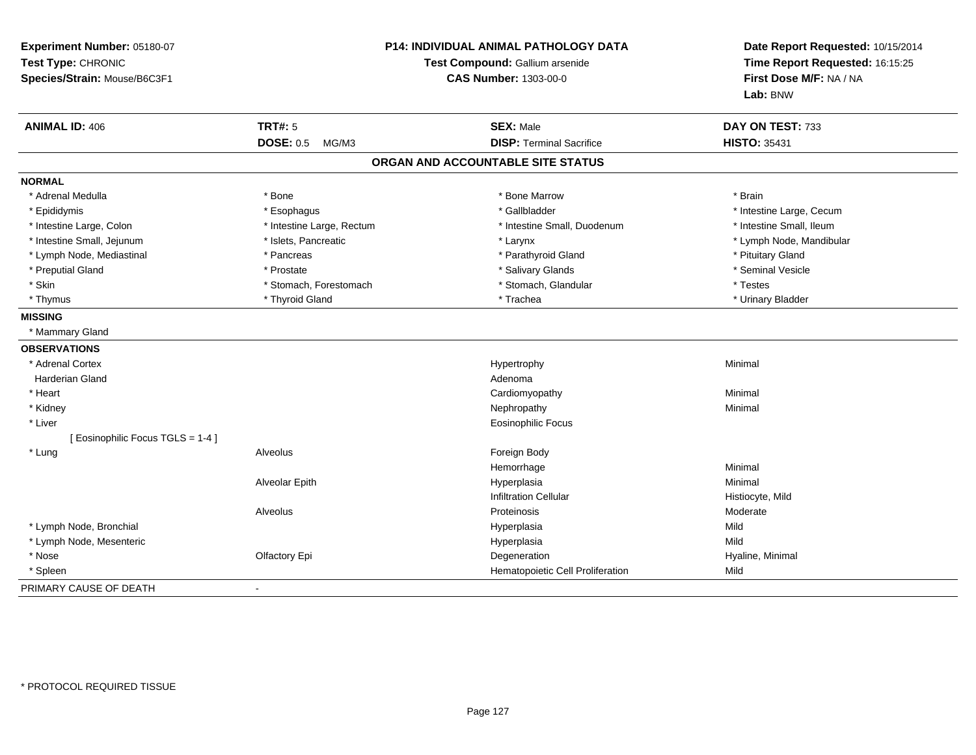| Experiment Number: 05180-07<br>Test Type: CHRONIC<br>Species/Strain: Mouse/B6C3F1 | <b>P14: INDIVIDUAL ANIMAL PATHOLOGY DATA</b><br>Test Compound: Gallium arsenide<br><b>CAS Number: 1303-00-0</b> |                                   | Date Report Requested: 10/15/2014<br>Time Report Requested: 16:15:25<br>First Dose M/F: NA / NA<br>Lab: BNW |
|-----------------------------------------------------------------------------------|-----------------------------------------------------------------------------------------------------------------|-----------------------------------|-------------------------------------------------------------------------------------------------------------|
| <b>ANIMAL ID: 406</b>                                                             | <b>TRT#: 5</b>                                                                                                  | <b>SEX: Male</b>                  | DAY ON TEST: 733                                                                                            |
|                                                                                   | <b>DOSE: 0.5</b><br>MG/M3                                                                                       | <b>DISP: Terminal Sacrifice</b>   | <b>HISTO: 35431</b>                                                                                         |
|                                                                                   |                                                                                                                 | ORGAN AND ACCOUNTABLE SITE STATUS |                                                                                                             |
| <b>NORMAL</b>                                                                     |                                                                                                                 |                                   |                                                                                                             |
| * Adrenal Medulla                                                                 | * Bone                                                                                                          | * Bone Marrow                     | * Brain                                                                                                     |
| * Epididymis                                                                      | * Esophagus                                                                                                     | * Gallbladder                     | * Intestine Large, Cecum                                                                                    |
| * Intestine Large, Colon                                                          | * Intestine Large, Rectum                                                                                       | * Intestine Small, Duodenum       | * Intestine Small, Ileum                                                                                    |
| * Intestine Small, Jejunum                                                        | * Islets, Pancreatic                                                                                            | * Larynx                          | * Lymph Node, Mandibular                                                                                    |
| * Lymph Node, Mediastinal                                                         | * Pancreas                                                                                                      | * Parathyroid Gland               | * Pituitary Gland                                                                                           |
| * Preputial Gland                                                                 | * Prostate                                                                                                      | * Salivary Glands                 | * Seminal Vesicle                                                                                           |
| * Skin                                                                            | * Stomach, Forestomach                                                                                          | * Stomach, Glandular              | * Testes                                                                                                    |
| * Thymus                                                                          | * Thyroid Gland                                                                                                 | * Trachea                         | * Urinary Bladder                                                                                           |
| <b>MISSING</b>                                                                    |                                                                                                                 |                                   |                                                                                                             |
| * Mammary Gland                                                                   |                                                                                                                 |                                   |                                                                                                             |
| <b>OBSERVATIONS</b>                                                               |                                                                                                                 |                                   |                                                                                                             |
| * Adrenal Cortex                                                                  |                                                                                                                 | Hypertrophy                       | Minimal                                                                                                     |
| Harderian Gland                                                                   |                                                                                                                 | Adenoma                           |                                                                                                             |
| * Heart                                                                           |                                                                                                                 | Cardiomyopathy                    | Minimal                                                                                                     |
| * Kidney                                                                          |                                                                                                                 | Nephropathy                       | Minimal                                                                                                     |
| * Liver                                                                           |                                                                                                                 | <b>Eosinophilic Focus</b>         |                                                                                                             |
| [ Eosinophilic Focus TGLS = 1-4 ]                                                 |                                                                                                                 |                                   |                                                                                                             |
| * Lung                                                                            | Alveolus                                                                                                        | Foreign Body                      |                                                                                                             |
|                                                                                   |                                                                                                                 | Hemorrhage                        | Minimal                                                                                                     |
|                                                                                   | Alveolar Epith                                                                                                  | Hyperplasia                       | Minimal                                                                                                     |
|                                                                                   |                                                                                                                 | <b>Infiltration Cellular</b>      | Histiocyte, Mild                                                                                            |
|                                                                                   | Alveolus                                                                                                        | Proteinosis                       | Moderate                                                                                                    |
| * Lymph Node, Bronchial                                                           |                                                                                                                 | Hyperplasia                       | Mild                                                                                                        |
| * Lymph Node, Mesenteric                                                          |                                                                                                                 | Hyperplasia                       | Mild                                                                                                        |
| * Nose                                                                            | Olfactory Epi                                                                                                   | Degeneration                      | Hyaline, Minimal                                                                                            |
| * Spleen                                                                          |                                                                                                                 | Hematopoietic Cell Proliferation  | Mild                                                                                                        |
| PRIMARY CAUSE OF DEATH                                                            | $\sim$                                                                                                          |                                   |                                                                                                             |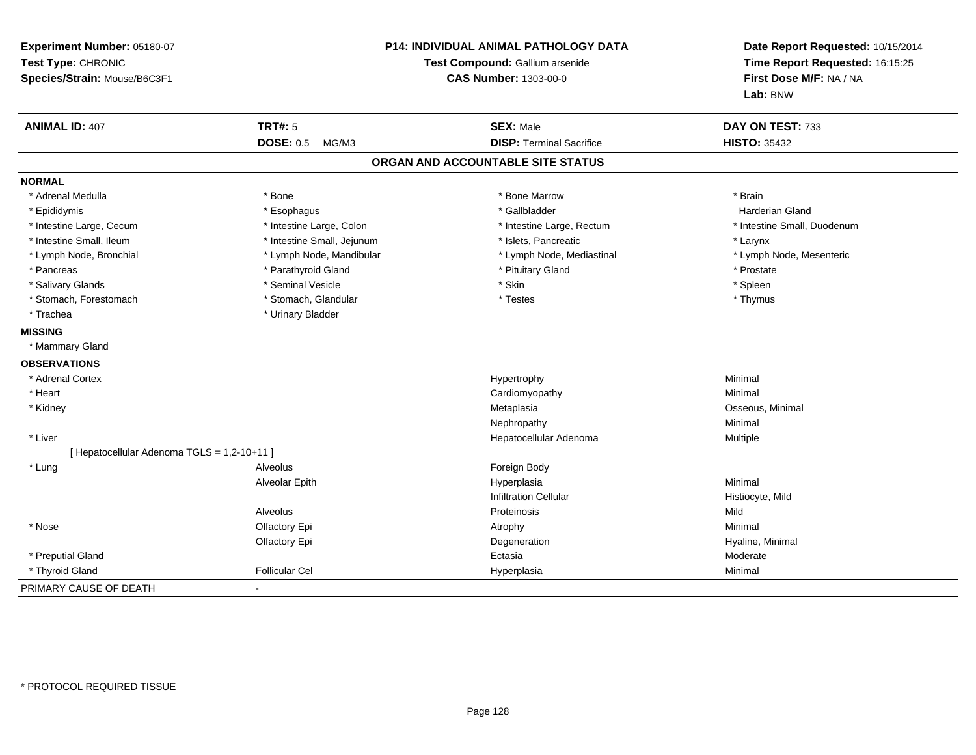| Experiment Number: 05180-07<br>Test Type: CHRONIC<br>Species/Strain: Mouse/B6C3F1 |                            | P14: INDIVIDUAL ANIMAL PATHOLOGY DATA<br>Test Compound: Gallium arsenide<br><b>CAS Number: 1303-00-0</b> |                             |
|-----------------------------------------------------------------------------------|----------------------------|----------------------------------------------------------------------------------------------------------|-----------------------------|
| <b>ANIMAL ID: 407</b>                                                             | <b>TRT#: 5</b>             | <b>SEX: Male</b>                                                                                         | DAY ON TEST: 733            |
|                                                                                   | <b>DOSE: 0.5</b><br>MG/M3  | <b>DISP: Terminal Sacrifice</b>                                                                          | <b>HISTO: 35432</b>         |
|                                                                                   |                            | ORGAN AND ACCOUNTABLE SITE STATUS                                                                        |                             |
| <b>NORMAL</b>                                                                     |                            |                                                                                                          |                             |
| * Adrenal Medulla                                                                 | * Bone                     | * Bone Marrow                                                                                            | * Brain                     |
| * Epididymis                                                                      | * Esophagus                | * Gallbladder                                                                                            | Harderian Gland             |
| * Intestine Large, Cecum                                                          | * Intestine Large, Colon   | * Intestine Large, Rectum                                                                                | * Intestine Small, Duodenum |
| * Intestine Small, Ileum                                                          | * Intestine Small, Jejunum | * Islets, Pancreatic                                                                                     | * Larynx                    |
| * Lymph Node, Bronchial                                                           | * Lymph Node, Mandibular   | * Lymph Node, Mediastinal                                                                                | * Lymph Node, Mesenteric    |
| * Pancreas                                                                        | * Parathyroid Gland        | * Pituitary Gland                                                                                        | * Prostate                  |
| * Salivary Glands                                                                 | * Seminal Vesicle          | * Skin                                                                                                   | * Spleen                    |
| * Stomach, Forestomach                                                            | * Stomach, Glandular       | * Testes                                                                                                 | * Thymus                    |
| * Trachea                                                                         | * Urinary Bladder          |                                                                                                          |                             |
| <b>MISSING</b>                                                                    |                            |                                                                                                          |                             |
| * Mammary Gland                                                                   |                            |                                                                                                          |                             |
| <b>OBSERVATIONS</b>                                                               |                            |                                                                                                          |                             |
| * Adrenal Cortex                                                                  |                            | Hypertrophy                                                                                              | Minimal                     |
| * Heart                                                                           |                            | Cardiomyopathy                                                                                           | Minimal                     |
| * Kidney                                                                          |                            | Metaplasia                                                                                               | Osseous, Minimal            |
|                                                                                   |                            | Nephropathy                                                                                              | Minimal                     |
| * Liver                                                                           |                            | Hepatocellular Adenoma                                                                                   | Multiple                    |
| [ Hepatocellular Adenoma TGLS = 1,2-10+11 ]                                       |                            |                                                                                                          |                             |
| * Lung                                                                            | Alveolus                   | Foreign Body                                                                                             |                             |
|                                                                                   | Alveolar Epith             | Hyperplasia                                                                                              | Minimal                     |
|                                                                                   |                            | <b>Infiltration Cellular</b>                                                                             | Histiocyte, Mild            |
|                                                                                   | Alveolus                   | Proteinosis                                                                                              | Mild                        |
| * Nose                                                                            | Olfactory Epi              | Atrophy                                                                                                  | Minimal                     |
|                                                                                   | Olfactory Epi              | Degeneration                                                                                             | Hyaline, Minimal            |
| * Preputial Gland                                                                 |                            | Ectasia                                                                                                  | Moderate                    |
| * Thyroid Gland                                                                   | <b>Follicular Cel</b>      | Hyperplasia                                                                                              | Minimal                     |
| PRIMARY CAUSE OF DEATH                                                            | $\blacksquare$             |                                                                                                          |                             |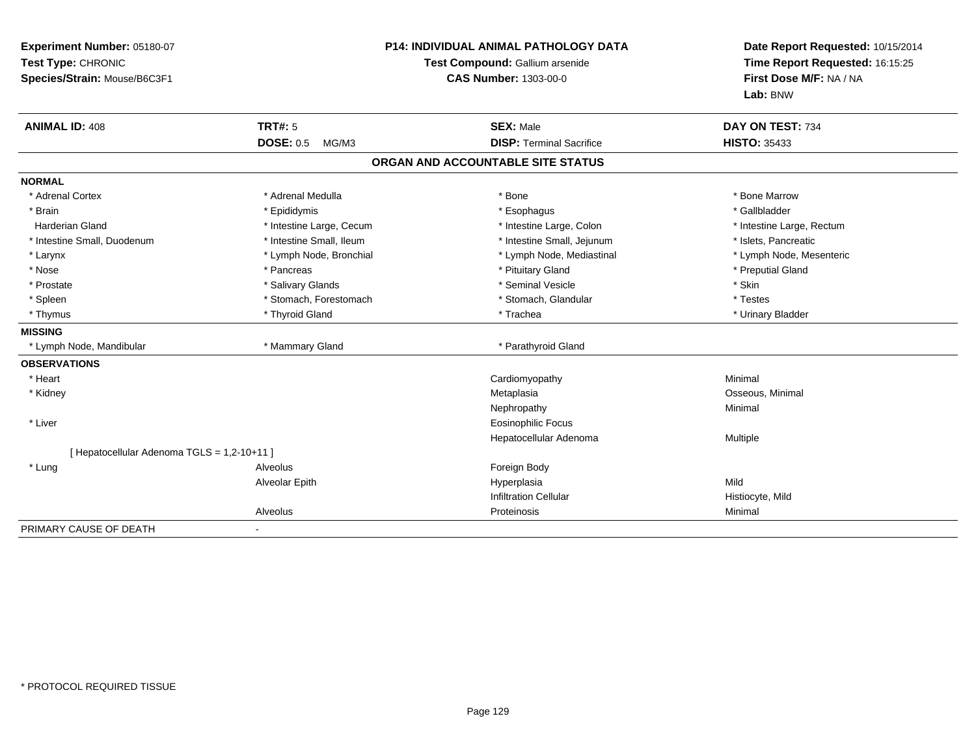| Experiment Number: 05180-07<br>Test Type: CHRONIC<br>Species/Strain: Mouse/B6C3F1 |                           | <b>P14: INDIVIDUAL ANIMAL PATHOLOGY DATA</b><br>Test Compound: Gallium arsenide<br><b>CAS Number: 1303-00-0</b> |                           |
|-----------------------------------------------------------------------------------|---------------------------|-----------------------------------------------------------------------------------------------------------------|---------------------------|
| <b>ANIMAL ID: 408</b>                                                             | <b>TRT#: 5</b>            | <b>SEX: Male</b>                                                                                                | DAY ON TEST: 734          |
|                                                                                   | <b>DOSE: 0.5</b><br>MG/M3 | <b>DISP: Terminal Sacrifice</b>                                                                                 | <b>HISTO: 35433</b>       |
|                                                                                   |                           | ORGAN AND ACCOUNTABLE SITE STATUS                                                                               |                           |
| <b>NORMAL</b>                                                                     |                           |                                                                                                                 |                           |
| * Adrenal Cortex                                                                  | * Adrenal Medulla         | * Bone                                                                                                          | * Bone Marrow             |
| * Brain                                                                           | * Epididymis              | * Esophagus                                                                                                     | * Gallbladder             |
| <b>Harderian Gland</b>                                                            | * Intestine Large, Cecum  | * Intestine Large, Colon                                                                                        | * Intestine Large, Rectum |
| * Intestine Small, Duodenum                                                       | * Intestine Small, Ileum  | * Intestine Small, Jejunum                                                                                      | * Islets. Pancreatic      |
| * Larynx                                                                          | * Lymph Node, Bronchial   | * Lymph Node, Mediastinal                                                                                       | * Lymph Node, Mesenteric  |
| * Nose                                                                            | * Pancreas                | * Pituitary Gland                                                                                               | * Preputial Gland         |
| * Prostate                                                                        | * Salivary Glands         | * Seminal Vesicle                                                                                               | * Skin                    |
| * Spleen                                                                          | * Stomach, Forestomach    | * Stomach, Glandular                                                                                            | * Testes                  |
| * Thymus                                                                          | * Thyroid Gland           | * Trachea                                                                                                       | * Urinary Bladder         |
| <b>MISSING</b>                                                                    |                           |                                                                                                                 |                           |
| * Lymph Node, Mandibular                                                          | * Mammary Gland           | * Parathyroid Gland                                                                                             |                           |
| <b>OBSERVATIONS</b>                                                               |                           |                                                                                                                 |                           |
| * Heart                                                                           |                           | Cardiomyopathy                                                                                                  | Minimal                   |
| * Kidney                                                                          |                           | Metaplasia                                                                                                      | Osseous, Minimal          |
|                                                                                   |                           | Nephropathy                                                                                                     | Minimal                   |
| * Liver                                                                           |                           | <b>Eosinophilic Focus</b>                                                                                       |                           |
|                                                                                   |                           | Hepatocellular Adenoma                                                                                          | Multiple                  |
| [ Hepatocellular Adenoma TGLS = 1,2-10+11 ]                                       |                           |                                                                                                                 |                           |
| * Lung                                                                            | Alveolus                  | Foreign Body                                                                                                    |                           |
|                                                                                   | Alveolar Epith            | Hyperplasia                                                                                                     | Mild                      |
|                                                                                   |                           | <b>Infiltration Cellular</b>                                                                                    | Histiocyte, Mild          |
|                                                                                   | Alveolus                  | Proteinosis                                                                                                     | Minimal                   |
| PRIMARY CAUSE OF DEATH                                                            |                           |                                                                                                                 |                           |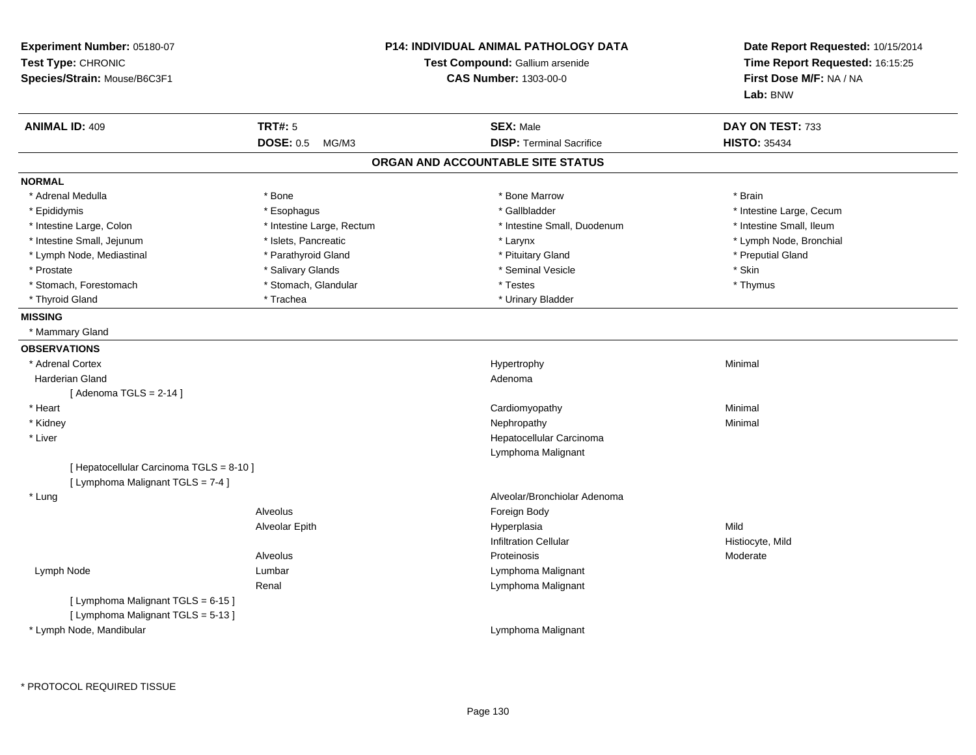| Experiment Number: 05180-07<br>Test Type: CHRONIC<br>Species/Strain: Mouse/B6C3F1 | <b>P14: INDIVIDUAL ANIMAL PATHOLOGY DATA</b><br>Test Compound: Gallium arsenide<br><b>CAS Number: 1303-00-0</b> |                                   | Date Report Requested: 10/15/2014<br>Time Report Requested: 16:15:25<br>First Dose M/F: NA / NA |
|-----------------------------------------------------------------------------------|-----------------------------------------------------------------------------------------------------------------|-----------------------------------|-------------------------------------------------------------------------------------------------|
|                                                                                   |                                                                                                                 |                                   | Lab: BNW                                                                                        |
| <b>ANIMAL ID: 409</b>                                                             | <b>TRT#: 5</b>                                                                                                  | <b>SEX: Male</b>                  | DAY ON TEST: 733                                                                                |
|                                                                                   | <b>DOSE: 0.5</b><br>MG/M3                                                                                       | <b>DISP: Terminal Sacrifice</b>   | <b>HISTO: 35434</b>                                                                             |
|                                                                                   |                                                                                                                 | ORGAN AND ACCOUNTABLE SITE STATUS |                                                                                                 |
| <b>NORMAL</b>                                                                     |                                                                                                                 |                                   |                                                                                                 |
| * Adrenal Medulla                                                                 | * Bone                                                                                                          | * Bone Marrow                     | * Brain                                                                                         |
| * Epididymis                                                                      | * Esophagus                                                                                                     | * Gallbladder                     | * Intestine Large, Cecum                                                                        |
| * Intestine Large, Colon                                                          | * Intestine Large, Rectum                                                                                       | * Intestine Small, Duodenum       | * Intestine Small, Ileum                                                                        |
| * Intestine Small, Jejunum                                                        | * Islets, Pancreatic                                                                                            | * Larynx                          | * Lymph Node, Bronchial                                                                         |
| * Lymph Node, Mediastinal                                                         | * Parathyroid Gland                                                                                             | * Pituitary Gland                 | * Preputial Gland                                                                               |
| * Prostate                                                                        | * Salivary Glands                                                                                               | * Seminal Vesicle                 | * Skin                                                                                          |
| * Stomach, Forestomach                                                            | * Stomach, Glandular                                                                                            | * Testes                          | * Thymus                                                                                        |
| * Thyroid Gland                                                                   | * Trachea                                                                                                       | * Urinary Bladder                 |                                                                                                 |
| <b>MISSING</b>                                                                    |                                                                                                                 |                                   |                                                                                                 |
| * Mammary Gland                                                                   |                                                                                                                 |                                   |                                                                                                 |
| <b>OBSERVATIONS</b>                                                               |                                                                                                                 |                                   |                                                                                                 |
| * Adrenal Cortex                                                                  |                                                                                                                 | Hypertrophy                       | Minimal                                                                                         |
| <b>Harderian Gland</b>                                                            |                                                                                                                 | Adenoma                           |                                                                                                 |
| [Adenoma TGLS = $2-14$ ]                                                          |                                                                                                                 |                                   |                                                                                                 |
| * Heart                                                                           |                                                                                                                 | Cardiomyopathy                    | Minimal                                                                                         |
| * Kidney                                                                          |                                                                                                                 | Nephropathy                       | Minimal                                                                                         |
| * Liver                                                                           |                                                                                                                 | Hepatocellular Carcinoma          |                                                                                                 |
|                                                                                   |                                                                                                                 | Lymphoma Malignant                |                                                                                                 |
| [ Hepatocellular Carcinoma TGLS = 8-10 ]                                          |                                                                                                                 |                                   |                                                                                                 |
| [ Lymphoma Malignant TGLS = 7-4 ]                                                 |                                                                                                                 |                                   |                                                                                                 |
| * Lung                                                                            |                                                                                                                 | Alveolar/Bronchiolar Adenoma      |                                                                                                 |
|                                                                                   | Alveolus                                                                                                        | Foreign Body                      |                                                                                                 |
|                                                                                   | Alveolar Epith                                                                                                  | Hyperplasia                       | Mild                                                                                            |
|                                                                                   |                                                                                                                 | <b>Infiltration Cellular</b>      | Histiocyte, Mild                                                                                |
|                                                                                   | Alveolus                                                                                                        | Proteinosis                       | Moderate                                                                                        |
| Lymph Node                                                                        | Lumbar                                                                                                          | Lymphoma Malignant                |                                                                                                 |
|                                                                                   | Renal                                                                                                           | Lymphoma Malignant                |                                                                                                 |
| [ Lymphoma Malignant TGLS = 6-15 ]                                                |                                                                                                                 |                                   |                                                                                                 |
| [ Lymphoma Malignant TGLS = 5-13 ]                                                |                                                                                                                 |                                   |                                                                                                 |
| * Lymph Node, Mandibular                                                          |                                                                                                                 | Lymphoma Malignant                |                                                                                                 |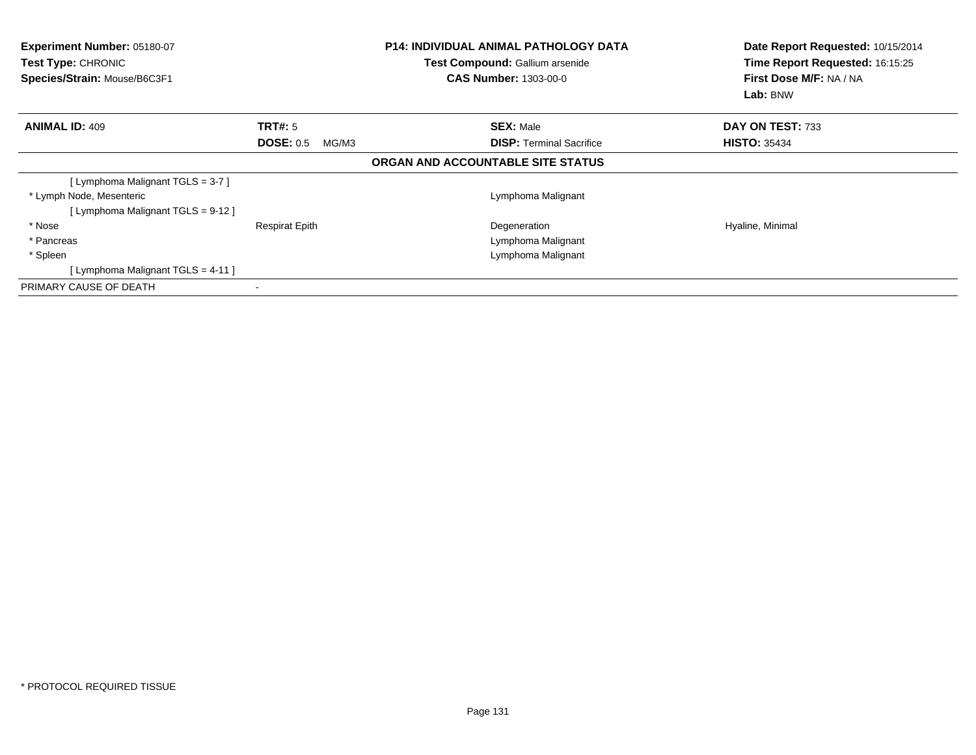| <b>Experiment Number: 05180-07</b><br>Test Type: CHRONIC<br>Species/Strain: Mouse/B6C3F1 |                           | <b>P14: INDIVIDUAL ANIMAL PATHOLOGY DATA</b><br>Test Compound: Gallium arsenide<br><b>CAS Number: 1303-00-0</b> | Date Report Requested: 10/15/2014<br>Time Report Requested: 16:15:25<br>First Dose M/F: NA / NA<br>Lab: BNW |
|------------------------------------------------------------------------------------------|---------------------------|-----------------------------------------------------------------------------------------------------------------|-------------------------------------------------------------------------------------------------------------|
| <b>ANIMAL ID: 409</b>                                                                    | TRT#: 5                   | <b>SEX: Male</b>                                                                                                | DAY ON TEST: 733                                                                                            |
|                                                                                          | <b>DOSE: 0.5</b><br>MG/M3 | <b>DISP:</b> Terminal Sacrifice                                                                                 | <b>HISTO: 35434</b>                                                                                         |
|                                                                                          |                           | ORGAN AND ACCOUNTABLE SITE STATUS                                                                               |                                                                                                             |
| [Lymphoma Malignant TGLS = 3-7]                                                          |                           |                                                                                                                 |                                                                                                             |
| * Lymph Node, Mesenteric                                                                 |                           | Lymphoma Malignant                                                                                              |                                                                                                             |
| [Lymphoma Malignant TGLS = 9-12 ]                                                        |                           |                                                                                                                 |                                                                                                             |
| * Nose                                                                                   | <b>Respirat Epith</b>     | Degeneration                                                                                                    | Hyaline, Minimal                                                                                            |
| * Pancreas                                                                               |                           | Lymphoma Malignant                                                                                              |                                                                                                             |
| * Spleen                                                                                 |                           | Lymphoma Malignant                                                                                              |                                                                                                             |
| [Lymphoma Malignant TGLS = 4-11]                                                         |                           |                                                                                                                 |                                                                                                             |
| PRIMARY CAUSE OF DEATH                                                                   |                           |                                                                                                                 |                                                                                                             |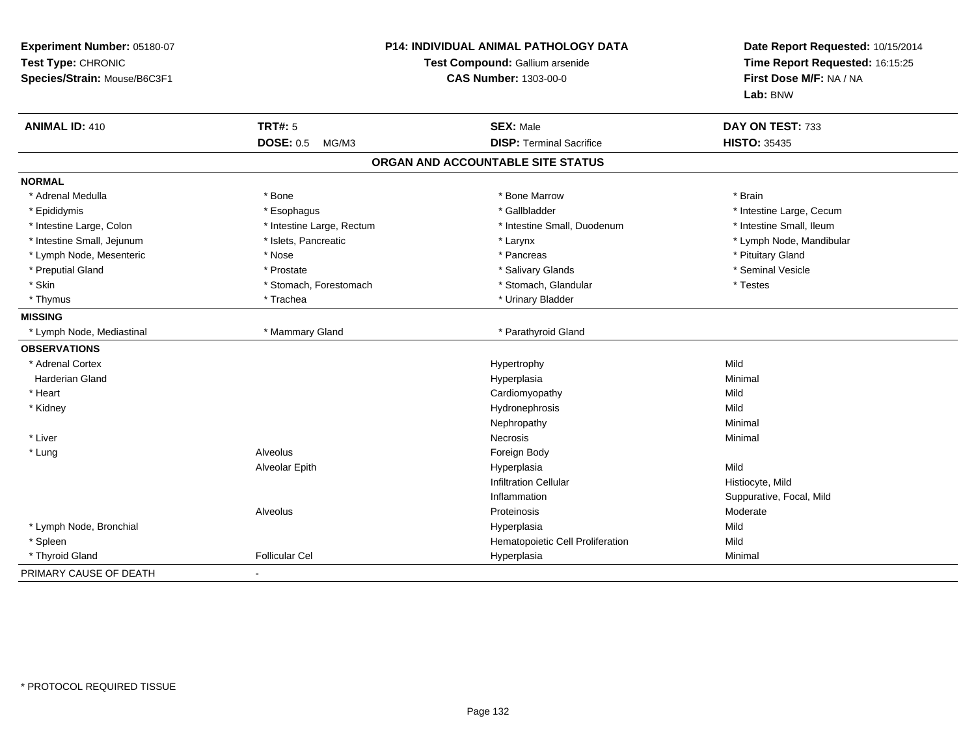| Experiment Number: 05180-07<br>Test Type: CHRONIC<br>Species/Strain: Mouse/B6C3F1 | P14: INDIVIDUAL ANIMAL PATHOLOGY DATA<br>Test Compound: Gallium arsenide<br><b>CAS Number: 1303-00-0</b> |                                   | Date Report Requested: 10/15/2014<br>Time Report Requested: 16:15:25<br>First Dose M/F: NA / NA<br>Lab: BNW |
|-----------------------------------------------------------------------------------|----------------------------------------------------------------------------------------------------------|-----------------------------------|-------------------------------------------------------------------------------------------------------------|
| <b>ANIMAL ID: 410</b>                                                             | <b>TRT#: 5</b>                                                                                           | <b>SEX: Male</b>                  | DAY ON TEST: 733                                                                                            |
|                                                                                   | <b>DOSE: 0.5</b><br>MG/M3                                                                                | <b>DISP: Terminal Sacrifice</b>   | <b>HISTO: 35435</b>                                                                                         |
|                                                                                   |                                                                                                          | ORGAN AND ACCOUNTABLE SITE STATUS |                                                                                                             |
| <b>NORMAL</b>                                                                     |                                                                                                          |                                   |                                                                                                             |
| * Adrenal Medulla                                                                 | * Bone                                                                                                   | * Bone Marrow                     | * Brain                                                                                                     |
| * Epididymis                                                                      | * Esophagus                                                                                              | * Gallbladder                     | * Intestine Large, Cecum                                                                                    |
| * Intestine Large, Colon                                                          | * Intestine Large, Rectum                                                                                | * Intestine Small, Duodenum       | * Intestine Small, Ileum                                                                                    |
| * Intestine Small, Jejunum                                                        | * Islets, Pancreatic                                                                                     | * Larynx                          | * Lymph Node, Mandibular                                                                                    |
| * Lymph Node, Mesenteric                                                          | * Nose                                                                                                   | * Pancreas                        | * Pituitary Gland                                                                                           |
| * Preputial Gland                                                                 | * Prostate                                                                                               | * Salivary Glands                 | * Seminal Vesicle                                                                                           |
| * Skin                                                                            | * Stomach, Forestomach                                                                                   | * Stomach, Glandular              | * Testes                                                                                                    |
| * Thymus                                                                          | * Trachea                                                                                                | * Urinary Bladder                 |                                                                                                             |
| <b>MISSING</b>                                                                    |                                                                                                          |                                   |                                                                                                             |
| * Lymph Node, Mediastinal                                                         | * Mammary Gland                                                                                          | * Parathyroid Gland               |                                                                                                             |
| <b>OBSERVATIONS</b>                                                               |                                                                                                          |                                   |                                                                                                             |
| * Adrenal Cortex                                                                  |                                                                                                          | Hypertrophy                       | Mild                                                                                                        |
| <b>Harderian Gland</b>                                                            |                                                                                                          | Hyperplasia                       | Minimal                                                                                                     |
| * Heart                                                                           |                                                                                                          | Cardiomyopathy                    | Mild                                                                                                        |
| * Kidney                                                                          |                                                                                                          | Hydronephrosis                    | Mild                                                                                                        |
|                                                                                   |                                                                                                          | Nephropathy                       | Minimal                                                                                                     |
| * Liver                                                                           |                                                                                                          | <b>Necrosis</b>                   | Minimal                                                                                                     |
| * Lung                                                                            | Alveolus                                                                                                 | Foreign Body                      |                                                                                                             |
|                                                                                   | Alveolar Epith                                                                                           | Hyperplasia                       | Mild                                                                                                        |
|                                                                                   |                                                                                                          | <b>Infiltration Cellular</b>      | Histiocyte, Mild                                                                                            |
|                                                                                   |                                                                                                          | Inflammation                      | Suppurative, Focal, Mild                                                                                    |
|                                                                                   | Alveolus                                                                                                 | Proteinosis                       | Moderate                                                                                                    |
| * Lymph Node, Bronchial                                                           |                                                                                                          | Hyperplasia                       | Mild                                                                                                        |
| * Spleen                                                                          |                                                                                                          | Hematopoietic Cell Proliferation  | Mild                                                                                                        |
| * Thyroid Gland                                                                   | <b>Follicular Cel</b>                                                                                    | Hyperplasia                       | Minimal                                                                                                     |
| PRIMARY CAUSE OF DEATH                                                            |                                                                                                          |                                   |                                                                                                             |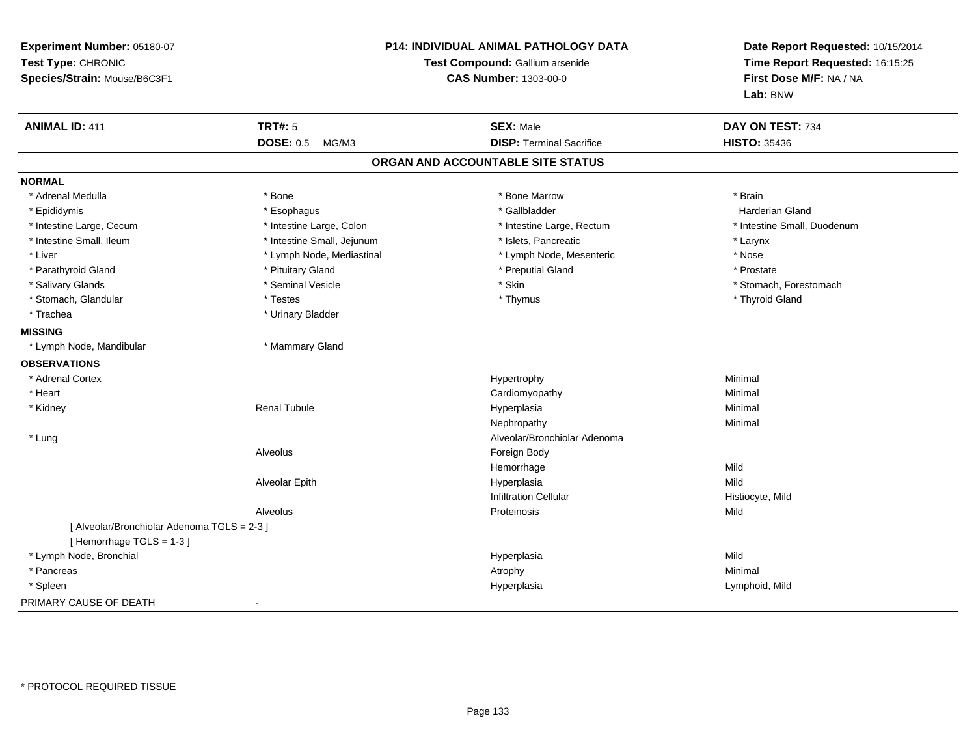| Experiment Number: 05180-07<br>Test Type: CHRONIC<br>Species/Strain: Mouse/B6C3F1 | P14: INDIVIDUAL ANIMAL PATHOLOGY DATA<br>Test Compound: Gallium arsenide<br><b>CAS Number: 1303-00-0</b> |                                   | Date Report Requested: 10/15/2014<br>Time Report Requested: 16:15:25<br>First Dose M/F: NA / NA<br>Lab: BNW |
|-----------------------------------------------------------------------------------|----------------------------------------------------------------------------------------------------------|-----------------------------------|-------------------------------------------------------------------------------------------------------------|
| <b>ANIMAL ID: 411</b>                                                             | <b>TRT#: 5</b>                                                                                           | <b>SEX: Male</b>                  | DAY ON TEST: 734                                                                                            |
|                                                                                   | <b>DOSE: 0.5</b><br>MG/M3                                                                                | <b>DISP: Terminal Sacrifice</b>   | <b>HISTO: 35436</b>                                                                                         |
|                                                                                   |                                                                                                          | ORGAN AND ACCOUNTABLE SITE STATUS |                                                                                                             |
| <b>NORMAL</b>                                                                     |                                                                                                          |                                   |                                                                                                             |
| * Adrenal Medulla                                                                 | * Bone                                                                                                   | * Bone Marrow                     | * Brain                                                                                                     |
| * Epididymis                                                                      | * Esophagus                                                                                              | * Gallbladder                     | <b>Harderian Gland</b>                                                                                      |
| * Intestine Large, Cecum                                                          | * Intestine Large, Colon                                                                                 | * Intestine Large, Rectum         | * Intestine Small, Duodenum                                                                                 |
| * Intestine Small, Ileum                                                          | * Intestine Small, Jejunum                                                                               | * Islets, Pancreatic              | * Larynx                                                                                                    |
| * Liver                                                                           | * Lymph Node, Mediastinal                                                                                | * Lymph Node, Mesenteric          | * Nose                                                                                                      |
| * Parathyroid Gland                                                               | * Pituitary Gland                                                                                        | * Preputial Gland                 | * Prostate                                                                                                  |
| * Salivary Glands                                                                 | * Seminal Vesicle                                                                                        | * Skin                            | * Stomach, Forestomach                                                                                      |
| * Stomach, Glandular                                                              | * Testes                                                                                                 | * Thymus                          | * Thyroid Gland                                                                                             |
| * Trachea                                                                         | * Urinary Bladder                                                                                        |                                   |                                                                                                             |
| <b>MISSING</b>                                                                    |                                                                                                          |                                   |                                                                                                             |
| * Lymph Node, Mandibular                                                          | * Mammary Gland                                                                                          |                                   |                                                                                                             |
| <b>OBSERVATIONS</b>                                                               |                                                                                                          |                                   |                                                                                                             |
| * Adrenal Cortex                                                                  |                                                                                                          | Hypertrophy                       | Minimal                                                                                                     |
| * Heart                                                                           |                                                                                                          | Cardiomyopathy                    | Minimal                                                                                                     |
| * Kidney                                                                          | <b>Renal Tubule</b>                                                                                      | Hyperplasia                       | Minimal                                                                                                     |
|                                                                                   |                                                                                                          | Nephropathy                       | Minimal                                                                                                     |
| * Lung                                                                            |                                                                                                          | Alveolar/Bronchiolar Adenoma      |                                                                                                             |
|                                                                                   | Alveolus                                                                                                 | Foreign Body                      |                                                                                                             |
|                                                                                   |                                                                                                          | Hemorrhage                        | Mild                                                                                                        |
|                                                                                   | Alveolar Epith                                                                                           | Hyperplasia                       | Mild                                                                                                        |
|                                                                                   |                                                                                                          | <b>Infiltration Cellular</b>      | Histiocyte, Mild                                                                                            |
|                                                                                   | Alveolus                                                                                                 | Proteinosis                       | Mild                                                                                                        |
| [ Alveolar/Bronchiolar Adenoma TGLS = 2-3 ]                                       |                                                                                                          |                                   |                                                                                                             |
| [Hemorrhage TGLS = 1-3]                                                           |                                                                                                          |                                   |                                                                                                             |
| * Lymph Node, Bronchial                                                           |                                                                                                          | Hyperplasia                       | Mild                                                                                                        |
| * Pancreas                                                                        |                                                                                                          | Atrophy                           | Minimal                                                                                                     |
| * Spleen                                                                          |                                                                                                          | Hyperplasia                       | Lymphoid, Mild                                                                                              |
| PRIMARY CAUSE OF DEATH                                                            |                                                                                                          |                                   |                                                                                                             |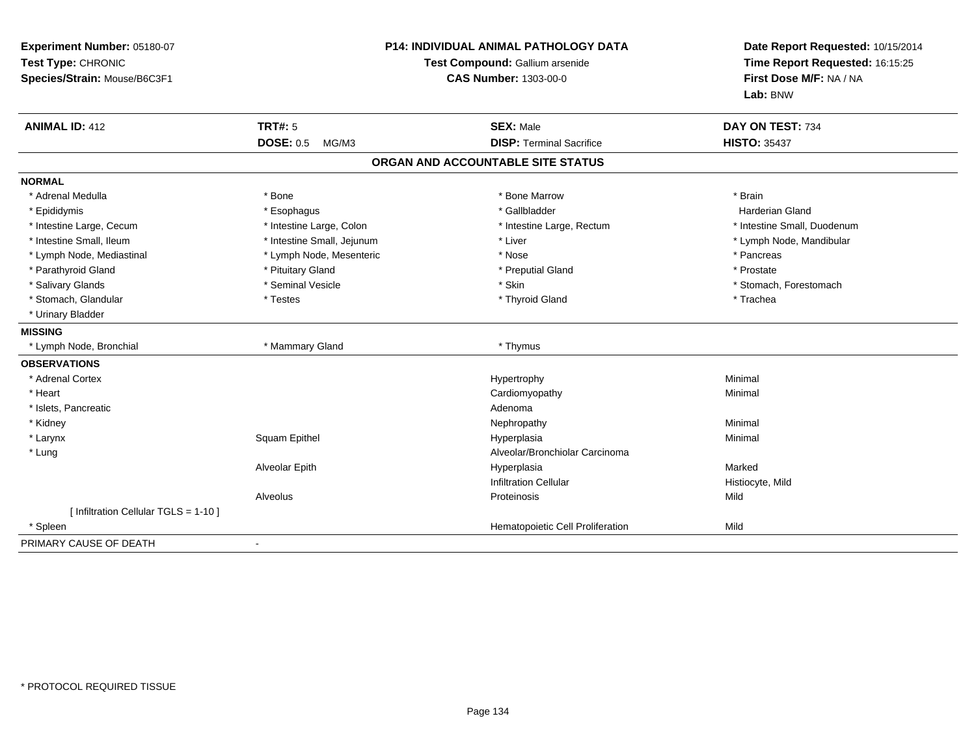| Experiment Number: 05180-07<br>Test Type: CHRONIC<br>Species/Strain: Mouse/B6C3F1 |                                    | <b>P14: INDIVIDUAL ANIMAL PATHOLOGY DATA</b><br>Test Compound: Gallium arsenide<br><b>CAS Number: 1303-00-0</b> | Date Report Requested: 10/15/2014<br>Time Report Requested: 16:15:25<br>First Dose M/F: NA / NA<br>Lab: BNW |
|-----------------------------------------------------------------------------------|------------------------------------|-----------------------------------------------------------------------------------------------------------------|-------------------------------------------------------------------------------------------------------------|
| <b>ANIMAL ID: 412</b>                                                             | <b>TRT#: 5</b><br><b>DOSE: 0.5</b> | <b>SEX: Male</b>                                                                                                | DAY ON TEST: 734                                                                                            |
|                                                                                   | MG/M3                              | <b>DISP: Terminal Sacrifice</b>                                                                                 | <b>HISTO: 35437</b>                                                                                         |
|                                                                                   |                                    | ORGAN AND ACCOUNTABLE SITE STATUS                                                                               |                                                                                                             |
| <b>NORMAL</b>                                                                     |                                    |                                                                                                                 |                                                                                                             |
| * Adrenal Medulla                                                                 | * Bone                             | * Bone Marrow                                                                                                   | * Brain                                                                                                     |
| * Epididymis                                                                      | * Esophagus                        | * Gallbladder                                                                                                   | <b>Harderian Gland</b>                                                                                      |
| * Intestine Large, Cecum                                                          | * Intestine Large, Colon           | * Intestine Large, Rectum                                                                                       | * Intestine Small, Duodenum                                                                                 |
| * Intestine Small, Ileum                                                          | * Intestine Small, Jejunum         | * Liver                                                                                                         | * Lymph Node, Mandibular                                                                                    |
| * Lymph Node, Mediastinal                                                         | * Lymph Node, Mesenteric           | * Nose                                                                                                          | * Pancreas                                                                                                  |
| * Parathyroid Gland                                                               | * Pituitary Gland                  | * Preputial Gland                                                                                               | * Prostate                                                                                                  |
| * Salivary Glands                                                                 | * Seminal Vesicle                  | * Skin                                                                                                          | * Stomach, Forestomach                                                                                      |
| * Stomach, Glandular                                                              | * Testes                           | * Thyroid Gland                                                                                                 | * Trachea                                                                                                   |
| * Urinary Bladder                                                                 |                                    |                                                                                                                 |                                                                                                             |
| <b>MISSING</b>                                                                    |                                    |                                                                                                                 |                                                                                                             |
| * Lymph Node, Bronchial                                                           | * Mammary Gland                    | * Thymus                                                                                                        |                                                                                                             |
| <b>OBSERVATIONS</b>                                                               |                                    |                                                                                                                 |                                                                                                             |
| * Adrenal Cortex                                                                  |                                    | Hypertrophy                                                                                                     | Minimal                                                                                                     |
| * Heart                                                                           |                                    | Cardiomyopathy                                                                                                  | Minimal                                                                                                     |
| * Islets, Pancreatic                                                              |                                    | Adenoma                                                                                                         |                                                                                                             |
| * Kidney                                                                          |                                    | Nephropathy                                                                                                     | Minimal                                                                                                     |
| * Larynx                                                                          | Squam Epithel                      | Hyperplasia                                                                                                     | Minimal                                                                                                     |
| * Lung                                                                            |                                    | Alveolar/Bronchiolar Carcinoma                                                                                  |                                                                                                             |
|                                                                                   | Alveolar Epith                     | Hyperplasia                                                                                                     | Marked                                                                                                      |
|                                                                                   |                                    | <b>Infiltration Cellular</b>                                                                                    | Histiocyte, Mild                                                                                            |
|                                                                                   | Alveolus                           | Proteinosis                                                                                                     | Mild                                                                                                        |
| [ Infiltration Cellular TGLS = 1-10 ]                                             |                                    |                                                                                                                 |                                                                                                             |
| * Spleen                                                                          |                                    | Hematopoietic Cell Proliferation                                                                                | Mild                                                                                                        |
| PRIMARY CAUSE OF DEATH                                                            |                                    |                                                                                                                 |                                                                                                             |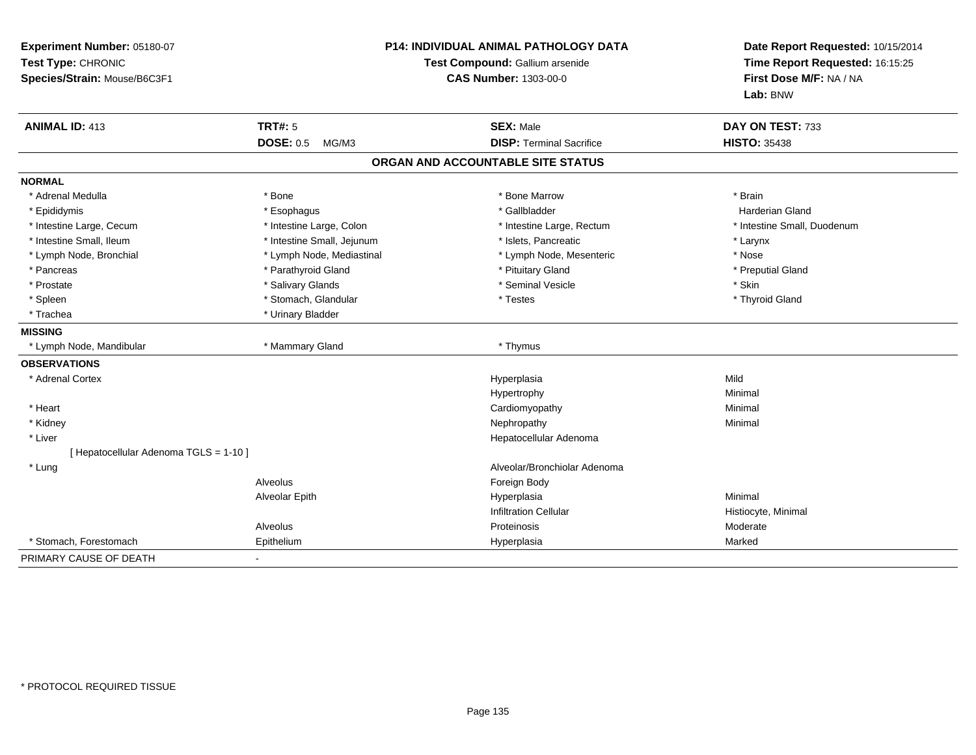| Experiment Number: 05180-07<br>Test Type: CHRONIC<br>Species/Strain: Mouse/B6C3F1 | <b>P14: INDIVIDUAL ANIMAL PATHOLOGY DATA</b><br>Test Compound: Gallium arsenide<br><b>CAS Number: 1303-00-0</b> |                                   | Date Report Requested: 10/15/2014<br>Time Report Requested: 16:15:25<br>First Dose M/F: NA / NA<br>Lab: BNW |  |
|-----------------------------------------------------------------------------------|-----------------------------------------------------------------------------------------------------------------|-----------------------------------|-------------------------------------------------------------------------------------------------------------|--|
| <b>ANIMAL ID: 413</b>                                                             | TRT#: 5                                                                                                         | <b>SEX: Male</b>                  | DAY ON TEST: 733                                                                                            |  |
|                                                                                   | <b>DOSE: 0.5</b><br>MG/M3                                                                                       | <b>DISP: Terminal Sacrifice</b>   | <b>HISTO: 35438</b>                                                                                         |  |
|                                                                                   |                                                                                                                 | ORGAN AND ACCOUNTABLE SITE STATUS |                                                                                                             |  |
| <b>NORMAL</b>                                                                     |                                                                                                                 |                                   |                                                                                                             |  |
| * Adrenal Medulla                                                                 | * Bone                                                                                                          | * Bone Marrow                     | * Brain                                                                                                     |  |
| * Epididymis                                                                      | * Esophagus                                                                                                     | * Gallbladder                     | <b>Harderian Gland</b>                                                                                      |  |
| * Intestine Large, Cecum                                                          | * Intestine Large, Colon                                                                                        | * Intestine Large, Rectum         | * Intestine Small, Duodenum                                                                                 |  |
| * Intestine Small, Ileum                                                          | * Intestine Small, Jejunum                                                                                      | * Islets, Pancreatic              | * Larynx                                                                                                    |  |
| * Lymph Node, Bronchial                                                           | * Lymph Node, Mediastinal                                                                                       | * Lymph Node, Mesenteric          | * Nose                                                                                                      |  |
| * Pancreas                                                                        | * Parathyroid Gland                                                                                             | * Pituitary Gland                 | * Preputial Gland                                                                                           |  |
| * Prostate                                                                        | * Salivary Glands                                                                                               | * Seminal Vesicle                 | * Skin                                                                                                      |  |
| * Spleen                                                                          | * Stomach, Glandular                                                                                            | * Testes                          | * Thyroid Gland                                                                                             |  |
| * Trachea                                                                         | * Urinary Bladder                                                                                               |                                   |                                                                                                             |  |
| <b>MISSING</b>                                                                    |                                                                                                                 |                                   |                                                                                                             |  |
| * Lymph Node, Mandibular                                                          | * Mammary Gland                                                                                                 | * Thymus                          |                                                                                                             |  |
| <b>OBSERVATIONS</b>                                                               |                                                                                                                 |                                   |                                                                                                             |  |
| * Adrenal Cortex                                                                  |                                                                                                                 | Hyperplasia                       | Mild                                                                                                        |  |
|                                                                                   |                                                                                                                 | Hypertrophy                       | Minimal                                                                                                     |  |
| * Heart                                                                           |                                                                                                                 | Cardiomyopathy                    | Minimal                                                                                                     |  |
| * Kidney                                                                          |                                                                                                                 | Nephropathy                       | Minimal                                                                                                     |  |
| * Liver                                                                           |                                                                                                                 | Hepatocellular Adenoma            |                                                                                                             |  |
| [ Hepatocellular Adenoma TGLS = 1-10 ]                                            |                                                                                                                 |                                   |                                                                                                             |  |
| * Lung                                                                            |                                                                                                                 | Alveolar/Bronchiolar Adenoma      |                                                                                                             |  |
|                                                                                   | Alveolus                                                                                                        | Foreign Body                      |                                                                                                             |  |
|                                                                                   | Alveolar Epith                                                                                                  | Hyperplasia                       | Minimal                                                                                                     |  |
|                                                                                   |                                                                                                                 | <b>Infiltration Cellular</b>      | Histiocyte, Minimal                                                                                         |  |
|                                                                                   | Alveolus                                                                                                        | Proteinosis                       | Moderate                                                                                                    |  |
| * Stomach, Forestomach                                                            | Epithelium                                                                                                      | Hyperplasia                       | Marked                                                                                                      |  |
| PRIMARY CAUSE OF DEATH                                                            |                                                                                                                 |                                   |                                                                                                             |  |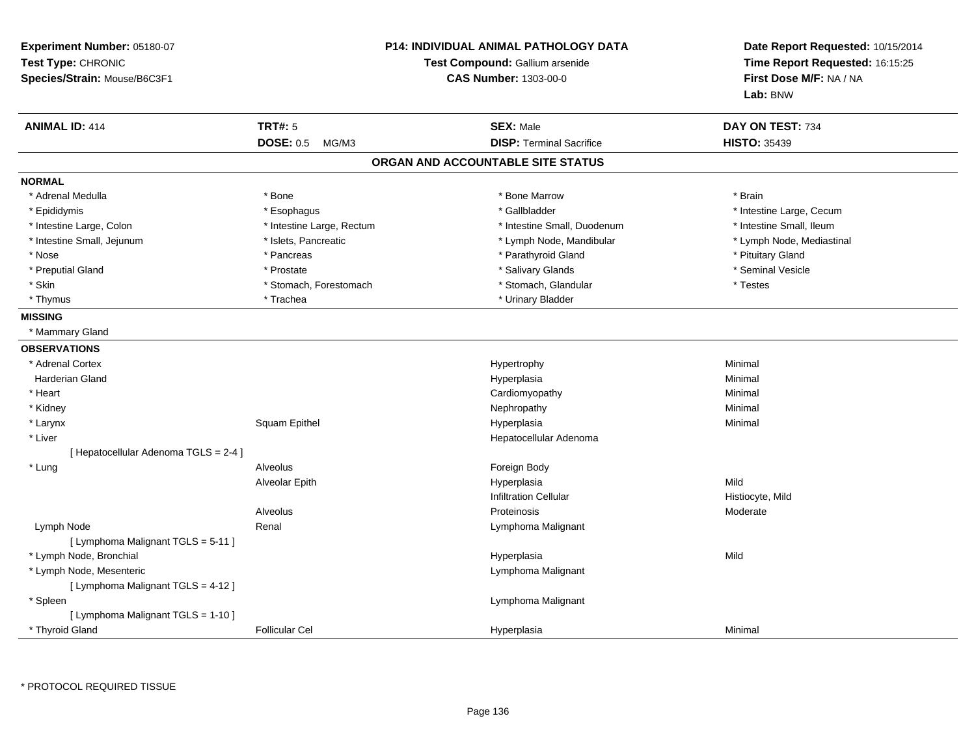| Experiment Number: 05180-07<br>Test Type: CHRONIC<br>Species/Strain: Mouse/B6C3F1 | <b>P14: INDIVIDUAL ANIMAL PATHOLOGY DATA</b><br>Test Compound: Gallium arsenide<br><b>CAS Number: 1303-00-0</b> |                                   | Date Report Requested: 10/15/2014<br>Time Report Requested: 16:15:25<br>First Dose M/F: NA / NA<br>Lab: BNW |
|-----------------------------------------------------------------------------------|-----------------------------------------------------------------------------------------------------------------|-----------------------------------|-------------------------------------------------------------------------------------------------------------|
| <b>ANIMAL ID: 414</b>                                                             | <b>TRT#: 5</b>                                                                                                  | <b>SEX: Male</b>                  | DAY ON TEST: 734                                                                                            |
|                                                                                   | DOSE: 0.5 MG/M3                                                                                                 | <b>DISP: Terminal Sacrifice</b>   | <b>HISTO: 35439</b>                                                                                         |
|                                                                                   |                                                                                                                 | ORGAN AND ACCOUNTABLE SITE STATUS |                                                                                                             |
| <b>NORMAL</b>                                                                     |                                                                                                                 |                                   |                                                                                                             |
| * Adrenal Medulla                                                                 | * Bone                                                                                                          | * Bone Marrow                     | * Brain                                                                                                     |
| * Epididymis                                                                      | * Esophagus                                                                                                     | * Gallbladder                     | * Intestine Large, Cecum                                                                                    |
| * Intestine Large, Colon                                                          | * Intestine Large, Rectum                                                                                       | * Intestine Small, Duodenum       | * Intestine Small, Ileum                                                                                    |
| * Intestine Small, Jejunum                                                        | * Islets, Pancreatic                                                                                            | * Lymph Node, Mandibular          | * Lymph Node, Mediastinal                                                                                   |
| * Nose                                                                            | * Pancreas                                                                                                      | * Parathyroid Gland               | * Pituitary Gland                                                                                           |
| * Preputial Gland                                                                 | * Prostate                                                                                                      | * Salivary Glands                 | * Seminal Vesicle                                                                                           |
| * Skin                                                                            | * Stomach, Forestomach                                                                                          | * Stomach, Glandular              | * Testes                                                                                                    |
| * Thymus                                                                          | * Trachea                                                                                                       | * Urinary Bladder                 |                                                                                                             |
| <b>MISSING</b>                                                                    |                                                                                                                 |                                   |                                                                                                             |
| * Mammary Gland                                                                   |                                                                                                                 |                                   |                                                                                                             |
| <b>OBSERVATIONS</b>                                                               |                                                                                                                 |                                   |                                                                                                             |
| * Adrenal Cortex                                                                  |                                                                                                                 | Hypertrophy                       | Minimal                                                                                                     |
| Harderian Gland                                                                   |                                                                                                                 | Hyperplasia                       | Minimal                                                                                                     |
| * Heart                                                                           |                                                                                                                 | Cardiomyopathy                    | Minimal                                                                                                     |
| * Kidney                                                                          |                                                                                                                 | Nephropathy                       | Minimal                                                                                                     |
| $^{\star}$ Larynx                                                                 | Squam Epithel                                                                                                   | Hyperplasia                       | Minimal                                                                                                     |
| * Liver                                                                           |                                                                                                                 | Hepatocellular Adenoma            |                                                                                                             |
| [ Hepatocellular Adenoma TGLS = 2-4 ]                                             |                                                                                                                 |                                   |                                                                                                             |
| * Lung                                                                            | Alveolus                                                                                                        | Foreign Body                      |                                                                                                             |
|                                                                                   | Alveolar Epith                                                                                                  | Hyperplasia                       | Mild                                                                                                        |
|                                                                                   |                                                                                                                 | <b>Infiltration Cellular</b>      | Histiocyte, Mild                                                                                            |
|                                                                                   | Alveolus                                                                                                        | Proteinosis                       | Moderate                                                                                                    |
| Lymph Node                                                                        | Renal                                                                                                           | Lymphoma Malignant                |                                                                                                             |
| [ Lymphoma Malignant TGLS = 5-11 ]                                                |                                                                                                                 |                                   |                                                                                                             |
| * Lymph Node, Bronchial                                                           |                                                                                                                 | Hyperplasia                       | Mild                                                                                                        |
| * Lymph Node, Mesenteric                                                          |                                                                                                                 | Lymphoma Malignant                |                                                                                                             |
| [ Lymphoma Malignant TGLS = 4-12 ]                                                |                                                                                                                 |                                   |                                                                                                             |
| * Spleen                                                                          |                                                                                                                 | Lymphoma Malignant                |                                                                                                             |
| [ Lymphoma Malignant TGLS = 1-10 ]                                                |                                                                                                                 |                                   |                                                                                                             |
| * Thyroid Gland                                                                   | <b>Follicular Cel</b>                                                                                           | Hyperplasia                       | Minimal                                                                                                     |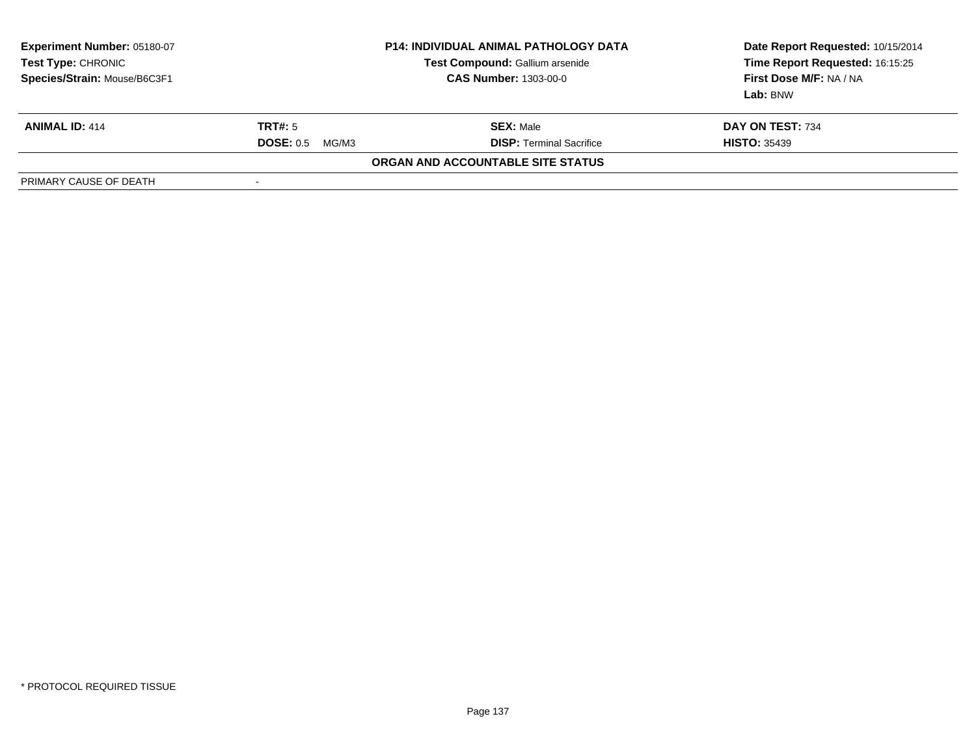| <b>Experiment Number: 05180-07</b><br>Test Type: CHRONIC<br>Species/Strain: Mouse/B6C3F1 | <b>P14: INDIVIDUAL ANIMAL PATHOLOGY DATA</b><br>Test Compound: Gallium arsenide<br><b>CAS Number: 1303-00-0</b> |                                   | Date Report Requested: 10/15/2014<br>Time Report Requested: 16:15:25<br>First Dose M/F: NA / NA<br>Lab: BNW |
|------------------------------------------------------------------------------------------|-----------------------------------------------------------------------------------------------------------------|-----------------------------------|-------------------------------------------------------------------------------------------------------------|
| <b>ANIMAL ID: 414</b>                                                                    | TRT#: 5                                                                                                         | <b>SEX: Male</b>                  | DAY ON TEST: 734                                                                                            |
|                                                                                          | <b>DOSE: 0.5</b><br>MG/M3                                                                                       | <b>DISP: Terminal Sacrifice</b>   | <b>HISTO: 35439</b>                                                                                         |
|                                                                                          |                                                                                                                 | ORGAN AND ACCOUNTABLE SITE STATUS |                                                                                                             |
| PRIMARY CAUSE OF DEATH                                                                   |                                                                                                                 |                                   |                                                                                                             |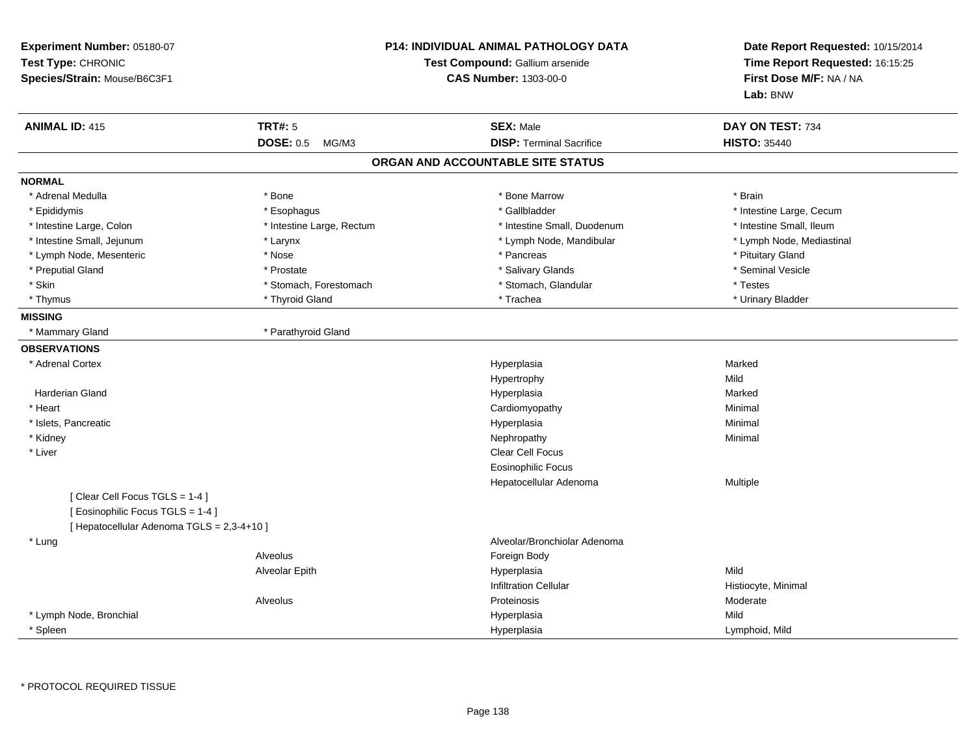| Experiment Number: 05180-07<br>Test Type: CHRONIC<br>Species/Strain: Mouse/B6C3F1 |                           | <b>P14: INDIVIDUAL ANIMAL PATHOLOGY DATA</b><br>Test Compound: Gallium arsenide<br><b>CAS Number: 1303-00-0</b> | Date Report Requested: 10/15/2014<br>Time Report Requested: 16:15:25<br>First Dose M/F: NA / NA<br>Lab: BNW |
|-----------------------------------------------------------------------------------|---------------------------|-----------------------------------------------------------------------------------------------------------------|-------------------------------------------------------------------------------------------------------------|
| <b>ANIMAL ID: 415</b>                                                             | <b>TRT#: 5</b>            | <b>SEX: Male</b>                                                                                                | DAY ON TEST: 734                                                                                            |
|                                                                                   | <b>DOSE: 0.5</b><br>MG/M3 | <b>DISP: Terminal Sacrifice</b>                                                                                 | <b>HISTO: 35440</b>                                                                                         |
|                                                                                   |                           | ORGAN AND ACCOUNTABLE SITE STATUS                                                                               |                                                                                                             |
| <b>NORMAL</b>                                                                     |                           |                                                                                                                 |                                                                                                             |
| * Adrenal Medulla                                                                 | * Bone                    | * Bone Marrow                                                                                                   | * Brain                                                                                                     |
| * Epididymis                                                                      | * Esophagus               | * Gallbladder                                                                                                   | * Intestine Large, Cecum                                                                                    |
| * Intestine Large, Colon                                                          | * Intestine Large, Rectum | * Intestine Small, Duodenum                                                                                     | * Intestine Small, Ileum                                                                                    |
| * Intestine Small, Jejunum                                                        | * Larynx                  | * Lymph Node, Mandibular                                                                                        | * Lymph Node, Mediastinal                                                                                   |
| * Lymph Node, Mesenteric                                                          | * Nose                    | * Pancreas                                                                                                      | * Pituitary Gland                                                                                           |
| * Preputial Gland                                                                 | * Prostate                | * Salivary Glands                                                                                               | * Seminal Vesicle                                                                                           |
| * Skin                                                                            | * Stomach, Forestomach    | * Stomach, Glandular                                                                                            | * Testes                                                                                                    |
| * Thymus                                                                          | * Thyroid Gland           | * Trachea                                                                                                       | * Urinary Bladder                                                                                           |
| <b>MISSING</b>                                                                    |                           |                                                                                                                 |                                                                                                             |
| * Mammary Gland                                                                   | * Parathyroid Gland       |                                                                                                                 |                                                                                                             |
| <b>OBSERVATIONS</b>                                                               |                           |                                                                                                                 |                                                                                                             |
| * Adrenal Cortex                                                                  |                           | Hyperplasia                                                                                                     | Marked                                                                                                      |
|                                                                                   |                           | Hypertrophy                                                                                                     | Mild                                                                                                        |
| Harderian Gland                                                                   |                           | Hyperplasia                                                                                                     | Marked                                                                                                      |
| * Heart                                                                           |                           | Cardiomyopathy                                                                                                  | Minimal                                                                                                     |
| * Islets, Pancreatic                                                              |                           | Hyperplasia                                                                                                     | Minimal                                                                                                     |
| * Kidney                                                                          |                           | Nephropathy                                                                                                     | Minimal                                                                                                     |
| * Liver                                                                           |                           | Clear Cell Focus                                                                                                |                                                                                                             |
|                                                                                   |                           | Eosinophilic Focus                                                                                              |                                                                                                             |
|                                                                                   |                           | Hepatocellular Adenoma                                                                                          | Multiple                                                                                                    |
| [Clear Cell Focus TGLS = 1-4]                                                     |                           |                                                                                                                 |                                                                                                             |
| [Eosinophilic Focus TGLS = 1-4]                                                   |                           |                                                                                                                 |                                                                                                             |
| [ Hepatocellular Adenoma TGLS = 2,3-4+10 ]                                        |                           |                                                                                                                 |                                                                                                             |
| * Lung                                                                            |                           | Alveolar/Bronchiolar Adenoma                                                                                    |                                                                                                             |
|                                                                                   | Alveolus                  | Foreign Body                                                                                                    |                                                                                                             |
|                                                                                   | Alveolar Epith            | Hyperplasia                                                                                                     | Mild                                                                                                        |
|                                                                                   |                           | <b>Infiltration Cellular</b>                                                                                    | Histiocyte, Minimal                                                                                         |
|                                                                                   | Alveolus                  | Proteinosis                                                                                                     | Moderate                                                                                                    |
| * Lymph Node, Bronchial                                                           |                           | Hyperplasia                                                                                                     | Mild                                                                                                        |
| * Spleen                                                                          |                           | Hyperplasia                                                                                                     | Lymphoid, Mild                                                                                              |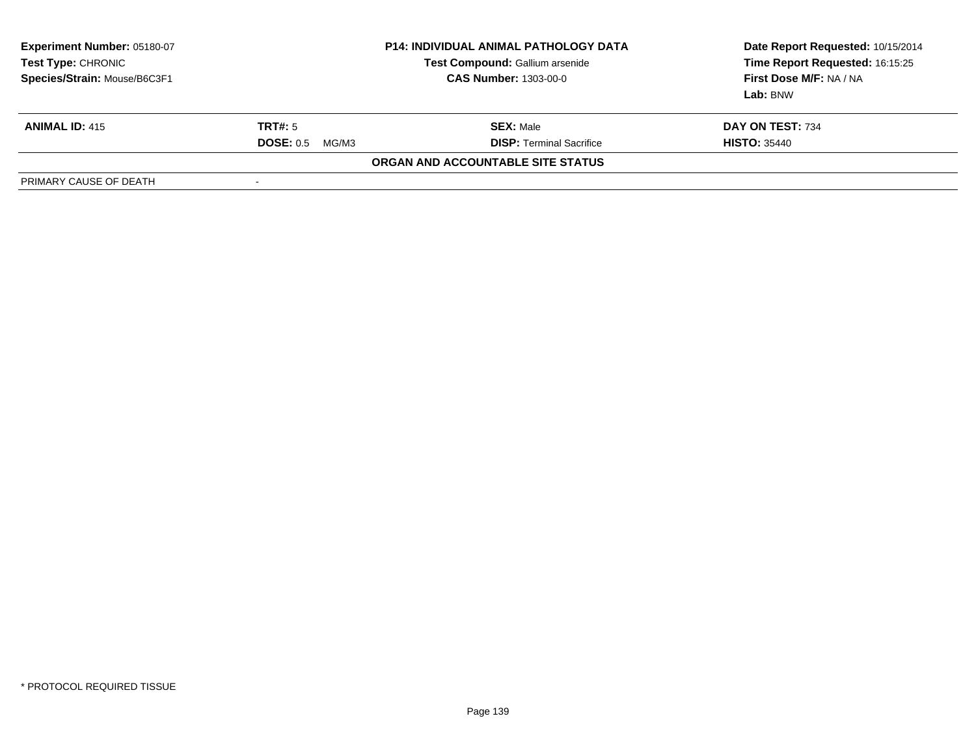| Experiment Number: 05180-07<br>Test Type: CHRONIC<br>Species/Strain: Mouse/B6C3F1 | <b>P14: INDIVIDUAL ANIMAL PATHOLOGY DATA</b><br>Test Compound: Gallium arsenide<br><b>CAS Number: 1303-00-0</b> |                                   | Date Report Requested: 10/15/2014<br>Time Report Requested: 16:15:25<br>First Dose M/F: NA / NA<br>Lab: BNW |
|-----------------------------------------------------------------------------------|-----------------------------------------------------------------------------------------------------------------|-----------------------------------|-------------------------------------------------------------------------------------------------------------|
| <b>ANIMAL ID: 415</b>                                                             | TRT#: 5                                                                                                         | <b>SEX: Male</b>                  | DAY ON TEST: 734                                                                                            |
|                                                                                   | <b>DOSE: 0.5</b><br>MG/M3                                                                                       | <b>DISP:</b> Terminal Sacrifice   | <b>HISTO: 35440</b>                                                                                         |
|                                                                                   |                                                                                                                 | ORGAN AND ACCOUNTABLE SITE STATUS |                                                                                                             |
| PRIMARY CAUSE OF DEATH                                                            | -                                                                                                               |                                   |                                                                                                             |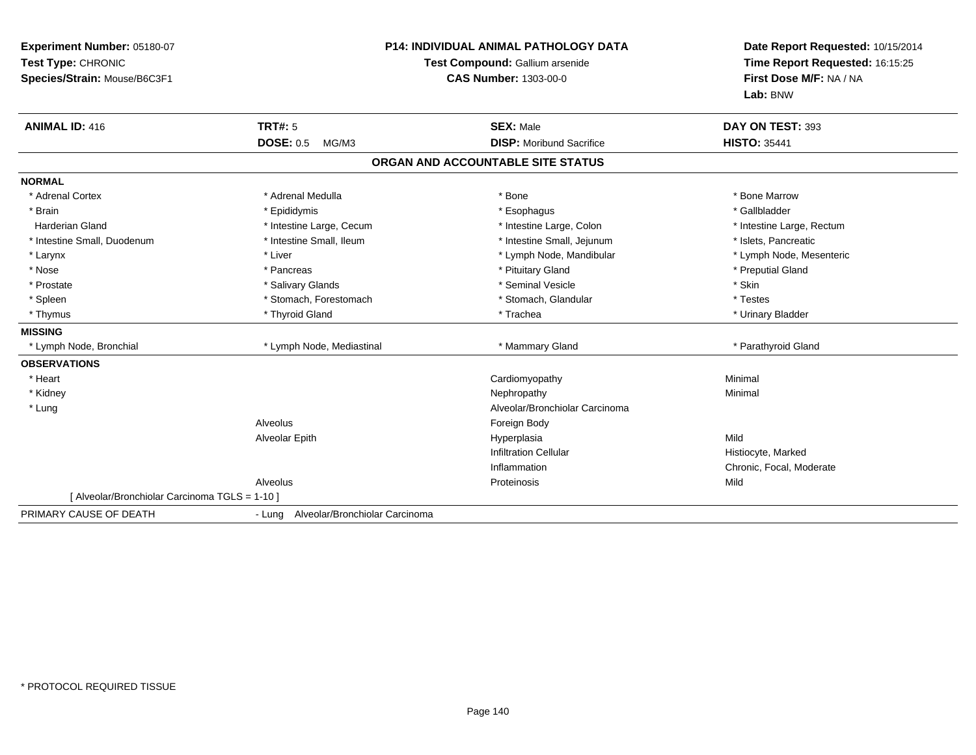| Experiment Number: 05180-07<br>Test Type: CHRONIC<br>Species/Strain: Mouse/B6C3F1 |                                       | <b>P14: INDIVIDUAL ANIMAL PATHOLOGY DATA</b><br>Test Compound: Gallium arsenide<br><b>CAS Number: 1303-00-0</b> | Date Report Requested: 10/15/2014<br>Time Report Requested: 16:15:25<br>First Dose M/F: NA / NA<br>Lab: BNW |
|-----------------------------------------------------------------------------------|---------------------------------------|-----------------------------------------------------------------------------------------------------------------|-------------------------------------------------------------------------------------------------------------|
| <b>ANIMAL ID: 416</b>                                                             | <b>TRT#: 5</b>                        | <b>SEX: Male</b>                                                                                                | DAY ON TEST: 393                                                                                            |
|                                                                                   | <b>DOSE: 0.5</b><br>MG/M3             | <b>DISP:</b> Moribund Sacrifice                                                                                 | <b>HISTO: 35441</b>                                                                                         |
|                                                                                   |                                       | ORGAN AND ACCOUNTABLE SITE STATUS                                                                               |                                                                                                             |
| <b>NORMAL</b>                                                                     |                                       |                                                                                                                 |                                                                                                             |
| * Adrenal Cortex                                                                  | * Adrenal Medulla                     | * Bone                                                                                                          | * Bone Marrow                                                                                               |
| * Brain                                                                           | * Epididymis                          | * Esophagus                                                                                                     | * Gallbladder                                                                                               |
| <b>Harderian Gland</b>                                                            | * Intestine Large, Cecum              | * Intestine Large, Colon                                                                                        | * Intestine Large, Rectum                                                                                   |
| * Intestine Small, Duodenum                                                       | * Intestine Small, Ileum              | * Intestine Small, Jejunum                                                                                      | * Islets, Pancreatic                                                                                        |
| * Larynx                                                                          | * Liver                               | * Lymph Node, Mandibular                                                                                        | * Lymph Node, Mesenteric                                                                                    |
| * Nose                                                                            | * Pancreas                            | * Pituitary Gland                                                                                               | * Preputial Gland                                                                                           |
| * Prostate                                                                        | * Salivary Glands                     | * Seminal Vesicle                                                                                               | * Skin                                                                                                      |
| * Spleen                                                                          | * Stomach, Forestomach                | * Stomach, Glandular                                                                                            | * Testes                                                                                                    |
| * Thymus                                                                          | * Thyroid Gland                       | * Trachea                                                                                                       | * Urinary Bladder                                                                                           |
| <b>MISSING</b>                                                                    |                                       |                                                                                                                 |                                                                                                             |
| * Lymph Node, Bronchial                                                           | * Lymph Node, Mediastinal             | * Mammary Gland                                                                                                 | * Parathyroid Gland                                                                                         |
| <b>OBSERVATIONS</b>                                                               |                                       |                                                                                                                 |                                                                                                             |
| * Heart                                                                           |                                       | Cardiomyopathy                                                                                                  | Minimal                                                                                                     |
| * Kidney                                                                          |                                       | Nephropathy                                                                                                     | Minimal                                                                                                     |
| * Lung                                                                            |                                       | Alveolar/Bronchiolar Carcinoma                                                                                  |                                                                                                             |
|                                                                                   | Alveolus                              | Foreign Body                                                                                                    |                                                                                                             |
|                                                                                   | Alveolar Epith                        | Hyperplasia                                                                                                     | Mild                                                                                                        |
|                                                                                   |                                       | <b>Infiltration Cellular</b>                                                                                    | Histiocyte, Marked                                                                                          |
|                                                                                   |                                       | Inflammation                                                                                                    | Chronic, Focal, Moderate                                                                                    |
|                                                                                   | Alveolus                              | Proteinosis                                                                                                     | Mild                                                                                                        |
| [ Alveolar/Bronchiolar Carcinoma TGLS = 1-10 ]                                    |                                       |                                                                                                                 |                                                                                                             |
| PRIMARY CAUSE OF DEATH                                                            | - Lung Alveolar/Bronchiolar Carcinoma |                                                                                                                 |                                                                                                             |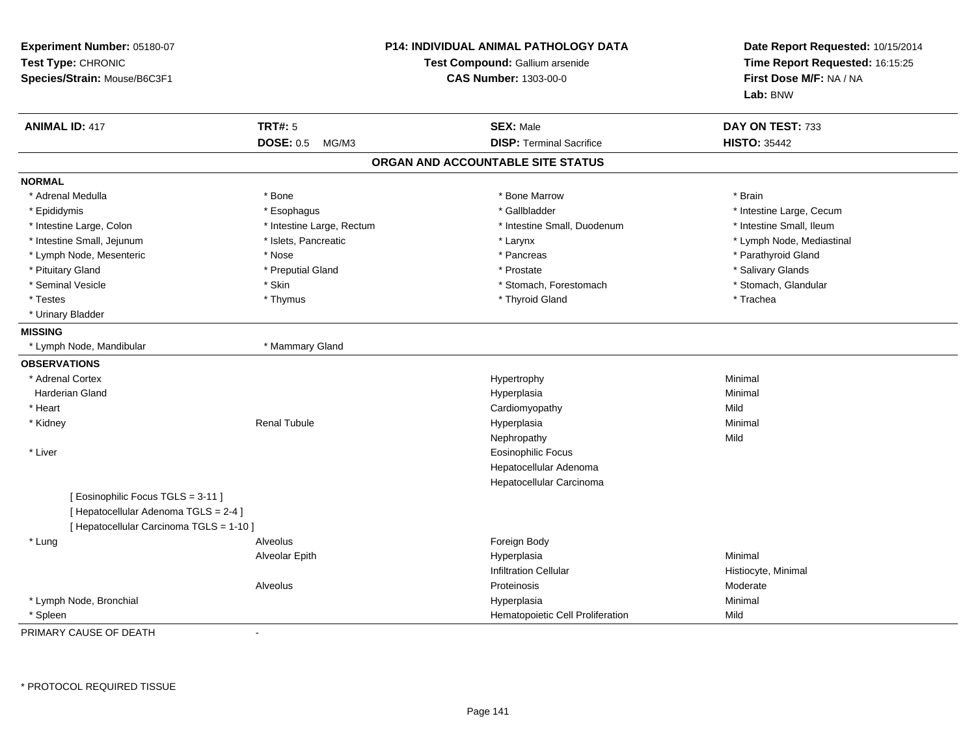| Experiment Number: 05180-07<br>Test Type: CHRONIC<br>Species/Strain: Mouse/B6C3F1 |                           | P14: INDIVIDUAL ANIMAL PATHOLOGY DATA<br>Test Compound: Gallium arsenide<br><b>CAS Number: 1303-00-0</b> | Date Report Requested: 10/15/2014<br>Time Report Requested: 16:15:25<br>First Dose M/F: NA / NA<br>Lab: BNW |
|-----------------------------------------------------------------------------------|---------------------------|----------------------------------------------------------------------------------------------------------|-------------------------------------------------------------------------------------------------------------|
| <b>ANIMAL ID: 417</b>                                                             | <b>TRT#: 5</b>            | <b>SEX: Male</b>                                                                                         | DAY ON TEST: 733                                                                                            |
|                                                                                   | <b>DOSE: 0.5</b><br>MG/M3 | <b>DISP: Terminal Sacrifice</b>                                                                          | <b>HISTO: 35442</b>                                                                                         |
|                                                                                   |                           | ORGAN AND ACCOUNTABLE SITE STATUS                                                                        |                                                                                                             |
| <b>NORMAL</b>                                                                     |                           |                                                                                                          |                                                                                                             |
| * Adrenal Medulla                                                                 | * Bone                    | * Bone Marrow                                                                                            | * Brain                                                                                                     |
| * Epididymis                                                                      | * Esophagus               | * Gallbladder                                                                                            | * Intestine Large, Cecum                                                                                    |
| * Intestine Large, Colon                                                          | * Intestine Large, Rectum | * Intestine Small, Duodenum                                                                              | * Intestine Small, Ileum                                                                                    |
| * Intestine Small, Jejunum                                                        | * Islets, Pancreatic      | * Larynx                                                                                                 | * Lymph Node, Mediastinal                                                                                   |
| * Lymph Node, Mesenteric                                                          | * Nose                    | * Pancreas                                                                                               | * Parathyroid Gland                                                                                         |
| * Pituitary Gland                                                                 | * Preputial Gland         | * Prostate                                                                                               | * Salivary Glands                                                                                           |
| * Seminal Vesicle                                                                 | * Skin                    | * Stomach, Forestomach                                                                                   | * Stomach, Glandular                                                                                        |
| * Testes                                                                          | * Thymus                  | * Thyroid Gland                                                                                          | * Trachea                                                                                                   |
| * Urinary Bladder                                                                 |                           |                                                                                                          |                                                                                                             |
| <b>MISSING</b>                                                                    |                           |                                                                                                          |                                                                                                             |
| * Lymph Node, Mandibular                                                          | * Mammary Gland           |                                                                                                          |                                                                                                             |
| <b>OBSERVATIONS</b>                                                               |                           |                                                                                                          |                                                                                                             |
| * Adrenal Cortex                                                                  |                           | Hypertrophy                                                                                              | Minimal                                                                                                     |
| <b>Harderian Gland</b>                                                            |                           | Hyperplasia                                                                                              | Minimal                                                                                                     |
| * Heart                                                                           |                           | Cardiomyopathy                                                                                           | Mild                                                                                                        |
| * Kidney                                                                          | <b>Renal Tubule</b>       | Hyperplasia                                                                                              | Minimal                                                                                                     |
|                                                                                   |                           | Nephropathy                                                                                              | Mild                                                                                                        |
| * Liver                                                                           |                           | <b>Eosinophilic Focus</b>                                                                                |                                                                                                             |
|                                                                                   |                           | Hepatocellular Adenoma                                                                                   |                                                                                                             |
|                                                                                   |                           | Hepatocellular Carcinoma                                                                                 |                                                                                                             |
| [ Eosinophilic Focus TGLS = 3-11 ]                                                |                           |                                                                                                          |                                                                                                             |
| [ Hepatocellular Adenoma TGLS = 2-4 ]                                             |                           |                                                                                                          |                                                                                                             |
| [ Hepatocellular Carcinoma TGLS = 1-10 ]                                          |                           |                                                                                                          |                                                                                                             |
| * Lung                                                                            | Alveolus                  | Foreign Body                                                                                             |                                                                                                             |
|                                                                                   | Alveolar Epith            | Hyperplasia                                                                                              | Minimal                                                                                                     |
|                                                                                   |                           | <b>Infiltration Cellular</b>                                                                             | Histiocyte, Minimal                                                                                         |
|                                                                                   | Alveolus                  | Proteinosis                                                                                              | Moderate                                                                                                    |
| * Lymph Node, Bronchial                                                           |                           | Hyperplasia                                                                                              | Minimal                                                                                                     |
| * Spleen                                                                          |                           | Hematopoietic Cell Proliferation                                                                         | Mild                                                                                                        |

PRIMARY CAUSE OF DEATH-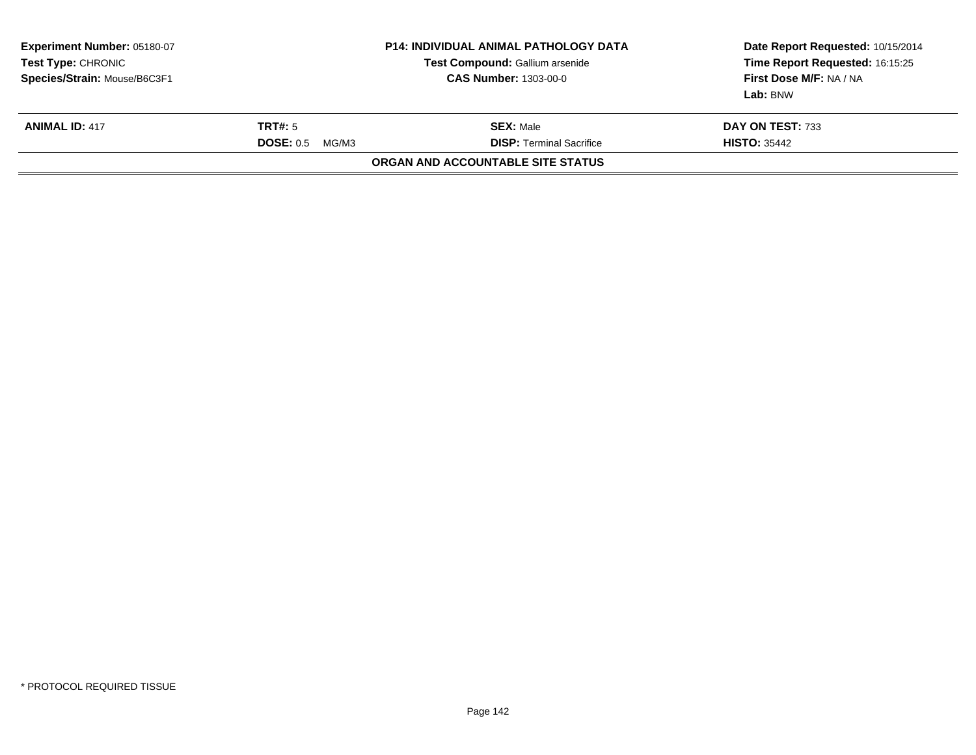| <b>Experiment Number: 05180-07</b><br>Test Type: CHRONIC<br>Species/Strain: Mouse/B6C3F1 | <b>P14: INDIVIDUAL ANIMAL PATHOLOGY DATA</b><br>Test Compound: Gallium arsenide<br><b>CAS Number: 1303-00-0</b> |                                                     | Date Report Requested: 10/15/2014<br>Time Report Requested: 16:15:25<br>First Dose M/F: NA / NA<br>Lab: BNW |
|------------------------------------------------------------------------------------------|-----------------------------------------------------------------------------------------------------------------|-----------------------------------------------------|-------------------------------------------------------------------------------------------------------------|
| <b>ANIMAL ID: 417</b>                                                                    | TRT#: 5<br><b>DOSE: 0.5</b><br>MG/M3                                                                            | <b>SEX: Male</b><br><b>DISP:</b> Terminal Sacrifice | DAY ON TEST: 733<br><b>HISTO: 35442</b>                                                                     |
|                                                                                          |                                                                                                                 | ORGAN AND ACCOUNTABLE SITE STATUS                   |                                                                                                             |
|                                                                                          |                                                                                                                 |                                                     |                                                                                                             |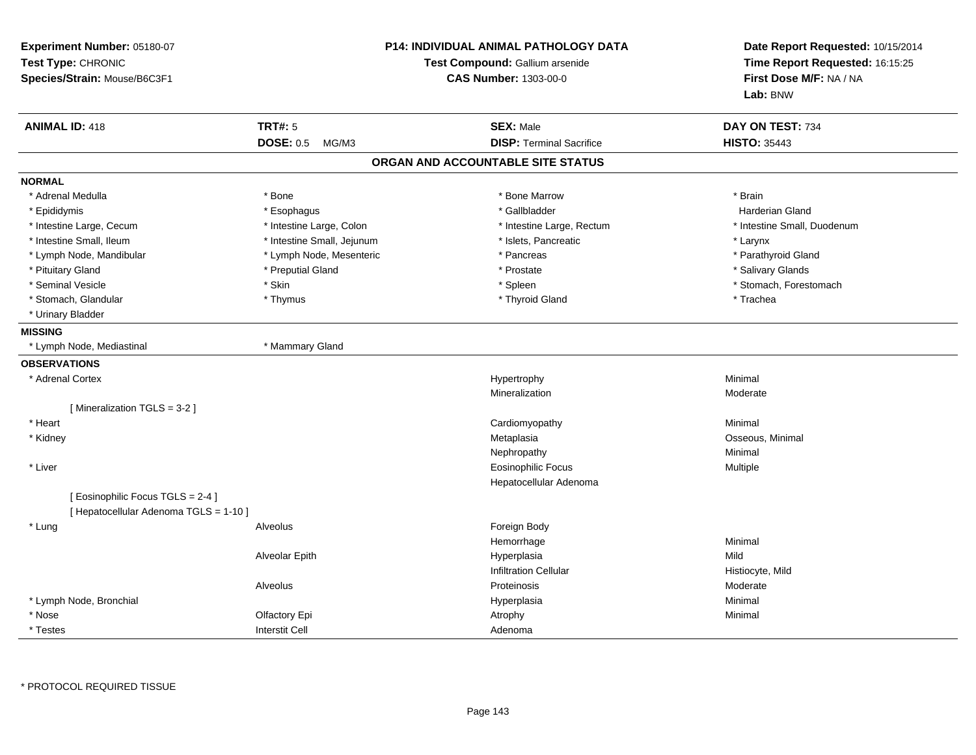| Experiment Number: 05180-07<br>Test Type: CHRONIC<br>Species/Strain: Mouse/B6C3F1 |                            | <b>P14: INDIVIDUAL ANIMAL PATHOLOGY DATA</b><br>Test Compound: Gallium arsenide<br><b>CAS Number: 1303-00-0</b> | Date Report Requested: 10/15/2014<br>Time Report Requested: 16:15:25<br>First Dose M/F: NA / NA<br>Lab: BNW |
|-----------------------------------------------------------------------------------|----------------------------|-----------------------------------------------------------------------------------------------------------------|-------------------------------------------------------------------------------------------------------------|
| <b>ANIMAL ID: 418</b>                                                             | <b>TRT#: 5</b>             | <b>SEX: Male</b>                                                                                                | DAY ON TEST: 734                                                                                            |
|                                                                                   | <b>DOSE: 0.5</b><br>MG/M3  | <b>DISP: Terminal Sacrifice</b>                                                                                 | <b>HISTO: 35443</b>                                                                                         |
|                                                                                   |                            | ORGAN AND ACCOUNTABLE SITE STATUS                                                                               |                                                                                                             |
| <b>NORMAL</b>                                                                     |                            |                                                                                                                 |                                                                                                             |
| * Adrenal Medulla                                                                 | * Bone                     | * Bone Marrow                                                                                                   | * Brain                                                                                                     |
| * Epididymis                                                                      | * Esophagus                | * Gallbladder                                                                                                   | Harderian Gland                                                                                             |
| * Intestine Large, Cecum                                                          | * Intestine Large, Colon   | * Intestine Large, Rectum                                                                                       | * Intestine Small, Duodenum                                                                                 |
| * Intestine Small, Ileum                                                          | * Intestine Small, Jejunum | * Islets, Pancreatic                                                                                            | * Larynx                                                                                                    |
| * Lymph Node, Mandibular                                                          | * Lymph Node, Mesenteric   | * Pancreas                                                                                                      | * Parathyroid Gland                                                                                         |
| * Pituitary Gland                                                                 | * Preputial Gland          | * Prostate                                                                                                      | * Salivary Glands                                                                                           |
| * Seminal Vesicle                                                                 | * Skin                     | * Spleen                                                                                                        | * Stomach, Forestomach                                                                                      |
| * Stomach, Glandular<br>* Urinary Bladder                                         | * Thymus                   | * Thyroid Gland                                                                                                 | * Trachea                                                                                                   |
| <b>MISSING</b>                                                                    |                            |                                                                                                                 |                                                                                                             |
| * Lymph Node, Mediastinal                                                         | * Mammary Gland            |                                                                                                                 |                                                                                                             |
| <b>OBSERVATIONS</b>                                                               |                            |                                                                                                                 |                                                                                                             |
| * Adrenal Cortex                                                                  |                            | Hypertrophy                                                                                                     | Minimal                                                                                                     |
|                                                                                   |                            | Mineralization                                                                                                  | Moderate                                                                                                    |
| [Mineralization TGLS = 3-2]                                                       |                            |                                                                                                                 |                                                                                                             |
| * Heart                                                                           |                            | Cardiomyopathy                                                                                                  | Minimal                                                                                                     |
| * Kidney                                                                          |                            | Metaplasia                                                                                                      | Osseous, Minimal                                                                                            |
|                                                                                   |                            | Nephropathy                                                                                                     | Minimal                                                                                                     |
| * Liver                                                                           |                            | Eosinophilic Focus                                                                                              | Multiple                                                                                                    |
|                                                                                   |                            | Hepatocellular Adenoma                                                                                          |                                                                                                             |
| [Eosinophilic Focus TGLS = 2-4]                                                   |                            |                                                                                                                 |                                                                                                             |
| [ Hepatocellular Adenoma TGLS = 1-10 ]                                            |                            |                                                                                                                 |                                                                                                             |
| * Lung                                                                            | Alveolus                   | Foreign Body                                                                                                    |                                                                                                             |
|                                                                                   |                            | Hemorrhage                                                                                                      | Minimal                                                                                                     |
|                                                                                   | Alveolar Epith             | Hyperplasia                                                                                                     | Mild                                                                                                        |
|                                                                                   |                            | <b>Infiltration Cellular</b>                                                                                    | Histiocyte, Mild                                                                                            |
|                                                                                   | Alveolus                   | Proteinosis                                                                                                     | Moderate                                                                                                    |
| * Lymph Node, Bronchial                                                           |                            | Hyperplasia                                                                                                     | Minimal                                                                                                     |
| * Nose                                                                            | Olfactory Epi              | Atrophy                                                                                                         | Minimal                                                                                                     |
| * Testes                                                                          | <b>Interstit Cell</b>      | Adenoma                                                                                                         |                                                                                                             |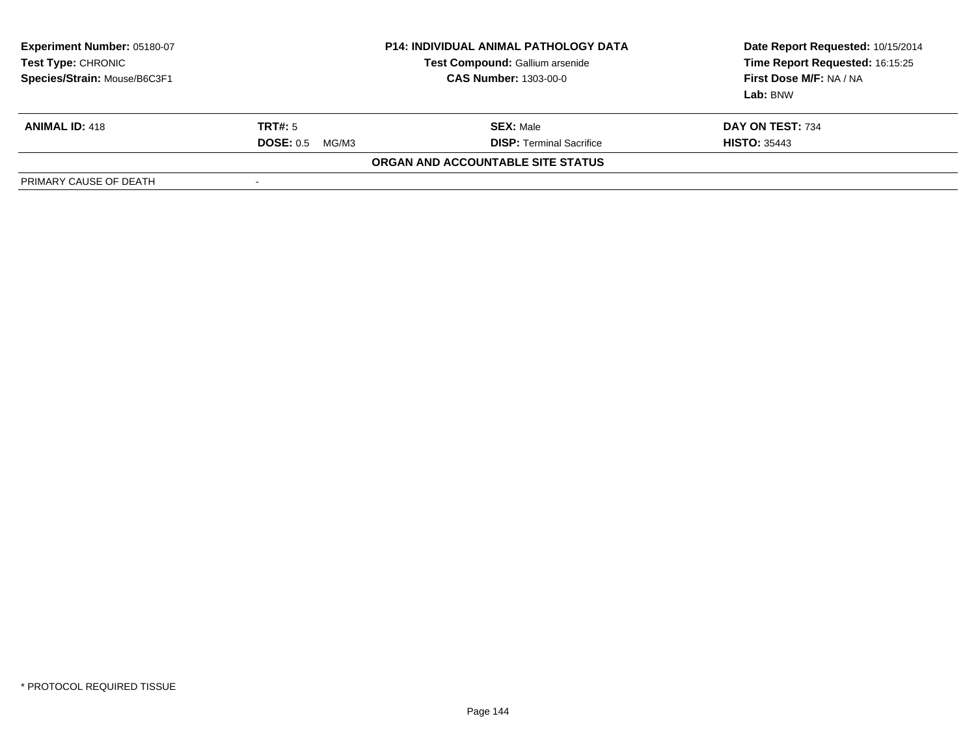| Experiment Number: 05180-07<br>Test Type: CHRONIC<br>Species/Strain: Mouse/B6C3F1 | <b>P14: INDIVIDUAL ANIMAL PATHOLOGY DATA</b><br>Test Compound: Gallium arsenide<br><b>CAS Number: 1303-00-0</b> |                                   | Date Report Requested: 10/15/2014<br>Time Report Requested: 16:15:25<br>First Dose M/F: NA / NA<br>Lab: BNW |
|-----------------------------------------------------------------------------------|-----------------------------------------------------------------------------------------------------------------|-----------------------------------|-------------------------------------------------------------------------------------------------------------|
| <b>ANIMAL ID: 418</b>                                                             | TRT#: 5                                                                                                         | <b>SEX: Male</b>                  | DAY ON TEST: 734                                                                                            |
|                                                                                   | <b>DOSE: 0.5</b><br>MG/M3                                                                                       | <b>DISP:</b> Terminal Sacrifice   | <b>HISTO: 35443</b>                                                                                         |
|                                                                                   |                                                                                                                 | ORGAN AND ACCOUNTABLE SITE STATUS |                                                                                                             |
| PRIMARY CAUSE OF DEATH                                                            | -                                                                                                               |                                   |                                                                                                             |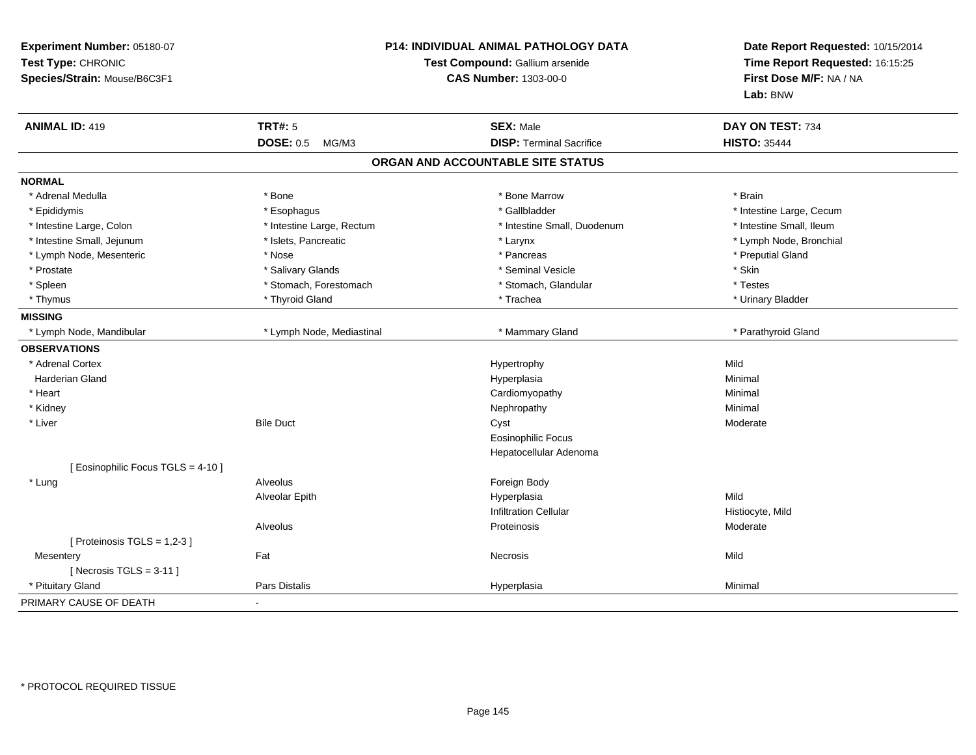| Experiment Number: 05180-07<br>Test Type: CHRONIC<br>Species/Strain: Mouse/B6C3F1 | P14: INDIVIDUAL ANIMAL PATHOLOGY DATA<br>Test Compound: Gallium arsenide<br><b>CAS Number: 1303-00-0</b> |                                   | Date Report Requested: 10/15/2014<br>Time Report Requested: 16:15:25<br>First Dose M/F: NA / NA<br>Lab: BNW |
|-----------------------------------------------------------------------------------|----------------------------------------------------------------------------------------------------------|-----------------------------------|-------------------------------------------------------------------------------------------------------------|
| <b>ANIMAL ID: 419</b>                                                             | <b>TRT#: 5</b>                                                                                           | <b>SEX: Male</b>                  | DAY ON TEST: 734                                                                                            |
|                                                                                   | <b>DOSE: 0.5</b><br>MG/M3                                                                                | <b>DISP: Terminal Sacrifice</b>   | <b>HISTO: 35444</b>                                                                                         |
|                                                                                   |                                                                                                          | ORGAN AND ACCOUNTABLE SITE STATUS |                                                                                                             |
| <b>NORMAL</b>                                                                     |                                                                                                          |                                   |                                                                                                             |
| * Adrenal Medulla                                                                 | * Bone                                                                                                   | * Bone Marrow                     | * Brain                                                                                                     |
| * Epididymis                                                                      | * Esophagus                                                                                              | * Gallbladder                     | * Intestine Large, Cecum                                                                                    |
| * Intestine Large, Colon                                                          | * Intestine Large, Rectum                                                                                | * Intestine Small, Duodenum       | * Intestine Small, Ileum                                                                                    |
| * Intestine Small, Jejunum                                                        | * Islets, Pancreatic                                                                                     | * Larynx                          | * Lymph Node, Bronchial                                                                                     |
| * Lymph Node, Mesenteric                                                          | * Nose                                                                                                   | * Pancreas                        | * Preputial Gland                                                                                           |
| * Prostate                                                                        | * Salivary Glands                                                                                        | * Seminal Vesicle                 | * Skin                                                                                                      |
| * Spleen                                                                          | * Stomach, Forestomach                                                                                   | * Stomach, Glandular              | * Testes                                                                                                    |
| * Thymus                                                                          | * Thyroid Gland                                                                                          | * Trachea                         | * Urinary Bladder                                                                                           |
| <b>MISSING</b>                                                                    |                                                                                                          |                                   |                                                                                                             |
| * Lymph Node, Mandibular                                                          | * Lymph Node, Mediastinal                                                                                | * Mammary Gland                   | * Parathyroid Gland                                                                                         |
| <b>OBSERVATIONS</b>                                                               |                                                                                                          |                                   |                                                                                                             |
| * Adrenal Cortex                                                                  |                                                                                                          | Hypertrophy                       | Mild                                                                                                        |
| Harderian Gland                                                                   |                                                                                                          | Hyperplasia                       | Minimal                                                                                                     |
| * Heart                                                                           |                                                                                                          | Cardiomyopathy                    | Minimal                                                                                                     |
| * Kidney                                                                          |                                                                                                          | Nephropathy                       | Minimal                                                                                                     |
| * Liver                                                                           | <b>Bile Duct</b>                                                                                         | Cyst                              | Moderate                                                                                                    |
|                                                                                   |                                                                                                          | <b>Eosinophilic Focus</b>         |                                                                                                             |
|                                                                                   |                                                                                                          | Hepatocellular Adenoma            |                                                                                                             |
| [ Eosinophilic Focus TGLS = 4-10 ]                                                |                                                                                                          |                                   |                                                                                                             |
| * Lung                                                                            | Alveolus                                                                                                 | Foreign Body                      |                                                                                                             |
|                                                                                   | Alveolar Epith                                                                                           | Hyperplasia                       | Mild                                                                                                        |
|                                                                                   |                                                                                                          | <b>Infiltration Cellular</b>      | Histiocyte, Mild                                                                                            |
|                                                                                   | Alveolus                                                                                                 | Proteinosis                       | Moderate                                                                                                    |
| [ Proteinosis TGLS = 1,2-3 ]                                                      |                                                                                                          |                                   |                                                                                                             |
| Mesentery                                                                         | Fat                                                                                                      | Necrosis                          | Mild                                                                                                        |
| [Necrosis TGLS = $3-11$ ]                                                         |                                                                                                          |                                   |                                                                                                             |
| * Pituitary Gland                                                                 | <b>Pars Distalis</b>                                                                                     | Hyperplasia                       | Minimal                                                                                                     |
| PRIMARY CAUSE OF DEATH                                                            | $\blacksquare$                                                                                           |                                   |                                                                                                             |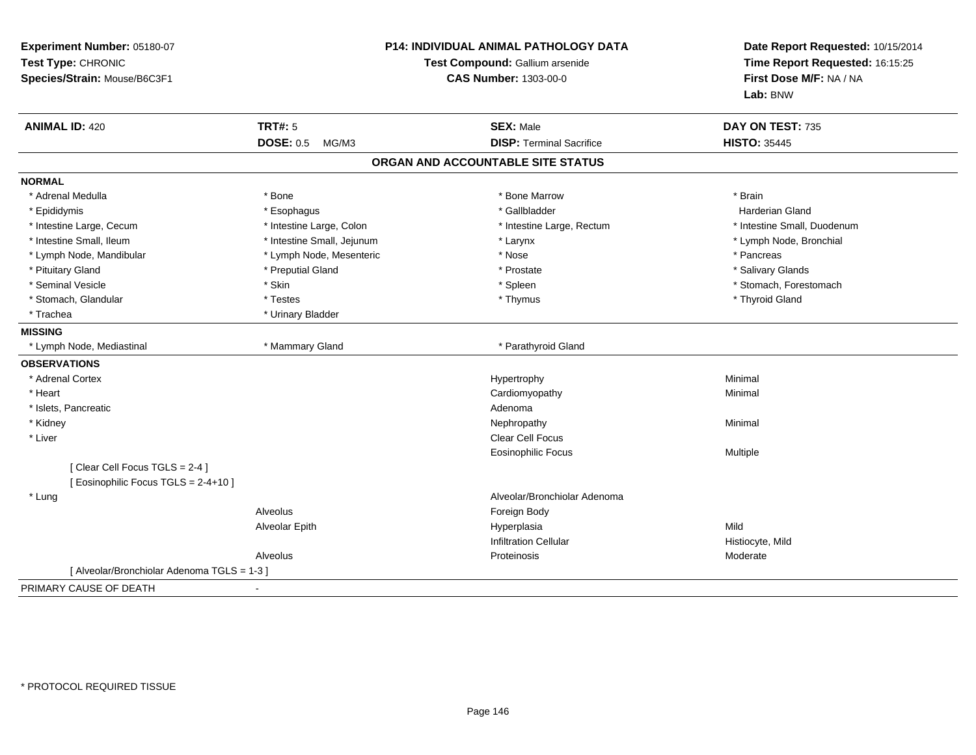| Experiment Number: 05180-07<br>Test Type: CHRONIC<br>Species/Strain: Mouse/B6C3F1 | <b>P14: INDIVIDUAL ANIMAL PATHOLOGY DATA</b><br>Test Compound: Gallium arsenide<br><b>CAS Number: 1303-00-0</b> |                                   | Date Report Requested: 10/15/2014<br>Time Report Requested: 16:15:25<br>First Dose M/F: NA / NA<br>Lab: BNW |
|-----------------------------------------------------------------------------------|-----------------------------------------------------------------------------------------------------------------|-----------------------------------|-------------------------------------------------------------------------------------------------------------|
| <b>ANIMAL ID: 420</b>                                                             | <b>TRT#: 5</b>                                                                                                  | <b>SEX: Male</b>                  | DAY ON TEST: 735                                                                                            |
|                                                                                   | <b>DOSE: 0.5</b><br>MG/M3                                                                                       | <b>DISP: Terminal Sacrifice</b>   | <b>HISTO: 35445</b>                                                                                         |
|                                                                                   |                                                                                                                 | ORGAN AND ACCOUNTABLE SITE STATUS |                                                                                                             |
| <b>NORMAL</b>                                                                     |                                                                                                                 |                                   |                                                                                                             |
| * Adrenal Medulla                                                                 | * Bone                                                                                                          | * Bone Marrow                     | * Brain                                                                                                     |
| * Epididymis                                                                      | * Esophagus                                                                                                     | * Gallbladder                     | <b>Harderian Gland</b>                                                                                      |
| * Intestine Large, Cecum                                                          | * Intestine Large, Colon                                                                                        | * Intestine Large, Rectum         | * Intestine Small, Duodenum                                                                                 |
| * Intestine Small, Ileum                                                          | * Intestine Small, Jejunum                                                                                      | * Larynx                          | * Lymph Node, Bronchial                                                                                     |
| * Lymph Node, Mandibular                                                          | * Lymph Node, Mesenteric                                                                                        | * Nose                            | * Pancreas                                                                                                  |
| * Pituitary Gland                                                                 | * Preputial Gland                                                                                               | * Prostate                        | * Salivary Glands                                                                                           |
| * Seminal Vesicle                                                                 | * Skin                                                                                                          | * Spleen                          | * Stomach, Forestomach                                                                                      |
| * Stomach, Glandular                                                              | * Testes                                                                                                        | * Thymus                          | * Thyroid Gland                                                                                             |
| * Trachea                                                                         | * Urinary Bladder                                                                                               |                                   |                                                                                                             |
| <b>MISSING</b>                                                                    |                                                                                                                 |                                   |                                                                                                             |
| * Lymph Node, Mediastinal                                                         | * Mammary Gland                                                                                                 | * Parathyroid Gland               |                                                                                                             |
| <b>OBSERVATIONS</b>                                                               |                                                                                                                 |                                   |                                                                                                             |
| * Adrenal Cortex                                                                  |                                                                                                                 | Hypertrophy                       | Minimal                                                                                                     |
| * Heart                                                                           |                                                                                                                 | Cardiomyopathy                    | Minimal                                                                                                     |
| * Islets, Pancreatic                                                              |                                                                                                                 | Adenoma                           |                                                                                                             |
| * Kidney                                                                          |                                                                                                                 | Nephropathy                       | Minimal                                                                                                     |
| * Liver                                                                           |                                                                                                                 | <b>Clear Cell Focus</b>           |                                                                                                             |
|                                                                                   |                                                                                                                 | <b>Eosinophilic Focus</b>         | Multiple                                                                                                    |
| [Clear Cell Focus TGLS = 2-4]                                                     |                                                                                                                 |                                   |                                                                                                             |
| [ Eosinophilic Focus TGLS = 2-4+10 ]                                              |                                                                                                                 |                                   |                                                                                                             |
| * Lung                                                                            |                                                                                                                 | Alveolar/Bronchiolar Adenoma      |                                                                                                             |
|                                                                                   | Alveolus                                                                                                        | Foreign Body                      |                                                                                                             |
|                                                                                   | Alveolar Epith                                                                                                  | Hyperplasia                       | Mild                                                                                                        |
|                                                                                   |                                                                                                                 | <b>Infiltration Cellular</b>      | Histiocyte, Mild                                                                                            |
|                                                                                   | Alveolus                                                                                                        | Proteinosis                       | Moderate                                                                                                    |
| [ Alveolar/Bronchiolar Adenoma TGLS = 1-3 ]                                       |                                                                                                                 |                                   |                                                                                                             |
| PRIMARY CAUSE OF DEATH                                                            |                                                                                                                 |                                   |                                                                                                             |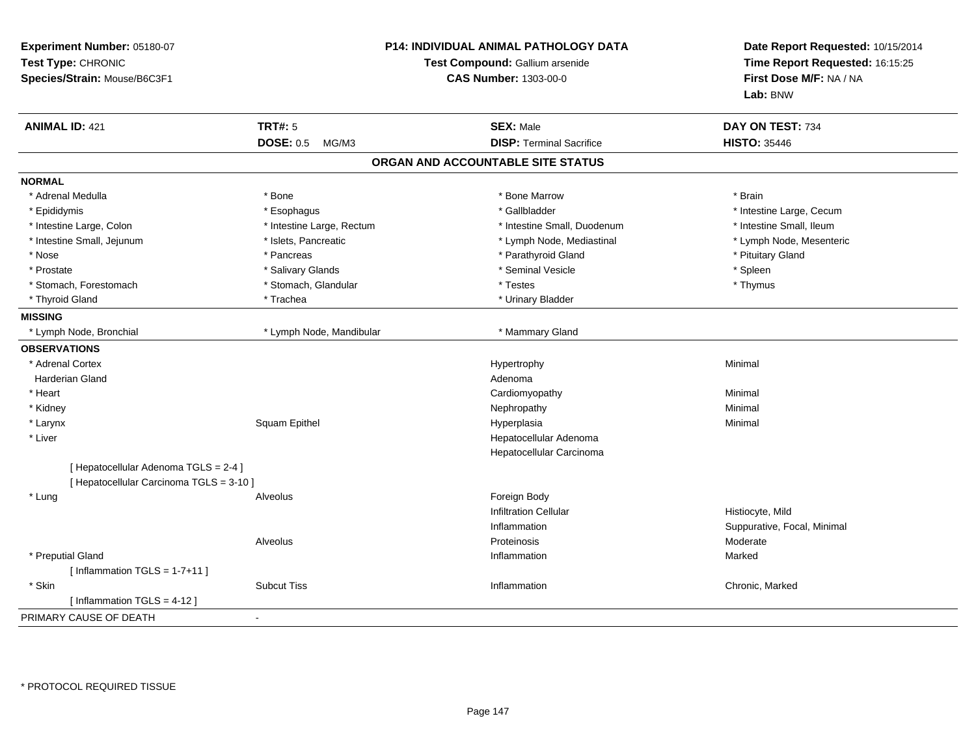| Experiment Number: 05180-07<br>Test Type: CHRONIC<br>Species/Strain: Mouse/B6C3F1 | P14: INDIVIDUAL ANIMAL PATHOLOGY DATA<br>Test Compound: Gallium arsenide<br><b>CAS Number: 1303-00-0</b> |                                   | Date Report Requested: 10/15/2014<br>Time Report Requested: 16:15:25<br>First Dose M/F: NA / NA<br>Lab: BNW |
|-----------------------------------------------------------------------------------|----------------------------------------------------------------------------------------------------------|-----------------------------------|-------------------------------------------------------------------------------------------------------------|
| <b>ANIMAL ID: 421</b>                                                             | <b>TRT#: 5</b>                                                                                           | <b>SEX: Male</b>                  | DAY ON TEST: 734                                                                                            |
|                                                                                   | <b>DOSE: 0.5</b><br>MG/M3                                                                                | <b>DISP: Terminal Sacrifice</b>   | <b>HISTO: 35446</b>                                                                                         |
|                                                                                   |                                                                                                          | ORGAN AND ACCOUNTABLE SITE STATUS |                                                                                                             |
| <b>NORMAL</b>                                                                     |                                                                                                          |                                   |                                                                                                             |
| * Adrenal Medulla                                                                 | * Bone                                                                                                   | * Bone Marrow                     | * Brain                                                                                                     |
| * Epididymis                                                                      | * Esophagus                                                                                              | * Gallbladder                     | * Intestine Large, Cecum                                                                                    |
| * Intestine Large, Colon                                                          | * Intestine Large, Rectum                                                                                | * Intestine Small, Duodenum       | * Intestine Small, Ileum                                                                                    |
| * Intestine Small, Jejunum                                                        | * Islets, Pancreatic                                                                                     | * Lymph Node, Mediastinal         | * Lymph Node, Mesenteric                                                                                    |
| * Nose                                                                            | * Pancreas                                                                                               | * Parathyroid Gland               | * Pituitary Gland                                                                                           |
| * Prostate                                                                        | * Salivary Glands                                                                                        | * Seminal Vesicle                 | * Spleen                                                                                                    |
| * Stomach, Forestomach                                                            | * Stomach, Glandular                                                                                     | * Testes                          | * Thymus                                                                                                    |
| * Thyroid Gland                                                                   | * Trachea                                                                                                | * Urinary Bladder                 |                                                                                                             |
| <b>MISSING</b>                                                                    |                                                                                                          |                                   |                                                                                                             |
| * Lymph Node, Bronchial                                                           | * Lymph Node, Mandibular                                                                                 | * Mammary Gland                   |                                                                                                             |
| <b>OBSERVATIONS</b>                                                               |                                                                                                          |                                   |                                                                                                             |
| * Adrenal Cortex                                                                  |                                                                                                          | Hypertrophy                       | Minimal                                                                                                     |
| <b>Harderian Gland</b>                                                            |                                                                                                          | Adenoma                           |                                                                                                             |
| * Heart                                                                           |                                                                                                          | Cardiomyopathy                    | Minimal                                                                                                     |
| * Kidney                                                                          |                                                                                                          | Nephropathy                       | Minimal                                                                                                     |
| * Larynx                                                                          | Squam Epithel                                                                                            | Hyperplasia                       | Minimal                                                                                                     |
| * Liver                                                                           |                                                                                                          | Hepatocellular Adenoma            |                                                                                                             |
|                                                                                   |                                                                                                          | Hepatocellular Carcinoma          |                                                                                                             |
| [ Hepatocellular Adenoma TGLS = 2-4 ]                                             |                                                                                                          |                                   |                                                                                                             |
| [ Hepatocellular Carcinoma TGLS = 3-10 ]                                          |                                                                                                          |                                   |                                                                                                             |
| * Lung                                                                            | Alveolus                                                                                                 | Foreign Body                      |                                                                                                             |
|                                                                                   |                                                                                                          | <b>Infiltration Cellular</b>      | Histiocyte, Mild                                                                                            |
|                                                                                   |                                                                                                          | Inflammation                      | Suppurative, Focal, Minimal                                                                                 |
|                                                                                   | Alveolus                                                                                                 | Proteinosis                       | Moderate                                                                                                    |
| * Preputial Gland                                                                 |                                                                                                          | Inflammation                      | Marked                                                                                                      |
| [Inflammation TGLS = $1-7+11$ ]                                                   |                                                                                                          |                                   |                                                                                                             |
| * Skin                                                                            | <b>Subcut Tiss</b>                                                                                       | Inflammation                      | Chronic, Marked                                                                                             |
| [Inflammation TGLS = $4-12$ ]                                                     |                                                                                                          |                                   |                                                                                                             |
| PRIMARY CAUSE OF DEATH                                                            | $\sim$                                                                                                   |                                   |                                                                                                             |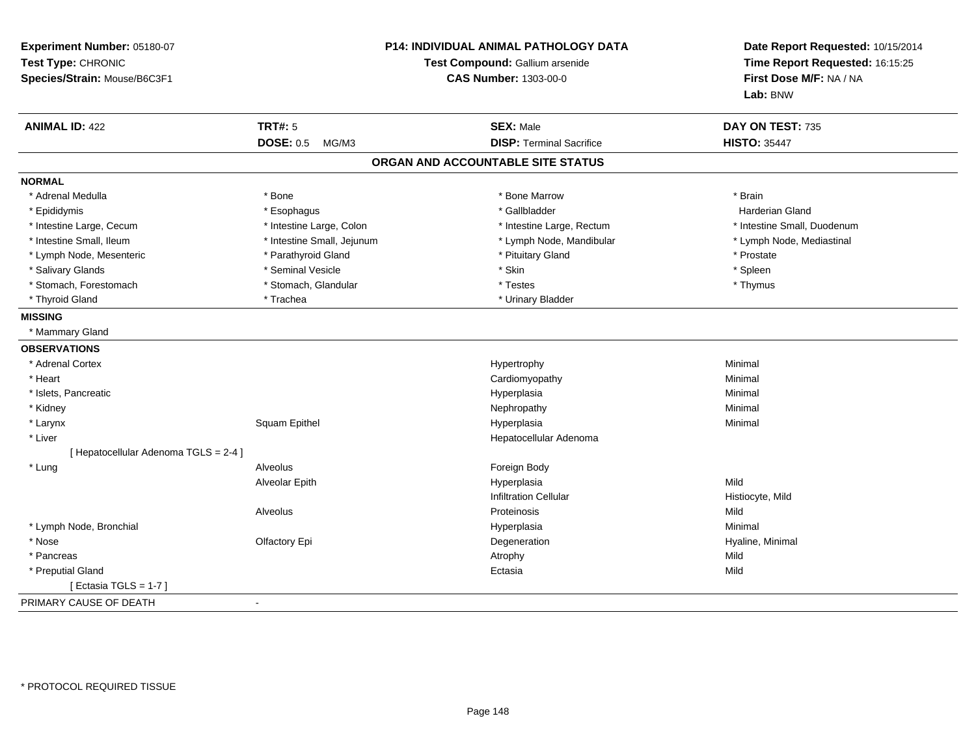| Experiment Number: 05180-07<br>Test Type: CHRONIC<br>Species/Strain: Mouse/B6C3F1 | <b>P14: INDIVIDUAL ANIMAL PATHOLOGY DATA</b><br>Test Compound: Gallium arsenide<br><b>CAS Number: 1303-00-0</b> |                                   | Date Report Requested: 10/15/2014<br>Time Report Requested: 16:15:25<br>First Dose M/F: NA / NA<br>Lab: BNW |
|-----------------------------------------------------------------------------------|-----------------------------------------------------------------------------------------------------------------|-----------------------------------|-------------------------------------------------------------------------------------------------------------|
| <b>ANIMAL ID: 422</b>                                                             | <b>TRT#: 5</b>                                                                                                  | <b>SEX: Male</b>                  | DAY ON TEST: 735                                                                                            |
|                                                                                   | DOSE: 0.5 MG/M3                                                                                                 | <b>DISP: Terminal Sacrifice</b>   | <b>HISTO: 35447</b>                                                                                         |
|                                                                                   |                                                                                                                 | ORGAN AND ACCOUNTABLE SITE STATUS |                                                                                                             |
| <b>NORMAL</b>                                                                     |                                                                                                                 |                                   |                                                                                                             |
| * Adrenal Medulla                                                                 | * Bone                                                                                                          | * Bone Marrow                     | * Brain                                                                                                     |
| * Epididymis                                                                      | * Esophagus                                                                                                     | * Gallbladder                     | <b>Harderian Gland</b>                                                                                      |
| * Intestine Large, Cecum                                                          | * Intestine Large, Colon                                                                                        | * Intestine Large, Rectum         | * Intestine Small, Duodenum                                                                                 |
| * Intestine Small, Ileum                                                          | * Intestine Small, Jejunum                                                                                      | * Lymph Node, Mandibular          | * Lymph Node, Mediastinal                                                                                   |
| * Lymph Node, Mesenteric                                                          | * Parathyroid Gland                                                                                             | * Pituitary Gland                 | * Prostate                                                                                                  |
| * Salivary Glands                                                                 | * Seminal Vesicle                                                                                               | * Skin                            | * Spleen                                                                                                    |
| * Stomach, Forestomach                                                            | * Stomach, Glandular                                                                                            | * Testes                          | * Thymus                                                                                                    |
| * Thyroid Gland                                                                   | * Trachea                                                                                                       | * Urinary Bladder                 |                                                                                                             |
| <b>MISSING</b>                                                                    |                                                                                                                 |                                   |                                                                                                             |
| * Mammary Gland                                                                   |                                                                                                                 |                                   |                                                                                                             |
| <b>OBSERVATIONS</b>                                                               |                                                                                                                 |                                   |                                                                                                             |
| * Adrenal Cortex                                                                  |                                                                                                                 | Hypertrophy                       | Minimal                                                                                                     |
| * Heart                                                                           |                                                                                                                 | Cardiomyopathy                    | Minimal                                                                                                     |
| * Islets, Pancreatic                                                              |                                                                                                                 | Hyperplasia                       | Minimal                                                                                                     |
| * Kidney                                                                          |                                                                                                                 | Nephropathy                       | Minimal                                                                                                     |
| * Larynx                                                                          | Squam Epithel                                                                                                   | Hyperplasia                       | Minimal                                                                                                     |
| * Liver                                                                           |                                                                                                                 | Hepatocellular Adenoma            |                                                                                                             |
| [ Hepatocellular Adenoma TGLS = 2-4 ]                                             |                                                                                                                 |                                   |                                                                                                             |
| * Lung                                                                            | Alveolus                                                                                                        | Foreign Body                      |                                                                                                             |
|                                                                                   | Alveolar Epith                                                                                                  | Hyperplasia                       | Mild                                                                                                        |
|                                                                                   |                                                                                                                 | <b>Infiltration Cellular</b>      | Histiocyte, Mild                                                                                            |
|                                                                                   | Alveolus                                                                                                        | Proteinosis                       | Mild                                                                                                        |
| * Lymph Node, Bronchial                                                           |                                                                                                                 | Hyperplasia                       | Minimal                                                                                                     |
| * Nose                                                                            | Olfactory Epi                                                                                                   | Degeneration                      | Hyaline, Minimal                                                                                            |
| * Pancreas                                                                        |                                                                                                                 | Atrophy                           | Mild                                                                                                        |
| * Preputial Gland                                                                 |                                                                                                                 | Ectasia                           | Mild                                                                                                        |
| [ Ectasia TGLS = $1-7$ ]                                                          |                                                                                                                 |                                   |                                                                                                             |
| PRIMARY CAUSE OF DEATH                                                            |                                                                                                                 |                                   |                                                                                                             |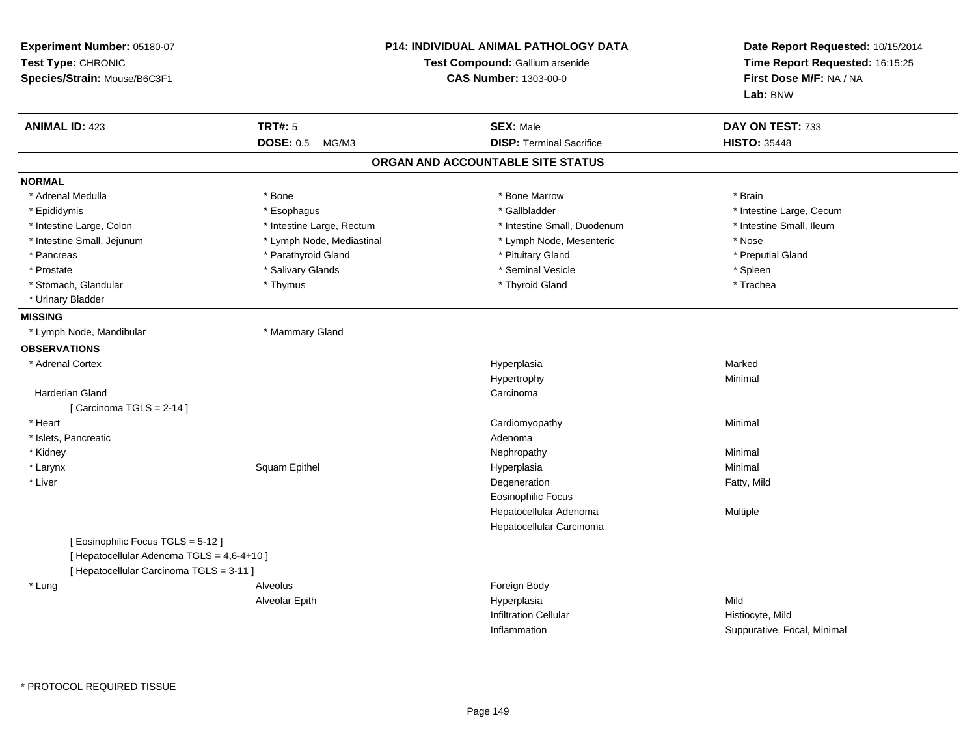| Experiment Number: 05180-07<br>Test Type: CHRONIC<br>Species/Strain: Mouse/B6C3F1 |                           | P14: INDIVIDUAL ANIMAL PATHOLOGY DATA<br>Test Compound: Gallium arsenide<br><b>CAS Number: 1303-00-0</b> |                             |
|-----------------------------------------------------------------------------------|---------------------------|----------------------------------------------------------------------------------------------------------|-----------------------------|
| <b>ANIMAL ID: 423</b>                                                             | <b>TRT#: 5</b>            | <b>SEX: Male</b>                                                                                         | DAY ON TEST: 733            |
|                                                                                   | <b>DOSE: 0.5</b><br>MG/M3 | <b>DISP: Terminal Sacrifice</b>                                                                          | <b>HISTO: 35448</b>         |
|                                                                                   |                           | ORGAN AND ACCOUNTABLE SITE STATUS                                                                        |                             |
| <b>NORMAL</b>                                                                     |                           |                                                                                                          |                             |
| * Adrenal Medulla                                                                 | * Bone                    | * Bone Marrow                                                                                            | * Brain                     |
| * Epididymis                                                                      | * Esophagus               | * Gallbladder                                                                                            | * Intestine Large, Cecum    |
| * Intestine Large, Colon                                                          | * Intestine Large, Rectum | * Intestine Small, Duodenum                                                                              | * Intestine Small, Ileum    |
| * Intestine Small, Jejunum                                                        | * Lymph Node, Mediastinal | * Lymph Node, Mesenteric                                                                                 | * Nose                      |
| * Pancreas                                                                        | * Parathyroid Gland       | * Pituitary Gland                                                                                        | * Preputial Gland           |
| * Prostate                                                                        | * Salivary Glands         | * Seminal Vesicle                                                                                        | * Spleen                    |
| * Stomach, Glandular                                                              | * Thymus                  | * Thyroid Gland                                                                                          | * Trachea                   |
| * Urinary Bladder                                                                 |                           |                                                                                                          |                             |
| <b>MISSING</b>                                                                    |                           |                                                                                                          |                             |
| * Lymph Node, Mandibular                                                          | * Mammary Gland           |                                                                                                          |                             |
| <b>OBSERVATIONS</b>                                                               |                           |                                                                                                          |                             |
| * Adrenal Cortex                                                                  |                           | Hyperplasia                                                                                              | Marked                      |
|                                                                                   |                           | Hypertrophy                                                                                              | Minimal                     |
| <b>Harderian Gland</b>                                                            |                           | Carcinoma                                                                                                |                             |
| [Carcinoma TGLS = 2-14]                                                           |                           |                                                                                                          |                             |
| * Heart                                                                           |                           | Cardiomyopathy                                                                                           | Minimal                     |
| * Islets, Pancreatic                                                              |                           | Adenoma                                                                                                  |                             |
| * Kidney                                                                          |                           | Nephropathy                                                                                              | Minimal                     |
| * Larynx                                                                          | Squam Epithel             | Hyperplasia                                                                                              | Minimal                     |
| * Liver                                                                           |                           | Degeneration                                                                                             | Fatty, Mild                 |
|                                                                                   |                           | <b>Eosinophilic Focus</b>                                                                                |                             |
|                                                                                   |                           | Hepatocellular Adenoma                                                                                   | Multiple                    |
|                                                                                   |                           | Hepatocellular Carcinoma                                                                                 |                             |
| [Eosinophilic Focus TGLS = 5-12]                                                  |                           |                                                                                                          |                             |
| [ Hepatocellular Adenoma TGLS = 4,6-4+10 ]                                        |                           |                                                                                                          |                             |
| [ Hepatocellular Carcinoma TGLS = 3-11 ]                                          |                           |                                                                                                          |                             |
| * Lung                                                                            | Alveolus                  | Foreign Body                                                                                             |                             |
|                                                                                   | Alveolar Epith            | Hyperplasia                                                                                              | Mild                        |
|                                                                                   |                           | <b>Infiltration Cellular</b>                                                                             | Histiocyte, Mild            |
|                                                                                   |                           | Inflammation                                                                                             | Suppurative, Focal, Minimal |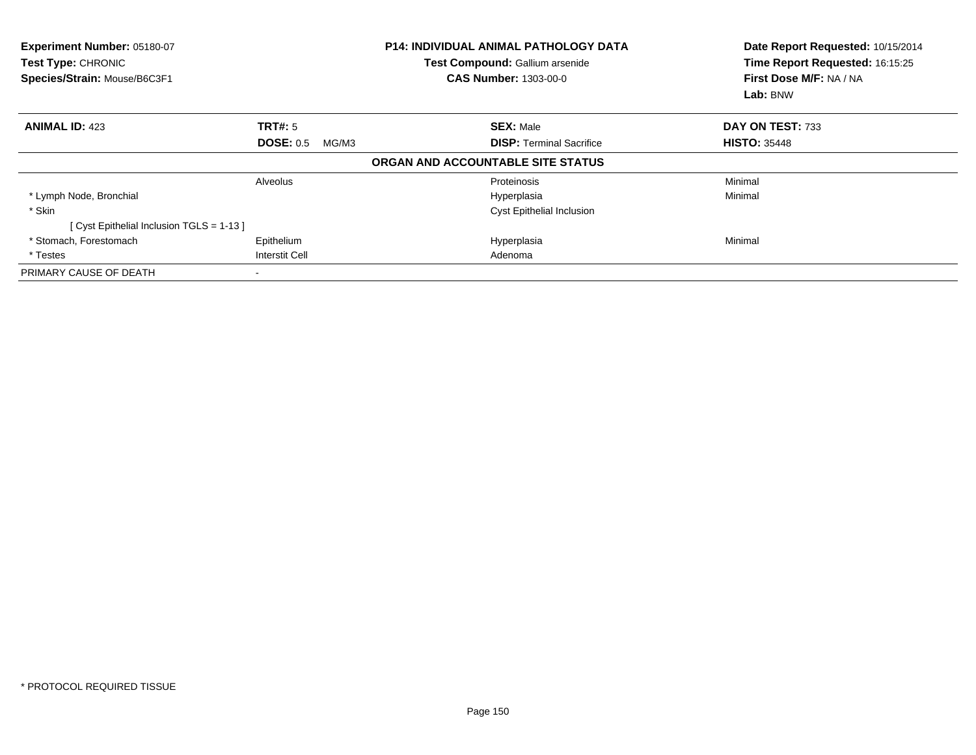| Experiment Number: 05180-07<br><b>Test Type: CHRONIC</b><br>Species/Strain: Mouse/B6C3F1 |                           | <b>P14: INDIVIDUAL ANIMAL PATHOLOGY DATA</b><br>Test Compound: Gallium arsenide<br><b>CAS Number: 1303-00-0</b> | Date Report Requested: 10/15/2014<br>Time Report Requested: 16:15:25<br>First Dose M/F: NA / NA<br>Lab: BNW |
|------------------------------------------------------------------------------------------|---------------------------|-----------------------------------------------------------------------------------------------------------------|-------------------------------------------------------------------------------------------------------------|
| <b>ANIMAL ID: 423</b>                                                                    | <b>TRT#:</b> 5            | <b>SEX: Male</b>                                                                                                | DAY ON TEST: 733                                                                                            |
|                                                                                          | <b>DOSE: 0.5</b><br>MG/M3 | <b>DISP:</b> Terminal Sacrifice                                                                                 | <b>HISTO: 35448</b>                                                                                         |
|                                                                                          |                           | ORGAN AND ACCOUNTABLE SITE STATUS                                                                               |                                                                                                             |
|                                                                                          | Alveolus                  | Proteinosis                                                                                                     | Minimal                                                                                                     |
| * Lymph Node, Bronchial                                                                  |                           | Hyperplasia                                                                                                     | Minimal                                                                                                     |
| * Skin                                                                                   |                           | <b>Cyst Epithelial Inclusion</b>                                                                                |                                                                                                             |
| [ Cyst Epithelial Inclusion TGLS = 1-13 ]                                                |                           |                                                                                                                 |                                                                                                             |
| * Stomach, Forestomach                                                                   | Epithelium                | Hyperplasia                                                                                                     | Minimal                                                                                                     |
| * Testes                                                                                 | <b>Interstit Cell</b>     | Adenoma                                                                                                         |                                                                                                             |
| PRIMARY CAUSE OF DEATH                                                                   |                           |                                                                                                                 |                                                                                                             |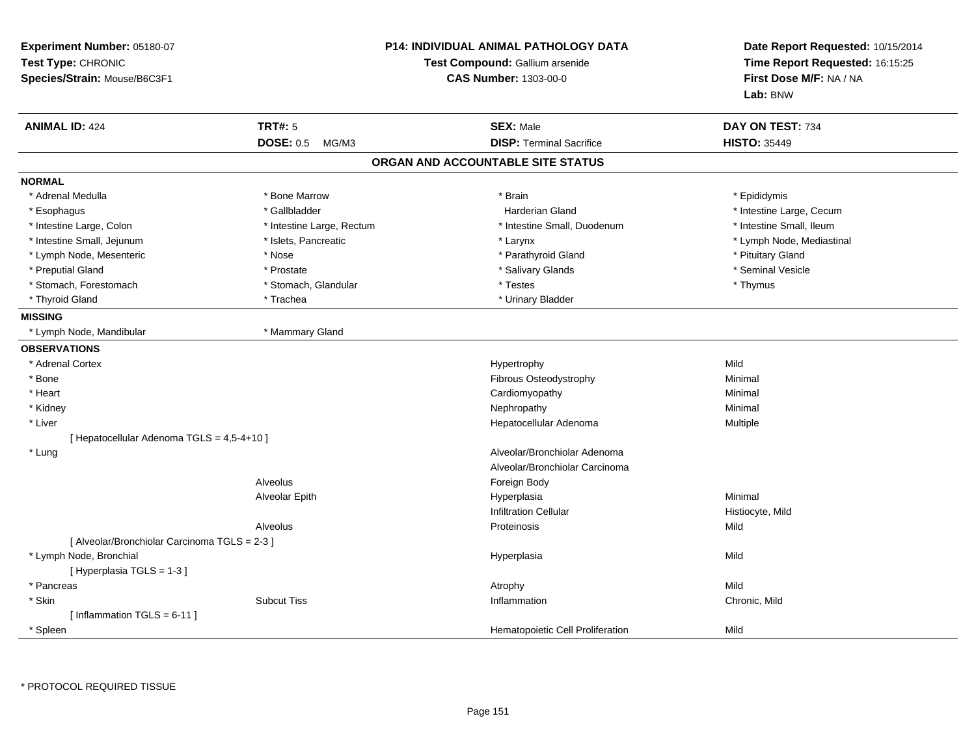| Experiment Number: 05180-07<br>Test Type: CHRONIC<br>Species/Strain: Mouse/B6C3F1 |                           | <b>P14: INDIVIDUAL ANIMAL PATHOLOGY DATA</b><br>Test Compound: Gallium arsenide<br><b>CAS Number: 1303-00-0</b> | Date Report Requested: 10/15/2014<br>Time Report Requested: 16:15:25<br>First Dose M/F: NA / NA<br>Lab: BNW |
|-----------------------------------------------------------------------------------|---------------------------|-----------------------------------------------------------------------------------------------------------------|-------------------------------------------------------------------------------------------------------------|
| <b>ANIMAL ID: 424</b>                                                             | <b>TRT#: 5</b>            | <b>SEX: Male</b>                                                                                                | DAY ON TEST: 734                                                                                            |
|                                                                                   | <b>DOSE: 0.5</b><br>MG/M3 | <b>DISP: Terminal Sacrifice</b>                                                                                 | <b>HISTO: 35449</b>                                                                                         |
|                                                                                   |                           | ORGAN AND ACCOUNTABLE SITE STATUS                                                                               |                                                                                                             |
| <b>NORMAL</b>                                                                     |                           |                                                                                                                 |                                                                                                             |
| * Adrenal Medulla                                                                 | * Bone Marrow             | * Brain                                                                                                         | * Epididymis                                                                                                |
| * Esophagus                                                                       | * Gallbladder             | <b>Harderian Gland</b>                                                                                          | * Intestine Large, Cecum                                                                                    |
| * Intestine Large, Colon                                                          | * Intestine Large, Rectum | * Intestine Small, Duodenum                                                                                     | * Intestine Small, Ileum                                                                                    |
| * Intestine Small, Jejunum                                                        | * Islets, Pancreatic      | * Larynx                                                                                                        | * Lymph Node, Mediastinal                                                                                   |
| * Lymph Node, Mesenteric                                                          | * Nose                    | * Parathyroid Gland                                                                                             | * Pituitary Gland                                                                                           |
| * Preputial Gland                                                                 | * Prostate                | * Salivary Glands                                                                                               | * Seminal Vesicle                                                                                           |
| * Stomach, Forestomach                                                            | * Stomach, Glandular      | * Testes                                                                                                        | * Thymus                                                                                                    |
| * Thyroid Gland                                                                   | * Trachea                 | * Urinary Bladder                                                                                               |                                                                                                             |
| <b>MISSING</b>                                                                    |                           |                                                                                                                 |                                                                                                             |
| * Lymph Node, Mandibular                                                          | * Mammary Gland           |                                                                                                                 |                                                                                                             |
| <b>OBSERVATIONS</b>                                                               |                           |                                                                                                                 |                                                                                                             |
| * Adrenal Cortex                                                                  |                           | Hypertrophy                                                                                                     | Mild                                                                                                        |
| * Bone                                                                            |                           | Fibrous Osteodystrophy                                                                                          | Minimal                                                                                                     |
| * Heart                                                                           |                           | Cardiomyopathy                                                                                                  | Minimal                                                                                                     |
| * Kidney                                                                          |                           | Nephropathy                                                                                                     | Minimal                                                                                                     |
| * Liver                                                                           |                           | Hepatocellular Adenoma                                                                                          | Multiple                                                                                                    |
| [ Hepatocellular Adenoma TGLS = 4,5-4+10 ]                                        |                           |                                                                                                                 |                                                                                                             |
| * Lung                                                                            |                           | Alveolar/Bronchiolar Adenoma                                                                                    |                                                                                                             |
|                                                                                   |                           | Alveolar/Bronchiolar Carcinoma                                                                                  |                                                                                                             |
|                                                                                   | Alveolus                  | Foreign Body                                                                                                    |                                                                                                             |
|                                                                                   | Alveolar Epith            | Hyperplasia                                                                                                     | Minimal                                                                                                     |
|                                                                                   |                           | <b>Infiltration Cellular</b>                                                                                    | Histiocyte, Mild                                                                                            |
|                                                                                   | Alveolus                  | Proteinosis                                                                                                     | Mild                                                                                                        |
| [ Alveolar/Bronchiolar Carcinoma TGLS = 2-3 ]                                     |                           |                                                                                                                 |                                                                                                             |
| * Lymph Node, Bronchial                                                           |                           | Hyperplasia                                                                                                     | Mild                                                                                                        |
| [Hyperplasia TGLS = 1-3]                                                          |                           |                                                                                                                 |                                                                                                             |
| * Pancreas                                                                        |                           | Atrophy                                                                                                         | Mild                                                                                                        |
| * Skin                                                                            | <b>Subcut Tiss</b>        | Inflammation                                                                                                    | Chronic, Mild                                                                                               |
| [Inflammation TGLS = $6-11$ ]                                                     |                           |                                                                                                                 |                                                                                                             |
| * Spleen                                                                          |                           | Hematopoietic Cell Proliferation                                                                                | Mild                                                                                                        |

\* PROTOCOL REQUIRED TISSUE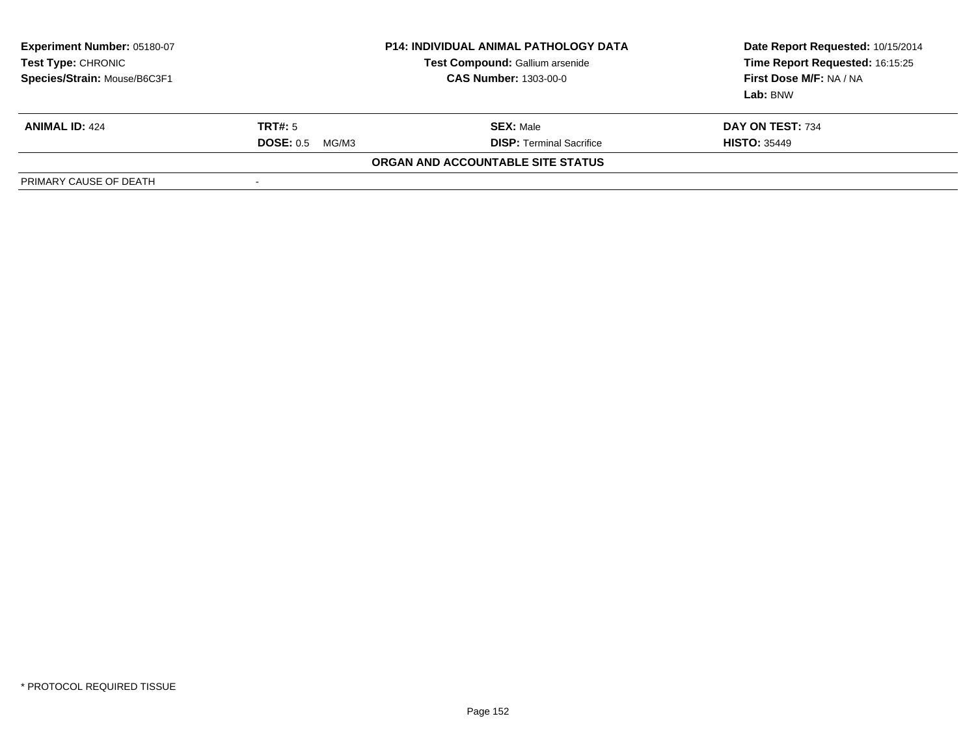| <b>Experiment Number: 05180-07</b><br>Test Type: CHRONIC<br>Species/Strain: Mouse/B6C3F1 | <b>P14: INDIVIDUAL ANIMAL PATHOLOGY DATA</b><br>Test Compound: Gallium arsenide<br><b>CAS Number: 1303-00-0</b> |                                   | Date Report Requested: 10/15/2014<br>Time Report Requested: 16:15:25<br>First Dose M/F: NA / NA<br>Lab: BNW |
|------------------------------------------------------------------------------------------|-----------------------------------------------------------------------------------------------------------------|-----------------------------------|-------------------------------------------------------------------------------------------------------------|
| <b>ANIMAL ID: 424</b>                                                                    | TRT#: 5                                                                                                         | <b>SEX: Male</b>                  | DAY ON TEST: 734                                                                                            |
|                                                                                          | <b>DOSE: 0.5</b><br>MG/M3                                                                                       | <b>DISP: Terminal Sacrifice</b>   | <b>HISTO: 35449</b>                                                                                         |
|                                                                                          |                                                                                                                 | ORGAN AND ACCOUNTABLE SITE STATUS |                                                                                                             |
| PRIMARY CAUSE OF DEATH                                                                   |                                                                                                                 |                                   |                                                                                                             |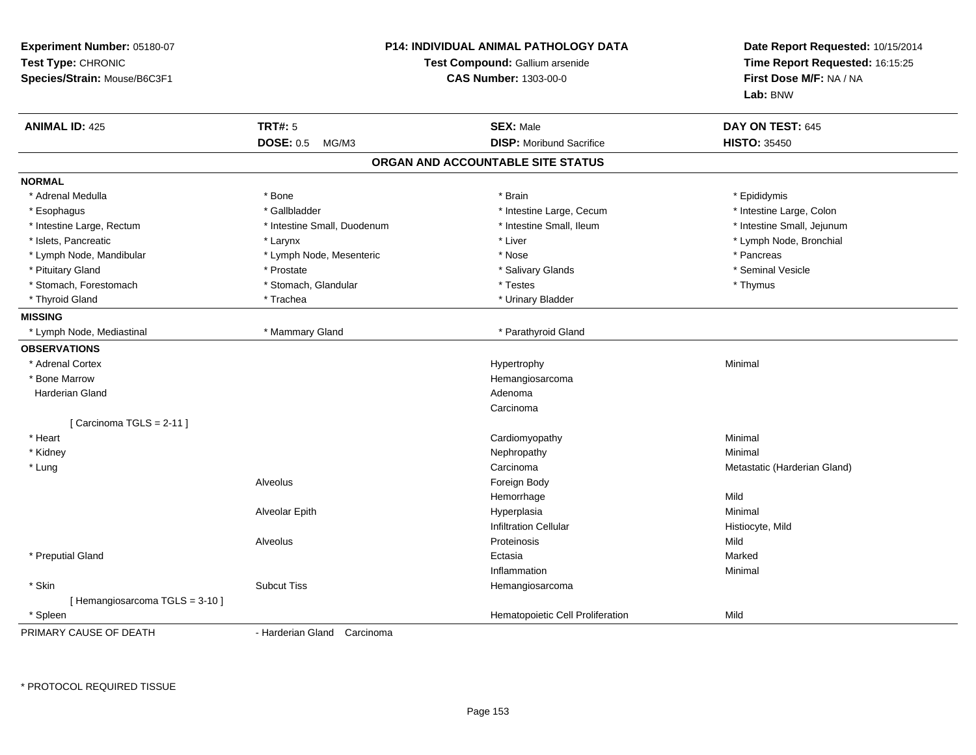| Experiment Number: 05180-07<br>Test Type: CHRONIC<br>Species/Strain: Mouse/B6C3F1 |                             | <b>P14: INDIVIDUAL ANIMAL PATHOLOGY DATA</b><br>Test Compound: Gallium arsenide<br><b>CAS Number: 1303-00-0</b> | Date Report Requested: 10/15/2014<br>Time Report Requested: 16:15:25<br>First Dose M/F: NA / NA<br>Lab: BNW |
|-----------------------------------------------------------------------------------|-----------------------------|-----------------------------------------------------------------------------------------------------------------|-------------------------------------------------------------------------------------------------------------|
| <b>ANIMAL ID: 425</b>                                                             | <b>TRT#: 5</b>              | <b>SEX: Male</b>                                                                                                | DAY ON TEST: 645                                                                                            |
|                                                                                   | <b>DOSE: 0.5</b><br>MG/M3   | <b>DISP:</b> Moribund Sacrifice                                                                                 | <b>HISTO: 35450</b>                                                                                         |
|                                                                                   |                             | ORGAN AND ACCOUNTABLE SITE STATUS                                                                               |                                                                                                             |
| <b>NORMAL</b>                                                                     |                             |                                                                                                                 |                                                                                                             |
| * Adrenal Medulla                                                                 | * Bone                      | * Brain                                                                                                         | * Epididymis                                                                                                |
| * Esophagus                                                                       | * Gallbladder               | * Intestine Large, Cecum                                                                                        | * Intestine Large, Colon                                                                                    |
| * Intestine Large, Rectum                                                         | * Intestine Small, Duodenum | * Intestine Small, Ileum                                                                                        | * Intestine Small, Jejunum                                                                                  |
| * Islets, Pancreatic                                                              | * Larynx                    | * Liver                                                                                                         | * Lymph Node, Bronchial                                                                                     |
| * Lymph Node, Mandibular                                                          | * Lymph Node, Mesenteric    | * Nose                                                                                                          | * Pancreas                                                                                                  |
| * Pituitary Gland                                                                 | * Prostate                  | * Salivary Glands                                                                                               | * Seminal Vesicle                                                                                           |
| * Stomach, Forestomach                                                            | * Stomach, Glandular        | * Testes                                                                                                        | * Thymus                                                                                                    |
| * Thyroid Gland                                                                   | * Trachea                   | * Urinary Bladder                                                                                               |                                                                                                             |
| <b>MISSING</b>                                                                    |                             |                                                                                                                 |                                                                                                             |
| * Lymph Node, Mediastinal                                                         | * Mammary Gland             | * Parathyroid Gland                                                                                             |                                                                                                             |
| <b>OBSERVATIONS</b>                                                               |                             |                                                                                                                 |                                                                                                             |
| * Adrenal Cortex                                                                  |                             | Hypertrophy                                                                                                     | Minimal                                                                                                     |
| * Bone Marrow                                                                     |                             | Hemangiosarcoma                                                                                                 |                                                                                                             |
| Harderian Gland                                                                   |                             | Adenoma                                                                                                         |                                                                                                             |
|                                                                                   |                             | Carcinoma                                                                                                       |                                                                                                             |
| [ Carcinoma TGLS = 2-11 ]                                                         |                             |                                                                                                                 |                                                                                                             |
| * Heart                                                                           |                             | Cardiomyopathy                                                                                                  | Minimal                                                                                                     |
| * Kidney                                                                          |                             | Nephropathy                                                                                                     | Minimal                                                                                                     |
| * Lung                                                                            |                             | Carcinoma                                                                                                       | Metastatic (Harderian Gland)                                                                                |
|                                                                                   | Alveolus                    | Foreign Body                                                                                                    |                                                                                                             |
|                                                                                   |                             | Hemorrhage                                                                                                      | Mild                                                                                                        |
|                                                                                   | Alveolar Epith              | Hyperplasia                                                                                                     | Minimal                                                                                                     |
|                                                                                   |                             | <b>Infiltration Cellular</b>                                                                                    | Histiocyte, Mild                                                                                            |
|                                                                                   | Alveolus                    | Proteinosis                                                                                                     | Mild                                                                                                        |
| * Preputial Gland                                                                 |                             | Ectasia                                                                                                         | Marked                                                                                                      |
|                                                                                   |                             | Inflammation                                                                                                    | Minimal                                                                                                     |
| * Skin                                                                            | <b>Subcut Tiss</b>          | Hemangiosarcoma                                                                                                 |                                                                                                             |
| [Hemangiosarcoma TGLS = 3-10]                                                     |                             |                                                                                                                 |                                                                                                             |
| * Spleen                                                                          |                             | Hematopoietic Cell Proliferation                                                                                | Mild                                                                                                        |
| PRIMARY CAUSE OF DEATH                                                            | - Harderian Gland Carcinoma |                                                                                                                 |                                                                                                             |

\* PROTOCOL REQUIRED TISSUE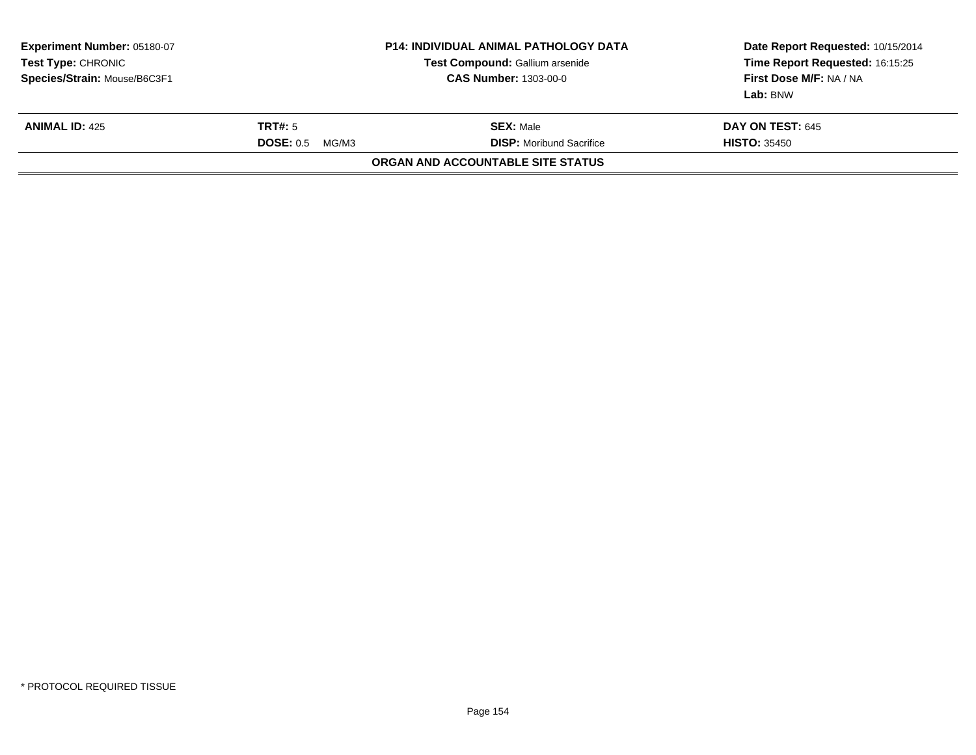| Experiment Number: 05180-07<br>Test Type: CHRONIC<br>Species/Strain: Mouse/B6C3F1 | <b>P14: INDIVIDUAL ANIMAL PATHOLOGY DATA</b><br>Test Compound: Gallium arsenide<br><b>CAS Number: 1303-00-0</b> |                                                     | Date Report Requested: 10/15/2014<br>Time Report Requested: 16:15:25<br>First Dose M/F: NA / NA<br>Lab: BNW |
|-----------------------------------------------------------------------------------|-----------------------------------------------------------------------------------------------------------------|-----------------------------------------------------|-------------------------------------------------------------------------------------------------------------|
| <b>ANIMAL ID: 425</b>                                                             | <b>TRT#:</b> 5<br>DOSE: 0.5<br>MG/M3                                                                            | <b>SEX:</b> Male<br><b>DISP:</b> Moribund Sacrifice | <b>DAY ON TEST: 645</b><br><b>HISTO: 35450</b>                                                              |
|                                                                                   |                                                                                                                 | ORGAN AND ACCOUNTABLE SITE STATUS                   |                                                                                                             |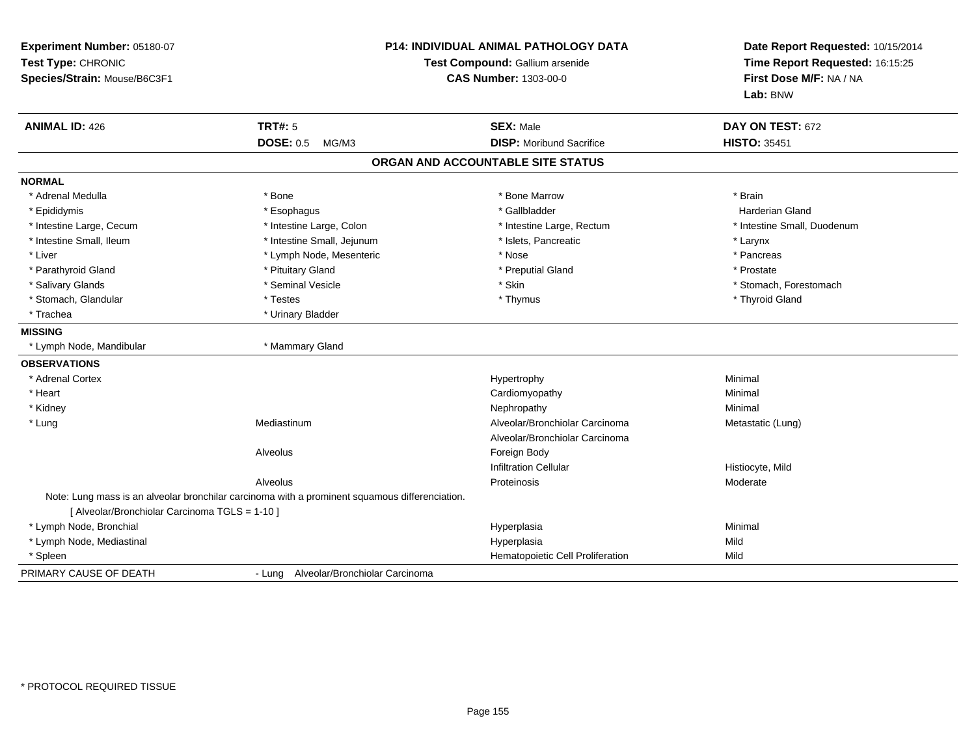| Experiment Number: 05180-07<br>Test Type: CHRONIC<br>Species/Strain: Mouse/B6C3F1 |                                                                                                | P14: INDIVIDUAL ANIMAL PATHOLOGY DATA<br>Test Compound: Gallium arsenide<br><b>CAS Number: 1303-00-0</b> | Date Report Requested: 10/15/2014<br>Time Report Requested: 16:15:25<br>First Dose M/F: NA / NA<br>Lab: BNW |
|-----------------------------------------------------------------------------------|------------------------------------------------------------------------------------------------|----------------------------------------------------------------------------------------------------------|-------------------------------------------------------------------------------------------------------------|
| <b>ANIMAL ID: 426</b>                                                             | <b>TRT#: 5</b>                                                                                 | <b>SEX: Male</b>                                                                                         | DAY ON TEST: 672                                                                                            |
|                                                                                   | <b>DOSE: 0.5</b><br>MG/M3                                                                      | <b>DISP:</b> Moribund Sacrifice                                                                          | <b>HISTO: 35451</b>                                                                                         |
|                                                                                   |                                                                                                | ORGAN AND ACCOUNTABLE SITE STATUS                                                                        |                                                                                                             |
| <b>NORMAL</b>                                                                     |                                                                                                |                                                                                                          |                                                                                                             |
| * Adrenal Medulla                                                                 | * Bone                                                                                         | * Bone Marrow                                                                                            | * Brain                                                                                                     |
| * Epididymis                                                                      | * Esophagus                                                                                    | * Gallbladder                                                                                            | Harderian Gland                                                                                             |
| * Intestine Large, Cecum                                                          | * Intestine Large, Colon                                                                       | * Intestine Large, Rectum                                                                                | * Intestine Small, Duodenum                                                                                 |
| * Intestine Small, Ileum                                                          | * Intestine Small, Jejunum                                                                     | * Islets, Pancreatic                                                                                     | * Larynx                                                                                                    |
| * Liver                                                                           | * Lymph Node, Mesenteric                                                                       | * Nose                                                                                                   | * Pancreas                                                                                                  |
| * Parathyroid Gland                                                               | * Pituitary Gland                                                                              | * Preputial Gland                                                                                        | * Prostate                                                                                                  |
| * Salivary Glands                                                                 | * Seminal Vesicle                                                                              | * Skin                                                                                                   | * Stomach, Forestomach                                                                                      |
| * Stomach, Glandular                                                              | * Testes                                                                                       | * Thymus                                                                                                 | * Thyroid Gland                                                                                             |
| * Trachea                                                                         | * Urinary Bladder                                                                              |                                                                                                          |                                                                                                             |
| <b>MISSING</b>                                                                    |                                                                                                |                                                                                                          |                                                                                                             |
| * Lymph Node, Mandibular                                                          | * Mammary Gland                                                                                |                                                                                                          |                                                                                                             |
| <b>OBSERVATIONS</b>                                                               |                                                                                                |                                                                                                          |                                                                                                             |
| * Adrenal Cortex                                                                  |                                                                                                | Hypertrophy                                                                                              | Minimal                                                                                                     |
| * Heart                                                                           |                                                                                                | Cardiomyopathy                                                                                           | Minimal                                                                                                     |
| * Kidney                                                                          |                                                                                                | Nephropathy                                                                                              | Minimal                                                                                                     |
| * Lung                                                                            | Mediastinum                                                                                    | Alveolar/Bronchiolar Carcinoma                                                                           | Metastatic (Lung)                                                                                           |
|                                                                                   |                                                                                                | Alveolar/Bronchiolar Carcinoma                                                                           |                                                                                                             |
|                                                                                   | Alveolus                                                                                       | Foreign Body                                                                                             |                                                                                                             |
|                                                                                   |                                                                                                | <b>Infiltration Cellular</b>                                                                             | Histiocyte, Mild                                                                                            |
|                                                                                   | Alveolus                                                                                       | Proteinosis                                                                                              | Moderate                                                                                                    |
|                                                                                   | Note: Lung mass is an alveolar bronchilar carcinoma with a prominent squamous differenciation. |                                                                                                          |                                                                                                             |
| [ Alveolar/Bronchiolar Carcinoma TGLS = 1-10 ]                                    |                                                                                                |                                                                                                          |                                                                                                             |
| * Lymph Node, Bronchial                                                           |                                                                                                | Hyperplasia                                                                                              | Minimal                                                                                                     |
| * Lymph Node, Mediastinal                                                         |                                                                                                | Hyperplasia                                                                                              | Mild                                                                                                        |
| * Spleen                                                                          |                                                                                                | Hematopoietic Cell Proliferation                                                                         | Mild                                                                                                        |
| PRIMARY CAUSE OF DEATH                                                            | - Lung Alveolar/Bronchiolar Carcinoma                                                          |                                                                                                          |                                                                                                             |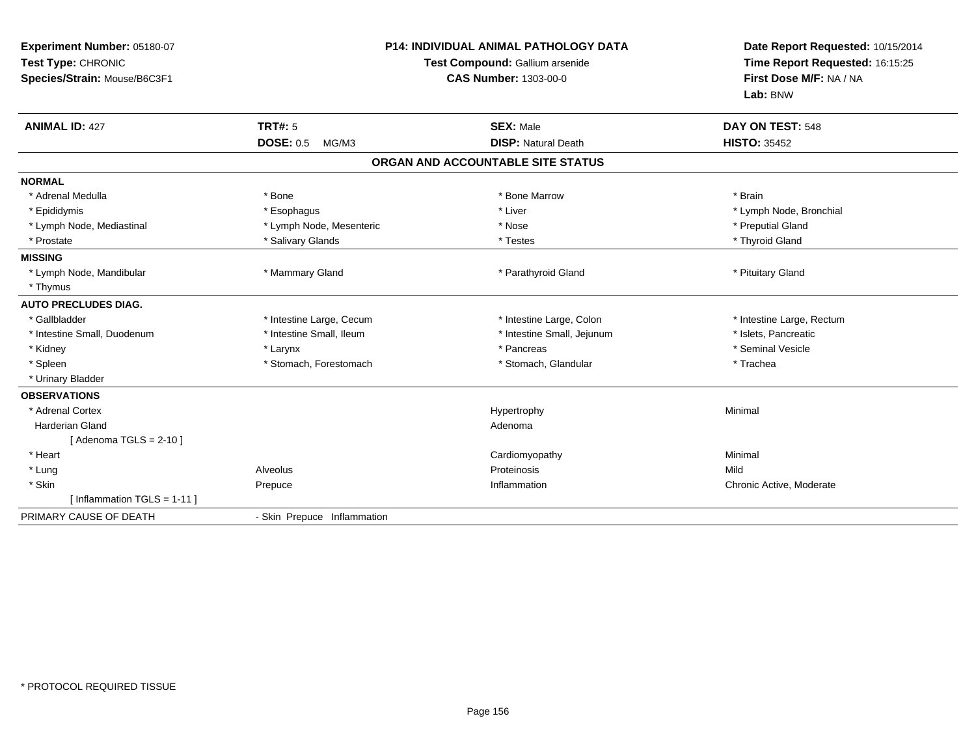| Experiment Number: 05180-07<br>Test Type: CHRONIC<br>Species/Strain: Mouse/B6C3F1<br><b>ANIMAL ID: 427</b> | <b>TRT#: 5</b>              | <b>P14: INDIVIDUAL ANIMAL PATHOLOGY DATA</b><br>Test Compound: Gallium arsenide<br><b>CAS Number: 1303-00-0</b><br><b>SEX: Male</b> | Date Report Requested: 10/15/2014<br>Time Report Requested: 16:15:25<br>First Dose M/F: NA / NA<br>Lab: BNW<br>DAY ON TEST: 548 |
|------------------------------------------------------------------------------------------------------------|-----------------------------|-------------------------------------------------------------------------------------------------------------------------------------|---------------------------------------------------------------------------------------------------------------------------------|
|                                                                                                            | <b>DOSE: 0.5</b><br>MG/M3   | <b>DISP: Natural Death</b>                                                                                                          | <b>HISTO: 35452</b>                                                                                                             |
|                                                                                                            |                             | ORGAN AND ACCOUNTABLE SITE STATUS                                                                                                   |                                                                                                                                 |
| <b>NORMAL</b>                                                                                              |                             |                                                                                                                                     |                                                                                                                                 |
| * Adrenal Medulla                                                                                          | * Bone                      | * Bone Marrow                                                                                                                       | * Brain                                                                                                                         |
| * Epididymis                                                                                               | * Esophagus                 | * Liver                                                                                                                             | * Lymph Node, Bronchial                                                                                                         |
| * Lymph Node, Mediastinal                                                                                  | * Lymph Node, Mesenteric    | * Nose                                                                                                                              | * Preputial Gland                                                                                                               |
| * Prostate                                                                                                 | * Salivary Glands           | * Testes                                                                                                                            | * Thyroid Gland                                                                                                                 |
| <b>MISSING</b>                                                                                             |                             |                                                                                                                                     |                                                                                                                                 |
| * Lymph Node, Mandibular                                                                                   | * Mammary Gland             | * Parathyroid Gland                                                                                                                 | * Pituitary Gland                                                                                                               |
| * Thymus                                                                                                   |                             |                                                                                                                                     |                                                                                                                                 |
| <b>AUTO PRECLUDES DIAG.</b>                                                                                |                             |                                                                                                                                     |                                                                                                                                 |
| * Gallbladder                                                                                              | * Intestine Large, Cecum    | * Intestine Large, Colon                                                                                                            | * Intestine Large, Rectum                                                                                                       |
| * Intestine Small, Duodenum                                                                                | * Intestine Small, Ileum    | * Intestine Small, Jejunum                                                                                                          | * Islets, Pancreatic                                                                                                            |
| * Kidney                                                                                                   | * Larynx                    | * Pancreas                                                                                                                          | * Seminal Vesicle                                                                                                               |
| * Spleen                                                                                                   | * Stomach, Forestomach      | * Stomach, Glandular                                                                                                                | * Trachea                                                                                                                       |
| * Urinary Bladder                                                                                          |                             |                                                                                                                                     |                                                                                                                                 |
| <b>OBSERVATIONS</b>                                                                                        |                             |                                                                                                                                     |                                                                                                                                 |
| * Adrenal Cortex                                                                                           |                             | Hypertrophy                                                                                                                         | Minimal                                                                                                                         |
| <b>Harderian Gland</b>                                                                                     |                             | Adenoma                                                                                                                             |                                                                                                                                 |
| [Adenoma TGLS = $2-10$ ]                                                                                   |                             |                                                                                                                                     |                                                                                                                                 |
| * Heart                                                                                                    |                             | Cardiomyopathy                                                                                                                      | Minimal                                                                                                                         |
| * Lung                                                                                                     | Alveolus                    | Proteinosis                                                                                                                         | Mild                                                                                                                            |
| * Skin                                                                                                     | Prepuce                     | Inflammation                                                                                                                        | Chronic Active, Moderate                                                                                                        |
| [Inflammation TGLS = $1-11$ ]                                                                              |                             |                                                                                                                                     |                                                                                                                                 |
| PRIMARY CAUSE OF DEATH                                                                                     | - Skin Prepuce Inflammation |                                                                                                                                     |                                                                                                                                 |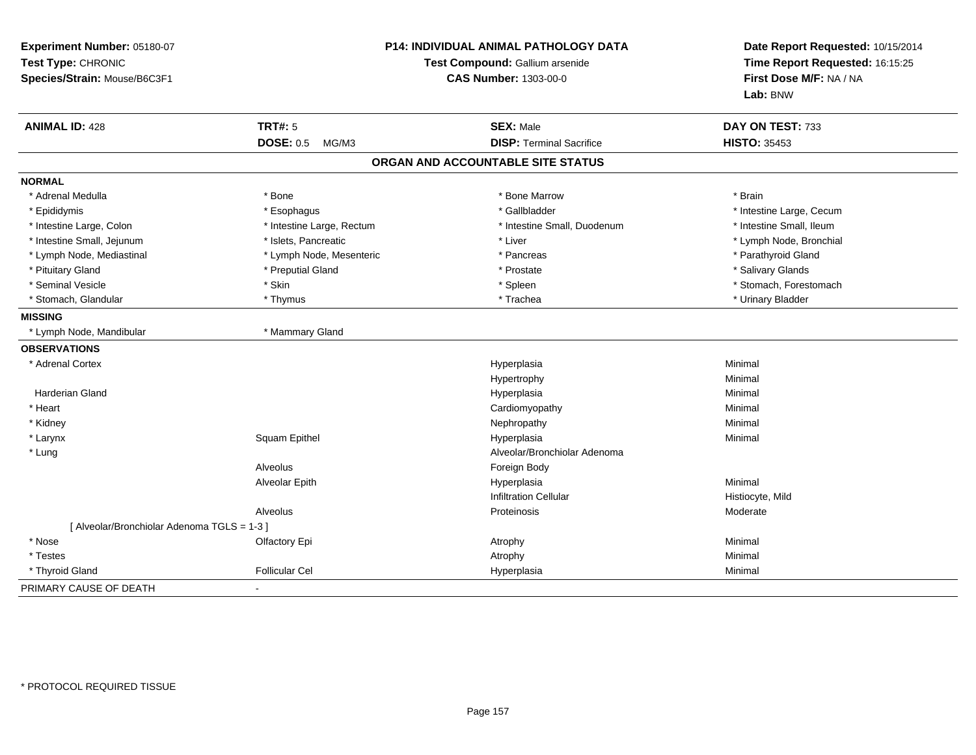| Experiment Number: 05180-07<br>Test Type: CHRONIC<br>Species/Strain: Mouse/B6C3F1 |                           | <b>P14: INDIVIDUAL ANIMAL PATHOLOGY DATA</b><br>Test Compound: Gallium arsenide<br><b>CAS Number: 1303-00-0</b> |                          |
|-----------------------------------------------------------------------------------|---------------------------|-----------------------------------------------------------------------------------------------------------------|--------------------------|
| <b>ANIMAL ID: 428</b>                                                             | <b>TRT#: 5</b>            | <b>SEX: Male</b>                                                                                                | DAY ON TEST: 733         |
|                                                                                   | <b>DOSE: 0.5</b><br>MG/M3 | <b>DISP: Terminal Sacrifice</b>                                                                                 | <b>HISTO: 35453</b>      |
|                                                                                   |                           | ORGAN AND ACCOUNTABLE SITE STATUS                                                                               |                          |
| <b>NORMAL</b>                                                                     |                           |                                                                                                                 |                          |
| * Adrenal Medulla                                                                 | * Bone                    | * Bone Marrow                                                                                                   | * Brain                  |
| * Epididymis                                                                      | * Esophagus               | * Gallbladder                                                                                                   | * Intestine Large, Cecum |
| * Intestine Large, Colon                                                          | * Intestine Large, Rectum | * Intestine Small, Duodenum                                                                                     | * Intestine Small, Ileum |
| * Intestine Small, Jejunum                                                        | * Islets, Pancreatic      | * Liver                                                                                                         | * Lymph Node, Bronchial  |
| * Lymph Node, Mediastinal                                                         | * Lymph Node, Mesenteric  | * Pancreas                                                                                                      | * Parathyroid Gland      |
| * Pituitary Gland                                                                 | * Preputial Gland         | * Prostate                                                                                                      | * Salivary Glands        |
| * Seminal Vesicle                                                                 | * Skin                    | * Spleen                                                                                                        | * Stomach, Forestomach   |
| * Stomach, Glandular                                                              | * Thymus                  | * Trachea                                                                                                       | * Urinary Bladder        |
| <b>MISSING</b>                                                                    |                           |                                                                                                                 |                          |
| * Lymph Node, Mandibular                                                          | * Mammary Gland           |                                                                                                                 |                          |
| <b>OBSERVATIONS</b>                                                               |                           |                                                                                                                 |                          |
| * Adrenal Cortex                                                                  |                           | Hyperplasia                                                                                                     | Minimal                  |
|                                                                                   |                           | Hypertrophy                                                                                                     | Minimal                  |
| Harderian Gland                                                                   |                           | Hyperplasia                                                                                                     | Minimal                  |
| * Heart                                                                           |                           | Cardiomyopathy                                                                                                  | Minimal                  |
| * Kidney                                                                          |                           | Nephropathy                                                                                                     | Minimal                  |
| * Larynx                                                                          | Squam Epithel             | Hyperplasia                                                                                                     | Minimal                  |
| * Lung                                                                            |                           | Alveolar/Bronchiolar Adenoma                                                                                    |                          |
|                                                                                   | Alveolus                  | Foreign Body                                                                                                    |                          |
|                                                                                   | Alveolar Epith            | Hyperplasia                                                                                                     | Minimal                  |
|                                                                                   |                           | <b>Infiltration Cellular</b>                                                                                    | Histiocyte, Mild         |
|                                                                                   | Alveolus                  | Proteinosis                                                                                                     | Moderate                 |
| [ Alveolar/Bronchiolar Adenoma TGLS = 1-3 ]                                       |                           |                                                                                                                 |                          |
| * Nose                                                                            | Olfactory Epi             | Atrophy                                                                                                         | Minimal                  |
| * Testes                                                                          |                           | Atrophy                                                                                                         | Minimal                  |
| * Thyroid Gland                                                                   | <b>Follicular Cel</b>     | Hyperplasia                                                                                                     | Minimal                  |
| PRIMARY CAUSE OF DEATH                                                            |                           |                                                                                                                 |                          |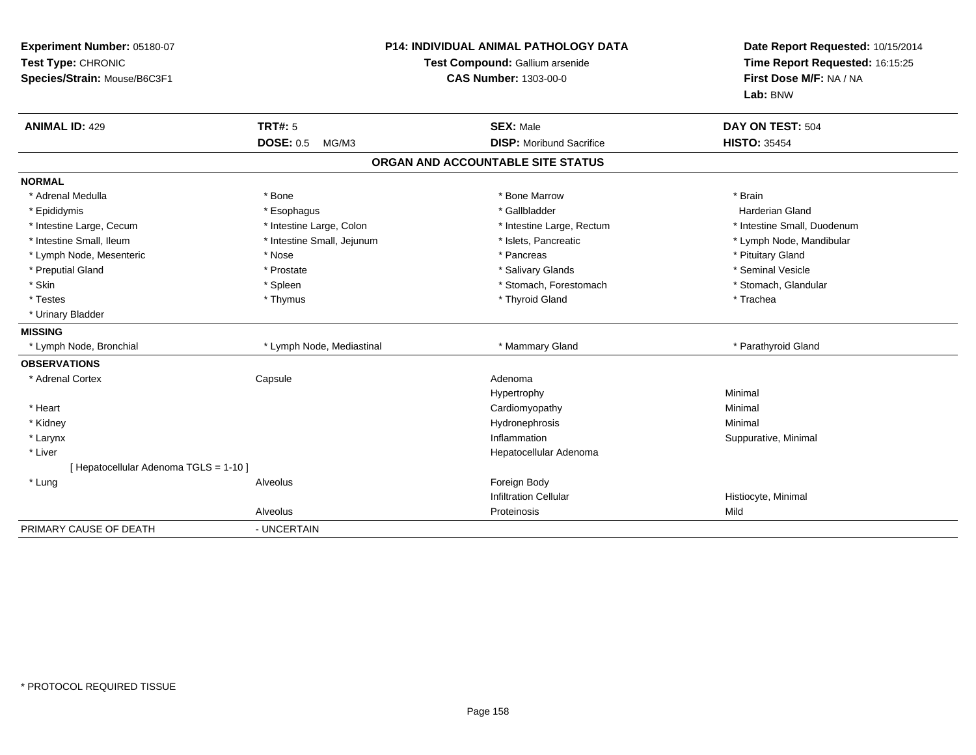| Experiment Number: 05180-07<br>Test Type: CHRONIC<br>Species/Strain: Mouse/B6C3F1 |                            | <b>P14: INDIVIDUAL ANIMAL PATHOLOGY DATA</b><br>Test Compound: Gallium arsenide<br><b>CAS Number: 1303-00-0</b> | Date Report Requested: 10/15/2014<br>Time Report Requested: 16:15:25<br>First Dose M/F: NA / NA<br>Lab: BNW |
|-----------------------------------------------------------------------------------|----------------------------|-----------------------------------------------------------------------------------------------------------------|-------------------------------------------------------------------------------------------------------------|
| <b>ANIMAL ID: 429</b>                                                             | <b>TRT#: 5</b>             | <b>SEX: Male</b>                                                                                                | DAY ON TEST: 504                                                                                            |
|                                                                                   | <b>DOSE: 0.5</b><br>MG/M3  | <b>DISP: Moribund Sacrifice</b>                                                                                 | <b>HISTO: 35454</b>                                                                                         |
|                                                                                   |                            | ORGAN AND ACCOUNTABLE SITE STATUS                                                                               |                                                                                                             |
| <b>NORMAL</b>                                                                     |                            |                                                                                                                 |                                                                                                             |
| * Adrenal Medulla                                                                 | * Bone                     | * Bone Marrow                                                                                                   | * Brain                                                                                                     |
| * Epididymis                                                                      | * Esophagus                | * Gallbladder                                                                                                   | <b>Harderian Gland</b>                                                                                      |
| * Intestine Large, Cecum                                                          | * Intestine Large, Colon   | * Intestine Large, Rectum                                                                                       | * Intestine Small, Duodenum                                                                                 |
| * Intestine Small, Ileum                                                          | * Intestine Small, Jejunum | * Islets, Pancreatic                                                                                            | * Lymph Node, Mandibular                                                                                    |
| * Lymph Node, Mesenteric                                                          | * Nose                     | * Pancreas                                                                                                      | * Pituitary Gland                                                                                           |
| * Preputial Gland                                                                 | * Prostate                 | * Salivary Glands                                                                                               | * Seminal Vesicle                                                                                           |
| * Skin                                                                            | * Spleen                   | * Stomach, Forestomach                                                                                          | * Stomach, Glandular                                                                                        |
| * Testes                                                                          | * Thymus                   | * Thyroid Gland                                                                                                 | * Trachea                                                                                                   |
| * Urinary Bladder                                                                 |                            |                                                                                                                 |                                                                                                             |
| <b>MISSING</b>                                                                    |                            |                                                                                                                 |                                                                                                             |
| * Lymph Node, Bronchial                                                           | * Lymph Node, Mediastinal  | * Mammary Gland                                                                                                 | * Parathyroid Gland                                                                                         |
| <b>OBSERVATIONS</b>                                                               |                            |                                                                                                                 |                                                                                                             |
| * Adrenal Cortex                                                                  | Capsule                    | Adenoma                                                                                                         |                                                                                                             |
|                                                                                   |                            | Hypertrophy                                                                                                     | Minimal                                                                                                     |
| * Heart                                                                           |                            | Cardiomyopathy                                                                                                  | Minimal                                                                                                     |
| * Kidney                                                                          |                            | Hydronephrosis                                                                                                  | Minimal                                                                                                     |
| * Larynx                                                                          |                            | Inflammation                                                                                                    | Suppurative, Minimal                                                                                        |
| * Liver                                                                           |                            | Hepatocellular Adenoma                                                                                          |                                                                                                             |
| [ Hepatocellular Adenoma TGLS = 1-10 ]                                            |                            |                                                                                                                 |                                                                                                             |
| * Lung                                                                            | Alveolus                   | Foreign Body                                                                                                    |                                                                                                             |
|                                                                                   |                            | <b>Infiltration Cellular</b>                                                                                    | Histiocyte, Minimal                                                                                         |
|                                                                                   | Alveolus                   | Proteinosis                                                                                                     | Mild                                                                                                        |
| PRIMARY CAUSE OF DEATH                                                            | - UNCERTAIN                |                                                                                                                 |                                                                                                             |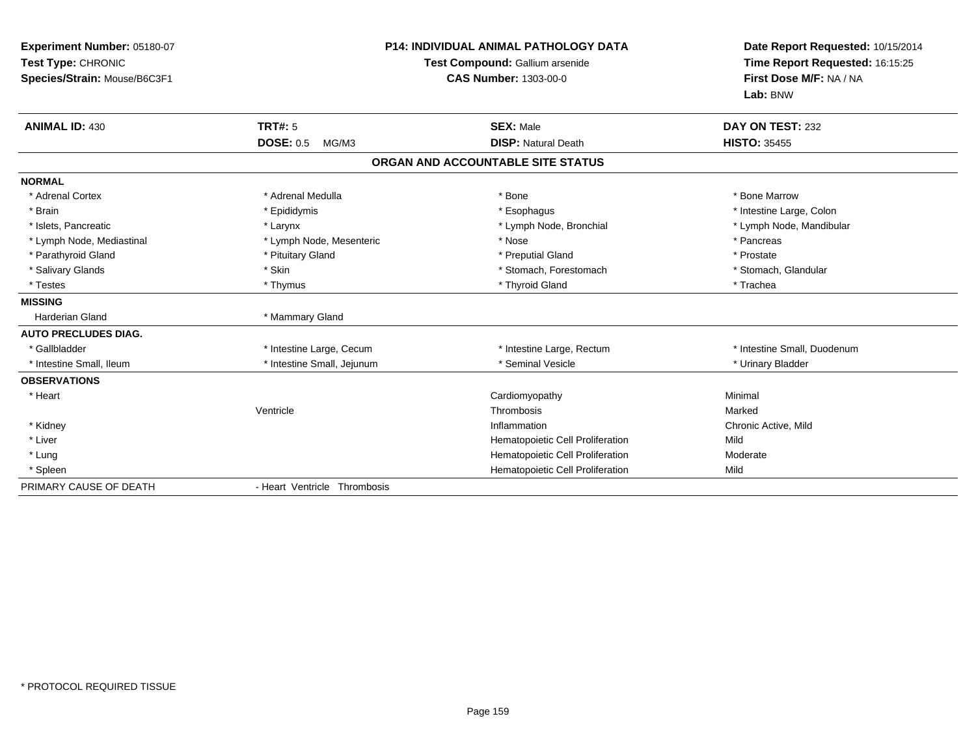| Experiment Number: 05180-07<br>Test Type: CHRONIC<br>Species/Strain: Mouse/B6C3F1 |                              | <b>P14: INDIVIDUAL ANIMAL PATHOLOGY DATA</b><br>Test Compound: Gallium arsenide<br><b>CAS Number: 1303-00-0</b> | Date Report Requested: 10/15/2014<br>Time Report Requested: 16:15:25<br>First Dose M/F: NA / NA<br>Lab: BNW |
|-----------------------------------------------------------------------------------|------------------------------|-----------------------------------------------------------------------------------------------------------------|-------------------------------------------------------------------------------------------------------------|
| <b>ANIMAL ID: 430</b>                                                             | <b>TRT#: 5</b>               | <b>SEX: Male</b>                                                                                                | DAY ON TEST: 232                                                                                            |
|                                                                                   | <b>DOSE: 0.5</b><br>MG/M3    | <b>DISP: Natural Death</b>                                                                                      | <b>HISTO: 35455</b>                                                                                         |
|                                                                                   |                              | ORGAN AND ACCOUNTABLE SITE STATUS                                                                               |                                                                                                             |
| <b>NORMAL</b>                                                                     |                              |                                                                                                                 |                                                                                                             |
| * Adrenal Cortex                                                                  | * Adrenal Medulla            | * Bone                                                                                                          | * Bone Marrow                                                                                               |
| * Brain                                                                           | * Epididymis                 | * Esophagus                                                                                                     | * Intestine Large, Colon                                                                                    |
| * Islets, Pancreatic                                                              | * Larynx                     | * Lymph Node, Bronchial                                                                                         | * Lymph Node, Mandibular                                                                                    |
| * Lymph Node, Mediastinal                                                         | * Lymph Node, Mesenteric     | * Nose                                                                                                          | * Pancreas                                                                                                  |
| * Parathyroid Gland                                                               | * Pituitary Gland            | * Preputial Gland                                                                                               | * Prostate                                                                                                  |
| * Salivary Glands                                                                 | * Skin                       | * Stomach, Forestomach                                                                                          | * Stomach, Glandular                                                                                        |
| * Testes                                                                          | * Thymus                     | * Thyroid Gland                                                                                                 | * Trachea                                                                                                   |
| <b>MISSING</b>                                                                    |                              |                                                                                                                 |                                                                                                             |
| <b>Harderian Gland</b>                                                            | * Mammary Gland              |                                                                                                                 |                                                                                                             |
| <b>AUTO PRECLUDES DIAG.</b>                                                       |                              |                                                                                                                 |                                                                                                             |
| * Gallbladder                                                                     | * Intestine Large, Cecum     | * Intestine Large, Rectum                                                                                       | * Intestine Small, Duodenum                                                                                 |
| * Intestine Small, Ileum                                                          | * Intestine Small, Jejunum   | * Seminal Vesicle                                                                                               | * Urinary Bladder                                                                                           |
| <b>OBSERVATIONS</b>                                                               |                              |                                                                                                                 |                                                                                                             |
| * Heart                                                                           |                              | Cardiomyopathy                                                                                                  | Minimal                                                                                                     |
|                                                                                   | Ventricle                    | Thrombosis                                                                                                      | Marked                                                                                                      |
| * Kidney                                                                          |                              | Inflammation                                                                                                    | Chronic Active, Mild                                                                                        |
| * Liver                                                                           |                              | Hematopoietic Cell Proliferation                                                                                | Mild                                                                                                        |
| * Lung                                                                            |                              | Hematopoietic Cell Proliferation                                                                                | Moderate                                                                                                    |
| * Spleen                                                                          |                              | Hematopoietic Cell Proliferation                                                                                | Mild                                                                                                        |
| PRIMARY CAUSE OF DEATH                                                            | - Heart Ventricle Thrombosis |                                                                                                                 |                                                                                                             |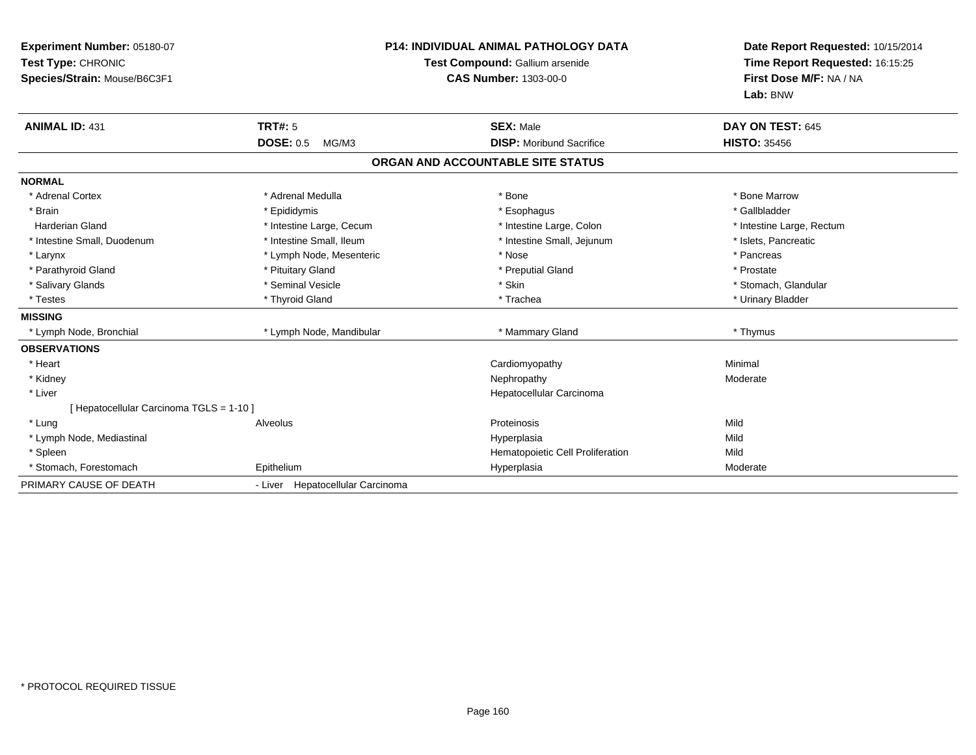| <b>Experiment Number: 05180-07</b><br>Test Type: CHRONIC<br>Species/Strain: Mouse/B6C3F1<br><b>ANIMAL ID: 431</b> | <b>TRT#: 5</b>                   | <b>P14: INDIVIDUAL ANIMAL PATHOLOGY DATA</b><br>Test Compound: Gallium arsenide<br><b>CAS Number: 1303-00-0</b><br><b>SEX: Male</b> | Date Report Requested: 10/15/2014<br>Time Report Requested: 16:15:25<br>First Dose M/F: NA / NA<br>Lab: BNW<br>DAY ON TEST: 645 |
|-------------------------------------------------------------------------------------------------------------------|----------------------------------|-------------------------------------------------------------------------------------------------------------------------------------|---------------------------------------------------------------------------------------------------------------------------------|
|                                                                                                                   | <b>DOSE: 0.5</b><br>MG/M3        | <b>DISP:</b> Moribund Sacrifice                                                                                                     | <b>HISTO: 35456</b>                                                                                                             |
|                                                                                                                   |                                  | ORGAN AND ACCOUNTABLE SITE STATUS                                                                                                   |                                                                                                                                 |
| <b>NORMAL</b>                                                                                                     |                                  |                                                                                                                                     |                                                                                                                                 |
| * Adrenal Cortex                                                                                                  | * Adrenal Medulla                | * Bone                                                                                                                              | * Bone Marrow                                                                                                                   |
| * Brain                                                                                                           | * Epididymis                     | * Esophagus                                                                                                                         | * Gallbladder                                                                                                                   |
| <b>Harderian Gland</b>                                                                                            | * Intestine Large, Cecum         | * Intestine Large, Colon                                                                                                            | * Intestine Large, Rectum                                                                                                       |
| * Intestine Small, Duodenum                                                                                       | * Intestine Small, Ileum         | * Intestine Small, Jejunum                                                                                                          | * Islets, Pancreatic                                                                                                            |
| * Larynx                                                                                                          | * Lymph Node, Mesenteric         | * Nose                                                                                                                              | * Pancreas                                                                                                                      |
| * Parathyroid Gland                                                                                               | * Pituitary Gland                | * Preputial Gland                                                                                                                   | * Prostate                                                                                                                      |
| * Salivary Glands                                                                                                 | * Seminal Vesicle                | * Skin                                                                                                                              | * Stomach, Glandular                                                                                                            |
| * Testes                                                                                                          | * Thyroid Gland                  | * Trachea                                                                                                                           | * Urinary Bladder                                                                                                               |
| <b>MISSING</b>                                                                                                    |                                  |                                                                                                                                     |                                                                                                                                 |
| * Lymph Node, Bronchial                                                                                           | * Lymph Node, Mandibular         | * Mammary Gland                                                                                                                     | * Thymus                                                                                                                        |
| <b>OBSERVATIONS</b>                                                                                               |                                  |                                                                                                                                     |                                                                                                                                 |
| * Heart                                                                                                           |                                  | Cardiomyopathy                                                                                                                      | Minimal                                                                                                                         |
| * Kidney                                                                                                          |                                  | Nephropathy                                                                                                                         | Moderate                                                                                                                        |
| * Liver                                                                                                           |                                  | Hepatocellular Carcinoma                                                                                                            |                                                                                                                                 |
| [Hepatocellular Carcinoma TGLS = 1-10]                                                                            |                                  |                                                                                                                                     |                                                                                                                                 |
| * Lung                                                                                                            | Alveolus                         | Proteinosis                                                                                                                         | Mild                                                                                                                            |
| * Lymph Node, Mediastinal                                                                                         |                                  | Hyperplasia                                                                                                                         | Mild                                                                                                                            |
| * Spleen                                                                                                          |                                  | Hematopoietic Cell Proliferation                                                                                                    | Mild                                                                                                                            |
| * Stomach, Forestomach                                                                                            | Epithelium                       | Hyperplasia                                                                                                                         | Moderate                                                                                                                        |
| PRIMARY CAUSE OF DEATH                                                                                            | - Liver Hepatocellular Carcinoma |                                                                                                                                     |                                                                                                                                 |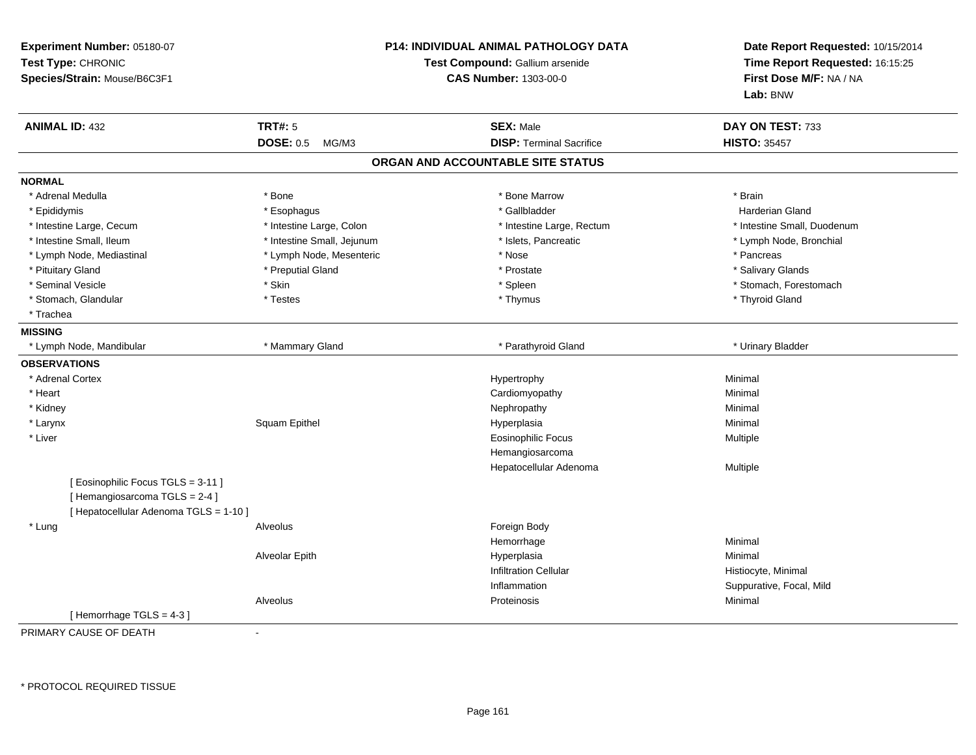| Experiment Number: 05180-07<br>Test Type: CHRONIC<br>Species/Strain: Mouse/B6C3F1 |                            | <b>P14: INDIVIDUAL ANIMAL PATHOLOGY DATA</b><br>Test Compound: Gallium arsenide<br><b>CAS Number: 1303-00-0</b> | Date Report Requested: 10/15/2014<br>Time Report Requested: 16:15:25<br>First Dose M/F: NA / NA<br>Lab: BNW |
|-----------------------------------------------------------------------------------|----------------------------|-----------------------------------------------------------------------------------------------------------------|-------------------------------------------------------------------------------------------------------------|
| <b>ANIMAL ID: 432</b>                                                             | <b>TRT#: 5</b>             | <b>SEX: Male</b>                                                                                                | DAY ON TEST: 733                                                                                            |
|                                                                                   | <b>DOSE: 0.5</b><br>MG/M3  | <b>DISP: Terminal Sacrifice</b>                                                                                 | <b>HISTO: 35457</b>                                                                                         |
|                                                                                   |                            | ORGAN AND ACCOUNTABLE SITE STATUS                                                                               |                                                                                                             |
| <b>NORMAL</b>                                                                     |                            |                                                                                                                 |                                                                                                             |
| * Adrenal Medulla                                                                 | * Bone                     | * Bone Marrow                                                                                                   | * Brain                                                                                                     |
| * Epididymis                                                                      | * Esophagus                | * Gallbladder                                                                                                   | <b>Harderian Gland</b>                                                                                      |
| * Intestine Large, Cecum                                                          | * Intestine Large, Colon   | * Intestine Large, Rectum                                                                                       | * Intestine Small, Duodenum                                                                                 |
| * Intestine Small, Ileum                                                          | * Intestine Small, Jejunum | * Islets, Pancreatic                                                                                            | * Lymph Node, Bronchial                                                                                     |
| * Lymph Node, Mediastinal                                                         | * Lymph Node, Mesenteric   | * Nose                                                                                                          | * Pancreas                                                                                                  |
| * Pituitary Gland                                                                 | * Preputial Gland          | * Prostate                                                                                                      | * Salivary Glands                                                                                           |
| * Seminal Vesicle                                                                 | * Skin                     | * Spleen                                                                                                        | * Stomach, Forestomach                                                                                      |
| * Stomach, Glandular                                                              | * Testes                   | * Thymus                                                                                                        | * Thyroid Gland                                                                                             |
| * Trachea                                                                         |                            |                                                                                                                 |                                                                                                             |
| <b>MISSING</b>                                                                    |                            |                                                                                                                 |                                                                                                             |
| * Lymph Node, Mandibular                                                          | * Mammary Gland            | * Parathyroid Gland                                                                                             | * Urinary Bladder                                                                                           |
| <b>OBSERVATIONS</b>                                                               |                            |                                                                                                                 |                                                                                                             |
| * Adrenal Cortex                                                                  |                            | Hypertrophy                                                                                                     | Minimal                                                                                                     |
| * Heart                                                                           |                            | Cardiomyopathy                                                                                                  | Minimal                                                                                                     |
| * Kidney                                                                          |                            | Nephropathy                                                                                                     | Minimal                                                                                                     |
| * Larynx                                                                          | Squam Epithel              | Hyperplasia                                                                                                     | Minimal                                                                                                     |
| * Liver                                                                           |                            | <b>Eosinophilic Focus</b>                                                                                       | Multiple                                                                                                    |
|                                                                                   |                            | Hemangiosarcoma                                                                                                 |                                                                                                             |
|                                                                                   |                            | Hepatocellular Adenoma                                                                                          | Multiple                                                                                                    |
| [Eosinophilic Focus TGLS = 3-11]                                                  |                            |                                                                                                                 |                                                                                                             |
| [Hemangiosarcoma TGLS = 2-4]                                                      |                            |                                                                                                                 |                                                                                                             |
| [ Hepatocellular Adenoma TGLS = 1-10 ]                                            |                            |                                                                                                                 |                                                                                                             |
| * Lung                                                                            | Alveolus                   | Foreign Body                                                                                                    |                                                                                                             |
|                                                                                   |                            | Hemorrhage                                                                                                      | Minimal                                                                                                     |
|                                                                                   | Alveolar Epith             | Hyperplasia                                                                                                     | Minimal                                                                                                     |
|                                                                                   |                            | <b>Infiltration Cellular</b>                                                                                    | Histiocyte, Minimal                                                                                         |
|                                                                                   |                            | Inflammation                                                                                                    | Suppurative, Focal, Mild                                                                                    |
|                                                                                   | Alveolus                   | Proteinosis                                                                                                     | Minimal                                                                                                     |
| [Hemorrhage TGLS = 4-3]                                                           |                            |                                                                                                                 |                                                                                                             |

PRIMARY CAUSE OF DEATH-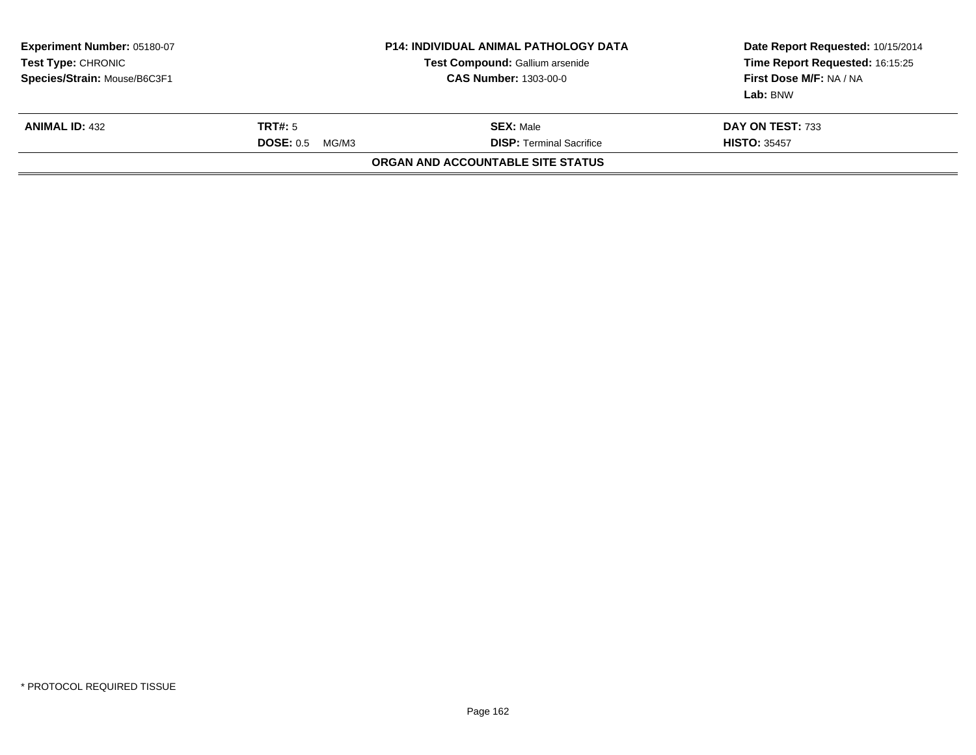| <b>Experiment Number: 05180-07</b><br><b>Test Type: CHRONIC</b><br>Species/Strain: Mouse/B6C3F1 |                                      | <b>P14: INDIVIDUAL ANIMAL PATHOLOGY DATA</b><br>Test Compound: Gallium arsenide<br><b>CAS Number: 1303-00-0</b> | Date Report Requested: 10/15/2014<br>Time Report Requested: 16:15:25<br>First Dose M/F: NA / NA<br>Lab: BNW |
|-------------------------------------------------------------------------------------------------|--------------------------------------|-----------------------------------------------------------------------------------------------------------------|-------------------------------------------------------------------------------------------------------------|
| <b>ANIMAL ID: 432</b>                                                                           | <b>TRT#:</b> 5<br>DOSE: 0.5<br>MG/M3 | <b>SEX: Male</b><br><b>DISP:</b> Terminal Sacrifice                                                             | DAY ON TEST: 733<br><b>HISTO: 35457</b>                                                                     |
|                                                                                                 |                                      | ORGAN AND ACCOUNTABLE SITE STATUS                                                                               |                                                                                                             |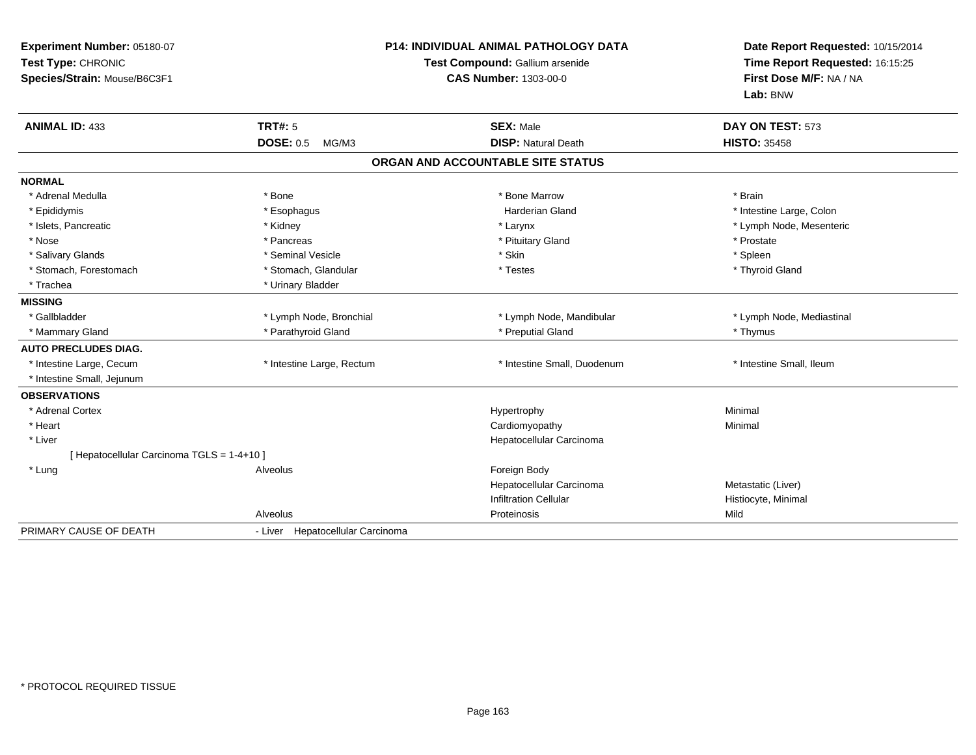| Experiment Number: 05180-07<br>Test Type: CHRONIC<br>Species/Strain: Mouse/B6C3F1 |                                  | <b>P14: INDIVIDUAL ANIMAL PATHOLOGY DATA</b><br>Test Compound: Gallium arsenide<br><b>CAS Number: 1303-00-0</b> | Date Report Requested: 10/15/2014<br>Time Report Requested: 16:15:25<br>First Dose M/F: NA / NA |
|-----------------------------------------------------------------------------------|----------------------------------|-----------------------------------------------------------------------------------------------------------------|-------------------------------------------------------------------------------------------------|
|                                                                                   |                                  |                                                                                                                 | Lab: BNW                                                                                        |
| <b>ANIMAL ID: 433</b>                                                             | TRT#: 5                          | <b>SEX: Male</b>                                                                                                | DAY ON TEST: 573                                                                                |
|                                                                                   | DOSE: 0.5 MG/M3                  | <b>DISP: Natural Death</b>                                                                                      | <b>HISTO: 35458</b>                                                                             |
|                                                                                   |                                  | ORGAN AND ACCOUNTABLE SITE STATUS                                                                               |                                                                                                 |
| <b>NORMAL</b>                                                                     |                                  |                                                                                                                 |                                                                                                 |
| * Adrenal Medulla                                                                 | * Bone                           | * Bone Marrow                                                                                                   | * Brain                                                                                         |
| * Epididymis                                                                      | * Esophagus                      | <b>Harderian Gland</b>                                                                                          | * Intestine Large, Colon                                                                        |
| * Islets, Pancreatic                                                              | * Kidney                         | * Larynx                                                                                                        | * Lymph Node, Mesenteric                                                                        |
| * Nose                                                                            | * Pancreas                       | * Pituitary Gland                                                                                               | * Prostate                                                                                      |
| * Salivary Glands                                                                 | * Seminal Vesicle                | * Skin                                                                                                          | * Spleen                                                                                        |
| * Stomach, Forestomach                                                            | * Stomach, Glandular             | * Testes                                                                                                        | * Thyroid Gland                                                                                 |
| * Trachea                                                                         | * Urinary Bladder                |                                                                                                                 |                                                                                                 |
| <b>MISSING</b>                                                                    |                                  |                                                                                                                 |                                                                                                 |
| * Gallbladder                                                                     | * Lymph Node, Bronchial          | * Lymph Node, Mandibular                                                                                        | * Lymph Node, Mediastinal                                                                       |
| * Mammary Gland                                                                   | * Parathyroid Gland              | * Preputial Gland                                                                                               | * Thymus                                                                                        |
| <b>AUTO PRECLUDES DIAG.</b>                                                       |                                  |                                                                                                                 |                                                                                                 |
| * Intestine Large, Cecum                                                          | * Intestine Large, Rectum        | * Intestine Small, Duodenum                                                                                     | * Intestine Small, Ileum                                                                        |
| * Intestine Small, Jejunum                                                        |                                  |                                                                                                                 |                                                                                                 |
| <b>OBSERVATIONS</b>                                                               |                                  |                                                                                                                 |                                                                                                 |
| * Adrenal Cortex                                                                  |                                  | Hypertrophy                                                                                                     | Minimal                                                                                         |
| * Heart                                                                           |                                  | Cardiomyopathy                                                                                                  | Minimal                                                                                         |
| * Liver                                                                           |                                  | Hepatocellular Carcinoma                                                                                        |                                                                                                 |
| [ Hepatocellular Carcinoma TGLS = 1-4+10 ]                                        |                                  |                                                                                                                 |                                                                                                 |
| * Lung                                                                            | Alveolus                         | Foreign Body                                                                                                    |                                                                                                 |
|                                                                                   |                                  | Hepatocellular Carcinoma                                                                                        | Metastatic (Liver)                                                                              |
|                                                                                   |                                  | <b>Infiltration Cellular</b>                                                                                    | Histiocyte, Minimal                                                                             |
|                                                                                   | Alveolus                         | Proteinosis                                                                                                     | Mild                                                                                            |
| PRIMARY CAUSE OF DEATH                                                            | - Liver Hepatocellular Carcinoma |                                                                                                                 |                                                                                                 |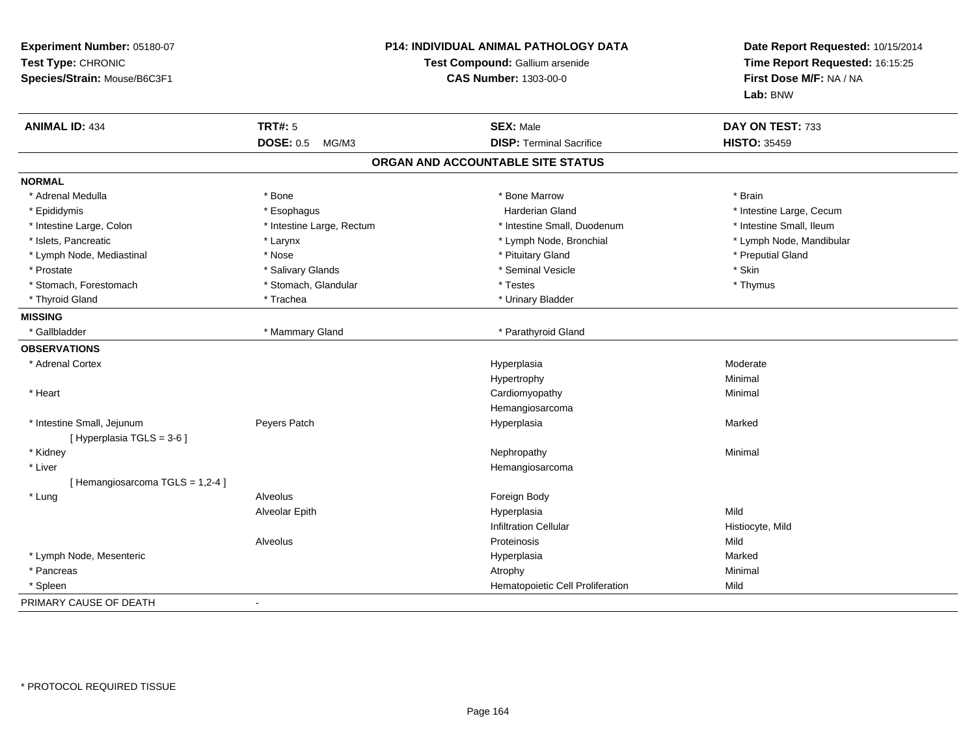| Experiment Number: 05180-07<br>Test Type: CHRONIC<br>Species/Strain: Mouse/B6C3F1 | P14: INDIVIDUAL ANIMAL PATHOLOGY DATA<br>Test Compound: Gallium arsenide<br><b>CAS Number: 1303-00-0</b> |                                   | Date Report Requested: 10/15/2014<br>Time Report Requested: 16:15:25<br>First Dose M/F: NA / NA<br>Lab: BNW |
|-----------------------------------------------------------------------------------|----------------------------------------------------------------------------------------------------------|-----------------------------------|-------------------------------------------------------------------------------------------------------------|
| <b>ANIMAL ID: 434</b>                                                             | <b>TRT#: 5</b>                                                                                           | <b>SEX: Male</b>                  | DAY ON TEST: 733                                                                                            |
|                                                                                   | <b>DOSE: 0.5</b><br>MG/M3                                                                                | <b>DISP: Terminal Sacrifice</b>   | <b>HISTO: 35459</b>                                                                                         |
|                                                                                   |                                                                                                          | ORGAN AND ACCOUNTABLE SITE STATUS |                                                                                                             |
| <b>NORMAL</b>                                                                     |                                                                                                          |                                   |                                                                                                             |
| * Adrenal Medulla                                                                 | * Bone                                                                                                   | * Bone Marrow                     | * Brain                                                                                                     |
| * Epididymis                                                                      | * Esophagus                                                                                              | <b>Harderian Gland</b>            | * Intestine Large, Cecum                                                                                    |
| * Intestine Large, Colon                                                          | * Intestine Large, Rectum                                                                                | * Intestine Small, Duodenum       | * Intestine Small, Ileum                                                                                    |
| * Islets, Pancreatic                                                              | * Larynx                                                                                                 | * Lymph Node, Bronchial           | * Lymph Node, Mandibular                                                                                    |
| * Lymph Node, Mediastinal                                                         | * Nose                                                                                                   | * Pituitary Gland                 | * Preputial Gland                                                                                           |
| * Prostate                                                                        | * Salivary Glands                                                                                        | * Seminal Vesicle                 | * Skin                                                                                                      |
| * Stomach, Forestomach                                                            | * Stomach, Glandular                                                                                     | * Testes                          | * Thymus                                                                                                    |
| * Thyroid Gland                                                                   | * Trachea                                                                                                | * Urinary Bladder                 |                                                                                                             |
| <b>MISSING</b>                                                                    |                                                                                                          |                                   |                                                                                                             |
| * Gallbladder                                                                     | * Mammary Gland                                                                                          | * Parathyroid Gland               |                                                                                                             |
| <b>OBSERVATIONS</b>                                                               |                                                                                                          |                                   |                                                                                                             |
| * Adrenal Cortex                                                                  |                                                                                                          | Hyperplasia                       | Moderate                                                                                                    |
|                                                                                   |                                                                                                          | Hypertrophy                       | Minimal                                                                                                     |
| * Heart                                                                           |                                                                                                          | Cardiomyopathy                    | Minimal                                                                                                     |
|                                                                                   |                                                                                                          | Hemangiosarcoma                   |                                                                                                             |
| * Intestine Small, Jejunum<br>[ Hyperplasia TGLS = 3-6 ]                          | Peyers Patch                                                                                             | Hyperplasia                       | Marked                                                                                                      |
| * Kidney                                                                          |                                                                                                          | Nephropathy                       | Minimal                                                                                                     |
| * Liver                                                                           |                                                                                                          | Hemangiosarcoma                   |                                                                                                             |
| [Hemangiosarcoma TGLS = 1,2-4]                                                    |                                                                                                          |                                   |                                                                                                             |
| * Lung                                                                            | Alveolus                                                                                                 | Foreign Body                      |                                                                                                             |
|                                                                                   | Alveolar Epith                                                                                           | Hyperplasia                       | Mild                                                                                                        |
|                                                                                   |                                                                                                          | <b>Infiltration Cellular</b>      | Histiocyte, Mild                                                                                            |
|                                                                                   | Alveolus                                                                                                 | Proteinosis                       | Mild                                                                                                        |
| * Lymph Node, Mesenteric                                                          |                                                                                                          | Hyperplasia                       | Marked                                                                                                      |
| * Pancreas                                                                        |                                                                                                          | Atrophy                           | Minimal                                                                                                     |
| * Spleen                                                                          |                                                                                                          | Hematopoietic Cell Proliferation  | Mild                                                                                                        |
| PRIMARY CAUSE OF DEATH                                                            |                                                                                                          |                                   |                                                                                                             |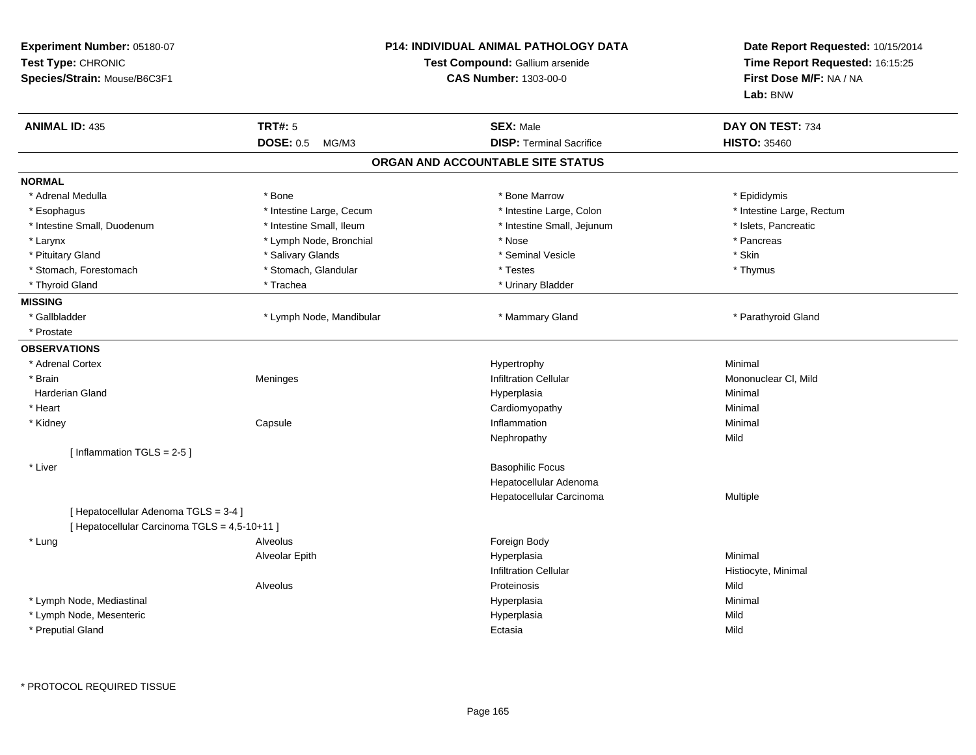| Experiment Number: 05180-07<br>Test Type: CHRONIC<br>Species/Strain: Mouse/B6C3F1 |                           | P14: INDIVIDUAL ANIMAL PATHOLOGY DATA<br>Test Compound: Gallium arsenide<br><b>CAS Number: 1303-00-0</b> | Date Report Requested: 10/15/2014<br>Time Report Requested: 16:15:25<br>First Dose M/F: NA / NA<br>Lab: BNW |
|-----------------------------------------------------------------------------------|---------------------------|----------------------------------------------------------------------------------------------------------|-------------------------------------------------------------------------------------------------------------|
| <b>ANIMAL ID: 435</b>                                                             | <b>TRT#: 5</b>            | <b>SEX: Male</b>                                                                                         | DAY ON TEST: 734                                                                                            |
|                                                                                   | <b>DOSE: 0.5</b><br>MG/M3 | <b>DISP: Terminal Sacrifice</b>                                                                          | <b>HISTO: 35460</b>                                                                                         |
|                                                                                   |                           | ORGAN AND ACCOUNTABLE SITE STATUS                                                                        |                                                                                                             |
| <b>NORMAL</b>                                                                     |                           |                                                                                                          |                                                                                                             |
| * Adrenal Medulla                                                                 | * Bone                    | * Bone Marrow                                                                                            | * Epididymis                                                                                                |
| * Esophagus                                                                       | * Intestine Large, Cecum  | * Intestine Large, Colon                                                                                 | * Intestine Large, Rectum                                                                                   |
| * Intestine Small, Duodenum                                                       | * Intestine Small, Ileum  | * Intestine Small, Jejunum                                                                               | * Islets, Pancreatic                                                                                        |
| * Larynx                                                                          | * Lymph Node, Bronchial   | * Nose                                                                                                   | * Pancreas                                                                                                  |
| * Pituitary Gland                                                                 | * Salivary Glands         | * Seminal Vesicle                                                                                        | * Skin                                                                                                      |
| * Stomach, Forestomach                                                            | * Stomach, Glandular      | * Testes                                                                                                 | * Thymus                                                                                                    |
| * Thyroid Gland                                                                   | * Trachea                 | * Urinary Bladder                                                                                        |                                                                                                             |
| <b>MISSING</b>                                                                    |                           |                                                                                                          |                                                                                                             |
| * Gallbladder                                                                     | * Lymph Node, Mandibular  | * Mammary Gland                                                                                          | * Parathyroid Gland                                                                                         |
| * Prostate                                                                        |                           |                                                                                                          |                                                                                                             |
| <b>OBSERVATIONS</b>                                                               |                           |                                                                                                          |                                                                                                             |
| * Adrenal Cortex                                                                  |                           | Hypertrophy                                                                                              | Minimal                                                                                                     |
| * Brain                                                                           | Meninges                  | <b>Infiltration Cellular</b>                                                                             | Mononuclear CI, Mild                                                                                        |
| <b>Harderian Gland</b>                                                            |                           | Hyperplasia                                                                                              | Minimal                                                                                                     |
| * Heart                                                                           |                           | Cardiomyopathy                                                                                           | Minimal                                                                                                     |
| * Kidney                                                                          | Capsule                   | Inflammation                                                                                             | Minimal                                                                                                     |
|                                                                                   |                           | Nephropathy                                                                                              | Mild                                                                                                        |
| [Inflammation TGLS = 2-5]                                                         |                           |                                                                                                          |                                                                                                             |
| * Liver                                                                           |                           | <b>Basophilic Focus</b>                                                                                  |                                                                                                             |
|                                                                                   |                           | Hepatocellular Adenoma                                                                                   |                                                                                                             |
|                                                                                   |                           | Hepatocellular Carcinoma                                                                                 | Multiple                                                                                                    |
| [ Hepatocellular Adenoma TGLS = 3-4 ]                                             |                           |                                                                                                          |                                                                                                             |
| [ Hepatocellular Carcinoma TGLS = 4,5-10+11 ]                                     |                           |                                                                                                          |                                                                                                             |
| * Lung                                                                            | Alveolus                  | Foreign Body                                                                                             |                                                                                                             |
|                                                                                   | Alveolar Epith            | Hyperplasia                                                                                              | Minimal                                                                                                     |
|                                                                                   |                           | <b>Infiltration Cellular</b>                                                                             | Histiocyte, Minimal                                                                                         |
|                                                                                   | Alveolus                  | Proteinosis                                                                                              | Mild                                                                                                        |
| * Lymph Node, Mediastinal                                                         |                           | Hyperplasia                                                                                              | Minimal                                                                                                     |
| * Lymph Node, Mesenteric                                                          |                           | Hyperplasia                                                                                              | Mild                                                                                                        |
| * Preputial Gland                                                                 |                           | Ectasia                                                                                                  | Mild                                                                                                        |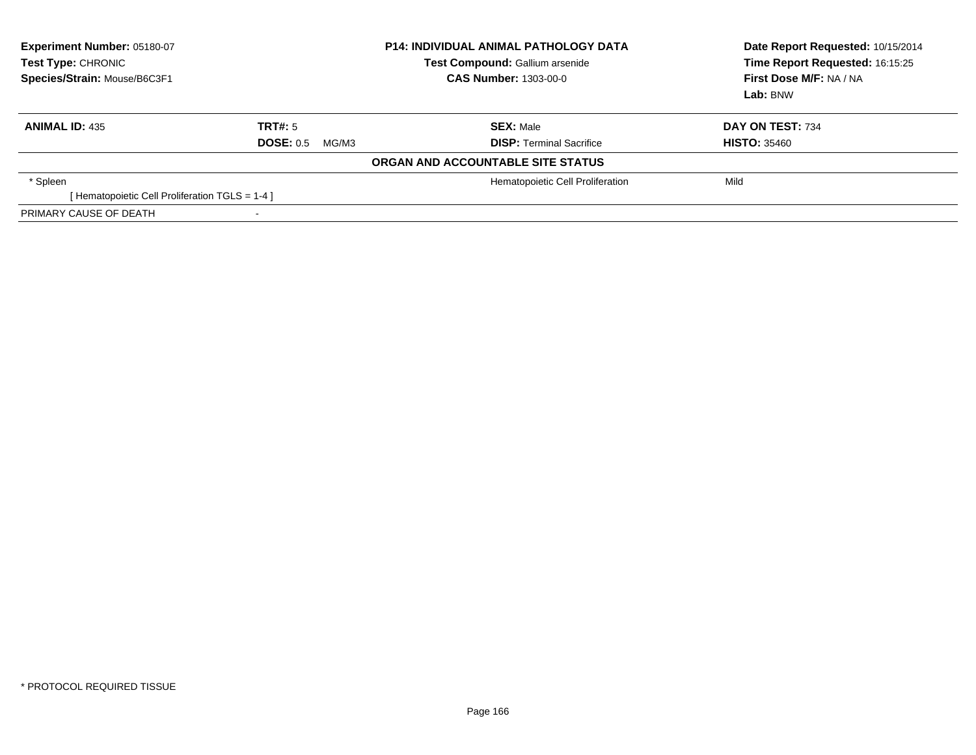| Experiment Number: 05180-07<br>Test Type: CHRONIC<br>Species/Strain: Mouse/B6C3F1 | <b>P14: INDIVIDUAL ANIMAL PATHOLOGY DATA</b><br><b>Test Compound: Gallium arsenide</b><br><b>CAS Number: 1303-00-0</b> |                                   | Date Report Requested: 10/15/2014<br>Time Report Requested: 16:15:25<br>First Dose M/F: NA / NA<br>Lab: BNW |
|-----------------------------------------------------------------------------------|------------------------------------------------------------------------------------------------------------------------|-----------------------------------|-------------------------------------------------------------------------------------------------------------|
| <b>ANIMAL ID: 435</b>                                                             | TRT#: 5                                                                                                                | <b>SEX: Male</b>                  | DAY ON TEST: 734                                                                                            |
|                                                                                   | <b>DOSE: 0.5</b><br>MG/M3                                                                                              | <b>DISP: Terminal Sacrifice</b>   | <b>HISTO: 35460</b>                                                                                         |
|                                                                                   |                                                                                                                        | ORGAN AND ACCOUNTABLE SITE STATUS |                                                                                                             |
| * Spleen                                                                          |                                                                                                                        | Hematopoietic Cell Proliferation  | Mild                                                                                                        |
| [Hematopoietic Cell Proliferation TGLS = 1-4 ]                                    |                                                                                                                        |                                   |                                                                                                             |
| PRIMARY CAUSE OF DEATH                                                            | $\overline{\phantom{a}}$                                                                                               |                                   |                                                                                                             |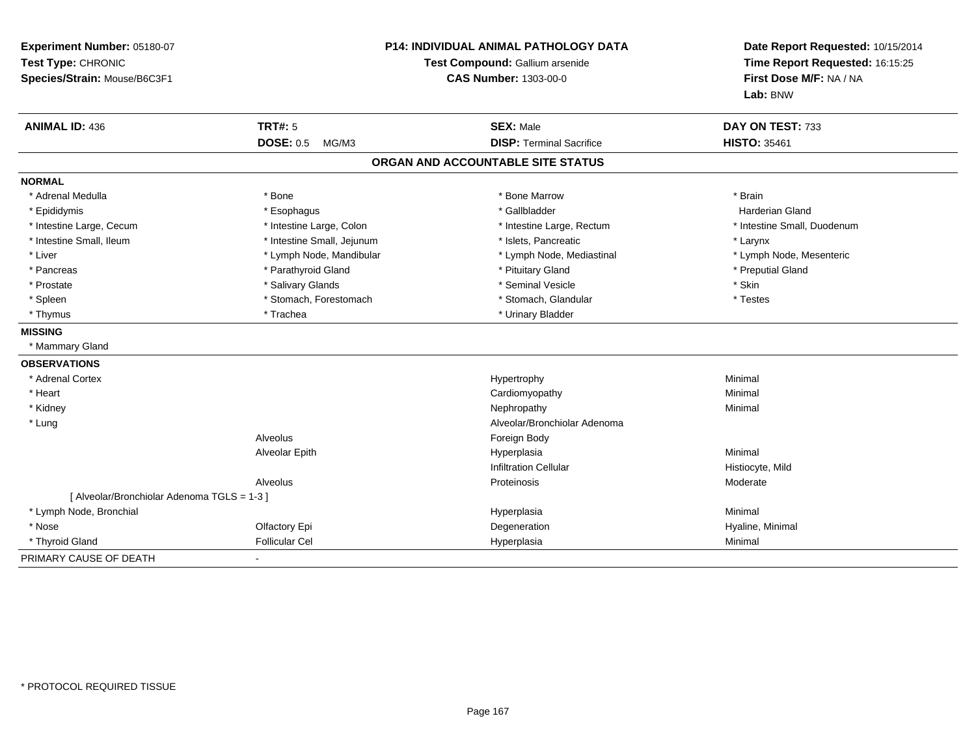| Experiment Number: 05180-07<br>Test Type: CHRONIC<br>Species/Strain: Mouse/B6C3F1 |                            | <b>P14: INDIVIDUAL ANIMAL PATHOLOGY DATA</b><br>Test Compound: Gallium arsenide<br><b>CAS Number: 1303-00-0</b> | Date Report Requested: 10/15/2014<br>Time Report Requested: 16:15:25<br>First Dose M/F: NA / NA<br>Lab: BNW |
|-----------------------------------------------------------------------------------|----------------------------|-----------------------------------------------------------------------------------------------------------------|-------------------------------------------------------------------------------------------------------------|
| <b>ANIMAL ID: 436</b>                                                             | <b>TRT#: 5</b>             | <b>SEX: Male</b>                                                                                                | DAY ON TEST: 733                                                                                            |
|                                                                                   | <b>DOSE: 0.5</b><br>MG/M3  | <b>DISP: Terminal Sacrifice</b>                                                                                 | <b>HISTO: 35461</b>                                                                                         |
|                                                                                   |                            | ORGAN AND ACCOUNTABLE SITE STATUS                                                                               |                                                                                                             |
| <b>NORMAL</b>                                                                     |                            |                                                                                                                 |                                                                                                             |
| * Adrenal Medulla                                                                 | * Bone                     | * Bone Marrow                                                                                                   | * Brain                                                                                                     |
| * Epididymis                                                                      | * Esophagus                | * Gallbladder                                                                                                   | Harderian Gland                                                                                             |
| * Intestine Large, Cecum                                                          | * Intestine Large, Colon   | * Intestine Large, Rectum                                                                                       | * Intestine Small, Duodenum                                                                                 |
| * Intestine Small, Ileum                                                          | * Intestine Small, Jejunum | * Islets, Pancreatic                                                                                            | * Larynx                                                                                                    |
| * Liver                                                                           | * Lymph Node, Mandibular   | * Lymph Node, Mediastinal                                                                                       | * Lymph Node, Mesenteric                                                                                    |
| * Pancreas                                                                        | * Parathyroid Gland        | * Pituitary Gland                                                                                               | * Preputial Gland                                                                                           |
| * Prostate                                                                        | * Salivary Glands          | * Seminal Vesicle                                                                                               | * Skin                                                                                                      |
| * Spleen                                                                          | * Stomach, Forestomach     | * Stomach, Glandular                                                                                            | * Testes                                                                                                    |
| * Thymus                                                                          | * Trachea                  | * Urinary Bladder                                                                                               |                                                                                                             |
| <b>MISSING</b>                                                                    |                            |                                                                                                                 |                                                                                                             |
| * Mammary Gland                                                                   |                            |                                                                                                                 |                                                                                                             |
| <b>OBSERVATIONS</b>                                                               |                            |                                                                                                                 |                                                                                                             |
| * Adrenal Cortex                                                                  |                            | Hypertrophy                                                                                                     | Minimal                                                                                                     |
| * Heart                                                                           |                            | Cardiomyopathy                                                                                                  | Minimal                                                                                                     |
| * Kidney                                                                          |                            | Nephropathy                                                                                                     | Minimal                                                                                                     |
| * Lung                                                                            |                            | Alveolar/Bronchiolar Adenoma                                                                                    |                                                                                                             |
|                                                                                   | Alveolus                   | Foreign Body                                                                                                    |                                                                                                             |
|                                                                                   | Alveolar Epith             | Hyperplasia                                                                                                     | Minimal                                                                                                     |
|                                                                                   |                            | <b>Infiltration Cellular</b>                                                                                    | Histiocyte, Mild                                                                                            |
|                                                                                   | Alveolus                   | Proteinosis                                                                                                     | Moderate                                                                                                    |
| [ Alveolar/Bronchiolar Adenoma TGLS = 1-3 ]                                       |                            |                                                                                                                 |                                                                                                             |
| * Lymph Node, Bronchial                                                           |                            | Hyperplasia                                                                                                     | Minimal                                                                                                     |
| * Nose                                                                            | Olfactory Epi              | Degeneration                                                                                                    | Hyaline, Minimal                                                                                            |
| * Thyroid Gland                                                                   | <b>Follicular Cel</b>      | Hyperplasia                                                                                                     | Minimal                                                                                                     |
| PRIMARY CAUSE OF DEATH                                                            |                            |                                                                                                                 |                                                                                                             |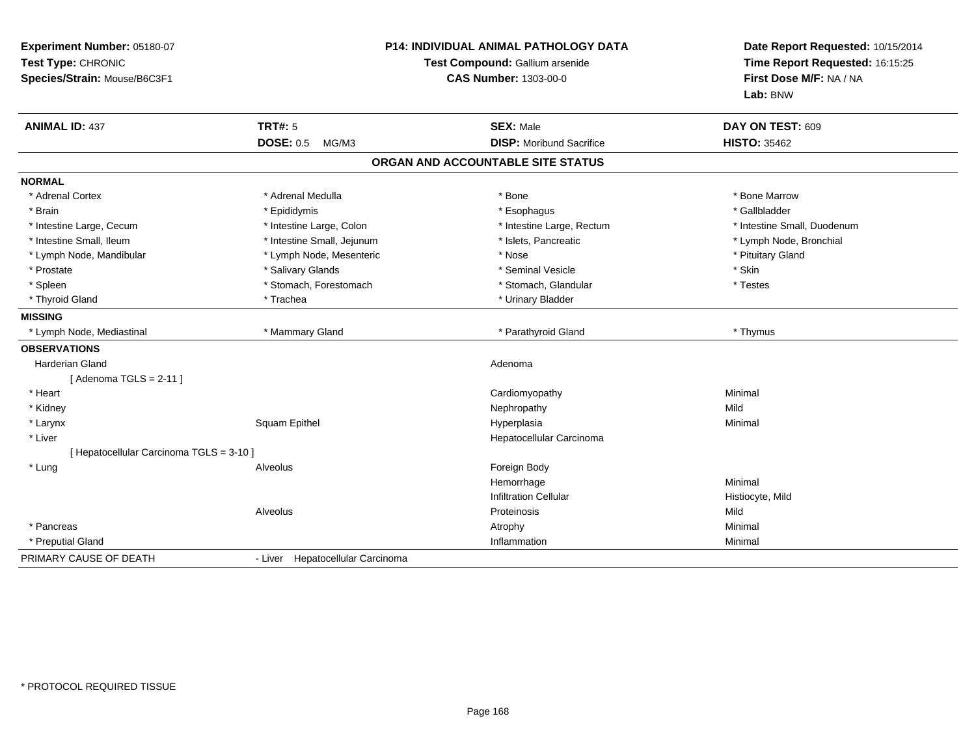| Experiment Number: 05180-07<br>Test Type: CHRONIC<br>Species/Strain: Mouse/B6C3F1 |                                  | <b>P14: INDIVIDUAL ANIMAL PATHOLOGY DATA</b><br>Test Compound: Gallium arsenide<br><b>CAS Number: 1303-00-0</b> | Date Report Requested: 10/15/2014<br>Time Report Requested: 16:15:25<br>First Dose M/F: NA / NA<br>Lab: BNW |
|-----------------------------------------------------------------------------------|----------------------------------|-----------------------------------------------------------------------------------------------------------------|-------------------------------------------------------------------------------------------------------------|
| <b>ANIMAL ID: 437</b>                                                             | <b>TRT#: 5</b>                   | <b>SEX: Male</b>                                                                                                | DAY ON TEST: 609                                                                                            |
|                                                                                   | <b>DOSE: 0.5</b><br>MG/M3        | <b>DISP:</b> Moribund Sacrifice                                                                                 | <b>HISTO: 35462</b>                                                                                         |
|                                                                                   |                                  | ORGAN AND ACCOUNTABLE SITE STATUS                                                                               |                                                                                                             |
| <b>NORMAL</b>                                                                     |                                  |                                                                                                                 |                                                                                                             |
| * Adrenal Cortex                                                                  | * Adrenal Medulla                | * Bone                                                                                                          | * Bone Marrow                                                                                               |
| * Brain                                                                           | * Epididymis                     | * Esophagus                                                                                                     | * Gallbladder                                                                                               |
| * Intestine Large, Cecum                                                          | * Intestine Large, Colon         | * Intestine Large, Rectum                                                                                       | * Intestine Small, Duodenum                                                                                 |
| * Intestine Small, Ileum                                                          | * Intestine Small, Jejunum       | * Islets, Pancreatic                                                                                            | * Lymph Node, Bronchial                                                                                     |
| * Lymph Node, Mandibular                                                          | * Lymph Node, Mesenteric         | * Nose                                                                                                          | * Pituitary Gland                                                                                           |
| * Prostate                                                                        | * Salivary Glands                | * Seminal Vesicle                                                                                               | * Skin                                                                                                      |
| * Spleen                                                                          | * Stomach, Forestomach           | * Stomach, Glandular                                                                                            | * Testes                                                                                                    |
| * Thyroid Gland                                                                   | * Trachea                        | * Urinary Bladder                                                                                               |                                                                                                             |
| <b>MISSING</b>                                                                    |                                  |                                                                                                                 |                                                                                                             |
| * Lymph Node, Mediastinal                                                         | * Mammary Gland                  | * Parathyroid Gland                                                                                             | * Thymus                                                                                                    |
| <b>OBSERVATIONS</b>                                                               |                                  |                                                                                                                 |                                                                                                             |
| Harderian Gland                                                                   |                                  | Adenoma                                                                                                         |                                                                                                             |
| [Adenoma TGLS = $2-11$ ]                                                          |                                  |                                                                                                                 |                                                                                                             |
| * Heart                                                                           |                                  | Cardiomyopathy                                                                                                  | Minimal                                                                                                     |
| * Kidney                                                                          |                                  | Nephropathy                                                                                                     | Mild                                                                                                        |
| * Larynx                                                                          | Squam Epithel                    | Hyperplasia                                                                                                     | Minimal                                                                                                     |
| * Liver                                                                           |                                  | Hepatocellular Carcinoma                                                                                        |                                                                                                             |
| [ Hepatocellular Carcinoma TGLS = 3-10 ]                                          |                                  |                                                                                                                 |                                                                                                             |
| * Lung                                                                            | Alveolus                         | Foreign Body                                                                                                    |                                                                                                             |
|                                                                                   |                                  | Hemorrhage                                                                                                      | Minimal                                                                                                     |
|                                                                                   |                                  | <b>Infiltration Cellular</b>                                                                                    | Histiocyte, Mild                                                                                            |
|                                                                                   | Alveolus                         | Proteinosis                                                                                                     | Mild                                                                                                        |
| * Pancreas                                                                        |                                  | Atrophy                                                                                                         | Minimal                                                                                                     |
| * Preputial Gland                                                                 |                                  | Inflammation                                                                                                    | Minimal                                                                                                     |
| PRIMARY CAUSE OF DEATH                                                            | - Liver Hepatocellular Carcinoma |                                                                                                                 |                                                                                                             |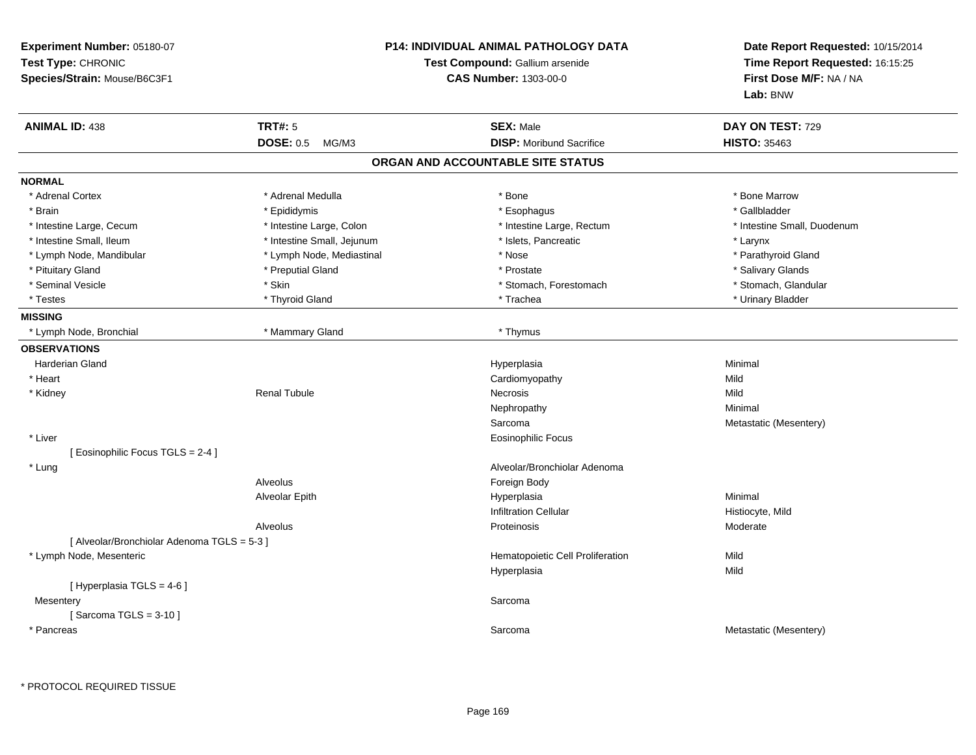| <b>Experiment Number: 05180-07</b><br>Test Type: CHRONIC<br>Species/Strain: Mouse/B6C3F1 | <b>P14: INDIVIDUAL ANIMAL PATHOLOGY DATA</b><br>Test Compound: Gallium arsenide<br><b>CAS Number: 1303-00-0</b> | Date Report Requested: 10/15/2014<br>Time Report Requested: 16:15:25<br>First Dose M/F: NA / NA<br>Lab: BNW |
|------------------------------------------------------------------------------------------|-----------------------------------------------------------------------------------------------------------------|-------------------------------------------------------------------------------------------------------------|
| <b>ANIMAL ID: 438</b><br><b>TRT#: 5</b>                                                  | <b>SEX: Male</b>                                                                                                | DAY ON TEST: 729                                                                                            |
| <b>DOSE: 0.5</b><br>MG/M3                                                                | <b>DISP:</b> Moribund Sacrifice                                                                                 | <b>HISTO: 35463</b>                                                                                         |
|                                                                                          | ORGAN AND ACCOUNTABLE SITE STATUS                                                                               |                                                                                                             |
| <b>NORMAL</b>                                                                            |                                                                                                                 |                                                                                                             |
| * Adrenal Cortex<br>* Adrenal Medulla                                                    | * Bone                                                                                                          | * Bone Marrow                                                                                               |
| * Brain<br>* Epididymis                                                                  | * Esophagus                                                                                                     | * Gallbladder                                                                                               |
| * Intestine Large, Cecum<br>* Intestine Large, Colon                                     | * Intestine Large, Rectum                                                                                       | * Intestine Small, Duodenum                                                                                 |
| * Intestine Small, Ileum<br>* Intestine Small, Jejunum                                   | * Islets, Pancreatic                                                                                            | * Larynx                                                                                                    |
| * Lymph Node, Mandibular<br>* Lymph Node, Mediastinal                                    | * Nose                                                                                                          | * Parathyroid Gland                                                                                         |
| * Preputial Gland<br>* Pituitary Gland                                                   | * Prostate                                                                                                      | * Salivary Glands                                                                                           |
| * Seminal Vesicle<br>* Skin                                                              | * Stomach, Forestomach                                                                                          | * Stomach, Glandular                                                                                        |
| * Testes<br>* Thyroid Gland                                                              | * Trachea                                                                                                       | * Urinary Bladder                                                                                           |
| <b>MISSING</b>                                                                           |                                                                                                                 |                                                                                                             |
| * Mammary Gland<br>* Lymph Node, Bronchial                                               | * Thymus                                                                                                        |                                                                                                             |
| <b>OBSERVATIONS</b>                                                                      |                                                                                                                 |                                                                                                             |
| <b>Harderian Gland</b>                                                                   | Hyperplasia                                                                                                     | Minimal                                                                                                     |
| * Heart                                                                                  | Cardiomyopathy                                                                                                  | Mild                                                                                                        |
| * Kidney<br><b>Renal Tubule</b>                                                          | Necrosis                                                                                                        | Mild                                                                                                        |
|                                                                                          | Nephropathy                                                                                                     | Minimal                                                                                                     |
|                                                                                          | Sarcoma                                                                                                         | Metastatic (Mesentery)                                                                                      |
| * Liver                                                                                  | <b>Eosinophilic Focus</b>                                                                                       |                                                                                                             |
| [ Eosinophilic Focus TGLS = 2-4 ]                                                        |                                                                                                                 |                                                                                                             |
| * Lung                                                                                   | Alveolar/Bronchiolar Adenoma                                                                                    |                                                                                                             |
| Alveolus                                                                                 | Foreign Body                                                                                                    |                                                                                                             |
| Alveolar Epith                                                                           | Hyperplasia                                                                                                     | Minimal                                                                                                     |
|                                                                                          | Infiltration Cellular                                                                                           | Histiocyte, Mild                                                                                            |
| Alveolus                                                                                 | Proteinosis                                                                                                     | Moderate                                                                                                    |
| [ Alveolar/Bronchiolar Adenoma TGLS = 5-3 ]                                              |                                                                                                                 |                                                                                                             |
| * Lymph Node, Mesenteric                                                                 | Hematopoietic Cell Proliferation                                                                                | Mild                                                                                                        |
|                                                                                          | Hyperplasia                                                                                                     | Mild                                                                                                        |
| [ Hyperplasia TGLS = 4-6 ]                                                               |                                                                                                                 |                                                                                                             |
| Mesentery                                                                                | Sarcoma                                                                                                         |                                                                                                             |
| [Sarcoma TGLS = $3-10$ ]                                                                 |                                                                                                                 |                                                                                                             |
| * Pancreas                                                                               | Sarcoma                                                                                                         | Metastatic (Mesentery)                                                                                      |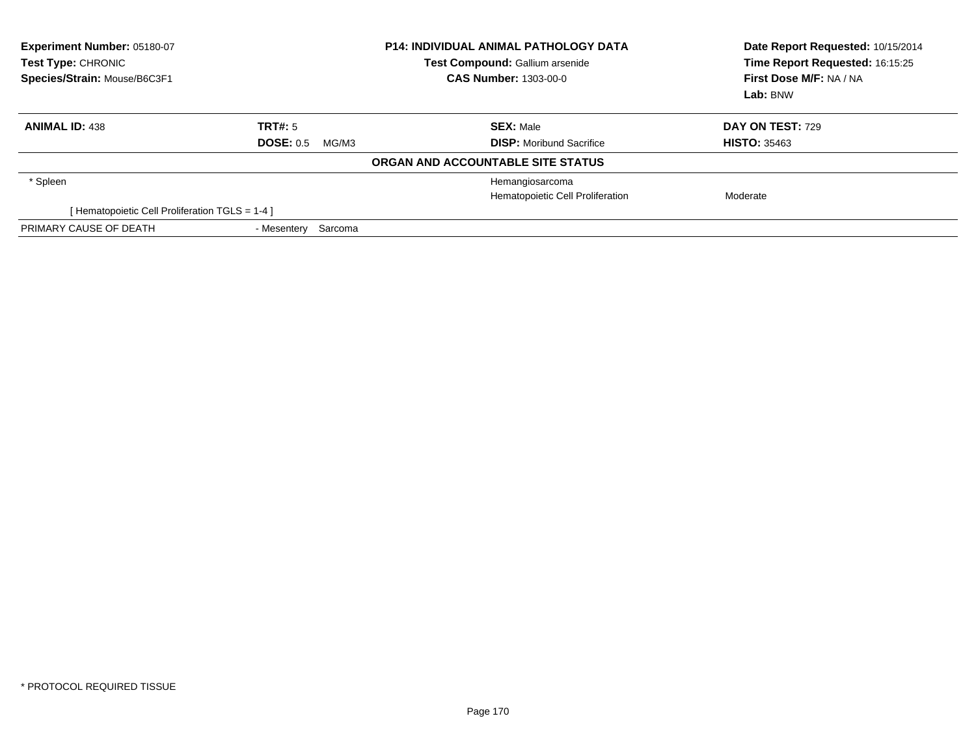| Experiment Number: 05180-07<br>Test Type: CHRONIC<br>Species/Strain: Mouse/B6C3F1 | <b>P14: INDIVIDUAL ANIMAL PATHOLOGY DATA</b><br><b>Test Compound: Gallium arsenide</b><br><b>CAS Number: 1303-00-0</b> |                                   | Date Report Requested: 10/15/2014<br>Time Report Requested: 16:15:25<br>First Dose M/F: NA / NA<br>Lab: BNW |
|-----------------------------------------------------------------------------------|------------------------------------------------------------------------------------------------------------------------|-----------------------------------|-------------------------------------------------------------------------------------------------------------|
| <b>ANIMAL ID: 438</b>                                                             | TRT#: 5                                                                                                                | <b>SEX: Male</b>                  | <b>DAY ON TEST: 729</b>                                                                                     |
|                                                                                   | <b>DOSE: 0.5</b><br>MG/M3                                                                                              | <b>DISP:</b> Moribund Sacrifice   | <b>HISTO: 35463</b>                                                                                         |
|                                                                                   |                                                                                                                        | ORGAN AND ACCOUNTABLE SITE STATUS |                                                                                                             |
| * Spleen                                                                          |                                                                                                                        | Hemangiosarcoma                   |                                                                                                             |
|                                                                                   |                                                                                                                        | Hematopoietic Cell Proliferation  | Moderate                                                                                                    |
| [ Hematopoietic Cell Proliferation TGLS = 1-4 ]                                   |                                                                                                                        |                                   |                                                                                                             |
| PRIMARY CAUSE OF DEATH                                                            | - Mesentery Sarcoma                                                                                                    |                                   |                                                                                                             |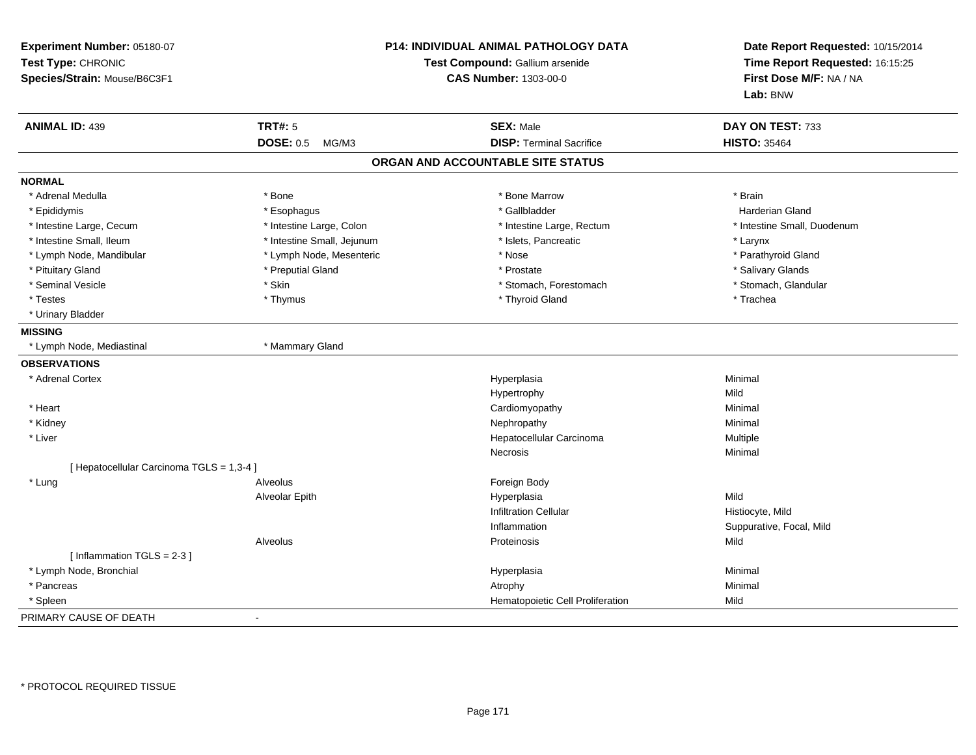| Experiment Number: 05180-07<br>Test Type: CHRONIC<br>Species/Strain: Mouse/B6C3F1 |                            | P14: INDIVIDUAL ANIMAL PATHOLOGY DATA<br>Test Compound: Gallium arsenide<br><b>CAS Number: 1303-00-0</b> | Date Report Requested: 10/15/2014<br>Time Report Requested: 16:15:25<br>First Dose M/F: NA / NA<br>Lab: BNW |
|-----------------------------------------------------------------------------------|----------------------------|----------------------------------------------------------------------------------------------------------|-------------------------------------------------------------------------------------------------------------|
| <b>ANIMAL ID: 439</b>                                                             | <b>TRT#: 5</b>             | <b>SEX: Male</b>                                                                                         | DAY ON TEST: 733                                                                                            |
|                                                                                   | <b>DOSE: 0.5</b><br>MG/M3  | <b>DISP: Terminal Sacrifice</b>                                                                          | <b>HISTO: 35464</b>                                                                                         |
|                                                                                   |                            | ORGAN AND ACCOUNTABLE SITE STATUS                                                                        |                                                                                                             |
| <b>NORMAL</b>                                                                     |                            |                                                                                                          |                                                                                                             |
| * Adrenal Medulla                                                                 | * Bone                     | * Bone Marrow                                                                                            | * Brain                                                                                                     |
| * Epididymis                                                                      | * Esophagus                | * Gallbladder                                                                                            | <b>Harderian Gland</b>                                                                                      |
| * Intestine Large, Cecum                                                          | * Intestine Large, Colon   | * Intestine Large, Rectum                                                                                | * Intestine Small, Duodenum                                                                                 |
| * Intestine Small, Ileum                                                          | * Intestine Small, Jejunum | * Islets, Pancreatic                                                                                     | * Larynx                                                                                                    |
| * Lymph Node, Mandibular                                                          | * Lymph Node, Mesenteric   | * Nose                                                                                                   | * Parathyroid Gland                                                                                         |
| * Pituitary Gland                                                                 | * Preputial Gland          | * Prostate                                                                                               | * Salivary Glands                                                                                           |
| * Seminal Vesicle                                                                 | * Skin                     | * Stomach, Forestomach                                                                                   | * Stomach, Glandular                                                                                        |
| * Testes                                                                          | * Thymus                   | * Thyroid Gland                                                                                          | * Trachea                                                                                                   |
| * Urinary Bladder                                                                 |                            |                                                                                                          |                                                                                                             |
| <b>MISSING</b>                                                                    |                            |                                                                                                          |                                                                                                             |
| * Lymph Node, Mediastinal                                                         | * Mammary Gland            |                                                                                                          |                                                                                                             |
| <b>OBSERVATIONS</b>                                                               |                            |                                                                                                          |                                                                                                             |
| * Adrenal Cortex                                                                  |                            | Hyperplasia                                                                                              | Minimal                                                                                                     |
|                                                                                   |                            | Hypertrophy                                                                                              | Mild                                                                                                        |
| * Heart                                                                           |                            | Cardiomyopathy                                                                                           | Minimal                                                                                                     |
| * Kidney                                                                          |                            | Nephropathy                                                                                              | Minimal                                                                                                     |
| * Liver                                                                           |                            | Hepatocellular Carcinoma                                                                                 | Multiple                                                                                                    |
|                                                                                   |                            | Necrosis                                                                                                 | Minimal                                                                                                     |
| [ Hepatocellular Carcinoma TGLS = 1,3-4 ]                                         |                            |                                                                                                          |                                                                                                             |
| * Lung                                                                            | Alveolus                   | Foreign Body                                                                                             |                                                                                                             |
|                                                                                   | Alveolar Epith             | Hyperplasia                                                                                              | Mild                                                                                                        |
|                                                                                   |                            | <b>Infiltration Cellular</b>                                                                             | Histiocyte, Mild                                                                                            |
|                                                                                   |                            | Inflammation                                                                                             | Suppurative, Focal, Mild                                                                                    |
|                                                                                   | Alveolus                   | Proteinosis                                                                                              | Mild                                                                                                        |
| [Inflammation TGLS = $2-3$ ]                                                      |                            |                                                                                                          |                                                                                                             |
| * Lymph Node, Bronchial                                                           |                            | Hyperplasia                                                                                              | Minimal                                                                                                     |
| * Pancreas                                                                        |                            | Atrophy                                                                                                  | Minimal                                                                                                     |
| * Spleen                                                                          |                            | Hematopoietic Cell Proliferation                                                                         | Mild                                                                                                        |
| PRIMARY CAUSE OF DEATH                                                            | $\overline{a}$             |                                                                                                          |                                                                                                             |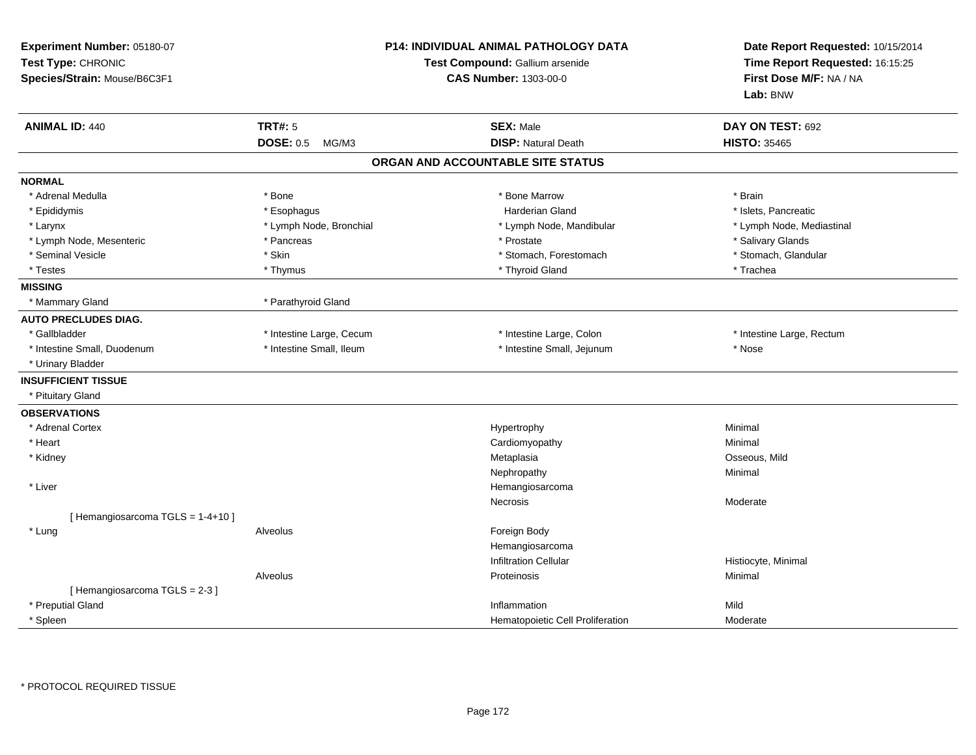| Experiment Number: 05180-07<br>Test Type: CHRONIC<br>Species/Strain: Mouse/B6C3F1 | <b>P14: INDIVIDUAL ANIMAL PATHOLOGY DATA</b><br>Test Compound: Gallium arsenide<br><b>CAS Number: 1303-00-0</b> |                                   | Date Report Requested: 10/15/2014<br>Time Report Requested: 16:15:25<br>First Dose M/F: NA / NA<br>Lab: BNW |
|-----------------------------------------------------------------------------------|-----------------------------------------------------------------------------------------------------------------|-----------------------------------|-------------------------------------------------------------------------------------------------------------|
| <b>ANIMAL ID: 440</b>                                                             | <b>TRT#: 5</b>                                                                                                  | <b>SEX: Male</b>                  | DAY ON TEST: 692                                                                                            |
|                                                                                   | <b>DOSE: 0.5</b><br>MG/M3                                                                                       | <b>DISP: Natural Death</b>        | <b>HISTO: 35465</b>                                                                                         |
|                                                                                   |                                                                                                                 | ORGAN AND ACCOUNTABLE SITE STATUS |                                                                                                             |
| <b>NORMAL</b>                                                                     |                                                                                                                 |                                   |                                                                                                             |
| * Adrenal Medulla                                                                 | * Bone                                                                                                          | * Bone Marrow                     | * Brain                                                                                                     |
| * Epididymis                                                                      | * Esophagus                                                                                                     | <b>Harderian Gland</b>            | * Islets, Pancreatic                                                                                        |
| * Larynx                                                                          | * Lymph Node, Bronchial                                                                                         | * Lymph Node, Mandibular          | * Lymph Node, Mediastinal                                                                                   |
| * Lymph Node, Mesenteric                                                          | * Pancreas                                                                                                      | * Prostate                        | * Salivary Glands                                                                                           |
| * Seminal Vesicle                                                                 | * Skin                                                                                                          | * Stomach, Forestomach            | * Stomach, Glandular                                                                                        |
| * Testes                                                                          | * Thymus                                                                                                        | * Thyroid Gland                   | * Trachea                                                                                                   |
| <b>MISSING</b>                                                                    |                                                                                                                 |                                   |                                                                                                             |
| * Mammary Gland                                                                   | * Parathyroid Gland                                                                                             |                                   |                                                                                                             |
| <b>AUTO PRECLUDES DIAG.</b>                                                       |                                                                                                                 |                                   |                                                                                                             |
| * Gallbladder                                                                     | * Intestine Large, Cecum                                                                                        | * Intestine Large, Colon          | * Intestine Large, Rectum                                                                                   |
| * Intestine Small, Duodenum                                                       | * Intestine Small, Ileum                                                                                        | * Intestine Small, Jejunum        | * Nose                                                                                                      |
| * Urinary Bladder                                                                 |                                                                                                                 |                                   |                                                                                                             |
| <b>INSUFFICIENT TISSUE</b>                                                        |                                                                                                                 |                                   |                                                                                                             |
| * Pituitary Gland                                                                 |                                                                                                                 |                                   |                                                                                                             |
| <b>OBSERVATIONS</b>                                                               |                                                                                                                 |                                   |                                                                                                             |
| * Adrenal Cortex                                                                  |                                                                                                                 | Hypertrophy                       | Minimal                                                                                                     |
| * Heart                                                                           |                                                                                                                 | Cardiomyopathy                    | Minimal                                                                                                     |
| * Kidney                                                                          |                                                                                                                 | Metaplasia                        | Osseous, Mild                                                                                               |
|                                                                                   |                                                                                                                 | Nephropathy                       | Minimal                                                                                                     |
| * Liver                                                                           |                                                                                                                 | Hemangiosarcoma                   |                                                                                                             |
|                                                                                   |                                                                                                                 | <b>Necrosis</b>                   | Moderate                                                                                                    |
| [Hemangiosarcoma TGLS = 1-4+10]                                                   |                                                                                                                 |                                   |                                                                                                             |
| * Lung                                                                            | Alveolus                                                                                                        | Foreign Body                      |                                                                                                             |
|                                                                                   |                                                                                                                 | Hemangiosarcoma                   |                                                                                                             |
|                                                                                   |                                                                                                                 | <b>Infiltration Cellular</b>      | Histiocyte, Minimal                                                                                         |
|                                                                                   | Alveolus                                                                                                        | Proteinosis                       | Minimal                                                                                                     |
| [Hemangiosarcoma TGLS = 2-3]                                                      |                                                                                                                 |                                   |                                                                                                             |
| * Preputial Gland                                                                 |                                                                                                                 | Inflammation                      | Mild                                                                                                        |
| * Spleen                                                                          |                                                                                                                 | Hematopoietic Cell Proliferation  | Moderate                                                                                                    |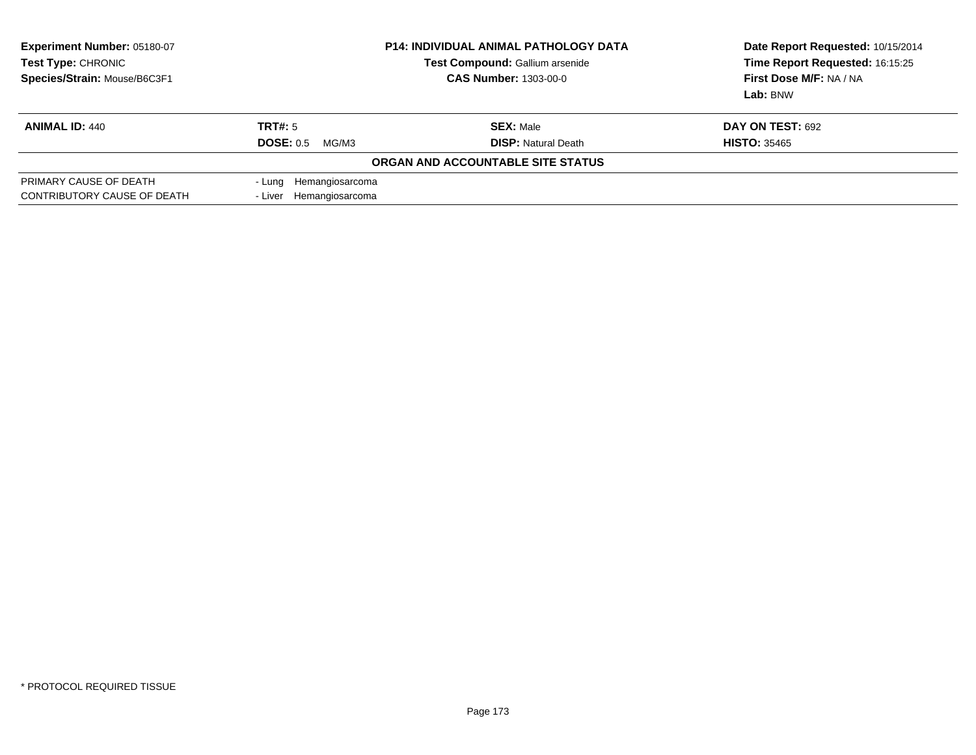| Experiment Number: 05180-07<br>Test Type: CHRONIC<br>Species/Strain: Mouse/B6C3F1 | <b>P14: INDIVIDUAL ANIMAL PATHOLOGY DATA</b><br><b>Test Compound: Gallium arsenide</b><br><b>CAS Number: 1303-00-0</b> |                                   | Date Report Requested: 10/15/2014<br>Time Report Requested: 16:15:25<br>First Dose M/F: NA / NA<br>Lab: BNW |
|-----------------------------------------------------------------------------------|------------------------------------------------------------------------------------------------------------------------|-----------------------------------|-------------------------------------------------------------------------------------------------------------|
| <b>ANIMAL ID: 440</b>                                                             | TRT#: 5                                                                                                                | <b>SEX: Male</b>                  | DAY ON TEST: 692                                                                                            |
|                                                                                   | DOSE: 0.5<br>MG/M3                                                                                                     | <b>DISP: Natural Death</b>        | <b>HISTO: 35465</b>                                                                                         |
|                                                                                   |                                                                                                                        | ORGAN AND ACCOUNTABLE SITE STATUS |                                                                                                             |
| PRIMARY CAUSE OF DEATH<br>CONTRIBUTORY CAUSE OF DEATH                             | - Lung Hemangiosarcoma<br>- Liver Hemangiosarcoma                                                                      |                                   |                                                                                                             |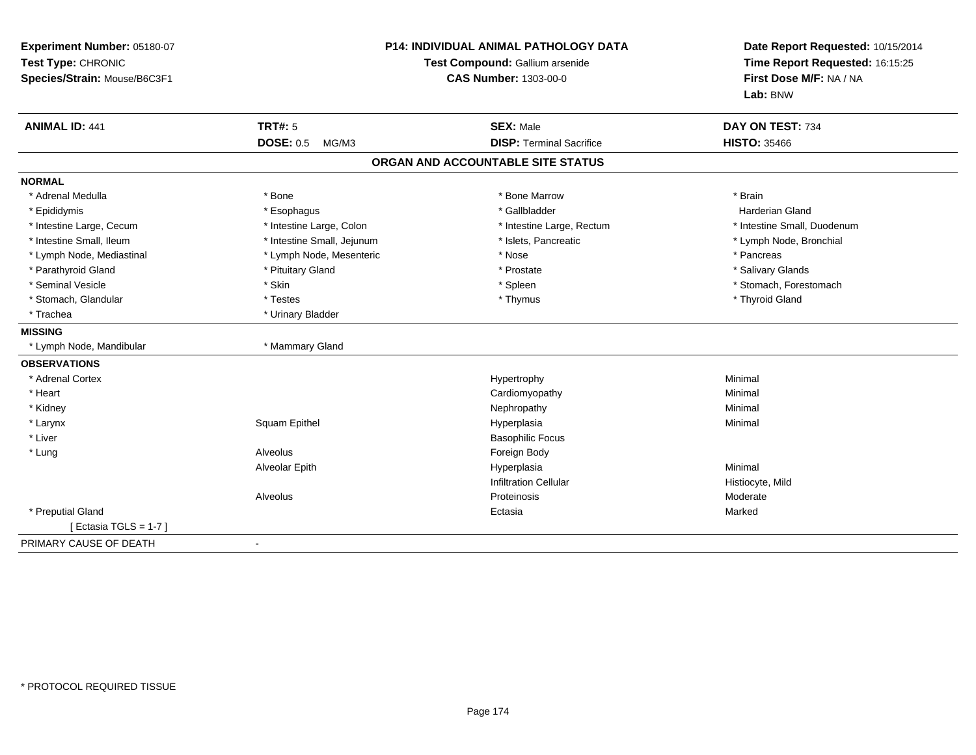| Experiment Number: 05180-07<br>Test Type: CHRONIC<br>Species/Strain: Mouse/B6C3F1 |                            | <b>P14: INDIVIDUAL ANIMAL PATHOLOGY DATA</b><br>Test Compound: Gallium arsenide<br><b>CAS Number: 1303-00-0</b> | Date Report Requested: 10/15/2014<br>Time Report Requested: 16:15:25<br>First Dose M/F: NA / NA<br>Lab: BNW |
|-----------------------------------------------------------------------------------|----------------------------|-----------------------------------------------------------------------------------------------------------------|-------------------------------------------------------------------------------------------------------------|
| <b>ANIMAL ID: 441</b>                                                             | <b>TRT#: 5</b>             | <b>SEX: Male</b>                                                                                                | DAY ON TEST: 734                                                                                            |
|                                                                                   | <b>DOSE: 0.5</b><br>MG/M3  | <b>DISP: Terminal Sacrifice</b>                                                                                 | <b>HISTO: 35466</b>                                                                                         |
|                                                                                   |                            | ORGAN AND ACCOUNTABLE SITE STATUS                                                                               |                                                                                                             |
| <b>NORMAL</b>                                                                     |                            |                                                                                                                 |                                                                                                             |
| * Adrenal Medulla                                                                 | * Bone                     | * Bone Marrow                                                                                                   | * Brain                                                                                                     |
| * Epididymis                                                                      | * Esophagus                | * Gallbladder                                                                                                   | <b>Harderian Gland</b>                                                                                      |
| * Intestine Large, Cecum                                                          | * Intestine Large, Colon   | * Intestine Large, Rectum                                                                                       | * Intestine Small, Duodenum                                                                                 |
| * Intestine Small, Ileum                                                          | * Intestine Small, Jejunum | * Islets, Pancreatic                                                                                            | * Lymph Node, Bronchial                                                                                     |
| * Lymph Node, Mediastinal                                                         | * Lymph Node, Mesenteric   | * Nose                                                                                                          | * Pancreas                                                                                                  |
| * Parathyroid Gland                                                               | * Pituitary Gland          | * Prostate                                                                                                      | * Salivary Glands                                                                                           |
| * Seminal Vesicle                                                                 | * Skin                     | * Spleen                                                                                                        | * Stomach, Forestomach                                                                                      |
| * Stomach, Glandular                                                              | * Testes                   | * Thymus                                                                                                        | * Thyroid Gland                                                                                             |
| * Trachea                                                                         | * Urinary Bladder          |                                                                                                                 |                                                                                                             |
| <b>MISSING</b>                                                                    |                            |                                                                                                                 |                                                                                                             |
| * Lymph Node, Mandibular                                                          | * Mammary Gland            |                                                                                                                 |                                                                                                             |
| <b>OBSERVATIONS</b>                                                               |                            |                                                                                                                 |                                                                                                             |
| * Adrenal Cortex                                                                  |                            | Hypertrophy                                                                                                     | Minimal                                                                                                     |
| * Heart                                                                           |                            | Cardiomyopathy                                                                                                  | Minimal                                                                                                     |
| * Kidney                                                                          |                            | Nephropathy                                                                                                     | Minimal                                                                                                     |
| * Larynx                                                                          | Squam Epithel              | Hyperplasia                                                                                                     | Minimal                                                                                                     |
| * Liver                                                                           |                            | <b>Basophilic Focus</b>                                                                                         |                                                                                                             |
| * Lung                                                                            | Alveolus                   | Foreign Body                                                                                                    |                                                                                                             |
|                                                                                   | Alveolar Epith             | Hyperplasia                                                                                                     | Minimal                                                                                                     |
|                                                                                   |                            | <b>Infiltration Cellular</b>                                                                                    | Histiocyte, Mild                                                                                            |
|                                                                                   | Alveolus                   | Proteinosis                                                                                                     | Moderate                                                                                                    |
| * Preputial Gland                                                                 |                            | Ectasia                                                                                                         | Marked                                                                                                      |
| [ Ectasia TGLS = $1-7$ ]                                                          |                            |                                                                                                                 |                                                                                                             |
| PRIMARY CAUSE OF DEATH                                                            |                            |                                                                                                                 |                                                                                                             |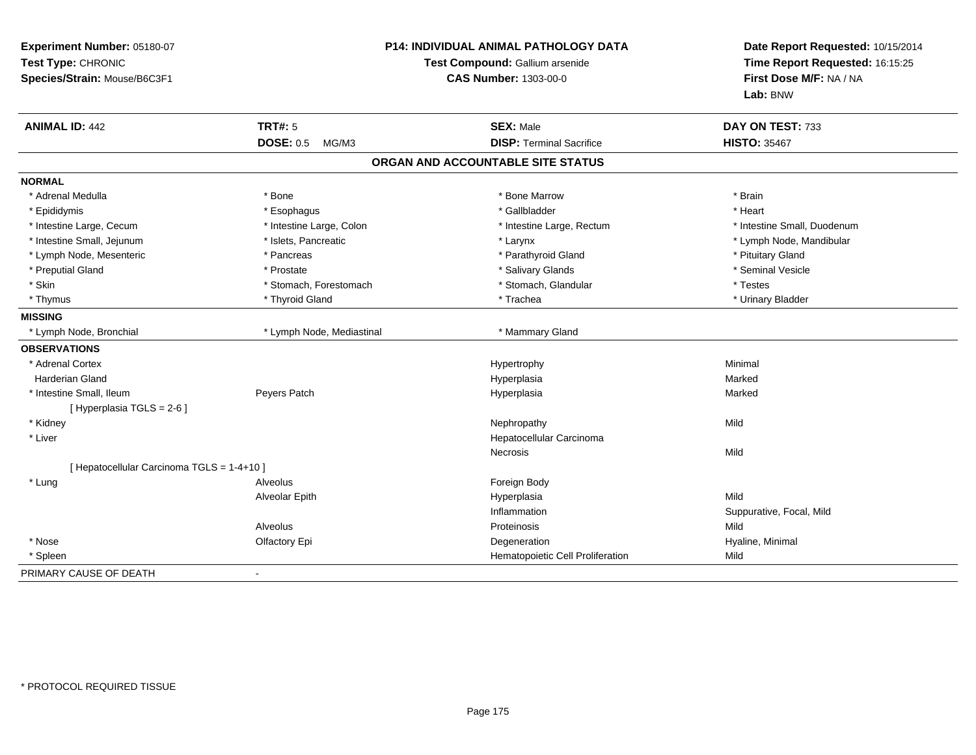| Experiment Number: 05180-07<br>Test Type: CHRONIC<br>Species/Strain: Mouse/B6C3F1 | P14: INDIVIDUAL ANIMAL PATHOLOGY DATA<br>Test Compound: Gallium arsenide<br>CAS Number: 1303-00-0 |                                   | Date Report Requested: 10/15/2014<br>Time Report Requested: 16:15:25<br>First Dose M/F: NA / NA<br>Lab: BNW |
|-----------------------------------------------------------------------------------|---------------------------------------------------------------------------------------------------|-----------------------------------|-------------------------------------------------------------------------------------------------------------|
| <b>ANIMAL ID: 442</b>                                                             | <b>TRT#: 5</b>                                                                                    | <b>SEX: Male</b>                  | DAY ON TEST: 733                                                                                            |
|                                                                                   | <b>DOSE: 0.5</b><br>MG/M3                                                                         | <b>DISP: Terminal Sacrifice</b>   | <b>HISTO: 35467</b>                                                                                         |
|                                                                                   |                                                                                                   | ORGAN AND ACCOUNTABLE SITE STATUS |                                                                                                             |
| <b>NORMAL</b>                                                                     |                                                                                                   |                                   |                                                                                                             |
| * Adrenal Medulla                                                                 | * Bone                                                                                            | * Bone Marrow                     | * Brain                                                                                                     |
| * Epididymis                                                                      | * Esophagus                                                                                       | * Gallbladder                     | * Heart                                                                                                     |
| * Intestine Large, Cecum                                                          | * Intestine Large, Colon                                                                          | * Intestine Large, Rectum         | * Intestine Small, Duodenum                                                                                 |
| * Intestine Small, Jejunum                                                        | * Islets, Pancreatic                                                                              | * Larynx                          | * Lymph Node, Mandibular                                                                                    |
| * Lymph Node, Mesenteric                                                          | * Pancreas                                                                                        | * Parathyroid Gland               | * Pituitary Gland                                                                                           |
| * Preputial Gland                                                                 | * Prostate                                                                                        | * Salivary Glands                 | * Seminal Vesicle                                                                                           |
| * Skin                                                                            | * Stomach, Forestomach                                                                            | * Stomach, Glandular              | * Testes                                                                                                    |
| * Thymus                                                                          | * Thyroid Gland                                                                                   | * Trachea                         | * Urinary Bladder                                                                                           |
| <b>MISSING</b>                                                                    |                                                                                                   |                                   |                                                                                                             |
| * Lymph Node, Bronchial                                                           | * Lymph Node, Mediastinal                                                                         | * Mammary Gland                   |                                                                                                             |
| <b>OBSERVATIONS</b>                                                               |                                                                                                   |                                   |                                                                                                             |
| * Adrenal Cortex                                                                  |                                                                                                   | Hypertrophy                       | Minimal                                                                                                     |
| Harderian Gland                                                                   |                                                                                                   | Hyperplasia                       | Marked                                                                                                      |
| * Intestine Small, Ileum                                                          | Peyers Patch                                                                                      | Hyperplasia                       | Marked                                                                                                      |
| [ Hyperplasia TGLS = 2-6 ]                                                        |                                                                                                   |                                   |                                                                                                             |
| * Kidney                                                                          |                                                                                                   | Nephropathy                       | Mild                                                                                                        |
| * Liver                                                                           |                                                                                                   | Hepatocellular Carcinoma          |                                                                                                             |
|                                                                                   |                                                                                                   | Necrosis                          | Mild                                                                                                        |
| [ Hepatocellular Carcinoma TGLS = 1-4+10 ]                                        |                                                                                                   |                                   |                                                                                                             |
| * Lung                                                                            | Alveolus                                                                                          | Foreign Body                      |                                                                                                             |
|                                                                                   | Alveolar Epith                                                                                    | Hyperplasia                       | Mild                                                                                                        |
|                                                                                   |                                                                                                   | Inflammation                      | Suppurative, Focal, Mild                                                                                    |
|                                                                                   | Alveolus                                                                                          | Proteinosis                       | Mild                                                                                                        |
| * Nose                                                                            | Olfactory Epi                                                                                     | Degeneration                      | Hyaline, Minimal                                                                                            |
| * Spleen                                                                          |                                                                                                   | Hematopoietic Cell Proliferation  | Mild                                                                                                        |
| PRIMARY CAUSE OF DEATH                                                            | $\blacksquare$                                                                                    |                                   |                                                                                                             |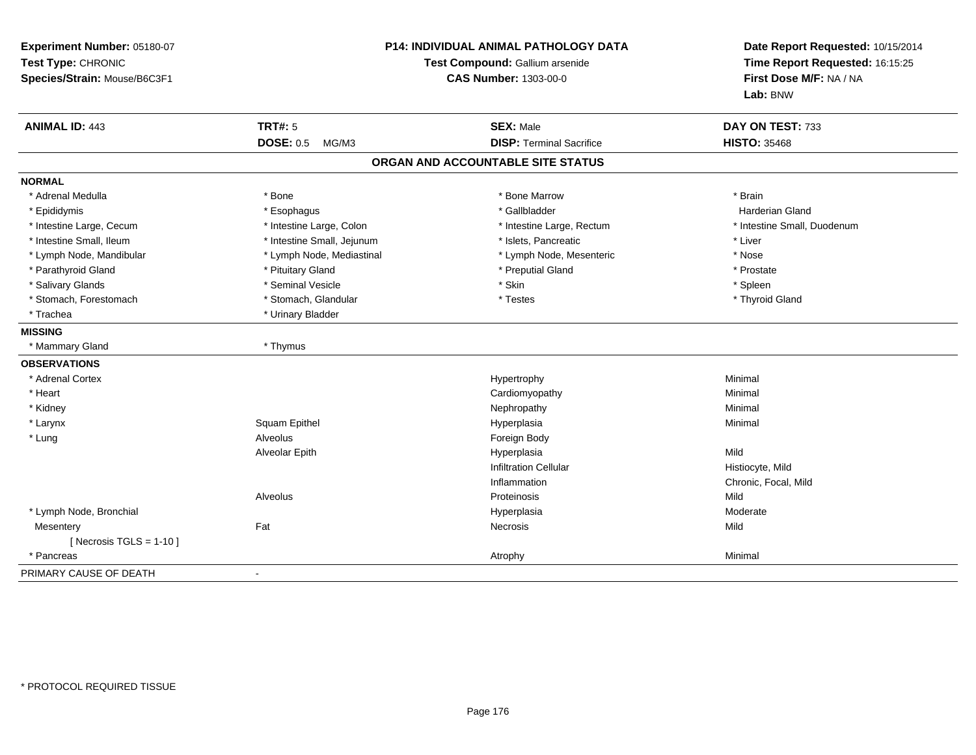| Experiment Number: 05180-07<br>Test Type: CHRONIC<br>Species/Strain: Mouse/B6C3F1 |                            | P14: INDIVIDUAL ANIMAL PATHOLOGY DATA<br>Test Compound: Gallium arsenide<br><b>CAS Number: 1303-00-0</b> | Date Report Requested: 10/15/2014<br>Time Report Requested: 16:15:25<br>First Dose M/F: NA / NA<br>Lab: BNW |
|-----------------------------------------------------------------------------------|----------------------------|----------------------------------------------------------------------------------------------------------|-------------------------------------------------------------------------------------------------------------|
| <b>ANIMAL ID: 443</b>                                                             | <b>TRT#: 5</b>             | <b>SEX: Male</b>                                                                                         | DAY ON TEST: 733                                                                                            |
|                                                                                   | <b>DOSE: 0.5</b><br>MG/M3  | <b>DISP: Terminal Sacrifice</b>                                                                          | <b>HISTO: 35468</b>                                                                                         |
|                                                                                   |                            | ORGAN AND ACCOUNTABLE SITE STATUS                                                                        |                                                                                                             |
| <b>NORMAL</b>                                                                     |                            |                                                                                                          |                                                                                                             |
| * Adrenal Medulla                                                                 | * Bone                     | * Bone Marrow                                                                                            | * Brain                                                                                                     |
| * Epididymis                                                                      | * Esophagus                | * Gallbladder                                                                                            | <b>Harderian Gland</b>                                                                                      |
| * Intestine Large, Cecum                                                          | * Intestine Large, Colon   | * Intestine Large, Rectum                                                                                | * Intestine Small, Duodenum                                                                                 |
| * Intestine Small, Ileum                                                          | * Intestine Small, Jejunum | * Islets, Pancreatic                                                                                     | * Liver                                                                                                     |
| * Lymph Node, Mandibular                                                          | * Lymph Node, Mediastinal  | * Lymph Node, Mesenteric                                                                                 | * Nose                                                                                                      |
| * Parathyroid Gland                                                               | * Pituitary Gland          | * Preputial Gland                                                                                        | * Prostate                                                                                                  |
| * Salivary Glands                                                                 | * Seminal Vesicle          | * Skin                                                                                                   | * Spleen                                                                                                    |
| * Stomach, Forestomach                                                            | * Stomach, Glandular       | * Testes                                                                                                 | * Thyroid Gland                                                                                             |
| * Trachea                                                                         | * Urinary Bladder          |                                                                                                          |                                                                                                             |
| <b>MISSING</b>                                                                    |                            |                                                                                                          |                                                                                                             |
| * Mammary Gland                                                                   | * Thymus                   |                                                                                                          |                                                                                                             |
| <b>OBSERVATIONS</b>                                                               |                            |                                                                                                          |                                                                                                             |
| * Adrenal Cortex                                                                  |                            | Hypertrophy                                                                                              | Minimal                                                                                                     |
| * Heart                                                                           |                            | Cardiomyopathy                                                                                           | Minimal                                                                                                     |
| * Kidney                                                                          |                            | Nephropathy                                                                                              | Minimal                                                                                                     |
| * Larynx                                                                          | Squam Epithel              | Hyperplasia                                                                                              | Minimal                                                                                                     |
| * Lung                                                                            | Alveolus                   | Foreign Body                                                                                             |                                                                                                             |
|                                                                                   | Alveolar Epith             | Hyperplasia                                                                                              | Mild                                                                                                        |
|                                                                                   |                            | <b>Infiltration Cellular</b>                                                                             | Histiocyte, Mild                                                                                            |
|                                                                                   |                            | Inflammation                                                                                             | Chronic, Focal, Mild                                                                                        |
|                                                                                   | Alveolus                   | Proteinosis                                                                                              | Mild                                                                                                        |
| * Lymph Node, Bronchial                                                           |                            | Hyperplasia                                                                                              | Moderate                                                                                                    |
| Mesentery                                                                         | Fat                        | Necrosis                                                                                                 | Mild                                                                                                        |
| [ Necrosis $TGLS = 1-10$ ]                                                        |                            |                                                                                                          |                                                                                                             |
| * Pancreas                                                                        |                            | Atrophy                                                                                                  | Minimal                                                                                                     |
| PRIMARY CAUSE OF DEATH                                                            |                            |                                                                                                          |                                                                                                             |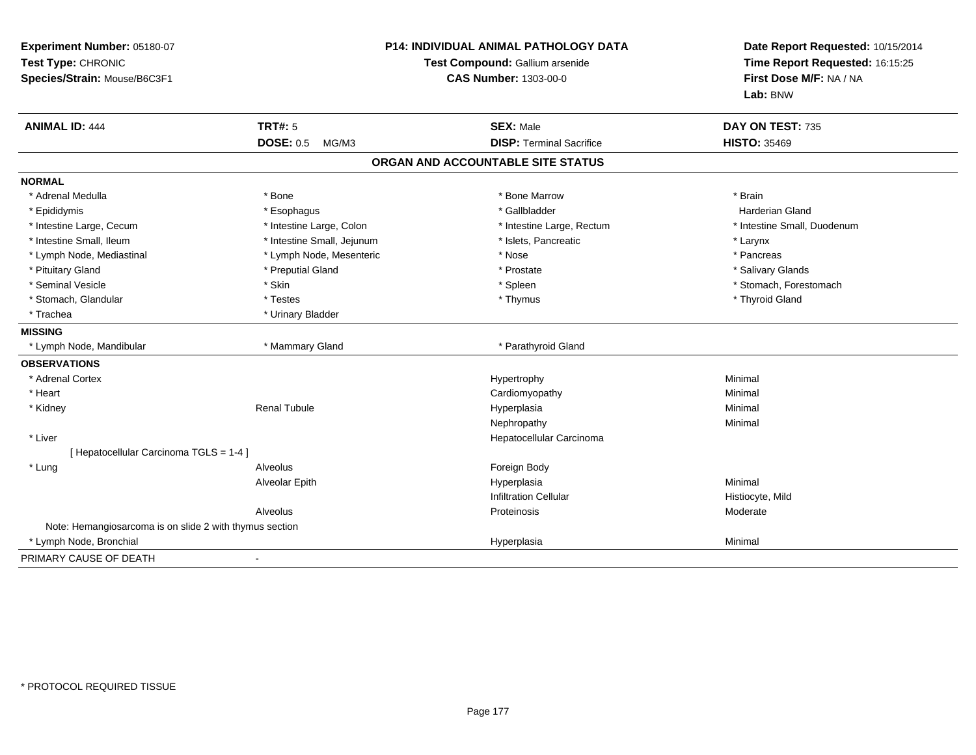| Experiment Number: 05180-07<br>Test Type: CHRONIC<br>Species/Strain: Mouse/B6C3F1 | <b>P14: INDIVIDUAL ANIMAL PATHOLOGY DATA</b><br>Test Compound: Gallium arsenide<br><b>CAS Number: 1303-00-0</b> |                                   | Date Report Requested: 10/15/2014<br>Time Report Requested: 16:15:25<br>First Dose M/F: NA / NA<br>Lab: BNW |  |
|-----------------------------------------------------------------------------------|-----------------------------------------------------------------------------------------------------------------|-----------------------------------|-------------------------------------------------------------------------------------------------------------|--|
| <b>ANIMAL ID: 444</b>                                                             | <b>TRT#: 5</b>                                                                                                  | <b>SEX: Male</b>                  | DAY ON TEST: 735                                                                                            |  |
|                                                                                   | <b>DOSE: 0.5</b><br>MG/M3                                                                                       | <b>DISP: Terminal Sacrifice</b>   | <b>HISTO: 35469</b>                                                                                         |  |
|                                                                                   |                                                                                                                 | ORGAN AND ACCOUNTABLE SITE STATUS |                                                                                                             |  |
| <b>NORMAL</b>                                                                     |                                                                                                                 |                                   |                                                                                                             |  |
| * Adrenal Medulla                                                                 | * Bone                                                                                                          | * Bone Marrow                     | * Brain                                                                                                     |  |
| * Epididymis                                                                      | * Esophagus                                                                                                     | * Gallbladder                     | <b>Harderian Gland</b>                                                                                      |  |
| * Intestine Large, Cecum                                                          | * Intestine Large, Colon                                                                                        | * Intestine Large, Rectum         | * Intestine Small, Duodenum                                                                                 |  |
| * Intestine Small, Ileum                                                          | * Intestine Small, Jejunum                                                                                      | * Islets, Pancreatic              | * Larynx                                                                                                    |  |
| * Lymph Node, Mediastinal                                                         | * Lymph Node, Mesenteric                                                                                        | * Nose                            | * Pancreas                                                                                                  |  |
| * Pituitary Gland                                                                 | * Preputial Gland                                                                                               | * Prostate                        | * Salivary Glands                                                                                           |  |
| * Seminal Vesicle                                                                 | * Skin                                                                                                          | * Spleen                          | * Stomach, Forestomach                                                                                      |  |
| * Stomach, Glandular                                                              | * Testes                                                                                                        | * Thymus                          | * Thyroid Gland                                                                                             |  |
| * Trachea                                                                         | * Urinary Bladder                                                                                               |                                   |                                                                                                             |  |
| <b>MISSING</b>                                                                    |                                                                                                                 |                                   |                                                                                                             |  |
| * Lymph Node, Mandibular                                                          | * Mammary Gland                                                                                                 | * Parathyroid Gland               |                                                                                                             |  |
| <b>OBSERVATIONS</b>                                                               |                                                                                                                 |                                   |                                                                                                             |  |
| * Adrenal Cortex                                                                  |                                                                                                                 | Hypertrophy                       | Minimal                                                                                                     |  |
| * Heart                                                                           |                                                                                                                 | Cardiomyopathy                    | Minimal                                                                                                     |  |
| * Kidney                                                                          | <b>Renal Tubule</b>                                                                                             | Hyperplasia                       | Minimal                                                                                                     |  |
|                                                                                   |                                                                                                                 | Nephropathy                       | Minimal                                                                                                     |  |
| * Liver                                                                           |                                                                                                                 | Hepatocellular Carcinoma          |                                                                                                             |  |
| [ Hepatocellular Carcinoma TGLS = 1-4 ]                                           |                                                                                                                 |                                   |                                                                                                             |  |
| * Lung                                                                            | Alveolus                                                                                                        | Foreign Body                      |                                                                                                             |  |
|                                                                                   | Alveolar Epith                                                                                                  | Hyperplasia                       | Minimal                                                                                                     |  |
|                                                                                   |                                                                                                                 | <b>Infiltration Cellular</b>      | Histiocyte, Mild                                                                                            |  |
|                                                                                   | Alveolus                                                                                                        | Proteinosis                       | Moderate                                                                                                    |  |
| Note: Hemangiosarcoma is on slide 2 with thymus section                           |                                                                                                                 |                                   |                                                                                                             |  |
| * Lymph Node, Bronchial                                                           |                                                                                                                 | Hyperplasia                       | Minimal                                                                                                     |  |
| PRIMARY CAUSE OF DEATH                                                            | $\blacksquare$                                                                                                  |                                   |                                                                                                             |  |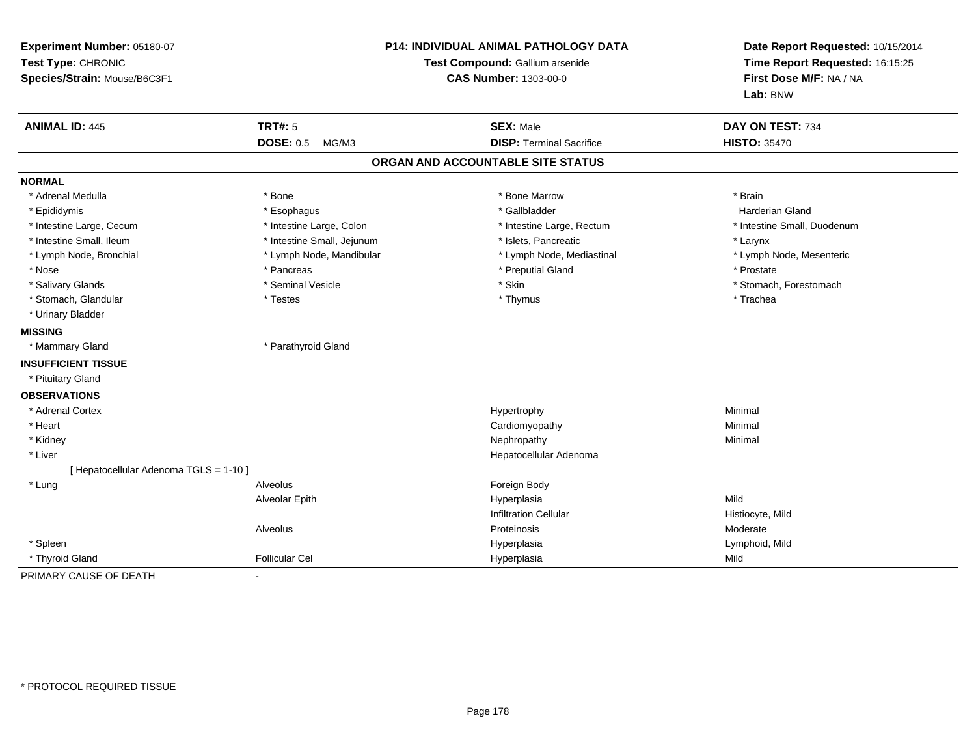| Experiment Number: 05180-07<br>Test Type: CHRONIC<br>Species/Strain: Mouse/B6C3F1 | P14: INDIVIDUAL ANIMAL PATHOLOGY DATA<br>Test Compound: Gallium arsenide<br>CAS Number: 1303-00-0 |                                                     | Date Report Requested: 10/15/2014<br>Time Report Requested: 16:15:25<br>First Dose M/F: NA / NA<br>Lab: BNW |  |
|-----------------------------------------------------------------------------------|---------------------------------------------------------------------------------------------------|-----------------------------------------------------|-------------------------------------------------------------------------------------------------------------|--|
| <b>ANIMAL ID: 445</b>                                                             | <b>TRT#: 5</b><br><b>DOSE: 0.5</b><br>MG/M3                                                       | <b>SEX: Male</b><br><b>DISP: Terminal Sacrifice</b> | DAY ON TEST: 734<br><b>HISTO: 35470</b>                                                                     |  |
|                                                                                   |                                                                                                   |                                                     |                                                                                                             |  |
|                                                                                   |                                                                                                   | ORGAN AND ACCOUNTABLE SITE STATUS                   |                                                                                                             |  |
| <b>NORMAL</b>                                                                     |                                                                                                   |                                                     |                                                                                                             |  |
| * Adrenal Medulla                                                                 | * Bone                                                                                            | * Bone Marrow                                       | * Brain                                                                                                     |  |
| * Epididymis                                                                      | * Esophagus                                                                                       | * Gallbladder                                       | <b>Harderian Gland</b>                                                                                      |  |
| * Intestine Large, Cecum                                                          | * Intestine Large, Colon                                                                          | * Intestine Large, Rectum                           | * Intestine Small, Duodenum                                                                                 |  |
| * Intestine Small, Ileum                                                          | * Intestine Small, Jejunum                                                                        | * Islets, Pancreatic                                | * Larynx                                                                                                    |  |
| * Lymph Node, Bronchial                                                           | * Lymph Node, Mandibular                                                                          | * Lymph Node, Mediastinal                           | * Lymph Node, Mesenteric                                                                                    |  |
| * Nose                                                                            | * Pancreas                                                                                        | * Preputial Gland                                   | * Prostate                                                                                                  |  |
| * Salivary Glands                                                                 | * Seminal Vesicle                                                                                 | * Skin                                              | * Stomach, Forestomach                                                                                      |  |
| * Stomach, Glandular                                                              | * Testes                                                                                          | * Thymus                                            | * Trachea                                                                                                   |  |
| * Urinary Bladder                                                                 |                                                                                                   |                                                     |                                                                                                             |  |
| <b>MISSING</b>                                                                    |                                                                                                   |                                                     |                                                                                                             |  |
| * Mammary Gland                                                                   | * Parathyroid Gland                                                                               |                                                     |                                                                                                             |  |
| <b>INSUFFICIENT TISSUE</b>                                                        |                                                                                                   |                                                     |                                                                                                             |  |
| * Pituitary Gland                                                                 |                                                                                                   |                                                     |                                                                                                             |  |
| <b>OBSERVATIONS</b>                                                               |                                                                                                   |                                                     |                                                                                                             |  |
| * Adrenal Cortex                                                                  |                                                                                                   | Hypertrophy                                         | Minimal                                                                                                     |  |
| * Heart                                                                           |                                                                                                   | Cardiomyopathy                                      | Minimal                                                                                                     |  |
| * Kidney                                                                          |                                                                                                   | Nephropathy                                         | Minimal                                                                                                     |  |
| * Liver                                                                           |                                                                                                   | Hepatocellular Adenoma                              |                                                                                                             |  |
| [ Hepatocellular Adenoma TGLS = 1-10 ]                                            |                                                                                                   |                                                     |                                                                                                             |  |
| * Lung                                                                            | Alveolus                                                                                          | Foreign Body                                        |                                                                                                             |  |
|                                                                                   | Alveolar Epith                                                                                    | Hyperplasia                                         | Mild                                                                                                        |  |
|                                                                                   |                                                                                                   | <b>Infiltration Cellular</b>                        | Histiocyte, Mild                                                                                            |  |
|                                                                                   | Alveolus                                                                                          | Proteinosis                                         | Moderate                                                                                                    |  |
| * Spleen                                                                          |                                                                                                   | Hyperplasia                                         | Lymphoid, Mild                                                                                              |  |
| * Thyroid Gland                                                                   | <b>Follicular Cel</b>                                                                             | Hyperplasia                                         | Mild                                                                                                        |  |
| PRIMARY CAUSE OF DEATH                                                            | $\sim$                                                                                            |                                                     |                                                                                                             |  |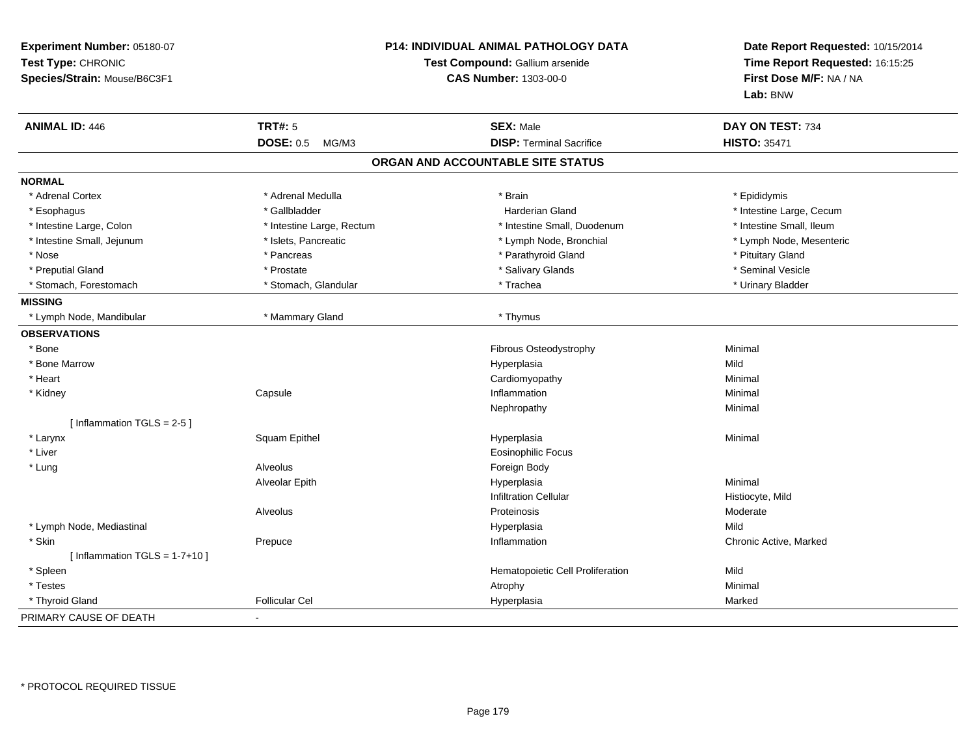| Experiment Number: 05180-07<br>Test Type: CHRONIC<br>Species/Strain: Mouse/B6C3F1 |                           | <b>P14: INDIVIDUAL ANIMAL PATHOLOGY DATA</b><br>Test Compound: Gallium arsenide<br><b>CAS Number: 1303-00-0</b> | Date Report Requested: 10/15/2014<br>Time Report Requested: 16:15:25<br>First Dose M/F: NA / NA<br>Lab: BNW |  |
|-----------------------------------------------------------------------------------|---------------------------|-----------------------------------------------------------------------------------------------------------------|-------------------------------------------------------------------------------------------------------------|--|
| <b>ANIMAL ID: 446</b>                                                             | <b>TRT#: 5</b>            | <b>SEX: Male</b>                                                                                                | DAY ON TEST: 734                                                                                            |  |
|                                                                                   | <b>DOSE: 0.5</b><br>MG/M3 | <b>DISP: Terminal Sacrifice</b>                                                                                 | <b>HISTO: 35471</b>                                                                                         |  |
|                                                                                   |                           | ORGAN AND ACCOUNTABLE SITE STATUS                                                                               |                                                                                                             |  |
| <b>NORMAL</b>                                                                     |                           |                                                                                                                 |                                                                                                             |  |
| * Adrenal Cortex                                                                  | * Adrenal Medulla         | * Brain                                                                                                         | * Epididymis                                                                                                |  |
| * Esophagus                                                                       | * Gallbladder             | <b>Harderian Gland</b>                                                                                          | * Intestine Large, Cecum                                                                                    |  |
| * Intestine Large, Colon                                                          | * Intestine Large, Rectum | * Intestine Small, Duodenum                                                                                     | * Intestine Small, Ileum                                                                                    |  |
| * Intestine Small, Jejunum                                                        | * Islets, Pancreatic      | * Lymph Node, Bronchial                                                                                         | * Lymph Node, Mesenteric                                                                                    |  |
| * Nose                                                                            | * Pancreas                | * Parathyroid Gland                                                                                             | * Pituitary Gland                                                                                           |  |
| * Preputial Gland                                                                 | * Prostate                | * Salivary Glands                                                                                               | * Seminal Vesicle                                                                                           |  |
| * Stomach, Forestomach                                                            | * Stomach, Glandular      | * Trachea                                                                                                       | * Urinary Bladder                                                                                           |  |
| <b>MISSING</b>                                                                    |                           |                                                                                                                 |                                                                                                             |  |
| * Lymph Node, Mandibular                                                          | * Mammary Gland           | * Thymus                                                                                                        |                                                                                                             |  |
| <b>OBSERVATIONS</b>                                                               |                           |                                                                                                                 |                                                                                                             |  |
| * Bone                                                                            |                           | Fibrous Osteodystrophy                                                                                          | Minimal                                                                                                     |  |
| * Bone Marrow                                                                     |                           | Hyperplasia                                                                                                     | Mild                                                                                                        |  |
| * Heart                                                                           |                           | Cardiomyopathy                                                                                                  | Minimal                                                                                                     |  |
| * Kidney                                                                          | Capsule                   | Inflammation                                                                                                    | Minimal                                                                                                     |  |
|                                                                                   |                           | Nephropathy                                                                                                     | Minimal                                                                                                     |  |
| [Inflammation TGLS = 2-5]                                                         |                           |                                                                                                                 |                                                                                                             |  |
| * Larynx                                                                          | Squam Epithel             | Hyperplasia                                                                                                     | Minimal                                                                                                     |  |
| * Liver                                                                           |                           | <b>Eosinophilic Focus</b>                                                                                       |                                                                                                             |  |
| * Lung                                                                            | Alveolus                  | Foreign Body                                                                                                    |                                                                                                             |  |
|                                                                                   | Alveolar Epith            | Hyperplasia                                                                                                     | Minimal                                                                                                     |  |
|                                                                                   |                           | <b>Infiltration Cellular</b>                                                                                    | Histiocyte, Mild                                                                                            |  |
|                                                                                   | Alveolus                  | Proteinosis                                                                                                     | Moderate                                                                                                    |  |
| * Lymph Node, Mediastinal                                                         |                           | Hyperplasia                                                                                                     | Mild                                                                                                        |  |
| * Skin                                                                            | Prepuce                   | Inflammation                                                                                                    | Chronic Active, Marked                                                                                      |  |
| [Inflammation TGLS = $1-7+10$ ]                                                   |                           |                                                                                                                 |                                                                                                             |  |
| * Spleen                                                                          |                           | Hematopoietic Cell Proliferation                                                                                | Mild                                                                                                        |  |
| * Testes                                                                          |                           | Atrophy                                                                                                         | Minimal                                                                                                     |  |
| * Thyroid Gland                                                                   | <b>Follicular Cel</b>     | Hyperplasia                                                                                                     | Marked                                                                                                      |  |
| PRIMARY CAUSE OF DEATH                                                            |                           |                                                                                                                 |                                                                                                             |  |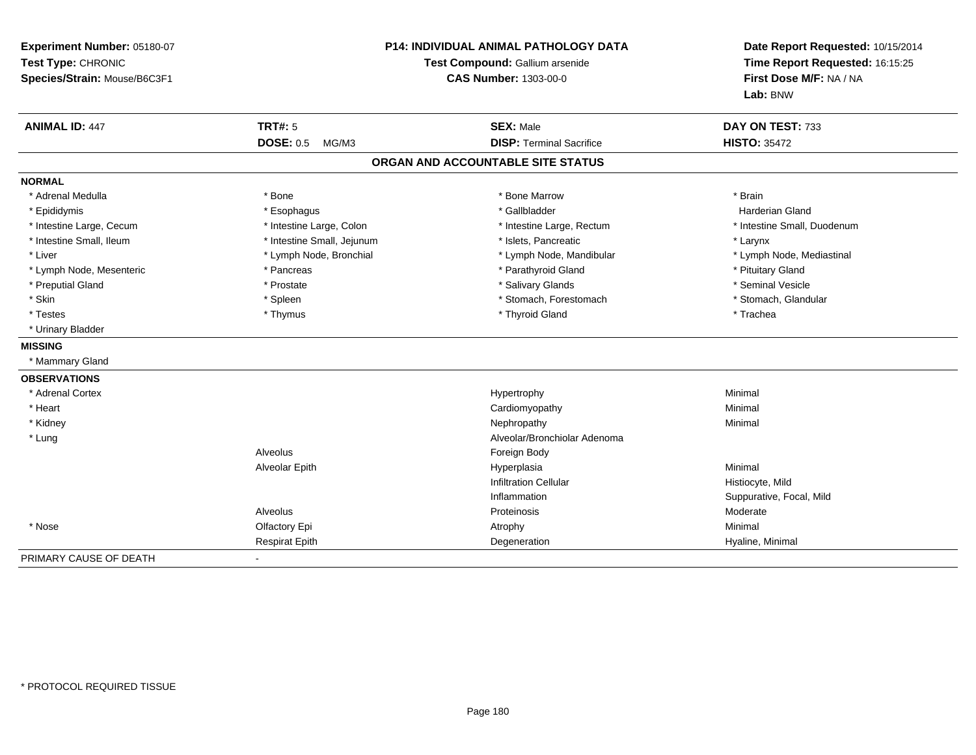| Experiment Number: 05180-07<br>Test Type: CHRONIC<br>Species/Strain: Mouse/B6C3F1 | <b>P14: INDIVIDUAL ANIMAL PATHOLOGY DATA</b><br>Test Compound: Gallium arsenide<br><b>CAS Number: 1303-00-0</b> |                                   | Date Report Requested: 10/15/2014<br>Time Report Requested: 16:15:25<br>First Dose M/F: NA / NA<br>Lab: BNW |
|-----------------------------------------------------------------------------------|-----------------------------------------------------------------------------------------------------------------|-----------------------------------|-------------------------------------------------------------------------------------------------------------|
| <b>ANIMAL ID: 447</b>                                                             | <b>TRT#: 5</b>                                                                                                  | <b>SEX: Male</b>                  | DAY ON TEST: 733                                                                                            |
|                                                                                   | <b>DOSE: 0.5</b><br>MG/M3                                                                                       | <b>DISP: Terminal Sacrifice</b>   | <b>HISTO: 35472</b>                                                                                         |
|                                                                                   |                                                                                                                 | ORGAN AND ACCOUNTABLE SITE STATUS |                                                                                                             |
| <b>NORMAL</b>                                                                     |                                                                                                                 |                                   |                                                                                                             |
| * Adrenal Medulla                                                                 | * Bone                                                                                                          | * Bone Marrow                     | * Brain                                                                                                     |
| * Epididymis                                                                      | * Esophagus                                                                                                     | * Gallbladder                     | Harderian Gland                                                                                             |
| * Intestine Large, Cecum                                                          | * Intestine Large, Colon                                                                                        | * Intestine Large, Rectum         | * Intestine Small, Duodenum                                                                                 |
| * Intestine Small, Ileum                                                          | * Intestine Small, Jejunum                                                                                      | * Islets, Pancreatic              | * Larynx                                                                                                    |
| * Liver                                                                           | * Lymph Node, Bronchial                                                                                         | * Lymph Node, Mandibular          | * Lymph Node, Mediastinal                                                                                   |
| * Lymph Node, Mesenteric                                                          | * Pancreas                                                                                                      | * Parathyroid Gland               | * Pituitary Gland                                                                                           |
| * Preputial Gland                                                                 | * Prostate                                                                                                      | * Salivary Glands                 | * Seminal Vesicle                                                                                           |
| * Skin                                                                            | * Spleen                                                                                                        | * Stomach, Forestomach            | * Stomach, Glandular                                                                                        |
| * Testes                                                                          | * Thymus                                                                                                        | * Thyroid Gland                   | * Trachea                                                                                                   |
| * Urinary Bladder                                                                 |                                                                                                                 |                                   |                                                                                                             |
| <b>MISSING</b>                                                                    |                                                                                                                 |                                   |                                                                                                             |
| * Mammary Gland                                                                   |                                                                                                                 |                                   |                                                                                                             |
| <b>OBSERVATIONS</b>                                                               |                                                                                                                 |                                   |                                                                                                             |
| * Adrenal Cortex                                                                  |                                                                                                                 | Hypertrophy                       | Minimal                                                                                                     |
| * Heart                                                                           |                                                                                                                 | Cardiomyopathy                    | Minimal                                                                                                     |
| * Kidney                                                                          |                                                                                                                 | Nephropathy                       | Minimal                                                                                                     |
| * Lung                                                                            |                                                                                                                 | Alveolar/Bronchiolar Adenoma      |                                                                                                             |
|                                                                                   | Alveolus                                                                                                        | Foreign Body                      |                                                                                                             |
|                                                                                   | Alveolar Epith                                                                                                  | Hyperplasia                       | Minimal                                                                                                     |
|                                                                                   |                                                                                                                 | <b>Infiltration Cellular</b>      | Histiocyte, Mild                                                                                            |
|                                                                                   |                                                                                                                 | Inflammation                      | Suppurative, Focal, Mild                                                                                    |
|                                                                                   | Alveolus                                                                                                        | Proteinosis                       | Moderate                                                                                                    |
| * Nose                                                                            | Olfactory Epi                                                                                                   | Atrophy                           | Minimal                                                                                                     |
|                                                                                   | <b>Respirat Epith</b>                                                                                           | Degeneration                      | Hyaline, Minimal                                                                                            |
| PRIMARY CAUSE OF DEATH                                                            |                                                                                                                 |                                   |                                                                                                             |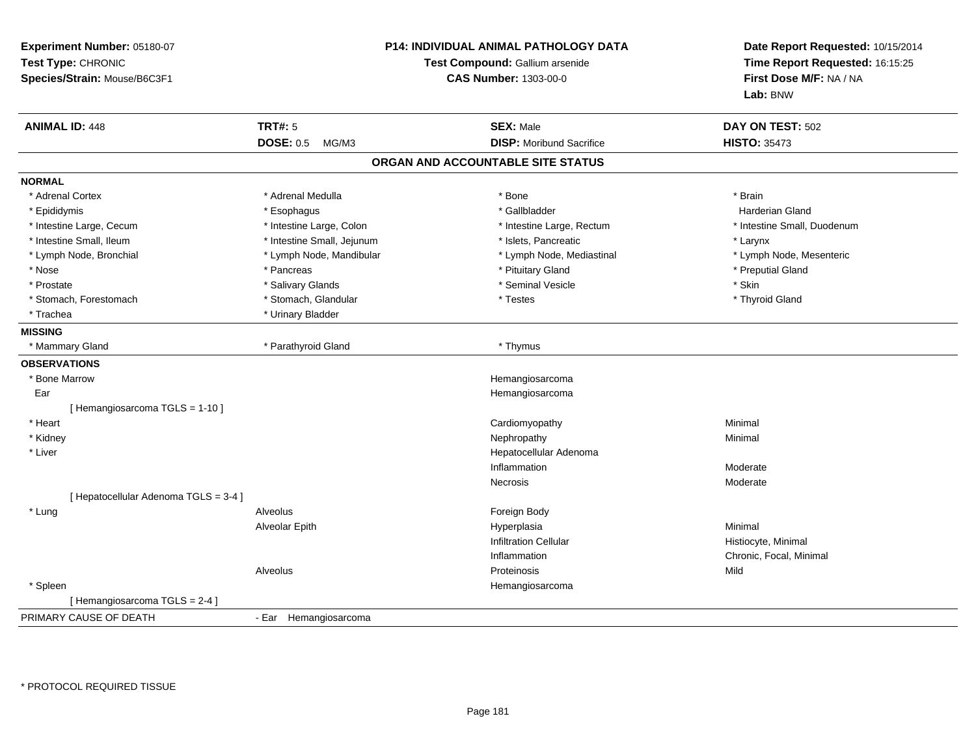| Experiment Number: 05180-07<br>Test Type: CHRONIC<br>Species/Strain: Mouse/B6C3F1 | P14: INDIVIDUAL ANIMAL PATHOLOGY DATA<br>Test Compound: Gallium arsenide<br><b>CAS Number: 1303-00-0</b> |                                   | Date Report Requested: 10/15/2014<br>Time Report Requested: 16:15:25<br>First Dose M/F: NA / NA<br>Lab: BNW |  |
|-----------------------------------------------------------------------------------|----------------------------------------------------------------------------------------------------------|-----------------------------------|-------------------------------------------------------------------------------------------------------------|--|
| <b>ANIMAL ID: 448</b>                                                             | <b>TRT#: 5</b>                                                                                           | <b>SEX: Male</b>                  | DAY ON TEST: 502                                                                                            |  |
|                                                                                   | <b>DOSE: 0.5</b><br>MG/M3                                                                                | <b>DISP:</b> Moribund Sacrifice   | <b>HISTO: 35473</b>                                                                                         |  |
|                                                                                   |                                                                                                          | ORGAN AND ACCOUNTABLE SITE STATUS |                                                                                                             |  |
| <b>NORMAL</b>                                                                     |                                                                                                          |                                   |                                                                                                             |  |
| * Adrenal Cortex                                                                  | * Adrenal Medulla                                                                                        | * Bone                            | * Brain                                                                                                     |  |
| * Epididymis                                                                      | * Esophagus                                                                                              | * Gallbladder                     | <b>Harderian Gland</b>                                                                                      |  |
| * Intestine Large, Cecum                                                          | * Intestine Large, Colon                                                                                 | * Intestine Large, Rectum         | * Intestine Small, Duodenum                                                                                 |  |
| * Intestine Small, Ileum                                                          | * Intestine Small, Jejunum                                                                               | * Islets, Pancreatic              | * Larynx                                                                                                    |  |
| * Lymph Node, Bronchial                                                           | * Lymph Node, Mandibular                                                                                 | * Lymph Node, Mediastinal         | * Lymph Node, Mesenteric                                                                                    |  |
| * Nose                                                                            | * Pancreas                                                                                               | * Pituitary Gland                 | * Preputial Gland                                                                                           |  |
| * Prostate                                                                        | * Salivary Glands                                                                                        | * Seminal Vesicle                 | * Skin                                                                                                      |  |
| * Stomach, Forestomach                                                            | * Stomach, Glandular                                                                                     | * Testes                          | * Thyroid Gland                                                                                             |  |
| * Trachea                                                                         | * Urinary Bladder                                                                                        |                                   |                                                                                                             |  |
| <b>MISSING</b>                                                                    |                                                                                                          |                                   |                                                                                                             |  |
| * Mammary Gland                                                                   | * Parathyroid Gland                                                                                      | * Thymus                          |                                                                                                             |  |
| <b>OBSERVATIONS</b>                                                               |                                                                                                          |                                   |                                                                                                             |  |
| * Bone Marrow                                                                     |                                                                                                          | Hemangiosarcoma                   |                                                                                                             |  |
| Ear                                                                               |                                                                                                          | Hemangiosarcoma                   |                                                                                                             |  |
| [Hemangiosarcoma TGLS = 1-10]                                                     |                                                                                                          |                                   |                                                                                                             |  |
| * Heart                                                                           |                                                                                                          | Cardiomyopathy                    | Minimal                                                                                                     |  |
| * Kidney                                                                          |                                                                                                          | Nephropathy                       | Minimal                                                                                                     |  |
| * Liver                                                                           |                                                                                                          | Hepatocellular Adenoma            |                                                                                                             |  |
|                                                                                   |                                                                                                          | Inflammation                      | Moderate                                                                                                    |  |
|                                                                                   |                                                                                                          | <b>Necrosis</b>                   | Moderate                                                                                                    |  |
| [ Hepatocellular Adenoma TGLS = 3-4 ]                                             |                                                                                                          |                                   |                                                                                                             |  |
| * Lung                                                                            | Alveolus                                                                                                 | Foreign Body                      |                                                                                                             |  |
|                                                                                   | Alveolar Epith                                                                                           | Hyperplasia                       | Minimal                                                                                                     |  |
|                                                                                   |                                                                                                          | <b>Infiltration Cellular</b>      | Histiocyte, Minimal                                                                                         |  |
|                                                                                   |                                                                                                          | Inflammation                      | Chronic, Focal, Minimal                                                                                     |  |
|                                                                                   | Alveolus                                                                                                 | Proteinosis                       | Mild                                                                                                        |  |
| * Spleen                                                                          |                                                                                                          | Hemangiosarcoma                   |                                                                                                             |  |
| [Hemangiosarcoma TGLS = 2-4]                                                      |                                                                                                          |                                   |                                                                                                             |  |
| PRIMARY CAUSE OF DEATH                                                            | - Ear Hemangiosarcoma                                                                                    |                                   |                                                                                                             |  |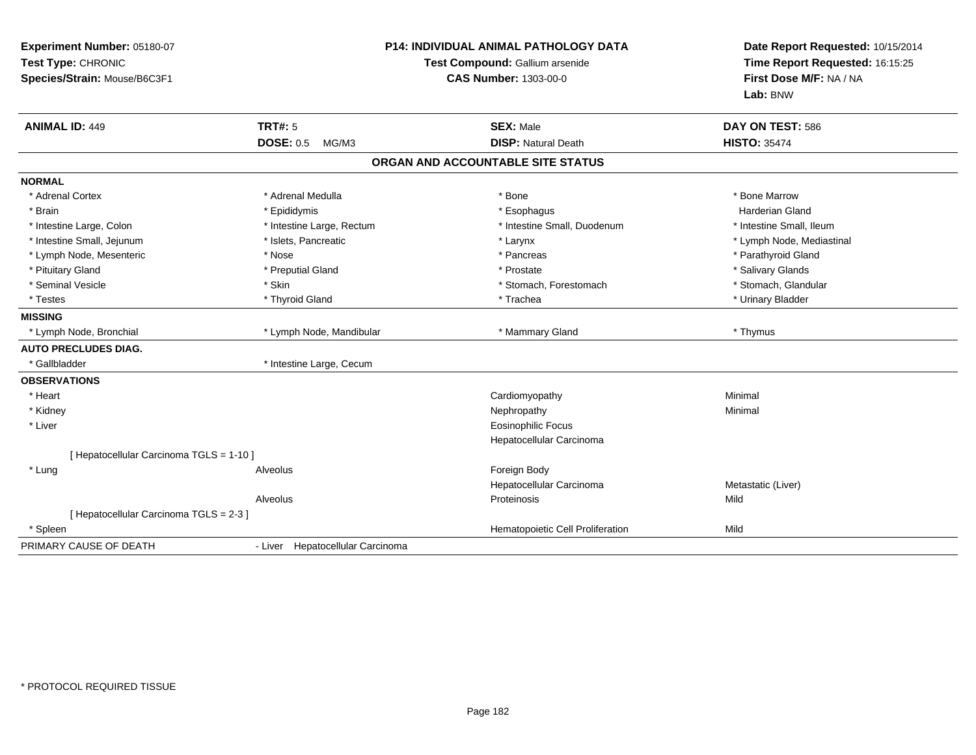| Experiment Number: 05180-07<br>Test Type: CHRONIC<br>Species/Strain: Mouse/B6C3F1 | <b>P14: INDIVIDUAL ANIMAL PATHOLOGY DATA</b><br>Test Compound: Gallium arsenide<br><b>CAS Number: 1303-00-0</b> |                                                | Date Report Requested: 10/15/2014<br>Time Report Requested: 16:15:25<br>First Dose M/F: NA / NA<br>Lab: BNW |  |
|-----------------------------------------------------------------------------------|-----------------------------------------------------------------------------------------------------------------|------------------------------------------------|-------------------------------------------------------------------------------------------------------------|--|
| <b>ANIMAL ID: 449</b>                                                             | <b>TRT#: 5</b><br><b>DOSE: 0.5</b><br>MG/M3                                                                     | <b>SEX: Male</b><br><b>DISP: Natural Death</b> | DAY ON TEST: 586<br><b>HISTO: 35474</b>                                                                     |  |
|                                                                                   |                                                                                                                 | ORGAN AND ACCOUNTABLE SITE STATUS              |                                                                                                             |  |
| <b>NORMAL</b>                                                                     |                                                                                                                 |                                                |                                                                                                             |  |
| * Adrenal Cortex                                                                  | * Adrenal Medulla                                                                                               | * Bone                                         | * Bone Marrow                                                                                               |  |
| * Brain                                                                           | * Epididymis                                                                                                    | * Esophagus                                    | <b>Harderian Gland</b>                                                                                      |  |
| * Intestine Large, Colon                                                          | * Intestine Large, Rectum                                                                                       | * Intestine Small, Duodenum                    | * Intestine Small. Ileum                                                                                    |  |
| * Intestine Small, Jejunum                                                        | * Islets, Pancreatic                                                                                            | * Larynx                                       | * Lymph Node, Mediastinal                                                                                   |  |
| * Lymph Node, Mesenteric                                                          | * Nose                                                                                                          | * Pancreas                                     | * Parathyroid Gland                                                                                         |  |
| * Pituitary Gland                                                                 | * Preputial Gland                                                                                               | * Prostate                                     | * Salivary Glands                                                                                           |  |
| * Seminal Vesicle                                                                 | * Skin                                                                                                          | * Stomach, Forestomach                         | * Stomach, Glandular                                                                                        |  |
| * Testes                                                                          | * Thyroid Gland                                                                                                 | * Trachea                                      | * Urinary Bladder                                                                                           |  |
| <b>MISSING</b>                                                                    |                                                                                                                 |                                                |                                                                                                             |  |
| * Lymph Node, Bronchial                                                           | * Lymph Node, Mandibular                                                                                        | * Mammary Gland                                | * Thymus                                                                                                    |  |
| <b>AUTO PRECLUDES DIAG.</b>                                                       |                                                                                                                 |                                                |                                                                                                             |  |
| * Gallbladder                                                                     | * Intestine Large, Cecum                                                                                        |                                                |                                                                                                             |  |
| <b>OBSERVATIONS</b>                                                               |                                                                                                                 |                                                |                                                                                                             |  |
| * Heart                                                                           |                                                                                                                 | Cardiomyopathy                                 | Minimal                                                                                                     |  |
| * Kidney                                                                          |                                                                                                                 | Nephropathy                                    | Minimal                                                                                                     |  |
| * Liver                                                                           |                                                                                                                 | <b>Eosinophilic Focus</b>                      |                                                                                                             |  |
|                                                                                   |                                                                                                                 | Hepatocellular Carcinoma                       |                                                                                                             |  |
| [ Hepatocellular Carcinoma TGLS = 1-10 ]                                          |                                                                                                                 |                                                |                                                                                                             |  |
| * Lung                                                                            | Alveolus                                                                                                        | Foreign Body                                   |                                                                                                             |  |
|                                                                                   |                                                                                                                 | Hepatocellular Carcinoma                       | Metastatic (Liver)                                                                                          |  |
|                                                                                   | Alveolus                                                                                                        | Proteinosis                                    | Mild                                                                                                        |  |
| [ Hepatocellular Carcinoma TGLS = 2-3 ]                                           |                                                                                                                 |                                                |                                                                                                             |  |
| * Spleen                                                                          |                                                                                                                 | Hematopoietic Cell Proliferation               | Mild                                                                                                        |  |
| PRIMARY CAUSE OF DEATH                                                            | - Liver Hepatocellular Carcinoma                                                                                |                                                |                                                                                                             |  |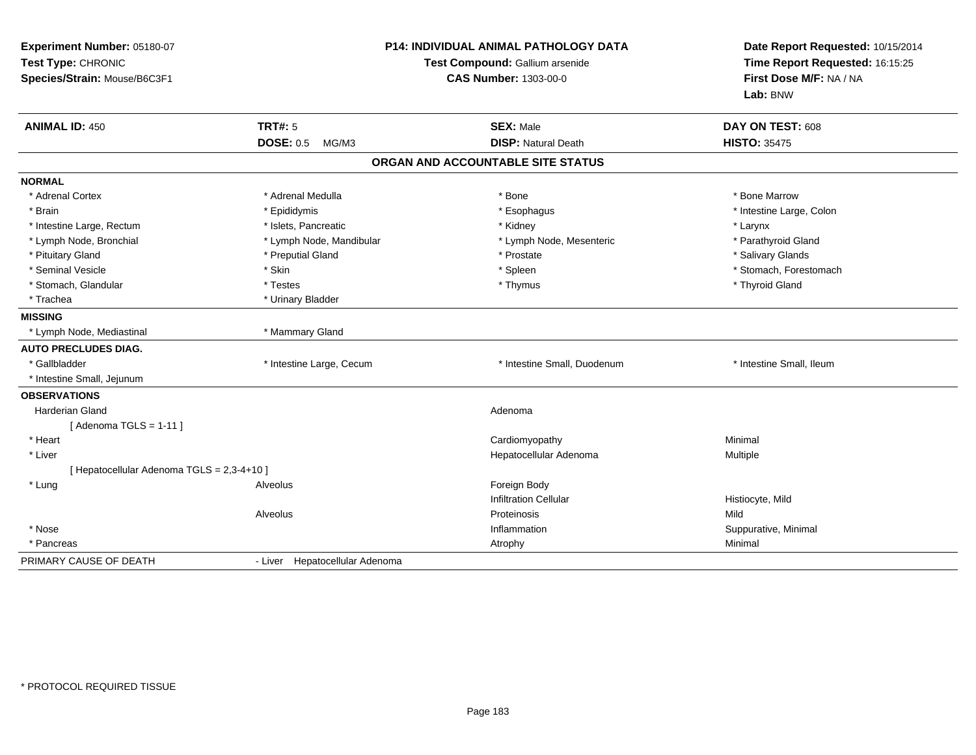| Experiment Number: 05180-07<br>Test Type: CHRONIC<br>Species/Strain: Mouse/B6C3F1 | <b>P14: INDIVIDUAL ANIMAL PATHOLOGY DATA</b><br>Test Compound: Gallium arsenide<br><b>CAS Number: 1303-00-0</b> |                                   | Date Report Requested: 10/15/2014<br>Time Report Requested: 16:15:25<br>First Dose M/F: NA / NA<br>Lab: BNW |  |
|-----------------------------------------------------------------------------------|-----------------------------------------------------------------------------------------------------------------|-----------------------------------|-------------------------------------------------------------------------------------------------------------|--|
| <b>ANIMAL ID: 450</b>                                                             | <b>TRT#: 5</b>                                                                                                  | <b>SEX: Male</b>                  | DAY ON TEST: 608                                                                                            |  |
|                                                                                   | <b>DOSE: 0.5</b><br>MG/M3                                                                                       | <b>DISP: Natural Death</b>        | <b>HISTO: 35475</b>                                                                                         |  |
|                                                                                   |                                                                                                                 | ORGAN AND ACCOUNTABLE SITE STATUS |                                                                                                             |  |
| <b>NORMAL</b>                                                                     |                                                                                                                 |                                   |                                                                                                             |  |
| * Adrenal Cortex                                                                  | * Adrenal Medulla                                                                                               | * Bone                            | * Bone Marrow                                                                                               |  |
| * Brain                                                                           | * Epididymis                                                                                                    | * Esophagus                       | * Intestine Large, Colon                                                                                    |  |
| * Intestine Large, Rectum                                                         | * Islets, Pancreatic                                                                                            | * Kidney                          | * Larynx                                                                                                    |  |
| * Lymph Node, Bronchial                                                           | * Lymph Node, Mandibular                                                                                        | * Lymph Node, Mesenteric          | * Parathyroid Gland                                                                                         |  |
| * Pituitary Gland                                                                 | * Preputial Gland                                                                                               | * Prostate                        | * Salivary Glands                                                                                           |  |
| * Seminal Vesicle                                                                 | * Skin                                                                                                          | * Spleen                          | * Stomach, Forestomach                                                                                      |  |
| * Stomach, Glandular                                                              | * Testes                                                                                                        | * Thymus                          | * Thyroid Gland                                                                                             |  |
| * Trachea                                                                         | * Urinary Bladder                                                                                               |                                   |                                                                                                             |  |
| <b>MISSING</b>                                                                    |                                                                                                                 |                                   |                                                                                                             |  |
| * Lymph Node, Mediastinal                                                         | * Mammary Gland                                                                                                 |                                   |                                                                                                             |  |
| <b>AUTO PRECLUDES DIAG.</b>                                                       |                                                                                                                 |                                   |                                                                                                             |  |
| * Gallbladder                                                                     | * Intestine Large, Cecum                                                                                        | * Intestine Small, Duodenum       | * Intestine Small, Ileum                                                                                    |  |
| * Intestine Small, Jejunum                                                        |                                                                                                                 |                                   |                                                                                                             |  |
| <b>OBSERVATIONS</b>                                                               |                                                                                                                 |                                   |                                                                                                             |  |
| <b>Harderian Gland</b>                                                            |                                                                                                                 | Adenoma                           |                                                                                                             |  |
| [Adenoma TGLS = $1-11$ ]                                                          |                                                                                                                 |                                   |                                                                                                             |  |
| * Heart                                                                           |                                                                                                                 | Cardiomyopathy                    | Minimal                                                                                                     |  |
| * Liver                                                                           |                                                                                                                 | Hepatocellular Adenoma            | Multiple                                                                                                    |  |
| [ Hepatocellular Adenoma TGLS = 2,3-4+10 ]                                        |                                                                                                                 |                                   |                                                                                                             |  |
| * Lung                                                                            | Alveolus                                                                                                        | Foreign Body                      |                                                                                                             |  |
|                                                                                   |                                                                                                                 | <b>Infiltration Cellular</b>      | Histiocyte, Mild                                                                                            |  |
|                                                                                   | Alveolus                                                                                                        | Proteinosis                       | Mild                                                                                                        |  |
| * Nose                                                                            |                                                                                                                 | Inflammation                      | Suppurative, Minimal                                                                                        |  |
| * Pancreas                                                                        |                                                                                                                 | Atrophy                           | Minimal                                                                                                     |  |
| PRIMARY CAUSE OF DEATH                                                            | - Liver Hepatocellular Adenoma                                                                                  |                                   |                                                                                                             |  |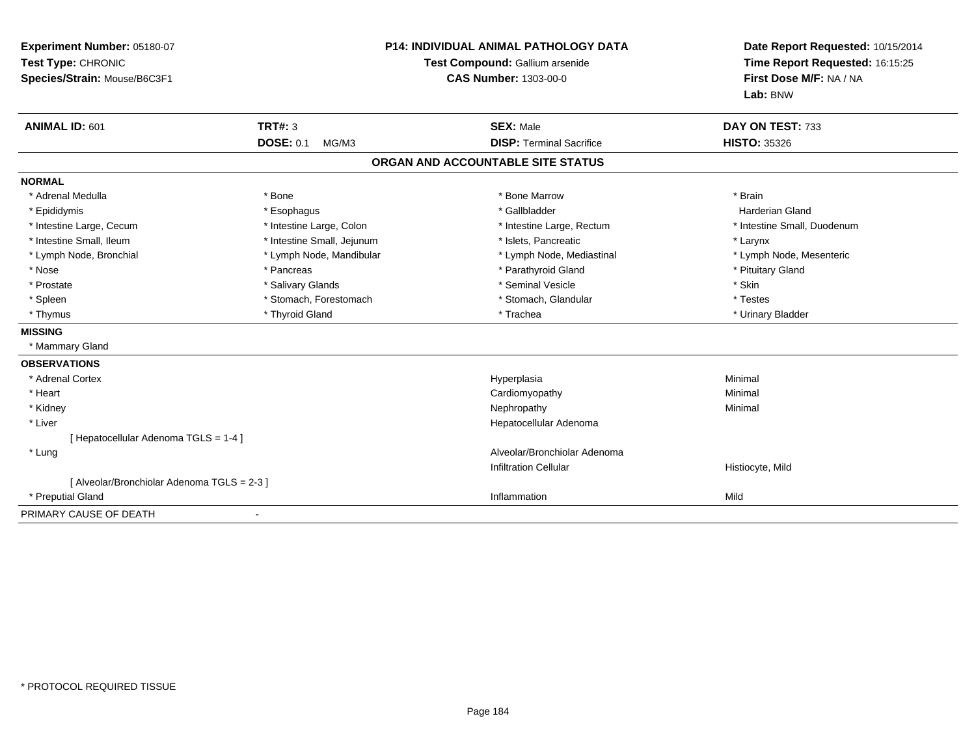| Experiment Number: 05180-07<br>Test Type: CHRONIC<br>Species/Strain: Mouse/B6C3F1 |                            | <b>P14: INDIVIDUAL ANIMAL PATHOLOGY DATA</b><br>Test Compound: Gallium arsenide<br><b>CAS Number: 1303-00-0</b> | Date Report Requested: 10/15/2014<br>Time Report Requested: 16:15:25<br>First Dose M/F: NA / NA<br>Lab: BNW |  |
|-----------------------------------------------------------------------------------|----------------------------|-----------------------------------------------------------------------------------------------------------------|-------------------------------------------------------------------------------------------------------------|--|
| ANIMAL ID: 601                                                                    | TRT#: 3                    | <b>SEX: Male</b>                                                                                                | DAY ON TEST: 733                                                                                            |  |
|                                                                                   | <b>DOSE: 0.1</b><br>MG/M3  | <b>DISP: Terminal Sacrifice</b>                                                                                 | <b>HISTO: 35326</b>                                                                                         |  |
|                                                                                   |                            | ORGAN AND ACCOUNTABLE SITE STATUS                                                                               |                                                                                                             |  |
| <b>NORMAL</b>                                                                     |                            |                                                                                                                 |                                                                                                             |  |
| * Adrenal Medulla                                                                 | * Bone                     | * Bone Marrow                                                                                                   | * Brain                                                                                                     |  |
| * Epididymis                                                                      | * Esophagus                | * Gallbladder                                                                                                   | <b>Harderian Gland</b>                                                                                      |  |
| * Intestine Large, Cecum                                                          | * Intestine Large, Colon   | * Intestine Large, Rectum                                                                                       | * Intestine Small, Duodenum                                                                                 |  |
| * Intestine Small, Ileum                                                          | * Intestine Small, Jejunum | * Islets, Pancreatic                                                                                            | * Larynx                                                                                                    |  |
| * Lymph Node, Bronchial                                                           | * Lymph Node, Mandibular   | * Lymph Node, Mediastinal                                                                                       | * Lymph Node, Mesenteric                                                                                    |  |
| * Nose                                                                            | * Pancreas                 | * Parathyroid Gland                                                                                             | * Pituitary Gland                                                                                           |  |
| * Prostate                                                                        | * Salivary Glands          | * Seminal Vesicle                                                                                               | * Skin                                                                                                      |  |
| * Spleen                                                                          | * Stomach, Forestomach     | * Stomach, Glandular                                                                                            | * Testes                                                                                                    |  |
| * Thymus                                                                          | * Thyroid Gland            | * Trachea                                                                                                       | * Urinary Bladder                                                                                           |  |
| <b>MISSING</b>                                                                    |                            |                                                                                                                 |                                                                                                             |  |
| * Mammary Gland                                                                   |                            |                                                                                                                 |                                                                                                             |  |
| <b>OBSERVATIONS</b>                                                               |                            |                                                                                                                 |                                                                                                             |  |
| * Adrenal Cortex                                                                  |                            | Hyperplasia                                                                                                     | Minimal                                                                                                     |  |
| * Heart                                                                           |                            | Cardiomyopathy                                                                                                  | Minimal                                                                                                     |  |
| * Kidney                                                                          |                            | Nephropathy                                                                                                     | Minimal                                                                                                     |  |
| * Liver                                                                           |                            | Hepatocellular Adenoma                                                                                          |                                                                                                             |  |
| [ Hepatocellular Adenoma TGLS = 1-4 ]                                             |                            |                                                                                                                 |                                                                                                             |  |
| * Lung                                                                            |                            | Alveolar/Bronchiolar Adenoma                                                                                    |                                                                                                             |  |
|                                                                                   |                            | <b>Infiltration Cellular</b>                                                                                    | Histiocyte, Mild                                                                                            |  |
| [ Alveolar/Bronchiolar Adenoma TGLS = 2-3 ]                                       |                            |                                                                                                                 |                                                                                                             |  |
| * Preputial Gland                                                                 |                            | Inflammation                                                                                                    | Mild                                                                                                        |  |
| PRIMARY CAUSE OF DEATH                                                            |                            |                                                                                                                 |                                                                                                             |  |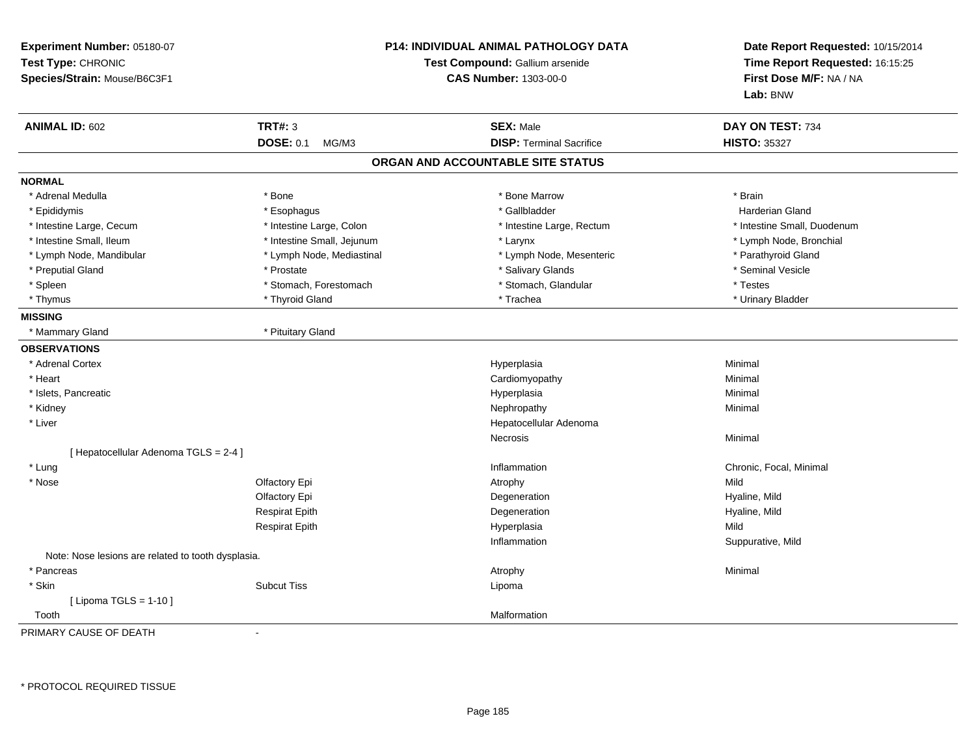| Experiment Number: 05180-07<br>Test Type: CHRONIC<br>Species/Strain: Mouse/B6C3F1 |                            | <b>P14: INDIVIDUAL ANIMAL PATHOLOGY DATA</b><br>Test Compound: Gallium arsenide<br><b>CAS Number: 1303-00-0</b> | Date Report Requested: 10/15/2014<br>Time Report Requested: 16:15:25<br>First Dose M/F: NA / NA<br>Lab: BNW |
|-----------------------------------------------------------------------------------|----------------------------|-----------------------------------------------------------------------------------------------------------------|-------------------------------------------------------------------------------------------------------------|
| <b>ANIMAL ID: 602</b>                                                             | <b>TRT#: 3</b>             | <b>SEX: Male</b>                                                                                                | DAY ON TEST: 734                                                                                            |
|                                                                                   | <b>DOSE: 0.1</b><br>MG/M3  | <b>DISP: Terminal Sacrifice</b>                                                                                 | <b>HISTO: 35327</b>                                                                                         |
|                                                                                   |                            | ORGAN AND ACCOUNTABLE SITE STATUS                                                                               |                                                                                                             |
| <b>NORMAL</b>                                                                     |                            |                                                                                                                 |                                                                                                             |
| * Adrenal Medulla                                                                 | * Bone                     | * Bone Marrow                                                                                                   | * Brain                                                                                                     |
| * Epididymis                                                                      | * Esophagus                | * Gallbladder                                                                                                   | <b>Harderian Gland</b>                                                                                      |
| * Intestine Large, Cecum                                                          | * Intestine Large, Colon   | * Intestine Large, Rectum                                                                                       | * Intestine Small, Duodenum                                                                                 |
| * Intestine Small, Ileum                                                          | * Intestine Small, Jejunum | * Larynx                                                                                                        | * Lymph Node, Bronchial                                                                                     |
| * Lymph Node, Mandibular                                                          | * Lymph Node, Mediastinal  | * Lymph Node, Mesenteric                                                                                        | * Parathyroid Gland                                                                                         |
| * Preputial Gland                                                                 | * Prostate                 | * Salivary Glands                                                                                               | * Seminal Vesicle                                                                                           |
| * Spleen                                                                          | * Stomach, Forestomach     | * Stomach, Glandular                                                                                            | * Testes                                                                                                    |
| * Thymus                                                                          | * Thyroid Gland            | * Trachea                                                                                                       | * Urinary Bladder                                                                                           |
| <b>MISSING</b>                                                                    |                            |                                                                                                                 |                                                                                                             |
| * Mammary Gland                                                                   | * Pituitary Gland          |                                                                                                                 |                                                                                                             |
| <b>OBSERVATIONS</b>                                                               |                            |                                                                                                                 |                                                                                                             |
| * Adrenal Cortex                                                                  |                            | Hyperplasia                                                                                                     | Minimal                                                                                                     |
| * Heart                                                                           |                            | Cardiomyopathy                                                                                                  | Minimal                                                                                                     |
| * Islets, Pancreatic                                                              |                            | Hyperplasia                                                                                                     | Minimal                                                                                                     |
| * Kidney                                                                          |                            | Nephropathy                                                                                                     | Minimal                                                                                                     |
| * Liver                                                                           |                            | Hepatocellular Adenoma                                                                                          |                                                                                                             |
|                                                                                   |                            | Necrosis                                                                                                        | Minimal                                                                                                     |
| [ Hepatocellular Adenoma TGLS = 2-4 ]                                             |                            |                                                                                                                 |                                                                                                             |
| * Lung                                                                            |                            | Inflammation                                                                                                    | Chronic, Focal, Minimal                                                                                     |
| * Nose                                                                            | Olfactory Epi              | Atrophy                                                                                                         | Mild                                                                                                        |
|                                                                                   | Olfactory Epi              | Degeneration                                                                                                    | Hyaline, Mild                                                                                               |
|                                                                                   | <b>Respirat Epith</b>      | Degeneration                                                                                                    | Hyaline, Mild                                                                                               |
|                                                                                   | <b>Respirat Epith</b>      | Hyperplasia                                                                                                     | Mild                                                                                                        |
|                                                                                   |                            | Inflammation                                                                                                    | Suppurative, Mild                                                                                           |
| Note: Nose lesions are related to tooth dysplasia.                                |                            |                                                                                                                 |                                                                                                             |
| * Pancreas                                                                        |                            | Atrophy                                                                                                         | Minimal                                                                                                     |
| * Skin                                                                            | <b>Subcut Tiss</b>         | Lipoma                                                                                                          |                                                                                                             |
| [ Lipoma TGLS = $1-10$ ]                                                          |                            |                                                                                                                 |                                                                                                             |
| Tooth                                                                             |                            | Malformation                                                                                                    |                                                                                                             |
| PRIMARY CAUSE OF DEATH                                                            | $\mathbf{r}$               |                                                                                                                 |                                                                                                             |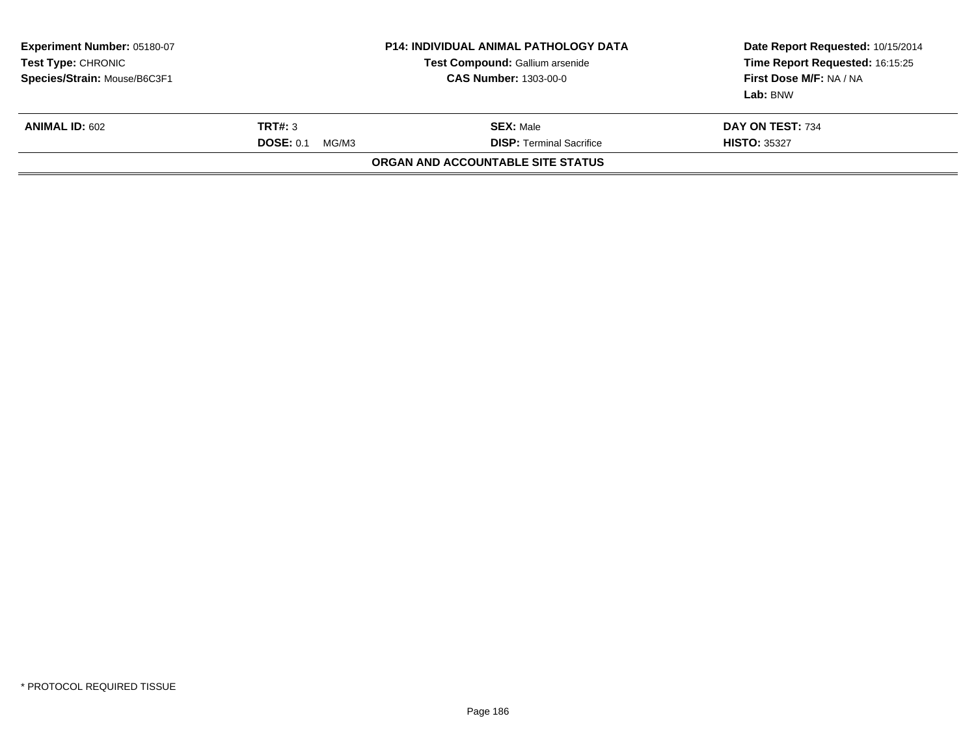| Experiment Number: 05180-07<br><b>Test Type: CHRONIC</b><br>Species/Strain: Mouse/B6C3F1 | <b>P14: INDIVIDUAL ANIMAL PATHOLOGY DATA</b><br>Test Compound: Gallium arsenide<br><b>CAS Number: 1303-00-0</b> |                                                     | Date Report Requested: 10/15/2014<br>Time Report Requested: 16:15:25<br>First Dose M/F: NA / NA<br>Lab: BNW |
|------------------------------------------------------------------------------------------|-----------------------------------------------------------------------------------------------------------------|-----------------------------------------------------|-------------------------------------------------------------------------------------------------------------|
| <b>ANIMAL ID: 602</b>                                                                    | TRT#: 3<br><b>DOSE: 0.1</b><br>MG/M3                                                                            | <b>SEX: Male</b><br><b>DISP: Terminal Sacrifice</b> | DAY ON TEST: 734<br><b>HISTO: 35327</b>                                                                     |
|                                                                                          |                                                                                                                 | ORGAN AND ACCOUNTABLE SITE STATUS                   |                                                                                                             |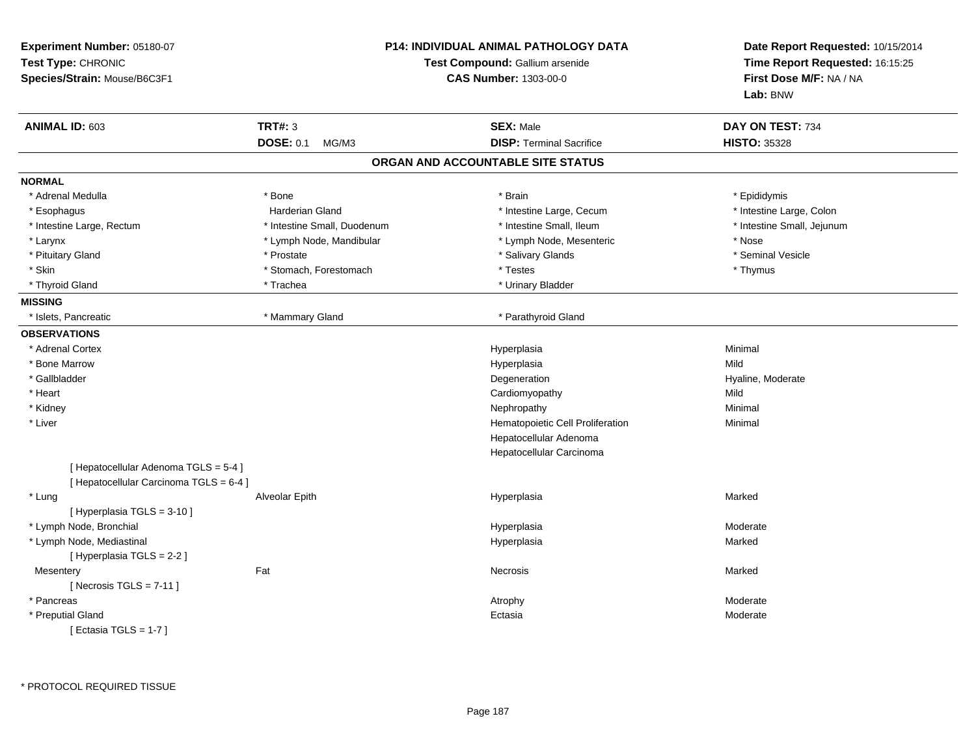| Experiment Number: 05180-07<br>Test Type: CHRONIC<br>Species/Strain: Mouse/B6C3F1 | <b>P14: INDIVIDUAL ANIMAL PATHOLOGY DATA</b><br>Test Compound: Gallium arsenide<br><b>CAS Number: 1303-00-0</b> |                                   | Date Report Requested: 10/15/2014<br>Time Report Requested: 16:15:25<br>First Dose M/F: NA / NA<br>Lab: BNW |
|-----------------------------------------------------------------------------------|-----------------------------------------------------------------------------------------------------------------|-----------------------------------|-------------------------------------------------------------------------------------------------------------|
| ANIMAL ID: 603                                                                    | <b>TRT#: 3</b>                                                                                                  | <b>SEX: Male</b>                  | DAY ON TEST: 734                                                                                            |
|                                                                                   | <b>DOSE: 0.1</b><br>MG/M3                                                                                       | <b>DISP: Terminal Sacrifice</b>   | <b>HISTO: 35328</b>                                                                                         |
|                                                                                   |                                                                                                                 | ORGAN AND ACCOUNTABLE SITE STATUS |                                                                                                             |
| <b>NORMAL</b>                                                                     |                                                                                                                 |                                   |                                                                                                             |
| * Adrenal Medulla                                                                 | * Bone                                                                                                          | * Brain                           | * Epididymis                                                                                                |
| * Esophagus                                                                       | <b>Harderian Gland</b>                                                                                          | * Intestine Large, Cecum          | * Intestine Large, Colon                                                                                    |
| * Intestine Large, Rectum                                                         | * Intestine Small, Duodenum                                                                                     | * Intestine Small, Ileum          | * Intestine Small, Jejunum                                                                                  |
| * Larynx                                                                          | * Lymph Node, Mandibular                                                                                        | * Lymph Node, Mesenteric          | * Nose                                                                                                      |
| * Pituitary Gland                                                                 | * Prostate                                                                                                      | * Salivary Glands                 | * Seminal Vesicle                                                                                           |
| * Skin                                                                            | * Stomach, Forestomach                                                                                          | * Testes                          | * Thymus                                                                                                    |
| * Thyroid Gland                                                                   | * Trachea                                                                                                       | * Urinary Bladder                 |                                                                                                             |
| <b>MISSING</b>                                                                    |                                                                                                                 |                                   |                                                                                                             |
| * Islets, Pancreatic                                                              | * Mammary Gland                                                                                                 | * Parathyroid Gland               |                                                                                                             |
| <b>OBSERVATIONS</b>                                                               |                                                                                                                 |                                   |                                                                                                             |
| * Adrenal Cortex                                                                  |                                                                                                                 | Hyperplasia                       | Minimal                                                                                                     |
| * Bone Marrow                                                                     |                                                                                                                 | Hyperplasia                       | Mild                                                                                                        |
| * Gallbladder                                                                     |                                                                                                                 | Degeneration                      | Hyaline, Moderate                                                                                           |
| * Heart                                                                           |                                                                                                                 | Cardiomyopathy                    | Mild                                                                                                        |
| * Kidney                                                                          |                                                                                                                 | Nephropathy                       | Minimal                                                                                                     |
| * Liver                                                                           |                                                                                                                 | Hematopoietic Cell Proliferation  | Minimal                                                                                                     |
|                                                                                   |                                                                                                                 | Hepatocellular Adenoma            |                                                                                                             |
|                                                                                   |                                                                                                                 | Hepatocellular Carcinoma          |                                                                                                             |
| [ Hepatocellular Adenoma TGLS = 5-4 ]                                             |                                                                                                                 |                                   |                                                                                                             |
| [ Hepatocellular Carcinoma TGLS = 6-4 ]                                           |                                                                                                                 |                                   |                                                                                                             |
| * Lung                                                                            | Alveolar Epith                                                                                                  | Hyperplasia                       | Marked                                                                                                      |
| [ Hyperplasia TGLS = 3-10 ]                                                       |                                                                                                                 |                                   |                                                                                                             |
| * Lymph Node, Bronchial                                                           |                                                                                                                 | Hyperplasia                       | Moderate                                                                                                    |
| * Lymph Node, Mediastinal                                                         |                                                                                                                 | Hyperplasia                       | Marked                                                                                                      |
| [ Hyperplasia TGLS = 2-2 ]                                                        |                                                                                                                 |                                   |                                                                                                             |
| Mesentery                                                                         | Fat                                                                                                             | <b>Necrosis</b>                   | Marked                                                                                                      |
| [Necrosis TGLS = $7-11$ ]                                                         |                                                                                                                 |                                   |                                                                                                             |
| * Pancreas                                                                        |                                                                                                                 | Atrophy                           | Moderate                                                                                                    |
| * Preputial Gland                                                                 |                                                                                                                 | Ectasia                           | Moderate                                                                                                    |
| [ Ectasia TGLS = $1-7$ ]                                                          |                                                                                                                 |                                   |                                                                                                             |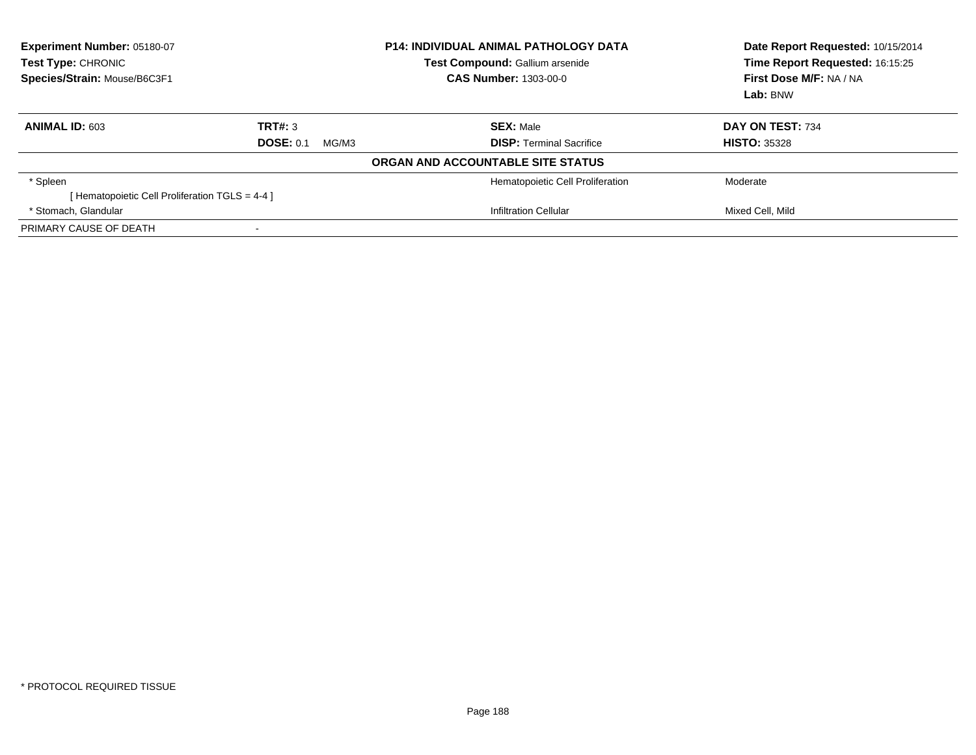| Experiment Number: 05180-07<br><b>Test Type: CHRONIC</b><br>Species/Strain: Mouse/B6C3F1 |                           | <b>P14: INDIVIDUAL ANIMAL PATHOLOGY DATA</b><br><b>Test Compound: Gallium arsenide</b><br><b>CAS Number: 1303-00-0</b> | Date Report Requested: 10/15/2014<br>Time Report Requested: 16:15:25<br>First Dose M/F: NA / NA<br>Lab: BNW |
|------------------------------------------------------------------------------------------|---------------------------|------------------------------------------------------------------------------------------------------------------------|-------------------------------------------------------------------------------------------------------------|
| ANIMAL ID: 603                                                                           | TRT#: 3                   | <b>SEX: Male</b>                                                                                                       | DAY ON TEST: 734                                                                                            |
|                                                                                          | <b>DOSE: 0.1</b><br>MG/M3 | <b>DISP:</b> Terminal Sacrifice                                                                                        | <b>HISTO: 35328</b>                                                                                         |
|                                                                                          |                           | ORGAN AND ACCOUNTABLE SITE STATUS                                                                                      |                                                                                                             |
| * Spleen                                                                                 |                           | Hematopoietic Cell Proliferation                                                                                       | Moderate                                                                                                    |
| [ Hematopoietic Cell Proliferation TGLS = 4-4 ]                                          |                           |                                                                                                                        |                                                                                                             |
| * Stomach, Glandular                                                                     |                           | Infiltration Cellular                                                                                                  | Mixed Cell, Mild                                                                                            |
| PRIMARY CAUSE OF DEATH                                                                   |                           |                                                                                                                        |                                                                                                             |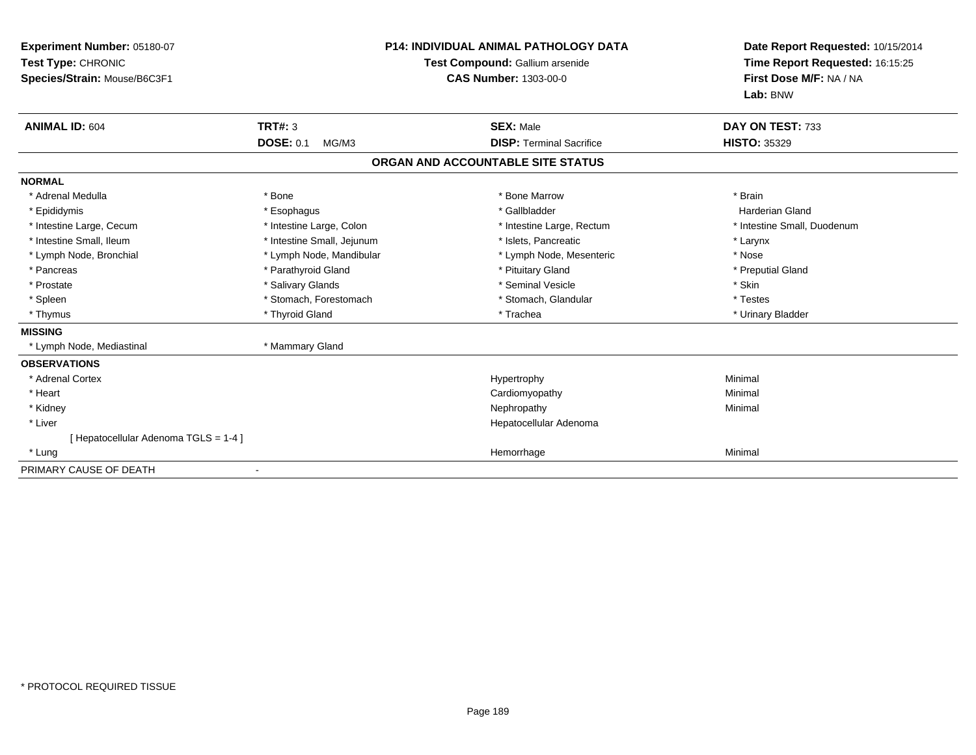| Experiment Number: 05180-07<br>Test Type: CHRONIC<br>Species/Strain: Mouse/B6C3F1 | <b>P14: INDIVIDUAL ANIMAL PATHOLOGY DATA</b><br>Test Compound: Gallium arsenide<br><b>CAS Number: 1303-00-0</b> |                                   | Date Report Requested: 10/15/2014<br>Time Report Requested: 16:15:25<br>First Dose M/F: NA / NA<br>Lab: BNW |
|-----------------------------------------------------------------------------------|-----------------------------------------------------------------------------------------------------------------|-----------------------------------|-------------------------------------------------------------------------------------------------------------|
| <b>ANIMAL ID: 604</b>                                                             | <b>TRT#: 3</b>                                                                                                  | <b>SEX: Male</b>                  | DAY ON TEST: 733                                                                                            |
|                                                                                   | <b>DOSE: 0.1</b><br>MG/M3                                                                                       | <b>DISP: Terminal Sacrifice</b>   | <b>HISTO: 35329</b>                                                                                         |
|                                                                                   |                                                                                                                 | ORGAN AND ACCOUNTABLE SITE STATUS |                                                                                                             |
| <b>NORMAL</b>                                                                     |                                                                                                                 |                                   |                                                                                                             |
| * Adrenal Medulla                                                                 | * Bone                                                                                                          | * Bone Marrow                     | * Brain                                                                                                     |
| * Epididymis                                                                      | * Esophagus                                                                                                     | * Gallbladder                     | <b>Harderian Gland</b>                                                                                      |
| * Intestine Large, Cecum                                                          | * Intestine Large, Colon                                                                                        | * Intestine Large, Rectum         | * Intestine Small, Duodenum                                                                                 |
| * Intestine Small, Ileum                                                          | * Intestine Small, Jejunum                                                                                      | * Islets, Pancreatic              | * Larynx                                                                                                    |
| * Lymph Node, Bronchial                                                           | * Lymph Node, Mandibular                                                                                        | * Lymph Node, Mesenteric          | * Nose                                                                                                      |
| * Pancreas                                                                        | * Parathyroid Gland                                                                                             | * Pituitary Gland                 | * Preputial Gland                                                                                           |
| * Prostate                                                                        | * Salivary Glands                                                                                               | * Seminal Vesicle                 | * Skin                                                                                                      |
| * Spleen                                                                          | * Stomach, Forestomach                                                                                          | * Stomach, Glandular              | * Testes                                                                                                    |
| * Thymus                                                                          | * Thyroid Gland                                                                                                 | * Trachea                         | * Urinary Bladder                                                                                           |
| <b>MISSING</b>                                                                    |                                                                                                                 |                                   |                                                                                                             |
| * Lymph Node, Mediastinal                                                         | * Mammary Gland                                                                                                 |                                   |                                                                                                             |
| <b>OBSERVATIONS</b>                                                               |                                                                                                                 |                                   |                                                                                                             |
| * Adrenal Cortex                                                                  |                                                                                                                 | Hypertrophy                       | Minimal                                                                                                     |
| * Heart                                                                           |                                                                                                                 | Cardiomyopathy                    | Minimal                                                                                                     |
| * Kidney                                                                          |                                                                                                                 | Nephropathy                       | Minimal                                                                                                     |
| * Liver                                                                           |                                                                                                                 | Hepatocellular Adenoma            |                                                                                                             |
| [ Hepatocellular Adenoma TGLS = 1-4 ]                                             |                                                                                                                 |                                   |                                                                                                             |
| * Lung                                                                            |                                                                                                                 | Hemorrhage                        | Minimal                                                                                                     |
| PRIMARY CAUSE OF DEATH                                                            |                                                                                                                 |                                   |                                                                                                             |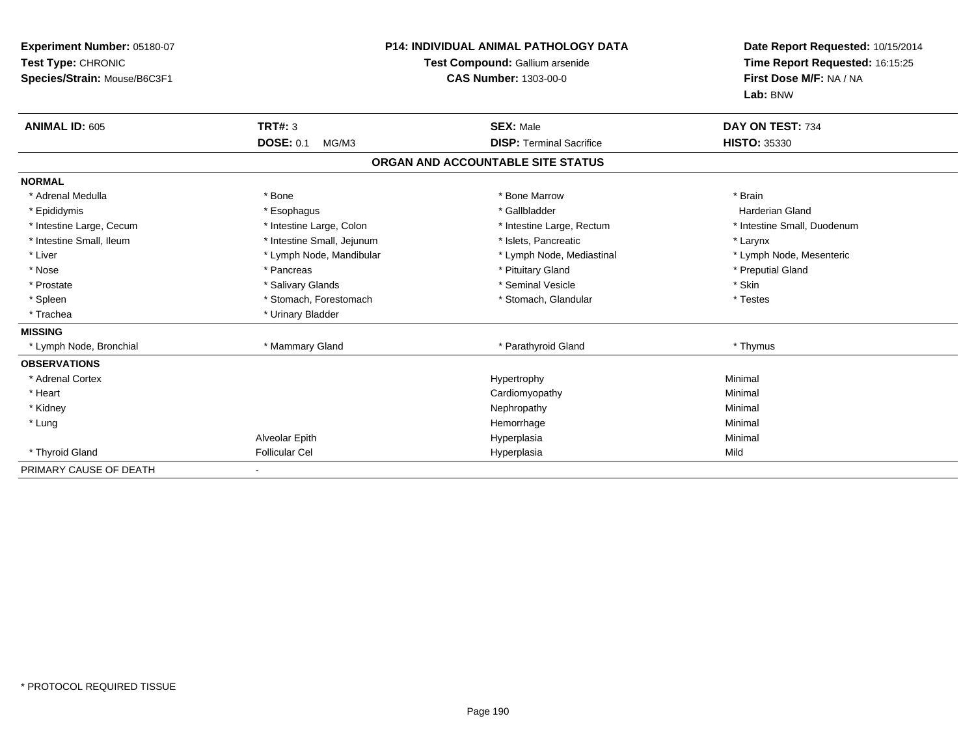| Experiment Number: 05180-07<br>Test Type: CHRONIC<br>Species/Strain: Mouse/B6C3F1 |                                             | <b>P14: INDIVIDUAL ANIMAL PATHOLOGY DATA</b><br>Test Compound: Gallium arsenide<br><b>CAS Number: 1303-00-0</b> | Date Report Requested: 10/15/2014<br>Time Report Requested: 16:15:25<br>First Dose M/F: NA / NA<br>Lab: BNW |
|-----------------------------------------------------------------------------------|---------------------------------------------|-----------------------------------------------------------------------------------------------------------------|-------------------------------------------------------------------------------------------------------------|
| <b>ANIMAL ID: 605</b>                                                             | <b>TRT#: 3</b><br><b>DOSE: 0.1</b><br>MG/M3 | <b>SEX: Male</b><br><b>DISP: Terminal Sacrifice</b>                                                             | DAY ON TEST: 734<br><b>HISTO: 35330</b>                                                                     |
|                                                                                   |                                             | ORGAN AND ACCOUNTABLE SITE STATUS                                                                               |                                                                                                             |
| <b>NORMAL</b>                                                                     |                                             |                                                                                                                 |                                                                                                             |
| * Adrenal Medulla                                                                 | * Bone                                      | * Bone Marrow                                                                                                   | * Brain                                                                                                     |
| * Epididymis                                                                      | * Esophagus                                 | * Gallbladder                                                                                                   | <b>Harderian Gland</b>                                                                                      |
| * Intestine Large, Cecum                                                          | * Intestine Large, Colon                    | * Intestine Large, Rectum                                                                                       | * Intestine Small, Duodenum                                                                                 |
| * Intestine Small, Ileum                                                          | * Intestine Small, Jejunum                  | * Islets, Pancreatic                                                                                            | * Larynx                                                                                                    |
| * Liver                                                                           | * Lymph Node, Mandibular                    | * Lymph Node, Mediastinal                                                                                       | * Lymph Node, Mesenteric                                                                                    |
| * Nose                                                                            | * Pancreas                                  | * Pituitary Gland                                                                                               | * Preputial Gland                                                                                           |
| * Prostate                                                                        | * Salivary Glands                           | * Seminal Vesicle                                                                                               | * Skin                                                                                                      |
| * Spleen                                                                          | * Stomach, Forestomach                      | * Stomach, Glandular                                                                                            | * Testes                                                                                                    |
| * Trachea                                                                         | * Urinary Bladder                           |                                                                                                                 |                                                                                                             |
| <b>MISSING</b>                                                                    |                                             |                                                                                                                 |                                                                                                             |
| * Lymph Node, Bronchial                                                           | * Mammary Gland                             | * Parathyroid Gland                                                                                             | * Thymus                                                                                                    |
| <b>OBSERVATIONS</b>                                                               |                                             |                                                                                                                 |                                                                                                             |
| * Adrenal Cortex                                                                  |                                             | Hypertrophy                                                                                                     | Minimal                                                                                                     |
| * Heart                                                                           |                                             | Cardiomyopathy                                                                                                  | Minimal                                                                                                     |
| * Kidney                                                                          |                                             | Nephropathy                                                                                                     | Minimal                                                                                                     |
| * Lung                                                                            |                                             | Hemorrhage                                                                                                      | Minimal                                                                                                     |
|                                                                                   | Alveolar Epith                              | Hyperplasia                                                                                                     | Minimal                                                                                                     |
| * Thyroid Gland                                                                   | <b>Follicular Cel</b>                       | Hyperplasia                                                                                                     | Mild                                                                                                        |
| PRIMARY CAUSE OF DEATH                                                            |                                             |                                                                                                                 |                                                                                                             |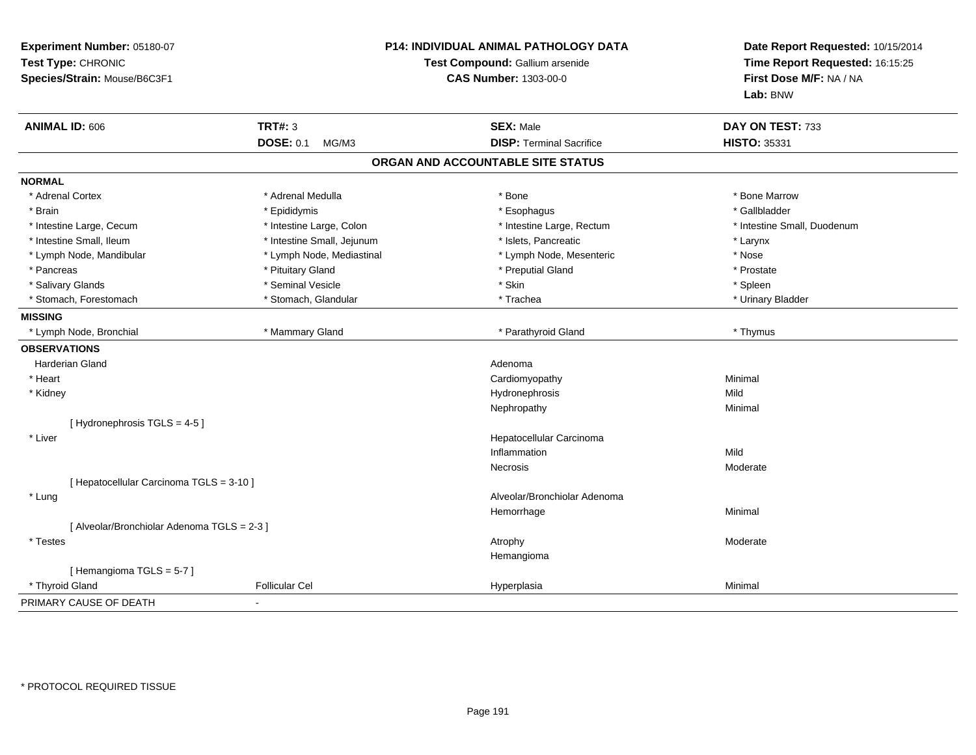| Experiment Number: 05180-07<br>Test Type: CHRONIC<br>Species/Strain: Mouse/B6C3F1 |                            | P14: INDIVIDUAL ANIMAL PATHOLOGY DATA<br>Test Compound: Gallium arsenide<br><b>CAS Number: 1303-00-0</b> |                             |
|-----------------------------------------------------------------------------------|----------------------------|----------------------------------------------------------------------------------------------------------|-----------------------------|
| <b>ANIMAL ID: 606</b>                                                             | <b>TRT#: 3</b>             | <b>SEX: Male</b>                                                                                         | DAY ON TEST: 733            |
|                                                                                   | <b>DOSE: 0.1</b><br>MG/M3  | <b>DISP: Terminal Sacrifice</b>                                                                          | <b>HISTO: 35331</b>         |
|                                                                                   |                            | ORGAN AND ACCOUNTABLE SITE STATUS                                                                        |                             |
| <b>NORMAL</b>                                                                     |                            |                                                                                                          |                             |
| * Adrenal Cortex                                                                  | * Adrenal Medulla          | * Bone                                                                                                   | * Bone Marrow               |
| * Brain                                                                           | * Epididymis               | * Esophagus                                                                                              | * Gallbladder               |
| * Intestine Large, Cecum                                                          | * Intestine Large, Colon   | * Intestine Large, Rectum                                                                                | * Intestine Small, Duodenum |
| * Intestine Small, Ileum                                                          | * Intestine Small, Jejunum | * Islets, Pancreatic                                                                                     | $^{\star}$ Larynx           |
| * Lymph Node, Mandibular                                                          | * Lymph Node, Mediastinal  | * Lymph Node, Mesenteric                                                                                 | * Nose                      |
| * Pancreas                                                                        | * Pituitary Gland          | * Preputial Gland                                                                                        | * Prostate                  |
| * Salivary Glands                                                                 | * Seminal Vesicle          | * Skin                                                                                                   | * Spleen                    |
| * Stomach, Forestomach                                                            | * Stomach, Glandular       | * Trachea                                                                                                | * Urinary Bladder           |
| <b>MISSING</b>                                                                    |                            |                                                                                                          |                             |
| * Lymph Node, Bronchial                                                           | * Mammary Gland            | * Parathyroid Gland                                                                                      | * Thymus                    |
| <b>OBSERVATIONS</b>                                                               |                            |                                                                                                          |                             |
| <b>Harderian Gland</b>                                                            |                            | Adenoma                                                                                                  |                             |
| * Heart                                                                           |                            | Cardiomyopathy                                                                                           | Minimal                     |
| * Kidney                                                                          |                            | Hydronephrosis                                                                                           | Mild                        |
|                                                                                   |                            | Nephropathy                                                                                              | Minimal                     |
| [Hydronephrosis TGLS = 4-5]                                                       |                            |                                                                                                          |                             |
| * Liver                                                                           |                            | Hepatocellular Carcinoma                                                                                 |                             |
|                                                                                   |                            | Inflammation                                                                                             | Mild                        |
|                                                                                   |                            | Necrosis                                                                                                 | Moderate                    |
| [ Hepatocellular Carcinoma TGLS = 3-10 ]                                          |                            |                                                                                                          |                             |
| * Lung                                                                            |                            | Alveolar/Bronchiolar Adenoma                                                                             |                             |
|                                                                                   |                            | Hemorrhage                                                                                               | Minimal                     |
| [ Alveolar/Bronchiolar Adenoma TGLS = 2-3 ]                                       |                            |                                                                                                          |                             |
| * Testes                                                                          |                            | Atrophy                                                                                                  | Moderate                    |
|                                                                                   |                            | Hemangioma                                                                                               |                             |
| [Hemangioma TGLS = 5-7]                                                           |                            |                                                                                                          |                             |
| * Thyroid Gland                                                                   | <b>Follicular Cel</b>      | Hyperplasia                                                                                              | Minimal                     |
| PRIMARY CAUSE OF DEATH                                                            |                            |                                                                                                          |                             |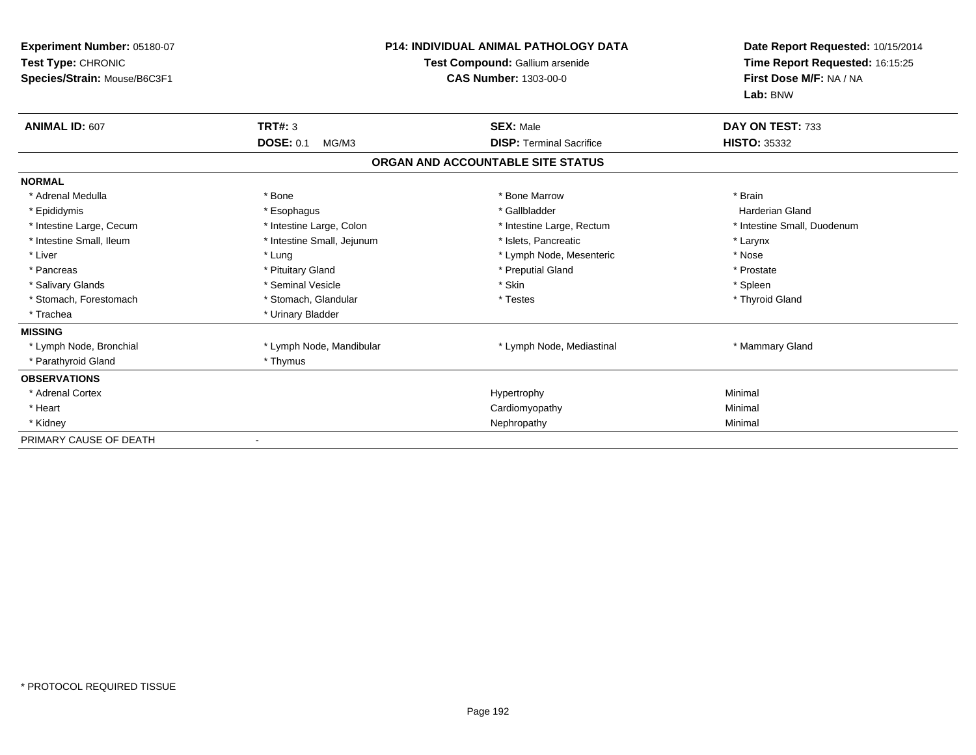| Experiment Number: 05180-07<br>Test Type: CHRONIC<br>Species/Strain: Mouse/B6C3F1 | <b>P14: INDIVIDUAL ANIMAL PATHOLOGY DATA</b><br>Test Compound: Gallium arsenide<br>CAS Number: 1303-00-0 |                                   | Date Report Requested: 10/15/2014<br>Time Report Requested: 16:15:25<br>First Dose M/F: NA / NA<br>Lab: BNW |  |
|-----------------------------------------------------------------------------------|----------------------------------------------------------------------------------------------------------|-----------------------------------|-------------------------------------------------------------------------------------------------------------|--|
| ANIMAL ID: 607                                                                    | <b>TRT#: 3</b>                                                                                           | <b>SEX: Male</b>                  | DAY ON TEST: 733                                                                                            |  |
|                                                                                   | <b>DOSE: 0.1</b><br>MG/M3                                                                                | <b>DISP: Terminal Sacrifice</b>   | <b>HISTO: 35332</b>                                                                                         |  |
|                                                                                   |                                                                                                          | ORGAN AND ACCOUNTABLE SITE STATUS |                                                                                                             |  |
| <b>NORMAL</b>                                                                     |                                                                                                          |                                   |                                                                                                             |  |
| * Adrenal Medulla                                                                 | * Bone                                                                                                   | * Bone Marrow                     | * Brain                                                                                                     |  |
| * Epididymis                                                                      | * Esophagus                                                                                              | * Gallbladder                     | <b>Harderian Gland</b>                                                                                      |  |
| * Intestine Large, Cecum                                                          | * Intestine Large, Colon                                                                                 | * Intestine Large, Rectum         | * Intestine Small, Duodenum                                                                                 |  |
| * Intestine Small, Ileum                                                          | * Intestine Small, Jejunum                                                                               | * Islets, Pancreatic              | * Larynx                                                                                                    |  |
| * Liver                                                                           | * Lung                                                                                                   | * Lymph Node, Mesenteric          | * Nose                                                                                                      |  |
| * Pancreas                                                                        | * Pituitary Gland                                                                                        | * Preputial Gland                 | * Prostate                                                                                                  |  |
| * Salivary Glands                                                                 | * Seminal Vesicle                                                                                        | * Skin                            | * Spleen                                                                                                    |  |
| * Stomach, Forestomach                                                            | * Stomach, Glandular                                                                                     | * Testes                          | * Thyroid Gland                                                                                             |  |
| * Trachea                                                                         | * Urinary Bladder                                                                                        |                                   |                                                                                                             |  |
| <b>MISSING</b>                                                                    |                                                                                                          |                                   |                                                                                                             |  |
| * Lymph Node, Bronchial                                                           | * Lymph Node, Mandibular                                                                                 | * Lymph Node, Mediastinal         | * Mammary Gland                                                                                             |  |
| * Parathyroid Gland                                                               | * Thymus                                                                                                 |                                   |                                                                                                             |  |
| <b>OBSERVATIONS</b>                                                               |                                                                                                          |                                   |                                                                                                             |  |
| * Adrenal Cortex                                                                  |                                                                                                          | Hypertrophy                       | Minimal                                                                                                     |  |
| * Heart                                                                           |                                                                                                          | Cardiomyopathy                    | Minimal                                                                                                     |  |
| * Kidney                                                                          |                                                                                                          | Nephropathy                       | Minimal                                                                                                     |  |
| PRIMARY CAUSE OF DEATH                                                            |                                                                                                          |                                   |                                                                                                             |  |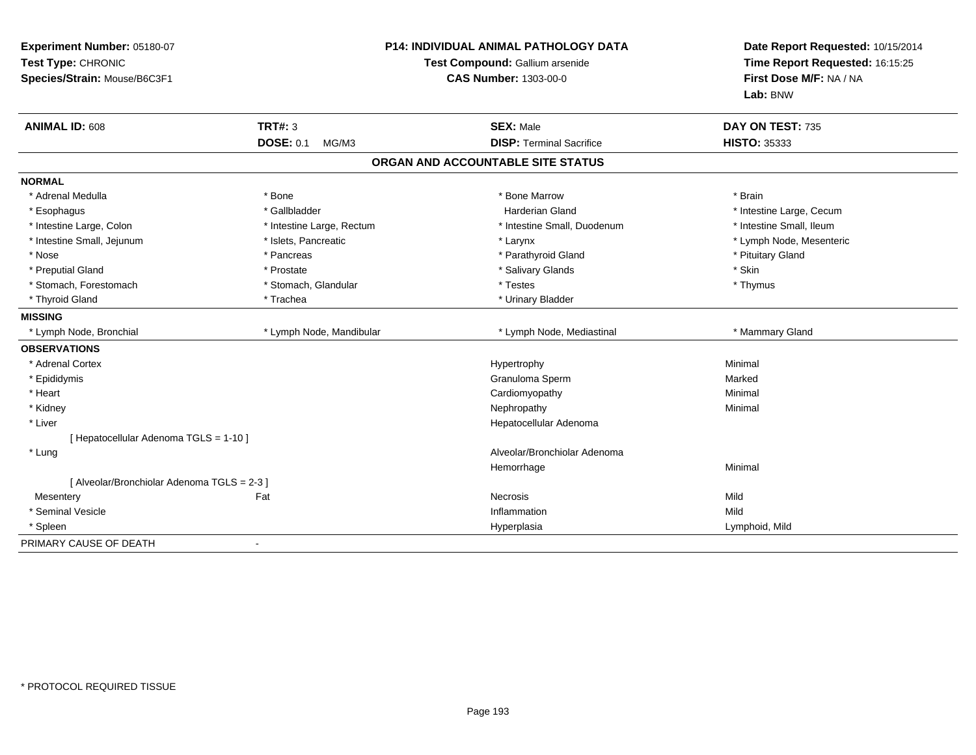| Experiment Number: 05180-07<br>Test Type: CHRONIC<br>Species/Strain: Mouse/B6C3F1 |                           | <b>P14: INDIVIDUAL ANIMAL PATHOLOGY DATA</b><br>Test Compound: Gallium arsenide<br><b>CAS Number: 1303-00-0</b> |                          |
|-----------------------------------------------------------------------------------|---------------------------|-----------------------------------------------------------------------------------------------------------------|--------------------------|
| <b>ANIMAL ID: 608</b>                                                             | <b>TRT#: 3</b>            | <b>SEX: Male</b>                                                                                                | DAY ON TEST: 735         |
|                                                                                   | <b>DOSE: 0.1</b><br>MG/M3 | <b>DISP: Terminal Sacrifice</b>                                                                                 | <b>HISTO: 35333</b>      |
|                                                                                   |                           | ORGAN AND ACCOUNTABLE SITE STATUS                                                                               |                          |
| <b>NORMAL</b>                                                                     |                           |                                                                                                                 |                          |
| * Adrenal Medulla                                                                 | * Bone                    | * Bone Marrow                                                                                                   | * Brain                  |
| * Esophagus                                                                       | * Gallbladder             | <b>Harderian Gland</b>                                                                                          | * Intestine Large, Cecum |
| * Intestine Large, Colon                                                          | * Intestine Large, Rectum | * Intestine Small, Duodenum                                                                                     | * Intestine Small, Ileum |
| * Intestine Small, Jejunum                                                        | * Islets, Pancreatic      | * Larynx                                                                                                        | * Lymph Node, Mesenteric |
| * Nose                                                                            | * Pancreas                | * Parathyroid Gland                                                                                             | * Pituitary Gland        |
| * Preputial Gland                                                                 | * Prostate                | * Salivary Glands                                                                                               | * Skin                   |
| * Stomach, Forestomach                                                            | * Stomach, Glandular      | * Testes                                                                                                        | * Thymus                 |
| * Thyroid Gland                                                                   | * Trachea                 | * Urinary Bladder                                                                                               |                          |
| <b>MISSING</b>                                                                    |                           |                                                                                                                 |                          |
| * Lymph Node, Bronchial                                                           | * Lymph Node, Mandibular  | * Lymph Node, Mediastinal                                                                                       | * Mammary Gland          |
| <b>OBSERVATIONS</b>                                                               |                           |                                                                                                                 |                          |
| * Adrenal Cortex                                                                  |                           | Hypertrophy                                                                                                     | Minimal                  |
| * Epididymis                                                                      |                           | Granuloma Sperm                                                                                                 | Marked                   |
| * Heart                                                                           |                           | Cardiomyopathy                                                                                                  | Minimal                  |
| * Kidney                                                                          |                           | Nephropathy                                                                                                     | Minimal                  |
| * Liver                                                                           |                           | Hepatocellular Adenoma                                                                                          |                          |
| [ Hepatocellular Adenoma TGLS = 1-10 ]                                            |                           |                                                                                                                 |                          |
| * Lung                                                                            |                           | Alveolar/Bronchiolar Adenoma                                                                                    |                          |
|                                                                                   |                           | Hemorrhage                                                                                                      | Minimal                  |
| [ Alveolar/Bronchiolar Adenoma TGLS = 2-3 ]                                       |                           |                                                                                                                 |                          |
| Mesentery                                                                         | Fat                       | <b>Necrosis</b>                                                                                                 | Mild                     |
| * Seminal Vesicle                                                                 |                           | Inflammation                                                                                                    | Mild                     |
| * Spleen                                                                          |                           | Hyperplasia                                                                                                     | Lymphoid, Mild           |
| PRIMARY CAUSE OF DEATH                                                            | $\blacksquare$            |                                                                                                                 |                          |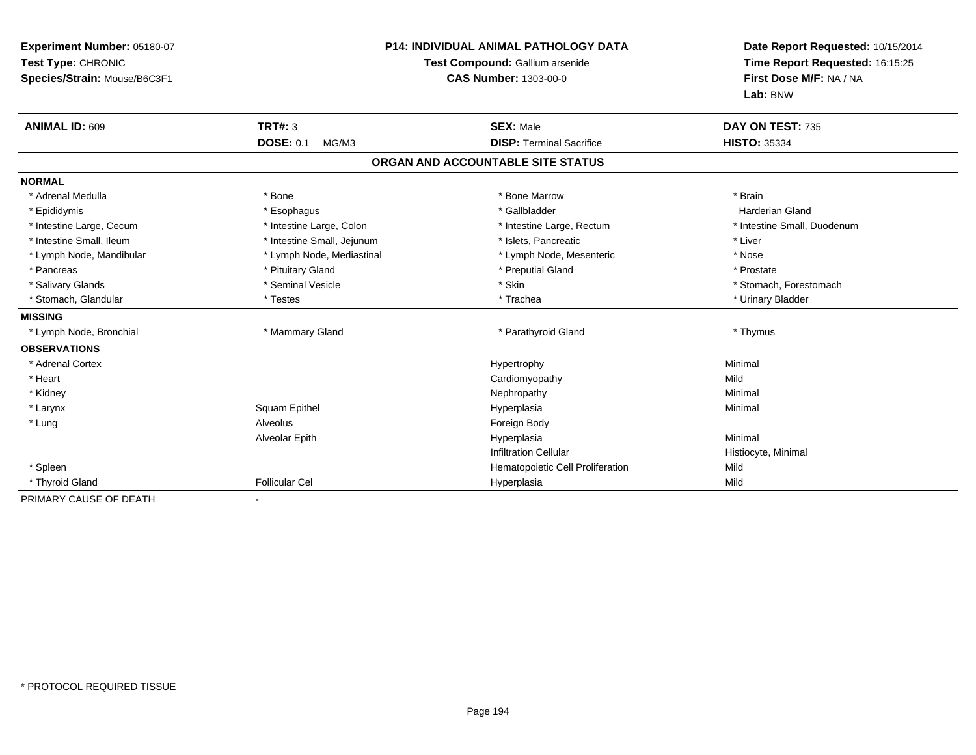| Experiment Number: 05180-07<br>Test Type: CHRONIC<br>Species/Strain: Mouse/B6C3F1<br><b>ANIMAL ID: 609</b> | <b>TRT#: 3</b><br><b>DOSE: 0.1</b><br>MG/M3 | <b>P14: INDIVIDUAL ANIMAL PATHOLOGY DATA</b><br>Test Compound: Gallium arsenide<br><b>CAS Number: 1303-00-0</b><br><b>SEX: Male</b><br><b>DISP: Terminal Sacrifice</b> | Date Report Requested: 10/15/2014<br>Time Report Requested: 16:15:25<br>First Dose M/F: NA / NA<br>Lab: BNW<br>DAY ON TEST: 735<br><b>HISTO: 35334</b> |
|------------------------------------------------------------------------------------------------------------|---------------------------------------------|------------------------------------------------------------------------------------------------------------------------------------------------------------------------|--------------------------------------------------------------------------------------------------------------------------------------------------------|
|                                                                                                            |                                             | ORGAN AND ACCOUNTABLE SITE STATUS                                                                                                                                      |                                                                                                                                                        |
| <b>NORMAL</b>                                                                                              |                                             |                                                                                                                                                                        |                                                                                                                                                        |
| * Adrenal Medulla                                                                                          | * Bone                                      | * Bone Marrow                                                                                                                                                          | * Brain                                                                                                                                                |
| * Epididymis                                                                                               | * Esophagus                                 | * Gallbladder                                                                                                                                                          | <b>Harderian Gland</b>                                                                                                                                 |
| * Intestine Large, Cecum                                                                                   | * Intestine Large, Colon                    | * Intestine Large, Rectum                                                                                                                                              | * Intestine Small, Duodenum                                                                                                                            |
| * Intestine Small, Ileum                                                                                   | * Intestine Small, Jejunum                  | * Islets, Pancreatic                                                                                                                                                   | * Liver                                                                                                                                                |
| * Lymph Node, Mandibular                                                                                   | * Lymph Node, Mediastinal                   | * Lymph Node, Mesenteric                                                                                                                                               | * Nose                                                                                                                                                 |
| * Pancreas                                                                                                 | * Pituitary Gland                           | * Preputial Gland                                                                                                                                                      | * Prostate                                                                                                                                             |
| * Salivary Glands                                                                                          | * Seminal Vesicle                           | * Skin                                                                                                                                                                 | * Stomach, Forestomach                                                                                                                                 |
| * Stomach, Glandular                                                                                       | * Testes                                    | * Trachea                                                                                                                                                              | * Urinary Bladder                                                                                                                                      |
| <b>MISSING</b>                                                                                             |                                             |                                                                                                                                                                        |                                                                                                                                                        |
| * Lymph Node, Bronchial                                                                                    | * Mammary Gland                             | * Parathyroid Gland                                                                                                                                                    | * Thymus                                                                                                                                               |
| <b>OBSERVATIONS</b>                                                                                        |                                             |                                                                                                                                                                        |                                                                                                                                                        |
| * Adrenal Cortex                                                                                           |                                             | Hypertrophy                                                                                                                                                            | Minimal                                                                                                                                                |
| * Heart                                                                                                    |                                             | Cardiomyopathy                                                                                                                                                         | Mild                                                                                                                                                   |
| * Kidney                                                                                                   |                                             | Nephropathy                                                                                                                                                            | Minimal                                                                                                                                                |
| * Larynx                                                                                                   | Squam Epithel                               | Hyperplasia                                                                                                                                                            | Minimal                                                                                                                                                |
| * Lung                                                                                                     | Alveolus                                    | Foreign Body                                                                                                                                                           |                                                                                                                                                        |
|                                                                                                            | Alveolar Epith                              | Hyperplasia                                                                                                                                                            | Minimal                                                                                                                                                |
|                                                                                                            |                                             | <b>Infiltration Cellular</b>                                                                                                                                           | Histiocyte, Minimal                                                                                                                                    |
| * Spleen                                                                                                   |                                             | Hematopoietic Cell Proliferation                                                                                                                                       | Mild                                                                                                                                                   |
| * Thyroid Gland                                                                                            | <b>Follicular Cel</b>                       | Hyperplasia                                                                                                                                                            | Mild                                                                                                                                                   |
| PRIMARY CAUSE OF DEATH                                                                                     |                                             |                                                                                                                                                                        |                                                                                                                                                        |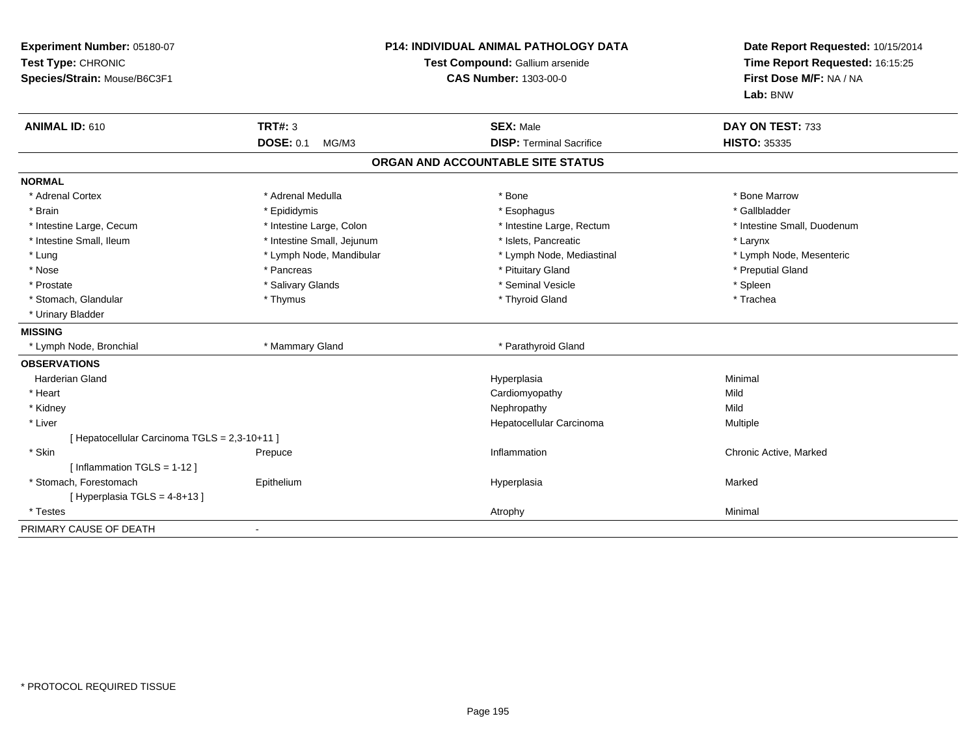| Experiment Number: 05180-07<br>Test Type: CHRONIC<br>Species/Strain: Mouse/B6C3F1 |                            | <b>P14: INDIVIDUAL ANIMAL PATHOLOGY DATA</b><br>Test Compound: Gallium arsenide<br>CAS Number: 1303-00-0 | Date Report Requested: 10/15/2014<br>Time Report Requested: 16:15:25<br>First Dose M/F: NA / NA<br>Lab: BNW |
|-----------------------------------------------------------------------------------|----------------------------|----------------------------------------------------------------------------------------------------------|-------------------------------------------------------------------------------------------------------------|
| ANIMAL ID: 610                                                                    | <b>TRT#: 3</b>             | <b>SEX: Male</b>                                                                                         | DAY ON TEST: 733                                                                                            |
|                                                                                   | <b>DOSE: 0.1</b><br>MG/M3  | <b>DISP: Terminal Sacrifice</b>                                                                          | <b>HISTO: 35335</b>                                                                                         |
|                                                                                   |                            | ORGAN AND ACCOUNTABLE SITE STATUS                                                                        |                                                                                                             |
| <b>NORMAL</b>                                                                     |                            |                                                                                                          |                                                                                                             |
| * Adrenal Cortex                                                                  | * Adrenal Medulla          | * Bone                                                                                                   | * Bone Marrow                                                                                               |
| * Brain                                                                           | * Epididymis               | * Esophagus                                                                                              | * Gallbladder                                                                                               |
| * Intestine Large, Cecum                                                          | * Intestine Large, Colon   | * Intestine Large, Rectum                                                                                | * Intestine Small, Duodenum                                                                                 |
| * Intestine Small, Ileum                                                          | * Intestine Small, Jejunum | * Islets, Pancreatic                                                                                     | * Larynx                                                                                                    |
| * Lung                                                                            | * Lymph Node, Mandibular   | * Lymph Node, Mediastinal                                                                                | * Lymph Node, Mesenteric                                                                                    |
| * Nose                                                                            | * Pancreas                 | * Pituitary Gland                                                                                        | * Preputial Gland                                                                                           |
| * Prostate                                                                        | * Salivary Glands          | * Seminal Vesicle                                                                                        | * Spleen                                                                                                    |
| * Stomach, Glandular                                                              | * Thymus                   | * Thyroid Gland                                                                                          | * Trachea                                                                                                   |
| * Urinary Bladder                                                                 |                            |                                                                                                          |                                                                                                             |
| <b>MISSING</b>                                                                    |                            |                                                                                                          |                                                                                                             |
| * Lymph Node, Bronchial                                                           | * Mammary Gland            | * Parathyroid Gland                                                                                      |                                                                                                             |
| <b>OBSERVATIONS</b>                                                               |                            |                                                                                                          |                                                                                                             |
| Harderian Gland                                                                   |                            | Hyperplasia                                                                                              | Minimal                                                                                                     |
| * Heart                                                                           |                            | Cardiomyopathy                                                                                           | Mild                                                                                                        |
| * Kidney                                                                          |                            | Nephropathy                                                                                              | Mild                                                                                                        |
| * Liver                                                                           |                            | Hepatocellular Carcinoma                                                                                 | <b>Multiple</b>                                                                                             |
| [ Hepatocellular Carcinoma TGLS = 2,3-10+11 ]                                     |                            |                                                                                                          |                                                                                                             |
| * Skin                                                                            | Prepuce                    | Inflammation                                                                                             | Chronic Active, Marked                                                                                      |
| [Inflammation TGLS = $1-12$ ]                                                     |                            |                                                                                                          |                                                                                                             |
| * Stomach, Forestomach                                                            | Epithelium                 | Hyperplasia                                                                                              | Marked                                                                                                      |
| [Hyperplasia TGLS = 4-8+13]                                                       |                            |                                                                                                          |                                                                                                             |
| * Testes                                                                          |                            | Atrophy                                                                                                  | Minimal                                                                                                     |
| PRIMARY CAUSE OF DEATH                                                            |                            |                                                                                                          |                                                                                                             |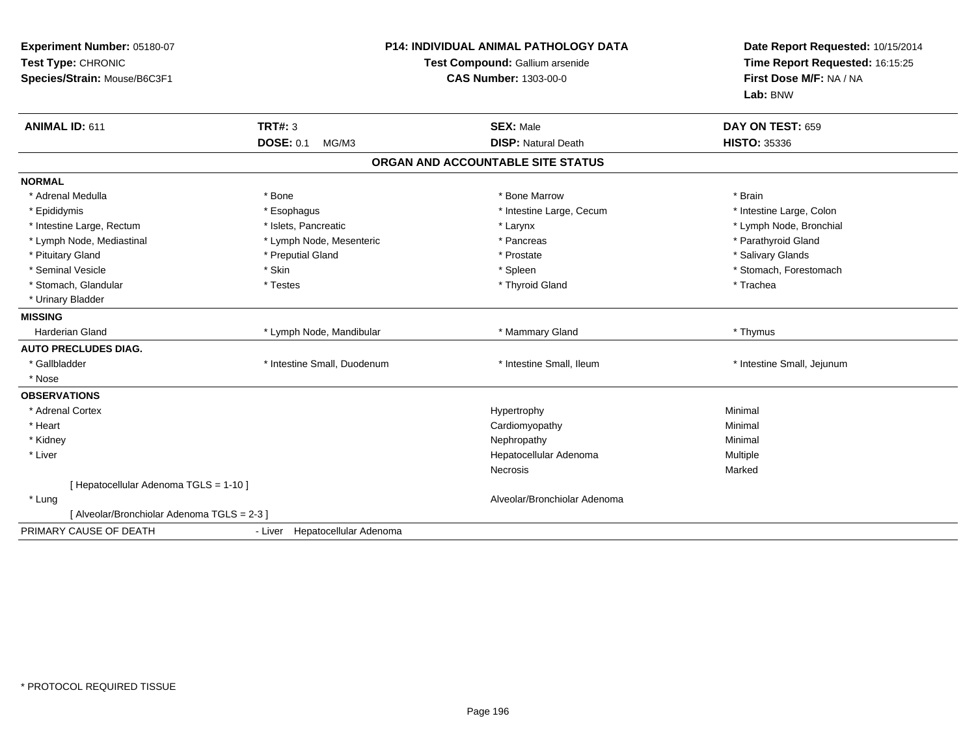| Experiment Number: 05180-07<br>Test Type: CHRONIC<br>Species/Strain: Mouse/B6C3F1 |                                | <b>P14: INDIVIDUAL ANIMAL PATHOLOGY DATA</b><br>Test Compound: Gallium arsenide<br><b>CAS Number: 1303-00-0</b> | Date Report Requested: 10/15/2014<br>Time Report Requested: 16:15:25<br>First Dose M/F: NA / NA<br>Lab: BNW |
|-----------------------------------------------------------------------------------|--------------------------------|-----------------------------------------------------------------------------------------------------------------|-------------------------------------------------------------------------------------------------------------|
| ANIMAL ID: 611                                                                    | <b>TRT#: 3</b>                 | <b>SEX: Male</b>                                                                                                | DAY ON TEST: 659                                                                                            |
|                                                                                   | <b>DOSE: 0.1</b><br>MG/M3      | <b>DISP: Natural Death</b>                                                                                      | <b>HISTO: 35336</b>                                                                                         |
|                                                                                   |                                | ORGAN AND ACCOUNTABLE SITE STATUS                                                                               |                                                                                                             |
| <b>NORMAL</b>                                                                     |                                |                                                                                                                 |                                                                                                             |
| * Adrenal Medulla                                                                 | * Bone                         | * Bone Marrow                                                                                                   | * Brain                                                                                                     |
| * Epididymis                                                                      | * Esophagus                    | * Intestine Large, Cecum                                                                                        | * Intestine Large, Colon                                                                                    |
| * Intestine Large, Rectum                                                         | * Islets, Pancreatic           | * Larynx                                                                                                        | * Lymph Node, Bronchial                                                                                     |
| * Lymph Node, Mediastinal                                                         | * Lymph Node, Mesenteric       | * Pancreas                                                                                                      | * Parathyroid Gland                                                                                         |
| * Pituitary Gland                                                                 | * Preputial Gland              | * Prostate                                                                                                      | * Salivary Glands                                                                                           |
| * Seminal Vesicle                                                                 | * Skin                         | * Spleen                                                                                                        | * Stomach, Forestomach                                                                                      |
| * Stomach, Glandular                                                              | * Testes                       | * Thyroid Gland                                                                                                 | * Trachea                                                                                                   |
| * Urinary Bladder                                                                 |                                |                                                                                                                 |                                                                                                             |
| <b>MISSING</b>                                                                    |                                |                                                                                                                 |                                                                                                             |
| Harderian Gland                                                                   | * Lymph Node, Mandibular       | * Mammary Gland                                                                                                 | * Thymus                                                                                                    |
| <b>AUTO PRECLUDES DIAG.</b>                                                       |                                |                                                                                                                 |                                                                                                             |
| * Gallbladder                                                                     | * Intestine Small, Duodenum    | * Intestine Small, Ileum                                                                                        | * Intestine Small, Jejunum                                                                                  |
| * Nose                                                                            |                                |                                                                                                                 |                                                                                                             |
| <b>OBSERVATIONS</b>                                                               |                                |                                                                                                                 |                                                                                                             |
| * Adrenal Cortex                                                                  |                                | Hypertrophy                                                                                                     | Minimal                                                                                                     |
| * Heart                                                                           |                                | Cardiomyopathy                                                                                                  | Minimal                                                                                                     |
| * Kidney                                                                          |                                | Nephropathy                                                                                                     | Minimal                                                                                                     |
| * Liver                                                                           |                                | Hepatocellular Adenoma                                                                                          | Multiple                                                                                                    |
|                                                                                   |                                | <b>Necrosis</b>                                                                                                 | Marked                                                                                                      |
| [ Hepatocellular Adenoma TGLS = 1-10 ]                                            |                                |                                                                                                                 |                                                                                                             |
| * Lung                                                                            |                                | Alveolar/Bronchiolar Adenoma                                                                                    |                                                                                                             |
| [ Alveolar/Bronchiolar Adenoma TGLS = 2-3 ]                                       |                                |                                                                                                                 |                                                                                                             |
| PRIMARY CAUSE OF DEATH                                                            | - Liver Hepatocellular Adenoma |                                                                                                                 |                                                                                                             |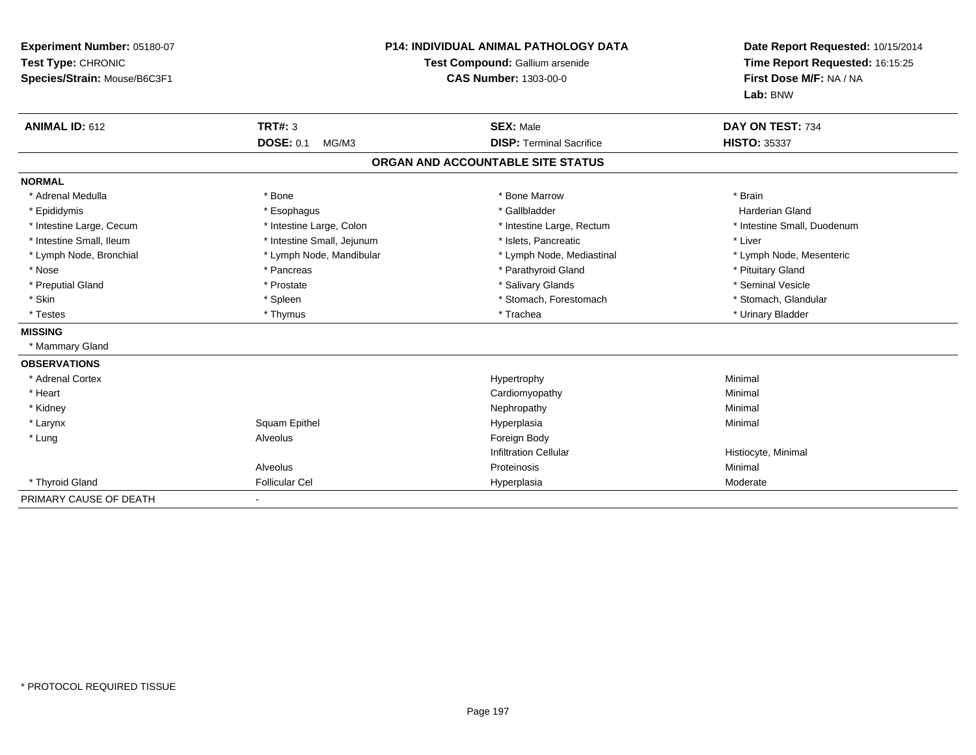| Experiment Number: 05180-07<br>Test Type: CHRONIC<br>Species/Strain: Mouse/B6C3F1<br><b>ANIMAL ID: 612</b> | <b>TRT#: 3</b><br><b>DOSE: 0.1</b><br>MG/M3 | <b>P14: INDIVIDUAL ANIMAL PATHOLOGY DATA</b><br>Test Compound: Gallium arsenide<br><b>CAS Number: 1303-00-0</b><br><b>SEX: Male</b><br><b>DISP: Terminal Sacrifice</b> | Date Report Requested: 10/15/2014<br>Time Report Requested: 16:15:25<br>First Dose M/F: NA / NA<br>Lab: BNW<br>DAY ON TEST: 734<br><b>HISTO: 35337</b> |
|------------------------------------------------------------------------------------------------------------|---------------------------------------------|------------------------------------------------------------------------------------------------------------------------------------------------------------------------|--------------------------------------------------------------------------------------------------------------------------------------------------------|
|                                                                                                            |                                             | ORGAN AND ACCOUNTABLE SITE STATUS                                                                                                                                      |                                                                                                                                                        |
| <b>NORMAL</b>                                                                                              |                                             |                                                                                                                                                                        |                                                                                                                                                        |
| * Adrenal Medulla                                                                                          | * Bone                                      | * Bone Marrow                                                                                                                                                          | * Brain                                                                                                                                                |
| * Epididymis                                                                                               | * Esophagus                                 | * Gallbladder                                                                                                                                                          | <b>Harderian Gland</b>                                                                                                                                 |
| * Intestine Large, Cecum                                                                                   | * Intestine Large, Colon                    | * Intestine Large, Rectum                                                                                                                                              | * Intestine Small, Duodenum                                                                                                                            |
| * Intestine Small, Ileum                                                                                   | * Intestine Small, Jejunum                  | * Islets, Pancreatic                                                                                                                                                   | * Liver                                                                                                                                                |
| * Lymph Node, Bronchial                                                                                    | * Lymph Node, Mandibular                    | * Lymph Node, Mediastinal                                                                                                                                              | * Lymph Node, Mesenteric                                                                                                                               |
| * Nose                                                                                                     | * Pancreas                                  | * Parathyroid Gland                                                                                                                                                    | * Pituitary Gland                                                                                                                                      |
| * Preputial Gland                                                                                          | * Prostate                                  | * Salivary Glands                                                                                                                                                      | * Seminal Vesicle                                                                                                                                      |
| * Skin                                                                                                     | * Spleen                                    | * Stomach, Forestomach                                                                                                                                                 | * Stomach, Glandular                                                                                                                                   |
| * Testes                                                                                                   | * Thymus                                    | * Trachea                                                                                                                                                              | * Urinary Bladder                                                                                                                                      |
| <b>MISSING</b>                                                                                             |                                             |                                                                                                                                                                        |                                                                                                                                                        |
| * Mammary Gland                                                                                            |                                             |                                                                                                                                                                        |                                                                                                                                                        |
| <b>OBSERVATIONS</b>                                                                                        |                                             |                                                                                                                                                                        |                                                                                                                                                        |
| * Adrenal Cortex                                                                                           |                                             | Hypertrophy                                                                                                                                                            | Minimal                                                                                                                                                |
| * Heart                                                                                                    |                                             | Cardiomyopathy                                                                                                                                                         | Minimal                                                                                                                                                |
| * Kidney                                                                                                   |                                             | Nephropathy                                                                                                                                                            | Minimal                                                                                                                                                |
| * Larynx                                                                                                   | Squam Epithel                               | Hyperplasia                                                                                                                                                            | Minimal                                                                                                                                                |
| * Lung                                                                                                     | Alveolus                                    | Foreign Body                                                                                                                                                           |                                                                                                                                                        |
|                                                                                                            |                                             | <b>Infiltration Cellular</b>                                                                                                                                           | Histiocyte, Minimal                                                                                                                                    |
|                                                                                                            | Alveolus                                    | Proteinosis                                                                                                                                                            | Minimal                                                                                                                                                |
| * Thyroid Gland                                                                                            | Follicular Cel                              | Hyperplasia                                                                                                                                                            | Moderate                                                                                                                                               |
| PRIMARY CAUSE OF DEATH                                                                                     |                                             |                                                                                                                                                                        |                                                                                                                                                        |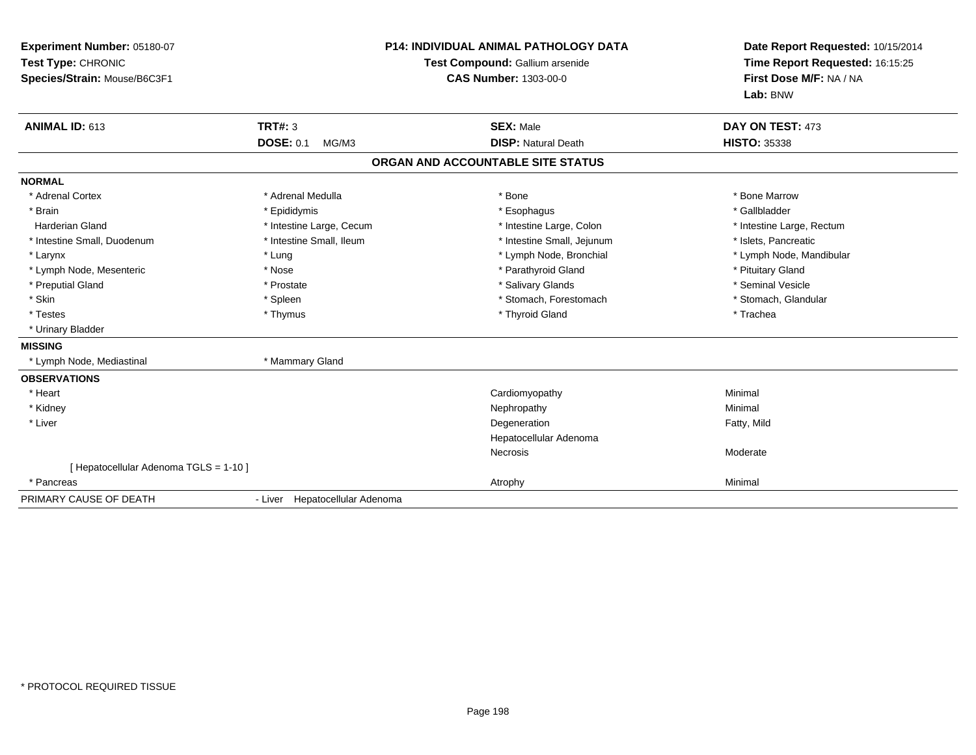| Experiment Number: 05180-07<br>Test Type: CHRONIC<br>Species/Strain: Mouse/B6C3F1<br><b>ANIMAL ID: 613</b> | <b>TRT#: 3</b><br><b>DOSE: 0.1</b><br>MG/M3 | <b>P14: INDIVIDUAL ANIMAL PATHOLOGY DATA</b><br>Test Compound: Gallium arsenide<br><b>CAS Number: 1303-00-0</b><br><b>SEX: Male</b><br><b>DISP: Natural Death</b> | Date Report Requested: 10/15/2014<br>Time Report Requested: 16:15:25<br>First Dose M/F: NA / NA<br>Lab: BNW<br>DAY ON TEST: 473<br><b>HISTO: 35338</b> |
|------------------------------------------------------------------------------------------------------------|---------------------------------------------|-------------------------------------------------------------------------------------------------------------------------------------------------------------------|--------------------------------------------------------------------------------------------------------------------------------------------------------|
|                                                                                                            |                                             | ORGAN AND ACCOUNTABLE SITE STATUS                                                                                                                                 |                                                                                                                                                        |
| <b>NORMAL</b>                                                                                              |                                             |                                                                                                                                                                   |                                                                                                                                                        |
| * Adrenal Cortex                                                                                           | * Adrenal Medulla                           | * Bone                                                                                                                                                            | * Bone Marrow                                                                                                                                          |
| * Brain                                                                                                    | * Epididymis                                | * Esophagus                                                                                                                                                       | * Gallbladder                                                                                                                                          |
| <b>Harderian Gland</b>                                                                                     | * Intestine Large, Cecum                    | * Intestine Large, Colon                                                                                                                                          | * Intestine Large, Rectum                                                                                                                              |
| * Intestine Small, Duodenum                                                                                | * Intestine Small, Ileum                    | * Intestine Small, Jejunum                                                                                                                                        | * Islets, Pancreatic                                                                                                                                   |
| * Larynx                                                                                                   | * Lung                                      | * Lymph Node, Bronchial                                                                                                                                           | * Lymph Node, Mandibular                                                                                                                               |
| * Lymph Node, Mesenteric                                                                                   | * Nose                                      | * Parathyroid Gland                                                                                                                                               | * Pituitary Gland                                                                                                                                      |
| * Preputial Gland                                                                                          | * Prostate                                  | * Salivary Glands                                                                                                                                                 | * Seminal Vesicle                                                                                                                                      |
| * Skin                                                                                                     | * Spleen                                    | * Stomach, Forestomach                                                                                                                                            | * Stomach, Glandular                                                                                                                                   |
| * Testes                                                                                                   | * Thymus                                    | * Thyroid Gland                                                                                                                                                   | * Trachea                                                                                                                                              |
| * Urinary Bladder                                                                                          |                                             |                                                                                                                                                                   |                                                                                                                                                        |
| <b>MISSING</b>                                                                                             |                                             |                                                                                                                                                                   |                                                                                                                                                        |
| * Lymph Node, Mediastinal                                                                                  | * Mammary Gland                             |                                                                                                                                                                   |                                                                                                                                                        |
| <b>OBSERVATIONS</b>                                                                                        |                                             |                                                                                                                                                                   |                                                                                                                                                        |
| * Heart                                                                                                    |                                             | Cardiomyopathy                                                                                                                                                    | Minimal                                                                                                                                                |
| * Kidney                                                                                                   |                                             | Nephropathy                                                                                                                                                       | Minimal                                                                                                                                                |
| * Liver                                                                                                    |                                             | Degeneration                                                                                                                                                      | Fatty, Mild                                                                                                                                            |
|                                                                                                            |                                             | Hepatocellular Adenoma                                                                                                                                            |                                                                                                                                                        |
|                                                                                                            |                                             | <b>Necrosis</b>                                                                                                                                                   | Moderate                                                                                                                                               |
| [ Hepatocellular Adenoma TGLS = 1-10 ]                                                                     |                                             |                                                                                                                                                                   |                                                                                                                                                        |
| * Pancreas                                                                                                 |                                             | Atrophy                                                                                                                                                           | Minimal                                                                                                                                                |
| PRIMARY CAUSE OF DEATH                                                                                     | - Liver Hepatocellular Adenoma              |                                                                                                                                                                   |                                                                                                                                                        |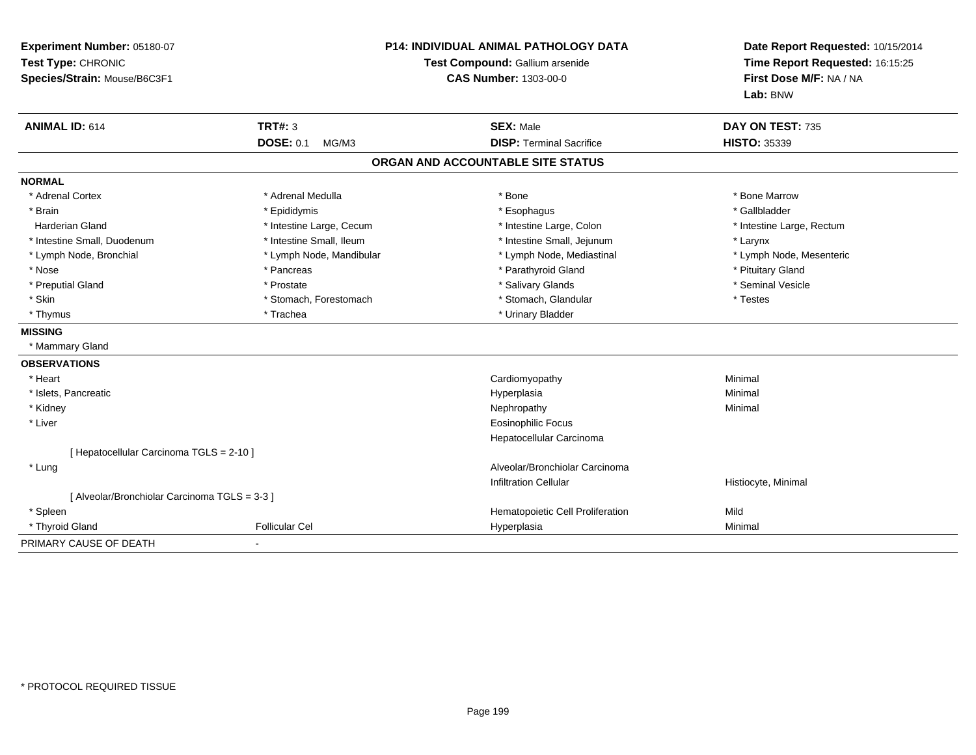| Experiment Number: 05180-07<br>Test Type: CHRONIC<br>Species/Strain: Mouse/B6C3F1 |                           | P14: INDIVIDUAL ANIMAL PATHOLOGY DATA<br>Test Compound: Gallium arsenide<br><b>CAS Number: 1303-00-0</b> | Date Report Requested: 10/15/2014<br>Time Report Requested: 16:15:25<br>First Dose M/F: NA / NA<br>Lab: BNW |  |
|-----------------------------------------------------------------------------------|---------------------------|----------------------------------------------------------------------------------------------------------|-------------------------------------------------------------------------------------------------------------|--|
| <b>ANIMAL ID: 614</b>                                                             | <b>TRT#: 3</b>            | <b>SEX: Male</b>                                                                                         | DAY ON TEST: 735                                                                                            |  |
|                                                                                   | <b>DOSE: 0.1</b><br>MG/M3 | <b>DISP: Terminal Sacrifice</b>                                                                          | <b>HISTO: 35339</b>                                                                                         |  |
|                                                                                   |                           | ORGAN AND ACCOUNTABLE SITE STATUS                                                                        |                                                                                                             |  |
| <b>NORMAL</b>                                                                     |                           |                                                                                                          |                                                                                                             |  |
| * Adrenal Cortex                                                                  | * Adrenal Medulla         | * Bone                                                                                                   | * Bone Marrow                                                                                               |  |
| * Brain                                                                           | * Epididymis              | * Esophagus                                                                                              | * Gallbladder                                                                                               |  |
| <b>Harderian Gland</b>                                                            | * Intestine Large, Cecum  | * Intestine Large, Colon                                                                                 | * Intestine Large, Rectum                                                                                   |  |
| * Intestine Small, Duodenum                                                       | * Intestine Small, Ileum  | * Intestine Small, Jejunum                                                                               | * Larynx                                                                                                    |  |
| * Lymph Node, Bronchial                                                           | * Lymph Node, Mandibular  | * Lymph Node, Mediastinal                                                                                | * Lymph Node, Mesenteric                                                                                    |  |
| * Nose                                                                            | * Pancreas                | * Parathyroid Gland                                                                                      | * Pituitary Gland                                                                                           |  |
| * Preputial Gland                                                                 | * Prostate                | * Salivary Glands                                                                                        | * Seminal Vesicle                                                                                           |  |
| * Skin                                                                            | * Stomach, Forestomach    | * Stomach, Glandular                                                                                     | * Testes                                                                                                    |  |
| * Thymus                                                                          | * Trachea                 | * Urinary Bladder                                                                                        |                                                                                                             |  |
| <b>MISSING</b>                                                                    |                           |                                                                                                          |                                                                                                             |  |
| * Mammary Gland                                                                   |                           |                                                                                                          |                                                                                                             |  |
| <b>OBSERVATIONS</b>                                                               |                           |                                                                                                          |                                                                                                             |  |
| * Heart                                                                           |                           | Cardiomyopathy                                                                                           | Minimal                                                                                                     |  |
| * Islets, Pancreatic                                                              |                           | Hyperplasia                                                                                              | Minimal                                                                                                     |  |
| * Kidney                                                                          |                           | Nephropathy                                                                                              | Minimal                                                                                                     |  |
| * Liver                                                                           |                           | <b>Eosinophilic Focus</b>                                                                                |                                                                                                             |  |
|                                                                                   |                           | Hepatocellular Carcinoma                                                                                 |                                                                                                             |  |
| [ Hepatocellular Carcinoma TGLS = 2-10 ]                                          |                           |                                                                                                          |                                                                                                             |  |
| * Lung                                                                            |                           | Alveolar/Bronchiolar Carcinoma                                                                           |                                                                                                             |  |
|                                                                                   |                           | <b>Infiltration Cellular</b>                                                                             | Histiocyte, Minimal                                                                                         |  |
| [ Alveolar/Bronchiolar Carcinoma TGLS = 3-3 ]                                     |                           |                                                                                                          |                                                                                                             |  |
| * Spleen                                                                          |                           | Hematopoietic Cell Proliferation                                                                         | Mild                                                                                                        |  |
| * Thyroid Gland                                                                   | <b>Follicular Cel</b>     | Hyperplasia                                                                                              | Minimal                                                                                                     |  |
| PRIMARY CAUSE OF DEATH                                                            |                           |                                                                                                          |                                                                                                             |  |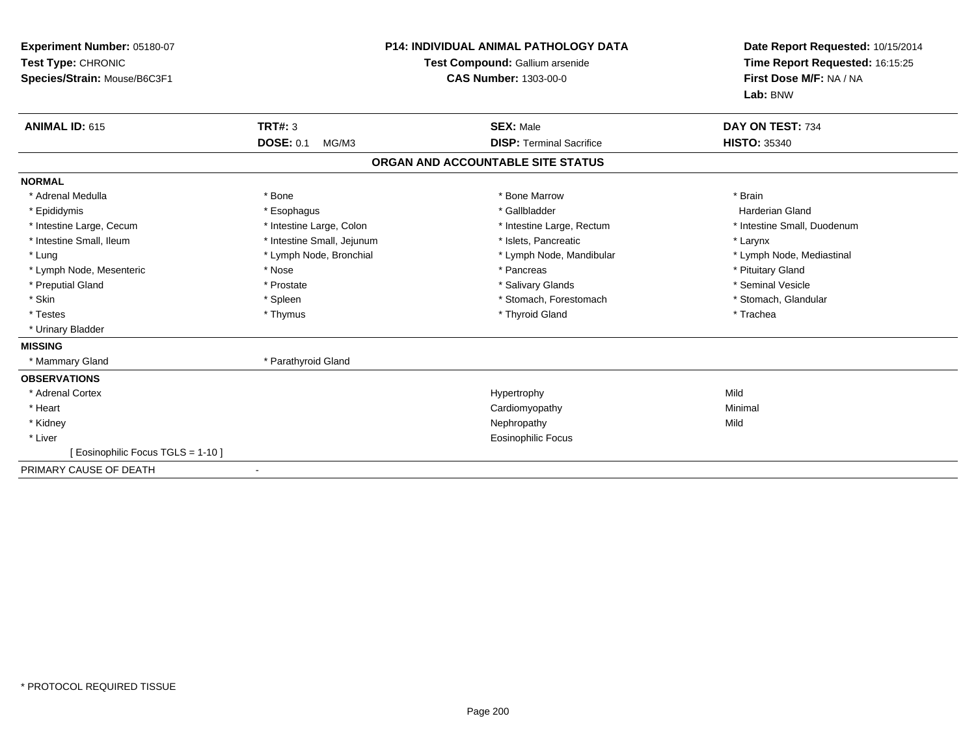| Experiment Number: 05180-07<br>Test Type: CHRONIC<br>Species/Strain: Mouse/B6C3F1 | <b>P14: INDIVIDUAL ANIMAL PATHOLOGY DATA</b><br>Test Compound: Gallium arsenide<br><b>CAS Number: 1303-00-0</b> |                                   | Date Report Requested: 10/15/2014<br>Time Report Requested: 16:15:25<br>First Dose M/F: NA / NA<br>Lab: BNW |
|-----------------------------------------------------------------------------------|-----------------------------------------------------------------------------------------------------------------|-----------------------------------|-------------------------------------------------------------------------------------------------------------|
| <b>ANIMAL ID: 615</b>                                                             | <b>TRT#: 3</b>                                                                                                  | <b>SEX: Male</b>                  | DAY ON TEST: 734                                                                                            |
|                                                                                   | <b>DOSE: 0.1</b><br>MG/M3                                                                                       | <b>DISP: Terminal Sacrifice</b>   | <b>HISTO: 35340</b>                                                                                         |
|                                                                                   |                                                                                                                 | ORGAN AND ACCOUNTABLE SITE STATUS |                                                                                                             |
| <b>NORMAL</b>                                                                     |                                                                                                                 |                                   |                                                                                                             |
| * Adrenal Medulla                                                                 | * Bone                                                                                                          | * Bone Marrow                     | * Brain                                                                                                     |
| * Epididymis                                                                      | * Esophagus                                                                                                     | * Gallbladder                     | Harderian Gland                                                                                             |
| * Intestine Large, Cecum                                                          | * Intestine Large, Colon                                                                                        | * Intestine Large, Rectum         | * Intestine Small, Duodenum                                                                                 |
| * Intestine Small, Ileum                                                          | * Intestine Small, Jejunum                                                                                      | * Islets. Pancreatic              | * Larynx                                                                                                    |
| * Lung                                                                            | * Lymph Node, Bronchial                                                                                         | * Lymph Node, Mandibular          | * Lymph Node, Mediastinal                                                                                   |
| * Lymph Node, Mesenteric                                                          | * Nose                                                                                                          | * Pancreas                        | * Pituitary Gland                                                                                           |
| * Preputial Gland                                                                 | * Prostate                                                                                                      | * Salivary Glands                 | * Seminal Vesicle                                                                                           |
| * Skin                                                                            | * Spleen                                                                                                        | * Stomach, Forestomach            | * Stomach, Glandular                                                                                        |
| * Testes                                                                          | * Thymus                                                                                                        | * Thyroid Gland                   | * Trachea                                                                                                   |
| * Urinary Bladder                                                                 |                                                                                                                 |                                   |                                                                                                             |
| <b>MISSING</b>                                                                    |                                                                                                                 |                                   |                                                                                                             |
| * Mammary Gland                                                                   | * Parathyroid Gland                                                                                             |                                   |                                                                                                             |
| <b>OBSERVATIONS</b>                                                               |                                                                                                                 |                                   |                                                                                                             |
| * Adrenal Cortex                                                                  |                                                                                                                 | Hypertrophy                       | Mild                                                                                                        |
| * Heart                                                                           |                                                                                                                 | Cardiomyopathy                    | Minimal                                                                                                     |
| * Kidney                                                                          |                                                                                                                 | Nephropathy                       | Mild                                                                                                        |
| * Liver                                                                           |                                                                                                                 | <b>Eosinophilic Focus</b>         |                                                                                                             |
| [ Eosinophilic Focus TGLS = 1-10 ]                                                |                                                                                                                 |                                   |                                                                                                             |
| PRIMARY CAUSE OF DEATH                                                            |                                                                                                                 |                                   |                                                                                                             |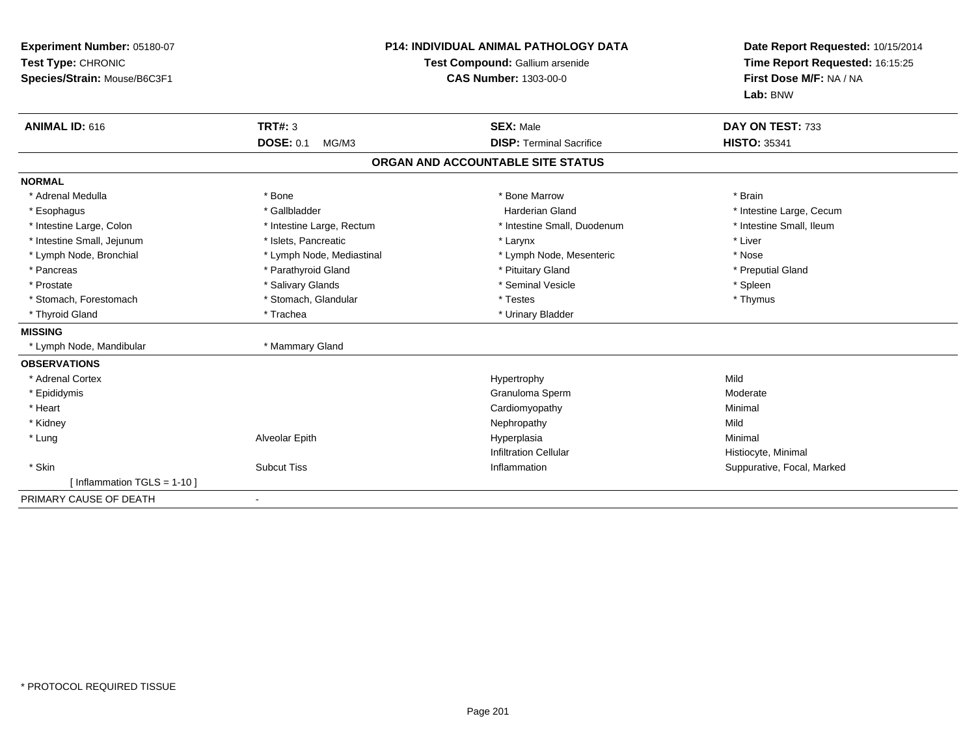| Experiment Number: 05180-07<br>Test Type: CHRONIC<br>Species/Strain: Mouse/B6C3F1<br>ANIMAL ID: 616 | TRT#: 3<br><b>DOSE: 0.1</b><br>MG/M3 | <b>P14: INDIVIDUAL ANIMAL PATHOLOGY DATA</b><br>Test Compound: Gallium arsenide<br><b>CAS Number: 1303-00-0</b><br><b>SEX: Male</b><br><b>DISP: Terminal Sacrifice</b> | Date Report Requested: 10/15/2014<br>Time Report Requested: 16:15:25<br>First Dose M/F: NA / NA<br>Lab: BNW<br>DAY ON TEST: 733<br><b>HISTO: 35341</b> |
|-----------------------------------------------------------------------------------------------------|--------------------------------------|------------------------------------------------------------------------------------------------------------------------------------------------------------------------|--------------------------------------------------------------------------------------------------------------------------------------------------------|
|                                                                                                     |                                      | ORGAN AND ACCOUNTABLE SITE STATUS                                                                                                                                      |                                                                                                                                                        |
| <b>NORMAL</b>                                                                                       |                                      |                                                                                                                                                                        |                                                                                                                                                        |
| * Adrenal Medulla                                                                                   | * Bone                               | * Bone Marrow                                                                                                                                                          | * Brain                                                                                                                                                |
| * Esophagus                                                                                         | * Gallbladder                        | Harderian Gland                                                                                                                                                        | * Intestine Large, Cecum                                                                                                                               |
| * Intestine Large, Colon                                                                            | * Intestine Large, Rectum            | * Intestine Small, Duodenum                                                                                                                                            | * Intestine Small, Ileum                                                                                                                               |
| * Intestine Small, Jejunum                                                                          | * Islets, Pancreatic                 | * Larynx                                                                                                                                                               | * Liver                                                                                                                                                |
| * Lymph Node, Bronchial                                                                             | * Lymph Node, Mediastinal            | * Lymph Node, Mesenteric                                                                                                                                               | * Nose                                                                                                                                                 |
| * Pancreas                                                                                          | * Parathyroid Gland                  | * Pituitary Gland                                                                                                                                                      | * Preputial Gland                                                                                                                                      |
| * Prostate                                                                                          | * Salivary Glands                    | * Seminal Vesicle                                                                                                                                                      | * Spleen                                                                                                                                               |
| * Stomach, Forestomach                                                                              | * Stomach, Glandular                 | * Testes                                                                                                                                                               | * Thymus                                                                                                                                               |
| * Thyroid Gland                                                                                     | * Trachea                            | * Urinary Bladder                                                                                                                                                      |                                                                                                                                                        |
| <b>MISSING</b>                                                                                      |                                      |                                                                                                                                                                        |                                                                                                                                                        |
| * Lymph Node, Mandibular                                                                            | * Mammary Gland                      |                                                                                                                                                                        |                                                                                                                                                        |
| <b>OBSERVATIONS</b>                                                                                 |                                      |                                                                                                                                                                        |                                                                                                                                                        |
| * Adrenal Cortex                                                                                    |                                      | Hypertrophy                                                                                                                                                            | Mild                                                                                                                                                   |
| * Epididymis                                                                                        |                                      | Granuloma Sperm                                                                                                                                                        | Moderate                                                                                                                                               |
| * Heart                                                                                             |                                      | Cardiomyopathy                                                                                                                                                         | Minimal                                                                                                                                                |
| * Kidney                                                                                            |                                      | Nephropathy                                                                                                                                                            | Mild                                                                                                                                                   |
| * Lung                                                                                              | Alveolar Epith                       | Hyperplasia                                                                                                                                                            | Minimal                                                                                                                                                |
|                                                                                                     |                                      | <b>Infiltration Cellular</b>                                                                                                                                           | Histiocyte, Minimal                                                                                                                                    |
| * Skin                                                                                              | <b>Subcut Tiss</b>                   | Inflammation                                                                                                                                                           | Suppurative, Focal, Marked                                                                                                                             |
| [Inflammation TGLS = $1-10$ ]                                                                       |                                      |                                                                                                                                                                        |                                                                                                                                                        |
| PRIMARY CAUSE OF DEATH                                                                              |                                      |                                                                                                                                                                        |                                                                                                                                                        |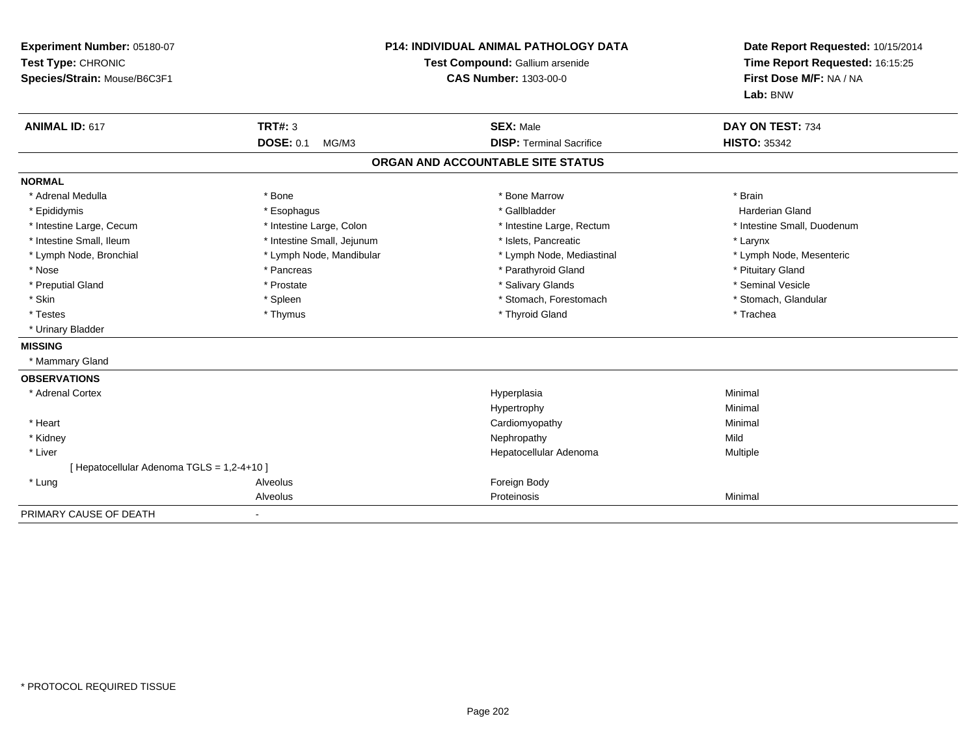| Experiment Number: 05180-07<br>Test Type: CHRONIC<br>Species/Strain: Mouse/B6C3F1 |                            | <b>P14: INDIVIDUAL ANIMAL PATHOLOGY DATA</b><br>Test Compound: Gallium arsenide<br><b>CAS Number: 1303-00-0</b> | Date Report Requested: 10/15/2014<br>Time Report Requested: 16:15:25<br>First Dose M/F: NA / NA<br>Lab: BNW |
|-----------------------------------------------------------------------------------|----------------------------|-----------------------------------------------------------------------------------------------------------------|-------------------------------------------------------------------------------------------------------------|
| <b>ANIMAL ID: 617</b>                                                             | <b>TRT#: 3</b>             | <b>SEX: Male</b>                                                                                                | DAY ON TEST: 734                                                                                            |
|                                                                                   | <b>DOSE: 0.1</b><br>MG/M3  | <b>DISP: Terminal Sacrifice</b>                                                                                 | <b>HISTO: 35342</b>                                                                                         |
|                                                                                   |                            | ORGAN AND ACCOUNTABLE SITE STATUS                                                                               |                                                                                                             |
| <b>NORMAL</b>                                                                     |                            |                                                                                                                 |                                                                                                             |
| * Adrenal Medulla                                                                 | * Bone                     | * Bone Marrow                                                                                                   | * Brain                                                                                                     |
| * Epididymis                                                                      | * Esophagus                | * Gallbladder                                                                                                   | <b>Harderian Gland</b>                                                                                      |
| * Intestine Large, Cecum                                                          | * Intestine Large, Colon   | * Intestine Large, Rectum                                                                                       | * Intestine Small, Duodenum                                                                                 |
| * Intestine Small. Ileum                                                          | * Intestine Small, Jejunum | * Islets. Pancreatic                                                                                            | * Larynx                                                                                                    |
| * Lymph Node, Bronchial                                                           | * Lymph Node, Mandibular   | * Lymph Node, Mediastinal                                                                                       | * Lymph Node, Mesenteric                                                                                    |
| * Nose                                                                            | * Pancreas                 | * Parathyroid Gland                                                                                             | * Pituitary Gland                                                                                           |
| * Preputial Gland                                                                 | * Prostate                 | * Salivary Glands                                                                                               | * Seminal Vesicle                                                                                           |
| * Skin                                                                            | * Spleen                   | * Stomach, Forestomach                                                                                          | * Stomach, Glandular                                                                                        |
| * Testes                                                                          | * Thymus                   | * Thyroid Gland                                                                                                 | * Trachea                                                                                                   |
| * Urinary Bladder                                                                 |                            |                                                                                                                 |                                                                                                             |
| <b>MISSING</b>                                                                    |                            |                                                                                                                 |                                                                                                             |
| * Mammary Gland                                                                   |                            |                                                                                                                 |                                                                                                             |
| <b>OBSERVATIONS</b>                                                               |                            |                                                                                                                 |                                                                                                             |
| * Adrenal Cortex                                                                  |                            | Hyperplasia                                                                                                     | Minimal                                                                                                     |
|                                                                                   |                            | Hypertrophy                                                                                                     | Minimal                                                                                                     |
| * Heart                                                                           |                            | Cardiomyopathy                                                                                                  | Minimal                                                                                                     |
| * Kidney                                                                          |                            | Nephropathy                                                                                                     | Mild                                                                                                        |
| * Liver                                                                           |                            | Hepatocellular Adenoma                                                                                          | Multiple                                                                                                    |
| [ Hepatocellular Adenoma TGLS = 1,2-4+10 ]                                        |                            |                                                                                                                 |                                                                                                             |
| * Lung                                                                            | Alveolus                   | Foreign Body                                                                                                    |                                                                                                             |
|                                                                                   | Alveolus                   | Proteinosis                                                                                                     | Minimal                                                                                                     |
| PRIMARY CAUSE OF DEATH                                                            |                            |                                                                                                                 |                                                                                                             |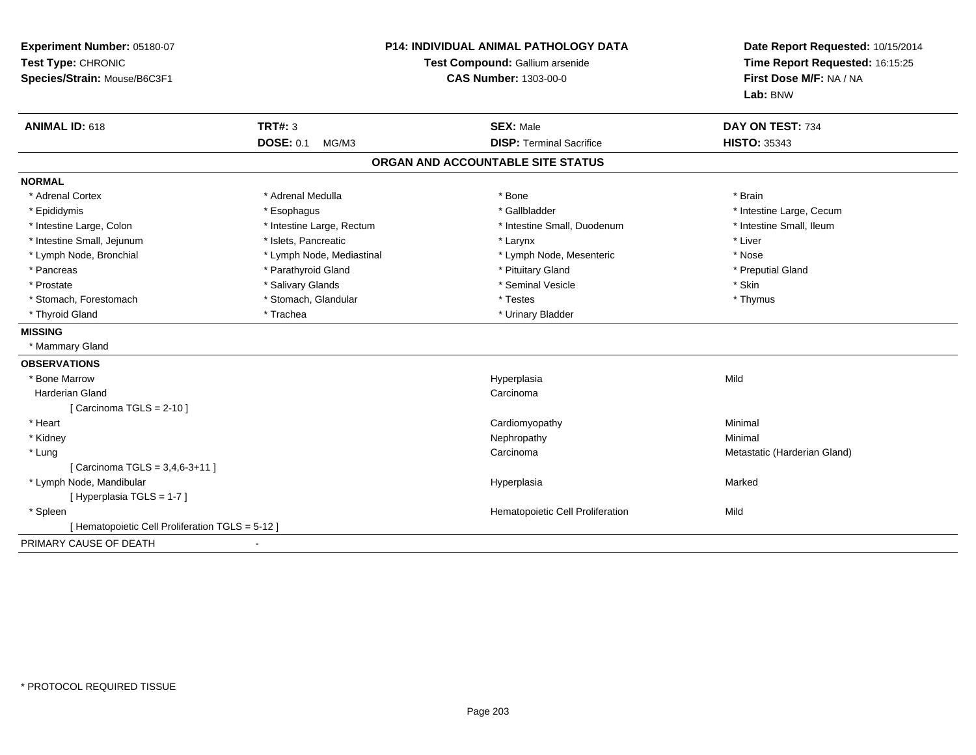| Experiment Number: 05180-07<br>Test Type: CHRONIC<br>Species/Strain: Mouse/B6C3F1 | <b>P14: INDIVIDUAL ANIMAL PATHOLOGY DATA</b><br>Test Compound: Gallium arsenide<br><b>CAS Number: 1303-00-0</b> |                                                     | Date Report Requested: 10/15/2014<br>Time Report Requested: 16:15:25<br>First Dose M/F: NA / NA<br>Lab: BNW |
|-----------------------------------------------------------------------------------|-----------------------------------------------------------------------------------------------------------------|-----------------------------------------------------|-------------------------------------------------------------------------------------------------------------|
| <b>ANIMAL ID: 618</b>                                                             | <b>TRT#: 3</b><br><b>DOSE: 0.1</b><br>MG/M3                                                                     | <b>SEX: Male</b><br><b>DISP: Terminal Sacrifice</b> | DAY ON TEST: 734<br><b>HISTO: 35343</b>                                                                     |
|                                                                                   |                                                                                                                 |                                                     |                                                                                                             |
|                                                                                   |                                                                                                                 | ORGAN AND ACCOUNTABLE SITE STATUS                   |                                                                                                             |
| <b>NORMAL</b>                                                                     |                                                                                                                 |                                                     |                                                                                                             |
| * Adrenal Cortex                                                                  | * Adrenal Medulla                                                                                               | * Bone                                              | * Brain                                                                                                     |
| * Epididymis                                                                      | * Esophagus                                                                                                     | * Gallbladder                                       | * Intestine Large, Cecum                                                                                    |
| * Intestine Large, Colon                                                          | * Intestine Large, Rectum                                                                                       | * Intestine Small, Duodenum                         | * Intestine Small, Ileum                                                                                    |
| * Intestine Small, Jejunum                                                        | * Islets, Pancreatic                                                                                            | * Larynx                                            | * Liver                                                                                                     |
| * Lymph Node, Bronchial                                                           | * Lymph Node, Mediastinal                                                                                       | * Lymph Node, Mesenteric                            | * Nose                                                                                                      |
| * Pancreas                                                                        | * Parathyroid Gland                                                                                             | * Pituitary Gland                                   | * Preputial Gland                                                                                           |
| * Prostate                                                                        | * Salivary Glands                                                                                               | * Seminal Vesicle                                   | * Skin                                                                                                      |
| * Stomach, Forestomach                                                            | * Stomach, Glandular                                                                                            | * Testes                                            | * Thymus                                                                                                    |
| * Thyroid Gland                                                                   | * Trachea                                                                                                       | * Urinary Bladder                                   |                                                                                                             |
| <b>MISSING</b>                                                                    |                                                                                                                 |                                                     |                                                                                                             |
| * Mammary Gland                                                                   |                                                                                                                 |                                                     |                                                                                                             |
| <b>OBSERVATIONS</b>                                                               |                                                                                                                 |                                                     |                                                                                                             |
| * Bone Marrow                                                                     |                                                                                                                 | Hyperplasia                                         | Mild                                                                                                        |
| Harderian Gland                                                                   |                                                                                                                 | Carcinoma                                           |                                                                                                             |
| [ Carcinoma TGLS = $2-10$ ]                                                       |                                                                                                                 |                                                     |                                                                                                             |
| * Heart                                                                           |                                                                                                                 | Cardiomyopathy                                      | Minimal                                                                                                     |
| * Kidney                                                                          |                                                                                                                 | Nephropathy                                         | Minimal                                                                                                     |
| * Lung                                                                            |                                                                                                                 | Carcinoma                                           | Metastatic (Harderian Gland)                                                                                |
| [ Carcinoma TGLS = 3,4,6-3+11 ]                                                   |                                                                                                                 |                                                     |                                                                                                             |
| * Lymph Node, Mandibular                                                          |                                                                                                                 | Hyperplasia                                         | Marked                                                                                                      |
| [Hyperplasia TGLS = 1-7]                                                          |                                                                                                                 |                                                     |                                                                                                             |
| * Spleen                                                                          |                                                                                                                 | Hematopoietic Cell Proliferation                    | Mild                                                                                                        |
| [ Hematopoietic Cell Proliferation TGLS = 5-12 ]                                  |                                                                                                                 |                                                     |                                                                                                             |
| PRIMARY CAUSE OF DEATH                                                            |                                                                                                                 |                                                     |                                                                                                             |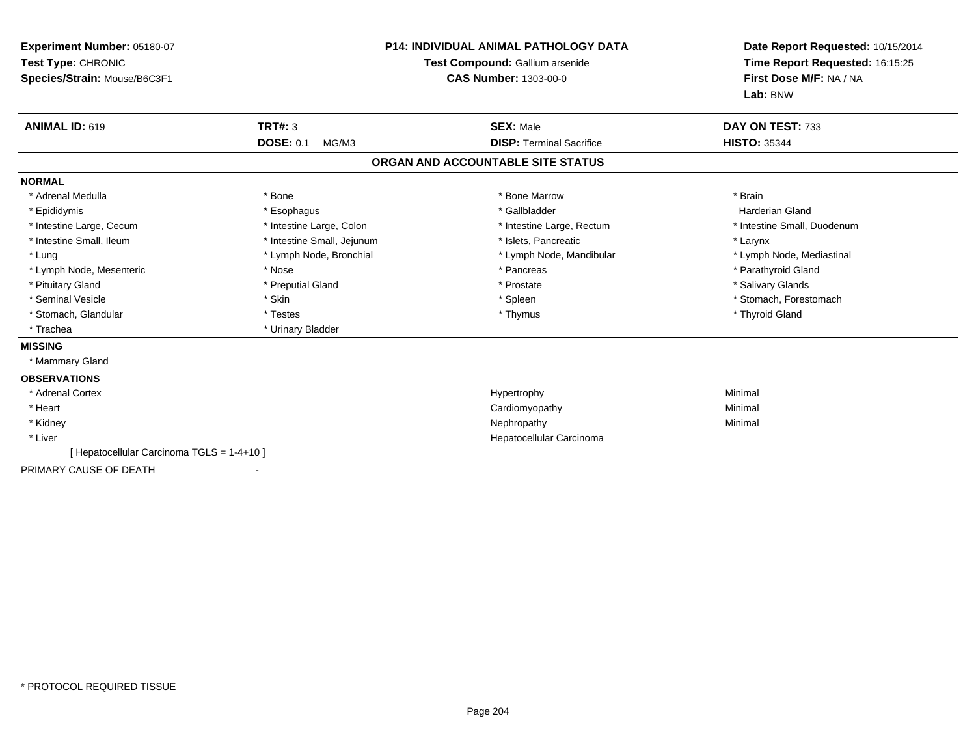| Experiment Number: 05180-07<br>Test Type: CHRONIC<br>Species/Strain: Mouse/B6C3F1 |                            | <b>P14: INDIVIDUAL ANIMAL PATHOLOGY DATA</b><br>Test Compound: Gallium arsenide<br><b>CAS Number: 1303-00-0</b> | Date Report Requested: 10/15/2014<br>Time Report Requested: 16:15:25<br>First Dose M/F: NA / NA |  |
|-----------------------------------------------------------------------------------|----------------------------|-----------------------------------------------------------------------------------------------------------------|-------------------------------------------------------------------------------------------------|--|
|                                                                                   |                            |                                                                                                                 | Lab: BNW                                                                                        |  |
| ANIMAL ID: 619                                                                    | <b>TRT#: 3</b>             | <b>SEX: Male</b>                                                                                                | DAY ON TEST: 733                                                                                |  |
|                                                                                   | <b>DOSE: 0.1</b><br>MG/M3  | <b>DISP: Terminal Sacrifice</b>                                                                                 | <b>HISTO: 35344</b>                                                                             |  |
|                                                                                   |                            | ORGAN AND ACCOUNTABLE SITE STATUS                                                                               |                                                                                                 |  |
| <b>NORMAL</b>                                                                     |                            |                                                                                                                 |                                                                                                 |  |
| * Adrenal Medulla                                                                 | * Bone                     | * Bone Marrow                                                                                                   | * Brain                                                                                         |  |
| * Epididymis                                                                      | * Esophagus                | * Gallbladder                                                                                                   | Harderian Gland                                                                                 |  |
| * Intestine Large, Cecum                                                          | * Intestine Large, Colon   | * Intestine Large, Rectum                                                                                       | * Intestine Small, Duodenum                                                                     |  |
| * Intestine Small, Ileum                                                          | * Intestine Small, Jejunum | * Islets, Pancreatic                                                                                            | * Larynx                                                                                        |  |
| * Lung                                                                            | * Lymph Node, Bronchial    | * Lymph Node, Mandibular                                                                                        | * Lymph Node, Mediastinal                                                                       |  |
| * Lymph Node, Mesenteric                                                          | * Nose                     | * Pancreas                                                                                                      | * Parathyroid Gland                                                                             |  |
| * Pituitary Gland                                                                 | * Preputial Gland          | * Prostate                                                                                                      | * Salivary Glands                                                                               |  |
| * Seminal Vesicle                                                                 | * Skin                     | * Spleen                                                                                                        | * Stomach, Forestomach                                                                          |  |
| * Stomach, Glandular                                                              | * Testes                   | * Thymus                                                                                                        | * Thyroid Gland                                                                                 |  |
| * Trachea                                                                         | * Urinary Bladder          |                                                                                                                 |                                                                                                 |  |
| <b>MISSING</b>                                                                    |                            |                                                                                                                 |                                                                                                 |  |
| * Mammary Gland                                                                   |                            |                                                                                                                 |                                                                                                 |  |
| <b>OBSERVATIONS</b>                                                               |                            |                                                                                                                 |                                                                                                 |  |
| * Adrenal Cortex                                                                  |                            | Hypertrophy                                                                                                     | Minimal                                                                                         |  |
| * Heart                                                                           |                            | Cardiomyopathy                                                                                                  | Minimal                                                                                         |  |
| * Kidney                                                                          |                            | Nephropathy                                                                                                     | Minimal                                                                                         |  |
| * Liver                                                                           |                            | Hepatocellular Carcinoma                                                                                        |                                                                                                 |  |
| [Hepatocellular Carcinoma TGLS = 1-4+10]                                          |                            |                                                                                                                 |                                                                                                 |  |
| PRIMARY CAUSE OF DEATH                                                            |                            |                                                                                                                 |                                                                                                 |  |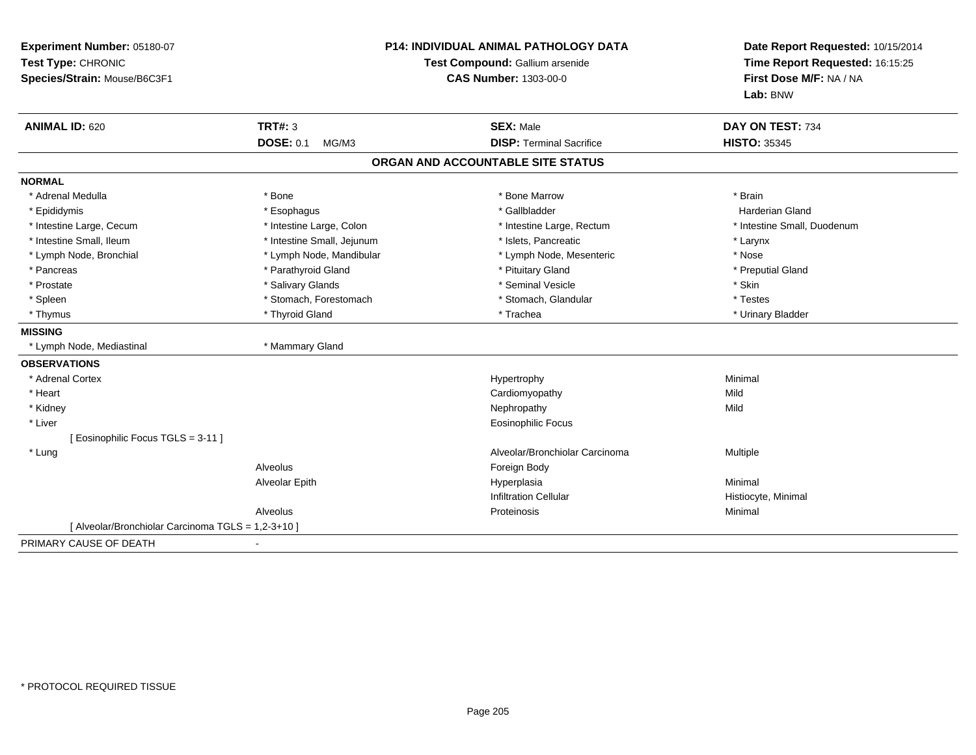| Experiment Number: 05180-07<br>Test Type: CHRONIC<br>Species/Strain: Mouse/B6C3F1 |                                             | <b>P14: INDIVIDUAL ANIMAL PATHOLOGY DATA</b><br>Test Compound: Gallium arsenide<br><b>CAS Number: 1303-00-0</b> | Date Report Requested: 10/15/2014<br>Time Report Requested: 16:15:25<br>First Dose M/F: NA / NA<br>Lab: BNW |
|-----------------------------------------------------------------------------------|---------------------------------------------|-----------------------------------------------------------------------------------------------------------------|-------------------------------------------------------------------------------------------------------------|
| <b>ANIMAL ID: 620</b>                                                             | <b>TRT#: 3</b><br><b>DOSE: 0.1</b><br>MG/M3 | <b>SEX: Male</b><br><b>DISP: Terminal Sacrifice</b>                                                             | DAY ON TEST: 734<br><b>HISTO: 35345</b>                                                                     |
|                                                                                   |                                             |                                                                                                                 |                                                                                                             |
|                                                                                   |                                             | ORGAN AND ACCOUNTABLE SITE STATUS                                                                               |                                                                                                             |
| <b>NORMAL</b>                                                                     |                                             |                                                                                                                 |                                                                                                             |
| * Adrenal Medulla                                                                 | * Bone                                      | * Bone Marrow                                                                                                   | * Brain                                                                                                     |
| * Epididymis                                                                      | * Esophagus                                 | * Gallbladder                                                                                                   | Harderian Gland                                                                                             |
| * Intestine Large, Cecum                                                          | * Intestine Large, Colon                    | * Intestine Large, Rectum                                                                                       | * Intestine Small, Duodenum                                                                                 |
| * Intestine Small, Ileum                                                          | * Intestine Small, Jejunum                  | * Islets. Pancreatic                                                                                            | * Larynx                                                                                                    |
| * Lymph Node, Bronchial                                                           | * Lymph Node, Mandibular                    | * Lymph Node, Mesenteric                                                                                        | * Nose                                                                                                      |
| * Pancreas                                                                        | * Parathyroid Gland                         | * Pituitary Gland                                                                                               | * Preputial Gland                                                                                           |
| * Prostate                                                                        | * Salivary Glands                           | * Seminal Vesicle                                                                                               | * Skin                                                                                                      |
| * Spleen                                                                          | * Stomach, Forestomach                      | * Stomach, Glandular                                                                                            | * Testes                                                                                                    |
| * Thymus                                                                          | * Thyroid Gland                             | * Trachea                                                                                                       | * Urinary Bladder                                                                                           |
| <b>MISSING</b>                                                                    |                                             |                                                                                                                 |                                                                                                             |
| * Lymph Node, Mediastinal                                                         | * Mammary Gland                             |                                                                                                                 |                                                                                                             |
| <b>OBSERVATIONS</b>                                                               |                                             |                                                                                                                 |                                                                                                             |
| * Adrenal Cortex                                                                  |                                             | Hypertrophy                                                                                                     | Minimal                                                                                                     |
| * Heart                                                                           |                                             | Cardiomyopathy                                                                                                  | Mild                                                                                                        |
| * Kidney                                                                          |                                             | Nephropathy                                                                                                     | Mild                                                                                                        |
| * Liver                                                                           |                                             | <b>Eosinophilic Focus</b>                                                                                       |                                                                                                             |
| [Eosinophilic Focus TGLS = 3-11]                                                  |                                             |                                                                                                                 |                                                                                                             |
| * Lung                                                                            |                                             | Alveolar/Bronchiolar Carcinoma                                                                                  | Multiple                                                                                                    |
|                                                                                   | Alveolus                                    | Foreign Body                                                                                                    |                                                                                                             |
|                                                                                   | Alveolar Epith                              | Hyperplasia                                                                                                     | Minimal                                                                                                     |
|                                                                                   |                                             | <b>Infiltration Cellular</b>                                                                                    | Histiocyte, Minimal                                                                                         |
|                                                                                   | Alveolus                                    | Proteinosis                                                                                                     | Minimal                                                                                                     |
| [ Alveolar/Bronchiolar Carcinoma TGLS = 1,2-3+10 ]                                |                                             |                                                                                                                 |                                                                                                             |
| PRIMARY CAUSE OF DEATH                                                            |                                             |                                                                                                                 |                                                                                                             |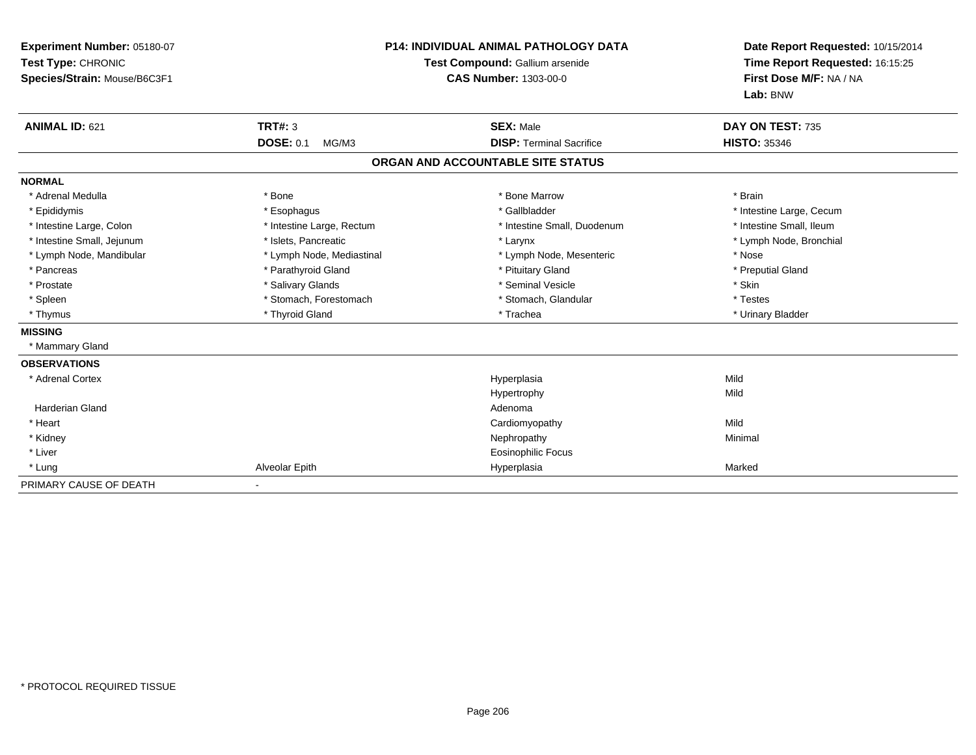| Experiment Number: 05180-07<br>Test Type: CHRONIC<br>Species/Strain: Mouse/B6C3F1<br><b>ANIMAL ID: 621</b> | TRT#: 3                   | <b>P14: INDIVIDUAL ANIMAL PATHOLOGY DATA</b><br>Test Compound: Gallium arsenide<br><b>CAS Number: 1303-00-0</b><br><b>SEX: Male</b> | Date Report Requested: 10/15/2014<br>Time Report Requested: 16:15:25<br>First Dose M/F: NA / NA<br>Lab: BNW<br>DAY ON TEST: 735 |
|------------------------------------------------------------------------------------------------------------|---------------------------|-------------------------------------------------------------------------------------------------------------------------------------|---------------------------------------------------------------------------------------------------------------------------------|
|                                                                                                            | <b>DOSE: 0.1</b><br>MG/M3 | <b>DISP: Terminal Sacrifice</b>                                                                                                     | <b>HISTO: 35346</b>                                                                                                             |
|                                                                                                            |                           | ORGAN AND ACCOUNTABLE SITE STATUS                                                                                                   |                                                                                                                                 |
| <b>NORMAL</b>                                                                                              |                           |                                                                                                                                     |                                                                                                                                 |
| * Adrenal Medulla                                                                                          | * Bone                    | * Bone Marrow                                                                                                                       | * Brain                                                                                                                         |
| * Epididymis                                                                                               | * Esophagus               | * Gallbladder                                                                                                                       | * Intestine Large, Cecum                                                                                                        |
| * Intestine Large, Colon                                                                                   | * Intestine Large, Rectum | * Intestine Small, Duodenum                                                                                                         | * Intestine Small, Ileum                                                                                                        |
| * Intestine Small, Jejunum                                                                                 | * Islets, Pancreatic      | * Larynx                                                                                                                            | * Lymph Node, Bronchial                                                                                                         |
| * Lymph Node, Mandibular                                                                                   | * Lymph Node, Mediastinal | * Lymph Node, Mesenteric                                                                                                            | * Nose                                                                                                                          |
| * Pancreas                                                                                                 | * Parathyroid Gland       | * Pituitary Gland                                                                                                                   | * Preputial Gland                                                                                                               |
| * Prostate                                                                                                 | * Salivary Glands         | * Seminal Vesicle                                                                                                                   | * Skin                                                                                                                          |
| * Spleen                                                                                                   | * Stomach, Forestomach    | * Stomach, Glandular                                                                                                                | * Testes                                                                                                                        |
| * Thymus                                                                                                   | * Thyroid Gland           | * Trachea                                                                                                                           | * Urinary Bladder                                                                                                               |
| <b>MISSING</b>                                                                                             |                           |                                                                                                                                     |                                                                                                                                 |
| * Mammary Gland                                                                                            |                           |                                                                                                                                     |                                                                                                                                 |
| <b>OBSERVATIONS</b>                                                                                        |                           |                                                                                                                                     |                                                                                                                                 |
| * Adrenal Cortex                                                                                           |                           | Hyperplasia                                                                                                                         | Mild                                                                                                                            |
|                                                                                                            |                           | Hypertrophy                                                                                                                         | Mild                                                                                                                            |
| <b>Harderian Gland</b>                                                                                     |                           | Adenoma                                                                                                                             |                                                                                                                                 |
| * Heart                                                                                                    |                           | Cardiomyopathy                                                                                                                      | Mild                                                                                                                            |
| * Kidney                                                                                                   |                           | Nephropathy                                                                                                                         | Minimal                                                                                                                         |
| * Liver                                                                                                    |                           | Eosinophilic Focus                                                                                                                  |                                                                                                                                 |
| * Lung                                                                                                     | Alveolar Epith            | Hyperplasia                                                                                                                         | Marked                                                                                                                          |
| PRIMARY CAUSE OF DEATH                                                                                     |                           |                                                                                                                                     |                                                                                                                                 |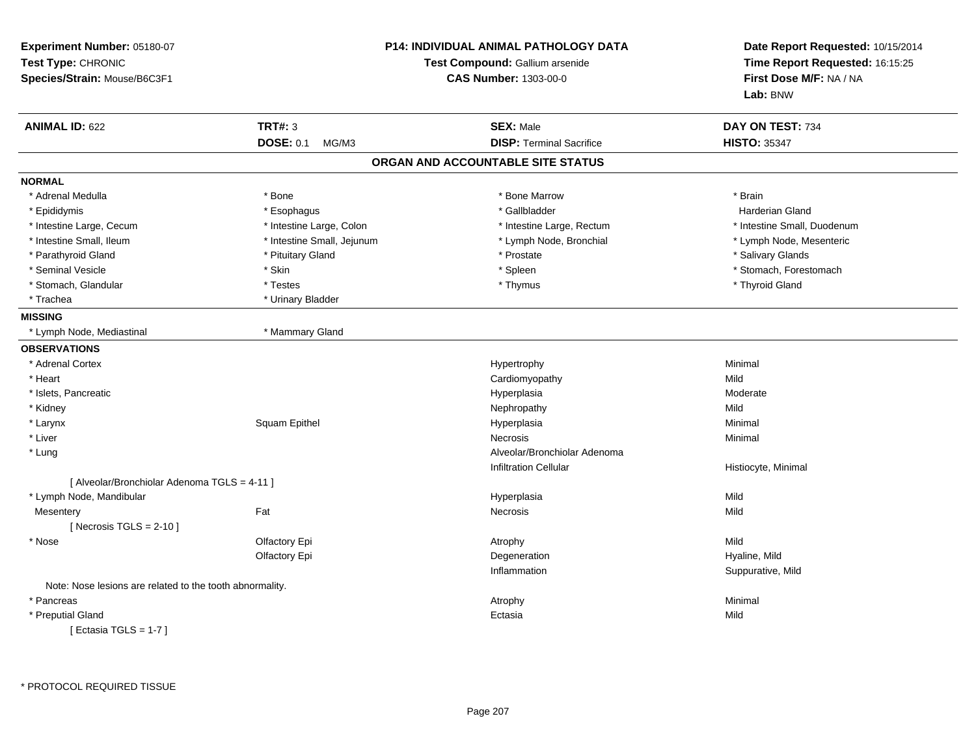| Experiment Number: 05180-07<br>Test Type: CHRONIC<br>Species/Strain: Mouse/B6C3F1 | P14: INDIVIDUAL ANIMAL PATHOLOGY DATA<br>Test Compound: Gallium arsenide<br><b>CAS Number: 1303-00-0</b> |                                   | Date Report Requested: 10/15/2014<br>Time Report Requested: 16:15:25<br>First Dose M/F: NA / NA<br>Lab: BNW |
|-----------------------------------------------------------------------------------|----------------------------------------------------------------------------------------------------------|-----------------------------------|-------------------------------------------------------------------------------------------------------------|
| <b>ANIMAL ID: 622</b>                                                             | <b>TRT#: 3</b>                                                                                           | <b>SEX: Male</b>                  | DAY ON TEST: 734                                                                                            |
|                                                                                   | <b>DOSE: 0.1</b><br>MG/M3                                                                                | <b>DISP: Terminal Sacrifice</b>   | <b>HISTO: 35347</b>                                                                                         |
|                                                                                   |                                                                                                          | ORGAN AND ACCOUNTABLE SITE STATUS |                                                                                                             |
| <b>NORMAL</b>                                                                     |                                                                                                          |                                   |                                                                                                             |
| * Adrenal Medulla                                                                 | * Bone                                                                                                   | * Bone Marrow                     | * Brain                                                                                                     |
| * Epididymis                                                                      | * Esophagus                                                                                              | * Gallbladder                     | Harderian Gland                                                                                             |
| * Intestine Large, Cecum                                                          | * Intestine Large, Colon                                                                                 | * Intestine Large, Rectum         | * Intestine Small, Duodenum                                                                                 |
| * Intestine Small, Ileum                                                          | * Intestine Small, Jejunum                                                                               | * Lymph Node, Bronchial           | * Lymph Node, Mesenteric                                                                                    |
| * Parathyroid Gland                                                               | * Pituitary Gland                                                                                        | * Prostate                        | * Salivary Glands                                                                                           |
| * Seminal Vesicle                                                                 | * Skin                                                                                                   | * Spleen                          | * Stomach, Forestomach                                                                                      |
| * Stomach, Glandular                                                              | * Testes                                                                                                 | * Thymus                          | * Thyroid Gland                                                                                             |
| * Trachea                                                                         | * Urinary Bladder                                                                                        |                                   |                                                                                                             |
| <b>MISSING</b>                                                                    |                                                                                                          |                                   |                                                                                                             |
| * Lymph Node, Mediastinal                                                         | * Mammary Gland                                                                                          |                                   |                                                                                                             |
| <b>OBSERVATIONS</b>                                                               |                                                                                                          |                                   |                                                                                                             |
| * Adrenal Cortex                                                                  |                                                                                                          | Hypertrophy                       | Minimal                                                                                                     |
| * Heart                                                                           |                                                                                                          | Cardiomyopathy                    | Mild                                                                                                        |
| * Islets, Pancreatic                                                              |                                                                                                          | Hyperplasia                       | Moderate                                                                                                    |
| * Kidney                                                                          |                                                                                                          | Nephropathy                       | Mild                                                                                                        |
| * Larynx                                                                          | Squam Epithel                                                                                            | Hyperplasia                       | Minimal                                                                                                     |
| * Liver                                                                           |                                                                                                          | Necrosis                          | Minimal                                                                                                     |
| * Lung                                                                            |                                                                                                          | Alveolar/Bronchiolar Adenoma      |                                                                                                             |
|                                                                                   |                                                                                                          | <b>Infiltration Cellular</b>      | Histiocyte, Minimal                                                                                         |
| [ Alveolar/Bronchiolar Adenoma TGLS = 4-11 ]                                      |                                                                                                          |                                   |                                                                                                             |
| * Lymph Node, Mandibular                                                          |                                                                                                          | Hyperplasia                       | Mild                                                                                                        |
| Mesentery                                                                         | Fat                                                                                                      | Necrosis                          | Mild                                                                                                        |
| [Necrosis $TGLS = 2-10$ ]                                                         |                                                                                                          |                                   |                                                                                                             |
| * Nose                                                                            | Olfactory Epi                                                                                            | Atrophy                           | Mild                                                                                                        |
|                                                                                   | Olfactory Epi                                                                                            | Degeneration                      | Hyaline, Mild                                                                                               |
|                                                                                   |                                                                                                          | Inflammation                      | Suppurative, Mild                                                                                           |
| Note: Nose lesions are related to the tooth abnormality.                          |                                                                                                          |                                   |                                                                                                             |
| * Pancreas                                                                        |                                                                                                          | Atrophy                           | Minimal                                                                                                     |
| * Preputial Gland                                                                 |                                                                                                          | Ectasia                           | Mild                                                                                                        |
| ____                                                                              |                                                                                                          |                                   |                                                                                                             |

[ Ectasia TGLS = 1-7 ]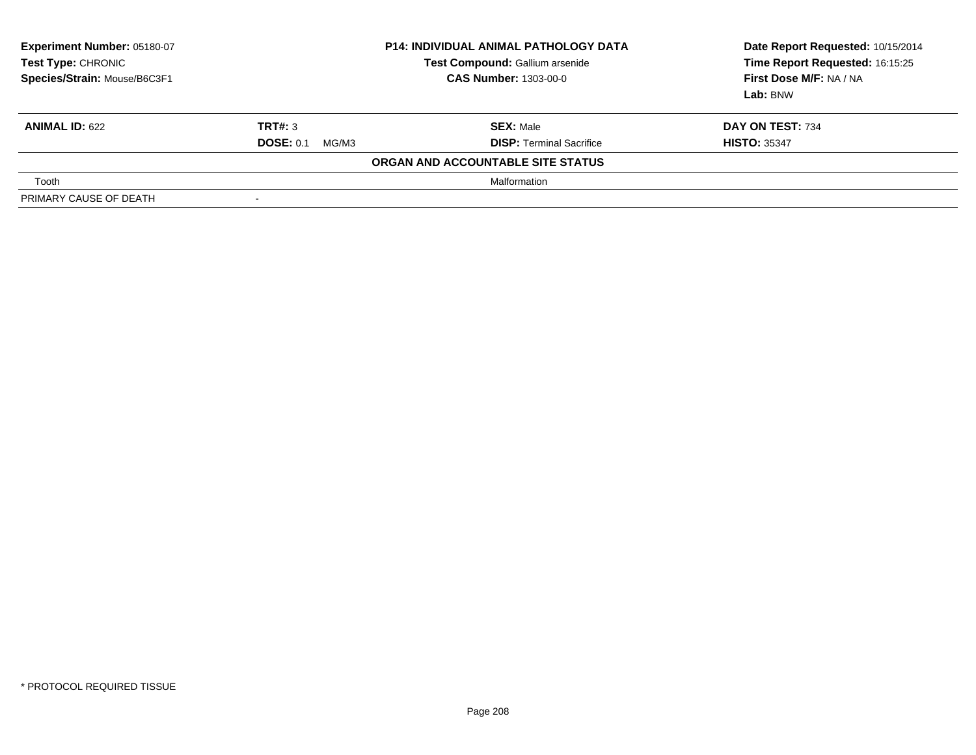| Experiment Number: 05180-07<br>Test Type: CHRONIC<br>Species/Strain: Mouse/B6C3F1 | <b>P14: INDIVIDUAL ANIMAL PATHOLOGY DATA</b><br>Test Compound: Gallium arsenide<br><b>CAS Number: 1303-00-0</b> |                                   | Date Report Requested: 10/15/2014<br>Time Report Requested: 16:15:25<br>First Dose M/F: NA / NA<br>Lab: BNW |
|-----------------------------------------------------------------------------------|-----------------------------------------------------------------------------------------------------------------|-----------------------------------|-------------------------------------------------------------------------------------------------------------|
| <b>ANIMAL ID: 622</b>                                                             | TRT#: 3                                                                                                         | <b>SEX: Male</b>                  | DAY ON TEST: 734                                                                                            |
|                                                                                   | <b>DOSE: 0.1</b><br>MG/M3                                                                                       | <b>DISP: Terminal Sacrifice</b>   | <b>HISTO: 35347</b>                                                                                         |
|                                                                                   |                                                                                                                 | ORGAN AND ACCOUNTABLE SITE STATUS |                                                                                                             |
| Tooth                                                                             |                                                                                                                 | Malformation                      |                                                                                                             |
| PRIMARY CAUSE OF DEATH                                                            |                                                                                                                 |                                   |                                                                                                             |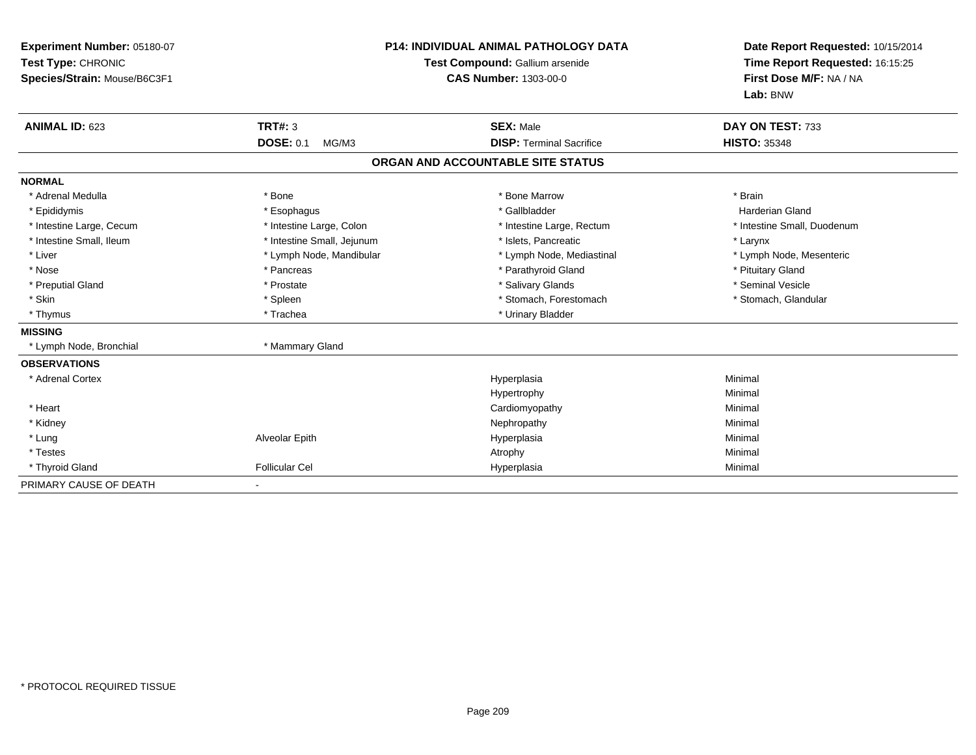| Experiment Number: 05180-07<br>Test Type: CHRONIC<br>Species/Strain: Mouse/B6C3F1<br><b>ANIMAL ID: 623</b> | TRT#: 3<br><b>DOSE: 0.1</b><br>MG/M3 | <b>P14: INDIVIDUAL ANIMAL PATHOLOGY DATA</b><br>Test Compound: Gallium arsenide<br><b>CAS Number: 1303-00-0</b><br><b>SEX: Male</b><br><b>DISP: Terminal Sacrifice</b> | Date Report Requested: 10/15/2014<br>Time Report Requested: 16:15:25<br>First Dose M/F: NA / NA<br>Lab: BNW<br>DAY ON TEST: 733<br><b>HISTO: 35348</b> |
|------------------------------------------------------------------------------------------------------------|--------------------------------------|------------------------------------------------------------------------------------------------------------------------------------------------------------------------|--------------------------------------------------------------------------------------------------------------------------------------------------------|
|                                                                                                            |                                      | ORGAN AND ACCOUNTABLE SITE STATUS                                                                                                                                      |                                                                                                                                                        |
| <b>NORMAL</b>                                                                                              |                                      |                                                                                                                                                                        |                                                                                                                                                        |
| * Adrenal Medulla                                                                                          | * Bone                               | * Bone Marrow                                                                                                                                                          | * Brain                                                                                                                                                |
| * Epididymis                                                                                               | * Esophagus                          | * Gallbladder                                                                                                                                                          | Harderian Gland                                                                                                                                        |
| * Intestine Large, Cecum                                                                                   | * Intestine Large, Colon             | * Intestine Large, Rectum                                                                                                                                              | * Intestine Small, Duodenum                                                                                                                            |
| * Intestine Small, Ileum                                                                                   | * Intestine Small, Jejunum           | * Islets, Pancreatic                                                                                                                                                   | * Larynx                                                                                                                                               |
| * Liver                                                                                                    | * Lymph Node, Mandibular             | * Lymph Node, Mediastinal                                                                                                                                              | * Lymph Node, Mesenteric                                                                                                                               |
| * Nose                                                                                                     | * Pancreas                           | * Parathyroid Gland                                                                                                                                                    | * Pituitary Gland                                                                                                                                      |
| * Preputial Gland                                                                                          | * Prostate                           | * Salivary Glands                                                                                                                                                      | * Seminal Vesicle                                                                                                                                      |
| * Skin                                                                                                     | * Spleen                             | * Stomach, Forestomach                                                                                                                                                 | * Stomach, Glandular                                                                                                                                   |
| * Thymus                                                                                                   | * Trachea                            | * Urinary Bladder                                                                                                                                                      |                                                                                                                                                        |
| <b>MISSING</b>                                                                                             |                                      |                                                                                                                                                                        |                                                                                                                                                        |
| * Lymph Node, Bronchial                                                                                    | * Mammary Gland                      |                                                                                                                                                                        |                                                                                                                                                        |
| <b>OBSERVATIONS</b>                                                                                        |                                      |                                                                                                                                                                        |                                                                                                                                                        |
| * Adrenal Cortex                                                                                           |                                      | Hyperplasia                                                                                                                                                            | Minimal                                                                                                                                                |
|                                                                                                            |                                      | Hypertrophy                                                                                                                                                            | Minimal                                                                                                                                                |
| * Heart                                                                                                    |                                      | Cardiomyopathy                                                                                                                                                         | Minimal                                                                                                                                                |
| * Kidney                                                                                                   |                                      | Nephropathy                                                                                                                                                            | Minimal                                                                                                                                                |
| * Lung                                                                                                     | Alveolar Epith                       | Hyperplasia                                                                                                                                                            | Minimal                                                                                                                                                |
| * Testes                                                                                                   |                                      | Atrophy                                                                                                                                                                | Minimal                                                                                                                                                |
| * Thyroid Gland                                                                                            | <b>Follicular Cel</b>                | Hyperplasia                                                                                                                                                            | Minimal                                                                                                                                                |
| PRIMARY CAUSE OF DEATH                                                                                     |                                      |                                                                                                                                                                        |                                                                                                                                                        |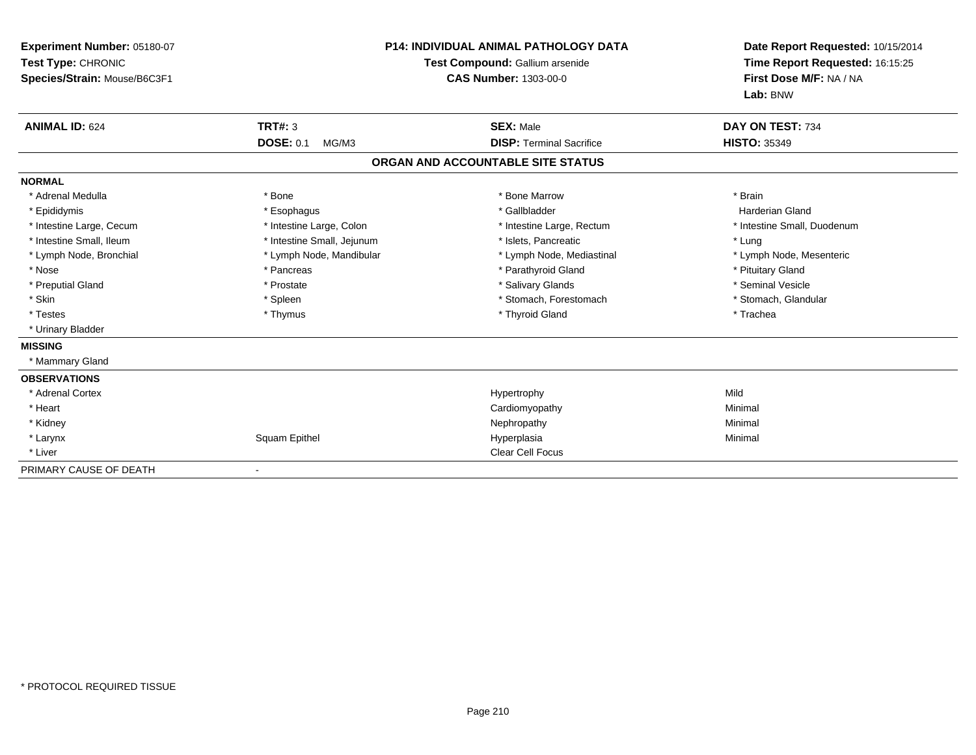| Experiment Number: 05180-07<br>Test Type: CHRONIC<br>Species/Strain: Mouse/B6C3F1 |                            | <b>P14: INDIVIDUAL ANIMAL PATHOLOGY DATA</b><br>Test Compound: Gallium arsenide<br><b>CAS Number: 1303-00-0</b> | Date Report Requested: 10/15/2014<br>Time Report Requested: 16:15:25<br>First Dose M/F: NA / NA<br>Lab: BNW |  |
|-----------------------------------------------------------------------------------|----------------------------|-----------------------------------------------------------------------------------------------------------------|-------------------------------------------------------------------------------------------------------------|--|
| <b>ANIMAL ID: 624</b>                                                             | <b>TRT#: 3</b>             | <b>SEX: Male</b>                                                                                                | DAY ON TEST: 734                                                                                            |  |
|                                                                                   | <b>DOSE: 0.1</b><br>MG/M3  | <b>DISP: Terminal Sacrifice</b>                                                                                 | <b>HISTO: 35349</b>                                                                                         |  |
|                                                                                   |                            | ORGAN AND ACCOUNTABLE SITE STATUS                                                                               |                                                                                                             |  |
| <b>NORMAL</b>                                                                     |                            |                                                                                                                 |                                                                                                             |  |
| * Adrenal Medulla                                                                 | * Bone                     | * Bone Marrow                                                                                                   | * Brain                                                                                                     |  |
| * Epididymis                                                                      | * Esophagus                | * Gallbladder                                                                                                   | <b>Harderian Gland</b>                                                                                      |  |
| * Intestine Large, Cecum                                                          | * Intestine Large, Colon   | * Intestine Large, Rectum                                                                                       | * Intestine Small, Duodenum                                                                                 |  |
| * Intestine Small, Ileum                                                          | * Intestine Small, Jejunum | * Islets. Pancreatic                                                                                            | * Lung                                                                                                      |  |
| * Lymph Node, Bronchial                                                           | * Lymph Node, Mandibular   | * Lymph Node, Mediastinal                                                                                       | * Lymph Node, Mesenteric                                                                                    |  |
| * Nose                                                                            | * Pancreas                 | * Parathyroid Gland                                                                                             | * Pituitary Gland                                                                                           |  |
| * Preputial Gland                                                                 | * Prostate                 | * Salivary Glands                                                                                               | * Seminal Vesicle                                                                                           |  |
| * Skin                                                                            | * Spleen                   | * Stomach, Forestomach                                                                                          | * Stomach, Glandular                                                                                        |  |
| * Testes                                                                          | * Thymus                   | * Thyroid Gland                                                                                                 | * Trachea                                                                                                   |  |
| * Urinary Bladder                                                                 |                            |                                                                                                                 |                                                                                                             |  |
| <b>MISSING</b>                                                                    |                            |                                                                                                                 |                                                                                                             |  |
| * Mammary Gland                                                                   |                            |                                                                                                                 |                                                                                                             |  |
| <b>OBSERVATIONS</b>                                                               |                            |                                                                                                                 |                                                                                                             |  |
| * Adrenal Cortex                                                                  |                            | Hypertrophy                                                                                                     | Mild                                                                                                        |  |
| * Heart                                                                           |                            | Cardiomyopathy                                                                                                  | Minimal                                                                                                     |  |
| * Kidney                                                                          |                            | Nephropathy                                                                                                     | Minimal                                                                                                     |  |
| * Larynx                                                                          | Squam Epithel              | Hyperplasia                                                                                                     | Minimal                                                                                                     |  |
| * Liver                                                                           |                            | Clear Cell Focus                                                                                                |                                                                                                             |  |
| PRIMARY CAUSE OF DEATH                                                            | $\blacksquare$             |                                                                                                                 |                                                                                                             |  |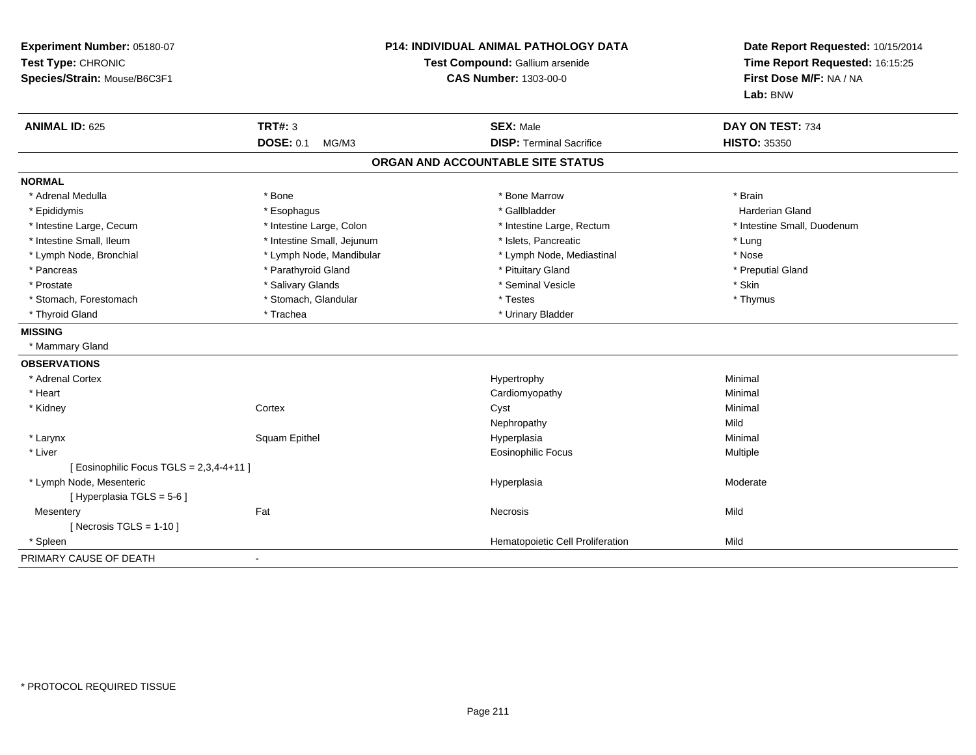| Experiment Number: 05180-07<br>Test Type: CHRONIC<br>Species/Strain: Mouse/B6C3F1 | <b>P14: INDIVIDUAL ANIMAL PATHOLOGY DATA</b><br>Test Compound: Gallium arsenide<br><b>CAS Number: 1303-00-0</b> |                                   | Date Report Requested: 10/15/2014<br>Time Report Requested: 16:15:25<br>First Dose M/F: NA / NA<br>Lab: BNW |  |
|-----------------------------------------------------------------------------------|-----------------------------------------------------------------------------------------------------------------|-----------------------------------|-------------------------------------------------------------------------------------------------------------|--|
| <b>ANIMAL ID: 625</b>                                                             | <b>TRT#: 3</b>                                                                                                  | <b>SEX: Male</b>                  | DAY ON TEST: 734                                                                                            |  |
|                                                                                   | <b>DOSE: 0.1</b><br>MG/M3                                                                                       | <b>DISP: Terminal Sacrifice</b>   | <b>HISTO: 35350</b>                                                                                         |  |
|                                                                                   |                                                                                                                 | ORGAN AND ACCOUNTABLE SITE STATUS |                                                                                                             |  |
| <b>NORMAL</b>                                                                     |                                                                                                                 |                                   |                                                                                                             |  |
| * Adrenal Medulla                                                                 | * Bone                                                                                                          | * Bone Marrow                     | * Brain                                                                                                     |  |
| * Epididymis                                                                      | * Esophagus                                                                                                     | * Gallbladder                     | <b>Harderian Gland</b>                                                                                      |  |
| * Intestine Large, Cecum                                                          | * Intestine Large, Colon                                                                                        | * Intestine Large, Rectum         | * Intestine Small, Duodenum                                                                                 |  |
| * Intestine Small, Ileum                                                          | * Intestine Small, Jejunum                                                                                      | * Islets, Pancreatic              | * Lung                                                                                                      |  |
| * Lymph Node, Bronchial                                                           | * Lymph Node, Mandibular                                                                                        | * Lymph Node, Mediastinal         | * Nose                                                                                                      |  |
| * Pancreas                                                                        | * Parathyroid Gland                                                                                             | * Pituitary Gland                 | * Preputial Gland                                                                                           |  |
| * Prostate                                                                        | * Salivary Glands                                                                                               | * Seminal Vesicle                 | * Skin                                                                                                      |  |
| * Stomach, Forestomach                                                            | * Stomach, Glandular                                                                                            | * Testes                          | * Thymus                                                                                                    |  |
| * Thyroid Gland                                                                   | * Trachea                                                                                                       | * Urinary Bladder                 |                                                                                                             |  |
| <b>MISSING</b>                                                                    |                                                                                                                 |                                   |                                                                                                             |  |
| * Mammary Gland                                                                   |                                                                                                                 |                                   |                                                                                                             |  |
| <b>OBSERVATIONS</b>                                                               |                                                                                                                 |                                   |                                                                                                             |  |
| * Adrenal Cortex                                                                  |                                                                                                                 | Hypertrophy                       | Minimal                                                                                                     |  |
| * Heart                                                                           |                                                                                                                 | Cardiomyopathy                    | Minimal                                                                                                     |  |
| * Kidney                                                                          | Cortex                                                                                                          | Cyst                              | Minimal                                                                                                     |  |
|                                                                                   |                                                                                                                 | Nephropathy                       | Mild                                                                                                        |  |
| * Larynx                                                                          | Squam Epithel                                                                                                   | Hyperplasia                       | Minimal                                                                                                     |  |
| * Liver                                                                           |                                                                                                                 | <b>Eosinophilic Focus</b>         | Multiple                                                                                                    |  |
| [ Eosinophilic Focus TGLS = 2,3,4-4+11 ]                                          |                                                                                                                 |                                   |                                                                                                             |  |
| * Lymph Node, Mesenteric                                                          |                                                                                                                 | Hyperplasia                       | Moderate                                                                                                    |  |
| [ Hyperplasia TGLS = 5-6 ]                                                        |                                                                                                                 |                                   |                                                                                                             |  |
| Mesentery                                                                         | Fat                                                                                                             | <b>Necrosis</b>                   | Mild                                                                                                        |  |
| [ Necrosis TGLS = $1-10$ ]                                                        |                                                                                                                 |                                   |                                                                                                             |  |
| * Spleen                                                                          |                                                                                                                 | Hematopoietic Cell Proliferation  | Mild                                                                                                        |  |
| PRIMARY CAUSE OF DEATH                                                            | $\sim$                                                                                                          |                                   |                                                                                                             |  |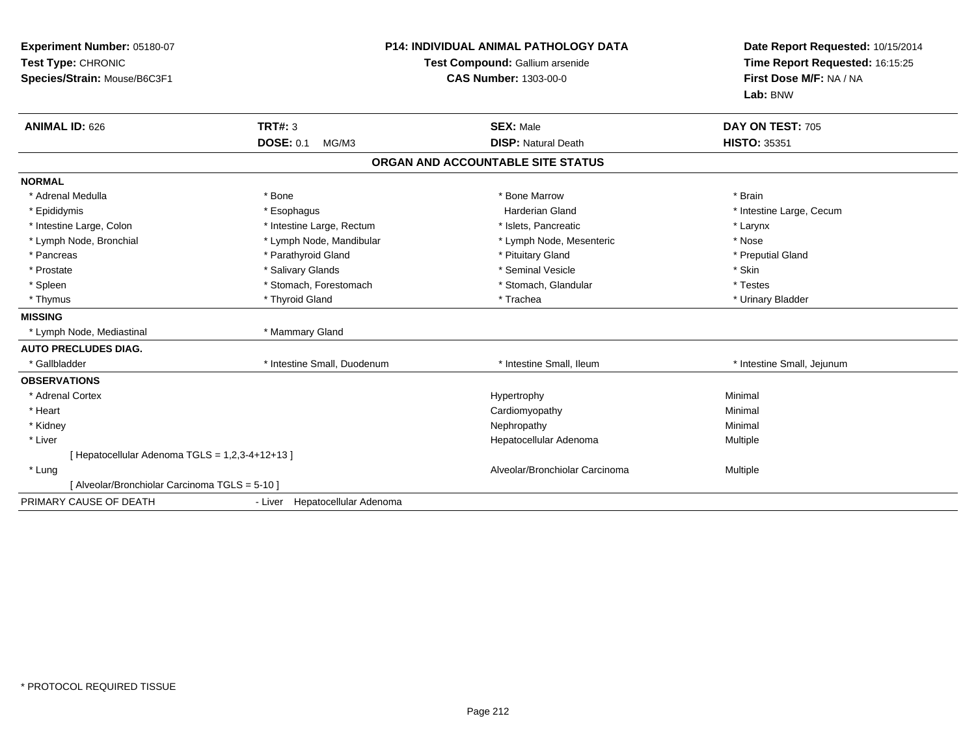| Experiment Number: 05180-07<br>Test Type: CHRONIC<br>Species/Strain: Mouse/B6C3F1<br><b>ANIMAL ID: 626</b> | <b>P14: INDIVIDUAL ANIMAL PATHOLOGY DATA</b><br>Test Compound: Gallium arsenide<br><b>CAS Number: 1303-00-0</b><br>TRT#: 3<br><b>SEX: Male</b><br><b>DOSE: 0.1</b><br><b>DISP: Natural Death</b><br>MG/M3 |                                   | Date Report Requested: 10/15/2014<br>Time Report Requested: 16:15:25<br>First Dose M/F: NA / NA<br>Lab: BNW<br>DAY ON TEST: 705<br><b>HISTO: 35351</b> |
|------------------------------------------------------------------------------------------------------------|-----------------------------------------------------------------------------------------------------------------------------------------------------------------------------------------------------------|-----------------------------------|--------------------------------------------------------------------------------------------------------------------------------------------------------|
|                                                                                                            |                                                                                                                                                                                                           | ORGAN AND ACCOUNTABLE SITE STATUS |                                                                                                                                                        |
| <b>NORMAL</b>                                                                                              |                                                                                                                                                                                                           |                                   |                                                                                                                                                        |
| * Adrenal Medulla                                                                                          | * Bone                                                                                                                                                                                                    | * Bone Marrow                     | * Brain                                                                                                                                                |
| * Epididymis                                                                                               | * Esophagus                                                                                                                                                                                               | Harderian Gland                   | * Intestine Large, Cecum                                                                                                                               |
| * Intestine Large, Colon                                                                                   | * Intestine Large, Rectum                                                                                                                                                                                 | * Islets, Pancreatic              | * Larynx                                                                                                                                               |
| * Lymph Node, Bronchial                                                                                    | * Lymph Node, Mandibular                                                                                                                                                                                  | * Lymph Node, Mesenteric          | * Nose                                                                                                                                                 |
| * Pancreas                                                                                                 | * Parathyroid Gland                                                                                                                                                                                       | * Pituitary Gland                 | * Preputial Gland                                                                                                                                      |
| * Prostate                                                                                                 | * Salivary Glands                                                                                                                                                                                         | * Seminal Vesicle                 | * Skin                                                                                                                                                 |
| * Spleen                                                                                                   | * Stomach, Forestomach                                                                                                                                                                                    | * Stomach, Glandular              | * Testes                                                                                                                                               |
| * Thymus                                                                                                   | * Thyroid Gland                                                                                                                                                                                           | * Trachea                         | * Urinary Bladder                                                                                                                                      |
| <b>MISSING</b>                                                                                             |                                                                                                                                                                                                           |                                   |                                                                                                                                                        |
| * Lymph Node, Mediastinal                                                                                  | * Mammary Gland                                                                                                                                                                                           |                                   |                                                                                                                                                        |
| <b>AUTO PRECLUDES DIAG.</b>                                                                                |                                                                                                                                                                                                           |                                   |                                                                                                                                                        |
| * Gallbladder                                                                                              | * Intestine Small, Duodenum                                                                                                                                                                               | * Intestine Small, Ileum          | * Intestine Small, Jejunum                                                                                                                             |
| <b>OBSERVATIONS</b>                                                                                        |                                                                                                                                                                                                           |                                   |                                                                                                                                                        |
| * Adrenal Cortex                                                                                           |                                                                                                                                                                                                           | Hypertrophy                       | Minimal                                                                                                                                                |
| * Heart                                                                                                    |                                                                                                                                                                                                           | Cardiomyopathy                    | Minimal                                                                                                                                                |
| * Kidney                                                                                                   |                                                                                                                                                                                                           | Nephropathy                       | Minimal                                                                                                                                                |
| * Liver                                                                                                    |                                                                                                                                                                                                           | Hepatocellular Adenoma            | <b>Multiple</b>                                                                                                                                        |
| [ Hepatocellular Adenoma TGLS = 1,2,3-4+12+13 ]                                                            |                                                                                                                                                                                                           |                                   |                                                                                                                                                        |
| * Lung                                                                                                     |                                                                                                                                                                                                           | Alveolar/Bronchiolar Carcinoma    | Multiple                                                                                                                                               |
| [ Alveolar/Bronchiolar Carcinoma TGLS = 5-10 ]                                                             |                                                                                                                                                                                                           |                                   |                                                                                                                                                        |
| PRIMARY CAUSE OF DEATH                                                                                     | - Liver Hepatocellular Adenoma                                                                                                                                                                            |                                   |                                                                                                                                                        |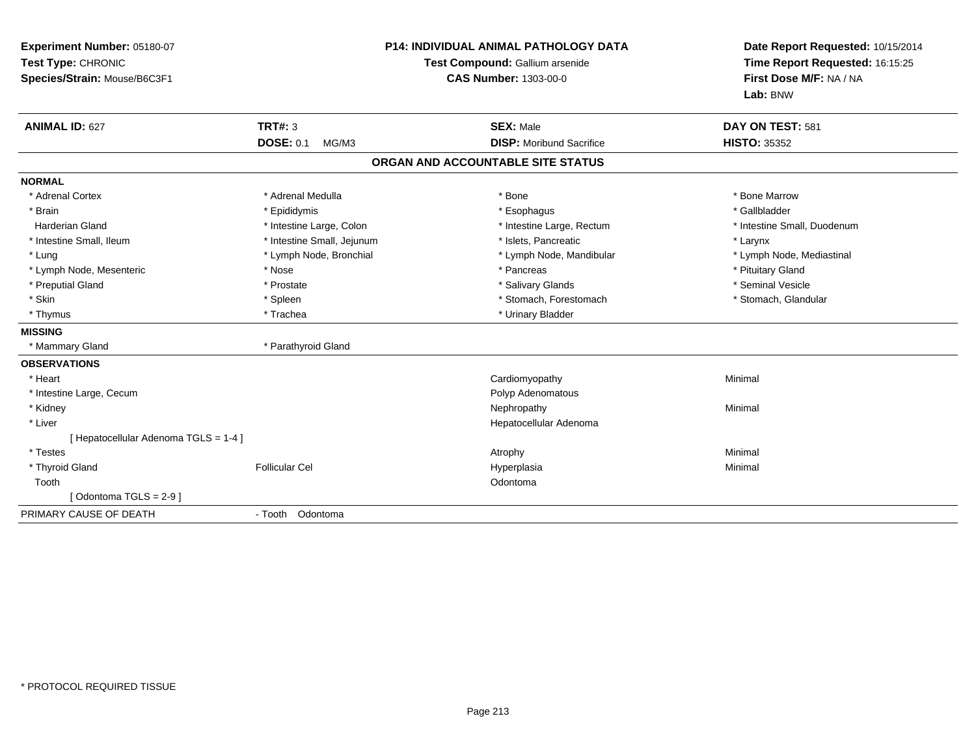| Experiment Number: 05180-07<br>Test Type: CHRONIC<br>Species/Strain: Mouse/B6C3F1 | <b>P14: INDIVIDUAL ANIMAL PATHOLOGY DATA</b><br>Test Compound: Gallium arsenide<br><b>CAS Number: 1303-00-0</b> |                                   | Date Report Requested: 10/15/2014<br>Time Report Requested: 16:15:25<br>First Dose M/F: NA / NA<br>Lab: BNW |  |
|-----------------------------------------------------------------------------------|-----------------------------------------------------------------------------------------------------------------|-----------------------------------|-------------------------------------------------------------------------------------------------------------|--|
| <b>ANIMAL ID: 627</b>                                                             | <b>TRT#: 3</b>                                                                                                  | <b>SEX: Male</b>                  | DAY ON TEST: 581                                                                                            |  |
|                                                                                   | <b>DOSE: 0.1</b><br>MG/M3                                                                                       | <b>DISP:</b> Moribund Sacrifice   | <b>HISTO: 35352</b>                                                                                         |  |
|                                                                                   |                                                                                                                 | ORGAN AND ACCOUNTABLE SITE STATUS |                                                                                                             |  |
| <b>NORMAL</b>                                                                     |                                                                                                                 |                                   |                                                                                                             |  |
| * Adrenal Cortex                                                                  | * Adrenal Medulla                                                                                               | * Bone                            | * Bone Marrow                                                                                               |  |
| * Brain                                                                           | * Epididymis                                                                                                    | * Esophagus                       | * Gallbladder                                                                                               |  |
| <b>Harderian Gland</b>                                                            | * Intestine Large, Colon                                                                                        | * Intestine Large, Rectum         | * Intestine Small, Duodenum                                                                                 |  |
| * Intestine Small, Ileum                                                          | * Intestine Small, Jejunum                                                                                      | * Islets, Pancreatic              | * Larynx                                                                                                    |  |
| * Lung                                                                            | * Lymph Node, Bronchial                                                                                         | * Lymph Node, Mandibular          | * Lymph Node, Mediastinal                                                                                   |  |
| * Lymph Node, Mesenteric                                                          | * Nose                                                                                                          | * Pancreas                        | * Pituitary Gland                                                                                           |  |
| * Preputial Gland                                                                 | * Prostate                                                                                                      | * Salivary Glands                 | * Seminal Vesicle                                                                                           |  |
| * Skin                                                                            | * Spleen                                                                                                        | * Stomach, Forestomach            | * Stomach, Glandular                                                                                        |  |
| * Thymus                                                                          | * Trachea                                                                                                       | * Urinary Bladder                 |                                                                                                             |  |
| <b>MISSING</b>                                                                    |                                                                                                                 |                                   |                                                                                                             |  |
| * Mammary Gland                                                                   | * Parathyroid Gland                                                                                             |                                   |                                                                                                             |  |
| <b>OBSERVATIONS</b>                                                               |                                                                                                                 |                                   |                                                                                                             |  |
| * Heart                                                                           |                                                                                                                 | Cardiomyopathy                    | Minimal                                                                                                     |  |
| * Intestine Large, Cecum                                                          |                                                                                                                 | Polyp Adenomatous                 |                                                                                                             |  |
| * Kidney                                                                          |                                                                                                                 | Nephropathy                       | Minimal                                                                                                     |  |
| * Liver                                                                           |                                                                                                                 | Hepatocellular Adenoma            |                                                                                                             |  |
| [ Hepatocellular Adenoma TGLS = 1-4 ]                                             |                                                                                                                 |                                   |                                                                                                             |  |
| * Testes                                                                          |                                                                                                                 | Atrophy                           | Minimal                                                                                                     |  |
| * Thyroid Gland                                                                   | <b>Follicular Cel</b>                                                                                           | Hyperplasia                       | Minimal                                                                                                     |  |
| Tooth                                                                             |                                                                                                                 | Odontoma                          |                                                                                                             |  |
| [Odontoma TGLS = $2-9$ ]                                                          |                                                                                                                 |                                   |                                                                                                             |  |
| PRIMARY CAUSE OF DEATH                                                            | - Tooth Odontoma                                                                                                |                                   |                                                                                                             |  |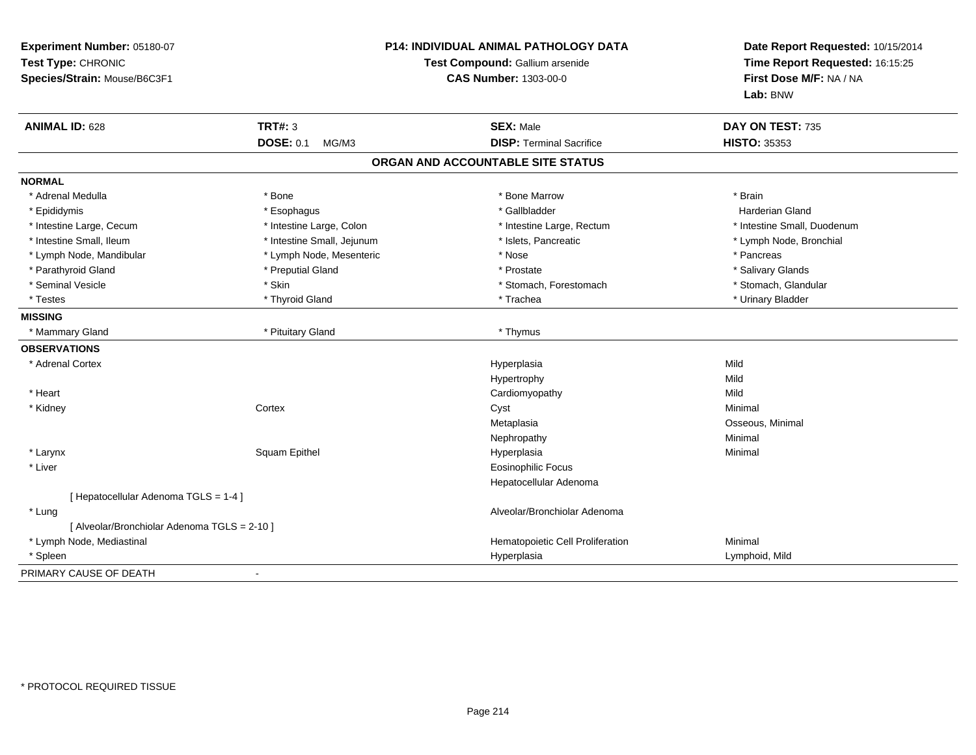| Experiment Number: 05180-07<br>Test Type: CHRONIC<br>Species/Strain: Mouse/B6C3F1 | P14: INDIVIDUAL ANIMAL PATHOLOGY DATA<br>Test Compound: Gallium arsenide<br><b>CAS Number: 1303-00-0</b> |                                   | Date Report Requested: 10/15/2014<br>Time Report Requested: 16:15:25<br>First Dose M/F: NA / NA<br>Lab: BNW |  |
|-----------------------------------------------------------------------------------|----------------------------------------------------------------------------------------------------------|-----------------------------------|-------------------------------------------------------------------------------------------------------------|--|
| <b>ANIMAL ID: 628</b>                                                             | <b>TRT#: 3</b>                                                                                           | <b>SEX: Male</b>                  | DAY ON TEST: 735                                                                                            |  |
|                                                                                   | <b>DOSE: 0.1</b><br>MG/M3                                                                                | <b>DISP: Terminal Sacrifice</b>   | <b>HISTO: 35353</b>                                                                                         |  |
|                                                                                   |                                                                                                          | ORGAN AND ACCOUNTABLE SITE STATUS |                                                                                                             |  |
| <b>NORMAL</b>                                                                     |                                                                                                          |                                   |                                                                                                             |  |
| * Adrenal Medulla                                                                 | * Bone                                                                                                   | * Bone Marrow                     | * Brain                                                                                                     |  |
| * Epididymis                                                                      | * Esophagus                                                                                              | * Gallbladder                     | Harderian Gland                                                                                             |  |
| * Intestine Large, Cecum                                                          | * Intestine Large, Colon                                                                                 | * Intestine Large, Rectum         | * Intestine Small, Duodenum                                                                                 |  |
| * Intestine Small, Ileum                                                          | * Intestine Small, Jejunum                                                                               | * Islets, Pancreatic              | * Lymph Node, Bronchial                                                                                     |  |
| * Lymph Node, Mandibular                                                          | * Lymph Node, Mesenteric                                                                                 | * Nose                            | * Pancreas                                                                                                  |  |
| * Parathyroid Gland                                                               | * Preputial Gland                                                                                        | * Prostate                        | * Salivary Glands                                                                                           |  |
| * Seminal Vesicle                                                                 | * Skin                                                                                                   | * Stomach, Forestomach            | * Stomach, Glandular                                                                                        |  |
| * Testes                                                                          | * Thyroid Gland                                                                                          | * Trachea                         | * Urinary Bladder                                                                                           |  |
| <b>MISSING</b>                                                                    |                                                                                                          |                                   |                                                                                                             |  |
| * Mammary Gland                                                                   | * Pituitary Gland                                                                                        | * Thymus                          |                                                                                                             |  |
| <b>OBSERVATIONS</b>                                                               |                                                                                                          |                                   |                                                                                                             |  |
| * Adrenal Cortex                                                                  |                                                                                                          | Hyperplasia                       | Mild                                                                                                        |  |
|                                                                                   |                                                                                                          | Hypertrophy                       | Mild                                                                                                        |  |
| * Heart                                                                           |                                                                                                          | Cardiomyopathy                    | Mild                                                                                                        |  |
| * Kidney                                                                          | Cortex                                                                                                   | Cyst                              | Minimal                                                                                                     |  |
|                                                                                   |                                                                                                          | Metaplasia                        | Osseous, Minimal                                                                                            |  |
|                                                                                   |                                                                                                          | Nephropathy                       | Minimal                                                                                                     |  |
| * Larynx                                                                          | Squam Epithel                                                                                            | Hyperplasia                       | Minimal                                                                                                     |  |
| * Liver                                                                           |                                                                                                          | <b>Eosinophilic Focus</b>         |                                                                                                             |  |
|                                                                                   |                                                                                                          | Hepatocellular Adenoma            |                                                                                                             |  |
| [ Hepatocellular Adenoma TGLS = 1-4 ]                                             |                                                                                                          |                                   |                                                                                                             |  |
| * Lung                                                                            |                                                                                                          | Alveolar/Bronchiolar Adenoma      |                                                                                                             |  |
| [ Alveolar/Bronchiolar Adenoma TGLS = 2-10 ]                                      |                                                                                                          |                                   |                                                                                                             |  |
| * Lymph Node, Mediastinal                                                         |                                                                                                          | Hematopoietic Cell Proliferation  | Minimal                                                                                                     |  |
| * Spleen                                                                          |                                                                                                          | Hyperplasia                       | Lymphoid, Mild                                                                                              |  |
| PRIMARY CAUSE OF DEATH                                                            |                                                                                                          |                                   |                                                                                                             |  |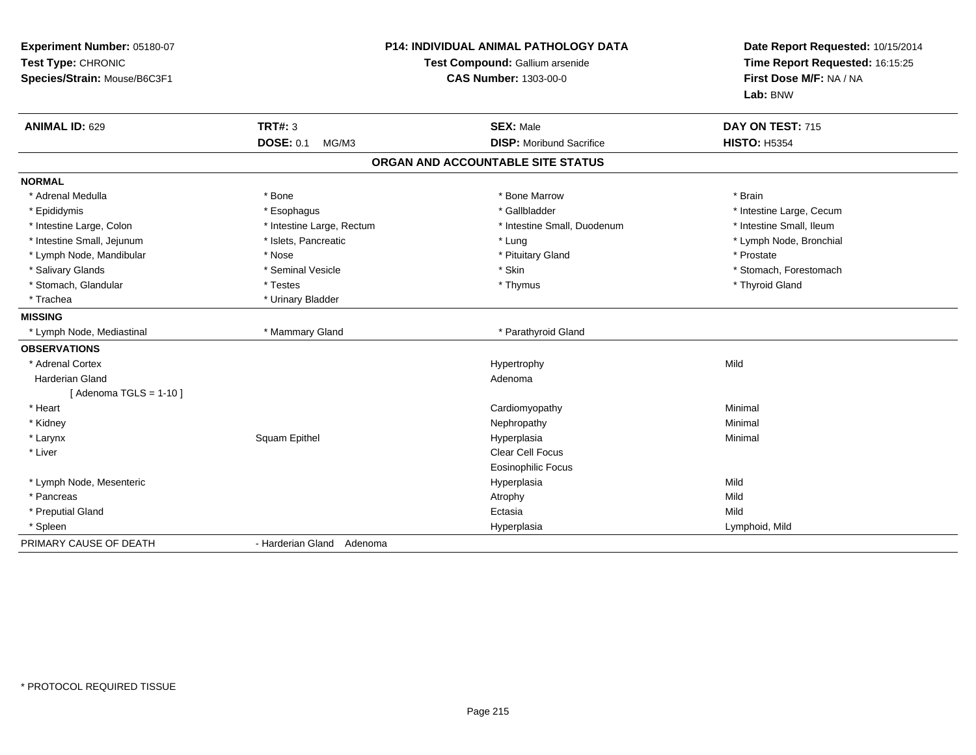| Experiment Number: 05180-07<br>Test Type: CHRONIC<br>Species/Strain: Mouse/B6C3F1 | <b>P14: INDIVIDUAL ANIMAL PATHOLOGY DATA</b><br>Test Compound: Gallium arsenide<br><b>CAS Number: 1303-00-0</b> |                                   | Date Report Requested: 10/15/2014<br>Time Report Requested: 16:15:25<br>First Dose M/F: NA / NA<br>Lab: BNW |
|-----------------------------------------------------------------------------------|-----------------------------------------------------------------------------------------------------------------|-----------------------------------|-------------------------------------------------------------------------------------------------------------|
| <b>ANIMAL ID: 629</b>                                                             | <b>TRT#: 3</b>                                                                                                  | <b>SEX: Male</b>                  | DAY ON TEST: 715                                                                                            |
|                                                                                   | <b>DOSE: 0.1</b><br>MG/M3                                                                                       | <b>DISP:</b> Moribund Sacrifice   | <b>HISTO: H5354</b>                                                                                         |
|                                                                                   |                                                                                                                 | ORGAN AND ACCOUNTABLE SITE STATUS |                                                                                                             |
| <b>NORMAL</b>                                                                     |                                                                                                                 |                                   |                                                                                                             |
| * Adrenal Medulla                                                                 | * Bone                                                                                                          | * Bone Marrow                     | * Brain                                                                                                     |
| * Epididymis                                                                      | * Esophagus                                                                                                     | * Gallbladder                     | * Intestine Large, Cecum                                                                                    |
| * Intestine Large, Colon                                                          | * Intestine Large, Rectum                                                                                       | * Intestine Small, Duodenum       | * Intestine Small, Ileum                                                                                    |
| * Intestine Small, Jejunum                                                        | * Islets, Pancreatic                                                                                            | * Lung                            | * Lymph Node, Bronchial                                                                                     |
| * Lymph Node, Mandibular                                                          | * Nose                                                                                                          | * Pituitary Gland                 | * Prostate                                                                                                  |
| * Salivary Glands                                                                 | * Seminal Vesicle                                                                                               | * Skin                            | * Stomach, Forestomach                                                                                      |
| * Stomach, Glandular                                                              | * Testes                                                                                                        | * Thymus                          | * Thyroid Gland                                                                                             |
| * Trachea                                                                         | * Urinary Bladder                                                                                               |                                   |                                                                                                             |
| <b>MISSING</b>                                                                    |                                                                                                                 |                                   |                                                                                                             |
| * Lymph Node, Mediastinal                                                         | * Mammary Gland                                                                                                 | * Parathyroid Gland               |                                                                                                             |
| <b>OBSERVATIONS</b>                                                               |                                                                                                                 |                                   |                                                                                                             |
| * Adrenal Cortex                                                                  |                                                                                                                 | Hypertrophy                       | Mild                                                                                                        |
| <b>Harderian Gland</b>                                                            |                                                                                                                 | Adenoma                           |                                                                                                             |
| [Adenoma TGLS = $1-10$ ]                                                          |                                                                                                                 |                                   |                                                                                                             |
| * Heart                                                                           |                                                                                                                 | Cardiomyopathy                    | Minimal                                                                                                     |
| * Kidney                                                                          |                                                                                                                 | Nephropathy                       | Minimal                                                                                                     |
| * Larynx                                                                          | Squam Epithel                                                                                                   | Hyperplasia                       | Minimal                                                                                                     |
| * Liver                                                                           |                                                                                                                 | Clear Cell Focus                  |                                                                                                             |
|                                                                                   |                                                                                                                 | <b>Eosinophilic Focus</b>         |                                                                                                             |
| * Lymph Node, Mesenteric                                                          |                                                                                                                 | Hyperplasia                       | Mild                                                                                                        |
| * Pancreas                                                                        |                                                                                                                 | Atrophy                           | Mild                                                                                                        |
| * Preputial Gland                                                                 |                                                                                                                 | Ectasia                           | Mild                                                                                                        |
| * Spleen                                                                          |                                                                                                                 | Hyperplasia                       | Lymphoid, Mild                                                                                              |
| PRIMARY CAUSE OF DEATH                                                            | - Harderian Gland Adenoma                                                                                       |                                   |                                                                                                             |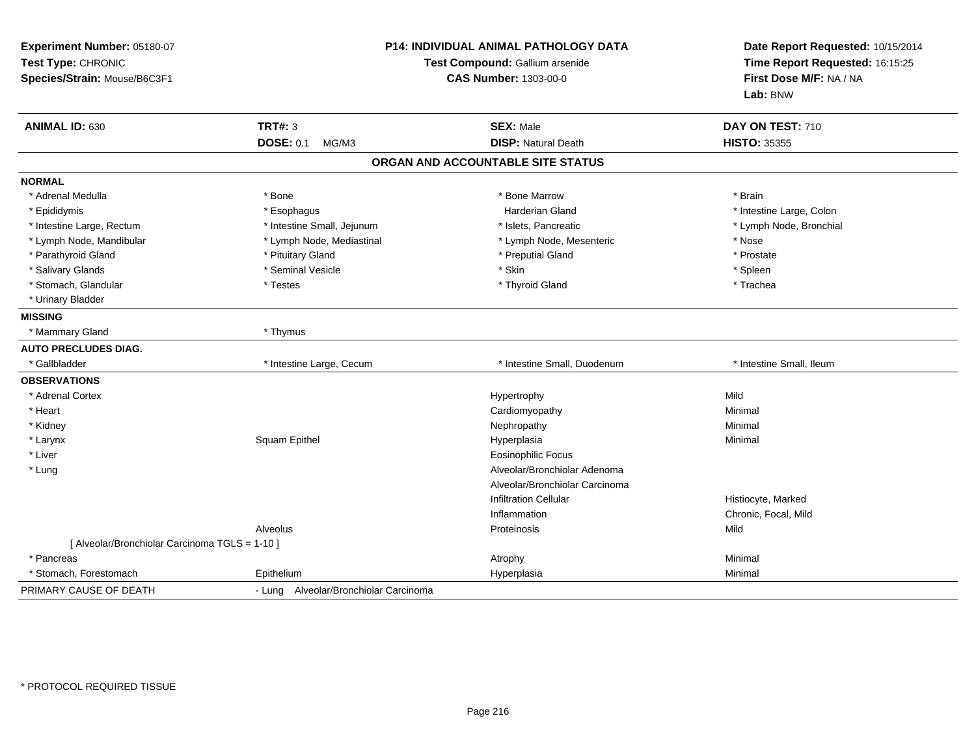| Experiment Number: 05180-07<br>Test Type: CHRONIC<br>Species/Strain: Mouse/B6C3F1 | P14: INDIVIDUAL ANIMAL PATHOLOGY DATA<br>Test Compound: Gallium arsenide<br><b>CAS Number: 1303-00-0</b> |                                   | Date Report Requested: 10/15/2014<br>Time Report Requested: 16:15:25<br>First Dose M/F: NA / NA<br>Lab: BNW |  |
|-----------------------------------------------------------------------------------|----------------------------------------------------------------------------------------------------------|-----------------------------------|-------------------------------------------------------------------------------------------------------------|--|
| ANIMAL ID: 630                                                                    | <b>TRT#: 3</b>                                                                                           | <b>SEX: Male</b>                  | DAY ON TEST: 710                                                                                            |  |
|                                                                                   | <b>DOSE: 0.1</b><br>MG/M3                                                                                | <b>DISP: Natural Death</b>        | <b>HISTO: 35355</b>                                                                                         |  |
|                                                                                   |                                                                                                          | ORGAN AND ACCOUNTABLE SITE STATUS |                                                                                                             |  |
| <b>NORMAL</b>                                                                     |                                                                                                          |                                   |                                                                                                             |  |
| * Adrenal Medulla                                                                 | * Bone                                                                                                   | * Bone Marrow                     | * Brain                                                                                                     |  |
| * Epididymis                                                                      | * Esophagus                                                                                              | <b>Harderian Gland</b>            | * Intestine Large, Colon                                                                                    |  |
| * Intestine Large, Rectum                                                         | * Intestine Small, Jejunum                                                                               | * Islets, Pancreatic              | * Lymph Node, Bronchial                                                                                     |  |
| * Lymph Node, Mandibular                                                          | * Lymph Node, Mediastinal                                                                                | * Lymph Node, Mesenteric          | * Nose                                                                                                      |  |
| * Parathyroid Gland                                                               | * Pituitary Gland                                                                                        | * Preputial Gland                 | * Prostate                                                                                                  |  |
| * Salivary Glands                                                                 | * Seminal Vesicle                                                                                        | * Skin                            | * Spleen                                                                                                    |  |
| * Stomach, Glandular                                                              | * Testes                                                                                                 | * Thyroid Gland                   | * Trachea                                                                                                   |  |
| * Urinary Bladder                                                                 |                                                                                                          |                                   |                                                                                                             |  |
| <b>MISSING</b>                                                                    |                                                                                                          |                                   |                                                                                                             |  |
| * Mammary Gland                                                                   | * Thymus                                                                                                 |                                   |                                                                                                             |  |
| <b>AUTO PRECLUDES DIAG.</b>                                                       |                                                                                                          |                                   |                                                                                                             |  |
| * Gallbladder                                                                     | * Intestine Large, Cecum                                                                                 | * Intestine Small, Duodenum       | * Intestine Small, Ileum                                                                                    |  |
| <b>OBSERVATIONS</b>                                                               |                                                                                                          |                                   |                                                                                                             |  |
| * Adrenal Cortex                                                                  |                                                                                                          | Hypertrophy                       | Mild                                                                                                        |  |
| * Heart                                                                           |                                                                                                          | Cardiomyopathy                    | Minimal                                                                                                     |  |
| * Kidney                                                                          |                                                                                                          | Nephropathy                       | Minimal                                                                                                     |  |
| * Larynx                                                                          | <b>Squam Epithel</b>                                                                                     | Hyperplasia                       | Minimal                                                                                                     |  |
| * Liver                                                                           |                                                                                                          | <b>Eosinophilic Focus</b>         |                                                                                                             |  |
| * Lung                                                                            |                                                                                                          | Alveolar/Bronchiolar Adenoma      |                                                                                                             |  |
|                                                                                   |                                                                                                          | Alveolar/Bronchiolar Carcinoma    |                                                                                                             |  |
|                                                                                   |                                                                                                          | <b>Infiltration Cellular</b>      | Histiocyte, Marked                                                                                          |  |
|                                                                                   |                                                                                                          | Inflammation                      | Chronic, Focal, Mild                                                                                        |  |
|                                                                                   | Alveolus                                                                                                 | Proteinosis                       | Mild                                                                                                        |  |
| [ Alveolar/Bronchiolar Carcinoma TGLS = 1-10 ]                                    |                                                                                                          |                                   |                                                                                                             |  |
| * Pancreas                                                                        |                                                                                                          | Atrophy                           | Minimal                                                                                                     |  |
| * Stomach, Forestomach                                                            | Epithelium                                                                                               | Hyperplasia                       | Minimal                                                                                                     |  |
| PRIMARY CAUSE OF DEATH                                                            | - Lung Alveolar/Bronchiolar Carcinoma                                                                    |                                   |                                                                                                             |  |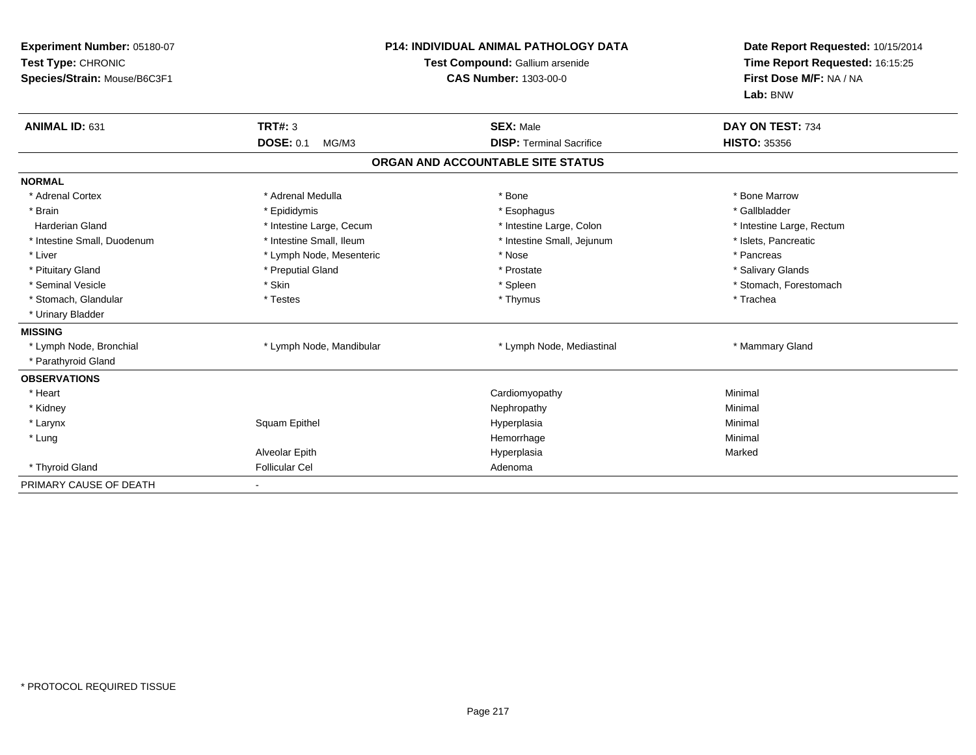| Experiment Number: 05180-07<br>Test Type: CHRONIC<br>Species/Strain: Mouse/B6C3F1 |                           | <b>P14: INDIVIDUAL ANIMAL PATHOLOGY DATA</b><br>Test Compound: Gallium arsenide<br><b>CAS Number: 1303-00-0</b> | Date Report Requested: 10/15/2014<br>Time Report Requested: 16:15:25<br>First Dose M/F: NA / NA<br>Lab: BNW |  |
|-----------------------------------------------------------------------------------|---------------------------|-----------------------------------------------------------------------------------------------------------------|-------------------------------------------------------------------------------------------------------------|--|
| ANIMAL ID: 631                                                                    | <b>TRT#: 3</b>            | <b>SEX: Male</b>                                                                                                | DAY ON TEST: 734                                                                                            |  |
|                                                                                   | <b>DOSE: 0.1</b><br>MG/M3 | <b>DISP: Terminal Sacrifice</b>                                                                                 | <b>HISTO: 35356</b>                                                                                         |  |
|                                                                                   |                           | ORGAN AND ACCOUNTABLE SITE STATUS                                                                               |                                                                                                             |  |
| <b>NORMAL</b>                                                                     |                           |                                                                                                                 |                                                                                                             |  |
| * Adrenal Cortex                                                                  | * Adrenal Medulla         | * Bone                                                                                                          | * Bone Marrow                                                                                               |  |
| * Brain                                                                           | * Epididymis              | * Esophagus                                                                                                     | * Gallbladder                                                                                               |  |
| <b>Harderian Gland</b>                                                            | * Intestine Large, Cecum  | * Intestine Large, Colon                                                                                        | * Intestine Large, Rectum                                                                                   |  |
| * Intestine Small, Duodenum                                                       | * Intestine Small, Ileum  | * Intestine Small, Jejunum                                                                                      | * Islets, Pancreatic                                                                                        |  |
| * Liver                                                                           | * Lymph Node, Mesenteric  | * Nose                                                                                                          | * Pancreas                                                                                                  |  |
| * Pituitary Gland                                                                 | * Preputial Gland         | * Prostate                                                                                                      | * Salivary Glands                                                                                           |  |
| * Seminal Vesicle                                                                 | * Skin                    | * Spleen                                                                                                        | * Stomach, Forestomach                                                                                      |  |
| * Stomach, Glandular                                                              | * Testes                  | * Thymus                                                                                                        | * Trachea                                                                                                   |  |
| * Urinary Bladder                                                                 |                           |                                                                                                                 |                                                                                                             |  |
| <b>MISSING</b>                                                                    |                           |                                                                                                                 |                                                                                                             |  |
| * Lymph Node, Bronchial                                                           | * Lymph Node, Mandibular  | * Lymph Node, Mediastinal                                                                                       | * Mammary Gland                                                                                             |  |
| * Parathyroid Gland                                                               |                           |                                                                                                                 |                                                                                                             |  |
| <b>OBSERVATIONS</b>                                                               |                           |                                                                                                                 |                                                                                                             |  |
| * Heart                                                                           |                           | Cardiomyopathy                                                                                                  | Minimal                                                                                                     |  |
| * Kidney                                                                          |                           | Nephropathy                                                                                                     | Minimal                                                                                                     |  |
| * Larynx                                                                          | Squam Epithel             | Hyperplasia                                                                                                     | Minimal                                                                                                     |  |
| * Lung                                                                            |                           | Hemorrhage                                                                                                      | Minimal                                                                                                     |  |
|                                                                                   | Alveolar Epith            | Hyperplasia                                                                                                     | Marked                                                                                                      |  |
| * Thyroid Gland                                                                   | <b>Follicular Cel</b>     | Adenoma                                                                                                         |                                                                                                             |  |
| PRIMARY CAUSE OF DEATH                                                            |                           |                                                                                                                 |                                                                                                             |  |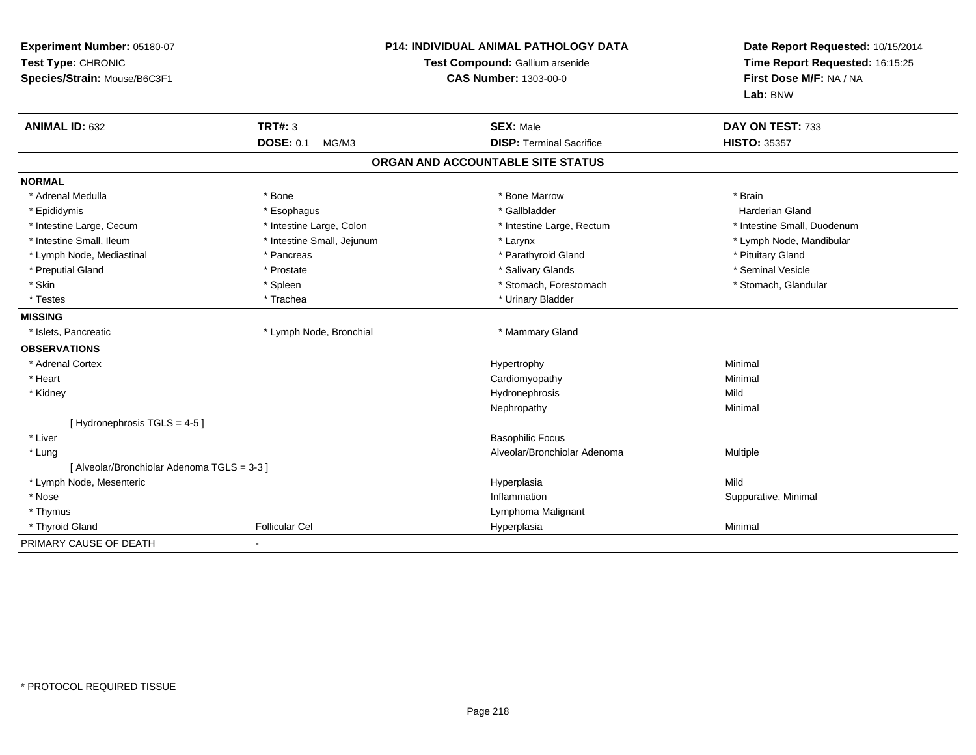| Experiment Number: 05180-07<br>Test Type: CHRONIC<br>Species/Strain: Mouse/B6C3F1<br><b>CAS Number: 1303-00-0</b> |                            | <b>P14: INDIVIDUAL ANIMAL PATHOLOGY DATA</b><br>Test Compound: Gallium arsenide | Date Report Requested: 10/15/2014<br>Time Report Requested: 16:15:25<br>First Dose M/F: NA / NA<br>Lab: BNW |  |
|-------------------------------------------------------------------------------------------------------------------|----------------------------|---------------------------------------------------------------------------------|-------------------------------------------------------------------------------------------------------------|--|
| <b>ANIMAL ID: 632</b>                                                                                             | <b>TRT#: 3</b>             | <b>SEX: Male</b>                                                                | DAY ON TEST: 733                                                                                            |  |
|                                                                                                                   | <b>DOSE: 0.1</b><br>MG/M3  | <b>DISP: Terminal Sacrifice</b>                                                 | <b>HISTO: 35357</b>                                                                                         |  |
|                                                                                                                   |                            | ORGAN AND ACCOUNTABLE SITE STATUS                                               |                                                                                                             |  |
| <b>NORMAL</b>                                                                                                     |                            |                                                                                 |                                                                                                             |  |
| * Adrenal Medulla                                                                                                 | * Bone                     | * Bone Marrow                                                                   | * Brain                                                                                                     |  |
| * Epididymis                                                                                                      | * Esophagus                | * Gallbladder                                                                   | <b>Harderian Gland</b>                                                                                      |  |
| * Intestine Large, Cecum                                                                                          | * Intestine Large, Colon   | * Intestine Large, Rectum                                                       | * Intestine Small, Duodenum                                                                                 |  |
| * Intestine Small, Ileum                                                                                          | * Intestine Small, Jejunum | * Larynx                                                                        | * Lymph Node, Mandibular                                                                                    |  |
| * Lymph Node, Mediastinal                                                                                         | * Pancreas                 | * Parathyroid Gland                                                             | * Pituitary Gland                                                                                           |  |
| * Preputial Gland                                                                                                 | * Prostate                 | * Salivary Glands                                                               | * Seminal Vesicle                                                                                           |  |
| * Skin                                                                                                            | * Spleen                   | * Stomach, Forestomach                                                          | * Stomach, Glandular                                                                                        |  |
| * Testes                                                                                                          | * Trachea                  | * Urinary Bladder                                                               |                                                                                                             |  |
| <b>MISSING</b>                                                                                                    |                            |                                                                                 |                                                                                                             |  |
| * Islets, Pancreatic                                                                                              | * Lymph Node, Bronchial    | * Mammary Gland                                                                 |                                                                                                             |  |
| <b>OBSERVATIONS</b>                                                                                               |                            |                                                                                 |                                                                                                             |  |
| * Adrenal Cortex                                                                                                  |                            | Hypertrophy                                                                     | Minimal                                                                                                     |  |
| * Heart                                                                                                           |                            | Cardiomyopathy                                                                  | Minimal                                                                                                     |  |
| * Kidney                                                                                                          |                            | Hydronephrosis                                                                  | Mild                                                                                                        |  |
|                                                                                                                   |                            | Nephropathy                                                                     | Minimal                                                                                                     |  |
| [Hydronephrosis TGLS = 4-5]                                                                                       |                            |                                                                                 |                                                                                                             |  |
| * Liver                                                                                                           |                            | <b>Basophilic Focus</b>                                                         |                                                                                                             |  |
| * Lung                                                                                                            |                            | Alveolar/Bronchiolar Adenoma                                                    | Multiple                                                                                                    |  |
| [ Alveolar/Bronchiolar Adenoma TGLS = 3-3 ]                                                                       |                            |                                                                                 |                                                                                                             |  |
| * Lymph Node, Mesenteric                                                                                          |                            | Hyperplasia                                                                     | Mild                                                                                                        |  |
| * Nose                                                                                                            |                            | Inflammation                                                                    | Suppurative, Minimal                                                                                        |  |
| * Thymus                                                                                                          |                            | Lymphoma Malignant                                                              |                                                                                                             |  |
| * Thyroid Gland                                                                                                   | <b>Follicular Cel</b>      | Hyperplasia                                                                     | Minimal                                                                                                     |  |
| PRIMARY CAUSE OF DEATH                                                                                            |                            |                                                                                 |                                                                                                             |  |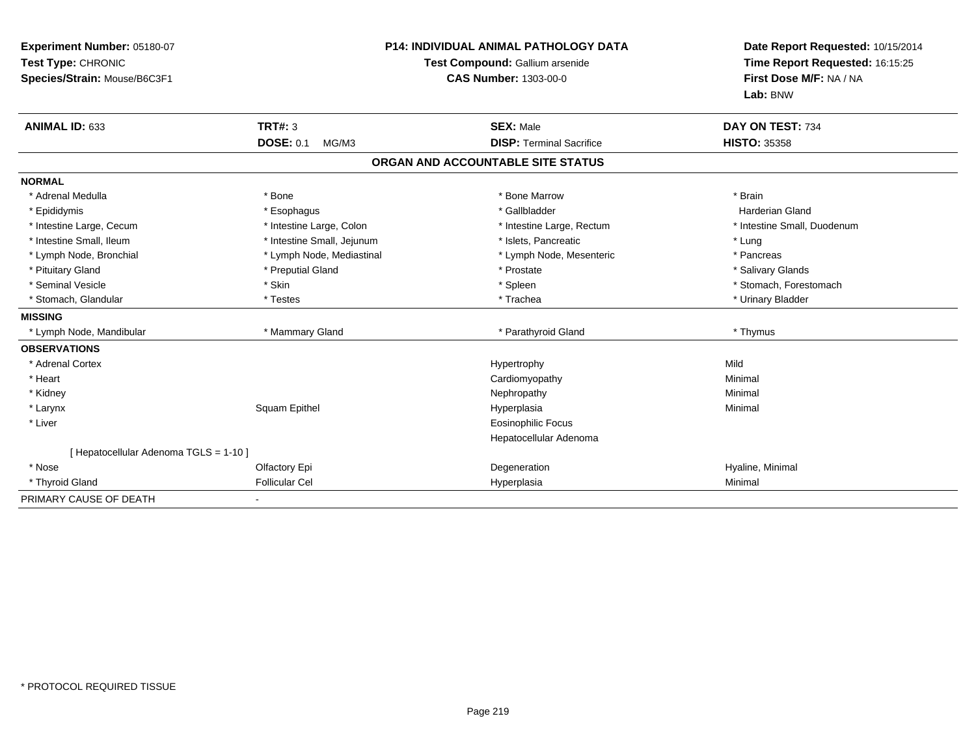| Experiment Number: 05180-07<br>Test Type: CHRONIC<br>Species/Strain: Mouse/B6C3F1<br>ANIMAL ID: 633 | <b>TRT#: 3</b>             | <b>P14: INDIVIDUAL ANIMAL PATHOLOGY DATA</b><br>Test Compound: Gallium arsenide<br><b>CAS Number: 1303-00-0</b><br><b>SEX: Male</b> | Date Report Requested: 10/15/2014<br>Time Report Requested: 16:15:25<br>First Dose M/F: NA / NA<br>Lab: BNW<br>DAY ON TEST: 734 |
|-----------------------------------------------------------------------------------------------------|----------------------------|-------------------------------------------------------------------------------------------------------------------------------------|---------------------------------------------------------------------------------------------------------------------------------|
|                                                                                                     | <b>DOSE: 0.1</b><br>MG/M3  | <b>DISP: Terminal Sacrifice</b>                                                                                                     | <b>HISTO: 35358</b>                                                                                                             |
|                                                                                                     |                            | ORGAN AND ACCOUNTABLE SITE STATUS                                                                                                   |                                                                                                                                 |
| <b>NORMAL</b>                                                                                       |                            |                                                                                                                                     |                                                                                                                                 |
| * Adrenal Medulla                                                                                   | * Bone                     | * Bone Marrow                                                                                                                       | * Brain                                                                                                                         |
| * Epididymis                                                                                        | * Esophagus                | * Gallbladder                                                                                                                       | <b>Harderian Gland</b>                                                                                                          |
| * Intestine Large, Cecum                                                                            | * Intestine Large, Colon   | * Intestine Large, Rectum                                                                                                           | * Intestine Small, Duodenum                                                                                                     |
| * Intestine Small, Ileum                                                                            | * Intestine Small, Jejunum | * Islets, Pancreatic                                                                                                                | * Lung                                                                                                                          |
| * Lymph Node, Bronchial                                                                             | * Lymph Node, Mediastinal  | * Lymph Node, Mesenteric                                                                                                            | * Pancreas                                                                                                                      |
| * Pituitary Gland                                                                                   | * Preputial Gland          | * Prostate                                                                                                                          | * Salivary Glands                                                                                                               |
| * Seminal Vesicle                                                                                   | * Skin                     | * Spleen                                                                                                                            | * Stomach, Forestomach                                                                                                          |
| * Stomach, Glandular                                                                                | * Testes                   | * Trachea                                                                                                                           | * Urinary Bladder                                                                                                               |
| <b>MISSING</b>                                                                                      |                            |                                                                                                                                     |                                                                                                                                 |
| * Lymph Node, Mandibular                                                                            | * Mammary Gland            | * Parathyroid Gland                                                                                                                 | * Thymus                                                                                                                        |
| <b>OBSERVATIONS</b>                                                                                 |                            |                                                                                                                                     |                                                                                                                                 |
| * Adrenal Cortex                                                                                    |                            | Hypertrophy                                                                                                                         | Mild                                                                                                                            |
| * Heart                                                                                             |                            | Cardiomyopathy                                                                                                                      | Minimal                                                                                                                         |
| * Kidney                                                                                            |                            | Nephropathy                                                                                                                         | Minimal                                                                                                                         |
| * Larynx                                                                                            | Squam Epithel              | Hyperplasia                                                                                                                         | Minimal                                                                                                                         |
| * Liver                                                                                             |                            | <b>Eosinophilic Focus</b>                                                                                                           |                                                                                                                                 |
|                                                                                                     |                            | Hepatocellular Adenoma                                                                                                              |                                                                                                                                 |
| [Hepatocellular Adenoma TGLS = 1-10]                                                                |                            |                                                                                                                                     |                                                                                                                                 |
| * Nose                                                                                              | Olfactory Epi              | Degeneration                                                                                                                        | Hyaline, Minimal                                                                                                                |
| * Thyroid Gland                                                                                     | <b>Follicular Cel</b>      | Hyperplasia                                                                                                                         | Minimal                                                                                                                         |
| PRIMARY CAUSE OF DEATH                                                                              |                            |                                                                                                                                     |                                                                                                                                 |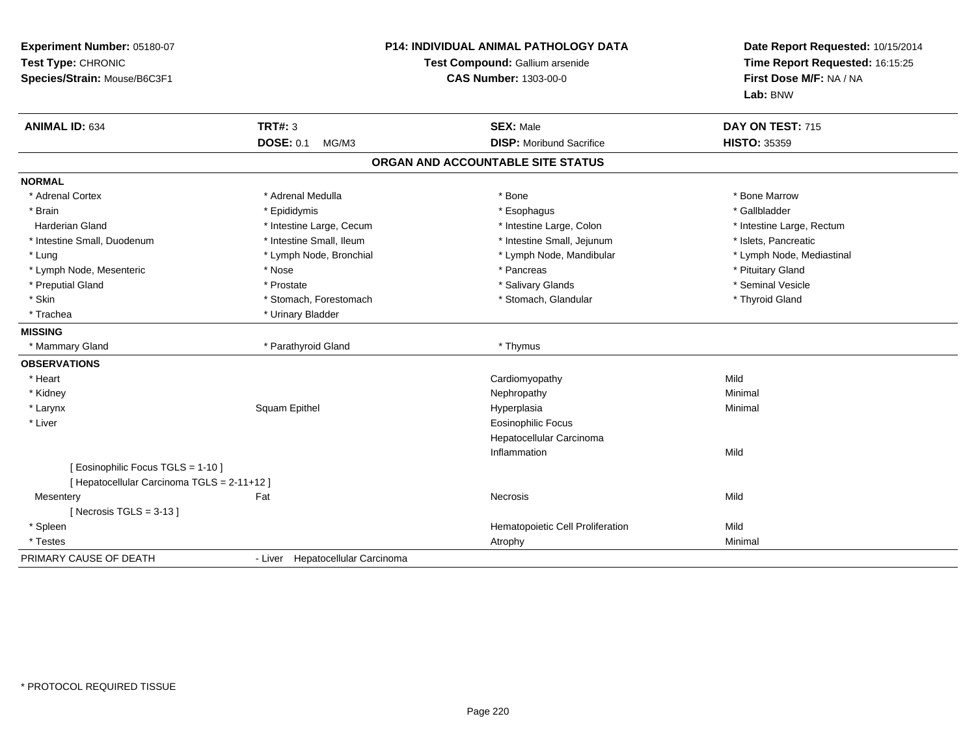| Experiment Number: 05180-07<br>Test Type: CHRONIC<br>Species/Strain: Mouse/B6C3F1 | <b>P14: INDIVIDUAL ANIMAL PATHOLOGY DATA</b><br>Test Compound: Gallium arsenide<br><b>CAS Number: 1303-00-0</b> |                                   | Date Report Requested: 10/15/2014<br>Time Report Requested: 16:15:25<br>First Dose M/F: NA / NA<br>Lab: BNW |  |
|-----------------------------------------------------------------------------------|-----------------------------------------------------------------------------------------------------------------|-----------------------------------|-------------------------------------------------------------------------------------------------------------|--|
| <b>ANIMAL ID: 634</b>                                                             | <b>TRT#: 3</b>                                                                                                  | <b>SEX: Male</b>                  | DAY ON TEST: 715                                                                                            |  |
|                                                                                   | <b>DOSE: 0.1</b><br>MG/M3                                                                                       | <b>DISP:</b> Moribund Sacrifice   | <b>HISTO: 35359</b>                                                                                         |  |
|                                                                                   |                                                                                                                 | ORGAN AND ACCOUNTABLE SITE STATUS |                                                                                                             |  |
| <b>NORMAL</b>                                                                     |                                                                                                                 |                                   |                                                                                                             |  |
| * Adrenal Cortex                                                                  | * Adrenal Medulla                                                                                               | * Bone                            | * Bone Marrow                                                                                               |  |
| * Brain                                                                           | * Epididymis                                                                                                    | * Esophagus                       | * Gallbladder                                                                                               |  |
| <b>Harderian Gland</b>                                                            | * Intestine Large, Cecum                                                                                        | * Intestine Large, Colon          | * Intestine Large, Rectum                                                                                   |  |
| * Intestine Small, Duodenum                                                       | * Intestine Small, Ileum                                                                                        | * Intestine Small, Jejunum        | * Islets, Pancreatic                                                                                        |  |
| * Lung                                                                            | * Lymph Node, Bronchial                                                                                         | * Lymph Node, Mandibular          | * Lymph Node, Mediastinal                                                                                   |  |
| * Lymph Node, Mesenteric                                                          | * Nose                                                                                                          | * Pancreas                        | * Pituitary Gland                                                                                           |  |
| * Preputial Gland                                                                 | * Prostate                                                                                                      | * Salivary Glands                 | * Seminal Vesicle                                                                                           |  |
| * Skin                                                                            | * Stomach, Forestomach                                                                                          | * Stomach, Glandular              | * Thyroid Gland                                                                                             |  |
| * Trachea                                                                         | * Urinary Bladder                                                                                               |                                   |                                                                                                             |  |
| <b>MISSING</b>                                                                    |                                                                                                                 |                                   |                                                                                                             |  |
| * Mammary Gland                                                                   | * Parathyroid Gland                                                                                             | * Thymus                          |                                                                                                             |  |
| <b>OBSERVATIONS</b>                                                               |                                                                                                                 |                                   |                                                                                                             |  |
| * Heart                                                                           |                                                                                                                 | Cardiomyopathy                    | Mild                                                                                                        |  |
| * Kidney                                                                          |                                                                                                                 | Nephropathy                       | Minimal                                                                                                     |  |
| * Larynx                                                                          | Squam Epithel                                                                                                   | Hyperplasia                       | Minimal                                                                                                     |  |
| * Liver                                                                           |                                                                                                                 | <b>Eosinophilic Focus</b>         |                                                                                                             |  |
|                                                                                   |                                                                                                                 | Hepatocellular Carcinoma          |                                                                                                             |  |
|                                                                                   |                                                                                                                 | Inflammation                      | Mild                                                                                                        |  |
| [ Eosinophilic Focus TGLS = 1-10 ]                                                |                                                                                                                 |                                   |                                                                                                             |  |
| [ Hepatocellular Carcinoma TGLS = 2-11+12 ]                                       |                                                                                                                 |                                   |                                                                                                             |  |
| Mesentery                                                                         | Fat                                                                                                             | Necrosis                          | Mild                                                                                                        |  |
| [Necrosis TGLS = $3-13$ ]                                                         |                                                                                                                 |                                   |                                                                                                             |  |
| * Spleen                                                                          |                                                                                                                 | Hematopoietic Cell Proliferation  | Mild                                                                                                        |  |
| * Testes                                                                          |                                                                                                                 | Atrophy                           | Minimal                                                                                                     |  |
| PRIMARY CAUSE OF DEATH                                                            | - Liver Hepatocellular Carcinoma                                                                                |                                   |                                                                                                             |  |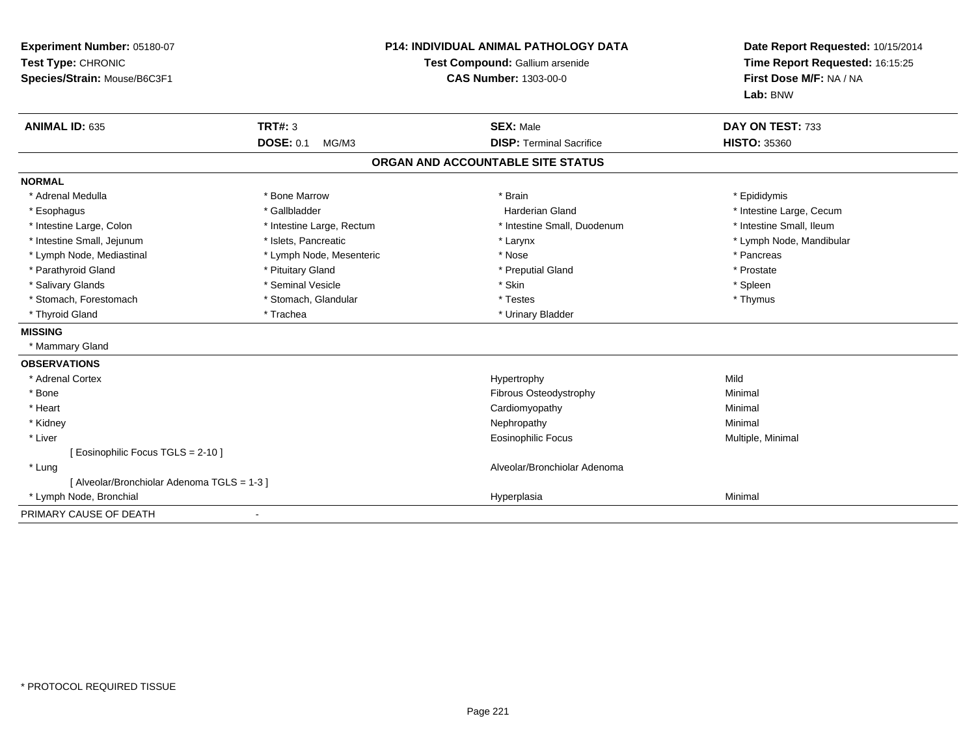| <b>P14: INDIVIDUAL ANIMAL PATHOLOGY DATA</b><br>Experiment Number: 05180-07<br>Test Type: CHRONIC<br>Test Compound: Gallium arsenide<br><b>CAS Number: 1303-00-0</b><br>Species/Strain: Mouse/B6C3F1 |                           |                                   | Date Report Requested: 10/15/2014<br>Time Report Requested: 16:15:25<br>First Dose M/F: NA / NA<br>Lab: BNW |
|------------------------------------------------------------------------------------------------------------------------------------------------------------------------------------------------------|---------------------------|-----------------------------------|-------------------------------------------------------------------------------------------------------------|
| <b>ANIMAL ID: 635</b>                                                                                                                                                                                | TRT#: 3                   | <b>SEX: Male</b>                  | DAY ON TEST: 733                                                                                            |
|                                                                                                                                                                                                      | <b>DOSE: 0.1</b><br>MG/M3 | <b>DISP: Terminal Sacrifice</b>   | <b>HISTO: 35360</b>                                                                                         |
|                                                                                                                                                                                                      |                           | ORGAN AND ACCOUNTABLE SITE STATUS |                                                                                                             |
| <b>NORMAL</b>                                                                                                                                                                                        |                           |                                   |                                                                                                             |
| * Adrenal Medulla                                                                                                                                                                                    | * Bone Marrow             | * Brain                           | * Epididymis                                                                                                |
| * Esophagus                                                                                                                                                                                          | * Gallbladder             | <b>Harderian Gland</b>            | * Intestine Large, Cecum                                                                                    |
| * Intestine Large, Colon                                                                                                                                                                             | * Intestine Large, Rectum | * Intestine Small, Duodenum       | * Intestine Small, Ileum                                                                                    |
| * Intestine Small, Jejunum                                                                                                                                                                           | * Islets, Pancreatic      | * Larynx                          | * Lymph Node, Mandibular                                                                                    |
| * Lymph Node, Mediastinal                                                                                                                                                                            | * Lymph Node, Mesenteric  | * Nose                            | * Pancreas                                                                                                  |
| * Parathyroid Gland                                                                                                                                                                                  | * Pituitary Gland         | * Preputial Gland                 | * Prostate                                                                                                  |
| * Salivary Glands                                                                                                                                                                                    | * Seminal Vesicle         | * Skin                            | * Spleen                                                                                                    |
| * Stomach, Forestomach                                                                                                                                                                               | * Stomach, Glandular      | * Testes                          | * Thymus                                                                                                    |
| * Thyroid Gland                                                                                                                                                                                      | * Trachea                 | * Urinary Bladder                 |                                                                                                             |
| <b>MISSING</b>                                                                                                                                                                                       |                           |                                   |                                                                                                             |
| * Mammary Gland                                                                                                                                                                                      |                           |                                   |                                                                                                             |
| <b>OBSERVATIONS</b>                                                                                                                                                                                  |                           |                                   |                                                                                                             |
| * Adrenal Cortex                                                                                                                                                                                     |                           | Hypertrophy                       | Mild                                                                                                        |
| * Bone                                                                                                                                                                                               |                           | <b>Fibrous Osteodystrophy</b>     | Minimal                                                                                                     |
| * Heart                                                                                                                                                                                              |                           | Cardiomyopathy                    | Minimal                                                                                                     |
| * Kidney                                                                                                                                                                                             |                           | Nephropathy                       | Minimal                                                                                                     |
| * Liver                                                                                                                                                                                              |                           | Eosinophilic Focus                | Multiple, Minimal                                                                                           |
| [ Eosinophilic Focus TGLS = 2-10 ]                                                                                                                                                                   |                           |                                   |                                                                                                             |
| * Lung                                                                                                                                                                                               |                           | Alveolar/Bronchiolar Adenoma      |                                                                                                             |
| [ Alveolar/Bronchiolar Adenoma TGLS = 1-3 ]                                                                                                                                                          |                           |                                   |                                                                                                             |
| * Lymph Node, Bronchial                                                                                                                                                                              |                           | Hyperplasia                       | Minimal                                                                                                     |
| PRIMARY CAUSE OF DEATH                                                                                                                                                                               |                           |                                   |                                                                                                             |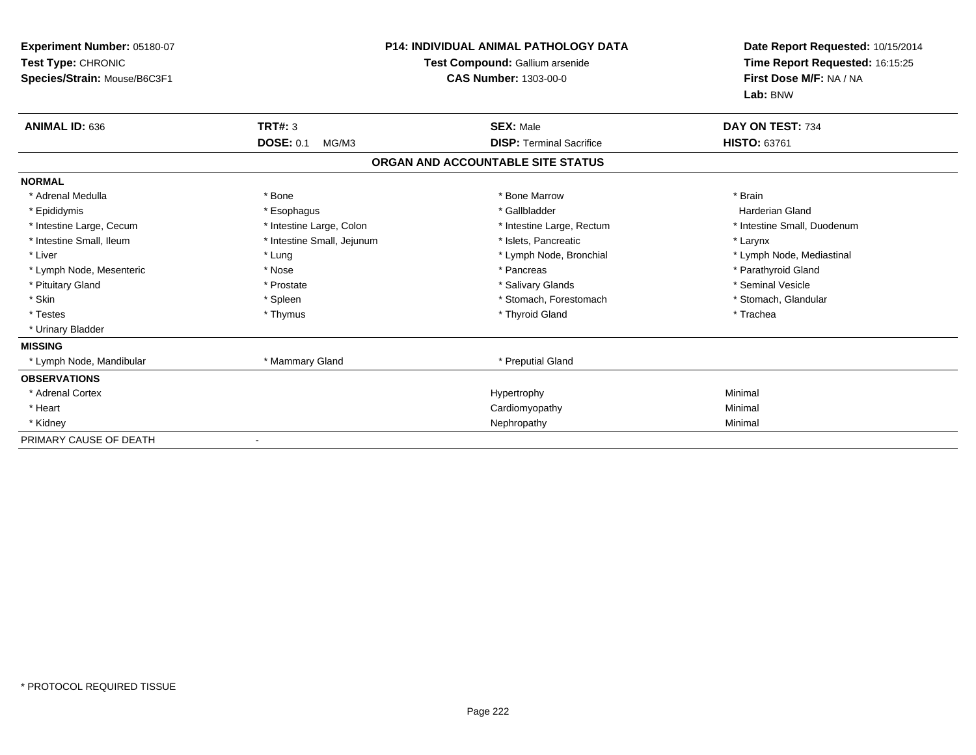| Experiment Number: 05180-07<br>Test Type: CHRONIC<br>Species/Strain: Mouse/B6C3F1 |                            | <b>P14: INDIVIDUAL ANIMAL PATHOLOGY DATA</b><br><b>Test Compound: Gallium arsenide</b><br><b>CAS Number: 1303-00-0</b> | Date Report Requested: 10/15/2014<br>Time Report Requested: 16:15:25<br>First Dose M/F: NA / NA<br>Lab: BNW |
|-----------------------------------------------------------------------------------|----------------------------|------------------------------------------------------------------------------------------------------------------------|-------------------------------------------------------------------------------------------------------------|
| ANIMAL ID: 636                                                                    | <b>TRT#: 3</b>             | <b>SEX: Male</b>                                                                                                       | DAY ON TEST: 734                                                                                            |
|                                                                                   | <b>DOSE: 0.1</b><br>MG/M3  | <b>DISP: Terminal Sacrifice</b>                                                                                        | HISTO: 63761                                                                                                |
|                                                                                   |                            | ORGAN AND ACCOUNTABLE SITE STATUS                                                                                      |                                                                                                             |
| <b>NORMAL</b>                                                                     |                            |                                                                                                                        |                                                                                                             |
| * Adrenal Medulla                                                                 | * Bone                     | * Bone Marrow                                                                                                          | * Brain                                                                                                     |
| * Epididymis                                                                      | * Esophagus                | * Gallbladder                                                                                                          | <b>Harderian Gland</b>                                                                                      |
| * Intestine Large, Cecum                                                          | * Intestine Large, Colon   | * Intestine Large, Rectum                                                                                              | * Intestine Small, Duodenum                                                                                 |
| * Intestine Small, Ileum                                                          | * Intestine Small, Jejunum | * Islets, Pancreatic                                                                                                   | * Larynx                                                                                                    |
| * Liver                                                                           | * Lung                     | * Lymph Node, Bronchial                                                                                                | * Lymph Node, Mediastinal                                                                                   |
| * Lymph Node, Mesenteric                                                          | * Nose                     | * Pancreas                                                                                                             | * Parathyroid Gland                                                                                         |
| * Pituitary Gland                                                                 | * Prostate                 | * Salivary Glands                                                                                                      | * Seminal Vesicle                                                                                           |
| * Skin                                                                            | * Spleen                   | * Stomach, Forestomach                                                                                                 | * Stomach, Glandular                                                                                        |
| * Testes                                                                          | * Thymus                   | * Thyroid Gland                                                                                                        | * Trachea                                                                                                   |
| * Urinary Bladder                                                                 |                            |                                                                                                                        |                                                                                                             |
| <b>MISSING</b>                                                                    |                            |                                                                                                                        |                                                                                                             |
| * Lymph Node, Mandibular                                                          | * Mammary Gland            | * Preputial Gland                                                                                                      |                                                                                                             |
| <b>OBSERVATIONS</b>                                                               |                            |                                                                                                                        |                                                                                                             |
| * Adrenal Cortex                                                                  |                            | Hypertrophy                                                                                                            | Minimal                                                                                                     |
| * Heart                                                                           |                            | Cardiomyopathy                                                                                                         | Minimal                                                                                                     |
| * Kidney                                                                          |                            | Nephropathy                                                                                                            | Minimal                                                                                                     |
| PRIMARY CAUSE OF DEATH                                                            |                            |                                                                                                                        |                                                                                                             |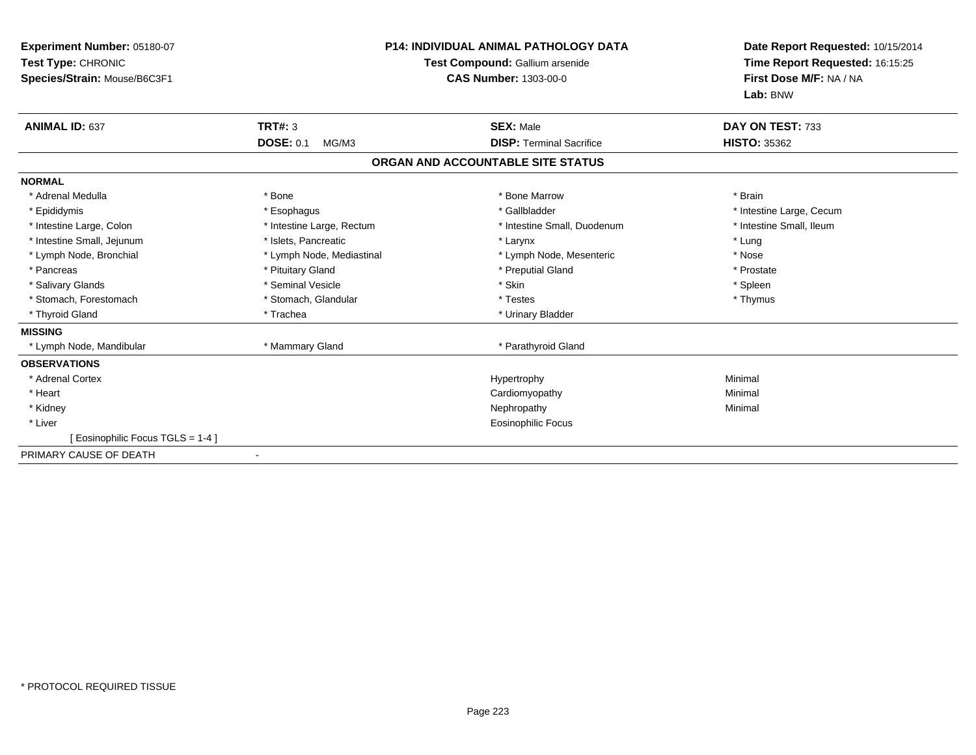| Experiment Number: 05180-07<br>Test Type: CHRONIC<br>Species/Strain: Mouse/B6C3F1 | <b>P14: INDIVIDUAL ANIMAL PATHOLOGY DATA</b><br>Test Compound: Gallium arsenide<br><b>CAS Number: 1303-00-0</b> |                                   | Date Report Requested: 10/15/2014<br>Time Report Requested: 16:15:25<br>First Dose M/F: NA / NA<br>Lab: BNW |
|-----------------------------------------------------------------------------------|-----------------------------------------------------------------------------------------------------------------|-----------------------------------|-------------------------------------------------------------------------------------------------------------|
| <b>ANIMAL ID: 637</b>                                                             | <b>TRT#: 3</b>                                                                                                  | <b>SEX: Male</b>                  | DAY ON TEST: 733                                                                                            |
|                                                                                   | <b>DOSE: 0.1</b><br>MG/M3                                                                                       | <b>DISP: Terminal Sacrifice</b>   | <b>HISTO: 35362</b>                                                                                         |
|                                                                                   |                                                                                                                 | ORGAN AND ACCOUNTABLE SITE STATUS |                                                                                                             |
| <b>NORMAL</b>                                                                     |                                                                                                                 |                                   |                                                                                                             |
| * Adrenal Medulla                                                                 | * Bone                                                                                                          | * Bone Marrow                     | * Brain                                                                                                     |
| * Epididymis                                                                      | * Esophagus                                                                                                     | * Gallbladder                     | * Intestine Large, Cecum                                                                                    |
| * Intestine Large, Colon                                                          | * Intestine Large, Rectum                                                                                       | * Intestine Small, Duodenum       | * Intestine Small, Ileum                                                                                    |
| * Intestine Small, Jejunum                                                        | * Islets, Pancreatic                                                                                            | * Larynx                          | * Lung                                                                                                      |
| * Lymph Node, Bronchial                                                           | * Lymph Node, Mediastinal                                                                                       | * Lymph Node, Mesenteric          | * Nose                                                                                                      |
| * Pancreas                                                                        | * Pituitary Gland                                                                                               | * Preputial Gland                 | * Prostate                                                                                                  |
| * Salivary Glands                                                                 | * Seminal Vesicle                                                                                               | * Skin                            | * Spleen                                                                                                    |
| * Stomach, Forestomach                                                            | * Stomach, Glandular                                                                                            | * Testes                          | * Thymus                                                                                                    |
| * Thyroid Gland                                                                   | * Trachea                                                                                                       | * Urinary Bladder                 |                                                                                                             |
| <b>MISSING</b>                                                                    |                                                                                                                 |                                   |                                                                                                             |
| Lymph Node, Mandibular                                                            | * Mammary Gland                                                                                                 | * Parathyroid Gland               |                                                                                                             |
| <b>OBSERVATIONS</b>                                                               |                                                                                                                 |                                   |                                                                                                             |
| * Adrenal Cortex                                                                  |                                                                                                                 | Hypertrophy                       | Minimal                                                                                                     |
| * Heart                                                                           |                                                                                                                 | Cardiomyopathy                    | Minimal                                                                                                     |
| * Kidney                                                                          |                                                                                                                 | Nephropathy                       | Minimal                                                                                                     |
| * Liver                                                                           |                                                                                                                 | Eosinophilic Focus                |                                                                                                             |
| [ Eosinophilic Focus TGLS = 1-4 ]                                                 |                                                                                                                 |                                   |                                                                                                             |
| PRIMARY CAUSE OF DEATH                                                            |                                                                                                                 |                                   |                                                                                                             |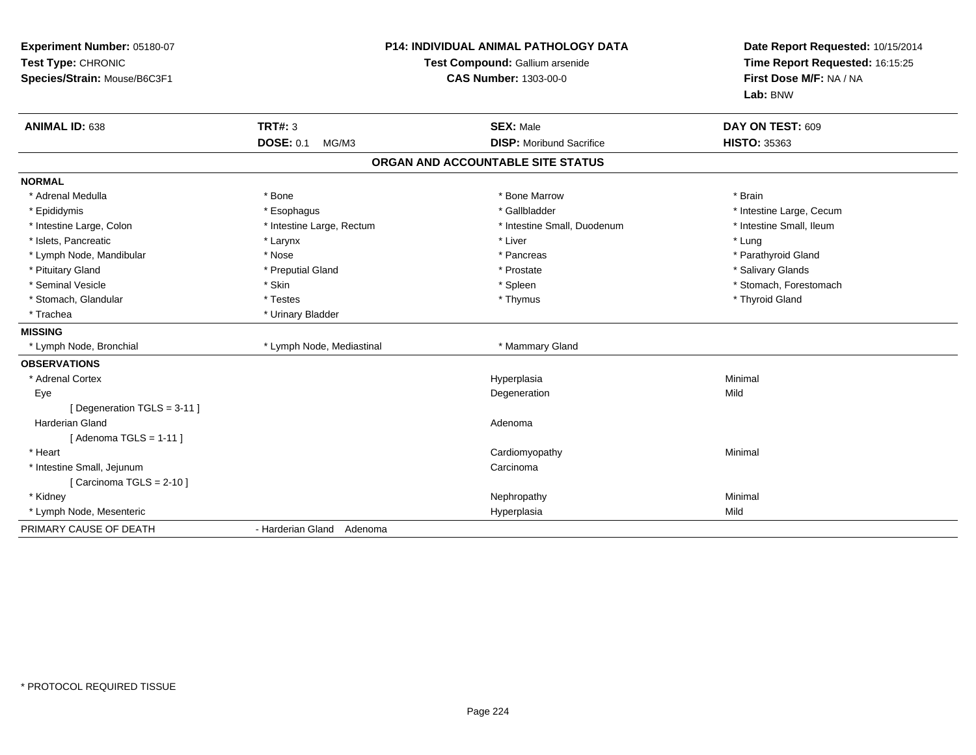| Experiment Number: 05180-07<br>Test Type: CHRONIC<br>Species/Strain: Mouse/B6C3F1 | <b>P14: INDIVIDUAL ANIMAL PATHOLOGY DATA</b><br>Test Compound: Gallium arsenide<br><b>CAS Number: 1303-00-0</b> |                                   | Date Report Requested: 10/15/2014<br>Time Report Requested: 16:15:25<br>First Dose M/F: NA / NA<br>Lab: BNW |  |
|-----------------------------------------------------------------------------------|-----------------------------------------------------------------------------------------------------------------|-----------------------------------|-------------------------------------------------------------------------------------------------------------|--|
| <b>ANIMAL ID: 638</b>                                                             | <b>TRT#: 3</b>                                                                                                  | <b>SEX: Male</b>                  | DAY ON TEST: 609                                                                                            |  |
|                                                                                   | <b>DOSE: 0.1</b><br>MG/M3                                                                                       | <b>DISP:</b> Moribund Sacrifice   | <b>HISTO: 35363</b>                                                                                         |  |
|                                                                                   |                                                                                                                 | ORGAN AND ACCOUNTABLE SITE STATUS |                                                                                                             |  |
| <b>NORMAL</b>                                                                     |                                                                                                                 |                                   |                                                                                                             |  |
| * Adrenal Medulla                                                                 | * Bone                                                                                                          | * Bone Marrow                     | * Brain                                                                                                     |  |
| * Epididymis                                                                      | * Esophagus                                                                                                     | * Gallbladder                     | * Intestine Large, Cecum                                                                                    |  |
| * Intestine Large, Colon                                                          | * Intestine Large, Rectum                                                                                       | * Intestine Small, Duodenum       | * Intestine Small, Ileum                                                                                    |  |
| * Islets, Pancreatic                                                              | * Larynx                                                                                                        | * Liver                           | * Lung                                                                                                      |  |
| * Lymph Node, Mandibular                                                          | * Nose                                                                                                          | * Pancreas                        | * Parathyroid Gland                                                                                         |  |
| * Pituitary Gland                                                                 | * Preputial Gland                                                                                               | * Prostate                        | * Salivary Glands                                                                                           |  |
| * Seminal Vesicle                                                                 | * Skin                                                                                                          | * Spleen                          | * Stomach, Forestomach                                                                                      |  |
| * Stomach, Glandular                                                              | * Testes                                                                                                        | * Thymus                          | * Thyroid Gland                                                                                             |  |
| * Trachea                                                                         | * Urinary Bladder                                                                                               |                                   |                                                                                                             |  |
| <b>MISSING</b>                                                                    |                                                                                                                 |                                   |                                                                                                             |  |
| * Lymph Node, Bronchial                                                           | * Lymph Node, Mediastinal                                                                                       | * Mammary Gland                   |                                                                                                             |  |
| <b>OBSERVATIONS</b>                                                               |                                                                                                                 |                                   |                                                                                                             |  |
| * Adrenal Cortex                                                                  |                                                                                                                 | Hyperplasia                       | Minimal                                                                                                     |  |
| Eye                                                                               |                                                                                                                 | Degeneration                      | Mild                                                                                                        |  |
| [ Degeneration TGLS = 3-11 ]                                                      |                                                                                                                 |                                   |                                                                                                             |  |
| Harderian Gland                                                                   |                                                                                                                 | Adenoma                           |                                                                                                             |  |
| [Adenoma TGLS = $1-11$ ]                                                          |                                                                                                                 |                                   |                                                                                                             |  |
| * Heart                                                                           |                                                                                                                 | Cardiomyopathy                    | Minimal                                                                                                     |  |
| * Intestine Small, Jejunum                                                        |                                                                                                                 | Carcinoma                         |                                                                                                             |  |
| [ Carcinoma TGLS = $2-10$ ]                                                       |                                                                                                                 |                                   |                                                                                                             |  |
| * Kidney                                                                          |                                                                                                                 | Nephropathy                       | Minimal                                                                                                     |  |
| * Lymph Node, Mesenteric                                                          |                                                                                                                 | Hyperplasia                       | Mild                                                                                                        |  |
| PRIMARY CAUSE OF DEATH                                                            | - Harderian Gland Adenoma                                                                                       |                                   |                                                                                                             |  |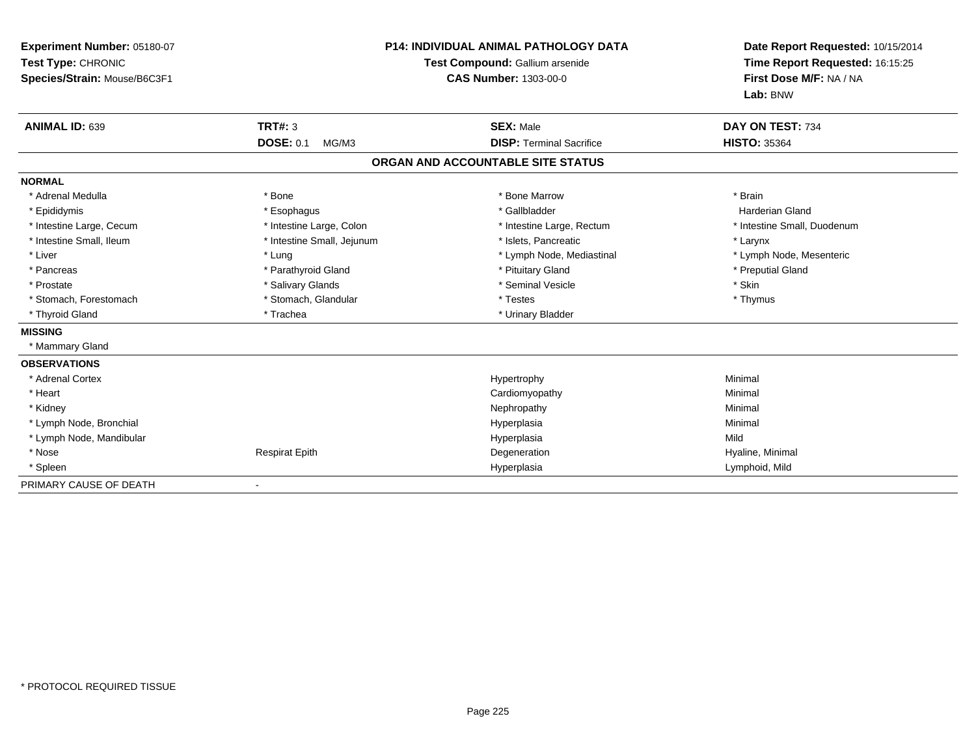| Experiment Number: 05180-07<br>Test Type: CHRONIC<br>Species/Strain: Mouse/B6C3F1<br><b>ANIMAL ID: 639</b> | TRT#: 3                    | <b>P14: INDIVIDUAL ANIMAL PATHOLOGY DATA</b><br>Test Compound: Gallium arsenide<br><b>CAS Number: 1303-00-0</b><br><b>SEX: Male</b> | Date Report Requested: 10/15/2014<br>Time Report Requested: 16:15:25<br>First Dose M/F: NA / NA<br>Lab: BNW<br>DAY ON TEST: 734 |  |
|------------------------------------------------------------------------------------------------------------|----------------------------|-------------------------------------------------------------------------------------------------------------------------------------|---------------------------------------------------------------------------------------------------------------------------------|--|
|                                                                                                            | <b>DOSE: 0.1</b><br>MG/M3  | <b>DISP: Terminal Sacrifice</b>                                                                                                     | <b>HISTO: 35364</b>                                                                                                             |  |
|                                                                                                            |                            | ORGAN AND ACCOUNTABLE SITE STATUS                                                                                                   |                                                                                                                                 |  |
| <b>NORMAL</b>                                                                                              |                            |                                                                                                                                     |                                                                                                                                 |  |
| * Adrenal Medulla                                                                                          | * Bone                     | * Bone Marrow                                                                                                                       | * Brain                                                                                                                         |  |
| * Epididymis                                                                                               | * Esophagus                | * Gallbladder                                                                                                                       | <b>Harderian Gland</b>                                                                                                          |  |
| * Intestine Large, Cecum                                                                                   | * Intestine Large, Colon   | * Intestine Large, Rectum                                                                                                           | * Intestine Small, Duodenum                                                                                                     |  |
| * Intestine Small, Ileum                                                                                   | * Intestine Small, Jejunum | * Islets. Pancreatic                                                                                                                | * Larynx                                                                                                                        |  |
| * Liver                                                                                                    | * Lung                     | * Lymph Node, Mediastinal                                                                                                           | * Lymph Node, Mesenteric                                                                                                        |  |
| * Pancreas                                                                                                 | * Parathyroid Gland        | * Pituitary Gland                                                                                                                   | * Preputial Gland                                                                                                               |  |
| * Prostate                                                                                                 | * Salivary Glands          | * Seminal Vesicle                                                                                                                   | * Skin                                                                                                                          |  |
| * Stomach, Forestomach                                                                                     | * Stomach, Glandular       | * Testes                                                                                                                            | * Thymus                                                                                                                        |  |
| * Thyroid Gland                                                                                            | * Trachea                  | * Urinary Bladder                                                                                                                   |                                                                                                                                 |  |
| <b>MISSING</b>                                                                                             |                            |                                                                                                                                     |                                                                                                                                 |  |
| * Mammary Gland                                                                                            |                            |                                                                                                                                     |                                                                                                                                 |  |
| <b>OBSERVATIONS</b>                                                                                        |                            |                                                                                                                                     |                                                                                                                                 |  |
| * Adrenal Cortex                                                                                           |                            | Hypertrophy                                                                                                                         | Minimal                                                                                                                         |  |
| * Heart                                                                                                    |                            | Cardiomyopathy                                                                                                                      | Minimal                                                                                                                         |  |
| * Kidney                                                                                                   |                            | Nephropathy                                                                                                                         | Minimal                                                                                                                         |  |
| * Lymph Node, Bronchial                                                                                    |                            | Hyperplasia                                                                                                                         | Minimal                                                                                                                         |  |
| * Lymph Node, Mandibular                                                                                   |                            | Hyperplasia                                                                                                                         | Mild                                                                                                                            |  |
| * Nose                                                                                                     | <b>Respirat Epith</b>      | Degeneration                                                                                                                        | Hyaline, Minimal                                                                                                                |  |
| * Spleen                                                                                                   |                            | Hyperplasia                                                                                                                         | Lymphoid, Mild                                                                                                                  |  |
| PRIMARY CAUSE OF DEATH                                                                                     |                            |                                                                                                                                     |                                                                                                                                 |  |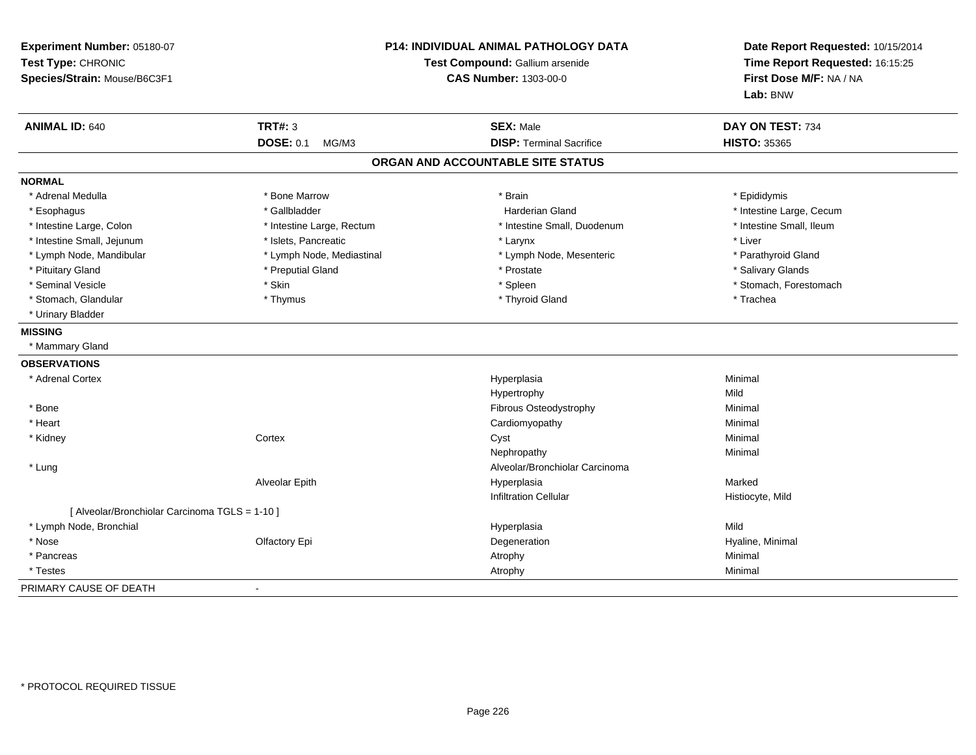| Experiment Number: 05180-07<br>Test Type: CHRONIC<br>Species/Strain: Mouse/B6C3F1 | <b>P14: INDIVIDUAL ANIMAL PATHOLOGY DATA</b><br>Test Compound: Gallium arsenide<br><b>CAS Number: 1303-00-0</b> |                                   | Date Report Requested: 10/15/2014<br>Time Report Requested: 16:15:25<br>First Dose M/F: NA / NA<br>Lab: BNW |
|-----------------------------------------------------------------------------------|-----------------------------------------------------------------------------------------------------------------|-----------------------------------|-------------------------------------------------------------------------------------------------------------|
| <b>ANIMAL ID: 640</b>                                                             | <b>TRT#: 3</b>                                                                                                  | <b>SEX: Male</b>                  | DAY ON TEST: 734                                                                                            |
|                                                                                   | <b>DOSE: 0.1</b><br>MG/M3                                                                                       | <b>DISP: Terminal Sacrifice</b>   | <b>HISTO: 35365</b>                                                                                         |
|                                                                                   |                                                                                                                 | ORGAN AND ACCOUNTABLE SITE STATUS |                                                                                                             |
| <b>NORMAL</b>                                                                     |                                                                                                                 |                                   |                                                                                                             |
| * Adrenal Medulla                                                                 | * Bone Marrow                                                                                                   | * Brain                           | * Epididymis                                                                                                |
| * Esophagus                                                                       | * Gallbladder                                                                                                   | <b>Harderian Gland</b>            | * Intestine Large, Cecum                                                                                    |
| * Intestine Large, Colon                                                          | * Intestine Large, Rectum                                                                                       | * Intestine Small, Duodenum       | * Intestine Small, Ileum                                                                                    |
| * Intestine Small, Jejunum                                                        | * Islets, Pancreatic                                                                                            | * Larynx                          | * Liver                                                                                                     |
| * Lymph Node, Mandibular                                                          | * Lymph Node, Mediastinal                                                                                       | * Lymph Node, Mesenteric          | * Parathyroid Gland                                                                                         |
| * Pituitary Gland                                                                 | * Preputial Gland                                                                                               | * Prostate                        | * Salivary Glands                                                                                           |
| * Seminal Vesicle                                                                 | * Skin                                                                                                          | * Spleen                          | * Stomach, Forestomach                                                                                      |
| * Stomach, Glandular                                                              | * Thymus                                                                                                        | * Thyroid Gland                   | * Trachea                                                                                                   |
| * Urinary Bladder                                                                 |                                                                                                                 |                                   |                                                                                                             |
| <b>MISSING</b>                                                                    |                                                                                                                 |                                   |                                                                                                             |
| * Mammary Gland                                                                   |                                                                                                                 |                                   |                                                                                                             |
| <b>OBSERVATIONS</b>                                                               |                                                                                                                 |                                   |                                                                                                             |
| * Adrenal Cortex                                                                  |                                                                                                                 | Hyperplasia                       | Minimal                                                                                                     |
|                                                                                   |                                                                                                                 | Hypertrophy                       | Mild                                                                                                        |
| * Bone                                                                            |                                                                                                                 | Fibrous Osteodystrophy            | Minimal                                                                                                     |
| * Heart                                                                           |                                                                                                                 | Cardiomyopathy                    | Minimal                                                                                                     |
| * Kidney                                                                          | Cortex                                                                                                          | Cyst                              | Minimal                                                                                                     |
|                                                                                   |                                                                                                                 | Nephropathy                       | Minimal                                                                                                     |
| * Lung                                                                            |                                                                                                                 | Alveolar/Bronchiolar Carcinoma    |                                                                                                             |
|                                                                                   | Alveolar Epith                                                                                                  | Hyperplasia                       | Marked                                                                                                      |
|                                                                                   |                                                                                                                 | <b>Infiltration Cellular</b>      | Histiocyte, Mild                                                                                            |
| [ Alveolar/Bronchiolar Carcinoma TGLS = 1-10 ]                                    |                                                                                                                 |                                   |                                                                                                             |
| * Lymph Node, Bronchial                                                           |                                                                                                                 | Hyperplasia                       | Mild                                                                                                        |
| * Nose                                                                            | Olfactory Epi                                                                                                   | Degeneration                      | Hyaline, Minimal                                                                                            |
| * Pancreas                                                                        |                                                                                                                 | Atrophy                           | Minimal                                                                                                     |
| * Testes                                                                          |                                                                                                                 | Atrophy                           | Minimal                                                                                                     |
| PRIMARY CAUSE OF DEATH                                                            | $\blacksquare$                                                                                                  |                                   |                                                                                                             |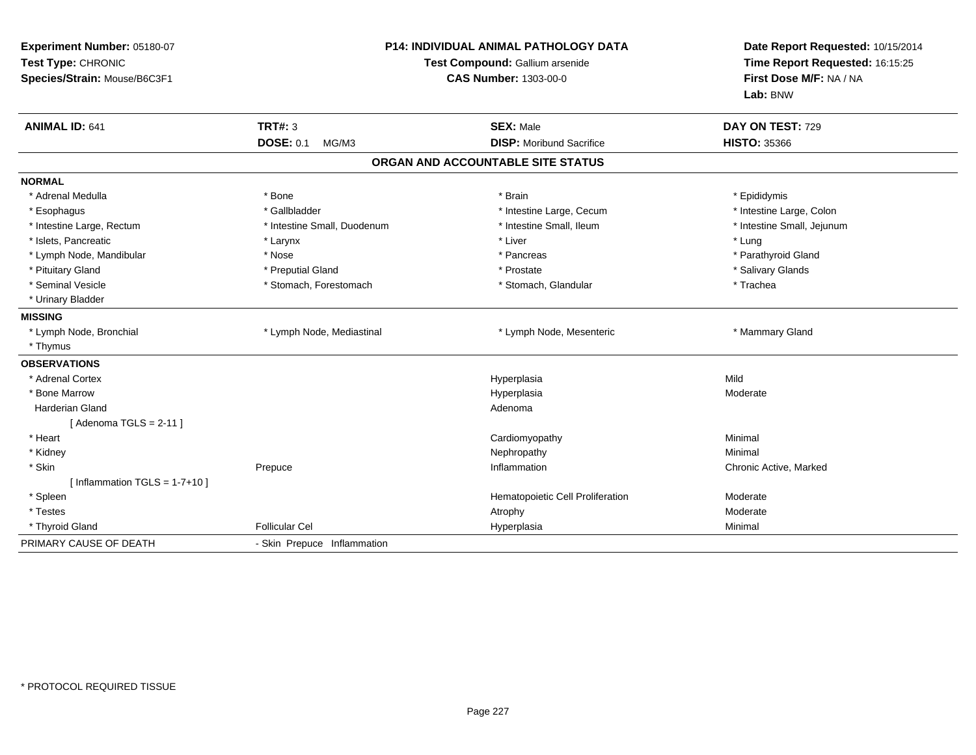| Experiment Number: 05180-07<br>Test Type: CHRONIC<br>Species/Strain: Mouse/B6C3F1 | <b>P14: INDIVIDUAL ANIMAL PATHOLOGY DATA</b><br>Test Compound: Gallium arsenide<br><b>CAS Number: 1303-00-0</b> |                                                     | Date Report Requested: 10/15/2014<br>Time Report Requested: 16:15:25<br>First Dose M/F: NA / NA<br>Lab: BNW |  |
|-----------------------------------------------------------------------------------|-----------------------------------------------------------------------------------------------------------------|-----------------------------------------------------|-------------------------------------------------------------------------------------------------------------|--|
| <b>ANIMAL ID: 641</b>                                                             | <b>TRT#: 3</b><br><b>DOSE: 0.1</b><br>MG/M3                                                                     | <b>SEX: Male</b><br><b>DISP: Moribund Sacrifice</b> | DAY ON TEST: 729<br><b>HISTO: 35366</b>                                                                     |  |
|                                                                                   |                                                                                                                 | ORGAN AND ACCOUNTABLE SITE STATUS                   |                                                                                                             |  |
| <b>NORMAL</b>                                                                     |                                                                                                                 |                                                     |                                                                                                             |  |
| * Adrenal Medulla                                                                 | * Bone                                                                                                          | * Brain                                             | * Epididymis                                                                                                |  |
| * Esophagus                                                                       | * Gallbladder                                                                                                   | * Intestine Large, Cecum                            | * Intestine Large, Colon                                                                                    |  |
| * Intestine Large, Rectum                                                         | * Intestine Small, Duodenum                                                                                     | * Intestine Small, Ileum                            | * Intestine Small, Jejunum                                                                                  |  |
| * Islets, Pancreatic                                                              | * Larynx                                                                                                        | * Liver                                             | * Lung                                                                                                      |  |
| * Lymph Node, Mandibular                                                          | * Nose                                                                                                          | * Pancreas                                          | * Parathyroid Gland                                                                                         |  |
| * Pituitary Gland                                                                 | * Preputial Gland                                                                                               | * Prostate                                          | * Salivary Glands                                                                                           |  |
| * Seminal Vesicle                                                                 | * Stomach, Forestomach                                                                                          | * Stomach, Glandular                                | * Trachea                                                                                                   |  |
| * Urinary Bladder                                                                 |                                                                                                                 |                                                     |                                                                                                             |  |
| <b>MISSING</b>                                                                    |                                                                                                                 |                                                     |                                                                                                             |  |
| * Lymph Node, Bronchial                                                           | * Lymph Node, Mediastinal                                                                                       | * Lymph Node, Mesenteric                            | * Mammary Gland                                                                                             |  |
| * Thymus                                                                          |                                                                                                                 |                                                     |                                                                                                             |  |
| <b>OBSERVATIONS</b>                                                               |                                                                                                                 |                                                     |                                                                                                             |  |
| * Adrenal Cortex                                                                  |                                                                                                                 | Hyperplasia                                         | Mild                                                                                                        |  |
| * Bone Marrow                                                                     |                                                                                                                 | Hyperplasia                                         | Moderate                                                                                                    |  |
| <b>Harderian Gland</b>                                                            |                                                                                                                 | Adenoma                                             |                                                                                                             |  |
| [Adenoma TGLS = $2-11$ ]                                                          |                                                                                                                 |                                                     |                                                                                                             |  |
| * Heart                                                                           |                                                                                                                 | Cardiomyopathy                                      | Minimal                                                                                                     |  |
| * Kidney                                                                          |                                                                                                                 | Nephropathy                                         | Minimal                                                                                                     |  |
| * Skin                                                                            | Prepuce                                                                                                         | Inflammation                                        | Chronic Active, Marked                                                                                      |  |
| [Inflammation TGLS = $1-7+10$ ]                                                   |                                                                                                                 |                                                     |                                                                                                             |  |
| * Spleen                                                                          |                                                                                                                 | Hematopoietic Cell Proliferation                    | Moderate                                                                                                    |  |
| * Testes                                                                          |                                                                                                                 | Atrophy                                             | Moderate                                                                                                    |  |
| * Thyroid Gland                                                                   | <b>Follicular Cel</b>                                                                                           | Hyperplasia                                         | Minimal                                                                                                     |  |
| PRIMARY CAUSE OF DEATH                                                            | - Skin Prepuce Inflammation                                                                                     |                                                     |                                                                                                             |  |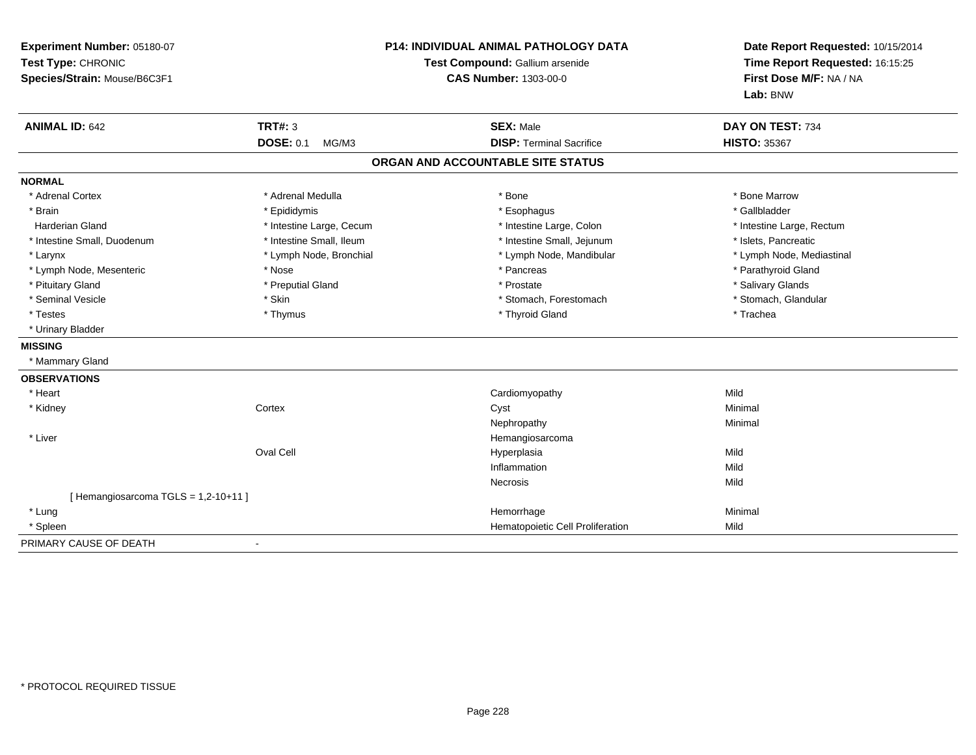| Experiment Number: 05180-07<br>Test Type: CHRONIC<br>Species/Strain: Mouse/B6C3F1 | P14: INDIVIDUAL ANIMAL PATHOLOGY DATA<br>Test Compound: Gallium arsenide<br><b>CAS Number: 1303-00-0</b> |                                                        | Date Report Requested: 10/15/2014<br>Time Report Requested: 16:15:25<br>First Dose M/F: NA / NA<br>Lab: BNW |  |
|-----------------------------------------------------------------------------------|----------------------------------------------------------------------------------------------------------|--------------------------------------------------------|-------------------------------------------------------------------------------------------------------------|--|
| <b>ANIMAL ID: 642</b>                                                             | <b>TRT#: 3</b><br><b>DOSE: 0.1</b><br>MG/M3                                                              | <b>SEX: Male</b><br><b>DISP: Terminal Sacrifice</b>    | DAY ON TEST: 734<br><b>HISTO: 35367</b>                                                                     |  |
|                                                                                   |                                                                                                          | ORGAN AND ACCOUNTABLE SITE STATUS                      |                                                                                                             |  |
|                                                                                   |                                                                                                          |                                                        |                                                                                                             |  |
| <b>NORMAL</b>                                                                     | * Adrenal Medulla                                                                                        | * Bone                                                 | * Bone Marrow                                                                                               |  |
| * Adrenal Cortex<br>* Brain                                                       |                                                                                                          |                                                        | * Gallbladder                                                                                               |  |
| <b>Harderian Gland</b>                                                            | * Epididymis                                                                                             | * Esophagus                                            |                                                                                                             |  |
| * Intestine Small, Duodenum                                                       | * Intestine Large, Cecum<br>* Intestine Small, Ileum                                                     | * Intestine Large, Colon<br>* Intestine Small, Jejunum | * Intestine Large, Rectum<br>* Islets. Pancreatic                                                           |  |
| * Larynx                                                                          | * Lymph Node, Bronchial                                                                                  | * Lymph Node, Mandibular                               | * Lymph Node, Mediastinal                                                                                   |  |
| * Lymph Node, Mesenteric                                                          | * Nose                                                                                                   | * Pancreas                                             | * Parathyroid Gland                                                                                         |  |
| * Pituitary Gland                                                                 | * Preputial Gland                                                                                        | * Prostate                                             | * Salivary Glands                                                                                           |  |
| * Seminal Vesicle                                                                 | * Skin                                                                                                   | * Stomach, Forestomach                                 | * Stomach, Glandular                                                                                        |  |
| * Testes                                                                          | * Thymus                                                                                                 | * Thyroid Gland                                        | * Trachea                                                                                                   |  |
| * Urinary Bladder                                                                 |                                                                                                          |                                                        |                                                                                                             |  |
| <b>MISSING</b>                                                                    |                                                                                                          |                                                        |                                                                                                             |  |
| * Mammary Gland                                                                   |                                                                                                          |                                                        |                                                                                                             |  |
| <b>OBSERVATIONS</b>                                                               |                                                                                                          |                                                        |                                                                                                             |  |
| * Heart                                                                           |                                                                                                          | Cardiomyopathy                                         | Mild                                                                                                        |  |
| * Kidney                                                                          | Cortex                                                                                                   | Cyst                                                   | Minimal                                                                                                     |  |
|                                                                                   |                                                                                                          | Nephropathy                                            | Minimal                                                                                                     |  |
| * Liver                                                                           |                                                                                                          | Hemangiosarcoma                                        |                                                                                                             |  |
|                                                                                   | Oval Cell                                                                                                | Hyperplasia                                            | Mild                                                                                                        |  |
|                                                                                   |                                                                                                          | Inflammation                                           | Mild                                                                                                        |  |
|                                                                                   |                                                                                                          | <b>Necrosis</b>                                        | Mild                                                                                                        |  |
| [Hemangiosarcoma TGLS = 1,2-10+11]                                                |                                                                                                          |                                                        |                                                                                                             |  |
| * Lung                                                                            |                                                                                                          | Hemorrhage                                             | Minimal                                                                                                     |  |
| * Spleen                                                                          |                                                                                                          | Hematopoietic Cell Proliferation                       | Mild                                                                                                        |  |
| PRIMARY CAUSE OF DEATH                                                            |                                                                                                          |                                                        |                                                                                                             |  |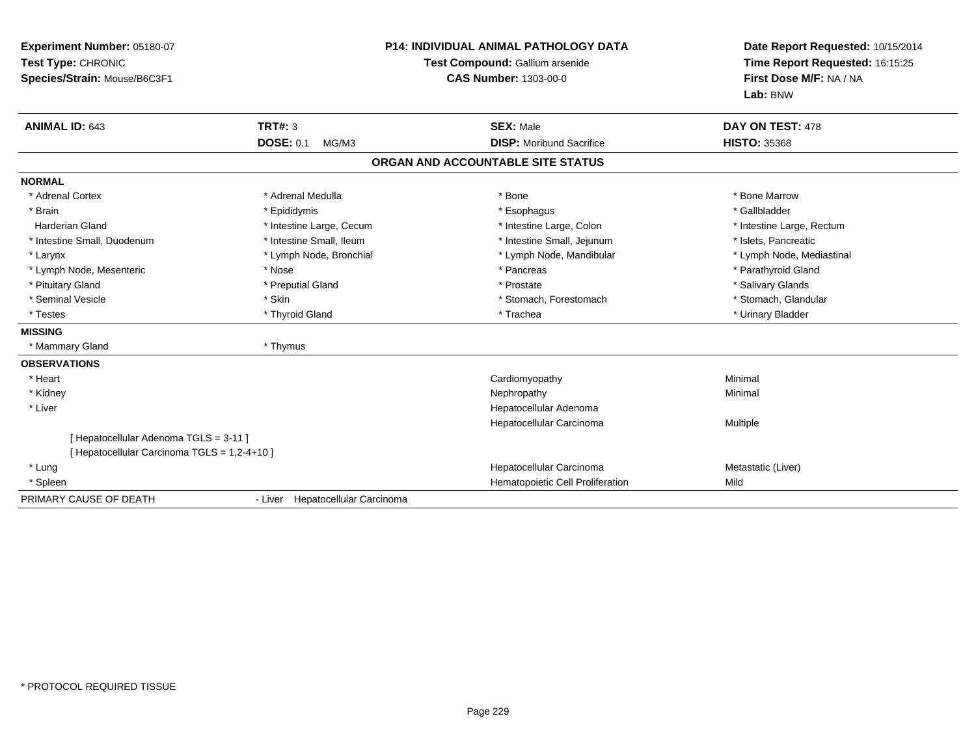| Experiment Number: 05180-07<br>Test Type: CHRONIC<br>Species/Strain: Mouse/B6C3F1 |                                  | <b>P14: INDIVIDUAL ANIMAL PATHOLOGY DATA</b><br>Test Compound: Gallium arsenide<br><b>CAS Number: 1303-00-0</b> | Date Report Requested: 10/15/2014<br>Time Report Requested: 16:15:25<br>First Dose M/F: NA / NA<br>Lab: BNW |  |
|-----------------------------------------------------------------------------------|----------------------------------|-----------------------------------------------------------------------------------------------------------------|-------------------------------------------------------------------------------------------------------------|--|
| <b>ANIMAL ID: 643</b>                                                             | <b>TRT#: 3</b>                   | <b>SEX: Male</b>                                                                                                | DAY ON TEST: 478                                                                                            |  |
|                                                                                   | <b>DOSE: 0.1</b><br>MG/M3        | <b>DISP:</b> Moribund Sacrifice                                                                                 | <b>HISTO: 35368</b>                                                                                         |  |
|                                                                                   |                                  | ORGAN AND ACCOUNTABLE SITE STATUS                                                                               |                                                                                                             |  |
| <b>NORMAL</b>                                                                     |                                  |                                                                                                                 |                                                                                                             |  |
| * Adrenal Cortex                                                                  | * Adrenal Medulla                | * Bone                                                                                                          | * Bone Marrow                                                                                               |  |
| * Brain                                                                           | * Epididymis                     | * Esophagus                                                                                                     | * Gallbladder                                                                                               |  |
| <b>Harderian Gland</b>                                                            | * Intestine Large, Cecum         | * Intestine Large, Colon                                                                                        | * Intestine Large, Rectum                                                                                   |  |
| * Intestine Small, Duodenum                                                       | * Intestine Small, Ileum         | * Intestine Small, Jejunum                                                                                      | * Islets, Pancreatic                                                                                        |  |
| * Larynx                                                                          | * Lymph Node, Bronchial          | * Lymph Node, Mandibular                                                                                        | * Lymph Node, Mediastinal                                                                                   |  |
| * Lymph Node, Mesenteric                                                          | * Nose                           | * Pancreas                                                                                                      | * Parathyroid Gland                                                                                         |  |
| * Pituitary Gland                                                                 | * Preputial Gland                | * Prostate                                                                                                      | * Salivary Glands                                                                                           |  |
| * Seminal Vesicle                                                                 | * Skin                           | * Stomach, Forestomach                                                                                          | * Stomach, Glandular                                                                                        |  |
| * Testes                                                                          | * Thyroid Gland                  | * Trachea                                                                                                       | * Urinary Bladder                                                                                           |  |
| <b>MISSING</b>                                                                    |                                  |                                                                                                                 |                                                                                                             |  |
| * Mammary Gland                                                                   | * Thymus                         |                                                                                                                 |                                                                                                             |  |
| <b>OBSERVATIONS</b>                                                               |                                  |                                                                                                                 |                                                                                                             |  |
| * Heart                                                                           |                                  | Cardiomyopathy                                                                                                  | Minimal                                                                                                     |  |
| * Kidney                                                                          |                                  | Nephropathy                                                                                                     | Minimal                                                                                                     |  |
| * Liver                                                                           |                                  | Hepatocellular Adenoma                                                                                          |                                                                                                             |  |
|                                                                                   |                                  | Hepatocellular Carcinoma                                                                                        | Multiple                                                                                                    |  |
| [ Hepatocellular Adenoma TGLS = 3-11 ]                                            |                                  |                                                                                                                 |                                                                                                             |  |
| [ Hepatocellular Carcinoma TGLS = 1,2-4+10 ]                                      |                                  |                                                                                                                 |                                                                                                             |  |
| * Lung                                                                            |                                  | Hepatocellular Carcinoma                                                                                        | Metastatic (Liver)                                                                                          |  |
| * Spleen                                                                          |                                  | Hematopoietic Cell Proliferation                                                                                | Mild                                                                                                        |  |
| PRIMARY CAUSE OF DEATH                                                            | - Liver Hepatocellular Carcinoma |                                                                                                                 |                                                                                                             |  |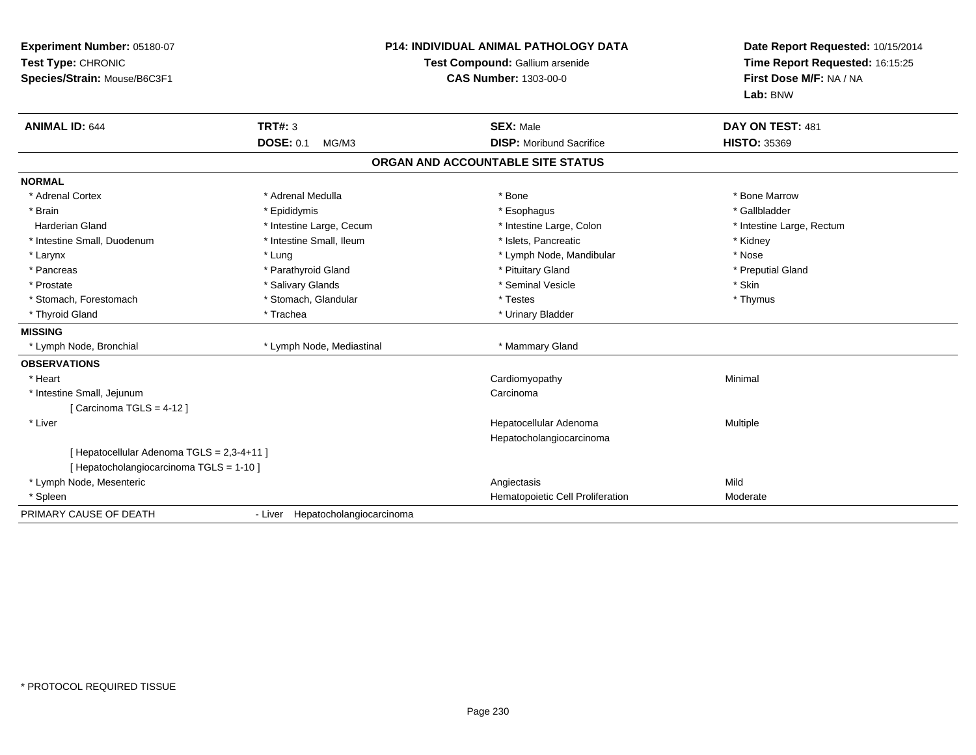| Experiment Number: 05180-07<br>Test Type: CHRONIC<br>Species/Strain: Mouse/B6C3F1      |                                  | <b>P14: INDIVIDUAL ANIMAL PATHOLOGY DATA</b><br>Test Compound: Gallium arsenide<br><b>CAS Number: 1303-00-0</b> | Date Report Requested: 10/15/2014<br>Time Report Requested: 16:15:25<br>First Dose M/F: NA / NA<br>Lab: BNW |  |
|----------------------------------------------------------------------------------------|----------------------------------|-----------------------------------------------------------------------------------------------------------------|-------------------------------------------------------------------------------------------------------------|--|
| <b>ANIMAL ID: 644</b>                                                                  | TRT#: 3                          | <b>SEX: Male</b>                                                                                                | DAY ON TEST: 481                                                                                            |  |
|                                                                                        | <b>DOSE: 0.1</b><br>MG/M3        | <b>DISP:</b> Moribund Sacrifice                                                                                 | <b>HISTO: 35369</b>                                                                                         |  |
|                                                                                        |                                  | ORGAN AND ACCOUNTABLE SITE STATUS                                                                               |                                                                                                             |  |
| <b>NORMAL</b>                                                                          |                                  |                                                                                                                 |                                                                                                             |  |
| * Adrenal Cortex                                                                       | * Adrenal Medulla                | * Bone                                                                                                          | * Bone Marrow                                                                                               |  |
| * Brain                                                                                | * Epididymis                     | * Esophagus                                                                                                     | * Gallbladder                                                                                               |  |
| <b>Harderian Gland</b>                                                                 | * Intestine Large, Cecum         | * Intestine Large, Colon                                                                                        | * Intestine Large, Rectum                                                                                   |  |
| * Intestine Small, Duodenum                                                            | * Intestine Small, Ileum         | * Islets, Pancreatic                                                                                            | * Kidney                                                                                                    |  |
| * Larynx                                                                               | * Lung                           | * Lymph Node, Mandibular                                                                                        | * Nose                                                                                                      |  |
| * Pancreas                                                                             | * Parathyroid Gland              | * Pituitary Gland                                                                                               | * Preputial Gland                                                                                           |  |
| * Prostate                                                                             | * Salivary Glands                | * Seminal Vesicle                                                                                               | * Skin                                                                                                      |  |
| * Stomach, Forestomach                                                                 | * Stomach, Glandular             | * Testes                                                                                                        | * Thymus                                                                                                    |  |
| * Thyroid Gland                                                                        | * Trachea                        | * Urinary Bladder                                                                                               |                                                                                                             |  |
| <b>MISSING</b>                                                                         |                                  |                                                                                                                 |                                                                                                             |  |
| * Lymph Node, Bronchial                                                                | * Lymph Node, Mediastinal        | * Mammary Gland                                                                                                 |                                                                                                             |  |
| <b>OBSERVATIONS</b>                                                                    |                                  |                                                                                                                 |                                                                                                             |  |
| * Heart                                                                                |                                  | Cardiomyopathy                                                                                                  | Minimal                                                                                                     |  |
| * Intestine Small, Jejunum                                                             |                                  | Carcinoma                                                                                                       |                                                                                                             |  |
| [Carcinoma TGLS = $4-12$ ]                                                             |                                  |                                                                                                                 |                                                                                                             |  |
| * Liver                                                                                |                                  | Hepatocellular Adenoma                                                                                          | Multiple                                                                                                    |  |
|                                                                                        |                                  | Hepatocholangiocarcinoma                                                                                        |                                                                                                             |  |
| [ Hepatocellular Adenoma TGLS = 2,3-4+11 ]<br>[ Hepatocholangiocarcinoma TGLS = 1-10 ] |                                  |                                                                                                                 |                                                                                                             |  |
| * Lymph Node, Mesenteric                                                               |                                  | Angiectasis                                                                                                     | Mild                                                                                                        |  |
| * Spleen                                                                               |                                  | Hematopoietic Cell Proliferation                                                                                | Moderate                                                                                                    |  |
| PRIMARY CAUSE OF DEATH                                                                 | - Liver Hepatocholangiocarcinoma |                                                                                                                 |                                                                                                             |  |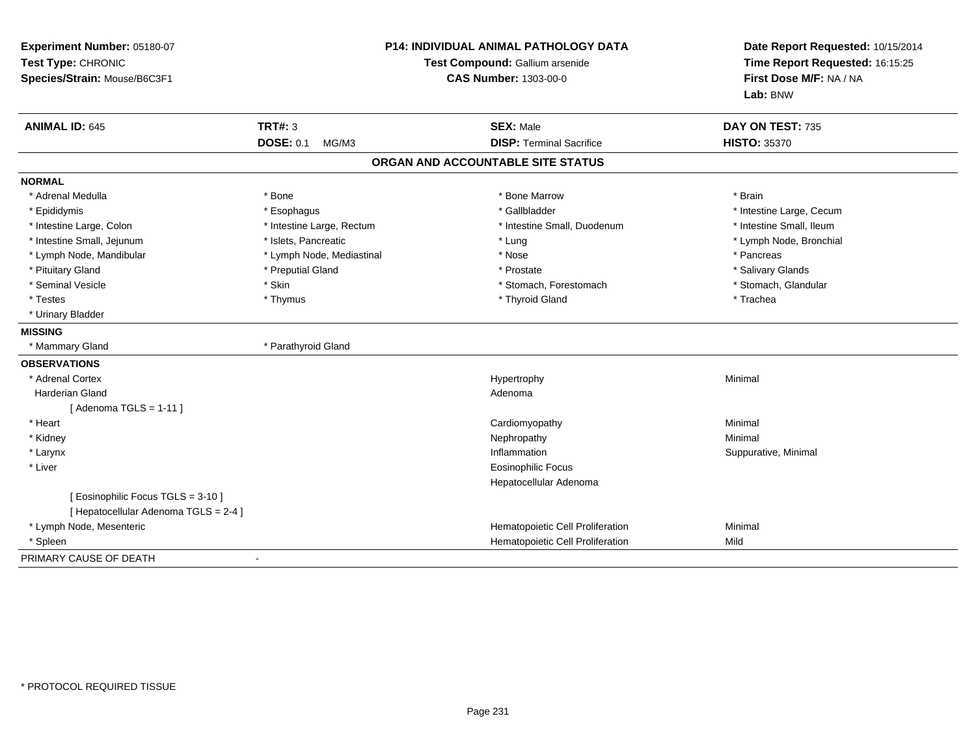| Experiment Number: 05180-07<br>Test Type: CHRONIC<br>Species/Strain: Mouse/B6C3F1 |                                    | <b>P14: INDIVIDUAL ANIMAL PATHOLOGY DATA</b><br>Test Compound: Gallium arsenide<br><b>CAS Number: 1303-00-0</b> | Date Report Requested: 10/15/2014<br>Time Report Requested: 16:15:25<br>First Dose M/F: NA / NA<br>Lab: BNW |
|-----------------------------------------------------------------------------------|------------------------------------|-----------------------------------------------------------------------------------------------------------------|-------------------------------------------------------------------------------------------------------------|
| <b>ANIMAL ID: 645</b>                                                             | <b>TRT#: 3</b><br><b>DOSE: 0.1</b> | <b>SEX: Male</b><br><b>DISP: Terminal Sacrifice</b>                                                             | DAY ON TEST: 735<br><b>HISTO: 35370</b>                                                                     |
|                                                                                   | MG/M3                              |                                                                                                                 |                                                                                                             |
|                                                                                   |                                    | ORGAN AND ACCOUNTABLE SITE STATUS                                                                               |                                                                                                             |
| <b>NORMAL</b>                                                                     |                                    |                                                                                                                 |                                                                                                             |
| * Adrenal Medulla                                                                 | * Bone                             | * Bone Marrow                                                                                                   | * Brain                                                                                                     |
| * Epididymis                                                                      | * Esophagus                        | * Gallbladder                                                                                                   | * Intestine Large, Cecum                                                                                    |
| * Intestine Large, Colon                                                          | * Intestine Large, Rectum          | * Intestine Small, Duodenum                                                                                     | * Intestine Small, Ileum                                                                                    |
| * Intestine Small, Jejunum                                                        | * Islets, Pancreatic               | * Lung                                                                                                          | * Lymph Node, Bronchial                                                                                     |
| * Lymph Node, Mandibular                                                          | * Lymph Node, Mediastinal          | * Nose                                                                                                          | * Pancreas                                                                                                  |
| * Pituitary Gland                                                                 | * Preputial Gland                  | * Prostate                                                                                                      | * Salivary Glands                                                                                           |
| * Seminal Vesicle                                                                 | * Skin                             | * Stomach, Forestomach                                                                                          | * Stomach, Glandular                                                                                        |
| * Testes                                                                          | * Thymus                           | * Thyroid Gland                                                                                                 | * Trachea                                                                                                   |
| * Urinary Bladder                                                                 |                                    |                                                                                                                 |                                                                                                             |
| <b>MISSING</b>                                                                    |                                    |                                                                                                                 |                                                                                                             |
| * Mammary Gland                                                                   | * Parathyroid Gland                |                                                                                                                 |                                                                                                             |
| <b>OBSERVATIONS</b>                                                               |                                    |                                                                                                                 |                                                                                                             |
| * Adrenal Cortex                                                                  |                                    | Hypertrophy                                                                                                     | Minimal                                                                                                     |
| Harderian Gland                                                                   |                                    | Adenoma                                                                                                         |                                                                                                             |
| [Adenoma TGLS = $1-11$ ]                                                          |                                    |                                                                                                                 |                                                                                                             |
| * Heart                                                                           |                                    | Cardiomyopathy                                                                                                  | Minimal                                                                                                     |
| * Kidney                                                                          |                                    | Nephropathy                                                                                                     | Minimal                                                                                                     |
| * Larynx                                                                          |                                    | Inflammation                                                                                                    | Suppurative, Minimal                                                                                        |
| * Liver                                                                           |                                    | <b>Eosinophilic Focus</b>                                                                                       |                                                                                                             |
|                                                                                   |                                    | Hepatocellular Adenoma                                                                                          |                                                                                                             |
| [ Eosinophilic Focus TGLS = 3-10 ]                                                |                                    |                                                                                                                 |                                                                                                             |
| [ Hepatocellular Adenoma TGLS = 2-4 ]                                             |                                    |                                                                                                                 |                                                                                                             |
| * Lymph Node, Mesenteric                                                          |                                    | Hematopoietic Cell Proliferation                                                                                | Minimal                                                                                                     |
| * Spleen                                                                          |                                    | Hematopoietic Cell Proliferation                                                                                | Mild                                                                                                        |
| PRIMARY CAUSE OF DEATH                                                            |                                    |                                                                                                                 |                                                                                                             |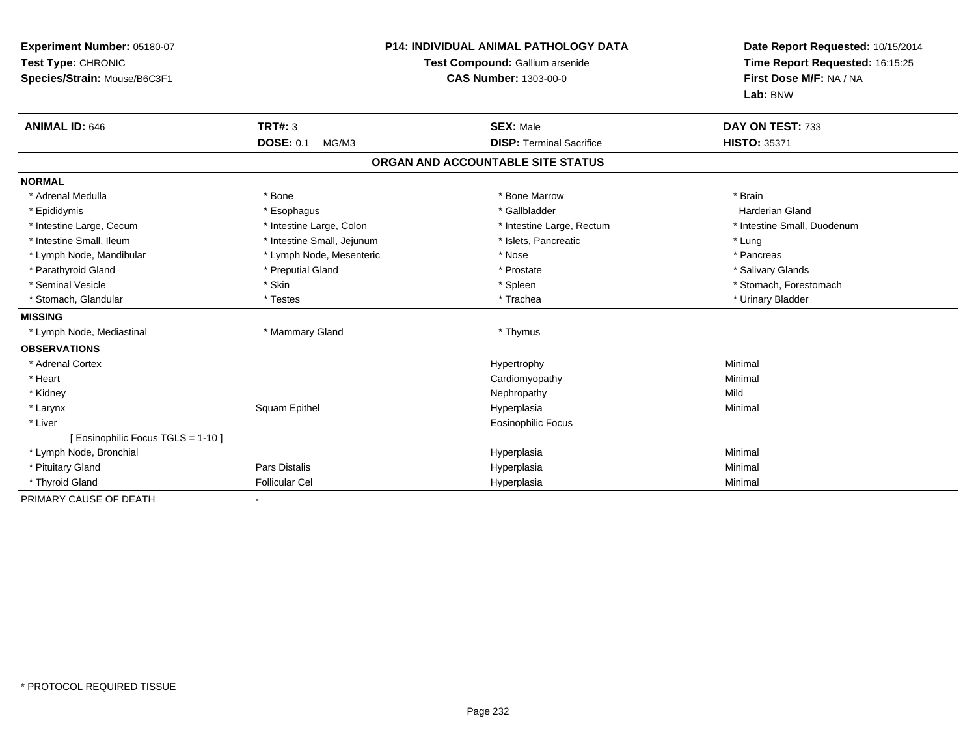| Experiment Number: 05180-07<br>Test Type: CHRONIC<br>Species/Strain: Mouse/B6C3F1<br><b>ANIMAL ID: 646</b> | <b>TRT#: 3</b><br><b>DOSE: 0.1</b><br>MG/M3 | <b>P14: INDIVIDUAL ANIMAL PATHOLOGY DATA</b><br>Test Compound: Gallium arsenide<br><b>CAS Number: 1303-00-0</b><br><b>SEX: Male</b><br><b>DISP: Terminal Sacrifice</b> | Date Report Requested: 10/15/2014<br>Time Report Requested: 16:15:25<br>First Dose M/F: NA / NA<br>Lab: BNW<br>DAY ON TEST: 733<br><b>HISTO: 35371</b> |
|------------------------------------------------------------------------------------------------------------|---------------------------------------------|------------------------------------------------------------------------------------------------------------------------------------------------------------------------|--------------------------------------------------------------------------------------------------------------------------------------------------------|
|                                                                                                            |                                             | ORGAN AND ACCOUNTABLE SITE STATUS                                                                                                                                      |                                                                                                                                                        |
| <b>NORMAL</b>                                                                                              |                                             |                                                                                                                                                                        |                                                                                                                                                        |
| * Adrenal Medulla                                                                                          | * Bone                                      | * Bone Marrow                                                                                                                                                          | * Brain                                                                                                                                                |
| * Epididymis                                                                                               | * Esophagus                                 | * Gallbladder                                                                                                                                                          | <b>Harderian Gland</b>                                                                                                                                 |
| * Intestine Large, Cecum                                                                                   | * Intestine Large, Colon                    | * Intestine Large, Rectum                                                                                                                                              | * Intestine Small, Duodenum                                                                                                                            |
| * Intestine Small, Ileum                                                                                   | * Intestine Small, Jejunum                  | * Islets, Pancreatic                                                                                                                                                   | * Lung                                                                                                                                                 |
| * Lymph Node, Mandibular                                                                                   | * Lymph Node, Mesenteric                    | * Nose                                                                                                                                                                 | * Pancreas                                                                                                                                             |
| * Parathyroid Gland                                                                                        | * Preputial Gland                           | * Prostate                                                                                                                                                             | * Salivary Glands                                                                                                                                      |
| * Seminal Vesicle                                                                                          | * Skin                                      | * Spleen                                                                                                                                                               | * Stomach, Forestomach                                                                                                                                 |
| * Stomach, Glandular                                                                                       | * Testes                                    | * Trachea                                                                                                                                                              | * Urinary Bladder                                                                                                                                      |
| <b>MISSING</b>                                                                                             |                                             |                                                                                                                                                                        |                                                                                                                                                        |
| * Lymph Node, Mediastinal                                                                                  | * Mammary Gland                             | * Thymus                                                                                                                                                               |                                                                                                                                                        |
| <b>OBSERVATIONS</b>                                                                                        |                                             |                                                                                                                                                                        |                                                                                                                                                        |
| * Adrenal Cortex                                                                                           |                                             | Hypertrophy                                                                                                                                                            | Minimal                                                                                                                                                |
| * Heart                                                                                                    |                                             | Cardiomyopathy                                                                                                                                                         | Minimal                                                                                                                                                |
| * Kidney                                                                                                   |                                             | Nephropathy                                                                                                                                                            | Mild                                                                                                                                                   |
| * Larynx                                                                                                   | Squam Epithel                               | Hyperplasia                                                                                                                                                            | Minimal                                                                                                                                                |
| * Liver                                                                                                    |                                             | <b>Eosinophilic Focus</b>                                                                                                                                              |                                                                                                                                                        |
| [ Eosinophilic Focus TGLS = 1-10 ]                                                                         |                                             |                                                                                                                                                                        |                                                                                                                                                        |
| * Lymph Node, Bronchial                                                                                    |                                             | Hyperplasia                                                                                                                                                            | Minimal                                                                                                                                                |
| * Pituitary Gland                                                                                          | Pars Distalis                               | Hyperplasia                                                                                                                                                            | Minimal                                                                                                                                                |
| * Thyroid Gland                                                                                            | <b>Follicular Cel</b>                       | Hyperplasia                                                                                                                                                            | Minimal                                                                                                                                                |
| PRIMARY CAUSE OF DEATH                                                                                     |                                             |                                                                                                                                                                        |                                                                                                                                                        |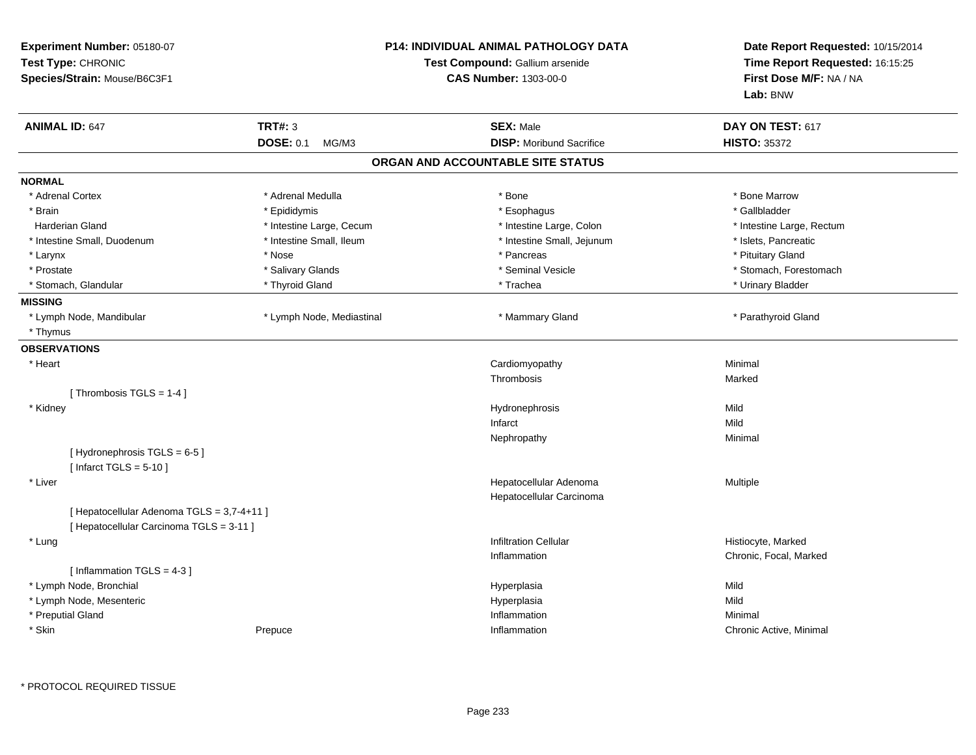| Experiment Number: 05180-07<br>Test Type: CHRONIC<br>Species/Strain: Mouse/B6C3F1 |                                            |                           | <b>P14: INDIVIDUAL ANIMAL PATHOLOGY DATA</b><br>Test Compound: Gallium arsenide<br><b>CAS Number: 1303-00-0</b> | Date Report Requested: 10/15/2014<br>Time Report Requested: 16:15:25<br>First Dose M/F: NA / NA<br>Lab: BNW |
|-----------------------------------------------------------------------------------|--------------------------------------------|---------------------------|-----------------------------------------------------------------------------------------------------------------|-------------------------------------------------------------------------------------------------------------|
| <b>ANIMAL ID: 647</b>                                                             |                                            | <b>TRT#: 3</b>            | <b>SEX: Male</b>                                                                                                | DAY ON TEST: 617                                                                                            |
|                                                                                   |                                            | <b>DOSE: 0.1</b><br>MG/M3 | <b>DISP:</b> Moribund Sacrifice                                                                                 | <b>HISTO: 35372</b>                                                                                         |
|                                                                                   |                                            |                           | ORGAN AND ACCOUNTABLE SITE STATUS                                                                               |                                                                                                             |
| <b>NORMAL</b>                                                                     |                                            |                           |                                                                                                                 |                                                                                                             |
| * Adrenal Cortex                                                                  |                                            | * Adrenal Medulla         | * Bone                                                                                                          | * Bone Marrow                                                                                               |
| * Brain                                                                           |                                            | * Epididymis              | * Esophagus                                                                                                     | * Gallbladder                                                                                               |
| Harderian Gland                                                                   |                                            | * Intestine Large, Cecum  | * Intestine Large, Colon                                                                                        | * Intestine Large, Rectum                                                                                   |
| * Intestine Small, Duodenum                                                       |                                            | * Intestine Small, Ileum  | * Intestine Small, Jejunum                                                                                      | * Islets, Pancreatic                                                                                        |
| * Larynx                                                                          |                                            | * Nose                    | * Pancreas                                                                                                      | * Pituitary Gland                                                                                           |
| * Prostate                                                                        |                                            | * Salivary Glands         | * Seminal Vesicle                                                                                               | * Stomach, Forestomach                                                                                      |
| * Stomach, Glandular                                                              |                                            | * Thyroid Gland           | * Trachea                                                                                                       | * Urinary Bladder                                                                                           |
| <b>MISSING</b>                                                                    |                                            |                           |                                                                                                                 |                                                                                                             |
| * Lymph Node, Mandibular                                                          |                                            | * Lymph Node, Mediastinal | * Mammary Gland                                                                                                 | * Parathyroid Gland                                                                                         |
| * Thymus                                                                          |                                            |                           |                                                                                                                 |                                                                                                             |
| <b>OBSERVATIONS</b>                                                               |                                            |                           |                                                                                                                 |                                                                                                             |
| * Heart                                                                           |                                            |                           | Cardiomyopathy                                                                                                  | Minimal                                                                                                     |
|                                                                                   |                                            |                           | Thrombosis                                                                                                      | Marked                                                                                                      |
|                                                                                   | [Thrombosis TGLS = $1-4$ ]                 |                           |                                                                                                                 |                                                                                                             |
| * Kidney                                                                          |                                            |                           | Hydronephrosis                                                                                                  | Mild                                                                                                        |
|                                                                                   |                                            |                           | Infarct                                                                                                         | Mild                                                                                                        |
|                                                                                   |                                            |                           | Nephropathy                                                                                                     | Minimal                                                                                                     |
|                                                                                   | [Hydronephrosis TGLS = 6-5]                |                           |                                                                                                                 |                                                                                                             |
|                                                                                   | [Infarct TGLS = $5-10$ ]                   |                           |                                                                                                                 |                                                                                                             |
| * Liver                                                                           |                                            |                           | Hepatocellular Adenoma                                                                                          | Multiple                                                                                                    |
|                                                                                   |                                            |                           | Hepatocellular Carcinoma                                                                                        |                                                                                                             |
|                                                                                   | [ Hepatocellular Adenoma TGLS = 3,7-4+11 ] |                           |                                                                                                                 |                                                                                                             |
|                                                                                   | [ Hepatocellular Carcinoma TGLS = 3-11 ]   |                           |                                                                                                                 |                                                                                                             |
| * Lung                                                                            |                                            |                           | <b>Infiltration Cellular</b>                                                                                    | Histiocyte, Marked                                                                                          |
|                                                                                   |                                            |                           | Inflammation                                                                                                    | Chronic, Focal, Marked                                                                                      |
|                                                                                   | [Inflammation TGLS = $4-3$ ]               |                           |                                                                                                                 |                                                                                                             |
| * Lymph Node, Bronchial                                                           |                                            |                           | Hyperplasia                                                                                                     | Mild                                                                                                        |
| * Lymph Node, Mesenteric                                                          |                                            |                           | Hyperplasia                                                                                                     | Mild                                                                                                        |
| * Preputial Gland                                                                 |                                            |                           | Inflammation                                                                                                    | Minimal                                                                                                     |
| * Skin                                                                            |                                            | Prepuce                   | Inflammation                                                                                                    | Chronic Active, Minimal                                                                                     |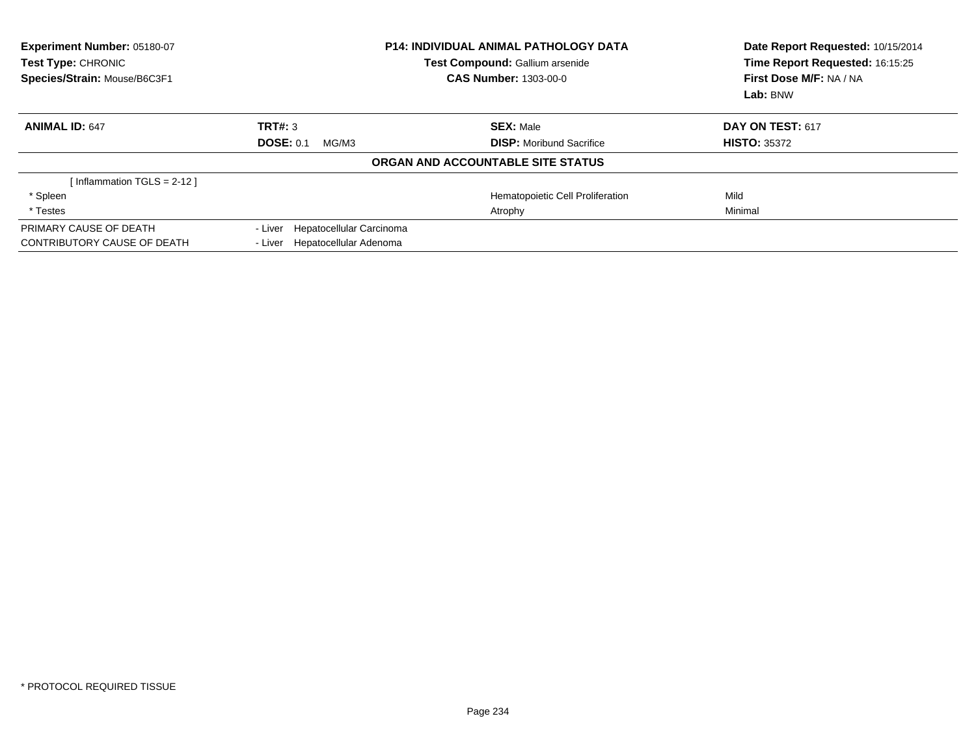| Experiment Number: 05180-07<br>Test Type: CHRONIC<br>Species/Strain: Mouse/B6C3F1 | <b>P14: INDIVIDUAL ANIMAL PATHOLOGY DATA</b><br>Test Compound: Gallium arsenide<br><b>CAS Number: 1303-00-0</b> |                                   | Date Report Requested: 10/15/2014<br>Time Report Requested: 16:15:25<br>First Dose M/F: NA / NA<br>Lab: BNW |
|-----------------------------------------------------------------------------------|-----------------------------------------------------------------------------------------------------------------|-----------------------------------|-------------------------------------------------------------------------------------------------------------|
| <b>ANIMAL ID: 647</b>                                                             | TRT#: 3                                                                                                         | <b>SEX: Male</b>                  | DAY ON TEST: 617                                                                                            |
|                                                                                   | <b>DOSE: 0.1</b><br>MG/M3                                                                                       | <b>DISP:</b> Moribund Sacrifice   | <b>HISTO: 35372</b>                                                                                         |
|                                                                                   |                                                                                                                 | ORGAN AND ACCOUNTABLE SITE STATUS |                                                                                                             |
| Inflammation TGLS = 2-12 ]                                                        |                                                                                                                 |                                   |                                                                                                             |
| * Spleen                                                                          |                                                                                                                 | Hematopoietic Cell Proliferation  | Mild                                                                                                        |
| * Testes                                                                          |                                                                                                                 | Atrophy                           | Minimal                                                                                                     |
| PRIMARY CAUSE OF DEATH                                                            | Hepatocellular Carcinoma<br>- Liver                                                                             |                                   |                                                                                                             |
| <b>CONTRIBUTORY CAUSE OF DEATH</b>                                                | - Liver Hepatocellular Adenoma                                                                                  |                                   |                                                                                                             |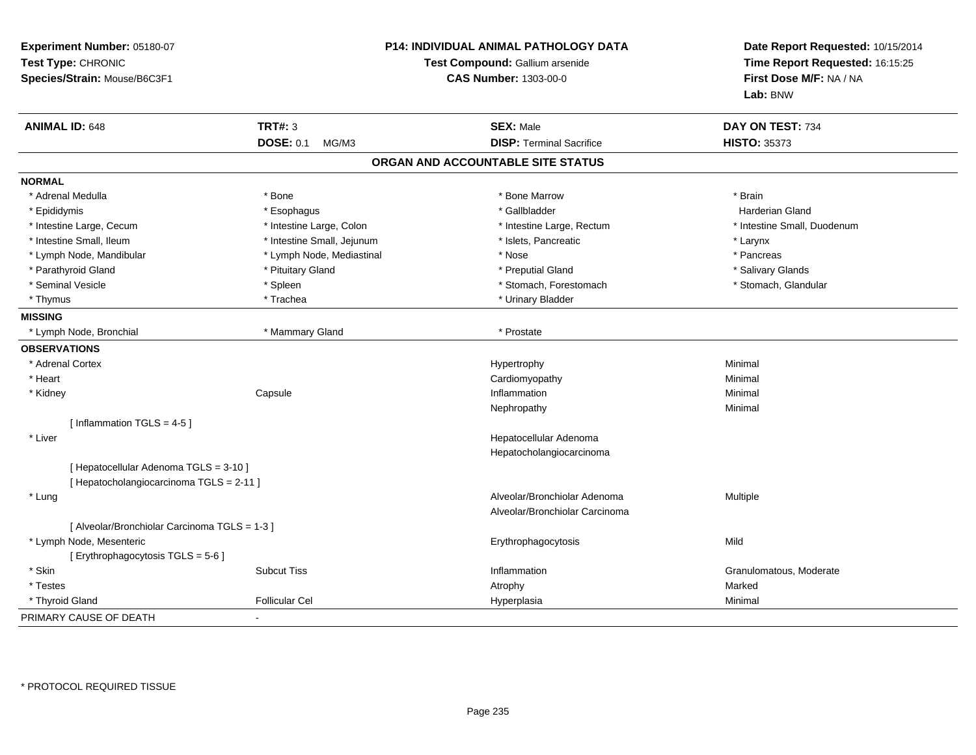| Experiment Number: 05180-07<br>Test Type: CHRONIC<br>Species/Strain: Mouse/B6C3F1 |                            | P14: INDIVIDUAL ANIMAL PATHOLOGY DATA<br>Test Compound: Gallium arsenide<br><b>CAS Number: 1303-00-0</b> | Date Report Requested: 10/15/2014<br>Time Report Requested: 16:15:25<br>First Dose M/F: NA / NA<br>Lab: BNW |  |
|-----------------------------------------------------------------------------------|----------------------------|----------------------------------------------------------------------------------------------------------|-------------------------------------------------------------------------------------------------------------|--|
| <b>ANIMAL ID: 648</b>                                                             | <b>TRT#: 3</b>             | <b>SEX: Male</b>                                                                                         | DAY ON TEST: 734                                                                                            |  |
|                                                                                   | <b>DOSE: 0.1</b><br>MG/M3  | <b>DISP: Terminal Sacrifice</b>                                                                          | <b>HISTO: 35373</b>                                                                                         |  |
|                                                                                   |                            | ORGAN AND ACCOUNTABLE SITE STATUS                                                                        |                                                                                                             |  |
| <b>NORMAL</b>                                                                     |                            |                                                                                                          |                                                                                                             |  |
| * Adrenal Medulla                                                                 | * Bone                     | * Bone Marrow                                                                                            | * Brain                                                                                                     |  |
| * Epididymis                                                                      | * Esophagus                | * Gallbladder                                                                                            | <b>Harderian Gland</b>                                                                                      |  |
| * Intestine Large, Cecum                                                          | * Intestine Large, Colon   | * Intestine Large, Rectum                                                                                | * Intestine Small, Duodenum                                                                                 |  |
| * Intestine Small, Ileum                                                          | * Intestine Small, Jejunum | * Islets, Pancreatic                                                                                     | * Larynx                                                                                                    |  |
| * Lymph Node, Mandibular                                                          | * Lymph Node, Mediastinal  | * Nose                                                                                                   | * Pancreas                                                                                                  |  |
| * Parathyroid Gland                                                               | * Pituitary Gland          | * Preputial Gland                                                                                        | * Salivary Glands                                                                                           |  |
| * Seminal Vesicle                                                                 | * Spleen                   | * Stomach, Forestomach                                                                                   | * Stomach, Glandular                                                                                        |  |
| * Thymus                                                                          | * Trachea                  | * Urinary Bladder                                                                                        |                                                                                                             |  |
| <b>MISSING</b>                                                                    |                            |                                                                                                          |                                                                                                             |  |
| * Lymph Node, Bronchial                                                           | * Mammary Gland            | * Prostate                                                                                               |                                                                                                             |  |
| <b>OBSERVATIONS</b>                                                               |                            |                                                                                                          |                                                                                                             |  |
| * Adrenal Cortex                                                                  |                            | Hypertrophy                                                                                              | Minimal                                                                                                     |  |
| * Heart                                                                           |                            | Cardiomyopathy                                                                                           | Minimal                                                                                                     |  |
| * Kidney                                                                          | Capsule                    | Inflammation                                                                                             | Minimal                                                                                                     |  |
|                                                                                   |                            | Nephropathy                                                                                              | Minimal                                                                                                     |  |
| [Inflammation TGLS = $4-5$ ]                                                      |                            |                                                                                                          |                                                                                                             |  |
| * Liver                                                                           |                            | Hepatocellular Adenoma                                                                                   |                                                                                                             |  |
|                                                                                   |                            | Hepatocholangiocarcinoma                                                                                 |                                                                                                             |  |
| [ Hepatocellular Adenoma TGLS = 3-10 ]                                            |                            |                                                                                                          |                                                                                                             |  |
| [ Hepatocholangiocarcinoma TGLS = 2-11 ]                                          |                            |                                                                                                          |                                                                                                             |  |
| * Lung                                                                            |                            | Alveolar/Bronchiolar Adenoma                                                                             | Multiple                                                                                                    |  |
|                                                                                   |                            | Alveolar/Bronchiolar Carcinoma                                                                           |                                                                                                             |  |
| [ Alveolar/Bronchiolar Carcinoma TGLS = 1-3 ]                                     |                            |                                                                                                          |                                                                                                             |  |
| * Lymph Node, Mesenteric                                                          |                            | Erythrophagocytosis                                                                                      | Mild                                                                                                        |  |
| [ Erythrophagocytosis TGLS = 5-6 ]                                                |                            |                                                                                                          |                                                                                                             |  |
| * Skin                                                                            | <b>Subcut Tiss</b>         | Inflammation                                                                                             | Granulomatous, Moderate                                                                                     |  |
| * Testes                                                                          |                            | Atrophy                                                                                                  | Marked                                                                                                      |  |
| * Thyroid Gland                                                                   | <b>Follicular Cel</b>      | Hyperplasia                                                                                              | Minimal                                                                                                     |  |
| PRIMARY CAUSE OF DEATH                                                            |                            |                                                                                                          |                                                                                                             |  |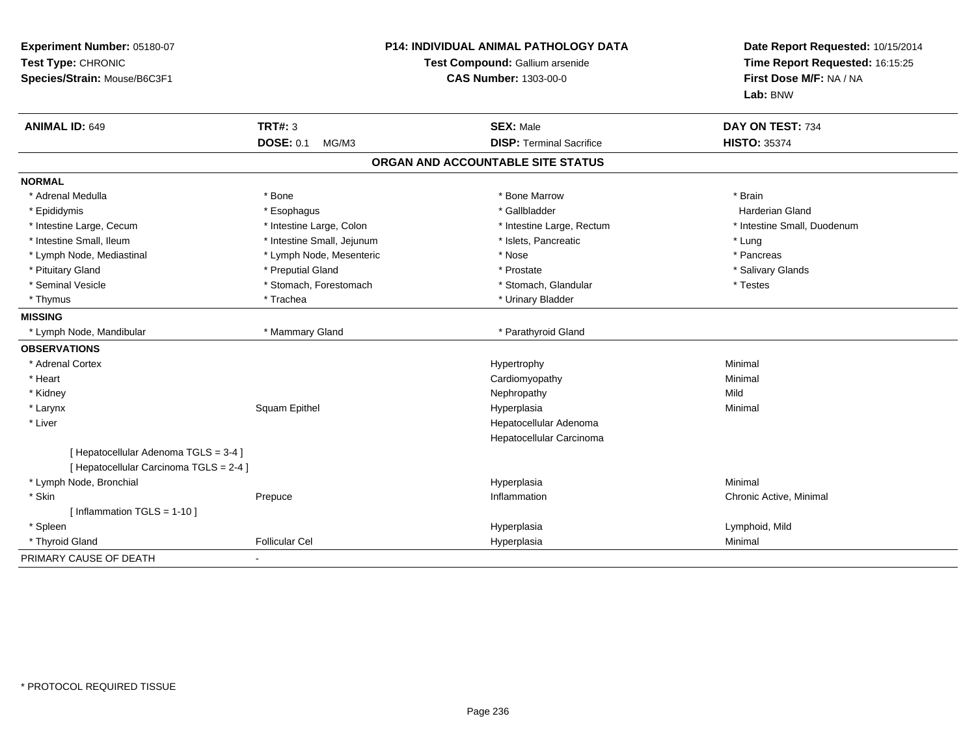| Experiment Number: 05180-07<br>Test Type: CHRONIC<br>Species/Strain: Mouse/B6C3F1 |                            | <b>P14: INDIVIDUAL ANIMAL PATHOLOGY DATA</b><br>Test Compound: Gallium arsenide<br><b>CAS Number: 1303-00-0</b> |                                   | Date Report Requested: 10/15/2014<br>Time Report Requested: 16:15:25<br>First Dose M/F: NA / NA<br>Lab: BNW |
|-----------------------------------------------------------------------------------|----------------------------|-----------------------------------------------------------------------------------------------------------------|-----------------------------------|-------------------------------------------------------------------------------------------------------------|
| <b>ANIMAL ID: 649</b>                                                             | <b>TRT#: 3</b>             |                                                                                                                 | <b>SEX: Male</b>                  | DAY ON TEST: 734                                                                                            |
|                                                                                   | <b>DOSE: 0.1</b><br>MG/M3  |                                                                                                                 | <b>DISP: Terminal Sacrifice</b>   | <b>HISTO: 35374</b>                                                                                         |
|                                                                                   |                            |                                                                                                                 | ORGAN AND ACCOUNTABLE SITE STATUS |                                                                                                             |
| <b>NORMAL</b>                                                                     |                            |                                                                                                                 |                                   |                                                                                                             |
| * Adrenal Medulla                                                                 | * Bone                     |                                                                                                                 | * Bone Marrow                     | * Brain                                                                                                     |
| * Epididymis                                                                      | * Esophagus                |                                                                                                                 | * Gallbladder                     | Harderian Gland                                                                                             |
| * Intestine Large, Cecum                                                          | * Intestine Large, Colon   |                                                                                                                 | * Intestine Large, Rectum         | * Intestine Small, Duodenum                                                                                 |
| * Intestine Small, Ileum                                                          | * Intestine Small, Jejunum |                                                                                                                 | * Islets, Pancreatic              | * Lung                                                                                                      |
| * Lymph Node, Mediastinal                                                         | * Lymph Node, Mesenteric   |                                                                                                                 | * Nose                            | * Pancreas                                                                                                  |
| * Pituitary Gland                                                                 | * Preputial Gland          |                                                                                                                 | * Prostate                        | * Salivary Glands                                                                                           |
| * Seminal Vesicle                                                                 | * Stomach, Forestomach     |                                                                                                                 | * Stomach, Glandular              | * Testes                                                                                                    |
| * Thymus                                                                          | * Trachea                  |                                                                                                                 | * Urinary Bladder                 |                                                                                                             |
| <b>MISSING</b>                                                                    |                            |                                                                                                                 |                                   |                                                                                                             |
| * Lymph Node, Mandibular                                                          | * Mammary Gland            |                                                                                                                 | * Parathyroid Gland               |                                                                                                             |
| <b>OBSERVATIONS</b>                                                               |                            |                                                                                                                 |                                   |                                                                                                             |
| * Adrenal Cortex                                                                  |                            |                                                                                                                 | Hypertrophy                       | Minimal                                                                                                     |
| * Heart                                                                           |                            |                                                                                                                 | Cardiomyopathy                    | Minimal                                                                                                     |
| * Kidney                                                                          |                            |                                                                                                                 | Nephropathy                       | Mild                                                                                                        |
| * Larynx                                                                          | Squam Epithel              |                                                                                                                 | Hyperplasia                       | Minimal                                                                                                     |
| * Liver                                                                           |                            |                                                                                                                 | Hepatocellular Adenoma            |                                                                                                             |
|                                                                                   |                            |                                                                                                                 | Hepatocellular Carcinoma          |                                                                                                             |
| [ Hepatocellular Adenoma TGLS = 3-4 ]                                             |                            |                                                                                                                 |                                   |                                                                                                             |
| [ Hepatocellular Carcinoma TGLS = 2-4 ]                                           |                            |                                                                                                                 |                                   |                                                                                                             |
| * Lymph Node, Bronchial                                                           |                            |                                                                                                                 | Hyperplasia                       | Minimal                                                                                                     |
| * Skin                                                                            | Prepuce                    |                                                                                                                 | Inflammation                      | Chronic Active, Minimal                                                                                     |
| [Inflammation TGLS = $1-10$ ]                                                     |                            |                                                                                                                 |                                   |                                                                                                             |
| * Spleen                                                                          |                            |                                                                                                                 | Hyperplasia                       | Lymphoid, Mild                                                                                              |
| * Thyroid Gland                                                                   | <b>Follicular Cel</b>      |                                                                                                                 | Hyperplasia                       | Minimal                                                                                                     |
| PRIMARY CAUSE OF DEATH                                                            | $\mathbf{r}$               |                                                                                                                 |                                   |                                                                                                             |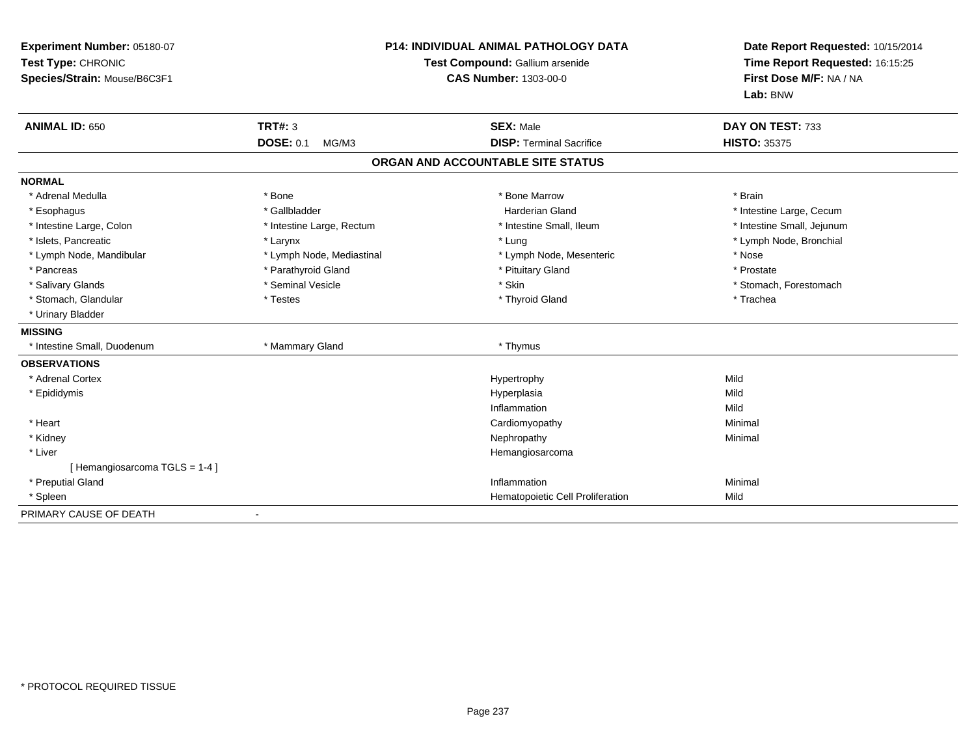| Experiment Number: 05180-07<br>Test Type: CHRONIC<br>Species/Strain: Mouse/B6C3F1 |                           | <b>P14: INDIVIDUAL ANIMAL PATHOLOGY DATA</b><br>Test Compound: Gallium arsenide<br><b>CAS Number: 1303-00-0</b> | Date Report Requested: 10/15/2014<br>Time Report Requested: 16:15:25<br>First Dose M/F: NA / NA<br>Lab: BNW |
|-----------------------------------------------------------------------------------|---------------------------|-----------------------------------------------------------------------------------------------------------------|-------------------------------------------------------------------------------------------------------------|
| <b>ANIMAL ID: 650</b>                                                             | TRT#: 3                   | <b>SEX: Male</b>                                                                                                | DAY ON TEST: 733                                                                                            |
|                                                                                   | <b>DOSE: 0.1</b><br>MG/M3 | <b>DISP: Terminal Sacrifice</b>                                                                                 | <b>HISTO: 35375</b>                                                                                         |
|                                                                                   |                           | ORGAN AND ACCOUNTABLE SITE STATUS                                                                               |                                                                                                             |
| <b>NORMAL</b>                                                                     |                           |                                                                                                                 |                                                                                                             |
| * Adrenal Medulla                                                                 | * Bone                    | * Bone Marrow                                                                                                   | * Brain                                                                                                     |
| * Esophagus                                                                       | * Gallbladder             | <b>Harderian Gland</b>                                                                                          | * Intestine Large, Cecum                                                                                    |
| * Intestine Large, Colon                                                          | * Intestine Large, Rectum | * Intestine Small, Ileum                                                                                        | * Intestine Small, Jejunum                                                                                  |
| * Islets, Pancreatic                                                              | * Larynx                  | * Lung                                                                                                          | * Lymph Node, Bronchial                                                                                     |
| * Lymph Node, Mandibular                                                          | * Lymph Node, Mediastinal | * Lymph Node, Mesenteric                                                                                        | * Nose                                                                                                      |
| * Pancreas                                                                        | * Parathyroid Gland       | * Pituitary Gland                                                                                               | * Prostate                                                                                                  |
| * Salivary Glands                                                                 | * Seminal Vesicle         | * Skin                                                                                                          | * Stomach, Forestomach                                                                                      |
| * Stomach, Glandular                                                              | * Testes                  | * Thyroid Gland                                                                                                 | * Trachea                                                                                                   |
| * Urinary Bladder                                                                 |                           |                                                                                                                 |                                                                                                             |
| <b>MISSING</b>                                                                    |                           |                                                                                                                 |                                                                                                             |
| * Intestine Small, Duodenum                                                       | * Mammary Gland           | * Thymus                                                                                                        |                                                                                                             |
| <b>OBSERVATIONS</b>                                                               |                           |                                                                                                                 |                                                                                                             |
| * Adrenal Cortex                                                                  |                           | Hypertrophy                                                                                                     | Mild                                                                                                        |
| * Epididymis                                                                      |                           | Hyperplasia                                                                                                     | Mild                                                                                                        |
|                                                                                   |                           | Inflammation                                                                                                    | Mild                                                                                                        |
| * Heart                                                                           |                           | Cardiomyopathy                                                                                                  | Minimal                                                                                                     |
| * Kidney                                                                          |                           | Nephropathy                                                                                                     | Minimal                                                                                                     |
| * Liver                                                                           |                           | Hemangiosarcoma                                                                                                 |                                                                                                             |
| [Hemangiosarcoma TGLS = 1-4]                                                      |                           |                                                                                                                 |                                                                                                             |
| * Preputial Gland                                                                 |                           | Inflammation                                                                                                    | Minimal                                                                                                     |
| * Spleen                                                                          |                           | Hematopoietic Cell Proliferation                                                                                | Mild                                                                                                        |
| PRIMARY CAUSE OF DEATH                                                            |                           |                                                                                                                 |                                                                                                             |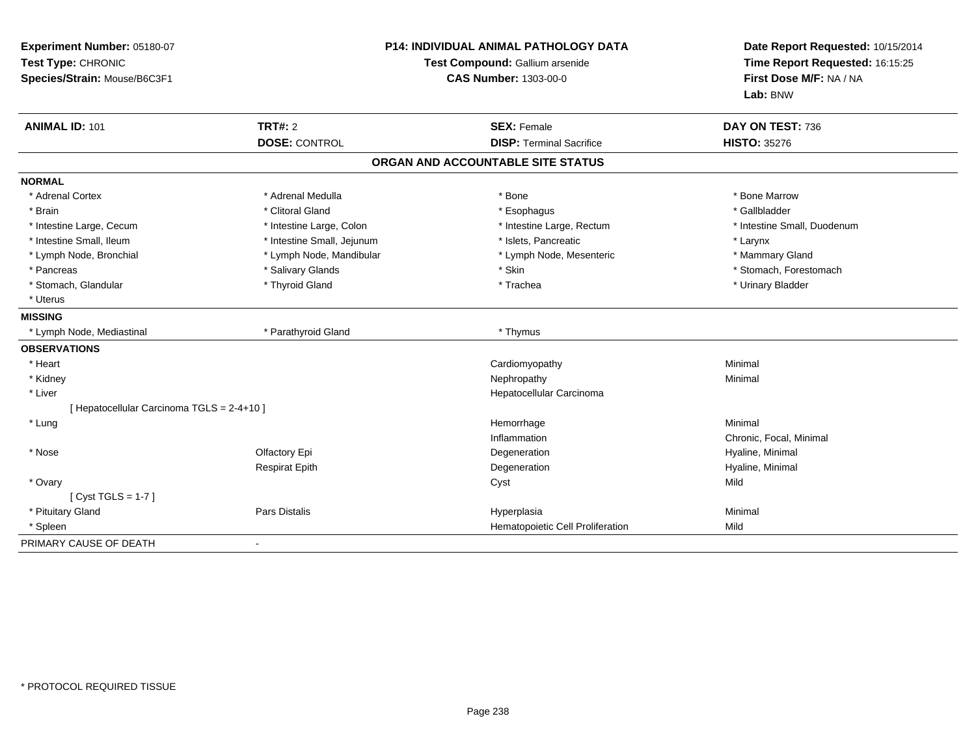| Experiment Number: 05180-07<br>Test Type: CHRONIC<br>Species/Strain: Mouse/B6C3F1 |                                        | <b>P14: INDIVIDUAL ANIMAL PATHOLOGY DATA</b><br>Test Compound: Gallium arsenide<br><b>CAS Number: 1303-00-0</b> | Date Report Requested: 10/15/2014<br>Time Report Requested: 16:15:25<br>First Dose M/F: NA / NA<br>Lab: BNW |  |
|-----------------------------------------------------------------------------------|----------------------------------------|-----------------------------------------------------------------------------------------------------------------|-------------------------------------------------------------------------------------------------------------|--|
| <b>ANIMAL ID: 101</b>                                                             | <b>TRT#: 2</b><br><b>DOSE: CONTROL</b> | <b>SEX: Female</b><br><b>DISP: Terminal Sacrifice</b>                                                           | DAY ON TEST: 736<br><b>HISTO: 35276</b>                                                                     |  |
|                                                                                   |                                        |                                                                                                                 |                                                                                                             |  |
|                                                                                   |                                        | ORGAN AND ACCOUNTABLE SITE STATUS                                                                               |                                                                                                             |  |
| <b>NORMAL</b>                                                                     |                                        |                                                                                                                 |                                                                                                             |  |
| * Adrenal Cortex                                                                  | * Adrenal Medulla                      | * Bone                                                                                                          | * Bone Marrow                                                                                               |  |
| * Brain                                                                           | * Clitoral Gland                       | * Esophagus                                                                                                     | * Gallbladder                                                                                               |  |
| * Intestine Large, Cecum                                                          | * Intestine Large, Colon               | * Intestine Large, Rectum                                                                                       | * Intestine Small, Duodenum                                                                                 |  |
| * Intestine Small. Ileum                                                          | * Intestine Small, Jejunum             | * Islets. Pancreatic                                                                                            | * Larynx                                                                                                    |  |
| * Lymph Node, Bronchial                                                           | * Lymph Node, Mandibular               | * Lymph Node, Mesenteric                                                                                        | * Mammary Gland                                                                                             |  |
| * Pancreas                                                                        | * Salivary Glands                      | * Skin                                                                                                          | * Stomach, Forestomach                                                                                      |  |
| * Stomach, Glandular                                                              | * Thyroid Gland                        | * Trachea                                                                                                       | * Urinary Bladder                                                                                           |  |
| * Uterus                                                                          |                                        |                                                                                                                 |                                                                                                             |  |
| <b>MISSING</b>                                                                    |                                        |                                                                                                                 |                                                                                                             |  |
| * Lymph Node, Mediastinal                                                         | * Parathyroid Gland                    | * Thymus                                                                                                        |                                                                                                             |  |
| <b>OBSERVATIONS</b>                                                               |                                        |                                                                                                                 |                                                                                                             |  |
| * Heart                                                                           |                                        | Cardiomyopathy                                                                                                  | Minimal                                                                                                     |  |
| * Kidney                                                                          |                                        | Nephropathy                                                                                                     | Minimal                                                                                                     |  |
| * Liver                                                                           |                                        | Hepatocellular Carcinoma                                                                                        |                                                                                                             |  |
| [ Hepatocellular Carcinoma TGLS = 2-4+10 ]                                        |                                        |                                                                                                                 |                                                                                                             |  |
| * Lung                                                                            |                                        | Hemorrhage                                                                                                      | Minimal                                                                                                     |  |
|                                                                                   |                                        | Inflammation                                                                                                    | Chronic, Focal, Minimal                                                                                     |  |
| * Nose                                                                            | Olfactory Epi                          | Degeneration                                                                                                    | Hyaline, Minimal                                                                                            |  |
|                                                                                   | <b>Respirat Epith</b>                  | Degeneration                                                                                                    | Hyaline, Minimal                                                                                            |  |
| * Ovary                                                                           |                                        | Cyst                                                                                                            | Mild                                                                                                        |  |
| [Cyst TGLS = $1-7$ ]                                                              |                                        |                                                                                                                 |                                                                                                             |  |
| * Pituitary Gland                                                                 | <b>Pars Distalis</b>                   | Hyperplasia                                                                                                     | Minimal                                                                                                     |  |
| * Spleen                                                                          |                                        | Hematopoietic Cell Proliferation                                                                                | Mild                                                                                                        |  |
| PRIMARY CAUSE OF DEATH                                                            |                                        |                                                                                                                 |                                                                                                             |  |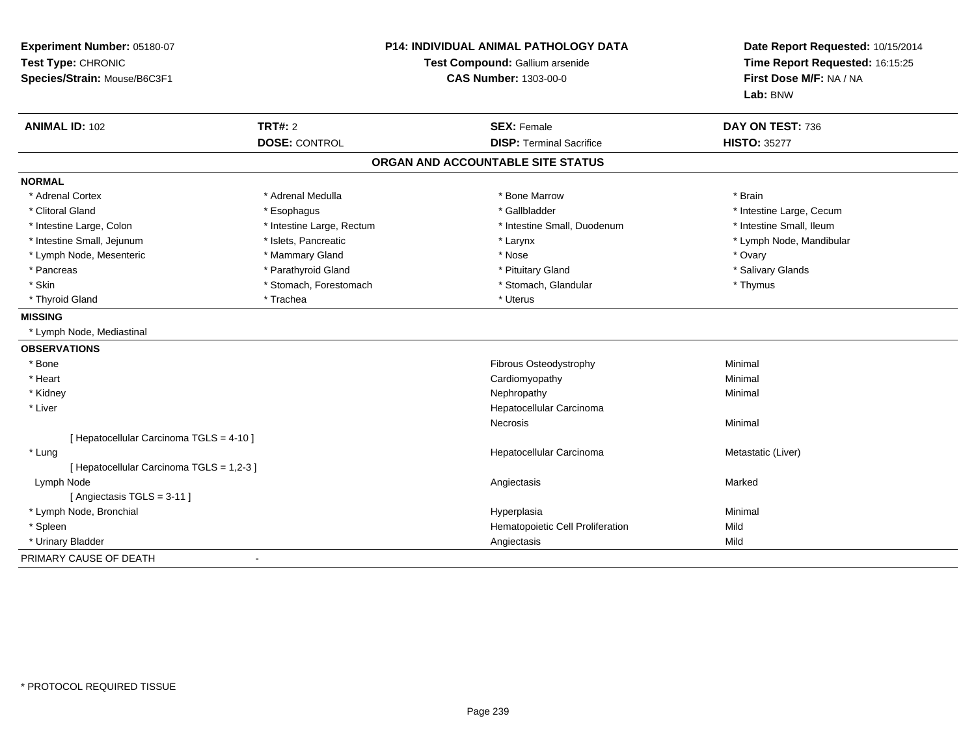| Experiment Number: 05180-07<br>Test Type: CHRONIC<br>Species/Strain: Mouse/B6C3F1 |                           | <b>P14: INDIVIDUAL ANIMAL PATHOLOGY DATA</b><br>Test Compound: Gallium arsenide<br><b>CAS Number: 1303-00-0</b> | Date Report Requested: 10/15/2014<br>Time Report Requested: 16:15:25<br>First Dose M/F: NA / NA<br>Lab: BNW |  |
|-----------------------------------------------------------------------------------|---------------------------|-----------------------------------------------------------------------------------------------------------------|-------------------------------------------------------------------------------------------------------------|--|
| <b>ANIMAL ID: 102</b>                                                             | <b>TRT#: 2</b>            | <b>SEX: Female</b>                                                                                              | DAY ON TEST: 736                                                                                            |  |
|                                                                                   | <b>DOSE: CONTROL</b>      | <b>DISP: Terminal Sacrifice</b>                                                                                 | <b>HISTO: 35277</b>                                                                                         |  |
|                                                                                   |                           | ORGAN AND ACCOUNTABLE SITE STATUS                                                                               |                                                                                                             |  |
| <b>NORMAL</b>                                                                     |                           |                                                                                                                 |                                                                                                             |  |
| * Adrenal Cortex                                                                  | * Adrenal Medulla         | * Bone Marrow                                                                                                   | * Brain                                                                                                     |  |
| * Clitoral Gland                                                                  | * Esophagus               | * Gallbladder                                                                                                   | * Intestine Large, Cecum                                                                                    |  |
| * Intestine Large, Colon                                                          | * Intestine Large, Rectum | * Intestine Small, Duodenum                                                                                     | * Intestine Small, Ileum                                                                                    |  |
| * Intestine Small, Jejunum                                                        | * Islets, Pancreatic      | * Larynx                                                                                                        | * Lymph Node, Mandibular                                                                                    |  |
| * Lymph Node, Mesenteric                                                          | * Mammary Gland           | * Nose                                                                                                          | * Ovary                                                                                                     |  |
| * Pancreas                                                                        | * Parathyroid Gland       | * Pituitary Gland                                                                                               | * Salivary Glands                                                                                           |  |
| * Skin                                                                            | * Stomach, Forestomach    | * Stomach, Glandular                                                                                            | * Thymus                                                                                                    |  |
| * Thyroid Gland                                                                   | * Trachea                 | * Uterus                                                                                                        |                                                                                                             |  |
| <b>MISSING</b>                                                                    |                           |                                                                                                                 |                                                                                                             |  |
| * Lymph Node, Mediastinal                                                         |                           |                                                                                                                 |                                                                                                             |  |
| <b>OBSERVATIONS</b>                                                               |                           |                                                                                                                 |                                                                                                             |  |
| * Bone                                                                            |                           | Fibrous Osteodystrophy                                                                                          | Minimal                                                                                                     |  |
| * Heart                                                                           |                           | Cardiomyopathy                                                                                                  | Minimal                                                                                                     |  |
| * Kidney                                                                          |                           | Nephropathy                                                                                                     | Minimal                                                                                                     |  |
| * Liver                                                                           |                           | Hepatocellular Carcinoma                                                                                        |                                                                                                             |  |
|                                                                                   |                           | Necrosis                                                                                                        | Minimal                                                                                                     |  |
| [ Hepatocellular Carcinoma TGLS = 4-10 ]                                          |                           |                                                                                                                 |                                                                                                             |  |
| * Lung                                                                            |                           | Hepatocellular Carcinoma                                                                                        | Metastatic (Liver)                                                                                          |  |
| [ Hepatocellular Carcinoma TGLS = 1,2-3 ]                                         |                           |                                                                                                                 |                                                                                                             |  |
| Lymph Node                                                                        |                           | Angiectasis                                                                                                     | Marked                                                                                                      |  |
| [Angiectasis TGLS = 3-11]                                                         |                           |                                                                                                                 |                                                                                                             |  |
| * Lymph Node, Bronchial                                                           |                           | Hyperplasia                                                                                                     | Minimal                                                                                                     |  |
| * Spleen                                                                          |                           | Hematopoietic Cell Proliferation                                                                                | Mild                                                                                                        |  |
| * Urinary Bladder                                                                 |                           | Angiectasis                                                                                                     | Mild                                                                                                        |  |
| PRIMARY CAUSE OF DEATH                                                            | $\blacksquare$            |                                                                                                                 |                                                                                                             |  |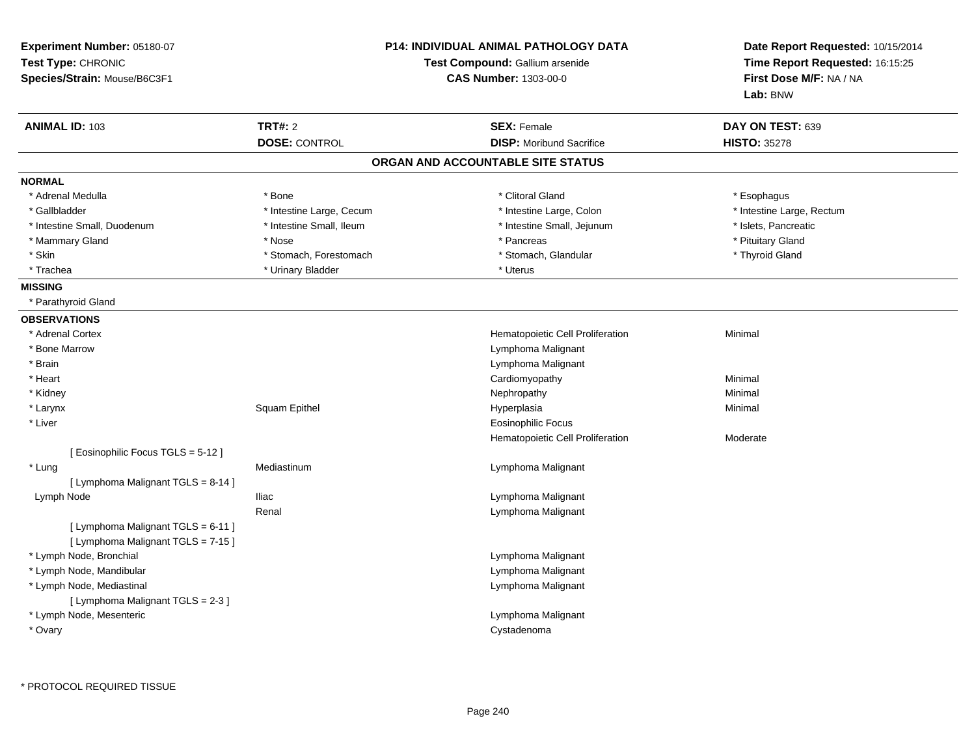| Experiment Number: 05180-07<br>Test Type: CHRONIC<br>Species/Strain: Mouse/B6C3F1 |                                        | <b>P14: INDIVIDUAL ANIMAL PATHOLOGY DATA</b><br>Test Compound: Gallium arsenide<br><b>CAS Number: 1303-00-0</b> | Date Report Requested: 10/15/2014<br>Time Report Requested: 16:15:25<br>First Dose M/F: NA / NA<br>Lab: BNW |  |
|-----------------------------------------------------------------------------------|----------------------------------------|-----------------------------------------------------------------------------------------------------------------|-------------------------------------------------------------------------------------------------------------|--|
| <b>ANIMAL ID: 103</b>                                                             | <b>TRT#: 2</b><br><b>DOSE: CONTROL</b> | <b>SEX: Female</b><br><b>DISP:</b> Moribund Sacrifice                                                           | DAY ON TEST: 639<br><b>HISTO: 35278</b>                                                                     |  |
|                                                                                   |                                        | ORGAN AND ACCOUNTABLE SITE STATUS                                                                               |                                                                                                             |  |
| <b>NORMAL</b>                                                                     |                                        |                                                                                                                 |                                                                                                             |  |
| * Adrenal Medulla                                                                 | * Bone                                 | * Clitoral Gland                                                                                                | * Esophagus                                                                                                 |  |
| * Gallbladder                                                                     | * Intestine Large, Cecum               | * Intestine Large, Colon                                                                                        | * Intestine Large, Rectum                                                                                   |  |
| * Intestine Small, Duodenum                                                       | * Intestine Small, Ileum               | * Intestine Small, Jejunum                                                                                      | * Islets, Pancreatic                                                                                        |  |
| * Mammary Gland                                                                   | * Nose                                 | * Pancreas                                                                                                      | * Pituitary Gland                                                                                           |  |
| * Skin                                                                            | * Stomach, Forestomach                 | * Stomach, Glandular                                                                                            | * Thyroid Gland                                                                                             |  |
| * Trachea                                                                         | * Urinary Bladder                      | * Uterus                                                                                                        |                                                                                                             |  |
| <b>MISSING</b>                                                                    |                                        |                                                                                                                 |                                                                                                             |  |
| * Parathyroid Gland                                                               |                                        |                                                                                                                 |                                                                                                             |  |
| <b>OBSERVATIONS</b>                                                               |                                        |                                                                                                                 |                                                                                                             |  |
| * Adrenal Cortex                                                                  |                                        | Hematopoietic Cell Proliferation                                                                                | Minimal                                                                                                     |  |
| * Bone Marrow                                                                     |                                        | Lymphoma Malignant                                                                                              |                                                                                                             |  |
| * Brain                                                                           |                                        | Lymphoma Malignant                                                                                              |                                                                                                             |  |
| * Heart                                                                           |                                        | Cardiomyopathy                                                                                                  | Minimal                                                                                                     |  |
| * Kidney                                                                          |                                        | Nephropathy                                                                                                     | Minimal                                                                                                     |  |
| * Larynx                                                                          | Squam Epithel                          | Hyperplasia                                                                                                     | Minimal                                                                                                     |  |
| * Liver                                                                           |                                        | Eosinophilic Focus                                                                                              |                                                                                                             |  |
|                                                                                   |                                        | Hematopoietic Cell Proliferation                                                                                | Moderate                                                                                                    |  |
| [ Eosinophilic Focus TGLS = 5-12 ]                                                |                                        |                                                                                                                 |                                                                                                             |  |
| * Lung                                                                            | Mediastinum                            | Lymphoma Malignant                                                                                              |                                                                                                             |  |
| [ Lymphoma Malignant TGLS = 8-14 ]                                                |                                        |                                                                                                                 |                                                                                                             |  |
| Lymph Node                                                                        | <b>Iliac</b>                           | Lymphoma Malignant                                                                                              |                                                                                                             |  |
|                                                                                   | Renal                                  | Lymphoma Malignant                                                                                              |                                                                                                             |  |
| [ Lymphoma Malignant TGLS = 6-11 ]                                                |                                        |                                                                                                                 |                                                                                                             |  |
| [ Lymphoma Malignant TGLS = 7-15 ]                                                |                                        |                                                                                                                 |                                                                                                             |  |
| * Lymph Node, Bronchial                                                           |                                        | Lymphoma Malignant                                                                                              |                                                                                                             |  |
| * Lymph Node, Mandibular                                                          |                                        | Lymphoma Malignant                                                                                              |                                                                                                             |  |
| * Lymph Node, Mediastinal                                                         |                                        | Lymphoma Malignant                                                                                              |                                                                                                             |  |
| [ Lymphoma Malignant TGLS = 2-3 ]                                                 |                                        |                                                                                                                 |                                                                                                             |  |
| * Lymph Node, Mesenteric                                                          |                                        | Lymphoma Malignant                                                                                              |                                                                                                             |  |
| * Ovary                                                                           |                                        | Cystadenoma                                                                                                     |                                                                                                             |  |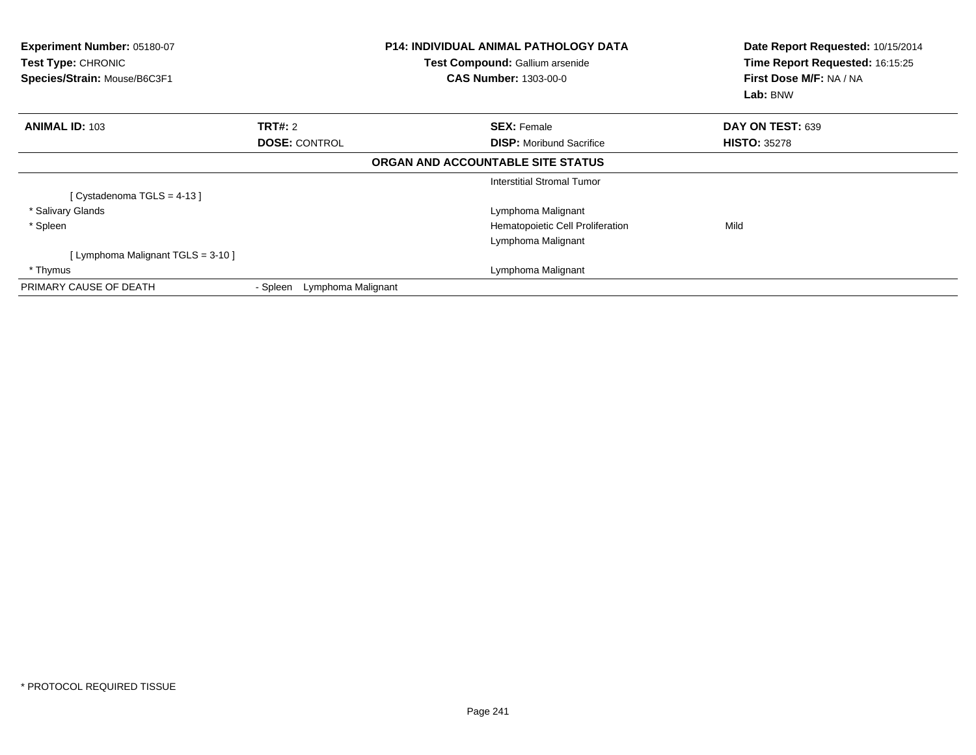| Experiment Number: 05180-07<br>Test Type: CHRONIC<br>Species/Strain: Mouse/B6C3F1 |                                | <b>P14: INDIVIDUAL ANIMAL PATHOLOGY DATA</b><br>Test Compound: Gallium arsenide<br><b>CAS Number: 1303-00-0</b> | Date Report Requested: 10/15/2014<br>Time Report Requested: 16:15:25<br>First Dose M/F: NA / NA<br>Lab: BNW |  |
|-----------------------------------------------------------------------------------|--------------------------------|-----------------------------------------------------------------------------------------------------------------|-------------------------------------------------------------------------------------------------------------|--|
| <b>ANIMAL ID: 103</b>                                                             | TRT#: 2                        | <b>SEX: Female</b>                                                                                              | DAY ON TEST: 639                                                                                            |  |
|                                                                                   | <b>DOSE: CONTROL</b>           | <b>DISP:</b> Moribund Sacrifice                                                                                 | <b>HISTO: 35278</b>                                                                                         |  |
|                                                                                   |                                | ORGAN AND ACCOUNTABLE SITE STATUS                                                                               |                                                                                                             |  |
|                                                                                   |                                | Interstitial Stromal Tumor                                                                                      |                                                                                                             |  |
| [Cystadenoma TGLS = 4-13]                                                         |                                |                                                                                                                 |                                                                                                             |  |
| * Salivary Glands                                                                 |                                | Lymphoma Malignant                                                                                              |                                                                                                             |  |
| * Spleen                                                                          |                                | Hematopoietic Cell Proliferation                                                                                | Mild                                                                                                        |  |
|                                                                                   |                                | Lymphoma Malignant                                                                                              |                                                                                                             |  |
| [ Lymphoma Malignant TGLS = 3-10 ]                                                |                                |                                                                                                                 |                                                                                                             |  |
| * Thymus                                                                          |                                | Lymphoma Malignant                                                                                              |                                                                                                             |  |
| PRIMARY CAUSE OF DEATH                                                            | Lymphoma Malignant<br>- Spleen |                                                                                                                 |                                                                                                             |  |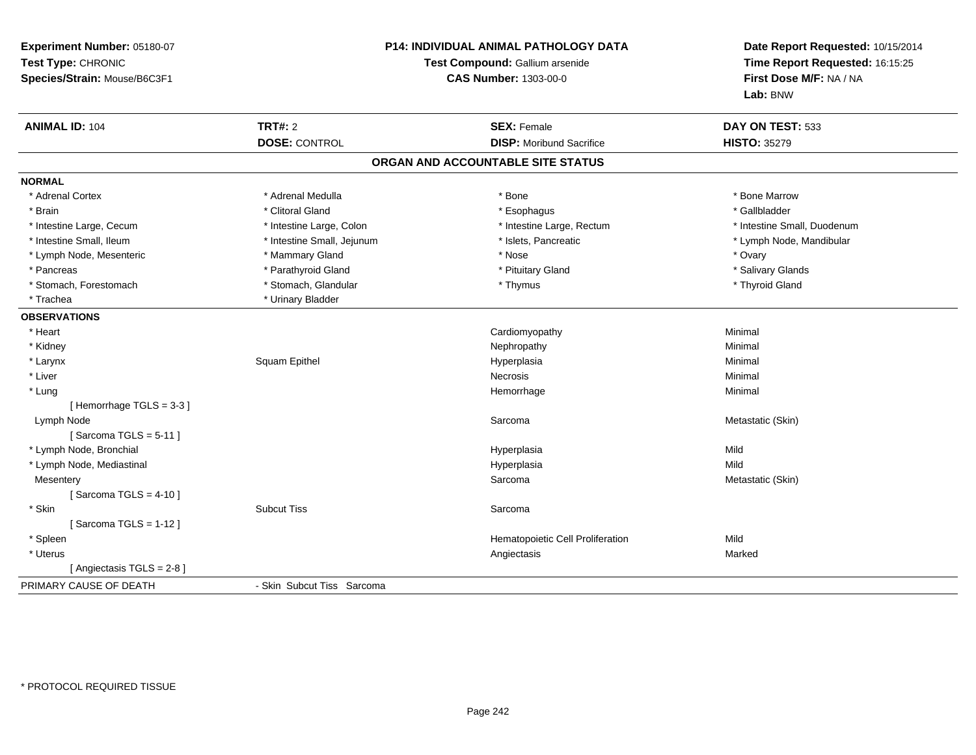| Experiment Number: 05180-07<br>Test Type: CHRONIC<br>Species/Strain: Mouse/B6C3F1 | <b>P14: INDIVIDUAL ANIMAL PATHOLOGY DATA</b><br>Test Compound: Gallium arsenide<br><b>CAS Number: 1303-00-0</b> |                                   | Date Report Requested: 10/15/2014<br>Time Report Requested: 16:15:25<br>First Dose M/F: NA / NA<br>Lab: BNW |  |
|-----------------------------------------------------------------------------------|-----------------------------------------------------------------------------------------------------------------|-----------------------------------|-------------------------------------------------------------------------------------------------------------|--|
| <b>ANIMAL ID: 104</b>                                                             | <b>TRT#: 2</b>                                                                                                  | <b>SEX: Female</b>                | DAY ON TEST: 533                                                                                            |  |
|                                                                                   | <b>DOSE: CONTROL</b>                                                                                            | <b>DISP:</b> Moribund Sacrifice   | <b>HISTO: 35279</b>                                                                                         |  |
|                                                                                   |                                                                                                                 | ORGAN AND ACCOUNTABLE SITE STATUS |                                                                                                             |  |
| <b>NORMAL</b>                                                                     |                                                                                                                 |                                   |                                                                                                             |  |
| * Adrenal Cortex                                                                  | * Adrenal Medulla                                                                                               | * Bone                            | * Bone Marrow                                                                                               |  |
| * Brain                                                                           | * Clitoral Gland                                                                                                | * Esophagus                       | * Gallbladder                                                                                               |  |
| * Intestine Large, Cecum                                                          | * Intestine Large, Colon                                                                                        | * Intestine Large, Rectum         | * Intestine Small, Duodenum                                                                                 |  |
| * Intestine Small, Ileum                                                          | * Intestine Small, Jejunum                                                                                      | * Islets, Pancreatic              | * Lymph Node, Mandibular                                                                                    |  |
| * Lymph Node, Mesenteric                                                          | * Mammary Gland                                                                                                 | * Nose                            | * Ovary                                                                                                     |  |
| * Pancreas                                                                        | * Parathyroid Gland                                                                                             | * Pituitary Gland                 | * Salivary Glands                                                                                           |  |
| * Stomach, Forestomach                                                            | * Stomach, Glandular                                                                                            | * Thymus                          | * Thyroid Gland                                                                                             |  |
| * Trachea                                                                         | * Urinary Bladder                                                                                               |                                   |                                                                                                             |  |
| <b>OBSERVATIONS</b>                                                               |                                                                                                                 |                                   |                                                                                                             |  |
| * Heart                                                                           |                                                                                                                 | Cardiomyopathy                    | Minimal                                                                                                     |  |
| * Kidney                                                                          |                                                                                                                 | Nephropathy                       | Minimal                                                                                                     |  |
| * Larynx                                                                          | Squam Epithel                                                                                                   | Hyperplasia                       | Minimal                                                                                                     |  |
| * Liver                                                                           |                                                                                                                 | <b>Necrosis</b>                   | Minimal                                                                                                     |  |
| * Lung                                                                            |                                                                                                                 | Hemorrhage                        | Minimal                                                                                                     |  |
| [Hemorrhage TGLS = 3-3]                                                           |                                                                                                                 |                                   |                                                                                                             |  |
| Lymph Node                                                                        |                                                                                                                 | Sarcoma                           | Metastatic (Skin)                                                                                           |  |
| [Sarcoma TGLS = $5-11$ ]                                                          |                                                                                                                 |                                   |                                                                                                             |  |
| * Lymph Node, Bronchial                                                           |                                                                                                                 | Hyperplasia                       | Mild                                                                                                        |  |
| * Lymph Node, Mediastinal                                                         |                                                                                                                 | Hyperplasia                       | Mild                                                                                                        |  |
| Mesentery                                                                         |                                                                                                                 | Sarcoma                           | Metastatic (Skin)                                                                                           |  |
| [Sarcoma TGLS = $4-10$ ]                                                          |                                                                                                                 |                                   |                                                                                                             |  |
| * Skin                                                                            | <b>Subcut Tiss</b>                                                                                              | Sarcoma                           |                                                                                                             |  |
| [Sarcoma TGLS = $1-12$ ]                                                          |                                                                                                                 |                                   |                                                                                                             |  |
| * Spleen                                                                          |                                                                                                                 | Hematopoietic Cell Proliferation  | Mild                                                                                                        |  |
| * Uterus                                                                          |                                                                                                                 | Angiectasis                       | Marked                                                                                                      |  |
| [Angiectasis TGLS = 2-8]                                                          |                                                                                                                 |                                   |                                                                                                             |  |
| PRIMARY CAUSE OF DEATH                                                            | - Skin Subcut Tiss Sarcoma                                                                                      |                                   |                                                                                                             |  |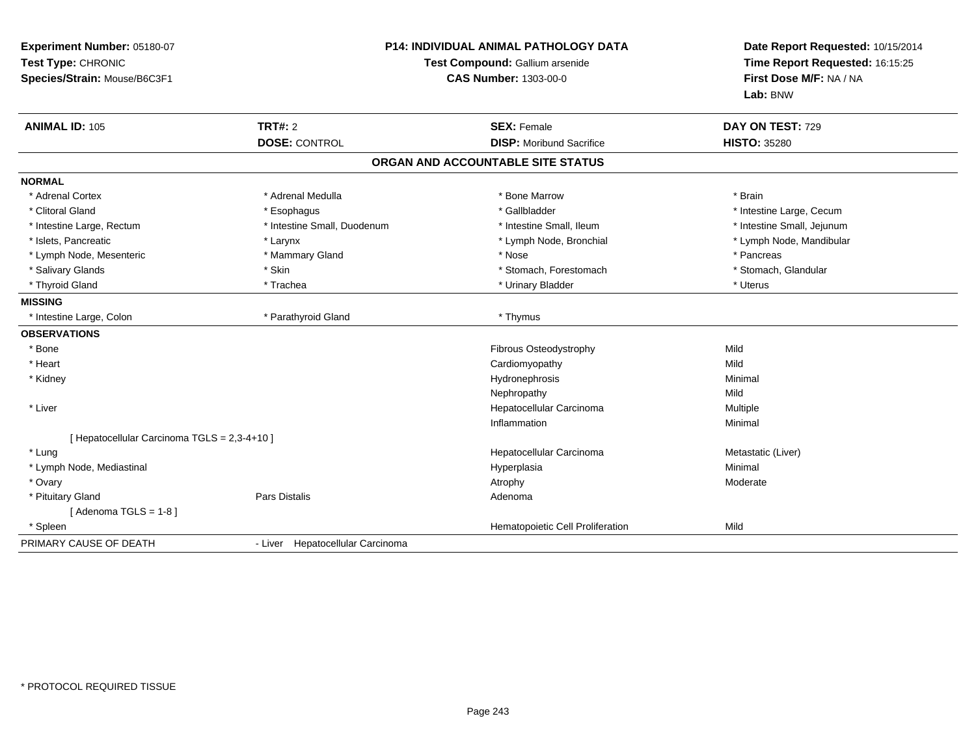| Experiment Number: 05180-07<br>Test Type: CHRONIC<br>Species/Strain: Mouse/B6C3F1 | <b>P14: INDIVIDUAL ANIMAL PATHOLOGY DATA</b><br>Test Compound: Gallium arsenide<br><b>CAS Number: 1303-00-0</b> |                                                       | Date Report Requested: 10/15/2014<br>Time Report Requested: 16:15:25<br>First Dose M/F: NA / NA<br>Lab: BNW |  |
|-----------------------------------------------------------------------------------|-----------------------------------------------------------------------------------------------------------------|-------------------------------------------------------|-------------------------------------------------------------------------------------------------------------|--|
| <b>ANIMAL ID: 105</b>                                                             | <b>TRT#: 2</b><br><b>DOSE: CONTROL</b>                                                                          | <b>SEX: Female</b><br><b>DISP: Moribund Sacrifice</b> | DAY ON TEST: 729<br><b>HISTO: 35280</b>                                                                     |  |
|                                                                                   |                                                                                                                 | ORGAN AND ACCOUNTABLE SITE STATUS                     |                                                                                                             |  |
| <b>NORMAL</b>                                                                     |                                                                                                                 |                                                       |                                                                                                             |  |
| * Adrenal Cortex                                                                  | * Adrenal Medulla                                                                                               | * Bone Marrow                                         | * Brain                                                                                                     |  |
| * Clitoral Gland                                                                  | * Esophagus                                                                                                     | * Gallbladder                                         | * Intestine Large, Cecum                                                                                    |  |
| * Intestine Large, Rectum                                                         | * Intestine Small, Duodenum                                                                                     | * Intestine Small, Ileum                              | * Intestine Small, Jejunum                                                                                  |  |
| * Islets, Pancreatic                                                              | * Larynx                                                                                                        | * Lymph Node, Bronchial                               | * Lymph Node, Mandibular                                                                                    |  |
| * Lymph Node, Mesenteric                                                          | * Mammary Gland                                                                                                 | * Nose                                                | * Pancreas                                                                                                  |  |
| * Salivary Glands                                                                 | * Skin                                                                                                          | * Stomach, Forestomach                                | * Stomach, Glandular                                                                                        |  |
| * Thyroid Gland                                                                   | * Trachea                                                                                                       | * Urinary Bladder                                     | * Uterus                                                                                                    |  |
| <b>MISSING</b>                                                                    |                                                                                                                 |                                                       |                                                                                                             |  |
| * Intestine Large, Colon                                                          | * Parathyroid Gland                                                                                             | * Thymus                                              |                                                                                                             |  |
| <b>OBSERVATIONS</b>                                                               |                                                                                                                 |                                                       |                                                                                                             |  |
| * Bone                                                                            |                                                                                                                 | Fibrous Osteodystrophy                                | Mild                                                                                                        |  |
| * Heart                                                                           |                                                                                                                 | Cardiomyopathy                                        | Mild                                                                                                        |  |
| * Kidney                                                                          |                                                                                                                 | Hydronephrosis                                        | Minimal                                                                                                     |  |
|                                                                                   |                                                                                                                 | Nephropathy                                           | Mild                                                                                                        |  |
| * Liver                                                                           |                                                                                                                 | Hepatocellular Carcinoma                              | Multiple                                                                                                    |  |
|                                                                                   |                                                                                                                 | Inflammation                                          | Minimal                                                                                                     |  |
| [ Hepatocellular Carcinoma TGLS = 2,3-4+10 ]                                      |                                                                                                                 |                                                       |                                                                                                             |  |
| * Lung                                                                            |                                                                                                                 | Hepatocellular Carcinoma                              | Metastatic (Liver)                                                                                          |  |
| * Lymph Node, Mediastinal                                                         |                                                                                                                 | Hyperplasia                                           | Minimal                                                                                                     |  |
| * Ovary                                                                           |                                                                                                                 | Atrophy                                               | Moderate                                                                                                    |  |
| * Pituitary Gland                                                                 | <b>Pars Distalis</b>                                                                                            | Adenoma                                               |                                                                                                             |  |
| [Adenoma TGLS = $1-8$ ]                                                           |                                                                                                                 |                                                       |                                                                                                             |  |
| * Spleen                                                                          |                                                                                                                 | Hematopoietic Cell Proliferation                      | Mild                                                                                                        |  |
| PRIMARY CAUSE OF DEATH                                                            | - Liver Hepatocellular Carcinoma                                                                                |                                                       |                                                                                                             |  |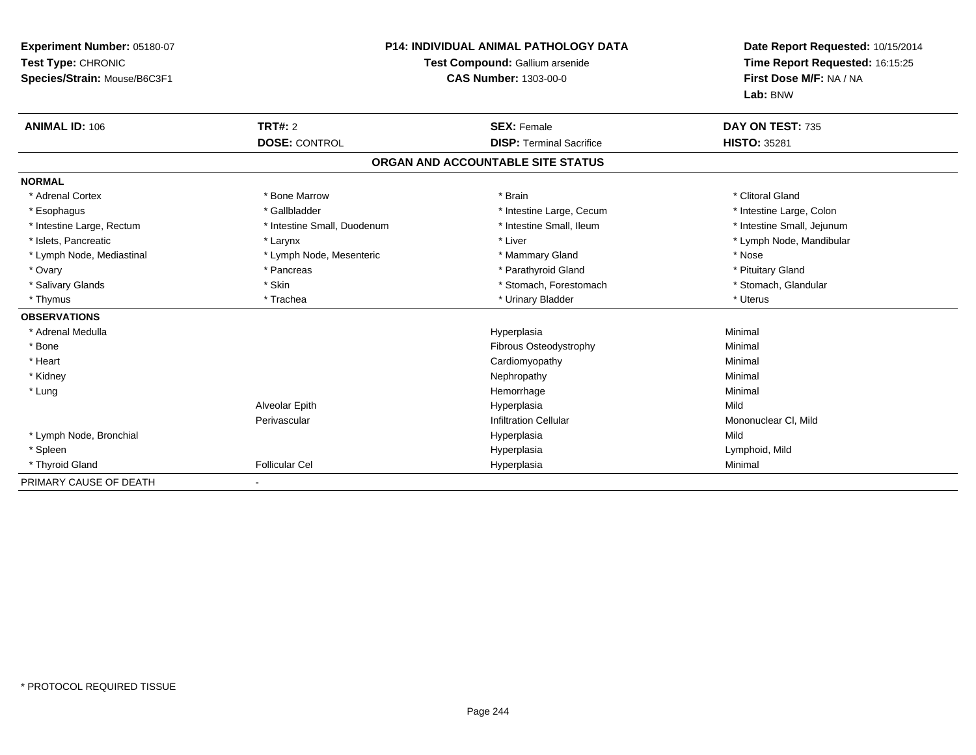| Experiment Number: 05180-07<br>Test Type: CHRONIC<br>Species/Strain: Mouse/B6C3F1<br><b>ANIMAL ID: 106</b> | <b>TRT#: 2</b>              | <b>P14: INDIVIDUAL ANIMAL PATHOLOGY DATA</b><br>Test Compound: Gallium arsenide<br><b>CAS Number: 1303-00-0</b><br><b>SEX: Female</b> | Date Report Requested: 10/15/2014<br>Time Report Requested: 16:15:25<br>First Dose M/F: NA / NA<br>Lab: BNW<br>DAY ON TEST: 735 |
|------------------------------------------------------------------------------------------------------------|-----------------------------|---------------------------------------------------------------------------------------------------------------------------------------|---------------------------------------------------------------------------------------------------------------------------------|
|                                                                                                            | <b>DOSE: CONTROL</b>        | <b>DISP: Terminal Sacrifice</b>                                                                                                       | <b>HISTO: 35281</b>                                                                                                             |
|                                                                                                            |                             | ORGAN AND ACCOUNTABLE SITE STATUS                                                                                                     |                                                                                                                                 |
| <b>NORMAL</b>                                                                                              |                             |                                                                                                                                       |                                                                                                                                 |
| * Adrenal Cortex                                                                                           | * Bone Marrow               | * Brain                                                                                                                               | * Clitoral Gland                                                                                                                |
| * Esophagus                                                                                                | * Gallbladder               | * Intestine Large, Cecum                                                                                                              | * Intestine Large, Colon                                                                                                        |
| * Intestine Large, Rectum                                                                                  | * Intestine Small, Duodenum | * Intestine Small, Ileum                                                                                                              | * Intestine Small, Jejunum                                                                                                      |
| * Islets, Pancreatic                                                                                       | * Larynx                    | * Liver                                                                                                                               | * Lymph Node, Mandibular                                                                                                        |
| * Lymph Node, Mediastinal                                                                                  | * Lymph Node, Mesenteric    | * Mammary Gland                                                                                                                       | * Nose                                                                                                                          |
| * Ovary                                                                                                    | * Pancreas                  | * Parathyroid Gland                                                                                                                   | * Pituitary Gland                                                                                                               |
| * Salivary Glands                                                                                          | * Skin                      | * Stomach, Forestomach                                                                                                                | * Stomach, Glandular                                                                                                            |
| * Thymus                                                                                                   | * Trachea                   | * Urinary Bladder                                                                                                                     | * Uterus                                                                                                                        |
| <b>OBSERVATIONS</b>                                                                                        |                             |                                                                                                                                       |                                                                                                                                 |
| * Adrenal Medulla                                                                                          |                             | Hyperplasia                                                                                                                           | Minimal                                                                                                                         |
| * Bone                                                                                                     |                             | Fibrous Osteodystrophy                                                                                                                | Minimal                                                                                                                         |
| * Heart                                                                                                    |                             | Cardiomyopathy                                                                                                                        | Minimal                                                                                                                         |
| * Kidney                                                                                                   |                             | Nephropathy                                                                                                                           | Minimal                                                                                                                         |
| * Lung                                                                                                     |                             | Hemorrhage                                                                                                                            | Minimal                                                                                                                         |
|                                                                                                            | Alveolar Epith              | Hyperplasia                                                                                                                           | Mild                                                                                                                            |
|                                                                                                            | Perivascular                | <b>Infiltration Cellular</b>                                                                                                          | Mononuclear CI, Mild                                                                                                            |
| * Lymph Node, Bronchial                                                                                    |                             | Hyperplasia                                                                                                                           | Mild                                                                                                                            |
| * Spleen                                                                                                   |                             | Hyperplasia                                                                                                                           | Lymphoid, Mild                                                                                                                  |
| * Thyroid Gland                                                                                            | <b>Follicular Cel</b>       | Hyperplasia                                                                                                                           | Minimal                                                                                                                         |
| PRIMARY CAUSE OF DEATH                                                                                     |                             |                                                                                                                                       |                                                                                                                                 |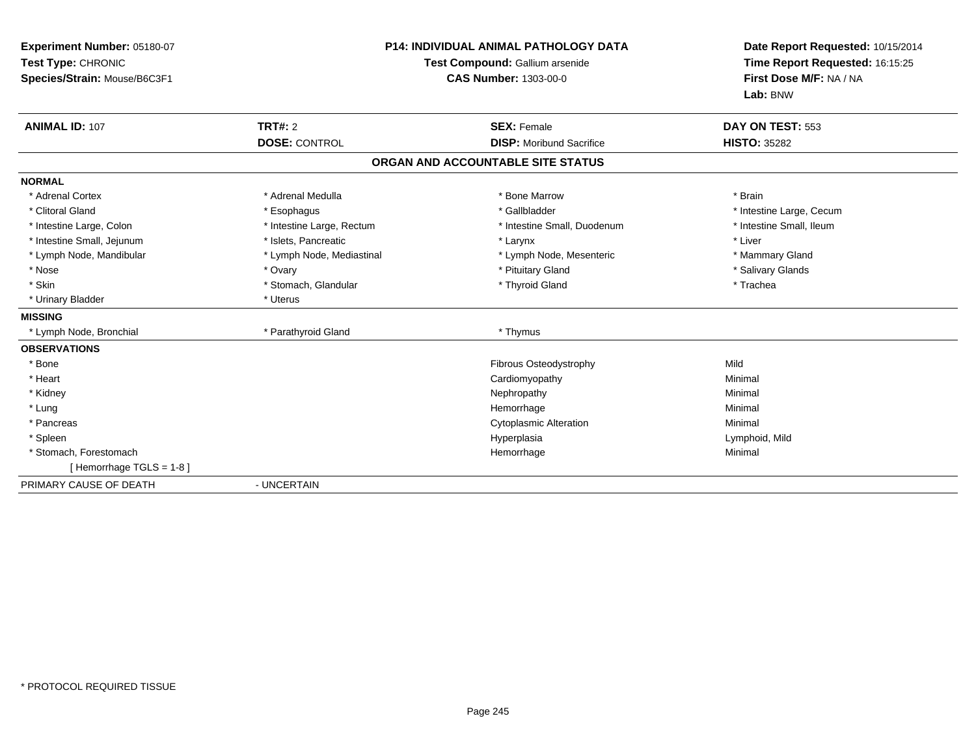| Experiment Number: 05180-07<br>Test Type: CHRONIC<br>Species/Strain: Mouse/B6C3F1 | <b>P14: INDIVIDUAL ANIMAL PATHOLOGY DATA</b><br>Test Compound: Gallium arsenide<br><b>CAS Number: 1303-00-0</b> |                                   | Date Report Requested: 10/15/2014<br>Time Report Requested: 16:15:25<br>First Dose M/F: NA / NA<br>Lab: BNW |  |
|-----------------------------------------------------------------------------------|-----------------------------------------------------------------------------------------------------------------|-----------------------------------|-------------------------------------------------------------------------------------------------------------|--|
| <b>ANIMAL ID: 107</b>                                                             | TRT#: 2                                                                                                         | <b>SEX: Female</b>                | DAY ON TEST: 553                                                                                            |  |
|                                                                                   | <b>DOSE: CONTROL</b>                                                                                            | <b>DISP:</b> Moribund Sacrifice   | <b>HISTO: 35282</b>                                                                                         |  |
|                                                                                   |                                                                                                                 | ORGAN AND ACCOUNTABLE SITE STATUS |                                                                                                             |  |
| <b>NORMAL</b>                                                                     |                                                                                                                 |                                   |                                                                                                             |  |
| * Adrenal Cortex                                                                  | * Adrenal Medulla                                                                                               | * Bone Marrow                     | * Brain                                                                                                     |  |
| * Clitoral Gland                                                                  | * Esophagus                                                                                                     | * Gallbladder                     | * Intestine Large, Cecum                                                                                    |  |
| * Intestine Large, Colon                                                          | * Intestine Large, Rectum                                                                                       | * Intestine Small, Duodenum       | * Intestine Small, Ileum                                                                                    |  |
| * Intestine Small, Jejunum                                                        | * Islets, Pancreatic                                                                                            | * Larynx                          | * Liver                                                                                                     |  |
| * Lymph Node, Mandibular                                                          | * Lymph Node, Mediastinal                                                                                       | * Lymph Node, Mesenteric          | * Mammary Gland                                                                                             |  |
| * Nose                                                                            | * Ovary                                                                                                         | * Pituitary Gland                 | * Salivary Glands                                                                                           |  |
| * Skin                                                                            | * Stomach, Glandular                                                                                            | * Thyroid Gland                   | * Trachea                                                                                                   |  |
| * Urinary Bladder                                                                 | * Uterus                                                                                                        |                                   |                                                                                                             |  |
| <b>MISSING</b>                                                                    |                                                                                                                 |                                   |                                                                                                             |  |
| * Lymph Node, Bronchial                                                           | * Parathyroid Gland                                                                                             | * Thymus                          |                                                                                                             |  |
| <b>OBSERVATIONS</b>                                                               |                                                                                                                 |                                   |                                                                                                             |  |
| * Bone                                                                            |                                                                                                                 | Fibrous Osteodystrophy            | Mild                                                                                                        |  |
| * Heart                                                                           |                                                                                                                 | Cardiomyopathy                    | Minimal                                                                                                     |  |
| * Kidney                                                                          |                                                                                                                 | Nephropathy                       | Minimal                                                                                                     |  |
| * Lung                                                                            |                                                                                                                 | Hemorrhage                        | Minimal                                                                                                     |  |
| * Pancreas                                                                        |                                                                                                                 | <b>Cytoplasmic Alteration</b>     | Minimal                                                                                                     |  |
| * Spleen                                                                          |                                                                                                                 | Hyperplasia                       | Lymphoid, Mild                                                                                              |  |
| * Stomach, Forestomach                                                            |                                                                                                                 | Hemorrhage                        | Minimal                                                                                                     |  |
| [Hemorrhage TGLS = 1-8]                                                           |                                                                                                                 |                                   |                                                                                                             |  |
| PRIMARY CAUSE OF DEATH                                                            | - UNCERTAIN                                                                                                     |                                   |                                                                                                             |  |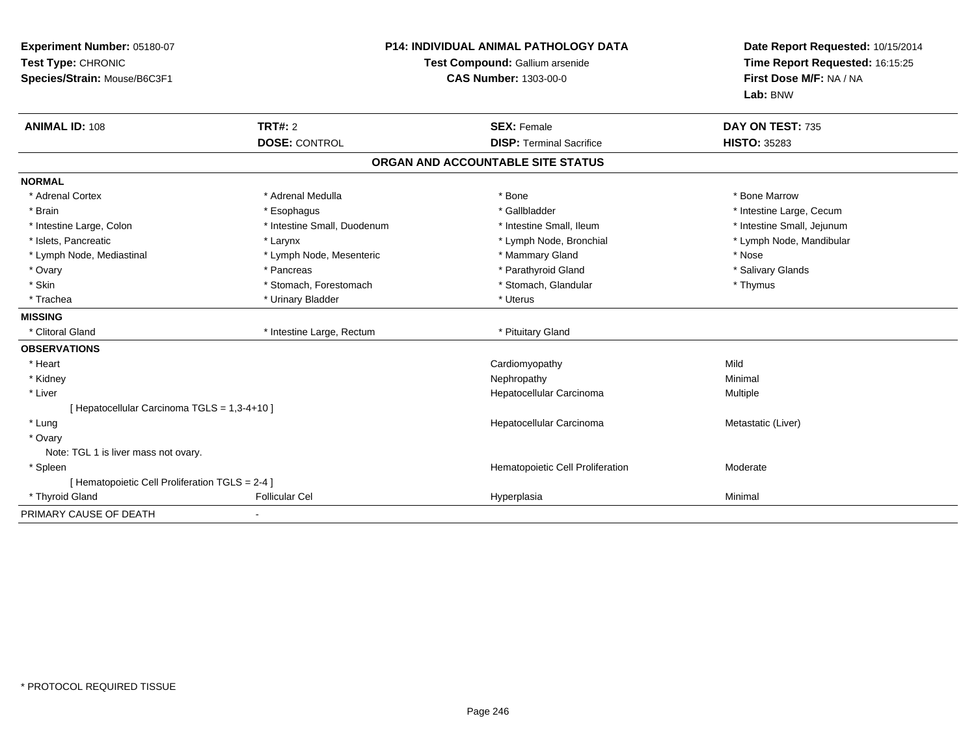| Experiment Number: 05180-07<br>Test Type: CHRONIC | <b>P14: INDIVIDUAL ANIMAL PATHOLOGY DATA</b><br>Test Compound: Gallium arsenide |                                   | Date Report Requested: 10/15/2014<br>Time Report Requested: 16:15:25 |
|---------------------------------------------------|---------------------------------------------------------------------------------|-----------------------------------|----------------------------------------------------------------------|
| Species/Strain: Mouse/B6C3F1                      |                                                                                 | <b>CAS Number: 1303-00-0</b>      | First Dose M/F: NA / NA<br>Lab: BNW                                  |
| <b>ANIMAL ID: 108</b>                             | TRT#: 2                                                                         | <b>SEX: Female</b>                | DAY ON TEST: 735                                                     |
|                                                   | <b>DOSE: CONTROL</b>                                                            | <b>DISP: Terminal Sacrifice</b>   | <b>HISTO: 35283</b>                                                  |
|                                                   |                                                                                 | ORGAN AND ACCOUNTABLE SITE STATUS |                                                                      |
| <b>NORMAL</b>                                     |                                                                                 |                                   |                                                                      |
| * Adrenal Cortex                                  | * Adrenal Medulla                                                               | * Bone                            | * Bone Marrow                                                        |
| * Brain                                           | * Esophagus                                                                     | * Gallbladder                     | * Intestine Large, Cecum                                             |
| * Intestine Large, Colon                          | * Intestine Small, Duodenum                                                     | * Intestine Small, Ileum          | * Intestine Small, Jejunum                                           |
| * Islets, Pancreatic                              | * Larynx                                                                        | * Lymph Node, Bronchial           | * Lymph Node, Mandibular                                             |
| * Lymph Node, Mediastinal                         | * Lymph Node, Mesenteric                                                        | * Mammary Gland                   | * Nose                                                               |
| * Ovary                                           | * Pancreas                                                                      | * Parathyroid Gland               | * Salivary Glands                                                    |
| * Skin                                            | * Stomach, Forestomach                                                          | * Stomach, Glandular              | * Thymus                                                             |
| * Trachea                                         | * Urinary Bladder                                                               | * Uterus                          |                                                                      |
| <b>MISSING</b>                                    |                                                                                 |                                   |                                                                      |
| * Clitoral Gland                                  | * Intestine Large, Rectum                                                       | * Pituitary Gland                 |                                                                      |
| <b>OBSERVATIONS</b>                               |                                                                                 |                                   |                                                                      |
| * Heart                                           |                                                                                 | Cardiomyopathy                    | Mild                                                                 |
| * Kidney                                          |                                                                                 | Nephropathy                       | Minimal                                                              |
| * Liver                                           |                                                                                 | Hepatocellular Carcinoma          | Multiple                                                             |
| [ Hepatocellular Carcinoma TGLS = 1,3-4+10 ]      |                                                                                 |                                   |                                                                      |
| * Lung                                            |                                                                                 | Hepatocellular Carcinoma          | Metastatic (Liver)                                                   |
| * Ovary                                           |                                                                                 |                                   |                                                                      |
| Note: TGL 1 is liver mass not ovary.              |                                                                                 |                                   |                                                                      |
| * Spleen                                          |                                                                                 | Hematopoietic Cell Proliferation  | Moderate                                                             |
| [ Hematopoietic Cell Proliferation TGLS = 2-4 ]   |                                                                                 |                                   |                                                                      |
| * Thyroid Gland                                   | <b>Follicular Cel</b>                                                           | Hyperplasia                       | Minimal                                                              |
| PRIMARY CAUSE OF DEATH                            |                                                                                 |                                   |                                                                      |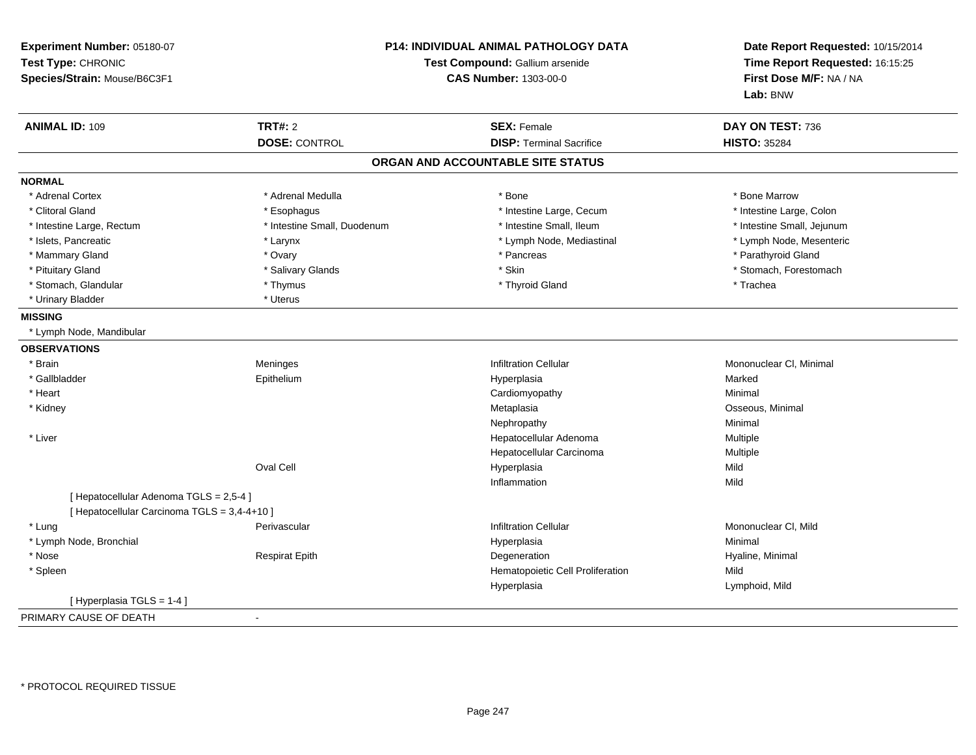| Experiment Number: 05180-07<br>Test Type: CHRONIC<br>Species/Strain: Mouse/B6C3F1 |                             | P14: INDIVIDUAL ANIMAL PATHOLOGY DATA<br>Test Compound: Gallium arsenide<br><b>CAS Number: 1303-00-0</b> |                            |
|-----------------------------------------------------------------------------------|-----------------------------|----------------------------------------------------------------------------------------------------------|----------------------------|
| <b>ANIMAL ID: 109</b>                                                             | <b>TRT#: 2</b>              | <b>SEX: Female</b>                                                                                       | DAY ON TEST: 736           |
|                                                                                   | <b>DOSE: CONTROL</b>        | <b>DISP: Terminal Sacrifice</b>                                                                          | <b>HISTO: 35284</b>        |
|                                                                                   |                             | ORGAN AND ACCOUNTABLE SITE STATUS                                                                        |                            |
| <b>NORMAL</b>                                                                     |                             |                                                                                                          |                            |
| * Adrenal Cortex                                                                  | * Adrenal Medulla           | * Bone                                                                                                   | * Bone Marrow              |
| * Clitoral Gland                                                                  | * Esophagus                 | * Intestine Large, Cecum                                                                                 | * Intestine Large, Colon   |
| * Intestine Large, Rectum                                                         | * Intestine Small, Duodenum | * Intestine Small, Ileum                                                                                 | * Intestine Small, Jejunum |
| * Islets, Pancreatic                                                              | * Larynx                    | * Lymph Node, Mediastinal                                                                                | * Lymph Node, Mesenteric   |
| * Mammary Gland                                                                   | * Ovary                     | * Pancreas                                                                                               | * Parathyroid Gland        |
| * Pituitary Gland                                                                 | * Salivary Glands           | * Skin                                                                                                   | * Stomach, Forestomach     |
| * Stomach, Glandular                                                              | * Thymus                    | * Thyroid Gland                                                                                          | * Trachea                  |
| * Urinary Bladder                                                                 | * Uterus                    |                                                                                                          |                            |
| <b>MISSING</b>                                                                    |                             |                                                                                                          |                            |
| * Lymph Node, Mandibular                                                          |                             |                                                                                                          |                            |
| <b>OBSERVATIONS</b>                                                               |                             |                                                                                                          |                            |
| * Brain                                                                           | Meninges                    | <b>Infiltration Cellular</b>                                                                             | Mononuclear CI, Minimal    |
| * Gallbladder                                                                     | Epithelium                  | Hyperplasia                                                                                              | Marked                     |
| * Heart                                                                           |                             | Cardiomyopathy                                                                                           | Minimal                    |
| * Kidney                                                                          |                             | Metaplasia                                                                                               | Osseous, Minimal           |
|                                                                                   |                             | Nephropathy                                                                                              | Minimal                    |
| * Liver                                                                           |                             | Hepatocellular Adenoma                                                                                   | Multiple                   |
|                                                                                   |                             | Hepatocellular Carcinoma                                                                                 | Multiple                   |
|                                                                                   | Oval Cell                   | Hyperplasia                                                                                              | Mild                       |
|                                                                                   |                             | Inflammation                                                                                             | Mild                       |
| [ Hepatocellular Adenoma TGLS = 2,5-4 ]                                           |                             |                                                                                                          |                            |
| [ Hepatocellular Carcinoma TGLS = 3,4-4+10 ]                                      |                             |                                                                                                          |                            |
| * Lung                                                                            | Perivascular                | <b>Infiltration Cellular</b>                                                                             | Mononuclear CI, Mild       |
| * Lymph Node, Bronchial                                                           |                             | Hyperplasia                                                                                              | Minimal                    |
| * Nose                                                                            | <b>Respirat Epith</b>       | Degeneration                                                                                             | Hyaline, Minimal           |
| * Spleen                                                                          |                             | Hematopoietic Cell Proliferation                                                                         | Mild                       |
|                                                                                   |                             | Hyperplasia                                                                                              | Lymphoid, Mild             |
| [Hyperplasia TGLS = 1-4]                                                          |                             |                                                                                                          |                            |
| PRIMARY CAUSE OF DEATH                                                            | $\sim$                      |                                                                                                          |                            |

-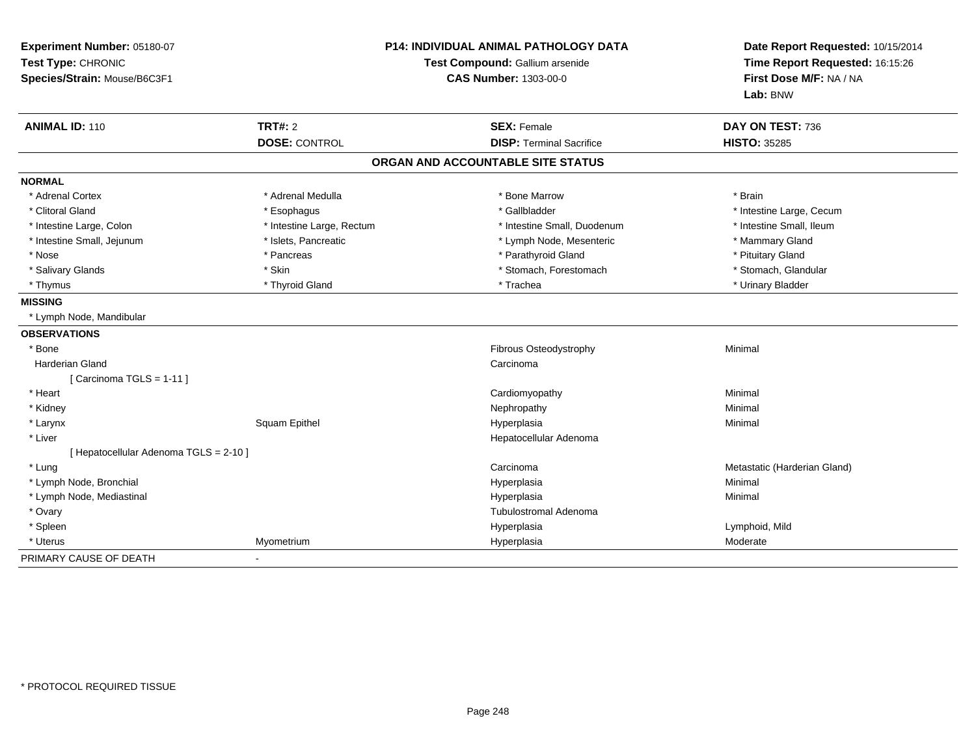| Experiment Number: 05180-07<br>Test Type: CHRONIC<br>Species/Strain: Mouse/B6C3F1 | <b>P14: INDIVIDUAL ANIMAL PATHOLOGY DATA</b><br>Test Compound: Gallium arsenide<br><b>CAS Number: 1303-00-0</b> |                                   | Date Report Requested: 10/15/2014<br>Time Report Requested: 16:15:26<br>First Dose M/F: NA / NA<br>Lab: BNW |  |
|-----------------------------------------------------------------------------------|-----------------------------------------------------------------------------------------------------------------|-----------------------------------|-------------------------------------------------------------------------------------------------------------|--|
| <b>ANIMAL ID: 110</b>                                                             | <b>TRT#: 2</b>                                                                                                  | <b>SEX: Female</b>                | DAY ON TEST: 736                                                                                            |  |
|                                                                                   | <b>DOSE: CONTROL</b>                                                                                            | <b>DISP: Terminal Sacrifice</b>   | <b>HISTO: 35285</b>                                                                                         |  |
|                                                                                   |                                                                                                                 | ORGAN AND ACCOUNTABLE SITE STATUS |                                                                                                             |  |
| <b>NORMAL</b>                                                                     |                                                                                                                 |                                   |                                                                                                             |  |
| * Adrenal Cortex                                                                  | * Adrenal Medulla                                                                                               | * Bone Marrow                     | * Brain                                                                                                     |  |
| * Clitoral Gland                                                                  | * Esophagus                                                                                                     | * Gallbladder                     | * Intestine Large, Cecum                                                                                    |  |
| * Intestine Large, Colon                                                          | * Intestine Large, Rectum                                                                                       | * Intestine Small, Duodenum       | * Intestine Small, Ileum                                                                                    |  |
| * Intestine Small, Jejunum                                                        | * Islets, Pancreatic                                                                                            | * Lymph Node, Mesenteric          | * Mammary Gland                                                                                             |  |
| * Nose                                                                            | * Pancreas                                                                                                      | * Parathyroid Gland               | * Pituitary Gland                                                                                           |  |
| * Salivary Glands                                                                 | * Skin                                                                                                          | * Stomach, Forestomach            | * Stomach, Glandular                                                                                        |  |
| * Thymus                                                                          | * Thyroid Gland                                                                                                 | * Trachea                         | * Urinary Bladder                                                                                           |  |
| <b>MISSING</b>                                                                    |                                                                                                                 |                                   |                                                                                                             |  |
| * Lymph Node, Mandibular                                                          |                                                                                                                 |                                   |                                                                                                             |  |
| <b>OBSERVATIONS</b>                                                               |                                                                                                                 |                                   |                                                                                                             |  |
| * Bone                                                                            |                                                                                                                 | Fibrous Osteodystrophy            | Minimal                                                                                                     |  |
| <b>Harderian Gland</b>                                                            |                                                                                                                 | Carcinoma                         |                                                                                                             |  |
| [Carcinoma TGLS = 1-11]                                                           |                                                                                                                 |                                   |                                                                                                             |  |
| * Heart                                                                           |                                                                                                                 | Cardiomyopathy                    | Minimal                                                                                                     |  |
| * Kidney                                                                          |                                                                                                                 | Nephropathy                       | Minimal                                                                                                     |  |
| * Larynx                                                                          | Squam Epithel                                                                                                   | Hyperplasia                       | Minimal                                                                                                     |  |
| * Liver                                                                           |                                                                                                                 | Hepatocellular Adenoma            |                                                                                                             |  |
| [ Hepatocellular Adenoma TGLS = 2-10 ]                                            |                                                                                                                 |                                   |                                                                                                             |  |
| * Lung                                                                            |                                                                                                                 | Carcinoma                         | Metastatic (Harderian Gland)                                                                                |  |
| * Lymph Node, Bronchial                                                           |                                                                                                                 | Hyperplasia                       | Minimal                                                                                                     |  |
| * Lymph Node, Mediastinal                                                         |                                                                                                                 | Hyperplasia                       | Minimal                                                                                                     |  |
| * Ovary                                                                           |                                                                                                                 | <b>Tubulostromal Adenoma</b>      |                                                                                                             |  |
| * Spleen                                                                          |                                                                                                                 | Hyperplasia                       | Lymphoid, Mild                                                                                              |  |
| * Uterus                                                                          | Myometrium                                                                                                      | Hyperplasia                       | Moderate                                                                                                    |  |
| PRIMARY CAUSE OF DEATH                                                            |                                                                                                                 |                                   |                                                                                                             |  |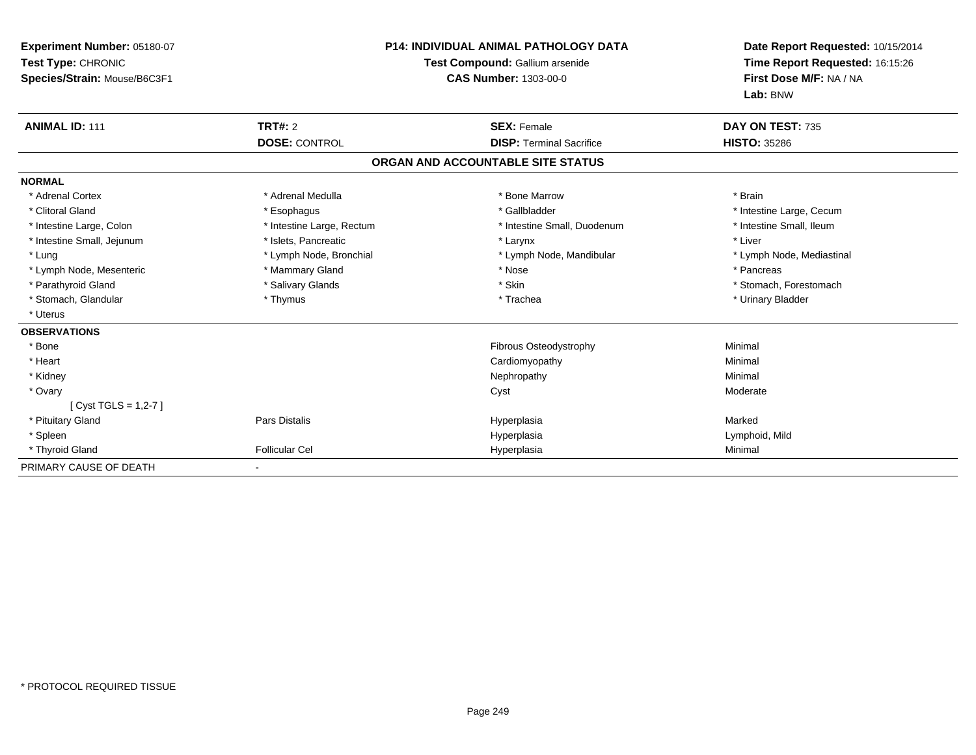| Experiment Number: 05180-07<br>Test Type: CHRONIC<br>Species/Strain: Mouse/B6C3F1 |                           | <b>P14: INDIVIDUAL ANIMAL PATHOLOGY DATA</b><br>Test Compound: Gallium arsenide<br><b>CAS Number: 1303-00-0</b> | Date Report Requested: 10/15/2014<br>Time Report Requested: 16:15:26<br>First Dose M/F: NA / NA<br>Lab: BNW |  |
|-----------------------------------------------------------------------------------|---------------------------|-----------------------------------------------------------------------------------------------------------------|-------------------------------------------------------------------------------------------------------------|--|
| <b>ANIMAL ID: 111</b>                                                             | <b>TRT#: 2</b>            | <b>SEX: Female</b>                                                                                              | DAY ON TEST: 735                                                                                            |  |
|                                                                                   | <b>DOSE: CONTROL</b>      | <b>DISP: Terminal Sacrifice</b>                                                                                 | <b>HISTO: 35286</b>                                                                                         |  |
|                                                                                   |                           | ORGAN AND ACCOUNTABLE SITE STATUS                                                                               |                                                                                                             |  |
| <b>NORMAL</b>                                                                     |                           |                                                                                                                 |                                                                                                             |  |
| * Adrenal Cortex                                                                  | * Adrenal Medulla         | * Bone Marrow                                                                                                   | * Brain                                                                                                     |  |
| * Clitoral Gland                                                                  | * Esophagus               | * Gallbladder                                                                                                   | * Intestine Large, Cecum                                                                                    |  |
| * Intestine Large, Colon                                                          | * Intestine Large, Rectum | * Intestine Small, Duodenum                                                                                     | * Intestine Small, Ileum                                                                                    |  |
| * Intestine Small, Jejunum                                                        | * Islets, Pancreatic      | * Larynx                                                                                                        | * Liver                                                                                                     |  |
| * Lung                                                                            | * Lymph Node, Bronchial   | * Lymph Node, Mandibular                                                                                        | * Lymph Node, Mediastinal                                                                                   |  |
| * Lymph Node, Mesenteric                                                          | * Mammary Gland           | * Nose                                                                                                          | * Pancreas                                                                                                  |  |
| * Parathyroid Gland                                                               | * Salivary Glands         | * Skin                                                                                                          | * Stomach, Forestomach                                                                                      |  |
| * Stomach, Glandular                                                              | * Thymus                  | * Trachea                                                                                                       | * Urinary Bladder                                                                                           |  |
| * Uterus                                                                          |                           |                                                                                                                 |                                                                                                             |  |
| <b>OBSERVATIONS</b>                                                               |                           |                                                                                                                 |                                                                                                             |  |
| * Bone                                                                            |                           | <b>Fibrous Osteodystrophy</b>                                                                                   | Minimal                                                                                                     |  |
| * Heart                                                                           |                           | Cardiomyopathy                                                                                                  | Minimal                                                                                                     |  |
| * Kidney                                                                          |                           | Nephropathy                                                                                                     | Minimal                                                                                                     |  |
| * Ovary                                                                           |                           | Cyst                                                                                                            | Moderate                                                                                                    |  |
| [Cyst TGLS = $1,2-7$ ]                                                            |                           |                                                                                                                 |                                                                                                             |  |
| * Pituitary Gland                                                                 | <b>Pars Distalis</b>      | Hyperplasia                                                                                                     | Marked                                                                                                      |  |
| * Spleen                                                                          |                           | Hyperplasia                                                                                                     | Lymphoid, Mild                                                                                              |  |
| * Thyroid Gland                                                                   | <b>Follicular Cel</b>     | Hyperplasia                                                                                                     | Minimal                                                                                                     |  |
| PRIMARY CAUSE OF DEATH                                                            |                           |                                                                                                                 |                                                                                                             |  |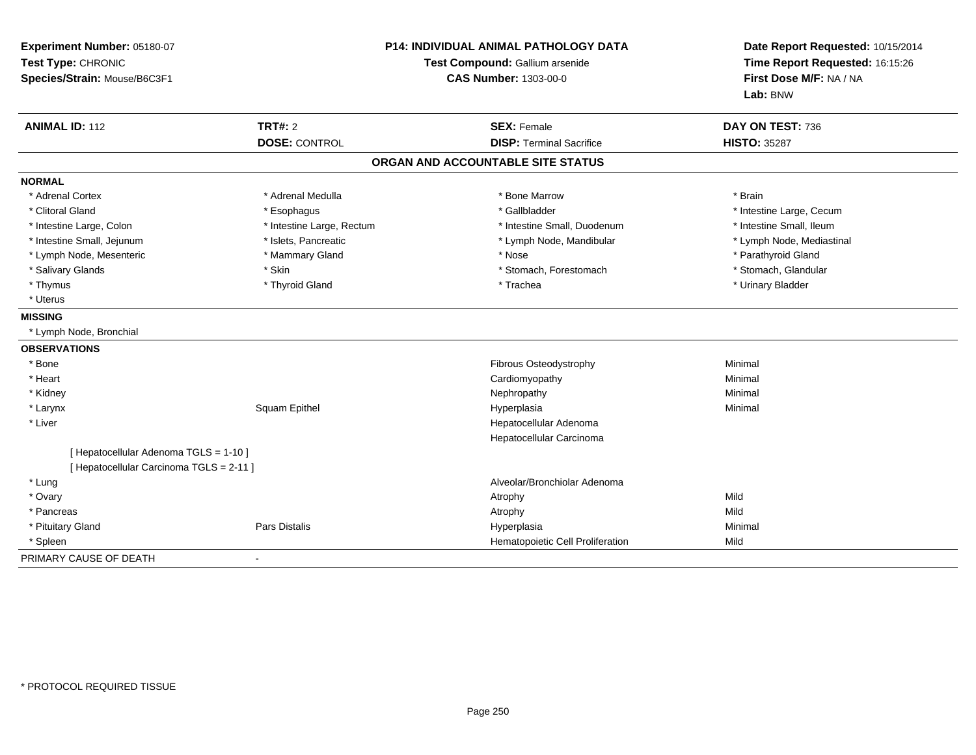| Experiment Number: 05180-07<br>Test Type: CHRONIC<br>Species/Strain: Mouse/B6C3F1 |                           | P14: INDIVIDUAL ANIMAL PATHOLOGY DATA<br>Test Compound: Gallium arsenide<br><b>CAS Number: 1303-00-0</b> | Date Report Requested: 10/15/2014<br>Time Report Requested: 16:15:26<br>First Dose M/F: NA / NA<br>Lab: BNW |
|-----------------------------------------------------------------------------------|---------------------------|----------------------------------------------------------------------------------------------------------|-------------------------------------------------------------------------------------------------------------|
| <b>ANIMAL ID: 112</b>                                                             | <b>TRT#: 2</b>            | <b>SEX: Female</b>                                                                                       | DAY ON TEST: 736                                                                                            |
|                                                                                   | <b>DOSE: CONTROL</b>      | <b>DISP: Terminal Sacrifice</b>                                                                          | <b>HISTO: 35287</b>                                                                                         |
|                                                                                   |                           | ORGAN AND ACCOUNTABLE SITE STATUS                                                                        |                                                                                                             |
| <b>NORMAL</b>                                                                     |                           |                                                                                                          |                                                                                                             |
| * Adrenal Cortex                                                                  | * Adrenal Medulla         | * Bone Marrow                                                                                            | * Brain                                                                                                     |
| * Clitoral Gland                                                                  | * Esophagus               | * Gallbladder                                                                                            | * Intestine Large, Cecum                                                                                    |
| * Intestine Large, Colon                                                          | * Intestine Large, Rectum | * Intestine Small, Duodenum                                                                              | * Intestine Small, Ileum                                                                                    |
| * Intestine Small, Jejunum                                                        | * Islets, Pancreatic      | * Lymph Node, Mandibular                                                                                 | * Lymph Node, Mediastinal                                                                                   |
| * Lymph Node, Mesenteric                                                          | * Mammary Gland           | * Nose                                                                                                   | * Parathyroid Gland                                                                                         |
| * Salivary Glands                                                                 | * Skin                    | * Stomach, Forestomach                                                                                   | * Stomach, Glandular                                                                                        |
| * Thymus                                                                          | * Thyroid Gland           | * Trachea                                                                                                | * Urinary Bladder                                                                                           |
| * Uterus                                                                          |                           |                                                                                                          |                                                                                                             |
| <b>MISSING</b>                                                                    |                           |                                                                                                          |                                                                                                             |
| * Lymph Node, Bronchial                                                           |                           |                                                                                                          |                                                                                                             |
| <b>OBSERVATIONS</b>                                                               |                           |                                                                                                          |                                                                                                             |
| * Bone                                                                            |                           | Fibrous Osteodystrophy                                                                                   | Minimal                                                                                                     |
| * Heart                                                                           |                           | Cardiomyopathy                                                                                           | Minimal                                                                                                     |
| * Kidney                                                                          |                           | Nephropathy                                                                                              | Minimal                                                                                                     |
| * Larynx                                                                          | Squam Epithel             | Hyperplasia                                                                                              | Minimal                                                                                                     |
| * Liver                                                                           |                           | Hepatocellular Adenoma                                                                                   |                                                                                                             |
|                                                                                   |                           | Hepatocellular Carcinoma                                                                                 |                                                                                                             |
| [ Hepatocellular Adenoma TGLS = 1-10 ]                                            |                           |                                                                                                          |                                                                                                             |
| [ Hepatocellular Carcinoma TGLS = 2-11 ]                                          |                           |                                                                                                          |                                                                                                             |
| * Lung                                                                            |                           | Alveolar/Bronchiolar Adenoma                                                                             |                                                                                                             |
| * Ovary                                                                           |                           | Atrophy                                                                                                  | Mild                                                                                                        |
| * Pancreas                                                                        |                           | Atrophy                                                                                                  | Mild                                                                                                        |
| * Pituitary Gland                                                                 | <b>Pars Distalis</b>      | Hyperplasia                                                                                              | Minimal                                                                                                     |
| * Spleen                                                                          |                           | Hematopoietic Cell Proliferation                                                                         | Mild                                                                                                        |
| PRIMARY CAUSE OF DEATH                                                            | $\blacksquare$            |                                                                                                          |                                                                                                             |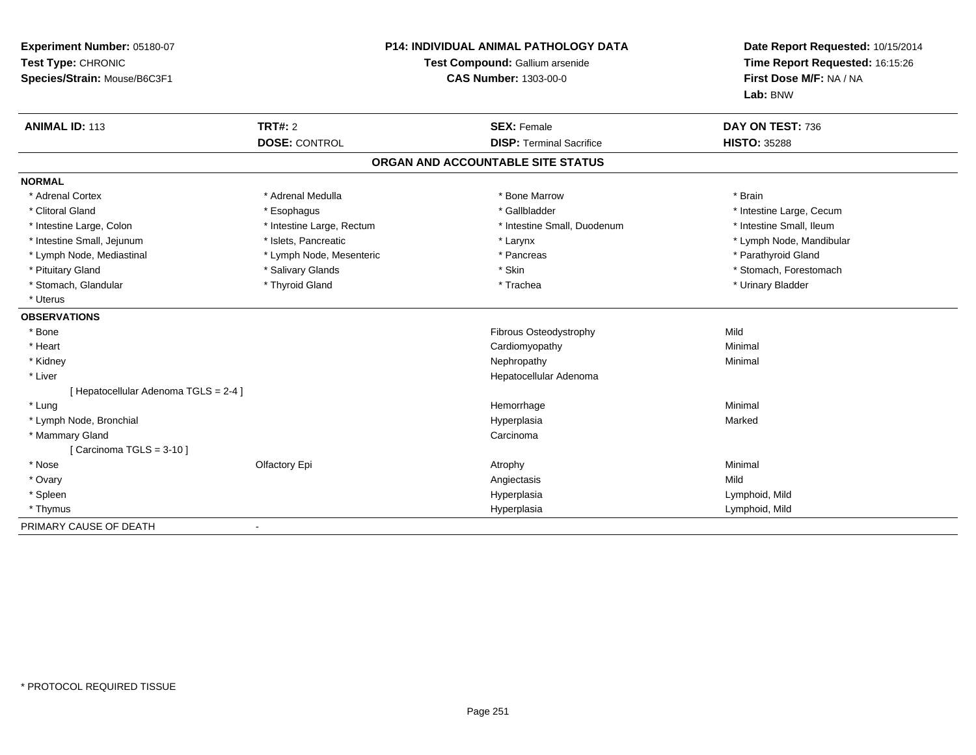| Experiment Number: 05180-07<br>Test Type: CHRONIC<br>Species/Strain: Mouse/B6C3F1 | <b>P14: INDIVIDUAL ANIMAL PATHOLOGY DATA</b><br>Test Compound: Gallium arsenide<br><b>CAS Number: 1303-00-0</b> |                                   | Date Report Requested: 10/15/2014<br>Time Report Requested: 16:15:26<br>First Dose M/F: NA / NA<br>Lab: BNW |  |
|-----------------------------------------------------------------------------------|-----------------------------------------------------------------------------------------------------------------|-----------------------------------|-------------------------------------------------------------------------------------------------------------|--|
| <b>ANIMAL ID: 113</b>                                                             | <b>TRT#: 2</b>                                                                                                  | <b>SEX: Female</b>                | DAY ON TEST: 736                                                                                            |  |
|                                                                                   | <b>DOSE: CONTROL</b>                                                                                            | <b>DISP: Terminal Sacrifice</b>   | <b>HISTO: 35288</b>                                                                                         |  |
|                                                                                   |                                                                                                                 | ORGAN AND ACCOUNTABLE SITE STATUS |                                                                                                             |  |
| <b>NORMAL</b>                                                                     |                                                                                                                 |                                   |                                                                                                             |  |
| * Adrenal Cortex                                                                  | * Adrenal Medulla                                                                                               | * Bone Marrow                     | * Brain                                                                                                     |  |
| * Clitoral Gland                                                                  | * Esophagus                                                                                                     | * Gallbladder                     | * Intestine Large, Cecum                                                                                    |  |
| * Intestine Large, Colon                                                          | * Intestine Large, Rectum                                                                                       | * Intestine Small, Duodenum       | * Intestine Small, Ileum                                                                                    |  |
| * Intestine Small, Jejunum                                                        | * Islets, Pancreatic                                                                                            | * Larynx                          | * Lymph Node, Mandibular                                                                                    |  |
| * Lymph Node, Mediastinal                                                         | * Lymph Node, Mesenteric                                                                                        | * Pancreas                        | * Parathyroid Gland                                                                                         |  |
| * Pituitary Gland                                                                 | * Salivary Glands                                                                                               | * Skin                            | * Stomach, Forestomach                                                                                      |  |
| * Stomach, Glandular                                                              | * Thyroid Gland                                                                                                 | * Trachea                         | * Urinary Bladder                                                                                           |  |
| * Uterus                                                                          |                                                                                                                 |                                   |                                                                                                             |  |
| <b>OBSERVATIONS</b>                                                               |                                                                                                                 |                                   |                                                                                                             |  |
| * Bone                                                                            |                                                                                                                 | Fibrous Osteodystrophy            | Mild                                                                                                        |  |
| * Heart                                                                           |                                                                                                                 | Cardiomyopathy                    | Minimal                                                                                                     |  |
| * Kidney                                                                          |                                                                                                                 | Nephropathy                       | Minimal                                                                                                     |  |
| * Liver                                                                           |                                                                                                                 | Hepatocellular Adenoma            |                                                                                                             |  |
| [ Hepatocellular Adenoma TGLS = 2-4 ]                                             |                                                                                                                 |                                   |                                                                                                             |  |
| * Lung                                                                            |                                                                                                                 | Hemorrhage                        | Minimal                                                                                                     |  |
| * Lymph Node, Bronchial                                                           |                                                                                                                 | Hyperplasia                       | Marked                                                                                                      |  |
| * Mammary Gland                                                                   |                                                                                                                 | Carcinoma                         |                                                                                                             |  |
| [Carcinoma TGLS = $3-10$ ]                                                        |                                                                                                                 |                                   |                                                                                                             |  |
| * Nose                                                                            | Olfactory Epi                                                                                                   | Atrophy                           | Minimal                                                                                                     |  |
| * Ovary                                                                           |                                                                                                                 | Angiectasis                       | Mild                                                                                                        |  |
| * Spleen                                                                          |                                                                                                                 | Hyperplasia                       | Lymphoid, Mild                                                                                              |  |
| * Thymus                                                                          |                                                                                                                 | Hyperplasia                       | Lymphoid, Mild                                                                                              |  |
| PRIMARY CAUSE OF DEATH                                                            | $\blacksquare$                                                                                                  |                                   |                                                                                                             |  |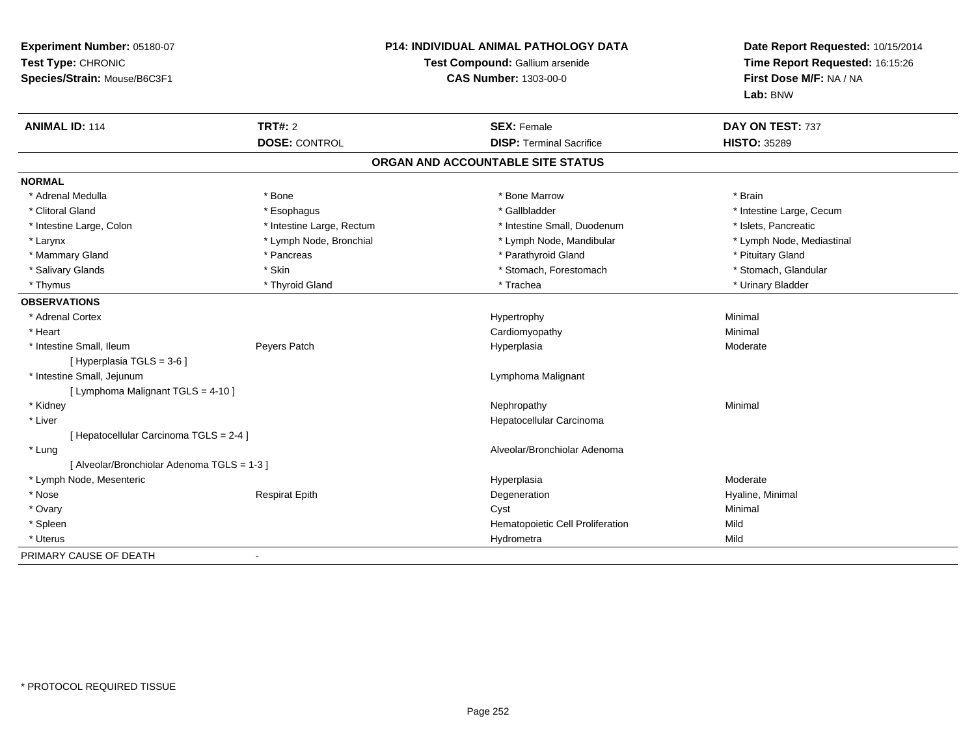| Experiment Number: 05180-07<br>Test Type: CHRONIC<br>Species/Strain: Mouse/B6C3F1 |                           | <b>P14: INDIVIDUAL ANIMAL PATHOLOGY DATA</b><br>Test Compound: Gallium arsenide<br><b>CAS Number: 1303-00-0</b> | Date Report Requested: 10/15/2014<br>Time Report Requested: 16:15:26<br>First Dose M/F: NA / NA<br>Lab: BNW |
|-----------------------------------------------------------------------------------|---------------------------|-----------------------------------------------------------------------------------------------------------------|-------------------------------------------------------------------------------------------------------------|
| <b>ANIMAL ID: 114</b>                                                             | <b>TRT#: 2</b>            | <b>SEX: Female</b>                                                                                              | DAY ON TEST: 737                                                                                            |
|                                                                                   | <b>DOSE: CONTROL</b>      | <b>DISP: Terminal Sacrifice</b>                                                                                 | <b>HISTO: 35289</b>                                                                                         |
|                                                                                   |                           | ORGAN AND ACCOUNTABLE SITE STATUS                                                                               |                                                                                                             |
| <b>NORMAL</b>                                                                     |                           |                                                                                                                 |                                                                                                             |
| * Adrenal Medulla                                                                 | * Bone                    | * Bone Marrow                                                                                                   | * Brain                                                                                                     |
| * Clitoral Gland                                                                  | * Esophagus               | * Gallbladder                                                                                                   | * Intestine Large, Cecum                                                                                    |
| * Intestine Large, Colon                                                          | * Intestine Large, Rectum | * Intestine Small, Duodenum                                                                                     | * Islets, Pancreatic                                                                                        |
| * Larynx                                                                          | * Lymph Node, Bronchial   | * Lymph Node, Mandibular                                                                                        | * Lymph Node, Mediastinal                                                                                   |
| * Mammary Gland                                                                   | * Pancreas                | * Parathyroid Gland                                                                                             | * Pituitary Gland                                                                                           |
| * Salivary Glands                                                                 | * Skin                    | * Stomach, Forestomach                                                                                          | * Stomach, Glandular                                                                                        |
| * Thymus                                                                          | * Thyroid Gland           | * Trachea                                                                                                       | * Urinary Bladder                                                                                           |
| <b>OBSERVATIONS</b>                                                               |                           |                                                                                                                 |                                                                                                             |
| * Adrenal Cortex                                                                  |                           | Hypertrophy                                                                                                     | Minimal                                                                                                     |
| * Heart                                                                           |                           | Cardiomyopathy                                                                                                  | Minimal                                                                                                     |
| * Intestine Small, Ileum                                                          | Peyers Patch              | Hyperplasia                                                                                                     | Moderate                                                                                                    |
| [ Hyperplasia TGLS = 3-6 ]                                                        |                           |                                                                                                                 |                                                                                                             |
| * Intestine Small, Jejunum                                                        |                           | Lymphoma Malignant                                                                                              |                                                                                                             |
| [ Lymphoma Malignant TGLS = 4-10 ]                                                |                           |                                                                                                                 |                                                                                                             |
| * Kidney                                                                          |                           | Nephropathy                                                                                                     | Minimal                                                                                                     |
| * Liver                                                                           |                           | Hepatocellular Carcinoma                                                                                        |                                                                                                             |
| [ Hepatocellular Carcinoma TGLS = 2-4 ]                                           |                           |                                                                                                                 |                                                                                                             |
| * Lung                                                                            |                           | Alveolar/Bronchiolar Adenoma                                                                                    |                                                                                                             |
| [ Alveolar/Bronchiolar Adenoma TGLS = 1-3 ]                                       |                           |                                                                                                                 |                                                                                                             |
| * Lymph Node, Mesenteric                                                          |                           | Hyperplasia                                                                                                     | Moderate                                                                                                    |
| * Nose                                                                            | <b>Respirat Epith</b>     | Degeneration                                                                                                    | Hyaline, Minimal                                                                                            |
| * Ovary                                                                           |                           | Cyst                                                                                                            | Minimal                                                                                                     |
| * Spleen                                                                          |                           | Hematopoietic Cell Proliferation                                                                                | Mild                                                                                                        |
| * Uterus                                                                          |                           | Hydrometra                                                                                                      | Mild                                                                                                        |
| PRIMARY CAUSE OF DEATH                                                            |                           |                                                                                                                 |                                                                                                             |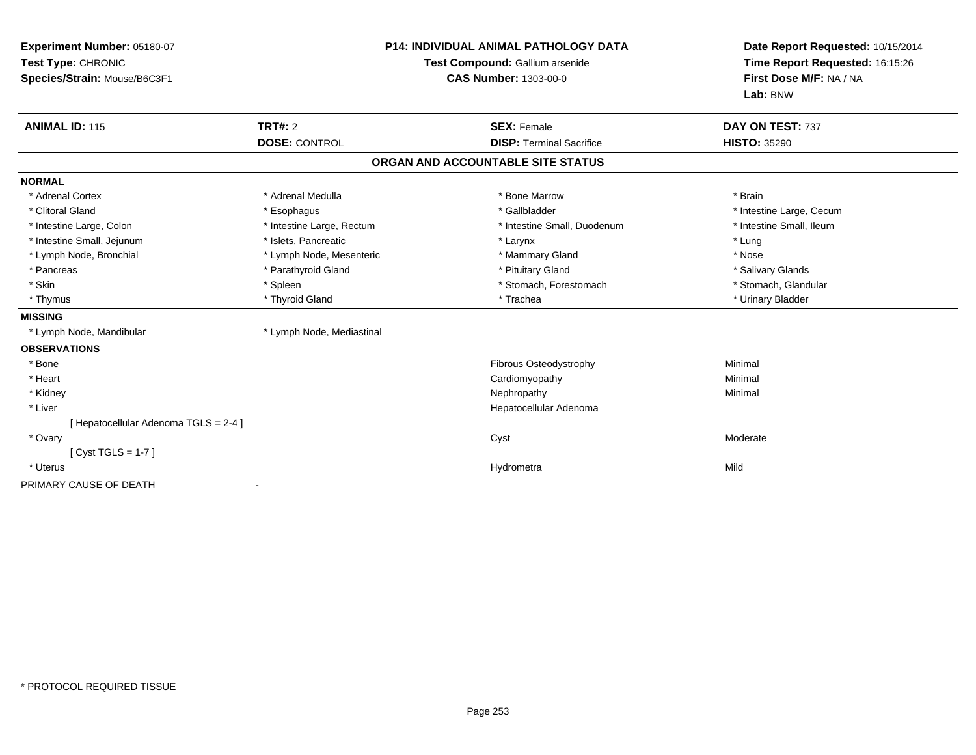| Experiment Number: 05180-07<br>Test Type: CHRONIC<br>Species/Strain: Mouse/B6C3F1 |                           | <b>P14: INDIVIDUAL ANIMAL PATHOLOGY DATA</b><br>Test Compound: Gallium arsenide<br><b>CAS Number: 1303-00-0</b> | Date Report Requested: 10/15/2014<br>Time Report Requested: 16:15:26<br>First Dose M/F: NA / NA<br>Lab: BNW |
|-----------------------------------------------------------------------------------|---------------------------|-----------------------------------------------------------------------------------------------------------------|-------------------------------------------------------------------------------------------------------------|
| <b>ANIMAL ID: 115</b>                                                             | TRT#: 2                   | <b>SEX: Female</b>                                                                                              | DAY ON TEST: 737                                                                                            |
|                                                                                   | <b>DOSE: CONTROL</b>      | <b>DISP: Terminal Sacrifice</b>                                                                                 | <b>HISTO: 35290</b>                                                                                         |
|                                                                                   |                           | ORGAN AND ACCOUNTABLE SITE STATUS                                                                               |                                                                                                             |
| <b>NORMAL</b>                                                                     |                           |                                                                                                                 |                                                                                                             |
| * Adrenal Cortex                                                                  | * Adrenal Medulla         | * Bone Marrow                                                                                                   | * Brain                                                                                                     |
| * Clitoral Gland                                                                  | * Esophagus               | * Gallbladder                                                                                                   | * Intestine Large, Cecum                                                                                    |
| * Intestine Large, Colon                                                          | * Intestine Large, Rectum | * Intestine Small, Duodenum                                                                                     | * Intestine Small, Ileum                                                                                    |
| * Intestine Small, Jejunum                                                        | * Islets, Pancreatic      | * Larynx                                                                                                        | * Lung                                                                                                      |
| * Lymph Node, Bronchial                                                           | * Lymph Node, Mesenteric  | * Mammary Gland                                                                                                 | * Nose                                                                                                      |
| * Pancreas                                                                        | * Parathyroid Gland       | * Pituitary Gland                                                                                               | * Salivary Glands                                                                                           |
| * Skin                                                                            | * Spleen                  | * Stomach, Forestomach                                                                                          | * Stomach, Glandular                                                                                        |
| * Thymus                                                                          | * Thyroid Gland           | * Trachea                                                                                                       | * Urinary Bladder                                                                                           |
| <b>MISSING</b>                                                                    |                           |                                                                                                                 |                                                                                                             |
| * Lymph Node, Mandibular                                                          | * Lymph Node, Mediastinal |                                                                                                                 |                                                                                                             |
| <b>OBSERVATIONS</b>                                                               |                           |                                                                                                                 |                                                                                                             |
| * Bone                                                                            |                           | Fibrous Osteodystrophy                                                                                          | Minimal                                                                                                     |
| * Heart                                                                           |                           | Cardiomyopathy                                                                                                  | Minimal                                                                                                     |
| * Kidney                                                                          |                           | Nephropathy                                                                                                     | Minimal                                                                                                     |
| * Liver                                                                           |                           | Hepatocellular Adenoma                                                                                          |                                                                                                             |
| [Hepatocellular Adenoma TGLS = 2-4]                                               |                           |                                                                                                                 |                                                                                                             |
| * Ovary                                                                           |                           | Cyst                                                                                                            | Moderate                                                                                                    |
| [Cyst TGLS = $1-7$ ]                                                              |                           |                                                                                                                 |                                                                                                             |
| * Uterus                                                                          |                           | Hydrometra                                                                                                      | Mild                                                                                                        |
| PRIMARY CAUSE OF DEATH                                                            |                           |                                                                                                                 |                                                                                                             |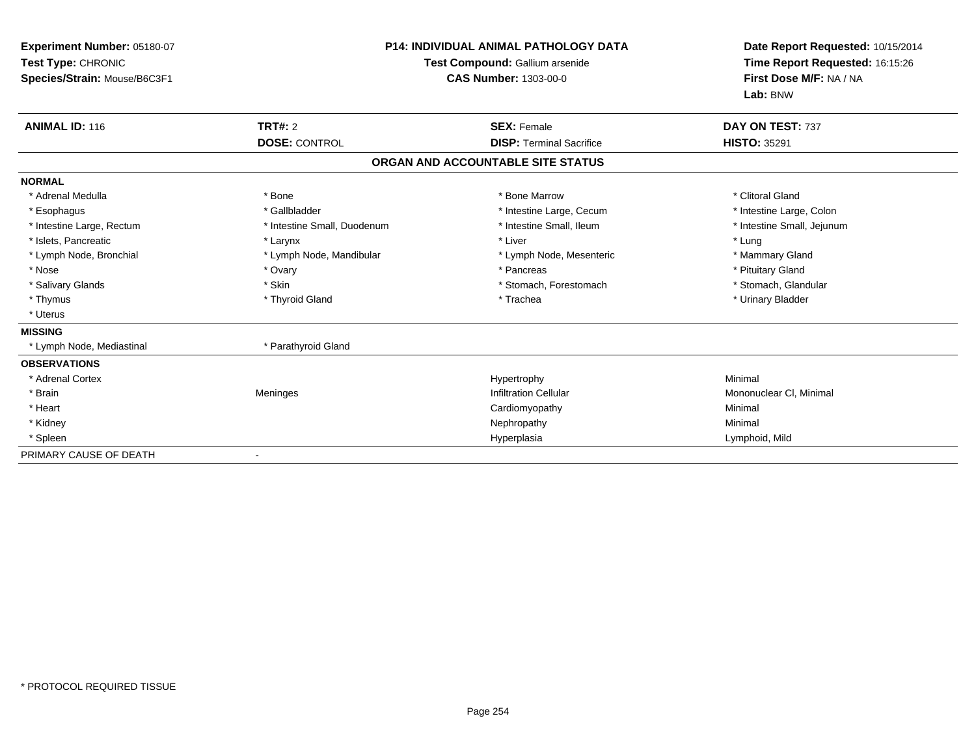| Experiment Number: 05180-07<br>Test Type: CHRONIC<br>Species/Strain: Mouse/B6C3F1 |                             | <b>P14: INDIVIDUAL ANIMAL PATHOLOGY DATA</b><br>Test Compound: Gallium arsenide<br><b>CAS Number: 1303-00-0</b> | Date Report Requested: 10/15/2014<br>Time Report Requested: 16:15:26<br>First Dose M/F: NA / NA<br>Lab: BNW |
|-----------------------------------------------------------------------------------|-----------------------------|-----------------------------------------------------------------------------------------------------------------|-------------------------------------------------------------------------------------------------------------|
| <b>ANIMAL ID: 116</b>                                                             | <b>TRT#: 2</b>              | <b>SEX: Female</b>                                                                                              | DAY ON TEST: 737                                                                                            |
|                                                                                   | <b>DOSE: CONTROL</b>        | <b>DISP: Terminal Sacrifice</b>                                                                                 | <b>HISTO: 35291</b>                                                                                         |
|                                                                                   |                             | ORGAN AND ACCOUNTABLE SITE STATUS                                                                               |                                                                                                             |
| <b>NORMAL</b>                                                                     |                             |                                                                                                                 |                                                                                                             |
| * Adrenal Medulla                                                                 | * Bone                      | * Bone Marrow                                                                                                   | * Clitoral Gland                                                                                            |
| * Esophagus                                                                       | * Gallbladder               | * Intestine Large, Cecum                                                                                        | * Intestine Large, Colon                                                                                    |
| * Intestine Large, Rectum                                                         | * Intestine Small, Duodenum | * Intestine Small, Ileum                                                                                        | * Intestine Small, Jejunum                                                                                  |
| * Islets, Pancreatic                                                              | * Larynx                    | * Liver                                                                                                         | * Lung                                                                                                      |
| * Lymph Node, Bronchial                                                           | * Lymph Node, Mandibular    | * Lymph Node, Mesenteric                                                                                        | * Mammary Gland                                                                                             |
| * Nose                                                                            | * Ovary                     | * Pancreas                                                                                                      | * Pituitary Gland                                                                                           |
| * Salivary Glands                                                                 | * Skin                      | * Stomach, Forestomach                                                                                          | * Stomach, Glandular                                                                                        |
| * Thymus                                                                          | * Thyroid Gland             | * Trachea                                                                                                       | * Urinary Bladder                                                                                           |
| * Uterus                                                                          |                             |                                                                                                                 |                                                                                                             |
| <b>MISSING</b>                                                                    |                             |                                                                                                                 |                                                                                                             |
| * Lymph Node, Mediastinal                                                         | * Parathyroid Gland         |                                                                                                                 |                                                                                                             |
| <b>OBSERVATIONS</b>                                                               |                             |                                                                                                                 |                                                                                                             |
| * Adrenal Cortex                                                                  |                             | Hypertrophy                                                                                                     | Minimal                                                                                                     |
| * Brain                                                                           | Meninges                    | <b>Infiltration Cellular</b>                                                                                    | Mononuclear CI, Minimal                                                                                     |
| * Heart                                                                           |                             | Cardiomyopathy                                                                                                  | Minimal                                                                                                     |
| * Kidney                                                                          |                             | Nephropathy                                                                                                     | Minimal                                                                                                     |
| * Spleen                                                                          |                             | Hyperplasia                                                                                                     | Lymphoid, Mild                                                                                              |
| PRIMARY CAUSE OF DEATH                                                            |                             |                                                                                                                 |                                                                                                             |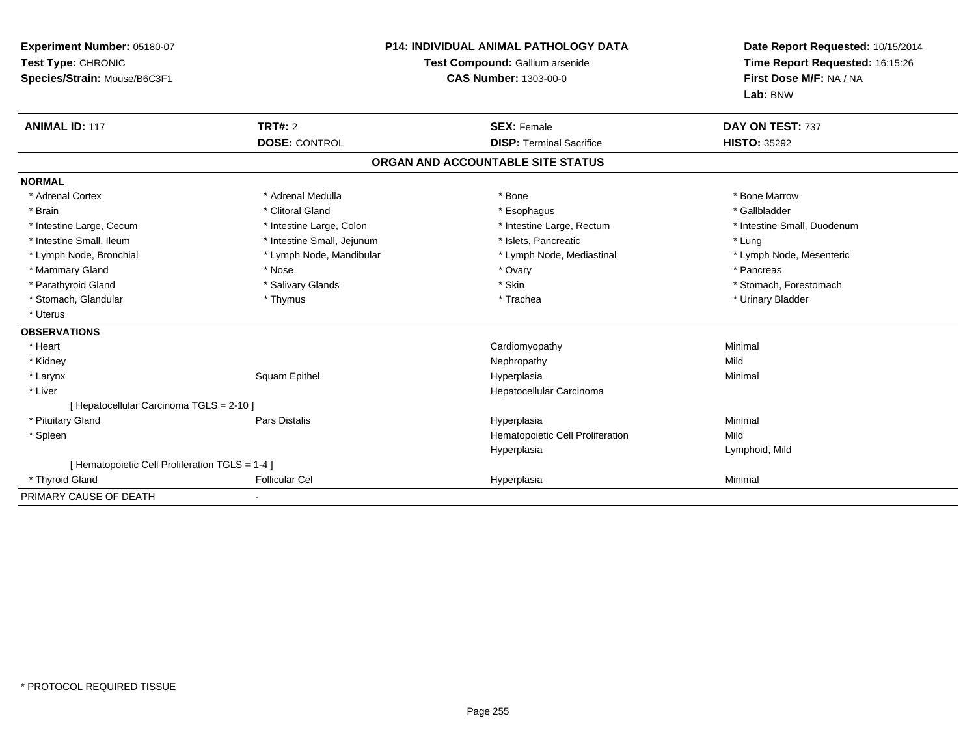| Experiment Number: 05180-07<br>Test Type: CHRONIC<br>Species/Strain: Mouse/B6C3F1 |                                        | <b>P14: INDIVIDUAL ANIMAL PATHOLOGY DATA</b><br>Test Compound: Gallium arsenide<br><b>CAS Number: 1303-00-0</b> | Date Report Requested: 10/15/2014<br>Time Report Requested: 16:15:26<br>First Dose M/F: NA / NA<br>Lab: BNW |
|-----------------------------------------------------------------------------------|----------------------------------------|-----------------------------------------------------------------------------------------------------------------|-------------------------------------------------------------------------------------------------------------|
| <b>ANIMAL ID: 117</b>                                                             | <b>TRT#: 2</b><br><b>DOSE: CONTROL</b> | <b>SEX: Female</b><br><b>DISP: Terminal Sacrifice</b>                                                           | DAY ON TEST: 737<br><b>HISTO: 35292</b>                                                                     |
|                                                                                   |                                        |                                                                                                                 |                                                                                                             |
|                                                                                   |                                        | ORGAN AND ACCOUNTABLE SITE STATUS                                                                               |                                                                                                             |
| <b>NORMAL</b>                                                                     |                                        |                                                                                                                 |                                                                                                             |
| * Adrenal Cortex                                                                  | * Adrenal Medulla                      | * Bone                                                                                                          | * Bone Marrow                                                                                               |
| * Brain                                                                           | * Clitoral Gland                       | * Esophagus                                                                                                     | * Gallbladder                                                                                               |
| * Intestine Large, Cecum                                                          | * Intestine Large, Colon               | * Intestine Large, Rectum                                                                                       | * Intestine Small, Duodenum                                                                                 |
| * Intestine Small, Ileum                                                          | * Intestine Small, Jejunum             | * Islets, Pancreatic                                                                                            | * Lung                                                                                                      |
| * Lymph Node, Bronchial                                                           | * Lymph Node, Mandibular               | * Lymph Node, Mediastinal                                                                                       | * Lymph Node, Mesenteric                                                                                    |
| * Mammary Gland                                                                   | * Nose                                 | * Ovary                                                                                                         | * Pancreas                                                                                                  |
| * Parathyroid Gland                                                               | * Salivary Glands                      | * Skin                                                                                                          | * Stomach, Forestomach                                                                                      |
| * Stomach, Glandular                                                              | * Thymus                               | * Trachea                                                                                                       | * Urinary Bladder                                                                                           |
| * Uterus                                                                          |                                        |                                                                                                                 |                                                                                                             |
| <b>OBSERVATIONS</b>                                                               |                                        |                                                                                                                 |                                                                                                             |
| * Heart                                                                           |                                        | Cardiomyopathy                                                                                                  | Minimal                                                                                                     |
| * Kidney                                                                          |                                        | Nephropathy                                                                                                     | Mild                                                                                                        |
| * Larynx                                                                          | Squam Epithel                          | Hyperplasia                                                                                                     | Minimal                                                                                                     |
| * Liver                                                                           |                                        | Hepatocellular Carcinoma                                                                                        |                                                                                                             |
| [ Hepatocellular Carcinoma TGLS = 2-10 ]                                          |                                        |                                                                                                                 |                                                                                                             |
| * Pituitary Gland                                                                 | Pars Distalis                          | Hyperplasia                                                                                                     | Minimal                                                                                                     |
| * Spleen                                                                          |                                        | Hematopoietic Cell Proliferation                                                                                | Mild                                                                                                        |
|                                                                                   |                                        | Hyperplasia                                                                                                     | Lymphoid, Mild                                                                                              |
| [ Hematopoietic Cell Proliferation TGLS = 1-4 ]                                   |                                        |                                                                                                                 |                                                                                                             |
| * Thyroid Gland                                                                   | <b>Follicular Cel</b>                  | Hyperplasia                                                                                                     | Minimal                                                                                                     |
| PRIMARY CAUSE OF DEATH                                                            |                                        |                                                                                                                 |                                                                                                             |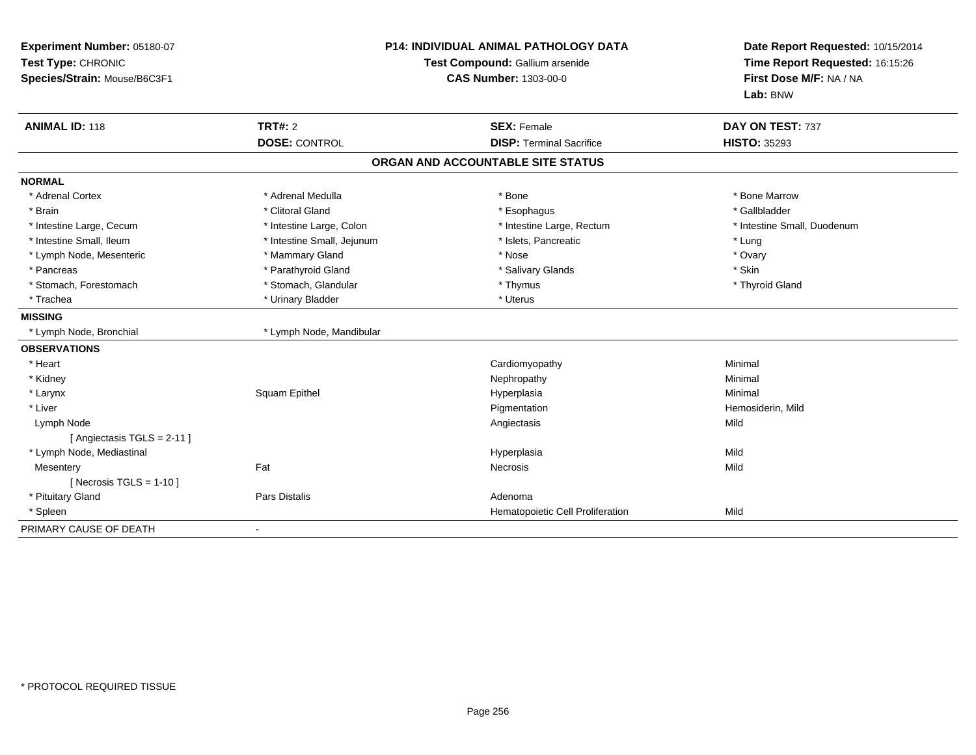| Experiment Number: 05180-07<br>Test Type: CHRONIC<br>Species/Strain: Mouse/B6C3F1 | <b>P14: INDIVIDUAL ANIMAL PATHOLOGY DATA</b><br>Test Compound: Gallium arsenide<br>CAS Number: 1303-00-0 |                                   | Date Report Requested: 10/15/2014<br>Time Report Requested: 16:15:26<br>First Dose M/F: NA / NA<br>Lab: BNW |
|-----------------------------------------------------------------------------------|----------------------------------------------------------------------------------------------------------|-----------------------------------|-------------------------------------------------------------------------------------------------------------|
| <b>ANIMAL ID: 118</b>                                                             | <b>TRT#: 2</b>                                                                                           | <b>SEX: Female</b>                | DAY ON TEST: 737                                                                                            |
|                                                                                   | <b>DOSE: CONTROL</b>                                                                                     | <b>DISP: Terminal Sacrifice</b>   | <b>HISTO: 35293</b>                                                                                         |
|                                                                                   |                                                                                                          | ORGAN AND ACCOUNTABLE SITE STATUS |                                                                                                             |
| <b>NORMAL</b>                                                                     |                                                                                                          |                                   |                                                                                                             |
| * Adrenal Cortex                                                                  | * Adrenal Medulla                                                                                        | * Bone                            | * Bone Marrow                                                                                               |
| * Brain                                                                           | * Clitoral Gland                                                                                         | * Esophagus                       | * Gallbladder                                                                                               |
| * Intestine Large, Cecum                                                          | * Intestine Large, Colon                                                                                 | * Intestine Large, Rectum         | * Intestine Small, Duodenum                                                                                 |
| * Intestine Small, Ileum                                                          | * Intestine Small, Jejunum                                                                               | * Islets, Pancreatic              | * Lung                                                                                                      |
| * Lymph Node, Mesenteric                                                          | * Mammary Gland                                                                                          | * Nose                            | * Ovary                                                                                                     |
| * Pancreas                                                                        | * Parathyroid Gland                                                                                      | * Salivary Glands                 | * Skin                                                                                                      |
| * Stomach, Forestomach                                                            | * Stomach, Glandular                                                                                     | * Thymus                          | * Thyroid Gland                                                                                             |
| * Trachea                                                                         | * Urinary Bladder                                                                                        | * Uterus                          |                                                                                                             |
| <b>MISSING</b>                                                                    |                                                                                                          |                                   |                                                                                                             |
| * Lymph Node, Bronchial                                                           | * Lymph Node, Mandibular                                                                                 |                                   |                                                                                                             |
| <b>OBSERVATIONS</b>                                                               |                                                                                                          |                                   |                                                                                                             |
| * Heart                                                                           |                                                                                                          | Cardiomyopathy                    | Minimal                                                                                                     |
| * Kidney                                                                          |                                                                                                          | Nephropathy                       | Minimal                                                                                                     |
| * Larynx                                                                          | Squam Epithel                                                                                            | Hyperplasia                       | Minimal                                                                                                     |
| * Liver                                                                           |                                                                                                          | Pigmentation                      | Hemosiderin, Mild                                                                                           |
| Lymph Node                                                                        |                                                                                                          | Angiectasis                       | Mild                                                                                                        |
| [ Angiectasis TGLS = 2-11 ]                                                       |                                                                                                          |                                   |                                                                                                             |
| * Lymph Node, Mediastinal                                                         |                                                                                                          | Hyperplasia                       | Mild                                                                                                        |
| Mesentery                                                                         | Fat                                                                                                      | <b>Necrosis</b>                   | Mild                                                                                                        |
| [ Necrosis $TGLS = 1-10$ ]                                                        |                                                                                                          |                                   |                                                                                                             |
| * Pituitary Gland                                                                 | Pars Distalis                                                                                            | Adenoma                           |                                                                                                             |
| * Spleen                                                                          |                                                                                                          | Hematopoietic Cell Proliferation  | Mild                                                                                                        |
| PRIMARY CAUSE OF DEATH                                                            |                                                                                                          |                                   |                                                                                                             |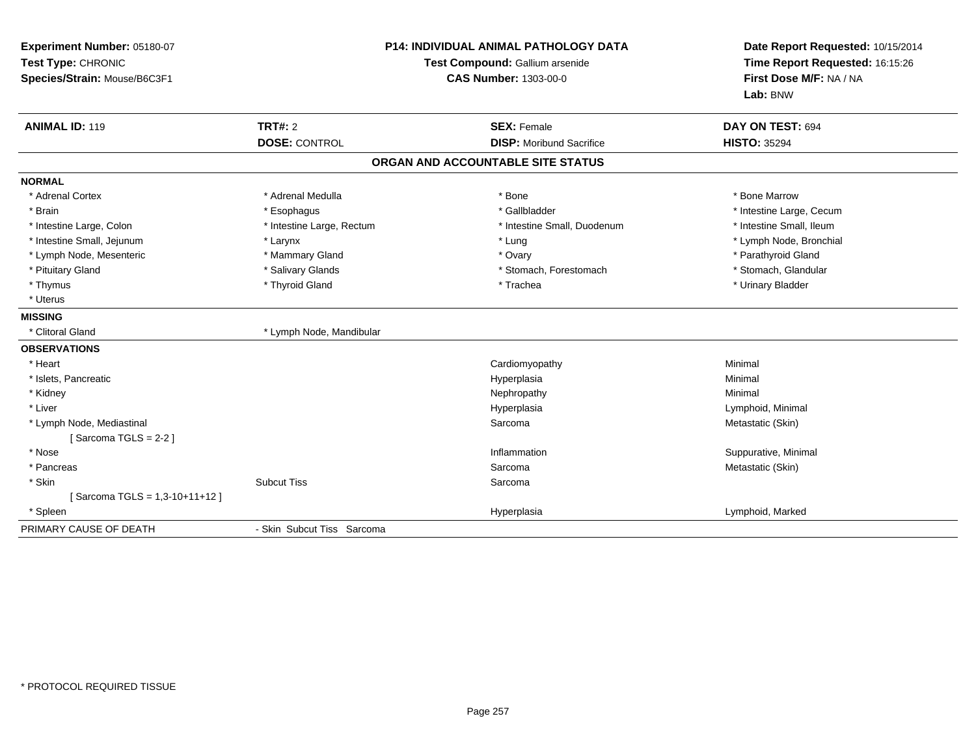| Experiment Number: 05180-07<br>Test Type: CHRONIC<br>Species/Strain: Mouse/B6C3F1 | <b>P14: INDIVIDUAL ANIMAL PATHOLOGY DATA</b><br>Test Compound: Gallium arsenide<br><b>CAS Number: 1303-00-0</b> |                                   | Date Report Requested: 10/15/2014<br>Time Report Requested: 16:15:26<br>First Dose M/F: NA / NA<br>Lab: BNW |  |
|-----------------------------------------------------------------------------------|-----------------------------------------------------------------------------------------------------------------|-----------------------------------|-------------------------------------------------------------------------------------------------------------|--|
| <b>ANIMAL ID: 119</b>                                                             | TRT#: 2                                                                                                         | <b>SEX: Female</b>                | DAY ON TEST: 694                                                                                            |  |
|                                                                                   | <b>DOSE: CONTROL</b>                                                                                            | <b>DISP:</b> Moribund Sacrifice   | <b>HISTO: 35294</b>                                                                                         |  |
|                                                                                   |                                                                                                                 | ORGAN AND ACCOUNTABLE SITE STATUS |                                                                                                             |  |
| <b>NORMAL</b>                                                                     |                                                                                                                 |                                   |                                                                                                             |  |
| * Adrenal Cortex                                                                  | * Adrenal Medulla                                                                                               | * Bone                            | * Bone Marrow                                                                                               |  |
| * Brain                                                                           | * Esophagus                                                                                                     | * Gallbladder                     | * Intestine Large, Cecum                                                                                    |  |
| * Intestine Large, Colon                                                          | * Intestine Large, Rectum                                                                                       | * Intestine Small, Duodenum       | * Intestine Small, Ileum                                                                                    |  |
| * Intestine Small, Jejunum                                                        | * Larynx                                                                                                        | * Lung                            | * Lymph Node, Bronchial                                                                                     |  |
| * Lymph Node, Mesenteric                                                          | * Mammary Gland                                                                                                 | * Ovary                           | * Parathyroid Gland                                                                                         |  |
| * Pituitary Gland                                                                 | * Salivary Glands                                                                                               | * Stomach, Forestomach            | * Stomach, Glandular                                                                                        |  |
| * Thymus                                                                          | * Thyroid Gland                                                                                                 | * Trachea                         | * Urinary Bladder                                                                                           |  |
| * Uterus                                                                          |                                                                                                                 |                                   |                                                                                                             |  |
| <b>MISSING</b>                                                                    |                                                                                                                 |                                   |                                                                                                             |  |
| * Clitoral Gland                                                                  | * Lymph Node, Mandibular                                                                                        |                                   |                                                                                                             |  |
| <b>OBSERVATIONS</b>                                                               |                                                                                                                 |                                   |                                                                                                             |  |
| * Heart                                                                           |                                                                                                                 | Cardiomyopathy                    | Minimal                                                                                                     |  |
| * Islets, Pancreatic                                                              |                                                                                                                 | Hyperplasia                       | Minimal                                                                                                     |  |
| * Kidney                                                                          |                                                                                                                 | Nephropathy                       | Minimal                                                                                                     |  |
| * Liver                                                                           |                                                                                                                 | Hyperplasia                       | Lymphoid, Minimal                                                                                           |  |
| * Lymph Node, Mediastinal                                                         |                                                                                                                 | Sarcoma                           | Metastatic (Skin)                                                                                           |  |
| [Sarcoma TGLS = $2-2$ ]                                                           |                                                                                                                 |                                   |                                                                                                             |  |
| $*$ Nose                                                                          |                                                                                                                 | Inflammation                      | Suppurative, Minimal                                                                                        |  |
| * Pancreas                                                                        |                                                                                                                 | Sarcoma                           | Metastatic (Skin)                                                                                           |  |
| * Skin                                                                            | <b>Subcut Tiss</b>                                                                                              | Sarcoma                           |                                                                                                             |  |
| [Sarcoma TGLS = 1,3-10+11+12]                                                     |                                                                                                                 |                                   |                                                                                                             |  |
| * Spleen                                                                          |                                                                                                                 | Hyperplasia                       | Lymphoid, Marked                                                                                            |  |
| PRIMARY CAUSE OF DEATH                                                            | - Skin Subcut Tiss Sarcoma                                                                                      |                                   |                                                                                                             |  |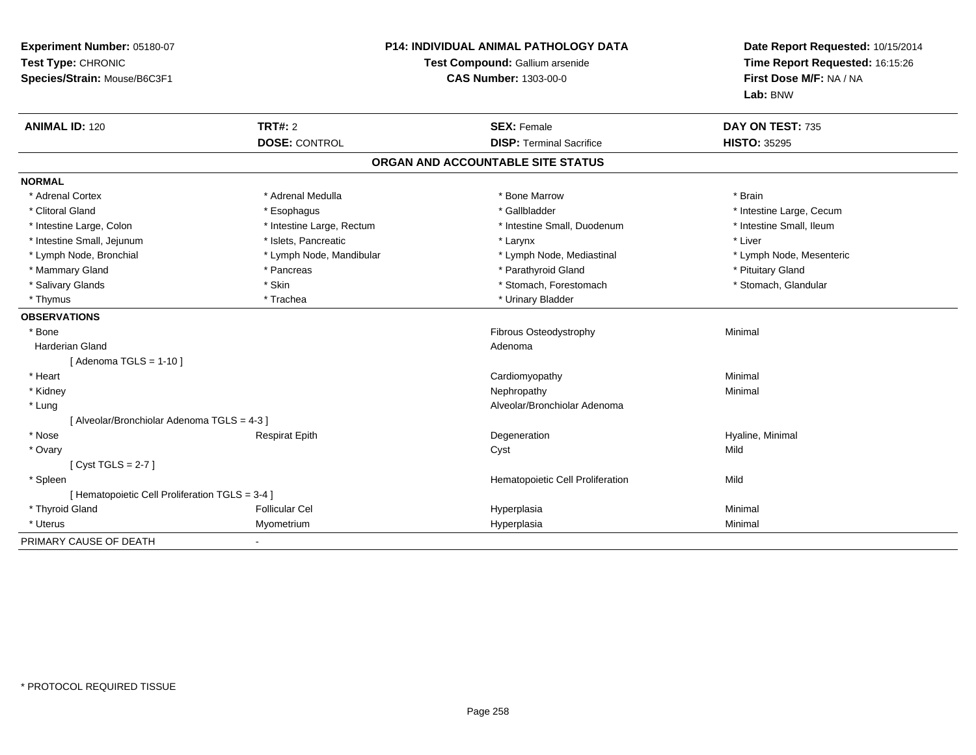| Experiment Number: 05180-07<br>Test Type: CHRONIC<br>Species/Strain: Mouse/B6C3F1 |                                        | P14: INDIVIDUAL ANIMAL PATHOLOGY DATA<br>Test Compound: Gallium arsenide<br><b>CAS Number: 1303-00-0</b> | Date Report Requested: 10/15/2014<br>Time Report Requested: 16:15:26<br>First Dose M/F: NA / NA<br>Lab: BNW |
|-----------------------------------------------------------------------------------|----------------------------------------|----------------------------------------------------------------------------------------------------------|-------------------------------------------------------------------------------------------------------------|
| <b>ANIMAL ID: 120</b>                                                             | <b>TRT#: 2</b><br><b>DOSE: CONTROL</b> | <b>SEX: Female</b><br><b>DISP: Terminal Sacrifice</b>                                                    | DAY ON TEST: 735<br><b>HISTO: 35295</b>                                                                     |
|                                                                                   |                                        | ORGAN AND ACCOUNTABLE SITE STATUS                                                                        |                                                                                                             |
|                                                                                   |                                        |                                                                                                          |                                                                                                             |
| <b>NORMAL</b>                                                                     |                                        |                                                                                                          |                                                                                                             |
| * Adrenal Cortex                                                                  | * Adrenal Medulla                      | * Bone Marrow                                                                                            | * Brain                                                                                                     |
| * Clitoral Gland                                                                  | * Esophagus                            | * Gallbladder                                                                                            | * Intestine Large, Cecum                                                                                    |
| * Intestine Large, Colon                                                          | * Intestine Large, Rectum              | * Intestine Small, Duodenum                                                                              | * Intestine Small, Ileum                                                                                    |
| * Intestine Small, Jejunum                                                        | * Islets, Pancreatic                   | * Larynx                                                                                                 | * Liver                                                                                                     |
| * Lymph Node, Bronchial                                                           | * Lymph Node, Mandibular               | * Lymph Node, Mediastinal                                                                                | * Lymph Node, Mesenteric                                                                                    |
| * Mammary Gland                                                                   | * Pancreas                             | * Parathyroid Gland                                                                                      | * Pituitary Gland                                                                                           |
| * Salivary Glands                                                                 | * Skin                                 | * Stomach, Forestomach                                                                                   | * Stomach, Glandular                                                                                        |
| * Thymus                                                                          | * Trachea                              | * Urinary Bladder                                                                                        |                                                                                                             |
| <b>OBSERVATIONS</b>                                                               |                                        |                                                                                                          |                                                                                                             |
| * Bone                                                                            |                                        | Fibrous Osteodystrophy                                                                                   | Minimal                                                                                                     |
| Harderian Gland                                                                   |                                        | Adenoma                                                                                                  |                                                                                                             |
| [Adenoma TGLS = $1-10$ ]                                                          |                                        |                                                                                                          |                                                                                                             |
| * Heart                                                                           |                                        | Cardiomyopathy                                                                                           | Minimal                                                                                                     |
| * Kidney                                                                          |                                        | Nephropathy                                                                                              | Minimal                                                                                                     |
| * Lung                                                                            |                                        | Alveolar/Bronchiolar Adenoma                                                                             |                                                                                                             |
| [ Alveolar/Bronchiolar Adenoma TGLS = 4-3 ]                                       |                                        |                                                                                                          |                                                                                                             |
| * Nose                                                                            | <b>Respirat Epith</b>                  | Degeneration                                                                                             | Hyaline, Minimal                                                                                            |
| * Ovary                                                                           |                                        | Cyst                                                                                                     | Mild                                                                                                        |
| [Cyst TGLS = $2-7$ ]                                                              |                                        |                                                                                                          |                                                                                                             |
| * Spleen                                                                          |                                        | Hematopoietic Cell Proliferation                                                                         | Mild                                                                                                        |
| [ Hematopoietic Cell Proliferation TGLS = 3-4 ]                                   |                                        |                                                                                                          |                                                                                                             |
| * Thyroid Gland                                                                   | <b>Follicular Cel</b>                  | Hyperplasia                                                                                              | Minimal                                                                                                     |
| * Uterus                                                                          | Myometrium                             | Hyperplasia                                                                                              | Minimal                                                                                                     |
| PRIMARY CAUSE OF DEATH                                                            |                                        |                                                                                                          |                                                                                                             |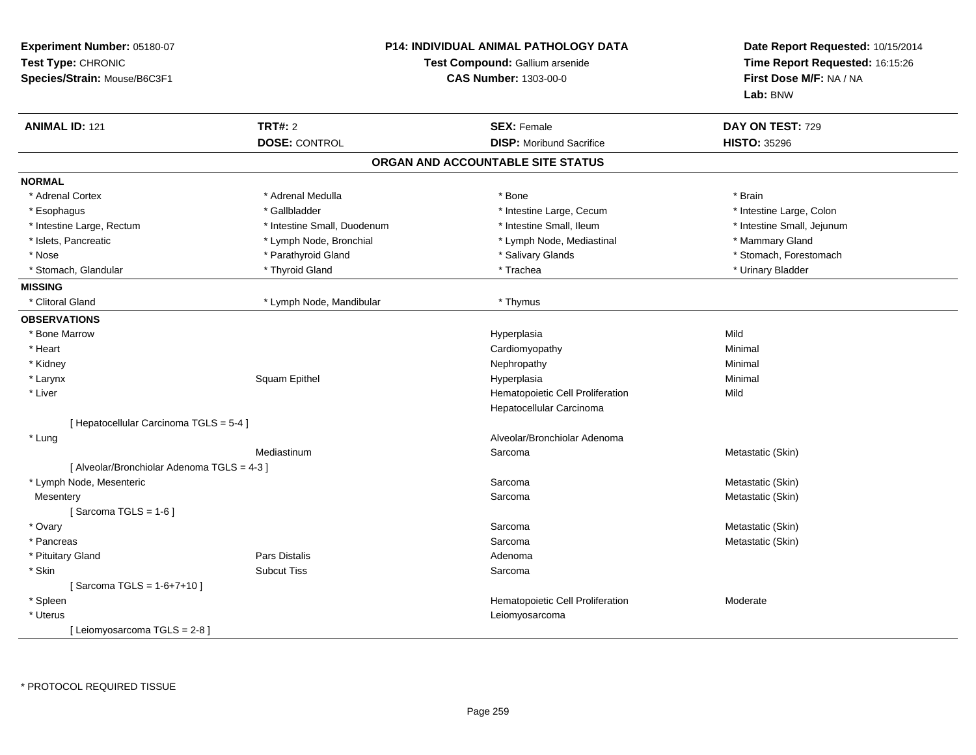| Experiment Number: 05180-07<br>Test Type: CHRONIC<br>Species/Strain: Mouse/B6C3F1 |                             | <b>P14: INDIVIDUAL ANIMAL PATHOLOGY DATA</b><br>Test Compound: Gallium arsenide<br><b>CAS Number: 1303-00-0</b> | Date Report Requested: 10/15/2014<br>Time Report Requested: 16:15:26<br>First Dose M/F: NA / NA<br>Lab: BNW |
|-----------------------------------------------------------------------------------|-----------------------------|-----------------------------------------------------------------------------------------------------------------|-------------------------------------------------------------------------------------------------------------|
| <b>ANIMAL ID: 121</b>                                                             | <b>TRT#: 2</b>              | <b>SEX: Female</b>                                                                                              | DAY ON TEST: 729                                                                                            |
|                                                                                   | <b>DOSE: CONTROL</b>        | <b>DISP:</b> Moribund Sacrifice                                                                                 | <b>HISTO: 35296</b>                                                                                         |
|                                                                                   |                             | ORGAN AND ACCOUNTABLE SITE STATUS                                                                               |                                                                                                             |
| <b>NORMAL</b>                                                                     |                             |                                                                                                                 |                                                                                                             |
| * Adrenal Cortex                                                                  | * Adrenal Medulla           | * Bone                                                                                                          | * Brain                                                                                                     |
| * Esophagus                                                                       | * Gallbladder               | * Intestine Large, Cecum                                                                                        | * Intestine Large, Colon                                                                                    |
| * Intestine Large, Rectum                                                         | * Intestine Small, Duodenum | * Intestine Small, Ileum                                                                                        | * Intestine Small, Jejunum                                                                                  |
| * Islets, Pancreatic                                                              | * Lymph Node, Bronchial     | * Lymph Node, Mediastinal                                                                                       | * Mammary Gland                                                                                             |
| * Nose                                                                            | * Parathyroid Gland         | * Salivary Glands                                                                                               | * Stomach, Forestomach                                                                                      |
| * Stomach, Glandular                                                              | * Thyroid Gland             | * Trachea                                                                                                       | * Urinary Bladder                                                                                           |
| <b>MISSING</b>                                                                    |                             |                                                                                                                 |                                                                                                             |
| * Clitoral Gland                                                                  | * Lymph Node, Mandibular    | * Thymus                                                                                                        |                                                                                                             |
| <b>OBSERVATIONS</b>                                                               |                             |                                                                                                                 |                                                                                                             |
| * Bone Marrow                                                                     |                             | Hyperplasia                                                                                                     | Mild                                                                                                        |
| * Heart                                                                           |                             | Cardiomyopathy                                                                                                  | Minimal                                                                                                     |
| * Kidney                                                                          |                             | Nephropathy                                                                                                     | Minimal                                                                                                     |
| * Larynx                                                                          | Squam Epithel               | Hyperplasia                                                                                                     | Minimal                                                                                                     |
| * Liver                                                                           |                             | Hematopoietic Cell Proliferation                                                                                | Mild                                                                                                        |
|                                                                                   |                             | Hepatocellular Carcinoma                                                                                        |                                                                                                             |
| [ Hepatocellular Carcinoma TGLS = 5-4 ]                                           |                             |                                                                                                                 |                                                                                                             |
| * Lung                                                                            |                             | Alveolar/Bronchiolar Adenoma                                                                                    |                                                                                                             |
|                                                                                   | Mediastinum                 | Sarcoma                                                                                                         | Metastatic (Skin)                                                                                           |
| [ Alveolar/Bronchiolar Adenoma TGLS = 4-3 ]                                       |                             |                                                                                                                 |                                                                                                             |
| * Lymph Node, Mesenteric                                                          |                             | Sarcoma                                                                                                         | Metastatic (Skin)                                                                                           |
| Mesentery                                                                         |                             | Sarcoma                                                                                                         | Metastatic (Skin)                                                                                           |
| [Sarcoma TGLS = $1-6$ ]                                                           |                             |                                                                                                                 |                                                                                                             |
| * Ovary                                                                           |                             | Sarcoma                                                                                                         | Metastatic (Skin)                                                                                           |
| * Pancreas                                                                        |                             | Sarcoma                                                                                                         | Metastatic (Skin)                                                                                           |
| * Pituitary Gland                                                                 | Pars Distalis               | Adenoma                                                                                                         |                                                                                                             |
| * Skin                                                                            | <b>Subcut Tiss</b>          | Sarcoma                                                                                                         |                                                                                                             |
| [Sarcoma TGLS = 1-6+7+10]                                                         |                             |                                                                                                                 |                                                                                                             |
| * Spleen                                                                          |                             | Hematopoietic Cell Proliferation                                                                                | Moderate                                                                                                    |
| * Uterus                                                                          |                             | Leiomyosarcoma                                                                                                  |                                                                                                             |
| [Leiomyosarcoma TGLS = 2-8]                                                       |                             |                                                                                                                 |                                                                                                             |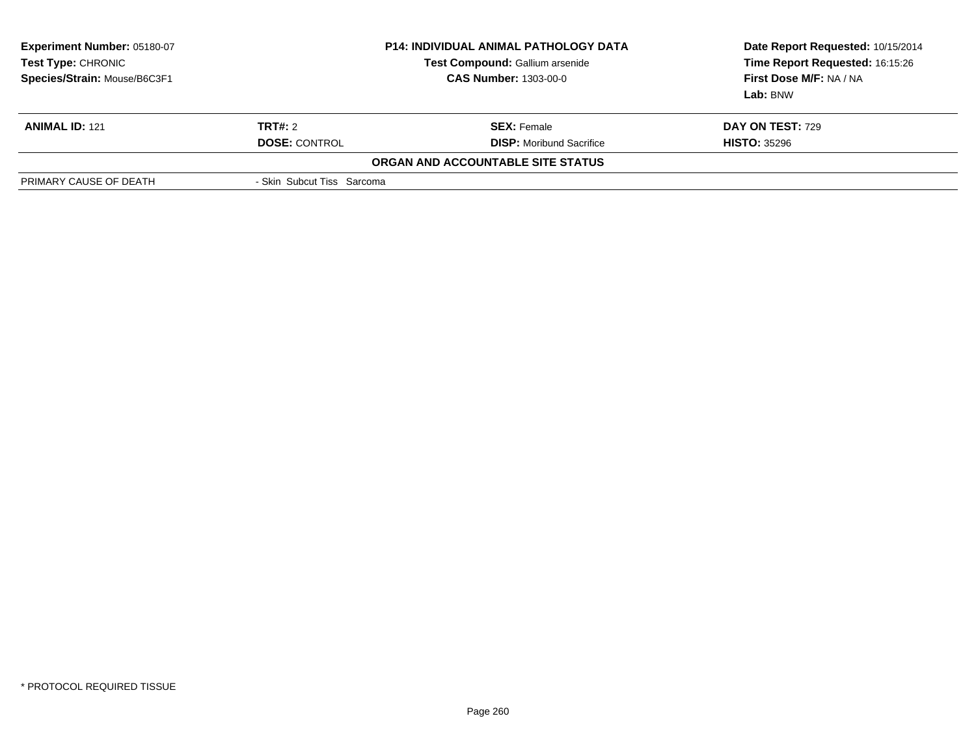| Experiment Number: 05180-07<br>Test Type: CHRONIC<br>Species/Strain: Mouse/B6C3F1 |                            | <b>P14: INDIVIDUAL ANIMAL PATHOLOGY DATA</b><br>Test Compound: Gallium arsenide<br><b>CAS Number: 1303-00-0</b> | Date Report Requested: 10/15/2014<br>Time Report Requested: 16:15:26<br>First Dose M/F: NA / NA<br>Lab: BNW |
|-----------------------------------------------------------------------------------|----------------------------|-----------------------------------------------------------------------------------------------------------------|-------------------------------------------------------------------------------------------------------------|
| <b>ANIMAL ID: 121</b>                                                             | <b>TRT#:</b> 2             | <b>SEX: Female</b>                                                                                              | <b>DAY ON TEST: 729</b>                                                                                     |
|                                                                                   | <b>DOSE: CONTROL</b>       | <b>DISP:</b> Moribund Sacrifice                                                                                 | <b>HISTO: 35296</b>                                                                                         |
|                                                                                   |                            | <b>ORGAN AND ACCOUNTABLE SITE STATUS</b>                                                                        |                                                                                                             |
| PRIMARY CAUSE OF DEATH                                                            | - Skin Subcut Tiss Sarcoma |                                                                                                                 |                                                                                                             |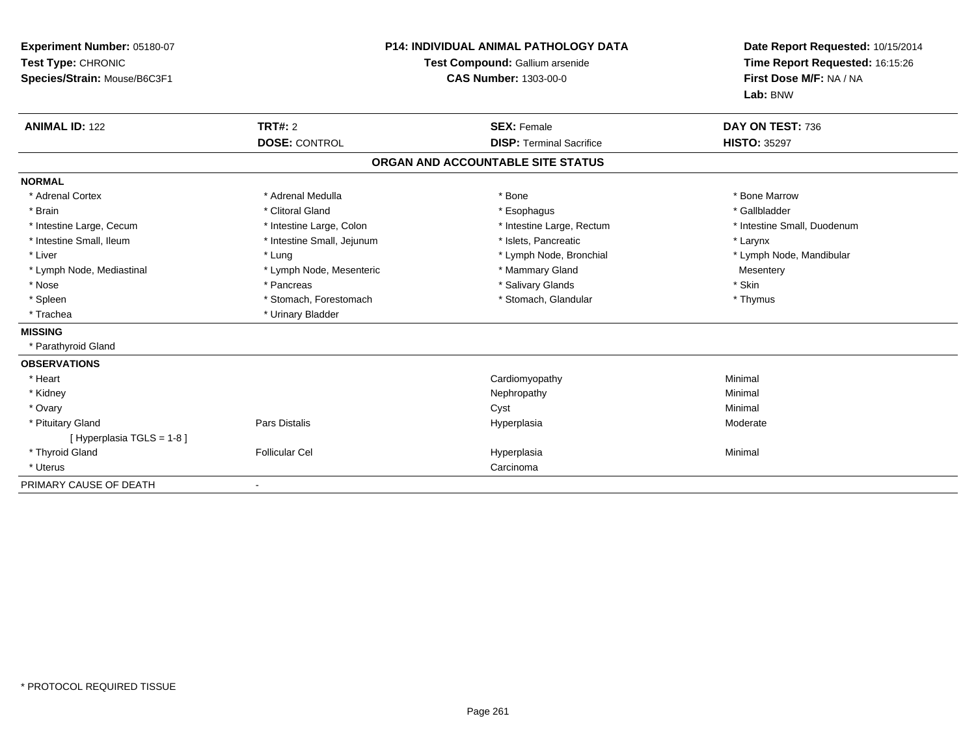| Experiment Number: 05180-07<br>Test Type: CHRONIC<br>Species/Strain: Mouse/B6C3F1<br><b>ANIMAL ID: 122</b> | TRT#: 2                    | <b>P14: INDIVIDUAL ANIMAL PATHOLOGY DATA</b><br>Test Compound: Gallium arsenide<br><b>CAS Number: 1303-00-0</b><br><b>SEX: Female</b> | Date Report Requested: 10/15/2014<br>Time Report Requested: 16:15:26<br>First Dose M/F: NA / NA<br>Lab: BNW<br>DAY ON TEST: 736 |
|------------------------------------------------------------------------------------------------------------|----------------------------|---------------------------------------------------------------------------------------------------------------------------------------|---------------------------------------------------------------------------------------------------------------------------------|
|                                                                                                            | <b>DOSE: CONTROL</b>       | <b>DISP: Terminal Sacrifice</b>                                                                                                       | <b>HISTO: 35297</b>                                                                                                             |
|                                                                                                            |                            | ORGAN AND ACCOUNTABLE SITE STATUS                                                                                                     |                                                                                                                                 |
| <b>NORMAL</b>                                                                                              |                            |                                                                                                                                       |                                                                                                                                 |
| * Adrenal Cortex                                                                                           | * Adrenal Medulla          | * Bone                                                                                                                                | * Bone Marrow                                                                                                                   |
| * Brain                                                                                                    | * Clitoral Gland           | * Esophagus                                                                                                                           | * Gallbladder                                                                                                                   |
| * Intestine Large, Cecum                                                                                   | * Intestine Large, Colon   | * Intestine Large, Rectum                                                                                                             | * Intestine Small, Duodenum                                                                                                     |
| * Intestine Small, Ileum                                                                                   | * Intestine Small, Jejunum | * Islets, Pancreatic                                                                                                                  | * Larynx                                                                                                                        |
| * Liver                                                                                                    | * Lung                     | * Lymph Node, Bronchial                                                                                                               | * Lymph Node, Mandibular                                                                                                        |
| * Lymph Node, Mediastinal                                                                                  | * Lymph Node, Mesenteric   | * Mammary Gland                                                                                                                       | Mesentery                                                                                                                       |
| * Nose                                                                                                     | * Pancreas                 | * Salivary Glands                                                                                                                     | * Skin                                                                                                                          |
| * Spleen                                                                                                   | * Stomach, Forestomach     | * Stomach, Glandular                                                                                                                  | * Thymus                                                                                                                        |
| * Trachea                                                                                                  | * Urinary Bladder          |                                                                                                                                       |                                                                                                                                 |
| <b>MISSING</b>                                                                                             |                            |                                                                                                                                       |                                                                                                                                 |
| * Parathyroid Gland                                                                                        |                            |                                                                                                                                       |                                                                                                                                 |
| <b>OBSERVATIONS</b>                                                                                        |                            |                                                                                                                                       |                                                                                                                                 |
| * Heart                                                                                                    |                            | Cardiomyopathy                                                                                                                        | Minimal                                                                                                                         |
| * Kidney                                                                                                   |                            | Nephropathy                                                                                                                           | Minimal                                                                                                                         |
| * Ovary                                                                                                    |                            | Cyst                                                                                                                                  | Minimal                                                                                                                         |
| * Pituitary Gland                                                                                          | Pars Distalis              | Hyperplasia                                                                                                                           | Moderate                                                                                                                        |
| [ Hyperplasia TGLS = 1-8 ]                                                                                 |                            |                                                                                                                                       |                                                                                                                                 |
| * Thyroid Gland                                                                                            | <b>Follicular Cel</b>      | Hyperplasia                                                                                                                           | Minimal                                                                                                                         |
| * Uterus                                                                                                   |                            | Carcinoma                                                                                                                             |                                                                                                                                 |
| PRIMARY CAUSE OF DEATH                                                                                     |                            |                                                                                                                                       |                                                                                                                                 |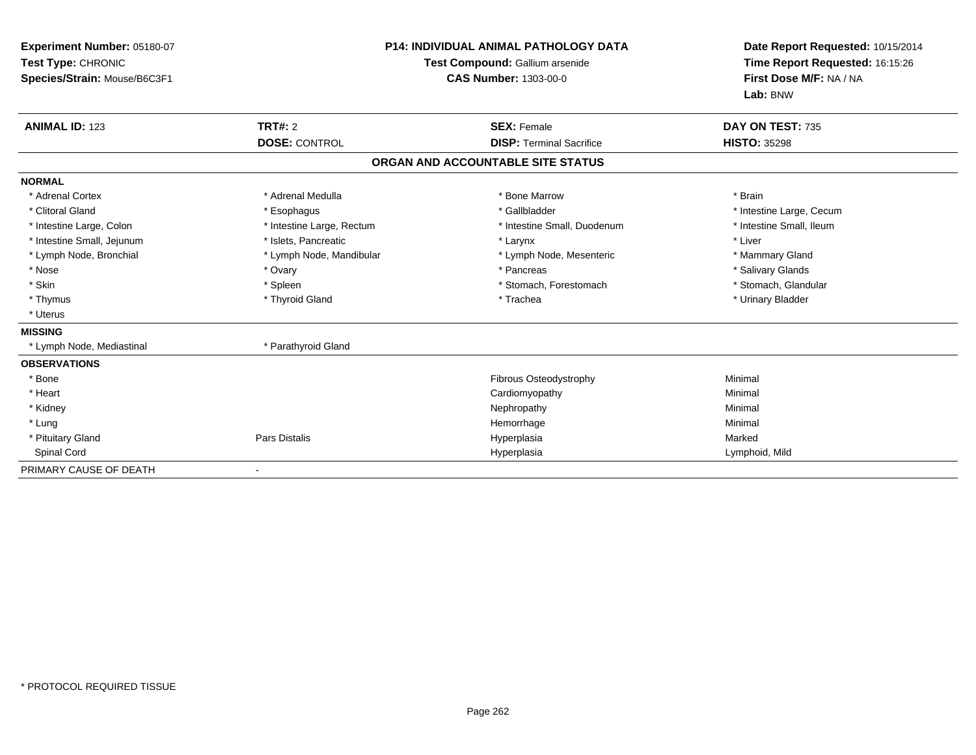| Experiment Number: 05180-07<br>Test Type: CHRONIC<br>Species/Strain: Mouse/B6C3F1 |                           | <b>P14: INDIVIDUAL ANIMAL PATHOLOGY DATA</b><br>Test Compound: Gallium arsenide<br><b>CAS Number: 1303-00-0</b> | Date Report Requested: 10/15/2014<br>Time Report Requested: 16:15:26<br>First Dose M/F: NA / NA<br>Lab: BNW |
|-----------------------------------------------------------------------------------|---------------------------|-----------------------------------------------------------------------------------------------------------------|-------------------------------------------------------------------------------------------------------------|
| <b>ANIMAL ID: 123</b>                                                             | <b>TRT#: 2</b>            | <b>SEX: Female</b>                                                                                              | DAY ON TEST: 735                                                                                            |
|                                                                                   | <b>DOSE: CONTROL</b>      | <b>DISP: Terminal Sacrifice</b>                                                                                 | <b>HISTO: 35298</b>                                                                                         |
|                                                                                   |                           | ORGAN AND ACCOUNTABLE SITE STATUS                                                                               |                                                                                                             |
| <b>NORMAL</b>                                                                     |                           |                                                                                                                 |                                                                                                             |
| * Adrenal Cortex                                                                  | * Adrenal Medulla         | * Bone Marrow                                                                                                   | * Brain                                                                                                     |
| * Clitoral Gland                                                                  | * Esophagus               | * Gallbladder                                                                                                   | * Intestine Large, Cecum                                                                                    |
| * Intestine Large, Colon                                                          | * Intestine Large, Rectum | * Intestine Small, Duodenum                                                                                     | * Intestine Small, Ileum                                                                                    |
| * Intestine Small, Jejunum                                                        | * Islets, Pancreatic      | * Larynx                                                                                                        | * Liver                                                                                                     |
| * Lymph Node, Bronchial                                                           | * Lymph Node, Mandibular  | * Lymph Node, Mesenteric                                                                                        | * Mammary Gland                                                                                             |
| * Nose                                                                            | * Ovary                   | * Pancreas                                                                                                      | * Salivary Glands                                                                                           |
| * Skin                                                                            | * Spleen                  | * Stomach, Forestomach                                                                                          | * Stomach, Glandular                                                                                        |
| * Thymus                                                                          | * Thyroid Gland           | * Trachea                                                                                                       | * Urinary Bladder                                                                                           |
| * Uterus                                                                          |                           |                                                                                                                 |                                                                                                             |
| <b>MISSING</b>                                                                    |                           |                                                                                                                 |                                                                                                             |
| * Lymph Node, Mediastinal                                                         | * Parathyroid Gland       |                                                                                                                 |                                                                                                             |
| <b>OBSERVATIONS</b>                                                               |                           |                                                                                                                 |                                                                                                             |
| * Bone                                                                            |                           | Fibrous Osteodystrophy                                                                                          | Minimal                                                                                                     |
| * Heart                                                                           |                           | Cardiomyopathy                                                                                                  | Minimal                                                                                                     |
| * Kidney                                                                          |                           | Nephropathy                                                                                                     | Minimal                                                                                                     |
| * Lung                                                                            |                           | Hemorrhage                                                                                                      | Minimal                                                                                                     |
| * Pituitary Gland                                                                 | <b>Pars Distalis</b>      | Hyperplasia                                                                                                     | Marked                                                                                                      |
| Spinal Cord                                                                       |                           | Hyperplasia                                                                                                     | Lymphoid, Mild                                                                                              |
| PRIMARY CAUSE OF DEATH                                                            |                           |                                                                                                                 |                                                                                                             |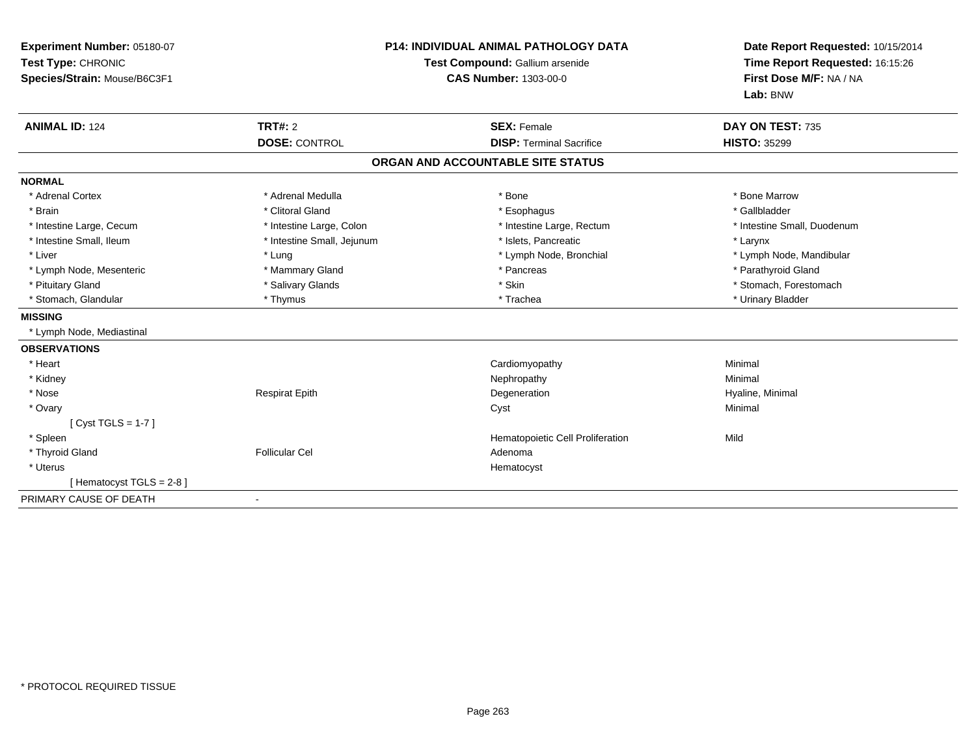| Experiment Number: 05180-07<br>Test Type: CHRONIC<br>Species/Strain: Mouse/B6C3F1<br><b>ANIMAL ID: 124</b> | TRT#: 2                    | <b>P14: INDIVIDUAL ANIMAL PATHOLOGY DATA</b><br>Test Compound: Gallium arsenide<br><b>CAS Number: 1303-00-0</b><br><b>SEX: Female</b> | Date Report Requested: 10/15/2014<br>Time Report Requested: 16:15:26<br>First Dose M/F: NA / NA<br>Lab: BNW<br>DAY ON TEST: 735 |
|------------------------------------------------------------------------------------------------------------|----------------------------|---------------------------------------------------------------------------------------------------------------------------------------|---------------------------------------------------------------------------------------------------------------------------------|
|                                                                                                            | <b>DOSE: CONTROL</b>       | <b>DISP: Terminal Sacrifice</b>                                                                                                       | <b>HISTO: 35299</b>                                                                                                             |
|                                                                                                            |                            | ORGAN AND ACCOUNTABLE SITE STATUS                                                                                                     |                                                                                                                                 |
| <b>NORMAL</b>                                                                                              |                            |                                                                                                                                       |                                                                                                                                 |
| * Adrenal Cortex                                                                                           | * Adrenal Medulla          | * Bone                                                                                                                                | * Bone Marrow                                                                                                                   |
| * Brain                                                                                                    | * Clitoral Gland           | * Esophagus                                                                                                                           | * Gallbladder                                                                                                                   |
| * Intestine Large, Cecum                                                                                   | * Intestine Large, Colon   | * Intestine Large, Rectum                                                                                                             | * Intestine Small, Duodenum                                                                                                     |
| * Intestine Small, Ileum                                                                                   | * Intestine Small, Jejunum | * Islets, Pancreatic                                                                                                                  | * Larynx                                                                                                                        |
| * Liver                                                                                                    | * Lung                     | * Lymph Node, Bronchial                                                                                                               | * Lymph Node, Mandibular                                                                                                        |
| * Lymph Node, Mesenteric                                                                                   | * Mammary Gland            | * Pancreas                                                                                                                            | * Parathyroid Gland                                                                                                             |
| * Pituitary Gland                                                                                          | * Salivary Glands          | * Skin                                                                                                                                | * Stomach, Forestomach                                                                                                          |
| * Stomach, Glandular                                                                                       | * Thymus                   | * Trachea                                                                                                                             | * Urinary Bladder                                                                                                               |
| <b>MISSING</b>                                                                                             |                            |                                                                                                                                       |                                                                                                                                 |
| * Lymph Node, Mediastinal                                                                                  |                            |                                                                                                                                       |                                                                                                                                 |
| <b>OBSERVATIONS</b>                                                                                        |                            |                                                                                                                                       |                                                                                                                                 |
| * Heart                                                                                                    |                            | Cardiomyopathy                                                                                                                        | Minimal                                                                                                                         |
| * Kidney                                                                                                   |                            | Nephropathy                                                                                                                           | Minimal                                                                                                                         |
| * Nose                                                                                                     | <b>Respirat Epith</b>      | Degeneration                                                                                                                          | Hyaline, Minimal                                                                                                                |
| * Ovary                                                                                                    |                            | Cyst                                                                                                                                  | Minimal                                                                                                                         |
| [Cyst TGLS = $1-7$ ]                                                                                       |                            |                                                                                                                                       |                                                                                                                                 |
| * Spleen                                                                                                   |                            | Hematopoietic Cell Proliferation                                                                                                      | Mild                                                                                                                            |
| * Thyroid Gland                                                                                            | <b>Follicular Cel</b>      | Adenoma                                                                                                                               |                                                                                                                                 |
| * Uterus                                                                                                   |                            | Hematocyst                                                                                                                            |                                                                                                                                 |
| [Hematocyst TGLS = $2-8$ ]                                                                                 |                            |                                                                                                                                       |                                                                                                                                 |
| PRIMARY CAUSE OF DEATH                                                                                     |                            |                                                                                                                                       |                                                                                                                                 |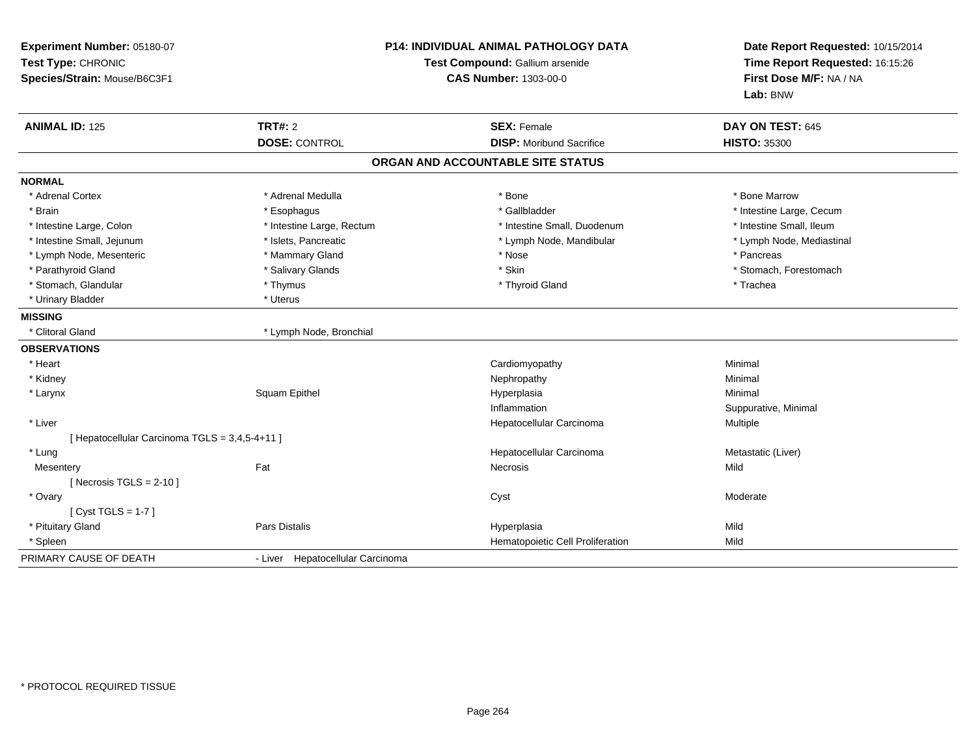| Experiment Number: 05180-07<br>Test Type: CHRONIC<br>Species/Strain: Mouse/B6C3F1 | <b>P14: INDIVIDUAL ANIMAL PATHOLOGY DATA</b><br>Test Compound: Gallium arsenide<br><b>CAS Number: 1303-00-0</b> |                                   | Date Report Requested: 10/15/2014<br>Time Report Requested: 16:15:26<br>First Dose M/F: NA / NA<br>Lab: BNW |  |
|-----------------------------------------------------------------------------------|-----------------------------------------------------------------------------------------------------------------|-----------------------------------|-------------------------------------------------------------------------------------------------------------|--|
| <b>ANIMAL ID: 125</b>                                                             | <b>TRT#: 2</b>                                                                                                  | <b>SEX: Female</b>                | DAY ON TEST: 645                                                                                            |  |
|                                                                                   | <b>DOSE: CONTROL</b>                                                                                            | <b>DISP:</b> Moribund Sacrifice   | <b>HISTO: 35300</b>                                                                                         |  |
|                                                                                   |                                                                                                                 | ORGAN AND ACCOUNTABLE SITE STATUS |                                                                                                             |  |
| <b>NORMAL</b>                                                                     |                                                                                                                 |                                   |                                                                                                             |  |
| * Adrenal Cortex                                                                  | * Adrenal Medulla                                                                                               | * Bone                            | * Bone Marrow                                                                                               |  |
| * Brain                                                                           | * Esophagus                                                                                                     | * Gallbladder                     | * Intestine Large, Cecum                                                                                    |  |
| * Intestine Large, Colon                                                          | * Intestine Large, Rectum                                                                                       | * Intestine Small, Duodenum       | * Intestine Small, Ileum                                                                                    |  |
| * Intestine Small, Jejunum                                                        | * Islets, Pancreatic                                                                                            | * Lymph Node, Mandibular          | * Lymph Node, Mediastinal                                                                                   |  |
| * Lymph Node, Mesenteric                                                          | * Mammary Gland                                                                                                 | * Nose                            | * Pancreas                                                                                                  |  |
| * Parathyroid Gland                                                               | * Salivary Glands                                                                                               | * Skin                            | * Stomach, Forestomach                                                                                      |  |
| * Stomach, Glandular                                                              | * Thymus                                                                                                        | * Thyroid Gland                   | * Trachea                                                                                                   |  |
| * Urinary Bladder                                                                 | * Uterus                                                                                                        |                                   |                                                                                                             |  |
| <b>MISSING</b>                                                                    |                                                                                                                 |                                   |                                                                                                             |  |
| * Clitoral Gland                                                                  | * Lymph Node, Bronchial                                                                                         |                                   |                                                                                                             |  |
| <b>OBSERVATIONS</b>                                                               |                                                                                                                 |                                   |                                                                                                             |  |
| * Heart                                                                           |                                                                                                                 | Cardiomyopathy                    | Minimal                                                                                                     |  |
| * Kidney                                                                          |                                                                                                                 | Nephropathy                       | Minimal                                                                                                     |  |
| * Larynx                                                                          | Squam Epithel                                                                                                   | Hyperplasia                       | Minimal                                                                                                     |  |
|                                                                                   |                                                                                                                 | Inflammation                      | Suppurative, Minimal                                                                                        |  |
| * Liver                                                                           |                                                                                                                 | Hepatocellular Carcinoma          | Multiple                                                                                                    |  |
| [ Hepatocellular Carcinoma TGLS = 3,4,5-4+11 ]                                    |                                                                                                                 |                                   |                                                                                                             |  |
| * Lung                                                                            |                                                                                                                 | Hepatocellular Carcinoma          | Metastatic (Liver)                                                                                          |  |
| Mesentery                                                                         | Fat                                                                                                             | Necrosis                          | Mild                                                                                                        |  |
| [Necrosis TGLS = $2-10$ ]                                                         |                                                                                                                 |                                   |                                                                                                             |  |
| * Ovary                                                                           |                                                                                                                 | Cyst                              | Moderate                                                                                                    |  |
| [Cyst TGLS = $1-7$ ]                                                              |                                                                                                                 |                                   |                                                                                                             |  |
| * Pituitary Gland                                                                 | <b>Pars Distalis</b>                                                                                            | Hyperplasia                       | Mild                                                                                                        |  |
| * Spleen                                                                          |                                                                                                                 | Hematopoietic Cell Proliferation  | Mild                                                                                                        |  |
| PRIMARY CAUSE OF DEATH                                                            | - Liver Hepatocellular Carcinoma                                                                                |                                   |                                                                                                             |  |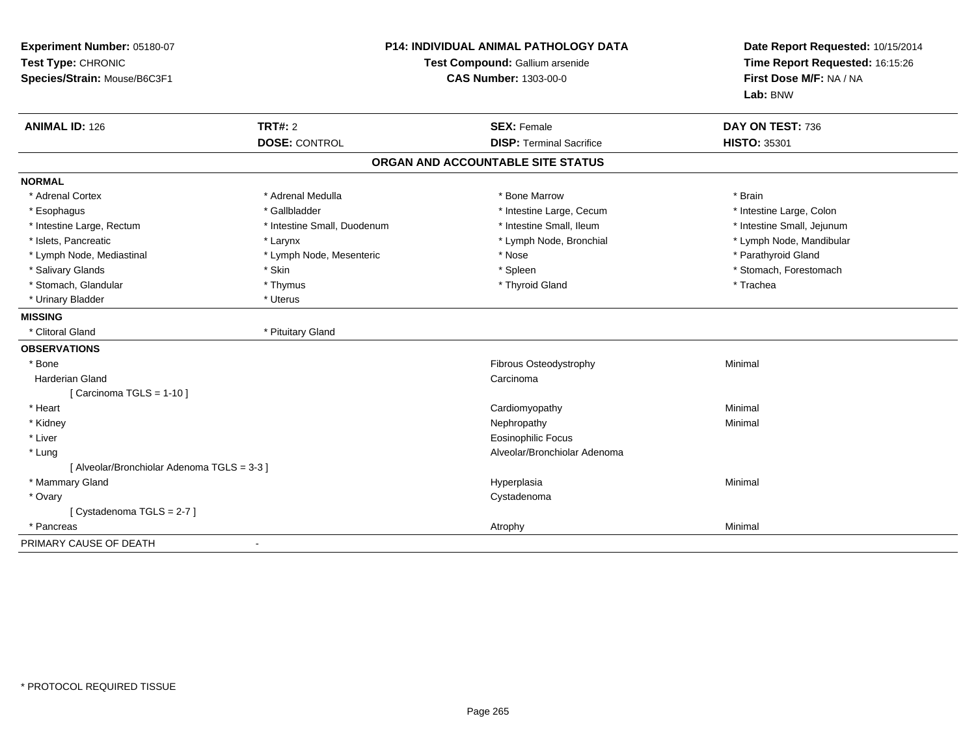| Experiment Number: 05180-07<br>Test Type: CHRONIC<br>Species/Strain: Mouse/B6C3F1 |                                        | <b>P14: INDIVIDUAL ANIMAL PATHOLOGY DATA</b><br>Test Compound: Gallium arsenide<br><b>CAS Number: 1303-00-0</b> | Date Report Requested: 10/15/2014<br>Time Report Requested: 16:15:26<br>First Dose M/F: NA / NA<br>Lab: BNW |
|-----------------------------------------------------------------------------------|----------------------------------------|-----------------------------------------------------------------------------------------------------------------|-------------------------------------------------------------------------------------------------------------|
| <b>ANIMAL ID: 126</b>                                                             | <b>TRT#: 2</b><br><b>DOSE: CONTROL</b> | <b>SEX: Female</b><br><b>DISP: Terminal Sacrifice</b>                                                           | DAY ON TEST: 736<br><b>HISTO: 35301</b>                                                                     |
|                                                                                   |                                        |                                                                                                                 |                                                                                                             |
|                                                                                   |                                        | ORGAN AND ACCOUNTABLE SITE STATUS                                                                               |                                                                                                             |
| <b>NORMAL</b>                                                                     |                                        |                                                                                                                 |                                                                                                             |
| * Adrenal Cortex                                                                  | * Adrenal Medulla                      | * Bone Marrow                                                                                                   | * Brain                                                                                                     |
| * Esophagus                                                                       | * Gallbladder                          | * Intestine Large, Cecum                                                                                        | * Intestine Large, Colon                                                                                    |
| * Intestine Large, Rectum                                                         | * Intestine Small, Duodenum            | * Intestine Small, Ileum                                                                                        | * Intestine Small, Jejunum                                                                                  |
| * Islets, Pancreatic                                                              | * Larynx                               | * Lymph Node, Bronchial                                                                                         | * Lymph Node, Mandibular                                                                                    |
| * Lymph Node, Mediastinal                                                         | * Lymph Node, Mesenteric               | * Nose                                                                                                          | * Parathyroid Gland                                                                                         |
| * Salivary Glands                                                                 | * Skin                                 | * Spleen                                                                                                        | * Stomach, Forestomach                                                                                      |
| * Stomach, Glandular                                                              | * Thymus                               | * Thyroid Gland                                                                                                 | * Trachea                                                                                                   |
| * Urinary Bladder                                                                 | * Uterus                               |                                                                                                                 |                                                                                                             |
| <b>MISSING</b>                                                                    |                                        |                                                                                                                 |                                                                                                             |
| * Clitoral Gland                                                                  | * Pituitary Gland                      |                                                                                                                 |                                                                                                             |
| <b>OBSERVATIONS</b>                                                               |                                        |                                                                                                                 |                                                                                                             |
| * Bone                                                                            |                                        | Fibrous Osteodystrophy                                                                                          | Minimal                                                                                                     |
| Harderian Gland                                                                   |                                        | Carcinoma                                                                                                       |                                                                                                             |
| [Carcinoma TGLS = 1-10]                                                           |                                        |                                                                                                                 |                                                                                                             |
| * Heart                                                                           |                                        | Cardiomyopathy                                                                                                  | Minimal                                                                                                     |
| * Kidney                                                                          |                                        | Nephropathy                                                                                                     | Minimal                                                                                                     |
| * Liver                                                                           |                                        | <b>Eosinophilic Focus</b>                                                                                       |                                                                                                             |
| * Lung                                                                            |                                        | Alveolar/Bronchiolar Adenoma                                                                                    |                                                                                                             |
| [ Alveolar/Bronchiolar Adenoma TGLS = 3-3 ]                                       |                                        |                                                                                                                 |                                                                                                             |
| * Mammary Gland                                                                   |                                        | Hyperplasia                                                                                                     | Minimal                                                                                                     |
| * Ovary                                                                           |                                        | Cystadenoma                                                                                                     |                                                                                                             |
| [Cystadenoma TGLS = 2-7]                                                          |                                        |                                                                                                                 |                                                                                                             |
| * Pancreas                                                                        |                                        | Atrophy                                                                                                         | Minimal                                                                                                     |
| PRIMARY CAUSE OF DEATH                                                            |                                        |                                                                                                                 |                                                                                                             |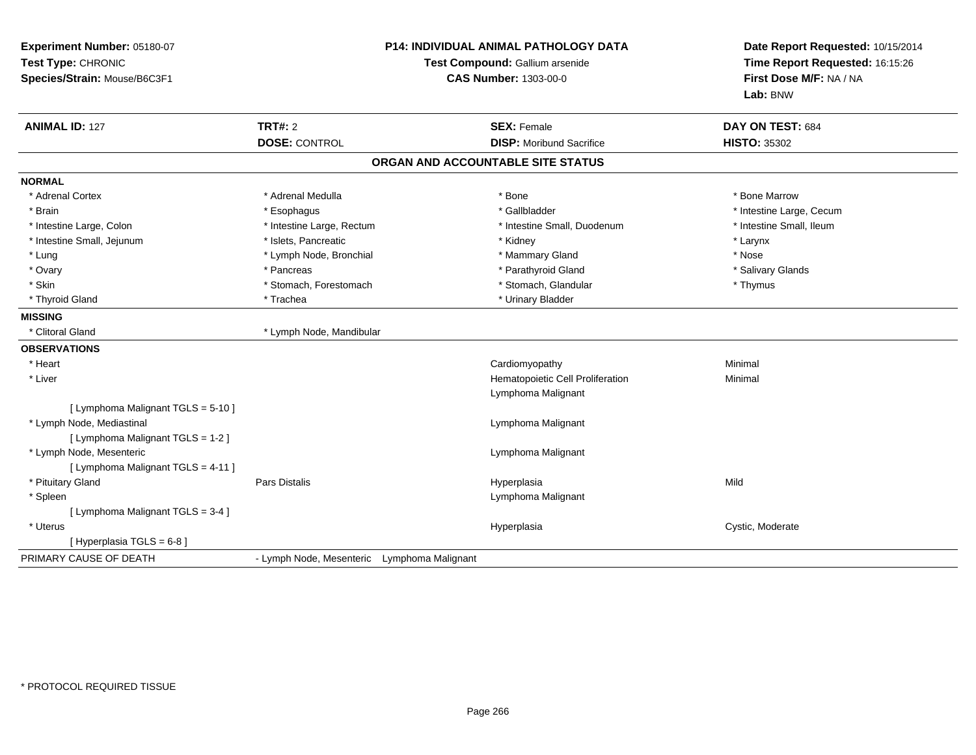| Experiment Number: 05180-07<br>Test Type: CHRONIC<br>Species/Strain: Mouse/B6C3F1 | <b>P14: INDIVIDUAL ANIMAL PATHOLOGY DATA</b><br>Test Compound: Gallium arsenide<br><b>CAS Number: 1303-00-0</b> |                                   | Date Report Requested: 10/15/2014<br>Time Report Requested: 16:15:26<br>First Dose M/F: NA / NA<br>Lab: BNW |
|-----------------------------------------------------------------------------------|-----------------------------------------------------------------------------------------------------------------|-----------------------------------|-------------------------------------------------------------------------------------------------------------|
| <b>ANIMAL ID: 127</b>                                                             | <b>TRT#: 2</b>                                                                                                  | <b>SEX: Female</b>                | DAY ON TEST: 684                                                                                            |
|                                                                                   | <b>DOSE: CONTROL</b>                                                                                            | <b>DISP:</b> Moribund Sacrifice   | <b>HISTO: 35302</b>                                                                                         |
|                                                                                   |                                                                                                                 | ORGAN AND ACCOUNTABLE SITE STATUS |                                                                                                             |
| <b>NORMAL</b>                                                                     |                                                                                                                 |                                   |                                                                                                             |
| * Adrenal Cortex                                                                  | * Adrenal Medulla                                                                                               | * Bone                            | * Bone Marrow                                                                                               |
| * Brain                                                                           | * Esophagus                                                                                                     | * Gallbladder                     | * Intestine Large, Cecum                                                                                    |
| * Intestine Large, Colon                                                          | * Intestine Large, Rectum                                                                                       | * Intestine Small, Duodenum       | * Intestine Small, Ileum                                                                                    |
| * Intestine Small, Jejunum                                                        | * Islets, Pancreatic                                                                                            | * Kidney                          | * Larynx                                                                                                    |
| * Lung                                                                            | * Lymph Node, Bronchial                                                                                         | * Mammary Gland                   | * Nose                                                                                                      |
| * Ovary                                                                           | * Pancreas                                                                                                      | * Parathyroid Gland               | * Salivary Glands                                                                                           |
| * Skin                                                                            | * Stomach, Forestomach                                                                                          | * Stomach, Glandular              | * Thymus                                                                                                    |
| * Thyroid Gland                                                                   | * Trachea                                                                                                       | * Urinary Bladder                 |                                                                                                             |
| <b>MISSING</b>                                                                    |                                                                                                                 |                                   |                                                                                                             |
| * Clitoral Gland                                                                  | * Lymph Node, Mandibular                                                                                        |                                   |                                                                                                             |
| <b>OBSERVATIONS</b>                                                               |                                                                                                                 |                                   |                                                                                                             |
| * Heart                                                                           |                                                                                                                 | Cardiomyopathy                    | Minimal                                                                                                     |
| * Liver                                                                           |                                                                                                                 | Hematopoietic Cell Proliferation  | Minimal                                                                                                     |
|                                                                                   |                                                                                                                 | Lymphoma Malignant                |                                                                                                             |
| [ Lymphoma Malignant TGLS = 5-10 ]                                                |                                                                                                                 |                                   |                                                                                                             |
| * Lymph Node, Mediastinal                                                         |                                                                                                                 | Lymphoma Malignant                |                                                                                                             |
| [ Lymphoma Malignant TGLS = 1-2 ]                                                 |                                                                                                                 |                                   |                                                                                                             |
| * Lymph Node, Mesenteric                                                          |                                                                                                                 | Lymphoma Malignant                |                                                                                                             |
| [ Lymphoma Malignant TGLS = 4-11 ]                                                |                                                                                                                 |                                   |                                                                                                             |
| * Pituitary Gland                                                                 | Pars Distalis                                                                                                   | Hyperplasia                       | Mild                                                                                                        |
| * Spleen                                                                          |                                                                                                                 | Lymphoma Malignant                |                                                                                                             |
| [ Lymphoma Malignant TGLS = 3-4 ]                                                 |                                                                                                                 |                                   |                                                                                                             |
| * Uterus                                                                          |                                                                                                                 | Hyperplasia                       | Cystic, Moderate                                                                                            |
| [ Hyperplasia TGLS = 6-8 ]                                                        |                                                                                                                 |                                   |                                                                                                             |
| PRIMARY CAUSE OF DEATH                                                            | - Lymph Node, Mesenteric Lymphoma Malignant                                                                     |                                   |                                                                                                             |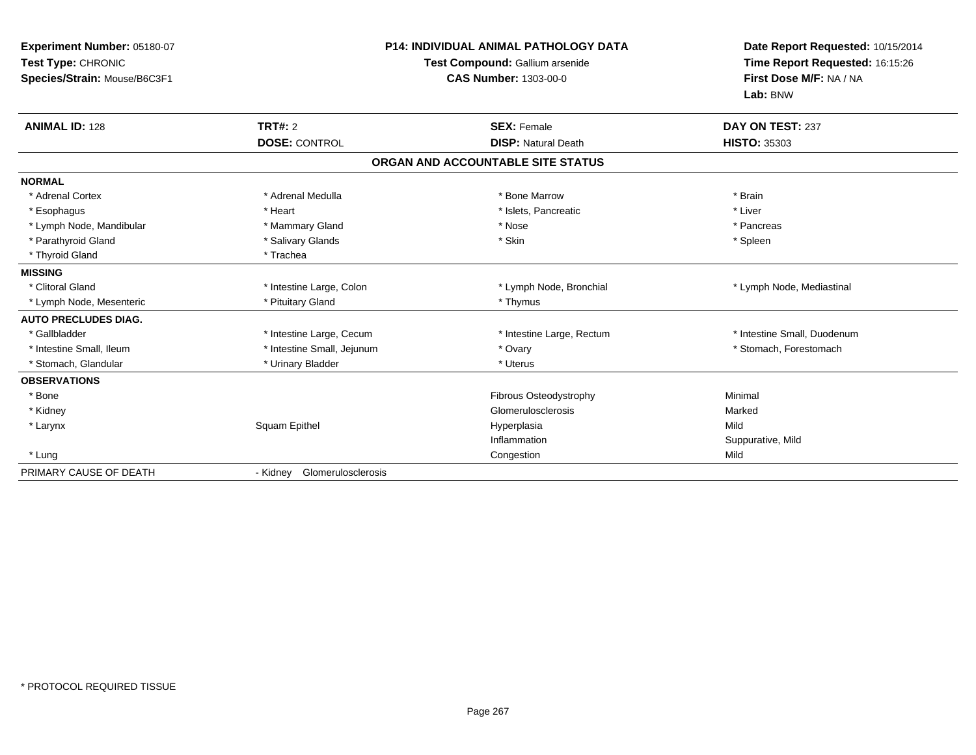| Experiment Number: 05180-07<br>Test Type: CHRONIC<br>Species/Strain: Mouse/B6C3F1 |                                | <b>P14: INDIVIDUAL ANIMAL PATHOLOGY DATA</b><br>Test Compound: Gallium arsenide<br><b>CAS Number: 1303-00-0</b> | Date Report Requested: 10/15/2014<br>Time Report Requested: 16:15:26<br>First Dose M/F: NA / NA<br>Lab: BNW |
|-----------------------------------------------------------------------------------|--------------------------------|-----------------------------------------------------------------------------------------------------------------|-------------------------------------------------------------------------------------------------------------|
| <b>ANIMAL ID: 128</b>                                                             | <b>TRT#: 2</b>                 | <b>SEX: Female</b>                                                                                              | DAY ON TEST: 237                                                                                            |
|                                                                                   | <b>DOSE: CONTROL</b>           | <b>DISP: Natural Death</b>                                                                                      | <b>HISTO: 35303</b>                                                                                         |
|                                                                                   |                                | ORGAN AND ACCOUNTABLE SITE STATUS                                                                               |                                                                                                             |
| <b>NORMAL</b>                                                                     |                                |                                                                                                                 |                                                                                                             |
| * Adrenal Cortex                                                                  | * Adrenal Medulla              | * Bone Marrow                                                                                                   | * Brain                                                                                                     |
| * Esophagus                                                                       | * Heart                        | * Islets, Pancreatic                                                                                            | * Liver                                                                                                     |
| * Lymph Node, Mandibular                                                          | * Mammary Gland                | * Nose                                                                                                          | * Pancreas                                                                                                  |
| * Parathyroid Gland                                                               | * Salivary Glands              | * Skin                                                                                                          | * Spleen                                                                                                    |
| * Thyroid Gland                                                                   | * Trachea                      |                                                                                                                 |                                                                                                             |
| <b>MISSING</b>                                                                    |                                |                                                                                                                 |                                                                                                             |
| * Clitoral Gland                                                                  | * Intestine Large, Colon       | * Lymph Node, Bronchial                                                                                         | * Lymph Node, Mediastinal                                                                                   |
| * Lymph Node, Mesenteric                                                          | * Pituitary Gland              | * Thymus                                                                                                        |                                                                                                             |
| <b>AUTO PRECLUDES DIAG.</b>                                                       |                                |                                                                                                                 |                                                                                                             |
| * Gallbladder                                                                     | * Intestine Large, Cecum       | * Intestine Large, Rectum                                                                                       | * Intestine Small, Duodenum                                                                                 |
| * Intestine Small, Ileum                                                          | * Intestine Small, Jejunum     | * Ovary                                                                                                         | * Stomach, Forestomach                                                                                      |
| * Stomach, Glandular                                                              | * Urinary Bladder              | * Uterus                                                                                                        |                                                                                                             |
| <b>OBSERVATIONS</b>                                                               |                                |                                                                                                                 |                                                                                                             |
| * Bone                                                                            |                                | Fibrous Osteodystrophy                                                                                          | Minimal                                                                                                     |
| * Kidney                                                                          |                                | Glomerulosclerosis                                                                                              | Marked                                                                                                      |
| * Larynx                                                                          | Squam Epithel                  | Hyperplasia                                                                                                     | Mild                                                                                                        |
|                                                                                   |                                | Inflammation                                                                                                    | Suppurative, Mild                                                                                           |
| * Lung                                                                            |                                | Congestion                                                                                                      | Mild                                                                                                        |
| PRIMARY CAUSE OF DEATH                                                            | Glomerulosclerosis<br>- Kidney |                                                                                                                 |                                                                                                             |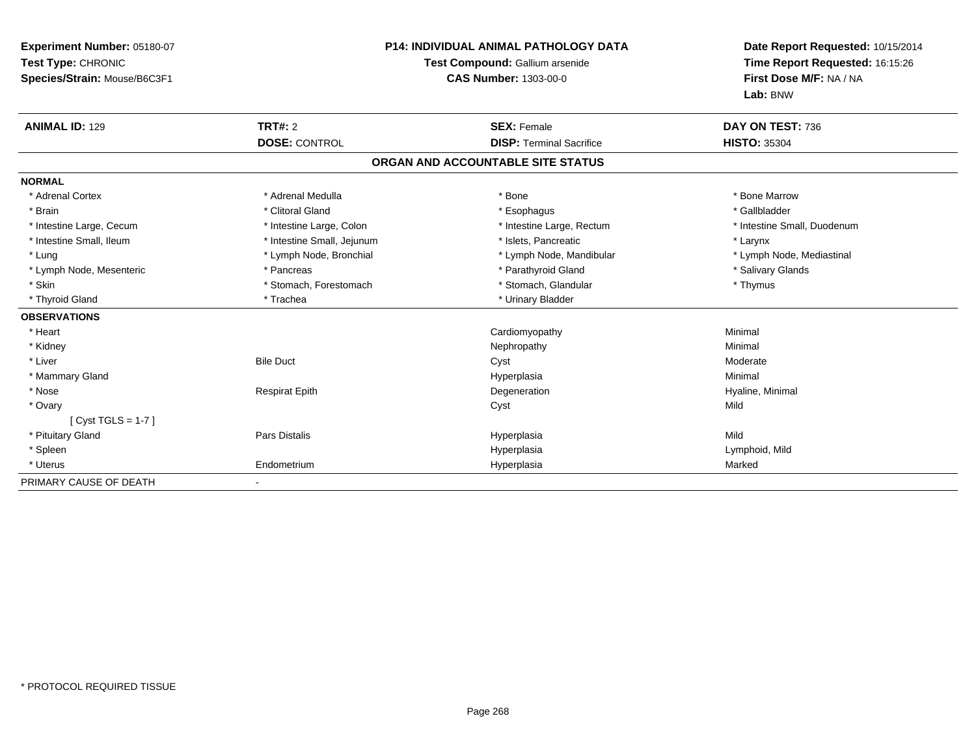| <b>Experiment Number: 05180-07</b><br>Test Type: CHRONIC<br>Species/Strain: Mouse/B6C3F1 |                            | <b>P14: INDIVIDUAL ANIMAL PATHOLOGY DATA</b><br>Test Compound: Gallium arsenide<br><b>CAS Number: 1303-00-0</b> | Date Report Requested: 10/15/2014<br>Time Report Requested: 16:15:26<br>First Dose M/F: NA / NA<br>Lab: BNW |
|------------------------------------------------------------------------------------------|----------------------------|-----------------------------------------------------------------------------------------------------------------|-------------------------------------------------------------------------------------------------------------|
| <b>ANIMAL ID: 129</b>                                                                    | <b>TRT#: 2</b>             | <b>SEX: Female</b>                                                                                              | DAY ON TEST: 736                                                                                            |
|                                                                                          | <b>DOSE: CONTROL</b>       | <b>DISP: Terminal Sacrifice</b>                                                                                 | <b>HISTO: 35304</b>                                                                                         |
|                                                                                          |                            | ORGAN AND ACCOUNTABLE SITE STATUS                                                                               |                                                                                                             |
| <b>NORMAL</b>                                                                            |                            |                                                                                                                 |                                                                                                             |
| * Adrenal Cortex                                                                         | * Adrenal Medulla          | * Bone                                                                                                          | * Bone Marrow                                                                                               |
| * Brain                                                                                  | * Clitoral Gland           | * Esophagus                                                                                                     | * Gallbladder                                                                                               |
| * Intestine Large, Cecum                                                                 | * Intestine Large, Colon   | * Intestine Large, Rectum                                                                                       | * Intestine Small, Duodenum                                                                                 |
| * Intestine Small, Ileum                                                                 | * Intestine Small, Jejunum | * Islets. Pancreatic                                                                                            | * Larynx                                                                                                    |
| * Lung                                                                                   | * Lymph Node, Bronchial    | * Lymph Node, Mandibular                                                                                        | * Lymph Node, Mediastinal                                                                                   |
| * Lymph Node, Mesenteric                                                                 | * Pancreas                 | * Parathyroid Gland                                                                                             | * Salivary Glands                                                                                           |
| * Skin                                                                                   | * Stomach, Forestomach     | * Stomach, Glandular                                                                                            | * Thymus                                                                                                    |
| * Thyroid Gland                                                                          | * Trachea                  | * Urinary Bladder                                                                                               |                                                                                                             |
| <b>OBSERVATIONS</b>                                                                      |                            |                                                                                                                 |                                                                                                             |
| * Heart                                                                                  |                            | Cardiomyopathy                                                                                                  | Minimal                                                                                                     |
| * Kidney                                                                                 |                            | Nephropathy                                                                                                     | Minimal                                                                                                     |
| * Liver                                                                                  | <b>Bile Duct</b>           | Cyst                                                                                                            | Moderate                                                                                                    |
| * Mammary Gland                                                                          |                            | Hyperplasia                                                                                                     | Minimal                                                                                                     |
| * Nose                                                                                   | <b>Respirat Epith</b>      | Degeneration                                                                                                    | Hyaline, Minimal                                                                                            |
| * Ovary                                                                                  |                            | Cyst                                                                                                            | Mild                                                                                                        |
| [ $Cyst TGLS = 1-7$ ]                                                                    |                            |                                                                                                                 |                                                                                                             |
| * Pituitary Gland                                                                        | <b>Pars Distalis</b>       | Hyperplasia                                                                                                     | Mild                                                                                                        |
| * Spleen                                                                                 |                            | Hyperplasia                                                                                                     | Lymphoid, Mild                                                                                              |
| * Uterus                                                                                 | Endometrium                | Hyperplasia                                                                                                     | Marked                                                                                                      |
| PRIMARY CAUSE OF DEATH                                                                   |                            |                                                                                                                 |                                                                                                             |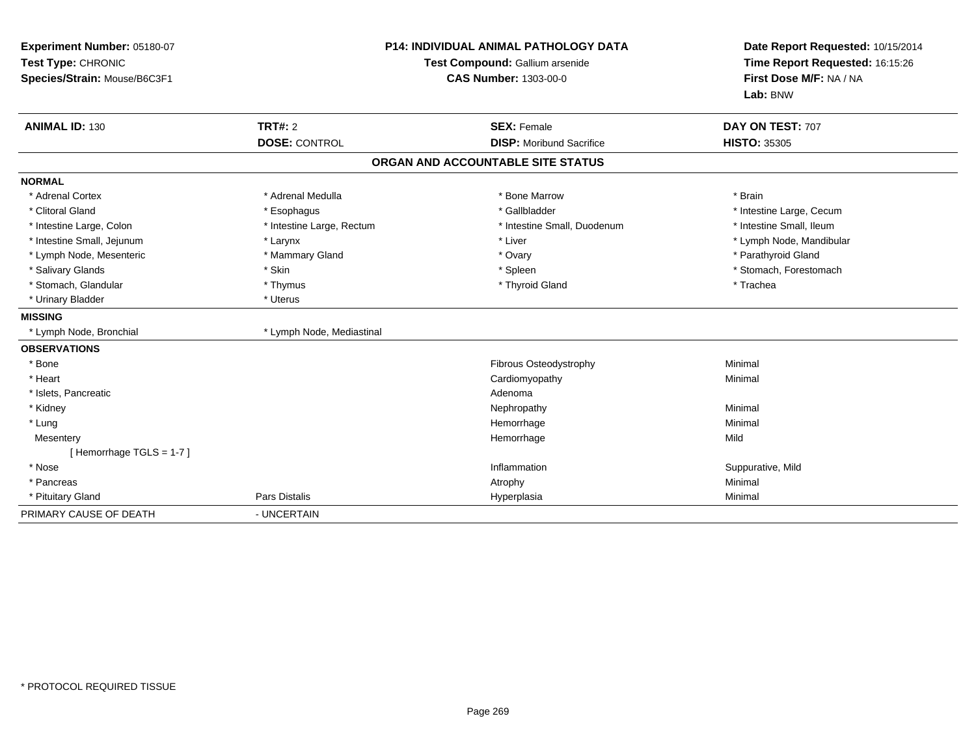| Experiment Number: 05180-07<br>Test Type: CHRONIC<br>Species/Strain: Mouse/B6C3F1 | <b>P14: INDIVIDUAL ANIMAL PATHOLOGY DATA</b><br>Test Compound: Gallium arsenide<br><b>CAS Number: 1303-00-0</b> |                                   | Date Report Requested: 10/15/2014<br>Time Report Requested: 16:15:26<br>First Dose M/F: NA / NA<br>Lab: BNW |
|-----------------------------------------------------------------------------------|-----------------------------------------------------------------------------------------------------------------|-----------------------------------|-------------------------------------------------------------------------------------------------------------|
| <b>ANIMAL ID: 130</b>                                                             | TRT#: 2                                                                                                         | <b>SEX: Female</b>                | DAY ON TEST: 707                                                                                            |
|                                                                                   | <b>DOSE: CONTROL</b>                                                                                            | <b>DISP:</b> Moribund Sacrifice   | <b>HISTO: 35305</b>                                                                                         |
|                                                                                   |                                                                                                                 | ORGAN AND ACCOUNTABLE SITE STATUS |                                                                                                             |
| <b>NORMAL</b>                                                                     |                                                                                                                 |                                   |                                                                                                             |
| * Adrenal Cortex                                                                  | * Adrenal Medulla                                                                                               | * Bone Marrow                     | * Brain                                                                                                     |
| * Clitoral Gland                                                                  | * Esophagus                                                                                                     | * Gallbladder                     | * Intestine Large, Cecum                                                                                    |
| * Intestine Large, Colon                                                          | * Intestine Large, Rectum                                                                                       | * Intestine Small, Duodenum       | * Intestine Small, Ileum                                                                                    |
| * Intestine Small, Jejunum                                                        | * Larynx                                                                                                        | * Liver                           | * Lymph Node, Mandibular                                                                                    |
| * Lymph Node, Mesenteric                                                          | * Mammary Gland                                                                                                 | * Ovary                           | * Parathyroid Gland                                                                                         |
| * Salivary Glands                                                                 | * Skin                                                                                                          | * Spleen                          | * Stomach, Forestomach                                                                                      |
| * Stomach, Glandular                                                              | * Thymus                                                                                                        | * Thyroid Gland                   | * Trachea                                                                                                   |
| * Urinary Bladder                                                                 | * Uterus                                                                                                        |                                   |                                                                                                             |
| <b>MISSING</b>                                                                    |                                                                                                                 |                                   |                                                                                                             |
| * Lymph Node, Bronchial                                                           | * Lymph Node, Mediastinal                                                                                       |                                   |                                                                                                             |
| <b>OBSERVATIONS</b>                                                               |                                                                                                                 |                                   |                                                                                                             |
| * Bone                                                                            |                                                                                                                 | Fibrous Osteodystrophy            | Minimal                                                                                                     |
| * Heart                                                                           |                                                                                                                 | Cardiomyopathy                    | Minimal                                                                                                     |
| * Islets, Pancreatic                                                              |                                                                                                                 | Adenoma                           |                                                                                                             |
| * Kidney                                                                          |                                                                                                                 | Nephropathy                       | Minimal                                                                                                     |
| * Lung                                                                            |                                                                                                                 | Hemorrhage                        | Minimal                                                                                                     |
| Mesentery                                                                         |                                                                                                                 | Hemorrhage                        | Mild                                                                                                        |
| [Hemorrhage TGLS = $1-7$ ]                                                        |                                                                                                                 |                                   |                                                                                                             |
| * Nose                                                                            |                                                                                                                 | Inflammation                      | Suppurative, Mild                                                                                           |
| * Pancreas                                                                        |                                                                                                                 | Atrophy                           | Minimal                                                                                                     |
| * Pituitary Gland                                                                 | <b>Pars Distalis</b>                                                                                            | Hyperplasia                       | Minimal                                                                                                     |
| PRIMARY CAUSE OF DEATH                                                            | - UNCERTAIN                                                                                                     |                                   |                                                                                                             |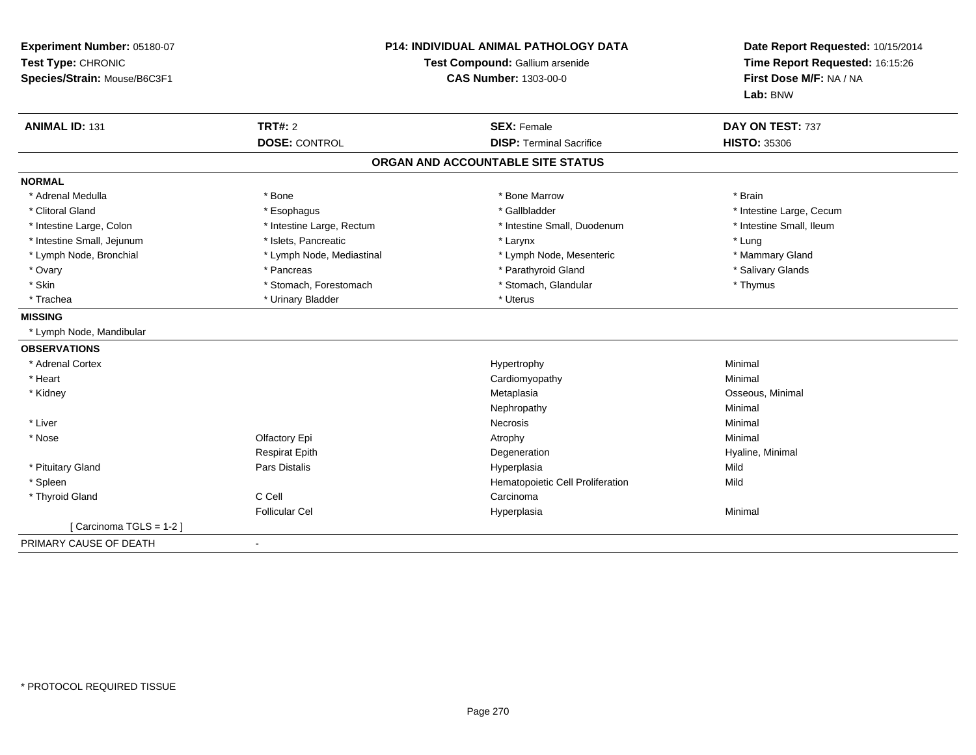| Experiment Number: 05180-07<br>Test Type: CHRONIC<br>Species/Strain: Mouse/B6C3F1 | <b>P14: INDIVIDUAL ANIMAL PATHOLOGY DATA</b><br>Test Compound: Gallium arsenide<br><b>CAS Number: 1303-00-0</b> |                                                       | Date Report Requested: 10/15/2014<br>Time Report Requested: 16:15:26<br>First Dose M/F: NA / NA<br>Lab: BNW |
|-----------------------------------------------------------------------------------|-----------------------------------------------------------------------------------------------------------------|-------------------------------------------------------|-------------------------------------------------------------------------------------------------------------|
| <b>ANIMAL ID: 131</b>                                                             | <b>TRT#: 2</b><br><b>DOSE: CONTROL</b>                                                                          | <b>SEX: Female</b><br><b>DISP: Terminal Sacrifice</b> | DAY ON TEST: 737<br><b>HISTO: 35306</b>                                                                     |
|                                                                                   |                                                                                                                 | ORGAN AND ACCOUNTABLE SITE STATUS                     |                                                                                                             |
| <b>NORMAL</b>                                                                     |                                                                                                                 |                                                       |                                                                                                             |
| * Adrenal Medulla                                                                 | * Bone                                                                                                          | * Bone Marrow                                         | * Brain                                                                                                     |
| * Clitoral Gland                                                                  | * Esophagus                                                                                                     | * Gallbladder                                         | * Intestine Large, Cecum                                                                                    |
| * Intestine Large, Colon                                                          | * Intestine Large, Rectum                                                                                       | * Intestine Small, Duodenum                           | * Intestine Small, Ileum                                                                                    |
| * Intestine Small, Jejunum                                                        | * Islets, Pancreatic                                                                                            | * Larynx                                              | * Lung                                                                                                      |
| * Lymph Node, Bronchial                                                           | * Lymph Node, Mediastinal                                                                                       | * Lymph Node, Mesenteric                              | * Mammary Gland                                                                                             |
| * Ovary                                                                           | * Pancreas                                                                                                      | * Parathyroid Gland                                   | * Salivary Glands                                                                                           |
| * Skin                                                                            | * Stomach, Forestomach                                                                                          | * Stomach, Glandular                                  | * Thymus                                                                                                    |
| * Trachea                                                                         | * Urinary Bladder                                                                                               | * Uterus                                              |                                                                                                             |
| <b>MISSING</b>                                                                    |                                                                                                                 |                                                       |                                                                                                             |
| * Lymph Node, Mandibular                                                          |                                                                                                                 |                                                       |                                                                                                             |
| <b>OBSERVATIONS</b>                                                               |                                                                                                                 |                                                       |                                                                                                             |
| * Adrenal Cortex                                                                  |                                                                                                                 | Hypertrophy                                           | Minimal                                                                                                     |
| * Heart                                                                           |                                                                                                                 | Cardiomyopathy                                        | Minimal                                                                                                     |
| * Kidney                                                                          |                                                                                                                 | Metaplasia                                            | Osseous, Minimal                                                                                            |
|                                                                                   |                                                                                                                 | Nephropathy                                           | Minimal                                                                                                     |
| * Liver                                                                           |                                                                                                                 | <b>Necrosis</b>                                       | Minimal                                                                                                     |
| * Nose                                                                            | Olfactory Epi                                                                                                   | Atrophy                                               | Minimal                                                                                                     |
|                                                                                   | <b>Respirat Epith</b>                                                                                           | Degeneration                                          | Hyaline, Minimal                                                                                            |
| * Pituitary Gland                                                                 | Pars Distalis                                                                                                   | Hyperplasia                                           | Mild                                                                                                        |
| * Spleen                                                                          |                                                                                                                 | Hematopoietic Cell Proliferation                      | Mild                                                                                                        |
| * Thyroid Gland                                                                   | C Cell                                                                                                          | Carcinoma                                             |                                                                                                             |
|                                                                                   | <b>Follicular Cel</b>                                                                                           | Hyperplasia                                           | Minimal                                                                                                     |
| [Carcinoma TGLS = 1-2]                                                            |                                                                                                                 |                                                       |                                                                                                             |
| PRIMARY CAUSE OF DEATH                                                            | $\blacksquare$                                                                                                  |                                                       |                                                                                                             |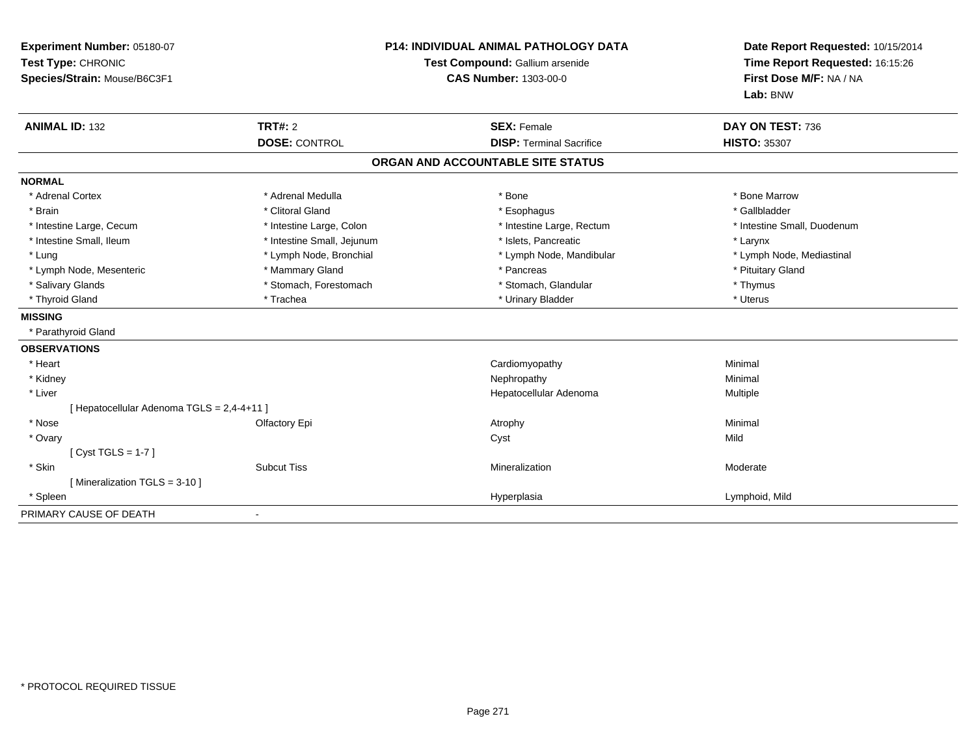| Experiment Number: 05180-07<br>Test Type: CHRONIC<br>Species/Strain: Mouse/B6C3F1 | <b>P14: INDIVIDUAL ANIMAL PATHOLOGY DATA</b><br>Test Compound: Gallium arsenide<br><b>CAS Number: 1303-00-0</b> |                                   | Date Report Requested: 10/15/2014<br>Time Report Requested: 16:15:26<br>First Dose M/F: NA / NA |
|-----------------------------------------------------------------------------------|-----------------------------------------------------------------------------------------------------------------|-----------------------------------|-------------------------------------------------------------------------------------------------|
|                                                                                   |                                                                                                                 |                                   | Lab: BNW                                                                                        |
| <b>ANIMAL ID: 132</b>                                                             | <b>TRT#: 2</b>                                                                                                  | <b>SEX: Female</b>                | DAY ON TEST: 736                                                                                |
|                                                                                   | <b>DOSE: CONTROL</b>                                                                                            | <b>DISP: Terminal Sacrifice</b>   | <b>HISTO: 35307</b>                                                                             |
|                                                                                   |                                                                                                                 | ORGAN AND ACCOUNTABLE SITE STATUS |                                                                                                 |
| <b>NORMAL</b>                                                                     |                                                                                                                 |                                   |                                                                                                 |
| * Adrenal Cortex                                                                  | * Adrenal Medulla                                                                                               | * Bone                            | * Bone Marrow                                                                                   |
| * Brain                                                                           | * Clitoral Gland                                                                                                | * Esophagus                       | * Gallbladder                                                                                   |
| * Intestine Large, Cecum                                                          | * Intestine Large, Colon                                                                                        | * Intestine Large, Rectum         | * Intestine Small, Duodenum                                                                     |
| * Intestine Small, Ileum                                                          | * Intestine Small, Jejunum                                                                                      | * Islets, Pancreatic              | * Larynx                                                                                        |
| * Lung                                                                            | * Lymph Node, Bronchial                                                                                         | * Lymph Node, Mandibular          | * Lymph Node, Mediastinal                                                                       |
| * Lymph Node, Mesenteric                                                          | * Mammary Gland                                                                                                 | * Pancreas                        | * Pituitary Gland                                                                               |
| * Salivary Glands                                                                 | * Stomach, Forestomach                                                                                          | * Stomach, Glandular              | * Thymus                                                                                        |
| * Thyroid Gland                                                                   | * Trachea                                                                                                       | * Urinary Bladder                 | * Uterus                                                                                        |
| <b>MISSING</b>                                                                    |                                                                                                                 |                                   |                                                                                                 |
| * Parathyroid Gland                                                               |                                                                                                                 |                                   |                                                                                                 |
| <b>OBSERVATIONS</b>                                                               |                                                                                                                 |                                   |                                                                                                 |
| * Heart                                                                           |                                                                                                                 | Cardiomyopathy                    | Minimal                                                                                         |
| * Kidney                                                                          |                                                                                                                 | Nephropathy                       | Minimal                                                                                         |
| * Liver                                                                           |                                                                                                                 | Hepatocellular Adenoma            | Multiple                                                                                        |
| [ Hepatocellular Adenoma TGLS = 2,4-4+11 ]                                        |                                                                                                                 |                                   |                                                                                                 |
| * Nose                                                                            | Olfactory Epi                                                                                                   | Atrophy                           | Minimal                                                                                         |
| * Ovary                                                                           |                                                                                                                 | Cyst                              | Mild                                                                                            |
| [Cyst TGLS = $1-7$ ]                                                              |                                                                                                                 |                                   |                                                                                                 |
| * Skin                                                                            | <b>Subcut Tiss</b>                                                                                              | Mineralization                    | Moderate                                                                                        |
| [Mineralization TGLS = 3-10]                                                      |                                                                                                                 |                                   |                                                                                                 |
| * Spleen                                                                          |                                                                                                                 | Hyperplasia                       | Lymphoid, Mild                                                                                  |
| PRIMARY CAUSE OF DEATH                                                            |                                                                                                                 |                                   |                                                                                                 |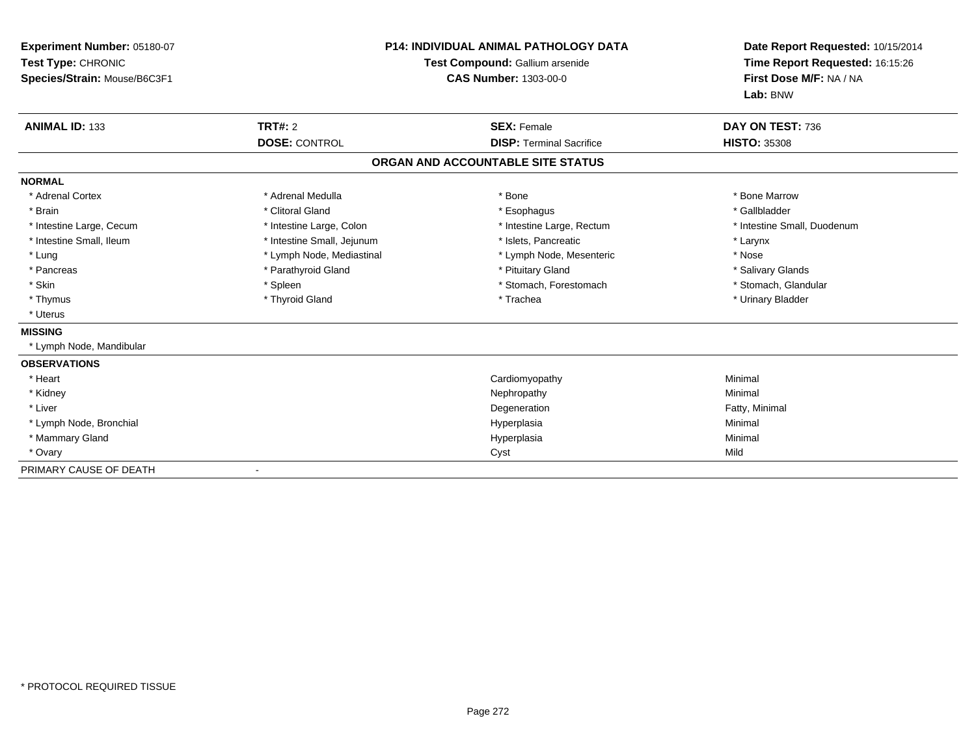| Experiment Number: 05180-07<br>Test Type: CHRONIC<br>Species/Strain: Mouse/B6C3F1 | <b>P14: INDIVIDUAL ANIMAL PATHOLOGY DATA</b><br>Test Compound: Gallium arsenide<br><b>CAS Number: 1303-00-0</b> |                                   | Date Report Requested: 10/15/2014<br>Time Report Requested: 16:15:26<br>First Dose M/F: NA / NA<br>Lab: BNW |
|-----------------------------------------------------------------------------------|-----------------------------------------------------------------------------------------------------------------|-----------------------------------|-------------------------------------------------------------------------------------------------------------|
| <b>ANIMAL ID: 133</b>                                                             | <b>TRT#: 2</b>                                                                                                  | <b>SEX: Female</b>                | DAY ON TEST: 736                                                                                            |
|                                                                                   | <b>DOSE: CONTROL</b>                                                                                            | <b>DISP:</b> Terminal Sacrifice   | <b>HISTO: 35308</b>                                                                                         |
|                                                                                   |                                                                                                                 | ORGAN AND ACCOUNTABLE SITE STATUS |                                                                                                             |
| <b>NORMAL</b>                                                                     |                                                                                                                 |                                   |                                                                                                             |
| * Adrenal Cortex                                                                  | * Adrenal Medulla                                                                                               | * Bone                            | * Bone Marrow                                                                                               |
| * Brain                                                                           | * Clitoral Gland                                                                                                | * Esophagus                       | * Gallbladder                                                                                               |
| * Intestine Large, Cecum                                                          | * Intestine Large, Colon                                                                                        | * Intestine Large, Rectum         | * Intestine Small, Duodenum                                                                                 |
| * Intestine Small, Ileum                                                          | * Intestine Small, Jejunum                                                                                      | * Islets, Pancreatic              | * Larynx                                                                                                    |
| * Lung                                                                            | * Lymph Node, Mediastinal                                                                                       | * Lymph Node, Mesenteric          | * Nose                                                                                                      |
| * Pancreas                                                                        | * Parathyroid Gland                                                                                             | * Pituitary Gland                 | * Salivary Glands                                                                                           |
| * Skin                                                                            | * Spleen                                                                                                        | * Stomach, Forestomach            | * Stomach, Glandular                                                                                        |
| * Thymus                                                                          | * Thyroid Gland                                                                                                 | * Trachea                         | * Urinary Bladder                                                                                           |
| * Uterus                                                                          |                                                                                                                 |                                   |                                                                                                             |
| <b>MISSING</b>                                                                    |                                                                                                                 |                                   |                                                                                                             |
| * Lymph Node, Mandibular                                                          |                                                                                                                 |                                   |                                                                                                             |
| <b>OBSERVATIONS</b>                                                               |                                                                                                                 |                                   |                                                                                                             |
| * Heart                                                                           |                                                                                                                 | Cardiomyopathy                    | Minimal                                                                                                     |
| * Kidney                                                                          |                                                                                                                 | Nephropathy                       | Minimal                                                                                                     |
| * Liver                                                                           |                                                                                                                 | Degeneration                      | Fatty, Minimal                                                                                              |
| * Lymph Node, Bronchial                                                           |                                                                                                                 | Hyperplasia                       | Minimal                                                                                                     |
| * Mammary Gland                                                                   |                                                                                                                 | Hyperplasia                       | Minimal                                                                                                     |
| * Ovary                                                                           |                                                                                                                 | Cyst                              | Mild                                                                                                        |
| PRIMARY CAUSE OF DEATH                                                            |                                                                                                                 |                                   |                                                                                                             |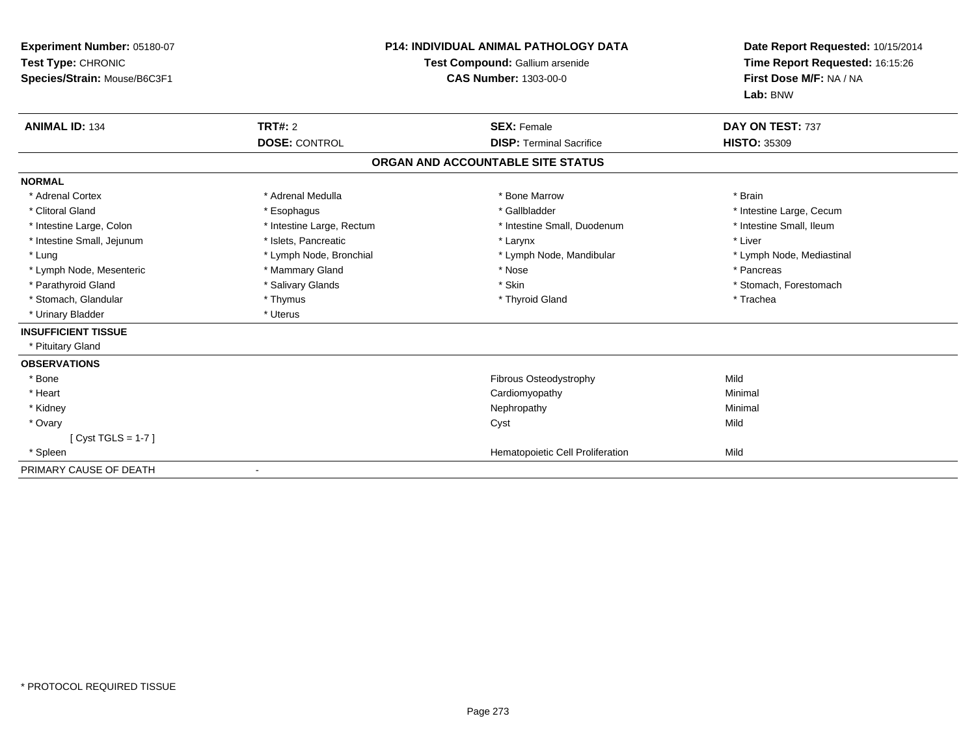| Experiment Number: 05180-07<br>Test Type: CHRONIC<br>Species/Strain: Mouse/B6C3F1 | <b>P14: INDIVIDUAL ANIMAL PATHOLOGY DATA</b><br>Test Compound: Gallium arsenide<br><b>CAS Number: 1303-00-0</b> |                                   | Date Report Requested: 10/15/2014<br>Time Report Requested: 16:15:26<br>First Dose M/F: NA / NA<br>Lab: BNW |
|-----------------------------------------------------------------------------------|-----------------------------------------------------------------------------------------------------------------|-----------------------------------|-------------------------------------------------------------------------------------------------------------|
| <b>ANIMAL ID: 134</b>                                                             | <b>TRT#: 2</b>                                                                                                  | <b>SEX: Female</b>                | DAY ON TEST: 737                                                                                            |
|                                                                                   | <b>DOSE: CONTROL</b>                                                                                            | <b>DISP: Terminal Sacrifice</b>   | <b>HISTO: 35309</b>                                                                                         |
|                                                                                   |                                                                                                                 | ORGAN AND ACCOUNTABLE SITE STATUS |                                                                                                             |
| <b>NORMAL</b>                                                                     |                                                                                                                 |                                   |                                                                                                             |
| * Adrenal Cortex                                                                  | * Adrenal Medulla                                                                                               | * Bone Marrow                     | * Brain                                                                                                     |
| * Clitoral Gland                                                                  | * Esophagus                                                                                                     | * Gallbladder                     | * Intestine Large, Cecum                                                                                    |
| * Intestine Large, Colon                                                          | * Intestine Large, Rectum                                                                                       | * Intestine Small, Duodenum       | * Intestine Small, Ileum                                                                                    |
| * Intestine Small, Jejunum                                                        | * Islets, Pancreatic                                                                                            | * Larynx                          | * Liver                                                                                                     |
| * Lung                                                                            | * Lymph Node, Bronchial                                                                                         | * Lymph Node, Mandibular          | * Lymph Node, Mediastinal                                                                                   |
| * Lymph Node, Mesenteric                                                          | * Mammary Gland                                                                                                 | * Nose                            | * Pancreas                                                                                                  |
| * Parathyroid Gland                                                               | * Salivary Glands                                                                                               | * Skin                            | * Stomach, Forestomach                                                                                      |
| * Stomach, Glandular                                                              | * Thymus                                                                                                        | * Thyroid Gland                   | * Trachea                                                                                                   |
| * Urinary Bladder                                                                 | * Uterus                                                                                                        |                                   |                                                                                                             |
| <b>INSUFFICIENT TISSUE</b>                                                        |                                                                                                                 |                                   |                                                                                                             |
| * Pituitary Gland                                                                 |                                                                                                                 |                                   |                                                                                                             |
| <b>OBSERVATIONS</b>                                                               |                                                                                                                 |                                   |                                                                                                             |
| * Bone                                                                            |                                                                                                                 | Fibrous Osteodystrophy            | Mild                                                                                                        |
| * Heart                                                                           |                                                                                                                 | Cardiomyopathy                    | Minimal                                                                                                     |
| * Kidney                                                                          |                                                                                                                 | Nephropathy                       | Minimal                                                                                                     |
| * Ovary                                                                           |                                                                                                                 | Cyst                              | Mild                                                                                                        |
| $[Cyst TGLS = 1-7]$                                                               |                                                                                                                 |                                   |                                                                                                             |
| * Spleen                                                                          |                                                                                                                 | Hematopoietic Cell Proliferation  | Mild                                                                                                        |
| PRIMARY CAUSE OF DEATH                                                            |                                                                                                                 |                                   |                                                                                                             |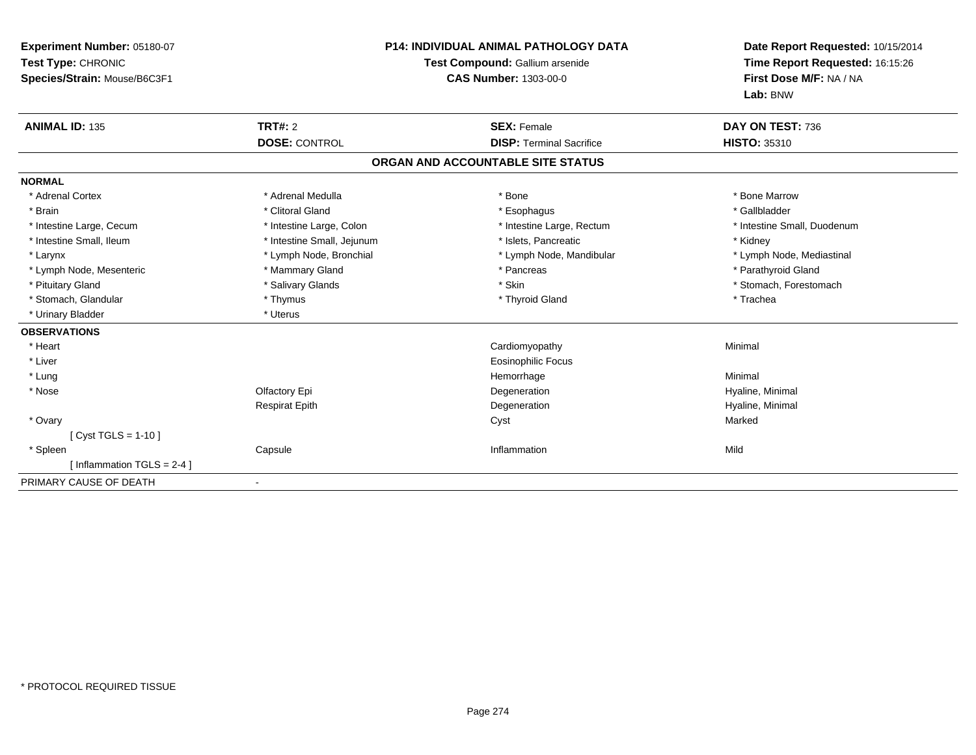| Experiment Number: 05180-07<br>Test Type: CHRONIC<br>Species/Strain: Mouse/B6C3F1<br><b>ANIMAL ID: 135</b> | <b>TRT#: 2</b>             | <b>P14: INDIVIDUAL ANIMAL PATHOLOGY DATA</b><br>Test Compound: Gallium arsenide<br><b>CAS Number: 1303-00-0</b><br><b>SEX: Female</b> | Date Report Requested: 10/15/2014<br>Time Report Requested: 16:15:26<br>First Dose M/F: NA / NA<br>Lab: BNW<br>DAY ON TEST: 736 |
|------------------------------------------------------------------------------------------------------------|----------------------------|---------------------------------------------------------------------------------------------------------------------------------------|---------------------------------------------------------------------------------------------------------------------------------|
|                                                                                                            | <b>DOSE: CONTROL</b>       | <b>DISP: Terminal Sacrifice</b>                                                                                                       | <b>HISTO: 35310</b>                                                                                                             |
|                                                                                                            |                            | ORGAN AND ACCOUNTABLE SITE STATUS                                                                                                     |                                                                                                                                 |
| <b>NORMAL</b>                                                                                              |                            |                                                                                                                                       |                                                                                                                                 |
| * Adrenal Cortex                                                                                           | * Adrenal Medulla          | * Bone                                                                                                                                | * Bone Marrow                                                                                                                   |
| * Brain                                                                                                    | * Clitoral Gland           | * Esophagus                                                                                                                           | * Gallbladder                                                                                                                   |
| * Intestine Large, Cecum                                                                                   | * Intestine Large, Colon   | * Intestine Large, Rectum                                                                                                             | * Intestine Small, Duodenum                                                                                                     |
| * Intestine Small, Ileum                                                                                   | * Intestine Small, Jejunum | * Islets, Pancreatic                                                                                                                  | * Kidney                                                                                                                        |
| * Larynx                                                                                                   | * Lymph Node, Bronchial    | * Lymph Node, Mandibular                                                                                                              | * Lymph Node, Mediastinal                                                                                                       |
| * Lymph Node, Mesenteric                                                                                   | * Mammary Gland            | * Pancreas                                                                                                                            | * Parathyroid Gland                                                                                                             |
| * Pituitary Gland                                                                                          | * Salivary Glands          | * Skin                                                                                                                                | * Stomach, Forestomach                                                                                                          |
| * Stomach, Glandular                                                                                       | * Thymus                   | * Thyroid Gland                                                                                                                       | * Trachea                                                                                                                       |
| * Urinary Bladder                                                                                          | * Uterus                   |                                                                                                                                       |                                                                                                                                 |
| <b>OBSERVATIONS</b>                                                                                        |                            |                                                                                                                                       |                                                                                                                                 |
| * Heart                                                                                                    |                            | Cardiomyopathy                                                                                                                        | Minimal                                                                                                                         |
| * Liver                                                                                                    |                            | <b>Eosinophilic Focus</b>                                                                                                             |                                                                                                                                 |
| * Lung                                                                                                     |                            | Hemorrhage                                                                                                                            | Minimal                                                                                                                         |
| * Nose                                                                                                     | Olfactory Epi              | Degeneration                                                                                                                          | Hyaline, Minimal                                                                                                                |
|                                                                                                            | <b>Respirat Epith</b>      | Degeneration                                                                                                                          | Hyaline, Minimal                                                                                                                |
| * Ovary                                                                                                    |                            | Cyst                                                                                                                                  | Marked                                                                                                                          |
| [ Cyst TGLS = 1-10 ]                                                                                       |                            |                                                                                                                                       |                                                                                                                                 |
| * Spleen                                                                                                   | Capsule                    | Inflammation                                                                                                                          | Mild                                                                                                                            |
| [Inflammation TGLS = $2-4$ ]                                                                               |                            |                                                                                                                                       |                                                                                                                                 |
| PRIMARY CAUSE OF DEATH                                                                                     |                            |                                                                                                                                       |                                                                                                                                 |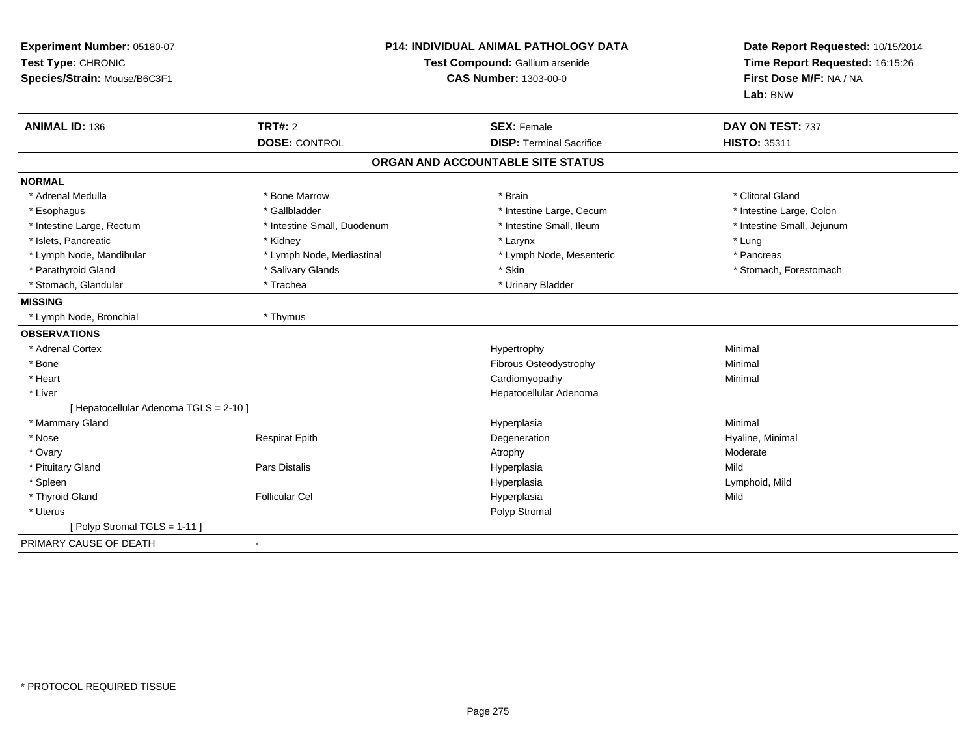| Experiment Number: 05180-07<br>Test Type: CHRONIC<br>Species/Strain: Mouse/B6C3F1 | <b>P14: INDIVIDUAL ANIMAL PATHOLOGY DATA</b><br>Test Compound: Gallium arsenide<br><b>CAS Number: 1303-00-0</b> |                                                       | Date Report Requested: 10/15/2014<br>Time Report Requested: 16:15:26<br>First Dose M/F: NA / NA<br>Lab: BNW |
|-----------------------------------------------------------------------------------|-----------------------------------------------------------------------------------------------------------------|-------------------------------------------------------|-------------------------------------------------------------------------------------------------------------|
| <b>ANIMAL ID: 136</b>                                                             | <b>TRT#: 2</b><br><b>DOSE: CONTROL</b>                                                                          | <b>SEX: Female</b><br><b>DISP: Terminal Sacrifice</b> | DAY ON TEST: 737<br>HISTO: 35311                                                                            |
|                                                                                   |                                                                                                                 | ORGAN AND ACCOUNTABLE SITE STATUS                     |                                                                                                             |
| <b>NORMAL</b>                                                                     |                                                                                                                 |                                                       |                                                                                                             |
| * Adrenal Medulla                                                                 | * Bone Marrow                                                                                                   | * Brain                                               | * Clitoral Gland                                                                                            |
| * Esophagus                                                                       | * Gallbladder                                                                                                   | * Intestine Large, Cecum                              | * Intestine Large, Colon                                                                                    |
| * Intestine Large, Rectum                                                         | * Intestine Small, Duodenum                                                                                     | * Intestine Small, Ileum                              | * Intestine Small, Jejunum                                                                                  |
| * Islets, Pancreatic                                                              | * Kidney                                                                                                        | * Larynx                                              | * Lung                                                                                                      |
| * Lymph Node, Mandibular                                                          | * Lymph Node, Mediastinal                                                                                       | * Lymph Node, Mesenteric                              | * Pancreas                                                                                                  |
| * Parathyroid Gland                                                               | * Salivary Glands                                                                                               | * Skin                                                | * Stomach, Forestomach                                                                                      |
| * Stomach, Glandular                                                              | * Trachea                                                                                                       | * Urinary Bladder                                     |                                                                                                             |
| <b>MISSING</b>                                                                    |                                                                                                                 |                                                       |                                                                                                             |
| * Lymph Node, Bronchial                                                           | * Thymus                                                                                                        |                                                       |                                                                                                             |
| <b>OBSERVATIONS</b>                                                               |                                                                                                                 |                                                       |                                                                                                             |
| * Adrenal Cortex                                                                  |                                                                                                                 | Hypertrophy                                           | Minimal                                                                                                     |
| * Bone                                                                            |                                                                                                                 | Fibrous Osteodystrophy                                | Minimal                                                                                                     |
| * Heart                                                                           |                                                                                                                 | Cardiomyopathy                                        | Minimal                                                                                                     |
| * Liver                                                                           |                                                                                                                 | Hepatocellular Adenoma                                |                                                                                                             |
| [ Hepatocellular Adenoma TGLS = 2-10 ]                                            |                                                                                                                 |                                                       |                                                                                                             |
| * Mammary Gland                                                                   |                                                                                                                 | Hyperplasia                                           | Minimal                                                                                                     |
| * Nose                                                                            | <b>Respirat Epith</b>                                                                                           | Degeneration                                          | Hyaline, Minimal                                                                                            |
| * Ovary                                                                           |                                                                                                                 | Atrophy                                               | Moderate                                                                                                    |
| * Pituitary Gland                                                                 | Pars Distalis                                                                                                   | Hyperplasia                                           | Mild                                                                                                        |
| * Spleen                                                                          |                                                                                                                 | Hyperplasia                                           | Lymphoid, Mild                                                                                              |
| * Thyroid Gland                                                                   | <b>Follicular Cel</b>                                                                                           | Hyperplasia                                           | Mild                                                                                                        |
| * Uterus                                                                          |                                                                                                                 | Polyp Stromal                                         |                                                                                                             |
| [ Polyp Stromal TGLS = 1-11 ]                                                     |                                                                                                                 |                                                       |                                                                                                             |
| PRIMARY CAUSE OF DEATH                                                            |                                                                                                                 |                                                       |                                                                                                             |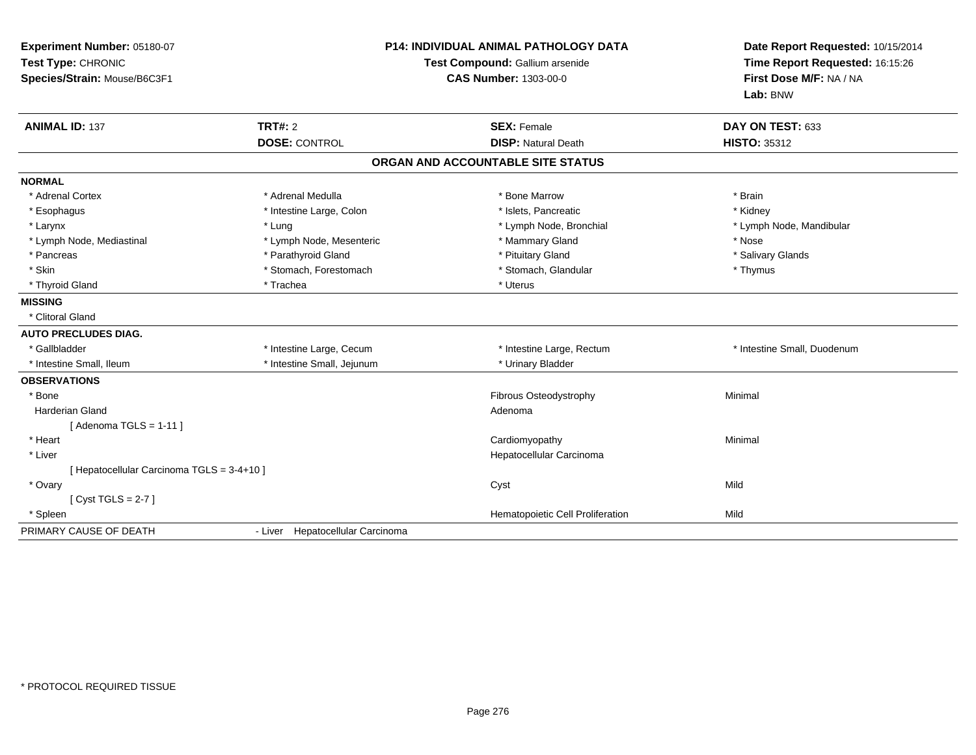| <b>P14: INDIVIDUAL ANIMAL PATHOLOGY DATA</b><br>Experiment Number: 05180-07<br>Test Type: CHRONIC<br>Test Compound: Gallium arsenide<br><b>CAS Number: 1303-00-0</b><br>Species/Strain: Mouse/B6C3F1 |                                  |                                   | Date Report Requested: 10/15/2014<br>Time Report Requested: 16:15:26<br>First Dose M/F: NA / NA<br>Lab: BNW |
|------------------------------------------------------------------------------------------------------------------------------------------------------------------------------------------------------|----------------------------------|-----------------------------------|-------------------------------------------------------------------------------------------------------------|
| <b>ANIMAL ID: 137</b>                                                                                                                                                                                | <b>TRT#: 2</b>                   | <b>SEX: Female</b>                | DAY ON TEST: 633                                                                                            |
|                                                                                                                                                                                                      | <b>DOSE: CONTROL</b>             | <b>DISP: Natural Death</b>        | <b>HISTO: 35312</b>                                                                                         |
|                                                                                                                                                                                                      |                                  | ORGAN AND ACCOUNTABLE SITE STATUS |                                                                                                             |
| <b>NORMAL</b>                                                                                                                                                                                        |                                  |                                   |                                                                                                             |
| * Adrenal Cortex                                                                                                                                                                                     | * Adrenal Medulla                | * Bone Marrow                     | * Brain                                                                                                     |
| * Esophagus                                                                                                                                                                                          | * Intestine Large, Colon         | * Islets, Pancreatic              | * Kidney                                                                                                    |
| * Larynx                                                                                                                                                                                             | * Lung                           | * Lymph Node, Bronchial           | * Lymph Node, Mandibular                                                                                    |
| * Lymph Node, Mediastinal                                                                                                                                                                            | * Lymph Node, Mesenteric         | * Mammary Gland                   | * Nose                                                                                                      |
| * Pancreas                                                                                                                                                                                           | * Parathyroid Gland              | * Pituitary Gland                 | * Salivary Glands                                                                                           |
| * Skin                                                                                                                                                                                               | * Stomach, Forestomach           | * Stomach, Glandular              | * Thymus                                                                                                    |
| * Thyroid Gland                                                                                                                                                                                      | * Trachea                        | * Uterus                          |                                                                                                             |
| <b>MISSING</b>                                                                                                                                                                                       |                                  |                                   |                                                                                                             |
| * Clitoral Gland                                                                                                                                                                                     |                                  |                                   |                                                                                                             |
| <b>AUTO PRECLUDES DIAG.</b>                                                                                                                                                                          |                                  |                                   |                                                                                                             |
| * Gallbladder                                                                                                                                                                                        | * Intestine Large, Cecum         | * Intestine Large, Rectum         | * Intestine Small, Duodenum                                                                                 |
| * Intestine Small. Ileum                                                                                                                                                                             | * Intestine Small, Jejunum       | * Urinary Bladder                 |                                                                                                             |
| <b>OBSERVATIONS</b>                                                                                                                                                                                  |                                  |                                   |                                                                                                             |
| * Bone                                                                                                                                                                                               |                                  | Fibrous Osteodystrophy            | Minimal                                                                                                     |
| <b>Harderian Gland</b>                                                                                                                                                                               |                                  | Adenoma                           |                                                                                                             |
| [Adenoma TGLS = $1-11$ ]                                                                                                                                                                             |                                  |                                   |                                                                                                             |
| * Heart                                                                                                                                                                                              |                                  | Cardiomyopathy                    | Minimal                                                                                                     |
| * Liver                                                                                                                                                                                              |                                  | Hepatocellular Carcinoma          |                                                                                                             |
| [ Hepatocellular Carcinoma TGLS = 3-4+10 ]                                                                                                                                                           |                                  |                                   |                                                                                                             |
| * Ovary                                                                                                                                                                                              |                                  | Cyst                              | Mild                                                                                                        |
| [Cyst TGLS = $2-7$ ]                                                                                                                                                                                 |                                  |                                   |                                                                                                             |
| * Spleen                                                                                                                                                                                             |                                  | Hematopoietic Cell Proliferation  | Mild                                                                                                        |
| PRIMARY CAUSE OF DEATH                                                                                                                                                                               | - Liver Hepatocellular Carcinoma |                                   |                                                                                                             |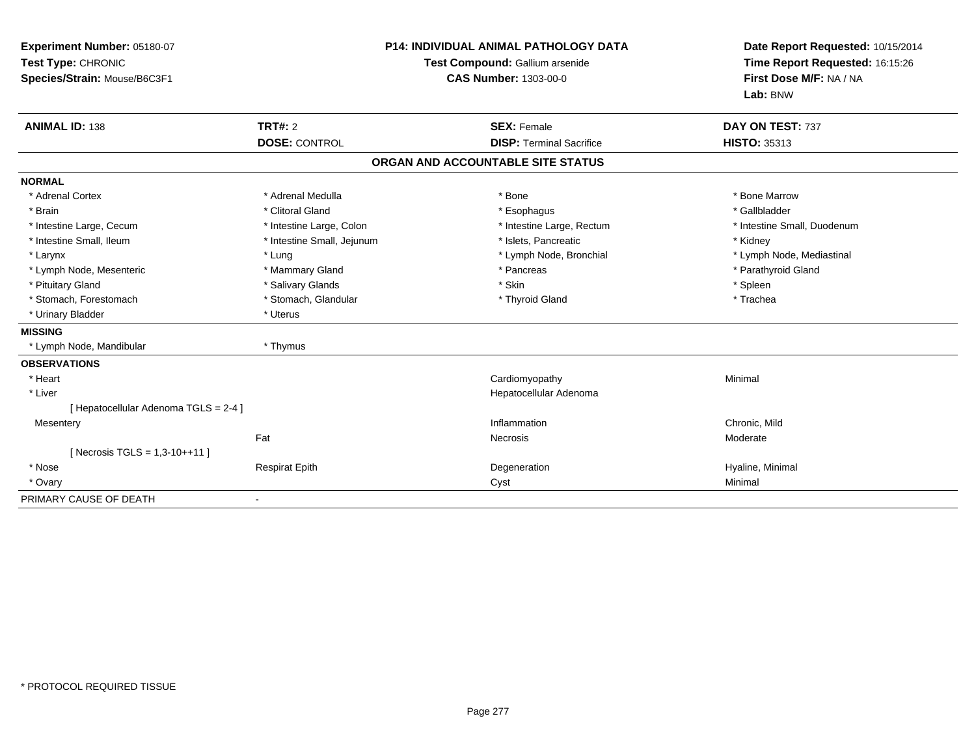| Experiment Number: 05180-07<br>Test Type: CHRONIC<br>Species/Strain: Mouse/B6C3F1<br><b>ANIMAL ID: 138</b> | TRT#: 2                    | <b>P14: INDIVIDUAL ANIMAL PATHOLOGY DATA</b><br>Test Compound: Gallium arsenide<br><b>CAS Number: 1303-00-0</b><br><b>SEX: Female</b> | Date Report Requested: 10/15/2014<br>Time Report Requested: 16:15:26<br>First Dose M/F: NA / NA<br>Lab: BNW<br>DAY ON TEST: 737 |
|------------------------------------------------------------------------------------------------------------|----------------------------|---------------------------------------------------------------------------------------------------------------------------------------|---------------------------------------------------------------------------------------------------------------------------------|
|                                                                                                            | <b>DOSE: CONTROL</b>       | <b>DISP: Terminal Sacrifice</b>                                                                                                       | <b>HISTO: 35313</b>                                                                                                             |
|                                                                                                            |                            | ORGAN AND ACCOUNTABLE SITE STATUS                                                                                                     |                                                                                                                                 |
| <b>NORMAL</b>                                                                                              |                            |                                                                                                                                       |                                                                                                                                 |
| * Adrenal Cortex                                                                                           | * Adrenal Medulla          | * Bone                                                                                                                                | * Bone Marrow                                                                                                                   |
| * Brain                                                                                                    | * Clitoral Gland           | * Esophagus                                                                                                                           | * Gallbladder                                                                                                                   |
| * Intestine Large, Cecum                                                                                   | * Intestine Large, Colon   | * Intestine Large, Rectum                                                                                                             | * Intestine Small, Duodenum                                                                                                     |
| * Intestine Small, Ileum                                                                                   | * Intestine Small, Jejunum | * Islets, Pancreatic                                                                                                                  | * Kidney                                                                                                                        |
| * Larynx                                                                                                   | * Lung                     | * Lymph Node, Bronchial                                                                                                               | * Lymph Node, Mediastinal                                                                                                       |
| * Lymph Node, Mesenteric                                                                                   | * Mammary Gland            | * Pancreas                                                                                                                            | * Parathyroid Gland                                                                                                             |
| * Pituitary Gland                                                                                          | * Salivary Glands          | * Skin                                                                                                                                | * Spleen                                                                                                                        |
| * Stomach, Forestomach                                                                                     | * Stomach, Glandular       | * Thyroid Gland                                                                                                                       | * Trachea                                                                                                                       |
| * Urinary Bladder                                                                                          | * Uterus                   |                                                                                                                                       |                                                                                                                                 |
| <b>MISSING</b>                                                                                             |                            |                                                                                                                                       |                                                                                                                                 |
| * Lymph Node, Mandibular                                                                                   | * Thymus                   |                                                                                                                                       |                                                                                                                                 |
| <b>OBSERVATIONS</b>                                                                                        |                            |                                                                                                                                       |                                                                                                                                 |
| * Heart                                                                                                    |                            | Cardiomyopathy                                                                                                                        | Minimal                                                                                                                         |
| * Liver                                                                                                    |                            | Hepatocellular Adenoma                                                                                                                |                                                                                                                                 |
| [ Hepatocellular Adenoma TGLS = 2-4 ]                                                                      |                            |                                                                                                                                       |                                                                                                                                 |
| Mesentery                                                                                                  |                            | Inflammation                                                                                                                          | Chronic, Mild                                                                                                                   |
|                                                                                                            | Fat                        | Necrosis                                                                                                                              | Moderate                                                                                                                        |
| [ Necrosis TGLS = $1,3-10++11$ ]                                                                           |                            |                                                                                                                                       |                                                                                                                                 |
| * Nose                                                                                                     | <b>Respirat Epith</b>      | Degeneration                                                                                                                          | Hyaline, Minimal                                                                                                                |
| * Ovary                                                                                                    |                            | Cyst                                                                                                                                  | Minimal                                                                                                                         |
| PRIMARY CAUSE OF DEATH                                                                                     |                            |                                                                                                                                       |                                                                                                                                 |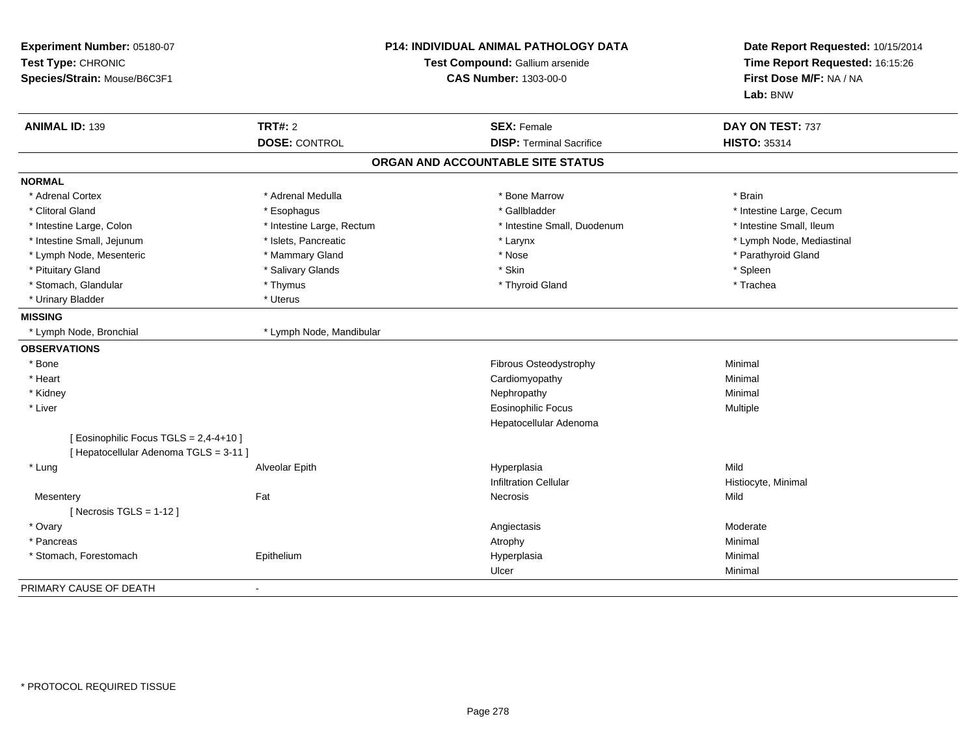| Experiment Number: 05180-07<br>Test Type: CHRONIC<br>Species/Strain: Mouse/B6C3F1 |                           | <b>P14: INDIVIDUAL ANIMAL PATHOLOGY DATA</b><br>Test Compound: Gallium arsenide<br><b>CAS Number: 1303-00-0</b> | Date Report Requested: 10/15/2014<br>Time Report Requested: 16:15:26<br>First Dose M/F: NA / NA<br>Lab: BNW |  |
|-----------------------------------------------------------------------------------|---------------------------|-----------------------------------------------------------------------------------------------------------------|-------------------------------------------------------------------------------------------------------------|--|
| <b>ANIMAL ID: 139</b>                                                             | <b>TRT#: 2</b>            | <b>SEX: Female</b>                                                                                              | DAY ON TEST: 737                                                                                            |  |
|                                                                                   | <b>DOSE: CONTROL</b>      | <b>DISP: Terminal Sacrifice</b>                                                                                 | <b>HISTO: 35314</b>                                                                                         |  |
|                                                                                   |                           | ORGAN AND ACCOUNTABLE SITE STATUS                                                                               |                                                                                                             |  |
| <b>NORMAL</b>                                                                     |                           |                                                                                                                 |                                                                                                             |  |
| * Adrenal Cortex                                                                  | * Adrenal Medulla         | * Bone Marrow                                                                                                   | * Brain                                                                                                     |  |
| * Clitoral Gland                                                                  | * Esophagus               | * Gallbladder                                                                                                   | * Intestine Large, Cecum                                                                                    |  |
| * Intestine Large, Colon                                                          | * Intestine Large, Rectum | * Intestine Small, Duodenum                                                                                     | * Intestine Small, Ileum                                                                                    |  |
| * Intestine Small, Jejunum                                                        | * Islets, Pancreatic      | * Larynx                                                                                                        | * Lymph Node, Mediastinal                                                                                   |  |
| * Lymph Node, Mesenteric                                                          | * Mammary Gland           | * Nose                                                                                                          | * Parathyroid Gland                                                                                         |  |
| * Pituitary Gland                                                                 | * Salivary Glands         | * Skin                                                                                                          | * Spleen                                                                                                    |  |
| * Stomach, Glandular                                                              | * Thymus                  | * Thyroid Gland                                                                                                 | * Trachea                                                                                                   |  |
| * Urinary Bladder                                                                 | * Uterus                  |                                                                                                                 |                                                                                                             |  |
| <b>MISSING</b>                                                                    |                           |                                                                                                                 |                                                                                                             |  |
| * Lymph Node, Bronchial                                                           | * Lymph Node, Mandibular  |                                                                                                                 |                                                                                                             |  |
| <b>OBSERVATIONS</b>                                                               |                           |                                                                                                                 |                                                                                                             |  |
| * Bone                                                                            |                           | Fibrous Osteodystrophy                                                                                          | Minimal                                                                                                     |  |
| * Heart                                                                           |                           | Cardiomyopathy                                                                                                  | Minimal                                                                                                     |  |
| * Kidney                                                                          |                           | Nephropathy                                                                                                     | Minimal                                                                                                     |  |
| * Liver                                                                           |                           | <b>Eosinophilic Focus</b>                                                                                       | Multiple                                                                                                    |  |
|                                                                                   |                           | Hepatocellular Adenoma                                                                                          |                                                                                                             |  |
| [ Eosinophilic Focus TGLS = 2,4-4+10 ]                                            |                           |                                                                                                                 |                                                                                                             |  |
| [ Hepatocellular Adenoma TGLS = 3-11 ]                                            |                           |                                                                                                                 |                                                                                                             |  |
| * Lung                                                                            | Alveolar Epith            | Hyperplasia                                                                                                     | Mild                                                                                                        |  |
|                                                                                   |                           | <b>Infiltration Cellular</b>                                                                                    | Histiocyte, Minimal                                                                                         |  |
| Mesentery                                                                         | Fat                       | Necrosis                                                                                                        | Mild                                                                                                        |  |
| [ Necrosis $TGLS = 1-12$ ]                                                        |                           |                                                                                                                 |                                                                                                             |  |
| * Ovary                                                                           |                           | Angiectasis                                                                                                     | Moderate                                                                                                    |  |
| * Pancreas                                                                        |                           | Atrophy                                                                                                         | Minimal                                                                                                     |  |
| * Stomach, Forestomach                                                            | Epithelium                | Hyperplasia                                                                                                     | Minimal                                                                                                     |  |
|                                                                                   |                           | Ulcer                                                                                                           | Minimal                                                                                                     |  |
| PRIMARY CAUSE OF DEATH                                                            |                           |                                                                                                                 |                                                                                                             |  |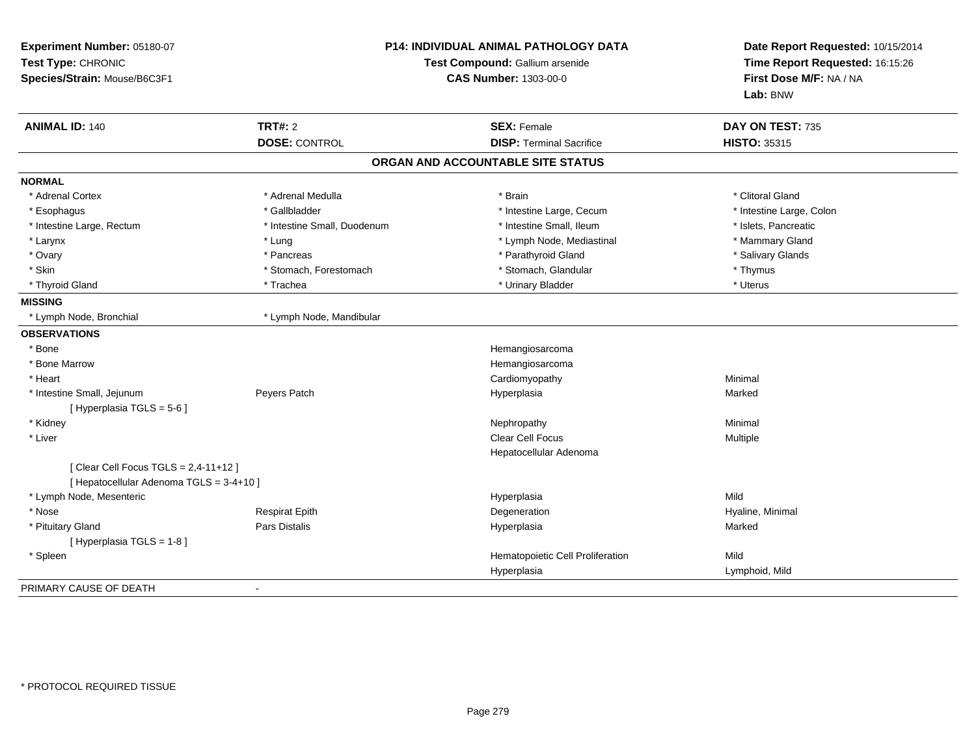| Experiment Number: 05180-07<br>Test Type: CHRONIC<br>Species/Strain: Mouse/B6C3F1 |                             | <b>P14: INDIVIDUAL ANIMAL PATHOLOGY DATA</b><br>Test Compound: Gallium arsenide<br><b>CAS Number: 1303-00-0</b> |                          |
|-----------------------------------------------------------------------------------|-----------------------------|-----------------------------------------------------------------------------------------------------------------|--------------------------|
| <b>ANIMAL ID: 140</b>                                                             | <b>TRT#: 2</b>              | <b>SEX: Female</b>                                                                                              | DAY ON TEST: 735         |
|                                                                                   | <b>DOSE: CONTROL</b>        | <b>DISP: Terminal Sacrifice</b>                                                                                 | <b>HISTO: 35315</b>      |
|                                                                                   |                             | ORGAN AND ACCOUNTABLE SITE STATUS                                                                               |                          |
| <b>NORMAL</b>                                                                     |                             |                                                                                                                 |                          |
| * Adrenal Cortex                                                                  | * Adrenal Medulla           | * Brain                                                                                                         | * Clitoral Gland         |
| * Esophagus                                                                       | * Gallbladder               | * Intestine Large, Cecum                                                                                        | * Intestine Large, Colon |
| * Intestine Large, Rectum                                                         | * Intestine Small, Duodenum | * Intestine Small, Ileum                                                                                        | * Islets, Pancreatic     |
| * Larynx                                                                          | * Lung                      | * Lymph Node, Mediastinal                                                                                       | * Mammary Gland          |
| * Ovary                                                                           | * Pancreas                  | * Parathyroid Gland                                                                                             | * Salivary Glands        |
| * Skin                                                                            | * Stomach, Forestomach      | * Stomach, Glandular                                                                                            | * Thymus                 |
| * Thyroid Gland                                                                   | * Trachea                   | * Urinary Bladder                                                                                               | * Uterus                 |
| <b>MISSING</b>                                                                    |                             |                                                                                                                 |                          |
| * Lymph Node, Bronchial                                                           | * Lymph Node, Mandibular    |                                                                                                                 |                          |
| <b>OBSERVATIONS</b>                                                               |                             |                                                                                                                 |                          |
| * Bone                                                                            |                             | Hemangiosarcoma                                                                                                 |                          |
| * Bone Marrow                                                                     |                             | Hemangiosarcoma                                                                                                 |                          |
| * Heart                                                                           |                             | Cardiomyopathy                                                                                                  | Minimal                  |
| * Intestine Small, Jejunum<br>[ Hyperplasia TGLS = 5-6 ]                          | Peyers Patch                | Hyperplasia                                                                                                     | Marked                   |
| * Kidney                                                                          |                             | Nephropathy                                                                                                     | Minimal                  |
| * Liver                                                                           |                             | <b>Clear Cell Focus</b>                                                                                         | Multiple                 |
|                                                                                   |                             | Hepatocellular Adenoma                                                                                          |                          |
| [ Clear Cell Focus TGLS = 2,4-11+12 ]<br>[ Hepatocellular Adenoma TGLS = 3-4+10 ] |                             |                                                                                                                 |                          |
| * Lymph Node, Mesenteric                                                          |                             | Hyperplasia                                                                                                     | Mild                     |
| * Nose                                                                            | <b>Respirat Epith</b>       | Degeneration                                                                                                    | Hyaline, Minimal         |
| * Pituitary Gland                                                                 | Pars Distalis               | Hyperplasia                                                                                                     | Marked                   |
| [ Hyperplasia TGLS = 1-8 ]                                                        |                             |                                                                                                                 |                          |
| * Spleen                                                                          |                             | Hematopoietic Cell Proliferation                                                                                | Mild                     |
|                                                                                   |                             | Hyperplasia                                                                                                     | Lymphoid, Mild           |
| PRIMARY CAUSE OF DEATH                                                            |                             |                                                                                                                 |                          |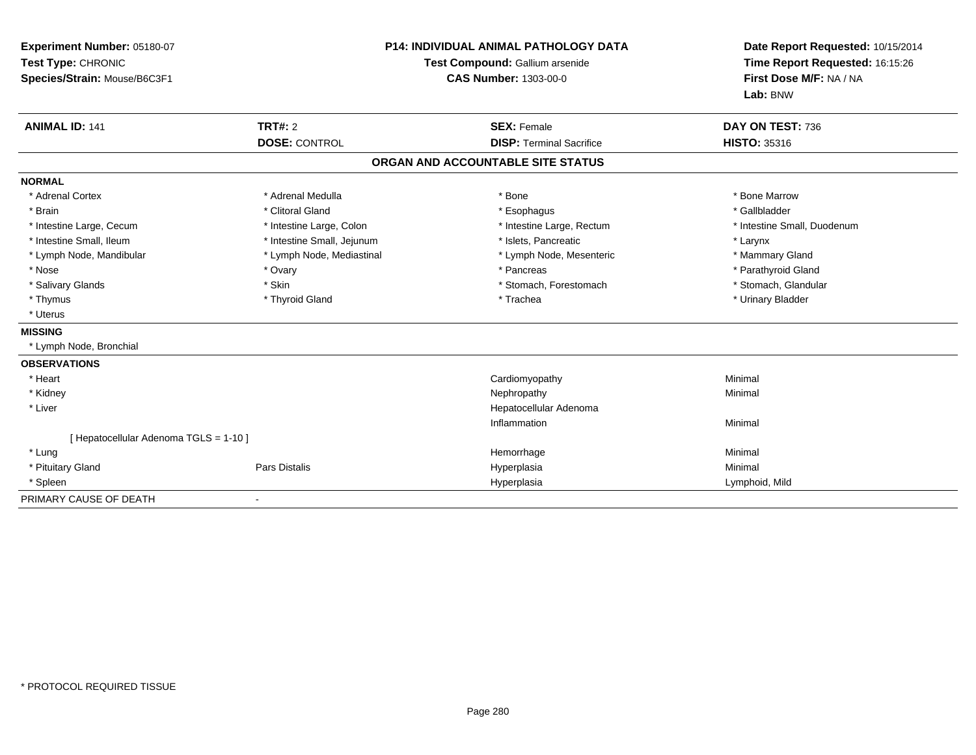| Experiment Number: 05180-07<br>Test Type: CHRONIC<br>Species/Strain: Mouse/B6C3F1<br><b>ANIMAL ID: 141</b> | <b>TRT#: 2</b>             | <b>P14: INDIVIDUAL ANIMAL PATHOLOGY DATA</b><br>Test Compound: Gallium arsenide<br><b>CAS Number: 1303-00-0</b><br><b>SEX: Female</b> | Date Report Requested: 10/15/2014<br>Time Report Requested: 16:15:26<br>First Dose M/F: NA / NA<br>Lab: BNW<br>DAY ON TEST: 736 |
|------------------------------------------------------------------------------------------------------------|----------------------------|---------------------------------------------------------------------------------------------------------------------------------------|---------------------------------------------------------------------------------------------------------------------------------|
|                                                                                                            | <b>DOSE: CONTROL</b>       | <b>DISP: Terminal Sacrifice</b>                                                                                                       | <b>HISTO: 35316</b>                                                                                                             |
|                                                                                                            |                            | ORGAN AND ACCOUNTABLE SITE STATUS                                                                                                     |                                                                                                                                 |
| <b>NORMAL</b>                                                                                              |                            |                                                                                                                                       |                                                                                                                                 |
| * Adrenal Cortex                                                                                           | * Adrenal Medulla          | * Bone                                                                                                                                | * Bone Marrow                                                                                                                   |
| * Brain                                                                                                    | * Clitoral Gland           | * Esophagus                                                                                                                           | * Gallbladder                                                                                                                   |
| * Intestine Large, Cecum                                                                                   | * Intestine Large, Colon   | * Intestine Large, Rectum                                                                                                             | * Intestine Small, Duodenum                                                                                                     |
| * Intestine Small, Ileum                                                                                   | * Intestine Small, Jejunum | * Islets, Pancreatic                                                                                                                  | * Larynx                                                                                                                        |
| * Lymph Node, Mandibular                                                                                   | * Lymph Node, Mediastinal  | * Lymph Node, Mesenteric                                                                                                              | * Mammary Gland                                                                                                                 |
| * Nose                                                                                                     | * Ovary                    | * Pancreas                                                                                                                            | * Parathyroid Gland                                                                                                             |
| * Salivary Glands                                                                                          | * Skin                     | * Stomach, Forestomach                                                                                                                | * Stomach, Glandular                                                                                                            |
| * Thymus                                                                                                   | * Thyroid Gland            | * Trachea                                                                                                                             | * Urinary Bladder                                                                                                               |
| * Uterus                                                                                                   |                            |                                                                                                                                       |                                                                                                                                 |
| <b>MISSING</b>                                                                                             |                            |                                                                                                                                       |                                                                                                                                 |
| * Lymph Node, Bronchial                                                                                    |                            |                                                                                                                                       |                                                                                                                                 |
| <b>OBSERVATIONS</b>                                                                                        |                            |                                                                                                                                       |                                                                                                                                 |
| * Heart                                                                                                    |                            | Cardiomyopathy                                                                                                                        | Minimal                                                                                                                         |
| * Kidney                                                                                                   |                            | Nephropathy                                                                                                                           | Minimal                                                                                                                         |
| * Liver                                                                                                    |                            | Hepatocellular Adenoma                                                                                                                |                                                                                                                                 |
|                                                                                                            |                            | Inflammation                                                                                                                          | Minimal                                                                                                                         |
| [ Hepatocellular Adenoma TGLS = 1-10 ]                                                                     |                            |                                                                                                                                       |                                                                                                                                 |
| * Lung                                                                                                     |                            | Hemorrhage                                                                                                                            | Minimal                                                                                                                         |
| * Pituitary Gland                                                                                          | Pars Distalis              | Hyperplasia                                                                                                                           | Minimal                                                                                                                         |
| * Spleen                                                                                                   |                            | Hyperplasia                                                                                                                           | Lymphoid, Mild                                                                                                                  |
| PRIMARY CAUSE OF DEATH                                                                                     |                            |                                                                                                                                       |                                                                                                                                 |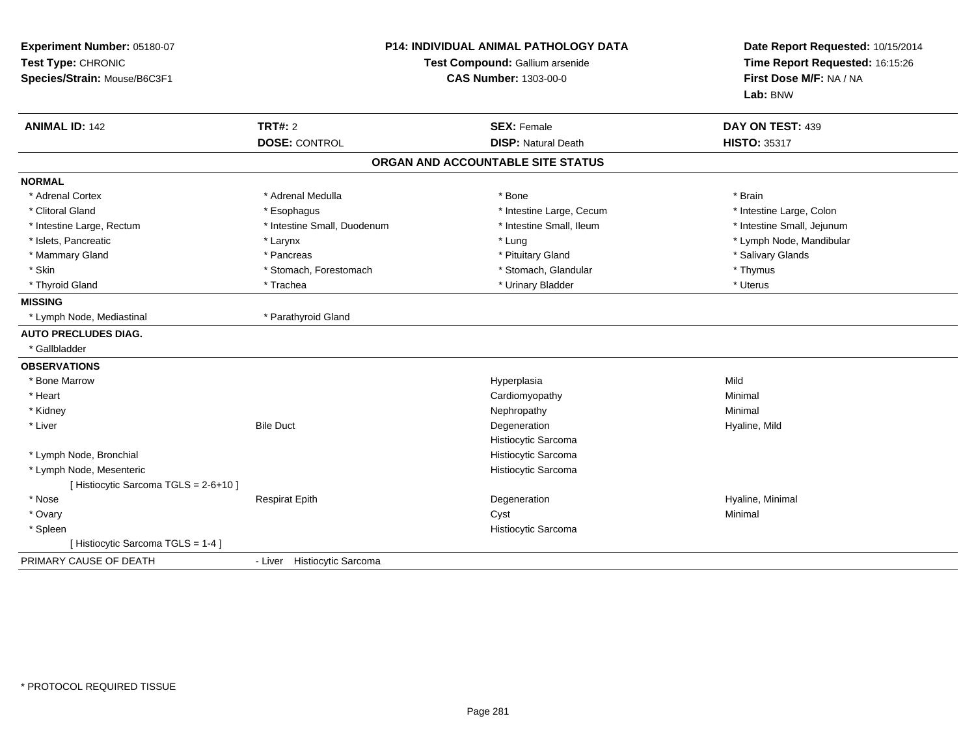| Experiment Number: 05180-07<br>Test Type: CHRONIC<br>Species/Strain: Mouse/B6C3F1 | <b>P14: INDIVIDUAL ANIMAL PATHOLOGY DATA</b><br>Test Compound: Gallium arsenide<br><b>CAS Number: 1303-00-0</b> |                                   | Date Report Requested: 10/15/2014<br>Time Report Requested: 16:15:26<br>First Dose M/F: NA / NA<br>Lab: BNW |  |
|-----------------------------------------------------------------------------------|-----------------------------------------------------------------------------------------------------------------|-----------------------------------|-------------------------------------------------------------------------------------------------------------|--|
| <b>ANIMAL ID: 142</b>                                                             | <b>TRT#: 2</b>                                                                                                  | <b>SEX: Female</b>                | DAY ON TEST: 439                                                                                            |  |
|                                                                                   | <b>DOSE: CONTROL</b>                                                                                            | <b>DISP: Natural Death</b>        | <b>HISTO: 35317</b>                                                                                         |  |
|                                                                                   |                                                                                                                 | ORGAN AND ACCOUNTABLE SITE STATUS |                                                                                                             |  |
| <b>NORMAL</b>                                                                     |                                                                                                                 |                                   |                                                                                                             |  |
| * Adrenal Cortex                                                                  | * Adrenal Medulla                                                                                               | * Bone                            | * Brain                                                                                                     |  |
| * Clitoral Gland                                                                  | * Esophagus                                                                                                     | * Intestine Large, Cecum          | * Intestine Large, Colon                                                                                    |  |
| * Intestine Large, Rectum                                                         | * Intestine Small, Duodenum                                                                                     | * Intestine Small, Ileum          | * Intestine Small, Jejunum                                                                                  |  |
| * Islets, Pancreatic                                                              | * Larynx                                                                                                        | * Lung                            | * Lymph Node, Mandibular                                                                                    |  |
| * Mammary Gland                                                                   | * Pancreas                                                                                                      | * Pituitary Gland                 | * Salivary Glands                                                                                           |  |
| * Skin                                                                            | * Stomach, Forestomach                                                                                          | * Stomach, Glandular              | * Thymus                                                                                                    |  |
| * Thyroid Gland                                                                   | * Trachea                                                                                                       | * Urinary Bladder                 | * Uterus                                                                                                    |  |
| <b>MISSING</b>                                                                    |                                                                                                                 |                                   |                                                                                                             |  |
| * Lymph Node, Mediastinal                                                         | * Parathyroid Gland                                                                                             |                                   |                                                                                                             |  |
| <b>AUTO PRECLUDES DIAG.</b>                                                       |                                                                                                                 |                                   |                                                                                                             |  |
| * Gallbladder                                                                     |                                                                                                                 |                                   |                                                                                                             |  |
| <b>OBSERVATIONS</b>                                                               |                                                                                                                 |                                   |                                                                                                             |  |
| * Bone Marrow                                                                     |                                                                                                                 | Hyperplasia                       | Mild                                                                                                        |  |
| * Heart                                                                           |                                                                                                                 | Cardiomyopathy                    | Minimal                                                                                                     |  |
| * Kidney                                                                          |                                                                                                                 | Nephropathy                       | Minimal                                                                                                     |  |
| * Liver                                                                           | <b>Bile Duct</b>                                                                                                | Degeneration                      | Hyaline, Mild                                                                                               |  |
|                                                                                   |                                                                                                                 | Histiocytic Sarcoma               |                                                                                                             |  |
| * Lymph Node, Bronchial                                                           |                                                                                                                 | Histiocytic Sarcoma               |                                                                                                             |  |
| * Lymph Node, Mesenteric                                                          |                                                                                                                 | Histiocytic Sarcoma               |                                                                                                             |  |
| [ Histiocytic Sarcoma TGLS = 2-6+10 ]                                             |                                                                                                                 |                                   |                                                                                                             |  |
| * Nose                                                                            | <b>Respirat Epith</b>                                                                                           | Degeneration                      | Hyaline, Minimal                                                                                            |  |
| * Ovary                                                                           |                                                                                                                 | Cyst                              | Minimal                                                                                                     |  |
| * Spleen                                                                          |                                                                                                                 | Histiocytic Sarcoma               |                                                                                                             |  |
| [ Histiocytic Sarcoma TGLS = 1-4 ]                                                |                                                                                                                 |                                   |                                                                                                             |  |
| PRIMARY CAUSE OF DEATH                                                            | - Liver Histiocytic Sarcoma                                                                                     |                                   |                                                                                                             |  |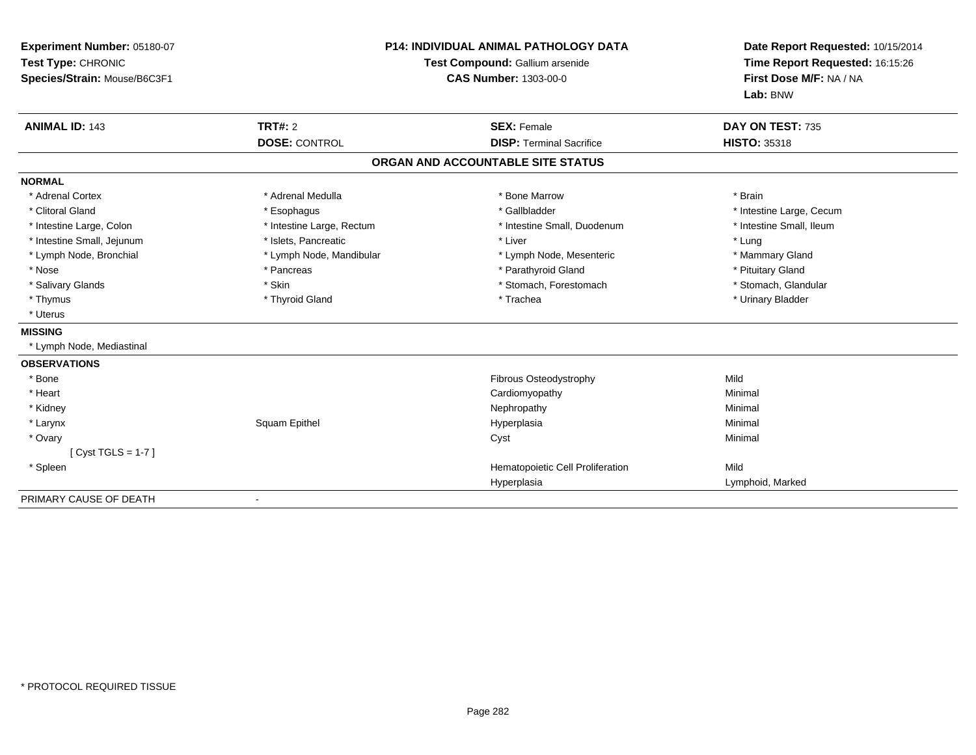| Experiment Number: 05180-07<br>Test Type: CHRONIC<br>Species/Strain: Mouse/B6C3F1<br><b>ANIMAL ID: 143</b> | <b>TRT#: 2</b>            | <b>P14: INDIVIDUAL ANIMAL PATHOLOGY DATA</b><br>Test Compound: Gallium arsenide<br><b>CAS Number: 1303-00-0</b><br><b>SEX: Female</b> | Date Report Requested: 10/15/2014<br>Time Report Requested: 16:15:26<br>First Dose M/F: NA / NA<br>Lab: BNW<br>DAY ON TEST: 735 |
|------------------------------------------------------------------------------------------------------------|---------------------------|---------------------------------------------------------------------------------------------------------------------------------------|---------------------------------------------------------------------------------------------------------------------------------|
|                                                                                                            | <b>DOSE: CONTROL</b>      | <b>DISP: Terminal Sacrifice</b>                                                                                                       | <b>HISTO: 35318</b>                                                                                                             |
|                                                                                                            |                           | ORGAN AND ACCOUNTABLE SITE STATUS                                                                                                     |                                                                                                                                 |
| <b>NORMAL</b>                                                                                              |                           |                                                                                                                                       |                                                                                                                                 |
| * Adrenal Cortex                                                                                           | * Adrenal Medulla         | * Bone Marrow                                                                                                                         | * Brain                                                                                                                         |
| * Clitoral Gland                                                                                           | * Esophagus               | * Gallbladder                                                                                                                         | * Intestine Large, Cecum                                                                                                        |
| * Intestine Large, Colon                                                                                   | * Intestine Large, Rectum | * Intestine Small, Duodenum                                                                                                           | * Intestine Small, Ileum                                                                                                        |
| * Intestine Small, Jejunum                                                                                 | * Islets, Pancreatic      | * Liver                                                                                                                               | * Lung                                                                                                                          |
| * Lymph Node, Bronchial                                                                                    | * Lymph Node, Mandibular  | * Lymph Node, Mesenteric                                                                                                              | * Mammary Gland                                                                                                                 |
| * Nose                                                                                                     | * Pancreas                | * Parathyroid Gland                                                                                                                   | * Pituitary Gland                                                                                                               |
| * Salivary Glands                                                                                          | * Skin                    | * Stomach, Forestomach                                                                                                                | * Stomach, Glandular                                                                                                            |
| * Thymus                                                                                                   | * Thyroid Gland           | * Trachea                                                                                                                             | * Urinary Bladder                                                                                                               |
| * Uterus                                                                                                   |                           |                                                                                                                                       |                                                                                                                                 |
| <b>MISSING</b>                                                                                             |                           |                                                                                                                                       |                                                                                                                                 |
| * Lymph Node, Mediastinal                                                                                  |                           |                                                                                                                                       |                                                                                                                                 |
| <b>OBSERVATIONS</b>                                                                                        |                           |                                                                                                                                       |                                                                                                                                 |
| * Bone                                                                                                     |                           | <b>Fibrous Osteodystrophy</b>                                                                                                         | Mild                                                                                                                            |
| * Heart                                                                                                    |                           | Cardiomyopathy                                                                                                                        | Minimal                                                                                                                         |
| * Kidney                                                                                                   |                           | Nephropathy                                                                                                                           | Minimal                                                                                                                         |
| * Larynx                                                                                                   | Squam Epithel             | Hyperplasia                                                                                                                           | Minimal                                                                                                                         |
| * Ovary                                                                                                    |                           | Cyst                                                                                                                                  | Minimal                                                                                                                         |
| [ $Cyst TGLS = 1-7$ ]                                                                                      |                           |                                                                                                                                       |                                                                                                                                 |
| * Spleen                                                                                                   |                           | Hematopoietic Cell Proliferation                                                                                                      | Mild                                                                                                                            |
|                                                                                                            |                           | Hyperplasia                                                                                                                           | Lymphoid, Marked                                                                                                                |
| PRIMARY CAUSE OF DEATH                                                                                     |                           |                                                                                                                                       |                                                                                                                                 |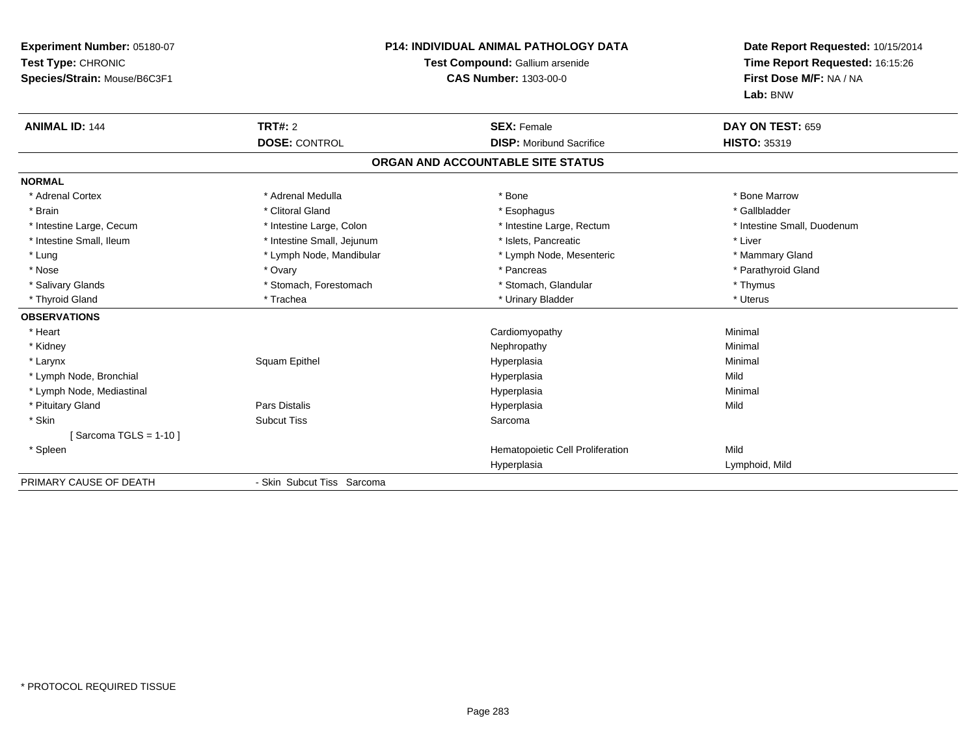| <b>Experiment Number: 05180-07</b><br>Test Type: CHRONIC<br>Species/Strain: Mouse/B6C3F1 | P14: INDIVIDUAL ANIMAL PATHOLOGY DATA<br>Test Compound: Gallium arsenide<br><b>CAS Number: 1303-00-0</b> |                                                       | Date Report Requested: 10/15/2014<br>Time Report Requested: 16:15:26<br>First Dose M/F: NA / NA<br>Lab: BNW |
|------------------------------------------------------------------------------------------|----------------------------------------------------------------------------------------------------------|-------------------------------------------------------|-------------------------------------------------------------------------------------------------------------|
| <b>ANIMAL ID: 144</b>                                                                    | <b>TRT#: 2</b><br><b>DOSE: CONTROL</b>                                                                   | <b>SEX: Female</b><br><b>DISP:</b> Moribund Sacrifice | DAY ON TEST: 659<br><b>HISTO: 35319</b>                                                                     |
|                                                                                          |                                                                                                          | ORGAN AND ACCOUNTABLE SITE STATUS                     |                                                                                                             |
|                                                                                          |                                                                                                          |                                                       |                                                                                                             |
| <b>NORMAL</b>                                                                            |                                                                                                          |                                                       |                                                                                                             |
| * Adrenal Cortex                                                                         | * Adrenal Medulla                                                                                        | * Bone                                                | * Bone Marrow                                                                                               |
| * Brain                                                                                  | * Clitoral Gland                                                                                         | * Esophagus                                           | * Gallbladder                                                                                               |
| * Intestine Large, Cecum                                                                 | * Intestine Large, Colon                                                                                 | * Intestine Large, Rectum                             | * Intestine Small, Duodenum                                                                                 |
| * Intestine Small. Ileum                                                                 | * Intestine Small, Jejunum                                                                               | * Islets. Pancreatic                                  | * Liver                                                                                                     |
| * Lung                                                                                   | * Lymph Node, Mandibular                                                                                 | * Lymph Node, Mesenteric                              | * Mammary Gland                                                                                             |
| * Nose                                                                                   | * Ovary                                                                                                  | * Pancreas                                            | * Parathyroid Gland                                                                                         |
| * Salivary Glands                                                                        | * Stomach, Forestomach                                                                                   | * Stomach, Glandular                                  | * Thymus                                                                                                    |
| * Thyroid Gland                                                                          | * Trachea                                                                                                | * Urinary Bladder                                     | * Uterus                                                                                                    |
| <b>OBSERVATIONS</b>                                                                      |                                                                                                          |                                                       |                                                                                                             |
| * Heart                                                                                  |                                                                                                          | Cardiomyopathy                                        | Minimal                                                                                                     |
| * Kidney                                                                                 |                                                                                                          | Nephropathy                                           | Minimal                                                                                                     |
| * Larynx                                                                                 | Squam Epithel                                                                                            | Hyperplasia                                           | Minimal                                                                                                     |
| * Lymph Node, Bronchial                                                                  |                                                                                                          | Hyperplasia                                           | Mild                                                                                                        |
| * Lymph Node, Mediastinal                                                                |                                                                                                          | Hyperplasia                                           | Minimal                                                                                                     |
| * Pituitary Gland                                                                        | Pars Distalis                                                                                            | Hyperplasia                                           | Mild                                                                                                        |
| * Skin                                                                                   | <b>Subcut Tiss</b>                                                                                       | Sarcoma                                               |                                                                                                             |
| [Sarcoma TGLS = $1-10$ ]                                                                 |                                                                                                          |                                                       |                                                                                                             |
| * Spleen                                                                                 |                                                                                                          | Hematopoietic Cell Proliferation                      | Mild                                                                                                        |
|                                                                                          |                                                                                                          | Hyperplasia                                           | Lymphoid, Mild                                                                                              |
| PRIMARY CAUSE OF DEATH                                                                   | - Skin Subcut Tiss Sarcoma                                                                               |                                                       |                                                                                                             |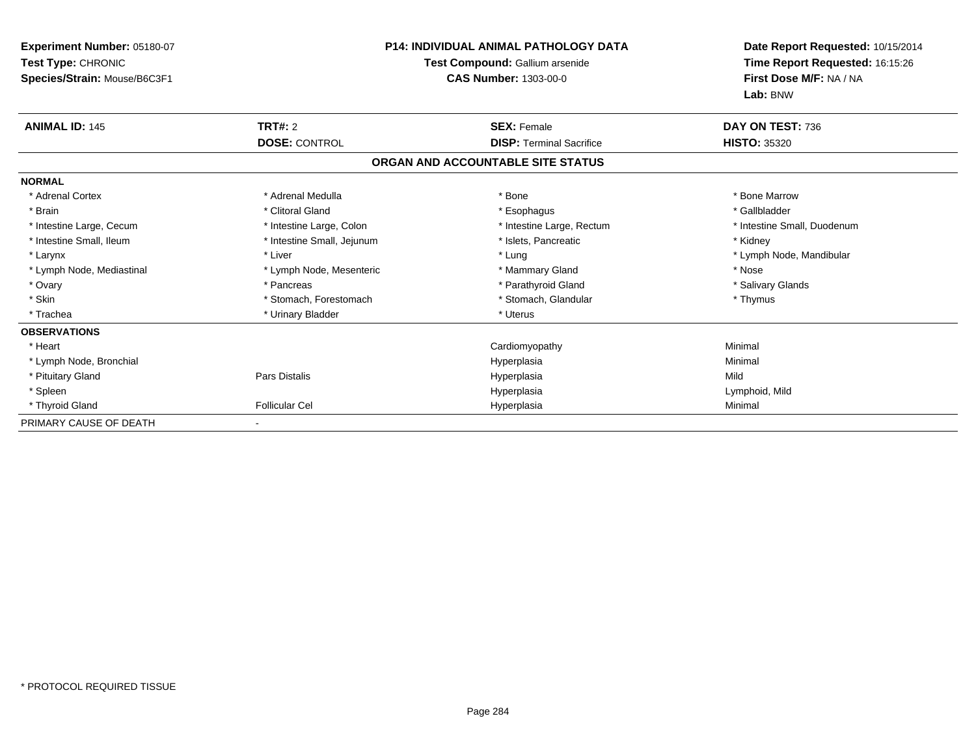| Experiment Number: 05180-07<br>Test Type: CHRONIC<br>Species/Strain: Mouse/B6C3F1                                                                                               | <b>P14: INDIVIDUAL ANIMAL PATHOLOGY DATA</b><br>Test Compound: Gallium arsenide<br><b>CAS Number: 1303-00-0</b>                                                                                     |                                                                                                                                                                    | Date Report Requested: 10/15/2014<br>Time Report Requested: 16:15:26<br>First Dose M/F: NA / NA<br>Lab: BNW                                      |
|---------------------------------------------------------------------------------------------------------------------------------------------------------------------------------|-----------------------------------------------------------------------------------------------------------------------------------------------------------------------------------------------------|--------------------------------------------------------------------------------------------------------------------------------------------------------------------|--------------------------------------------------------------------------------------------------------------------------------------------------|
| <b>ANIMAL ID: 145</b>                                                                                                                                                           | TRT#: 2<br><b>DOSE: CONTROL</b>                                                                                                                                                                     | <b>SEX: Female</b><br><b>DISP: Terminal Sacrifice</b>                                                                                                              | DAY ON TEST: 736<br><b>HISTO: 35320</b>                                                                                                          |
|                                                                                                                                                                                 |                                                                                                                                                                                                     | ORGAN AND ACCOUNTABLE SITE STATUS                                                                                                                                  |                                                                                                                                                  |
|                                                                                                                                                                                 |                                                                                                                                                                                                     |                                                                                                                                                                    |                                                                                                                                                  |
| <b>NORMAL</b><br>* Adrenal Cortex<br>* Brain<br>* Intestine Large, Cecum<br>* Intestine Small, Ileum<br>* Larynx<br>* Lymph Node, Mediastinal<br>* Ovary<br>* Skin<br>* Trachea | * Adrenal Medulla<br>* Clitoral Gland<br>* Intestine Large, Colon<br>* Intestine Small, Jejunum<br>* Liver<br>* Lymph Node, Mesenteric<br>* Pancreas<br>* Stomach, Forestomach<br>* Urinary Bladder | * Bone<br>* Esophagus<br>* Intestine Large, Rectum<br>* Islets, Pancreatic<br>* Lung<br>* Mammary Gland<br>* Parathyroid Gland<br>* Stomach, Glandular<br>* Uterus | * Bone Marrow<br>* Gallbladder<br>* Intestine Small, Duodenum<br>* Kidney<br>* Lymph Node, Mandibular<br>* Nose<br>* Salivary Glands<br>* Thymus |
| <b>OBSERVATIONS</b>                                                                                                                                                             |                                                                                                                                                                                                     |                                                                                                                                                                    |                                                                                                                                                  |
| * Heart                                                                                                                                                                         |                                                                                                                                                                                                     | Cardiomyopathy                                                                                                                                                     | Minimal                                                                                                                                          |
| * Lymph Node, Bronchial                                                                                                                                                         |                                                                                                                                                                                                     | Hyperplasia                                                                                                                                                        | Minimal                                                                                                                                          |
| * Pituitary Gland                                                                                                                                                               | <b>Pars Distalis</b>                                                                                                                                                                                | Hyperplasia                                                                                                                                                        | Mild                                                                                                                                             |
| * Spleen                                                                                                                                                                        |                                                                                                                                                                                                     | Hyperplasia                                                                                                                                                        | Lymphoid, Mild                                                                                                                                   |
| * Thyroid Gland                                                                                                                                                                 | <b>Follicular Cel</b>                                                                                                                                                                               | Hyperplasia                                                                                                                                                        | Minimal                                                                                                                                          |
| PRIMARY CAUSE OF DEATH                                                                                                                                                          |                                                                                                                                                                                                     |                                                                                                                                                                    |                                                                                                                                                  |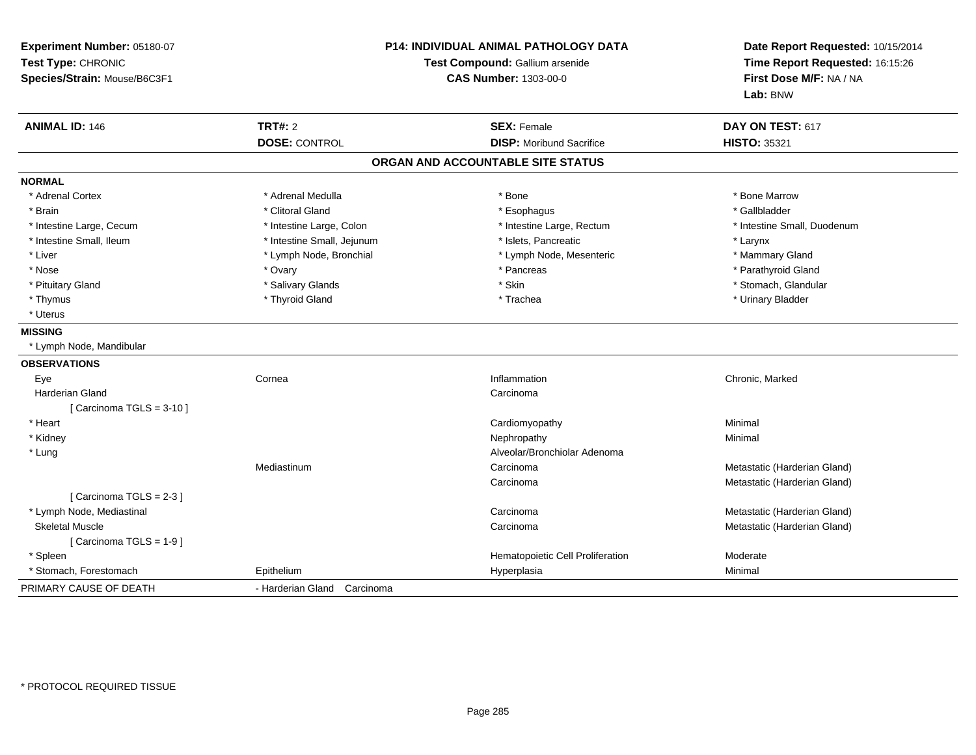| Experiment Number: 05180-07<br>Test Type: CHRONIC<br>Species/Strain: Mouse/B6C3F1 |                             | P14: INDIVIDUAL ANIMAL PATHOLOGY DATA<br>Test Compound: Gallium arsenide<br><b>CAS Number: 1303-00-0</b> | Date Report Requested: 10/15/2014<br>Time Report Requested: 16:15:26<br>First Dose M/F: NA / NA<br>Lab: BNW |  |
|-----------------------------------------------------------------------------------|-----------------------------|----------------------------------------------------------------------------------------------------------|-------------------------------------------------------------------------------------------------------------|--|
| <b>ANIMAL ID: 146</b>                                                             | <b>TRT#: 2</b>              | <b>SEX: Female</b>                                                                                       | DAY ON TEST: 617                                                                                            |  |
|                                                                                   | <b>DOSE: CONTROL</b>        | <b>DISP:</b> Moribund Sacrifice                                                                          | <b>HISTO: 35321</b>                                                                                         |  |
|                                                                                   |                             | ORGAN AND ACCOUNTABLE SITE STATUS                                                                        |                                                                                                             |  |
| <b>NORMAL</b>                                                                     |                             |                                                                                                          |                                                                                                             |  |
| * Adrenal Cortex                                                                  | * Adrenal Medulla           | * Bone                                                                                                   | * Bone Marrow                                                                                               |  |
| * Brain                                                                           | * Clitoral Gland            | * Esophagus                                                                                              | * Gallbladder                                                                                               |  |
| * Intestine Large, Cecum                                                          | * Intestine Large, Colon    | * Intestine Large, Rectum                                                                                | * Intestine Small, Duodenum                                                                                 |  |
| * Intestine Small, Ileum                                                          | * Intestine Small, Jejunum  | * Islets, Pancreatic                                                                                     | * Larynx                                                                                                    |  |
| * Liver                                                                           | * Lymph Node, Bronchial     | * Lymph Node, Mesenteric                                                                                 | * Mammary Gland                                                                                             |  |
| * Nose                                                                            | * Ovary                     | * Pancreas                                                                                               | * Parathyroid Gland                                                                                         |  |
| * Pituitary Gland                                                                 | * Salivary Glands           | * Skin                                                                                                   | * Stomach, Glandular                                                                                        |  |
| * Thymus                                                                          | * Thyroid Gland             | * Trachea                                                                                                | * Urinary Bladder                                                                                           |  |
| * Uterus                                                                          |                             |                                                                                                          |                                                                                                             |  |
| <b>MISSING</b>                                                                    |                             |                                                                                                          |                                                                                                             |  |
| * Lymph Node, Mandibular                                                          |                             |                                                                                                          |                                                                                                             |  |
| <b>OBSERVATIONS</b>                                                               |                             |                                                                                                          |                                                                                                             |  |
| Eye                                                                               | Cornea                      | Inflammation                                                                                             | Chronic, Marked                                                                                             |  |
| <b>Harderian Gland</b>                                                            |                             | Carcinoma                                                                                                |                                                                                                             |  |
| [ Carcinoma TGLS = $3-10$ ]                                                       |                             |                                                                                                          |                                                                                                             |  |
| * Heart                                                                           |                             | Cardiomyopathy                                                                                           | Minimal                                                                                                     |  |
| * Kidney                                                                          |                             | Nephropathy                                                                                              | Minimal                                                                                                     |  |
| * Lung                                                                            |                             | Alveolar/Bronchiolar Adenoma                                                                             |                                                                                                             |  |
|                                                                                   | Mediastinum                 | Carcinoma                                                                                                | Metastatic (Harderian Gland)                                                                                |  |
|                                                                                   |                             | Carcinoma                                                                                                | Metastatic (Harderian Gland)                                                                                |  |
| [ Carcinoma TGLS = 2-3 ]                                                          |                             |                                                                                                          |                                                                                                             |  |
| * Lymph Node, Mediastinal                                                         |                             | Carcinoma                                                                                                | Metastatic (Harderian Gland)                                                                                |  |
| <b>Skeletal Muscle</b>                                                            |                             | Carcinoma                                                                                                | Metastatic (Harderian Gland)                                                                                |  |
| [Carcinoma TGLS = 1-9]                                                            |                             |                                                                                                          |                                                                                                             |  |
| * Spleen                                                                          |                             | Hematopoietic Cell Proliferation                                                                         | Moderate                                                                                                    |  |
| * Stomach, Forestomach                                                            | Epithelium                  | Hyperplasia                                                                                              | Minimal                                                                                                     |  |
| PRIMARY CAUSE OF DEATH                                                            | - Harderian Gland Carcinoma |                                                                                                          |                                                                                                             |  |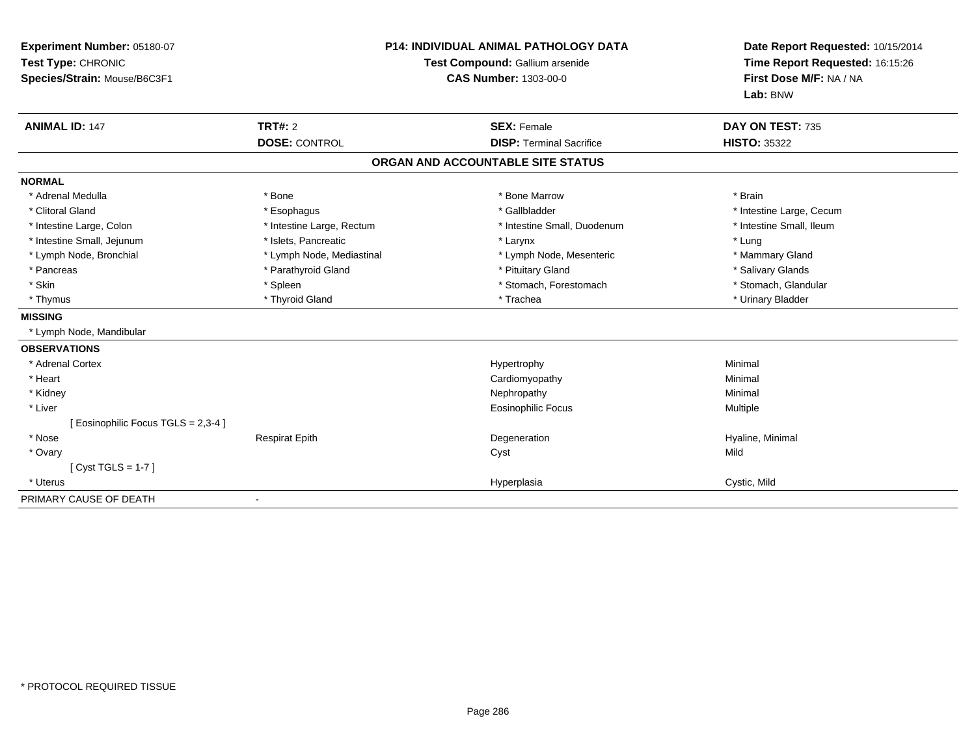| Experiment Number: 05180-07<br>Test Type: CHRONIC<br>Species/Strain: Mouse/B6C3F1 | <b>P14: INDIVIDUAL ANIMAL PATHOLOGY DATA</b><br>Test Compound: Gallium arsenide<br><b>CAS Number: 1303-00-0</b> |                                                       | Date Report Requested: 10/15/2014<br>Time Report Requested: 16:15:26<br>First Dose M/F: NA / NA<br>Lab: BNW |  |
|-----------------------------------------------------------------------------------|-----------------------------------------------------------------------------------------------------------------|-------------------------------------------------------|-------------------------------------------------------------------------------------------------------------|--|
| <b>ANIMAL ID: 147</b>                                                             | TRT#: 2<br><b>DOSE: CONTROL</b>                                                                                 | <b>SEX: Female</b><br><b>DISP: Terminal Sacrifice</b> | DAY ON TEST: 735<br><b>HISTO: 35322</b>                                                                     |  |
|                                                                                   |                                                                                                                 | ORGAN AND ACCOUNTABLE SITE STATUS                     |                                                                                                             |  |
| <b>NORMAL</b>                                                                     |                                                                                                                 |                                                       |                                                                                                             |  |
| * Adrenal Medulla                                                                 | * Bone                                                                                                          | * Bone Marrow                                         | * Brain                                                                                                     |  |
| * Clitoral Gland                                                                  | * Esophagus                                                                                                     | * Gallbladder                                         | * Intestine Large, Cecum                                                                                    |  |
| * Intestine Large, Colon                                                          | * Intestine Large, Rectum                                                                                       | * Intestine Small, Duodenum                           | * Intestine Small, Ileum                                                                                    |  |
| * Intestine Small, Jejunum                                                        | * Islets, Pancreatic                                                                                            | * Larynx                                              | * Lung                                                                                                      |  |
| * Lymph Node, Bronchial                                                           | * Lymph Node, Mediastinal                                                                                       | * Lymph Node, Mesenteric                              | * Mammary Gland                                                                                             |  |
| * Pancreas                                                                        | * Parathyroid Gland                                                                                             | * Pituitary Gland                                     | * Salivary Glands                                                                                           |  |
| * Skin                                                                            | * Spleen                                                                                                        | * Stomach, Forestomach                                | * Stomach, Glandular                                                                                        |  |
| * Thymus                                                                          | * Thyroid Gland                                                                                                 | * Trachea                                             | * Urinary Bladder                                                                                           |  |
| <b>MISSING</b>                                                                    |                                                                                                                 |                                                       |                                                                                                             |  |
| * Lymph Node, Mandibular                                                          |                                                                                                                 |                                                       |                                                                                                             |  |
| <b>OBSERVATIONS</b>                                                               |                                                                                                                 |                                                       |                                                                                                             |  |
| * Adrenal Cortex                                                                  |                                                                                                                 | Hypertrophy                                           | Minimal                                                                                                     |  |
| * Heart                                                                           |                                                                                                                 | Cardiomyopathy                                        | Minimal                                                                                                     |  |
| * Kidney                                                                          |                                                                                                                 | Nephropathy                                           | Minimal                                                                                                     |  |
| * Liver                                                                           |                                                                                                                 | Eosinophilic Focus                                    | Multiple                                                                                                    |  |
| [ Eosinophilic Focus TGLS = 2,3-4 ]                                               |                                                                                                                 |                                                       |                                                                                                             |  |
| * Nose                                                                            | <b>Respirat Epith</b>                                                                                           | Degeneration                                          | Hyaline, Minimal                                                                                            |  |
| * Ovary                                                                           |                                                                                                                 | Cyst                                                  | Mild                                                                                                        |  |
| [Cyst TGLS = $1-7$ ]                                                              |                                                                                                                 |                                                       |                                                                                                             |  |
| * Uterus                                                                          |                                                                                                                 | Hyperplasia                                           | Cystic, Mild                                                                                                |  |
| PRIMARY CAUSE OF DEATH                                                            |                                                                                                                 |                                                       |                                                                                                             |  |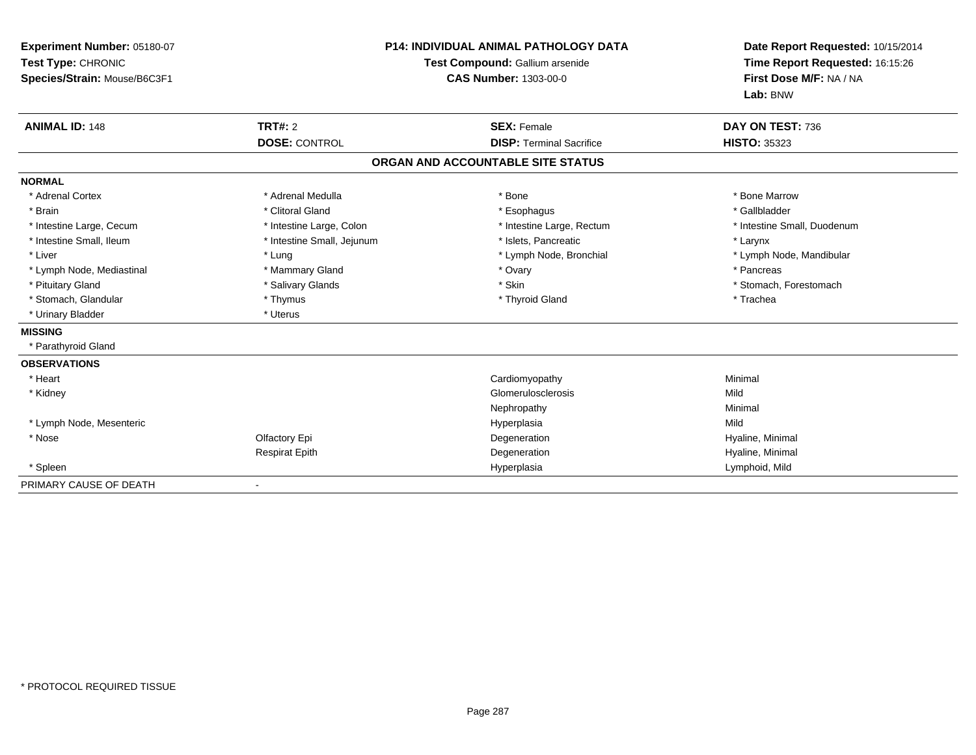| Experiment Number: 05180-07<br>Test Type: CHRONIC<br>Species/Strain: Mouse/B6C3F1<br><b>ANIMAL ID: 148</b> | TRT#: 2                    | P14: INDIVIDUAL ANIMAL PATHOLOGY DATA<br>Test Compound: Gallium arsenide<br><b>CAS Number: 1303-00-0</b><br><b>SEX: Female</b> | Date Report Requested: 10/15/2014<br>Time Report Requested: 16:15:26<br>First Dose M/F: NA / NA<br>Lab: BNW |
|------------------------------------------------------------------------------------------------------------|----------------------------|--------------------------------------------------------------------------------------------------------------------------------|-------------------------------------------------------------------------------------------------------------|
|                                                                                                            | <b>DOSE: CONTROL</b>       | <b>DISP: Terminal Sacrifice</b>                                                                                                | DAY ON TEST: 736<br><b>HISTO: 35323</b>                                                                     |
|                                                                                                            |                            | ORGAN AND ACCOUNTABLE SITE STATUS                                                                                              |                                                                                                             |
|                                                                                                            |                            |                                                                                                                                |                                                                                                             |
| <b>NORMAL</b>                                                                                              |                            |                                                                                                                                |                                                                                                             |
| * Adrenal Cortex                                                                                           | * Adrenal Medulla          | * Bone                                                                                                                         | * Bone Marrow                                                                                               |
| * Brain                                                                                                    | * Clitoral Gland           | * Esophagus                                                                                                                    | * Gallbladder                                                                                               |
| * Intestine Large, Cecum                                                                                   | * Intestine Large, Colon   | * Intestine Large, Rectum                                                                                                      | * Intestine Small, Duodenum                                                                                 |
| * Intestine Small, Ileum                                                                                   | * Intestine Small, Jejunum | * Islets, Pancreatic                                                                                                           | * Larynx                                                                                                    |
| * Liver                                                                                                    | * Lung                     | * Lymph Node, Bronchial                                                                                                        | * Lymph Node, Mandibular                                                                                    |
| * Lymph Node, Mediastinal                                                                                  | * Mammary Gland            | * Ovary                                                                                                                        | * Pancreas                                                                                                  |
| * Pituitary Gland                                                                                          | * Salivary Glands          | * Skin                                                                                                                         | * Stomach. Forestomach                                                                                      |
| * Stomach, Glandular                                                                                       | * Thymus                   | * Thyroid Gland                                                                                                                | * Trachea                                                                                                   |
| * Urinary Bladder                                                                                          | * Uterus                   |                                                                                                                                |                                                                                                             |
| <b>MISSING</b>                                                                                             |                            |                                                                                                                                |                                                                                                             |
| * Parathyroid Gland                                                                                        |                            |                                                                                                                                |                                                                                                             |
| <b>OBSERVATIONS</b>                                                                                        |                            |                                                                                                                                |                                                                                                             |
| * Heart                                                                                                    |                            | Cardiomyopathy                                                                                                                 | Minimal                                                                                                     |
| * Kidney                                                                                                   |                            | Glomerulosclerosis                                                                                                             | Mild                                                                                                        |
|                                                                                                            |                            | Nephropathy                                                                                                                    | Minimal                                                                                                     |
| * Lymph Node, Mesenteric                                                                                   |                            | Hyperplasia                                                                                                                    | Mild                                                                                                        |
| * Nose                                                                                                     | Olfactory Epi              | Degeneration                                                                                                                   | Hyaline, Minimal                                                                                            |
|                                                                                                            | <b>Respirat Epith</b>      | Degeneration                                                                                                                   | Hyaline, Minimal                                                                                            |
| * Spleen                                                                                                   |                            | Hyperplasia                                                                                                                    | Lymphoid, Mild                                                                                              |
| PRIMARY CAUSE OF DEATH                                                                                     |                            |                                                                                                                                |                                                                                                             |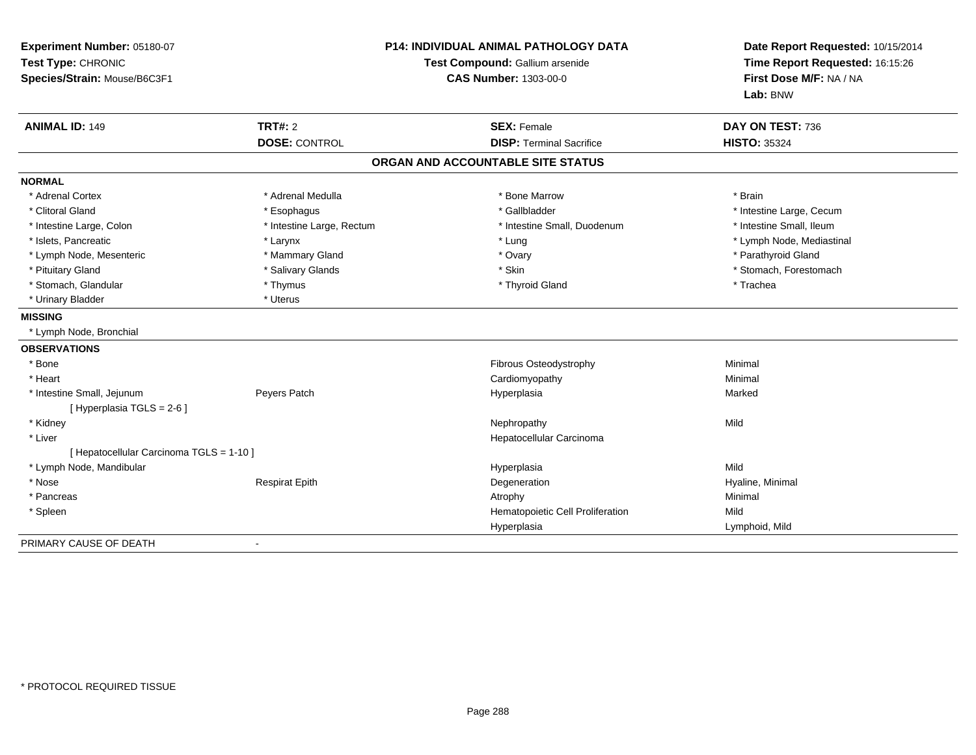| Experiment Number: 05180-07<br>Test Type: CHRONIC<br>Species/Strain: Mouse/B6C3F1 | <b>P14: INDIVIDUAL ANIMAL PATHOLOGY DATA</b><br>Test Compound: Gallium arsenide<br><b>CAS Number: 1303-00-0</b> |                                                       | Date Report Requested: 10/15/2014<br>Time Report Requested: 16:15:26<br>First Dose M/F: NA / NA<br>Lab: BNW |  |
|-----------------------------------------------------------------------------------|-----------------------------------------------------------------------------------------------------------------|-------------------------------------------------------|-------------------------------------------------------------------------------------------------------------|--|
| <b>ANIMAL ID: 149</b>                                                             | <b>TRT#: 2</b><br><b>DOSE: CONTROL</b>                                                                          | <b>SEX: Female</b><br><b>DISP: Terminal Sacrifice</b> | DAY ON TEST: 736<br><b>HISTO: 35324</b>                                                                     |  |
|                                                                                   |                                                                                                                 |                                                       |                                                                                                             |  |
|                                                                                   |                                                                                                                 | ORGAN AND ACCOUNTABLE SITE STATUS                     |                                                                                                             |  |
| <b>NORMAL</b>                                                                     |                                                                                                                 |                                                       |                                                                                                             |  |
| * Adrenal Cortex                                                                  | * Adrenal Medulla                                                                                               | * Bone Marrow                                         | * Brain                                                                                                     |  |
| * Clitoral Gland                                                                  | * Esophagus                                                                                                     | * Gallbladder                                         | * Intestine Large, Cecum                                                                                    |  |
| * Intestine Large, Colon                                                          | * Intestine Large, Rectum                                                                                       | * Intestine Small, Duodenum                           | * Intestine Small, Ileum                                                                                    |  |
| * Islets, Pancreatic                                                              | * Larynx                                                                                                        | * Lung                                                | * Lymph Node, Mediastinal                                                                                   |  |
| * Lymph Node, Mesenteric                                                          | * Mammary Gland                                                                                                 | * Ovary                                               | * Parathyroid Gland                                                                                         |  |
| * Pituitary Gland                                                                 | * Salivary Glands                                                                                               | * Skin                                                | * Stomach, Forestomach                                                                                      |  |
| * Stomach, Glandular                                                              | * Thymus                                                                                                        | * Thyroid Gland                                       | * Trachea                                                                                                   |  |
| * Urinary Bladder                                                                 | * Uterus                                                                                                        |                                                       |                                                                                                             |  |
| <b>MISSING</b>                                                                    |                                                                                                                 |                                                       |                                                                                                             |  |
| * Lymph Node, Bronchial                                                           |                                                                                                                 |                                                       |                                                                                                             |  |
| <b>OBSERVATIONS</b>                                                               |                                                                                                                 |                                                       |                                                                                                             |  |
| * Bone                                                                            |                                                                                                                 | Fibrous Osteodystrophy                                | Minimal                                                                                                     |  |
| * Heart                                                                           |                                                                                                                 | Cardiomyopathy                                        | Minimal                                                                                                     |  |
| * Intestine Small, Jejunum                                                        | Peyers Patch                                                                                                    | Hyperplasia                                           | Marked                                                                                                      |  |
| [Hyperplasia TGLS = $2-6$ ]                                                       |                                                                                                                 |                                                       |                                                                                                             |  |
| * Kidney                                                                          |                                                                                                                 | Nephropathy                                           | Mild                                                                                                        |  |
| * Liver                                                                           |                                                                                                                 | Hepatocellular Carcinoma                              |                                                                                                             |  |
| [ Hepatocellular Carcinoma TGLS = 1-10 ]                                          |                                                                                                                 |                                                       |                                                                                                             |  |
| * Lymph Node, Mandibular                                                          |                                                                                                                 | Hyperplasia                                           | Mild                                                                                                        |  |
| * Nose                                                                            | <b>Respirat Epith</b>                                                                                           | Degeneration                                          | Hyaline, Minimal                                                                                            |  |
| * Pancreas                                                                        |                                                                                                                 | Atrophy                                               | Minimal                                                                                                     |  |
| * Spleen                                                                          |                                                                                                                 | Hematopoietic Cell Proliferation                      | Mild                                                                                                        |  |
|                                                                                   |                                                                                                                 | Hyperplasia                                           | Lymphoid, Mild                                                                                              |  |
| PRIMARY CAUSE OF DEATH                                                            | $\blacksquare$                                                                                                  |                                                       |                                                                                                             |  |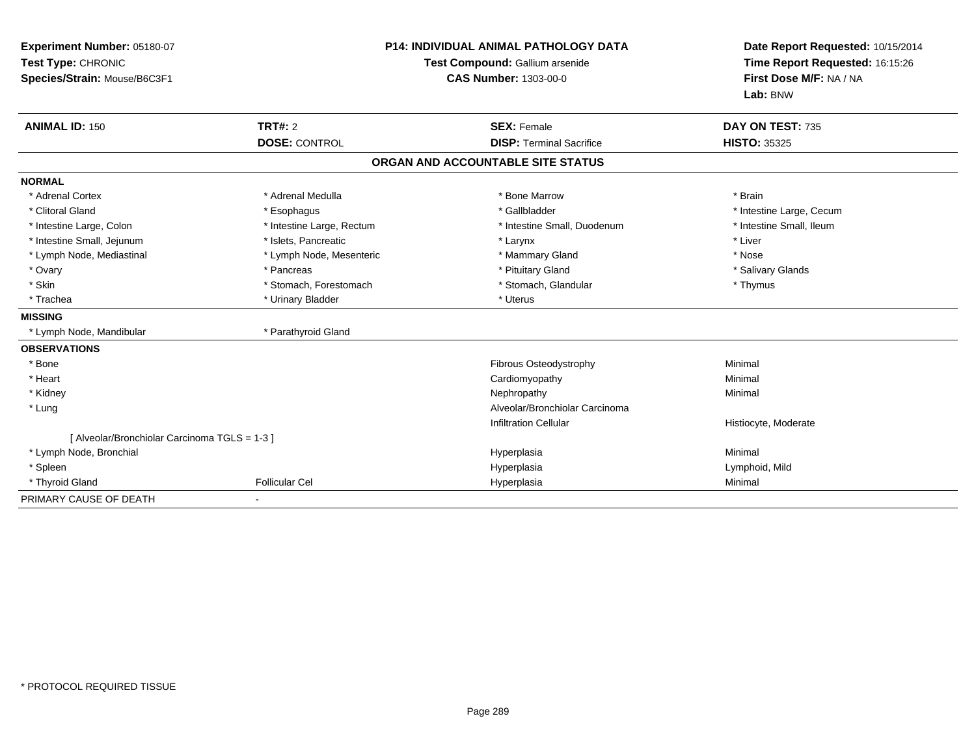| Experiment Number: 05180-07<br>Test Type: CHRONIC<br>Species/Strain: Mouse/B6C3F1 | <b>P14: INDIVIDUAL ANIMAL PATHOLOGY DATA</b><br>Test Compound: Gallium arsenide<br><b>CAS Number: 1303-00-0</b> |                                   | Date Report Requested: 10/15/2014<br>Time Report Requested: 16:15:26<br>First Dose M/F: NA / NA<br>Lab: BNW |
|-----------------------------------------------------------------------------------|-----------------------------------------------------------------------------------------------------------------|-----------------------------------|-------------------------------------------------------------------------------------------------------------|
| <b>ANIMAL ID: 150</b>                                                             | TRT#: 2                                                                                                         | <b>SEX: Female</b>                | DAY ON TEST: 735                                                                                            |
|                                                                                   | <b>DOSE: CONTROL</b>                                                                                            | <b>DISP: Terminal Sacrifice</b>   | <b>HISTO: 35325</b>                                                                                         |
|                                                                                   |                                                                                                                 | ORGAN AND ACCOUNTABLE SITE STATUS |                                                                                                             |
| <b>NORMAL</b>                                                                     |                                                                                                                 |                                   |                                                                                                             |
| * Adrenal Cortex                                                                  | * Adrenal Medulla                                                                                               | * Bone Marrow                     | * Brain                                                                                                     |
| * Clitoral Gland                                                                  | * Esophagus                                                                                                     | * Gallbladder                     | * Intestine Large, Cecum                                                                                    |
| * Intestine Large, Colon                                                          | * Intestine Large, Rectum                                                                                       | * Intestine Small, Duodenum       | * Intestine Small, Ileum                                                                                    |
| * Intestine Small, Jejunum                                                        | * Islets, Pancreatic                                                                                            | * Larynx                          | * Liver                                                                                                     |
| * Lymph Node, Mediastinal                                                         | * Lymph Node, Mesenteric                                                                                        | * Mammary Gland                   | * Nose                                                                                                      |
| * Ovary                                                                           | * Pancreas                                                                                                      | * Pituitary Gland                 | * Salivary Glands                                                                                           |
| * Skin                                                                            | * Stomach, Forestomach                                                                                          | * Stomach, Glandular              | * Thymus                                                                                                    |
| * Trachea                                                                         | * Urinary Bladder                                                                                               | * Uterus                          |                                                                                                             |
| <b>MISSING</b>                                                                    |                                                                                                                 |                                   |                                                                                                             |
| * Lymph Node, Mandibular                                                          | * Parathyroid Gland                                                                                             |                                   |                                                                                                             |
| <b>OBSERVATIONS</b>                                                               |                                                                                                                 |                                   |                                                                                                             |
| * Bone                                                                            |                                                                                                                 | Fibrous Osteodystrophy            | Minimal                                                                                                     |
| * Heart                                                                           |                                                                                                                 | Cardiomyopathy                    | Minimal                                                                                                     |
| * Kidney                                                                          |                                                                                                                 | Nephropathy                       | Minimal                                                                                                     |
| * Lung                                                                            |                                                                                                                 | Alveolar/Bronchiolar Carcinoma    |                                                                                                             |
|                                                                                   |                                                                                                                 | <b>Infiltration Cellular</b>      | Histiocyte, Moderate                                                                                        |
| [ Alveolar/Bronchiolar Carcinoma TGLS = 1-3 ]                                     |                                                                                                                 |                                   |                                                                                                             |
| * Lymph Node, Bronchial                                                           |                                                                                                                 | Hyperplasia                       | Minimal                                                                                                     |
| * Spleen                                                                          |                                                                                                                 | Hyperplasia                       | Lymphoid, Mild                                                                                              |
| * Thyroid Gland                                                                   | <b>Follicular Cel</b>                                                                                           | Hyperplasia                       | Minimal                                                                                                     |
| PRIMARY CAUSE OF DEATH                                                            |                                                                                                                 |                                   |                                                                                                             |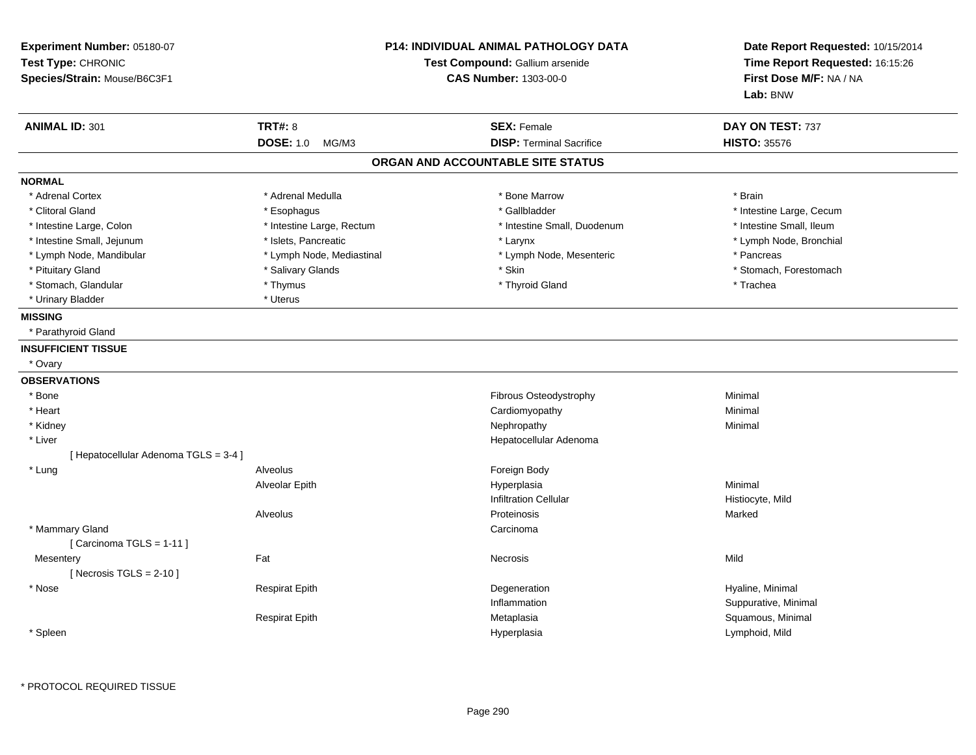| Experiment Number: 05180-07<br>Test Type: CHRONIC<br>Species/Strain: Mouse/B6C3F1 |                           | <b>P14: INDIVIDUAL ANIMAL PATHOLOGY DATA</b><br>Test Compound: Gallium arsenide<br><b>CAS Number: 1303-00-0</b> | Date Report Requested: 10/15/2014<br>Time Report Requested: 16:15:26<br>First Dose M/F: NA / NA<br>Lab: BNW |
|-----------------------------------------------------------------------------------|---------------------------|-----------------------------------------------------------------------------------------------------------------|-------------------------------------------------------------------------------------------------------------|
| <b>ANIMAL ID: 301</b>                                                             | <b>TRT#: 8</b>            | <b>SEX: Female</b>                                                                                              | DAY ON TEST: 737                                                                                            |
|                                                                                   | <b>DOSE: 1.0</b><br>MG/M3 | <b>DISP: Terminal Sacrifice</b>                                                                                 | <b>HISTO: 35576</b>                                                                                         |
|                                                                                   |                           | ORGAN AND ACCOUNTABLE SITE STATUS                                                                               |                                                                                                             |
| <b>NORMAL</b>                                                                     |                           |                                                                                                                 |                                                                                                             |
| * Adrenal Cortex                                                                  | * Adrenal Medulla         | * Bone Marrow                                                                                                   | * Brain                                                                                                     |
| * Clitoral Gland                                                                  | * Esophagus               | * Gallbladder                                                                                                   | * Intestine Large, Cecum                                                                                    |
| * Intestine Large, Colon                                                          | * Intestine Large, Rectum | * Intestine Small, Duodenum                                                                                     | * Intestine Small, Ileum                                                                                    |
| * Intestine Small, Jejunum                                                        | * Islets, Pancreatic      | * Larynx                                                                                                        | * Lymph Node, Bronchial                                                                                     |
| * Lymph Node, Mandibular                                                          | * Lymph Node, Mediastinal | * Lymph Node, Mesenteric                                                                                        | * Pancreas                                                                                                  |
| * Pituitary Gland                                                                 | * Salivary Glands         | * Skin                                                                                                          | * Stomach, Forestomach                                                                                      |
| * Stomach, Glandular                                                              | * Thymus                  | * Thyroid Gland                                                                                                 | * Trachea                                                                                                   |
| * Urinary Bladder                                                                 | * Uterus                  |                                                                                                                 |                                                                                                             |
| <b>MISSING</b>                                                                    |                           |                                                                                                                 |                                                                                                             |
| * Parathyroid Gland                                                               |                           |                                                                                                                 |                                                                                                             |
| <b>INSUFFICIENT TISSUE</b>                                                        |                           |                                                                                                                 |                                                                                                             |
| * Ovary                                                                           |                           |                                                                                                                 |                                                                                                             |
| <b>OBSERVATIONS</b>                                                               |                           |                                                                                                                 |                                                                                                             |
| * Bone                                                                            |                           | Fibrous Osteodystrophy                                                                                          | Minimal                                                                                                     |
| * Heart                                                                           |                           | Cardiomyopathy                                                                                                  | Minimal                                                                                                     |
| * Kidney                                                                          |                           | Nephropathy                                                                                                     | Minimal                                                                                                     |
| * Liver                                                                           |                           | Hepatocellular Adenoma                                                                                          |                                                                                                             |
| [ Hepatocellular Adenoma TGLS = 3-4 ]                                             |                           |                                                                                                                 |                                                                                                             |
| * Lung                                                                            | Alveolus                  | Foreign Body                                                                                                    |                                                                                                             |
|                                                                                   | Alveolar Epith            | Hyperplasia                                                                                                     | Minimal                                                                                                     |
|                                                                                   |                           | <b>Infiltration Cellular</b>                                                                                    | Histiocyte, Mild                                                                                            |
|                                                                                   | Alveolus                  | Proteinosis                                                                                                     | Marked                                                                                                      |
| * Mammary Gland                                                                   |                           | Carcinoma                                                                                                       |                                                                                                             |
| [Carcinoma TGLS = 1-11]                                                           |                           |                                                                                                                 |                                                                                                             |
| Mesentery                                                                         | Fat                       | <b>Necrosis</b>                                                                                                 | Mild                                                                                                        |
| [Necrosis TGLS = $2-10$ ]                                                         |                           |                                                                                                                 |                                                                                                             |
| * Nose                                                                            | <b>Respirat Epith</b>     | Degeneration                                                                                                    | Hyaline, Minimal                                                                                            |
|                                                                                   |                           | Inflammation                                                                                                    | Suppurative, Minimal                                                                                        |
|                                                                                   | <b>Respirat Epith</b>     | Metaplasia                                                                                                      | Squamous, Minimal                                                                                           |
| * Spleen                                                                          |                           | Hyperplasia                                                                                                     | Lymphoid, Mild                                                                                              |
|                                                                                   |                           |                                                                                                                 |                                                                                                             |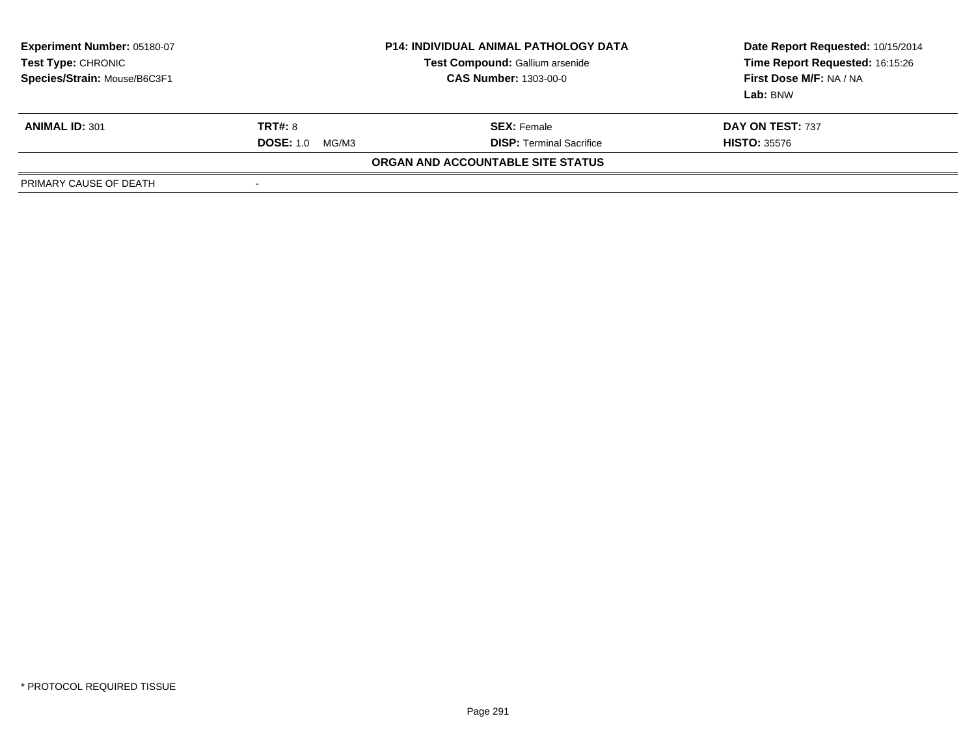| <b>Experiment Number: 05180-07</b><br>Test Type: CHRONIC<br>Species/Strain: Mouse/B6C3F1 | <b>P14: INDIVIDUAL ANIMAL PATHOLOGY DATA</b><br>Test Compound: Gallium arsenide<br><b>CAS Number: 1303-00-0</b> |                                   | Date Report Requested: 10/15/2014<br>Time Report Requested: 16:15:26<br>First Dose M/F: NA / NA<br>Lab: BNW |  |
|------------------------------------------------------------------------------------------|-----------------------------------------------------------------------------------------------------------------|-----------------------------------|-------------------------------------------------------------------------------------------------------------|--|
| <b>ANIMAL ID: 301</b>                                                                    | <b>TRT#: 8</b>                                                                                                  | <b>SEX: Female</b>                | DAY ON TEST: 737                                                                                            |  |
|                                                                                          | <b>DOSE: 1.0</b><br>MG/M3                                                                                       | <b>DISP: Terminal Sacrifice</b>   | <b>HISTO: 35576</b>                                                                                         |  |
|                                                                                          |                                                                                                                 | ORGAN AND ACCOUNTABLE SITE STATUS |                                                                                                             |  |
| PRIMARY CAUSE OF DEATH                                                                   | $\,$                                                                                                            |                                   |                                                                                                             |  |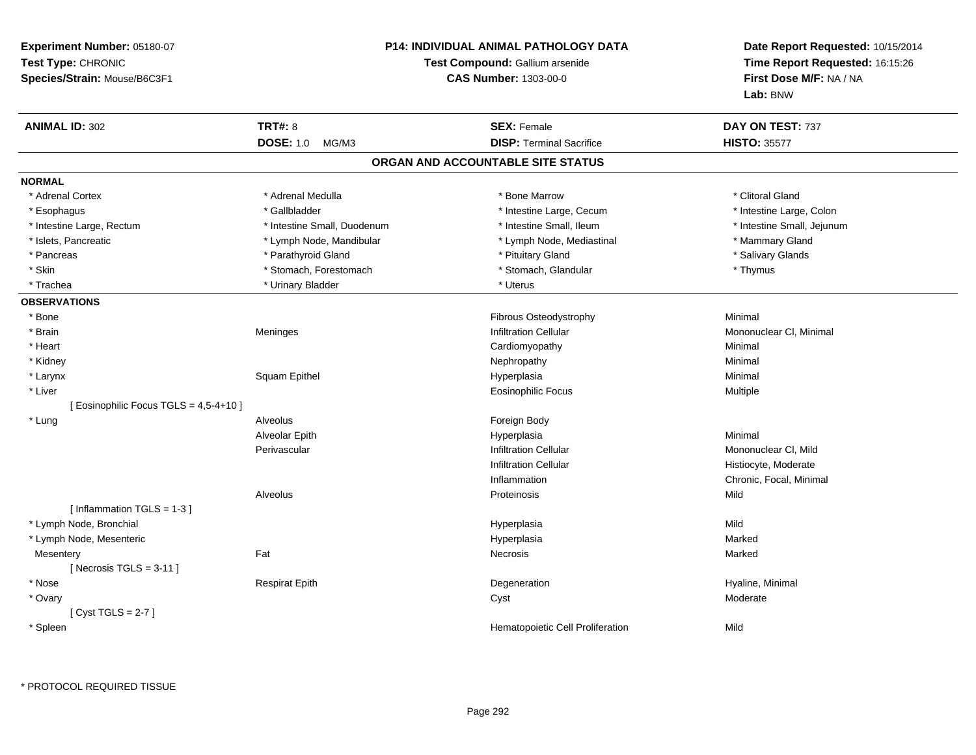| Experiment Number: 05180-07<br>Test Type: CHRONIC<br>Species/Strain: Mouse/B6C3F1 |                             | <b>P14: INDIVIDUAL ANIMAL PATHOLOGY DATA</b><br>Test Compound: Gallium arsenide<br><b>CAS Number: 1303-00-0</b> | Date Report Requested: 10/15/2014<br>Time Report Requested: 16:15:26<br>First Dose M/F: NA / NA<br>Lab: BNW |
|-----------------------------------------------------------------------------------|-----------------------------|-----------------------------------------------------------------------------------------------------------------|-------------------------------------------------------------------------------------------------------------|
| <b>ANIMAL ID: 302</b>                                                             | <b>TRT#: 8</b>              | <b>SEX: Female</b>                                                                                              | DAY ON TEST: 737                                                                                            |
|                                                                                   | DOSE: 1.0 MG/M3             | <b>DISP: Terminal Sacrifice</b>                                                                                 | <b>HISTO: 35577</b>                                                                                         |
|                                                                                   |                             | ORGAN AND ACCOUNTABLE SITE STATUS                                                                               |                                                                                                             |
| <b>NORMAL</b>                                                                     |                             |                                                                                                                 |                                                                                                             |
| * Adrenal Cortex                                                                  | * Adrenal Medulla           | * Bone Marrow                                                                                                   | * Clitoral Gland                                                                                            |
| * Esophagus                                                                       | * Gallbladder               | * Intestine Large, Cecum                                                                                        | * Intestine Large, Colon                                                                                    |
| * Intestine Large, Rectum                                                         | * Intestine Small, Duodenum | * Intestine Small, Ileum                                                                                        | * Intestine Small, Jejunum                                                                                  |
| * Islets, Pancreatic                                                              | * Lymph Node, Mandibular    | * Lymph Node, Mediastinal                                                                                       | * Mammary Gland                                                                                             |
| * Pancreas                                                                        | * Parathyroid Gland         | * Pituitary Gland                                                                                               | * Salivary Glands                                                                                           |
| * Skin                                                                            | * Stomach, Forestomach      | * Stomach, Glandular                                                                                            | * Thymus                                                                                                    |
| * Trachea                                                                         | * Urinary Bladder           | * Uterus                                                                                                        |                                                                                                             |
| <b>OBSERVATIONS</b>                                                               |                             |                                                                                                                 |                                                                                                             |
| * Bone                                                                            |                             | Fibrous Osteodystrophy                                                                                          | Minimal                                                                                                     |
| * Brain                                                                           | Meninges                    | <b>Infiltration Cellular</b>                                                                                    | Mononuclear CI, Minimal                                                                                     |
| * Heart                                                                           |                             | Cardiomyopathy                                                                                                  | Minimal                                                                                                     |
| * Kidney                                                                          |                             | Nephropathy                                                                                                     | Minimal                                                                                                     |
| * Larynx                                                                          | Squam Epithel               | Hyperplasia                                                                                                     | Minimal                                                                                                     |
| * Liver                                                                           |                             | <b>Eosinophilic Focus</b>                                                                                       | Multiple                                                                                                    |
| [ Eosinophilic Focus TGLS = 4,5-4+10 ]                                            |                             |                                                                                                                 |                                                                                                             |
| * Lung                                                                            | Alveolus                    | Foreign Body                                                                                                    |                                                                                                             |
|                                                                                   | Alveolar Epith              | Hyperplasia                                                                                                     | Minimal                                                                                                     |
|                                                                                   | Perivascular                | <b>Infiltration Cellular</b>                                                                                    | Mononuclear CI, Mild                                                                                        |
|                                                                                   |                             | <b>Infiltration Cellular</b>                                                                                    | Histiocyte, Moderate                                                                                        |
|                                                                                   |                             | Inflammation                                                                                                    | Chronic, Focal, Minimal                                                                                     |
|                                                                                   | Alveolus                    | Proteinosis                                                                                                     | Mild                                                                                                        |
| [Inflammation TGLS = $1-3$ ]                                                      |                             |                                                                                                                 |                                                                                                             |
| * Lymph Node, Bronchial                                                           |                             | Hyperplasia                                                                                                     | Mild                                                                                                        |
| * Lymph Node, Mesenteric                                                          |                             | Hyperplasia                                                                                                     | Marked                                                                                                      |
| Mesentery                                                                         | Fat                         | Necrosis                                                                                                        | Marked                                                                                                      |
| [Necrosis TGLS = $3-11$ ]                                                         |                             |                                                                                                                 |                                                                                                             |
| * Nose                                                                            | <b>Respirat Epith</b>       | Degeneration                                                                                                    | Hyaline, Minimal                                                                                            |
| * Ovary                                                                           |                             | Cyst                                                                                                            | Moderate                                                                                                    |
| [Cyst TGLS = $2-7$ ]                                                              |                             |                                                                                                                 |                                                                                                             |
| * Spleen                                                                          |                             | Hematopoietic Cell Proliferation                                                                                | Mild                                                                                                        |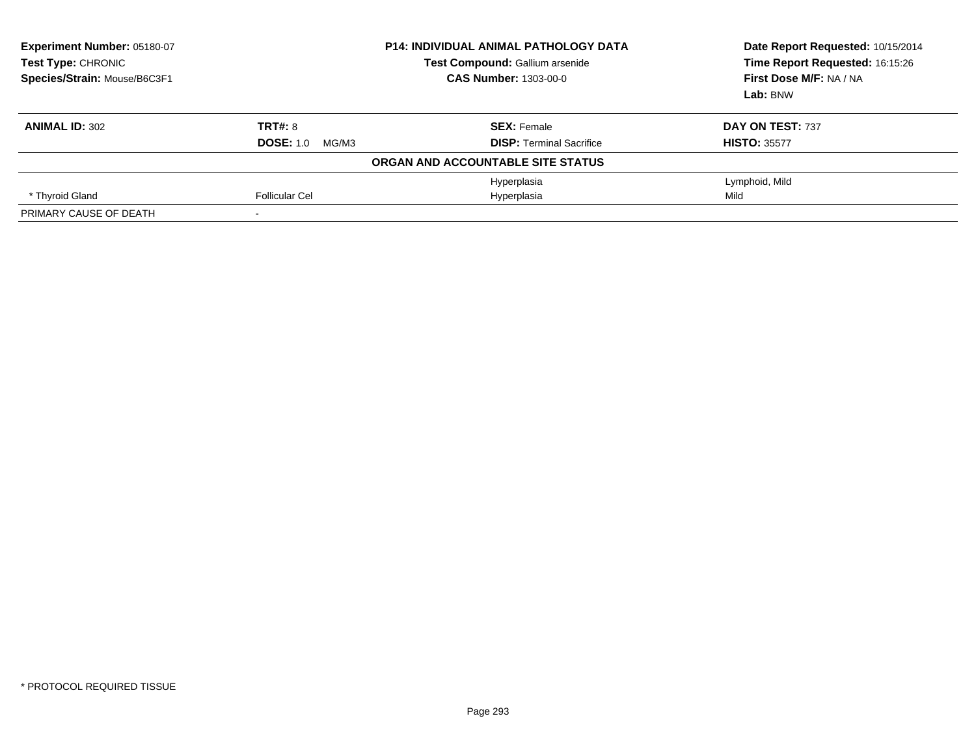| Experiment Number: 05180-07<br><b>Test Type: CHRONIC</b><br>Species/Strain: Mouse/B6C3F1 |                           | <b>P14: INDIVIDUAL ANIMAL PATHOLOGY DATA</b><br><b>Test Compound: Gallium arsenide</b><br><b>CAS Number: 1303-00-0</b> | Date Report Requested: 10/15/2014<br>Time Report Requested: 16:15:26<br>First Dose M/F: NA / NA<br>Lab: BNW |
|------------------------------------------------------------------------------------------|---------------------------|------------------------------------------------------------------------------------------------------------------------|-------------------------------------------------------------------------------------------------------------|
| <b>ANIMAL ID: 302</b>                                                                    | TRT#: 8                   | <b>SEX: Female</b>                                                                                                     | DAY ON TEST: 737                                                                                            |
|                                                                                          | <b>DOSE: 1.0</b><br>MG/M3 | <b>DISP: Terminal Sacrifice</b>                                                                                        | <b>HISTO: 35577</b>                                                                                         |
|                                                                                          |                           | ORGAN AND ACCOUNTABLE SITE STATUS                                                                                      |                                                                                                             |
|                                                                                          |                           | Hyperplasia                                                                                                            | Lymphoid, Mild                                                                                              |
| * Thyroid Gland                                                                          | Follicular Cel            | Hyperplasia                                                                                                            | Mild                                                                                                        |
| PRIMARY CAUSE OF DEATH                                                                   |                           |                                                                                                                        |                                                                                                             |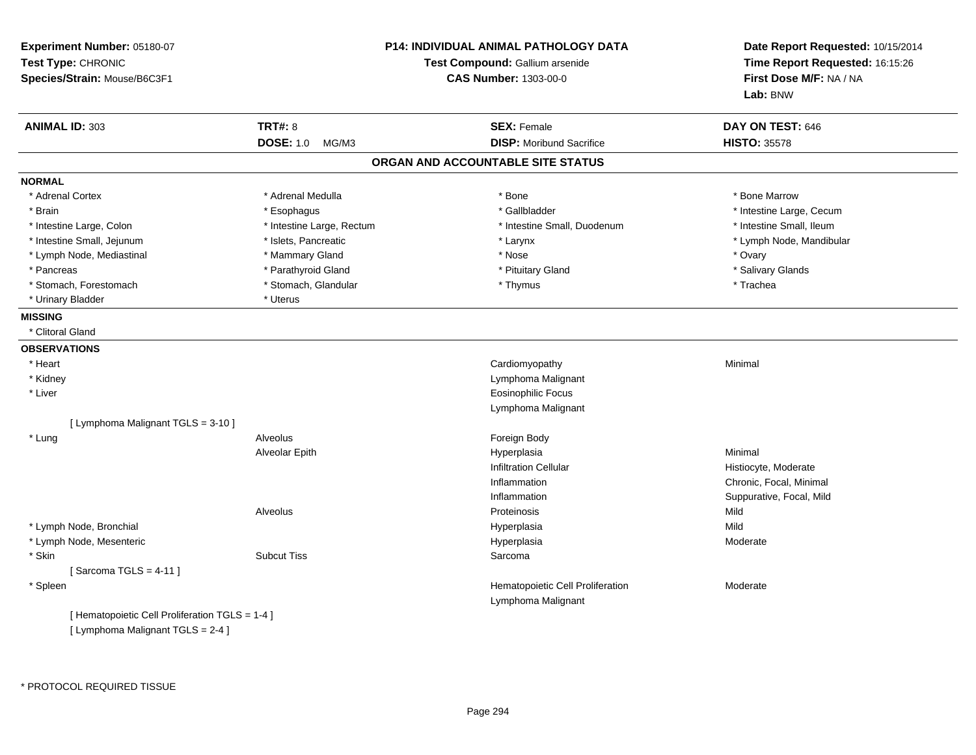| Experiment Number: 05180-07<br>Test Type: CHRONIC<br>Species/Strain: Mouse/B6C3F1 |                           | <b>P14: INDIVIDUAL ANIMAL PATHOLOGY DATA</b><br>Test Compound: Gallium arsenide<br><b>CAS Number: 1303-00-0</b> | Date Report Requested: 10/15/2014<br>Time Report Requested: 16:15:26<br>First Dose M/F: NA / NA<br>Lab: BNW |
|-----------------------------------------------------------------------------------|---------------------------|-----------------------------------------------------------------------------------------------------------------|-------------------------------------------------------------------------------------------------------------|
| <b>ANIMAL ID: 303</b>                                                             | <b>TRT#: 8</b>            | <b>SEX: Female</b>                                                                                              | DAY ON TEST: 646                                                                                            |
|                                                                                   | <b>DOSE: 1.0</b><br>MG/M3 | <b>DISP:</b> Moribund Sacrifice                                                                                 | <b>HISTO: 35578</b>                                                                                         |
|                                                                                   |                           | ORGAN AND ACCOUNTABLE SITE STATUS                                                                               |                                                                                                             |
| <b>NORMAL</b>                                                                     |                           |                                                                                                                 |                                                                                                             |
| * Adrenal Cortex                                                                  | * Adrenal Medulla         | * Bone                                                                                                          | * Bone Marrow                                                                                               |
| * Brain                                                                           | * Esophagus               | * Gallbladder                                                                                                   | * Intestine Large, Cecum                                                                                    |
| * Intestine Large, Colon                                                          | * Intestine Large, Rectum | * Intestine Small, Duodenum                                                                                     | * Intestine Small, Ileum                                                                                    |
| * Intestine Small, Jejunum                                                        | * Islets, Pancreatic      | * Larynx                                                                                                        | * Lymph Node, Mandibular                                                                                    |
| * Lymph Node, Mediastinal                                                         | * Mammary Gland           | * Nose                                                                                                          | * Ovary                                                                                                     |
| * Pancreas                                                                        | * Parathyroid Gland       | * Pituitary Gland                                                                                               | * Salivary Glands                                                                                           |
| * Stomach, Forestomach                                                            | * Stomach, Glandular      | * Thymus                                                                                                        | * Trachea                                                                                                   |
| * Urinary Bladder                                                                 | * Uterus                  |                                                                                                                 |                                                                                                             |
| <b>MISSING</b>                                                                    |                           |                                                                                                                 |                                                                                                             |
| * Clitoral Gland                                                                  |                           |                                                                                                                 |                                                                                                             |
| <b>OBSERVATIONS</b>                                                               |                           |                                                                                                                 |                                                                                                             |
| * Heart                                                                           |                           | Cardiomyopathy                                                                                                  | Minimal                                                                                                     |
| * Kidney                                                                          |                           | Lymphoma Malignant                                                                                              |                                                                                                             |
| * Liver                                                                           |                           | <b>Eosinophilic Focus</b>                                                                                       |                                                                                                             |
|                                                                                   |                           | Lymphoma Malignant                                                                                              |                                                                                                             |
| [ Lymphoma Malignant TGLS = 3-10 ]                                                |                           |                                                                                                                 |                                                                                                             |
| * Lung                                                                            | Alveolus                  | Foreign Body                                                                                                    |                                                                                                             |
|                                                                                   | Alveolar Epith            | Hyperplasia                                                                                                     | Minimal                                                                                                     |
|                                                                                   |                           | <b>Infiltration Cellular</b>                                                                                    | Histiocyte, Moderate                                                                                        |
|                                                                                   |                           | Inflammation                                                                                                    | Chronic, Focal, Minimal                                                                                     |
|                                                                                   |                           | Inflammation                                                                                                    | Suppurative, Focal, Mild                                                                                    |
|                                                                                   | Alveolus                  | Proteinosis                                                                                                     | Mild                                                                                                        |
| * Lymph Node, Bronchial                                                           |                           | Hyperplasia                                                                                                     | Mild                                                                                                        |
| * Lymph Node, Mesenteric                                                          |                           | Hyperplasia                                                                                                     | Moderate                                                                                                    |
| * Skin                                                                            | <b>Subcut Tiss</b>        | Sarcoma                                                                                                         |                                                                                                             |
| [Sarcoma TGLS = $4-11$ ]                                                          |                           |                                                                                                                 |                                                                                                             |
| * Spleen                                                                          |                           | Hematopoietic Cell Proliferation                                                                                | Moderate                                                                                                    |
|                                                                                   |                           | Lymphoma Malignant                                                                                              |                                                                                                             |
| [ Hematopoietic Cell Proliferation TGLS = 1-4 ]                                   |                           |                                                                                                                 |                                                                                                             |
| [ Lymphoma Malignant TGLS = 2-4 ]                                                 |                           |                                                                                                                 |                                                                                                             |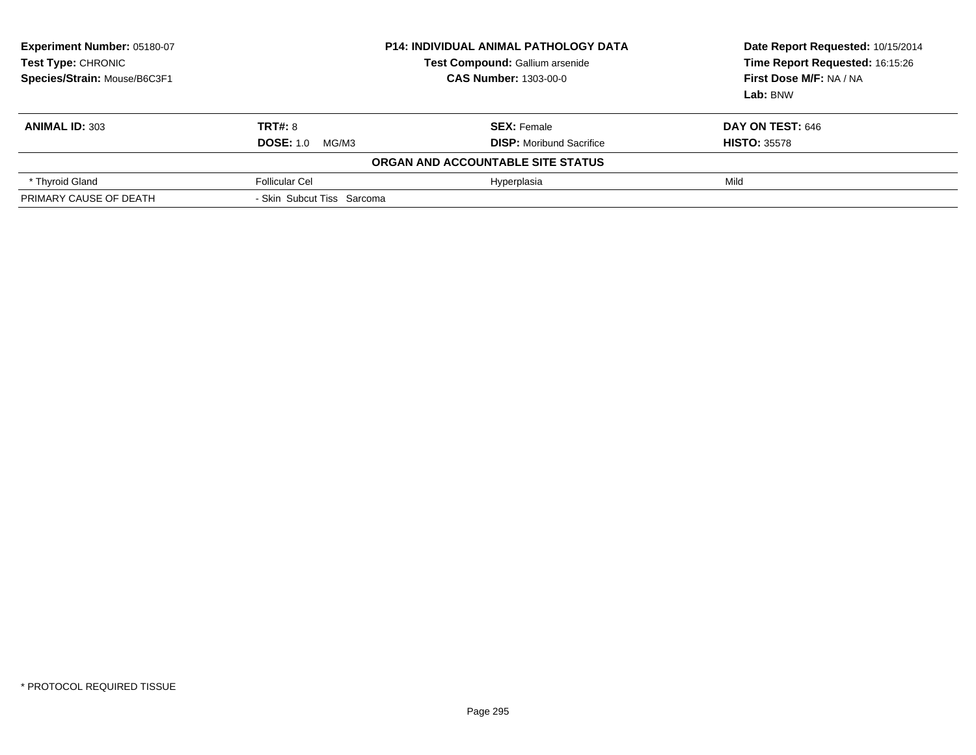| Experiment Number: 05180-07<br>Test Type: CHRONIC<br>Species/Strain: Mouse/B6C3F1 | <b>P14: INDIVIDUAL ANIMAL PATHOLOGY DATA</b><br>Test Compound: Gallium arsenide<br><b>CAS Number: 1303-00-0</b> |                                   | Date Report Requested: 10/15/2014<br>Time Report Requested: 16:15:26<br>First Dose M/F: NA / NA<br>Lab: BNW |
|-----------------------------------------------------------------------------------|-----------------------------------------------------------------------------------------------------------------|-----------------------------------|-------------------------------------------------------------------------------------------------------------|
| <b>ANIMAL ID: 303</b>                                                             | <b>TRT#: 8</b>                                                                                                  | <b>SEX: Female</b>                | <b>DAY ON TEST: 646</b>                                                                                     |
|                                                                                   | <b>DOSE: 1.0</b><br>MG/M3                                                                                       | <b>DISP:</b> Moribund Sacrifice   | <b>HISTO: 35578</b>                                                                                         |
|                                                                                   |                                                                                                                 | ORGAN AND ACCOUNTABLE SITE STATUS |                                                                                                             |
| * Thyroid Gland                                                                   | <b>Follicular Cel</b>                                                                                           | Hyperplasia                       | Mild                                                                                                        |
| PRIMARY CAUSE OF DEATH                                                            | - Skin Subcut Tiss Sarcoma                                                                                      |                                   |                                                                                                             |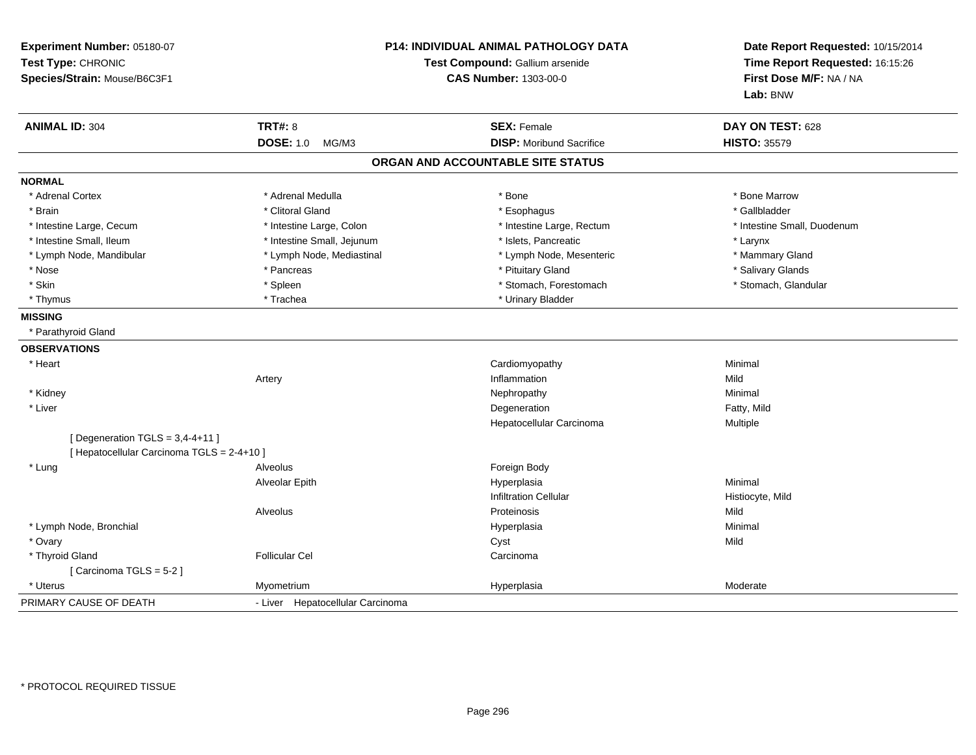| Experiment Number: 05180-07<br>Test Type: CHRONIC<br>Species/Strain: Mouse/B6C3F1 | P14: INDIVIDUAL ANIMAL PATHOLOGY DATA<br>Test Compound: Gallium arsenide<br><b>CAS Number: 1303-00-0</b> |                                   | Date Report Requested: 10/15/2014<br>Time Report Requested: 16:15:26<br>First Dose M/F: NA / NA<br>Lab: BNW |
|-----------------------------------------------------------------------------------|----------------------------------------------------------------------------------------------------------|-----------------------------------|-------------------------------------------------------------------------------------------------------------|
| <b>ANIMAL ID: 304</b>                                                             | <b>TRT#: 8</b>                                                                                           | <b>SEX: Female</b>                | DAY ON TEST: 628                                                                                            |
|                                                                                   | <b>DOSE: 1.0</b><br>MG/M3                                                                                | <b>DISP:</b> Moribund Sacrifice   | <b>HISTO: 35579</b>                                                                                         |
|                                                                                   |                                                                                                          | ORGAN AND ACCOUNTABLE SITE STATUS |                                                                                                             |
| <b>NORMAL</b>                                                                     |                                                                                                          |                                   |                                                                                                             |
| * Adrenal Cortex                                                                  | * Adrenal Medulla                                                                                        | * Bone                            | * Bone Marrow                                                                                               |
| * Brain                                                                           | * Clitoral Gland                                                                                         | * Esophagus                       | * Gallbladder                                                                                               |
| * Intestine Large, Cecum                                                          | * Intestine Large, Colon                                                                                 | * Intestine Large, Rectum         | * Intestine Small, Duodenum                                                                                 |
| * Intestine Small, Ileum                                                          | * Intestine Small, Jejunum                                                                               | * Islets, Pancreatic              | * Larynx                                                                                                    |
| * Lymph Node, Mandibular                                                          | * Lymph Node, Mediastinal                                                                                | * Lymph Node, Mesenteric          | * Mammary Gland                                                                                             |
| * Nose                                                                            | * Pancreas                                                                                               | * Pituitary Gland                 | * Salivary Glands                                                                                           |
| * Skin                                                                            | * Spleen                                                                                                 | * Stomach, Forestomach            | * Stomach, Glandular                                                                                        |
| * Thymus                                                                          | * Trachea                                                                                                | * Urinary Bladder                 |                                                                                                             |
| <b>MISSING</b>                                                                    |                                                                                                          |                                   |                                                                                                             |
| * Parathyroid Gland                                                               |                                                                                                          |                                   |                                                                                                             |
| <b>OBSERVATIONS</b>                                                               |                                                                                                          |                                   |                                                                                                             |
| * Heart                                                                           |                                                                                                          | Cardiomyopathy                    | Minimal                                                                                                     |
|                                                                                   | Artery                                                                                                   | Inflammation                      | Mild                                                                                                        |
| * Kidney                                                                          |                                                                                                          | Nephropathy                       | Minimal                                                                                                     |
| * Liver                                                                           |                                                                                                          | Degeneration                      | Fatty, Mild                                                                                                 |
|                                                                                   |                                                                                                          | Hepatocellular Carcinoma          | Multiple                                                                                                    |
| [ Degeneration $TGLS = 3,4-4+11$ ]                                                |                                                                                                          |                                   |                                                                                                             |
| [ Hepatocellular Carcinoma TGLS = 2-4+10 ]                                        |                                                                                                          |                                   |                                                                                                             |
| * Lung                                                                            | Alveolus                                                                                                 | Foreign Body                      |                                                                                                             |
|                                                                                   | Alveolar Epith                                                                                           | Hyperplasia                       | Minimal                                                                                                     |
|                                                                                   |                                                                                                          | <b>Infiltration Cellular</b>      | Histiocyte, Mild                                                                                            |
|                                                                                   | Alveolus                                                                                                 | Proteinosis                       | Mild                                                                                                        |
| * Lymph Node, Bronchial                                                           |                                                                                                          | Hyperplasia                       | Minimal                                                                                                     |
| * Ovary                                                                           |                                                                                                          | Cyst                              | Mild                                                                                                        |
| * Thyroid Gland                                                                   | <b>Follicular Cel</b>                                                                                    | Carcinoma                         |                                                                                                             |
| [Carcinoma TGLS = 5-2]                                                            |                                                                                                          |                                   |                                                                                                             |
| * Uterus                                                                          | Myometrium                                                                                               | Hyperplasia                       | Moderate                                                                                                    |
| PRIMARY CAUSE OF DEATH                                                            | - Liver Hepatocellular Carcinoma                                                                         |                                   |                                                                                                             |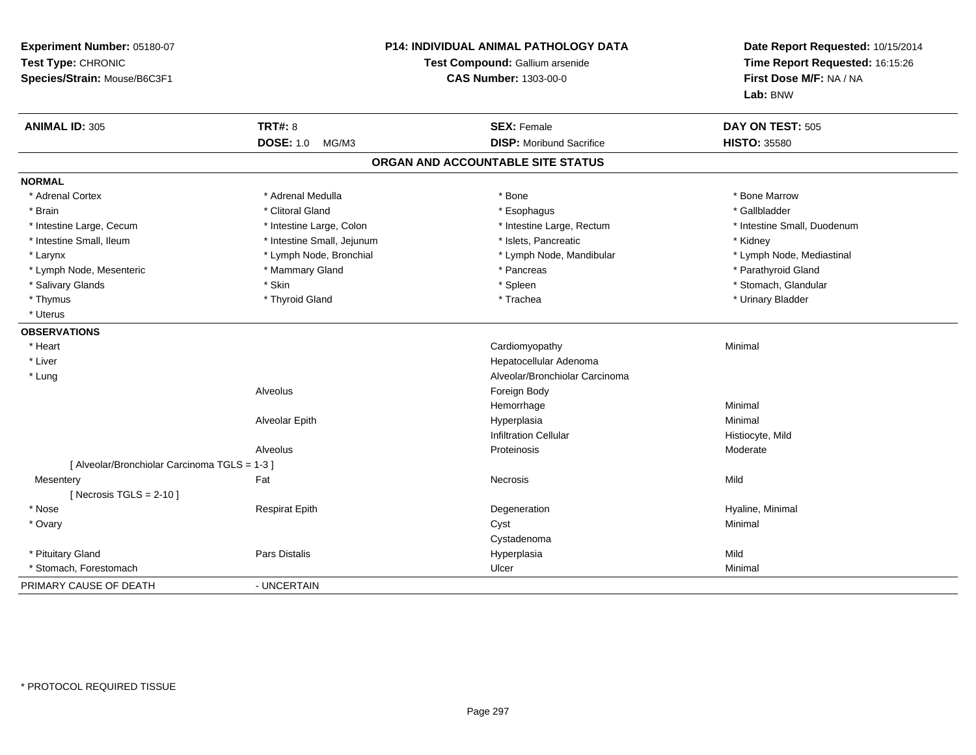| Experiment Number: 05180-07<br>Test Type: CHRONIC<br>Species/Strain: Mouse/B6C3F1 |                            | <b>P14: INDIVIDUAL ANIMAL PATHOLOGY DATA</b><br>Test Compound: Gallium arsenide<br><b>CAS Number: 1303-00-0</b> |                             |
|-----------------------------------------------------------------------------------|----------------------------|-----------------------------------------------------------------------------------------------------------------|-----------------------------|
| <b>ANIMAL ID: 305</b>                                                             | <b>TRT#: 8</b>             | <b>SEX: Female</b>                                                                                              | DAY ON TEST: 505            |
|                                                                                   | <b>DOSE: 1.0</b><br>MG/M3  | <b>DISP:</b> Moribund Sacrifice                                                                                 | <b>HISTO: 35580</b>         |
|                                                                                   |                            | ORGAN AND ACCOUNTABLE SITE STATUS                                                                               |                             |
| <b>NORMAL</b>                                                                     |                            |                                                                                                                 |                             |
| * Adrenal Cortex                                                                  | * Adrenal Medulla          | * Bone                                                                                                          | * Bone Marrow               |
| * Brain                                                                           | * Clitoral Gland           | * Esophagus                                                                                                     | * Gallbladder               |
| * Intestine Large, Cecum                                                          | * Intestine Large, Colon   | * Intestine Large, Rectum                                                                                       | * Intestine Small, Duodenum |
| * Intestine Small, Ileum                                                          | * Intestine Small, Jejunum | * Islets, Pancreatic                                                                                            | * Kidney                    |
| * Larynx                                                                          | * Lymph Node, Bronchial    | * Lymph Node, Mandibular                                                                                        | * Lymph Node, Mediastinal   |
| * Lymph Node, Mesenteric                                                          | * Mammary Gland            | * Pancreas                                                                                                      | * Parathyroid Gland         |
| * Salivary Glands                                                                 | * Skin                     | * Spleen                                                                                                        | * Stomach, Glandular        |
| * Thymus                                                                          | * Thyroid Gland            | * Trachea                                                                                                       | * Urinary Bladder           |
| * Uterus                                                                          |                            |                                                                                                                 |                             |
| <b>OBSERVATIONS</b>                                                               |                            |                                                                                                                 |                             |
| * Heart                                                                           |                            | Cardiomyopathy                                                                                                  | Minimal                     |
| * Liver                                                                           |                            | Hepatocellular Adenoma                                                                                          |                             |
| * Lung                                                                            |                            | Alveolar/Bronchiolar Carcinoma                                                                                  |                             |
|                                                                                   | Alveolus                   | Foreign Body                                                                                                    |                             |
|                                                                                   |                            | Hemorrhage                                                                                                      | Minimal                     |
|                                                                                   | Alveolar Epith             | Hyperplasia                                                                                                     | Minimal                     |
|                                                                                   |                            | <b>Infiltration Cellular</b>                                                                                    | Histiocyte, Mild            |
|                                                                                   | Alveolus                   | Proteinosis                                                                                                     | Moderate                    |
| [ Alveolar/Bronchiolar Carcinoma TGLS = 1-3 ]                                     |                            |                                                                                                                 |                             |
| Mesentery                                                                         | Fat                        | <b>Necrosis</b>                                                                                                 | Mild                        |
| [Necrosis TGLS = $2-10$ ]                                                         |                            |                                                                                                                 |                             |
| * Nose                                                                            | <b>Respirat Epith</b>      | Degeneration                                                                                                    | Hyaline, Minimal            |
| * Ovary                                                                           |                            | Cyst                                                                                                            | Minimal                     |
|                                                                                   |                            | Cystadenoma                                                                                                     |                             |
| * Pituitary Gland                                                                 | Pars Distalis              | Hyperplasia                                                                                                     | Mild                        |
| * Stomach, Forestomach                                                            |                            | Ulcer                                                                                                           | Minimal                     |
| PRIMARY CAUSE OF DEATH                                                            | - UNCERTAIN                |                                                                                                                 |                             |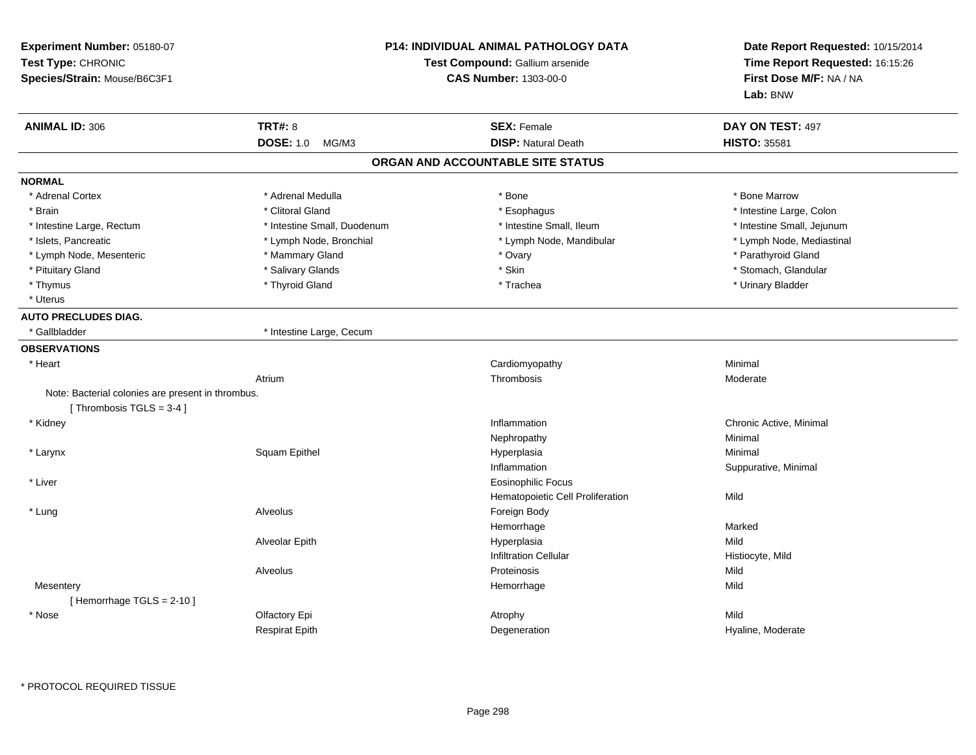| Experiment Number: 05180-07<br>Test Type: CHRONIC<br>Species/Strain: Mouse/B6C3F1 |                             | <b>P14: INDIVIDUAL ANIMAL PATHOLOGY DATA</b><br>Test Compound: Gallium arsenide<br><b>CAS Number: 1303-00-0</b> | Date Report Requested: 10/15/2014<br>Time Report Requested: 16:15:26<br>First Dose M/F: NA / NA<br>Lab: BNW |
|-----------------------------------------------------------------------------------|-----------------------------|-----------------------------------------------------------------------------------------------------------------|-------------------------------------------------------------------------------------------------------------|
| <b>ANIMAL ID: 306</b>                                                             | <b>TRT#: 8</b>              | <b>SEX: Female</b>                                                                                              | DAY ON TEST: 497                                                                                            |
|                                                                                   | <b>DOSE: 1.0</b><br>MG/M3   | <b>DISP: Natural Death</b>                                                                                      | <b>HISTO: 35581</b>                                                                                         |
|                                                                                   |                             | ORGAN AND ACCOUNTABLE SITE STATUS                                                                               |                                                                                                             |
| <b>NORMAL</b>                                                                     |                             |                                                                                                                 |                                                                                                             |
| * Adrenal Cortex                                                                  | * Adrenal Medulla           | * Bone                                                                                                          | * Bone Marrow                                                                                               |
| * Brain                                                                           | * Clitoral Gland            | * Esophagus                                                                                                     | * Intestine Large, Colon                                                                                    |
| * Intestine Large, Rectum                                                         | * Intestine Small, Duodenum | * Intestine Small, Ileum                                                                                        | * Intestine Small, Jejunum                                                                                  |
| * Islets, Pancreatic                                                              | * Lymph Node, Bronchial     | * Lymph Node, Mandibular                                                                                        | * Lymph Node, Mediastinal                                                                                   |
| * Lymph Node, Mesenteric                                                          | * Mammary Gland             | * Ovary                                                                                                         | * Parathyroid Gland                                                                                         |
| * Pituitary Gland                                                                 | * Salivary Glands           | * Skin                                                                                                          | * Stomach, Glandular                                                                                        |
| * Thymus                                                                          | * Thyroid Gland             | * Trachea                                                                                                       | * Urinary Bladder                                                                                           |
| * Uterus                                                                          |                             |                                                                                                                 |                                                                                                             |
| <b>AUTO PRECLUDES DIAG.</b>                                                       |                             |                                                                                                                 |                                                                                                             |
| * Gallbladder                                                                     | * Intestine Large, Cecum    |                                                                                                                 |                                                                                                             |
| <b>OBSERVATIONS</b>                                                               |                             |                                                                                                                 |                                                                                                             |
| * Heart                                                                           |                             | Cardiomyopathy                                                                                                  | Minimal                                                                                                     |
|                                                                                   | Atrium                      | Thrombosis                                                                                                      | Moderate                                                                                                    |
| Note: Bacterial colonies are present in thrombus.                                 |                             |                                                                                                                 |                                                                                                             |
| [Thrombosis TGLS = 3-4]                                                           |                             |                                                                                                                 |                                                                                                             |
| * Kidney                                                                          |                             | Inflammation                                                                                                    | Chronic Active, Minimal                                                                                     |
|                                                                                   |                             | Nephropathy                                                                                                     | Minimal                                                                                                     |
| * Larynx                                                                          | Squam Epithel               | Hyperplasia                                                                                                     | Minimal                                                                                                     |
|                                                                                   |                             | Inflammation                                                                                                    | Suppurative, Minimal                                                                                        |
| * Liver                                                                           |                             | <b>Eosinophilic Focus</b>                                                                                       |                                                                                                             |
|                                                                                   |                             | Hematopoietic Cell Proliferation                                                                                | Mild                                                                                                        |
| * Lung                                                                            | Alveolus                    | Foreign Body                                                                                                    |                                                                                                             |
|                                                                                   |                             | Hemorrhage                                                                                                      | Marked                                                                                                      |
|                                                                                   | Alveolar Epith              | Hyperplasia                                                                                                     | Mild                                                                                                        |
|                                                                                   |                             | <b>Infiltration Cellular</b>                                                                                    | Histiocyte, Mild                                                                                            |
|                                                                                   | Alveolus                    | Proteinosis                                                                                                     | Mild                                                                                                        |
| Mesentery                                                                         |                             | Hemorrhage                                                                                                      | Mild                                                                                                        |
| [Hemorrhage TGLS = $2-10$ ]                                                       |                             |                                                                                                                 |                                                                                                             |
| * Nose                                                                            | Olfactory Epi               | Atrophy                                                                                                         | Mild                                                                                                        |
|                                                                                   | <b>Respirat Epith</b>       | Degeneration                                                                                                    | Hyaline, Moderate                                                                                           |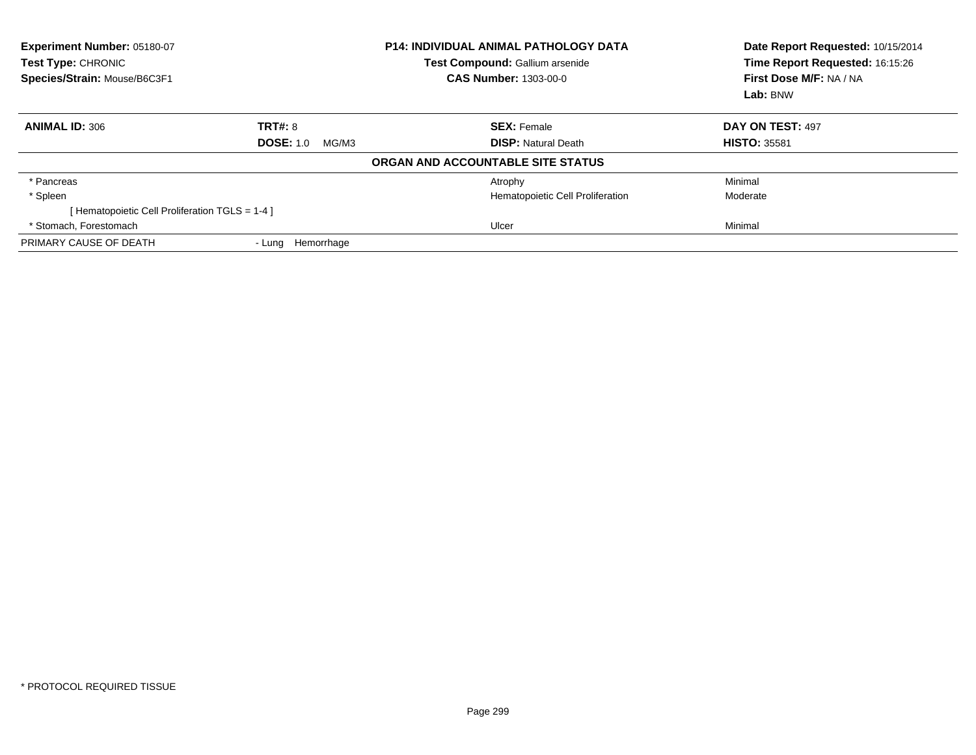| Experiment Number: 05180-07<br><b>Test Type: CHRONIC</b><br>Species/Strain: Mouse/B6C3F1 | <b>P14: INDIVIDUAL ANIMAL PATHOLOGY DATA</b><br><b>Test Compound: Gallium arsenide</b><br><b>CAS Number: 1303-00-0</b> |                                   | Date Report Requested: 10/15/2014<br>Time Report Requested: 16:15:26<br>First Dose M/F: NA / NA<br>Lab: BNW |  |
|------------------------------------------------------------------------------------------|------------------------------------------------------------------------------------------------------------------------|-----------------------------------|-------------------------------------------------------------------------------------------------------------|--|
| <b>ANIMAL ID: 306</b>                                                                    | TRT#: 8                                                                                                                | <b>SEX: Female</b>                | DAY ON TEST: 497                                                                                            |  |
|                                                                                          | <b>DOSE: 1.0</b><br>MG/M3                                                                                              | <b>DISP:</b> Natural Death        | <b>HISTO: 35581</b>                                                                                         |  |
|                                                                                          |                                                                                                                        | ORGAN AND ACCOUNTABLE SITE STATUS |                                                                                                             |  |
| * Pancreas                                                                               |                                                                                                                        | Atrophy                           | Minimal                                                                                                     |  |
| * Spleen                                                                                 |                                                                                                                        | Hematopoietic Cell Proliferation  | Moderate                                                                                                    |  |
| [ Hematopoietic Cell Proliferation TGLS = 1-4 ]                                          |                                                                                                                        |                                   |                                                                                                             |  |
| * Stomach. Forestomach                                                                   |                                                                                                                        | Ulcer                             | Minimal                                                                                                     |  |
| PRIMARY CAUSE OF DEATH                                                                   | - Lung Hemorrhage                                                                                                      |                                   |                                                                                                             |  |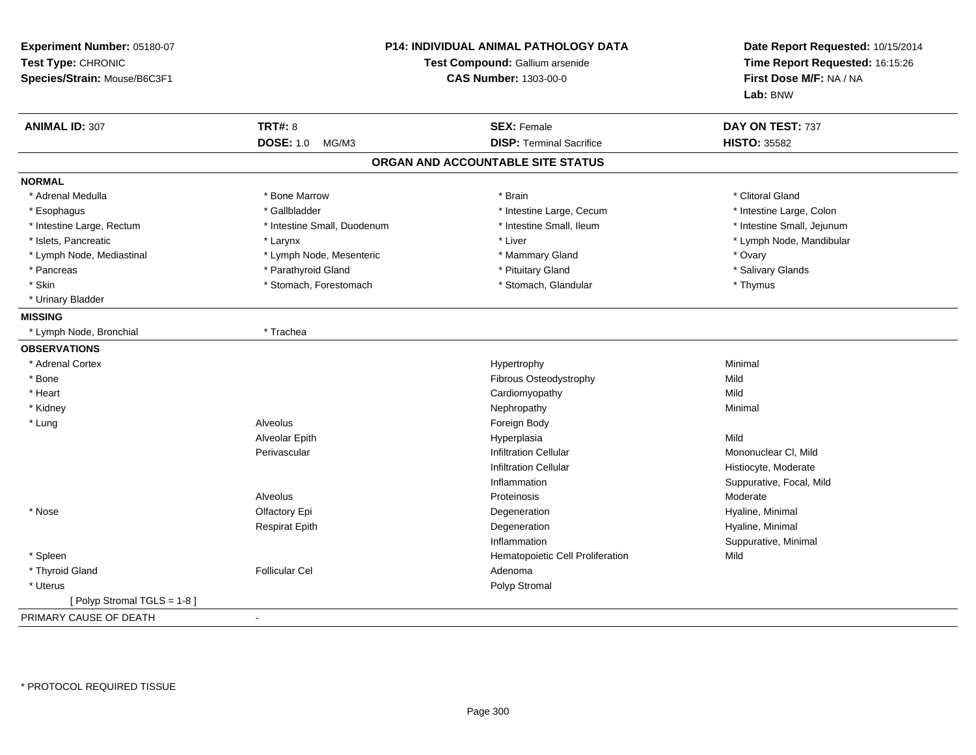| Experiment Number: 05180-07<br>Test Type: CHRONIC<br>Species/Strain: Mouse/B6C3F1 |                             | P14: INDIVIDUAL ANIMAL PATHOLOGY DATA<br>Test Compound: Gallium arsenide<br><b>CAS Number: 1303-00-0</b> | Date Report Requested: 10/15/2014<br>Time Report Requested: 16:15:26<br>First Dose M/F: NA / NA<br>Lab: BNW |
|-----------------------------------------------------------------------------------|-----------------------------|----------------------------------------------------------------------------------------------------------|-------------------------------------------------------------------------------------------------------------|
| <b>ANIMAL ID: 307</b>                                                             | <b>TRT#: 8</b>              | <b>SEX: Female</b>                                                                                       | DAY ON TEST: 737                                                                                            |
|                                                                                   | <b>DOSE: 1.0</b><br>MG/M3   | <b>DISP: Terminal Sacrifice</b>                                                                          | <b>HISTO: 35582</b>                                                                                         |
|                                                                                   |                             | ORGAN AND ACCOUNTABLE SITE STATUS                                                                        |                                                                                                             |
| <b>NORMAL</b>                                                                     |                             |                                                                                                          |                                                                                                             |
| * Adrenal Medulla                                                                 | * Bone Marrow               | * Brain                                                                                                  | * Clitoral Gland                                                                                            |
| * Esophagus                                                                       | * Gallbladder               | * Intestine Large, Cecum                                                                                 | * Intestine Large, Colon                                                                                    |
| * Intestine Large, Rectum                                                         | * Intestine Small, Duodenum | * Intestine Small, Ileum                                                                                 | * Intestine Small, Jejunum                                                                                  |
| * Islets, Pancreatic                                                              | * Larynx                    | * Liver                                                                                                  | * Lymph Node, Mandibular                                                                                    |
| * Lymph Node, Mediastinal                                                         | * Lymph Node, Mesenteric    | * Mammary Gland                                                                                          | * Ovary                                                                                                     |
| * Pancreas                                                                        | * Parathyroid Gland         | * Pituitary Gland                                                                                        | * Salivary Glands                                                                                           |
| * Skin                                                                            | * Stomach, Forestomach      | * Stomach, Glandular                                                                                     | * Thymus                                                                                                    |
| * Urinary Bladder                                                                 |                             |                                                                                                          |                                                                                                             |
| <b>MISSING</b>                                                                    |                             |                                                                                                          |                                                                                                             |
| * Lymph Node, Bronchial                                                           | * Trachea                   |                                                                                                          |                                                                                                             |
| <b>OBSERVATIONS</b>                                                               |                             |                                                                                                          |                                                                                                             |
| * Adrenal Cortex                                                                  |                             | Hypertrophy                                                                                              | Minimal                                                                                                     |
| * Bone                                                                            |                             | Fibrous Osteodystrophy                                                                                   | Mild                                                                                                        |
| * Heart                                                                           |                             | Cardiomyopathy                                                                                           | Mild                                                                                                        |
| * Kidney                                                                          |                             | Nephropathy                                                                                              | Minimal                                                                                                     |
| * Lung                                                                            | Alveolus                    | Foreign Body                                                                                             |                                                                                                             |
|                                                                                   | Alveolar Epith              | Hyperplasia                                                                                              | Mild                                                                                                        |
|                                                                                   | Perivascular                | <b>Infiltration Cellular</b>                                                                             | Mononuclear CI, Mild                                                                                        |
|                                                                                   |                             | <b>Infiltration Cellular</b>                                                                             | Histiocyte, Moderate                                                                                        |
|                                                                                   |                             | Inflammation                                                                                             | Suppurative, Focal, Mild                                                                                    |
|                                                                                   | Alveolus                    | Proteinosis                                                                                              | Moderate                                                                                                    |
| * Nose                                                                            | Olfactory Epi               | Degeneration                                                                                             | Hyaline, Minimal                                                                                            |
|                                                                                   | <b>Respirat Epith</b>       | Degeneration                                                                                             | Hyaline, Minimal                                                                                            |
|                                                                                   |                             | Inflammation                                                                                             | Suppurative, Minimal                                                                                        |
| * Spleen                                                                          |                             | Hematopoietic Cell Proliferation                                                                         | Mild                                                                                                        |
| * Thyroid Gland                                                                   | <b>Follicular Cel</b>       | Adenoma                                                                                                  |                                                                                                             |
| * Uterus                                                                          |                             | Polyp Stromal                                                                                            |                                                                                                             |
| [Polyp Stromal TGLS = 1-8]                                                        |                             |                                                                                                          |                                                                                                             |
| PRIMARY CAUSE OF DEATH                                                            | $\sim$                      |                                                                                                          |                                                                                                             |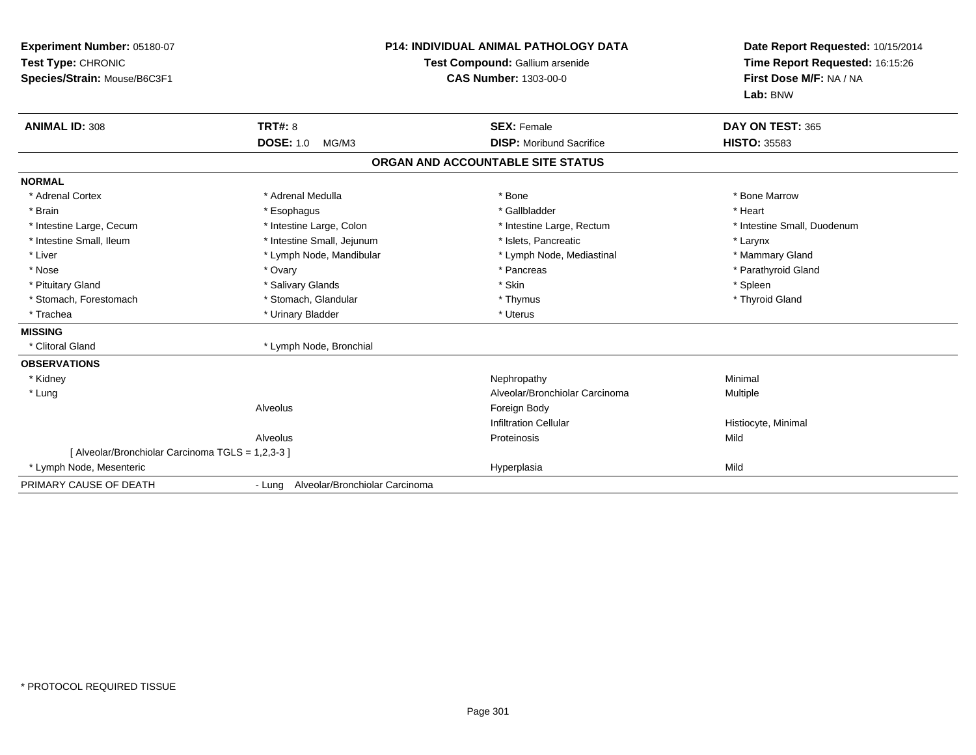| Experiment Number: 05180-07<br>Test Type: CHRONIC<br>Species/Strain: Mouse/B6C3F1<br><b>ANIMAL ID: 308</b> | TRT#: 8                               | P14: INDIVIDUAL ANIMAL PATHOLOGY DATA<br>Test Compound: Gallium arsenide<br><b>CAS Number: 1303-00-0</b><br><b>SEX: Female</b> | Date Report Requested: 10/15/2014<br>Time Report Requested: 16:15:26<br>First Dose M/F: NA / NA<br>Lab: BNW<br>DAY ON TEST: 365 |
|------------------------------------------------------------------------------------------------------------|---------------------------------------|--------------------------------------------------------------------------------------------------------------------------------|---------------------------------------------------------------------------------------------------------------------------------|
|                                                                                                            | <b>DOSE: 1.0</b><br>MG/M3             | <b>DISP:</b> Moribund Sacrifice                                                                                                | <b>HISTO: 35583</b>                                                                                                             |
|                                                                                                            |                                       | ORGAN AND ACCOUNTABLE SITE STATUS                                                                                              |                                                                                                                                 |
| <b>NORMAL</b>                                                                                              |                                       |                                                                                                                                |                                                                                                                                 |
| * Adrenal Cortex                                                                                           | * Adrenal Medulla                     | * Bone                                                                                                                         | * Bone Marrow                                                                                                                   |
| * Brain                                                                                                    | * Esophagus                           | * Gallbladder                                                                                                                  | * Heart                                                                                                                         |
| * Intestine Large, Cecum                                                                                   | * Intestine Large, Colon              | * Intestine Large, Rectum                                                                                                      | * Intestine Small, Duodenum                                                                                                     |
| * Intestine Small, Ileum                                                                                   | * Intestine Small, Jejunum            | * Islets, Pancreatic                                                                                                           | * Larynx                                                                                                                        |
| * Liver                                                                                                    | * Lymph Node, Mandibular              | * Lymph Node, Mediastinal                                                                                                      | * Mammary Gland                                                                                                                 |
| * Nose                                                                                                     | * Ovary                               | * Pancreas                                                                                                                     | * Parathyroid Gland                                                                                                             |
| * Pituitary Gland                                                                                          | * Salivary Glands                     | * Skin                                                                                                                         | * Spleen                                                                                                                        |
| * Stomach, Forestomach                                                                                     | * Stomach, Glandular                  | * Thymus                                                                                                                       | * Thyroid Gland                                                                                                                 |
| * Trachea                                                                                                  | * Urinary Bladder                     | * Uterus                                                                                                                       |                                                                                                                                 |
| <b>MISSING</b>                                                                                             |                                       |                                                                                                                                |                                                                                                                                 |
| * Clitoral Gland                                                                                           | * Lymph Node, Bronchial               |                                                                                                                                |                                                                                                                                 |
| <b>OBSERVATIONS</b>                                                                                        |                                       |                                                                                                                                |                                                                                                                                 |
| * Kidney                                                                                                   |                                       | Nephropathy                                                                                                                    | Minimal                                                                                                                         |
| * Lung                                                                                                     |                                       | Alveolar/Bronchiolar Carcinoma                                                                                                 | Multiple                                                                                                                        |
|                                                                                                            | Alveolus                              | Foreign Body                                                                                                                   |                                                                                                                                 |
|                                                                                                            |                                       | <b>Infiltration Cellular</b>                                                                                                   | Histiocyte, Minimal                                                                                                             |
|                                                                                                            | Alveolus                              | Proteinosis                                                                                                                    | Mild                                                                                                                            |
| [ Alveolar/Bronchiolar Carcinoma TGLS = 1,2,3-3 ]                                                          |                                       |                                                                                                                                |                                                                                                                                 |
| * Lymph Node, Mesenteric                                                                                   |                                       | Hyperplasia                                                                                                                    | Mild                                                                                                                            |
| PRIMARY CAUSE OF DEATH                                                                                     | - Lung Alveolar/Bronchiolar Carcinoma |                                                                                                                                |                                                                                                                                 |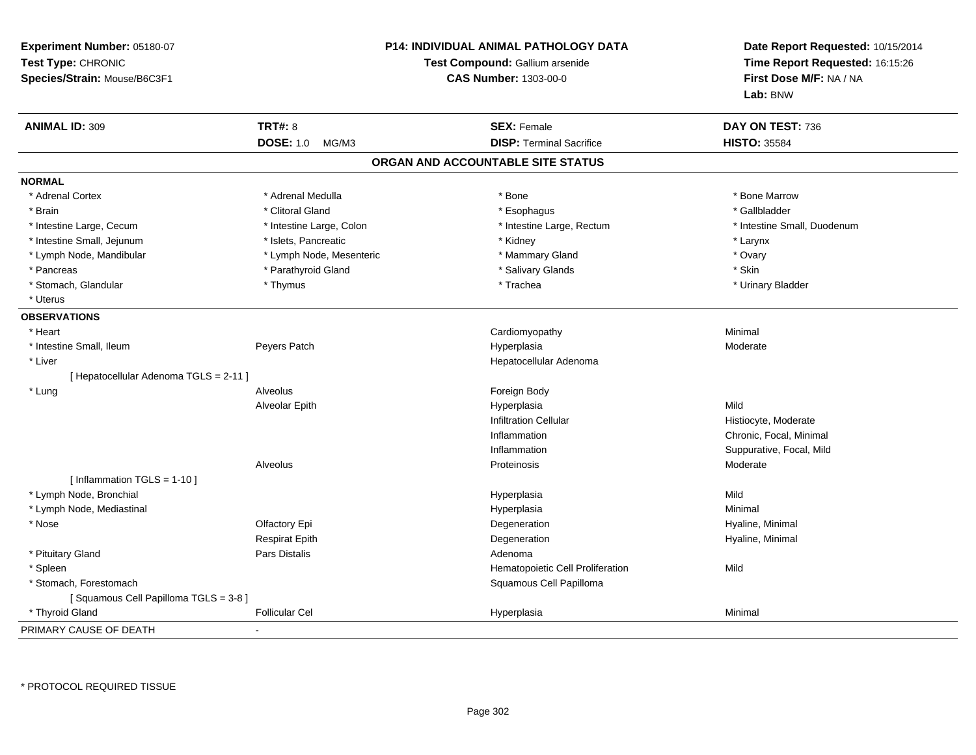| Experiment Number: 05180-07<br>Test Type: CHRONIC<br>Species/Strain: Mouse/B6C3F1 |                           | <b>P14: INDIVIDUAL ANIMAL PATHOLOGY DATA</b><br><b>Test Compound: Gallium arsenide</b><br><b>CAS Number: 1303-00-0</b> | Date Report Requested: 10/15/2014<br>Time Report Requested: 16:15:26<br>First Dose M/F: NA / NA<br>Lab: BNW |
|-----------------------------------------------------------------------------------|---------------------------|------------------------------------------------------------------------------------------------------------------------|-------------------------------------------------------------------------------------------------------------|
| <b>ANIMAL ID: 309</b>                                                             | <b>TRT#: 8</b>            | <b>SEX: Female</b>                                                                                                     | DAY ON TEST: 736                                                                                            |
|                                                                                   | <b>DOSE: 1.0</b><br>MG/M3 | <b>DISP: Terminal Sacrifice</b>                                                                                        | <b>HISTO: 35584</b>                                                                                         |
|                                                                                   |                           | ORGAN AND ACCOUNTABLE SITE STATUS                                                                                      |                                                                                                             |
| <b>NORMAL</b>                                                                     |                           |                                                                                                                        |                                                                                                             |
| * Adrenal Cortex                                                                  | * Adrenal Medulla         | * Bone                                                                                                                 | * Bone Marrow                                                                                               |
| * Brain                                                                           | * Clitoral Gland          | * Esophagus                                                                                                            | * Gallbladder                                                                                               |
| * Intestine Large, Cecum                                                          | * Intestine Large, Colon  | * Intestine Large, Rectum                                                                                              | * Intestine Small, Duodenum                                                                                 |
| * Intestine Small, Jejunum                                                        | * Islets, Pancreatic      | * Kidney                                                                                                               | * Larynx                                                                                                    |
| * Lymph Node, Mandibular                                                          | * Lymph Node, Mesenteric  | * Mammary Gland                                                                                                        | * Ovary                                                                                                     |
| * Pancreas                                                                        | * Parathyroid Gland       | * Salivary Glands                                                                                                      | * Skin                                                                                                      |
| * Stomach, Glandular                                                              | * Thymus                  | * Trachea                                                                                                              | * Urinary Bladder                                                                                           |
| * Uterus                                                                          |                           |                                                                                                                        |                                                                                                             |
| <b>OBSERVATIONS</b>                                                               |                           |                                                                                                                        |                                                                                                             |
| * Heart                                                                           |                           | Cardiomyopathy                                                                                                         | Minimal                                                                                                     |
| * Intestine Small, Ileum                                                          | Peyers Patch              | Hyperplasia                                                                                                            | Moderate                                                                                                    |
| * Liver                                                                           |                           | Hepatocellular Adenoma                                                                                                 |                                                                                                             |
| [ Hepatocellular Adenoma TGLS = 2-11 ]                                            |                           |                                                                                                                        |                                                                                                             |
| * Lung                                                                            | Alveolus                  | Foreign Body                                                                                                           |                                                                                                             |
|                                                                                   | Alveolar Epith            | Hyperplasia                                                                                                            | Mild                                                                                                        |
|                                                                                   |                           | <b>Infiltration Cellular</b>                                                                                           | Histiocyte, Moderate                                                                                        |
|                                                                                   |                           | Inflammation                                                                                                           | Chronic, Focal, Minimal                                                                                     |
|                                                                                   |                           | Inflammation                                                                                                           | Suppurative, Focal, Mild                                                                                    |
|                                                                                   | Alveolus                  | Proteinosis                                                                                                            | Moderate                                                                                                    |
| [ Inflammation $TGLS = 1-10$ ]                                                    |                           |                                                                                                                        |                                                                                                             |
| * Lymph Node, Bronchial                                                           |                           | Hyperplasia                                                                                                            | Mild                                                                                                        |
| * Lymph Node, Mediastinal                                                         |                           | Hyperplasia                                                                                                            | Minimal                                                                                                     |
| * Nose                                                                            | Olfactory Epi             | Degeneration                                                                                                           | Hyaline, Minimal                                                                                            |
|                                                                                   | <b>Respirat Epith</b>     | Degeneration                                                                                                           | Hyaline, Minimal                                                                                            |
| * Pituitary Gland                                                                 | Pars Distalis             | Adenoma                                                                                                                |                                                                                                             |
| * Spleen                                                                          |                           | Hematopoietic Cell Proliferation                                                                                       | Mild                                                                                                        |
| * Stomach, Forestomach                                                            |                           | Squamous Cell Papilloma                                                                                                |                                                                                                             |
| [Squamous Cell Papilloma TGLS = 3-8]                                              |                           |                                                                                                                        |                                                                                                             |
| * Thyroid Gland                                                                   | <b>Follicular Cel</b>     | Hyperplasia                                                                                                            | Minimal                                                                                                     |
| PRIMARY CAUSE OF DEATH                                                            |                           |                                                                                                                        |                                                                                                             |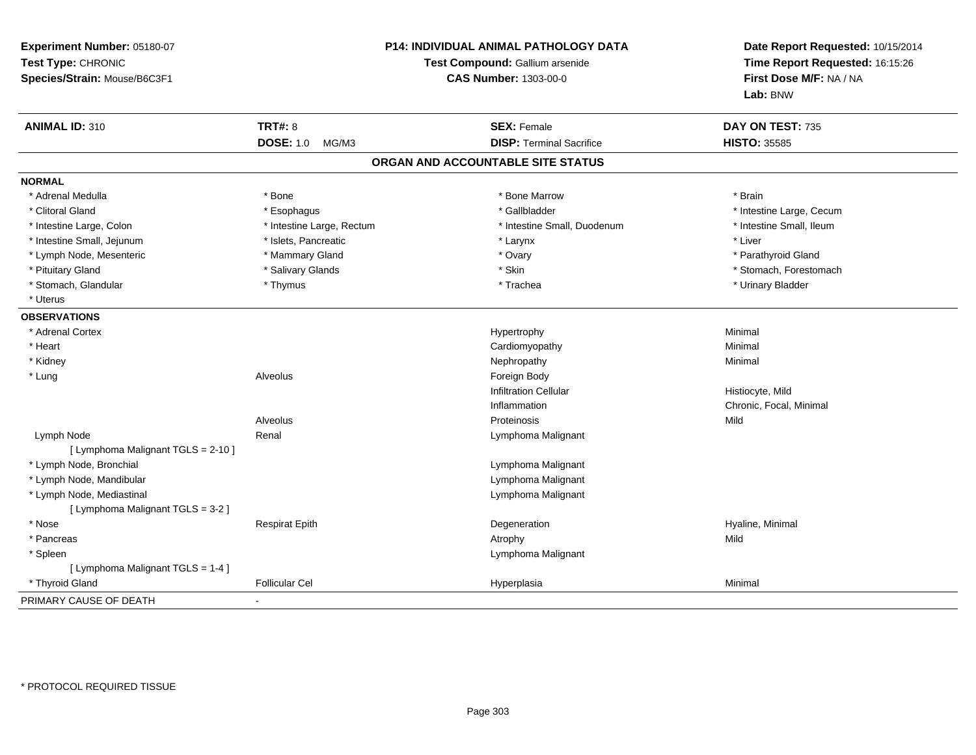| Experiment Number: 05180-07<br>Test Type: CHRONIC<br>Species/Strain: Mouse/B6C3F1 |                           | P14: INDIVIDUAL ANIMAL PATHOLOGY DATA<br>Test Compound: Gallium arsenide<br><b>CAS Number: 1303-00-0</b> | Date Report Requested: 10/15/2014<br>Time Report Requested: 16:15:26<br>First Dose M/F: NA / NA<br>Lab: BNW |  |
|-----------------------------------------------------------------------------------|---------------------------|----------------------------------------------------------------------------------------------------------|-------------------------------------------------------------------------------------------------------------|--|
| <b>ANIMAL ID: 310</b>                                                             | <b>TRT#: 8</b>            | <b>SEX: Female</b>                                                                                       | DAY ON TEST: 735                                                                                            |  |
|                                                                                   | <b>DOSE: 1.0</b><br>MG/M3 | <b>DISP: Terminal Sacrifice</b>                                                                          | <b>HISTO: 35585</b>                                                                                         |  |
|                                                                                   |                           | ORGAN AND ACCOUNTABLE SITE STATUS                                                                        |                                                                                                             |  |
| <b>NORMAL</b>                                                                     |                           |                                                                                                          |                                                                                                             |  |
| * Adrenal Medulla                                                                 | * Bone                    | * Bone Marrow                                                                                            | * Brain                                                                                                     |  |
| * Clitoral Gland                                                                  | * Esophagus               | * Gallbladder                                                                                            | * Intestine Large, Cecum                                                                                    |  |
| * Intestine Large, Colon                                                          | * Intestine Large, Rectum | * Intestine Small, Duodenum                                                                              | * Intestine Small, Ileum                                                                                    |  |
| * Intestine Small, Jejunum                                                        | * Islets, Pancreatic      | * Larynx                                                                                                 | * Liver                                                                                                     |  |
| * Lymph Node, Mesenteric                                                          | * Mammary Gland           | * Ovary                                                                                                  | * Parathyroid Gland                                                                                         |  |
| * Pituitary Gland                                                                 | * Salivary Glands         | * Skin                                                                                                   | * Stomach, Forestomach                                                                                      |  |
| * Stomach, Glandular                                                              | * Thymus                  | * Trachea                                                                                                | * Urinary Bladder                                                                                           |  |
| * Uterus                                                                          |                           |                                                                                                          |                                                                                                             |  |
| <b>OBSERVATIONS</b>                                                               |                           |                                                                                                          |                                                                                                             |  |
| * Adrenal Cortex                                                                  |                           | Hypertrophy                                                                                              | Minimal                                                                                                     |  |
| * Heart                                                                           |                           | Cardiomyopathy                                                                                           | Minimal                                                                                                     |  |
| * Kidney                                                                          |                           | Nephropathy                                                                                              | Minimal                                                                                                     |  |
| * Lung                                                                            | Alveolus                  | Foreign Body                                                                                             |                                                                                                             |  |
|                                                                                   |                           | <b>Infiltration Cellular</b>                                                                             | Histiocyte, Mild                                                                                            |  |
|                                                                                   |                           | Inflammation                                                                                             | Chronic, Focal, Minimal                                                                                     |  |
|                                                                                   | Alveolus                  | Proteinosis                                                                                              | Mild                                                                                                        |  |
| Lymph Node                                                                        | Renal                     | Lymphoma Malignant                                                                                       |                                                                                                             |  |
| [ Lymphoma Malignant TGLS = 2-10 ]                                                |                           |                                                                                                          |                                                                                                             |  |
| * Lymph Node, Bronchial                                                           |                           | Lymphoma Malignant                                                                                       |                                                                                                             |  |
| * Lymph Node, Mandibular                                                          |                           | Lymphoma Malignant                                                                                       |                                                                                                             |  |
| * Lymph Node, Mediastinal                                                         |                           | Lymphoma Malignant                                                                                       |                                                                                                             |  |
| [ Lymphoma Malignant TGLS = 3-2 ]                                                 |                           |                                                                                                          |                                                                                                             |  |
| * Nose                                                                            | <b>Respirat Epith</b>     | Degeneration                                                                                             | Hyaline, Minimal                                                                                            |  |
| * Pancreas                                                                        |                           | Atrophy                                                                                                  | Mild                                                                                                        |  |
| * Spleen                                                                          |                           | Lymphoma Malignant                                                                                       |                                                                                                             |  |
| [ Lymphoma Malignant TGLS = 1-4 ]                                                 |                           |                                                                                                          |                                                                                                             |  |
| * Thyroid Gland                                                                   | <b>Follicular Cel</b>     | Hyperplasia                                                                                              | Minimal                                                                                                     |  |
| PRIMARY CAUSE OF DEATH                                                            |                           |                                                                                                          |                                                                                                             |  |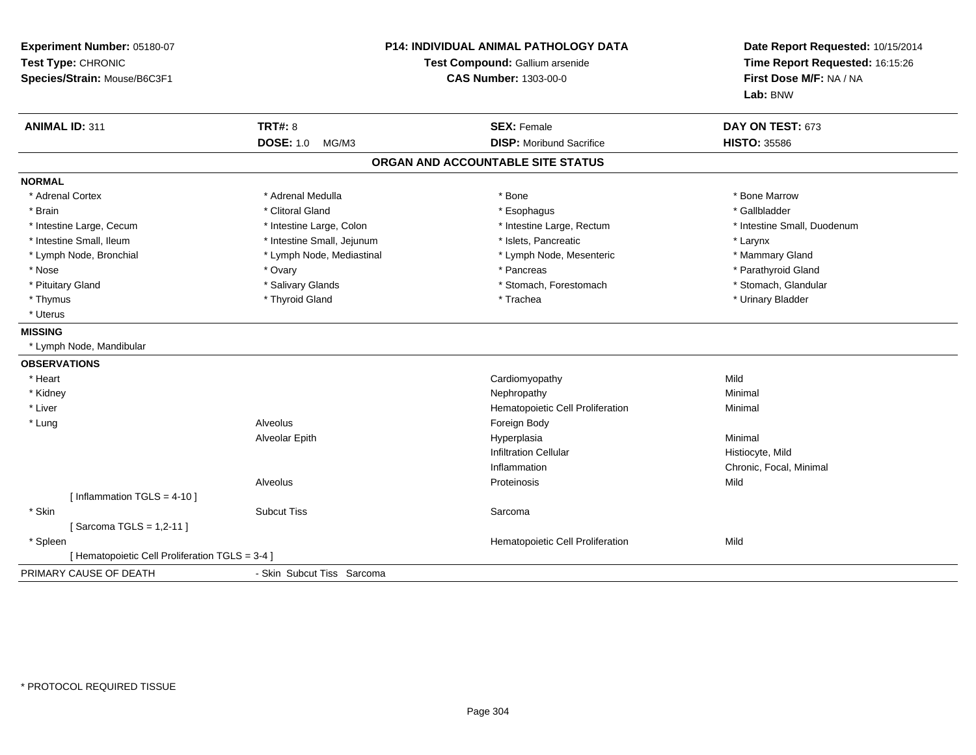| Experiment Number: 05180-07<br>Test Type: CHRONIC<br>Species/Strain: Mouse/B6C3F1 |                            | P14: INDIVIDUAL ANIMAL PATHOLOGY DATA<br>Test Compound: Gallium arsenide<br><b>CAS Number: 1303-00-0</b> | Date Report Requested: 10/15/2014<br>Time Report Requested: 16:15:26<br>First Dose M/F: NA / NA<br>Lab: BNW |
|-----------------------------------------------------------------------------------|----------------------------|----------------------------------------------------------------------------------------------------------|-------------------------------------------------------------------------------------------------------------|
| <b>ANIMAL ID: 311</b>                                                             | <b>TRT#: 8</b>             | <b>SEX: Female</b>                                                                                       | DAY ON TEST: 673                                                                                            |
|                                                                                   | <b>DOSE: 1.0</b><br>MG/M3  | <b>DISP:</b> Moribund Sacrifice                                                                          | <b>HISTO: 35586</b>                                                                                         |
|                                                                                   |                            | ORGAN AND ACCOUNTABLE SITE STATUS                                                                        |                                                                                                             |
| <b>NORMAL</b>                                                                     |                            |                                                                                                          |                                                                                                             |
| * Adrenal Cortex                                                                  | * Adrenal Medulla          | * Bone                                                                                                   | * Bone Marrow                                                                                               |
| * Brain                                                                           | * Clitoral Gland           | * Esophagus                                                                                              | * Gallbladder                                                                                               |
| * Intestine Large, Cecum                                                          | * Intestine Large, Colon   | * Intestine Large, Rectum                                                                                | * Intestine Small, Duodenum                                                                                 |
| * Intestine Small, Ileum                                                          | * Intestine Small, Jejunum | * Islets, Pancreatic                                                                                     | * Larynx                                                                                                    |
| * Lymph Node, Bronchial                                                           | * Lymph Node, Mediastinal  | * Lymph Node, Mesenteric                                                                                 | * Mammary Gland                                                                                             |
| * Nose                                                                            | * Ovary                    | * Pancreas                                                                                               | * Parathyroid Gland                                                                                         |
| * Pituitary Gland                                                                 | * Salivary Glands          | * Stomach, Forestomach                                                                                   | * Stomach, Glandular                                                                                        |
| * Thymus                                                                          | * Thyroid Gland            | * Trachea                                                                                                | * Urinary Bladder                                                                                           |
| * Uterus                                                                          |                            |                                                                                                          |                                                                                                             |
| <b>MISSING</b>                                                                    |                            |                                                                                                          |                                                                                                             |
| * Lymph Node, Mandibular                                                          |                            |                                                                                                          |                                                                                                             |
| <b>OBSERVATIONS</b>                                                               |                            |                                                                                                          |                                                                                                             |
| * Heart                                                                           |                            | Cardiomyopathy                                                                                           | Mild                                                                                                        |
| * Kidney                                                                          |                            | Nephropathy                                                                                              | Minimal                                                                                                     |
| * Liver                                                                           |                            | Hematopoietic Cell Proliferation                                                                         | Minimal                                                                                                     |
| * Lung                                                                            | Alveolus                   | Foreign Body                                                                                             |                                                                                                             |
|                                                                                   | Alveolar Epith             | Hyperplasia                                                                                              | Minimal                                                                                                     |
|                                                                                   |                            | <b>Infiltration Cellular</b>                                                                             | Histiocyte, Mild                                                                                            |
|                                                                                   |                            | Inflammation                                                                                             | Chronic, Focal, Minimal                                                                                     |
|                                                                                   | Alveolus                   | Proteinosis                                                                                              | Mild                                                                                                        |
| [Inflammation TGLS = $4-10$ ]                                                     |                            |                                                                                                          |                                                                                                             |
| * Skin                                                                            | <b>Subcut Tiss</b>         | Sarcoma                                                                                                  |                                                                                                             |
| [Sarcoma TGLS = 1,2-11]                                                           |                            |                                                                                                          |                                                                                                             |
| * Spleen                                                                          |                            | Hematopoietic Cell Proliferation                                                                         | Mild                                                                                                        |
| [ Hematopoietic Cell Proliferation TGLS = 3-4 ]                                   |                            |                                                                                                          |                                                                                                             |
| PRIMARY CAUSE OF DEATH                                                            | - Skin Subcut Tiss Sarcoma |                                                                                                          |                                                                                                             |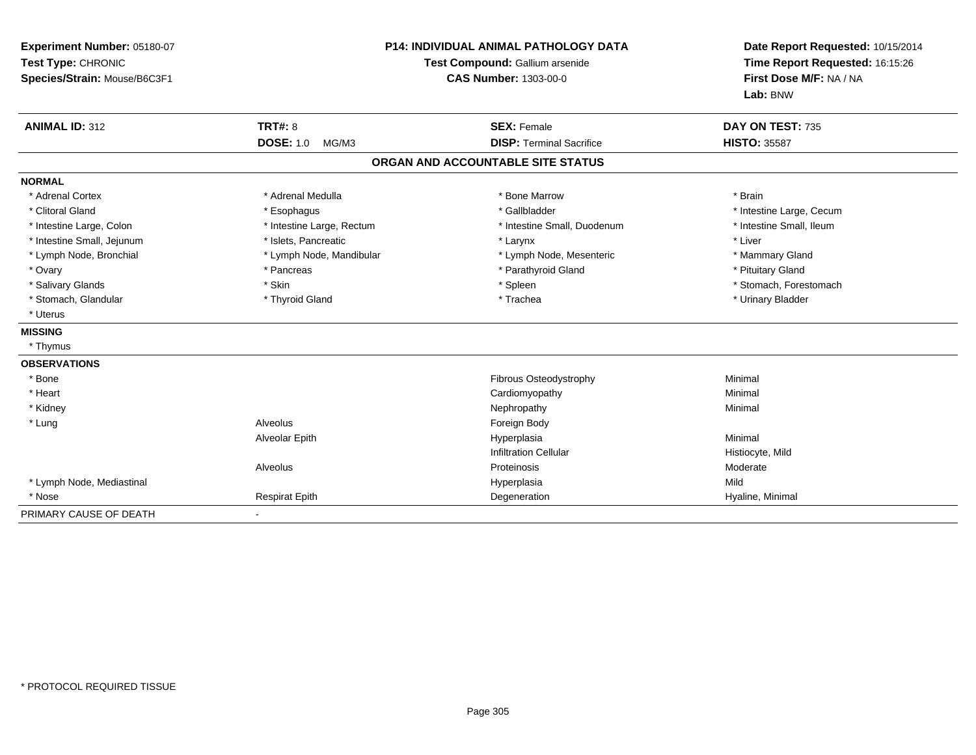| Experiment Number: 05180-07<br>Test Type: CHRONIC<br>Species/Strain: Mouse/B6C3F1 |                           | <b>P14: INDIVIDUAL ANIMAL PATHOLOGY DATA</b><br>Test Compound: Gallium arsenide<br><b>CAS Number: 1303-00-0</b> | Date Report Requested: 10/15/2014<br>Time Report Requested: 16:15:26<br>First Dose M/F: NA / NA<br>Lab: BNW |
|-----------------------------------------------------------------------------------|---------------------------|-----------------------------------------------------------------------------------------------------------------|-------------------------------------------------------------------------------------------------------------|
| <b>ANIMAL ID: 312</b>                                                             | <b>TRT#: 8</b>            | <b>SEX: Female</b>                                                                                              | DAY ON TEST: 735                                                                                            |
|                                                                                   | <b>DOSE: 1.0</b><br>MG/M3 | <b>DISP: Terminal Sacrifice</b>                                                                                 | <b>HISTO: 35587</b>                                                                                         |
|                                                                                   |                           | ORGAN AND ACCOUNTABLE SITE STATUS                                                                               |                                                                                                             |
| <b>NORMAL</b>                                                                     |                           |                                                                                                                 |                                                                                                             |
| * Adrenal Cortex                                                                  | * Adrenal Medulla         | * Bone Marrow                                                                                                   | * Brain                                                                                                     |
| * Clitoral Gland                                                                  | * Esophagus               | * Gallbladder                                                                                                   | * Intestine Large, Cecum                                                                                    |
| * Intestine Large, Colon                                                          | * Intestine Large, Rectum | * Intestine Small, Duodenum                                                                                     | * Intestine Small, Ileum                                                                                    |
| * Intestine Small, Jejunum                                                        | * Islets, Pancreatic      | * Larynx                                                                                                        | * Liver                                                                                                     |
| * Lymph Node, Bronchial                                                           | * Lymph Node, Mandibular  | * Lymph Node, Mesenteric                                                                                        | * Mammary Gland                                                                                             |
| * Ovary                                                                           | * Pancreas                | * Parathyroid Gland                                                                                             | * Pituitary Gland                                                                                           |
| * Salivary Glands                                                                 | * Skin                    | * Spleen                                                                                                        | * Stomach, Forestomach                                                                                      |
| * Stomach, Glandular                                                              | * Thyroid Gland           | * Trachea                                                                                                       | * Urinary Bladder                                                                                           |
| * Uterus                                                                          |                           |                                                                                                                 |                                                                                                             |
| <b>MISSING</b>                                                                    |                           |                                                                                                                 |                                                                                                             |
| * Thymus                                                                          |                           |                                                                                                                 |                                                                                                             |
| <b>OBSERVATIONS</b>                                                               |                           |                                                                                                                 |                                                                                                             |
| * Bone                                                                            |                           | Fibrous Osteodystrophy                                                                                          | Minimal                                                                                                     |
| * Heart                                                                           |                           | Cardiomyopathy                                                                                                  | Minimal                                                                                                     |
| * Kidney                                                                          |                           | Nephropathy                                                                                                     | Minimal                                                                                                     |
| * Lung                                                                            | Alveolus                  | Foreign Body                                                                                                    |                                                                                                             |
|                                                                                   | Alveolar Epith            | Hyperplasia                                                                                                     | Minimal                                                                                                     |
|                                                                                   |                           | <b>Infiltration Cellular</b>                                                                                    | Histiocyte, Mild                                                                                            |
|                                                                                   | Alveolus                  | Proteinosis                                                                                                     | Moderate                                                                                                    |
| * Lymph Node, Mediastinal                                                         |                           | Hyperplasia                                                                                                     | Mild                                                                                                        |
| * Nose                                                                            | <b>Respirat Epith</b>     | Degeneration                                                                                                    | Hyaline, Minimal                                                                                            |
| PRIMARY CAUSE OF DEATH                                                            |                           |                                                                                                                 |                                                                                                             |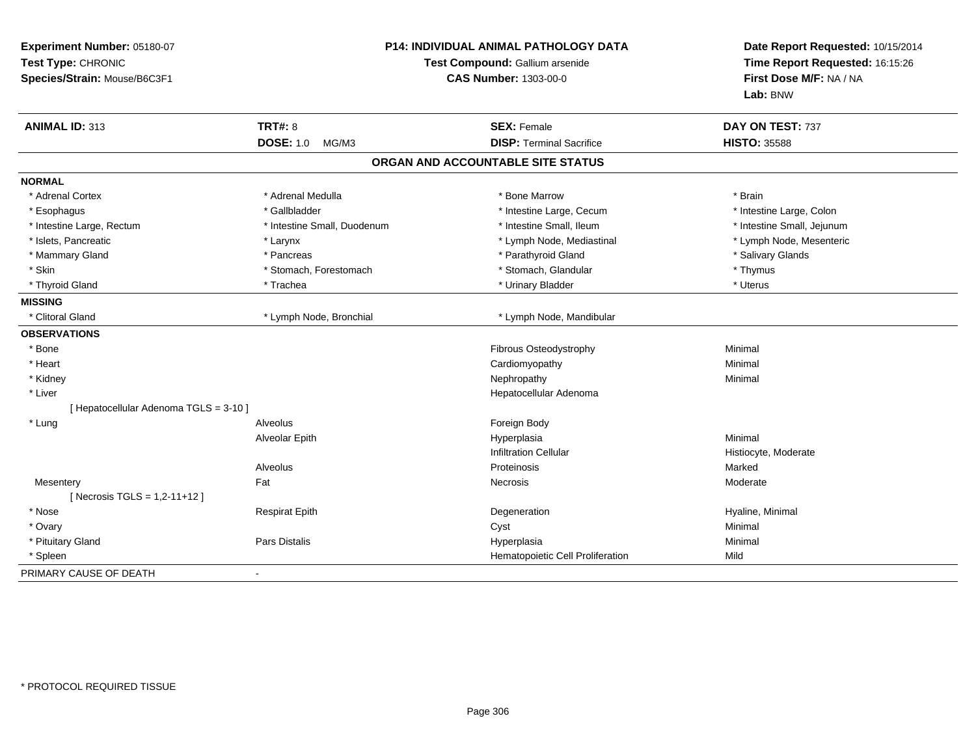| Experiment Number: 05180-07<br>Test Type: CHRONIC<br>Species/Strain: Mouse/B6C3F1 |                             | P14: INDIVIDUAL ANIMAL PATHOLOGY DATA<br>Test Compound: Gallium arsenide<br><b>CAS Number: 1303-00-0</b> | Date Report Requested: 10/15/2014<br>Time Report Requested: 16:15:26<br>First Dose M/F: NA / NA<br>Lab: BNW |  |
|-----------------------------------------------------------------------------------|-----------------------------|----------------------------------------------------------------------------------------------------------|-------------------------------------------------------------------------------------------------------------|--|
| <b>ANIMAL ID: 313</b>                                                             | <b>TRT#: 8</b>              | <b>SEX: Female</b>                                                                                       | DAY ON TEST: 737                                                                                            |  |
|                                                                                   | <b>DOSE: 1.0</b><br>MG/M3   | <b>DISP: Terminal Sacrifice</b>                                                                          | <b>HISTO: 35588</b>                                                                                         |  |
|                                                                                   |                             | ORGAN AND ACCOUNTABLE SITE STATUS                                                                        |                                                                                                             |  |
| <b>NORMAL</b>                                                                     |                             |                                                                                                          |                                                                                                             |  |
| * Adrenal Cortex                                                                  | * Adrenal Medulla           | * Bone Marrow                                                                                            | * Brain                                                                                                     |  |
| * Esophagus                                                                       | * Gallbladder               | * Intestine Large, Cecum                                                                                 | * Intestine Large, Colon                                                                                    |  |
| * Intestine Large, Rectum                                                         | * Intestine Small, Duodenum | * Intestine Small, Ileum                                                                                 | * Intestine Small, Jejunum                                                                                  |  |
| * Islets, Pancreatic                                                              | * Larynx                    | * Lymph Node, Mediastinal                                                                                | * Lymph Node, Mesenteric                                                                                    |  |
| * Mammary Gland                                                                   | * Pancreas                  | * Parathyroid Gland                                                                                      | * Salivary Glands                                                                                           |  |
| * Skin                                                                            | * Stomach, Forestomach      | * Stomach, Glandular                                                                                     | * Thymus                                                                                                    |  |
| * Thyroid Gland                                                                   | * Trachea                   | * Urinary Bladder                                                                                        | * Uterus                                                                                                    |  |
| <b>MISSING</b>                                                                    |                             |                                                                                                          |                                                                                                             |  |
| * Clitoral Gland                                                                  | * Lymph Node, Bronchial     | * Lymph Node, Mandibular                                                                                 |                                                                                                             |  |
| <b>OBSERVATIONS</b>                                                               |                             |                                                                                                          |                                                                                                             |  |
| * Bone                                                                            |                             | <b>Fibrous Osteodystrophy</b>                                                                            | Minimal                                                                                                     |  |
| * Heart                                                                           |                             | Cardiomyopathy                                                                                           | Minimal                                                                                                     |  |
| * Kidney                                                                          |                             | Nephropathy                                                                                              | Minimal                                                                                                     |  |
| * Liver                                                                           |                             | Hepatocellular Adenoma                                                                                   |                                                                                                             |  |
| [ Hepatocellular Adenoma TGLS = 3-10 ]                                            |                             |                                                                                                          |                                                                                                             |  |
| * Lung                                                                            | Alveolus                    | Foreign Body                                                                                             |                                                                                                             |  |
|                                                                                   | Alveolar Epith              | Hyperplasia                                                                                              | Minimal                                                                                                     |  |
|                                                                                   |                             | <b>Infiltration Cellular</b>                                                                             | Histiocyte, Moderate                                                                                        |  |
|                                                                                   | Alveolus                    | Proteinosis                                                                                              | Marked                                                                                                      |  |
| Mesentery                                                                         | Fat                         | Necrosis                                                                                                 | Moderate                                                                                                    |  |
| [ Necrosis TGLS = 1,2-11+12 ]                                                     |                             |                                                                                                          |                                                                                                             |  |
| * Nose                                                                            | <b>Respirat Epith</b>       | Degeneration                                                                                             | Hyaline, Minimal                                                                                            |  |
| * Ovary                                                                           |                             | Cyst                                                                                                     | Minimal                                                                                                     |  |
| * Pituitary Gland                                                                 | Pars Distalis               | Hyperplasia                                                                                              | Minimal                                                                                                     |  |
| * Spleen                                                                          |                             | Hematopoietic Cell Proliferation                                                                         | Mild                                                                                                        |  |
| PRIMARY CAUSE OF DEATH                                                            |                             |                                                                                                          |                                                                                                             |  |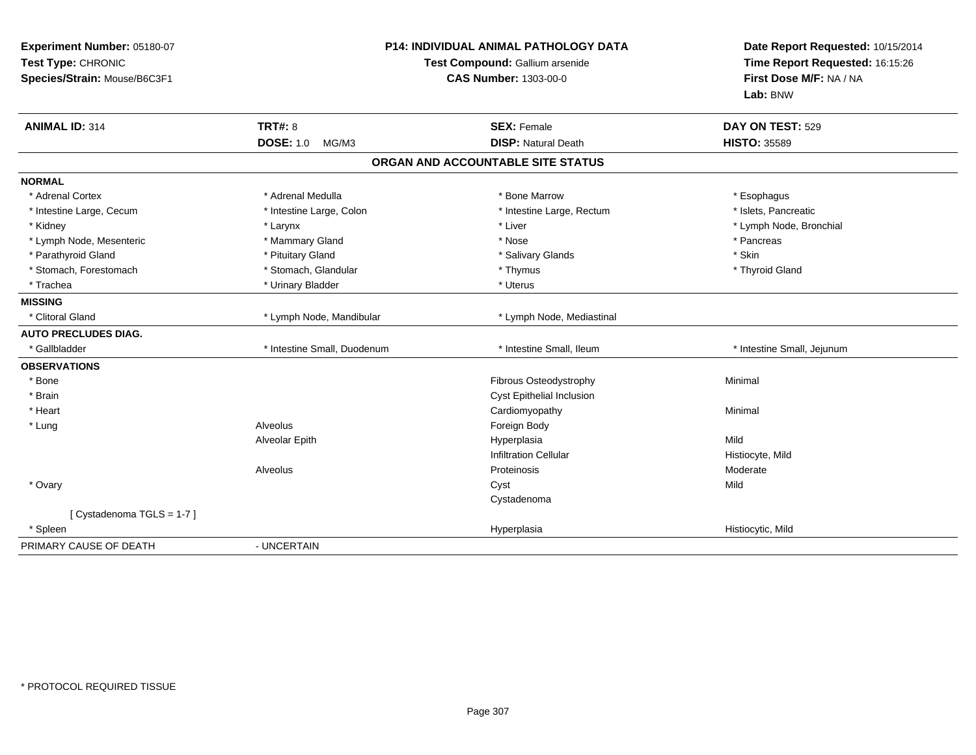| Experiment Number: 05180-07<br>Test Type: CHRONIC<br>Species/Strain: Mouse/B6C3F1 |                             | <b>P14: INDIVIDUAL ANIMAL PATHOLOGY DATA</b><br>Test Compound: Gallium arsenide<br><b>CAS Number: 1303-00-0</b> | Date Report Requested: 10/15/2014<br>Time Report Requested: 16:15:26<br>First Dose M/F: NA / NA<br>Lab: BNW |
|-----------------------------------------------------------------------------------|-----------------------------|-----------------------------------------------------------------------------------------------------------------|-------------------------------------------------------------------------------------------------------------|
| <b>ANIMAL ID: 314</b>                                                             | TRT#: 8                     | <b>SEX: Female</b>                                                                                              | DAY ON TEST: 529                                                                                            |
|                                                                                   | <b>DOSE: 1.0</b><br>MG/M3   | <b>DISP: Natural Death</b>                                                                                      | <b>HISTO: 35589</b>                                                                                         |
|                                                                                   |                             | ORGAN AND ACCOUNTABLE SITE STATUS                                                                               |                                                                                                             |
| <b>NORMAL</b>                                                                     |                             |                                                                                                                 |                                                                                                             |
| * Adrenal Cortex                                                                  | * Adrenal Medulla           | * Bone Marrow                                                                                                   | * Esophagus                                                                                                 |
| * Intestine Large, Cecum                                                          | * Intestine Large, Colon    | * Intestine Large, Rectum                                                                                       | * Islets, Pancreatic                                                                                        |
| * Kidney                                                                          | * Larynx                    | * Liver                                                                                                         | * Lymph Node, Bronchial                                                                                     |
| * Lymph Node, Mesenteric                                                          | * Mammary Gland             | * Nose                                                                                                          | * Pancreas                                                                                                  |
| * Parathyroid Gland                                                               | * Pituitary Gland           | * Salivary Glands                                                                                               | * Skin                                                                                                      |
| * Stomach, Forestomach                                                            | * Stomach, Glandular        | * Thymus                                                                                                        | * Thyroid Gland                                                                                             |
| * Trachea                                                                         | * Urinary Bladder           | * Uterus                                                                                                        |                                                                                                             |
| <b>MISSING</b>                                                                    |                             |                                                                                                                 |                                                                                                             |
| * Clitoral Gland                                                                  | * Lymph Node, Mandibular    | * Lymph Node, Mediastinal                                                                                       |                                                                                                             |
| <b>AUTO PRECLUDES DIAG.</b>                                                       |                             |                                                                                                                 |                                                                                                             |
| * Gallbladder                                                                     | * Intestine Small, Duodenum | * Intestine Small, Ileum                                                                                        | * Intestine Small, Jejunum                                                                                  |
| <b>OBSERVATIONS</b>                                                               |                             |                                                                                                                 |                                                                                                             |
| * Bone                                                                            |                             | Fibrous Osteodystrophy                                                                                          | Minimal                                                                                                     |
| * Brain                                                                           |                             | Cyst Epithelial Inclusion                                                                                       |                                                                                                             |
| * Heart                                                                           |                             | Cardiomyopathy                                                                                                  | Minimal                                                                                                     |
| * Lung                                                                            | Alveolus                    | Foreign Body                                                                                                    |                                                                                                             |
|                                                                                   | Alveolar Epith              | Hyperplasia                                                                                                     | Mild                                                                                                        |
|                                                                                   |                             | <b>Infiltration Cellular</b>                                                                                    | Histiocyte, Mild                                                                                            |
|                                                                                   | Alveolus                    | Proteinosis                                                                                                     | Moderate                                                                                                    |
| * Ovary                                                                           |                             | Cyst                                                                                                            | Mild                                                                                                        |
|                                                                                   |                             | Cystadenoma                                                                                                     |                                                                                                             |
| [ Cystadenoma TGLS = 1-7 ]                                                        |                             |                                                                                                                 |                                                                                                             |
| * Spleen                                                                          |                             | Hyperplasia                                                                                                     | Histiocytic, Mild                                                                                           |
| PRIMARY CAUSE OF DEATH                                                            | - UNCERTAIN                 |                                                                                                                 |                                                                                                             |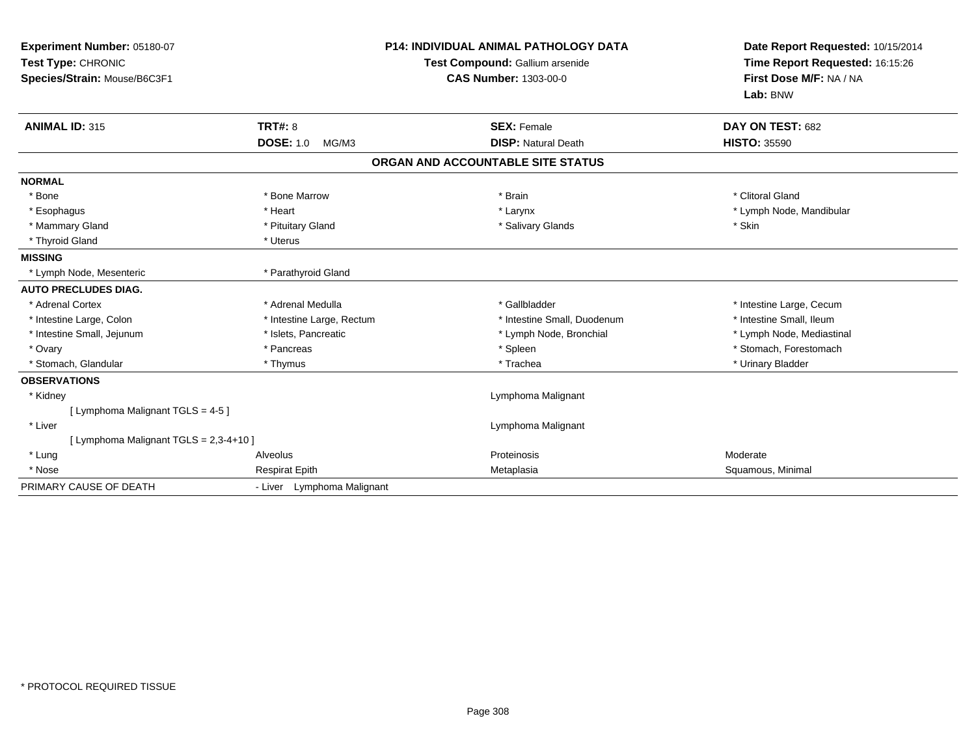| Experiment Number: 05180-07<br>Test Type: CHRONIC<br>Species/Strain: Mouse/B6C3F1 |                            | <b>P14: INDIVIDUAL ANIMAL PATHOLOGY DATA</b><br>Test Compound: Gallium arsenide<br><b>CAS Number: 1303-00-0</b> |                                   | Date Report Requested: 10/15/2014<br>Time Report Requested: 16:15:26<br>First Dose M/F: NA / NA<br>Lab: BNW |
|-----------------------------------------------------------------------------------|----------------------------|-----------------------------------------------------------------------------------------------------------------|-----------------------------------|-------------------------------------------------------------------------------------------------------------|
| <b>ANIMAL ID: 315</b>                                                             | <b>TRT#: 8</b>             |                                                                                                                 | <b>SEX: Female</b>                | DAY ON TEST: 682                                                                                            |
|                                                                                   | <b>DOSE: 1.0</b><br>MG/M3  |                                                                                                                 | <b>DISP: Natural Death</b>        | <b>HISTO: 35590</b>                                                                                         |
|                                                                                   |                            |                                                                                                                 | ORGAN AND ACCOUNTABLE SITE STATUS |                                                                                                             |
| <b>NORMAL</b>                                                                     |                            |                                                                                                                 |                                   |                                                                                                             |
| * Bone                                                                            | * Bone Marrow              |                                                                                                                 | * Brain                           | * Clitoral Gland                                                                                            |
| * Esophagus                                                                       | * Heart                    |                                                                                                                 | * Larynx                          | * Lymph Node, Mandibular                                                                                    |
| * Mammary Gland                                                                   | * Pituitary Gland          |                                                                                                                 | * Salivary Glands                 | * Skin                                                                                                      |
| * Thyroid Gland                                                                   | * Uterus                   |                                                                                                                 |                                   |                                                                                                             |
| <b>MISSING</b>                                                                    |                            |                                                                                                                 |                                   |                                                                                                             |
| * Lymph Node, Mesenteric                                                          | * Parathyroid Gland        |                                                                                                                 |                                   |                                                                                                             |
| <b>AUTO PRECLUDES DIAG.</b>                                                       |                            |                                                                                                                 |                                   |                                                                                                             |
| * Adrenal Cortex                                                                  | * Adrenal Medulla          |                                                                                                                 | * Gallbladder                     | * Intestine Large, Cecum                                                                                    |
| * Intestine Large, Colon                                                          | * Intestine Large, Rectum  |                                                                                                                 | * Intestine Small, Duodenum       | * Intestine Small, Ileum                                                                                    |
| * Intestine Small, Jejunum                                                        | * Islets, Pancreatic       |                                                                                                                 | * Lymph Node, Bronchial           | * Lymph Node, Mediastinal                                                                                   |
| * Ovary                                                                           | * Pancreas                 |                                                                                                                 | * Spleen                          | * Stomach, Forestomach                                                                                      |
| * Stomach, Glandular                                                              | * Thymus                   |                                                                                                                 | * Trachea                         | * Urinary Bladder                                                                                           |
| <b>OBSERVATIONS</b>                                                               |                            |                                                                                                                 |                                   |                                                                                                             |
| * Kidney                                                                          |                            |                                                                                                                 | Lymphoma Malignant                |                                                                                                             |
| [ Lymphoma Malignant TGLS = 4-5 ]                                                 |                            |                                                                                                                 |                                   |                                                                                                             |
| * Liver                                                                           |                            |                                                                                                                 | Lymphoma Malignant                |                                                                                                             |
| [ Lymphoma Malignant TGLS = 2,3-4+10 ]                                            |                            |                                                                                                                 |                                   |                                                                                                             |
| * Lung                                                                            | Alveolus                   |                                                                                                                 | Proteinosis                       | Moderate                                                                                                    |
| * Nose                                                                            | <b>Respirat Epith</b>      |                                                                                                                 | Metaplasia                        | Squamous, Minimal                                                                                           |
| PRIMARY CAUSE OF DEATH                                                            | - Liver Lymphoma Malignant |                                                                                                                 |                                   |                                                                                                             |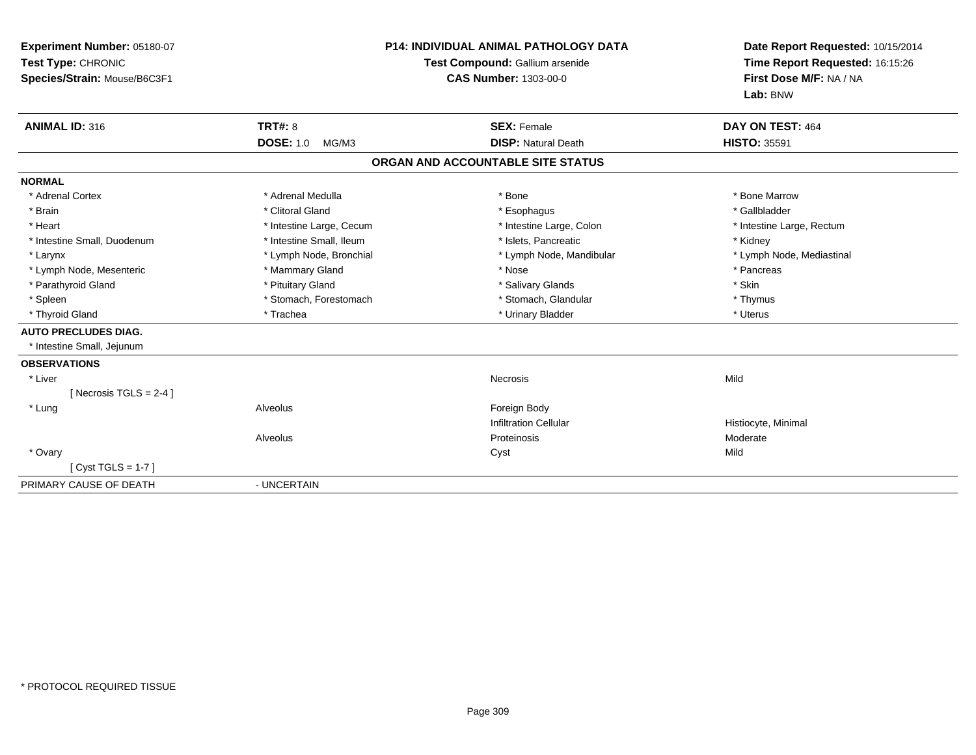| Experiment Number: 05180-07<br>Test Type: CHRONIC<br>Species/Strain: Mouse/B6C3F1<br><b>ANIMAL ID: 316</b> | TRT#: 8                   | <b>P14: INDIVIDUAL ANIMAL PATHOLOGY DATA</b><br>Test Compound: Gallium arsenide<br><b>CAS Number: 1303-00-0</b><br><b>SEX: Female</b> | Date Report Requested: 10/15/2014<br>Time Report Requested: 16:15:26<br>First Dose M/F: NA / NA<br>Lab: BNW<br>DAY ON TEST: 464 |
|------------------------------------------------------------------------------------------------------------|---------------------------|---------------------------------------------------------------------------------------------------------------------------------------|---------------------------------------------------------------------------------------------------------------------------------|
|                                                                                                            | <b>DOSE: 1.0</b><br>MG/M3 | <b>DISP: Natural Death</b>                                                                                                            | <b>HISTO: 35591</b>                                                                                                             |
|                                                                                                            |                           | ORGAN AND ACCOUNTABLE SITE STATUS                                                                                                     |                                                                                                                                 |
| <b>NORMAL</b>                                                                                              |                           |                                                                                                                                       |                                                                                                                                 |
| * Adrenal Cortex                                                                                           | * Adrenal Medulla         | * Bone                                                                                                                                | * Bone Marrow                                                                                                                   |
| * Brain                                                                                                    | * Clitoral Gland          | * Esophagus                                                                                                                           | * Gallbladder                                                                                                                   |
| * Heart                                                                                                    | * Intestine Large, Cecum  | * Intestine Large, Colon                                                                                                              | * Intestine Large, Rectum                                                                                                       |
| * Intestine Small, Duodenum                                                                                | * Intestine Small, Ileum  | * Islets. Pancreatic                                                                                                                  | * Kidney                                                                                                                        |
| * Larynx                                                                                                   | * Lymph Node, Bronchial   | * Lymph Node, Mandibular                                                                                                              | * Lymph Node, Mediastinal                                                                                                       |
| * Lymph Node, Mesenteric                                                                                   | * Mammary Gland           | * Nose                                                                                                                                | * Pancreas                                                                                                                      |
| * Parathyroid Gland                                                                                        | * Pituitary Gland         | * Salivary Glands                                                                                                                     | * Skin                                                                                                                          |
| * Spleen                                                                                                   | * Stomach, Forestomach    | * Stomach, Glandular                                                                                                                  | * Thymus                                                                                                                        |
| * Thyroid Gland                                                                                            | * Trachea                 | * Urinary Bladder                                                                                                                     | * Uterus                                                                                                                        |
| <b>AUTO PRECLUDES DIAG.</b>                                                                                |                           |                                                                                                                                       |                                                                                                                                 |
| * Intestine Small, Jejunum                                                                                 |                           |                                                                                                                                       |                                                                                                                                 |
| <b>OBSERVATIONS</b>                                                                                        |                           |                                                                                                                                       |                                                                                                                                 |
| * Liver                                                                                                    |                           | Necrosis                                                                                                                              | Mild                                                                                                                            |
| [ Necrosis TGLS = $2-4$ ]                                                                                  |                           |                                                                                                                                       |                                                                                                                                 |
| * Lung                                                                                                     | Alveolus                  | Foreign Body                                                                                                                          |                                                                                                                                 |
|                                                                                                            |                           | <b>Infiltration Cellular</b>                                                                                                          | Histiocyte, Minimal                                                                                                             |
|                                                                                                            | Alveolus                  | Proteinosis                                                                                                                           | Moderate                                                                                                                        |
| * Ovary                                                                                                    |                           | Cyst                                                                                                                                  | Mild                                                                                                                            |
| [Cyst TGLS = $1-7$ ]                                                                                       |                           |                                                                                                                                       |                                                                                                                                 |
| PRIMARY CAUSE OF DEATH                                                                                     | - UNCERTAIN               |                                                                                                                                       |                                                                                                                                 |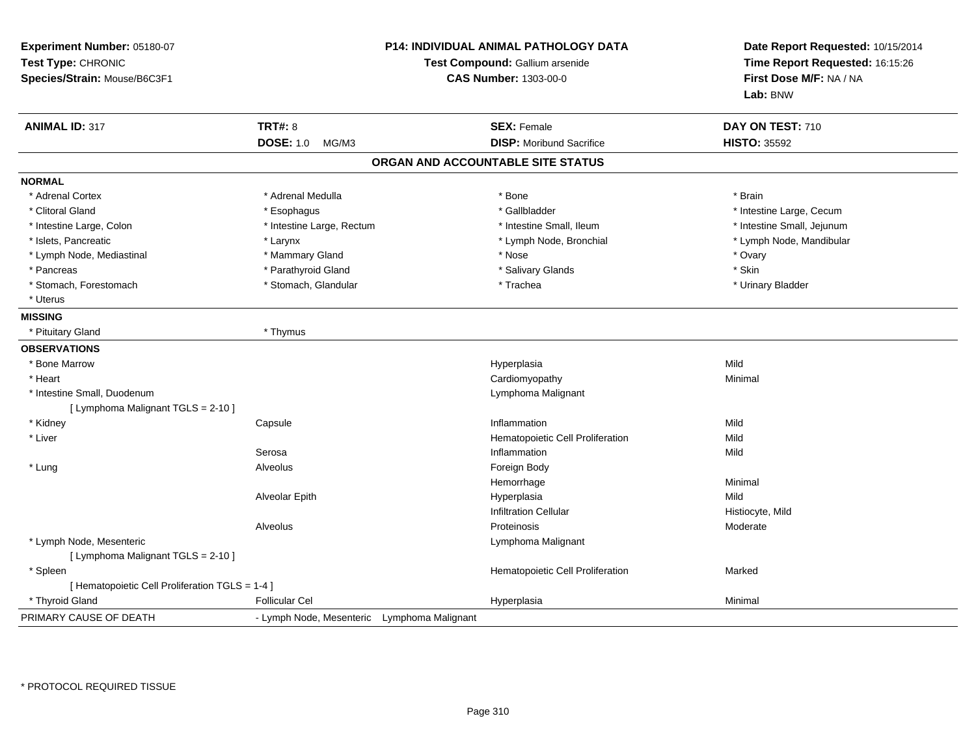| Experiment Number: 05180-07<br>Test Type: CHRONIC<br>Species/Strain: Mouse/B6C3F1 |                                             | P14: INDIVIDUAL ANIMAL PATHOLOGY DATA<br>Test Compound: Gallium arsenide<br><b>CAS Number: 1303-00-0</b> | Date Report Requested: 10/15/2014<br>Time Report Requested: 16:15:26<br>First Dose M/F: NA / NA<br>Lab: BNW |
|-----------------------------------------------------------------------------------|---------------------------------------------|----------------------------------------------------------------------------------------------------------|-------------------------------------------------------------------------------------------------------------|
| <b>ANIMAL ID: 317</b>                                                             | <b>TRT#: 8</b>                              | <b>SEX: Female</b>                                                                                       | DAY ON TEST: 710                                                                                            |
|                                                                                   | <b>DOSE: 1.0</b><br>MG/M3                   | <b>DISP:</b> Moribund Sacrifice                                                                          | <b>HISTO: 35592</b>                                                                                         |
|                                                                                   |                                             | ORGAN AND ACCOUNTABLE SITE STATUS                                                                        |                                                                                                             |
| <b>NORMAL</b>                                                                     |                                             |                                                                                                          |                                                                                                             |
| * Adrenal Cortex                                                                  | * Adrenal Medulla                           | * Bone                                                                                                   | * Brain                                                                                                     |
| * Clitoral Gland                                                                  | * Esophagus                                 | * Gallbladder                                                                                            | * Intestine Large, Cecum                                                                                    |
| * Intestine Large, Colon                                                          | * Intestine Large, Rectum                   | * Intestine Small, Ileum                                                                                 | * Intestine Small, Jejunum                                                                                  |
| * Islets, Pancreatic                                                              | * Larynx                                    | * Lymph Node, Bronchial                                                                                  | * Lymph Node, Mandibular                                                                                    |
| * Lymph Node, Mediastinal                                                         | * Mammary Gland                             | * Nose                                                                                                   | * Ovary                                                                                                     |
| * Pancreas                                                                        | * Parathyroid Gland                         | * Salivary Glands                                                                                        | * Skin                                                                                                      |
| * Stomach, Forestomach                                                            | * Stomach, Glandular                        | * Trachea                                                                                                | * Urinary Bladder                                                                                           |
| * Uterus                                                                          |                                             |                                                                                                          |                                                                                                             |
| <b>MISSING</b>                                                                    |                                             |                                                                                                          |                                                                                                             |
| * Pituitary Gland                                                                 | * Thymus                                    |                                                                                                          |                                                                                                             |
| <b>OBSERVATIONS</b>                                                               |                                             |                                                                                                          |                                                                                                             |
| * Bone Marrow                                                                     |                                             | Hyperplasia                                                                                              | Mild                                                                                                        |
| * Heart                                                                           |                                             | Cardiomyopathy                                                                                           | Minimal                                                                                                     |
| * Intestine Small, Duodenum                                                       |                                             | Lymphoma Malignant                                                                                       |                                                                                                             |
| [ Lymphoma Malignant TGLS = 2-10 ]                                                |                                             |                                                                                                          |                                                                                                             |
| * Kidney                                                                          | Capsule                                     | Inflammation                                                                                             | Mild                                                                                                        |
| * Liver                                                                           |                                             | Hematopoietic Cell Proliferation                                                                         | Mild                                                                                                        |
|                                                                                   | Serosa                                      | Inflammation                                                                                             | Mild                                                                                                        |
| * Lung                                                                            | Alveolus                                    | Foreign Body                                                                                             |                                                                                                             |
|                                                                                   |                                             | Hemorrhage                                                                                               | Minimal                                                                                                     |
|                                                                                   | Alveolar Epith                              | Hyperplasia                                                                                              | Mild                                                                                                        |
|                                                                                   |                                             | <b>Infiltration Cellular</b>                                                                             | Histiocyte, Mild                                                                                            |
|                                                                                   | Alveolus                                    | Proteinosis                                                                                              | Moderate                                                                                                    |
| * Lymph Node, Mesenteric                                                          |                                             | Lymphoma Malignant                                                                                       |                                                                                                             |
| [ Lymphoma Malignant TGLS = 2-10 ]                                                |                                             |                                                                                                          |                                                                                                             |
| * Spleen                                                                          |                                             | Hematopoietic Cell Proliferation                                                                         | Marked                                                                                                      |
| [ Hematopoietic Cell Proliferation TGLS = 1-4 ]                                   |                                             |                                                                                                          |                                                                                                             |
| * Thyroid Gland                                                                   | <b>Follicular Cel</b>                       | Hyperplasia                                                                                              | Minimal                                                                                                     |
| PRIMARY CAUSE OF DEATH                                                            | - Lymph Node, Mesenteric Lymphoma Malignant |                                                                                                          |                                                                                                             |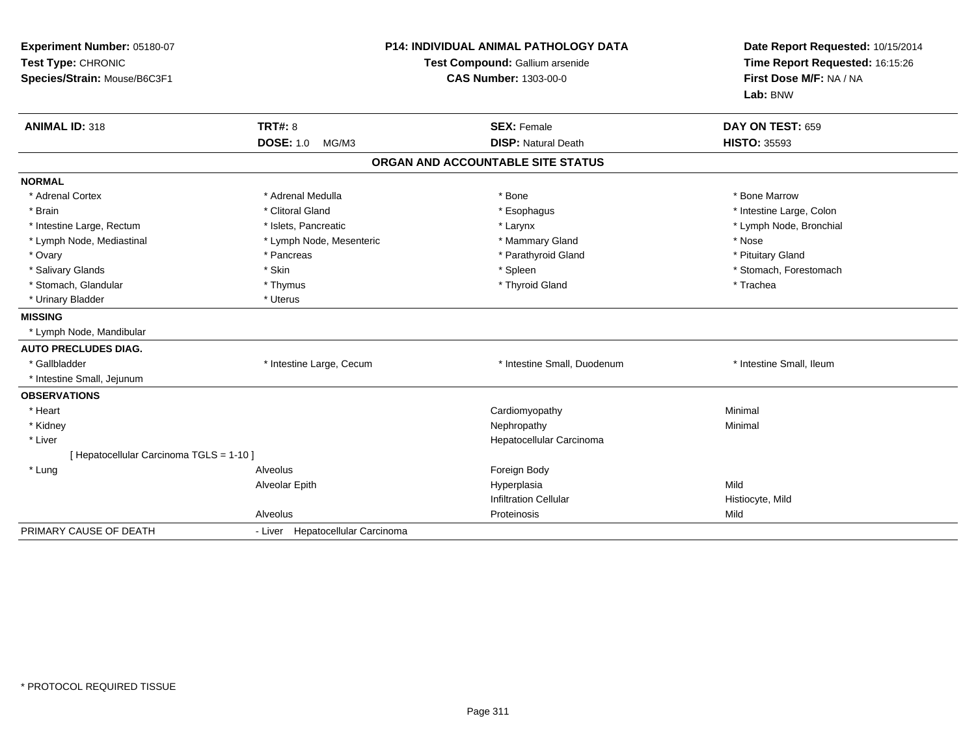| Experiment Number: 05180-07<br>Test Type: CHRONIC<br>Species/Strain: Mouse/B6C3F1 |                                  | <b>P14: INDIVIDUAL ANIMAL PATHOLOGY DATA</b><br>Test Compound: Gallium arsenide<br><b>CAS Number: 1303-00-0</b> | Date Report Requested: 10/15/2014<br>Time Report Requested: 16:15:26<br>First Dose M/F: NA / NA<br>Lab: BNW |  |
|-----------------------------------------------------------------------------------|----------------------------------|-----------------------------------------------------------------------------------------------------------------|-------------------------------------------------------------------------------------------------------------|--|
| <b>ANIMAL ID: 318</b>                                                             | <b>TRT#: 8</b>                   | <b>SEX: Female</b>                                                                                              | DAY ON TEST: 659                                                                                            |  |
|                                                                                   | <b>DOSE: 1.0</b><br>MG/M3        | <b>DISP: Natural Death</b>                                                                                      | <b>HISTO: 35593</b>                                                                                         |  |
|                                                                                   |                                  | ORGAN AND ACCOUNTABLE SITE STATUS                                                                               |                                                                                                             |  |
| <b>NORMAL</b>                                                                     |                                  |                                                                                                                 |                                                                                                             |  |
| * Adrenal Cortex                                                                  | * Adrenal Medulla                | * Bone                                                                                                          | * Bone Marrow                                                                                               |  |
| * Brain                                                                           | * Clitoral Gland                 | * Esophagus                                                                                                     | * Intestine Large, Colon                                                                                    |  |
| * Intestine Large, Rectum                                                         | * Islets, Pancreatic             | * Larynx                                                                                                        | * Lymph Node, Bronchial                                                                                     |  |
| * Lymph Node, Mediastinal                                                         | * Lymph Node, Mesenteric         | * Mammary Gland                                                                                                 | * Nose                                                                                                      |  |
| * Ovary                                                                           | * Pancreas                       | * Parathyroid Gland                                                                                             | * Pituitary Gland                                                                                           |  |
| * Salivary Glands                                                                 | * Skin                           | * Spleen                                                                                                        | * Stomach, Forestomach                                                                                      |  |
| * Stomach, Glandular                                                              | * Thymus                         | * Thyroid Gland                                                                                                 | * Trachea                                                                                                   |  |
| * Urinary Bladder                                                                 | * Uterus                         |                                                                                                                 |                                                                                                             |  |
| <b>MISSING</b>                                                                    |                                  |                                                                                                                 |                                                                                                             |  |
| * Lymph Node, Mandibular                                                          |                                  |                                                                                                                 |                                                                                                             |  |
| <b>AUTO PRECLUDES DIAG.</b>                                                       |                                  |                                                                                                                 |                                                                                                             |  |
| * Gallbladder                                                                     | * Intestine Large, Cecum         | * Intestine Small, Duodenum                                                                                     | * Intestine Small, Ileum                                                                                    |  |
| * Intestine Small, Jejunum                                                        |                                  |                                                                                                                 |                                                                                                             |  |
| <b>OBSERVATIONS</b>                                                               |                                  |                                                                                                                 |                                                                                                             |  |
| * Heart                                                                           |                                  | Cardiomyopathy                                                                                                  | Minimal                                                                                                     |  |
| * Kidney                                                                          |                                  | Nephropathy                                                                                                     | Minimal                                                                                                     |  |
| * Liver                                                                           |                                  | Hepatocellular Carcinoma                                                                                        |                                                                                                             |  |
| [ Hepatocellular Carcinoma TGLS = 1-10 ]                                          |                                  |                                                                                                                 |                                                                                                             |  |
| * Lung                                                                            | Alveolus                         | Foreign Body                                                                                                    |                                                                                                             |  |
|                                                                                   | Alveolar Epith                   | Hyperplasia                                                                                                     | Mild                                                                                                        |  |
|                                                                                   |                                  | <b>Infiltration Cellular</b>                                                                                    | Histiocyte, Mild                                                                                            |  |
|                                                                                   | Alveolus                         | Proteinosis                                                                                                     | Mild                                                                                                        |  |
| PRIMARY CAUSE OF DEATH                                                            | - Liver Hepatocellular Carcinoma |                                                                                                                 |                                                                                                             |  |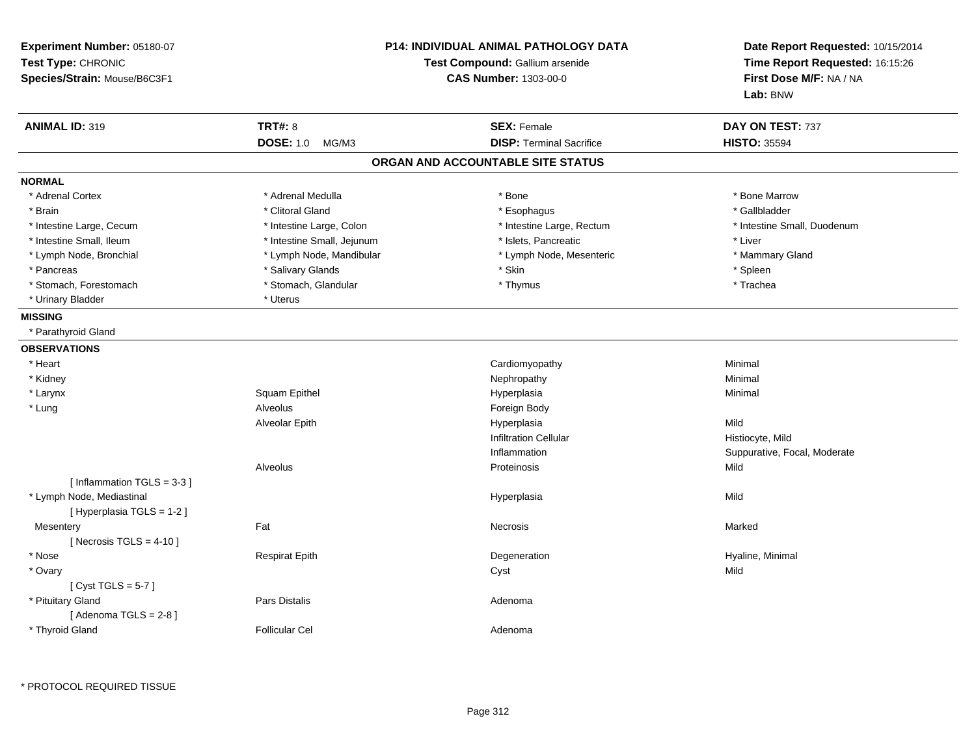| Experiment Number: 05180-07<br>Test Type: CHRONIC<br>Species/Strain: Mouse/B6C3F1 |                                             | <b>P14: INDIVIDUAL ANIMAL PATHOLOGY DATA</b><br>Test Compound: Gallium arsenide<br><b>CAS Number: 1303-00-0</b> | Date Report Requested: 10/15/2014<br>Time Report Requested: 16:15:26<br>First Dose M/F: NA / NA<br>Lab: BNW |
|-----------------------------------------------------------------------------------|---------------------------------------------|-----------------------------------------------------------------------------------------------------------------|-------------------------------------------------------------------------------------------------------------|
| <b>ANIMAL ID: 319</b>                                                             | <b>TRT#: 8</b><br><b>DOSE: 1.0</b><br>MG/M3 | <b>SEX: Female</b><br><b>DISP: Terminal Sacrifice</b>                                                           | DAY ON TEST: 737<br><b>HISTO: 35594</b>                                                                     |
|                                                                                   |                                             | ORGAN AND ACCOUNTABLE SITE STATUS                                                                               |                                                                                                             |
| <b>NORMAL</b>                                                                     |                                             |                                                                                                                 |                                                                                                             |
| * Adrenal Cortex                                                                  | * Adrenal Medulla                           | * Bone                                                                                                          | * Bone Marrow                                                                                               |
| * Brain                                                                           | * Clitoral Gland                            | * Esophagus                                                                                                     | * Gallbladder                                                                                               |
| * Intestine Large, Cecum                                                          | * Intestine Large, Colon                    | * Intestine Large, Rectum                                                                                       | * Intestine Small, Duodenum                                                                                 |
| * Intestine Small, Ileum                                                          | * Intestine Small, Jejunum                  | * Islets, Pancreatic                                                                                            | * Liver                                                                                                     |
| * Lymph Node, Bronchial                                                           | * Lymph Node, Mandibular                    | * Lymph Node, Mesenteric                                                                                        | * Mammary Gland                                                                                             |
| * Pancreas                                                                        | * Salivary Glands                           | * Skin                                                                                                          | * Spleen                                                                                                    |
| * Stomach, Forestomach                                                            | * Stomach, Glandular                        | * Thymus                                                                                                        | * Trachea                                                                                                   |
| * Urinary Bladder                                                                 | * Uterus                                    |                                                                                                                 |                                                                                                             |
| <b>MISSING</b>                                                                    |                                             |                                                                                                                 |                                                                                                             |
| * Parathyroid Gland                                                               |                                             |                                                                                                                 |                                                                                                             |
| <b>OBSERVATIONS</b>                                                               |                                             |                                                                                                                 |                                                                                                             |
| * Heart                                                                           |                                             | Cardiomyopathy                                                                                                  | Minimal                                                                                                     |
| * Kidney                                                                          |                                             | Nephropathy                                                                                                     | Minimal                                                                                                     |
| * Larynx                                                                          | Squam Epithel                               |                                                                                                                 | Minimal                                                                                                     |
|                                                                                   | Alveolus                                    | Hyperplasia                                                                                                     |                                                                                                             |
| * Lung                                                                            |                                             | Foreign Body                                                                                                    |                                                                                                             |
|                                                                                   | Alveolar Epith                              | Hyperplasia                                                                                                     | Mild                                                                                                        |
|                                                                                   |                                             | <b>Infiltration Cellular</b>                                                                                    | Histiocyte, Mild                                                                                            |
|                                                                                   |                                             | Inflammation                                                                                                    | Suppurative, Focal, Moderate                                                                                |
| [Inflammation TGLS = 3-3]                                                         | Alveolus                                    | Proteinosis                                                                                                     | Mild                                                                                                        |
| * Lymph Node, Mediastinal<br>[ Hyperplasia TGLS = 1-2 ]                           |                                             | Hyperplasia                                                                                                     | Mild                                                                                                        |
| Mesentery<br>[ Necrosis $TGLS = 4-10$ ]                                           | Fat                                         | Necrosis                                                                                                        | Marked                                                                                                      |
| * Nose                                                                            | <b>Respirat Epith</b>                       | Degeneration                                                                                                    | Hyaline, Minimal                                                                                            |
| * Ovary<br>[Cyst TGLS = $5-7$ ]                                                   |                                             | Cyst                                                                                                            | Mild                                                                                                        |
| * Pituitary Gland<br>[Adenoma TGLS = 2-8]                                         | Pars Distalis                               | Adenoma                                                                                                         |                                                                                                             |
| * Thyroid Gland                                                                   | <b>Follicular Cel</b>                       | Adenoma                                                                                                         |                                                                                                             |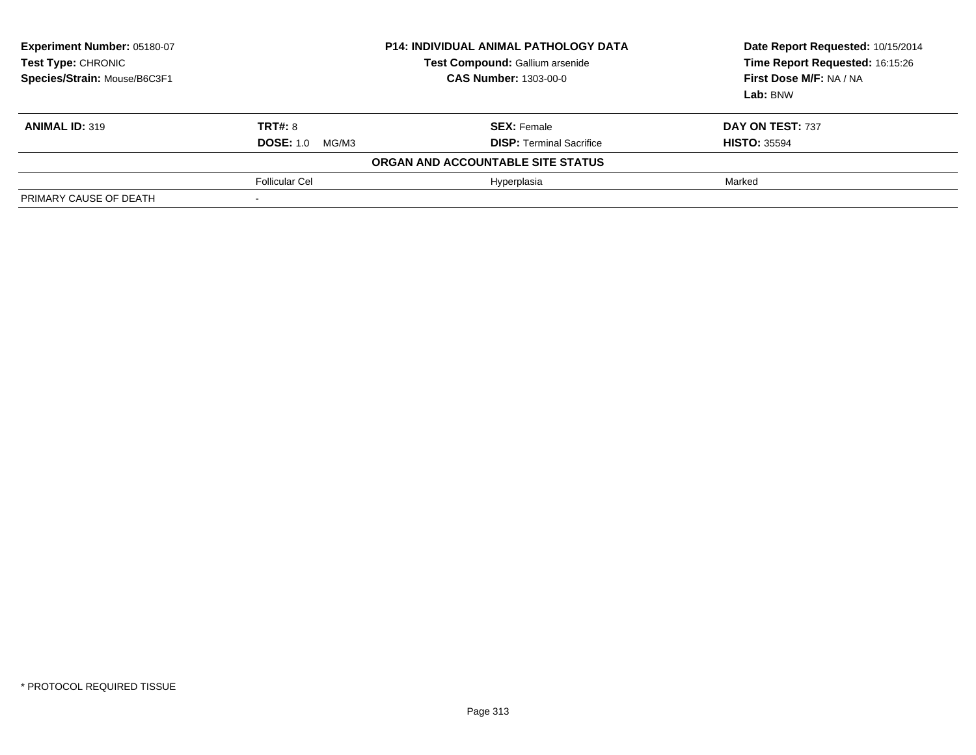| Experiment Number: 05180-07<br>Test Type: CHRONIC<br>Species/Strain: Mouse/B6C3F1 | <b>P14: INDIVIDUAL ANIMAL PATHOLOGY DATA</b><br>Test Compound: Gallium arsenide<br><b>CAS Number: 1303-00-0</b> |                                   | Date Report Requested: 10/15/2014<br>Time Report Requested: 16:15:26<br>First Dose M/F: NA / NA<br>Lab: BNW |
|-----------------------------------------------------------------------------------|-----------------------------------------------------------------------------------------------------------------|-----------------------------------|-------------------------------------------------------------------------------------------------------------|
| <b>ANIMAL ID: 319</b>                                                             | <b>TRT#: 8</b>                                                                                                  | <b>SEX: Female</b>                | DAY ON TEST: 737                                                                                            |
|                                                                                   | <b>DOSE:</b> 1.0 MG/M3                                                                                          | <b>DISP:</b> Terminal Sacrifice   | <b>HISTO: 35594</b>                                                                                         |
|                                                                                   |                                                                                                                 | ORGAN AND ACCOUNTABLE SITE STATUS |                                                                                                             |
|                                                                                   | <b>Follicular Cel</b>                                                                                           | Hyperplasia                       | Marked                                                                                                      |
| PRIMARY CAUSE OF DEATH                                                            |                                                                                                                 |                                   |                                                                                                             |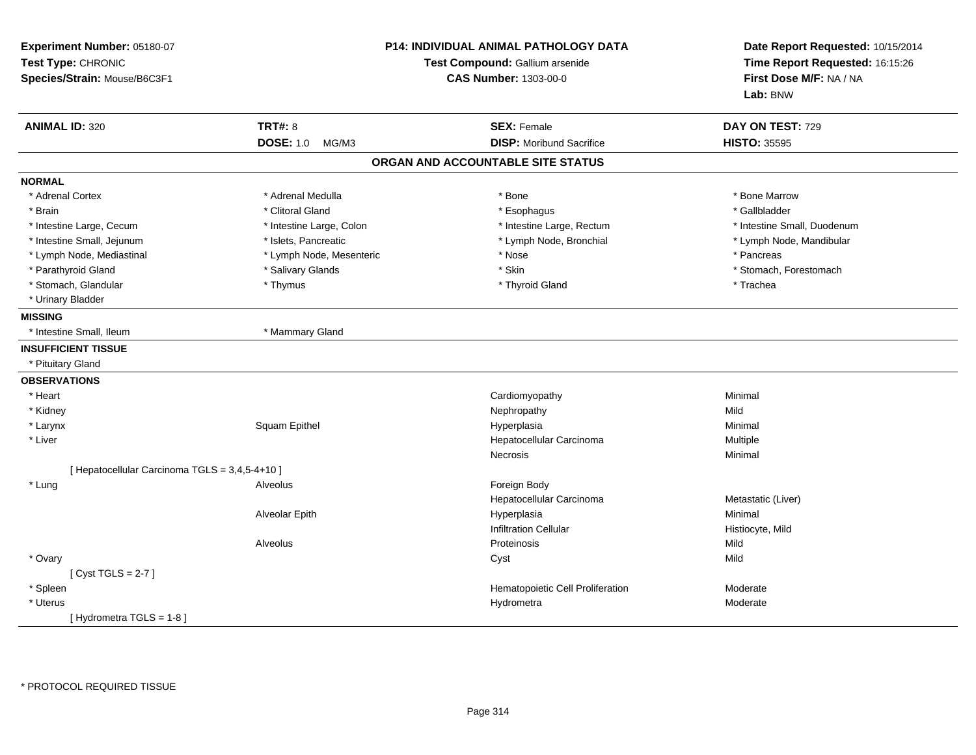| Experiment Number: 05180-07<br>Test Type: CHRONIC<br>Species/Strain: Mouse/B6C3F1 |                           | P14: INDIVIDUAL ANIMAL PATHOLOGY DATA<br>Test Compound: Gallium arsenide<br><b>CAS Number: 1303-00-0</b> | Date Report Requested: 10/15/2014<br>Time Report Requested: 16:15:26<br>First Dose M/F: NA / NA<br>Lab: BNW |
|-----------------------------------------------------------------------------------|---------------------------|----------------------------------------------------------------------------------------------------------|-------------------------------------------------------------------------------------------------------------|
| <b>ANIMAL ID: 320</b>                                                             | <b>TRT#: 8</b>            | <b>SEX: Female</b>                                                                                       | DAY ON TEST: 729                                                                                            |
|                                                                                   | <b>DOSE: 1.0</b><br>MG/M3 | <b>DISP:</b> Moribund Sacrifice                                                                          | <b>HISTO: 35595</b>                                                                                         |
|                                                                                   |                           | ORGAN AND ACCOUNTABLE SITE STATUS                                                                        |                                                                                                             |
| <b>NORMAL</b>                                                                     |                           |                                                                                                          |                                                                                                             |
| * Adrenal Cortex                                                                  | * Adrenal Medulla         | * Bone                                                                                                   | * Bone Marrow                                                                                               |
| * Brain                                                                           | * Clitoral Gland          | * Esophagus                                                                                              | * Gallbladder                                                                                               |
| * Intestine Large, Cecum                                                          | * Intestine Large, Colon  | * Intestine Large, Rectum                                                                                | * Intestine Small, Duodenum                                                                                 |
| * Intestine Small, Jejunum                                                        | * Islets, Pancreatic      | * Lymph Node, Bronchial                                                                                  | * Lymph Node, Mandibular                                                                                    |
| * Lymph Node, Mediastinal                                                         | * Lymph Node, Mesenteric  | * Nose                                                                                                   | * Pancreas                                                                                                  |
| * Parathyroid Gland                                                               | * Salivary Glands         | * Skin                                                                                                   | * Stomach, Forestomach                                                                                      |
| * Stomach, Glandular                                                              | * Thymus                  | * Thyroid Gland                                                                                          | * Trachea                                                                                                   |
| * Urinary Bladder                                                                 |                           |                                                                                                          |                                                                                                             |
| <b>MISSING</b>                                                                    |                           |                                                                                                          |                                                                                                             |
| * Intestine Small, Ileum                                                          | * Mammary Gland           |                                                                                                          |                                                                                                             |
| <b>INSUFFICIENT TISSUE</b>                                                        |                           |                                                                                                          |                                                                                                             |
| * Pituitary Gland                                                                 |                           |                                                                                                          |                                                                                                             |
| <b>OBSERVATIONS</b>                                                               |                           |                                                                                                          |                                                                                                             |
| * Heart                                                                           |                           | Cardiomyopathy                                                                                           | Minimal                                                                                                     |
| * Kidney                                                                          |                           | Nephropathy                                                                                              | Mild                                                                                                        |
| * Larynx                                                                          | Squam Epithel             | Hyperplasia                                                                                              | Minimal                                                                                                     |
| * Liver                                                                           |                           | Hepatocellular Carcinoma                                                                                 | Multiple                                                                                                    |
|                                                                                   |                           | <b>Necrosis</b>                                                                                          | Minimal                                                                                                     |
| [ Hepatocellular Carcinoma TGLS = 3,4,5-4+10 ]                                    |                           |                                                                                                          |                                                                                                             |
| * Lung                                                                            | Alveolus                  | Foreign Body                                                                                             |                                                                                                             |
|                                                                                   |                           | Hepatocellular Carcinoma                                                                                 | Metastatic (Liver)                                                                                          |
|                                                                                   | Alveolar Epith            | Hyperplasia                                                                                              | Minimal                                                                                                     |
|                                                                                   |                           | <b>Infiltration Cellular</b>                                                                             | Histiocyte, Mild                                                                                            |
|                                                                                   | Alveolus                  | Proteinosis                                                                                              | Mild                                                                                                        |
| * Ovary                                                                           |                           | Cyst                                                                                                     | Mild                                                                                                        |
| [Cyst TGLS = $2-7$ ]                                                              |                           |                                                                                                          |                                                                                                             |
| * Spleen                                                                          |                           | Hematopoietic Cell Proliferation                                                                         | Moderate                                                                                                    |
| * Uterus                                                                          |                           | Hydrometra                                                                                               | Moderate                                                                                                    |
| [Hydrometra TGLS = 1-8]                                                           |                           |                                                                                                          |                                                                                                             |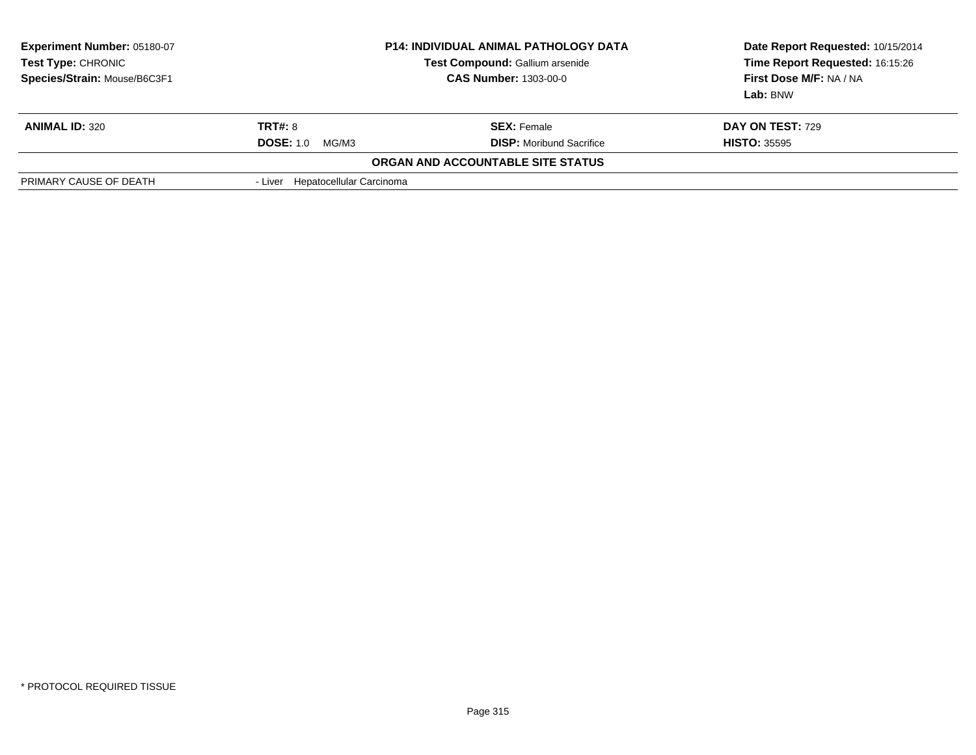| <b>Experiment Number: 05180-07</b><br>Test Type: CHRONIC<br>Species/Strain: Mouse/B6C3F1 | <b>P14: INDIVIDUAL ANIMAL PATHOLOGY DATA</b><br>Test Compound: Gallium arsenide<br><b>CAS Number: 1303-00-0</b> |                                   | Date Report Requested: 10/15/2014<br>Time Report Requested: 16:15:26<br>First Dose M/F: NA / NA<br>Lab: BNW |
|------------------------------------------------------------------------------------------|-----------------------------------------------------------------------------------------------------------------|-----------------------------------|-------------------------------------------------------------------------------------------------------------|
| <b>ANIMAL ID: 320</b>                                                                    | <b>TRT#: 8</b>                                                                                                  | <b>SEX: Female</b>                | DAY ON TEST: 729                                                                                            |
|                                                                                          | <b>DOSE: 1.0</b><br>MG/M3                                                                                       | <b>DISP:</b> Moribund Sacrifice   | <b>HISTO: 35595</b>                                                                                         |
|                                                                                          |                                                                                                                 | ORGAN AND ACCOUNTABLE SITE STATUS |                                                                                                             |
| PRIMARY CAUSE OF DEATH                                                                   | - Liver Hepatocellular Carcinoma                                                                                |                                   |                                                                                                             |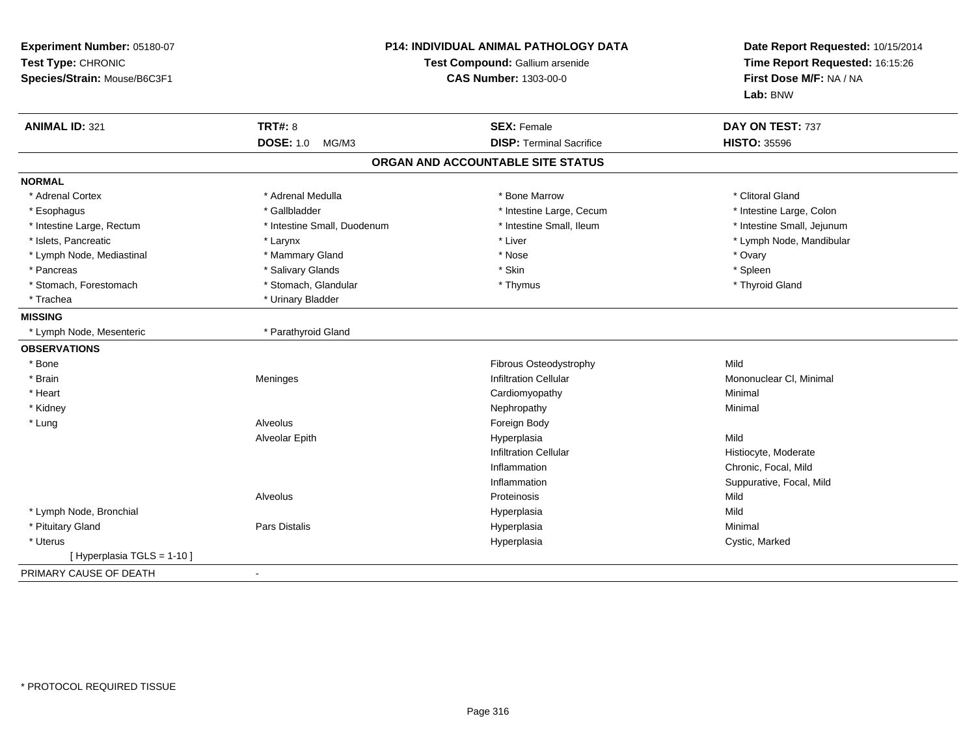| Experiment Number: 05180-07<br>Test Type: CHRONIC<br>Species/Strain: Mouse/B6C3F1 | P14: INDIVIDUAL ANIMAL PATHOLOGY DATA<br>Test Compound: Gallium arsenide<br><b>CAS Number: 1303-00-0</b> |                                   | Date Report Requested: 10/15/2014<br>Time Report Requested: 16:15:26<br>First Dose M/F: NA / NA<br>Lab: BNW |
|-----------------------------------------------------------------------------------|----------------------------------------------------------------------------------------------------------|-----------------------------------|-------------------------------------------------------------------------------------------------------------|
| <b>ANIMAL ID: 321</b>                                                             | <b>TRT#: 8</b>                                                                                           | <b>SEX: Female</b>                | DAY ON TEST: 737                                                                                            |
|                                                                                   | <b>DOSE: 1.0</b><br>MG/M3                                                                                | <b>DISP: Terminal Sacrifice</b>   | <b>HISTO: 35596</b>                                                                                         |
|                                                                                   |                                                                                                          | ORGAN AND ACCOUNTABLE SITE STATUS |                                                                                                             |
| <b>NORMAL</b>                                                                     |                                                                                                          |                                   |                                                                                                             |
| * Adrenal Cortex                                                                  | * Adrenal Medulla                                                                                        | * Bone Marrow                     | * Clitoral Gland                                                                                            |
| * Esophagus                                                                       | * Gallbladder                                                                                            | * Intestine Large, Cecum          | * Intestine Large, Colon                                                                                    |
| * Intestine Large, Rectum                                                         | * Intestine Small, Duodenum                                                                              | * Intestine Small, Ileum          | * Intestine Small, Jejunum                                                                                  |
| * Islets, Pancreatic                                                              | * Larynx                                                                                                 | * Liver                           | * Lymph Node, Mandibular                                                                                    |
| * Lymph Node, Mediastinal                                                         | * Mammary Gland                                                                                          | * Nose                            | * Ovary                                                                                                     |
| * Pancreas                                                                        | * Salivary Glands                                                                                        | * Skin                            | * Spleen                                                                                                    |
| * Stomach, Forestomach                                                            | * Stomach, Glandular                                                                                     | * Thymus                          | * Thyroid Gland                                                                                             |
| * Trachea                                                                         | * Urinary Bladder                                                                                        |                                   |                                                                                                             |
| <b>MISSING</b>                                                                    |                                                                                                          |                                   |                                                                                                             |
| * Lymph Node, Mesenteric                                                          | * Parathyroid Gland                                                                                      |                                   |                                                                                                             |
| <b>OBSERVATIONS</b>                                                               |                                                                                                          |                                   |                                                                                                             |
| * Bone                                                                            |                                                                                                          | Fibrous Osteodystrophy            | Mild                                                                                                        |
| * Brain                                                                           | Meninges                                                                                                 | <b>Infiltration Cellular</b>      | Mononuclear CI, Minimal                                                                                     |
| * Heart                                                                           |                                                                                                          | Cardiomyopathy                    | Minimal                                                                                                     |
| * Kidney                                                                          |                                                                                                          | Nephropathy                       | Minimal                                                                                                     |
| * Lung                                                                            | Alveolus                                                                                                 | Foreign Body                      |                                                                                                             |
|                                                                                   | Alveolar Epith                                                                                           | Hyperplasia                       | Mild                                                                                                        |
|                                                                                   |                                                                                                          | <b>Infiltration Cellular</b>      | Histiocyte, Moderate                                                                                        |
|                                                                                   |                                                                                                          | Inflammation                      | Chronic, Focal, Mild                                                                                        |
|                                                                                   |                                                                                                          | Inflammation                      | Suppurative, Focal, Mild                                                                                    |
|                                                                                   | Alveolus                                                                                                 | Proteinosis                       | Mild                                                                                                        |
| * Lymph Node, Bronchial                                                           |                                                                                                          | Hyperplasia                       | Mild                                                                                                        |
| * Pituitary Gland                                                                 | <b>Pars Distalis</b>                                                                                     | Hyperplasia                       | Minimal                                                                                                     |
| * Uterus                                                                          |                                                                                                          | Hyperplasia                       | Cystic, Marked                                                                                              |
| [ Hyperplasia TGLS = 1-10 ]                                                       |                                                                                                          |                                   |                                                                                                             |
| PRIMARY CAUSE OF DEATH                                                            |                                                                                                          |                                   |                                                                                                             |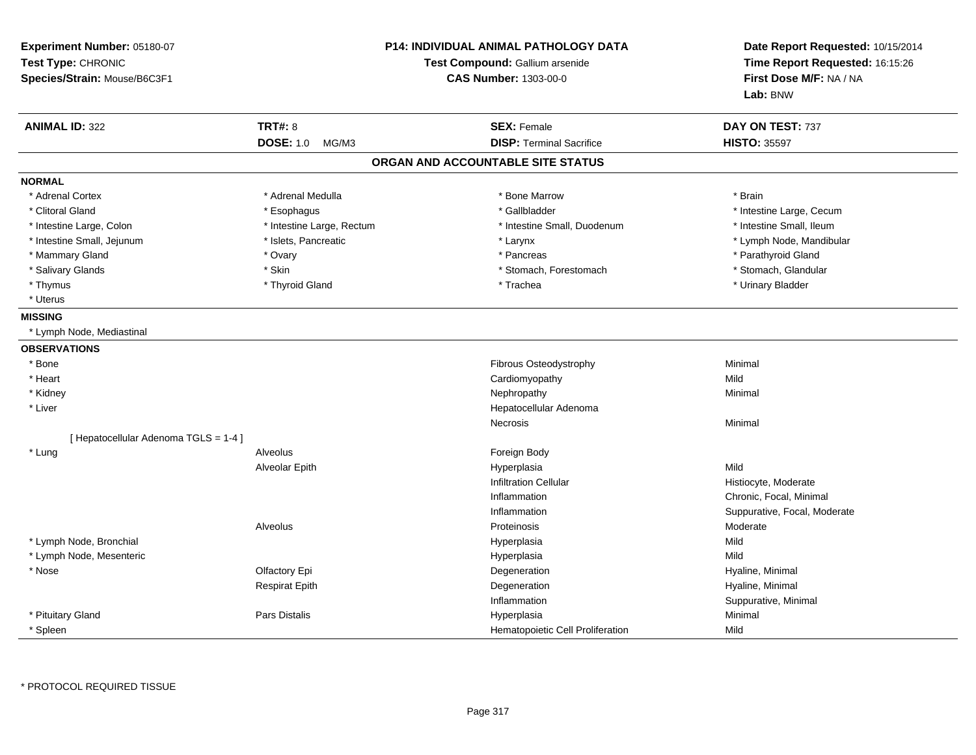| Experiment Number: 05180-07<br>Test Type: CHRONIC<br>Species/Strain: Mouse/B6C3F1 |                           | <b>P14: INDIVIDUAL ANIMAL PATHOLOGY DATA</b><br>Test Compound: Gallium arsenide<br><b>CAS Number: 1303-00-0</b> | Date Report Requested: 10/15/2014<br>Time Report Requested: 16:15:26<br>First Dose M/F: NA / NA<br>Lab: BNW |
|-----------------------------------------------------------------------------------|---------------------------|-----------------------------------------------------------------------------------------------------------------|-------------------------------------------------------------------------------------------------------------|
| <b>ANIMAL ID: 322</b>                                                             | <b>TRT#: 8</b>            | <b>SEX: Female</b>                                                                                              | DAY ON TEST: 737                                                                                            |
|                                                                                   | <b>DOSE: 1.0</b><br>MG/M3 | <b>DISP: Terminal Sacrifice</b>                                                                                 | <b>HISTO: 35597</b>                                                                                         |
|                                                                                   |                           | ORGAN AND ACCOUNTABLE SITE STATUS                                                                               |                                                                                                             |
| <b>NORMAL</b>                                                                     |                           |                                                                                                                 |                                                                                                             |
| * Adrenal Cortex                                                                  | * Adrenal Medulla         | * Bone Marrow                                                                                                   | * Brain                                                                                                     |
| * Clitoral Gland                                                                  | * Esophagus               | * Gallbladder                                                                                                   | * Intestine Large, Cecum                                                                                    |
| * Intestine Large, Colon                                                          | * Intestine Large, Rectum | * Intestine Small, Duodenum                                                                                     | * Intestine Small, Ileum                                                                                    |
| * Intestine Small, Jejunum                                                        | * Islets, Pancreatic      | * Larynx                                                                                                        | * Lymph Node, Mandibular                                                                                    |
| * Mammary Gland                                                                   | * Ovary                   | * Pancreas                                                                                                      | * Parathyroid Gland                                                                                         |
| * Salivary Glands                                                                 | * Skin                    | * Stomach, Forestomach                                                                                          | * Stomach, Glandular                                                                                        |
| * Thymus                                                                          | * Thyroid Gland           | * Trachea                                                                                                       | * Urinary Bladder                                                                                           |
| * Uterus                                                                          |                           |                                                                                                                 |                                                                                                             |
| <b>MISSING</b>                                                                    |                           |                                                                                                                 |                                                                                                             |
| * Lymph Node, Mediastinal                                                         |                           |                                                                                                                 |                                                                                                             |
| <b>OBSERVATIONS</b>                                                               |                           |                                                                                                                 |                                                                                                             |
| * Bone                                                                            |                           | Fibrous Osteodystrophy                                                                                          | Minimal                                                                                                     |
| * Heart                                                                           |                           | Cardiomyopathy                                                                                                  | Mild                                                                                                        |
| * Kidney                                                                          |                           | Nephropathy                                                                                                     | Minimal                                                                                                     |
| * Liver                                                                           |                           | Hepatocellular Adenoma                                                                                          |                                                                                                             |
|                                                                                   |                           | Necrosis                                                                                                        | Minimal                                                                                                     |
| [ Hepatocellular Adenoma TGLS = 1-4 ]                                             |                           |                                                                                                                 |                                                                                                             |
| * Lung                                                                            | Alveolus                  | Foreign Body                                                                                                    |                                                                                                             |
|                                                                                   | Alveolar Epith            | Hyperplasia                                                                                                     | Mild                                                                                                        |
|                                                                                   |                           | <b>Infiltration Cellular</b>                                                                                    | Histiocyte, Moderate                                                                                        |
|                                                                                   |                           | Inflammation                                                                                                    | Chronic, Focal, Minimal                                                                                     |
|                                                                                   |                           | Inflammation                                                                                                    | Suppurative, Focal, Moderate                                                                                |
|                                                                                   | Alveolus                  | Proteinosis                                                                                                     | Moderate                                                                                                    |
| * Lymph Node, Bronchial                                                           |                           | Hyperplasia                                                                                                     | Mild                                                                                                        |
| * Lymph Node, Mesenteric                                                          |                           | Hyperplasia                                                                                                     | Mild                                                                                                        |
| * Nose                                                                            | Olfactory Epi             | Degeneration                                                                                                    | Hyaline, Minimal                                                                                            |
|                                                                                   | <b>Respirat Epith</b>     | Degeneration                                                                                                    | Hyaline, Minimal                                                                                            |
|                                                                                   |                           | Inflammation                                                                                                    | Suppurative, Minimal                                                                                        |
| * Pituitary Gland                                                                 | <b>Pars Distalis</b>      | Hyperplasia                                                                                                     | Minimal                                                                                                     |
| <sup>'</sup> Spleen                                                               |                           | Hematopoietic Cell Proliferation                                                                                | Mild                                                                                                        |

\* PROTOCOL REQUIRED TISSUE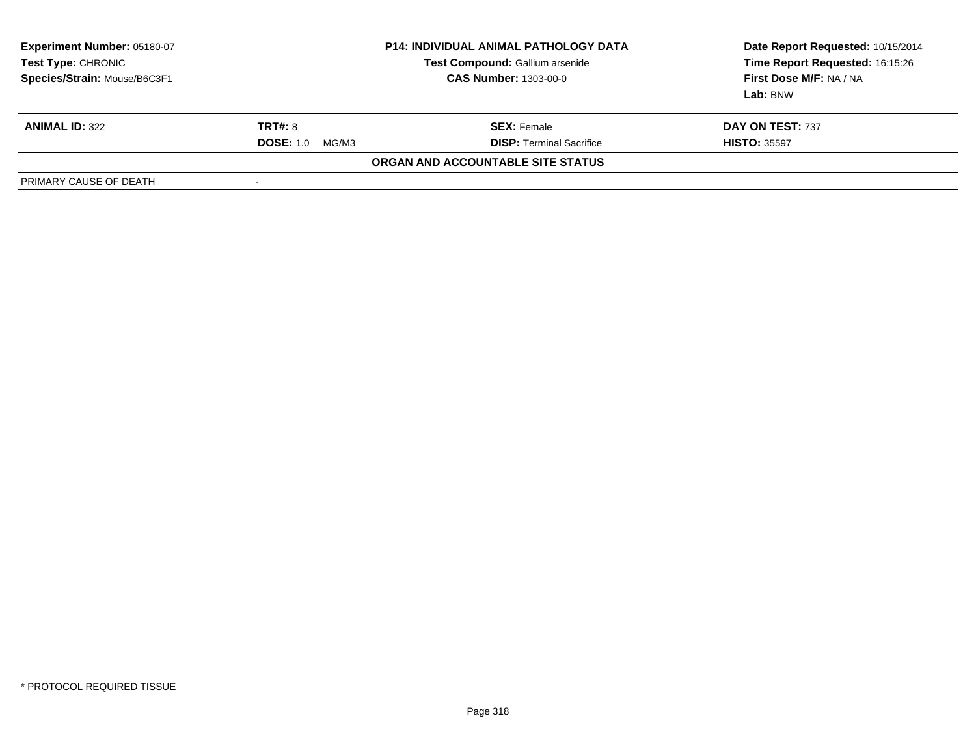| Experiment Number: 05180-07<br>Test Type: CHRONIC<br>Species/Strain: Mouse/B6C3F1 | <b>P14: INDIVIDUAL ANIMAL PATHOLOGY DATA</b><br>Test Compound: Gallium arsenide<br><b>CAS Number: 1303-00-0</b> |                                   | Date Report Requested: 10/15/2014<br>Time Report Requested: 16:15:26<br>First Dose M/F: NA / NA<br>Lab: BNW |
|-----------------------------------------------------------------------------------|-----------------------------------------------------------------------------------------------------------------|-----------------------------------|-------------------------------------------------------------------------------------------------------------|
| <b>ANIMAL ID: 322</b>                                                             | <b>TRT#: 8</b>                                                                                                  | <b>SEX:</b> Female                | DAY ON TEST: 737                                                                                            |
|                                                                                   | <b>DOSE: 1.0</b><br>MG/M3                                                                                       | <b>DISP: Terminal Sacrifice</b>   | <b>HISTO: 35597</b>                                                                                         |
|                                                                                   |                                                                                                                 | ORGAN AND ACCOUNTABLE SITE STATUS |                                                                                                             |
| PRIMARY CAUSE OF DEATH                                                            | $\overline{\phantom{a}}$                                                                                        |                                   |                                                                                                             |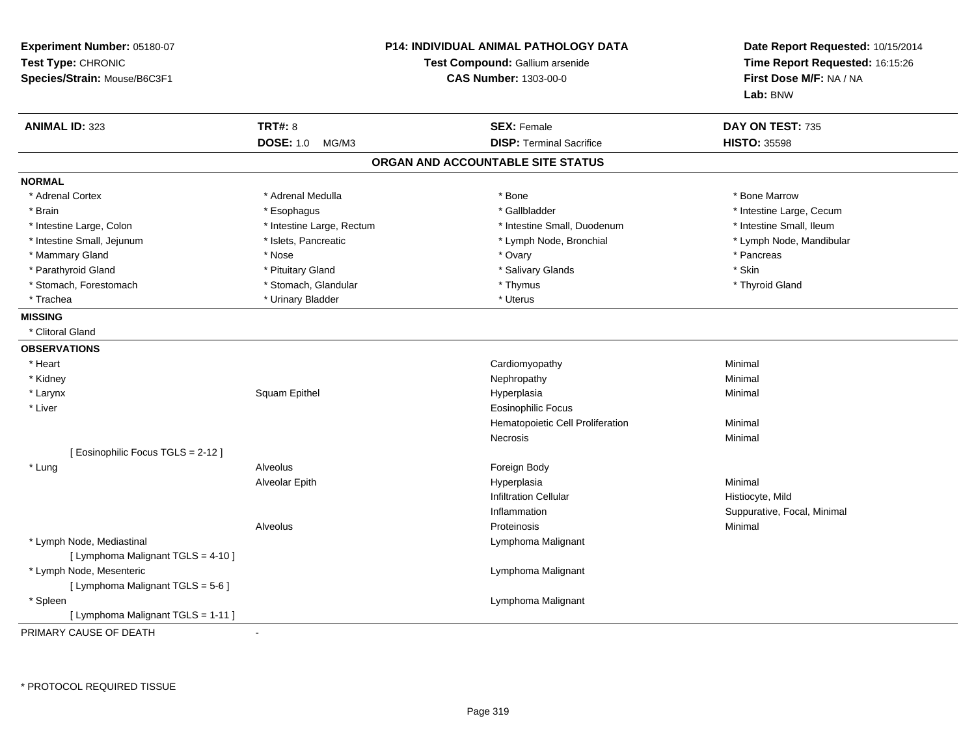| Experiment Number: 05180-07<br>Test Type: CHRONIC<br>Species/Strain: Mouse/B6C3F1 | <b>P14: INDIVIDUAL ANIMAL PATHOLOGY DATA</b><br>Test Compound: Gallium arsenide<br><b>CAS Number: 1303-00-0</b> |                                   | Date Report Requested: 10/15/2014<br>Time Report Requested: 16:15:26<br>First Dose M/F: NA / NA<br>Lab: BNW |
|-----------------------------------------------------------------------------------|-----------------------------------------------------------------------------------------------------------------|-----------------------------------|-------------------------------------------------------------------------------------------------------------|
| <b>ANIMAL ID: 323</b>                                                             | <b>TRT#: 8</b>                                                                                                  | <b>SEX: Female</b>                | DAY ON TEST: 735                                                                                            |
|                                                                                   | <b>DOSE: 1.0</b><br>MG/M3                                                                                       | <b>DISP: Terminal Sacrifice</b>   | <b>HISTO: 35598</b>                                                                                         |
|                                                                                   |                                                                                                                 | ORGAN AND ACCOUNTABLE SITE STATUS |                                                                                                             |
| <b>NORMAL</b>                                                                     |                                                                                                                 |                                   |                                                                                                             |
| * Adrenal Cortex                                                                  | * Adrenal Medulla                                                                                               | * Bone                            | * Bone Marrow                                                                                               |
| * Brain                                                                           | * Esophagus                                                                                                     | * Gallbladder                     | * Intestine Large, Cecum                                                                                    |
| * Intestine Large, Colon                                                          | * Intestine Large, Rectum                                                                                       | * Intestine Small, Duodenum       | * Intestine Small, Ileum                                                                                    |
| * Intestine Small, Jejunum                                                        | * Islets, Pancreatic                                                                                            | * Lymph Node, Bronchial           | * Lymph Node, Mandibular                                                                                    |
| * Mammary Gland                                                                   | * Nose                                                                                                          | * Ovary                           | * Pancreas                                                                                                  |
| * Parathyroid Gland                                                               | * Pituitary Gland                                                                                               | * Salivary Glands                 | * Skin                                                                                                      |
| * Stomach, Forestomach                                                            | * Stomach, Glandular                                                                                            | * Thymus                          | * Thyroid Gland                                                                                             |
| * Trachea                                                                         | * Urinary Bladder                                                                                               | * Uterus                          |                                                                                                             |
| <b>MISSING</b>                                                                    |                                                                                                                 |                                   |                                                                                                             |
| * Clitoral Gland                                                                  |                                                                                                                 |                                   |                                                                                                             |
| <b>OBSERVATIONS</b>                                                               |                                                                                                                 |                                   |                                                                                                             |
| * Heart                                                                           |                                                                                                                 | Cardiomyopathy                    | Minimal                                                                                                     |
| * Kidney                                                                          |                                                                                                                 | Nephropathy                       | Minimal                                                                                                     |
| * Larynx                                                                          | Squam Epithel                                                                                                   | Hyperplasia                       | Minimal                                                                                                     |
| * Liver                                                                           |                                                                                                                 | <b>Eosinophilic Focus</b>         |                                                                                                             |
|                                                                                   |                                                                                                                 | Hematopoietic Cell Proliferation  | Minimal                                                                                                     |
|                                                                                   |                                                                                                                 | Necrosis                          | Minimal                                                                                                     |
| [Eosinophilic Focus TGLS = 2-12]                                                  |                                                                                                                 |                                   |                                                                                                             |
| * Lung                                                                            | Alveolus                                                                                                        | Foreign Body                      |                                                                                                             |
|                                                                                   | Alveolar Epith                                                                                                  | Hyperplasia                       | Minimal                                                                                                     |
|                                                                                   |                                                                                                                 | <b>Infiltration Cellular</b>      | Histiocyte, Mild                                                                                            |
|                                                                                   |                                                                                                                 | Inflammation                      | Suppurative, Focal, Minimal                                                                                 |
|                                                                                   | Alveolus                                                                                                        | Proteinosis                       | Minimal                                                                                                     |
| * Lymph Node, Mediastinal                                                         |                                                                                                                 | Lymphoma Malignant                |                                                                                                             |
| [ Lymphoma Malignant TGLS = 4-10 ]                                                |                                                                                                                 |                                   |                                                                                                             |
| * Lymph Node, Mesenteric                                                          |                                                                                                                 | Lymphoma Malignant                |                                                                                                             |
| [ Lymphoma Malignant TGLS = 5-6 ]                                                 |                                                                                                                 |                                   |                                                                                                             |
| * Spleen                                                                          |                                                                                                                 | Lymphoma Malignant                |                                                                                                             |
| [ Lymphoma Malignant TGLS = 1-11 ]                                                |                                                                                                                 |                                   |                                                                                                             |
| PRIMARY CAUSE OF DEATH                                                            |                                                                                                                 |                                   |                                                                                                             |

\* PROTOCOL REQUIRED TISSUE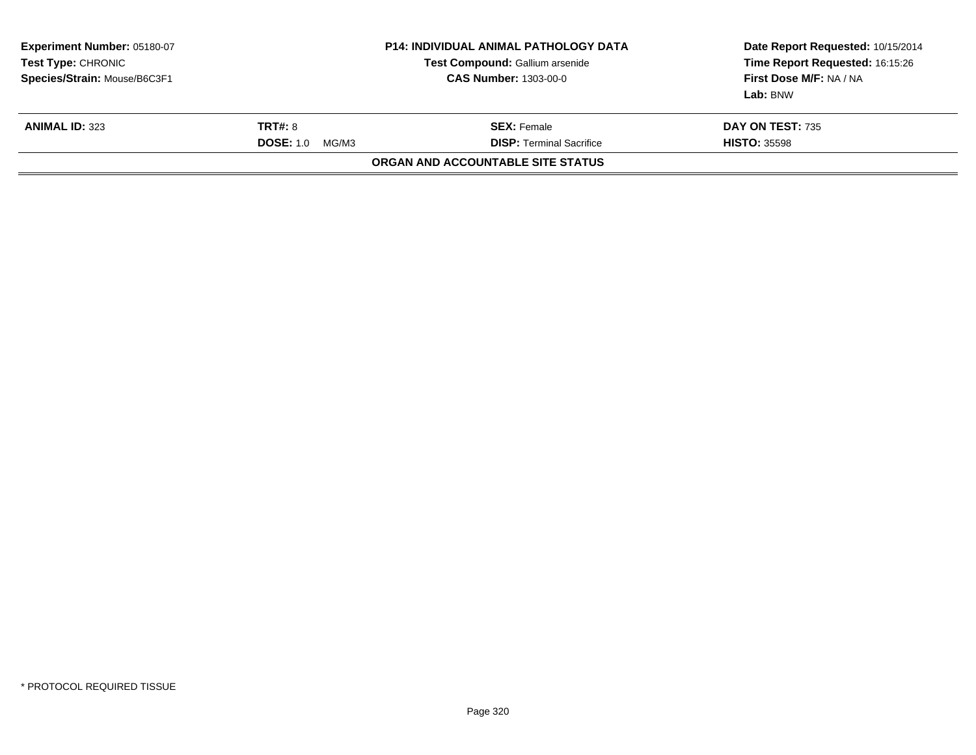| Experiment Number: 05180-07<br>Test Type: CHRONIC<br>Species/Strain: Mouse/B6C3F1 |                                                                                                      | <b>P14: INDIVIDUAL ANIMAL PATHOLOGY DATA</b><br>Test Compound: Gallium arsenide<br><b>CAS Number: 1303-00-0</b> | Date Report Requested: 10/15/2014<br>Time Report Requested: 16:15:26<br>First Dose M/F: NA / NA<br>Lab: BNW |  |
|-----------------------------------------------------------------------------------|------------------------------------------------------------------------------------------------------|-----------------------------------------------------------------------------------------------------------------|-------------------------------------------------------------------------------------------------------------|--|
| <b>ANIMAL ID: 323</b>                                                             | <b>TRT#: 8</b><br><b>SEX: Female</b><br><b>DISP: Terminal Sacrifice</b><br><b>DOSE: 1.0</b><br>MG/M3 |                                                                                                                 | <b>DAY ON TEST: 735</b><br><b>HISTO: 35598</b>                                                              |  |
|                                                                                   |                                                                                                      | ORGAN AND ACCOUNTABLE SITE STATUS                                                                               |                                                                                                             |  |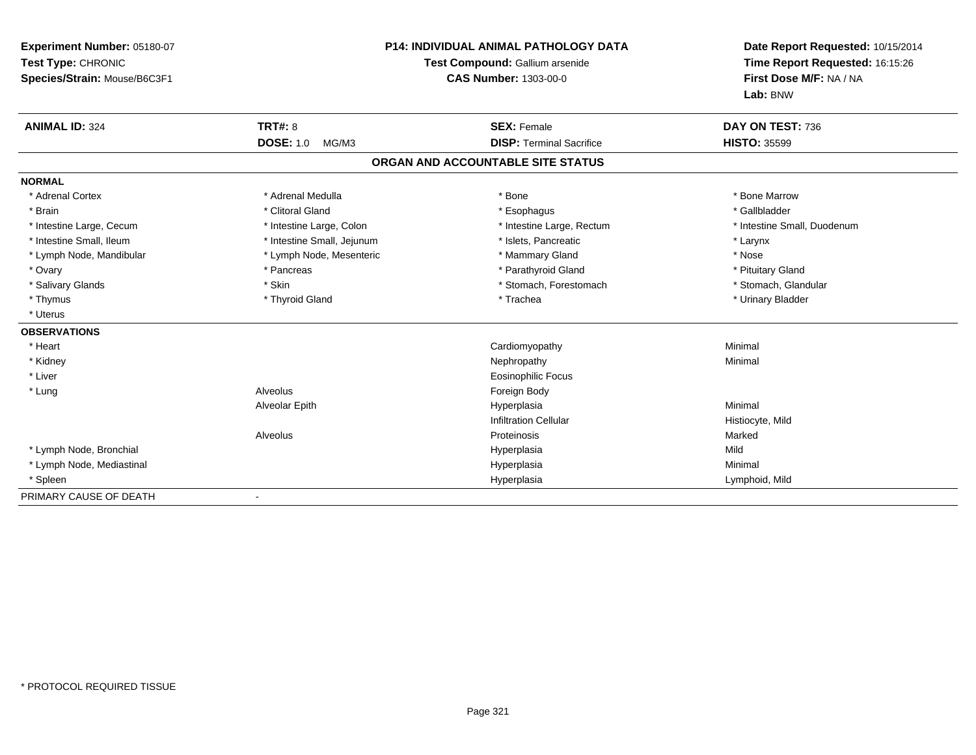| Experiment Number: 05180-07<br>Test Type: CHRONIC<br>Species/Strain: Mouse/B6C3F1 |                            | <b>P14: INDIVIDUAL ANIMAL PATHOLOGY DATA</b><br>Test Compound: Gallium arsenide<br><b>CAS Number: 1303-00-0</b> | Date Report Requested: 10/15/2014<br>Time Report Requested: 16:15:26<br>First Dose M/F: NA / NA<br>Lab: BNW |
|-----------------------------------------------------------------------------------|----------------------------|-----------------------------------------------------------------------------------------------------------------|-------------------------------------------------------------------------------------------------------------|
| <b>ANIMAL ID: 324</b>                                                             | <b>TRT#: 8</b>             | <b>SEX: Female</b>                                                                                              | DAY ON TEST: 736                                                                                            |
|                                                                                   | <b>DOSE: 1.0</b><br>MG/M3  | <b>DISP: Terminal Sacrifice</b>                                                                                 | <b>HISTO: 35599</b>                                                                                         |
|                                                                                   |                            | ORGAN AND ACCOUNTABLE SITE STATUS                                                                               |                                                                                                             |
| <b>NORMAL</b>                                                                     |                            |                                                                                                                 |                                                                                                             |
| * Adrenal Cortex                                                                  | * Adrenal Medulla          | * Bone                                                                                                          | * Bone Marrow                                                                                               |
| * Brain                                                                           | * Clitoral Gland           | * Esophagus                                                                                                     | * Gallbladder                                                                                               |
| * Intestine Large, Cecum                                                          | * Intestine Large, Colon   | * Intestine Large, Rectum                                                                                       | * Intestine Small, Duodenum                                                                                 |
| * Intestine Small, Ileum                                                          | * Intestine Small, Jejunum | * Islets, Pancreatic                                                                                            | * Larynx                                                                                                    |
| * Lymph Node, Mandibular                                                          | * Lymph Node, Mesenteric   | * Mammary Gland                                                                                                 | * Nose                                                                                                      |
| * Ovary                                                                           | * Pancreas                 | * Parathyroid Gland                                                                                             | * Pituitary Gland                                                                                           |
| * Salivary Glands                                                                 | * Skin                     | * Stomach, Forestomach                                                                                          | * Stomach, Glandular                                                                                        |
| * Thymus                                                                          | * Thyroid Gland            | * Trachea                                                                                                       | * Urinary Bladder                                                                                           |
| * Uterus                                                                          |                            |                                                                                                                 |                                                                                                             |
| <b>OBSERVATIONS</b>                                                               |                            |                                                                                                                 |                                                                                                             |
| * Heart                                                                           |                            | Cardiomyopathy                                                                                                  | Minimal                                                                                                     |
| * Kidney                                                                          |                            | Nephropathy                                                                                                     | Minimal                                                                                                     |
| * Liver                                                                           |                            | <b>Eosinophilic Focus</b>                                                                                       |                                                                                                             |
| * Lung                                                                            | Alveolus                   | Foreign Body                                                                                                    |                                                                                                             |
|                                                                                   | Alveolar Epith             | Hyperplasia                                                                                                     | Minimal                                                                                                     |
|                                                                                   |                            | <b>Infiltration Cellular</b>                                                                                    | Histiocyte, Mild                                                                                            |
|                                                                                   | Alveolus                   | Proteinosis                                                                                                     | Marked                                                                                                      |
| * Lymph Node, Bronchial                                                           |                            | Hyperplasia                                                                                                     | Mild                                                                                                        |
| * Lymph Node, Mediastinal                                                         |                            | Hyperplasia                                                                                                     | Minimal                                                                                                     |
| * Spleen                                                                          |                            | Hyperplasia                                                                                                     | Lymphoid, Mild                                                                                              |
| PRIMARY CAUSE OF DEATH                                                            |                            |                                                                                                                 |                                                                                                             |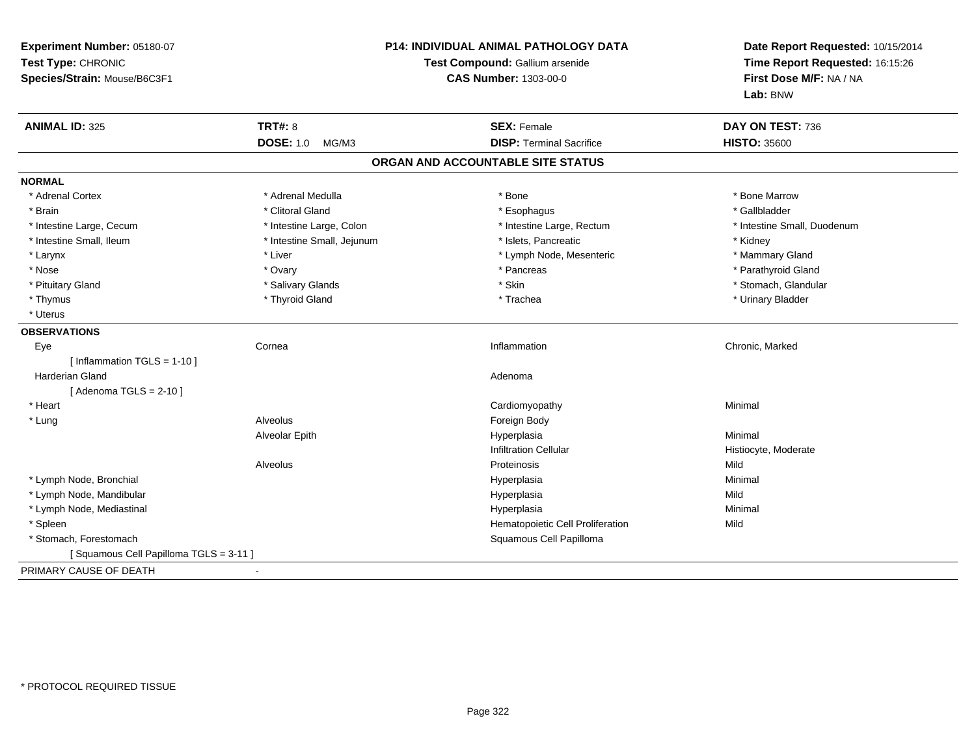| Experiment Number: 05180-07<br>Test Type: CHRONIC<br>Species/Strain: Mouse/B6C3F1 | P14: INDIVIDUAL ANIMAL PATHOLOGY DATA<br>Test Compound: Gallium arsenide<br><b>CAS Number: 1303-00-0</b> |                                   | Date Report Requested: 10/15/2014<br>Time Report Requested: 16:15:26<br>First Dose M/F: NA / NA<br>Lab: BNW |
|-----------------------------------------------------------------------------------|----------------------------------------------------------------------------------------------------------|-----------------------------------|-------------------------------------------------------------------------------------------------------------|
| <b>ANIMAL ID: 325</b>                                                             | <b>TRT#: 8</b>                                                                                           | <b>SEX: Female</b>                | DAY ON TEST: 736                                                                                            |
|                                                                                   | <b>DOSE: 1.0</b><br>MG/M3                                                                                | <b>DISP: Terminal Sacrifice</b>   | <b>HISTO: 35600</b>                                                                                         |
|                                                                                   |                                                                                                          | ORGAN AND ACCOUNTABLE SITE STATUS |                                                                                                             |
| <b>NORMAL</b>                                                                     |                                                                                                          |                                   |                                                                                                             |
| * Adrenal Cortex                                                                  | * Adrenal Medulla                                                                                        | * Bone                            | * Bone Marrow                                                                                               |
| * Brain                                                                           | * Clitoral Gland                                                                                         | * Esophagus                       | * Gallbladder                                                                                               |
| * Intestine Large, Cecum                                                          | * Intestine Large, Colon                                                                                 | * Intestine Large, Rectum         | * Intestine Small, Duodenum                                                                                 |
| * Intestine Small, Ileum                                                          | * Intestine Small, Jejunum                                                                               | * Islets, Pancreatic              | * Kidney                                                                                                    |
| * Larynx                                                                          | * Liver                                                                                                  | * Lymph Node, Mesenteric          | * Mammary Gland                                                                                             |
| * Nose                                                                            | * Ovary                                                                                                  | * Pancreas                        | * Parathyroid Gland                                                                                         |
| * Pituitary Gland                                                                 | * Salivary Glands                                                                                        | * Skin                            | * Stomach, Glandular                                                                                        |
| * Thymus                                                                          | * Thyroid Gland                                                                                          | * Trachea                         | * Urinary Bladder                                                                                           |
| * Uterus                                                                          |                                                                                                          |                                   |                                                                                                             |
| <b>OBSERVATIONS</b>                                                               |                                                                                                          |                                   |                                                                                                             |
| Eye                                                                               | Cornea                                                                                                   | Inflammation                      | Chronic, Marked                                                                                             |
| [Inflammation $TGLS = 1-10$ ]                                                     |                                                                                                          |                                   |                                                                                                             |
| <b>Harderian Gland</b>                                                            |                                                                                                          | Adenoma                           |                                                                                                             |
| [Adenoma TGLS = $2-10$ ]                                                          |                                                                                                          |                                   |                                                                                                             |
| * Heart                                                                           |                                                                                                          | Cardiomyopathy                    | Minimal                                                                                                     |
| * Lung                                                                            | Alveolus                                                                                                 | Foreign Body                      |                                                                                                             |
|                                                                                   | Alveolar Epith                                                                                           | Hyperplasia                       | Minimal                                                                                                     |
|                                                                                   |                                                                                                          | <b>Infiltration Cellular</b>      | Histiocyte, Moderate                                                                                        |
|                                                                                   | Alveolus                                                                                                 | Proteinosis                       | Mild                                                                                                        |
| * Lymph Node, Bronchial                                                           |                                                                                                          | Hyperplasia                       | Minimal                                                                                                     |
| * Lymph Node, Mandibular                                                          |                                                                                                          | Hyperplasia                       | Mild                                                                                                        |
| * Lymph Node, Mediastinal                                                         |                                                                                                          | Hyperplasia                       | Minimal                                                                                                     |
| * Spleen                                                                          |                                                                                                          | Hematopoietic Cell Proliferation  | Mild                                                                                                        |
| * Stomach, Forestomach                                                            |                                                                                                          | Squamous Cell Papilloma           |                                                                                                             |
| [Squamous Cell Papilloma TGLS = 3-11]                                             |                                                                                                          |                                   |                                                                                                             |
| PRIMARY CAUSE OF DEATH<br>$\blacksquare$                                          |                                                                                                          |                                   |                                                                                                             |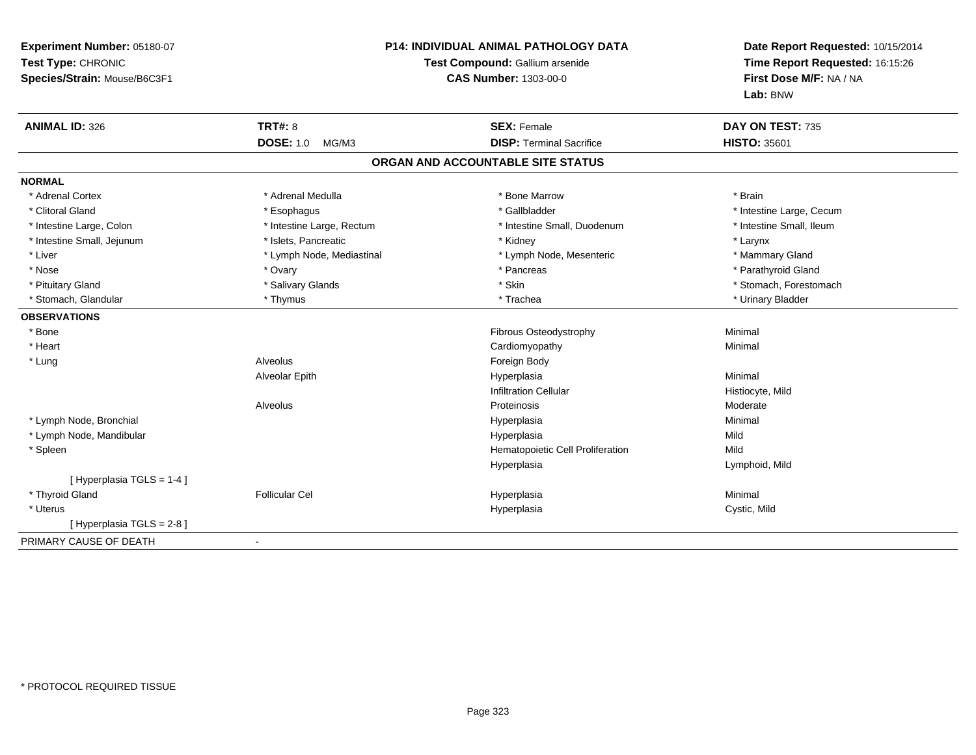| Experiment Number: 05180-07<br>Test Type: CHRONIC<br>Species/Strain: Mouse/B6C3F1 | P14: INDIVIDUAL ANIMAL PATHOLOGY DATA<br>Test Compound: Gallium arsenide<br><b>CAS Number: 1303-00-0</b> |                                   | Date Report Requested: 10/15/2014<br>Time Report Requested: 16:15:26<br>First Dose M/F: NA / NA<br>Lab: BNW |
|-----------------------------------------------------------------------------------|----------------------------------------------------------------------------------------------------------|-----------------------------------|-------------------------------------------------------------------------------------------------------------|
| <b>ANIMAL ID: 326</b>                                                             | TRT#: 8                                                                                                  | <b>SEX: Female</b>                | DAY ON TEST: 735                                                                                            |
|                                                                                   | <b>DOSE: 1.0</b><br>MG/M3                                                                                | <b>DISP: Terminal Sacrifice</b>   | <b>HISTO: 35601</b>                                                                                         |
|                                                                                   |                                                                                                          | ORGAN AND ACCOUNTABLE SITE STATUS |                                                                                                             |
| <b>NORMAL</b>                                                                     |                                                                                                          |                                   |                                                                                                             |
| * Adrenal Cortex                                                                  | * Adrenal Medulla                                                                                        | * Bone Marrow                     | * Brain                                                                                                     |
| * Clitoral Gland                                                                  | * Esophagus                                                                                              | * Gallbladder                     | * Intestine Large, Cecum                                                                                    |
| * Intestine Large, Colon                                                          | * Intestine Large, Rectum                                                                                | * Intestine Small, Duodenum       | * Intestine Small, Ileum                                                                                    |
| * Intestine Small, Jejunum                                                        | * Islets, Pancreatic                                                                                     | * Kidney                          | * Larynx                                                                                                    |
| * Liver                                                                           | * Lymph Node, Mediastinal                                                                                | * Lymph Node, Mesenteric          | * Mammary Gland                                                                                             |
| * Nose                                                                            | * Ovary                                                                                                  | * Pancreas                        | * Parathyroid Gland                                                                                         |
| * Pituitary Gland                                                                 | * Salivary Glands                                                                                        | * Skin                            | * Stomach, Forestomach                                                                                      |
| * Stomach, Glandular                                                              | * Thymus                                                                                                 | * Trachea                         | * Urinary Bladder                                                                                           |
| <b>OBSERVATIONS</b>                                                               |                                                                                                          |                                   |                                                                                                             |
| * Bone                                                                            |                                                                                                          | Fibrous Osteodystrophy            | Minimal                                                                                                     |
| * Heart                                                                           |                                                                                                          | Cardiomyopathy                    | Minimal                                                                                                     |
| * Lung                                                                            | Alveolus                                                                                                 | Foreign Body                      |                                                                                                             |
|                                                                                   | Alveolar Epith                                                                                           | Hyperplasia                       | Minimal                                                                                                     |
|                                                                                   |                                                                                                          | <b>Infiltration Cellular</b>      | Histiocyte, Mild                                                                                            |
|                                                                                   | Alveolus                                                                                                 | Proteinosis                       | Moderate                                                                                                    |
| * Lymph Node, Bronchial                                                           |                                                                                                          | Hyperplasia                       | Minimal                                                                                                     |
| * Lymph Node, Mandibular                                                          |                                                                                                          | Hyperplasia                       | Mild                                                                                                        |
| * Spleen                                                                          |                                                                                                          | Hematopoietic Cell Proliferation  | Mild                                                                                                        |
|                                                                                   |                                                                                                          | Hyperplasia                       | Lymphoid, Mild                                                                                              |
| [Hyperplasia TGLS = $1-4$ ]                                                       |                                                                                                          |                                   |                                                                                                             |
| * Thyroid Gland                                                                   | <b>Follicular Cel</b>                                                                                    | Hyperplasia                       | Minimal                                                                                                     |
| * Uterus                                                                          |                                                                                                          | Hyperplasia                       | Cystic, Mild                                                                                                |
| [Hyperplasia TGLS = $2-8$ ]                                                       |                                                                                                          |                                   |                                                                                                             |
| PRIMARY CAUSE OF DEATH                                                            | $\blacksquare$                                                                                           |                                   |                                                                                                             |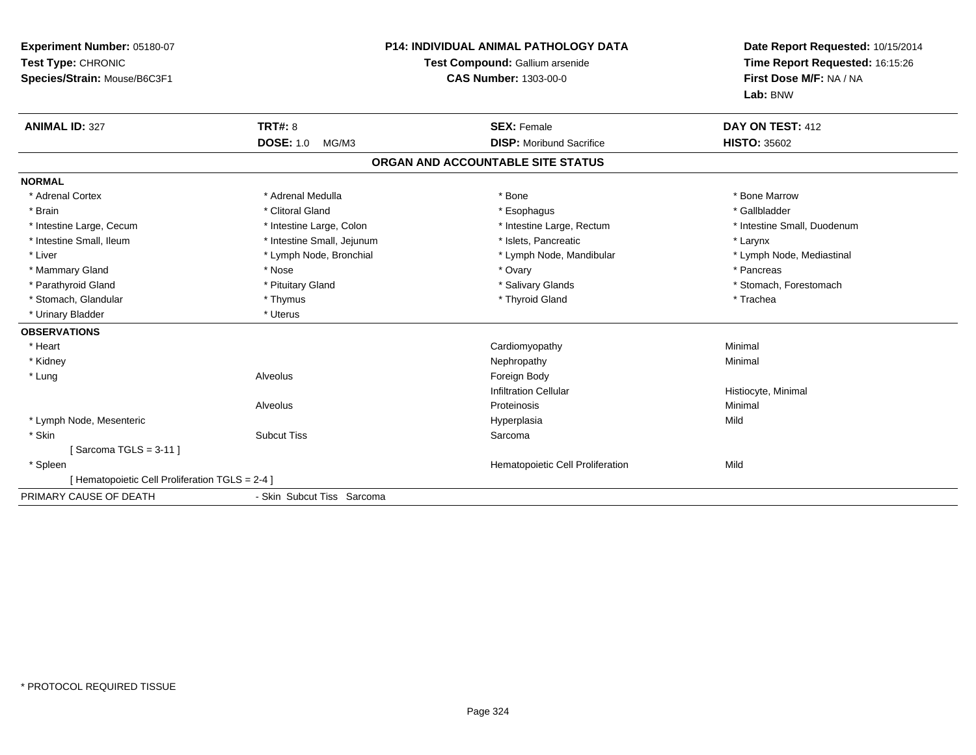| <b>Experiment Number: 05180-07</b><br>Test Type: CHRONIC<br>Species/Strain: Mouse/B6C3F1 |                            | <b>P14: INDIVIDUAL ANIMAL PATHOLOGY DATA</b><br>Test Compound: Gallium arsenide<br><b>CAS Number: 1303-00-0</b> | Date Report Requested: 10/15/2014<br>Time Report Requested: 16:15:26<br>First Dose M/F: NA / NA<br>Lab: BNW |
|------------------------------------------------------------------------------------------|----------------------------|-----------------------------------------------------------------------------------------------------------------|-------------------------------------------------------------------------------------------------------------|
| <b>ANIMAL ID: 327</b>                                                                    | <b>TRT#: 8</b>             | <b>SEX: Female</b>                                                                                              | DAY ON TEST: 412                                                                                            |
|                                                                                          | <b>DOSE: 1.0</b><br>MG/M3  | <b>DISP:</b> Moribund Sacrifice                                                                                 | <b>HISTO: 35602</b>                                                                                         |
|                                                                                          |                            | ORGAN AND ACCOUNTABLE SITE STATUS                                                                               |                                                                                                             |
| <b>NORMAL</b>                                                                            |                            |                                                                                                                 |                                                                                                             |
| * Adrenal Cortex                                                                         | * Adrenal Medulla          | * Bone                                                                                                          | * Bone Marrow                                                                                               |
| * Brain                                                                                  | * Clitoral Gland           | * Esophagus                                                                                                     | * Gallbladder                                                                                               |
| * Intestine Large, Cecum                                                                 | * Intestine Large, Colon   | * Intestine Large, Rectum                                                                                       | * Intestine Small, Duodenum                                                                                 |
| * Intestine Small, Ileum                                                                 | * Intestine Small, Jejunum | * Islets, Pancreatic                                                                                            | * Larynx                                                                                                    |
| * Liver                                                                                  | * Lymph Node, Bronchial    | * Lymph Node, Mandibular                                                                                        | * Lymph Node, Mediastinal                                                                                   |
| * Mammary Gland                                                                          | * Nose                     | * Ovary                                                                                                         | * Pancreas                                                                                                  |
| * Parathyroid Gland                                                                      | * Pituitary Gland          | * Salivary Glands                                                                                               | * Stomach, Forestomach                                                                                      |
| * Stomach, Glandular                                                                     | * Thymus                   | * Thyroid Gland                                                                                                 | * Trachea                                                                                                   |
| * Urinary Bladder                                                                        | * Uterus                   |                                                                                                                 |                                                                                                             |
| <b>OBSERVATIONS</b>                                                                      |                            |                                                                                                                 |                                                                                                             |
| * Heart                                                                                  |                            | Cardiomyopathy                                                                                                  | Minimal                                                                                                     |
| * Kidney                                                                                 |                            | Nephropathy                                                                                                     | Minimal                                                                                                     |
| * Lung                                                                                   | Alveolus                   | Foreign Body                                                                                                    |                                                                                                             |
|                                                                                          |                            | <b>Infiltration Cellular</b>                                                                                    | Histiocyte, Minimal                                                                                         |
|                                                                                          | Alveolus                   | Proteinosis                                                                                                     | Minimal                                                                                                     |
| * Lymph Node, Mesenteric                                                                 |                            | Hyperplasia                                                                                                     | Mild                                                                                                        |
| * Skin                                                                                   | <b>Subcut Tiss</b>         | Sarcoma                                                                                                         |                                                                                                             |
| Sarcoma TGLS = 3-11 1                                                                    |                            |                                                                                                                 |                                                                                                             |
| * Spleen                                                                                 |                            | Hematopoietic Cell Proliferation                                                                                | Mild                                                                                                        |
| [ Hematopoietic Cell Proliferation TGLS = 2-4 ]                                          |                            |                                                                                                                 |                                                                                                             |
| PRIMARY CAUSE OF DEATH                                                                   | - Skin Subcut Tiss Sarcoma |                                                                                                                 |                                                                                                             |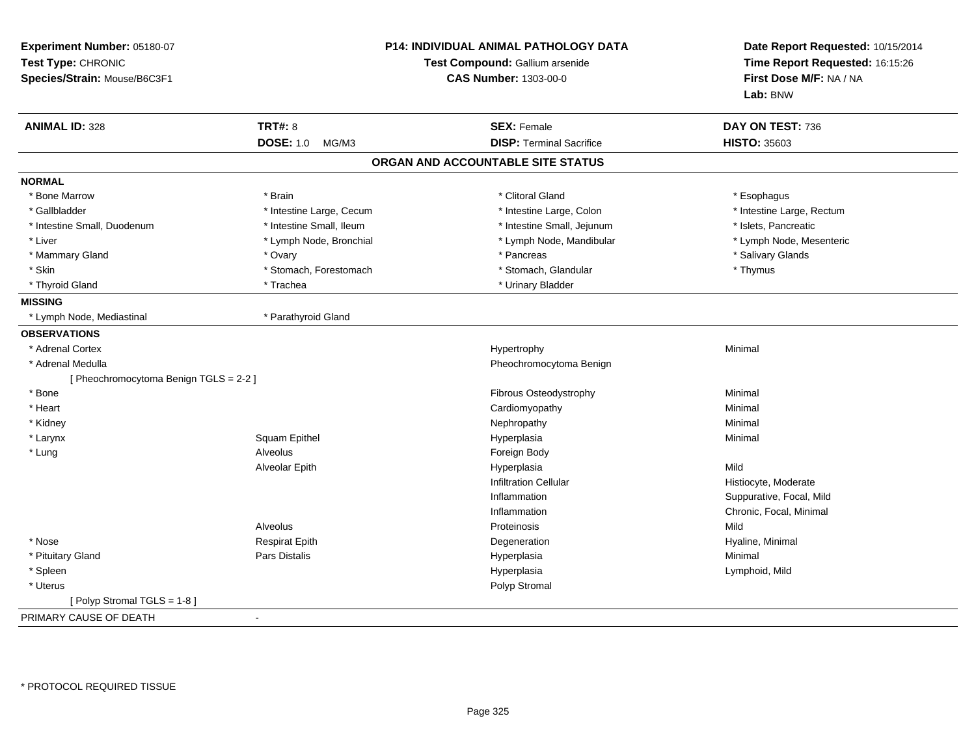| Experiment Number: 05180-07<br>Test Type: CHRONIC<br>Species/Strain: Mouse/B6C3F1 |                           | <b>P14: INDIVIDUAL ANIMAL PATHOLOGY DATA</b><br>Test Compound: Gallium arsenide<br><b>CAS Number: 1303-00-0</b> | Date Report Requested: 10/15/2014<br>Time Report Requested: 16:15:26<br>First Dose M/F: NA / NA<br>Lab: BNW |
|-----------------------------------------------------------------------------------|---------------------------|-----------------------------------------------------------------------------------------------------------------|-------------------------------------------------------------------------------------------------------------|
| <b>ANIMAL ID: 328</b>                                                             | <b>TRT#: 8</b>            | <b>SEX: Female</b>                                                                                              | DAY ON TEST: 736                                                                                            |
|                                                                                   | <b>DOSE: 1.0</b><br>MG/M3 | <b>DISP: Terminal Sacrifice</b>                                                                                 | <b>HISTO: 35603</b>                                                                                         |
|                                                                                   |                           | ORGAN AND ACCOUNTABLE SITE STATUS                                                                               |                                                                                                             |
| <b>NORMAL</b>                                                                     |                           |                                                                                                                 |                                                                                                             |
| * Bone Marrow                                                                     | * Brain                   | * Clitoral Gland                                                                                                | * Esophagus                                                                                                 |
| * Gallbladder                                                                     | * Intestine Large, Cecum  | * Intestine Large, Colon                                                                                        | * Intestine Large, Rectum                                                                                   |
| * Intestine Small, Duodenum                                                       | * Intestine Small, Ileum  | * Intestine Small, Jejunum                                                                                      | * Islets, Pancreatic                                                                                        |
| * Liver                                                                           | * Lymph Node, Bronchial   | * Lymph Node, Mandibular                                                                                        | * Lymph Node, Mesenteric                                                                                    |
| * Mammary Gland                                                                   | * Ovary                   | * Pancreas                                                                                                      | * Salivary Glands                                                                                           |
| * Skin                                                                            | * Stomach, Forestomach    | * Stomach, Glandular                                                                                            | * Thymus                                                                                                    |
| * Thyroid Gland                                                                   | * Trachea                 | * Urinary Bladder                                                                                               |                                                                                                             |
| <b>MISSING</b>                                                                    |                           |                                                                                                                 |                                                                                                             |
| * Lymph Node, Mediastinal                                                         | * Parathyroid Gland       |                                                                                                                 |                                                                                                             |
| <b>OBSERVATIONS</b>                                                               |                           |                                                                                                                 |                                                                                                             |
| * Adrenal Cortex                                                                  |                           | Hypertrophy                                                                                                     | Minimal                                                                                                     |
| * Adrenal Medulla                                                                 |                           | Pheochromocytoma Benign                                                                                         |                                                                                                             |
| [ Pheochromocytoma Benign TGLS = 2-2 ]                                            |                           |                                                                                                                 |                                                                                                             |
| * Bone                                                                            |                           | Fibrous Osteodystrophy                                                                                          | Minimal                                                                                                     |
| * Heart                                                                           |                           | Cardiomyopathy                                                                                                  | Minimal                                                                                                     |
| * Kidney                                                                          |                           | Nephropathy                                                                                                     | Minimal                                                                                                     |
| * Larynx                                                                          | Squam Epithel             | Hyperplasia                                                                                                     | Minimal                                                                                                     |
| * Lung                                                                            | Alveolus                  | Foreign Body                                                                                                    |                                                                                                             |
|                                                                                   | Alveolar Epith            | Hyperplasia                                                                                                     | Mild                                                                                                        |
|                                                                                   |                           | <b>Infiltration Cellular</b>                                                                                    | Histiocyte, Moderate                                                                                        |
|                                                                                   |                           | Inflammation                                                                                                    | Suppurative, Focal, Mild                                                                                    |
|                                                                                   |                           | Inflammation                                                                                                    | Chronic, Focal, Minimal                                                                                     |
|                                                                                   | Alveolus                  | Proteinosis                                                                                                     | Mild                                                                                                        |
| * Nose                                                                            | <b>Respirat Epith</b>     | Degeneration                                                                                                    | Hyaline, Minimal                                                                                            |
| * Pituitary Gland                                                                 | <b>Pars Distalis</b>      | Hyperplasia                                                                                                     | Minimal                                                                                                     |
| * Spleen                                                                          |                           | Hyperplasia                                                                                                     | Lymphoid, Mild                                                                                              |
| * Uterus                                                                          |                           | Polyp Stromal                                                                                                   |                                                                                                             |
| [Polyp Stromal TGLS = 1-8]                                                        |                           |                                                                                                                 |                                                                                                             |
| PRIMARY CAUSE OF DEATH                                                            |                           |                                                                                                                 |                                                                                                             |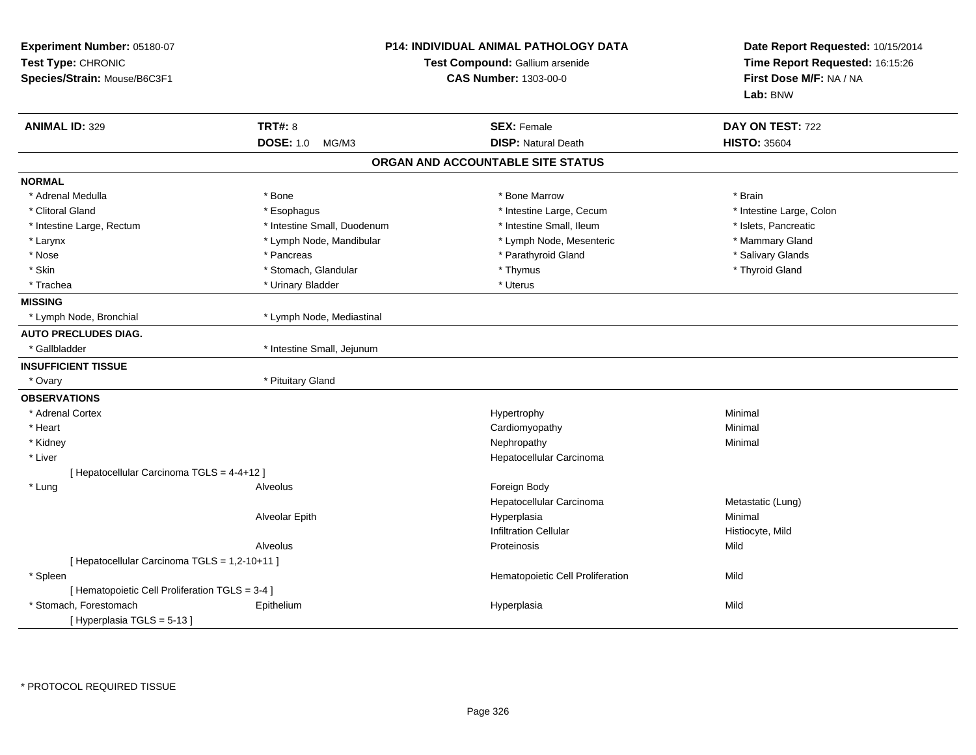| Experiment Number: 05180-07<br>Test Type: CHRONIC<br>Species/Strain: Mouse/B6C3F1 |                             | <b>P14: INDIVIDUAL ANIMAL PATHOLOGY DATA</b><br>Test Compound: Gallium arsenide<br><b>CAS Number: 1303-00-0</b> |                          |
|-----------------------------------------------------------------------------------|-----------------------------|-----------------------------------------------------------------------------------------------------------------|--------------------------|
| <b>ANIMAL ID: 329</b>                                                             | <b>TRT#: 8</b>              | <b>SEX: Female</b>                                                                                              | DAY ON TEST: 722         |
|                                                                                   | <b>DOSE: 1.0</b><br>MG/M3   | <b>DISP: Natural Death</b>                                                                                      | <b>HISTO: 35604</b>      |
|                                                                                   |                             | ORGAN AND ACCOUNTABLE SITE STATUS                                                                               |                          |
| <b>NORMAL</b>                                                                     |                             |                                                                                                                 |                          |
| * Adrenal Medulla                                                                 | * Bone                      | * Bone Marrow                                                                                                   | * Brain                  |
| * Clitoral Gland                                                                  | * Esophagus                 | * Intestine Large, Cecum                                                                                        | * Intestine Large, Colon |
| * Intestine Large, Rectum                                                         | * Intestine Small, Duodenum | * Intestine Small, Ileum                                                                                        | * Islets, Pancreatic     |
| * Larynx                                                                          | * Lymph Node, Mandibular    | * Lymph Node, Mesenteric                                                                                        | * Mammary Gland          |
| * Nose                                                                            | * Pancreas                  | * Parathyroid Gland                                                                                             | * Salivary Glands        |
| * Skin                                                                            | * Stomach, Glandular        | * Thymus                                                                                                        | * Thyroid Gland          |
| * Trachea                                                                         | * Urinary Bladder           | * Uterus                                                                                                        |                          |
| <b>MISSING</b>                                                                    |                             |                                                                                                                 |                          |
| * Lymph Node, Bronchial                                                           | * Lymph Node, Mediastinal   |                                                                                                                 |                          |
| <b>AUTO PRECLUDES DIAG.</b>                                                       |                             |                                                                                                                 |                          |
| * Gallbladder                                                                     | * Intestine Small, Jejunum  |                                                                                                                 |                          |
| <b>INSUFFICIENT TISSUE</b>                                                        |                             |                                                                                                                 |                          |
| * Ovary                                                                           | * Pituitary Gland           |                                                                                                                 |                          |
| <b>OBSERVATIONS</b>                                                               |                             |                                                                                                                 |                          |
| * Adrenal Cortex                                                                  |                             | Hypertrophy                                                                                                     | Minimal                  |
| * Heart                                                                           |                             | Cardiomyopathy                                                                                                  | Minimal                  |
| * Kidney                                                                          |                             | Nephropathy                                                                                                     | Minimal                  |
| * Liver                                                                           |                             | Hepatocellular Carcinoma                                                                                        |                          |
| [ Hepatocellular Carcinoma TGLS = 4-4+12 ]                                        |                             |                                                                                                                 |                          |
| * Lung                                                                            | Alveolus                    | Foreign Body                                                                                                    |                          |
|                                                                                   |                             | Hepatocellular Carcinoma                                                                                        | Metastatic (Lung)        |
|                                                                                   | Alveolar Epith              | Hyperplasia                                                                                                     | Minimal                  |
|                                                                                   |                             | <b>Infiltration Cellular</b>                                                                                    | Histiocyte, Mild         |
|                                                                                   | Alveolus                    | Proteinosis                                                                                                     | Mild                     |
| [ Hepatocellular Carcinoma TGLS = 1,2-10+11 ]                                     |                             |                                                                                                                 |                          |
| * Spleen                                                                          |                             | Hematopoietic Cell Proliferation                                                                                | Mild                     |
| [ Hematopoietic Cell Proliferation TGLS = 3-4 ]                                   |                             |                                                                                                                 |                          |
| * Stomach, Forestomach                                                            | Epithelium                  | Hyperplasia                                                                                                     | Mild                     |
| [Hyperplasia TGLS = 5-13]                                                         |                             |                                                                                                                 |                          |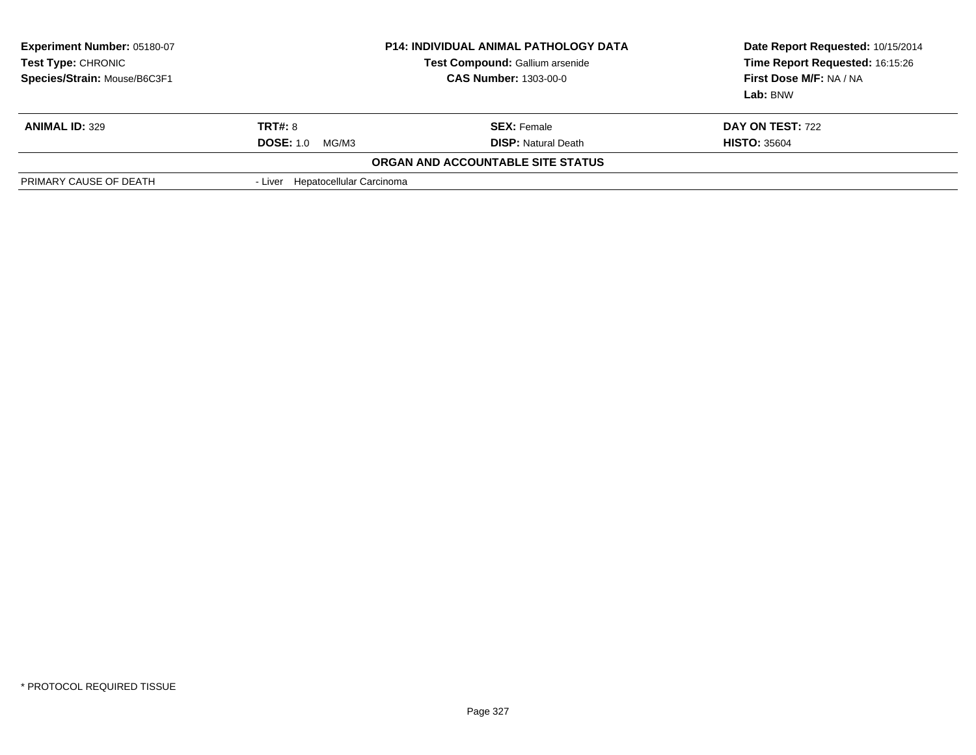| <b>Experiment Number: 05180-07</b><br>Test Type: CHRONIC<br>Species/Strain: Mouse/B6C3F1 |                                  | <b>P14: INDIVIDUAL ANIMAL PATHOLOGY DATA</b><br>Test Compound: Gallium arsenide<br><b>CAS Number: 1303-00-0</b> | Date Report Requested: 10/15/2014<br>Time Report Requested: 16:15:26<br>First Dose M/F: NA / NA<br>Lab: BNW |
|------------------------------------------------------------------------------------------|----------------------------------|-----------------------------------------------------------------------------------------------------------------|-------------------------------------------------------------------------------------------------------------|
| <b>ANIMAL ID: 329</b>                                                                    | <b>TRT#: 8</b>                   | <b>SEX: Female</b>                                                                                              | <b>DAY ON TEST: 722</b>                                                                                     |
|                                                                                          | <b>DOSE: 1.0</b><br>MG/M3        | <b>DISP:</b> Natural Death                                                                                      | <b>HISTO: 35604</b>                                                                                         |
|                                                                                          |                                  | ORGAN AND ACCOUNTABLE SITE STATUS                                                                               |                                                                                                             |
| PRIMARY CAUSE OF DEATH                                                                   | - Liver Hepatocellular Carcinoma |                                                                                                                 |                                                                                                             |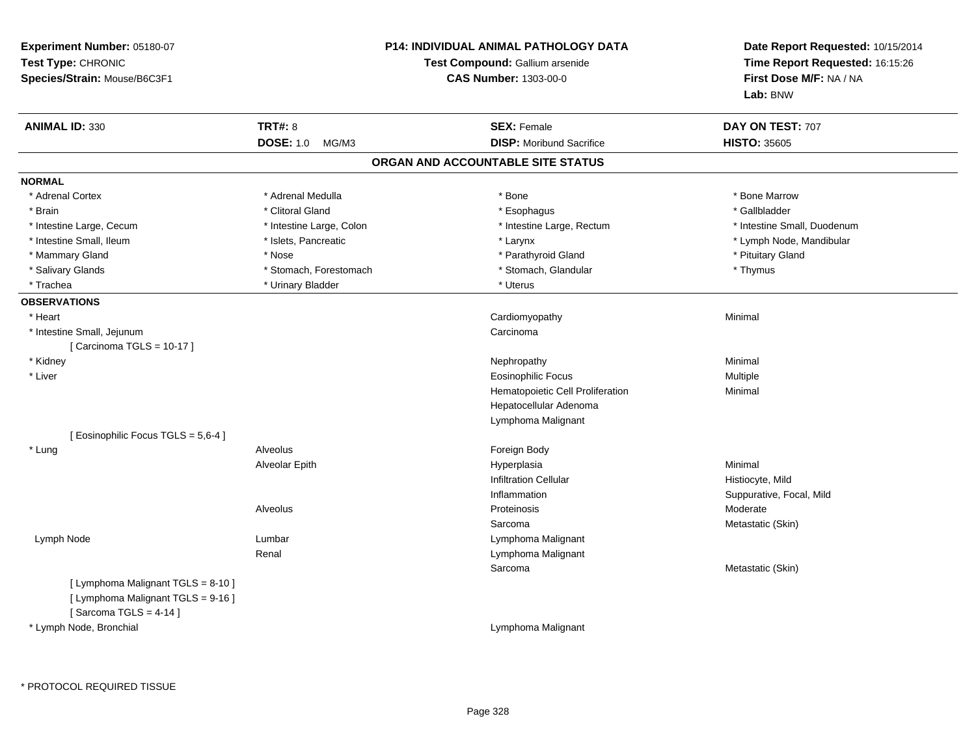| Experiment Number: 05180-07<br>Test Type: CHRONIC<br>Species/Strain: Mouse/B6C3F1                    |                           | <b>P14: INDIVIDUAL ANIMAL PATHOLOGY DATA</b><br>Test Compound: Gallium arsenide<br><b>CAS Number: 1303-00-0</b> | Date Report Requested: 10/15/2014<br>Time Report Requested: 16:15:26<br>First Dose M/F: NA / NA<br>Lab: BNW |
|------------------------------------------------------------------------------------------------------|---------------------------|-----------------------------------------------------------------------------------------------------------------|-------------------------------------------------------------------------------------------------------------|
| <b>ANIMAL ID: 330</b>                                                                                | <b>TRT#: 8</b>            | <b>SEX: Female</b>                                                                                              | DAY ON TEST: 707                                                                                            |
|                                                                                                      | <b>DOSE: 1.0</b><br>MG/M3 | <b>DISP:</b> Moribund Sacrifice                                                                                 | <b>HISTO: 35605</b>                                                                                         |
|                                                                                                      |                           | ORGAN AND ACCOUNTABLE SITE STATUS                                                                               |                                                                                                             |
| <b>NORMAL</b>                                                                                        |                           |                                                                                                                 |                                                                                                             |
| * Adrenal Cortex                                                                                     | * Adrenal Medulla         | $*$ Bone                                                                                                        | * Bone Marrow                                                                                               |
| * Brain                                                                                              | * Clitoral Gland          | * Esophagus                                                                                                     | * Gallbladder                                                                                               |
| * Intestine Large, Cecum                                                                             | * Intestine Large, Colon  | * Intestine Large, Rectum                                                                                       | * Intestine Small, Duodenum                                                                                 |
| * Intestine Small, Ileum                                                                             | * Islets, Pancreatic      | * Larynx                                                                                                        | * Lymph Node, Mandibular                                                                                    |
| * Mammary Gland                                                                                      | * Nose                    | * Parathyroid Gland                                                                                             | * Pituitary Gland                                                                                           |
| * Salivary Glands                                                                                    | * Stomach, Forestomach    | * Stomach, Glandular                                                                                            | * Thymus                                                                                                    |
| * Trachea                                                                                            | * Urinary Bladder         | * Uterus                                                                                                        |                                                                                                             |
| <b>OBSERVATIONS</b>                                                                                  |                           |                                                                                                                 |                                                                                                             |
| * Heart                                                                                              |                           | Cardiomyopathy                                                                                                  | Minimal                                                                                                     |
| * Intestine Small, Jejunum                                                                           |                           | Carcinoma                                                                                                       |                                                                                                             |
| [Carcinoma TGLS = $10-17$ ]                                                                          |                           |                                                                                                                 |                                                                                                             |
| * Kidney                                                                                             |                           | Nephropathy                                                                                                     | Minimal                                                                                                     |
| * Liver                                                                                              |                           | <b>Eosinophilic Focus</b>                                                                                       | Multiple                                                                                                    |
|                                                                                                      |                           | Hematopoietic Cell Proliferation                                                                                | Minimal                                                                                                     |
|                                                                                                      |                           | Hepatocellular Adenoma                                                                                          |                                                                                                             |
|                                                                                                      |                           | Lymphoma Malignant                                                                                              |                                                                                                             |
| [ Eosinophilic Focus TGLS = 5,6-4 ]                                                                  |                           |                                                                                                                 |                                                                                                             |
| * Lung                                                                                               | Alveolus                  | Foreign Body                                                                                                    |                                                                                                             |
|                                                                                                      | Alveolar Epith            | Hyperplasia                                                                                                     | Minimal                                                                                                     |
|                                                                                                      |                           | <b>Infiltration Cellular</b>                                                                                    | Histiocyte, Mild                                                                                            |
|                                                                                                      |                           | Inflammation                                                                                                    | Suppurative, Focal, Mild                                                                                    |
|                                                                                                      | Alveolus                  | Proteinosis                                                                                                     | Moderate                                                                                                    |
|                                                                                                      |                           | Sarcoma                                                                                                         | Metastatic (Skin)                                                                                           |
| Lymph Node                                                                                           | Lumbar                    | Lymphoma Malignant                                                                                              |                                                                                                             |
|                                                                                                      | Renal                     | Lymphoma Malignant                                                                                              |                                                                                                             |
|                                                                                                      |                           | Sarcoma                                                                                                         | Metastatic (Skin)                                                                                           |
| [ Lymphoma Malignant TGLS = 8-10 ]<br>[ Lymphoma Malignant TGLS = 9-16 ]<br>[Sarcoma TGLS = $4-14$ ] |                           |                                                                                                                 |                                                                                                             |
| * Lymph Node, Bronchial                                                                              |                           | Lymphoma Malignant                                                                                              |                                                                                                             |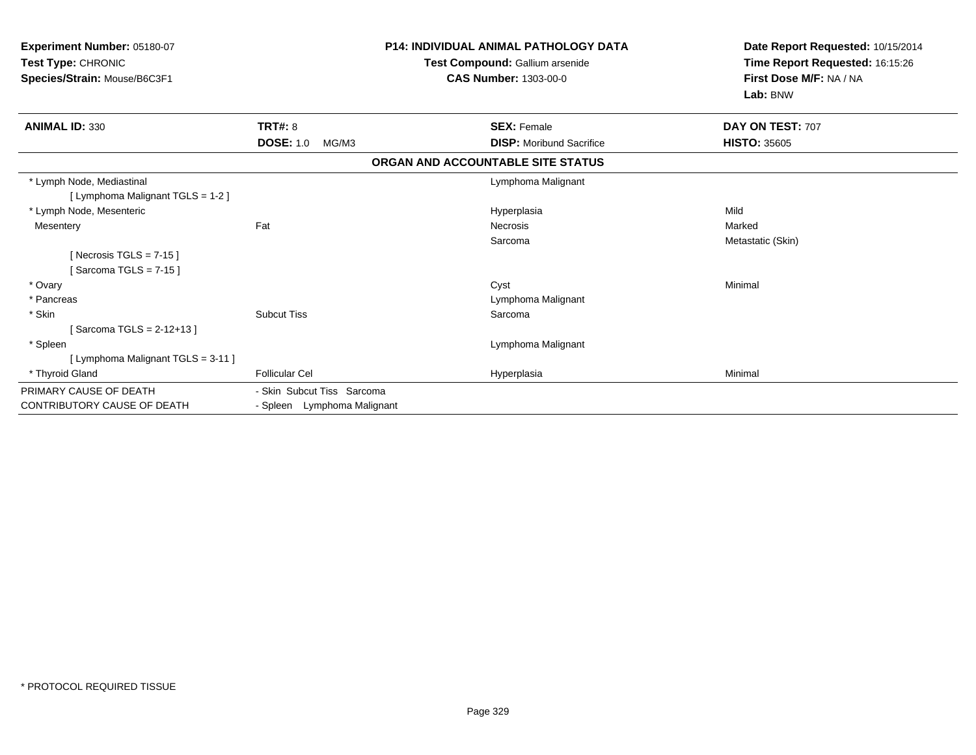| Experiment Number: 05180-07<br>Test Type: CHRONIC<br>Species/Strain: Mouse/B6C3F1 | <b>P14: INDIVIDUAL ANIMAL PATHOLOGY DATA</b><br>Test Compound: Gallium arsenide<br><b>CAS Number: 1303-00-0</b> |                                   | Date Report Requested: 10/15/2014<br>Time Report Requested: 16:15:26<br>First Dose M/F: NA / NA<br>Lab: BNW |
|-----------------------------------------------------------------------------------|-----------------------------------------------------------------------------------------------------------------|-----------------------------------|-------------------------------------------------------------------------------------------------------------|
| <b>ANIMAL ID: 330</b>                                                             | <b>TRT#: 8</b>                                                                                                  | <b>SEX: Female</b>                | DAY ON TEST: 707                                                                                            |
|                                                                                   | <b>DOSE: 1.0</b><br>MG/M3                                                                                       | <b>DISP:</b> Moribund Sacrifice   | <b>HISTO: 35605</b>                                                                                         |
|                                                                                   |                                                                                                                 | ORGAN AND ACCOUNTABLE SITE STATUS |                                                                                                             |
| * Lymph Node, Mediastinal<br>[ Lymphoma Malignant TGLS = 1-2 ]                    |                                                                                                                 | Lymphoma Malignant                |                                                                                                             |
| * Lymph Node, Mesenteric                                                          |                                                                                                                 | Hyperplasia                       | Mild                                                                                                        |
| Mesentery                                                                         | Fat                                                                                                             | Necrosis                          | Marked                                                                                                      |
|                                                                                   |                                                                                                                 | Sarcoma                           | Metastatic (Skin)                                                                                           |
| [Necrosis TGLS = $7-15$ ]<br>Sarcoma TGLS = 7-15 l                                |                                                                                                                 |                                   |                                                                                                             |
| * Ovary                                                                           |                                                                                                                 | Cyst                              | Minimal                                                                                                     |
| * Pancreas                                                                        |                                                                                                                 | Lymphoma Malignant                |                                                                                                             |
| * Skin                                                                            | <b>Subcut Tiss</b>                                                                                              | Sarcoma                           |                                                                                                             |
| Sarcoma TGLS = 2-12+13 ]                                                          |                                                                                                                 |                                   |                                                                                                             |
| * Spleen                                                                          |                                                                                                                 | Lymphoma Malignant                |                                                                                                             |
| [ Lymphoma Malignant TGLS = 3-11 ]                                                |                                                                                                                 |                                   |                                                                                                             |
| * Thyroid Gland                                                                   | <b>Follicular Cel</b>                                                                                           | Hyperplasia                       | Minimal                                                                                                     |
| PRIMARY CAUSE OF DEATH                                                            | - Skin Subcut Tiss Sarcoma                                                                                      |                                   |                                                                                                             |
| <b>CONTRIBUTORY CAUSE OF DEATH</b>                                                | - Spleen Lymphoma Malignant                                                                                     |                                   |                                                                                                             |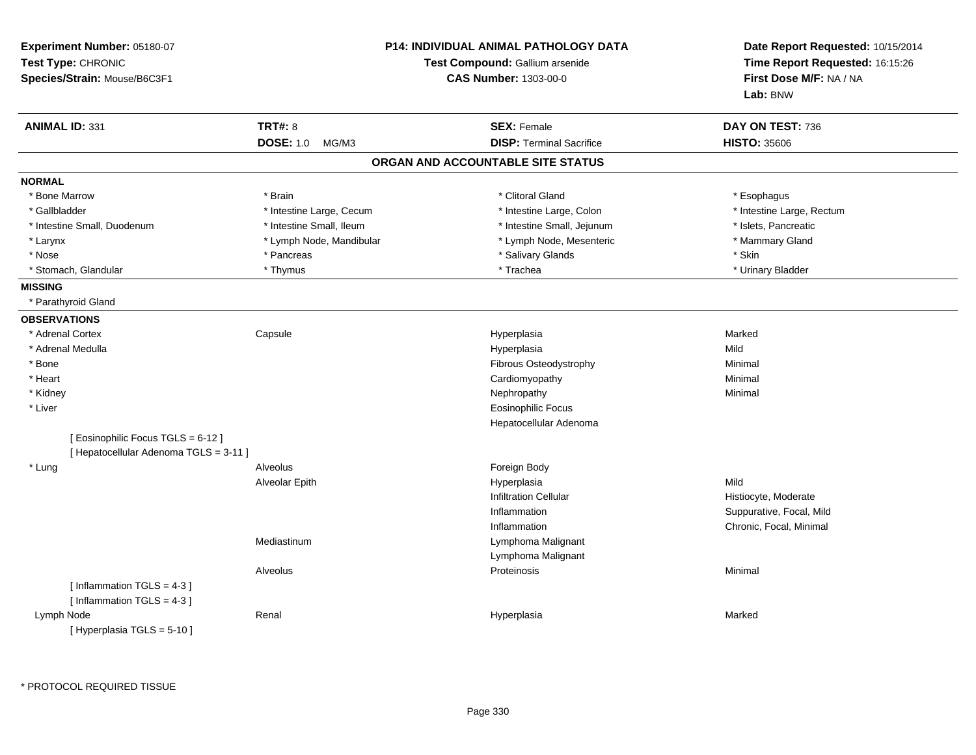| Experiment Number: 05180-07<br>Test Type: CHRONIC<br>Species/Strain: Mouse/B6C3F1 | <b>P14: INDIVIDUAL ANIMAL PATHOLOGY DATA</b><br>Test Compound: Gallium arsenide<br><b>CAS Number: 1303-00-0</b> |                                   | Date Report Requested: 10/15/2014<br>Time Report Requested: 16:15:26<br>First Dose M/F: NA / NA<br>Lab: BNW |
|-----------------------------------------------------------------------------------|-----------------------------------------------------------------------------------------------------------------|-----------------------------------|-------------------------------------------------------------------------------------------------------------|
| <b>ANIMAL ID: 331</b>                                                             | <b>TRT#: 8</b>                                                                                                  | <b>SEX: Female</b>                | DAY ON TEST: 736                                                                                            |
|                                                                                   | <b>DOSE: 1.0</b><br>MG/M3                                                                                       | <b>DISP: Terminal Sacrifice</b>   | <b>HISTO: 35606</b>                                                                                         |
|                                                                                   |                                                                                                                 | ORGAN AND ACCOUNTABLE SITE STATUS |                                                                                                             |
| <b>NORMAL</b>                                                                     |                                                                                                                 |                                   |                                                                                                             |
| * Bone Marrow                                                                     | * Brain                                                                                                         | * Clitoral Gland                  | * Esophagus                                                                                                 |
| * Gallbladder                                                                     | * Intestine Large, Cecum                                                                                        | * Intestine Large, Colon          | * Intestine Large, Rectum                                                                                   |
| * Intestine Small, Duodenum                                                       | * Intestine Small, Ileum                                                                                        | * Intestine Small, Jejunum        | * Islets, Pancreatic                                                                                        |
| * Larynx                                                                          | * Lymph Node, Mandibular                                                                                        | * Lymph Node, Mesenteric          | * Mammary Gland                                                                                             |
| * Nose                                                                            | * Pancreas                                                                                                      | * Salivary Glands                 | * Skin                                                                                                      |
| * Stomach, Glandular                                                              | * Thymus                                                                                                        | * Trachea                         | * Urinary Bladder                                                                                           |
| <b>MISSING</b>                                                                    |                                                                                                                 |                                   |                                                                                                             |
| * Parathyroid Gland                                                               |                                                                                                                 |                                   |                                                                                                             |
| <b>OBSERVATIONS</b>                                                               |                                                                                                                 |                                   |                                                                                                             |
| * Adrenal Cortex                                                                  | Capsule                                                                                                         | Hyperplasia                       | Marked                                                                                                      |
| * Adrenal Medulla                                                                 |                                                                                                                 | Hyperplasia                       | Mild                                                                                                        |
| * Bone                                                                            |                                                                                                                 | Fibrous Osteodystrophy            | Minimal                                                                                                     |
| * Heart                                                                           |                                                                                                                 | Cardiomyopathy                    | Minimal                                                                                                     |
| * Kidney                                                                          |                                                                                                                 | Nephropathy                       | Minimal                                                                                                     |
| * Liver                                                                           |                                                                                                                 | <b>Eosinophilic Focus</b>         |                                                                                                             |
|                                                                                   |                                                                                                                 | Hepatocellular Adenoma            |                                                                                                             |
| [Eosinophilic Focus TGLS = 6-12]                                                  |                                                                                                                 |                                   |                                                                                                             |
| [ Hepatocellular Adenoma TGLS = 3-11 ]                                            |                                                                                                                 |                                   |                                                                                                             |
| * Lung                                                                            | Alveolus                                                                                                        | Foreign Body                      |                                                                                                             |
|                                                                                   | Alveolar Epith                                                                                                  | Hyperplasia                       | Mild                                                                                                        |
|                                                                                   |                                                                                                                 | <b>Infiltration Cellular</b>      | Histiocyte, Moderate                                                                                        |
|                                                                                   |                                                                                                                 | Inflammation                      | Suppurative, Focal, Mild                                                                                    |
|                                                                                   |                                                                                                                 | Inflammation                      | Chronic, Focal, Minimal                                                                                     |
|                                                                                   | Mediastinum                                                                                                     | Lymphoma Malignant                |                                                                                                             |
|                                                                                   |                                                                                                                 | Lymphoma Malignant                |                                                                                                             |
|                                                                                   | Alveolus                                                                                                        | Proteinosis                       | Minimal                                                                                                     |
| [Inflammation TGLS = $4-3$ ]                                                      |                                                                                                                 |                                   |                                                                                                             |
| [Inflammation $TGLS = 4-3$ ]                                                      |                                                                                                                 |                                   |                                                                                                             |
| Lymph Node                                                                        | Renal                                                                                                           | Hyperplasia                       | Marked                                                                                                      |
| [Hyperplasia TGLS = $5-10$ ]                                                      |                                                                                                                 |                                   |                                                                                                             |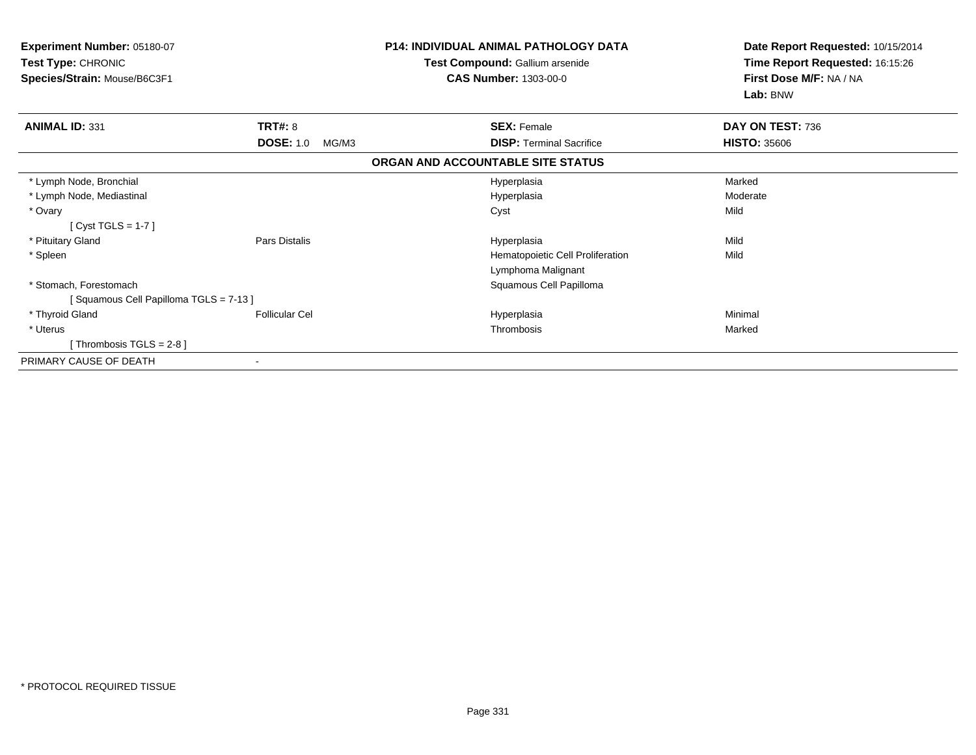| Experiment Number: 05180-07<br>Test Type: CHRONIC<br>Species/Strain: Mouse/B6C3F1 |                           | <b>P14: INDIVIDUAL ANIMAL PATHOLOGY DATA</b><br>Test Compound: Gallium arsenide<br><b>CAS Number: 1303-00-0</b> | Date Report Requested: 10/15/2014<br>Time Report Requested: 16:15:26<br>First Dose M/F: NA / NA<br>Lab: BNW |
|-----------------------------------------------------------------------------------|---------------------------|-----------------------------------------------------------------------------------------------------------------|-------------------------------------------------------------------------------------------------------------|
| <b>ANIMAL ID: 331</b>                                                             | <b>TRT#: 8</b>            | <b>SEX: Female</b>                                                                                              | DAY ON TEST: 736                                                                                            |
|                                                                                   | <b>DOSE: 1.0</b><br>MG/M3 | <b>DISP:</b> Terminal Sacrifice                                                                                 | <b>HISTO: 35606</b>                                                                                         |
|                                                                                   |                           | ORGAN AND ACCOUNTABLE SITE STATUS                                                                               |                                                                                                             |
| * Lymph Node, Bronchial                                                           |                           | Hyperplasia                                                                                                     | Marked                                                                                                      |
| * Lymph Node, Mediastinal                                                         |                           | Hyperplasia                                                                                                     | Moderate                                                                                                    |
| * Ovary<br>[Cyst TGLS = $1-7$ ]                                                   |                           | Cyst                                                                                                            | Mild                                                                                                        |
| * Pituitary Gland                                                                 | Pars Distalis             | Hyperplasia                                                                                                     | Mild                                                                                                        |
| * Spleen                                                                          |                           | Hematopoietic Cell Proliferation                                                                                | Mild                                                                                                        |
|                                                                                   |                           | Lymphoma Malignant                                                                                              |                                                                                                             |
| * Stomach, Forestomach                                                            |                           | Squamous Cell Papilloma                                                                                         |                                                                                                             |
| [Squamous Cell Papilloma TGLS = 7-13]                                             |                           |                                                                                                                 |                                                                                                             |
| * Thyroid Gland                                                                   | <b>Follicular Cel</b>     | Hyperplasia                                                                                                     | Minimal                                                                                                     |
| * Uterus                                                                          |                           | Thrombosis                                                                                                      | Marked                                                                                                      |
| [Thrombosis TGLS = $2-8$ ]                                                        |                           |                                                                                                                 |                                                                                                             |
| PRIMARY CAUSE OF DEATH                                                            |                           |                                                                                                                 |                                                                                                             |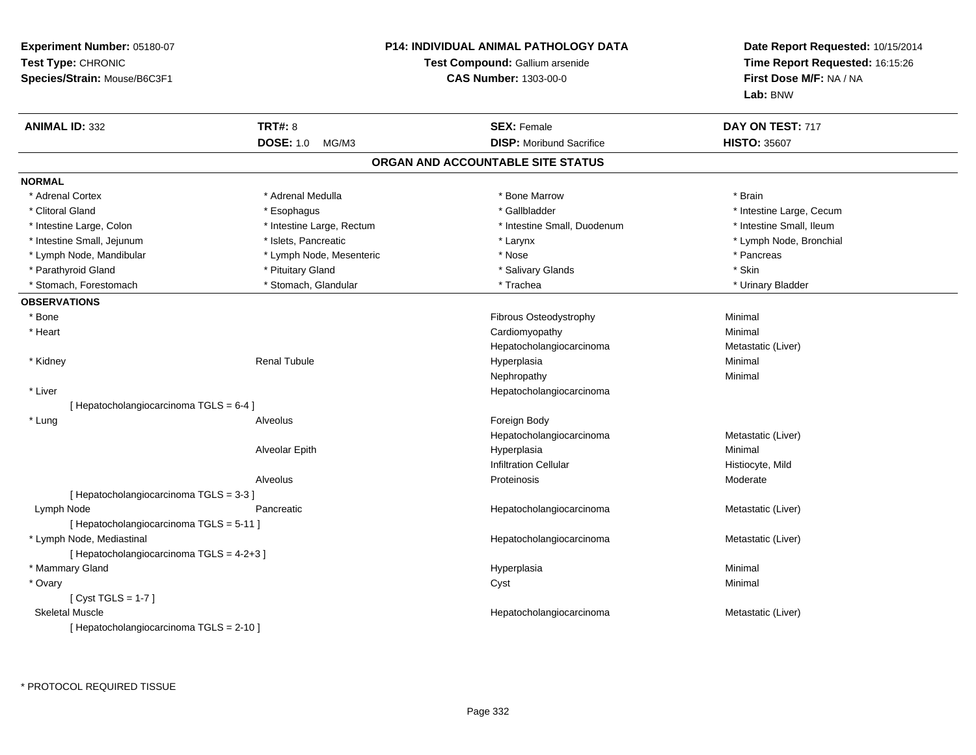| Experiment Number: 05180-07<br>Test Type: CHRONIC<br>Species/Strain: Mouse/B6C3F1 |                           | <b>P14: INDIVIDUAL ANIMAL PATHOLOGY DATA</b><br>Test Compound: Gallium arsenide<br><b>CAS Number: 1303-00-0</b> | Date Report Requested: 10/15/2014<br>Time Report Requested: 16:15:26<br>First Dose M/F: NA / NA<br>Lab: BNW |
|-----------------------------------------------------------------------------------|---------------------------|-----------------------------------------------------------------------------------------------------------------|-------------------------------------------------------------------------------------------------------------|
| <b>ANIMAL ID: 332</b>                                                             | <b>TRT#: 8</b>            | <b>SEX: Female</b>                                                                                              | DAY ON TEST: 717                                                                                            |
|                                                                                   | <b>DOSE: 1.0</b><br>MG/M3 | <b>DISP:</b> Moribund Sacrifice                                                                                 | <b>HISTO: 35607</b>                                                                                         |
|                                                                                   |                           | ORGAN AND ACCOUNTABLE SITE STATUS                                                                               |                                                                                                             |
| <b>NORMAL</b>                                                                     |                           |                                                                                                                 |                                                                                                             |
| * Adrenal Cortex                                                                  | * Adrenal Medulla         | * Bone Marrow                                                                                                   | * Brain                                                                                                     |
| * Clitoral Gland                                                                  | * Esophagus               | * Gallbladder                                                                                                   | * Intestine Large, Cecum                                                                                    |
| * Intestine Large, Colon                                                          | * Intestine Large, Rectum | * Intestine Small, Duodenum                                                                                     | * Intestine Small, Ileum                                                                                    |
| * Intestine Small, Jejunum                                                        | * Islets, Pancreatic      | * Larynx                                                                                                        | * Lymph Node, Bronchial                                                                                     |
| * Lymph Node, Mandibular                                                          | * Lymph Node, Mesenteric  | * Nose                                                                                                          | * Pancreas                                                                                                  |
| * Parathyroid Gland                                                               | * Pituitary Gland         | * Salivary Glands                                                                                               | * Skin                                                                                                      |
| * Stomach, Forestomach                                                            | * Stomach, Glandular      | * Trachea                                                                                                       | * Urinary Bladder                                                                                           |
| <b>OBSERVATIONS</b>                                                               |                           |                                                                                                                 |                                                                                                             |
| * Bone                                                                            |                           | Fibrous Osteodystrophy                                                                                          | Minimal                                                                                                     |
| * Heart                                                                           |                           | Cardiomyopathy                                                                                                  | Minimal                                                                                                     |
|                                                                                   |                           | Hepatocholangiocarcinoma                                                                                        | Metastatic (Liver)                                                                                          |
| * Kidney                                                                          | <b>Renal Tubule</b>       | Hyperplasia                                                                                                     | Minimal                                                                                                     |
|                                                                                   |                           | Nephropathy                                                                                                     | Minimal                                                                                                     |
| * Liver                                                                           |                           | Hepatocholangiocarcinoma                                                                                        |                                                                                                             |
| [ Hepatocholangiocarcinoma TGLS = 6-4 ]                                           |                           |                                                                                                                 |                                                                                                             |
| * Lung                                                                            | Alveolus                  | Foreign Body                                                                                                    |                                                                                                             |
|                                                                                   |                           | Hepatocholangiocarcinoma                                                                                        | Metastatic (Liver)                                                                                          |
|                                                                                   | Alveolar Epith            | Hyperplasia                                                                                                     | Minimal                                                                                                     |
|                                                                                   |                           | <b>Infiltration Cellular</b>                                                                                    | Histiocyte, Mild                                                                                            |
|                                                                                   | Alveolus                  | Proteinosis                                                                                                     | Moderate                                                                                                    |
| [Hepatocholangiocarcinoma TGLS = 3-3]                                             |                           |                                                                                                                 |                                                                                                             |
| Lymph Node                                                                        | Pancreatic                | Hepatocholangiocarcinoma                                                                                        | Metastatic (Liver)                                                                                          |
| [ Hepatocholangiocarcinoma TGLS = 5-11 ]                                          |                           |                                                                                                                 |                                                                                                             |
| * Lymph Node, Mediastinal                                                         |                           | Hepatocholangiocarcinoma                                                                                        | Metastatic (Liver)                                                                                          |
| [ Hepatocholangiocarcinoma TGLS = 4-2+3 ]                                         |                           |                                                                                                                 |                                                                                                             |
| * Mammary Gland                                                                   |                           | Hyperplasia                                                                                                     | Minimal                                                                                                     |
| * Ovary                                                                           |                           | Cyst                                                                                                            | Minimal                                                                                                     |
| [ Cyst TGLS = $1-7$ ]                                                             |                           |                                                                                                                 |                                                                                                             |
| <b>Skeletal Muscle</b>                                                            |                           | Hepatocholangiocarcinoma                                                                                        | Metastatic (Liver)                                                                                          |
| [ Hepatocholangiocarcinoma TGLS = 2-10 ]                                          |                           |                                                                                                                 |                                                                                                             |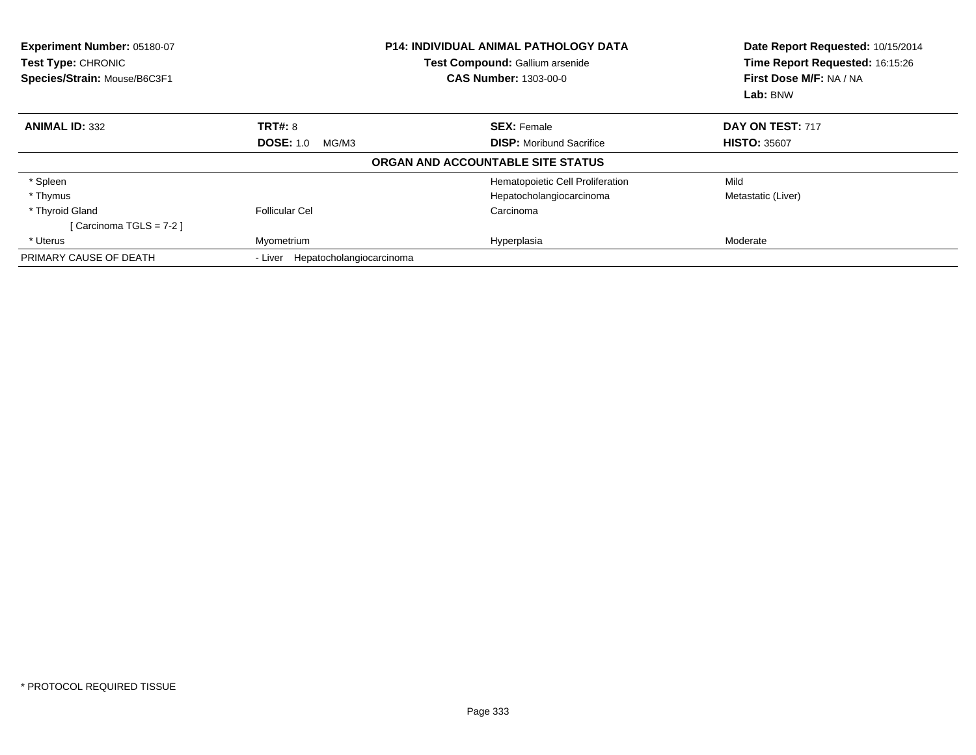| Experiment Number: 05180-07<br><b>Test Type: CHRONIC</b><br>Species/Strain: Mouse/B6C3F1 | <b>P14: INDIVIDUAL ANIMAL PATHOLOGY DATA</b><br>Test Compound: Gallium arsenide<br><b>CAS Number: 1303-00-0</b> |                                   | Date Report Requested: 10/15/2014<br>Time Report Requested: 16:15:26<br>First Dose M/F: NA / NA<br>Lab: BNW |  |
|------------------------------------------------------------------------------------------|-----------------------------------------------------------------------------------------------------------------|-----------------------------------|-------------------------------------------------------------------------------------------------------------|--|
| <b>ANIMAL ID: 332</b>                                                                    | <b>TRT#: 8</b>                                                                                                  | <b>SEX: Female</b>                | DAY ON TEST: 717                                                                                            |  |
|                                                                                          | <b>DOSE: 1.0</b><br>MG/M3                                                                                       | <b>DISP:</b> Moribund Sacrifice   | <b>HISTO: 35607</b>                                                                                         |  |
|                                                                                          |                                                                                                                 | ORGAN AND ACCOUNTABLE SITE STATUS |                                                                                                             |  |
| * Spleen                                                                                 |                                                                                                                 | Hematopoietic Cell Proliferation  | Mild                                                                                                        |  |
| * Thymus                                                                                 |                                                                                                                 | Hepatocholangiocarcinoma          | Metastatic (Liver)                                                                                          |  |
| * Thyroid Gland                                                                          | Follicular Cel                                                                                                  | Carcinoma                         |                                                                                                             |  |
| [Carcinoma TGLS = 7-2]                                                                   |                                                                                                                 |                                   |                                                                                                             |  |
| * Uterus                                                                                 | Myometrium                                                                                                      | Hyperplasia                       | Moderate                                                                                                    |  |
| PRIMARY CAUSE OF DEATH                                                                   | Hepatocholangiocarcinoma<br>- Liver                                                                             |                                   |                                                                                                             |  |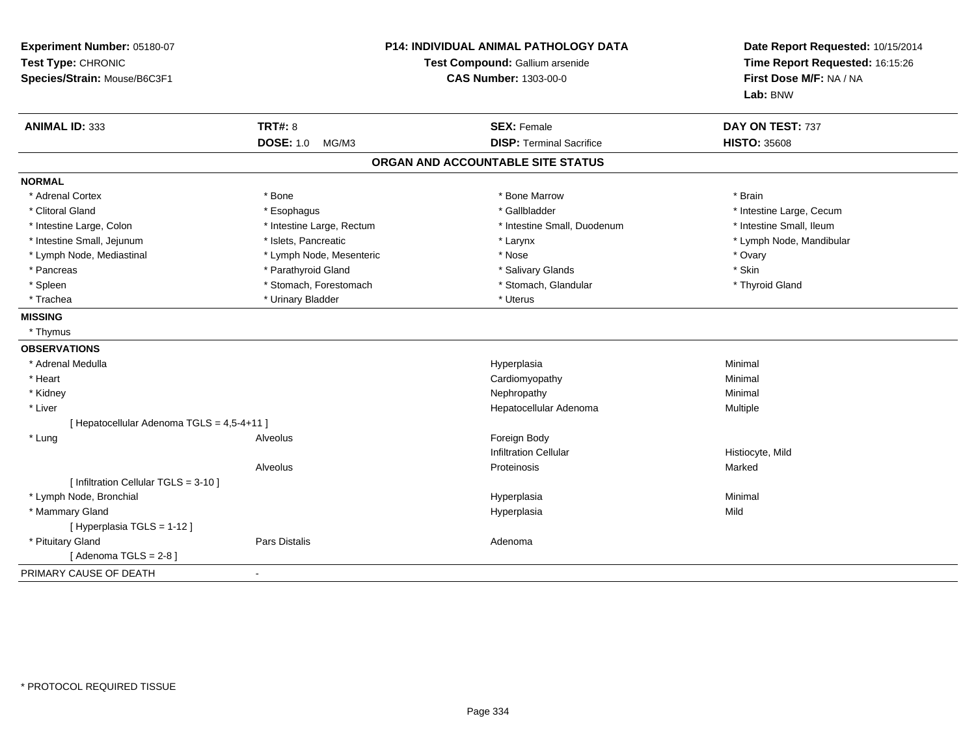| Experiment Number: 05180-07<br>Test Type: CHRONIC<br>Species/Strain: Mouse/B6C3F1 | P14: INDIVIDUAL ANIMAL PATHOLOGY DATA<br>Test Compound: Gallium arsenide<br>CAS Number: 1303-00-0 |                                   | Date Report Requested: 10/15/2014<br>Time Report Requested: 16:15:26<br>First Dose M/F: NA / NA<br>Lab: BNW |
|-----------------------------------------------------------------------------------|---------------------------------------------------------------------------------------------------|-----------------------------------|-------------------------------------------------------------------------------------------------------------|
| <b>ANIMAL ID: 333</b>                                                             | <b>TRT#: 8</b>                                                                                    | <b>SEX: Female</b>                | DAY ON TEST: 737                                                                                            |
|                                                                                   | <b>DOSE: 1.0</b><br>MG/M3                                                                         | <b>DISP: Terminal Sacrifice</b>   | <b>HISTO: 35608</b>                                                                                         |
|                                                                                   |                                                                                                   | ORGAN AND ACCOUNTABLE SITE STATUS |                                                                                                             |
| <b>NORMAL</b>                                                                     |                                                                                                   |                                   |                                                                                                             |
| * Adrenal Cortex                                                                  | * Bone                                                                                            | * Bone Marrow                     | * Brain                                                                                                     |
| * Clitoral Gland                                                                  | * Esophagus                                                                                       | * Gallbladder                     | * Intestine Large, Cecum                                                                                    |
| * Intestine Large, Colon                                                          | * Intestine Large, Rectum                                                                         | * Intestine Small, Duodenum       | * Intestine Small, Ileum                                                                                    |
| * Intestine Small, Jejunum                                                        | * Islets, Pancreatic                                                                              | * Larynx                          | * Lymph Node, Mandibular                                                                                    |
| * Lymph Node, Mediastinal                                                         | * Lymph Node, Mesenteric                                                                          | * Nose                            | * Ovary                                                                                                     |
| * Pancreas                                                                        | * Parathyroid Gland                                                                               | * Salivary Glands                 | * Skin                                                                                                      |
| * Spleen                                                                          | * Stomach, Forestomach                                                                            | * Stomach, Glandular              | * Thyroid Gland                                                                                             |
| * Trachea                                                                         | * Urinary Bladder                                                                                 | * Uterus                          |                                                                                                             |
| <b>MISSING</b>                                                                    |                                                                                                   |                                   |                                                                                                             |
| * Thymus                                                                          |                                                                                                   |                                   |                                                                                                             |
| <b>OBSERVATIONS</b>                                                               |                                                                                                   |                                   |                                                                                                             |
| * Adrenal Medulla                                                                 |                                                                                                   | Hyperplasia                       | Minimal                                                                                                     |
| * Heart                                                                           |                                                                                                   | Cardiomyopathy                    | Minimal                                                                                                     |
| * Kidney                                                                          |                                                                                                   | Nephropathy                       | Minimal                                                                                                     |
| * Liver                                                                           |                                                                                                   | Hepatocellular Adenoma            | Multiple                                                                                                    |
| [ Hepatocellular Adenoma TGLS = 4,5-4+11 ]                                        |                                                                                                   |                                   |                                                                                                             |
| * Lung                                                                            | Alveolus                                                                                          | Foreign Body                      |                                                                                                             |
|                                                                                   |                                                                                                   | <b>Infiltration Cellular</b>      | Histiocyte, Mild                                                                                            |
|                                                                                   | Alveolus                                                                                          | Proteinosis                       | Marked                                                                                                      |
| [ Infiltration Cellular TGLS = 3-10 ]                                             |                                                                                                   |                                   |                                                                                                             |
| * Lymph Node, Bronchial                                                           |                                                                                                   | Hyperplasia                       | Minimal                                                                                                     |
| * Mammary Gland                                                                   |                                                                                                   | Hyperplasia                       | Mild                                                                                                        |
| [ Hyperplasia TGLS = 1-12 ]                                                       |                                                                                                   |                                   |                                                                                                             |
| * Pituitary Gland                                                                 | Pars Distalis                                                                                     | Adenoma                           |                                                                                                             |
| [Adenoma TGLS = $2-8$ ]                                                           |                                                                                                   |                                   |                                                                                                             |
| PRIMARY CAUSE OF DEATH<br>$\blacksquare$                                          |                                                                                                   |                                   |                                                                                                             |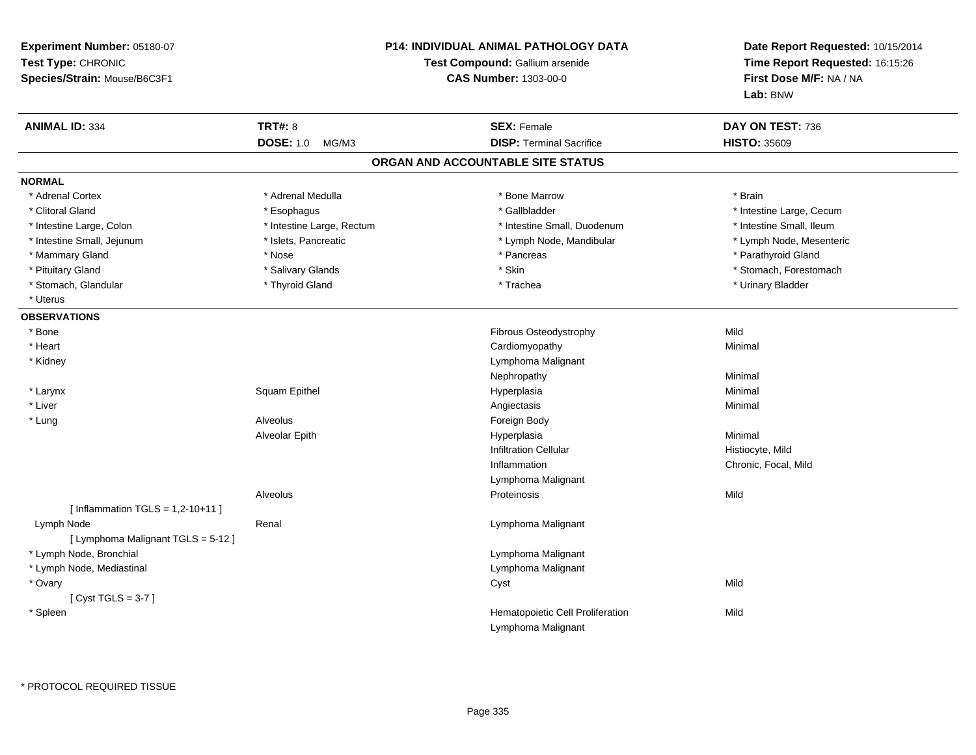| Experiment Number: 05180-07<br>Test Type: CHRONIC<br>Species/Strain: Mouse/B6C3F1 | <b>P14: INDIVIDUAL ANIMAL PATHOLOGY DATA</b><br>Test Compound: Gallium arsenide<br><b>CAS Number: 1303-00-0</b> |                                   | Date Report Requested: 10/15/2014<br>Time Report Requested: 16:15:26<br>First Dose M/F: NA / NA<br>Lab: BNW |
|-----------------------------------------------------------------------------------|-----------------------------------------------------------------------------------------------------------------|-----------------------------------|-------------------------------------------------------------------------------------------------------------|
| <b>ANIMAL ID: 334</b>                                                             | <b>TRT#: 8</b>                                                                                                  | <b>SEX: Female</b>                | DAY ON TEST: 736                                                                                            |
|                                                                                   | DOSE: 1.0 MG/M3                                                                                                 | <b>DISP: Terminal Sacrifice</b>   | <b>HISTO: 35609</b>                                                                                         |
|                                                                                   |                                                                                                                 | ORGAN AND ACCOUNTABLE SITE STATUS |                                                                                                             |
| <b>NORMAL</b>                                                                     |                                                                                                                 |                                   |                                                                                                             |
| * Adrenal Cortex                                                                  | * Adrenal Medulla                                                                                               | * Bone Marrow                     | * Brain                                                                                                     |
| * Clitoral Gland                                                                  | * Esophagus                                                                                                     | * Gallbladder                     | * Intestine Large, Cecum                                                                                    |
| * Intestine Large, Colon                                                          | * Intestine Large, Rectum                                                                                       | * Intestine Small, Duodenum       | * Intestine Small, Ileum                                                                                    |
| * Intestine Small, Jejunum                                                        | * Islets, Pancreatic                                                                                            | * Lymph Node, Mandibular          | * Lymph Node, Mesenteric                                                                                    |
| * Mammary Gland                                                                   | * Nose                                                                                                          | * Pancreas                        | * Parathyroid Gland                                                                                         |
| * Pituitary Gland                                                                 | * Salivary Glands                                                                                               | * Skin                            | * Stomach, Forestomach                                                                                      |
| * Stomach, Glandular                                                              | * Thyroid Gland                                                                                                 | * Trachea                         | * Urinary Bladder                                                                                           |
| * Uterus                                                                          |                                                                                                                 |                                   |                                                                                                             |
| <b>OBSERVATIONS</b>                                                               |                                                                                                                 |                                   |                                                                                                             |
| * Bone                                                                            |                                                                                                                 | Fibrous Osteodystrophy            | Mild                                                                                                        |
| * Heart                                                                           |                                                                                                                 | Cardiomyopathy                    | Minimal                                                                                                     |
| * Kidney                                                                          |                                                                                                                 | Lymphoma Malignant                |                                                                                                             |
|                                                                                   |                                                                                                                 | Nephropathy                       | Minimal                                                                                                     |
| * Larynx                                                                          | Squam Epithel                                                                                                   | Hyperplasia                       | Minimal                                                                                                     |
| * Liver                                                                           |                                                                                                                 | Angiectasis                       | Minimal                                                                                                     |
| * Lung                                                                            | Alveolus                                                                                                        | Foreign Body                      |                                                                                                             |
|                                                                                   | Alveolar Epith                                                                                                  | Hyperplasia                       | Minimal                                                                                                     |
|                                                                                   |                                                                                                                 | <b>Infiltration Cellular</b>      | Histiocyte, Mild                                                                                            |
|                                                                                   |                                                                                                                 | Inflammation                      | Chronic, Focal, Mild                                                                                        |
|                                                                                   |                                                                                                                 | Lymphoma Malignant                |                                                                                                             |
|                                                                                   | Alveolus                                                                                                        | Proteinosis                       | Mild                                                                                                        |
| [Inflammation TGLS = $1,2-10+11$ ]                                                |                                                                                                                 |                                   |                                                                                                             |
| Lymph Node                                                                        | Renal                                                                                                           | Lymphoma Malignant                |                                                                                                             |
| [ Lymphoma Malignant TGLS = 5-12 ]                                                |                                                                                                                 |                                   |                                                                                                             |
| * Lymph Node, Bronchial                                                           |                                                                                                                 | Lymphoma Malignant                |                                                                                                             |
| * Lymph Node, Mediastinal                                                         |                                                                                                                 | Lymphoma Malignant                |                                                                                                             |
| * Ovary                                                                           |                                                                                                                 | Cyst                              | Mild                                                                                                        |
| [Cyst TGLS = $3-7$ ]                                                              |                                                                                                                 |                                   |                                                                                                             |
| * Spleen                                                                          |                                                                                                                 | Hematopoietic Cell Proliferation  | Mild                                                                                                        |
|                                                                                   |                                                                                                                 | Lymphoma Malignant                |                                                                                                             |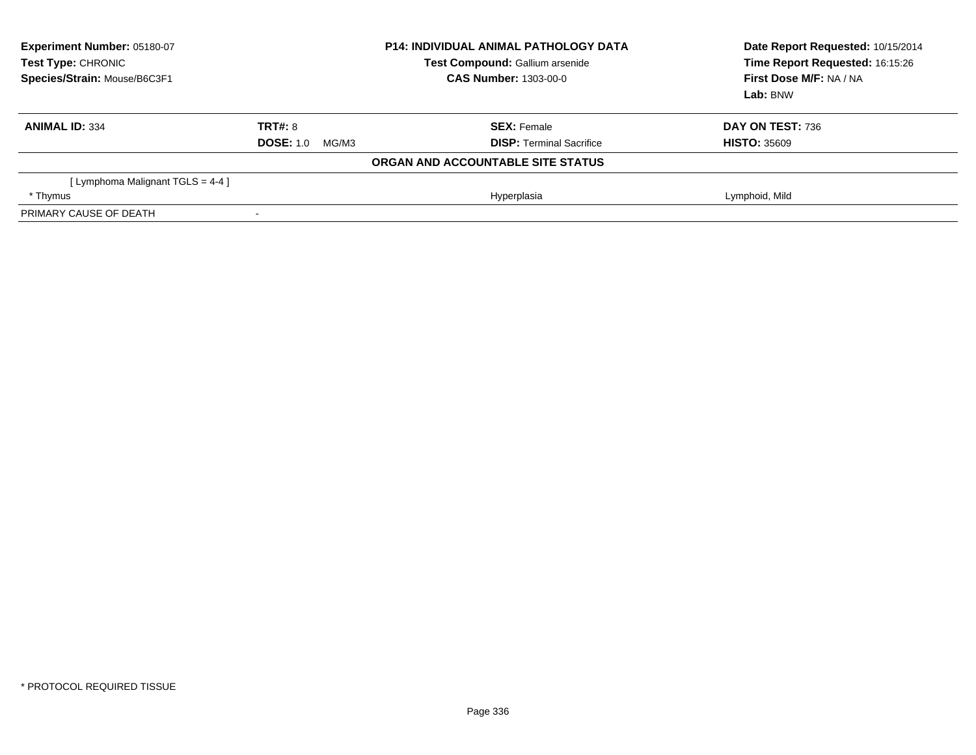| Experiment Number: 05180-07<br>Test Type: CHRONIC<br>Species/Strain: Mouse/B6C3F1 | <b>P14: INDIVIDUAL ANIMAL PATHOLOGY DATA</b><br>Test Compound: Gallium arsenide<br>CAS Number: 1303-00-0 |                                   | Date Report Requested: 10/15/2014<br>Time Report Requested: 16:15:26<br>First Dose M/F: NA / NA<br>Lab: BNW |
|-----------------------------------------------------------------------------------|----------------------------------------------------------------------------------------------------------|-----------------------------------|-------------------------------------------------------------------------------------------------------------|
| <b>ANIMAL ID: 334</b>                                                             | TRT#: 8                                                                                                  | <b>SEX: Female</b>                | DAY ON TEST: 736                                                                                            |
|                                                                                   | <b>DOSE: 1.0</b><br>MG/M3                                                                                | <b>DISP:</b> Terminal Sacrifice   | <b>HISTO: 35609</b>                                                                                         |
|                                                                                   |                                                                                                          | ORGAN AND ACCOUNTABLE SITE STATUS |                                                                                                             |
| [ Lymphoma Malignant TGLS = 4-4 ]                                                 |                                                                                                          |                                   |                                                                                                             |
| * Thymus                                                                          |                                                                                                          | Hyperplasia                       | Lymphoid, Mild                                                                                              |
| PRIMARY CAUSE OF DEATH                                                            |                                                                                                          |                                   |                                                                                                             |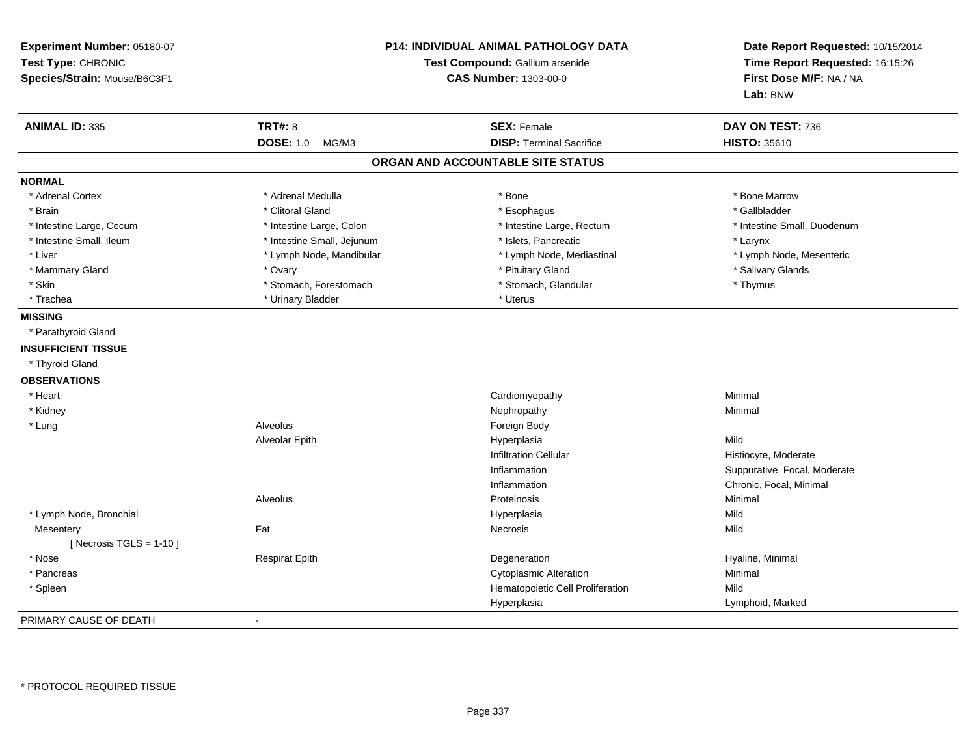| Experiment Number: 05180-07<br>Test Type: CHRONIC<br>Species/Strain: Mouse/B6C3F1 |                            | <b>P14: INDIVIDUAL ANIMAL PATHOLOGY DATA</b><br>Test Compound: Gallium arsenide<br><b>CAS Number: 1303-00-0</b> | Date Report Requested: 10/15/2014<br>Time Report Requested: 16:15:26<br>First Dose M/F: NA / NA<br>Lab: BNW |
|-----------------------------------------------------------------------------------|----------------------------|-----------------------------------------------------------------------------------------------------------------|-------------------------------------------------------------------------------------------------------------|
| <b>ANIMAL ID: 335</b>                                                             | <b>TRT#: 8</b>             | <b>SEX: Female</b>                                                                                              | DAY ON TEST: 736                                                                                            |
|                                                                                   | <b>DOSE: 1.0</b><br>MG/M3  | <b>DISP: Terminal Sacrifice</b>                                                                                 | <b>HISTO: 35610</b>                                                                                         |
|                                                                                   |                            | ORGAN AND ACCOUNTABLE SITE STATUS                                                                               |                                                                                                             |
| <b>NORMAL</b>                                                                     |                            |                                                                                                                 |                                                                                                             |
| * Adrenal Cortex                                                                  | * Adrenal Medulla          | * Bone                                                                                                          | * Bone Marrow                                                                                               |
| * Brain                                                                           | * Clitoral Gland           | * Esophagus                                                                                                     | * Gallbladder                                                                                               |
| * Intestine Large, Cecum                                                          | * Intestine Large, Colon   | * Intestine Large, Rectum                                                                                       | * Intestine Small, Duodenum                                                                                 |
| * Intestine Small, Ileum                                                          | * Intestine Small, Jejunum | * Islets, Pancreatic                                                                                            | * Larynx                                                                                                    |
| * Liver                                                                           | * Lymph Node, Mandibular   | * Lymph Node, Mediastinal                                                                                       | * Lymph Node, Mesenteric                                                                                    |
| * Mammary Gland                                                                   | * Ovary                    | * Pituitary Gland                                                                                               | * Salivary Glands                                                                                           |
| * Skin                                                                            | * Stomach, Forestomach     | * Stomach, Glandular                                                                                            | * Thymus                                                                                                    |
| * Trachea                                                                         | * Urinary Bladder          | * Uterus                                                                                                        |                                                                                                             |
| <b>MISSING</b>                                                                    |                            |                                                                                                                 |                                                                                                             |
| * Parathyroid Gland                                                               |                            |                                                                                                                 |                                                                                                             |
| <b>INSUFFICIENT TISSUE</b>                                                        |                            |                                                                                                                 |                                                                                                             |
| * Thyroid Gland                                                                   |                            |                                                                                                                 |                                                                                                             |
| <b>OBSERVATIONS</b>                                                               |                            |                                                                                                                 |                                                                                                             |
| * Heart                                                                           |                            | Cardiomyopathy                                                                                                  | Minimal                                                                                                     |
| * Kidney                                                                          |                            | Nephropathy                                                                                                     | Minimal                                                                                                     |
| * Lung                                                                            | Alveolus                   | Foreign Body                                                                                                    |                                                                                                             |
|                                                                                   | Alveolar Epith             | Hyperplasia                                                                                                     | Mild                                                                                                        |
|                                                                                   |                            | <b>Infiltration Cellular</b>                                                                                    | Histiocyte, Moderate                                                                                        |
|                                                                                   |                            | Inflammation                                                                                                    | Suppurative, Focal, Moderate                                                                                |
|                                                                                   |                            | Inflammation                                                                                                    | Chronic, Focal, Minimal                                                                                     |
|                                                                                   | Alveolus                   | Proteinosis                                                                                                     | Minimal                                                                                                     |
| * Lymph Node, Bronchial                                                           |                            | Hyperplasia                                                                                                     | Mild                                                                                                        |
| Mesentery                                                                         | Fat                        | Necrosis                                                                                                        | Mild                                                                                                        |
| [ Necrosis TGLS = $1-10$ ]                                                        |                            |                                                                                                                 |                                                                                                             |
| * Nose                                                                            | <b>Respirat Epith</b>      | Degeneration                                                                                                    | Hyaline, Minimal                                                                                            |
| * Pancreas                                                                        |                            | <b>Cytoplasmic Alteration</b>                                                                                   | Minimal                                                                                                     |
| * Spleen                                                                          |                            | Hematopoietic Cell Proliferation                                                                                | Mild                                                                                                        |
|                                                                                   |                            | Hyperplasia                                                                                                     | Lymphoid, Marked                                                                                            |
| PRIMARY CAUSE OF DEATH                                                            | $\sim$                     |                                                                                                                 |                                                                                                             |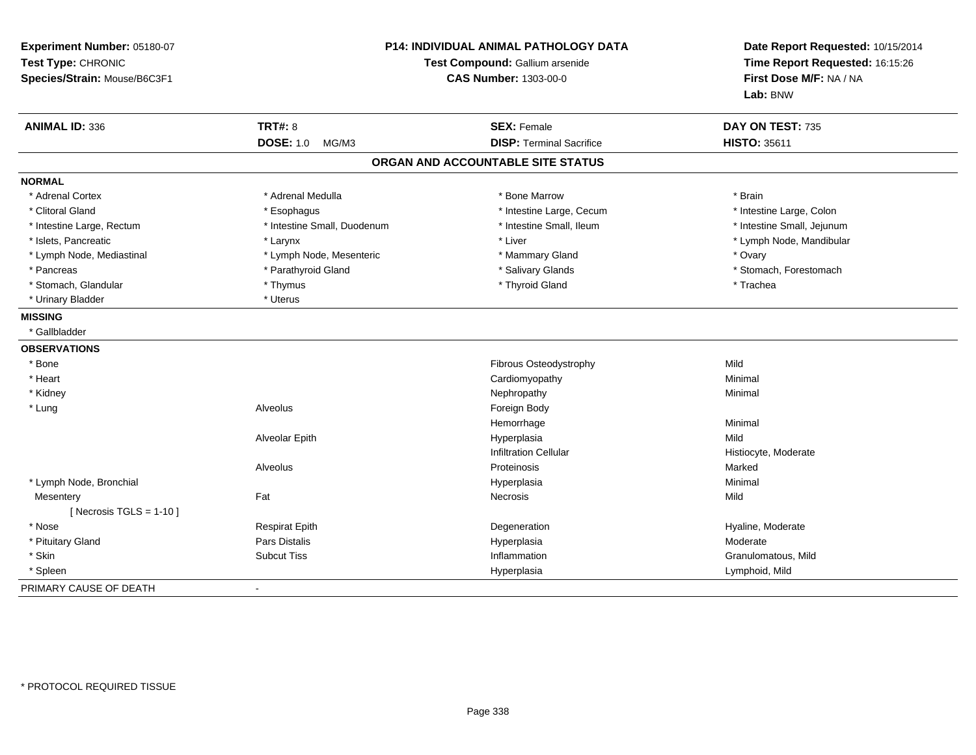| Experiment Number: 05180-07<br>Test Type: CHRONIC<br>Species/Strain: Mouse/B6C3F1 | P14: INDIVIDUAL ANIMAL PATHOLOGY DATA<br>Test Compound: Gallium arsenide<br><b>CAS Number: 1303-00-0</b> |                                   | Date Report Requested: 10/15/2014<br>Time Report Requested: 16:15:26<br>First Dose M/F: NA / NA<br>Lab: BNW |
|-----------------------------------------------------------------------------------|----------------------------------------------------------------------------------------------------------|-----------------------------------|-------------------------------------------------------------------------------------------------------------|
| <b>ANIMAL ID: 336</b>                                                             | <b>TRT#: 8</b>                                                                                           | <b>SEX: Female</b>                | DAY ON TEST: 735                                                                                            |
|                                                                                   | <b>DOSE: 1.0</b><br>MG/M3                                                                                | <b>DISP: Terminal Sacrifice</b>   | <b>HISTO: 35611</b>                                                                                         |
|                                                                                   |                                                                                                          | ORGAN AND ACCOUNTABLE SITE STATUS |                                                                                                             |
| <b>NORMAL</b>                                                                     |                                                                                                          |                                   |                                                                                                             |
| * Adrenal Cortex                                                                  | * Adrenal Medulla                                                                                        | * Bone Marrow                     | * Brain                                                                                                     |
| * Clitoral Gland                                                                  | * Esophagus                                                                                              | * Intestine Large, Cecum          | * Intestine Large, Colon                                                                                    |
| * Intestine Large, Rectum                                                         | * Intestine Small, Duodenum                                                                              | * Intestine Small, Ileum          | * Intestine Small, Jejunum                                                                                  |
| * Islets, Pancreatic                                                              | * Larynx                                                                                                 | * Liver                           | * Lymph Node, Mandibular                                                                                    |
| * Lymph Node, Mediastinal                                                         | * Lymph Node, Mesenteric                                                                                 | * Mammary Gland                   | * Ovary                                                                                                     |
| * Pancreas                                                                        | * Parathyroid Gland                                                                                      | * Salivary Glands                 | * Stomach, Forestomach                                                                                      |
| * Stomach, Glandular                                                              | * Thymus                                                                                                 | * Thyroid Gland                   | * Trachea                                                                                                   |
| * Urinary Bladder                                                                 | * Uterus                                                                                                 |                                   |                                                                                                             |
| <b>MISSING</b>                                                                    |                                                                                                          |                                   |                                                                                                             |
| * Gallbladder                                                                     |                                                                                                          |                                   |                                                                                                             |
| <b>OBSERVATIONS</b>                                                               |                                                                                                          |                                   |                                                                                                             |
| * Bone                                                                            |                                                                                                          | Fibrous Osteodystrophy            | Mild                                                                                                        |
| * Heart                                                                           |                                                                                                          | Cardiomyopathy                    | Minimal                                                                                                     |
| * Kidney                                                                          |                                                                                                          | Nephropathy                       | Minimal                                                                                                     |
| * Lung                                                                            | Alveolus                                                                                                 | Foreign Body                      |                                                                                                             |
|                                                                                   |                                                                                                          | Hemorrhage                        | Minimal                                                                                                     |
|                                                                                   | Alveolar Epith                                                                                           | Hyperplasia                       | Mild                                                                                                        |
|                                                                                   |                                                                                                          | <b>Infiltration Cellular</b>      | Histiocyte, Moderate                                                                                        |
|                                                                                   | Alveolus                                                                                                 | Proteinosis                       | Marked                                                                                                      |
| * Lymph Node, Bronchial                                                           |                                                                                                          | Hyperplasia                       | Minimal                                                                                                     |
| Mesentery                                                                         | Fat                                                                                                      | <b>Necrosis</b>                   | Mild                                                                                                        |
| [ Necrosis $TGLS = 1-10$ ]                                                        |                                                                                                          |                                   |                                                                                                             |
| * Nose                                                                            | <b>Respirat Epith</b>                                                                                    | Degeneration                      | Hyaline, Moderate                                                                                           |
| * Pituitary Gland                                                                 | Pars Distalis                                                                                            | Hyperplasia                       | Moderate                                                                                                    |
| * Skin                                                                            | <b>Subcut Tiss</b>                                                                                       | Inflammation                      | Granulomatous, Mild                                                                                         |
| * Spleen                                                                          |                                                                                                          | Hyperplasia                       | Lymphoid, Mild                                                                                              |
| PRIMARY CAUSE OF DEATH                                                            |                                                                                                          |                                   |                                                                                                             |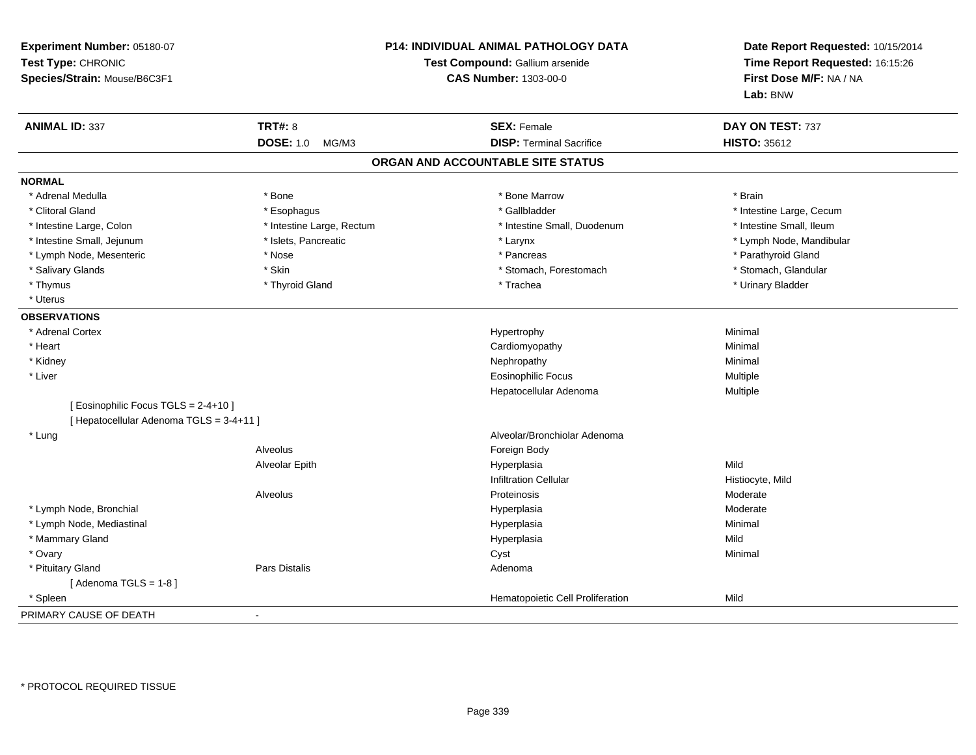| Experiment Number: 05180-07<br>Test Type: CHRONIC<br>Species/Strain: Mouse/B6C3F1 |                           | P14: INDIVIDUAL ANIMAL PATHOLOGY DATA<br>Test Compound: Gallium arsenide<br><b>CAS Number: 1303-00-0</b> | Date Report Requested: 10/15/2014<br>Time Report Requested: 16:15:26<br>First Dose M/F: NA / NA<br>Lab: BNW |
|-----------------------------------------------------------------------------------|---------------------------|----------------------------------------------------------------------------------------------------------|-------------------------------------------------------------------------------------------------------------|
| <b>ANIMAL ID: 337</b>                                                             | <b>TRT#: 8</b>            | <b>SEX: Female</b>                                                                                       | DAY ON TEST: 737                                                                                            |
|                                                                                   | <b>DOSE: 1.0</b><br>MG/M3 | <b>DISP: Terminal Sacrifice</b>                                                                          | <b>HISTO: 35612</b>                                                                                         |
|                                                                                   |                           | ORGAN AND ACCOUNTABLE SITE STATUS                                                                        |                                                                                                             |
| <b>NORMAL</b>                                                                     |                           |                                                                                                          |                                                                                                             |
| * Adrenal Medulla                                                                 | * Bone                    | * Bone Marrow                                                                                            | * Brain                                                                                                     |
| * Clitoral Gland                                                                  | * Esophagus               | * Gallbladder                                                                                            | * Intestine Large, Cecum                                                                                    |
| * Intestine Large, Colon                                                          | * Intestine Large, Rectum | * Intestine Small, Duodenum                                                                              | * Intestine Small, Ileum                                                                                    |
| * Intestine Small, Jejunum                                                        | * Islets, Pancreatic      | * Larynx                                                                                                 | * Lymph Node, Mandibular                                                                                    |
| * Lymph Node, Mesenteric                                                          | * Nose                    | * Pancreas                                                                                               | * Parathyroid Gland                                                                                         |
| * Salivary Glands                                                                 | * Skin                    | * Stomach, Forestomach                                                                                   | * Stomach, Glandular                                                                                        |
| * Thymus                                                                          | * Thyroid Gland           | * Trachea                                                                                                | * Urinary Bladder                                                                                           |
| * Uterus                                                                          |                           |                                                                                                          |                                                                                                             |
| <b>OBSERVATIONS</b>                                                               |                           |                                                                                                          |                                                                                                             |
| * Adrenal Cortex                                                                  |                           | Hypertrophy                                                                                              | Minimal                                                                                                     |
| * Heart                                                                           |                           | Cardiomyopathy                                                                                           | Minimal                                                                                                     |
| * Kidney                                                                          |                           | Nephropathy                                                                                              | Minimal                                                                                                     |
| * Liver                                                                           |                           | <b>Eosinophilic Focus</b>                                                                                | Multiple                                                                                                    |
|                                                                                   |                           | Hepatocellular Adenoma                                                                                   | Multiple                                                                                                    |
| [ Eosinophilic Focus TGLS = 2-4+10 ]<br>[ Hepatocellular Adenoma TGLS = 3-4+11 ]  |                           |                                                                                                          |                                                                                                             |
| * Lung                                                                            |                           | Alveolar/Bronchiolar Adenoma                                                                             |                                                                                                             |
|                                                                                   | Alveolus                  | Foreign Body                                                                                             |                                                                                                             |
|                                                                                   | Alveolar Epith            | Hyperplasia                                                                                              | Mild                                                                                                        |
|                                                                                   |                           | <b>Infiltration Cellular</b>                                                                             | Histiocyte, Mild                                                                                            |
|                                                                                   | Alveolus                  | Proteinosis                                                                                              | Moderate                                                                                                    |
| * Lymph Node, Bronchial                                                           |                           | Hyperplasia                                                                                              | Moderate                                                                                                    |
| * Lymph Node, Mediastinal                                                         |                           | Hyperplasia                                                                                              | Minimal                                                                                                     |
| * Mammary Gland                                                                   |                           | Hyperplasia                                                                                              | Mild                                                                                                        |
| * Ovary                                                                           |                           | Cyst                                                                                                     | Minimal                                                                                                     |
| * Pituitary Gland                                                                 | Pars Distalis             | Adenoma                                                                                                  |                                                                                                             |
| [Adenoma TGLS = $1-8$ ]                                                           |                           |                                                                                                          |                                                                                                             |
| * Spleen                                                                          |                           | Hematopoietic Cell Proliferation                                                                         | Mild                                                                                                        |
| PRIMARY CAUSE OF DEATH                                                            |                           |                                                                                                          |                                                                                                             |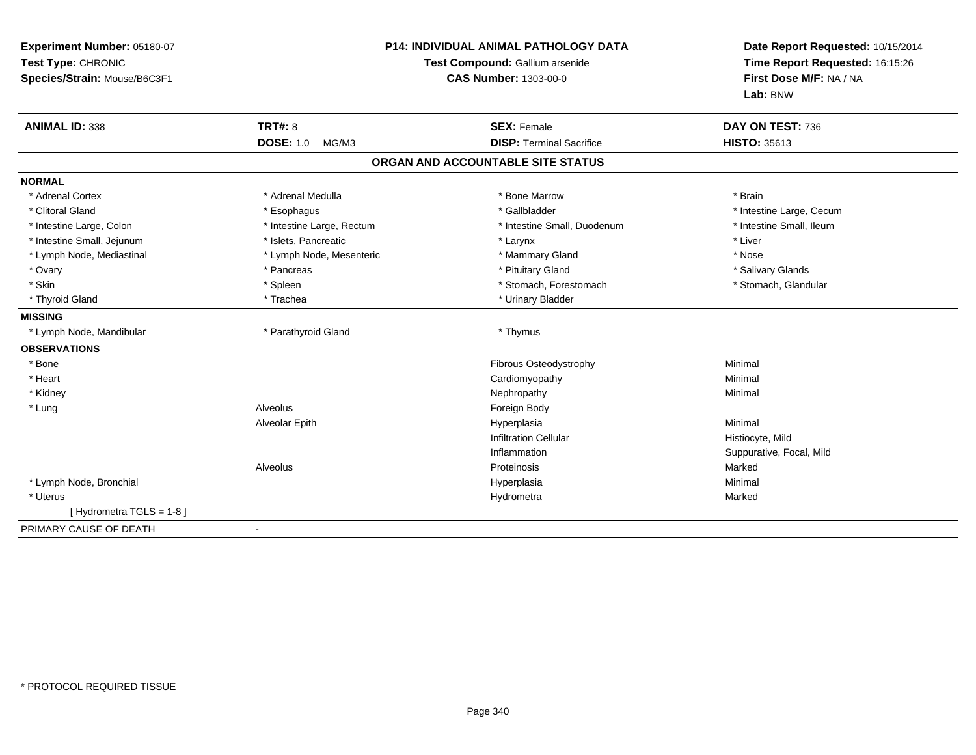| Experiment Number: 05180-07<br>Test Type: CHRONIC<br>Species/Strain: Mouse/B6C3F1 | P14: INDIVIDUAL ANIMAL PATHOLOGY DATA<br>Test Compound: Gallium arsenide<br><b>CAS Number: 1303-00-0</b> |                                   | Date Report Requested: 10/15/2014<br>Time Report Requested: 16:15:26<br>First Dose M/F: NA / NA<br>Lab: BNW |  |
|-----------------------------------------------------------------------------------|----------------------------------------------------------------------------------------------------------|-----------------------------------|-------------------------------------------------------------------------------------------------------------|--|
| <b>ANIMAL ID: 338</b>                                                             | <b>TRT#: 8</b>                                                                                           | <b>SEX: Female</b>                | DAY ON TEST: 736                                                                                            |  |
|                                                                                   | <b>DOSE: 1.0</b><br>MG/M3                                                                                | <b>DISP: Terminal Sacrifice</b>   | <b>HISTO: 35613</b>                                                                                         |  |
|                                                                                   |                                                                                                          | ORGAN AND ACCOUNTABLE SITE STATUS |                                                                                                             |  |
| <b>NORMAL</b>                                                                     |                                                                                                          |                                   |                                                                                                             |  |
| * Adrenal Cortex                                                                  | * Adrenal Medulla                                                                                        | * Bone Marrow                     | * Brain                                                                                                     |  |
| * Clitoral Gland                                                                  | * Esophagus                                                                                              | * Gallbladder                     | * Intestine Large, Cecum                                                                                    |  |
| * Intestine Large, Colon                                                          | * Intestine Large, Rectum                                                                                | * Intestine Small, Duodenum       | * Intestine Small, Ileum                                                                                    |  |
| * Intestine Small, Jejunum                                                        | * Islets, Pancreatic                                                                                     | * Larynx                          | * Liver                                                                                                     |  |
| * Lymph Node, Mediastinal                                                         | * Lymph Node, Mesenteric                                                                                 | * Mammary Gland                   | * Nose                                                                                                      |  |
| * Ovary                                                                           | * Pancreas                                                                                               | * Pituitary Gland                 | * Salivary Glands                                                                                           |  |
| * Skin                                                                            | * Spleen                                                                                                 | * Stomach, Forestomach            | * Stomach, Glandular                                                                                        |  |
| * Thyroid Gland                                                                   | * Trachea                                                                                                | * Urinary Bladder                 |                                                                                                             |  |
| <b>MISSING</b>                                                                    |                                                                                                          |                                   |                                                                                                             |  |
| * Lymph Node, Mandibular                                                          | * Parathyroid Gland                                                                                      | * Thymus                          |                                                                                                             |  |
| <b>OBSERVATIONS</b>                                                               |                                                                                                          |                                   |                                                                                                             |  |
| * Bone                                                                            |                                                                                                          | Fibrous Osteodystrophy            | Minimal                                                                                                     |  |
| * Heart                                                                           |                                                                                                          | Cardiomyopathy                    | Minimal                                                                                                     |  |
| * Kidney                                                                          |                                                                                                          | Nephropathy                       | Minimal                                                                                                     |  |
| * Lung                                                                            | Alveolus                                                                                                 | Foreign Body                      |                                                                                                             |  |
|                                                                                   | Alveolar Epith                                                                                           | Hyperplasia                       | Minimal                                                                                                     |  |
|                                                                                   |                                                                                                          | <b>Infiltration Cellular</b>      | Histiocyte, Mild                                                                                            |  |
|                                                                                   |                                                                                                          | Inflammation                      | Suppurative, Focal, Mild                                                                                    |  |
|                                                                                   | Alveolus                                                                                                 | Proteinosis                       | Marked                                                                                                      |  |
| * Lymph Node, Bronchial                                                           |                                                                                                          | Hyperplasia                       | Minimal                                                                                                     |  |
| * Uterus                                                                          |                                                                                                          | Hydrometra                        | Marked                                                                                                      |  |
| [Hydrometra TGLS = 1-8]                                                           |                                                                                                          |                                   |                                                                                                             |  |
| PRIMARY CAUSE OF DEATH                                                            |                                                                                                          |                                   |                                                                                                             |  |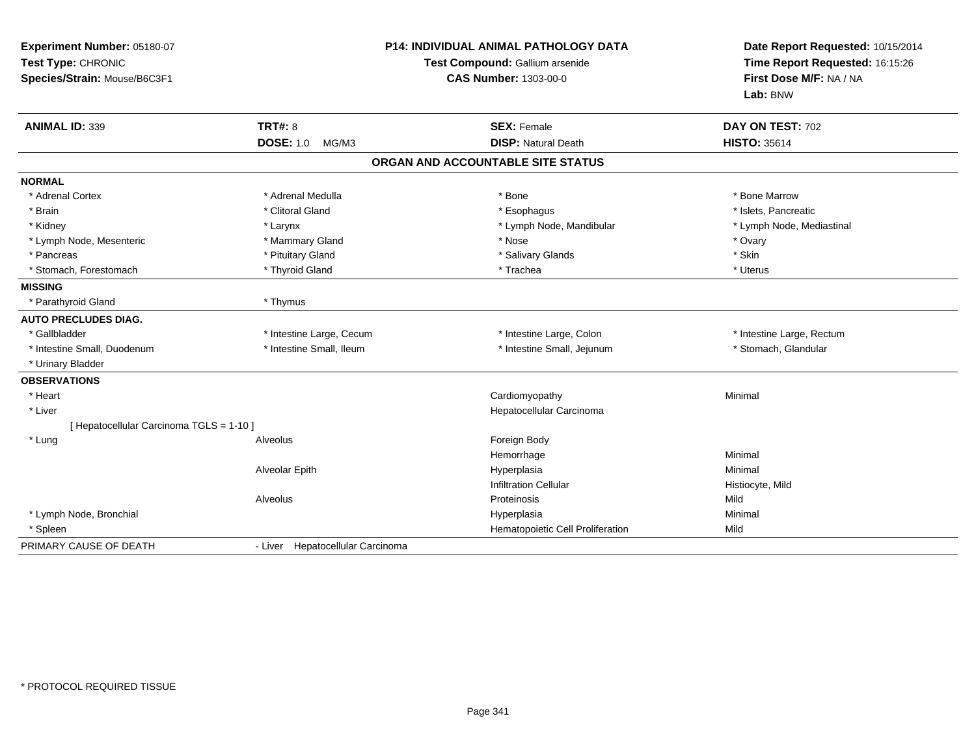| Experiment Number: 05180-07<br>Test Type: CHRONIC<br>Species/Strain: Mouse/B6C3F1 | <b>P14: INDIVIDUAL ANIMAL PATHOLOGY DATA</b><br>Test Compound: Gallium arsenide<br><b>CAS Number: 1303-00-0</b> |                                   | Date Report Requested: 10/15/2014<br>Time Report Requested: 16:15:26<br>First Dose M/F: NA / NA<br>Lab: BNW |  |
|-----------------------------------------------------------------------------------|-----------------------------------------------------------------------------------------------------------------|-----------------------------------|-------------------------------------------------------------------------------------------------------------|--|
| <b>ANIMAL ID: 339</b>                                                             | <b>TRT#: 8</b>                                                                                                  | <b>SEX: Female</b>                | DAY ON TEST: 702                                                                                            |  |
|                                                                                   | <b>DOSE: 1.0</b><br>MG/M3                                                                                       | <b>DISP: Natural Death</b>        | <b>HISTO: 35614</b>                                                                                         |  |
|                                                                                   |                                                                                                                 | ORGAN AND ACCOUNTABLE SITE STATUS |                                                                                                             |  |
| <b>NORMAL</b>                                                                     |                                                                                                                 |                                   |                                                                                                             |  |
| * Adrenal Cortex                                                                  | * Adrenal Medulla                                                                                               | * Bone                            | * Bone Marrow                                                                                               |  |
| * Brain                                                                           | * Clitoral Gland                                                                                                | * Esophagus                       | * Islets, Pancreatic                                                                                        |  |
| * Kidney                                                                          | * Larynx                                                                                                        | * Lymph Node, Mandibular          | * Lymph Node, Mediastinal                                                                                   |  |
| * Lymph Node, Mesenteric                                                          | * Mammary Gland                                                                                                 | * Nose                            | * Ovary                                                                                                     |  |
| * Pancreas                                                                        | * Pituitary Gland                                                                                               | * Salivary Glands                 | * Skin                                                                                                      |  |
| * Stomach, Forestomach                                                            | * Thyroid Gland                                                                                                 | * Trachea                         | * Uterus                                                                                                    |  |
| <b>MISSING</b>                                                                    |                                                                                                                 |                                   |                                                                                                             |  |
| * Parathyroid Gland                                                               | * Thymus                                                                                                        |                                   |                                                                                                             |  |
| <b>AUTO PRECLUDES DIAG.</b>                                                       |                                                                                                                 |                                   |                                                                                                             |  |
| * Gallbladder                                                                     | * Intestine Large, Cecum                                                                                        | * Intestine Large, Colon          | * Intestine Large, Rectum                                                                                   |  |
| * Intestine Small, Duodenum                                                       | * Intestine Small, Ileum                                                                                        | * Intestine Small, Jejunum        | * Stomach, Glandular                                                                                        |  |
| * Urinary Bladder                                                                 |                                                                                                                 |                                   |                                                                                                             |  |
| <b>OBSERVATIONS</b>                                                               |                                                                                                                 |                                   |                                                                                                             |  |
| * Heart                                                                           |                                                                                                                 | Cardiomyopathy                    | Minimal                                                                                                     |  |
| * Liver                                                                           |                                                                                                                 | Hepatocellular Carcinoma          |                                                                                                             |  |
| [ Hepatocellular Carcinoma TGLS = 1-10 ]                                          |                                                                                                                 |                                   |                                                                                                             |  |
| * Lung                                                                            | Alveolus                                                                                                        | Foreign Body                      |                                                                                                             |  |
|                                                                                   |                                                                                                                 | Hemorrhage                        | Minimal                                                                                                     |  |
|                                                                                   | Alveolar Epith                                                                                                  | Hyperplasia                       | Minimal                                                                                                     |  |
|                                                                                   |                                                                                                                 | <b>Infiltration Cellular</b>      | Histiocyte, Mild                                                                                            |  |
|                                                                                   | Alveolus                                                                                                        | Proteinosis                       | Mild                                                                                                        |  |
| * Lymph Node, Bronchial                                                           |                                                                                                                 | Hyperplasia                       | Minimal                                                                                                     |  |
| * Spleen                                                                          |                                                                                                                 | Hematopoietic Cell Proliferation  | Mild                                                                                                        |  |
| PRIMARY CAUSE OF DEATH                                                            | - Liver Hepatocellular Carcinoma                                                                                |                                   |                                                                                                             |  |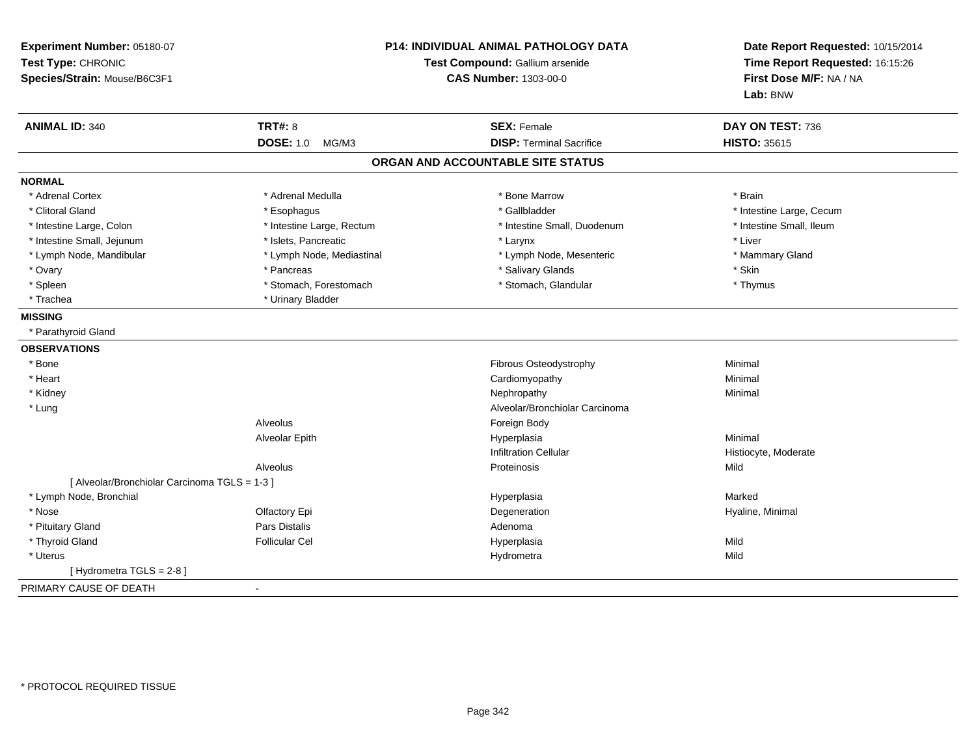| Experiment Number: 05180-07<br>Test Type: CHRONIC<br>Species/Strain: Mouse/B6C3F1 | <b>P14: INDIVIDUAL ANIMAL PATHOLOGY DATA</b><br>Test Compound: Gallium arsenide<br><b>CAS Number: 1303-00-0</b> |                                   | Date Report Requested: 10/15/2014<br>Time Report Requested: 16:15:26<br>First Dose M/F: NA / NA<br>Lab: BNW |  |
|-----------------------------------------------------------------------------------|-----------------------------------------------------------------------------------------------------------------|-----------------------------------|-------------------------------------------------------------------------------------------------------------|--|
| <b>ANIMAL ID: 340</b>                                                             | <b>TRT#: 8</b>                                                                                                  | <b>SEX: Female</b>                | DAY ON TEST: 736                                                                                            |  |
|                                                                                   | <b>DOSE: 1.0</b><br>MG/M3                                                                                       | <b>DISP: Terminal Sacrifice</b>   | <b>HISTO: 35615</b>                                                                                         |  |
|                                                                                   |                                                                                                                 | ORGAN AND ACCOUNTABLE SITE STATUS |                                                                                                             |  |
| <b>NORMAL</b>                                                                     |                                                                                                                 |                                   |                                                                                                             |  |
| * Adrenal Cortex                                                                  | * Adrenal Medulla                                                                                               | * Bone Marrow                     | * Brain                                                                                                     |  |
| * Clitoral Gland                                                                  | * Esophagus                                                                                                     | * Gallbladder                     | * Intestine Large, Cecum                                                                                    |  |
| * Intestine Large, Colon                                                          | * Intestine Large, Rectum                                                                                       | * Intestine Small, Duodenum       | * Intestine Small, Ileum                                                                                    |  |
| * Intestine Small, Jejunum                                                        | * Islets, Pancreatic                                                                                            | * Larynx                          | * Liver                                                                                                     |  |
| * Lymph Node, Mandibular                                                          | * Lymph Node, Mediastinal                                                                                       | * Lymph Node, Mesenteric          | * Mammary Gland                                                                                             |  |
| * Ovary                                                                           | * Pancreas                                                                                                      | * Salivary Glands                 | * Skin                                                                                                      |  |
| * Spleen                                                                          | * Stomach, Forestomach                                                                                          | * Stomach, Glandular              | * Thymus                                                                                                    |  |
| * Trachea                                                                         | * Urinary Bladder                                                                                               |                                   |                                                                                                             |  |
| <b>MISSING</b>                                                                    |                                                                                                                 |                                   |                                                                                                             |  |
| * Parathyroid Gland                                                               |                                                                                                                 |                                   |                                                                                                             |  |
| <b>OBSERVATIONS</b>                                                               |                                                                                                                 |                                   |                                                                                                             |  |
| * Bone                                                                            |                                                                                                                 | Fibrous Osteodystrophy            | Minimal                                                                                                     |  |
| * Heart                                                                           |                                                                                                                 | Cardiomyopathy                    | Minimal                                                                                                     |  |
| * Kidney                                                                          |                                                                                                                 | Nephropathy                       | Minimal                                                                                                     |  |
| * Lung                                                                            |                                                                                                                 | Alveolar/Bronchiolar Carcinoma    |                                                                                                             |  |
|                                                                                   | Alveolus                                                                                                        | Foreign Body                      |                                                                                                             |  |
|                                                                                   | Alveolar Epith                                                                                                  | Hyperplasia                       | Minimal                                                                                                     |  |
|                                                                                   |                                                                                                                 | <b>Infiltration Cellular</b>      | Histiocyte, Moderate                                                                                        |  |
|                                                                                   | Alveolus                                                                                                        | Proteinosis                       | Mild                                                                                                        |  |
| [ Alveolar/Bronchiolar Carcinoma TGLS = 1-3 ]                                     |                                                                                                                 |                                   |                                                                                                             |  |
| * Lymph Node, Bronchial                                                           |                                                                                                                 | Hyperplasia                       | Marked                                                                                                      |  |
| * Nose                                                                            | Olfactory Epi                                                                                                   | Degeneration                      | Hyaline, Minimal                                                                                            |  |
| * Pituitary Gland                                                                 | Pars Distalis                                                                                                   | Adenoma                           |                                                                                                             |  |
| * Thyroid Gland                                                                   | <b>Follicular Cel</b>                                                                                           | Hyperplasia                       | Mild                                                                                                        |  |
| * Uterus                                                                          |                                                                                                                 | Hydrometra                        | Mild                                                                                                        |  |
| [Hydrometra TGLS = $2-8$ ]                                                        |                                                                                                                 |                                   |                                                                                                             |  |
| PRIMARY CAUSE OF DEATH                                                            | $\mathbf{r}$                                                                                                    |                                   |                                                                                                             |  |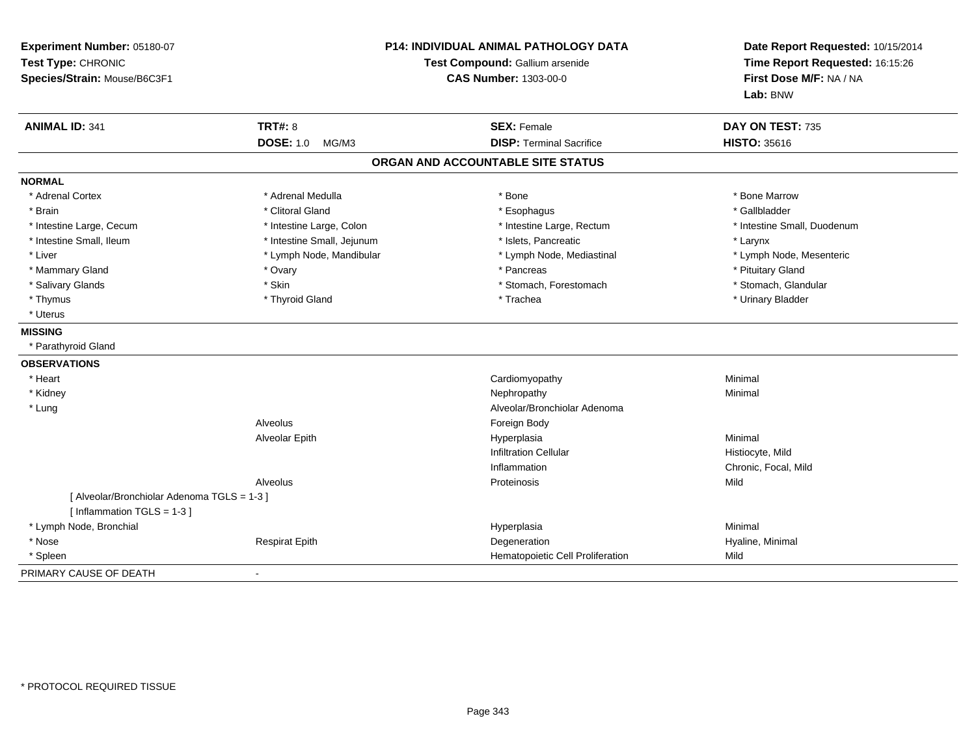| Experiment Number: 05180-07<br>Test Type: CHRONIC<br>Species/Strain: Mouse/B6C3F1 | P14: INDIVIDUAL ANIMAL PATHOLOGY DATA<br>Test Compound: Gallium arsenide<br><b>CAS Number: 1303-00-0</b> |                                   | Date Report Requested: 10/15/2014<br>Time Report Requested: 16:15:26<br>First Dose M/F: NA / NA<br>Lab: BNW |  |
|-----------------------------------------------------------------------------------|----------------------------------------------------------------------------------------------------------|-----------------------------------|-------------------------------------------------------------------------------------------------------------|--|
| <b>ANIMAL ID: 341</b>                                                             | <b>TRT#: 8</b>                                                                                           | <b>SEX: Female</b>                | DAY ON TEST: 735                                                                                            |  |
|                                                                                   | <b>DOSE: 1.0</b><br>MG/M3                                                                                | <b>DISP: Terminal Sacrifice</b>   | <b>HISTO: 35616</b>                                                                                         |  |
|                                                                                   |                                                                                                          | ORGAN AND ACCOUNTABLE SITE STATUS |                                                                                                             |  |
| <b>NORMAL</b>                                                                     |                                                                                                          |                                   |                                                                                                             |  |
| * Adrenal Cortex                                                                  | * Adrenal Medulla                                                                                        | * Bone                            | * Bone Marrow                                                                                               |  |
| * Brain                                                                           | * Clitoral Gland                                                                                         | * Esophagus                       | * Gallbladder                                                                                               |  |
| * Intestine Large, Cecum                                                          | * Intestine Large, Colon                                                                                 | * Intestine Large, Rectum         | * Intestine Small, Duodenum                                                                                 |  |
| * Intestine Small, Ileum                                                          | * Intestine Small, Jejunum                                                                               | * Islets, Pancreatic              | * Larynx                                                                                                    |  |
| * Liver                                                                           | * Lymph Node, Mandibular                                                                                 | * Lymph Node, Mediastinal         | * Lymph Node, Mesenteric                                                                                    |  |
| * Mammary Gland                                                                   | * Ovary                                                                                                  | * Pancreas                        | * Pituitary Gland                                                                                           |  |
| * Salivary Glands                                                                 | * Skin                                                                                                   | * Stomach, Forestomach            | * Stomach, Glandular                                                                                        |  |
| * Thymus                                                                          | * Thyroid Gland                                                                                          | * Trachea                         | * Urinary Bladder                                                                                           |  |
| * Uterus                                                                          |                                                                                                          |                                   |                                                                                                             |  |
| <b>MISSING</b>                                                                    |                                                                                                          |                                   |                                                                                                             |  |
| * Parathyroid Gland                                                               |                                                                                                          |                                   |                                                                                                             |  |
| <b>OBSERVATIONS</b>                                                               |                                                                                                          |                                   |                                                                                                             |  |
| * Heart                                                                           |                                                                                                          | Cardiomyopathy                    | Minimal                                                                                                     |  |
| * Kidney                                                                          |                                                                                                          | Nephropathy                       | Minimal                                                                                                     |  |
| * Lung                                                                            |                                                                                                          | Alveolar/Bronchiolar Adenoma      |                                                                                                             |  |
|                                                                                   | Alveolus                                                                                                 | Foreign Body                      |                                                                                                             |  |
|                                                                                   | Alveolar Epith                                                                                           | Hyperplasia                       | Minimal                                                                                                     |  |
|                                                                                   |                                                                                                          | <b>Infiltration Cellular</b>      | Histiocyte, Mild                                                                                            |  |
|                                                                                   |                                                                                                          | Inflammation                      | Chronic, Focal, Mild                                                                                        |  |
|                                                                                   | Alveolus                                                                                                 | Proteinosis                       | Mild                                                                                                        |  |
| [ Alveolar/Bronchiolar Adenoma TGLS = 1-3 ]<br>[Inflammation TGLS = $1-3$ ]       |                                                                                                          |                                   |                                                                                                             |  |
| * Lymph Node, Bronchial                                                           |                                                                                                          | Hyperplasia                       | Minimal                                                                                                     |  |
| * Nose                                                                            | <b>Respirat Epith</b>                                                                                    | Degeneration                      | Hyaline, Minimal                                                                                            |  |
| * Spleen                                                                          |                                                                                                          | Hematopoietic Cell Proliferation  | Mild                                                                                                        |  |
| PRIMARY CAUSE OF DEATH                                                            |                                                                                                          |                                   |                                                                                                             |  |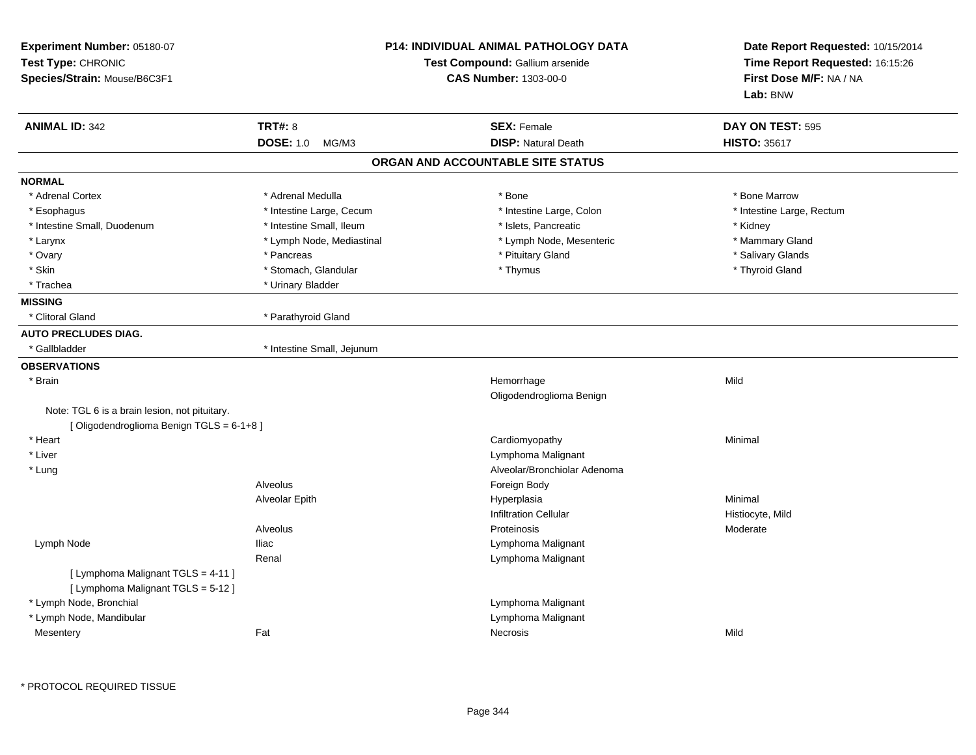| Experiment Number: 05180-07<br>Test Type: CHRONIC<br>Species/Strain: Mouse/B6C3F1 |                            | <b>P14: INDIVIDUAL ANIMAL PATHOLOGY DATA</b><br>Test Compound: Gallium arsenide<br><b>CAS Number: 1303-00-0</b> | Date Report Requested: 10/15/2014<br>Time Report Requested: 16:15:26<br>First Dose M/F: NA / NA<br>Lab: BNW |
|-----------------------------------------------------------------------------------|----------------------------|-----------------------------------------------------------------------------------------------------------------|-------------------------------------------------------------------------------------------------------------|
| <b>ANIMAL ID: 342</b>                                                             | <b>TRT#: 8</b>             | <b>SEX: Female</b>                                                                                              | DAY ON TEST: 595                                                                                            |
|                                                                                   | <b>DOSE: 1.0</b><br>MG/M3  | <b>DISP: Natural Death</b>                                                                                      | <b>HISTO: 35617</b>                                                                                         |
|                                                                                   |                            | ORGAN AND ACCOUNTABLE SITE STATUS                                                                               |                                                                                                             |
| <b>NORMAL</b>                                                                     |                            |                                                                                                                 |                                                                                                             |
| * Adrenal Cortex                                                                  | * Adrenal Medulla          | * Bone                                                                                                          | * Bone Marrow                                                                                               |
| * Esophagus                                                                       | * Intestine Large, Cecum   | * Intestine Large, Colon                                                                                        | * Intestine Large, Rectum                                                                                   |
| * Intestine Small, Duodenum                                                       | * Intestine Small, Ileum   | * Islets, Pancreatic                                                                                            | * Kidney                                                                                                    |
| * Larynx                                                                          | * Lymph Node, Mediastinal  | * Lymph Node, Mesenteric                                                                                        | * Mammary Gland                                                                                             |
| * Ovary                                                                           | * Pancreas                 | * Pituitary Gland                                                                                               | * Salivary Glands                                                                                           |
| * Skin                                                                            | * Stomach, Glandular       | * Thymus                                                                                                        | * Thyroid Gland                                                                                             |
| * Trachea                                                                         | * Urinary Bladder          |                                                                                                                 |                                                                                                             |
| <b>MISSING</b>                                                                    |                            |                                                                                                                 |                                                                                                             |
| * Clitoral Gland                                                                  | * Parathyroid Gland        |                                                                                                                 |                                                                                                             |
| <b>AUTO PRECLUDES DIAG.</b>                                                       |                            |                                                                                                                 |                                                                                                             |
| * Gallbladder                                                                     | * Intestine Small, Jejunum |                                                                                                                 |                                                                                                             |
| <b>OBSERVATIONS</b>                                                               |                            |                                                                                                                 |                                                                                                             |
| $*$ Brain                                                                         |                            | Hemorrhage                                                                                                      | Mild                                                                                                        |
|                                                                                   |                            | Oligodendroglioma Benign                                                                                        |                                                                                                             |
| Note: TGL 6 is a brain lesion, not pituitary.                                     |                            |                                                                                                                 |                                                                                                             |
| [Oligodendroglioma Benign TGLS = 6-1+8]                                           |                            |                                                                                                                 |                                                                                                             |
| * Heart                                                                           |                            | Cardiomyopathy                                                                                                  | Minimal                                                                                                     |
| * Liver                                                                           |                            | Lymphoma Malignant                                                                                              |                                                                                                             |
| * Lung                                                                            |                            | Alveolar/Bronchiolar Adenoma                                                                                    |                                                                                                             |
|                                                                                   | Alveolus                   | Foreign Body                                                                                                    |                                                                                                             |
|                                                                                   | Alveolar Epith             | Hyperplasia                                                                                                     | Minimal                                                                                                     |
|                                                                                   |                            | <b>Infiltration Cellular</b>                                                                                    | Histiocyte, Mild                                                                                            |
|                                                                                   | Alveolus                   | Proteinosis                                                                                                     | Moderate                                                                                                    |
| Lymph Node                                                                        | <b>Iliac</b>               | Lymphoma Malignant                                                                                              |                                                                                                             |
|                                                                                   | Renal                      | Lymphoma Malignant                                                                                              |                                                                                                             |
| [ Lymphoma Malignant TGLS = 4-11 ]                                                |                            |                                                                                                                 |                                                                                                             |
| [ Lymphoma Malignant TGLS = 5-12 ]                                                |                            |                                                                                                                 |                                                                                                             |
| * Lymph Node, Bronchial                                                           |                            | Lymphoma Malignant                                                                                              |                                                                                                             |
| * Lymph Node, Mandibular                                                          |                            | Lymphoma Malignant                                                                                              |                                                                                                             |
| Mesentery                                                                         | Fat                        | Necrosis                                                                                                        | Mild                                                                                                        |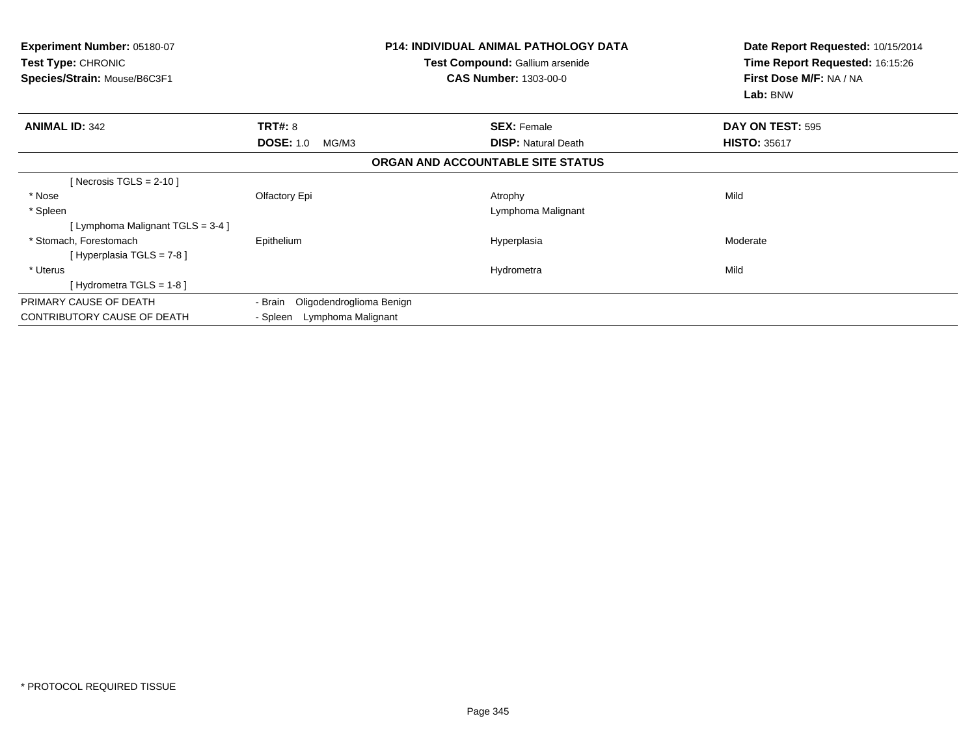| <b>P14: INDIVIDUAL ANIMAL PATHOLOGY DATA</b><br><b>Experiment Number: 05180-07</b><br><b>Test Type: CHRONIC</b><br><b>Test Compound: Gallium arsenide</b><br>Species/Strain: Mouse/B6C3F1<br><b>CAS Number: 1303-00-0</b> |                                     |                                   | Date Report Requested: 10/15/2014<br>Time Report Requested: 16:15:26<br>First Dose M/F: NA / NA<br>Lab: BNW |
|---------------------------------------------------------------------------------------------------------------------------------------------------------------------------------------------------------------------------|-------------------------------------|-----------------------------------|-------------------------------------------------------------------------------------------------------------|
| <b>ANIMAL ID: 342</b>                                                                                                                                                                                                     | <b>TRT#: 8</b>                      | <b>SEX: Female</b>                | DAY ON TEST: 595                                                                                            |
|                                                                                                                                                                                                                           | <b>DOSE: 1.0</b><br>MG/M3           | <b>DISP: Natural Death</b>        | <b>HISTO: 35617</b>                                                                                         |
|                                                                                                                                                                                                                           |                                     | ORGAN AND ACCOUNTABLE SITE STATUS |                                                                                                             |
| [Necrosis TGLS = $2-10$ ]                                                                                                                                                                                                 |                                     |                                   |                                                                                                             |
| * Nose                                                                                                                                                                                                                    | Olfactory Epi                       | Atrophy                           | Mild                                                                                                        |
| * Spleen                                                                                                                                                                                                                  |                                     | Lymphoma Malignant                |                                                                                                             |
| [Lymphoma Malignant TGLS = 3-4 ]                                                                                                                                                                                          |                                     |                                   |                                                                                                             |
| * Stomach, Forestomach                                                                                                                                                                                                    | Epithelium                          | Hyperplasia                       | Moderate                                                                                                    |
| [ Hyperplasia TGLS = 7-8 ]                                                                                                                                                                                                |                                     |                                   |                                                                                                             |
| * Uterus                                                                                                                                                                                                                  |                                     | Hydrometra                        | Mild                                                                                                        |
| [Hydrometra TGLS = $1-8$ ]                                                                                                                                                                                                |                                     |                                   |                                                                                                             |
| PRIMARY CAUSE OF DEATH                                                                                                                                                                                                    | Oligodendroglioma Benign<br>- Brain |                                   |                                                                                                             |
| <b>CONTRIBUTORY CAUSE OF DEATH</b>                                                                                                                                                                                        | - Spleen Lymphoma Malignant         |                                   |                                                                                                             |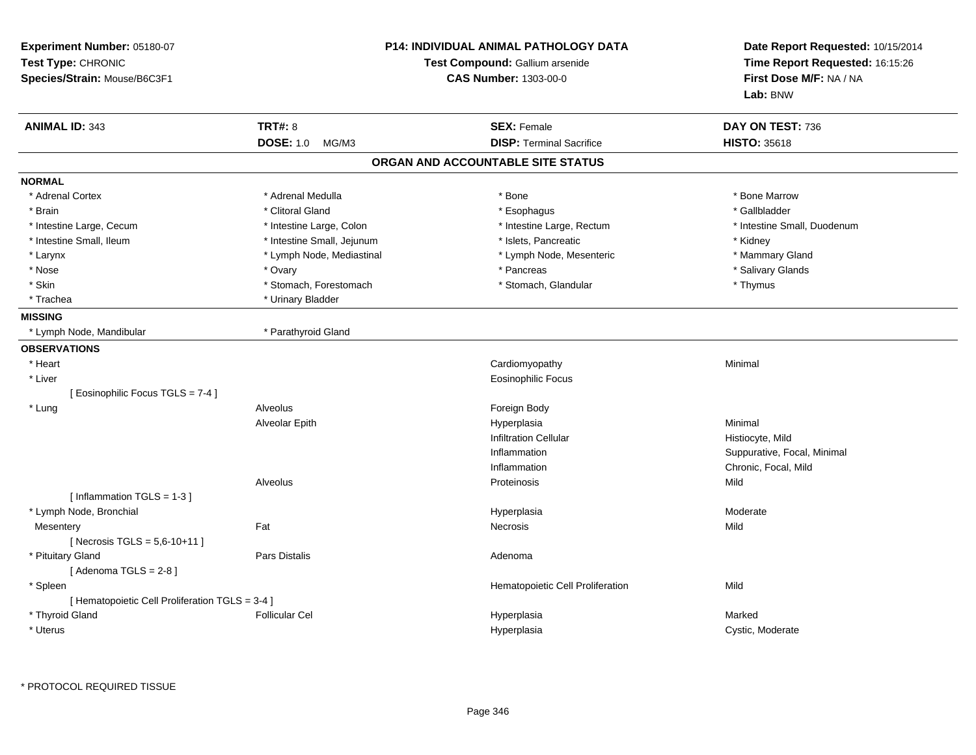| Experiment Number: 05180-07<br>Test Type: CHRONIC<br>Species/Strain: Mouse/B6C3F1 | <b>P14: INDIVIDUAL ANIMAL PATHOLOGY DATA</b><br>Test Compound: Gallium arsenide<br><b>CAS Number: 1303-00-0</b> | Date Report Requested: 10/15/2014<br>Time Report Requested: 16:15:26<br>First Dose M/F: NA / NA<br>Lab: BNW |
|-----------------------------------------------------------------------------------|-----------------------------------------------------------------------------------------------------------------|-------------------------------------------------------------------------------------------------------------|
| <b>ANIMAL ID: 343</b><br><b>TRT#: 8</b>                                           | <b>SEX: Female</b>                                                                                              | DAY ON TEST: 736                                                                                            |
| <b>DOSE: 1.0</b><br>MG/M3                                                         | <b>DISP: Terminal Sacrifice</b>                                                                                 | <b>HISTO: 35618</b>                                                                                         |
|                                                                                   | ORGAN AND ACCOUNTABLE SITE STATUS                                                                               |                                                                                                             |
| <b>NORMAL</b>                                                                     |                                                                                                                 |                                                                                                             |
| * Adrenal Cortex<br>* Adrenal Medulla                                             | * Bone                                                                                                          | * Bone Marrow                                                                                               |
| * Clitoral Gland<br>* Brain                                                       | * Esophagus                                                                                                     | * Gallbladder                                                                                               |
| * Intestine Large, Cecum<br>* Intestine Large, Colon                              | * Intestine Large, Rectum                                                                                       | * Intestine Small, Duodenum                                                                                 |
| * Intestine Small, Ileum<br>* Intestine Small, Jejunum                            | * Islets, Pancreatic                                                                                            | * Kidney                                                                                                    |
| * Larynx<br>* Lymph Node, Mediastinal                                             | * Lymph Node, Mesenteric                                                                                        | * Mammary Gland                                                                                             |
| * Nose<br>* Ovary                                                                 | * Pancreas                                                                                                      | * Salivary Glands                                                                                           |
| * Skin<br>* Stomach, Forestomach                                                  | * Stomach, Glandular                                                                                            | * Thymus                                                                                                    |
| * Urinary Bladder<br>* Trachea                                                    |                                                                                                                 |                                                                                                             |
| <b>MISSING</b>                                                                    |                                                                                                                 |                                                                                                             |
| * Parathyroid Gland<br>* Lymph Node, Mandibular                                   |                                                                                                                 |                                                                                                             |
| <b>OBSERVATIONS</b>                                                               |                                                                                                                 |                                                                                                             |
| * Heart                                                                           | Cardiomyopathy                                                                                                  | Minimal                                                                                                     |
| * Liver                                                                           | <b>Eosinophilic Focus</b>                                                                                       |                                                                                                             |
| [ Eosinophilic Focus TGLS = 7-4 ]                                                 |                                                                                                                 |                                                                                                             |
| * Lung<br>Alveolus                                                                | Foreign Body                                                                                                    |                                                                                                             |
| Alveolar Epith                                                                    | Hyperplasia                                                                                                     | Minimal                                                                                                     |
|                                                                                   | <b>Infiltration Cellular</b>                                                                                    | Histiocyte, Mild                                                                                            |
|                                                                                   | Inflammation                                                                                                    | Suppurative, Focal, Minimal                                                                                 |
|                                                                                   | Inflammation                                                                                                    | Chronic, Focal, Mild                                                                                        |
| <b>Alveolus</b>                                                                   | Proteinosis                                                                                                     | Mild                                                                                                        |
| [Inflammation TGLS = $1-3$ ]                                                      |                                                                                                                 |                                                                                                             |
| * Lymph Node, Bronchial                                                           | Hyperplasia                                                                                                     | Moderate                                                                                                    |
| Fat<br>Mesentery                                                                  | Necrosis                                                                                                        | Mild                                                                                                        |
| [Necrosis TGLS = $5,6-10+11$ ]                                                    |                                                                                                                 |                                                                                                             |
| * Pituitary Gland<br>Pars Distalis                                                | Adenoma                                                                                                         |                                                                                                             |
| [Adenoma TGLS = $2-8$ ]                                                           |                                                                                                                 |                                                                                                             |
| * Spleen                                                                          | Hematopoietic Cell Proliferation                                                                                | Mild                                                                                                        |
| [ Hematopoietic Cell Proliferation TGLS = 3-4 ]                                   |                                                                                                                 |                                                                                                             |
| * Thyroid Gland<br><b>Follicular Cel</b>                                          | Hyperplasia                                                                                                     | Marked                                                                                                      |
| * Uterus                                                                          | Hyperplasia                                                                                                     | Cystic, Moderate                                                                                            |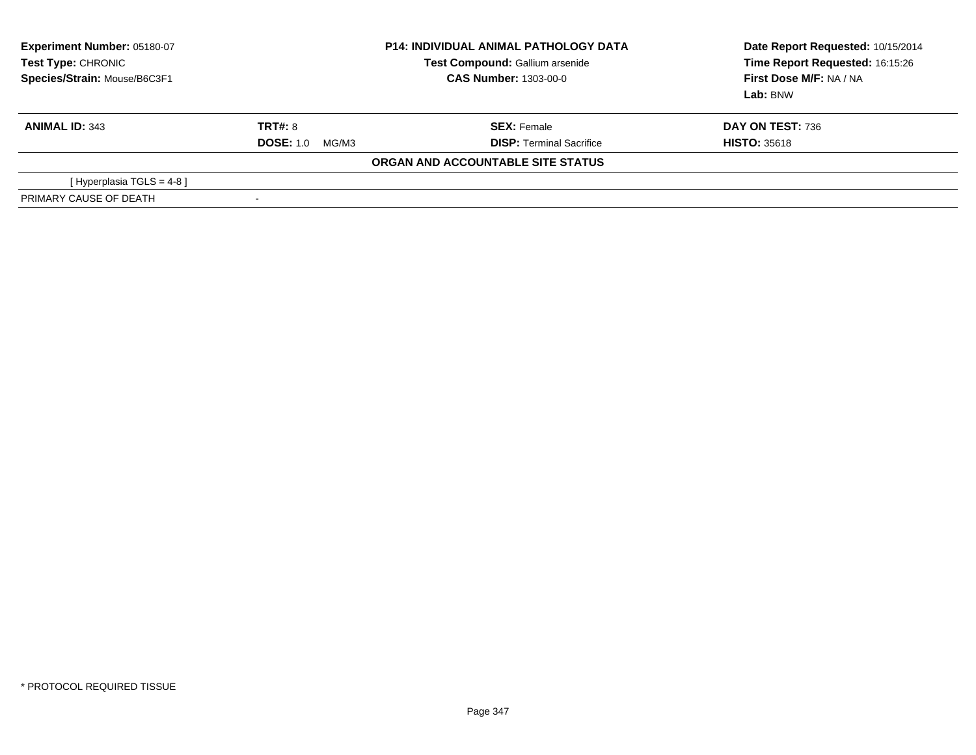| Experiment Number: 05180-07<br><b>Test Type: CHRONIC</b><br>Species/Strain: Mouse/B6C3F1 | <b>P14: INDIVIDUAL ANIMAL PATHOLOGY DATA</b><br><b>Test Compound: Gallium arsenide</b><br><b>CAS Number: 1303-00-0</b> |                                   | Date Report Requested: 10/15/2014<br>Time Report Requested: 16:15:26<br>First Dose M/F: NA / NA<br>Lab: BNW |  |
|------------------------------------------------------------------------------------------|------------------------------------------------------------------------------------------------------------------------|-----------------------------------|-------------------------------------------------------------------------------------------------------------|--|
| <b>ANIMAL ID: 343</b>                                                                    | <b>TRT#: 8</b>                                                                                                         | <b>SEX: Female</b>                | DAY ON TEST: 736                                                                                            |  |
|                                                                                          | <b>DOSE: 1.0</b><br>MG/M3                                                                                              | <b>DISP: Terminal Sacrifice</b>   | <b>HISTO: 35618</b>                                                                                         |  |
|                                                                                          |                                                                                                                        | ORGAN AND ACCOUNTABLE SITE STATUS |                                                                                                             |  |
| [ Hyperplasia TGLS = 4-8 ]                                                               |                                                                                                                        |                                   |                                                                                                             |  |
| PRIMARY CAUSE OF DEATH                                                                   | $\overline{\phantom{a}}$                                                                                               |                                   |                                                                                                             |  |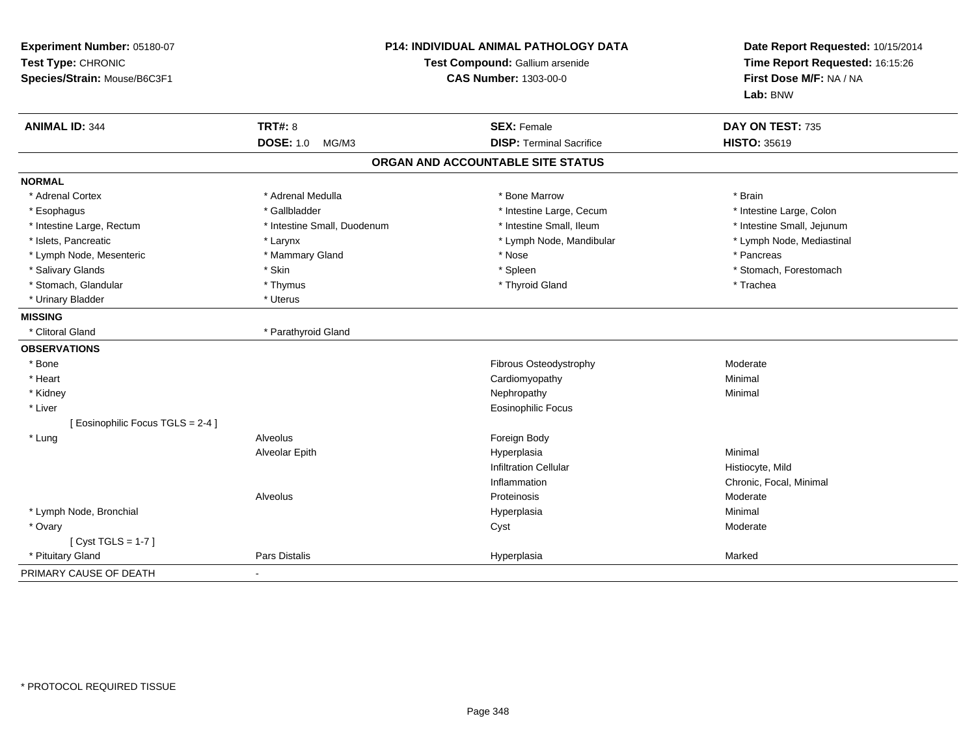| Experiment Number: 05180-07<br>Test Type: CHRONIC<br>Species/Strain: Mouse/B6C3F1 |                             | P14: INDIVIDUAL ANIMAL PATHOLOGY DATA<br>Test Compound: Gallium arsenide<br><b>CAS Number: 1303-00-0</b> | Date Report Requested: 10/15/2014<br>Time Report Requested: 16:15:26<br>First Dose M/F: NA / NA<br>Lab: BNW |
|-----------------------------------------------------------------------------------|-----------------------------|----------------------------------------------------------------------------------------------------------|-------------------------------------------------------------------------------------------------------------|
| <b>ANIMAL ID: 344</b>                                                             | <b>TRT#: 8</b>              | <b>SEX: Female</b>                                                                                       | DAY ON TEST: 735                                                                                            |
|                                                                                   | <b>DOSE: 1.0</b><br>MG/M3   | <b>DISP: Terminal Sacrifice</b>                                                                          | <b>HISTO: 35619</b>                                                                                         |
|                                                                                   |                             | ORGAN AND ACCOUNTABLE SITE STATUS                                                                        |                                                                                                             |
| <b>NORMAL</b>                                                                     |                             |                                                                                                          |                                                                                                             |
| * Adrenal Cortex                                                                  | * Adrenal Medulla           | * Bone Marrow                                                                                            | * Brain                                                                                                     |
| * Esophagus                                                                       | * Gallbladder               | * Intestine Large, Cecum                                                                                 | * Intestine Large, Colon                                                                                    |
| * Intestine Large, Rectum                                                         | * Intestine Small, Duodenum | * Intestine Small, Ileum                                                                                 | * Intestine Small, Jejunum                                                                                  |
| * Islets, Pancreatic                                                              | * Larynx                    | * Lymph Node, Mandibular                                                                                 | * Lymph Node, Mediastinal                                                                                   |
| * Lymph Node, Mesenteric                                                          | * Mammary Gland             | * Nose                                                                                                   | * Pancreas                                                                                                  |
| * Salivary Glands                                                                 | * Skin                      | * Spleen                                                                                                 | * Stomach, Forestomach                                                                                      |
| * Stomach, Glandular                                                              | * Thymus                    | * Thyroid Gland                                                                                          | * Trachea                                                                                                   |
| * Urinary Bladder                                                                 | * Uterus                    |                                                                                                          |                                                                                                             |
| <b>MISSING</b>                                                                    |                             |                                                                                                          |                                                                                                             |
| * Clitoral Gland                                                                  | * Parathyroid Gland         |                                                                                                          |                                                                                                             |
| <b>OBSERVATIONS</b>                                                               |                             |                                                                                                          |                                                                                                             |
| * Bone                                                                            |                             | Fibrous Osteodystrophy                                                                                   | Moderate                                                                                                    |
| * Heart                                                                           |                             | Cardiomyopathy                                                                                           | Minimal                                                                                                     |
| * Kidney                                                                          |                             | Nephropathy                                                                                              | Minimal                                                                                                     |
| * Liver                                                                           |                             | Eosinophilic Focus                                                                                       |                                                                                                             |
| [ Eosinophilic Focus TGLS = 2-4 ]                                                 |                             |                                                                                                          |                                                                                                             |
| * Lung                                                                            | Alveolus                    | Foreign Body                                                                                             |                                                                                                             |
|                                                                                   | Alveolar Epith              | Hyperplasia                                                                                              | Minimal                                                                                                     |
|                                                                                   |                             | <b>Infiltration Cellular</b>                                                                             | Histiocyte, Mild                                                                                            |
|                                                                                   |                             | Inflammation                                                                                             | Chronic, Focal, Minimal                                                                                     |
|                                                                                   | Alveolus                    | Proteinosis                                                                                              | Moderate                                                                                                    |
| * Lymph Node, Bronchial                                                           |                             | Hyperplasia                                                                                              | Minimal                                                                                                     |
| * Ovary                                                                           |                             | Cyst                                                                                                     | Moderate                                                                                                    |
| [Cyst TGLS = $1-7$ ]                                                              |                             |                                                                                                          |                                                                                                             |
| * Pituitary Gland                                                                 | Pars Distalis               | Hyperplasia                                                                                              | Marked                                                                                                      |
| PRIMARY CAUSE OF DEATH                                                            |                             |                                                                                                          |                                                                                                             |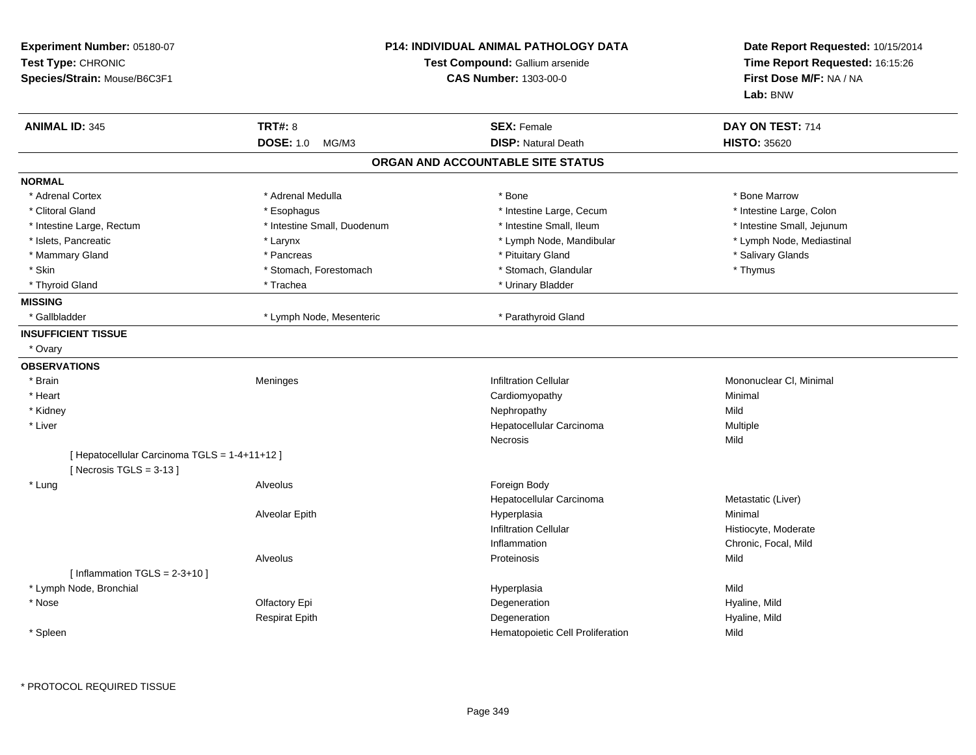| Experiment Number: 05180-07<br>Test Type: CHRONIC<br>Species/Strain: Mouse/B6C3F1 |                             | <b>P14: INDIVIDUAL ANIMAL PATHOLOGY DATA</b><br>Test Compound: Gallium arsenide<br><b>CAS Number: 1303-00-0</b> | Date Report Requested: 10/15/2014<br>Time Report Requested: 16:15:26<br>First Dose M/F: NA / NA<br>Lab: BNW |
|-----------------------------------------------------------------------------------|-----------------------------|-----------------------------------------------------------------------------------------------------------------|-------------------------------------------------------------------------------------------------------------|
| <b>ANIMAL ID: 345</b>                                                             | <b>TRT#: 8</b>              | <b>SEX: Female</b>                                                                                              | DAY ON TEST: 714                                                                                            |
|                                                                                   | <b>DOSE: 1.0</b><br>MG/M3   | <b>DISP: Natural Death</b>                                                                                      | <b>HISTO: 35620</b>                                                                                         |
|                                                                                   |                             | ORGAN AND ACCOUNTABLE SITE STATUS                                                                               |                                                                                                             |
| <b>NORMAL</b>                                                                     |                             |                                                                                                                 |                                                                                                             |
| * Adrenal Cortex                                                                  | * Adrenal Medulla           | * Bone                                                                                                          | * Bone Marrow                                                                                               |
| * Clitoral Gland                                                                  | * Esophagus                 | * Intestine Large, Cecum                                                                                        | * Intestine Large, Colon                                                                                    |
| * Intestine Large, Rectum                                                         | * Intestine Small, Duodenum | * Intestine Small, Ileum                                                                                        | * Intestine Small, Jejunum                                                                                  |
| * Islets, Pancreatic                                                              | * Larynx                    | * Lymph Node, Mandibular                                                                                        | * Lymph Node, Mediastinal                                                                                   |
| * Mammary Gland                                                                   | * Pancreas                  | * Pituitary Gland                                                                                               | * Salivary Glands                                                                                           |
| * Skin                                                                            | * Stomach, Forestomach      | * Stomach, Glandular                                                                                            | * Thymus                                                                                                    |
| * Thyroid Gland                                                                   | * Trachea                   | * Urinary Bladder                                                                                               |                                                                                                             |
| <b>MISSING</b>                                                                    |                             |                                                                                                                 |                                                                                                             |
| * Gallbladder                                                                     | * Lymph Node, Mesenteric    | * Parathyroid Gland                                                                                             |                                                                                                             |
| <b>INSUFFICIENT TISSUE</b>                                                        |                             |                                                                                                                 |                                                                                                             |
| * Ovary                                                                           |                             |                                                                                                                 |                                                                                                             |
| <b>OBSERVATIONS</b>                                                               |                             |                                                                                                                 |                                                                                                             |
| * Brain                                                                           | Meninges                    | <b>Infiltration Cellular</b>                                                                                    | Mononuclear CI, Minimal                                                                                     |
| * Heart                                                                           |                             | Cardiomyopathy                                                                                                  | Minimal                                                                                                     |
| * Kidney                                                                          |                             | Nephropathy                                                                                                     | Mild                                                                                                        |
| * Liver                                                                           |                             | Hepatocellular Carcinoma                                                                                        | Multiple                                                                                                    |
|                                                                                   |                             | <b>Necrosis</b>                                                                                                 | Mild                                                                                                        |
| [ Hepatocellular Carcinoma TGLS = 1-4+11+12 ]<br>[ Necrosis TGLS = $3-13$ ]       |                             |                                                                                                                 |                                                                                                             |
| * Lung                                                                            | Alveolus                    | Foreign Body                                                                                                    |                                                                                                             |
|                                                                                   |                             | Hepatocellular Carcinoma                                                                                        | Metastatic (Liver)                                                                                          |
|                                                                                   | Alveolar Epith              | Hyperplasia                                                                                                     | Minimal                                                                                                     |
|                                                                                   |                             | <b>Infiltration Cellular</b>                                                                                    | Histiocyte, Moderate                                                                                        |
|                                                                                   |                             | Inflammation                                                                                                    | Chronic, Focal, Mild                                                                                        |
|                                                                                   | Alveolus                    | Proteinosis                                                                                                     | Mild                                                                                                        |
| [Inflammation TGLS = $2-3+10$ ]                                                   |                             |                                                                                                                 |                                                                                                             |
| * Lymph Node, Bronchial                                                           |                             | Hyperplasia                                                                                                     | Mild                                                                                                        |
| * Nose                                                                            | Olfactory Epi               | Degeneration                                                                                                    | Hyaline, Mild                                                                                               |
|                                                                                   | <b>Respirat Epith</b>       | Degeneration                                                                                                    | Hyaline, Mild                                                                                               |
| * Spleen                                                                          |                             | Hematopoietic Cell Proliferation                                                                                | Mild                                                                                                        |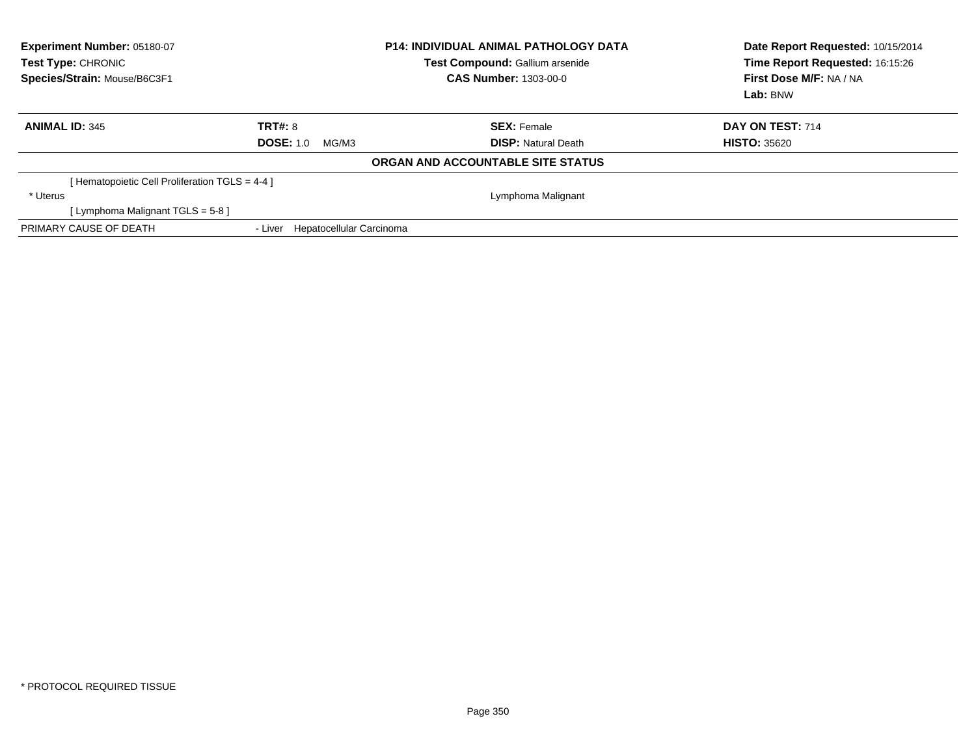| <b>Experiment Number: 05180-07</b><br>Test Type: CHRONIC<br>Species/Strain: Mouse/B6C3F1 |                                     | <b>P14: INDIVIDUAL ANIMAL PATHOLOGY DATA</b><br>Test Compound: Gallium arsenide<br><b>CAS Number: 1303-00-0</b> | Date Report Requested: 10/15/2014<br>Time Report Requested: 16:15:26<br>First Dose M/F: NA / NA<br>Lab: BNW |
|------------------------------------------------------------------------------------------|-------------------------------------|-----------------------------------------------------------------------------------------------------------------|-------------------------------------------------------------------------------------------------------------|
| <b>ANIMAL ID: 345</b>                                                                    | TRT#: 8                             | <b>SEX: Female</b>                                                                                              | DAY ON TEST: 714                                                                                            |
|                                                                                          | <b>DOSE: 1.0</b><br>MG/M3           | <b>DISP:</b> Natural Death                                                                                      | <b>HISTO: 35620</b>                                                                                         |
|                                                                                          |                                     | <b>ORGAN AND ACCOUNTABLE SITE STATUS</b>                                                                        |                                                                                                             |
| [Hematopoietic Cell Proliferation TGLS = 4-4 ]                                           |                                     |                                                                                                                 |                                                                                                             |
| * Uterus                                                                                 |                                     | Lymphoma Malignant                                                                                              |                                                                                                             |
| [ Lymphoma Malignant TGLS = 5-8 ]                                                        |                                     |                                                                                                                 |                                                                                                             |
| PRIMARY CAUSE OF DEATH                                                                   | Hepatocellular Carcinoma<br>- Liver |                                                                                                                 |                                                                                                             |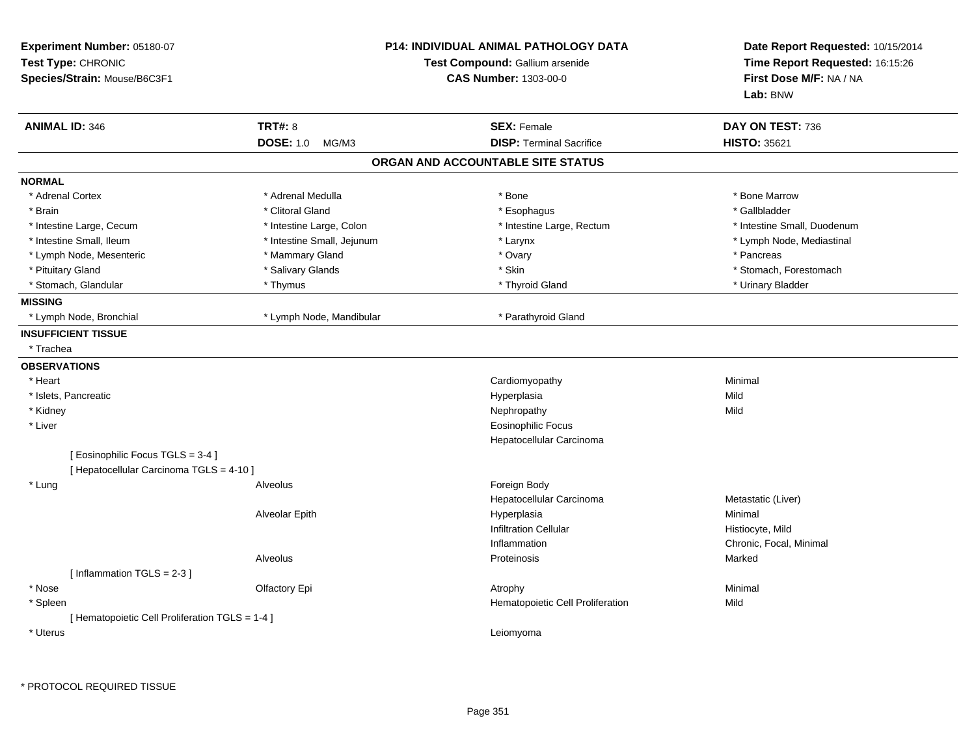| Experiment Number: 05180-07<br>Test Type: CHRONIC<br>Species/Strain: Mouse/B6C3F1 |                            | <b>P14: INDIVIDUAL ANIMAL PATHOLOGY DATA</b><br>Test Compound: Gallium arsenide<br><b>CAS Number: 1303-00-0</b> | Date Report Requested: 10/15/2014<br>Time Report Requested: 16:15:26<br>First Dose M/F: NA / NA<br>Lab: BNW |  |
|-----------------------------------------------------------------------------------|----------------------------|-----------------------------------------------------------------------------------------------------------------|-------------------------------------------------------------------------------------------------------------|--|
| <b>ANIMAL ID: 346</b>                                                             | <b>TRT#: 8</b>             | <b>SEX: Female</b>                                                                                              | DAY ON TEST: 736                                                                                            |  |
|                                                                                   | <b>DOSE: 1.0</b><br>MG/M3  | <b>DISP: Terminal Sacrifice</b><br>ORGAN AND ACCOUNTABLE SITE STATUS                                            | <b>HISTO: 35621</b>                                                                                         |  |
|                                                                                   |                            |                                                                                                                 |                                                                                                             |  |
| <b>NORMAL</b>                                                                     |                            |                                                                                                                 |                                                                                                             |  |
| * Adrenal Cortex                                                                  | * Adrenal Medulla          | * Bone                                                                                                          | * Bone Marrow                                                                                               |  |
| * Brain                                                                           | * Clitoral Gland           | * Esophagus                                                                                                     | * Gallbladder                                                                                               |  |
| * Intestine Large, Cecum                                                          | * Intestine Large, Colon   | * Intestine Large, Rectum                                                                                       | * Intestine Small, Duodenum                                                                                 |  |
| * Intestine Small, Ileum                                                          | * Intestine Small, Jejunum | * Larynx                                                                                                        | * Lymph Node, Mediastinal                                                                                   |  |
| * Lymph Node, Mesenteric                                                          | * Mammary Gland            | * Ovary                                                                                                         | * Pancreas                                                                                                  |  |
| * Pituitary Gland                                                                 | * Salivary Glands          | * Skin                                                                                                          | * Stomach, Forestomach                                                                                      |  |
| * Stomach, Glandular                                                              | * Thymus                   | * Thyroid Gland                                                                                                 | * Urinary Bladder                                                                                           |  |
| <b>MISSING</b>                                                                    |                            |                                                                                                                 |                                                                                                             |  |
| * Lymph Node, Bronchial                                                           | * Lymph Node, Mandibular   | * Parathyroid Gland                                                                                             |                                                                                                             |  |
| <b>INSUFFICIENT TISSUE</b>                                                        |                            |                                                                                                                 |                                                                                                             |  |
| * Trachea                                                                         |                            |                                                                                                                 |                                                                                                             |  |
| <b>OBSERVATIONS</b>                                                               |                            |                                                                                                                 |                                                                                                             |  |
| * Heart                                                                           |                            | Cardiomyopathy                                                                                                  | Minimal                                                                                                     |  |
| * Islets, Pancreatic                                                              |                            | Hyperplasia                                                                                                     | Mild                                                                                                        |  |
| * Kidney                                                                          |                            | Nephropathy                                                                                                     | Mild                                                                                                        |  |
| * Liver                                                                           |                            | <b>Eosinophilic Focus</b>                                                                                       |                                                                                                             |  |
|                                                                                   |                            | Hepatocellular Carcinoma                                                                                        |                                                                                                             |  |
| [Eosinophilic Focus TGLS = 3-4]                                                   |                            |                                                                                                                 |                                                                                                             |  |
| [ Hepatocellular Carcinoma TGLS = 4-10 ]                                          |                            |                                                                                                                 |                                                                                                             |  |
| * Lung                                                                            | Alveolus                   | Foreign Body                                                                                                    |                                                                                                             |  |
|                                                                                   |                            | Hepatocellular Carcinoma                                                                                        | Metastatic (Liver)                                                                                          |  |
|                                                                                   | Alveolar Epith             | Hyperplasia                                                                                                     | Minimal                                                                                                     |  |
|                                                                                   |                            | <b>Infiltration Cellular</b>                                                                                    | Histiocyte, Mild                                                                                            |  |
|                                                                                   |                            | Inflammation                                                                                                    | Chronic, Focal, Minimal                                                                                     |  |
|                                                                                   | Alveolus                   | Proteinosis                                                                                                     | Marked                                                                                                      |  |
| [Inflammation TGLS = 2-3]                                                         |                            |                                                                                                                 |                                                                                                             |  |
| * Nose                                                                            | Olfactory Epi              | Atrophy                                                                                                         | Minimal                                                                                                     |  |
| * Spleen                                                                          |                            | Hematopoietic Cell Proliferation                                                                                | Mild                                                                                                        |  |
| [ Hematopoietic Cell Proliferation TGLS = 1-4 ]                                   |                            |                                                                                                                 |                                                                                                             |  |
| * Uterus                                                                          |                            | Leiomyoma                                                                                                       |                                                                                                             |  |
|                                                                                   |                            |                                                                                                                 |                                                                                                             |  |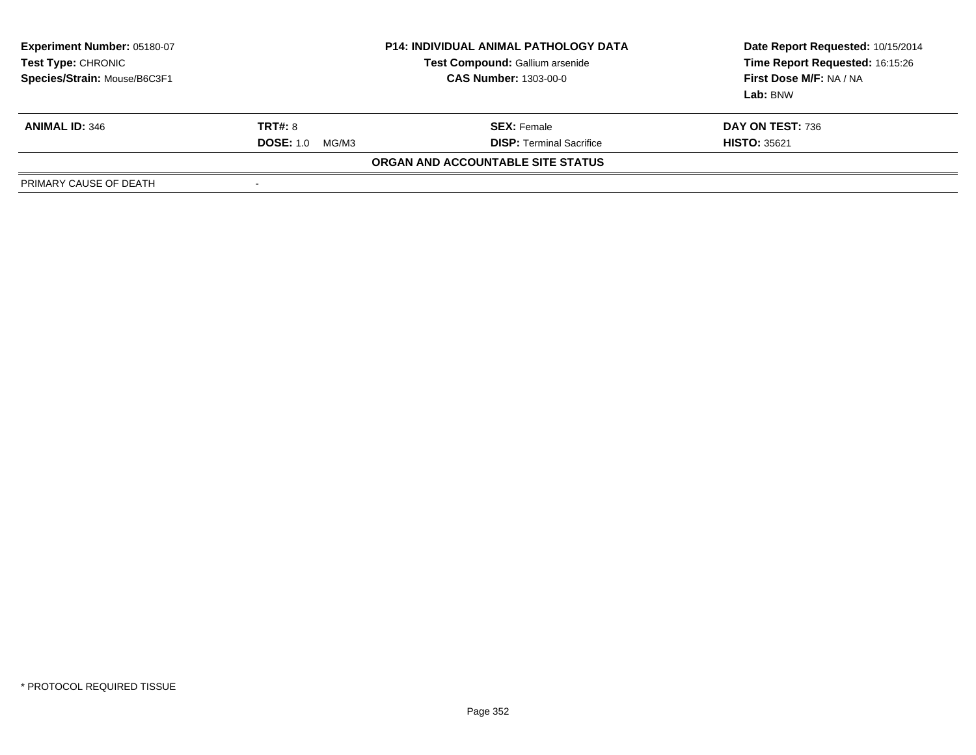| <b>Experiment Number: 05180-07</b><br>Test Type: CHRONIC<br>Species/Strain: Mouse/B6C3F1 | <b>P14: INDIVIDUAL ANIMAL PATHOLOGY DATA</b><br>Test Compound: Gallium arsenide<br><b>CAS Number: 1303-00-0</b> |                                   | Date Report Requested: 10/15/2014<br>Time Report Requested: 16:15:26<br>First Dose M/F: NA / NA<br>Lab: BNW |
|------------------------------------------------------------------------------------------|-----------------------------------------------------------------------------------------------------------------|-----------------------------------|-------------------------------------------------------------------------------------------------------------|
| <b>ANIMAL ID: 346</b>                                                                    | <b>TRT#: 8</b>                                                                                                  | <b>SEX: Female</b>                | DAY ON TEST: 736                                                                                            |
|                                                                                          | <b>DOSE: 1.0</b><br>MG/M3                                                                                       | <b>DISP: Terminal Sacrifice</b>   | <b>HISTO: 35621</b>                                                                                         |
|                                                                                          |                                                                                                                 | ORGAN AND ACCOUNTABLE SITE STATUS |                                                                                                             |
| PRIMARY CAUSE OF DEATH                                                                   | $\,$                                                                                                            |                                   |                                                                                                             |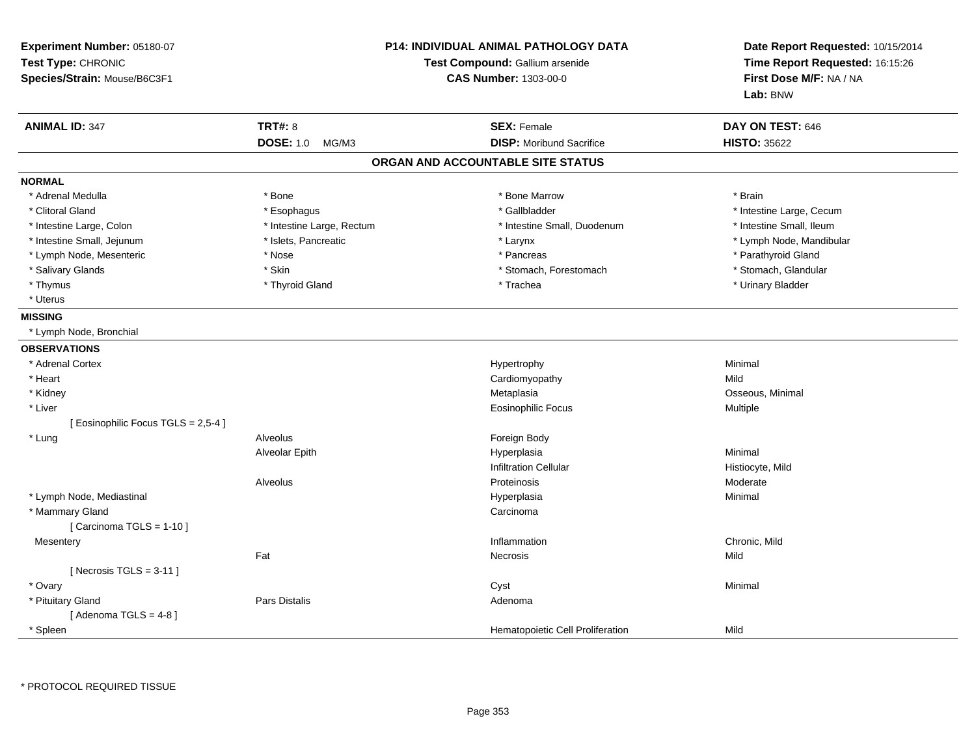| Experiment Number: 05180-07<br>Test Type: CHRONIC<br>Species/Strain: Mouse/B6C3F1 |                           | <b>P14: INDIVIDUAL ANIMAL PATHOLOGY DATA</b><br>Test Compound: Gallium arsenide<br><b>CAS Number: 1303-00-0</b> | Date Report Requested: 10/15/2014<br>Time Report Requested: 16:15:26<br>First Dose M/F: NA / NA<br>Lab: BNW |
|-----------------------------------------------------------------------------------|---------------------------|-----------------------------------------------------------------------------------------------------------------|-------------------------------------------------------------------------------------------------------------|
| <b>ANIMAL ID: 347</b>                                                             | <b>TRT#: 8</b>            | <b>SEX: Female</b>                                                                                              | DAY ON TEST: 646                                                                                            |
|                                                                                   | <b>DOSE: 1.0</b><br>MG/M3 | <b>DISP:</b> Moribund Sacrifice                                                                                 | <b>HISTO: 35622</b>                                                                                         |
|                                                                                   |                           | ORGAN AND ACCOUNTABLE SITE STATUS                                                                               |                                                                                                             |
| <b>NORMAL</b>                                                                     |                           |                                                                                                                 |                                                                                                             |
| * Adrenal Medulla                                                                 | * Bone                    | * Bone Marrow                                                                                                   | * Brain                                                                                                     |
| * Clitoral Gland                                                                  | * Esophagus               | * Gallbladder                                                                                                   | * Intestine Large, Cecum                                                                                    |
| * Intestine Large, Colon                                                          | * Intestine Large, Rectum | * Intestine Small, Duodenum                                                                                     | * Intestine Small, Ileum                                                                                    |
| * Intestine Small, Jejunum                                                        | * Islets, Pancreatic      | * Larynx                                                                                                        | * Lymph Node, Mandibular                                                                                    |
| * Lymph Node, Mesenteric                                                          | * Nose                    | * Pancreas                                                                                                      | * Parathyroid Gland                                                                                         |
| * Salivary Glands                                                                 | * Skin                    | * Stomach, Forestomach                                                                                          | * Stomach, Glandular                                                                                        |
| * Thymus                                                                          | * Thyroid Gland           | * Trachea                                                                                                       | * Urinary Bladder                                                                                           |
| * Uterus                                                                          |                           |                                                                                                                 |                                                                                                             |
| <b>MISSING</b>                                                                    |                           |                                                                                                                 |                                                                                                             |
| * Lymph Node, Bronchial                                                           |                           |                                                                                                                 |                                                                                                             |
| <b>OBSERVATIONS</b>                                                               |                           |                                                                                                                 |                                                                                                             |
| * Adrenal Cortex                                                                  |                           | Hypertrophy                                                                                                     | Minimal                                                                                                     |
| * Heart                                                                           |                           | Cardiomyopathy                                                                                                  | Mild                                                                                                        |
| * Kidney                                                                          |                           | Metaplasia                                                                                                      | Osseous, Minimal                                                                                            |
| * Liver                                                                           |                           | <b>Eosinophilic Focus</b>                                                                                       | Multiple                                                                                                    |
| [ Eosinophilic Focus TGLS = 2,5-4 ]                                               |                           |                                                                                                                 |                                                                                                             |
| * Lung                                                                            | Alveolus                  | Foreign Body                                                                                                    |                                                                                                             |
|                                                                                   | Alveolar Epith            | Hyperplasia                                                                                                     | Minimal                                                                                                     |
|                                                                                   |                           | <b>Infiltration Cellular</b>                                                                                    | Histiocyte, Mild                                                                                            |
|                                                                                   | Alveolus                  | Proteinosis                                                                                                     | Moderate                                                                                                    |
| * Lymph Node, Mediastinal                                                         |                           | Hyperplasia                                                                                                     | Minimal                                                                                                     |
| * Mammary Gland                                                                   |                           | Carcinoma                                                                                                       |                                                                                                             |
| [Carcinoma TGLS = $1-10$ ]                                                        |                           |                                                                                                                 |                                                                                                             |
| Mesentery                                                                         |                           | Inflammation                                                                                                    | Chronic, Mild                                                                                               |
|                                                                                   | Fat                       | Necrosis                                                                                                        | Mild                                                                                                        |
| [Necrosis TGLS = $3-11$ ]                                                         |                           |                                                                                                                 |                                                                                                             |
| * Ovary                                                                           |                           | Cyst                                                                                                            | Minimal                                                                                                     |
| * Pituitary Gland                                                                 | <b>Pars Distalis</b>      | Adenoma                                                                                                         |                                                                                                             |
| [Adenoma TGLS = $4-8$ ]                                                           |                           |                                                                                                                 |                                                                                                             |
| <sup>*</sup> Spleen                                                               |                           | Hematopoietic Cell Proliferation                                                                                | Mild                                                                                                        |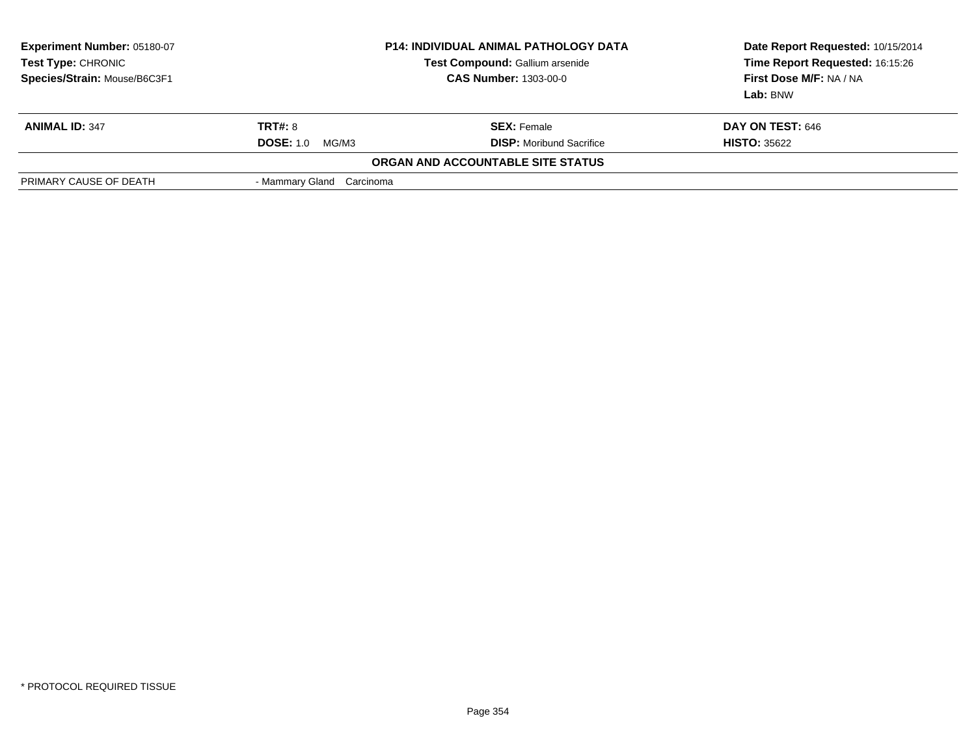| <b>Experiment Number: 05180-07</b><br>Test Type: CHRONIC<br>Species/Strain: Mouse/B6C3F1 | <b>P14: INDIVIDUAL ANIMAL PATHOLOGY DATA</b><br>Test Compound: Gallium arsenide<br><b>CAS Number: 1303-00-0</b> |                                   | Date Report Requested: 10/15/2014<br>Time Report Requested: 16:15:26<br>First Dose M/F: NA / NA<br>Lab: BNW |  |
|------------------------------------------------------------------------------------------|-----------------------------------------------------------------------------------------------------------------|-----------------------------------|-------------------------------------------------------------------------------------------------------------|--|
| <b>ANIMAL ID: 347</b>                                                                    | <b>TRT#:</b> 8                                                                                                  | <b>SEX:</b> Female                | DAY ON TEST: 646                                                                                            |  |
|                                                                                          | <b>DOSE: 1.0</b><br>MG/M3                                                                                       | <b>DISP:</b> Moribund Sacrifice   | <b>HISTO: 35622</b>                                                                                         |  |
|                                                                                          |                                                                                                                 | ORGAN AND ACCOUNTABLE SITE STATUS |                                                                                                             |  |
| PRIMARY CAUSE OF DEATH                                                                   | - Mammary Gland Carcinoma                                                                                       |                                   |                                                                                                             |  |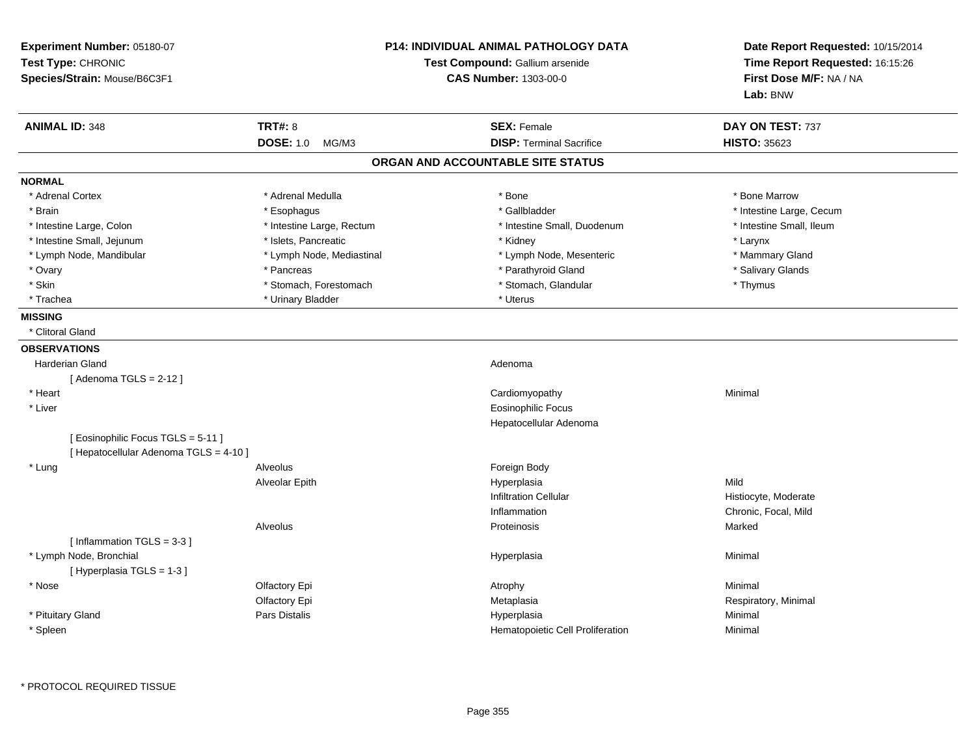| Experiment Number: 05180-07<br>Test Type: CHRONIC<br>Species/Strain: Mouse/B6C3F1 |                           | <b>P14: INDIVIDUAL ANIMAL PATHOLOGY DATA</b><br>Test Compound: Gallium arsenide<br><b>CAS Number: 1303-00-0</b> | Date Report Requested: 10/15/2014<br>Time Report Requested: 16:15:26<br>First Dose M/F: NA / NA<br>Lab: BNW |  |
|-----------------------------------------------------------------------------------|---------------------------|-----------------------------------------------------------------------------------------------------------------|-------------------------------------------------------------------------------------------------------------|--|
| <b>ANIMAL ID: 348</b>                                                             | <b>TRT#: 8</b>            | <b>SEX: Female</b>                                                                                              | DAY ON TEST: 737                                                                                            |  |
|                                                                                   | <b>DOSE: 1.0</b><br>MG/M3 | <b>DISP: Terminal Sacrifice</b>                                                                                 | <b>HISTO: 35623</b>                                                                                         |  |
|                                                                                   |                           | ORGAN AND ACCOUNTABLE SITE STATUS                                                                               |                                                                                                             |  |
| <b>NORMAL</b>                                                                     |                           |                                                                                                                 |                                                                                                             |  |
| * Adrenal Cortex                                                                  | * Adrenal Medulla         | * Bone                                                                                                          | * Bone Marrow                                                                                               |  |
| * Brain                                                                           | * Esophagus               | * Gallbladder                                                                                                   | * Intestine Large, Cecum                                                                                    |  |
| * Intestine Large, Colon                                                          | * Intestine Large, Rectum | * Intestine Small, Duodenum                                                                                     | * Intestine Small, Ileum                                                                                    |  |
| * Intestine Small, Jejunum                                                        | * Islets, Pancreatic      | * Kidney                                                                                                        | * Larynx                                                                                                    |  |
| * Lymph Node, Mandibular                                                          | * Lymph Node, Mediastinal | * Lymph Node, Mesenteric                                                                                        | * Mammary Gland                                                                                             |  |
| * Ovary                                                                           | * Pancreas                | * Parathyroid Gland                                                                                             | * Salivary Glands                                                                                           |  |
| * Skin                                                                            | * Stomach, Forestomach    | * Stomach, Glandular                                                                                            | * Thymus                                                                                                    |  |
| * Trachea                                                                         | * Urinary Bladder         | * Uterus                                                                                                        |                                                                                                             |  |
| <b>MISSING</b>                                                                    |                           |                                                                                                                 |                                                                                                             |  |
| * Clitoral Gland                                                                  |                           |                                                                                                                 |                                                                                                             |  |
| <b>OBSERVATIONS</b>                                                               |                           |                                                                                                                 |                                                                                                             |  |
| <b>Harderian Gland</b>                                                            |                           | Adenoma                                                                                                         |                                                                                                             |  |
| [Adenoma TGLS = $2-12$ ]                                                          |                           |                                                                                                                 |                                                                                                             |  |
| * Heart                                                                           |                           | Cardiomyopathy                                                                                                  | Minimal                                                                                                     |  |
| * Liver                                                                           |                           | <b>Eosinophilic Focus</b>                                                                                       |                                                                                                             |  |
|                                                                                   |                           | Hepatocellular Adenoma                                                                                          |                                                                                                             |  |
| [ Eosinophilic Focus TGLS = 5-11 ]<br>[ Hepatocellular Adenoma TGLS = 4-10 ]      |                           |                                                                                                                 |                                                                                                             |  |
| * Lung                                                                            | Alveolus                  | Foreign Body                                                                                                    |                                                                                                             |  |
|                                                                                   | Alveolar Epith            | Hyperplasia                                                                                                     | Mild                                                                                                        |  |
|                                                                                   |                           | <b>Infiltration Cellular</b>                                                                                    | Histiocyte, Moderate                                                                                        |  |
|                                                                                   |                           | Inflammation                                                                                                    | Chronic, Focal, Mild                                                                                        |  |
|                                                                                   | Alveolus                  | Proteinosis                                                                                                     | Marked                                                                                                      |  |
| [Inflammation TGLS = 3-3]                                                         |                           |                                                                                                                 |                                                                                                             |  |
| * Lymph Node, Bronchial<br>[Hyperplasia TGLS = $1-3$ ]                            |                           | Hyperplasia                                                                                                     | Minimal                                                                                                     |  |
| * Nose                                                                            | Olfactory Epi             | Atrophy                                                                                                         | Minimal                                                                                                     |  |
|                                                                                   | Olfactory Epi             | Metaplasia                                                                                                      | Respiratory, Minimal                                                                                        |  |
| * Pituitary Gland                                                                 | Pars Distalis             | Hyperplasia                                                                                                     | Minimal                                                                                                     |  |
| * Spleen                                                                          |                           | Hematopoietic Cell Proliferation                                                                                | Minimal                                                                                                     |  |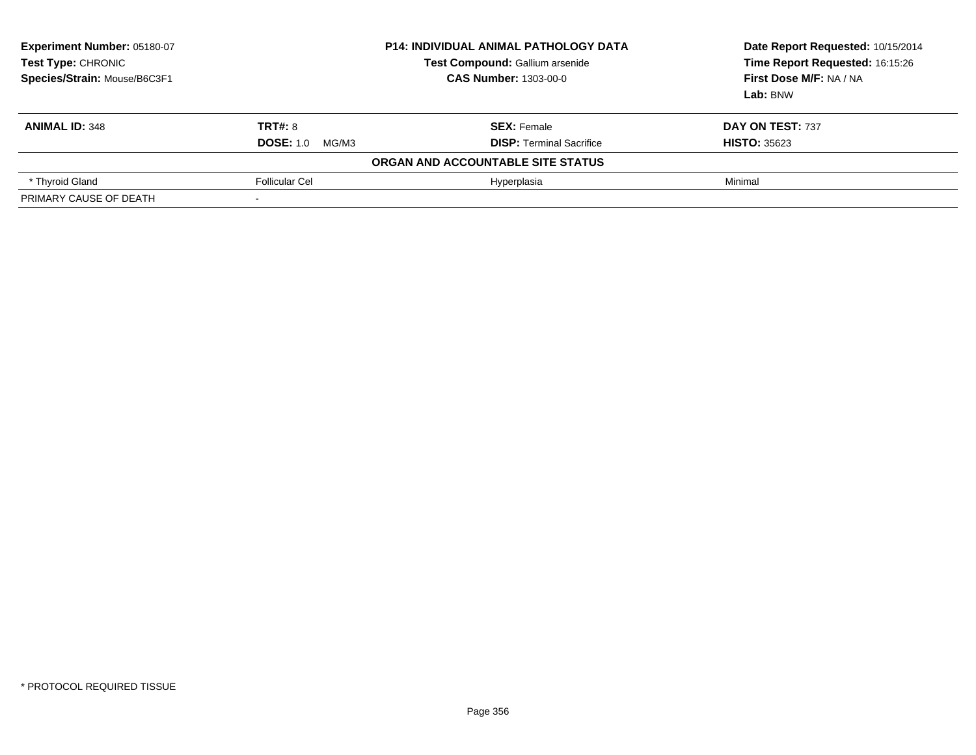| Experiment Number: 05180-07<br>Test Type: CHRONIC<br>Species/Strain: Mouse/B6C3F1 | <b>P14: INDIVIDUAL ANIMAL PATHOLOGY DATA</b><br>Test Compound: Gallium arsenide<br><b>CAS Number: 1303-00-0</b> |                                   | Date Report Requested: 10/15/2014<br>Time Report Requested: 16:15:26<br>First Dose M/F: NA / NA<br>Lab: BNW |
|-----------------------------------------------------------------------------------|-----------------------------------------------------------------------------------------------------------------|-----------------------------------|-------------------------------------------------------------------------------------------------------------|
| <b>ANIMAL ID: 348</b>                                                             | <b>TRT#: 8</b>                                                                                                  | <b>SEX: Female</b>                | DAY ON TEST: 737                                                                                            |
|                                                                                   | <b>DOSE: 1.0</b><br>MG/M3                                                                                       | <b>DISP:</b> Terminal Sacrifice   | <b>HISTO: 35623</b>                                                                                         |
|                                                                                   |                                                                                                                 | ORGAN AND ACCOUNTABLE SITE STATUS |                                                                                                             |
| * Thyroid Gland                                                                   | <b>Follicular Cel</b>                                                                                           | Hyperplasia                       | Minimal                                                                                                     |
| PRIMARY CAUSE OF DEATH                                                            |                                                                                                                 |                                   |                                                                                                             |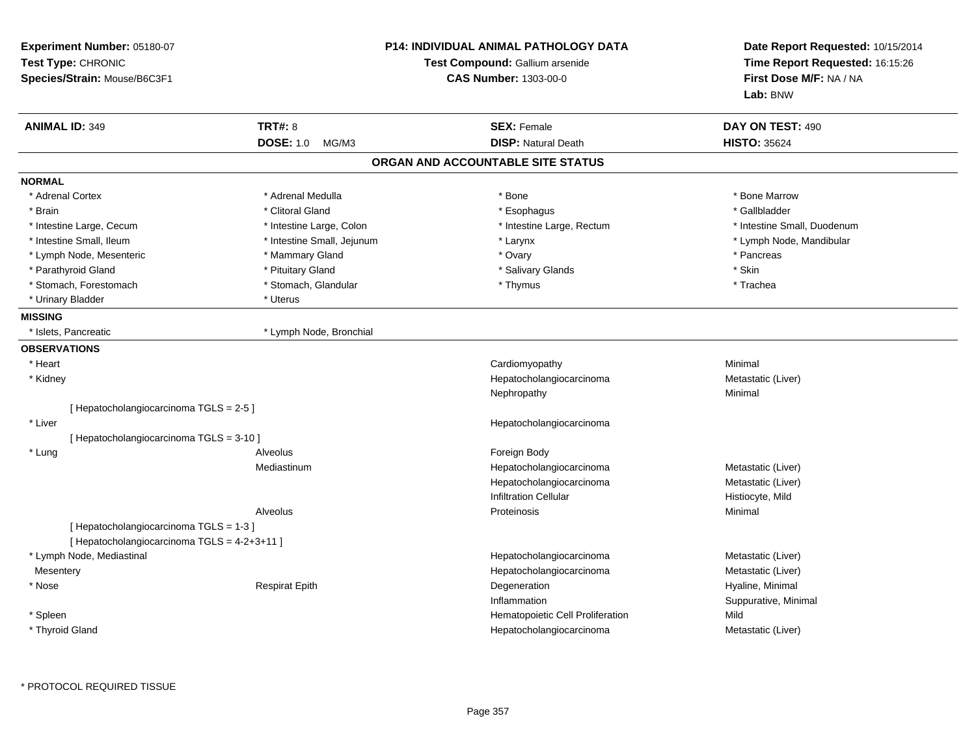| Experiment Number: 05180-07<br>Test Type: CHRONIC<br>Species/Strain: Mouse/B6C3F1 |                            | <b>P14: INDIVIDUAL ANIMAL PATHOLOGY DATA</b><br>Test Compound: Gallium arsenide<br><b>CAS Number: 1303-00-0</b> | Date Report Requested: 10/15/2014<br>Time Report Requested: 16:15:26<br>First Dose M/F: NA / NA<br>Lab: BNW |
|-----------------------------------------------------------------------------------|----------------------------|-----------------------------------------------------------------------------------------------------------------|-------------------------------------------------------------------------------------------------------------|
| <b>ANIMAL ID: 349</b>                                                             | <b>TRT#: 8</b>             | <b>SEX: Female</b>                                                                                              | DAY ON TEST: 490                                                                                            |
|                                                                                   | <b>DOSE: 1.0</b><br>MG/M3  | <b>DISP: Natural Death</b>                                                                                      | <b>HISTO: 35624</b>                                                                                         |
|                                                                                   |                            | ORGAN AND ACCOUNTABLE SITE STATUS                                                                               |                                                                                                             |
| <b>NORMAL</b>                                                                     |                            |                                                                                                                 |                                                                                                             |
| * Adrenal Cortex                                                                  | * Adrenal Medulla          | * Bone                                                                                                          | * Bone Marrow                                                                                               |
| * Brain                                                                           | * Clitoral Gland           | * Esophagus                                                                                                     | * Gallbladder                                                                                               |
| * Intestine Large, Cecum                                                          | * Intestine Large, Colon   | * Intestine Large, Rectum                                                                                       | * Intestine Small, Duodenum                                                                                 |
| * Intestine Small, Ileum                                                          | * Intestine Small, Jejunum | * Larynx                                                                                                        | * Lymph Node, Mandibular                                                                                    |
| * Lymph Node, Mesenteric                                                          | * Mammary Gland            | * Ovary                                                                                                         | * Pancreas                                                                                                  |
| * Parathyroid Gland                                                               | * Pituitary Gland          | * Salivary Glands                                                                                               | * Skin                                                                                                      |
| * Stomach, Forestomach                                                            | * Stomach, Glandular       | * Thymus                                                                                                        | * Trachea                                                                                                   |
| * Urinary Bladder                                                                 | * Uterus                   |                                                                                                                 |                                                                                                             |
| <b>MISSING</b>                                                                    |                            |                                                                                                                 |                                                                                                             |
| * Islets, Pancreatic                                                              | * Lymph Node, Bronchial    |                                                                                                                 |                                                                                                             |
| <b>OBSERVATIONS</b>                                                               |                            |                                                                                                                 |                                                                                                             |
| * Heart                                                                           |                            | Cardiomyopathy                                                                                                  | Minimal                                                                                                     |
| * Kidney                                                                          |                            | Hepatocholangiocarcinoma                                                                                        | Metastatic (Liver)                                                                                          |
|                                                                                   |                            | Nephropathy                                                                                                     | Minimal                                                                                                     |
| [ Hepatocholangiocarcinoma TGLS = 2-5 ]                                           |                            |                                                                                                                 |                                                                                                             |
| * Liver                                                                           |                            | Hepatocholangiocarcinoma                                                                                        |                                                                                                             |
| [Hepatocholangiocarcinoma TGLS = 3-10]                                            |                            |                                                                                                                 |                                                                                                             |
| * Lung                                                                            | Alveolus                   | Foreign Body                                                                                                    |                                                                                                             |
|                                                                                   | Mediastinum                | Hepatocholangiocarcinoma                                                                                        | Metastatic (Liver)                                                                                          |
|                                                                                   |                            | Hepatocholangiocarcinoma                                                                                        | Metastatic (Liver)                                                                                          |
|                                                                                   |                            | <b>Infiltration Cellular</b>                                                                                    | Histiocyte, Mild                                                                                            |
|                                                                                   | Alveolus                   | Proteinosis                                                                                                     | Minimal                                                                                                     |
| [Hepatocholangiocarcinoma TGLS = 1-3]                                             |                            |                                                                                                                 |                                                                                                             |
| [ Hepatocholangiocarcinoma TGLS = 4-2+3+11 ]                                      |                            |                                                                                                                 |                                                                                                             |
| * Lymph Node, Mediastinal                                                         |                            | Hepatocholangiocarcinoma                                                                                        | Metastatic (Liver)                                                                                          |
| Mesentery                                                                         |                            | Hepatocholangiocarcinoma                                                                                        | Metastatic (Liver)                                                                                          |
| * Nose                                                                            | <b>Respirat Epith</b>      | Degeneration                                                                                                    | Hyaline, Minimal                                                                                            |
|                                                                                   |                            | Inflammation                                                                                                    | Suppurative, Minimal                                                                                        |
| * Spleen                                                                          |                            | Hematopoietic Cell Proliferation                                                                                | Mild                                                                                                        |
| * Thyroid Gland                                                                   |                            | Hepatocholangiocarcinoma                                                                                        | Metastatic (Liver)                                                                                          |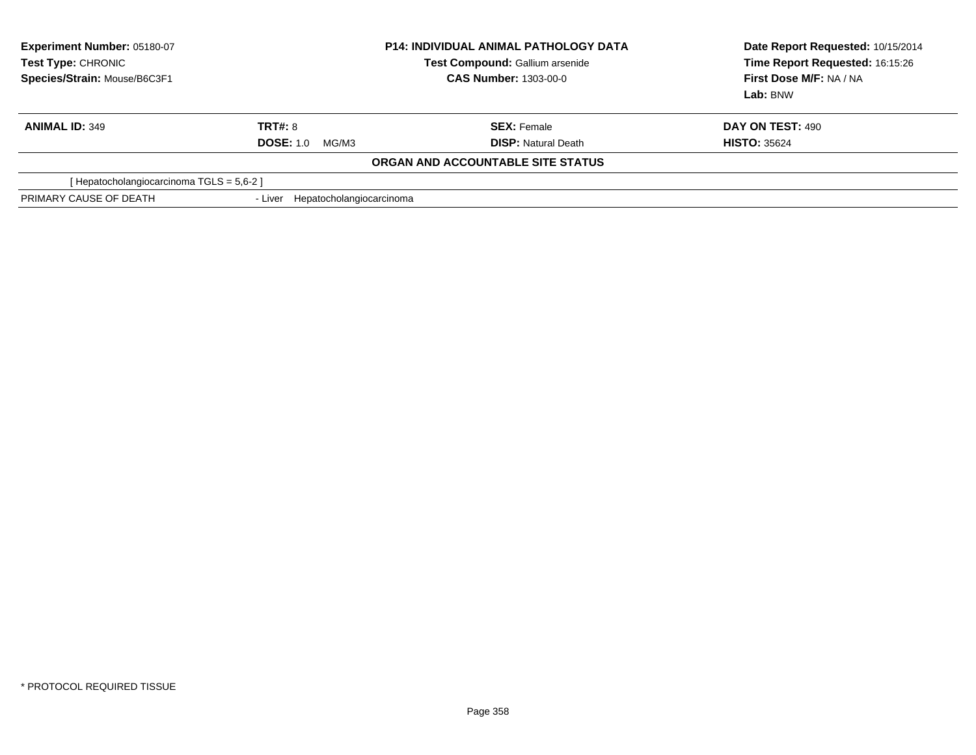| Experiment Number: 05180-07<br>Test Type: CHRONIC<br>Species/Strain: Mouse/B6C3F1 | <b>P14: INDIVIDUAL ANIMAL PATHOLOGY DATA</b><br><b>Test Compound: Gallium arsenide</b><br><b>CAS Number: 1303-00-0</b> |                                   | Date Report Requested: 10/15/2014<br>Time Report Requested: 16:15:26<br>First Dose M/F: NA / NA<br>Lab: BNW |
|-----------------------------------------------------------------------------------|------------------------------------------------------------------------------------------------------------------------|-----------------------------------|-------------------------------------------------------------------------------------------------------------|
| <b>ANIMAL ID: 349</b>                                                             | <b>TRT#: 8</b>                                                                                                         | <b>SEX: Female</b>                | DAY ON TEST: 490                                                                                            |
|                                                                                   | <b>DOSE: 1.0</b><br>MG/M3                                                                                              | <b>DISP:</b> Natural Death        | <b>HISTO: 35624</b>                                                                                         |
|                                                                                   |                                                                                                                        | ORGAN AND ACCOUNTABLE SITE STATUS |                                                                                                             |
| [Hepatocholangiocarcinoma TGLS = 5,6-2]                                           |                                                                                                                        |                                   |                                                                                                             |
| PRIMARY CAUSE OF DEATH                                                            | Hepatocholangiocarcinoma<br>- Liver                                                                                    |                                   |                                                                                                             |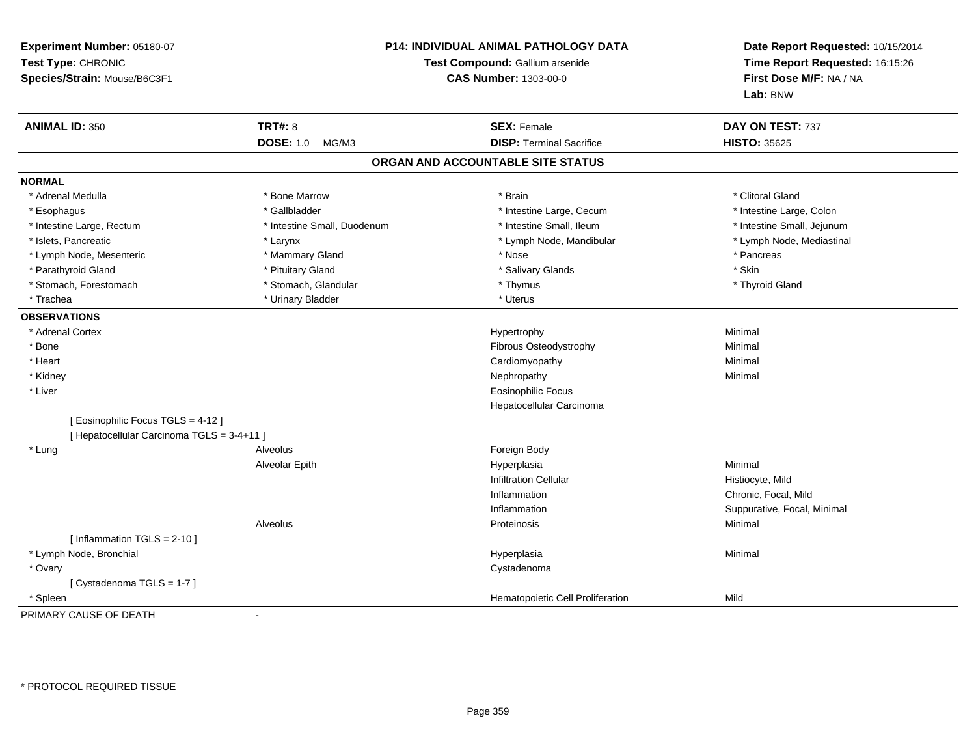| Experiment Number: 05180-07<br>Test Type: CHRONIC<br>Species/Strain: Mouse/B6C3F1 |                             | P14: INDIVIDUAL ANIMAL PATHOLOGY DATA<br>Test Compound: Gallium arsenide<br><b>CAS Number: 1303-00-0</b> | Date Report Requested: 10/15/2014<br>Time Report Requested: 16:15:26<br>First Dose M/F: NA / NA<br>Lab: BNW |
|-----------------------------------------------------------------------------------|-----------------------------|----------------------------------------------------------------------------------------------------------|-------------------------------------------------------------------------------------------------------------|
| <b>ANIMAL ID: 350</b>                                                             | <b>TRT#: 8</b>              | <b>SEX: Female</b>                                                                                       | DAY ON TEST: 737                                                                                            |
|                                                                                   | <b>DOSE: 1.0</b><br>MG/M3   | <b>DISP: Terminal Sacrifice</b>                                                                          | <b>HISTO: 35625</b>                                                                                         |
|                                                                                   |                             | ORGAN AND ACCOUNTABLE SITE STATUS                                                                        |                                                                                                             |
| <b>NORMAL</b>                                                                     |                             |                                                                                                          |                                                                                                             |
| * Adrenal Medulla                                                                 | * Bone Marrow               | * Brain                                                                                                  | * Clitoral Gland                                                                                            |
| * Esophagus                                                                       | * Gallbladder               | * Intestine Large, Cecum                                                                                 | * Intestine Large, Colon                                                                                    |
| * Intestine Large, Rectum                                                         | * Intestine Small, Duodenum | * Intestine Small, Ileum                                                                                 | * Intestine Small, Jejunum                                                                                  |
| * Islets, Pancreatic                                                              | * Larynx                    | * Lymph Node, Mandibular                                                                                 | * Lymph Node, Mediastinal                                                                                   |
| * Lymph Node, Mesenteric                                                          | * Mammary Gland             | * Nose                                                                                                   | * Pancreas                                                                                                  |
| * Parathyroid Gland                                                               | * Pituitary Gland           | * Salivary Glands                                                                                        | * Skin                                                                                                      |
| * Stomach, Forestomach                                                            | * Stomach, Glandular        | * Thymus                                                                                                 | * Thyroid Gland                                                                                             |
| * Trachea                                                                         | * Urinary Bladder           | * Uterus                                                                                                 |                                                                                                             |
| <b>OBSERVATIONS</b>                                                               |                             |                                                                                                          |                                                                                                             |
| * Adrenal Cortex                                                                  |                             | Hypertrophy                                                                                              | Minimal                                                                                                     |
| * Bone                                                                            |                             | Fibrous Osteodystrophy                                                                                   | Minimal                                                                                                     |
| * Heart                                                                           |                             | Cardiomyopathy                                                                                           | Minimal                                                                                                     |
| * Kidney                                                                          |                             | Nephropathy                                                                                              | Minimal                                                                                                     |
| * Liver                                                                           |                             | <b>Eosinophilic Focus</b>                                                                                |                                                                                                             |
|                                                                                   |                             | Hepatocellular Carcinoma                                                                                 |                                                                                                             |
| [ Eosinophilic Focus TGLS = 4-12 ]                                                |                             |                                                                                                          |                                                                                                             |
| [ Hepatocellular Carcinoma TGLS = 3-4+11 ]                                        |                             |                                                                                                          |                                                                                                             |
| * Lung                                                                            | Alveolus                    | Foreign Body                                                                                             |                                                                                                             |
|                                                                                   | Alveolar Epith              | Hyperplasia                                                                                              | Minimal                                                                                                     |
|                                                                                   |                             | <b>Infiltration Cellular</b>                                                                             | Histiocyte, Mild                                                                                            |
|                                                                                   |                             | Inflammation                                                                                             | Chronic, Focal, Mild                                                                                        |
|                                                                                   |                             | Inflammation                                                                                             | Suppurative, Focal, Minimal                                                                                 |
|                                                                                   | Alveolus                    | Proteinosis                                                                                              | Minimal                                                                                                     |
| [Inflammation TGLS = $2-10$ ]                                                     |                             |                                                                                                          |                                                                                                             |
| * Lymph Node, Bronchial                                                           |                             | Hyperplasia                                                                                              | Minimal                                                                                                     |
| * Ovary                                                                           |                             | Cystadenoma                                                                                              |                                                                                                             |
| [ Cystadenoma TGLS = 1-7 ]                                                        |                             |                                                                                                          |                                                                                                             |
| * Spleen                                                                          |                             | Hematopoietic Cell Proliferation                                                                         | Mild                                                                                                        |
| PRIMARY CAUSE OF DEATH                                                            |                             |                                                                                                          |                                                                                                             |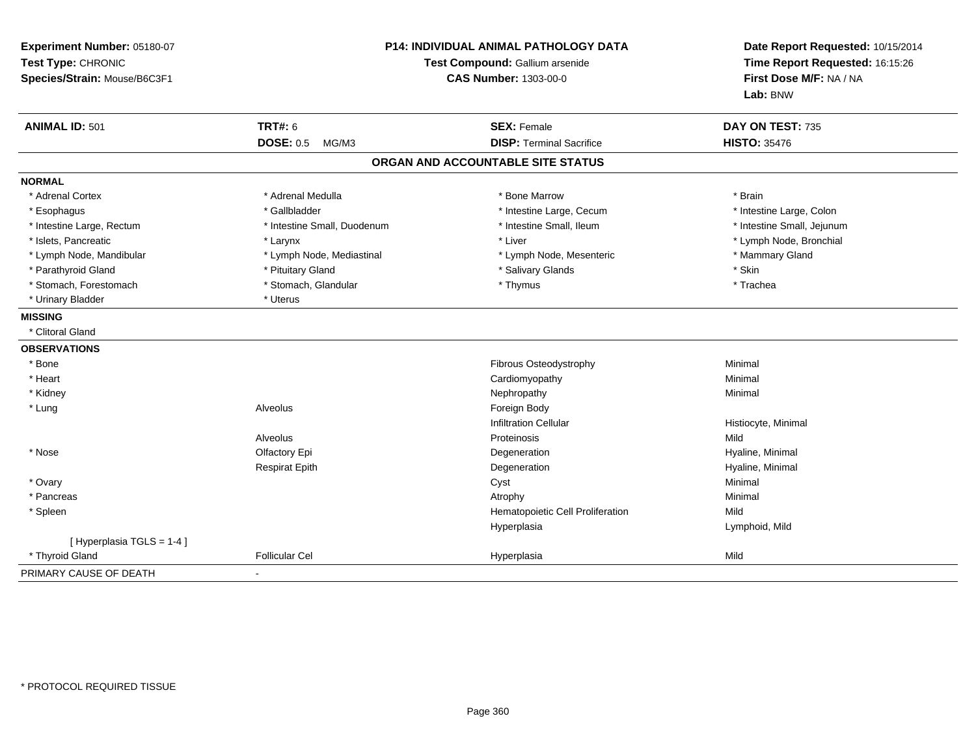| Experiment Number: 05180-07<br>Test Type: CHRONIC<br>Species/Strain: Mouse/B6C3F1 | P14: INDIVIDUAL ANIMAL PATHOLOGY DATA<br>Test Compound: Gallium arsenide<br><b>CAS Number: 1303-00-0</b> |                                                       | Date Report Requested: 10/15/2014<br>Time Report Requested: 16:15:26<br>First Dose M/F: NA / NA<br>Lab: BNW |  |
|-----------------------------------------------------------------------------------|----------------------------------------------------------------------------------------------------------|-------------------------------------------------------|-------------------------------------------------------------------------------------------------------------|--|
| <b>ANIMAL ID: 501</b>                                                             | <b>TRT#: 6</b>                                                                                           | <b>SEX: Female</b><br><b>DISP: Terminal Sacrifice</b> | DAY ON TEST: 735<br><b>HISTO: 35476</b>                                                                     |  |
|                                                                                   | <b>DOSE: 0.5</b><br>MG/M3                                                                                |                                                       |                                                                                                             |  |
|                                                                                   |                                                                                                          | ORGAN AND ACCOUNTABLE SITE STATUS                     |                                                                                                             |  |
| <b>NORMAL</b>                                                                     |                                                                                                          |                                                       |                                                                                                             |  |
| * Adrenal Cortex                                                                  | * Adrenal Medulla                                                                                        | * Bone Marrow                                         | * Brain                                                                                                     |  |
| * Esophagus                                                                       | * Gallbladder                                                                                            | * Intestine Large, Cecum                              | * Intestine Large, Colon                                                                                    |  |
| * Intestine Large, Rectum                                                         | * Intestine Small, Duodenum                                                                              | * Intestine Small, Ileum                              | * Intestine Small, Jejunum                                                                                  |  |
| * Islets, Pancreatic                                                              | * Larynx                                                                                                 | * Liver                                               | * Lymph Node, Bronchial                                                                                     |  |
| * Lymph Node, Mandibular                                                          | * Lymph Node, Mediastinal                                                                                | * Lymph Node, Mesenteric                              | * Mammary Gland                                                                                             |  |
| * Parathyroid Gland                                                               | * Pituitary Gland                                                                                        | * Salivary Glands                                     | * Skin                                                                                                      |  |
| * Stomach, Forestomach                                                            | * Stomach, Glandular                                                                                     | * Thymus                                              | * Trachea                                                                                                   |  |
| * Urinary Bladder                                                                 | * Uterus                                                                                                 |                                                       |                                                                                                             |  |
| <b>MISSING</b>                                                                    |                                                                                                          |                                                       |                                                                                                             |  |
| * Clitoral Gland                                                                  |                                                                                                          |                                                       |                                                                                                             |  |
| <b>OBSERVATIONS</b>                                                               |                                                                                                          |                                                       |                                                                                                             |  |
| * Bone                                                                            |                                                                                                          | Fibrous Osteodystrophy                                | Minimal                                                                                                     |  |
| * Heart                                                                           |                                                                                                          | Cardiomyopathy                                        | Minimal                                                                                                     |  |
| * Kidney                                                                          |                                                                                                          | Nephropathy                                           | Minimal                                                                                                     |  |
| * Lung                                                                            | Alveolus                                                                                                 | Foreign Body                                          |                                                                                                             |  |
|                                                                                   |                                                                                                          | <b>Infiltration Cellular</b>                          | Histiocyte, Minimal                                                                                         |  |
|                                                                                   | Alveolus                                                                                                 | Proteinosis                                           | Mild                                                                                                        |  |
| * Nose                                                                            | Olfactory Epi                                                                                            | Degeneration                                          | Hyaline, Minimal                                                                                            |  |
|                                                                                   | <b>Respirat Epith</b>                                                                                    | Degeneration                                          | Hyaline, Minimal                                                                                            |  |
| * Ovary                                                                           |                                                                                                          | Cyst                                                  | Minimal                                                                                                     |  |
| * Pancreas                                                                        |                                                                                                          | Atrophy                                               | Minimal                                                                                                     |  |
| * Spleen                                                                          |                                                                                                          | Hematopoietic Cell Proliferation                      | Mild                                                                                                        |  |
|                                                                                   |                                                                                                          | Hyperplasia                                           | Lymphoid, Mild                                                                                              |  |
| [Hyperplasia TGLS = 1-4]                                                          |                                                                                                          |                                                       |                                                                                                             |  |
| * Thyroid Gland                                                                   | <b>Follicular Cel</b>                                                                                    | Hyperplasia                                           | Mild                                                                                                        |  |
| PRIMARY CAUSE OF DEATH                                                            |                                                                                                          |                                                       |                                                                                                             |  |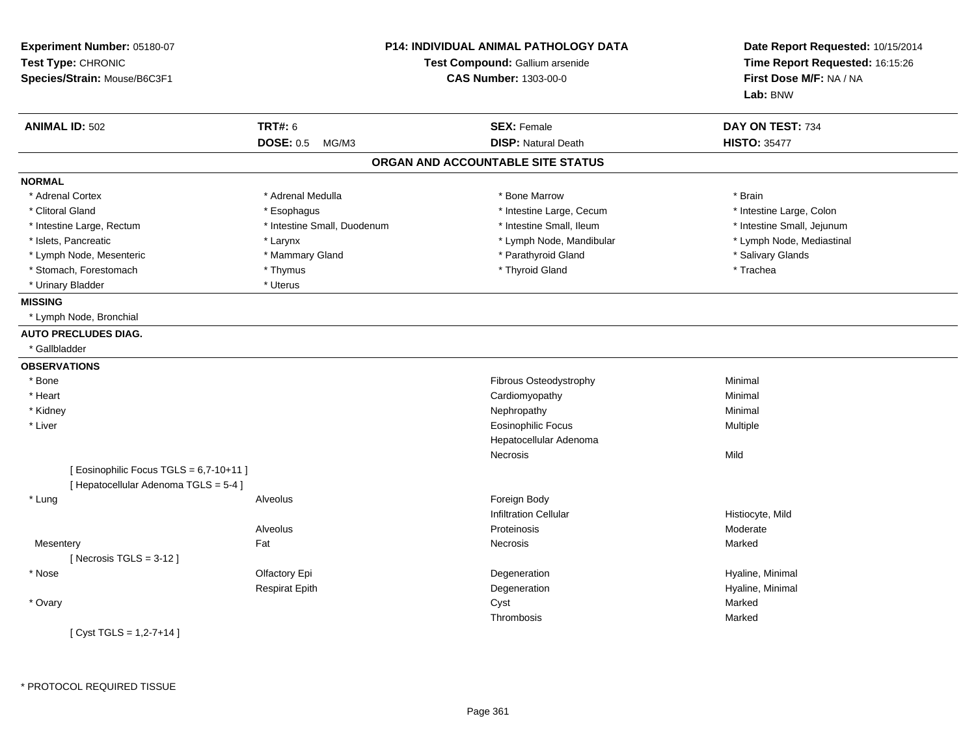| Experiment Number: 05180-07<br>Test Type: CHRONIC<br>Species/Strain: Mouse/B6C3F1 |                             | <b>P14: INDIVIDUAL ANIMAL PATHOLOGY DATA</b><br>Test Compound: Gallium arsenide<br><b>CAS Number: 1303-00-0</b> | Date Report Requested: 10/15/2014<br>Time Report Requested: 16:15:26<br>First Dose M/F: NA / NA<br>Lab: BNW |
|-----------------------------------------------------------------------------------|-----------------------------|-----------------------------------------------------------------------------------------------------------------|-------------------------------------------------------------------------------------------------------------|
| <b>ANIMAL ID: 502</b>                                                             | <b>TRT#: 6</b>              | <b>SEX: Female</b>                                                                                              | DAY ON TEST: 734                                                                                            |
|                                                                                   | <b>DOSE: 0.5 MG/M3</b>      | <b>DISP: Natural Death</b>                                                                                      | <b>HISTO: 35477</b>                                                                                         |
|                                                                                   |                             | ORGAN AND ACCOUNTABLE SITE STATUS                                                                               |                                                                                                             |
| <b>NORMAL</b>                                                                     |                             |                                                                                                                 |                                                                                                             |
| * Adrenal Cortex                                                                  | * Adrenal Medulla           | * Bone Marrow                                                                                                   | * Brain                                                                                                     |
| * Clitoral Gland                                                                  | * Esophagus                 | * Intestine Large, Cecum                                                                                        | * Intestine Large, Colon                                                                                    |
| * Intestine Large, Rectum                                                         | * Intestine Small, Duodenum | * Intestine Small, Ileum                                                                                        | * Intestine Small, Jejunum                                                                                  |
| * Islets, Pancreatic                                                              | * Larynx                    | * Lymph Node, Mandibular                                                                                        | * Lymph Node, Mediastinal                                                                                   |
| * Lymph Node, Mesenteric                                                          | * Mammary Gland             | * Parathyroid Gland                                                                                             | * Salivary Glands                                                                                           |
| * Stomach, Forestomach                                                            | * Thymus                    | * Thyroid Gland                                                                                                 | * Trachea                                                                                                   |
| * Urinary Bladder                                                                 | * Uterus                    |                                                                                                                 |                                                                                                             |
| <b>MISSING</b>                                                                    |                             |                                                                                                                 |                                                                                                             |
| * Lymph Node, Bronchial                                                           |                             |                                                                                                                 |                                                                                                             |
| <b>AUTO PRECLUDES DIAG.</b>                                                       |                             |                                                                                                                 |                                                                                                             |
| * Gallbladder                                                                     |                             |                                                                                                                 |                                                                                                             |
| <b>OBSERVATIONS</b>                                                               |                             |                                                                                                                 |                                                                                                             |
| * Bone                                                                            |                             | Fibrous Osteodystrophy                                                                                          | Minimal                                                                                                     |
| * Heart                                                                           |                             | Cardiomyopathy                                                                                                  | Minimal                                                                                                     |
| * Kidney                                                                          |                             | Nephropathy                                                                                                     | Minimal                                                                                                     |
| * Liver                                                                           |                             | <b>Eosinophilic Focus</b>                                                                                       | Multiple                                                                                                    |
|                                                                                   |                             | Hepatocellular Adenoma                                                                                          |                                                                                                             |
|                                                                                   |                             | Necrosis                                                                                                        | Mild                                                                                                        |
| [ Eosinophilic Focus TGLS = 6,7-10+11 ]<br>[ Hepatocellular Adenoma TGLS = 5-4 ]  |                             |                                                                                                                 |                                                                                                             |
| * Lung                                                                            | Alveolus                    | Foreign Body                                                                                                    |                                                                                                             |
|                                                                                   |                             | <b>Infiltration Cellular</b>                                                                                    | Histiocyte, Mild                                                                                            |
|                                                                                   | Alveolus                    | Proteinosis                                                                                                     | Moderate                                                                                                    |
| Mesentery                                                                         | Fat                         | <b>Necrosis</b>                                                                                                 | Marked                                                                                                      |
| [Necrosis $TGLS = 3-12$ ]                                                         |                             |                                                                                                                 |                                                                                                             |
| * Nose                                                                            | Olfactory Epi               | Degeneration                                                                                                    | Hyaline, Minimal                                                                                            |
|                                                                                   | <b>Respirat Epith</b>       | Degeneration                                                                                                    | Hyaline, Minimal                                                                                            |
| * Ovary                                                                           |                             | Cyst                                                                                                            | Marked                                                                                                      |
|                                                                                   |                             | Thrombosis                                                                                                      | Marked                                                                                                      |
| [Cyst TGLS = $1,2-7+14$ ]                                                         |                             |                                                                                                                 |                                                                                                             |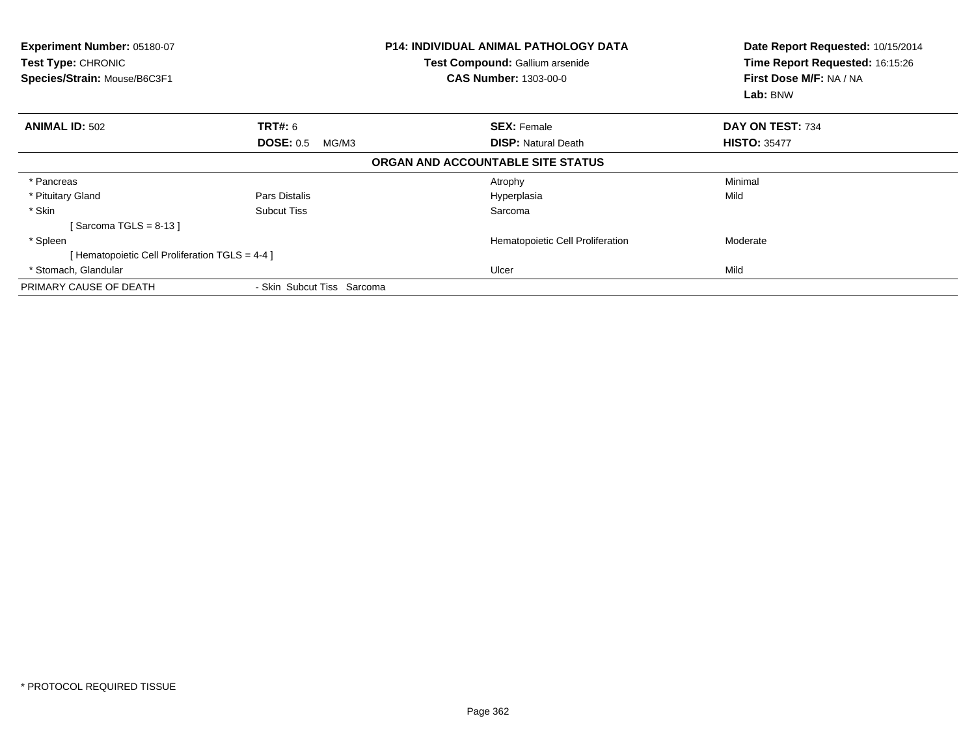| Experiment Number: 05180-07<br>Test Type: CHRONIC<br>Species/Strain: Mouse/B6C3F1 | <b>P14: INDIVIDUAL ANIMAL PATHOLOGY DATA</b><br>Test Compound: Gallium arsenide<br><b>CAS Number: 1303-00-0</b> |                                   | Date Report Requested: 10/15/2014<br>Time Report Requested: 16:15:26<br>First Dose M/F: NA / NA<br>Lab: BNW |
|-----------------------------------------------------------------------------------|-----------------------------------------------------------------------------------------------------------------|-----------------------------------|-------------------------------------------------------------------------------------------------------------|
| <b>ANIMAL ID: 502</b>                                                             | <b>TRT#: 6</b>                                                                                                  | <b>SEX: Female</b>                | DAY ON TEST: 734                                                                                            |
|                                                                                   | <b>DOSE: 0.5</b><br>MG/M3                                                                                       | <b>DISP:</b> Natural Death        | <b>HISTO: 35477</b>                                                                                         |
|                                                                                   |                                                                                                                 | ORGAN AND ACCOUNTABLE SITE STATUS |                                                                                                             |
| * Pancreas                                                                        |                                                                                                                 | Atrophy                           | Minimal                                                                                                     |
| * Pituitary Gland                                                                 | Pars Distalis                                                                                                   | Hyperplasia                       | Mild                                                                                                        |
| * Skin                                                                            | Subcut Tiss                                                                                                     | Sarcoma                           |                                                                                                             |
| Sarcoma TGLS = $8-13$ ]                                                           |                                                                                                                 |                                   |                                                                                                             |
| * Spleen                                                                          |                                                                                                                 | Hematopoietic Cell Proliferation  | Moderate                                                                                                    |
| [Hematopoietic Cell Proliferation TGLS = 4-4 ]                                    |                                                                                                                 |                                   |                                                                                                             |
| * Stomach, Glandular                                                              |                                                                                                                 | Ulcer                             | Mild                                                                                                        |
| PRIMARY CAUSE OF DEATH                                                            | - Skin Subcut Tiss Sarcoma                                                                                      |                                   |                                                                                                             |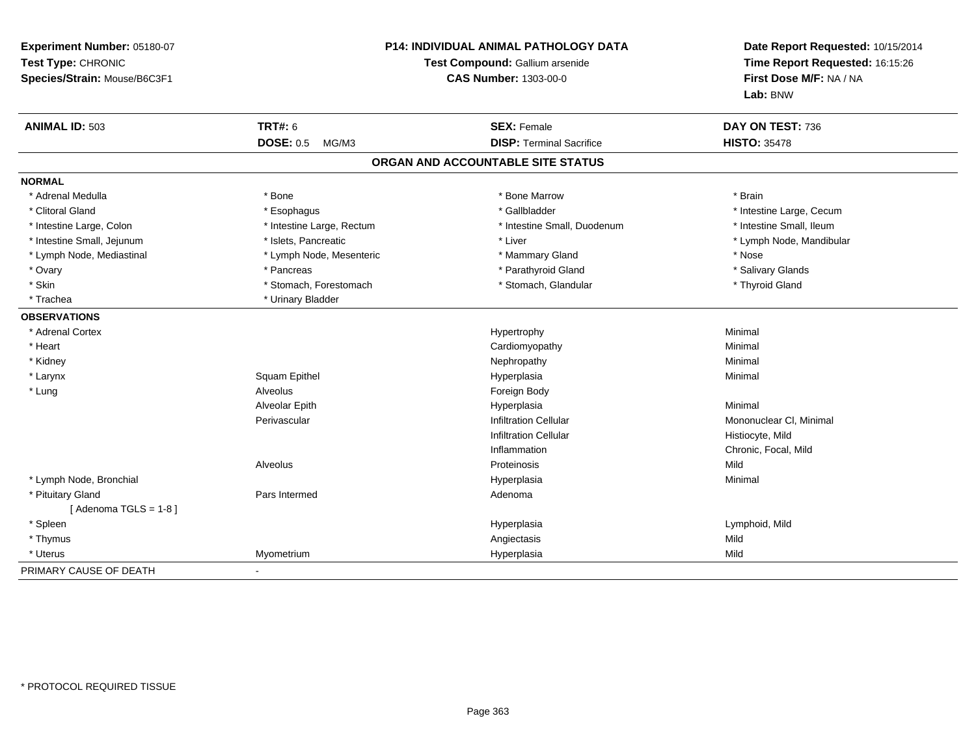| Experiment Number: 05180-07<br>Test Type: CHRONIC<br>Species/Strain: Mouse/B6C3F1 | P14: INDIVIDUAL ANIMAL PATHOLOGY DATA<br>Test Compound: Gallium arsenide<br><b>CAS Number: 1303-00-0</b> |                                   | Date Report Requested: 10/15/2014<br>Time Report Requested: 16:15:26<br>First Dose M/F: NA / NA<br>Lab: BNW |
|-----------------------------------------------------------------------------------|----------------------------------------------------------------------------------------------------------|-----------------------------------|-------------------------------------------------------------------------------------------------------------|
| <b>ANIMAL ID: 503</b>                                                             | <b>TRT#: 6</b>                                                                                           | <b>SEX: Female</b>                | DAY ON TEST: 736                                                                                            |
|                                                                                   | <b>DOSE: 0.5</b><br>MG/M3                                                                                | <b>DISP: Terminal Sacrifice</b>   | <b>HISTO: 35478</b>                                                                                         |
|                                                                                   |                                                                                                          | ORGAN AND ACCOUNTABLE SITE STATUS |                                                                                                             |
| <b>NORMAL</b>                                                                     |                                                                                                          |                                   |                                                                                                             |
| * Adrenal Medulla                                                                 | * Bone                                                                                                   | * Bone Marrow                     | * Brain                                                                                                     |
| * Clitoral Gland                                                                  | * Esophagus                                                                                              | * Gallbladder                     | * Intestine Large, Cecum                                                                                    |
| * Intestine Large, Colon                                                          | * Intestine Large, Rectum                                                                                | * Intestine Small, Duodenum       | * Intestine Small, Ileum                                                                                    |
| * Intestine Small, Jejunum                                                        | * Islets, Pancreatic                                                                                     | * Liver                           | * Lymph Node, Mandibular                                                                                    |
| * Lymph Node, Mediastinal                                                         | * Lymph Node, Mesenteric                                                                                 | * Mammary Gland                   | * Nose                                                                                                      |
| * Ovary                                                                           | * Pancreas                                                                                               | * Parathyroid Gland               | * Salivary Glands                                                                                           |
| * Skin                                                                            | * Stomach, Forestomach                                                                                   | * Stomach, Glandular              | * Thyroid Gland                                                                                             |
| * Trachea                                                                         | * Urinary Bladder                                                                                        |                                   |                                                                                                             |
| <b>OBSERVATIONS</b>                                                               |                                                                                                          |                                   |                                                                                                             |
| * Adrenal Cortex                                                                  |                                                                                                          | Hypertrophy                       | Minimal                                                                                                     |
| * Heart                                                                           |                                                                                                          | Cardiomyopathy                    | Minimal                                                                                                     |
| * Kidney                                                                          |                                                                                                          | Nephropathy                       | Minimal                                                                                                     |
| * Larynx                                                                          | Squam Epithel                                                                                            | Hyperplasia                       | Minimal                                                                                                     |
| * Lung                                                                            | <b>Alveolus</b>                                                                                          | Foreign Body                      |                                                                                                             |
|                                                                                   | Alveolar Epith                                                                                           | Hyperplasia                       | Minimal                                                                                                     |
|                                                                                   | Perivascular                                                                                             | <b>Infiltration Cellular</b>      | Mononuclear CI, Minimal                                                                                     |
|                                                                                   |                                                                                                          | <b>Infiltration Cellular</b>      | Histiocyte, Mild                                                                                            |
|                                                                                   |                                                                                                          | Inflammation                      | Chronic, Focal, Mild                                                                                        |
|                                                                                   | Alveolus                                                                                                 | Proteinosis                       | Mild                                                                                                        |
| * Lymph Node, Bronchial                                                           |                                                                                                          | Hyperplasia                       | Minimal                                                                                                     |
| * Pituitary Gland                                                                 | Pars Intermed                                                                                            | Adenoma                           |                                                                                                             |
| [Adenoma TGLS = $1-8$ ]                                                           |                                                                                                          |                                   |                                                                                                             |
| * Spleen                                                                          |                                                                                                          | Hyperplasia                       | Lymphoid, Mild                                                                                              |
| * Thymus                                                                          |                                                                                                          | Angiectasis                       | Mild                                                                                                        |
| * Uterus                                                                          | Myometrium                                                                                               | Hyperplasia                       | Mild                                                                                                        |
| PRIMARY CAUSE OF DEATH                                                            | $\blacksquare$                                                                                           |                                   |                                                                                                             |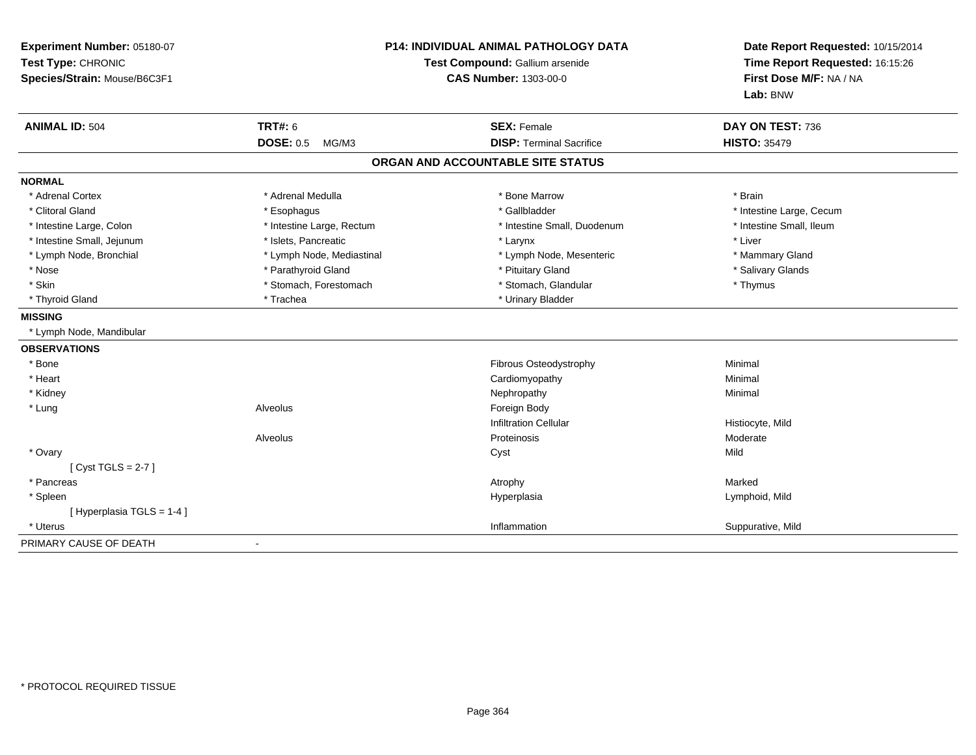| Experiment Number: 05180-07<br>Test Type: CHRONIC<br>Species/Strain: Mouse/B6C3F1                                                                                                                                                                          | <b>P14: INDIVIDUAL ANIMAL PATHOLOGY DATA</b><br>Test Compound: Gallium arsenide<br><b>CAS Number: 1303-00-0</b>                                                                  |                                                                                                                                                                                                                     | Date Report Requested: 10/15/2014<br>Time Report Requested: 16:15:26<br>First Dose M/F: NA / NA<br>Lab: BNW                                          |
|------------------------------------------------------------------------------------------------------------------------------------------------------------------------------------------------------------------------------------------------------------|----------------------------------------------------------------------------------------------------------------------------------------------------------------------------------|---------------------------------------------------------------------------------------------------------------------------------------------------------------------------------------------------------------------|------------------------------------------------------------------------------------------------------------------------------------------------------|
| <b>ANIMAL ID: 504</b>                                                                                                                                                                                                                                      | <b>TRT#: 6</b><br><b>DOSE: 0.5</b><br>MG/M3                                                                                                                                      | <b>SEX: Female</b><br><b>DISP: Terminal Sacrifice</b>                                                                                                                                                               | DAY ON TEST: 736<br><b>HISTO: 35479</b>                                                                                                              |
|                                                                                                                                                                                                                                                            |                                                                                                                                                                                  | ORGAN AND ACCOUNTABLE SITE STATUS                                                                                                                                                                                   |                                                                                                                                                      |
| <b>NORMAL</b>                                                                                                                                                                                                                                              |                                                                                                                                                                                  |                                                                                                                                                                                                                     |                                                                                                                                                      |
| * Adrenal Cortex<br>* Clitoral Gland<br>* Intestine Large, Colon<br>* Intestine Small, Jejunum<br>* Lymph Node, Bronchial<br>* Nose<br>* Skin<br>* Thyroid Gland<br><b>MISSING</b><br>* Lymph Node, Mandibular<br><b>OBSERVATIONS</b><br>* Bone<br>* Heart | * Adrenal Medulla<br>* Esophagus<br>* Intestine Large, Rectum<br>* Islets, Pancreatic<br>* Lymph Node, Mediastinal<br>* Parathyroid Gland<br>* Stomach, Forestomach<br>* Trachea | * Bone Marrow<br>* Gallbladder<br>* Intestine Small, Duodenum<br>* Larynx<br>* Lymph Node, Mesenteric<br>* Pituitary Gland<br>* Stomach, Glandular<br>* Urinary Bladder<br>Fibrous Osteodystrophy<br>Cardiomyopathy | * Brain<br>* Intestine Large, Cecum<br>* Intestine Small, Ileum<br>* Liver<br>* Mammary Gland<br>* Salivary Glands<br>* Thymus<br>Minimal<br>Minimal |
| * Kidney<br>* Lung                                                                                                                                                                                                                                         | Alveolus<br>Alveolus                                                                                                                                                             | Nephropathy<br>Foreign Body<br><b>Infiltration Cellular</b><br>Proteinosis                                                                                                                                          | Minimal<br>Histiocyte, Mild<br>Moderate                                                                                                              |
| * Ovary<br>[Cyst TGLS = $2-7$ ]<br>* Pancreas                                                                                                                                                                                                              |                                                                                                                                                                                  | Cyst<br>Atrophy                                                                                                                                                                                                     | Mild<br>Marked                                                                                                                                       |
| * Spleen<br>[Hyperplasia TGLS = 1-4]<br>* Uterus                                                                                                                                                                                                           |                                                                                                                                                                                  | Hyperplasia<br>Inflammation                                                                                                                                                                                         | Lymphoid, Mild<br>Suppurative, Mild                                                                                                                  |
| PRIMARY CAUSE OF DEATH                                                                                                                                                                                                                                     |                                                                                                                                                                                  |                                                                                                                                                                                                                     |                                                                                                                                                      |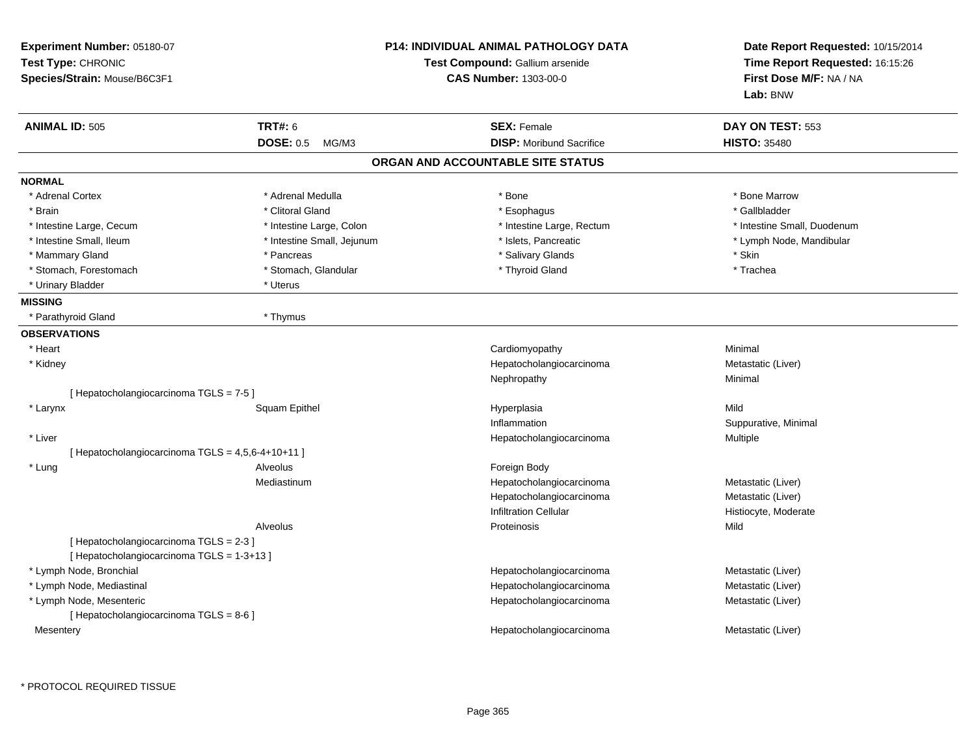| Experiment Number: 05180-07<br>Test Type: CHRONIC<br>Species/Strain: Mouse/B6C3F1 |                            | <b>P14: INDIVIDUAL ANIMAL PATHOLOGY DATA</b><br>Test Compound: Gallium arsenide<br><b>CAS Number: 1303-00-0</b> | Date Report Requested: 10/15/2014<br>Time Report Requested: 16:15:26<br>First Dose M/F: NA / NA<br>Lab: BNW |
|-----------------------------------------------------------------------------------|----------------------------|-----------------------------------------------------------------------------------------------------------------|-------------------------------------------------------------------------------------------------------------|
| <b>ANIMAL ID: 505</b>                                                             | TRT#: 6                    | <b>SEX: Female</b>                                                                                              | DAY ON TEST: 553                                                                                            |
|                                                                                   | <b>DOSE: 0.5</b><br>MG/M3  | <b>DISP:</b> Moribund Sacrifice                                                                                 | <b>HISTO: 35480</b>                                                                                         |
|                                                                                   |                            | ORGAN AND ACCOUNTABLE SITE STATUS                                                                               |                                                                                                             |
| <b>NORMAL</b>                                                                     |                            |                                                                                                                 |                                                                                                             |
| * Adrenal Cortex                                                                  | * Adrenal Medulla          | * Bone                                                                                                          | * Bone Marrow                                                                                               |
| * Brain                                                                           | * Clitoral Gland           | * Esophagus                                                                                                     | * Gallbladder                                                                                               |
| * Intestine Large, Cecum                                                          | * Intestine Large, Colon   | * Intestine Large, Rectum                                                                                       | * Intestine Small, Duodenum                                                                                 |
| * Intestine Small, Ileum                                                          | * Intestine Small, Jejunum | * Islets, Pancreatic                                                                                            | * Lymph Node, Mandibular                                                                                    |
| * Mammary Gland                                                                   | * Pancreas                 | * Salivary Glands                                                                                               | * Skin                                                                                                      |
| * Stomach, Forestomach                                                            | * Stomach, Glandular       | * Thyroid Gland                                                                                                 | * Trachea                                                                                                   |
| * Urinary Bladder                                                                 | * Uterus                   |                                                                                                                 |                                                                                                             |
| <b>MISSING</b>                                                                    |                            |                                                                                                                 |                                                                                                             |
| * Parathyroid Gland                                                               | * Thymus                   |                                                                                                                 |                                                                                                             |
| <b>OBSERVATIONS</b>                                                               |                            |                                                                                                                 |                                                                                                             |
| * Heart                                                                           |                            | Cardiomyopathy                                                                                                  | Minimal                                                                                                     |
| * Kidney                                                                          |                            | Hepatocholangiocarcinoma                                                                                        | Metastatic (Liver)                                                                                          |
|                                                                                   |                            | Nephropathy                                                                                                     | Minimal                                                                                                     |
| [Hepatocholangiocarcinoma TGLS = 7-5]                                             |                            |                                                                                                                 |                                                                                                             |
| * Larynx                                                                          | Squam Epithel              | Hyperplasia                                                                                                     | Mild                                                                                                        |
|                                                                                   |                            | Inflammation                                                                                                    | Suppurative, Minimal                                                                                        |
| * Liver                                                                           |                            | Hepatocholangiocarcinoma                                                                                        | Multiple                                                                                                    |
| [ Hepatocholangiocarcinoma TGLS = 4,5,6-4+10+11 ]                                 |                            |                                                                                                                 |                                                                                                             |
| * Lung                                                                            | Alveolus                   | Foreign Body                                                                                                    |                                                                                                             |
|                                                                                   | Mediastinum                | Hepatocholangiocarcinoma                                                                                        | Metastatic (Liver)                                                                                          |
|                                                                                   |                            | Hepatocholangiocarcinoma                                                                                        | Metastatic (Liver)                                                                                          |
|                                                                                   |                            | Infiltration Cellular                                                                                           | Histiocyte, Moderate                                                                                        |
|                                                                                   | Alveolus                   | Proteinosis                                                                                                     | Mild                                                                                                        |
| [ Hepatocholangiocarcinoma TGLS = 2-3 ]                                           |                            |                                                                                                                 |                                                                                                             |
| [Hepatocholangiocarcinoma TGLS = 1-3+13]                                          |                            |                                                                                                                 |                                                                                                             |
| * Lymph Node, Bronchial                                                           |                            | Hepatocholangiocarcinoma                                                                                        | Metastatic (Liver)                                                                                          |
| * Lymph Node, Mediastinal                                                         |                            | Hepatocholangiocarcinoma                                                                                        | Metastatic (Liver)                                                                                          |
| * Lymph Node, Mesenteric                                                          |                            | Hepatocholangiocarcinoma                                                                                        | Metastatic (Liver)                                                                                          |
| [ Hepatocholangiocarcinoma TGLS = 8-6 ]                                           |                            |                                                                                                                 |                                                                                                             |
| Mesentery                                                                         |                            | Hepatocholangiocarcinoma                                                                                        | Metastatic (Liver)                                                                                          |
|                                                                                   |                            |                                                                                                                 |                                                                                                             |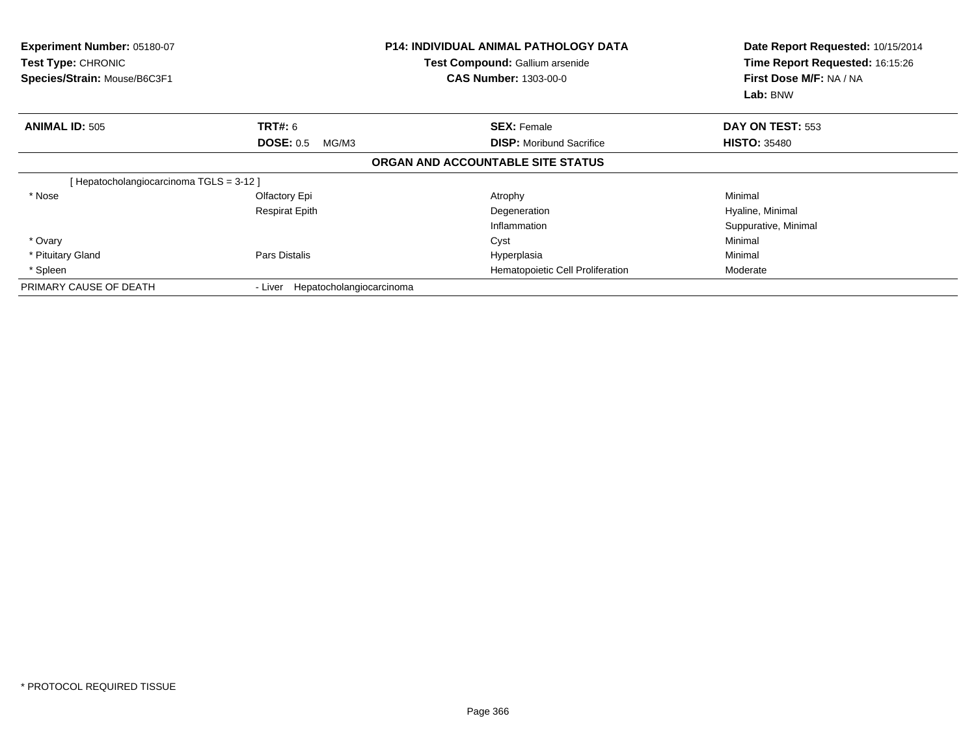| <b>Experiment Number: 05180-07</b><br>Test Type: CHRONIC<br>Species/Strain: Mouse/B6C3F1 |                                     | <b>P14: INDIVIDUAL ANIMAL PATHOLOGY DATA</b><br>Test Compound: Gallium arsenide<br><b>CAS Number: 1303-00-0</b> | Date Report Requested: 10/15/2014<br>Time Report Requested: 16:15:26<br>First Dose M/F: NA / NA<br>Lab: BNW |
|------------------------------------------------------------------------------------------|-------------------------------------|-----------------------------------------------------------------------------------------------------------------|-------------------------------------------------------------------------------------------------------------|
| <b>ANIMAL ID: 505</b>                                                                    | TRT#: 6                             | <b>SEX: Female</b>                                                                                              | DAY ON TEST: 553                                                                                            |
|                                                                                          | <b>DOSE: 0.5</b><br>MG/M3           | <b>DISP:</b> Moribund Sacrifice                                                                                 | <b>HISTO: 35480</b>                                                                                         |
|                                                                                          |                                     | ORGAN AND ACCOUNTABLE SITE STATUS                                                                               |                                                                                                             |
| [ Hepatocholangiocarcinoma TGLS = 3-12 ]                                                 |                                     |                                                                                                                 |                                                                                                             |
| * Nose                                                                                   | Olfactory Epi                       | Atrophy                                                                                                         | Minimal                                                                                                     |
|                                                                                          | <b>Respirat Epith</b>               | Degeneration                                                                                                    | Hyaline, Minimal                                                                                            |
|                                                                                          |                                     | Inflammation                                                                                                    | Suppurative, Minimal                                                                                        |
| * Ovary                                                                                  |                                     | Cyst                                                                                                            | Minimal                                                                                                     |
| * Pituitary Gland                                                                        | Pars Distalis                       | Hyperplasia                                                                                                     | Minimal                                                                                                     |
| * Spleen                                                                                 |                                     | Hematopoietic Cell Proliferation                                                                                | Moderate                                                                                                    |
| PRIMARY CAUSE OF DEATH                                                                   | Hepatocholangiocarcinoma<br>- Liver |                                                                                                                 |                                                                                                             |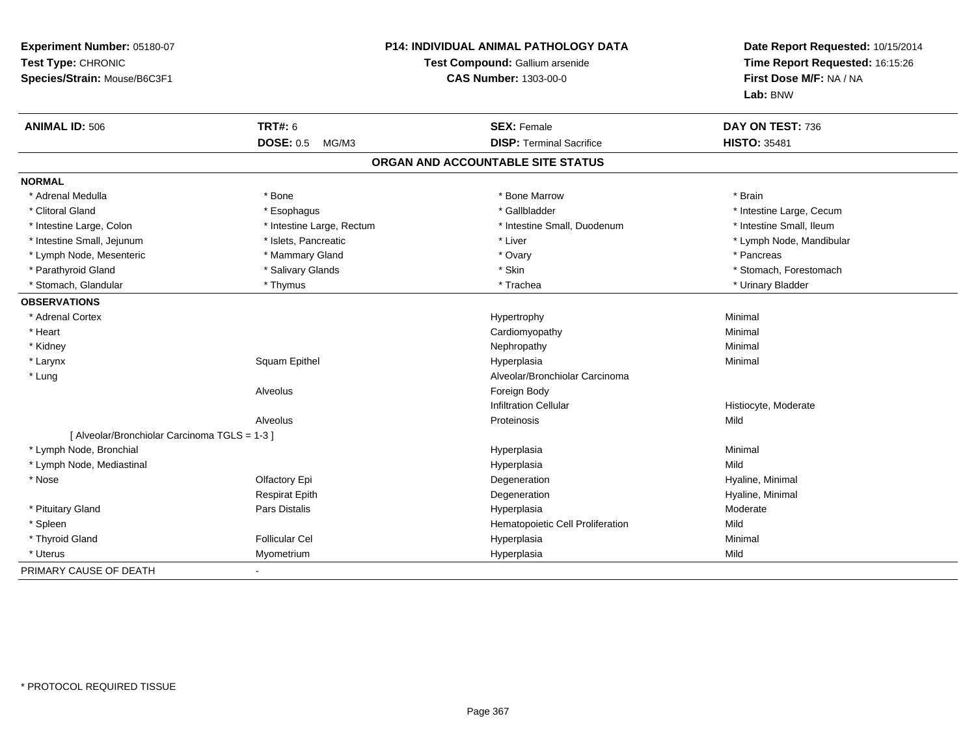| Experiment Number: 05180-07<br>Test Type: CHRONIC<br>Species/Strain: Mouse/B6C3F1 | <b>P14: INDIVIDUAL ANIMAL PATHOLOGY DATA</b><br>Test Compound: Gallium arsenide<br><b>CAS Number: 1303-00-0</b> |                                   | Date Report Requested: 10/15/2014<br>Time Report Requested: 16:15:26<br>First Dose M/F: NA / NA<br>Lab: BNW |
|-----------------------------------------------------------------------------------|-----------------------------------------------------------------------------------------------------------------|-----------------------------------|-------------------------------------------------------------------------------------------------------------|
| <b>ANIMAL ID: 506</b>                                                             | <b>TRT#: 6</b>                                                                                                  | <b>SEX: Female</b>                | DAY ON TEST: 736                                                                                            |
|                                                                                   | <b>DOSE: 0.5</b><br>MG/M3                                                                                       | <b>DISP: Terminal Sacrifice</b>   | <b>HISTO: 35481</b>                                                                                         |
|                                                                                   |                                                                                                                 | ORGAN AND ACCOUNTABLE SITE STATUS |                                                                                                             |
| <b>NORMAL</b>                                                                     |                                                                                                                 |                                   |                                                                                                             |
| * Adrenal Medulla                                                                 | * Bone                                                                                                          | * Bone Marrow                     | * Brain                                                                                                     |
| * Clitoral Gland                                                                  | * Esophagus                                                                                                     | * Gallbladder                     | * Intestine Large, Cecum                                                                                    |
| * Intestine Large, Colon                                                          | * Intestine Large, Rectum                                                                                       | * Intestine Small, Duodenum       | * Intestine Small, Ileum                                                                                    |
| * Intestine Small, Jejunum                                                        | * Islets, Pancreatic                                                                                            | * Liver                           | * Lymph Node, Mandibular                                                                                    |
| * Lymph Node, Mesenteric                                                          | * Mammary Gland                                                                                                 | * Ovary                           | * Pancreas                                                                                                  |
| * Parathyroid Gland                                                               | * Salivary Glands                                                                                               | * Skin                            | * Stomach, Forestomach                                                                                      |
| * Stomach, Glandular                                                              | * Thymus                                                                                                        | * Trachea                         | * Urinary Bladder                                                                                           |
| <b>OBSERVATIONS</b>                                                               |                                                                                                                 |                                   |                                                                                                             |
| * Adrenal Cortex                                                                  |                                                                                                                 | Hypertrophy                       | Minimal                                                                                                     |
| * Heart                                                                           |                                                                                                                 | Cardiomyopathy                    | Minimal                                                                                                     |
| * Kidney                                                                          |                                                                                                                 | Nephropathy                       | Minimal                                                                                                     |
| * Larynx                                                                          | Squam Epithel                                                                                                   | Hyperplasia                       | Minimal                                                                                                     |
| * Lung                                                                            |                                                                                                                 | Alveolar/Bronchiolar Carcinoma    |                                                                                                             |
|                                                                                   | Alveolus                                                                                                        | Foreign Body                      |                                                                                                             |
|                                                                                   |                                                                                                                 | <b>Infiltration Cellular</b>      | Histiocyte, Moderate                                                                                        |
|                                                                                   | Alveolus                                                                                                        | Proteinosis                       | Mild                                                                                                        |
| [ Alveolar/Bronchiolar Carcinoma TGLS = 1-3 ]                                     |                                                                                                                 |                                   |                                                                                                             |
| * Lymph Node, Bronchial                                                           |                                                                                                                 | Hyperplasia                       | Minimal                                                                                                     |
| * Lymph Node, Mediastinal                                                         |                                                                                                                 | Hyperplasia                       | Mild                                                                                                        |
| * Nose                                                                            | Olfactory Epi                                                                                                   | Degeneration                      | Hyaline, Minimal                                                                                            |
|                                                                                   | <b>Respirat Epith</b>                                                                                           | Degeneration                      | Hyaline, Minimal                                                                                            |
| * Pituitary Gland                                                                 | Pars Distalis                                                                                                   | Hyperplasia                       | Moderate                                                                                                    |
| * Spleen                                                                          |                                                                                                                 | Hematopoietic Cell Proliferation  | Mild                                                                                                        |
| * Thyroid Gland                                                                   | <b>Follicular Cel</b>                                                                                           | Hyperplasia                       | Minimal                                                                                                     |
| * Uterus                                                                          | Myometrium                                                                                                      | Hyperplasia                       | Mild                                                                                                        |
| PRIMARY CAUSE OF DEATH                                                            |                                                                                                                 |                                   |                                                                                                             |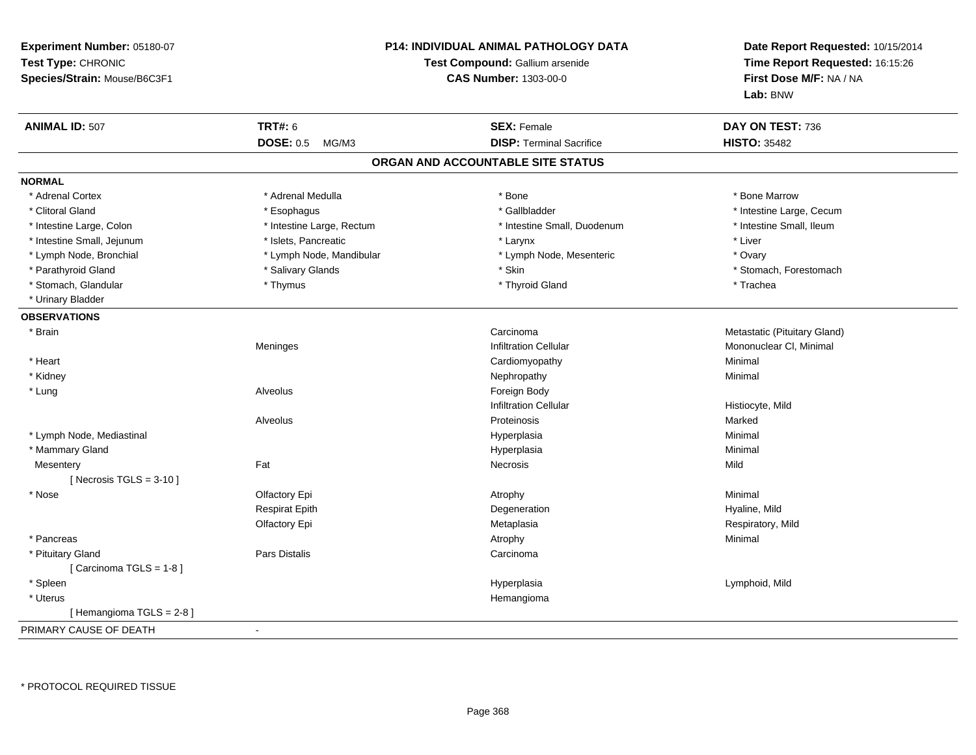| Experiment Number: 05180-07<br>Test Type: CHRONIC<br>Species/Strain: Mouse/B6C3F1 |                           | P14: INDIVIDUAL ANIMAL PATHOLOGY DATA<br>Test Compound: Gallium arsenide<br><b>CAS Number: 1303-00-0</b> | Date Report Requested: 10/15/2014<br>Time Report Requested: 16:15:26<br>First Dose M/F: NA / NA<br>Lab: BNW |
|-----------------------------------------------------------------------------------|---------------------------|----------------------------------------------------------------------------------------------------------|-------------------------------------------------------------------------------------------------------------|
| <b>ANIMAL ID: 507</b>                                                             | <b>TRT#: 6</b>            | <b>SEX: Female</b>                                                                                       | DAY ON TEST: 736                                                                                            |
|                                                                                   | <b>DOSE: 0.5</b><br>MG/M3 | <b>DISP: Terminal Sacrifice</b>                                                                          | <b>HISTO: 35482</b>                                                                                         |
|                                                                                   |                           | ORGAN AND ACCOUNTABLE SITE STATUS                                                                        |                                                                                                             |
| <b>NORMAL</b>                                                                     |                           |                                                                                                          |                                                                                                             |
| * Adrenal Cortex                                                                  | * Adrenal Medulla         | * Bone                                                                                                   | * Bone Marrow                                                                                               |
| * Clitoral Gland                                                                  | * Esophagus               | * Gallbladder                                                                                            | * Intestine Large, Cecum                                                                                    |
| * Intestine Large, Colon                                                          | * Intestine Large, Rectum | * Intestine Small, Duodenum                                                                              | * Intestine Small, Ileum                                                                                    |
| * Intestine Small, Jejunum                                                        | * Islets, Pancreatic      | * Larynx                                                                                                 | * Liver                                                                                                     |
| * Lymph Node, Bronchial                                                           | * Lymph Node, Mandibular  | * Lymph Node, Mesenteric                                                                                 | * Ovary                                                                                                     |
| * Parathyroid Gland                                                               | * Salivary Glands         | * Skin                                                                                                   | * Stomach, Forestomach                                                                                      |
| * Stomach, Glandular                                                              | * Thymus                  | * Thyroid Gland                                                                                          | * Trachea                                                                                                   |
| * Urinary Bladder                                                                 |                           |                                                                                                          |                                                                                                             |
| <b>OBSERVATIONS</b>                                                               |                           |                                                                                                          |                                                                                                             |
| * Brain                                                                           |                           | Carcinoma                                                                                                | Metastatic (Pituitary Gland)                                                                                |
|                                                                                   | Meninges                  | <b>Infiltration Cellular</b>                                                                             | Mononuclear CI, Minimal                                                                                     |
| * Heart                                                                           |                           | Cardiomyopathy                                                                                           | Minimal                                                                                                     |
| * Kidney                                                                          |                           | Nephropathy                                                                                              | Minimal                                                                                                     |
| * Lung                                                                            | Alveolus                  | Foreign Body                                                                                             |                                                                                                             |
|                                                                                   |                           | <b>Infiltration Cellular</b>                                                                             | Histiocyte, Mild                                                                                            |
|                                                                                   | Alveolus                  | Proteinosis                                                                                              | Marked                                                                                                      |
| * Lymph Node, Mediastinal                                                         |                           | Hyperplasia                                                                                              | Minimal                                                                                                     |
| * Mammary Gland                                                                   |                           | Hyperplasia                                                                                              | Minimal                                                                                                     |
| Mesentery<br>[ Necrosis $TGLS = 3-10$ ]                                           | Fat                       | <b>Necrosis</b>                                                                                          | Mild                                                                                                        |
| * Nose                                                                            | Olfactory Epi             | Atrophy                                                                                                  | Minimal                                                                                                     |
|                                                                                   | <b>Respirat Epith</b>     | Degeneration                                                                                             | Hyaline, Mild                                                                                               |
|                                                                                   | Olfactory Epi             | Metaplasia                                                                                               | Respiratory, Mild                                                                                           |
| * Pancreas                                                                        |                           | Atrophy                                                                                                  | Minimal                                                                                                     |
| * Pituitary Gland                                                                 | <b>Pars Distalis</b>      | Carcinoma                                                                                                |                                                                                                             |
| [Carcinoma TGLS = 1-8]                                                            |                           |                                                                                                          |                                                                                                             |
| * Spleen                                                                          |                           | Hyperplasia                                                                                              | Lymphoid, Mild                                                                                              |
| * Uterus                                                                          |                           | Hemangioma                                                                                               |                                                                                                             |
| [Hemangioma TGLS = $2-8$ ]                                                        |                           |                                                                                                          |                                                                                                             |
| PRIMARY CAUSE OF DEATH                                                            | $\sim$                    |                                                                                                          |                                                                                                             |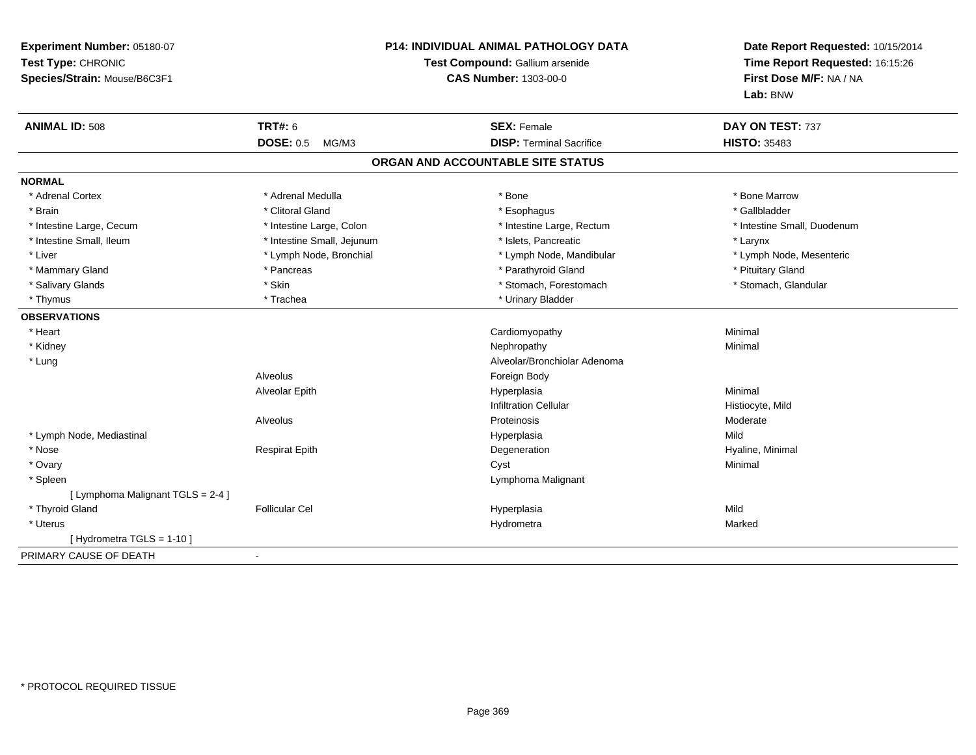| Experiment Number: 05180-07<br>Test Type: CHRONIC<br>Species/Strain: Mouse/B6C3F1 | <b>P14: INDIVIDUAL ANIMAL PATHOLOGY DATA</b><br>Test Compound: Gallium arsenide<br><b>CAS Number: 1303-00-0</b> |                                                       | Date Report Requested: 10/15/2014<br>Time Report Requested: 16:15:26<br>First Dose M/F: NA / NA<br>Lab: BNW |  |
|-----------------------------------------------------------------------------------|-----------------------------------------------------------------------------------------------------------------|-------------------------------------------------------|-------------------------------------------------------------------------------------------------------------|--|
| <b>ANIMAL ID: 508</b>                                                             | <b>TRT#: 6</b><br><b>DOSE: 0.5</b><br>MG/M3                                                                     | <b>SEX: Female</b><br><b>DISP: Terminal Sacrifice</b> | DAY ON TEST: 737<br><b>HISTO: 35483</b>                                                                     |  |
|                                                                                   |                                                                                                                 |                                                       |                                                                                                             |  |
|                                                                                   |                                                                                                                 | ORGAN AND ACCOUNTABLE SITE STATUS                     |                                                                                                             |  |
| <b>NORMAL</b>                                                                     |                                                                                                                 |                                                       |                                                                                                             |  |
| * Adrenal Cortex                                                                  | * Adrenal Medulla                                                                                               | * Bone                                                | * Bone Marrow                                                                                               |  |
| * Brain                                                                           | * Clitoral Gland                                                                                                | * Esophagus                                           | * Gallbladder                                                                                               |  |
| * Intestine Large, Cecum                                                          | * Intestine Large, Colon                                                                                        | * Intestine Large, Rectum                             | * Intestine Small, Duodenum                                                                                 |  |
| * Intestine Small, Ileum                                                          | * Intestine Small, Jejunum                                                                                      | * Islets, Pancreatic                                  | * Larynx                                                                                                    |  |
| * Liver                                                                           | * Lymph Node, Bronchial                                                                                         | * Lymph Node, Mandibular                              | * Lymph Node, Mesenteric                                                                                    |  |
| * Mammary Gland                                                                   | * Pancreas                                                                                                      | * Parathyroid Gland                                   | * Pituitary Gland                                                                                           |  |
| * Salivary Glands                                                                 | * Skin                                                                                                          | * Stomach, Forestomach                                | * Stomach, Glandular                                                                                        |  |
| * Thymus                                                                          | * Trachea                                                                                                       | * Urinary Bladder                                     |                                                                                                             |  |
| <b>OBSERVATIONS</b>                                                               |                                                                                                                 |                                                       |                                                                                                             |  |
| * Heart                                                                           |                                                                                                                 | Cardiomyopathy                                        | Minimal                                                                                                     |  |
| * Kidney                                                                          |                                                                                                                 | Nephropathy                                           | Minimal                                                                                                     |  |
| * Lung                                                                            |                                                                                                                 | Alveolar/Bronchiolar Adenoma                          |                                                                                                             |  |
|                                                                                   | Alveolus                                                                                                        | Foreign Body                                          |                                                                                                             |  |
|                                                                                   | Alveolar Epith                                                                                                  | Hyperplasia                                           | Minimal                                                                                                     |  |
|                                                                                   |                                                                                                                 | <b>Infiltration Cellular</b>                          | Histiocyte, Mild                                                                                            |  |
|                                                                                   | Alveolus                                                                                                        | Proteinosis                                           | Moderate                                                                                                    |  |
| * Lymph Node, Mediastinal                                                         |                                                                                                                 | Hyperplasia                                           | Mild                                                                                                        |  |
| * Nose                                                                            | <b>Respirat Epith</b>                                                                                           | Degeneration                                          | Hyaline, Minimal                                                                                            |  |
| * Ovary                                                                           |                                                                                                                 | Cyst                                                  | Minimal                                                                                                     |  |
| * Spleen                                                                          |                                                                                                                 | Lymphoma Malignant                                    |                                                                                                             |  |
| [ Lymphoma Malignant TGLS = 2-4 ]                                                 |                                                                                                                 |                                                       |                                                                                                             |  |
| * Thyroid Gland                                                                   | <b>Follicular Cel</b>                                                                                           | Hyperplasia                                           | Mild                                                                                                        |  |
| * Uterus                                                                          |                                                                                                                 | Hydrometra                                            | Marked                                                                                                      |  |
| [Hydrometra TGLS = $1-10$ ]                                                       |                                                                                                                 |                                                       |                                                                                                             |  |
| PRIMARY CAUSE OF DEATH                                                            | $\sim$                                                                                                          |                                                       |                                                                                                             |  |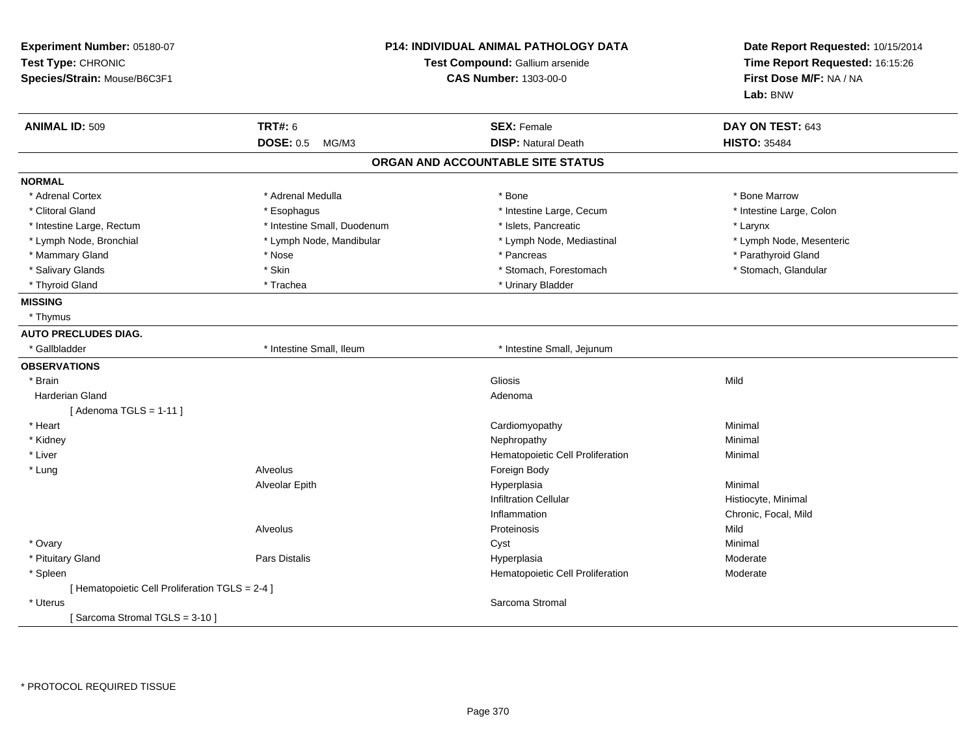| Experiment Number: 05180-07<br>Test Type: CHRONIC<br>Species/Strain: Mouse/B6C3F1 | <b>P14: INDIVIDUAL ANIMAL PATHOLOGY DATA</b><br>Test Compound: Gallium arsenide<br><b>CAS Number: 1303-00-0</b> |                                                  | Date Report Requested: 10/15/2014<br>Time Report Requested: 16:15:26<br>First Dose M/F: NA / NA<br>Lab: BNW |
|-----------------------------------------------------------------------------------|-----------------------------------------------------------------------------------------------------------------|--------------------------------------------------|-------------------------------------------------------------------------------------------------------------|
| <b>ANIMAL ID: 509</b>                                                             | <b>TRT#: 6</b><br>DOSE: 0.5 MG/M3                                                                               | <b>SEX: Female</b><br><b>DISP: Natural Death</b> | DAY ON TEST: 643<br><b>HISTO: 35484</b>                                                                     |
|                                                                                   |                                                                                                                 | ORGAN AND ACCOUNTABLE SITE STATUS                |                                                                                                             |
| <b>NORMAL</b>                                                                     |                                                                                                                 |                                                  |                                                                                                             |
| * Adrenal Cortex                                                                  | * Adrenal Medulla                                                                                               | * Bone                                           | * Bone Marrow                                                                                               |
| * Clitoral Gland                                                                  | * Esophagus                                                                                                     | * Intestine Large, Cecum                         | * Intestine Large, Colon                                                                                    |
| * Intestine Large, Rectum                                                         | * Intestine Small, Duodenum                                                                                     | * Islets, Pancreatic                             | * Larynx                                                                                                    |
| * Lymph Node, Bronchial                                                           | * Lymph Node, Mandibular                                                                                        | * Lymph Node, Mediastinal                        | * Lymph Node, Mesenteric                                                                                    |
| * Mammary Gland                                                                   | * Nose                                                                                                          | * Pancreas                                       | * Parathyroid Gland                                                                                         |
| * Salivary Glands                                                                 | * Skin                                                                                                          | * Stomach, Forestomach                           | * Stomach, Glandular                                                                                        |
| * Thyroid Gland                                                                   | * Trachea                                                                                                       | * Urinary Bladder                                |                                                                                                             |
| <b>MISSING</b>                                                                    |                                                                                                                 |                                                  |                                                                                                             |
| * Thymus                                                                          |                                                                                                                 |                                                  |                                                                                                             |
| <b>AUTO PRECLUDES DIAG.</b>                                                       |                                                                                                                 |                                                  |                                                                                                             |
| * Gallbladder                                                                     | * Intestine Small, Ileum                                                                                        | * Intestine Small, Jejunum                       |                                                                                                             |
| <b>OBSERVATIONS</b>                                                               |                                                                                                                 |                                                  |                                                                                                             |
| * Brain                                                                           |                                                                                                                 | <b>Gliosis</b>                                   | Mild                                                                                                        |
| <b>Harderian Gland</b>                                                            |                                                                                                                 | Adenoma                                          |                                                                                                             |
| [Adenoma TGLS = $1-11$ ]                                                          |                                                                                                                 |                                                  |                                                                                                             |
| * Heart                                                                           |                                                                                                                 | Cardiomyopathy                                   | Minimal                                                                                                     |
| * Kidney                                                                          |                                                                                                                 | Nephropathy                                      | Minimal                                                                                                     |
| * Liver                                                                           |                                                                                                                 | Hematopoietic Cell Proliferation                 | Minimal                                                                                                     |
| * Lung                                                                            | Alveolus                                                                                                        | Foreign Body                                     |                                                                                                             |
|                                                                                   | Alveolar Epith                                                                                                  | Hyperplasia                                      | Minimal                                                                                                     |
|                                                                                   |                                                                                                                 | <b>Infiltration Cellular</b>                     | Histiocyte, Minimal                                                                                         |
|                                                                                   |                                                                                                                 | Inflammation                                     | Chronic, Focal, Mild                                                                                        |
|                                                                                   | Alveolus                                                                                                        | Proteinosis                                      | Mild                                                                                                        |
| * Ovary                                                                           |                                                                                                                 | Cyst                                             | Minimal                                                                                                     |
| * Pituitary Gland                                                                 | Pars Distalis                                                                                                   | Hyperplasia                                      | Moderate                                                                                                    |
| * Spleen                                                                          |                                                                                                                 | Hematopoietic Cell Proliferation                 | Moderate                                                                                                    |
| [ Hematopoietic Cell Proliferation TGLS = 2-4 ]                                   |                                                                                                                 |                                                  |                                                                                                             |
| * Uterus                                                                          |                                                                                                                 | Sarcoma Stromal                                  |                                                                                                             |
| [Sarcoma Stromal TGLS = 3-10]                                                     |                                                                                                                 |                                                  |                                                                                                             |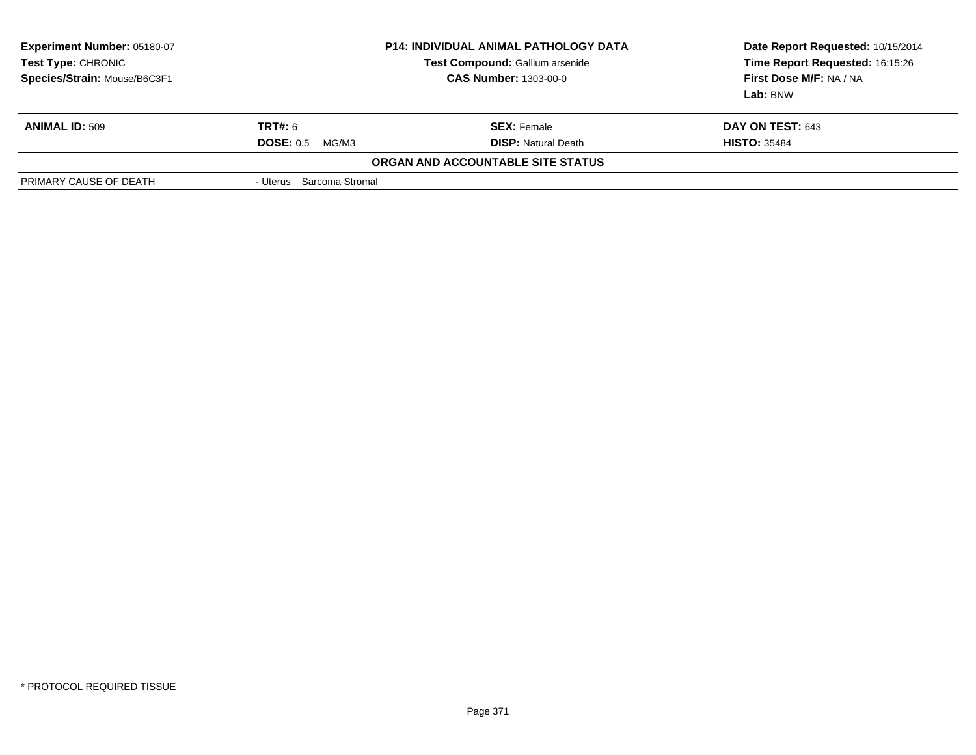| <b>Experiment Number: 05180-07</b><br><b>Test Type: CHRONIC</b><br>Species/Strain: Mouse/B6C3F1 |                           | <b>P14: INDIVIDUAL ANIMAL PATHOLOGY DATA</b><br>Test Compound: Gallium arsenide<br><b>CAS Number: 1303-00-0</b> | Date Report Requested: 10/15/2014<br>Time Report Requested: 16:15:26<br>First Dose M/F: NA / NA<br>Lab: BNW |
|-------------------------------------------------------------------------------------------------|---------------------------|-----------------------------------------------------------------------------------------------------------------|-------------------------------------------------------------------------------------------------------------|
| <b>ANIMAL ID: 509</b>                                                                           | <b>TRT#: 6</b>            | <b>SEX:</b> Female                                                                                              | DAY ON TEST: 643                                                                                            |
|                                                                                                 | <b>DOSE: 0.5</b><br>MG/M3 | <b>DISP: Natural Death</b>                                                                                      | <b>HISTO: 35484</b>                                                                                         |
|                                                                                                 |                           | ORGAN AND ACCOUNTABLE SITE STATUS                                                                               |                                                                                                             |
| PRIMARY CAUSE OF DEATH                                                                          | - Uterus Sarcoma Stromal  |                                                                                                                 |                                                                                                             |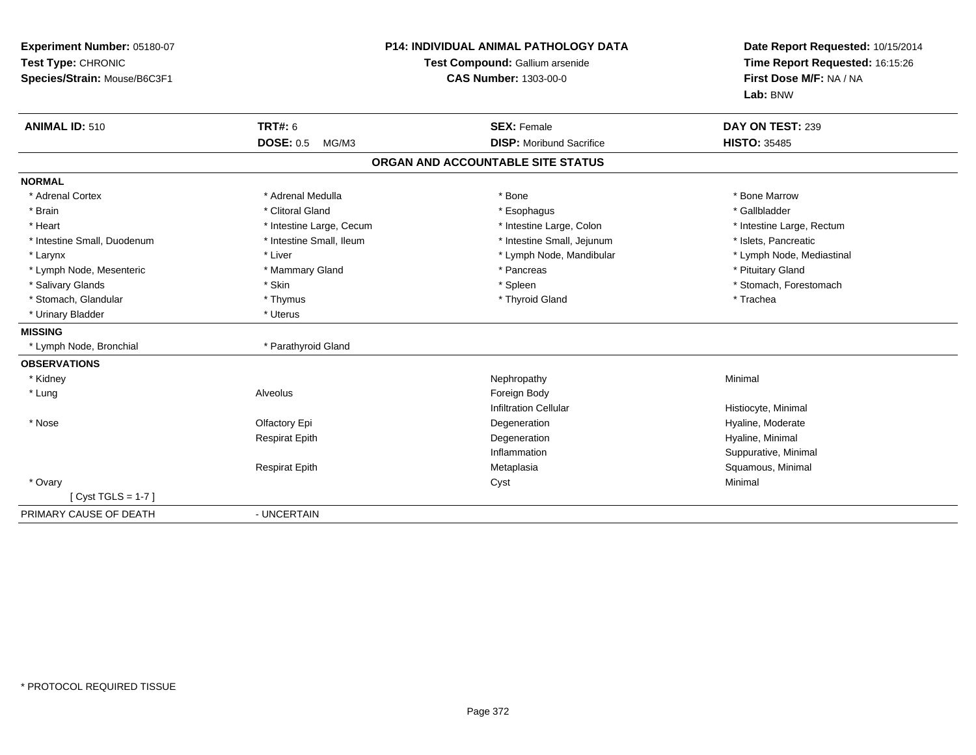| Experiment Number: 05180-07<br>Test Type: CHRONIC<br>Species/Strain: Mouse/B6C3F1 |                           | <b>P14: INDIVIDUAL ANIMAL PATHOLOGY DATA</b><br>Test Compound: Gallium arsenide<br><b>CAS Number: 1303-00-0</b> | Date Report Requested: 10/15/2014<br>Time Report Requested: 16:15:26<br>First Dose M/F: NA / NA<br>Lab: BNW |  |
|-----------------------------------------------------------------------------------|---------------------------|-----------------------------------------------------------------------------------------------------------------|-------------------------------------------------------------------------------------------------------------|--|
| <b>ANIMAL ID: 510</b>                                                             | <b>TRT#: 6</b>            | <b>SEX: Female</b>                                                                                              | DAY ON TEST: 239                                                                                            |  |
|                                                                                   | <b>DOSE: 0.5</b><br>MG/M3 | <b>DISP:</b> Moribund Sacrifice                                                                                 | <b>HISTO: 35485</b>                                                                                         |  |
|                                                                                   |                           | ORGAN AND ACCOUNTABLE SITE STATUS                                                                               |                                                                                                             |  |
| <b>NORMAL</b>                                                                     |                           |                                                                                                                 |                                                                                                             |  |
| * Adrenal Cortex                                                                  | * Adrenal Medulla         | * Bone                                                                                                          | * Bone Marrow                                                                                               |  |
| * Brain                                                                           | * Clitoral Gland          | * Esophagus                                                                                                     | * Gallbladder                                                                                               |  |
| * Heart                                                                           | * Intestine Large, Cecum  | * Intestine Large, Colon                                                                                        | * Intestine Large, Rectum                                                                                   |  |
| * Intestine Small, Duodenum                                                       | * Intestine Small, Ileum  | * Intestine Small, Jejunum                                                                                      | * Islets, Pancreatic                                                                                        |  |
| * Larynx                                                                          | * Liver                   | * Lymph Node, Mandibular                                                                                        | * Lymph Node, Mediastinal                                                                                   |  |
| * Lymph Node, Mesenteric                                                          | * Mammary Gland           | * Pancreas                                                                                                      | * Pituitary Gland                                                                                           |  |
| * Salivary Glands                                                                 | * Skin                    | * Spleen                                                                                                        | * Stomach, Forestomach                                                                                      |  |
| * Stomach, Glandular                                                              | * Thymus                  | * Thyroid Gland                                                                                                 | * Trachea                                                                                                   |  |
| * Urinary Bladder                                                                 | * Uterus                  |                                                                                                                 |                                                                                                             |  |
| <b>MISSING</b>                                                                    |                           |                                                                                                                 |                                                                                                             |  |
| * Lymph Node, Bronchial                                                           | * Parathyroid Gland       |                                                                                                                 |                                                                                                             |  |
| <b>OBSERVATIONS</b>                                                               |                           |                                                                                                                 |                                                                                                             |  |
| * Kidney                                                                          |                           | Nephropathy                                                                                                     | Minimal                                                                                                     |  |
| * Lung                                                                            | Alveolus                  | Foreign Body                                                                                                    |                                                                                                             |  |
|                                                                                   |                           | <b>Infiltration Cellular</b>                                                                                    | Histiocyte, Minimal                                                                                         |  |
| * Nose                                                                            | Olfactory Epi             | Degeneration                                                                                                    | Hyaline, Moderate                                                                                           |  |
|                                                                                   | <b>Respirat Epith</b>     | Degeneration                                                                                                    | Hyaline, Minimal                                                                                            |  |
|                                                                                   |                           | Inflammation                                                                                                    | Suppurative, Minimal                                                                                        |  |
|                                                                                   | <b>Respirat Epith</b>     | Metaplasia                                                                                                      | Squamous, Minimal                                                                                           |  |
| * Ovary                                                                           |                           | Cyst                                                                                                            | Minimal                                                                                                     |  |
| [Cyst TGLS = 1-7]                                                                 |                           |                                                                                                                 |                                                                                                             |  |
| PRIMARY CAUSE OF DEATH                                                            | - UNCERTAIN               |                                                                                                                 |                                                                                                             |  |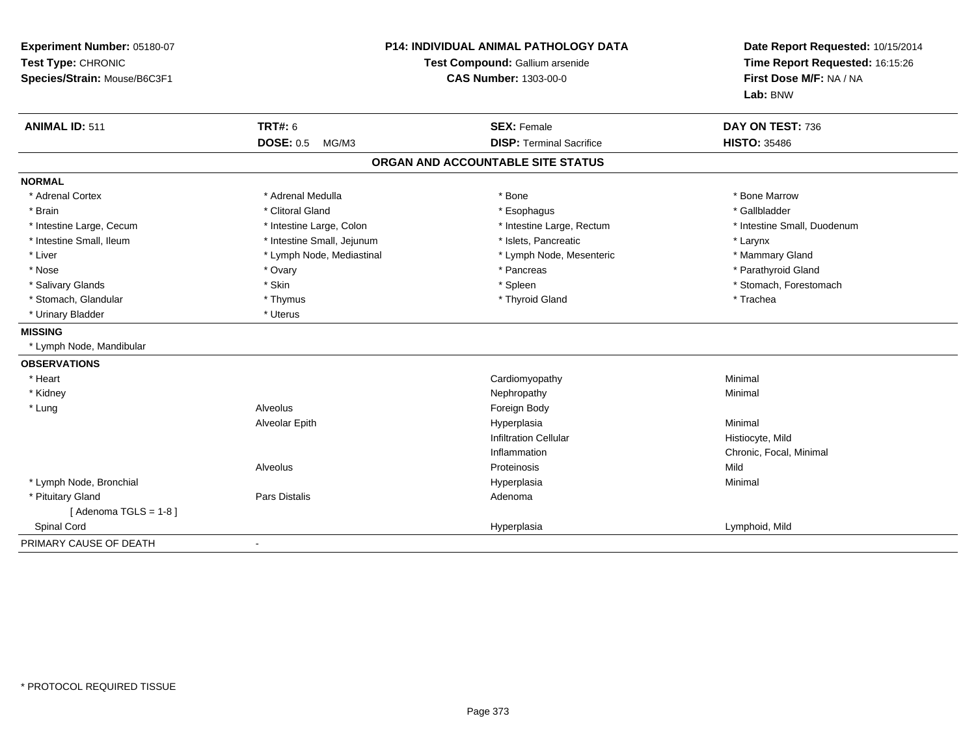| Experiment Number: 05180-07<br>Test Type: CHRONIC<br>Species/Strain: Mouse/B6C3F1 | P14: INDIVIDUAL ANIMAL PATHOLOGY DATA<br>Test Compound: Gallium arsenide<br><b>CAS Number: 1303-00-0</b> |                                   | Date Report Requested: 10/15/2014<br>Time Report Requested: 16:15:26<br>First Dose M/F: NA / NA<br>Lab: BNW |  |
|-----------------------------------------------------------------------------------|----------------------------------------------------------------------------------------------------------|-----------------------------------|-------------------------------------------------------------------------------------------------------------|--|
| <b>ANIMAL ID: 511</b>                                                             | <b>TRT#: 6</b>                                                                                           | <b>SEX: Female</b>                | DAY ON TEST: 736                                                                                            |  |
|                                                                                   | <b>DOSE: 0.5</b><br>MG/M3                                                                                | <b>DISP: Terminal Sacrifice</b>   | <b>HISTO: 35486</b>                                                                                         |  |
|                                                                                   |                                                                                                          | ORGAN AND ACCOUNTABLE SITE STATUS |                                                                                                             |  |
| <b>NORMAL</b>                                                                     |                                                                                                          |                                   |                                                                                                             |  |
| * Adrenal Cortex                                                                  | * Adrenal Medulla                                                                                        | * Bone                            | * Bone Marrow                                                                                               |  |
| * Brain                                                                           | * Clitoral Gland                                                                                         | * Esophagus                       | * Gallbladder                                                                                               |  |
| * Intestine Large, Cecum                                                          | * Intestine Large, Colon                                                                                 | * Intestine Large, Rectum         | * Intestine Small, Duodenum                                                                                 |  |
| * Intestine Small, Ileum                                                          | * Intestine Small, Jejunum                                                                               | * Islets, Pancreatic              | * Larynx                                                                                                    |  |
| * Liver                                                                           | * Lymph Node, Mediastinal                                                                                | * Lymph Node, Mesenteric          | * Mammary Gland                                                                                             |  |
| * Nose                                                                            | * Ovary                                                                                                  | * Pancreas                        | * Parathyroid Gland                                                                                         |  |
| * Salivary Glands                                                                 | * Skin                                                                                                   | * Spleen                          | * Stomach, Forestomach                                                                                      |  |
| * Stomach, Glandular                                                              | * Thymus                                                                                                 | * Thyroid Gland                   | * Trachea                                                                                                   |  |
| * Urinary Bladder                                                                 | * Uterus                                                                                                 |                                   |                                                                                                             |  |
| <b>MISSING</b>                                                                    |                                                                                                          |                                   |                                                                                                             |  |
| * Lymph Node, Mandibular                                                          |                                                                                                          |                                   |                                                                                                             |  |
| <b>OBSERVATIONS</b>                                                               |                                                                                                          |                                   |                                                                                                             |  |
| * Heart                                                                           |                                                                                                          | Cardiomyopathy                    | Minimal                                                                                                     |  |
| * Kidney                                                                          |                                                                                                          | Nephropathy                       | Minimal                                                                                                     |  |
| * Lung                                                                            | Alveolus                                                                                                 | Foreign Body                      |                                                                                                             |  |
|                                                                                   | Alveolar Epith                                                                                           | Hyperplasia                       | Minimal                                                                                                     |  |
|                                                                                   |                                                                                                          | <b>Infiltration Cellular</b>      | Histiocyte, Mild                                                                                            |  |
|                                                                                   |                                                                                                          | Inflammation                      | Chronic, Focal, Minimal                                                                                     |  |
|                                                                                   | Alveolus                                                                                                 | Proteinosis                       | Mild                                                                                                        |  |
| * Lymph Node, Bronchial                                                           |                                                                                                          | Hyperplasia                       | Minimal                                                                                                     |  |
| * Pituitary Gland                                                                 | Pars Distalis                                                                                            | Adenoma                           |                                                                                                             |  |
| [Adenoma TGLS = $1-8$ ]                                                           |                                                                                                          |                                   |                                                                                                             |  |
| Spinal Cord                                                                       |                                                                                                          | Hyperplasia                       | Lymphoid, Mild                                                                                              |  |
| PRIMARY CAUSE OF DEATH                                                            | $\blacksquare$                                                                                           |                                   |                                                                                                             |  |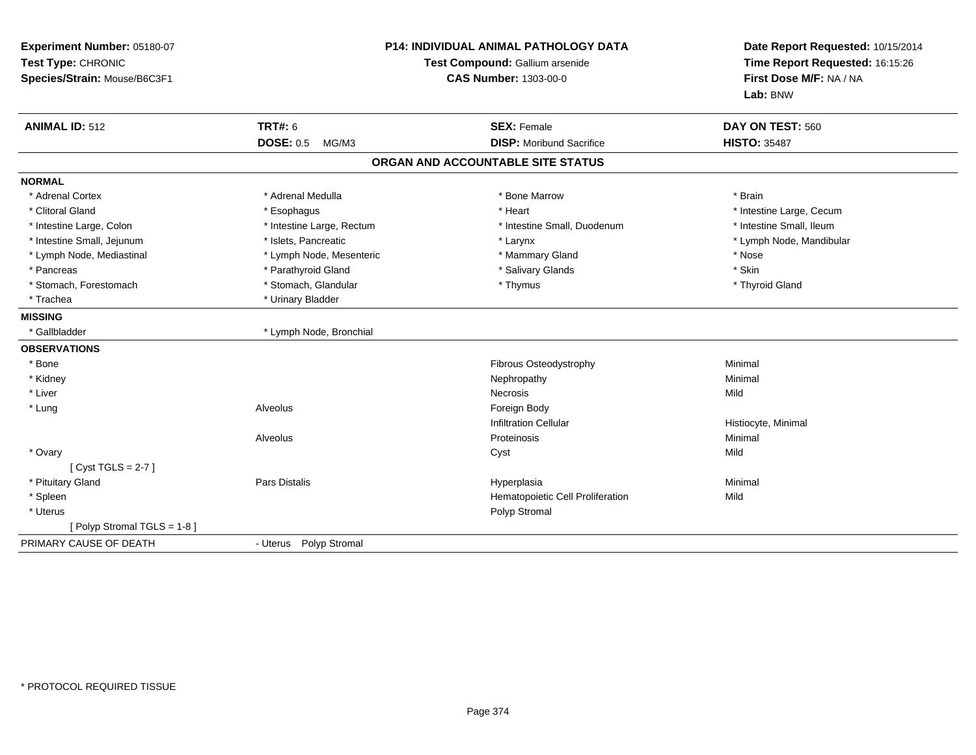| Experiment Number: 05180-07<br>Test Type: CHRONIC<br>Species/Strain: Mouse/B6C3F1 | P14: INDIVIDUAL ANIMAL PATHOLOGY DATA<br>Test Compound: Gallium arsenide<br><b>CAS Number: 1303-00-0</b> |                                                       | Date Report Requested: 10/15/2014<br>Time Report Requested: 16:15:26<br>First Dose M/F: NA / NA<br>Lab: BNW |  |
|-----------------------------------------------------------------------------------|----------------------------------------------------------------------------------------------------------|-------------------------------------------------------|-------------------------------------------------------------------------------------------------------------|--|
| <b>ANIMAL ID: 512</b>                                                             | <b>TRT#: 6</b><br><b>DOSE: 0.5</b><br>MG/M3                                                              | <b>SEX: Female</b><br><b>DISP:</b> Moribund Sacrifice | DAY ON TEST: 560<br><b>HISTO: 35487</b>                                                                     |  |
|                                                                                   |                                                                                                          | ORGAN AND ACCOUNTABLE SITE STATUS                     |                                                                                                             |  |
| <b>NORMAL</b>                                                                     |                                                                                                          |                                                       |                                                                                                             |  |
| * Adrenal Cortex                                                                  | * Adrenal Medulla                                                                                        | * Bone Marrow                                         | * Brain                                                                                                     |  |
| * Clitoral Gland                                                                  | * Esophagus                                                                                              | * Heart                                               | * Intestine Large, Cecum                                                                                    |  |
| * Intestine Large, Colon                                                          | * Intestine Large, Rectum                                                                                | * Intestine Small, Duodenum                           | * Intestine Small, Ileum                                                                                    |  |
| * Intestine Small, Jejunum                                                        | * Islets. Pancreatic                                                                                     | * Larynx                                              | * Lymph Node, Mandibular                                                                                    |  |
| * Lymph Node, Mediastinal                                                         | * Lymph Node, Mesenteric                                                                                 | * Mammary Gland                                       | * Nose                                                                                                      |  |
| * Pancreas                                                                        | * Parathyroid Gland                                                                                      | * Salivary Glands                                     | * Skin                                                                                                      |  |
| * Stomach, Forestomach                                                            | * Stomach, Glandular                                                                                     | * Thymus                                              | * Thyroid Gland                                                                                             |  |
| * Trachea                                                                         | * Urinary Bladder                                                                                        |                                                       |                                                                                                             |  |
| <b>MISSING</b>                                                                    |                                                                                                          |                                                       |                                                                                                             |  |
| * Gallbladder                                                                     | * Lymph Node, Bronchial                                                                                  |                                                       |                                                                                                             |  |
| <b>OBSERVATIONS</b>                                                               |                                                                                                          |                                                       |                                                                                                             |  |
| * Bone                                                                            |                                                                                                          | Fibrous Osteodystrophy                                | Minimal                                                                                                     |  |
| * Kidney                                                                          |                                                                                                          | Nephropathy                                           | Minimal                                                                                                     |  |
| * Liver                                                                           |                                                                                                          | <b>Necrosis</b>                                       | Mild                                                                                                        |  |
| * Lung                                                                            | Alveolus                                                                                                 | Foreign Body                                          |                                                                                                             |  |
|                                                                                   |                                                                                                          | <b>Infiltration Cellular</b>                          | Histiocyte, Minimal                                                                                         |  |
|                                                                                   | Alveolus                                                                                                 | Proteinosis                                           | Minimal                                                                                                     |  |
| * Ovary                                                                           |                                                                                                          | Cyst                                                  | Mild                                                                                                        |  |
| [Cyst TGLS = $2-7$ ]                                                              |                                                                                                          |                                                       |                                                                                                             |  |
| * Pituitary Gland                                                                 | <b>Pars Distalis</b>                                                                                     | Hyperplasia                                           | Minimal                                                                                                     |  |
| * Spleen                                                                          |                                                                                                          | Hematopoietic Cell Proliferation                      | Mild                                                                                                        |  |
| * Uterus                                                                          |                                                                                                          | Polyp Stromal                                         |                                                                                                             |  |
| [Polyp Stromal TGLS = 1-8]                                                        |                                                                                                          |                                                       |                                                                                                             |  |
| PRIMARY CAUSE OF DEATH                                                            | - Uterus Polyp Stromal                                                                                   |                                                       |                                                                                                             |  |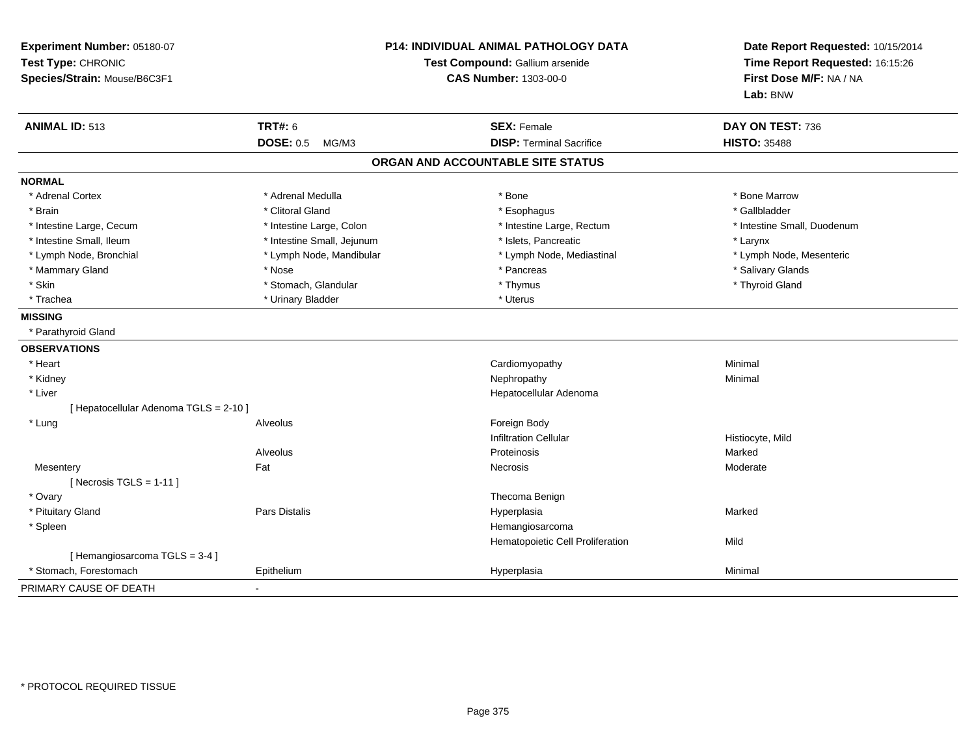| Experiment Number: 05180-07<br>Test Type: CHRONIC<br>Species/Strain: Mouse/B6C3F1 |                            | <b>P14: INDIVIDUAL ANIMAL PATHOLOGY DATA</b><br>Test Compound: Gallium arsenide<br><b>CAS Number: 1303-00-0</b> | Date Report Requested: 10/15/2014<br>Time Report Requested: 16:15:26<br>First Dose M/F: NA / NA<br>Lab: BNW |
|-----------------------------------------------------------------------------------|----------------------------|-----------------------------------------------------------------------------------------------------------------|-------------------------------------------------------------------------------------------------------------|
| <b>ANIMAL ID: 513</b>                                                             | <b>TRT#: 6</b>             | <b>SEX: Female</b>                                                                                              | DAY ON TEST: 736                                                                                            |
|                                                                                   | <b>DOSE: 0.5</b><br>MG/M3  | <b>DISP: Terminal Sacrifice</b>                                                                                 | <b>HISTO: 35488</b>                                                                                         |
|                                                                                   |                            | ORGAN AND ACCOUNTABLE SITE STATUS                                                                               |                                                                                                             |
| <b>NORMAL</b>                                                                     |                            |                                                                                                                 |                                                                                                             |
| * Adrenal Cortex                                                                  | * Adrenal Medulla          | * Bone                                                                                                          | * Bone Marrow                                                                                               |
| * Brain                                                                           | * Clitoral Gland           | * Esophagus                                                                                                     | * Gallbladder                                                                                               |
| * Intestine Large, Cecum                                                          | * Intestine Large, Colon   | * Intestine Large, Rectum                                                                                       | * Intestine Small, Duodenum                                                                                 |
| * Intestine Small, Ileum                                                          | * Intestine Small, Jejunum | * Islets, Pancreatic                                                                                            | * Larynx                                                                                                    |
| * Lymph Node, Bronchial                                                           | * Lymph Node, Mandibular   | * Lymph Node, Mediastinal                                                                                       | * Lymph Node, Mesenteric                                                                                    |
| * Mammary Gland                                                                   | * Nose                     | * Pancreas                                                                                                      | * Salivary Glands                                                                                           |
| * Skin                                                                            | * Stomach, Glandular       | * Thymus                                                                                                        | * Thyroid Gland                                                                                             |
| * Trachea                                                                         | * Urinary Bladder          | * Uterus                                                                                                        |                                                                                                             |
| <b>MISSING</b>                                                                    |                            |                                                                                                                 |                                                                                                             |
| * Parathyroid Gland                                                               |                            |                                                                                                                 |                                                                                                             |
| <b>OBSERVATIONS</b>                                                               |                            |                                                                                                                 |                                                                                                             |
| * Heart                                                                           |                            | Cardiomyopathy                                                                                                  | Minimal                                                                                                     |
| * Kidney                                                                          |                            | Nephropathy                                                                                                     | Minimal                                                                                                     |
| * Liver                                                                           |                            | Hepatocellular Adenoma                                                                                          |                                                                                                             |
| [ Hepatocellular Adenoma TGLS = 2-10 ]                                            |                            |                                                                                                                 |                                                                                                             |
| * Lung                                                                            | Alveolus                   | Foreign Body                                                                                                    |                                                                                                             |
|                                                                                   |                            | <b>Infiltration Cellular</b>                                                                                    | Histiocyte, Mild                                                                                            |
|                                                                                   | Alveolus                   | Proteinosis                                                                                                     | Marked                                                                                                      |
| Mesentery                                                                         | Fat                        | Necrosis                                                                                                        | Moderate                                                                                                    |
| [ Necrosis TGLS = $1-11$ ]                                                        |                            |                                                                                                                 |                                                                                                             |
| * Ovary                                                                           |                            | Thecoma Benign                                                                                                  |                                                                                                             |
| * Pituitary Gland                                                                 | Pars Distalis              | Hyperplasia                                                                                                     | Marked                                                                                                      |
| * Spleen                                                                          |                            | Hemangiosarcoma                                                                                                 |                                                                                                             |
|                                                                                   |                            | Hematopoietic Cell Proliferation                                                                                | Mild                                                                                                        |
| [Hemangiosarcoma TGLS = 3-4]                                                      |                            |                                                                                                                 |                                                                                                             |
| Stomach, Forestomach                                                              | Epithelium                 | Hyperplasia                                                                                                     | Minimal                                                                                                     |
| PRIMARY CAUSE OF DEATH                                                            |                            |                                                                                                                 |                                                                                                             |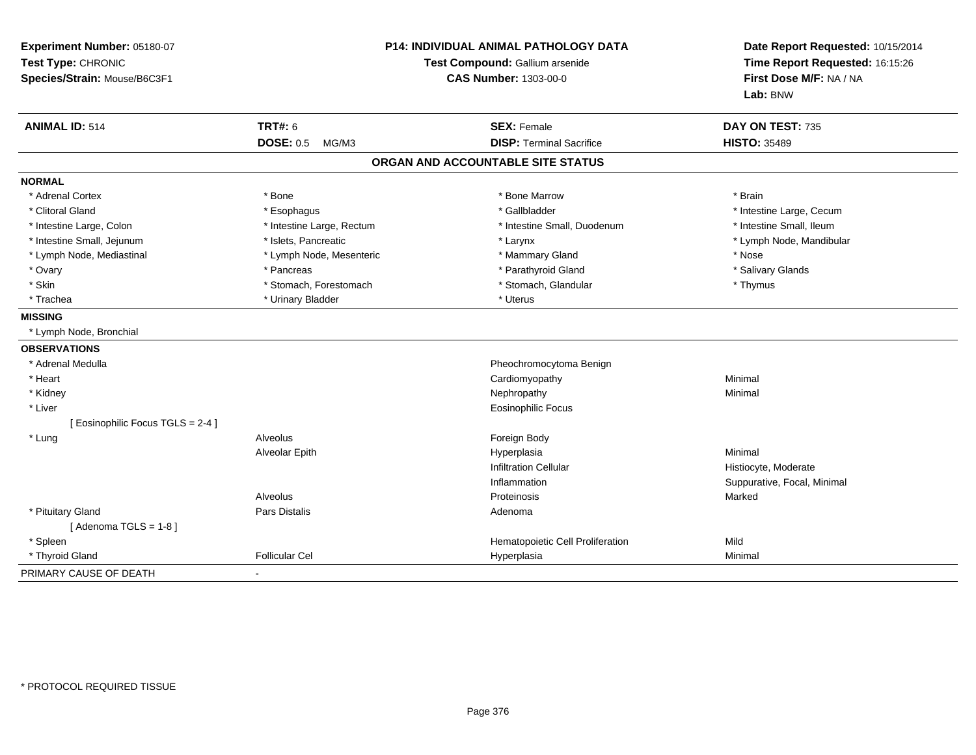| Experiment Number: 05180-07<br>Test Type: CHRONIC<br>Species/Strain: Mouse/B6C3F1 |                           | P14: INDIVIDUAL ANIMAL PATHOLOGY DATA<br>Test Compound: Gallium arsenide<br><b>CAS Number: 1303-00-0</b> | Date Report Requested: 10/15/2014<br>Time Report Requested: 16:15:26<br>First Dose M/F: NA / NA<br>Lab: BNW |
|-----------------------------------------------------------------------------------|---------------------------|----------------------------------------------------------------------------------------------------------|-------------------------------------------------------------------------------------------------------------|
| <b>ANIMAL ID: 514</b>                                                             | TRT#: 6                   | <b>SEX: Female</b>                                                                                       | DAY ON TEST: 735                                                                                            |
|                                                                                   | <b>DOSE: 0.5</b><br>MG/M3 | <b>DISP: Terminal Sacrifice</b>                                                                          | <b>HISTO: 35489</b>                                                                                         |
|                                                                                   |                           | ORGAN AND ACCOUNTABLE SITE STATUS                                                                        |                                                                                                             |
| <b>NORMAL</b>                                                                     |                           |                                                                                                          |                                                                                                             |
| * Adrenal Cortex                                                                  | * Bone                    | * Bone Marrow                                                                                            | * Brain                                                                                                     |
| * Clitoral Gland                                                                  | * Esophagus               | * Gallbladder                                                                                            | * Intestine Large, Cecum                                                                                    |
| * Intestine Large, Colon                                                          | * Intestine Large, Rectum | * Intestine Small, Duodenum                                                                              | * Intestine Small, Ileum                                                                                    |
| * Intestine Small, Jejunum                                                        | * Islets, Pancreatic      | * Larynx                                                                                                 | * Lymph Node, Mandibular                                                                                    |
| * Lymph Node, Mediastinal                                                         | * Lymph Node, Mesenteric  | * Mammary Gland                                                                                          | * Nose                                                                                                      |
| * Ovary                                                                           | * Pancreas                | * Parathyroid Gland                                                                                      | * Salivary Glands                                                                                           |
| * Skin                                                                            | * Stomach, Forestomach    | * Stomach, Glandular                                                                                     | * Thymus                                                                                                    |
| * Trachea                                                                         | * Urinary Bladder         | * Uterus                                                                                                 |                                                                                                             |
| <b>MISSING</b>                                                                    |                           |                                                                                                          |                                                                                                             |
| * Lymph Node, Bronchial                                                           |                           |                                                                                                          |                                                                                                             |
| <b>OBSERVATIONS</b>                                                               |                           |                                                                                                          |                                                                                                             |
| * Adrenal Medulla                                                                 |                           | Pheochromocytoma Benign                                                                                  |                                                                                                             |
| * Heart                                                                           |                           | Cardiomyopathy                                                                                           | Minimal                                                                                                     |
| * Kidney                                                                          |                           | Nephropathy                                                                                              | Minimal                                                                                                     |
| * Liver                                                                           |                           | <b>Eosinophilic Focus</b>                                                                                |                                                                                                             |
| [Eosinophilic Focus TGLS = 2-4]                                                   |                           |                                                                                                          |                                                                                                             |
| * Lung                                                                            | <b>Alveolus</b>           | Foreign Body                                                                                             |                                                                                                             |
|                                                                                   | Alveolar Epith            | Hyperplasia                                                                                              | Minimal                                                                                                     |
|                                                                                   |                           | <b>Infiltration Cellular</b>                                                                             | Histiocyte, Moderate                                                                                        |
|                                                                                   |                           | Inflammation                                                                                             | Suppurative, Focal, Minimal                                                                                 |
|                                                                                   | Alveolus                  | Proteinosis                                                                                              | Marked                                                                                                      |
| * Pituitary Gland                                                                 | Pars Distalis             | Adenoma                                                                                                  |                                                                                                             |
| [Adenoma TGLS = $1-8$ ]                                                           |                           |                                                                                                          |                                                                                                             |
| * Spleen                                                                          |                           | Hematopoietic Cell Proliferation                                                                         | Mild                                                                                                        |
| * Thyroid Gland                                                                   | <b>Follicular Cel</b>     | Hyperplasia                                                                                              | Minimal                                                                                                     |
| PRIMARY CAUSE OF DEATH                                                            |                           |                                                                                                          |                                                                                                             |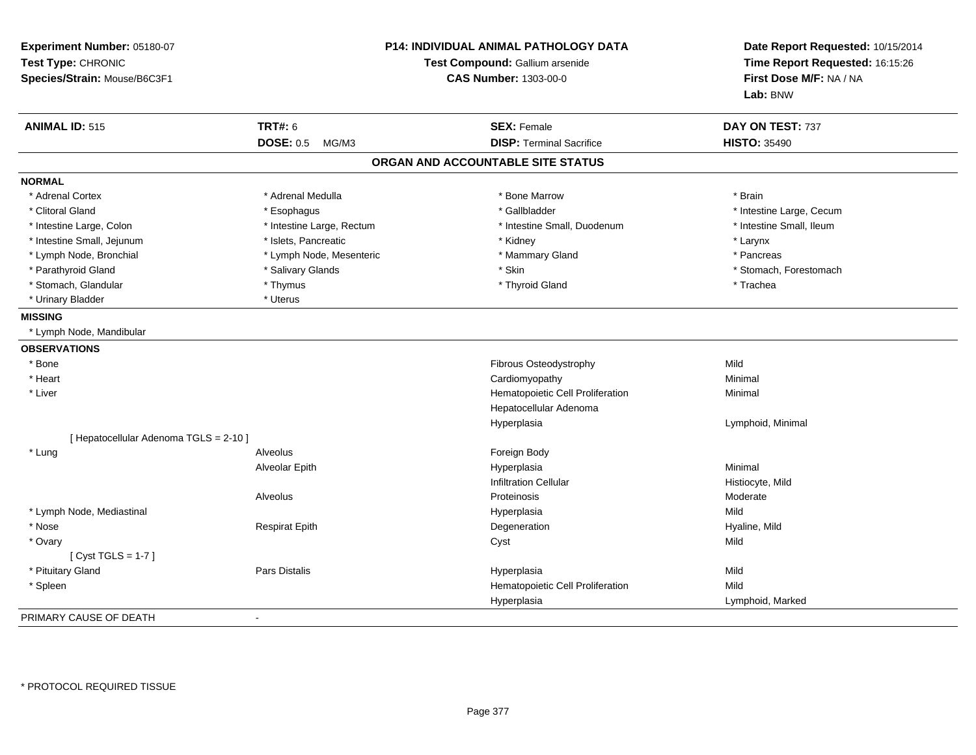| Experiment Number: 05180-07<br>Test Type: CHRONIC<br>Species/Strain: Mouse/B6C3F1 | <b>P14: INDIVIDUAL ANIMAL PATHOLOGY DATA</b><br>Test Compound: Gallium arsenide<br><b>CAS Number: 1303-00-0</b> |                                   | Date Report Requested: 10/15/2014<br>Time Report Requested: 16:15:26<br>First Dose M/F: NA / NA<br>Lab: BNW |  |
|-----------------------------------------------------------------------------------|-----------------------------------------------------------------------------------------------------------------|-----------------------------------|-------------------------------------------------------------------------------------------------------------|--|
| <b>ANIMAL ID: 515</b>                                                             | <b>TRT#: 6</b>                                                                                                  | <b>SEX: Female</b>                | DAY ON TEST: 737                                                                                            |  |
|                                                                                   | <b>DOSE: 0.5</b><br>MG/M3                                                                                       | <b>DISP: Terminal Sacrifice</b>   | <b>HISTO: 35490</b>                                                                                         |  |
|                                                                                   |                                                                                                                 | ORGAN AND ACCOUNTABLE SITE STATUS |                                                                                                             |  |
| <b>NORMAL</b>                                                                     |                                                                                                                 |                                   |                                                                                                             |  |
| * Adrenal Cortex                                                                  | * Adrenal Medulla                                                                                               | * Bone Marrow                     | * Brain                                                                                                     |  |
| * Clitoral Gland                                                                  | * Esophagus                                                                                                     | * Gallbladder                     | * Intestine Large, Cecum                                                                                    |  |
| * Intestine Large, Colon                                                          | * Intestine Large, Rectum                                                                                       | * Intestine Small, Duodenum       | * Intestine Small, Ileum                                                                                    |  |
| * Intestine Small, Jejunum                                                        | * Islets, Pancreatic                                                                                            | * Kidney                          | * Larynx                                                                                                    |  |
| * Lymph Node, Bronchial                                                           | * Lymph Node, Mesenteric                                                                                        | * Mammary Gland                   | * Pancreas                                                                                                  |  |
| * Parathyroid Gland                                                               | * Salivary Glands                                                                                               | * Skin                            | * Stomach, Forestomach                                                                                      |  |
| * Stomach, Glandular                                                              | * Thymus                                                                                                        | * Thyroid Gland                   | * Trachea                                                                                                   |  |
| * Urinary Bladder                                                                 | * Uterus                                                                                                        |                                   |                                                                                                             |  |
| <b>MISSING</b>                                                                    |                                                                                                                 |                                   |                                                                                                             |  |
| * Lymph Node, Mandibular                                                          |                                                                                                                 |                                   |                                                                                                             |  |
| <b>OBSERVATIONS</b>                                                               |                                                                                                                 |                                   |                                                                                                             |  |
| * Bone                                                                            |                                                                                                                 | Fibrous Osteodystrophy            | Mild                                                                                                        |  |
| * Heart                                                                           |                                                                                                                 | Cardiomyopathy                    | Minimal                                                                                                     |  |
| * Liver                                                                           |                                                                                                                 | Hematopoietic Cell Proliferation  | Minimal                                                                                                     |  |
|                                                                                   |                                                                                                                 | Hepatocellular Adenoma            |                                                                                                             |  |
|                                                                                   |                                                                                                                 | Hyperplasia                       | Lymphoid, Minimal                                                                                           |  |
| [ Hepatocellular Adenoma TGLS = 2-10 ]                                            |                                                                                                                 |                                   |                                                                                                             |  |
| * Lung                                                                            | Alveolus                                                                                                        | Foreign Body                      |                                                                                                             |  |
|                                                                                   | Alveolar Epith                                                                                                  | Hyperplasia                       | Minimal                                                                                                     |  |
|                                                                                   |                                                                                                                 | <b>Infiltration Cellular</b>      | Histiocyte, Mild                                                                                            |  |
|                                                                                   | Alveolus                                                                                                        | Proteinosis                       | Moderate                                                                                                    |  |
| * Lymph Node, Mediastinal                                                         |                                                                                                                 | Hyperplasia                       | Mild                                                                                                        |  |
| * Nose                                                                            | <b>Respirat Epith</b>                                                                                           | Degeneration                      | Hyaline, Mild                                                                                               |  |
| * Ovary                                                                           |                                                                                                                 | Cyst                              | Mild                                                                                                        |  |
| [Cyst TGLS = $1-7$ ]                                                              |                                                                                                                 |                                   |                                                                                                             |  |
| * Pituitary Gland                                                                 | Pars Distalis                                                                                                   | Hyperplasia                       | Mild                                                                                                        |  |
| * Spleen                                                                          |                                                                                                                 | Hematopoietic Cell Proliferation  | Mild                                                                                                        |  |
|                                                                                   |                                                                                                                 | Hyperplasia                       | Lymphoid, Marked                                                                                            |  |
| PRIMARY CAUSE OF DEATH                                                            | $\sim$                                                                                                          |                                   |                                                                                                             |  |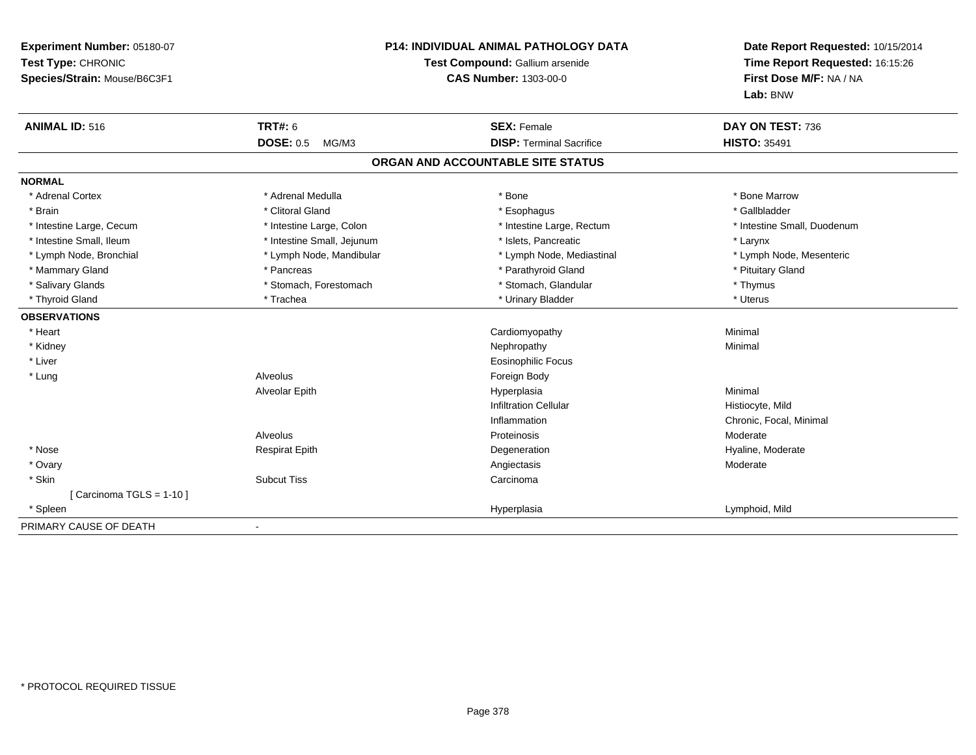| Experiment Number: 05180-07<br>Test Type: CHRONIC<br>Species/Strain: Mouse/B6C3F1 | <b>P14: INDIVIDUAL ANIMAL PATHOLOGY DATA</b><br>Test Compound: Gallium arsenide<br><b>CAS Number: 1303-00-0</b> |                                   | Date Report Requested: 10/15/2014<br>Time Report Requested: 16:15:26<br>First Dose M/F: NA / NA<br>Lab: BNW |
|-----------------------------------------------------------------------------------|-----------------------------------------------------------------------------------------------------------------|-----------------------------------|-------------------------------------------------------------------------------------------------------------|
| <b>ANIMAL ID: 516</b>                                                             | <b>TRT#: 6</b>                                                                                                  | <b>SEX: Female</b>                | DAY ON TEST: 736                                                                                            |
|                                                                                   | <b>DOSE: 0.5</b><br>MG/M3                                                                                       | <b>DISP: Terminal Sacrifice</b>   | <b>HISTO: 35491</b>                                                                                         |
|                                                                                   |                                                                                                                 | ORGAN AND ACCOUNTABLE SITE STATUS |                                                                                                             |
| <b>NORMAL</b>                                                                     |                                                                                                                 |                                   |                                                                                                             |
| * Adrenal Cortex                                                                  | * Adrenal Medulla                                                                                               | * Bone                            | * Bone Marrow                                                                                               |
| * Brain                                                                           | * Clitoral Gland                                                                                                | * Esophagus                       | * Gallbladder                                                                                               |
| * Intestine Large, Cecum                                                          | * Intestine Large, Colon                                                                                        | * Intestine Large, Rectum         | * Intestine Small, Duodenum                                                                                 |
| * Intestine Small, Ileum                                                          | * Intestine Small, Jejunum                                                                                      | * Islets, Pancreatic              | * Larynx                                                                                                    |
| * Lymph Node, Bronchial                                                           | * Lymph Node, Mandibular                                                                                        | * Lymph Node, Mediastinal         | * Lymph Node, Mesenteric                                                                                    |
| * Mammary Gland                                                                   | * Pancreas                                                                                                      | * Parathyroid Gland               | * Pituitary Gland                                                                                           |
| * Salivary Glands                                                                 | * Stomach, Forestomach                                                                                          | * Stomach, Glandular              | * Thymus                                                                                                    |
| * Thyroid Gland                                                                   | * Trachea                                                                                                       | * Urinary Bladder                 | * Uterus                                                                                                    |
| <b>OBSERVATIONS</b>                                                               |                                                                                                                 |                                   |                                                                                                             |
| * Heart                                                                           |                                                                                                                 | Cardiomyopathy                    | Minimal                                                                                                     |
| * Kidney                                                                          |                                                                                                                 | Nephropathy                       | Minimal                                                                                                     |
| * Liver                                                                           |                                                                                                                 | <b>Eosinophilic Focus</b>         |                                                                                                             |
| * Lung                                                                            | Alveolus                                                                                                        | Foreign Body                      |                                                                                                             |
|                                                                                   | Alveolar Epith                                                                                                  | Hyperplasia                       | Minimal                                                                                                     |
|                                                                                   |                                                                                                                 | <b>Infiltration Cellular</b>      | Histiocyte, Mild                                                                                            |
|                                                                                   |                                                                                                                 | Inflammation                      | Chronic, Focal, Minimal                                                                                     |
|                                                                                   | Alveolus                                                                                                        | Proteinosis                       | Moderate                                                                                                    |
| * Nose                                                                            | <b>Respirat Epith</b>                                                                                           | Degeneration                      | Hyaline, Moderate                                                                                           |
| * Ovary                                                                           |                                                                                                                 | Angiectasis                       | Moderate                                                                                                    |
| * Skin                                                                            | <b>Subcut Tiss</b>                                                                                              | Carcinoma                         |                                                                                                             |
| [Carcinoma TGLS = $1-10$ ]                                                        |                                                                                                                 |                                   |                                                                                                             |
| * Spleen                                                                          |                                                                                                                 | Hyperplasia                       | Lymphoid, Mild                                                                                              |
| PRIMARY CAUSE OF DEATH                                                            |                                                                                                                 |                                   |                                                                                                             |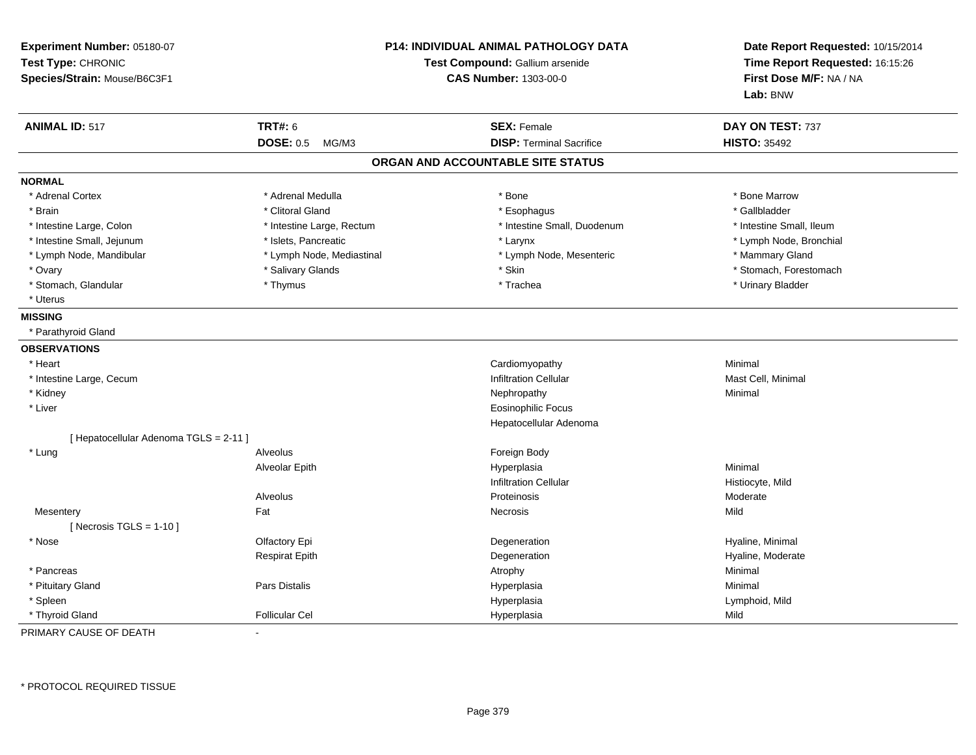| Experiment Number: 05180-07<br>Test Type: CHRONIC<br>Species/Strain: Mouse/B6C3F1 |                           | P14: INDIVIDUAL ANIMAL PATHOLOGY DATA<br>Test Compound: Gallium arsenide<br><b>CAS Number: 1303-00-0</b> | Date Report Requested: 10/15/2014<br>Time Report Requested: 16:15:26<br>First Dose M/F: NA / NA<br>Lab: BNW |
|-----------------------------------------------------------------------------------|---------------------------|----------------------------------------------------------------------------------------------------------|-------------------------------------------------------------------------------------------------------------|
| <b>ANIMAL ID: 517</b>                                                             | <b>TRT#: 6</b>            | <b>SEX: Female</b>                                                                                       | DAY ON TEST: 737                                                                                            |
|                                                                                   | <b>DOSE: 0.5</b><br>MG/M3 | <b>DISP: Terminal Sacrifice</b>                                                                          | <b>HISTO: 35492</b>                                                                                         |
|                                                                                   |                           | ORGAN AND ACCOUNTABLE SITE STATUS                                                                        |                                                                                                             |
| <b>NORMAL</b>                                                                     |                           |                                                                                                          |                                                                                                             |
| * Adrenal Cortex                                                                  | * Adrenal Medulla         | * Bone                                                                                                   | * Bone Marrow                                                                                               |
| * Brain                                                                           | * Clitoral Gland          | * Esophagus                                                                                              | * Gallbladder                                                                                               |
| * Intestine Large, Colon                                                          | * Intestine Large, Rectum | * Intestine Small, Duodenum                                                                              | * Intestine Small, Ileum                                                                                    |
| * Intestine Small, Jejunum                                                        | * Islets, Pancreatic      | * Larynx                                                                                                 | * Lymph Node, Bronchial                                                                                     |
| * Lymph Node, Mandibular                                                          | * Lymph Node, Mediastinal | * Lymph Node, Mesenteric                                                                                 | * Mammary Gland                                                                                             |
| * Ovary                                                                           | * Salivary Glands         | * Skin                                                                                                   | * Stomach, Forestomach                                                                                      |
| * Stomach, Glandular                                                              | * Thymus                  | * Trachea                                                                                                | * Urinary Bladder                                                                                           |
| * Uterus                                                                          |                           |                                                                                                          |                                                                                                             |
| <b>MISSING</b>                                                                    |                           |                                                                                                          |                                                                                                             |
| * Parathyroid Gland                                                               |                           |                                                                                                          |                                                                                                             |
| <b>OBSERVATIONS</b>                                                               |                           |                                                                                                          |                                                                                                             |
| * Heart                                                                           |                           | Cardiomyopathy                                                                                           | Minimal                                                                                                     |
| * Intestine Large, Cecum                                                          |                           | <b>Infiltration Cellular</b>                                                                             | Mast Cell, Minimal                                                                                          |
| * Kidney                                                                          |                           | Nephropathy                                                                                              | Minimal                                                                                                     |
| * Liver                                                                           |                           | <b>Eosinophilic Focus</b>                                                                                |                                                                                                             |
|                                                                                   |                           | Hepatocellular Adenoma                                                                                   |                                                                                                             |
| [ Hepatocellular Adenoma TGLS = 2-11 ]                                            |                           |                                                                                                          |                                                                                                             |
| * Lung                                                                            | Alveolus                  | Foreign Body                                                                                             |                                                                                                             |
|                                                                                   | Alveolar Epith            | Hyperplasia                                                                                              | Minimal                                                                                                     |
|                                                                                   |                           | <b>Infiltration Cellular</b>                                                                             | Histiocyte, Mild                                                                                            |
|                                                                                   | Alveolus                  | Proteinosis                                                                                              | Moderate                                                                                                    |
| Mesentery                                                                         | Fat                       | Necrosis                                                                                                 | Mild                                                                                                        |
| [ Necrosis $TGLS = 1-10$ ]                                                        |                           |                                                                                                          |                                                                                                             |
| * Nose                                                                            | Olfactory Epi             | Degeneration                                                                                             | Hyaline, Minimal                                                                                            |
|                                                                                   | <b>Respirat Epith</b>     | Degeneration                                                                                             | Hyaline, Moderate                                                                                           |
| * Pancreas                                                                        |                           | Atrophy                                                                                                  | Minimal                                                                                                     |
| * Pituitary Gland                                                                 | Pars Distalis             | Hyperplasia                                                                                              | Minimal                                                                                                     |
| * Spleen                                                                          |                           | Hyperplasia                                                                                              | Lymphoid, Mild                                                                                              |
| * Thyroid Gland                                                                   | <b>Follicular Cel</b>     | Hyperplasia                                                                                              | Mild                                                                                                        |

PRIMARY CAUSE OF DEATH-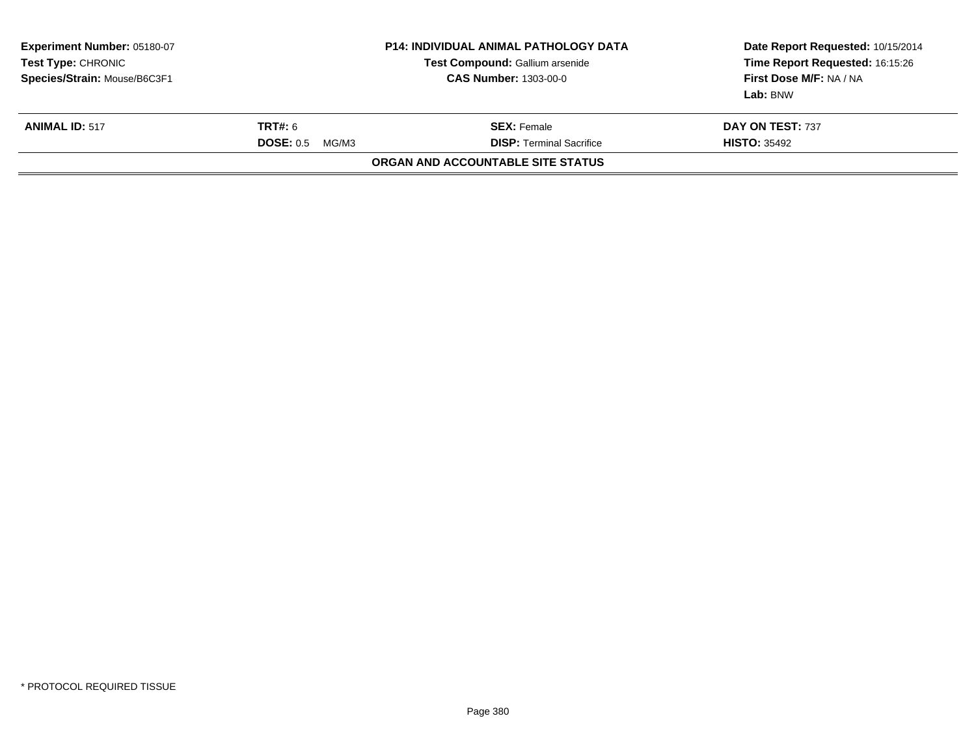| <b>Experiment Number: 05180-07</b><br><b>Test Type: CHRONIC</b><br>Species/Strain: Mouse/B6C3F1 |                    | <b>P14: INDIVIDUAL ANIMAL PATHOLOGY DATA</b><br>Test Compound: Gallium arsenide<br><b>CAS Number: 1303-00-0</b> | Date Report Requested: 10/15/2014<br>Time Report Requested: 16:15:26<br>First Dose M/F: NA / NA<br>Lab: BNW |
|-------------------------------------------------------------------------------------------------|--------------------|-----------------------------------------------------------------------------------------------------------------|-------------------------------------------------------------------------------------------------------------|
| <b>ANIMAL ID: 517</b>                                                                           | <b>TRT#: 6</b>     | <b>SEX:</b> Female                                                                                              | DAY ON TEST: 737                                                                                            |
|                                                                                                 | DOSE: 0.5<br>MG/M3 | <b>DISP:</b> Terminal Sacrifice                                                                                 | <b>HISTO: 35492</b>                                                                                         |
|                                                                                                 |                    | ORGAN AND ACCOUNTABLE SITE STATUS                                                                               |                                                                                                             |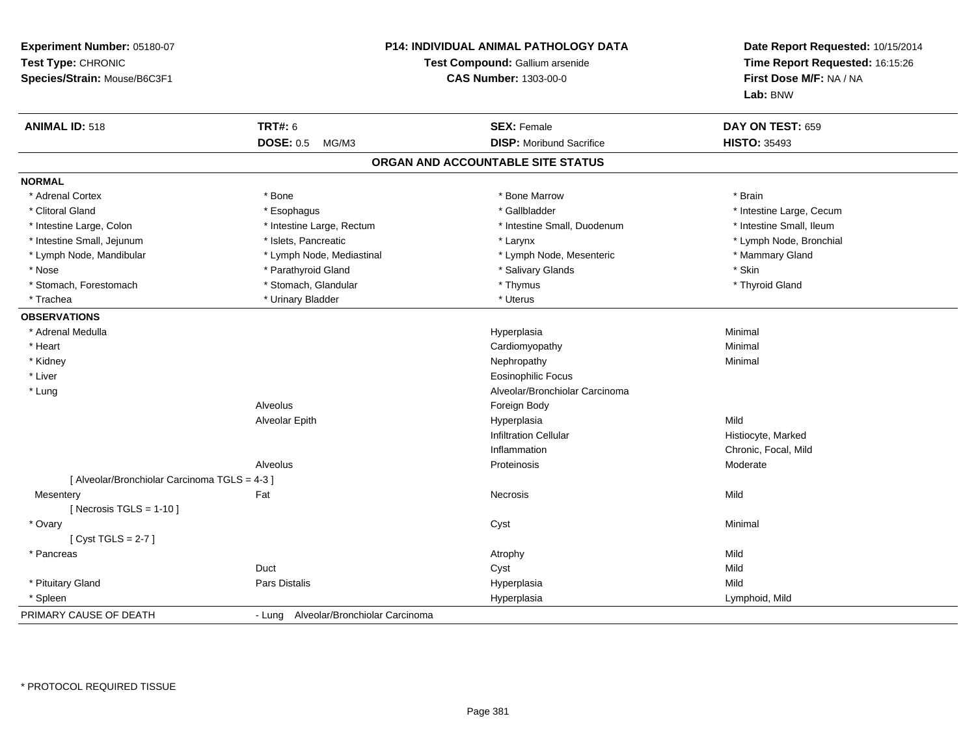| Experiment Number: 05180-07<br>Test Type: CHRONIC<br>Species/Strain: Mouse/B6C3F1 |                                       | P14: INDIVIDUAL ANIMAL PATHOLOGY DATA<br>Test Compound: Gallium arsenide<br><b>CAS Number: 1303-00-0</b> | Date Report Requested: 10/15/2014<br>Time Report Requested: 16:15:26<br>First Dose M/F: NA / NA<br>Lab: BNW |
|-----------------------------------------------------------------------------------|---------------------------------------|----------------------------------------------------------------------------------------------------------|-------------------------------------------------------------------------------------------------------------|
| <b>ANIMAL ID: 518</b>                                                             | <b>TRT#: 6</b>                        | <b>SEX: Female</b>                                                                                       | DAY ON TEST: 659                                                                                            |
|                                                                                   | <b>DOSE: 0.5</b><br>MG/M3             | <b>DISP:</b> Moribund Sacrifice                                                                          | <b>HISTO: 35493</b>                                                                                         |
|                                                                                   |                                       | ORGAN AND ACCOUNTABLE SITE STATUS                                                                        |                                                                                                             |
| <b>NORMAL</b>                                                                     |                                       |                                                                                                          |                                                                                                             |
| * Adrenal Cortex                                                                  | * Bone                                | * Bone Marrow                                                                                            | * Brain                                                                                                     |
| * Clitoral Gland                                                                  | * Esophagus                           | * Gallbladder                                                                                            | * Intestine Large, Cecum                                                                                    |
| * Intestine Large, Colon                                                          | * Intestine Large, Rectum             | * Intestine Small, Duodenum                                                                              | * Intestine Small, Ileum                                                                                    |
| * Intestine Small, Jejunum                                                        | * Islets, Pancreatic                  | * Larynx                                                                                                 | * Lymph Node, Bronchial                                                                                     |
| * Lymph Node, Mandibular                                                          | * Lymph Node, Mediastinal             | * Lymph Node, Mesenteric                                                                                 | * Mammary Gland                                                                                             |
| * Nose                                                                            | * Parathyroid Gland                   | * Salivary Glands                                                                                        | * Skin                                                                                                      |
| * Stomach, Forestomach                                                            | * Stomach, Glandular                  | * Thymus                                                                                                 | * Thyroid Gland                                                                                             |
| * Trachea                                                                         | * Urinary Bladder                     | * Uterus                                                                                                 |                                                                                                             |
| <b>OBSERVATIONS</b>                                                               |                                       |                                                                                                          |                                                                                                             |
| * Adrenal Medulla                                                                 |                                       | Hyperplasia                                                                                              | Minimal                                                                                                     |
| * Heart                                                                           |                                       | Cardiomyopathy                                                                                           | Minimal                                                                                                     |
| * Kidney                                                                          |                                       | Nephropathy                                                                                              | Minimal                                                                                                     |
| * Liver                                                                           |                                       | <b>Eosinophilic Focus</b>                                                                                |                                                                                                             |
| * Lung                                                                            |                                       | Alveolar/Bronchiolar Carcinoma                                                                           |                                                                                                             |
|                                                                                   | Alveolus                              | Foreign Body                                                                                             |                                                                                                             |
|                                                                                   | Alveolar Epith                        | Hyperplasia                                                                                              | Mild                                                                                                        |
|                                                                                   |                                       | <b>Infiltration Cellular</b>                                                                             | Histiocyte, Marked                                                                                          |
|                                                                                   |                                       | Inflammation                                                                                             | Chronic, Focal, Mild                                                                                        |
|                                                                                   | Alveolus                              | Proteinosis                                                                                              | Moderate                                                                                                    |
| [ Alveolar/Bronchiolar Carcinoma TGLS = 4-3 ]                                     |                                       |                                                                                                          |                                                                                                             |
| Mesentery                                                                         | Fat                                   | Necrosis                                                                                                 | Mild                                                                                                        |
| [Necrosis TGLS = $1-10$ ]                                                         |                                       |                                                                                                          |                                                                                                             |
| * Ovary                                                                           |                                       | Cyst                                                                                                     | Minimal                                                                                                     |
| [Cyst TGLS = $2-7$ ]                                                              |                                       |                                                                                                          |                                                                                                             |
| * Pancreas                                                                        |                                       | Atrophy                                                                                                  | Mild                                                                                                        |
|                                                                                   | Duct                                  | Cyst                                                                                                     | Mild                                                                                                        |
| * Pituitary Gland                                                                 | Pars Distalis                         | Hyperplasia                                                                                              | Mild                                                                                                        |
| * Spleen                                                                          |                                       | Hyperplasia                                                                                              | Lymphoid, Mild                                                                                              |
| PRIMARY CAUSE OF DEATH                                                            | - Lung Alveolar/Bronchiolar Carcinoma |                                                                                                          |                                                                                                             |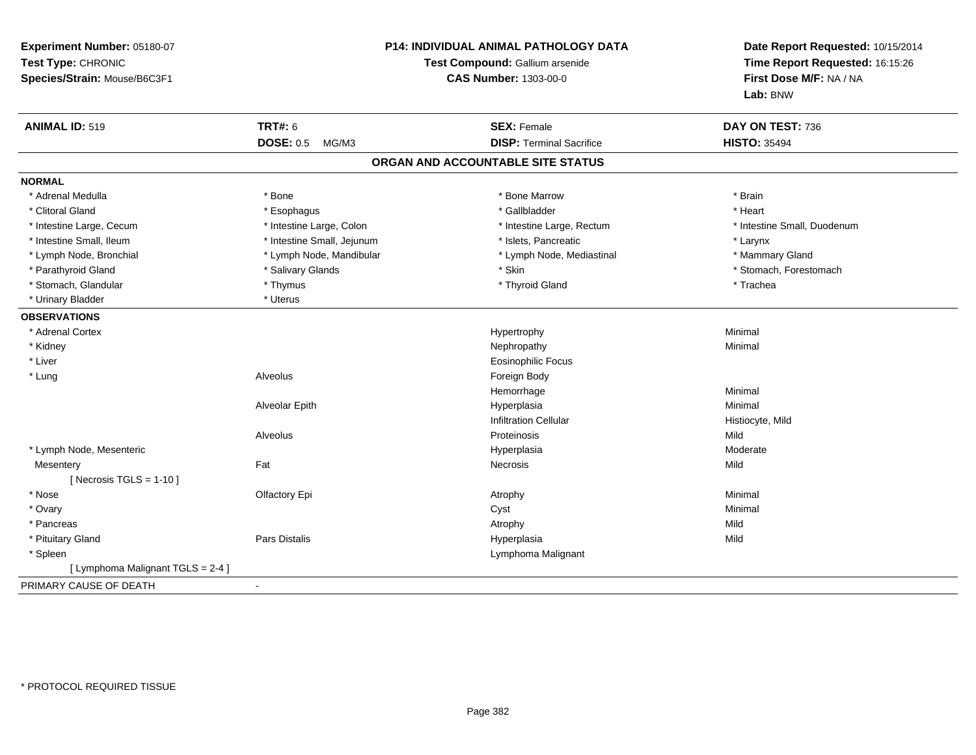| Experiment Number: 05180-07<br>Test Type: CHRONIC<br>Species/Strain: Mouse/B6C3F1 | <b>P14: INDIVIDUAL ANIMAL PATHOLOGY DATA</b><br>Test Compound: Gallium arsenide<br><b>CAS Number: 1303-00-0</b> |                                   | Date Report Requested: 10/15/2014<br>Time Report Requested: 16:15:26<br>First Dose M/F: NA / NA<br>Lab: BNW |  |
|-----------------------------------------------------------------------------------|-----------------------------------------------------------------------------------------------------------------|-----------------------------------|-------------------------------------------------------------------------------------------------------------|--|
| <b>ANIMAL ID: 519</b>                                                             | <b>TRT#: 6</b>                                                                                                  | <b>SEX: Female</b>                | DAY ON TEST: 736                                                                                            |  |
|                                                                                   | DOSE: 0.5 MG/M3                                                                                                 | <b>DISP: Terminal Sacrifice</b>   | <b>HISTO: 35494</b>                                                                                         |  |
|                                                                                   |                                                                                                                 | ORGAN AND ACCOUNTABLE SITE STATUS |                                                                                                             |  |
| <b>NORMAL</b>                                                                     |                                                                                                                 |                                   |                                                                                                             |  |
| * Adrenal Medulla                                                                 | * Bone                                                                                                          | * Bone Marrow                     | * Brain                                                                                                     |  |
| * Clitoral Gland                                                                  | * Esophagus                                                                                                     | * Gallbladder                     | * Heart                                                                                                     |  |
| * Intestine Large, Cecum                                                          | * Intestine Large, Colon                                                                                        | * Intestine Large, Rectum         | * Intestine Small, Duodenum                                                                                 |  |
| * Intestine Small, Ileum                                                          | * Intestine Small, Jejunum                                                                                      | * Islets, Pancreatic              | * Larynx                                                                                                    |  |
| * Lymph Node, Bronchial                                                           | * Lymph Node, Mandibular                                                                                        | * Lymph Node, Mediastinal         | * Mammary Gland                                                                                             |  |
| * Parathyroid Gland                                                               | * Salivary Glands                                                                                               | * Skin                            | * Stomach, Forestomach                                                                                      |  |
| * Stomach, Glandular                                                              | * Thymus                                                                                                        | * Thyroid Gland                   | * Trachea                                                                                                   |  |
| * Urinary Bladder                                                                 | * Uterus                                                                                                        |                                   |                                                                                                             |  |
| <b>OBSERVATIONS</b>                                                               |                                                                                                                 |                                   |                                                                                                             |  |
| * Adrenal Cortex                                                                  |                                                                                                                 | Hypertrophy                       | Minimal                                                                                                     |  |
| * Kidney                                                                          |                                                                                                                 | Nephropathy                       | Minimal                                                                                                     |  |
| * Liver                                                                           |                                                                                                                 | <b>Eosinophilic Focus</b>         |                                                                                                             |  |
| * Lung                                                                            | Alveolus                                                                                                        | Foreign Body                      |                                                                                                             |  |
|                                                                                   |                                                                                                                 | Hemorrhage                        | Minimal                                                                                                     |  |
|                                                                                   | Alveolar Epith                                                                                                  | Hyperplasia                       | Minimal                                                                                                     |  |
|                                                                                   |                                                                                                                 | <b>Infiltration Cellular</b>      | Histiocyte, Mild                                                                                            |  |
|                                                                                   | Alveolus                                                                                                        | Proteinosis                       | Mild                                                                                                        |  |
| * Lymph Node, Mesenteric                                                          |                                                                                                                 | Hyperplasia                       | Moderate                                                                                                    |  |
| Mesentery                                                                         | Fat                                                                                                             | Necrosis                          | Mild                                                                                                        |  |
| [ Necrosis TGLS = $1-10$ ]                                                        |                                                                                                                 |                                   |                                                                                                             |  |
| * Nose                                                                            | Olfactory Epi                                                                                                   | Atrophy                           | Minimal                                                                                                     |  |
| * Ovary                                                                           |                                                                                                                 | Cyst                              | Minimal                                                                                                     |  |
| * Pancreas                                                                        |                                                                                                                 | Atrophy                           | Mild                                                                                                        |  |
| * Pituitary Gland                                                                 | Pars Distalis                                                                                                   | Hyperplasia                       | Mild                                                                                                        |  |
| * Spleen                                                                          |                                                                                                                 | Lymphoma Malignant                |                                                                                                             |  |
| [ Lymphoma Malignant TGLS = 2-4 ]                                                 |                                                                                                                 |                                   |                                                                                                             |  |
| PRIMARY CAUSE OF DEATH                                                            | $\sim$                                                                                                          |                                   |                                                                                                             |  |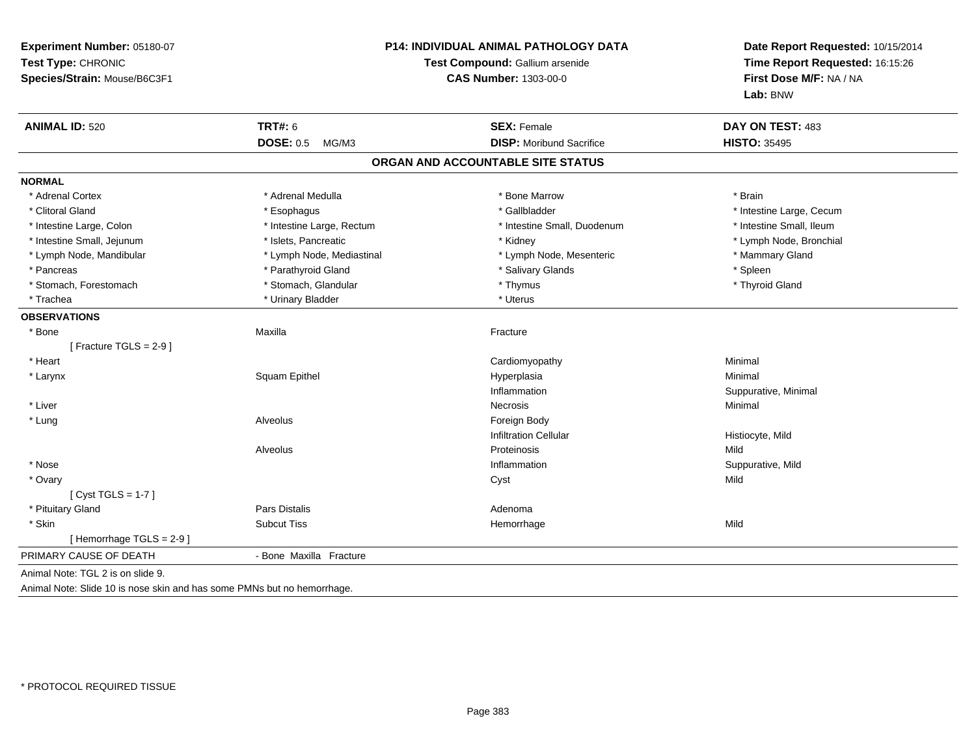| Experiment Number: 05180-07<br>Test Type: CHRONIC<br>Species/Strain: Mouse/B6C3F1 | <b>P14: INDIVIDUAL ANIMAL PATHOLOGY DATA</b><br>Test Compound: Gallium arsenide<br><b>CAS Number: 1303-00-0</b> |                                   | Date Report Requested: 10/15/2014<br>Time Report Requested: 16:15:26<br>First Dose M/F: NA / NA<br>Lab: BNW |  |
|-----------------------------------------------------------------------------------|-----------------------------------------------------------------------------------------------------------------|-----------------------------------|-------------------------------------------------------------------------------------------------------------|--|
| <b>ANIMAL ID: 520</b>                                                             | TRT#: 6                                                                                                         | <b>SEX: Female</b>                | DAY ON TEST: 483                                                                                            |  |
|                                                                                   | <b>DOSE: 0.5</b><br>MG/M3                                                                                       | <b>DISP:</b> Moribund Sacrifice   | <b>HISTO: 35495</b>                                                                                         |  |
|                                                                                   |                                                                                                                 | ORGAN AND ACCOUNTABLE SITE STATUS |                                                                                                             |  |
| <b>NORMAL</b>                                                                     |                                                                                                                 |                                   |                                                                                                             |  |
| * Adrenal Cortex                                                                  | * Adrenal Medulla                                                                                               | * Bone Marrow                     | * Brain                                                                                                     |  |
| * Clitoral Gland                                                                  | * Esophagus                                                                                                     | * Gallbladder                     | * Intestine Large, Cecum                                                                                    |  |
| * Intestine Large, Colon                                                          | * Intestine Large, Rectum                                                                                       | * Intestine Small, Duodenum       | * Intestine Small, Ileum                                                                                    |  |
| * Intestine Small, Jejunum                                                        | * Islets, Pancreatic                                                                                            | * Kidney                          | * Lymph Node, Bronchial                                                                                     |  |
| * Lymph Node, Mandibular                                                          | * Lymph Node, Mediastinal                                                                                       | * Lymph Node, Mesenteric          | * Mammary Gland                                                                                             |  |
| * Pancreas                                                                        | * Parathyroid Gland                                                                                             | * Salivary Glands                 | * Spleen                                                                                                    |  |
| * Stomach, Forestomach                                                            | * Stomach, Glandular                                                                                            | * Thymus                          | * Thyroid Gland                                                                                             |  |
| * Trachea                                                                         | * Urinary Bladder                                                                                               | * Uterus                          |                                                                                                             |  |
| <b>OBSERVATIONS</b>                                                               |                                                                                                                 |                                   |                                                                                                             |  |
| * Bone                                                                            | Maxilla                                                                                                         | Fracture                          |                                                                                                             |  |
| [Fracture TGLS = $2-9$ ]                                                          |                                                                                                                 |                                   |                                                                                                             |  |
| * Heart                                                                           |                                                                                                                 | Cardiomyopathy                    | Minimal                                                                                                     |  |
| * Larynx                                                                          | Squam Epithel                                                                                                   | Hyperplasia                       | Minimal                                                                                                     |  |
|                                                                                   |                                                                                                                 | Inflammation                      | Suppurative, Minimal                                                                                        |  |
| * Liver                                                                           |                                                                                                                 | Necrosis                          | Minimal                                                                                                     |  |
| * Lung                                                                            | Alveolus                                                                                                        | Foreign Body                      |                                                                                                             |  |
|                                                                                   |                                                                                                                 | <b>Infiltration Cellular</b>      | Histiocyte, Mild                                                                                            |  |
|                                                                                   | Alveolus                                                                                                        | Proteinosis                       | Mild                                                                                                        |  |
| * Nose                                                                            |                                                                                                                 | Inflammation                      | Suppurative, Mild                                                                                           |  |
| * Ovary                                                                           |                                                                                                                 | Cyst                              | Mild                                                                                                        |  |
| [Cyst TGLS = $1-7$ ]                                                              |                                                                                                                 |                                   |                                                                                                             |  |
| * Pituitary Gland                                                                 | Pars Distalis                                                                                                   | Adenoma                           |                                                                                                             |  |
| * Skin                                                                            | <b>Subcut Tiss</b>                                                                                              | Hemorrhage                        | Mild                                                                                                        |  |
| [Hemorrhage TGLS = 2-9]                                                           |                                                                                                                 |                                   |                                                                                                             |  |
| PRIMARY CAUSE OF DEATH                                                            | - Bone Maxilla Fracture                                                                                         |                                   |                                                                                                             |  |
| Animal Note: TGL 2 is on slide 9.                                                 |                                                                                                                 |                                   |                                                                                                             |  |

Animal Note: Slide 10 is nose skin and has some PMNs but no hemorrhage.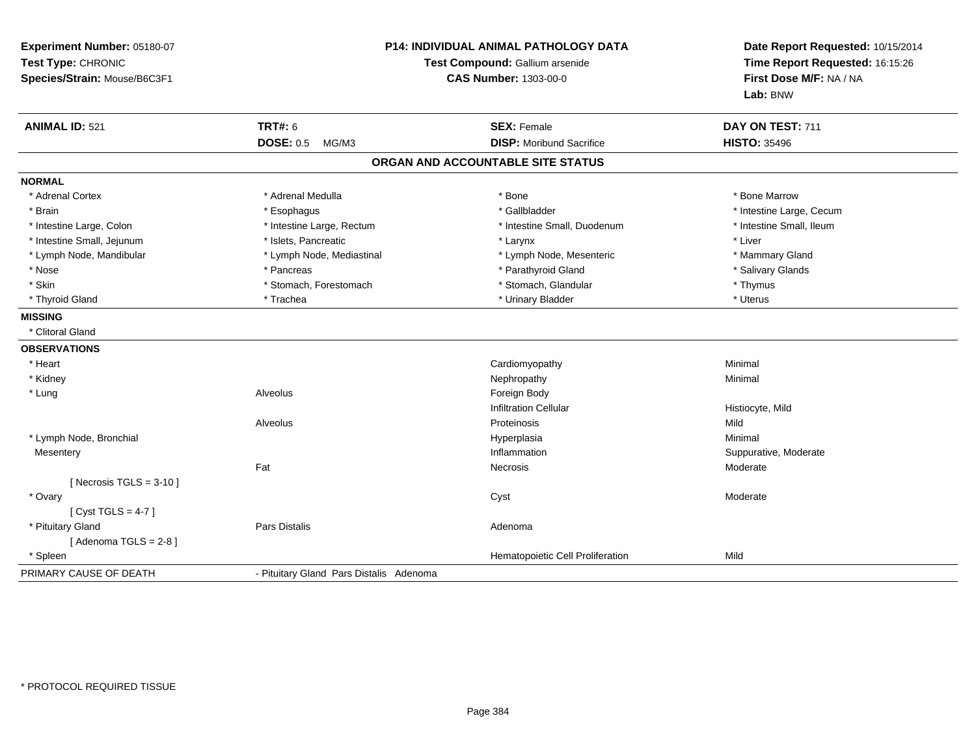| Experiment Number: 05180-07<br>Test Type: CHRONIC<br>Species/Strain: Mouse/B6C3F1 | P14: INDIVIDUAL ANIMAL PATHOLOGY DATA<br>Test Compound: Gallium arsenide<br><b>CAS Number: 1303-00-0</b> |                                   | Date Report Requested: 10/15/2014<br>Time Report Requested: 16:15:26<br>First Dose M/F: NA / NA<br>Lab: BNW |  |
|-----------------------------------------------------------------------------------|----------------------------------------------------------------------------------------------------------|-----------------------------------|-------------------------------------------------------------------------------------------------------------|--|
| <b>ANIMAL ID: 521</b>                                                             | <b>TRT#: 6</b>                                                                                           | <b>SEX: Female</b>                | DAY ON TEST: 711                                                                                            |  |
|                                                                                   | <b>DOSE: 0.5</b><br>MG/M3                                                                                | <b>DISP:</b> Moribund Sacrifice   | <b>HISTO: 35496</b>                                                                                         |  |
|                                                                                   |                                                                                                          | ORGAN AND ACCOUNTABLE SITE STATUS |                                                                                                             |  |
| <b>NORMAL</b>                                                                     |                                                                                                          |                                   |                                                                                                             |  |
| * Adrenal Cortex                                                                  | * Adrenal Medulla                                                                                        | * Bone                            | * Bone Marrow                                                                                               |  |
| * Brain                                                                           | * Esophagus                                                                                              | * Gallbladder                     | * Intestine Large, Cecum                                                                                    |  |
| * Intestine Large, Colon                                                          | * Intestine Large, Rectum                                                                                | * Intestine Small, Duodenum       | * Intestine Small, Ileum                                                                                    |  |
| * Intestine Small, Jejunum                                                        | * Islets, Pancreatic                                                                                     | * Larynx                          | * Liver                                                                                                     |  |
| * Lymph Node, Mandibular                                                          | * Lymph Node, Mediastinal                                                                                | * Lymph Node, Mesenteric          | * Mammary Gland                                                                                             |  |
| * Nose                                                                            | * Pancreas                                                                                               | * Parathyroid Gland               | * Salivary Glands                                                                                           |  |
| * Skin                                                                            | * Stomach, Forestomach                                                                                   | * Stomach, Glandular              | * Thymus                                                                                                    |  |
| * Thyroid Gland                                                                   | * Trachea                                                                                                | * Urinary Bladder                 | * Uterus                                                                                                    |  |
| <b>MISSING</b>                                                                    |                                                                                                          |                                   |                                                                                                             |  |
| * Clitoral Gland                                                                  |                                                                                                          |                                   |                                                                                                             |  |
| <b>OBSERVATIONS</b>                                                               |                                                                                                          |                                   |                                                                                                             |  |
| * Heart                                                                           |                                                                                                          | Cardiomyopathy                    | Minimal                                                                                                     |  |
| * Kidney                                                                          |                                                                                                          | Nephropathy                       | Minimal                                                                                                     |  |
| * Lung                                                                            | Alveolus                                                                                                 | Foreign Body                      |                                                                                                             |  |
|                                                                                   |                                                                                                          | <b>Infiltration Cellular</b>      | Histiocyte, Mild                                                                                            |  |
|                                                                                   | Alveolus                                                                                                 | Proteinosis                       | Mild                                                                                                        |  |
| * Lymph Node, Bronchial                                                           |                                                                                                          | Hyperplasia                       | Minimal                                                                                                     |  |
| Mesentery                                                                         |                                                                                                          | Inflammation                      | Suppurative, Moderate                                                                                       |  |
|                                                                                   | Fat                                                                                                      | Necrosis                          | Moderate                                                                                                    |  |
| [Necrosis TGLS = $3-10$ ]                                                         |                                                                                                          |                                   |                                                                                                             |  |
| * Ovary                                                                           |                                                                                                          | Cyst                              | Moderate                                                                                                    |  |
| [Cyst TGLS = $4-7$ ]                                                              |                                                                                                          |                                   |                                                                                                             |  |
| * Pituitary Gland                                                                 | Pars Distalis                                                                                            | Adenoma                           |                                                                                                             |  |
| [Adenoma TGLS = $2-8$ ]                                                           |                                                                                                          |                                   |                                                                                                             |  |
| * Spleen                                                                          |                                                                                                          | Hematopoietic Cell Proliferation  | Mild                                                                                                        |  |
| PRIMARY CAUSE OF DEATH                                                            | - Pituitary Gland Pars Distalis Adenoma                                                                  |                                   |                                                                                                             |  |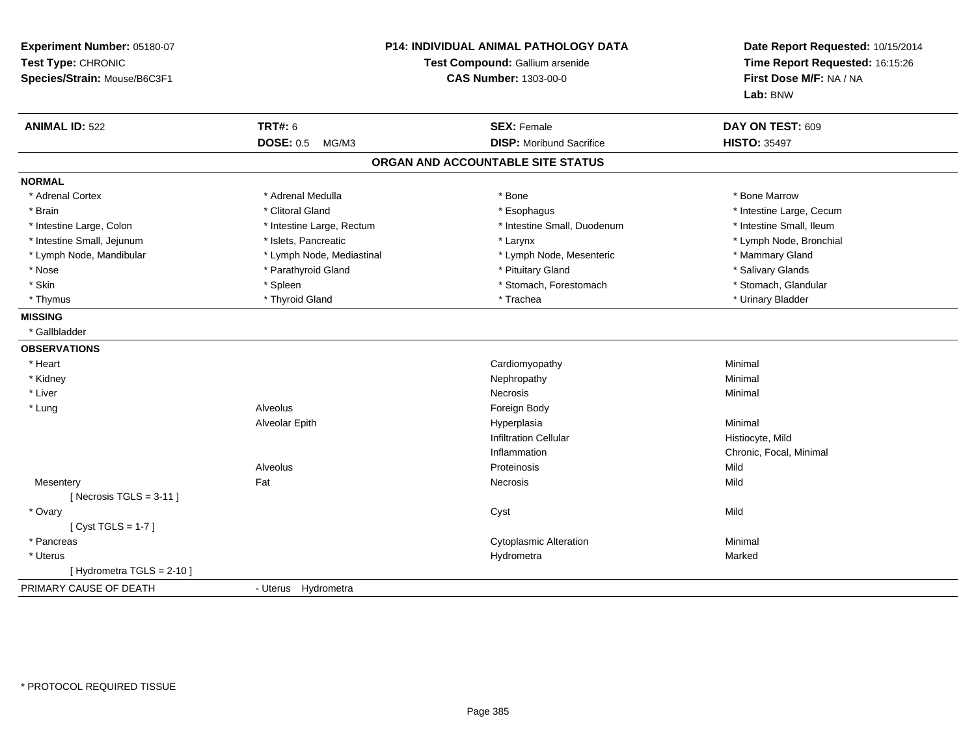| Experiment Number: 05180-07<br>Test Type: CHRONIC<br>Species/Strain: Mouse/B6C3F1 | P14: INDIVIDUAL ANIMAL PATHOLOGY DATA<br>Test Compound: Gallium arsenide<br><b>CAS Number: 1303-00-0</b> |                                   | Date Report Requested: 10/15/2014<br>Time Report Requested: 16:15:26<br>First Dose M/F: NA / NA<br>Lab: BNW |
|-----------------------------------------------------------------------------------|----------------------------------------------------------------------------------------------------------|-----------------------------------|-------------------------------------------------------------------------------------------------------------|
| <b>ANIMAL ID: 522</b>                                                             | <b>TRT#: 6</b>                                                                                           | <b>SEX: Female</b>                | DAY ON TEST: 609                                                                                            |
|                                                                                   | <b>DOSE: 0.5</b><br>MG/M3                                                                                | <b>DISP:</b> Moribund Sacrifice   | <b>HISTO: 35497</b>                                                                                         |
|                                                                                   |                                                                                                          | ORGAN AND ACCOUNTABLE SITE STATUS |                                                                                                             |
| <b>NORMAL</b>                                                                     |                                                                                                          |                                   |                                                                                                             |
| * Adrenal Cortex                                                                  | * Adrenal Medulla                                                                                        | * Bone                            | * Bone Marrow                                                                                               |
| * Brain                                                                           | * Clitoral Gland                                                                                         | * Esophagus                       | * Intestine Large, Cecum                                                                                    |
| * Intestine Large, Colon                                                          | * Intestine Large, Rectum                                                                                | * Intestine Small, Duodenum       | * Intestine Small, Ileum                                                                                    |
| * Intestine Small, Jejunum                                                        | * Islets, Pancreatic                                                                                     | * Larynx                          | * Lymph Node, Bronchial                                                                                     |
| * Lymph Node, Mandibular                                                          | * Lymph Node, Mediastinal                                                                                | * Lymph Node, Mesenteric          | * Mammary Gland                                                                                             |
| * Nose                                                                            | * Parathyroid Gland                                                                                      | * Pituitary Gland                 | * Salivary Glands                                                                                           |
| * Skin                                                                            | * Spleen                                                                                                 | * Stomach, Forestomach            | * Stomach, Glandular                                                                                        |
| * Thymus                                                                          | * Thyroid Gland                                                                                          | * Trachea                         | * Urinary Bladder                                                                                           |
| <b>MISSING</b>                                                                    |                                                                                                          |                                   |                                                                                                             |
| * Gallbladder                                                                     |                                                                                                          |                                   |                                                                                                             |
| <b>OBSERVATIONS</b>                                                               |                                                                                                          |                                   |                                                                                                             |
| * Heart                                                                           |                                                                                                          | Cardiomyopathy                    | Minimal                                                                                                     |
| * Kidney                                                                          |                                                                                                          | Nephropathy                       | Minimal                                                                                                     |
| * Liver                                                                           |                                                                                                          | <b>Necrosis</b>                   | Minimal                                                                                                     |
| * Lung                                                                            | Alveolus                                                                                                 | Foreign Body                      |                                                                                                             |
|                                                                                   | Alveolar Epith                                                                                           | Hyperplasia                       | Minimal                                                                                                     |
|                                                                                   |                                                                                                          | <b>Infiltration Cellular</b>      | Histiocyte, Mild                                                                                            |
|                                                                                   |                                                                                                          | Inflammation                      | Chronic, Focal, Minimal                                                                                     |
|                                                                                   | Alveolus                                                                                                 | Proteinosis                       | Mild                                                                                                        |
| Mesentery                                                                         | Fat                                                                                                      | <b>Necrosis</b>                   | Mild                                                                                                        |
| [Necrosis TGLS = $3-11$ ]                                                         |                                                                                                          |                                   |                                                                                                             |
| * Ovary                                                                           |                                                                                                          | Cyst                              | Mild                                                                                                        |
| [Cyst TGLS = $1-7$ ]                                                              |                                                                                                          |                                   |                                                                                                             |
| * Pancreas                                                                        |                                                                                                          | <b>Cytoplasmic Alteration</b>     | Minimal                                                                                                     |
| * Uterus                                                                          |                                                                                                          | Hydrometra                        | Marked                                                                                                      |
| [Hydrometra TGLS = $2-10$ ]                                                       |                                                                                                          |                                   |                                                                                                             |
| PRIMARY CAUSE OF DEATH                                                            | - Uterus Hydrometra                                                                                      |                                   |                                                                                                             |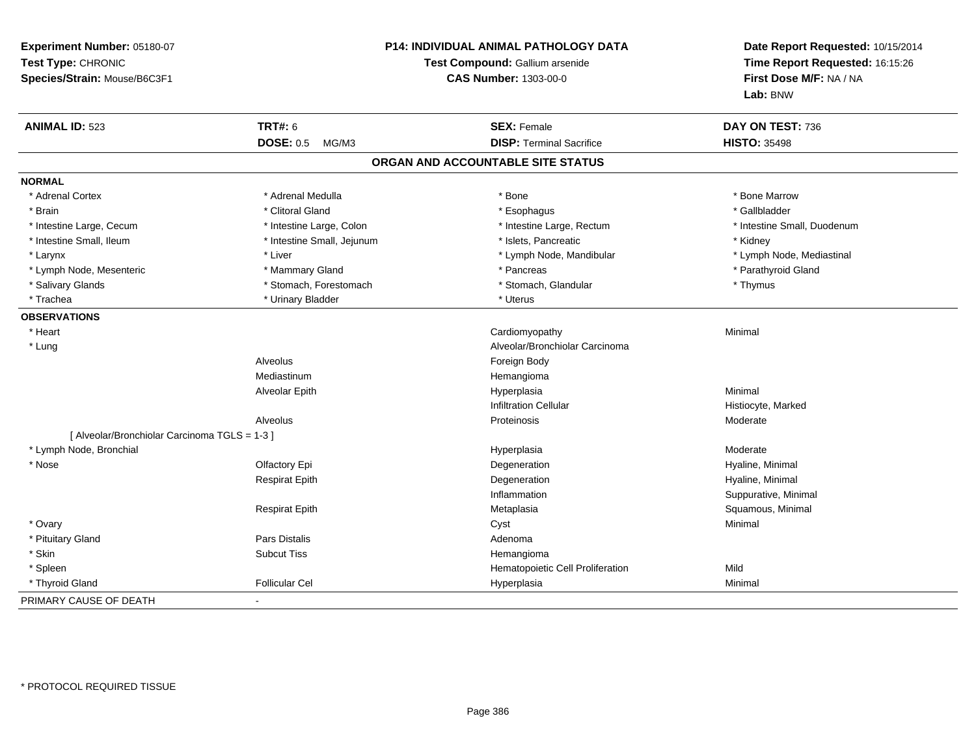| Experiment Number: 05180-07<br>Test Type: CHRONIC<br>Species/Strain: Mouse/B6C3F1 |                            | <b>P14: INDIVIDUAL ANIMAL PATHOLOGY DATA</b><br>Test Compound: Gallium arsenide<br><b>CAS Number: 1303-00-0</b> | Date Report Requested: 10/15/2014<br>Time Report Requested: 16:15:26<br>First Dose M/F: NA / NA<br>Lab: BNW |
|-----------------------------------------------------------------------------------|----------------------------|-----------------------------------------------------------------------------------------------------------------|-------------------------------------------------------------------------------------------------------------|
| <b>ANIMAL ID: 523</b>                                                             | <b>TRT#: 6</b>             | <b>SEX: Female</b>                                                                                              | DAY ON TEST: 736                                                                                            |
|                                                                                   | <b>DOSE: 0.5</b><br>MG/M3  | <b>DISP: Terminal Sacrifice</b>                                                                                 | <b>HISTO: 35498</b>                                                                                         |
|                                                                                   |                            | ORGAN AND ACCOUNTABLE SITE STATUS                                                                               |                                                                                                             |
| <b>NORMAL</b>                                                                     |                            |                                                                                                                 |                                                                                                             |
| * Adrenal Cortex                                                                  | * Adrenal Medulla          | * Bone                                                                                                          | * Bone Marrow                                                                                               |
| * Brain                                                                           | * Clitoral Gland           | * Esophagus                                                                                                     | * Gallbladder                                                                                               |
| * Intestine Large, Cecum                                                          | * Intestine Large, Colon   | * Intestine Large, Rectum                                                                                       | * Intestine Small, Duodenum                                                                                 |
| * Intestine Small, Ileum                                                          | * Intestine Small, Jejunum | * Islets, Pancreatic                                                                                            | * Kidney                                                                                                    |
| * Larynx                                                                          | * Liver                    | * Lymph Node, Mandibular                                                                                        | * Lymph Node, Mediastinal                                                                                   |
| * Lymph Node, Mesenteric                                                          | * Mammary Gland            | * Pancreas                                                                                                      | * Parathyroid Gland                                                                                         |
| * Salivary Glands                                                                 | * Stomach, Forestomach     | * Stomach, Glandular                                                                                            | * Thymus                                                                                                    |
| * Trachea                                                                         | * Urinary Bladder          | * Uterus                                                                                                        |                                                                                                             |
| <b>OBSERVATIONS</b>                                                               |                            |                                                                                                                 |                                                                                                             |
| * Heart                                                                           |                            | Cardiomyopathy                                                                                                  | Minimal                                                                                                     |
| * Lung                                                                            |                            | Alveolar/Bronchiolar Carcinoma                                                                                  |                                                                                                             |
|                                                                                   | Alveolus                   | Foreign Body                                                                                                    |                                                                                                             |
|                                                                                   | Mediastinum                | Hemangioma                                                                                                      |                                                                                                             |
|                                                                                   | Alveolar Epith             | Hyperplasia                                                                                                     | Minimal                                                                                                     |
|                                                                                   |                            | <b>Infiltration Cellular</b>                                                                                    | Histiocyte, Marked                                                                                          |
|                                                                                   | Alveolus                   | Proteinosis                                                                                                     | Moderate                                                                                                    |
| [ Alveolar/Bronchiolar Carcinoma TGLS = 1-3 ]                                     |                            |                                                                                                                 |                                                                                                             |
| * Lymph Node, Bronchial                                                           |                            | Hyperplasia                                                                                                     | Moderate                                                                                                    |
| * Nose                                                                            | Olfactory Epi              | Degeneration                                                                                                    | Hyaline, Minimal                                                                                            |
|                                                                                   | <b>Respirat Epith</b>      | Degeneration                                                                                                    | Hyaline, Minimal                                                                                            |
|                                                                                   |                            | Inflammation                                                                                                    | Suppurative, Minimal                                                                                        |
|                                                                                   | <b>Respirat Epith</b>      | Metaplasia                                                                                                      | Squamous, Minimal                                                                                           |
| * Ovary                                                                           |                            | Cyst                                                                                                            | Minimal                                                                                                     |
| * Pituitary Gland                                                                 | <b>Pars Distalis</b>       | Adenoma                                                                                                         |                                                                                                             |
| * Skin                                                                            | <b>Subcut Tiss</b>         | Hemangioma                                                                                                      |                                                                                                             |
| * Spleen                                                                          |                            | Hematopoietic Cell Proliferation                                                                                | Mild                                                                                                        |
| * Thyroid Gland                                                                   | <b>Follicular Cel</b>      | Hyperplasia                                                                                                     | Minimal                                                                                                     |
| PRIMARY CAUSE OF DEATH                                                            | $\blacksquare$             |                                                                                                                 |                                                                                                             |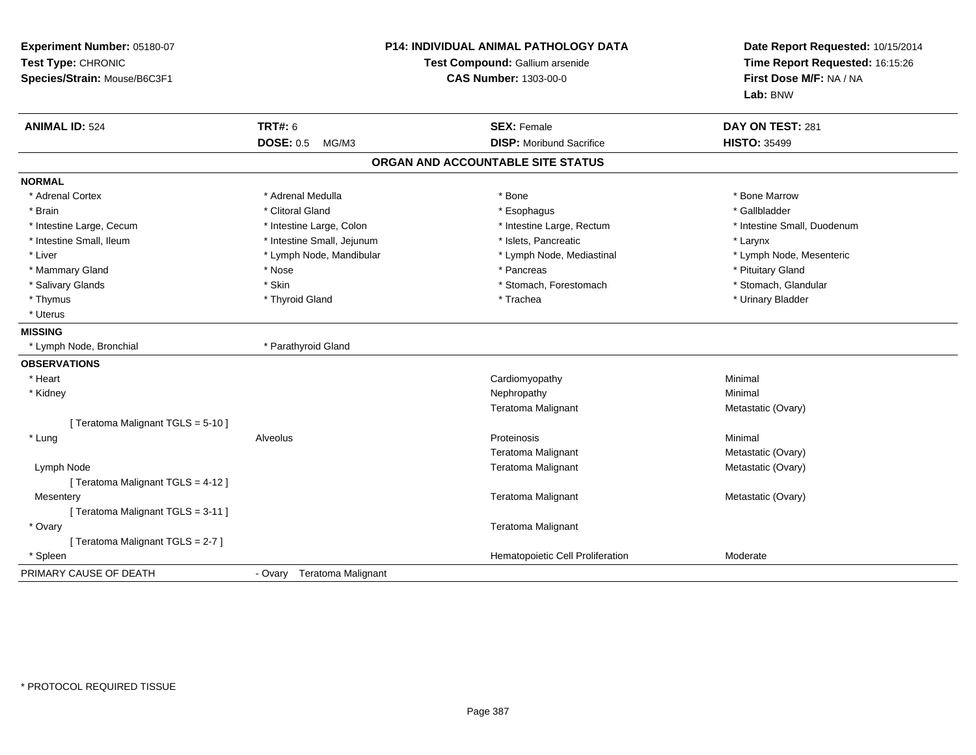| Experiment Number: 05180-07<br>Test Type: CHRONIC<br>Species/Strain: Mouse/B6C3F1 |                            | P14: INDIVIDUAL ANIMAL PATHOLOGY DATA<br>Test Compound: Gallium arsenide<br><b>CAS Number: 1303-00-0</b> | Date Report Requested: 10/15/2014<br>Time Report Requested: 16:15:26<br>First Dose M/F: NA / NA<br>Lab: BNW |
|-----------------------------------------------------------------------------------|----------------------------|----------------------------------------------------------------------------------------------------------|-------------------------------------------------------------------------------------------------------------|
| <b>ANIMAL ID: 524</b>                                                             | <b>TRT#: 6</b>             | <b>SEX: Female</b>                                                                                       | DAY ON TEST: 281                                                                                            |
|                                                                                   | <b>DOSE: 0.5</b><br>MG/M3  | <b>DISP:</b> Moribund Sacrifice                                                                          | <b>HISTO: 35499</b>                                                                                         |
|                                                                                   |                            | ORGAN AND ACCOUNTABLE SITE STATUS                                                                        |                                                                                                             |
| <b>NORMAL</b>                                                                     |                            |                                                                                                          |                                                                                                             |
| * Adrenal Cortex                                                                  | * Adrenal Medulla          | * Bone                                                                                                   | * Bone Marrow                                                                                               |
| * Brain                                                                           | * Clitoral Gland           | * Esophagus                                                                                              | * Gallbladder                                                                                               |
| * Intestine Large, Cecum                                                          | * Intestine Large, Colon   | * Intestine Large, Rectum                                                                                | * Intestine Small, Duodenum                                                                                 |
| * Intestine Small, Ileum                                                          | * Intestine Small, Jejunum | * Islets, Pancreatic                                                                                     | * Larynx                                                                                                    |
| * Liver                                                                           | * Lymph Node, Mandibular   | * Lymph Node, Mediastinal                                                                                | * Lymph Node, Mesenteric                                                                                    |
| * Mammary Gland                                                                   | * Nose                     | * Pancreas                                                                                               | * Pituitary Gland                                                                                           |
| * Salivary Glands                                                                 | * Skin                     | * Stomach, Forestomach                                                                                   | * Stomach, Glandular                                                                                        |
| * Thymus                                                                          | * Thyroid Gland            | * Trachea                                                                                                | * Urinary Bladder                                                                                           |
| * Uterus                                                                          |                            |                                                                                                          |                                                                                                             |
| <b>MISSING</b>                                                                    |                            |                                                                                                          |                                                                                                             |
| * Lymph Node, Bronchial                                                           | * Parathyroid Gland        |                                                                                                          |                                                                                                             |
| <b>OBSERVATIONS</b>                                                               |                            |                                                                                                          |                                                                                                             |
| * Heart                                                                           |                            | Cardiomyopathy                                                                                           | Minimal                                                                                                     |
| * Kidney                                                                          |                            | Nephropathy                                                                                              | Minimal                                                                                                     |
|                                                                                   |                            | Teratoma Malignant                                                                                       | Metastatic (Ovary)                                                                                          |
| [ Teratoma Malignant TGLS = 5-10 ]                                                |                            |                                                                                                          |                                                                                                             |
| * Lung                                                                            | Alveolus                   | Proteinosis                                                                                              | Minimal                                                                                                     |
|                                                                                   |                            | Teratoma Malignant                                                                                       | Metastatic (Ovary)                                                                                          |
| Lymph Node                                                                        |                            | Teratoma Malignant                                                                                       | Metastatic (Ovary)                                                                                          |
| [Teratoma Malignant TGLS = 4-12]                                                  |                            |                                                                                                          |                                                                                                             |
| Mesentery                                                                         |                            | Teratoma Malignant                                                                                       | Metastatic (Ovary)                                                                                          |
| [Teratoma Malignant TGLS = 3-11]                                                  |                            |                                                                                                          |                                                                                                             |
| * Ovary                                                                           |                            | Teratoma Malignant                                                                                       |                                                                                                             |
| [Teratoma Malignant TGLS = 2-7]                                                   |                            |                                                                                                          |                                                                                                             |
| * Spleen                                                                          |                            | Hematopoietic Cell Proliferation                                                                         | Moderate                                                                                                    |
| PRIMARY CAUSE OF DEATH                                                            | - Ovary Teratoma Malignant |                                                                                                          |                                                                                                             |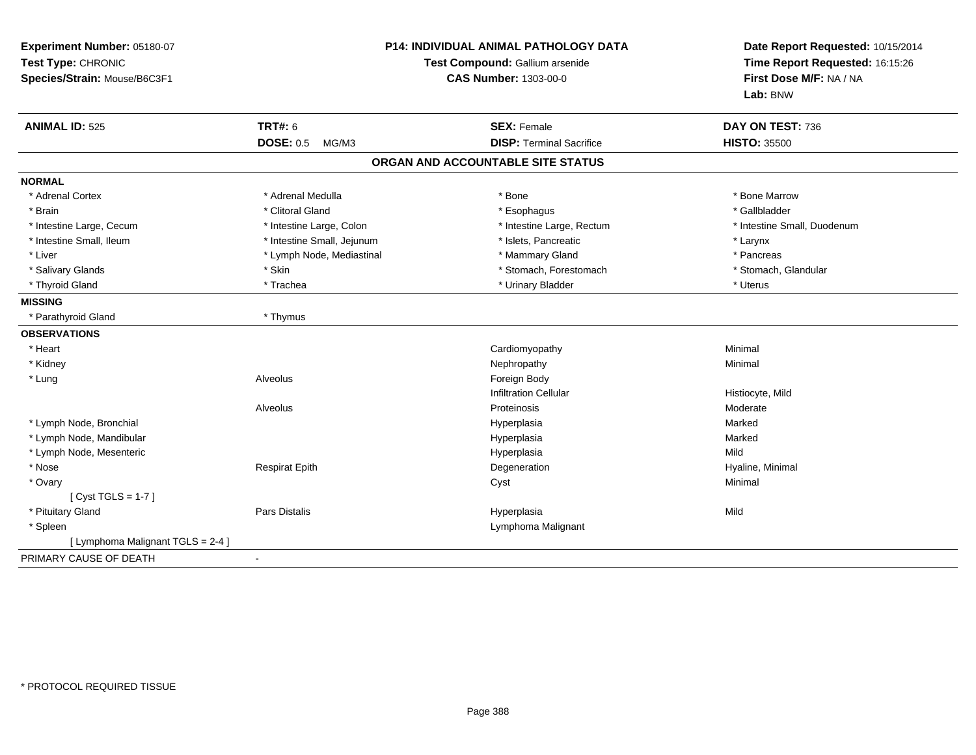| Experiment Number: 05180-07<br>Test Type: CHRONIC<br>Species/Strain: Mouse/B6C3F1 | <b>P14: INDIVIDUAL ANIMAL PATHOLOGY DATA</b><br>Test Compound: Gallium arsenide<br><b>CAS Number: 1303-00-0</b> |                                   | Date Report Requested: 10/15/2014<br>Time Report Requested: 16:15:26<br>First Dose M/F: NA / NA<br>Lab: BNW |  |
|-----------------------------------------------------------------------------------|-----------------------------------------------------------------------------------------------------------------|-----------------------------------|-------------------------------------------------------------------------------------------------------------|--|
| <b>ANIMAL ID: 525</b>                                                             | <b>TRT#: 6</b>                                                                                                  | <b>SEX: Female</b>                | DAY ON TEST: 736                                                                                            |  |
|                                                                                   | <b>DOSE: 0.5</b><br>MG/M3                                                                                       | <b>DISP: Terminal Sacrifice</b>   | <b>HISTO: 35500</b>                                                                                         |  |
|                                                                                   |                                                                                                                 | ORGAN AND ACCOUNTABLE SITE STATUS |                                                                                                             |  |
| <b>NORMAL</b>                                                                     |                                                                                                                 |                                   |                                                                                                             |  |
| * Adrenal Cortex                                                                  | * Adrenal Medulla                                                                                               | * Bone                            | * Bone Marrow                                                                                               |  |
| * Brain                                                                           | * Clitoral Gland                                                                                                | * Esophagus                       | * Gallbladder                                                                                               |  |
| * Intestine Large, Cecum                                                          | * Intestine Large, Colon                                                                                        | * Intestine Large, Rectum         | * Intestine Small, Duodenum                                                                                 |  |
| * Intestine Small, Ileum                                                          | * Intestine Small, Jejunum                                                                                      | * Islets, Pancreatic              | * Larynx                                                                                                    |  |
| * Liver                                                                           | * Lymph Node, Mediastinal                                                                                       | * Mammary Gland                   | * Pancreas                                                                                                  |  |
| * Salivary Glands                                                                 | * Skin                                                                                                          | * Stomach, Forestomach            | * Stomach, Glandular                                                                                        |  |
| * Thyroid Gland                                                                   | * Trachea                                                                                                       | * Urinary Bladder                 | * Uterus                                                                                                    |  |
| <b>MISSING</b>                                                                    |                                                                                                                 |                                   |                                                                                                             |  |
| * Parathyroid Gland                                                               | * Thymus                                                                                                        |                                   |                                                                                                             |  |
| <b>OBSERVATIONS</b>                                                               |                                                                                                                 |                                   |                                                                                                             |  |
| * Heart                                                                           |                                                                                                                 | Cardiomyopathy                    | Minimal                                                                                                     |  |
| * Kidney                                                                          |                                                                                                                 | Nephropathy                       | Minimal                                                                                                     |  |
| * Lung                                                                            | Alveolus                                                                                                        | Foreign Body                      |                                                                                                             |  |
|                                                                                   |                                                                                                                 | <b>Infiltration Cellular</b>      | Histiocyte, Mild                                                                                            |  |
|                                                                                   | Alveolus                                                                                                        | Proteinosis                       | Moderate                                                                                                    |  |
| * Lymph Node, Bronchial                                                           |                                                                                                                 | Hyperplasia                       | Marked                                                                                                      |  |
| * Lymph Node, Mandibular                                                          |                                                                                                                 | Hyperplasia                       | Marked                                                                                                      |  |
| * Lymph Node, Mesenteric                                                          |                                                                                                                 | Hyperplasia                       | Mild                                                                                                        |  |
| * Nose                                                                            | <b>Respirat Epith</b>                                                                                           | Degeneration                      | Hyaline, Minimal                                                                                            |  |
| * Ovary                                                                           |                                                                                                                 | Cyst                              | Minimal                                                                                                     |  |
| [ $Cyst TGLS = 1-7$ ]                                                             |                                                                                                                 |                                   |                                                                                                             |  |
| * Pituitary Gland                                                                 | <b>Pars Distalis</b>                                                                                            | Hyperplasia                       | Mild                                                                                                        |  |
| * Spleen                                                                          |                                                                                                                 | Lymphoma Malignant                |                                                                                                             |  |
| [ Lymphoma Malignant TGLS = 2-4 ]                                                 |                                                                                                                 |                                   |                                                                                                             |  |
| PRIMARY CAUSE OF DEATH                                                            |                                                                                                                 |                                   |                                                                                                             |  |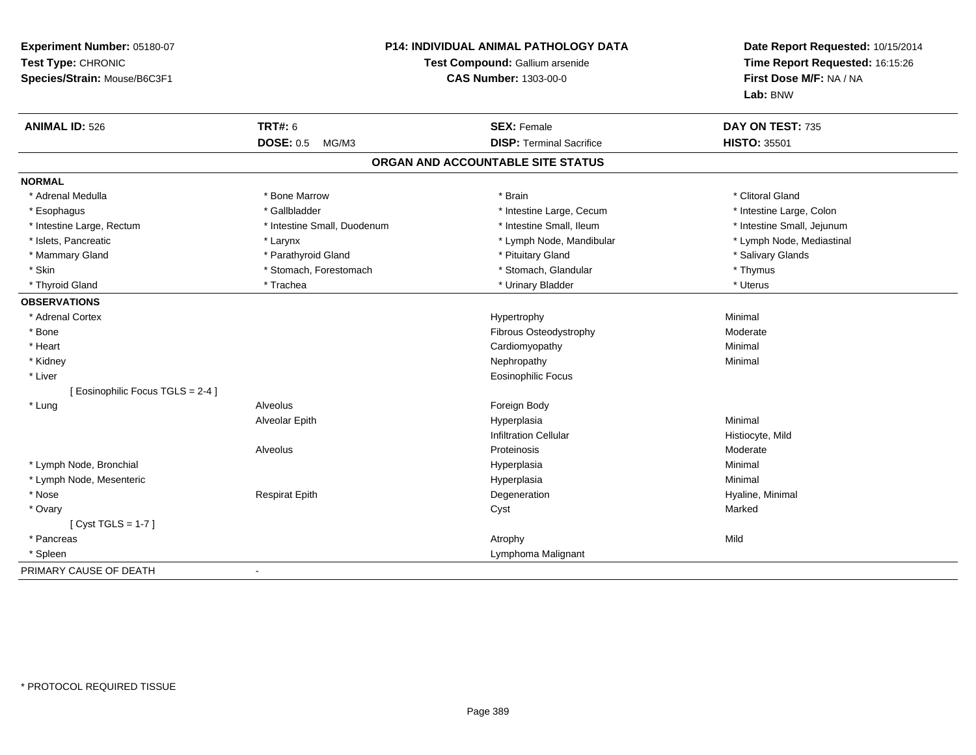| Experiment Number: 05180-07<br>Test Type: CHRONIC<br>Species/Strain: Mouse/B6C3F1 | <b>P14: INDIVIDUAL ANIMAL PATHOLOGY DATA</b><br>Test Compound: Gallium arsenide<br><b>CAS Number: 1303-00-0</b> |                                   | Date Report Requested: 10/15/2014<br>Time Report Requested: 16:15:26<br>First Dose M/F: NA / NA<br>Lab: BNW |
|-----------------------------------------------------------------------------------|-----------------------------------------------------------------------------------------------------------------|-----------------------------------|-------------------------------------------------------------------------------------------------------------|
| <b>ANIMAL ID: 526</b>                                                             | <b>TRT#: 6</b>                                                                                                  | <b>SEX: Female</b>                | DAY ON TEST: 735                                                                                            |
|                                                                                   | <b>DOSE: 0.5</b><br>MG/M3                                                                                       | <b>DISP: Terminal Sacrifice</b>   | <b>HISTO: 35501</b>                                                                                         |
|                                                                                   |                                                                                                                 | ORGAN AND ACCOUNTABLE SITE STATUS |                                                                                                             |
| <b>NORMAL</b>                                                                     |                                                                                                                 |                                   |                                                                                                             |
| * Adrenal Medulla                                                                 | * Bone Marrow                                                                                                   | * Brain                           | * Clitoral Gland                                                                                            |
| * Esophagus                                                                       | * Gallbladder                                                                                                   | * Intestine Large, Cecum          | * Intestine Large, Colon                                                                                    |
| * Intestine Large, Rectum                                                         | * Intestine Small, Duodenum                                                                                     | * Intestine Small, Ileum          | * Intestine Small, Jejunum                                                                                  |
| * Islets, Pancreatic                                                              | * Larynx                                                                                                        | * Lymph Node, Mandibular          | * Lymph Node, Mediastinal                                                                                   |
| * Mammary Gland                                                                   | * Parathyroid Gland                                                                                             | * Pituitary Gland                 | * Salivary Glands                                                                                           |
| * Skin                                                                            | * Stomach, Forestomach                                                                                          | * Stomach, Glandular              | * Thymus                                                                                                    |
| * Thyroid Gland                                                                   | * Trachea                                                                                                       | * Urinary Bladder                 | * Uterus                                                                                                    |
| <b>OBSERVATIONS</b>                                                               |                                                                                                                 |                                   |                                                                                                             |
| * Adrenal Cortex                                                                  |                                                                                                                 | Hypertrophy                       | Minimal                                                                                                     |
| * Bone                                                                            |                                                                                                                 | Fibrous Osteodystrophy            | Moderate                                                                                                    |
| * Heart                                                                           |                                                                                                                 | Cardiomyopathy                    | Minimal                                                                                                     |
| * Kidney                                                                          |                                                                                                                 | Nephropathy                       | Minimal                                                                                                     |
| * Liver                                                                           |                                                                                                                 | <b>Eosinophilic Focus</b>         |                                                                                                             |
| [ Eosinophilic Focus TGLS = 2-4 ]                                                 |                                                                                                                 |                                   |                                                                                                             |
| * Lung                                                                            | Alveolus                                                                                                        | Foreign Body                      |                                                                                                             |
|                                                                                   | Alveolar Epith                                                                                                  | Hyperplasia                       | Minimal                                                                                                     |
|                                                                                   |                                                                                                                 | <b>Infiltration Cellular</b>      | Histiocyte, Mild                                                                                            |
|                                                                                   | Alveolus                                                                                                        | Proteinosis                       | Moderate                                                                                                    |
| * Lymph Node, Bronchial                                                           |                                                                                                                 | Hyperplasia                       | Minimal                                                                                                     |
| * Lymph Node, Mesenteric                                                          |                                                                                                                 | Hyperplasia                       | Minimal                                                                                                     |
| * Nose                                                                            | <b>Respirat Epith</b>                                                                                           | Degeneration                      | Hyaline, Minimal                                                                                            |
| * Ovary                                                                           |                                                                                                                 | Cyst                              | Marked                                                                                                      |
| [ $Cyst TGLS = 1-7$ ]                                                             |                                                                                                                 |                                   |                                                                                                             |
| * Pancreas                                                                        |                                                                                                                 | Atrophy                           | Mild                                                                                                        |
| * Spleen                                                                          |                                                                                                                 | Lymphoma Malignant                |                                                                                                             |
| PRIMARY CAUSE OF DEATH                                                            | $\blacksquare$                                                                                                  |                                   |                                                                                                             |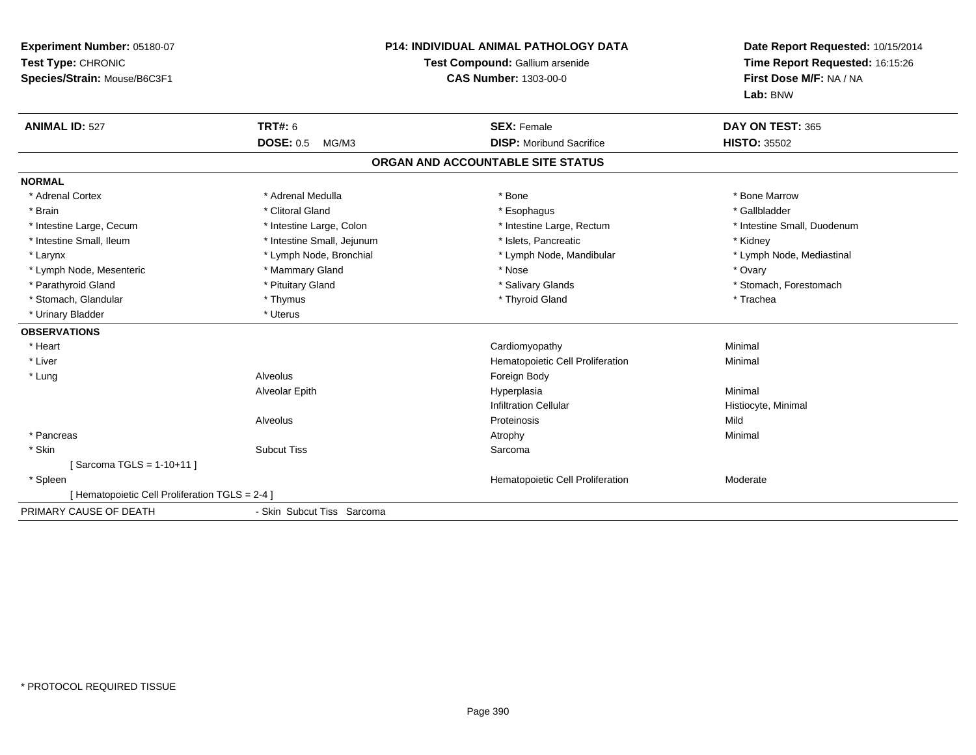| Experiment Number: 05180-07<br>Test Type: CHRONIC<br>Species/Strain: Mouse/B6C3F1 | <b>P14: INDIVIDUAL ANIMAL PATHOLOGY DATA</b><br>Test Compound: Gallium arsenide<br>CAS Number: 1303-00-0 |                                   | Date Report Requested: 10/15/2014<br>Time Report Requested: 16:15:26<br>First Dose M/F: NA / NA<br>Lab: BNW |  |
|-----------------------------------------------------------------------------------|----------------------------------------------------------------------------------------------------------|-----------------------------------|-------------------------------------------------------------------------------------------------------------|--|
| <b>ANIMAL ID: 527</b>                                                             | <b>TRT#: 6</b>                                                                                           | <b>SEX: Female</b>                | DAY ON TEST: 365                                                                                            |  |
|                                                                                   | <b>DOSE: 0.5</b><br>MG/M3                                                                                | <b>DISP:</b> Moribund Sacrifice   | <b>HISTO: 35502</b>                                                                                         |  |
|                                                                                   |                                                                                                          | ORGAN AND ACCOUNTABLE SITE STATUS |                                                                                                             |  |
| <b>NORMAL</b>                                                                     |                                                                                                          |                                   |                                                                                                             |  |
| * Adrenal Cortex                                                                  | * Adrenal Medulla                                                                                        | * Bone                            | * Bone Marrow                                                                                               |  |
| * Brain                                                                           | * Clitoral Gland                                                                                         | * Esophagus                       | * Gallbladder                                                                                               |  |
| * Intestine Large, Cecum                                                          | * Intestine Large, Colon                                                                                 | * Intestine Large, Rectum         | * Intestine Small, Duodenum                                                                                 |  |
| * Intestine Small, Ileum                                                          | * Intestine Small, Jejunum                                                                               | * Islets, Pancreatic              | * Kidney                                                                                                    |  |
| * Larynx                                                                          | * Lymph Node, Bronchial                                                                                  | * Lymph Node, Mandibular          | * Lymph Node, Mediastinal                                                                                   |  |
| * Lymph Node, Mesenteric                                                          | * Mammary Gland                                                                                          | * Nose                            | * Ovary                                                                                                     |  |
| * Parathyroid Gland                                                               | * Pituitary Gland                                                                                        | * Salivary Glands                 | * Stomach, Forestomach                                                                                      |  |
| * Stomach, Glandular                                                              | * Thymus                                                                                                 | * Thyroid Gland                   | * Trachea                                                                                                   |  |
| * Urinary Bladder                                                                 | * Uterus                                                                                                 |                                   |                                                                                                             |  |
| <b>OBSERVATIONS</b>                                                               |                                                                                                          |                                   |                                                                                                             |  |
| * Heart                                                                           |                                                                                                          | Cardiomyopathy                    | Minimal                                                                                                     |  |
| * Liver                                                                           |                                                                                                          | Hematopoietic Cell Proliferation  | Minimal                                                                                                     |  |
| * Lung                                                                            | Alveolus                                                                                                 | Foreign Body                      |                                                                                                             |  |
|                                                                                   | Alveolar Epith                                                                                           | Hyperplasia                       | Minimal                                                                                                     |  |
|                                                                                   |                                                                                                          | <b>Infiltration Cellular</b>      | Histiocyte, Minimal                                                                                         |  |
|                                                                                   | Alveolus                                                                                                 | Proteinosis                       | Mild                                                                                                        |  |
| * Pancreas                                                                        |                                                                                                          | Atrophy                           | Minimal                                                                                                     |  |
| * Skin                                                                            | <b>Subcut Tiss</b>                                                                                       | Sarcoma                           |                                                                                                             |  |
| [Sarcoma TGLS = 1-10+11]                                                          |                                                                                                          |                                   |                                                                                                             |  |
| * Spleen                                                                          |                                                                                                          | Hematopoietic Cell Proliferation  | Moderate                                                                                                    |  |
| [ Hematopoietic Cell Proliferation TGLS = 2-4 ]                                   |                                                                                                          |                                   |                                                                                                             |  |
| PRIMARY CAUSE OF DEATH                                                            | - Skin Subcut Tiss Sarcoma                                                                               |                                   |                                                                                                             |  |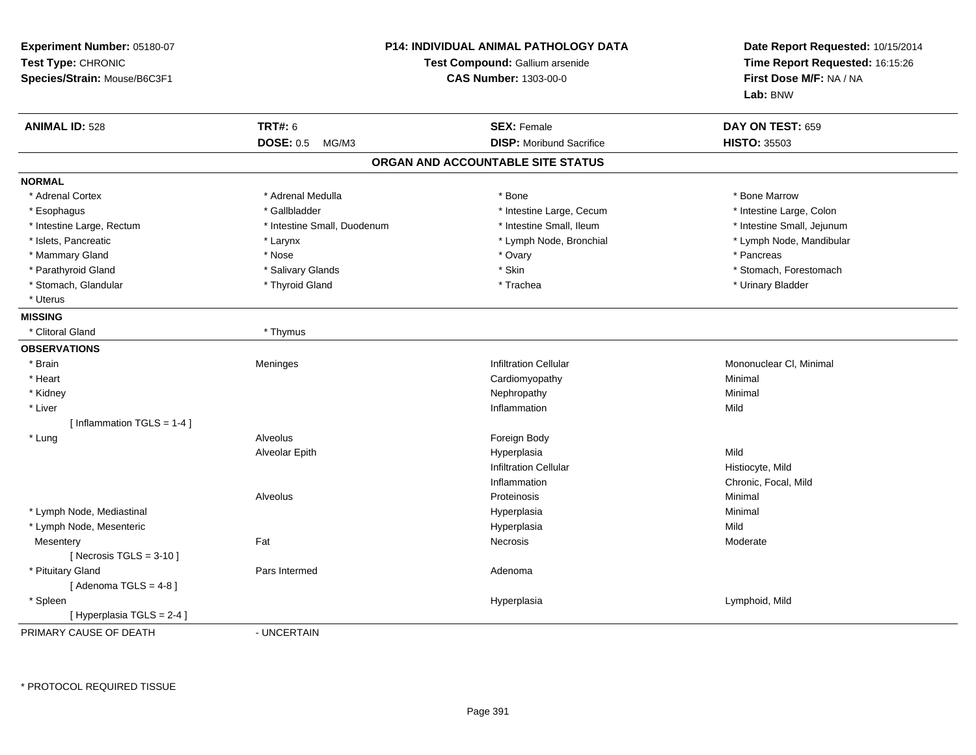| Experiment Number: 05180-07<br>Test Type: CHRONIC<br>Species/Strain: Mouse/B6C3F1 |                             | <b>P14: INDIVIDUAL ANIMAL PATHOLOGY DATA</b><br>Test Compound: Gallium arsenide<br><b>CAS Number: 1303-00-0</b> | Date Report Requested: 10/15/2014<br>Time Report Requested: 16:15:26<br>First Dose M/F: NA / NA<br>Lab: BNW |
|-----------------------------------------------------------------------------------|-----------------------------|-----------------------------------------------------------------------------------------------------------------|-------------------------------------------------------------------------------------------------------------|
| <b>ANIMAL ID: 528</b>                                                             | <b>TRT#: 6</b>              | <b>SEX: Female</b>                                                                                              | DAY ON TEST: 659                                                                                            |
|                                                                                   | DOSE: 0.5 MG/M3             | <b>DISP: Moribund Sacrifice</b>                                                                                 | <b>HISTO: 35503</b>                                                                                         |
|                                                                                   |                             | ORGAN AND ACCOUNTABLE SITE STATUS                                                                               |                                                                                                             |
| <b>NORMAL</b>                                                                     |                             |                                                                                                                 |                                                                                                             |
| * Adrenal Cortex                                                                  | * Adrenal Medulla           | * Bone                                                                                                          | * Bone Marrow                                                                                               |
| * Esophagus                                                                       | * Gallbladder               | * Intestine Large, Cecum                                                                                        | * Intestine Large, Colon                                                                                    |
| * Intestine Large, Rectum                                                         | * Intestine Small, Duodenum | * Intestine Small, Ileum                                                                                        | * Intestine Small, Jejunum                                                                                  |
| * Islets, Pancreatic                                                              | * Larynx                    | * Lymph Node, Bronchial                                                                                         | * Lymph Node, Mandibular                                                                                    |
| * Mammary Gland                                                                   | * Nose                      | * Ovary                                                                                                         | * Pancreas                                                                                                  |
| * Parathyroid Gland                                                               | * Salivary Glands           | * Skin                                                                                                          | * Stomach, Forestomach                                                                                      |
| * Stomach, Glandular                                                              | * Thyroid Gland             | * Trachea                                                                                                       | * Urinary Bladder                                                                                           |
| * Uterus                                                                          |                             |                                                                                                                 |                                                                                                             |
| <b>MISSING</b>                                                                    |                             |                                                                                                                 |                                                                                                             |
| * Clitoral Gland                                                                  | * Thymus                    |                                                                                                                 |                                                                                                             |
| <b>OBSERVATIONS</b>                                                               |                             |                                                                                                                 |                                                                                                             |
| * Brain                                                                           | Meninges                    | <b>Infiltration Cellular</b>                                                                                    | Mononuclear CI, Minimal                                                                                     |
| * Heart                                                                           |                             | Cardiomyopathy                                                                                                  | Minimal                                                                                                     |
| * Kidney                                                                          |                             | Nephropathy                                                                                                     | Minimal                                                                                                     |
| * Liver                                                                           |                             | Inflammation                                                                                                    | Mild                                                                                                        |
| [Inflammation TGLS = 1-4]                                                         |                             |                                                                                                                 |                                                                                                             |
| * Lung                                                                            | Alveolus                    | Foreign Body                                                                                                    |                                                                                                             |
|                                                                                   | Alveolar Epith              | Hyperplasia                                                                                                     | Mild                                                                                                        |
|                                                                                   |                             | <b>Infiltration Cellular</b>                                                                                    | Histiocyte, Mild                                                                                            |
|                                                                                   |                             | Inflammation                                                                                                    | Chronic, Focal, Mild                                                                                        |
|                                                                                   | Alveolus                    | Proteinosis                                                                                                     | Minimal                                                                                                     |
| * Lymph Node, Mediastinal                                                         |                             | Hyperplasia                                                                                                     | Minimal                                                                                                     |
| * Lymph Node, Mesenteric                                                          |                             | Hyperplasia                                                                                                     | Mild                                                                                                        |
| Mesentery                                                                         | Fat                         | Necrosis                                                                                                        | Moderate                                                                                                    |
| [Necrosis $TGLS = 3-10$ ]                                                         |                             |                                                                                                                 |                                                                                                             |
| * Pituitary Gland                                                                 | Pars Intermed               | Adenoma                                                                                                         |                                                                                                             |
| [Adenoma TGLS = $4-8$ ]                                                           |                             |                                                                                                                 |                                                                                                             |
| * Spleen                                                                          |                             | Hyperplasia                                                                                                     | Lymphoid, Mild                                                                                              |
| [ Hyperplasia TGLS = 2-4 ]                                                        |                             |                                                                                                                 |                                                                                                             |
| PRIMARY CAUSE OF DEATH                                                            | - UNCERTAIN                 |                                                                                                                 |                                                                                                             |

\* PROTOCOL REQUIRED TISSUE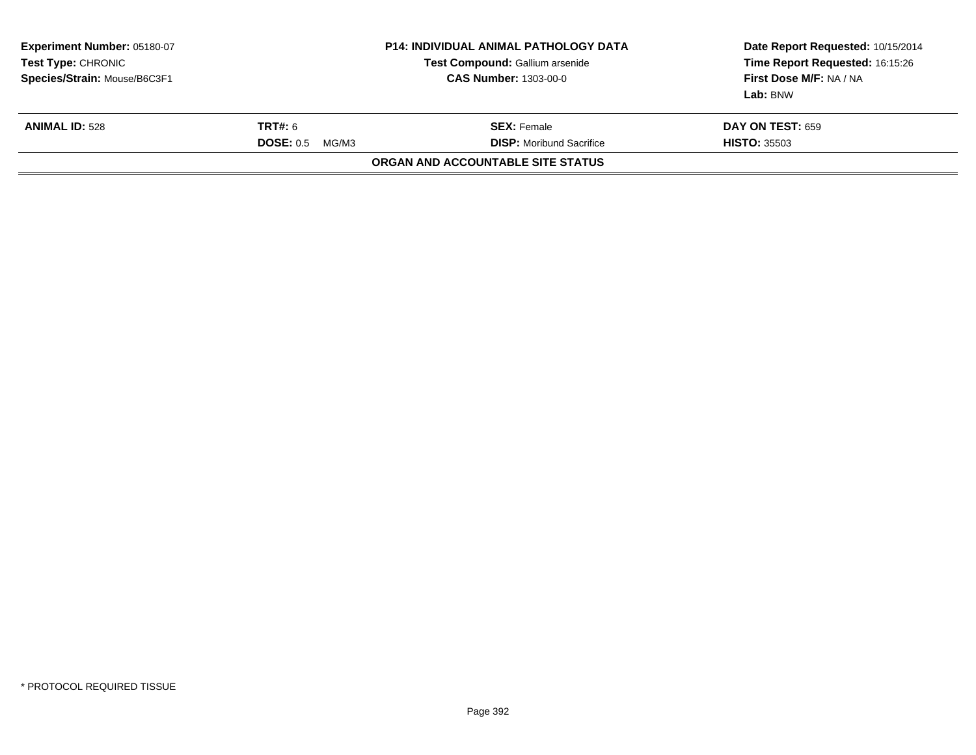| Experiment Number: 05180-07<br>Test Type: CHRONIC<br>Species/Strain: Mouse/B6C3F1 | <b>P14: INDIVIDUAL ANIMAL PATHOLOGY DATA</b><br>Test Compound: Gallium arsenide<br><b>CAS Number: 1303-00-0</b> |                                                       | Date Report Requested: 10/15/2014<br>Time Report Requested: 16:15:26<br>First Dose M/F: NA / NA<br>Lab: BNW |
|-----------------------------------------------------------------------------------|-----------------------------------------------------------------------------------------------------------------|-------------------------------------------------------|-------------------------------------------------------------------------------------------------------------|
| <b>ANIMAL ID: 528</b>                                                             | TRT#: 6<br><b>DOSE: 0.5</b><br>MG/M3                                                                            | <b>SEX:</b> Female<br><b>DISP:</b> Moribund Sacrifice | <b>DAY ON TEST: 659</b><br><b>HISTO: 35503</b>                                                              |
|                                                                                   |                                                                                                                 | ORGAN AND ACCOUNTABLE SITE STATUS                     |                                                                                                             |
|                                                                                   |                                                                                                                 |                                                       |                                                                                                             |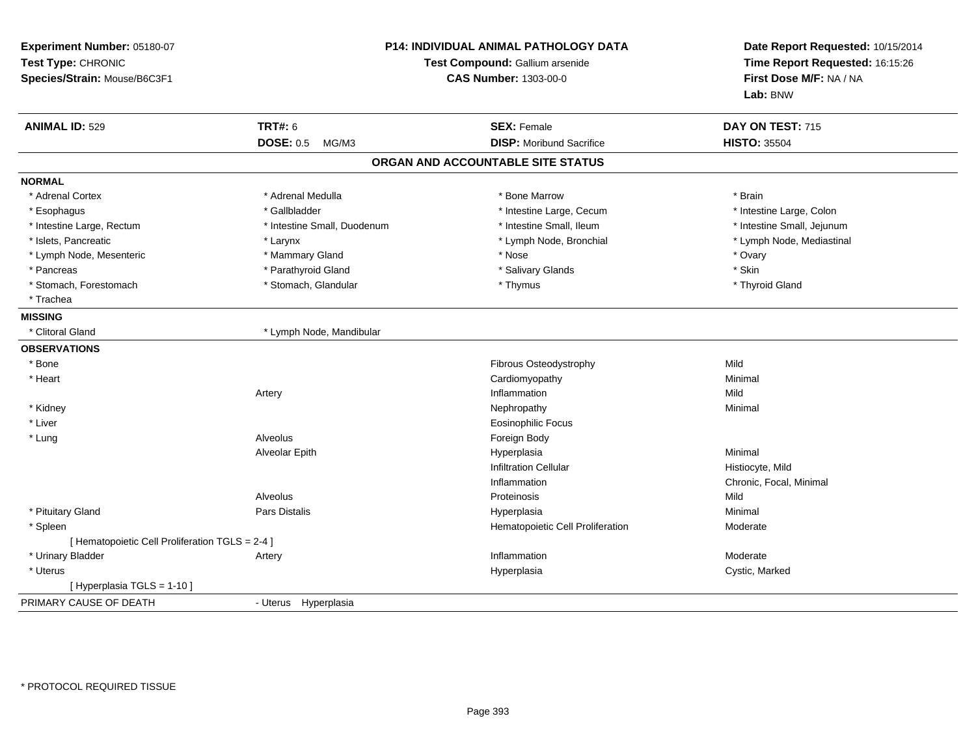| Experiment Number: 05180-07<br>Test Type: CHRONIC<br>Species/Strain: Mouse/B6C3F1 |                             | P14: INDIVIDUAL ANIMAL PATHOLOGY DATA<br>Test Compound: Gallium arsenide<br><b>CAS Number: 1303-00-0</b> |                            |
|-----------------------------------------------------------------------------------|-----------------------------|----------------------------------------------------------------------------------------------------------|----------------------------|
| <b>ANIMAL ID: 529</b>                                                             | <b>TRT#: 6</b>              | <b>SEX: Female</b>                                                                                       | DAY ON TEST: 715           |
|                                                                                   | <b>DOSE: 0.5</b><br>MG/M3   | <b>DISP: Moribund Sacrifice</b>                                                                          | <b>HISTO: 35504</b>        |
|                                                                                   |                             | ORGAN AND ACCOUNTABLE SITE STATUS                                                                        |                            |
| <b>NORMAL</b>                                                                     |                             |                                                                                                          |                            |
| * Adrenal Cortex                                                                  | * Adrenal Medulla           | * Bone Marrow                                                                                            | * Brain                    |
| * Esophagus                                                                       | * Gallbladder               | * Intestine Large, Cecum                                                                                 | * Intestine Large, Colon   |
| * Intestine Large, Rectum                                                         | * Intestine Small, Duodenum | * Intestine Small, Ileum                                                                                 | * Intestine Small, Jejunum |
| * Islets, Pancreatic                                                              | * Larynx                    | * Lymph Node, Bronchial                                                                                  | * Lymph Node, Mediastinal  |
| * Lymph Node, Mesenteric                                                          | * Mammary Gland             | * Nose                                                                                                   | * Ovary                    |
| * Pancreas                                                                        | * Parathyroid Gland         | * Salivary Glands                                                                                        | * Skin                     |
| * Stomach, Forestomach                                                            | * Stomach, Glandular        | * Thymus                                                                                                 | * Thyroid Gland            |
| * Trachea                                                                         |                             |                                                                                                          |                            |
| <b>MISSING</b>                                                                    |                             |                                                                                                          |                            |
| * Clitoral Gland                                                                  | * Lymph Node, Mandibular    |                                                                                                          |                            |
| <b>OBSERVATIONS</b>                                                               |                             |                                                                                                          |                            |
| $*$ Bone                                                                          |                             | Fibrous Osteodystrophy                                                                                   | Mild                       |
| * Heart                                                                           |                             | Cardiomyopathy                                                                                           | Minimal                    |
|                                                                                   | Artery                      | Inflammation                                                                                             | Mild                       |
| * Kidney                                                                          |                             | Nephropathy                                                                                              | Minimal                    |
| * Liver                                                                           |                             | Eosinophilic Focus                                                                                       |                            |
| * Lung                                                                            | Alveolus                    | Foreign Body                                                                                             |                            |
|                                                                                   | Alveolar Epith              | Hyperplasia                                                                                              | Minimal                    |
|                                                                                   |                             | <b>Infiltration Cellular</b>                                                                             | Histiocyte, Mild           |
|                                                                                   |                             | Inflammation                                                                                             | Chronic, Focal, Minimal    |
|                                                                                   | Alveolus                    | Proteinosis                                                                                              | Mild                       |
| * Pituitary Gland                                                                 | <b>Pars Distalis</b>        | Hyperplasia                                                                                              | Minimal                    |
| * Spleen                                                                          |                             | Hematopoietic Cell Proliferation                                                                         | Moderate                   |
| [ Hematopoietic Cell Proliferation TGLS = 2-4 ]                                   |                             |                                                                                                          |                            |
| * Urinary Bladder                                                                 | Artery                      | Inflammation                                                                                             | Moderate                   |
| * Uterus                                                                          |                             | Hyperplasia                                                                                              | Cystic, Marked             |
| [Hyperplasia TGLS = 1-10]                                                         |                             |                                                                                                          |                            |
| PRIMARY CAUSE OF DEATH                                                            | - Uterus Hyperplasia        |                                                                                                          |                            |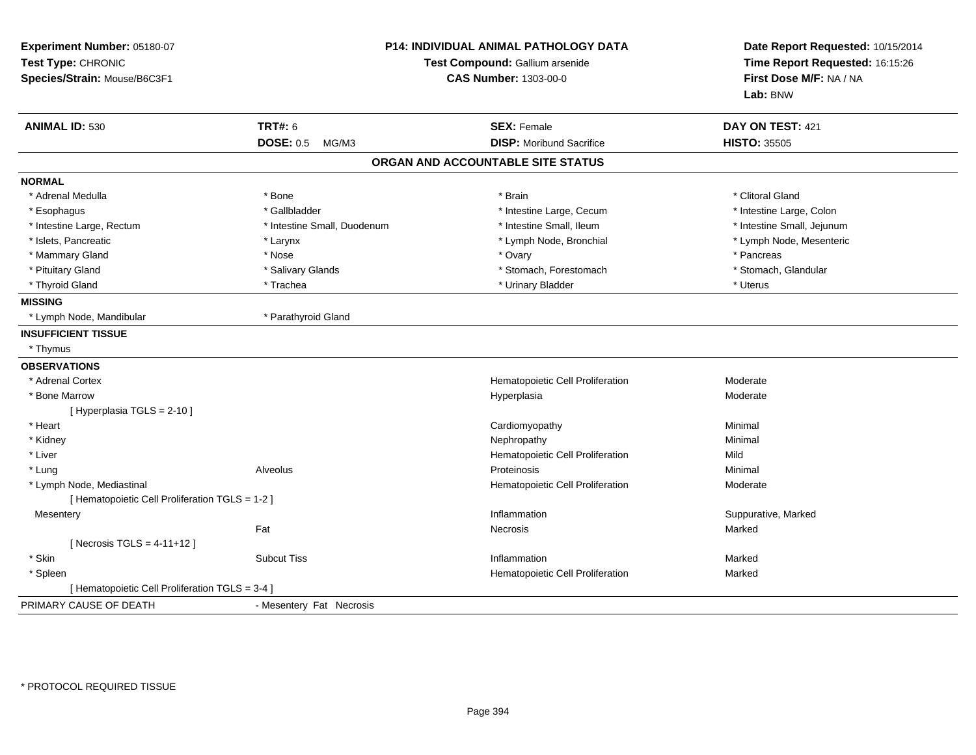| Experiment Number: 05180-07<br>Test Type: CHRONIC<br>Species/Strain: Mouse/B6C3F1 |                             | P14: INDIVIDUAL ANIMAL PATHOLOGY DATA<br>Test Compound: Gallium arsenide<br><b>CAS Number: 1303-00-0</b> |                            |
|-----------------------------------------------------------------------------------|-----------------------------|----------------------------------------------------------------------------------------------------------|----------------------------|
| <b>ANIMAL ID: 530</b>                                                             | <b>TRT#: 6</b>              | <b>SEX: Female</b>                                                                                       | DAY ON TEST: 421           |
|                                                                                   | <b>DOSE: 0.5</b><br>MG/M3   | <b>DISP:</b> Moribund Sacrifice                                                                          | <b>HISTO: 35505</b>        |
|                                                                                   |                             | ORGAN AND ACCOUNTABLE SITE STATUS                                                                        |                            |
| <b>NORMAL</b>                                                                     |                             |                                                                                                          |                            |
| * Adrenal Medulla                                                                 | * Bone                      | * Brain                                                                                                  | * Clitoral Gland           |
| * Esophagus                                                                       | * Gallbladder               | * Intestine Large, Cecum                                                                                 | * Intestine Large, Colon   |
| * Intestine Large, Rectum                                                         | * Intestine Small, Duodenum | * Intestine Small, Ileum                                                                                 | * Intestine Small, Jejunum |
| * Islets, Pancreatic                                                              | * Larynx                    | * Lymph Node, Bronchial                                                                                  | * Lymph Node, Mesenteric   |
| * Mammary Gland                                                                   | * Nose                      | * Ovary                                                                                                  | * Pancreas                 |
| * Pituitary Gland                                                                 | * Salivary Glands           | * Stomach, Forestomach                                                                                   | * Stomach, Glandular       |
| * Thyroid Gland                                                                   | * Trachea                   | * Urinary Bladder                                                                                        | * Uterus                   |
| <b>MISSING</b>                                                                    |                             |                                                                                                          |                            |
| * Lymph Node, Mandibular                                                          | * Parathyroid Gland         |                                                                                                          |                            |
| <b>INSUFFICIENT TISSUE</b>                                                        |                             |                                                                                                          |                            |
| * Thymus                                                                          |                             |                                                                                                          |                            |
| <b>OBSERVATIONS</b>                                                               |                             |                                                                                                          |                            |
| * Adrenal Cortex                                                                  |                             | Hematopoietic Cell Proliferation                                                                         | Moderate                   |
| * Bone Marrow                                                                     |                             | Hyperplasia                                                                                              | Moderate                   |
| [ Hyperplasia TGLS = 2-10 ]                                                       |                             |                                                                                                          |                            |
| * Heart                                                                           |                             | Cardiomyopathy                                                                                           | Minimal                    |
| * Kidney                                                                          |                             | Nephropathy                                                                                              | Minimal                    |
| * Liver                                                                           |                             | Hematopoietic Cell Proliferation                                                                         | Mild                       |
| * Lung                                                                            | Alveolus                    | Proteinosis                                                                                              | Minimal                    |
| * Lymph Node, Mediastinal                                                         |                             | Hematopoietic Cell Proliferation                                                                         | Moderate                   |
| [ Hematopoietic Cell Proliferation TGLS = 1-2 ]                                   |                             |                                                                                                          |                            |
| Mesentery                                                                         |                             | Inflammation                                                                                             | Suppurative, Marked        |
|                                                                                   | Fat                         | Necrosis                                                                                                 | Marked                     |
| [ Necrosis TGLS = $4-11+12$ ]                                                     |                             |                                                                                                          |                            |
| * Skin                                                                            | <b>Subcut Tiss</b>          | Inflammation                                                                                             | Marked                     |
| * Spleen                                                                          |                             | Hematopoietic Cell Proliferation                                                                         | Marked                     |
| [ Hematopoietic Cell Proliferation TGLS = 3-4 ]                                   |                             |                                                                                                          |                            |
| PRIMARY CAUSE OF DEATH                                                            | - Mesentery Fat Necrosis    |                                                                                                          |                            |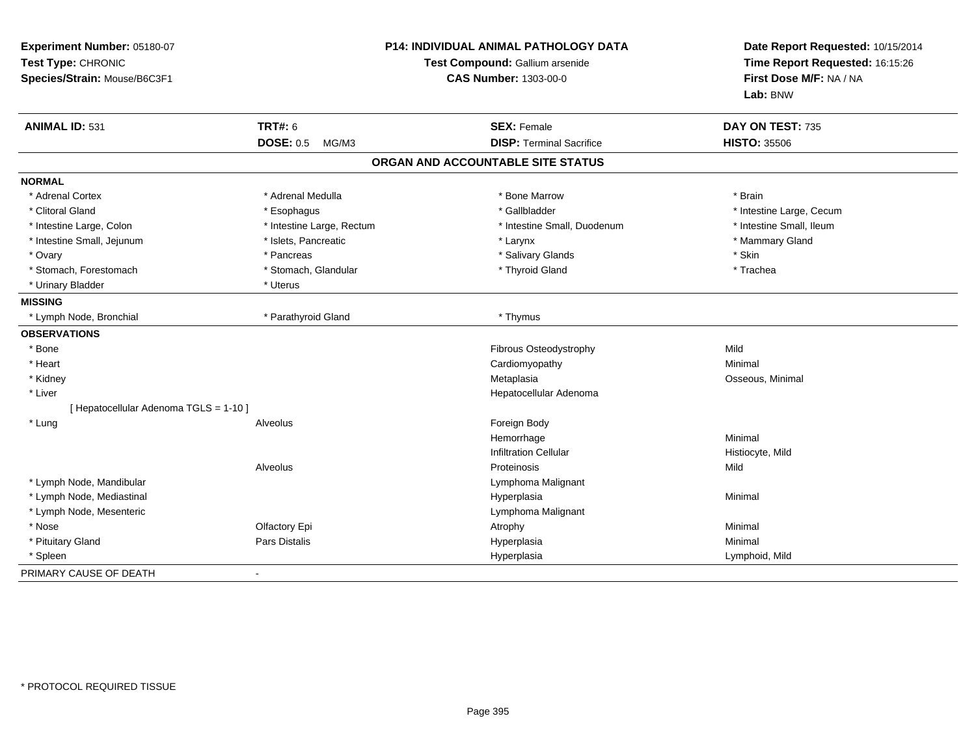| Experiment Number: 05180-07<br>Test Type: CHRONIC<br>Species/Strain: Mouse/B6C3F1 |                           | P14: INDIVIDUAL ANIMAL PATHOLOGY DATA<br>Test Compound: Gallium arsenide<br><b>CAS Number: 1303-00-0</b> | Date Report Requested: 10/15/2014<br>Time Report Requested: 16:15:26<br>First Dose M/F: NA / NA<br>Lab: BNW |
|-----------------------------------------------------------------------------------|---------------------------|----------------------------------------------------------------------------------------------------------|-------------------------------------------------------------------------------------------------------------|
| <b>ANIMAL ID: 531</b>                                                             | <b>TRT#: 6</b>            | <b>SEX: Female</b>                                                                                       | DAY ON TEST: 735                                                                                            |
|                                                                                   | <b>DOSE: 0.5</b><br>MG/M3 | <b>DISP: Terminal Sacrifice</b>                                                                          | <b>HISTO: 35506</b>                                                                                         |
|                                                                                   |                           | ORGAN AND ACCOUNTABLE SITE STATUS                                                                        |                                                                                                             |
| <b>NORMAL</b>                                                                     |                           |                                                                                                          |                                                                                                             |
| * Adrenal Cortex                                                                  | * Adrenal Medulla         | * Bone Marrow                                                                                            | * Brain                                                                                                     |
| * Clitoral Gland                                                                  | * Esophagus               | * Gallbladder                                                                                            | * Intestine Large, Cecum                                                                                    |
| * Intestine Large, Colon                                                          | * Intestine Large, Rectum | * Intestine Small, Duodenum                                                                              | * Intestine Small, Ileum                                                                                    |
| * Intestine Small, Jejunum                                                        | * Islets, Pancreatic      | * Larynx                                                                                                 | * Mammary Gland                                                                                             |
| * Ovary                                                                           | * Pancreas                | * Salivary Glands                                                                                        | * Skin                                                                                                      |
| * Stomach, Forestomach                                                            | * Stomach, Glandular      | * Thyroid Gland                                                                                          | * Trachea                                                                                                   |
| * Urinary Bladder                                                                 | * Uterus                  |                                                                                                          |                                                                                                             |
| <b>MISSING</b>                                                                    |                           |                                                                                                          |                                                                                                             |
| * Lymph Node, Bronchial                                                           | * Parathyroid Gland       | * Thymus                                                                                                 |                                                                                                             |
| <b>OBSERVATIONS</b>                                                               |                           |                                                                                                          |                                                                                                             |
| * Bone                                                                            |                           | Fibrous Osteodystrophy                                                                                   | Mild                                                                                                        |
| * Heart                                                                           |                           | Cardiomyopathy                                                                                           | Minimal                                                                                                     |
| * Kidney                                                                          |                           | Metaplasia                                                                                               | Osseous, Minimal                                                                                            |
| * Liver                                                                           |                           | Hepatocellular Adenoma                                                                                   |                                                                                                             |
| [ Hepatocellular Adenoma TGLS = 1-10 ]                                            |                           |                                                                                                          |                                                                                                             |
| * Lung                                                                            | Alveolus                  | Foreign Body                                                                                             |                                                                                                             |
|                                                                                   |                           | Hemorrhage                                                                                               | Minimal                                                                                                     |
|                                                                                   |                           | <b>Infiltration Cellular</b>                                                                             | Histiocyte, Mild                                                                                            |
|                                                                                   | Alveolus                  | Proteinosis                                                                                              | Mild                                                                                                        |
| * Lymph Node, Mandibular                                                          |                           | Lymphoma Malignant                                                                                       |                                                                                                             |
| * Lymph Node, Mediastinal                                                         |                           | Hyperplasia                                                                                              | Minimal                                                                                                     |
| * Lymph Node, Mesenteric                                                          |                           | Lymphoma Malignant                                                                                       |                                                                                                             |
| * Nose                                                                            | Olfactory Epi             | Atrophy                                                                                                  | Minimal                                                                                                     |
| * Pituitary Gland                                                                 | Pars Distalis             | Hyperplasia                                                                                              | Minimal                                                                                                     |
| * Spleen                                                                          |                           | Hyperplasia                                                                                              | Lymphoid, Mild                                                                                              |
| PRIMARY CAUSE OF DEATH                                                            |                           |                                                                                                          |                                                                                                             |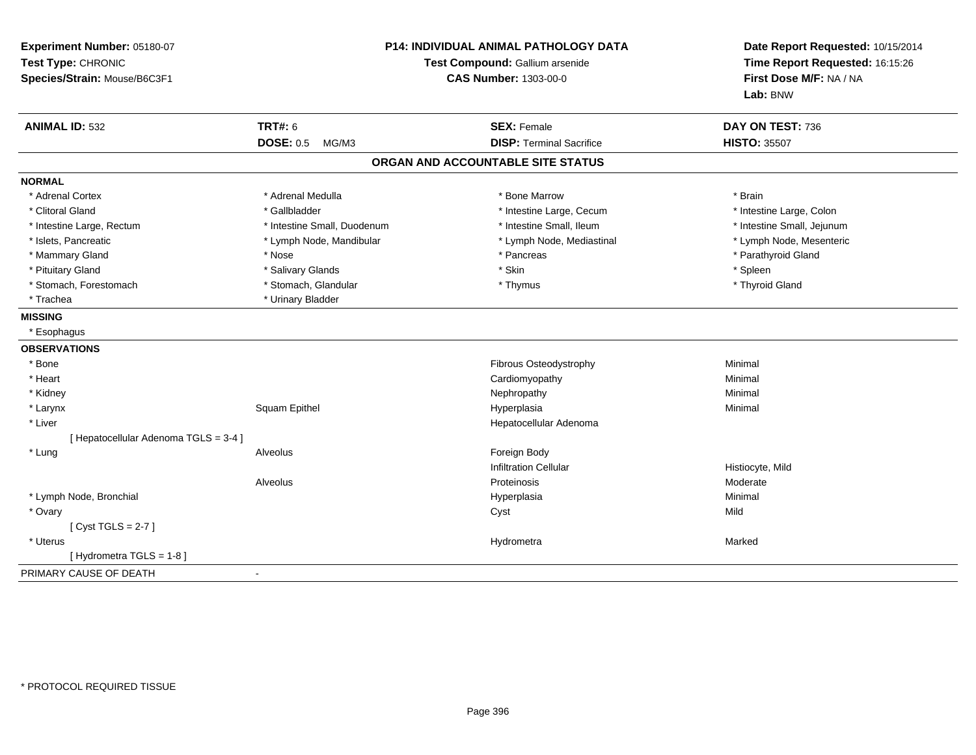| Experiment Number: 05180-07<br>Test Type: CHRONIC<br>Species/Strain: Mouse/B6C3F1 |                             | P14: INDIVIDUAL ANIMAL PATHOLOGY DATA<br>Test Compound: Gallium arsenide<br><b>CAS Number: 1303-00-0</b> | Date Report Requested: 10/15/2014<br>Time Report Requested: 16:15:26<br>First Dose M/F: NA / NA<br>Lab: BNW |
|-----------------------------------------------------------------------------------|-----------------------------|----------------------------------------------------------------------------------------------------------|-------------------------------------------------------------------------------------------------------------|
| <b>ANIMAL ID: 532</b>                                                             | <b>TRT#: 6</b>              | <b>SEX: Female</b>                                                                                       | DAY ON TEST: 736                                                                                            |
|                                                                                   | <b>DOSE: 0.5</b><br>MG/M3   | <b>DISP: Terminal Sacrifice</b>                                                                          | <b>HISTO: 35507</b>                                                                                         |
|                                                                                   |                             | ORGAN AND ACCOUNTABLE SITE STATUS                                                                        |                                                                                                             |
| <b>NORMAL</b>                                                                     |                             |                                                                                                          |                                                                                                             |
| * Adrenal Cortex                                                                  | * Adrenal Medulla           | * Bone Marrow                                                                                            | * Brain                                                                                                     |
| * Clitoral Gland                                                                  | * Gallbladder               | * Intestine Large, Cecum                                                                                 | * Intestine Large, Colon                                                                                    |
| * Intestine Large, Rectum                                                         | * Intestine Small, Duodenum | * Intestine Small, Ileum                                                                                 | * Intestine Small, Jejunum                                                                                  |
| * Islets, Pancreatic                                                              | * Lymph Node, Mandibular    | * Lymph Node, Mediastinal                                                                                | * Lymph Node, Mesenteric                                                                                    |
| * Mammary Gland                                                                   | * Nose                      | * Pancreas                                                                                               | * Parathyroid Gland                                                                                         |
| * Pituitary Gland                                                                 | * Salivary Glands           | * Skin                                                                                                   | * Spleen                                                                                                    |
| * Stomach, Forestomach                                                            | * Stomach, Glandular        | * Thymus                                                                                                 | * Thyroid Gland                                                                                             |
| * Trachea                                                                         | * Urinary Bladder           |                                                                                                          |                                                                                                             |
| <b>MISSING</b>                                                                    |                             |                                                                                                          |                                                                                                             |
| * Esophagus                                                                       |                             |                                                                                                          |                                                                                                             |
| <b>OBSERVATIONS</b>                                                               |                             |                                                                                                          |                                                                                                             |
| * Bone                                                                            |                             | Fibrous Osteodystrophy                                                                                   | Minimal                                                                                                     |
| * Heart                                                                           |                             | Cardiomyopathy                                                                                           | Minimal                                                                                                     |
| * Kidney                                                                          |                             | Nephropathy                                                                                              | Minimal                                                                                                     |
| * Larynx                                                                          | Squam Epithel               | Hyperplasia                                                                                              | Minimal                                                                                                     |
| * Liver                                                                           |                             | Hepatocellular Adenoma                                                                                   |                                                                                                             |
| [ Hepatocellular Adenoma TGLS = 3-4 ]                                             |                             |                                                                                                          |                                                                                                             |
| * Lung                                                                            | Alveolus                    | Foreign Body                                                                                             |                                                                                                             |
|                                                                                   |                             | <b>Infiltration Cellular</b>                                                                             | Histiocyte, Mild                                                                                            |
|                                                                                   | Alveolus                    | Proteinosis                                                                                              | Moderate                                                                                                    |
| * Lymph Node, Bronchial                                                           |                             | Hyperplasia                                                                                              | Minimal                                                                                                     |
| * Ovary                                                                           |                             | Cyst                                                                                                     | Mild                                                                                                        |
| [Cyst TGLS = $2-7$ ]                                                              |                             |                                                                                                          |                                                                                                             |
| * Uterus                                                                          |                             | Hydrometra                                                                                               | Marked                                                                                                      |
| [Hydrometra TGLS = 1-8]                                                           |                             |                                                                                                          |                                                                                                             |
| PRIMARY CAUSE OF DEATH                                                            | $\blacksquare$              |                                                                                                          |                                                                                                             |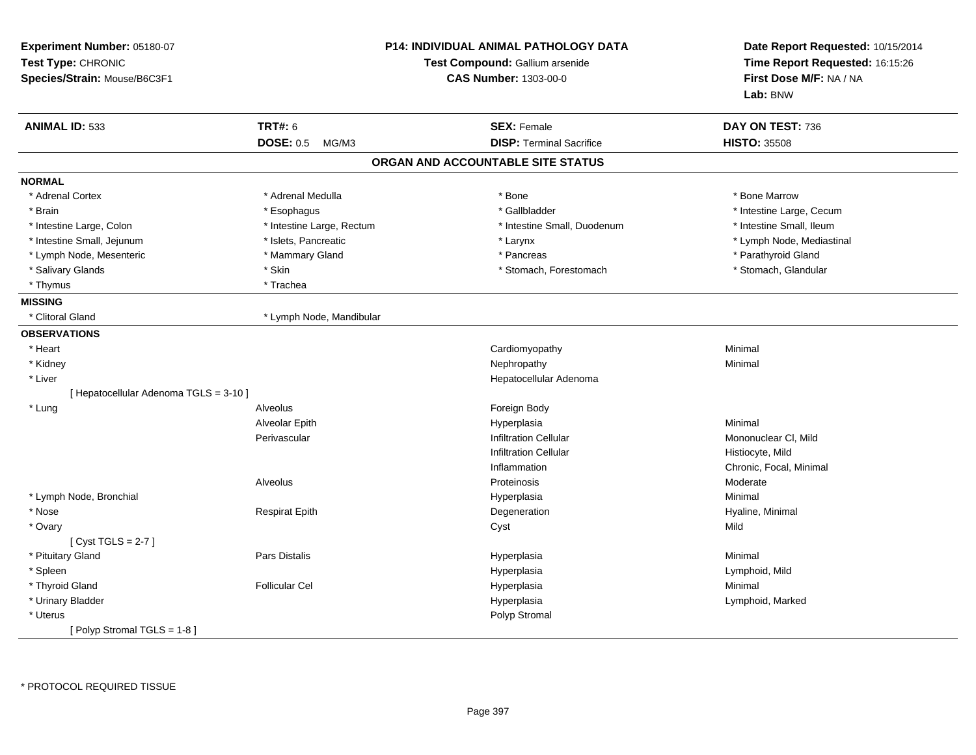| Experiment Number: 05180-07<br>Test Type: CHRONIC<br>Species/Strain: Mouse/B6C3F1 |                           | <b>P14: INDIVIDUAL ANIMAL PATHOLOGY DATA</b><br>Test Compound: Gallium arsenide<br><b>CAS Number: 1303-00-0</b> | Date Report Requested: 10/15/2014<br>Time Report Requested: 16:15:26<br>First Dose M/F: NA / NA<br>Lab: BNW |
|-----------------------------------------------------------------------------------|---------------------------|-----------------------------------------------------------------------------------------------------------------|-------------------------------------------------------------------------------------------------------------|
| <b>ANIMAL ID: 533</b>                                                             | <b>TRT#: 6</b>            | <b>SEX: Female</b>                                                                                              | DAY ON TEST: 736                                                                                            |
|                                                                                   | <b>DOSE: 0.5</b><br>MG/M3 | <b>DISP: Terminal Sacrifice</b>                                                                                 | <b>HISTO: 35508</b>                                                                                         |
|                                                                                   |                           | ORGAN AND ACCOUNTABLE SITE STATUS                                                                               |                                                                                                             |
| <b>NORMAL</b>                                                                     |                           |                                                                                                                 |                                                                                                             |
| * Adrenal Cortex                                                                  | * Adrenal Medulla         | * Bone                                                                                                          | * Bone Marrow                                                                                               |
| * Brain                                                                           | * Esophagus               | * Gallbladder                                                                                                   | * Intestine Large, Cecum                                                                                    |
| * Intestine Large, Colon                                                          | * Intestine Large, Rectum | * Intestine Small, Duodenum                                                                                     | * Intestine Small, Ileum                                                                                    |
| * Intestine Small, Jejunum                                                        | * Islets, Pancreatic      | * Larynx                                                                                                        | * Lymph Node, Mediastinal                                                                                   |
| * Lymph Node, Mesenteric                                                          | * Mammary Gland           | * Pancreas                                                                                                      | * Parathyroid Gland                                                                                         |
| * Salivary Glands                                                                 | * Skin                    | * Stomach, Forestomach                                                                                          | * Stomach, Glandular                                                                                        |
| * Thymus                                                                          | * Trachea                 |                                                                                                                 |                                                                                                             |
| <b>MISSING</b>                                                                    |                           |                                                                                                                 |                                                                                                             |
| * Clitoral Gland                                                                  | * Lymph Node, Mandibular  |                                                                                                                 |                                                                                                             |
| <b>OBSERVATIONS</b>                                                               |                           |                                                                                                                 |                                                                                                             |
| * Heart                                                                           |                           | Cardiomyopathy                                                                                                  | Minimal                                                                                                     |
| * Kidney                                                                          |                           | Nephropathy                                                                                                     | Minimal                                                                                                     |
| * Liver                                                                           |                           | Hepatocellular Adenoma                                                                                          |                                                                                                             |
| [ Hepatocellular Adenoma TGLS = 3-10 ]                                            |                           |                                                                                                                 |                                                                                                             |
| * Lung                                                                            | Alveolus                  | Foreign Body                                                                                                    |                                                                                                             |
|                                                                                   | Alveolar Epith            | Hyperplasia                                                                                                     | Minimal                                                                                                     |
|                                                                                   | Perivascular              | <b>Infiltration Cellular</b>                                                                                    | Mononuclear CI, Mild                                                                                        |
|                                                                                   |                           | <b>Infiltration Cellular</b>                                                                                    | Histiocyte, Mild                                                                                            |
|                                                                                   |                           | Inflammation                                                                                                    | Chronic, Focal, Minimal                                                                                     |
|                                                                                   | Alveolus                  | Proteinosis                                                                                                     | Moderate                                                                                                    |
| * Lymph Node, Bronchial                                                           |                           | Hyperplasia                                                                                                     | Minimal                                                                                                     |
| * Nose                                                                            | <b>Respirat Epith</b>     | Degeneration                                                                                                    | Hyaline, Minimal                                                                                            |
| * Ovary                                                                           |                           | Cyst                                                                                                            | Mild                                                                                                        |
| [Cyst TGLS = $2-7$ ]                                                              |                           |                                                                                                                 |                                                                                                             |
| * Pituitary Gland                                                                 | Pars Distalis             | Hyperplasia                                                                                                     | Minimal                                                                                                     |
| * Spleen                                                                          |                           | Hyperplasia                                                                                                     | Lymphoid, Mild                                                                                              |
| * Thyroid Gland                                                                   | <b>Follicular Cel</b>     | Hyperplasia                                                                                                     | Minimal                                                                                                     |
| * Urinary Bladder                                                                 |                           | Hyperplasia                                                                                                     | Lymphoid, Marked                                                                                            |
| * Uterus                                                                          |                           | Polyp Stromal                                                                                                   |                                                                                                             |
| [Polyp Stromal TGLS = 1-8]                                                        |                           |                                                                                                                 |                                                                                                             |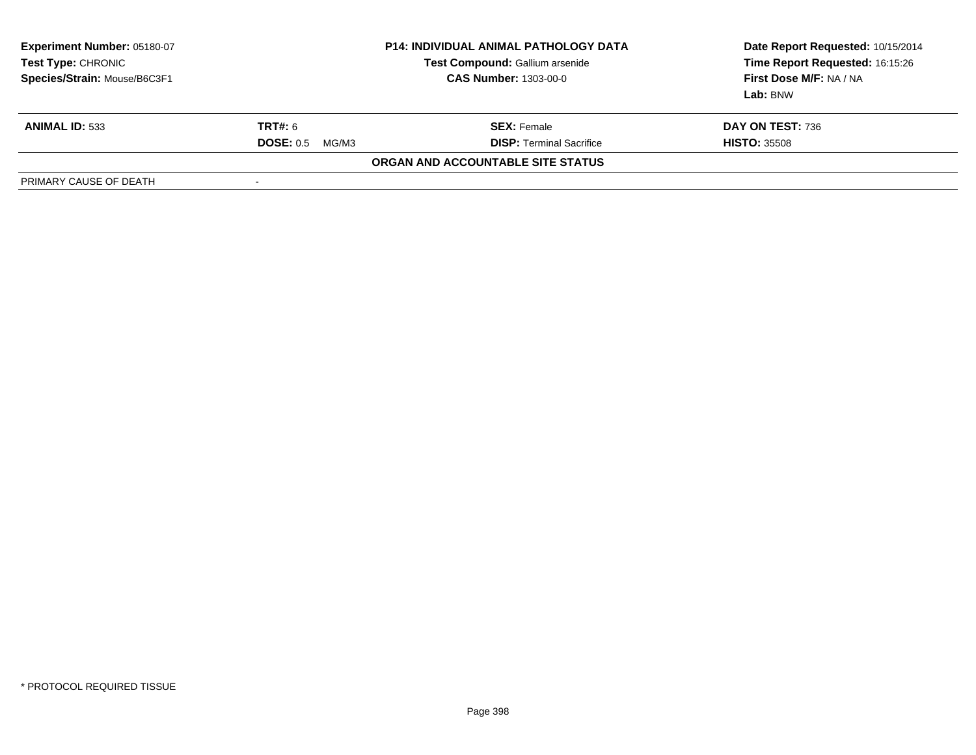| <b>Experiment Number: 05180-07</b><br>Test Type: CHRONIC<br>Species/Strain: Mouse/B6C3F1 | <b>P14: INDIVIDUAL ANIMAL PATHOLOGY DATA</b><br>Test Compound: Gallium arsenide<br><b>CAS Number: 1303-00-0</b> |                                   | Date Report Requested: 10/15/2014<br>Time Report Requested: 16:15:26<br>First Dose M/F: NA / NA<br>Lab: BNW |
|------------------------------------------------------------------------------------------|-----------------------------------------------------------------------------------------------------------------|-----------------------------------|-------------------------------------------------------------------------------------------------------------|
| <b>ANIMAL ID: 533</b>                                                                    | <b>TRT#: 6</b>                                                                                                  | <b>SEX: Female</b>                | DAY ON TEST: 736                                                                                            |
|                                                                                          | <b>DOSE: 0.5</b><br>MG/M3                                                                                       | <b>DISP:</b> Terminal Sacrifice   | <b>HISTO: 35508</b>                                                                                         |
|                                                                                          |                                                                                                                 | ORGAN AND ACCOUNTABLE SITE STATUS |                                                                                                             |
| PRIMARY CAUSE OF DEATH                                                                   | $\overline{\phantom{a}}$                                                                                        |                                   |                                                                                                             |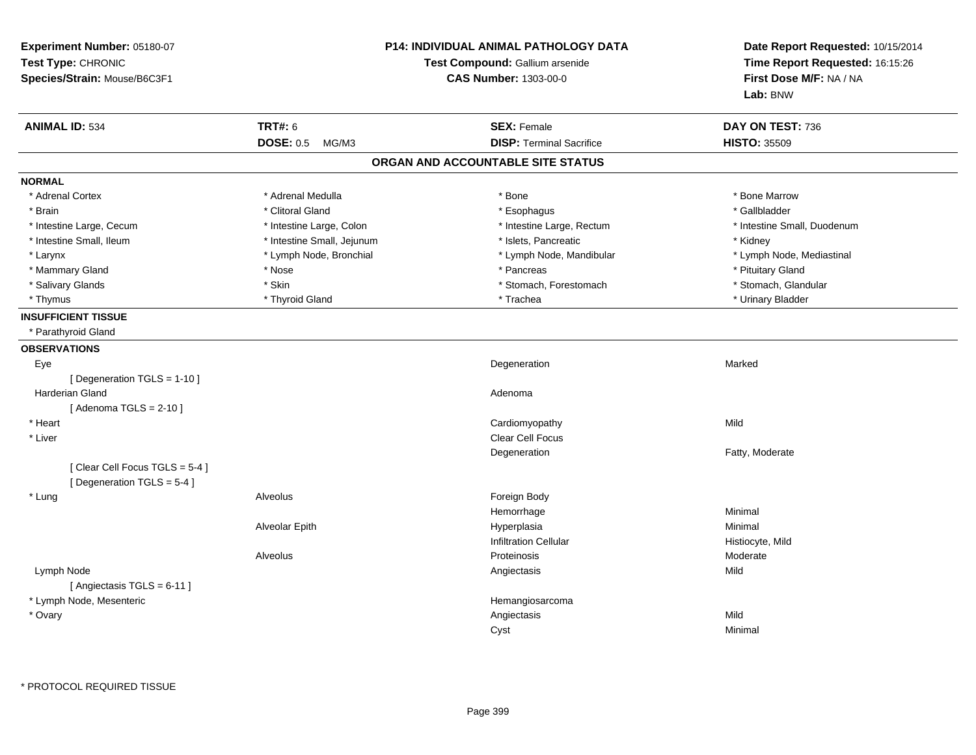| <b>TRT#: 6</b><br><b>ANIMAL ID: 534</b><br><b>SEX: Female</b><br>DAY ON TEST: 736<br><b>DOSE: 0.5</b><br><b>DISP: Terminal Sacrifice</b><br><b>HISTO: 35509</b><br>MG/M3<br>ORGAN AND ACCOUNTABLE SITE STATUS<br><b>NORMAL</b><br>* Adrenal Cortex<br>* Adrenal Medulla<br>* Bone<br>* Bone Marrow<br>* Clitoral Gland<br>* Gallbladder<br>* Esophagus<br>* Brain<br>* Intestine Large, Rectum<br>* Intestine Large, Cecum<br>* Intestine Large, Colon<br>* Intestine Small, Duodenum<br>* Intestine Small, Ileum<br>* Intestine Small, Jejunum<br>* Islets, Pancreatic<br>* Kidney<br>* Lymph Node, Bronchial<br>* Lymph Node, Mandibular<br>* Larynx<br>* Lymph Node, Mediastinal<br>* Pituitary Gland<br>* Mammary Gland<br>* Nose<br>* Pancreas<br>* Salivary Glands<br>* Skin<br>* Stomach, Forestomach<br>* Stomach, Glandular<br>* Thyroid Gland<br>* Trachea<br>* Urinary Bladder<br>* Thymus<br><b>INSUFFICIENT TISSUE</b><br>* Parathyroid Gland<br><b>OBSERVATIONS</b><br>Eye<br>Degeneration<br>Marked<br>[ Degeneration TGLS = 1-10 ]<br><b>Harderian Gland</b><br>Adenoma<br>[Adenoma TGLS = $2-10$ ]<br>* Heart<br>Cardiomyopathy<br>Mild<br>Clear Cell Focus<br>* Liver<br>Fatty, Moderate<br>Degeneration<br>[Clear Cell Focus TGLS = 5-4]<br>[Degeneration TGLS = 5-4]<br>Alveolus<br>* Lung<br>Foreign Body<br>Hemorrhage<br>Minimal<br>Alveolar Epith<br>Hyperplasia<br>Minimal<br><b>Infiltration Cellular</b><br>Histiocyte, Mild<br>Moderate<br>Alveolus<br>Proteinosis<br>Mild<br>Lymph Node<br>Angiectasis<br>[Angiectasis TGLS = 6-11]<br>* Lymph Node, Mesenteric<br>Hemangiosarcoma<br>Mild<br>* Ovary<br>Angiectasis<br>Cyst<br>Minimal | Experiment Number: 05180-07<br>Test Type: CHRONIC<br>Species/Strain: Mouse/B6C3F1 | P14: INDIVIDUAL ANIMAL PATHOLOGY DATA<br>Test Compound: Gallium arsenide<br><b>CAS Number: 1303-00-0</b> |  | Date Report Requested: 10/15/2014<br>Time Report Requested: 16:15:26<br>First Dose M/F: NA / NA<br>Lab: BNW |
|----------------------------------------------------------------------------------------------------------------------------------------------------------------------------------------------------------------------------------------------------------------------------------------------------------------------------------------------------------------------------------------------------------------------------------------------------------------------------------------------------------------------------------------------------------------------------------------------------------------------------------------------------------------------------------------------------------------------------------------------------------------------------------------------------------------------------------------------------------------------------------------------------------------------------------------------------------------------------------------------------------------------------------------------------------------------------------------------------------------------------------------------------------------------------------------------------------------------------------------------------------------------------------------------------------------------------------------------------------------------------------------------------------------------------------------------------------------------------------------------------------------------------------------------------------------------------------------------------------------------------------------------------------------------|-----------------------------------------------------------------------------------|----------------------------------------------------------------------------------------------------------|--|-------------------------------------------------------------------------------------------------------------|
|                                                                                                                                                                                                                                                                                                                                                                                                                                                                                                                                                                                                                                                                                                                                                                                                                                                                                                                                                                                                                                                                                                                                                                                                                                                                                                                                                                                                                                                                                                                                                                                                                                                                      |                                                                                   |                                                                                                          |  |                                                                                                             |
|                                                                                                                                                                                                                                                                                                                                                                                                                                                                                                                                                                                                                                                                                                                                                                                                                                                                                                                                                                                                                                                                                                                                                                                                                                                                                                                                                                                                                                                                                                                                                                                                                                                                      |                                                                                   |                                                                                                          |  |                                                                                                             |
|                                                                                                                                                                                                                                                                                                                                                                                                                                                                                                                                                                                                                                                                                                                                                                                                                                                                                                                                                                                                                                                                                                                                                                                                                                                                                                                                                                                                                                                                                                                                                                                                                                                                      |                                                                                   |                                                                                                          |  |                                                                                                             |
|                                                                                                                                                                                                                                                                                                                                                                                                                                                                                                                                                                                                                                                                                                                                                                                                                                                                                                                                                                                                                                                                                                                                                                                                                                                                                                                                                                                                                                                                                                                                                                                                                                                                      |                                                                                   |                                                                                                          |  |                                                                                                             |
|                                                                                                                                                                                                                                                                                                                                                                                                                                                                                                                                                                                                                                                                                                                                                                                                                                                                                                                                                                                                                                                                                                                                                                                                                                                                                                                                                                                                                                                                                                                                                                                                                                                                      |                                                                                   |                                                                                                          |  |                                                                                                             |
|                                                                                                                                                                                                                                                                                                                                                                                                                                                                                                                                                                                                                                                                                                                                                                                                                                                                                                                                                                                                                                                                                                                                                                                                                                                                                                                                                                                                                                                                                                                                                                                                                                                                      |                                                                                   |                                                                                                          |  |                                                                                                             |
|                                                                                                                                                                                                                                                                                                                                                                                                                                                                                                                                                                                                                                                                                                                                                                                                                                                                                                                                                                                                                                                                                                                                                                                                                                                                                                                                                                                                                                                                                                                                                                                                                                                                      |                                                                                   |                                                                                                          |  |                                                                                                             |
|                                                                                                                                                                                                                                                                                                                                                                                                                                                                                                                                                                                                                                                                                                                                                                                                                                                                                                                                                                                                                                                                                                                                                                                                                                                                                                                                                                                                                                                                                                                                                                                                                                                                      |                                                                                   |                                                                                                          |  |                                                                                                             |
|                                                                                                                                                                                                                                                                                                                                                                                                                                                                                                                                                                                                                                                                                                                                                                                                                                                                                                                                                                                                                                                                                                                                                                                                                                                                                                                                                                                                                                                                                                                                                                                                                                                                      |                                                                                   |                                                                                                          |  |                                                                                                             |
|                                                                                                                                                                                                                                                                                                                                                                                                                                                                                                                                                                                                                                                                                                                                                                                                                                                                                                                                                                                                                                                                                                                                                                                                                                                                                                                                                                                                                                                                                                                                                                                                                                                                      |                                                                                   |                                                                                                          |  |                                                                                                             |
|                                                                                                                                                                                                                                                                                                                                                                                                                                                                                                                                                                                                                                                                                                                                                                                                                                                                                                                                                                                                                                                                                                                                                                                                                                                                                                                                                                                                                                                                                                                                                                                                                                                                      |                                                                                   |                                                                                                          |  |                                                                                                             |
|                                                                                                                                                                                                                                                                                                                                                                                                                                                                                                                                                                                                                                                                                                                                                                                                                                                                                                                                                                                                                                                                                                                                                                                                                                                                                                                                                                                                                                                                                                                                                                                                                                                                      |                                                                                   |                                                                                                          |  |                                                                                                             |
|                                                                                                                                                                                                                                                                                                                                                                                                                                                                                                                                                                                                                                                                                                                                                                                                                                                                                                                                                                                                                                                                                                                                                                                                                                                                                                                                                                                                                                                                                                                                                                                                                                                                      |                                                                                   |                                                                                                          |  |                                                                                                             |
|                                                                                                                                                                                                                                                                                                                                                                                                                                                                                                                                                                                                                                                                                                                                                                                                                                                                                                                                                                                                                                                                                                                                                                                                                                                                                                                                                                                                                                                                                                                                                                                                                                                                      |                                                                                   |                                                                                                          |  |                                                                                                             |
|                                                                                                                                                                                                                                                                                                                                                                                                                                                                                                                                                                                                                                                                                                                                                                                                                                                                                                                                                                                                                                                                                                                                                                                                                                                                                                                                                                                                                                                                                                                                                                                                                                                                      |                                                                                   |                                                                                                          |  |                                                                                                             |
|                                                                                                                                                                                                                                                                                                                                                                                                                                                                                                                                                                                                                                                                                                                                                                                                                                                                                                                                                                                                                                                                                                                                                                                                                                                                                                                                                                                                                                                                                                                                                                                                                                                                      |                                                                                   |                                                                                                          |  |                                                                                                             |
|                                                                                                                                                                                                                                                                                                                                                                                                                                                                                                                                                                                                                                                                                                                                                                                                                                                                                                                                                                                                                                                                                                                                                                                                                                                                                                                                                                                                                                                                                                                                                                                                                                                                      |                                                                                   |                                                                                                          |  |                                                                                                             |
|                                                                                                                                                                                                                                                                                                                                                                                                                                                                                                                                                                                                                                                                                                                                                                                                                                                                                                                                                                                                                                                                                                                                                                                                                                                                                                                                                                                                                                                                                                                                                                                                                                                                      |                                                                                   |                                                                                                          |  |                                                                                                             |
|                                                                                                                                                                                                                                                                                                                                                                                                                                                                                                                                                                                                                                                                                                                                                                                                                                                                                                                                                                                                                                                                                                                                                                                                                                                                                                                                                                                                                                                                                                                                                                                                                                                                      |                                                                                   |                                                                                                          |  |                                                                                                             |
|                                                                                                                                                                                                                                                                                                                                                                                                                                                                                                                                                                                                                                                                                                                                                                                                                                                                                                                                                                                                                                                                                                                                                                                                                                                                                                                                                                                                                                                                                                                                                                                                                                                                      |                                                                                   |                                                                                                          |  |                                                                                                             |
|                                                                                                                                                                                                                                                                                                                                                                                                                                                                                                                                                                                                                                                                                                                                                                                                                                                                                                                                                                                                                                                                                                                                                                                                                                                                                                                                                                                                                                                                                                                                                                                                                                                                      |                                                                                   |                                                                                                          |  |                                                                                                             |
|                                                                                                                                                                                                                                                                                                                                                                                                                                                                                                                                                                                                                                                                                                                                                                                                                                                                                                                                                                                                                                                                                                                                                                                                                                                                                                                                                                                                                                                                                                                                                                                                                                                                      |                                                                                   |                                                                                                          |  |                                                                                                             |
|                                                                                                                                                                                                                                                                                                                                                                                                                                                                                                                                                                                                                                                                                                                                                                                                                                                                                                                                                                                                                                                                                                                                                                                                                                                                                                                                                                                                                                                                                                                                                                                                                                                                      |                                                                                   |                                                                                                          |  |                                                                                                             |
|                                                                                                                                                                                                                                                                                                                                                                                                                                                                                                                                                                                                                                                                                                                                                                                                                                                                                                                                                                                                                                                                                                                                                                                                                                                                                                                                                                                                                                                                                                                                                                                                                                                                      |                                                                                   |                                                                                                          |  |                                                                                                             |
|                                                                                                                                                                                                                                                                                                                                                                                                                                                                                                                                                                                                                                                                                                                                                                                                                                                                                                                                                                                                                                                                                                                                                                                                                                                                                                                                                                                                                                                                                                                                                                                                                                                                      |                                                                                   |                                                                                                          |  |                                                                                                             |
|                                                                                                                                                                                                                                                                                                                                                                                                                                                                                                                                                                                                                                                                                                                                                                                                                                                                                                                                                                                                                                                                                                                                                                                                                                                                                                                                                                                                                                                                                                                                                                                                                                                                      |                                                                                   |                                                                                                          |  |                                                                                                             |
|                                                                                                                                                                                                                                                                                                                                                                                                                                                                                                                                                                                                                                                                                                                                                                                                                                                                                                                                                                                                                                                                                                                                                                                                                                                                                                                                                                                                                                                                                                                                                                                                                                                                      |                                                                                   |                                                                                                          |  |                                                                                                             |
|                                                                                                                                                                                                                                                                                                                                                                                                                                                                                                                                                                                                                                                                                                                                                                                                                                                                                                                                                                                                                                                                                                                                                                                                                                                                                                                                                                                                                                                                                                                                                                                                                                                                      |                                                                                   |                                                                                                          |  |                                                                                                             |
|                                                                                                                                                                                                                                                                                                                                                                                                                                                                                                                                                                                                                                                                                                                                                                                                                                                                                                                                                                                                                                                                                                                                                                                                                                                                                                                                                                                                                                                                                                                                                                                                                                                                      |                                                                                   |                                                                                                          |  |                                                                                                             |
|                                                                                                                                                                                                                                                                                                                                                                                                                                                                                                                                                                                                                                                                                                                                                                                                                                                                                                                                                                                                                                                                                                                                                                                                                                                                                                                                                                                                                                                                                                                                                                                                                                                                      |                                                                                   |                                                                                                          |  |                                                                                                             |
|                                                                                                                                                                                                                                                                                                                                                                                                                                                                                                                                                                                                                                                                                                                                                                                                                                                                                                                                                                                                                                                                                                                                                                                                                                                                                                                                                                                                                                                                                                                                                                                                                                                                      |                                                                                   |                                                                                                          |  |                                                                                                             |
|                                                                                                                                                                                                                                                                                                                                                                                                                                                                                                                                                                                                                                                                                                                                                                                                                                                                                                                                                                                                                                                                                                                                                                                                                                                                                                                                                                                                                                                                                                                                                                                                                                                                      |                                                                                   |                                                                                                          |  |                                                                                                             |
|                                                                                                                                                                                                                                                                                                                                                                                                                                                                                                                                                                                                                                                                                                                                                                                                                                                                                                                                                                                                                                                                                                                                                                                                                                                                                                                                                                                                                                                                                                                                                                                                                                                                      |                                                                                   |                                                                                                          |  |                                                                                                             |
|                                                                                                                                                                                                                                                                                                                                                                                                                                                                                                                                                                                                                                                                                                                                                                                                                                                                                                                                                                                                                                                                                                                                                                                                                                                                                                                                                                                                                                                                                                                                                                                                                                                                      |                                                                                   |                                                                                                          |  |                                                                                                             |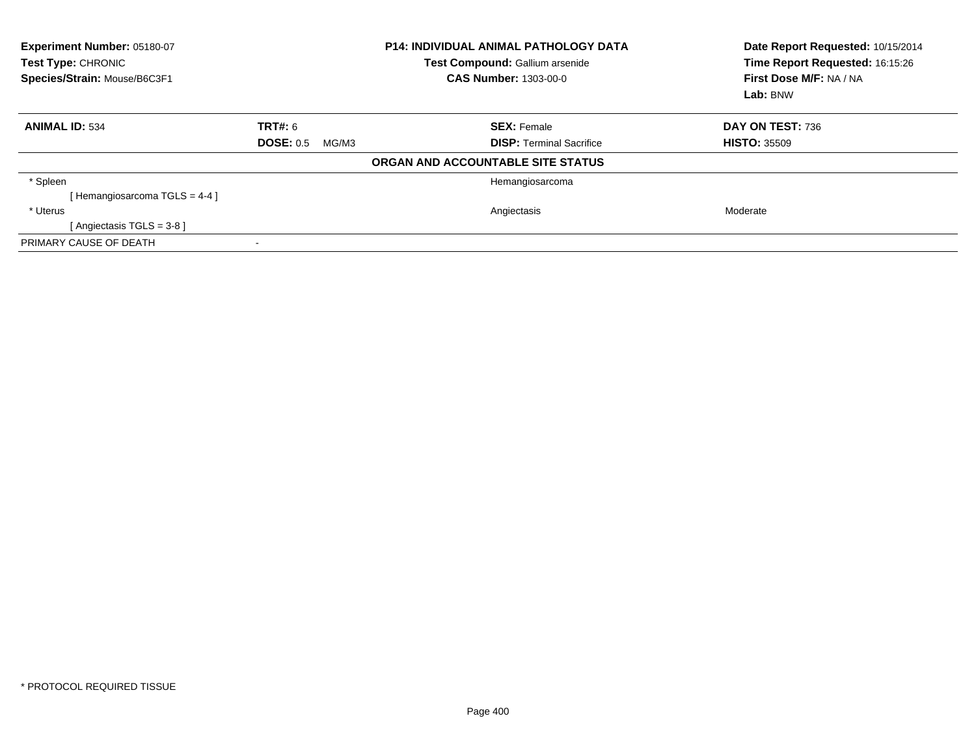| Experiment Number: 05180-07<br>Test Type: CHRONIC<br>Species/Strain: Mouse/B6C3F1 | <b>P14: INDIVIDUAL ANIMAL PATHOLOGY DATA</b><br>Test Compound: Gallium arsenide<br><b>CAS Number: 1303-00-0</b> |                                   | Date Report Requested: 10/15/2014<br>Time Report Requested: 16:15:26<br>First Dose M/F: NA / NA<br>Lab: BNW |
|-----------------------------------------------------------------------------------|-----------------------------------------------------------------------------------------------------------------|-----------------------------------|-------------------------------------------------------------------------------------------------------------|
| <b>ANIMAL ID: 534</b>                                                             | <b>TRT#: 6</b>                                                                                                  | <b>SEX: Female</b>                | DAY ON TEST: 736                                                                                            |
|                                                                                   | <b>DOSE: 0.5</b><br>MG/M3                                                                                       | <b>DISP:</b> Terminal Sacrifice   | <b>HISTO: 35509</b>                                                                                         |
|                                                                                   |                                                                                                                 | ORGAN AND ACCOUNTABLE SITE STATUS |                                                                                                             |
| * Spleen                                                                          |                                                                                                                 | Hemangiosarcoma                   |                                                                                                             |
| [Hemangiosarcoma TGLS = $4-4$ ]                                                   |                                                                                                                 |                                   |                                                                                                             |
| * Uterus                                                                          |                                                                                                                 | Angiectasis                       | Moderate                                                                                                    |
| [ Angiectasis $TGLS = 3-8$ ]                                                      |                                                                                                                 |                                   |                                                                                                             |
| PRIMARY CAUSE OF DEATH                                                            |                                                                                                                 |                                   |                                                                                                             |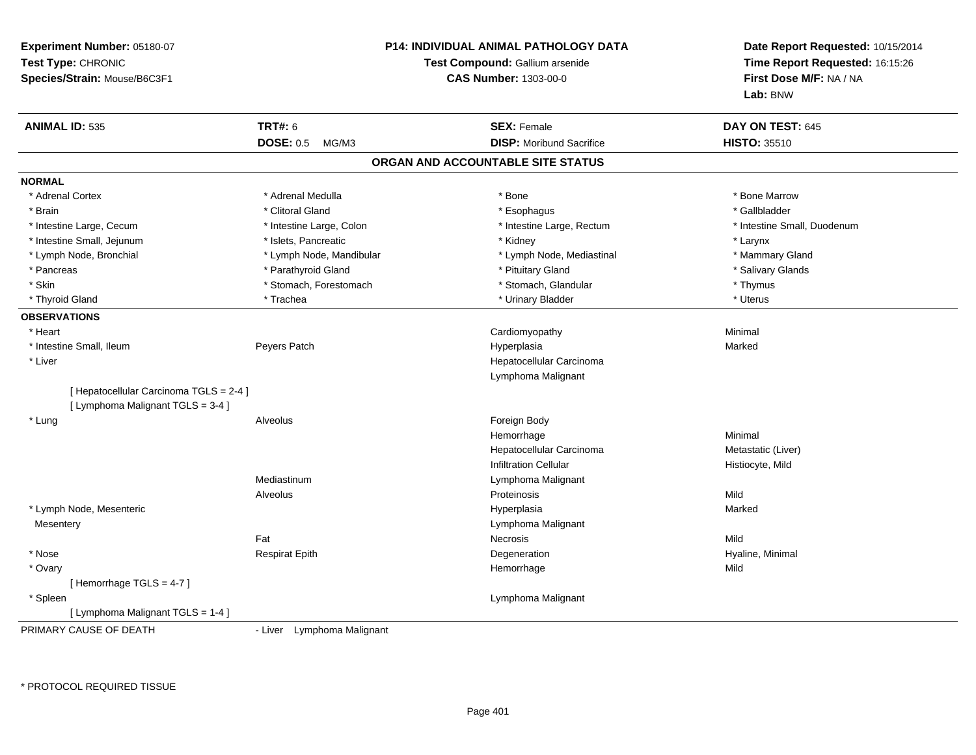| Experiment Number: 05180-07<br>Test Type: CHRONIC<br>Species/Strain: Mouse/B6C3F1 |                            | <b>P14: INDIVIDUAL ANIMAL PATHOLOGY DATA</b><br>Test Compound: Gallium arsenide<br><b>CAS Number: 1303-00-0</b> | Date Report Requested: 10/15/2014<br>Time Report Requested: 16:15:26<br>First Dose M/F: NA / NA<br>Lab: BNW |
|-----------------------------------------------------------------------------------|----------------------------|-----------------------------------------------------------------------------------------------------------------|-------------------------------------------------------------------------------------------------------------|
| <b>ANIMAL ID: 535</b>                                                             | <b>TRT#: 6</b>             | <b>SEX: Female</b>                                                                                              | DAY ON TEST: 645                                                                                            |
|                                                                                   | <b>DOSE: 0.5</b><br>MG/M3  | <b>DISP:</b> Moribund Sacrifice                                                                                 | <b>HISTO: 35510</b>                                                                                         |
|                                                                                   |                            | ORGAN AND ACCOUNTABLE SITE STATUS                                                                               |                                                                                                             |
| <b>NORMAL</b>                                                                     |                            |                                                                                                                 |                                                                                                             |
| * Adrenal Cortex                                                                  | * Adrenal Medulla          | * Bone                                                                                                          | * Bone Marrow                                                                                               |
| * Brain                                                                           | * Clitoral Gland           | * Esophagus                                                                                                     | * Gallbladder                                                                                               |
| * Intestine Large, Cecum                                                          | * Intestine Large, Colon   | * Intestine Large, Rectum                                                                                       | * Intestine Small, Duodenum                                                                                 |
| * Intestine Small, Jejunum                                                        | * Islets, Pancreatic       | * Kidney                                                                                                        | * Larynx                                                                                                    |
| * Lymph Node, Bronchial                                                           | * Lymph Node, Mandibular   | * Lymph Node, Mediastinal                                                                                       | * Mammary Gland                                                                                             |
| * Pancreas                                                                        | * Parathyroid Gland        | * Pituitary Gland                                                                                               | * Salivary Glands                                                                                           |
| * Skin                                                                            | * Stomach, Forestomach     | * Stomach, Glandular                                                                                            | * Thymus                                                                                                    |
| * Thyroid Gland                                                                   | * Trachea                  | * Urinary Bladder                                                                                               | * Uterus                                                                                                    |
| <b>OBSERVATIONS</b>                                                               |                            |                                                                                                                 |                                                                                                             |
| * Heart                                                                           |                            | Cardiomyopathy                                                                                                  | Minimal                                                                                                     |
| * Intestine Small, Ileum                                                          | Peyers Patch               | Hyperplasia                                                                                                     | Marked                                                                                                      |
| * Liver                                                                           |                            | Hepatocellular Carcinoma                                                                                        |                                                                                                             |
|                                                                                   |                            | Lymphoma Malignant                                                                                              |                                                                                                             |
| [ Hepatocellular Carcinoma TGLS = 2-4 ]<br>[ Lymphoma Malignant TGLS = 3-4 ]      |                            |                                                                                                                 |                                                                                                             |
| * Lung                                                                            | Alveolus                   | Foreign Body                                                                                                    |                                                                                                             |
|                                                                                   |                            | Hemorrhage                                                                                                      | Minimal                                                                                                     |
|                                                                                   |                            | Hepatocellular Carcinoma                                                                                        | Metastatic (Liver)                                                                                          |
|                                                                                   |                            | <b>Infiltration Cellular</b>                                                                                    | Histiocyte, Mild                                                                                            |
|                                                                                   | Mediastinum                | Lymphoma Malignant                                                                                              |                                                                                                             |
|                                                                                   | Alveolus                   | Proteinosis                                                                                                     | Mild                                                                                                        |
| * Lymph Node, Mesenteric                                                          |                            | Hyperplasia                                                                                                     | Marked                                                                                                      |
| Mesentery                                                                         |                            | Lymphoma Malignant                                                                                              |                                                                                                             |
|                                                                                   | Fat                        | Necrosis                                                                                                        | Mild                                                                                                        |
| * Nose                                                                            | <b>Respirat Epith</b>      | Degeneration                                                                                                    | Hyaline, Minimal                                                                                            |
| * Ovary                                                                           |                            | Hemorrhage                                                                                                      | Mild                                                                                                        |
| [Hemorrhage TGLS = 4-7]                                                           |                            |                                                                                                                 |                                                                                                             |
| * Spleen                                                                          |                            | Lymphoma Malignant                                                                                              |                                                                                                             |
| [ Lymphoma Malignant TGLS = 1-4 ]                                                 |                            |                                                                                                                 |                                                                                                             |
| PRIMARY CAUSE OF DEATH                                                            | - Liver Lymphoma Malignant |                                                                                                                 |                                                                                                             |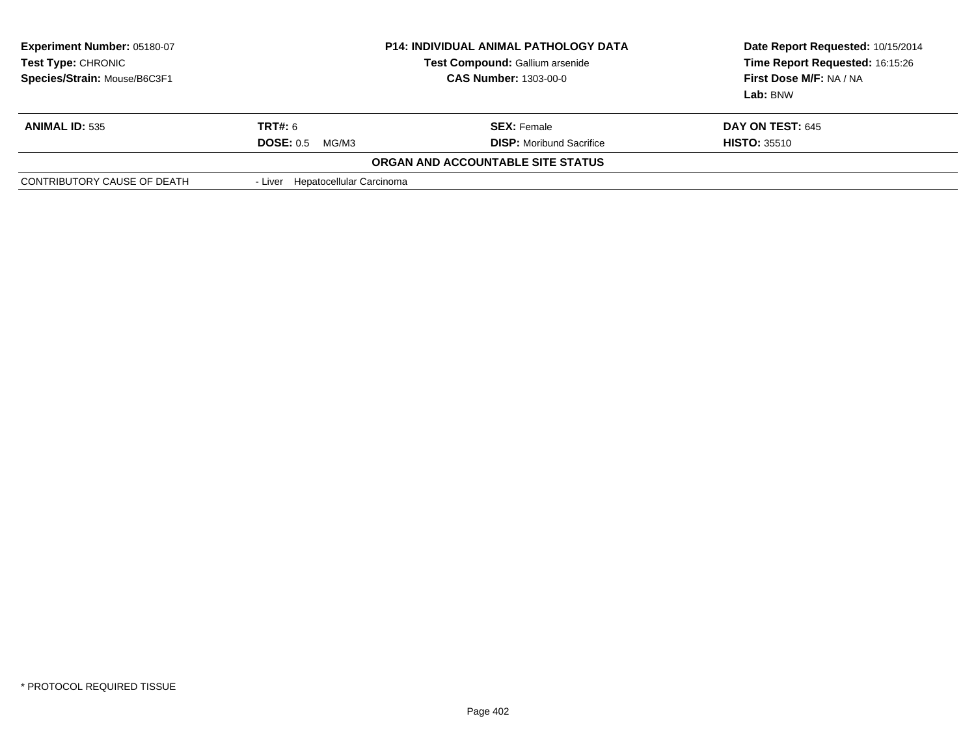| <b>Experiment Number: 05180-07</b><br>Test Type: CHRONIC<br>Species/Strain: Mouse/B6C3F1 | <b>P14: INDIVIDUAL ANIMAL PATHOLOGY DATA</b><br>Test Compound: Gallium arsenide<br><b>CAS Number: 1303-00-0</b> |                                   | Date Report Requested: 10/15/2014<br>Time Report Requested: 16:15:26<br>First Dose M/F: NA / NA<br>Lab: BNW |
|------------------------------------------------------------------------------------------|-----------------------------------------------------------------------------------------------------------------|-----------------------------------|-------------------------------------------------------------------------------------------------------------|
| <b>ANIMAL ID: 535</b>                                                                    | <b>TRT#: 6</b>                                                                                                  | <b>SEX:</b> Female                | <b>DAY ON TEST: 645</b>                                                                                     |
|                                                                                          | <b>DOSE: 0.5</b><br>MG/M3                                                                                       | <b>DISP:</b> Moribund Sacrifice   | <b>HISTO: 35510</b>                                                                                         |
|                                                                                          |                                                                                                                 | ORGAN AND ACCOUNTABLE SITE STATUS |                                                                                                             |
| CONTRIBUTORY CAUSE OF DEATH                                                              | - Liver Hepatocellular Carcinoma                                                                                |                                   |                                                                                                             |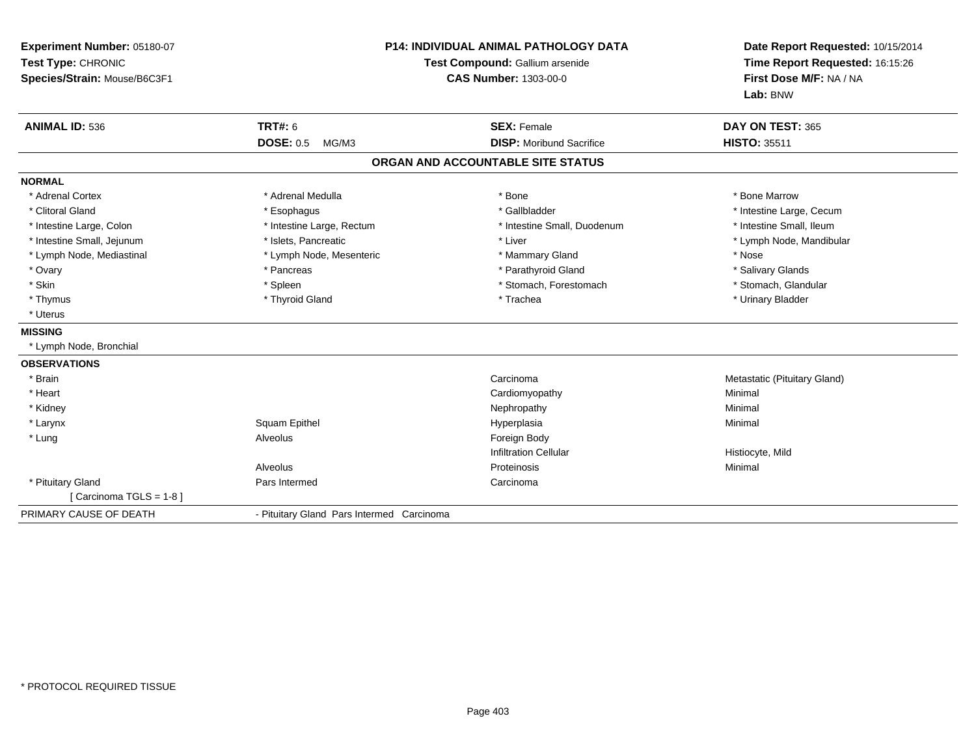| Experiment Number: 05180-07<br>Test Type: CHRONIC<br>Species/Strain: Mouse/B6C3F1 | P14: INDIVIDUAL ANIMAL PATHOLOGY DATA<br>Test Compound: Gallium arsenide<br><b>CAS Number: 1303-00-0</b> |                                   | Date Report Requested: 10/15/2014<br>Time Report Requested: 16:15:26<br>First Dose M/F: NA / NA<br>Lab: BNW |  |
|-----------------------------------------------------------------------------------|----------------------------------------------------------------------------------------------------------|-----------------------------------|-------------------------------------------------------------------------------------------------------------|--|
| <b>ANIMAL ID: 536</b>                                                             | <b>TRT#: 6</b>                                                                                           | <b>SEX: Female</b>                | DAY ON TEST: 365                                                                                            |  |
|                                                                                   | <b>DOSE: 0.5</b><br>MG/M3                                                                                | <b>DISP:</b> Moribund Sacrifice   | <b>HISTO: 35511</b>                                                                                         |  |
|                                                                                   |                                                                                                          | ORGAN AND ACCOUNTABLE SITE STATUS |                                                                                                             |  |
| <b>NORMAL</b>                                                                     |                                                                                                          |                                   |                                                                                                             |  |
| * Adrenal Cortex                                                                  | * Adrenal Medulla                                                                                        | * Bone                            | * Bone Marrow                                                                                               |  |
| * Clitoral Gland                                                                  | * Esophagus                                                                                              | * Gallbladder                     | * Intestine Large, Cecum                                                                                    |  |
| * Intestine Large, Colon                                                          | * Intestine Large, Rectum                                                                                | * Intestine Small, Duodenum       | * Intestine Small, Ileum                                                                                    |  |
| * Intestine Small, Jejunum                                                        | * Islets. Pancreatic                                                                                     | * Liver                           | * Lymph Node, Mandibular                                                                                    |  |
| * Lymph Node, Mediastinal                                                         | * Lymph Node, Mesenteric                                                                                 | * Mammary Gland                   | * Nose                                                                                                      |  |
| * Ovary                                                                           | * Pancreas                                                                                               | * Parathyroid Gland               | * Salivary Glands                                                                                           |  |
| * Skin                                                                            | * Spleen                                                                                                 | * Stomach, Forestomach            | * Stomach, Glandular                                                                                        |  |
| * Thymus                                                                          | * Thyroid Gland                                                                                          | * Trachea                         | * Urinary Bladder                                                                                           |  |
| * Uterus                                                                          |                                                                                                          |                                   |                                                                                                             |  |
| <b>MISSING</b>                                                                    |                                                                                                          |                                   |                                                                                                             |  |
| * Lymph Node, Bronchial                                                           |                                                                                                          |                                   |                                                                                                             |  |
| <b>OBSERVATIONS</b>                                                               |                                                                                                          |                                   |                                                                                                             |  |
| * Brain                                                                           |                                                                                                          | Carcinoma                         | Metastatic (Pituitary Gland)                                                                                |  |
| * Heart                                                                           |                                                                                                          | Cardiomyopathy                    | Minimal                                                                                                     |  |
| * Kidney                                                                          |                                                                                                          | Nephropathy                       | Minimal                                                                                                     |  |
| * Larynx                                                                          | Squam Epithel                                                                                            | Hyperplasia                       | Minimal                                                                                                     |  |
| * Lung                                                                            | Alveolus                                                                                                 | Foreign Body                      |                                                                                                             |  |
|                                                                                   |                                                                                                          | <b>Infiltration Cellular</b>      | Histiocyte, Mild                                                                                            |  |
|                                                                                   | Alveolus                                                                                                 | Proteinosis                       | Minimal                                                                                                     |  |
| * Pituitary Gland                                                                 | Pars Intermed                                                                                            | Carcinoma                         |                                                                                                             |  |
| [Carcinoma TGLS = 1-8]                                                            |                                                                                                          |                                   |                                                                                                             |  |
| PRIMARY CAUSE OF DEATH                                                            | - Pituitary Gland Pars Intermed Carcinoma                                                                |                                   |                                                                                                             |  |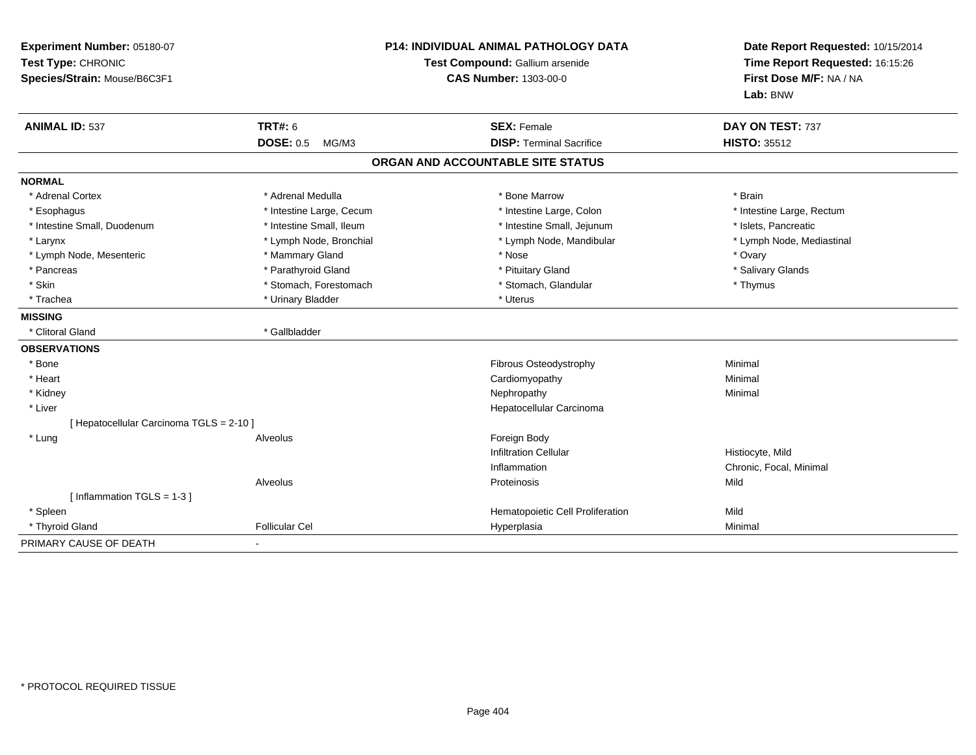| Experiment Number: 05180-07<br>Test Type: CHRONIC<br>Species/Strain: Mouse/B6C3F1 |                           | <b>P14: INDIVIDUAL ANIMAL PATHOLOGY DATA</b><br>Test Compound: Gallium arsenide<br><b>CAS Number: 1303-00-0</b> |                           |
|-----------------------------------------------------------------------------------|---------------------------|-----------------------------------------------------------------------------------------------------------------|---------------------------|
| <b>ANIMAL ID: 537</b>                                                             | <b>TRT#: 6</b>            | <b>SEX: Female</b>                                                                                              | DAY ON TEST: 737          |
|                                                                                   | <b>DOSE: 0.5</b><br>MG/M3 | <b>DISP: Terminal Sacrifice</b>                                                                                 | <b>HISTO: 35512</b>       |
|                                                                                   |                           | ORGAN AND ACCOUNTABLE SITE STATUS                                                                               |                           |
| <b>NORMAL</b>                                                                     |                           |                                                                                                                 |                           |
| * Adrenal Cortex                                                                  | * Adrenal Medulla         | * Bone Marrow                                                                                                   | * Brain                   |
| * Esophagus                                                                       | * Intestine Large, Cecum  | * Intestine Large, Colon                                                                                        | * Intestine Large, Rectum |
| * Intestine Small, Duodenum                                                       | * Intestine Small, Ileum  | * Intestine Small, Jejunum                                                                                      | * Islets, Pancreatic      |
| * Larynx                                                                          | * Lymph Node, Bronchial   | * Lymph Node, Mandibular                                                                                        | * Lymph Node, Mediastinal |
| * Lymph Node, Mesenteric                                                          | * Mammary Gland           | * Nose                                                                                                          | * Ovary                   |
| * Pancreas                                                                        | * Parathyroid Gland       | * Pituitary Gland                                                                                               | * Salivary Glands         |
| * Skin                                                                            | * Stomach, Forestomach    | * Stomach, Glandular                                                                                            | * Thymus                  |
| * Trachea                                                                         | * Urinary Bladder         | * Uterus                                                                                                        |                           |
| <b>MISSING</b>                                                                    |                           |                                                                                                                 |                           |
| * Clitoral Gland                                                                  | * Gallbladder             |                                                                                                                 |                           |
| <b>OBSERVATIONS</b>                                                               |                           |                                                                                                                 |                           |
| * Bone                                                                            |                           | Fibrous Osteodystrophy                                                                                          | Minimal                   |
| * Heart                                                                           |                           | Cardiomyopathy                                                                                                  | Minimal                   |
| * Kidney                                                                          |                           | Nephropathy                                                                                                     | Minimal                   |
| * Liver                                                                           |                           | Hepatocellular Carcinoma                                                                                        |                           |
| [ Hepatocellular Carcinoma TGLS = 2-10 ]                                          |                           |                                                                                                                 |                           |
| * Lung                                                                            | Alveolus                  | Foreign Body                                                                                                    |                           |
|                                                                                   |                           | <b>Infiltration Cellular</b>                                                                                    | Histiocyte, Mild          |
|                                                                                   |                           | Inflammation                                                                                                    | Chronic, Focal, Minimal   |
|                                                                                   | Alveolus                  | Proteinosis                                                                                                     | Mild                      |
| [Inflammation TGLS = $1-3$ ]                                                      |                           |                                                                                                                 |                           |
| * Spleen                                                                          |                           | Hematopoietic Cell Proliferation                                                                                | Mild                      |
| * Thyroid Gland                                                                   | <b>Follicular Cel</b>     | Hyperplasia                                                                                                     | Minimal                   |
| PRIMARY CAUSE OF DEATH                                                            |                           |                                                                                                                 |                           |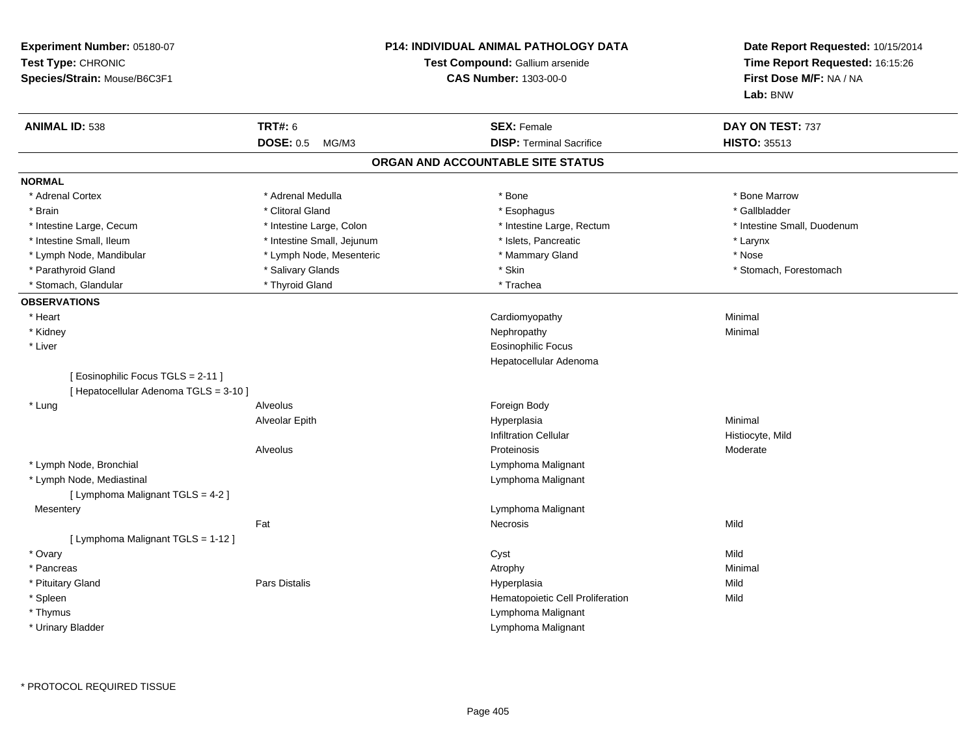| Experiment Number: 05180-07<br>Test Type: CHRONIC<br>Species/Strain: Mouse/B6C3F1 |                            | <b>P14: INDIVIDUAL ANIMAL PATHOLOGY DATA</b><br>Test Compound: Gallium arsenide<br><b>CAS Number: 1303-00-0</b> | Date Report Requested: 10/15/2014<br>Time Report Requested: 16:15:26<br>First Dose M/F: NA / NA<br>Lab: BNW |
|-----------------------------------------------------------------------------------|----------------------------|-----------------------------------------------------------------------------------------------------------------|-------------------------------------------------------------------------------------------------------------|
| <b>ANIMAL ID: 538</b>                                                             | <b>TRT#: 6</b>             | <b>SEX: Female</b>                                                                                              | DAY ON TEST: 737                                                                                            |
|                                                                                   | <b>DOSE: 0.5</b><br>MG/M3  | <b>DISP: Terminal Sacrifice</b>                                                                                 | <b>HISTO: 35513</b>                                                                                         |
|                                                                                   |                            | ORGAN AND ACCOUNTABLE SITE STATUS                                                                               |                                                                                                             |
| <b>NORMAL</b>                                                                     |                            |                                                                                                                 |                                                                                                             |
| * Adrenal Cortex                                                                  | * Adrenal Medulla          | * Bone                                                                                                          | * Bone Marrow                                                                                               |
| * Brain                                                                           | * Clitoral Gland           | * Esophagus                                                                                                     | * Gallbladder                                                                                               |
| * Intestine Large, Cecum                                                          | * Intestine Large, Colon   | * Intestine Large, Rectum                                                                                       | * Intestine Small, Duodenum                                                                                 |
| * Intestine Small, Ileum                                                          | * Intestine Small, Jejunum | * Islets, Pancreatic                                                                                            | * Larynx                                                                                                    |
| * Lymph Node, Mandibular                                                          | * Lymph Node, Mesenteric   | * Mammary Gland                                                                                                 | * Nose                                                                                                      |
| * Parathyroid Gland                                                               | * Salivary Glands          | * Skin                                                                                                          | * Stomach, Forestomach                                                                                      |
| * Stomach, Glandular                                                              | * Thyroid Gland            | * Trachea                                                                                                       |                                                                                                             |
| <b>OBSERVATIONS</b>                                                               |                            |                                                                                                                 |                                                                                                             |
| * Heart                                                                           |                            | Cardiomyopathy                                                                                                  | Minimal                                                                                                     |
| * Kidney                                                                          |                            | Nephropathy                                                                                                     | Minimal                                                                                                     |
| * Liver                                                                           |                            | <b>Eosinophilic Focus</b>                                                                                       |                                                                                                             |
|                                                                                   |                            | Hepatocellular Adenoma                                                                                          |                                                                                                             |
| [Eosinophilic Focus TGLS = 2-11]<br>[ Hepatocellular Adenoma TGLS = 3-10 ]        |                            |                                                                                                                 |                                                                                                             |
| * Lung                                                                            | Alveolus                   | Foreign Body                                                                                                    |                                                                                                             |
|                                                                                   | Alveolar Epith             | Hyperplasia                                                                                                     | Minimal                                                                                                     |
|                                                                                   |                            | <b>Infiltration Cellular</b>                                                                                    | Histiocyte, Mild                                                                                            |
|                                                                                   | Alveolus                   | Proteinosis                                                                                                     | Moderate                                                                                                    |
| * Lymph Node, Bronchial                                                           |                            | Lymphoma Malignant                                                                                              |                                                                                                             |
| * Lymph Node, Mediastinal                                                         |                            | Lymphoma Malignant                                                                                              |                                                                                                             |
| [ Lymphoma Malignant TGLS = 4-2 ]                                                 |                            |                                                                                                                 |                                                                                                             |
| Mesentery                                                                         |                            | Lymphoma Malignant                                                                                              |                                                                                                             |
|                                                                                   | Fat                        | Necrosis                                                                                                        | Mild                                                                                                        |
| [ Lymphoma Malignant TGLS = 1-12 ]                                                |                            |                                                                                                                 |                                                                                                             |
| * Ovary                                                                           |                            | Cyst                                                                                                            | Mild                                                                                                        |
| * Pancreas                                                                        |                            | Atrophy                                                                                                         | Minimal                                                                                                     |
| * Pituitary Gland                                                                 | Pars Distalis              | Hyperplasia                                                                                                     | Mild                                                                                                        |
| * Spleen                                                                          |                            | Hematopoietic Cell Proliferation                                                                                | Mild                                                                                                        |
| * Thymus                                                                          |                            | Lymphoma Malignant                                                                                              |                                                                                                             |
| * Urinary Bladder                                                                 |                            | Lymphoma Malignant                                                                                              |                                                                                                             |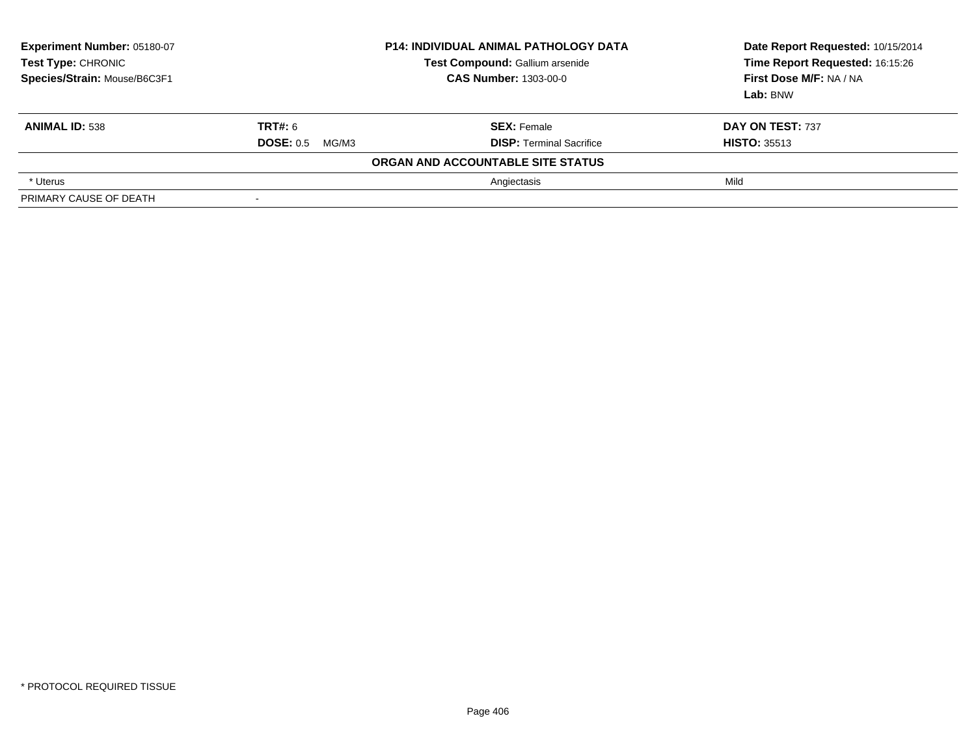| <b>Experiment Number: 05180-07</b><br><b>Test Type: CHRONIC</b><br>Species/Strain: Mouse/B6C3F1 | <b>P14: INDIVIDUAL ANIMAL PATHOLOGY DATA</b><br>Test Compound: Gallium arsenide<br><b>CAS Number: 1303-00-0</b> |                                                       | Date Report Requested: 10/15/2014<br>Time Report Requested: 16:15:26<br>First Dose M/F: NA / NA<br>Lab: BNW |
|-------------------------------------------------------------------------------------------------|-----------------------------------------------------------------------------------------------------------------|-------------------------------------------------------|-------------------------------------------------------------------------------------------------------------|
| <b>ANIMAL ID: 538</b>                                                                           | <b>TRT#: 6</b><br>DOSE: 0.5<br>MG/M3                                                                            | <b>SEX: Female</b><br><b>DISP: Terminal Sacrifice</b> | DAY ON TEST: 737<br><b>HISTO: 35513</b>                                                                     |
|                                                                                                 |                                                                                                                 | ORGAN AND ACCOUNTABLE SITE STATUS                     |                                                                                                             |
| * Uterus                                                                                        |                                                                                                                 | Angiectasis                                           | Mild                                                                                                        |
| PRIMARY CAUSE OF DEATH                                                                          |                                                                                                                 |                                                       |                                                                                                             |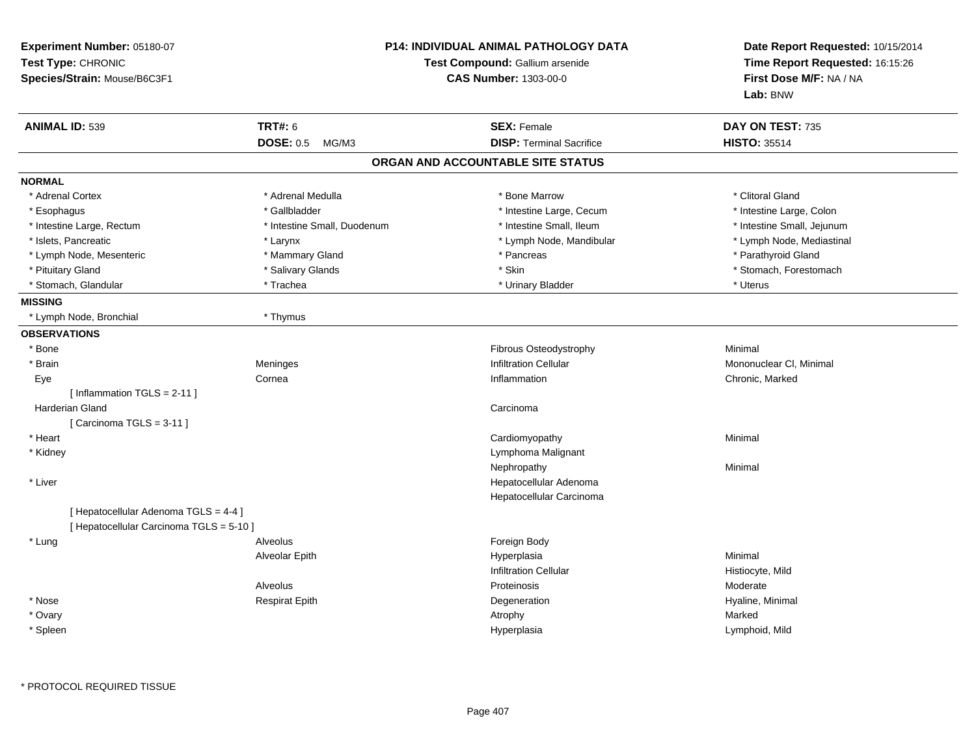| Experiment Number: 05180-07<br>Test Type: CHRONIC<br>Species/Strain: Mouse/B6C3F1 |                             | <b>P14: INDIVIDUAL ANIMAL PATHOLOGY DATA</b><br>Test Compound: Gallium arsenide<br><b>CAS Number: 1303-00-0</b> | Date Report Requested: 10/15/2014<br>Time Report Requested: 16:15:26<br>First Dose M/F: NA / NA<br>Lab: BNW |
|-----------------------------------------------------------------------------------|-----------------------------|-----------------------------------------------------------------------------------------------------------------|-------------------------------------------------------------------------------------------------------------|
| <b>ANIMAL ID: 539</b>                                                             | <b>TRT#: 6</b>              | <b>SEX: Female</b>                                                                                              | DAY ON TEST: 735                                                                                            |
|                                                                                   | <b>DOSE: 0.5</b><br>MG/M3   | <b>DISP: Terminal Sacrifice</b>                                                                                 | <b>HISTO: 35514</b>                                                                                         |
|                                                                                   |                             | ORGAN AND ACCOUNTABLE SITE STATUS                                                                               |                                                                                                             |
| <b>NORMAL</b>                                                                     |                             |                                                                                                                 |                                                                                                             |
| * Adrenal Cortex                                                                  | * Adrenal Medulla           | * Bone Marrow                                                                                                   | * Clitoral Gland                                                                                            |
| * Esophagus                                                                       | * Gallbladder               | * Intestine Large, Cecum                                                                                        | * Intestine Large, Colon                                                                                    |
| * Intestine Large, Rectum                                                         | * Intestine Small, Duodenum | * Intestine Small, Ileum                                                                                        | * Intestine Small, Jejunum                                                                                  |
| * Islets, Pancreatic                                                              | * Larynx                    | * Lymph Node, Mandibular                                                                                        | * Lymph Node, Mediastinal                                                                                   |
| * Lymph Node, Mesenteric                                                          | * Mammary Gland             | * Pancreas                                                                                                      | * Parathyroid Gland                                                                                         |
| * Pituitary Gland                                                                 | * Salivary Glands           | * Skin                                                                                                          | * Stomach, Forestomach                                                                                      |
| * Stomach, Glandular                                                              | * Trachea                   | * Urinary Bladder                                                                                               | * Uterus                                                                                                    |
| <b>MISSING</b>                                                                    |                             |                                                                                                                 |                                                                                                             |
| * Lymph Node, Bronchial                                                           | * Thymus                    |                                                                                                                 |                                                                                                             |
| <b>OBSERVATIONS</b>                                                               |                             |                                                                                                                 |                                                                                                             |
| $*$ Bone                                                                          |                             | Fibrous Osteodystrophy                                                                                          | Minimal                                                                                                     |
| * Brain                                                                           | Meninges                    | <b>Infiltration Cellular</b>                                                                                    | Mononuclear CI, Minimal                                                                                     |
| Eye                                                                               | Cornea                      | Inflammation                                                                                                    | Chronic, Marked                                                                                             |
| [Inflammation TGLS = $2-11$ ]                                                     |                             |                                                                                                                 |                                                                                                             |
| Harderian Gland                                                                   |                             | Carcinoma                                                                                                       |                                                                                                             |
| [Carcinoma TGLS = $3-11$ ]                                                        |                             |                                                                                                                 |                                                                                                             |
| * Heart                                                                           |                             | Cardiomyopathy                                                                                                  | Minimal                                                                                                     |
| * Kidney                                                                          |                             | Lymphoma Malignant                                                                                              |                                                                                                             |
|                                                                                   |                             | Nephropathy                                                                                                     | Minimal                                                                                                     |
| * Liver                                                                           |                             | Hepatocellular Adenoma                                                                                          |                                                                                                             |
|                                                                                   |                             | Hepatocellular Carcinoma                                                                                        |                                                                                                             |
| [ Hepatocellular Adenoma TGLS = 4-4 ]<br>[ Hepatocellular Carcinoma TGLS = 5-10 ] |                             |                                                                                                                 |                                                                                                             |
| * Lung                                                                            | Alveolus                    | Foreign Body                                                                                                    |                                                                                                             |
|                                                                                   | Alveolar Epith              | Hyperplasia                                                                                                     | Minimal                                                                                                     |
|                                                                                   |                             | <b>Infiltration Cellular</b>                                                                                    | Histiocyte, Mild                                                                                            |
|                                                                                   | Alveolus                    | Proteinosis                                                                                                     | Moderate                                                                                                    |
| * Nose                                                                            | <b>Respirat Epith</b>       | Degeneration                                                                                                    | Hyaline, Minimal                                                                                            |
| * Ovary                                                                           |                             | Atrophy                                                                                                         | Marked                                                                                                      |
| * Spleen                                                                          |                             | Hyperplasia                                                                                                     | Lymphoid, Mild                                                                                              |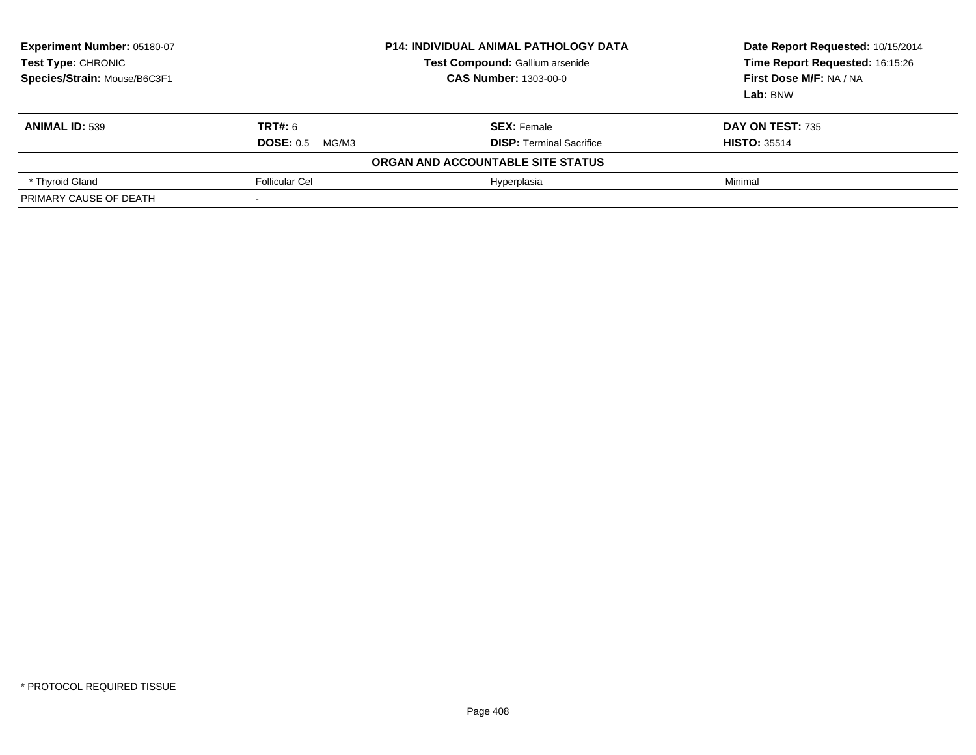| Experiment Number: 05180-07<br>Test Type: CHRONIC<br>Species/Strain: Mouse/B6C3F1 | <b>P14: INDIVIDUAL ANIMAL PATHOLOGY DATA</b><br>Test Compound: Gallium arsenide<br><b>CAS Number: 1303-00-0</b> |                                   | Date Report Requested: 10/15/2014<br>Time Report Requested: 16:15:26<br>First Dose M/F: NA / NA<br>Lab: BNW |
|-----------------------------------------------------------------------------------|-----------------------------------------------------------------------------------------------------------------|-----------------------------------|-------------------------------------------------------------------------------------------------------------|
| <b>ANIMAL ID: 539</b>                                                             | <b>TRT#: 6</b>                                                                                                  | <b>SEX: Female</b>                | DAY ON TEST: 735                                                                                            |
|                                                                                   | DOSE: 0.5<br>MG/M3                                                                                              | <b>DISP:</b> Terminal Sacrifice   | <b>HISTO: 35514</b>                                                                                         |
|                                                                                   |                                                                                                                 | ORGAN AND ACCOUNTABLE SITE STATUS |                                                                                                             |
| * Thyroid Gland                                                                   | <b>Follicular Cel</b>                                                                                           | Hyperplasia                       | Minimal                                                                                                     |
| PRIMARY CAUSE OF DEATH                                                            |                                                                                                                 |                                   |                                                                                                             |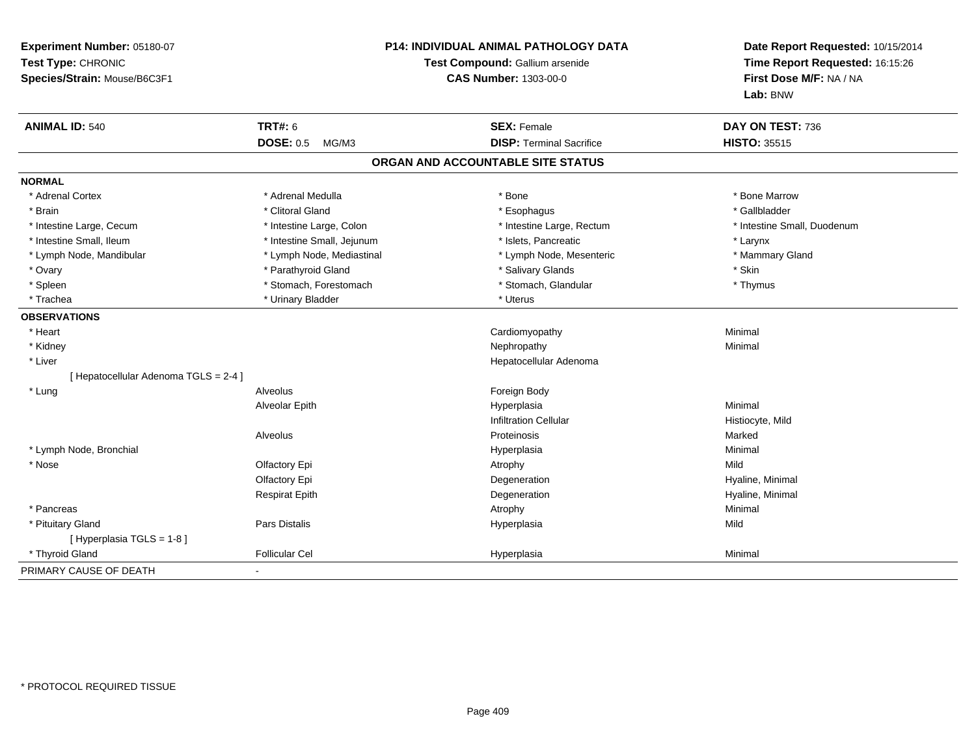| Experiment Number: 05180-07<br>Test Type: CHRONIC<br>Species/Strain: Mouse/B6C3F1 |                            | P14: INDIVIDUAL ANIMAL PATHOLOGY DATA<br>Test Compound: Gallium arsenide<br><b>CAS Number: 1303-00-0</b> | Date Report Requested: 10/15/2014<br>Time Report Requested: 16:15:26<br>First Dose M/F: NA / NA<br>Lab: BNW |
|-----------------------------------------------------------------------------------|----------------------------|----------------------------------------------------------------------------------------------------------|-------------------------------------------------------------------------------------------------------------|
| <b>ANIMAL ID: 540</b>                                                             | <b>TRT#: 6</b>             | <b>SEX: Female</b>                                                                                       | DAY ON TEST: 736                                                                                            |
|                                                                                   | <b>DOSE: 0.5</b><br>MG/M3  | <b>DISP: Terminal Sacrifice</b>                                                                          | <b>HISTO: 35515</b>                                                                                         |
|                                                                                   |                            | ORGAN AND ACCOUNTABLE SITE STATUS                                                                        |                                                                                                             |
| <b>NORMAL</b>                                                                     |                            |                                                                                                          |                                                                                                             |
| * Adrenal Cortex                                                                  | * Adrenal Medulla          | * Bone                                                                                                   | * Bone Marrow                                                                                               |
| * Brain                                                                           | * Clitoral Gland           | * Esophagus                                                                                              | * Gallbladder                                                                                               |
| * Intestine Large, Cecum                                                          | * Intestine Large, Colon   | * Intestine Large, Rectum                                                                                | * Intestine Small, Duodenum                                                                                 |
| * Intestine Small, Ileum                                                          | * Intestine Small, Jejunum | * Islets, Pancreatic                                                                                     | * Larynx                                                                                                    |
| * Lymph Node, Mandibular                                                          | * Lymph Node, Mediastinal  | * Lymph Node, Mesenteric                                                                                 | * Mammary Gland                                                                                             |
| * Ovary                                                                           | * Parathyroid Gland        | * Salivary Glands                                                                                        | * Skin                                                                                                      |
| * Spleen                                                                          | * Stomach, Forestomach     | * Stomach, Glandular                                                                                     | * Thymus                                                                                                    |
| * Trachea                                                                         | * Urinary Bladder          | * Uterus                                                                                                 |                                                                                                             |
| <b>OBSERVATIONS</b>                                                               |                            |                                                                                                          |                                                                                                             |
| * Heart                                                                           |                            | Cardiomyopathy                                                                                           | Minimal                                                                                                     |
| * Kidney                                                                          |                            | Nephropathy                                                                                              | Minimal                                                                                                     |
| * Liver                                                                           |                            | Hepatocellular Adenoma                                                                                   |                                                                                                             |
| [ Hepatocellular Adenoma TGLS = 2-4 ]                                             |                            |                                                                                                          |                                                                                                             |
| * Lung                                                                            | Alveolus                   | Foreign Body                                                                                             |                                                                                                             |
|                                                                                   | Alveolar Epith             | Hyperplasia                                                                                              | Minimal                                                                                                     |
|                                                                                   |                            | <b>Infiltration Cellular</b>                                                                             | Histiocyte, Mild                                                                                            |
|                                                                                   | Alveolus                   | Proteinosis                                                                                              | Marked                                                                                                      |
| * Lymph Node, Bronchial                                                           |                            | Hyperplasia                                                                                              | Minimal                                                                                                     |
| * Nose                                                                            | Olfactory Epi              | Atrophy                                                                                                  | Mild                                                                                                        |
|                                                                                   | Olfactory Epi              | Degeneration                                                                                             | Hyaline, Minimal                                                                                            |
|                                                                                   | <b>Respirat Epith</b>      | Degeneration                                                                                             | Hyaline, Minimal                                                                                            |
| * Pancreas                                                                        |                            | Atrophy                                                                                                  | Minimal                                                                                                     |
| * Pituitary Gland                                                                 | Pars Distalis              | Hyperplasia                                                                                              | Mild                                                                                                        |
| [ Hyperplasia TGLS = 1-8 ]                                                        |                            |                                                                                                          |                                                                                                             |
| * Thyroid Gland                                                                   | <b>Follicular Cel</b>      | Hyperplasia                                                                                              | Minimal                                                                                                     |
| PRIMARY CAUSE OF DEATH                                                            | $\blacksquare$             |                                                                                                          |                                                                                                             |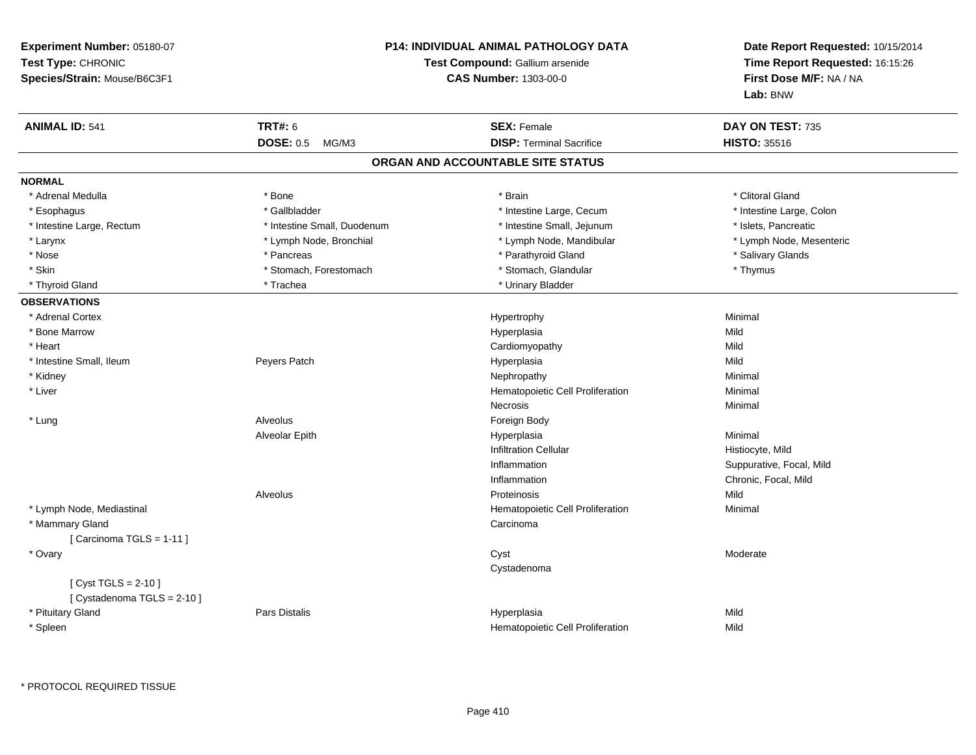| <b>Experiment Number: 05180-07</b><br>Test Type: CHRONIC<br>Species/Strain: Mouse/B6C3F1 |                             | <b>P14: INDIVIDUAL ANIMAL PATHOLOGY DATA</b><br>Test Compound: Gallium arsenide<br><b>CAS Number: 1303-00-0</b> | Date Report Requested: 10/15/2014<br>Time Report Requested: 16:15:26<br>First Dose M/F: NA / NA<br>Lab: BNW |
|------------------------------------------------------------------------------------------|-----------------------------|-----------------------------------------------------------------------------------------------------------------|-------------------------------------------------------------------------------------------------------------|
| <b>ANIMAL ID: 541</b>                                                                    | <b>TRT#: 6</b>              | <b>SEX: Female</b>                                                                                              | DAY ON TEST: 735                                                                                            |
|                                                                                          | DOSE: 0.5 MG/M3             | <b>DISP: Terminal Sacrifice</b>                                                                                 | <b>HISTO: 35516</b>                                                                                         |
|                                                                                          |                             | ORGAN AND ACCOUNTABLE SITE STATUS                                                                               |                                                                                                             |
| <b>NORMAL</b>                                                                            |                             |                                                                                                                 |                                                                                                             |
| * Adrenal Medulla                                                                        | * Bone                      | * Brain                                                                                                         | * Clitoral Gland                                                                                            |
| * Esophagus                                                                              | * Gallbladder               | * Intestine Large, Cecum                                                                                        | * Intestine Large, Colon                                                                                    |
| * Intestine Large, Rectum                                                                | * Intestine Small, Duodenum | * Intestine Small, Jejunum                                                                                      | * Islets, Pancreatic                                                                                        |
| * Larynx                                                                                 | * Lymph Node, Bronchial     | * Lymph Node, Mandibular                                                                                        | * Lymph Node, Mesenteric                                                                                    |
| * Nose                                                                                   | * Pancreas                  | * Parathyroid Gland                                                                                             | * Salivary Glands                                                                                           |
| * Skin                                                                                   | * Stomach, Forestomach      | * Stomach, Glandular                                                                                            | * Thymus                                                                                                    |
| * Thyroid Gland                                                                          | * Trachea                   | * Urinary Bladder                                                                                               |                                                                                                             |
| <b>OBSERVATIONS</b>                                                                      |                             |                                                                                                                 |                                                                                                             |
| * Adrenal Cortex                                                                         |                             | Hypertrophy                                                                                                     | Minimal                                                                                                     |
| * Bone Marrow                                                                            |                             | Hyperplasia                                                                                                     | Mild                                                                                                        |
| * Heart                                                                                  |                             | Cardiomyopathy                                                                                                  | Mild                                                                                                        |
| * Intestine Small, Ileum                                                                 | Peyers Patch                | Hyperplasia                                                                                                     | Mild                                                                                                        |
| * Kidney                                                                                 |                             | Nephropathy                                                                                                     | Minimal                                                                                                     |
| $^{\star}$ Liver                                                                         |                             | Hematopoietic Cell Proliferation                                                                                | Minimal                                                                                                     |
|                                                                                          |                             | Necrosis                                                                                                        | Minimal                                                                                                     |
| * Lung                                                                                   | Alveolus                    | Foreign Body                                                                                                    |                                                                                                             |
|                                                                                          | Alveolar Epith              | Hyperplasia                                                                                                     | Minimal                                                                                                     |
|                                                                                          |                             | <b>Infiltration Cellular</b>                                                                                    | Histiocyte, Mild                                                                                            |
|                                                                                          |                             | Inflammation                                                                                                    | Suppurative, Focal, Mild                                                                                    |
|                                                                                          |                             | Inflammation                                                                                                    | Chronic, Focal, Mild                                                                                        |
|                                                                                          | Alveolus                    | Proteinosis                                                                                                     | Mild                                                                                                        |
| * Lymph Node, Mediastinal                                                                |                             | Hematopoietic Cell Proliferation                                                                                | Minimal                                                                                                     |
| * Mammary Gland                                                                          |                             | Carcinoma                                                                                                       |                                                                                                             |
| [ Carcinoma TGLS = $1-11$ ]                                                              |                             |                                                                                                                 |                                                                                                             |
| * Ovary                                                                                  |                             | Cyst                                                                                                            | Moderate                                                                                                    |
|                                                                                          |                             | Cystadenoma                                                                                                     |                                                                                                             |
| [ $Cyst TGLS = 2-10$ ]                                                                   |                             |                                                                                                                 |                                                                                                             |
| [ Cystadenoma TGLS = 2-10 ]                                                              |                             |                                                                                                                 |                                                                                                             |
| * Pituitary Gland                                                                        | Pars Distalis               | Hyperplasia                                                                                                     | Mild                                                                                                        |
| * Spleen                                                                                 |                             | Hematopoietic Cell Proliferation                                                                                | Mild                                                                                                        |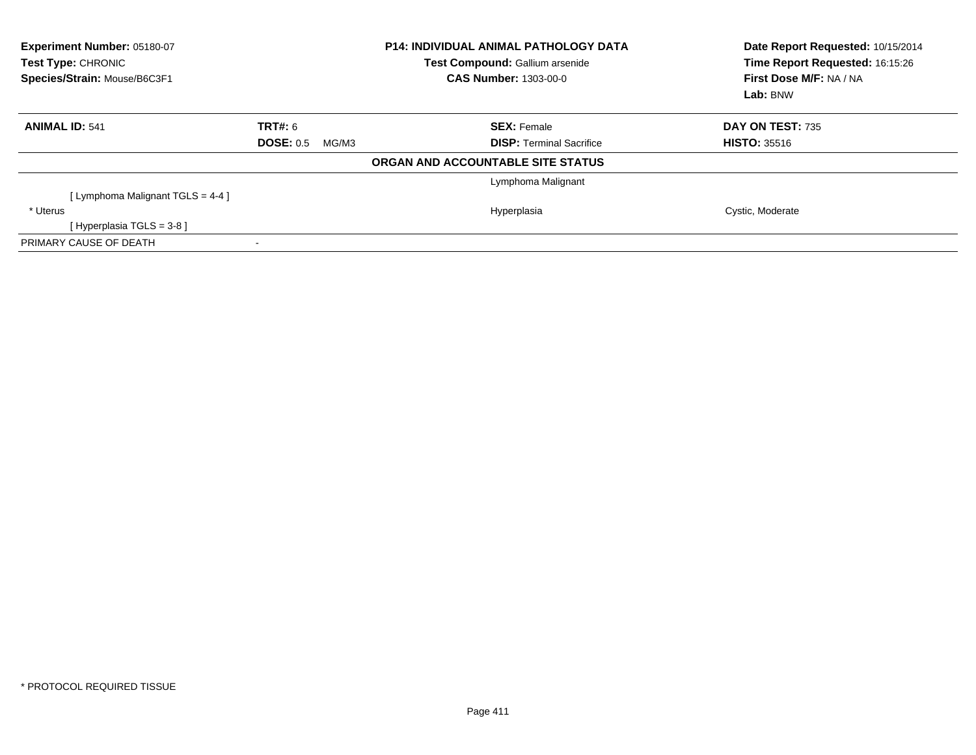| Experiment Number: 05180-07<br>Test Type: CHRONIC<br>Species/Strain: Mouse/B6C3F1 |                           | <b>P14: INDIVIDUAL ANIMAL PATHOLOGY DATA</b><br>Test Compound: Gallium arsenide<br><b>CAS Number: 1303-00-0</b> | Date Report Requested: 10/15/2014<br>Time Report Requested: 16:15:26<br>First Dose M/F: NA / NA<br>Lab: BNW |
|-----------------------------------------------------------------------------------|---------------------------|-----------------------------------------------------------------------------------------------------------------|-------------------------------------------------------------------------------------------------------------|
| <b>ANIMAL ID: 541</b>                                                             | <b>TRT#: 6</b>            | <b>SEX: Female</b>                                                                                              | DAY ON TEST: 735                                                                                            |
|                                                                                   | <b>DOSE: 0.5</b><br>MG/M3 | <b>DISP: Terminal Sacrifice</b>                                                                                 | <b>HISTO: 35516</b>                                                                                         |
|                                                                                   |                           | ORGAN AND ACCOUNTABLE SITE STATUS                                                                               |                                                                                                             |
|                                                                                   |                           | Lymphoma Malignant                                                                                              |                                                                                                             |
| [ Lymphoma Malignant TGLS = $4-4$ ]                                               |                           |                                                                                                                 |                                                                                                             |
| * Uterus                                                                          |                           | Hyperplasia                                                                                                     | Cystic, Moderate                                                                                            |
| [Hyperplasia TGLS = $3-8$ ]                                                       |                           |                                                                                                                 |                                                                                                             |
| PRIMARY CAUSE OF DEATH                                                            |                           |                                                                                                                 |                                                                                                             |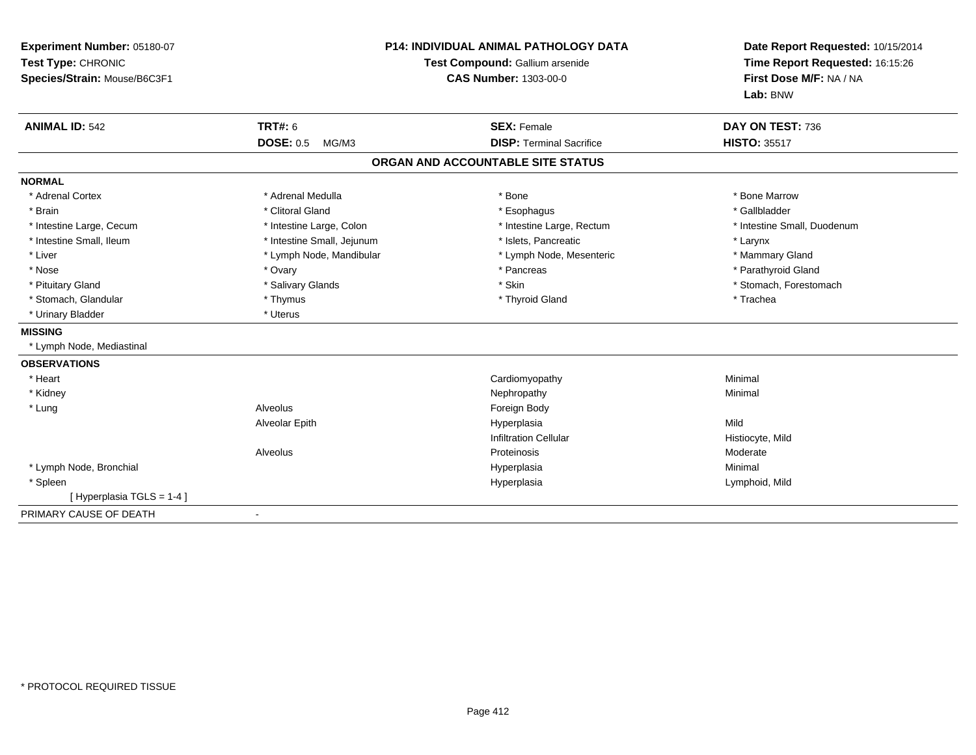| Experiment Number: 05180-07<br>Test Type: CHRONIC<br>Species/Strain: Mouse/B6C3F1 |                            | <b>P14: INDIVIDUAL ANIMAL PATHOLOGY DATA</b><br>Test Compound: Gallium arsenide<br><b>CAS Number: 1303-00-0</b> | Date Report Requested: 10/15/2014<br>Time Report Requested: 16:15:26<br>First Dose M/F: NA / NA<br>Lab: BNW |
|-----------------------------------------------------------------------------------|----------------------------|-----------------------------------------------------------------------------------------------------------------|-------------------------------------------------------------------------------------------------------------|
| <b>ANIMAL ID: 542</b>                                                             | <b>TRT#: 6</b>             | <b>SEX: Female</b>                                                                                              | DAY ON TEST: 736                                                                                            |
|                                                                                   | <b>DOSE: 0.5</b><br>MG/M3  | <b>DISP: Terminal Sacrifice</b>                                                                                 | <b>HISTO: 35517</b>                                                                                         |
|                                                                                   |                            | ORGAN AND ACCOUNTABLE SITE STATUS                                                                               |                                                                                                             |
| <b>NORMAL</b>                                                                     |                            |                                                                                                                 |                                                                                                             |
| * Adrenal Cortex                                                                  | * Adrenal Medulla          | * Bone                                                                                                          | * Bone Marrow                                                                                               |
| * Brain                                                                           | * Clitoral Gland           | * Esophagus                                                                                                     | * Gallbladder                                                                                               |
| * Intestine Large, Cecum                                                          | * Intestine Large, Colon   | * Intestine Large, Rectum                                                                                       | * Intestine Small, Duodenum                                                                                 |
| * Intestine Small, Ileum                                                          | * Intestine Small, Jejunum | * Islets. Pancreatic                                                                                            | * Larynx                                                                                                    |
| * Liver                                                                           | * Lymph Node, Mandibular   | * Lymph Node, Mesenteric                                                                                        | * Mammary Gland                                                                                             |
| * Nose                                                                            | * Ovary                    | * Pancreas                                                                                                      | * Parathyroid Gland                                                                                         |
| * Pituitary Gland                                                                 | * Salivary Glands          | * Skin                                                                                                          | * Stomach, Forestomach                                                                                      |
| * Stomach, Glandular                                                              | * Thymus                   | * Thyroid Gland                                                                                                 | * Trachea                                                                                                   |
| * Urinary Bladder                                                                 | * Uterus                   |                                                                                                                 |                                                                                                             |
| <b>MISSING</b>                                                                    |                            |                                                                                                                 |                                                                                                             |
| * Lymph Node, Mediastinal                                                         |                            |                                                                                                                 |                                                                                                             |
| <b>OBSERVATIONS</b>                                                               |                            |                                                                                                                 |                                                                                                             |
| * Heart                                                                           |                            | Cardiomyopathy                                                                                                  | Minimal                                                                                                     |
| * Kidney                                                                          |                            | Nephropathy                                                                                                     | Minimal                                                                                                     |
| * Lung                                                                            | Alveolus                   | Foreign Body                                                                                                    |                                                                                                             |
|                                                                                   | Alveolar Epith             | Hyperplasia                                                                                                     | Mild                                                                                                        |
|                                                                                   |                            | <b>Infiltration Cellular</b>                                                                                    | Histiocyte, Mild                                                                                            |
|                                                                                   | Alveolus                   | Proteinosis                                                                                                     | Moderate                                                                                                    |
| * Lymph Node, Bronchial                                                           |                            | Hyperplasia                                                                                                     | Minimal                                                                                                     |
| * Spleen                                                                          |                            | Hyperplasia                                                                                                     | Lymphoid, Mild                                                                                              |
| [Hyperplasia TGLS = 1-4]                                                          |                            |                                                                                                                 |                                                                                                             |
| PRIMARY CAUSE OF DEATH                                                            | $\blacksquare$             |                                                                                                                 |                                                                                                             |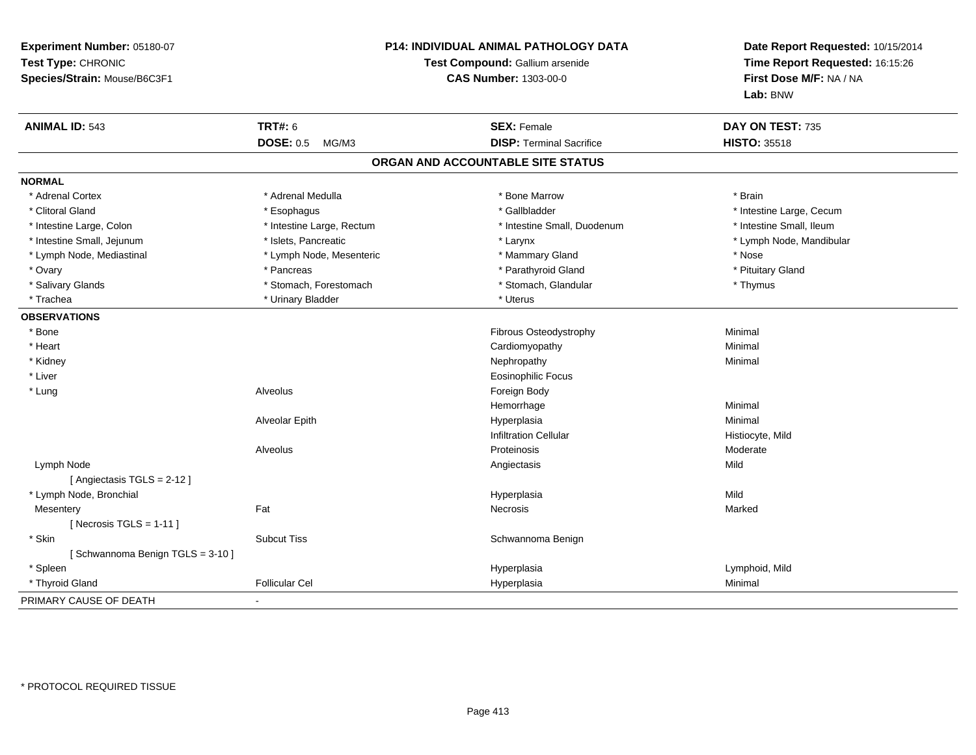| Experiment Number: 05180-07<br>Test Type: CHRONIC<br>Species/Strain: Mouse/B6C3F1 |                           | P14: INDIVIDUAL ANIMAL PATHOLOGY DATA<br>Test Compound: Gallium arsenide<br><b>CAS Number: 1303-00-0</b> | Date Report Requested: 10/15/2014<br>Time Report Requested: 16:15:26<br>First Dose M/F: NA / NA<br>Lab: BNW |
|-----------------------------------------------------------------------------------|---------------------------|----------------------------------------------------------------------------------------------------------|-------------------------------------------------------------------------------------------------------------|
| <b>ANIMAL ID: 543</b>                                                             | <b>TRT#: 6</b>            | <b>SEX: Female</b>                                                                                       | DAY ON TEST: 735                                                                                            |
|                                                                                   | <b>DOSE: 0.5</b><br>MG/M3 | <b>DISP: Terminal Sacrifice</b>                                                                          | <b>HISTO: 35518</b>                                                                                         |
|                                                                                   |                           | ORGAN AND ACCOUNTABLE SITE STATUS                                                                        |                                                                                                             |
| <b>NORMAL</b>                                                                     |                           |                                                                                                          |                                                                                                             |
| * Adrenal Cortex                                                                  | * Adrenal Medulla         | * Bone Marrow                                                                                            | * Brain                                                                                                     |
| * Clitoral Gland                                                                  | * Esophagus               | * Gallbladder                                                                                            | * Intestine Large, Cecum                                                                                    |
| * Intestine Large, Colon                                                          | * Intestine Large, Rectum | * Intestine Small, Duodenum                                                                              | * Intestine Small, Ileum                                                                                    |
| * Intestine Small, Jejunum                                                        | * Islets, Pancreatic      | * Larynx                                                                                                 | * Lymph Node, Mandibular                                                                                    |
| * Lymph Node, Mediastinal                                                         | * Lymph Node, Mesenteric  | * Mammary Gland                                                                                          | * Nose                                                                                                      |
| * Ovary                                                                           | * Pancreas                | * Parathyroid Gland                                                                                      | * Pituitary Gland                                                                                           |
| * Salivary Glands                                                                 | * Stomach, Forestomach    | * Stomach, Glandular                                                                                     | * Thymus                                                                                                    |
| * Trachea                                                                         | * Urinary Bladder         | * Uterus                                                                                                 |                                                                                                             |
| <b>OBSERVATIONS</b>                                                               |                           |                                                                                                          |                                                                                                             |
| * Bone                                                                            |                           | Fibrous Osteodystrophy                                                                                   | Minimal                                                                                                     |
| * Heart                                                                           |                           | Cardiomyopathy                                                                                           | Minimal                                                                                                     |
| * Kidney                                                                          |                           | Nephropathy                                                                                              | Minimal                                                                                                     |
| * Liver                                                                           |                           | Eosinophilic Focus                                                                                       |                                                                                                             |
| * Lung                                                                            | Alveolus                  | Foreign Body                                                                                             |                                                                                                             |
|                                                                                   |                           | Hemorrhage                                                                                               | Minimal                                                                                                     |
|                                                                                   | Alveolar Epith            | Hyperplasia                                                                                              | Minimal                                                                                                     |
|                                                                                   |                           | <b>Infiltration Cellular</b>                                                                             | Histiocyte, Mild                                                                                            |
|                                                                                   | Alveolus                  | Proteinosis                                                                                              | Moderate                                                                                                    |
| Lymph Node                                                                        |                           | Angiectasis                                                                                              | Mild                                                                                                        |
| [Angiectasis TGLS = 2-12]                                                         |                           |                                                                                                          |                                                                                                             |
| * Lymph Node, Bronchial                                                           |                           | Hyperplasia                                                                                              | Mild                                                                                                        |
| Mesentery                                                                         | Fat                       | <b>Necrosis</b>                                                                                          | Marked                                                                                                      |
| [ Necrosis TGLS = $1-11$ ]                                                        |                           |                                                                                                          |                                                                                                             |
| * Skin                                                                            | <b>Subcut Tiss</b>        | Schwannoma Benign                                                                                        |                                                                                                             |
| [Schwannoma Benign TGLS = 3-10]                                                   |                           |                                                                                                          |                                                                                                             |
| * Spleen                                                                          |                           | Hyperplasia                                                                                              | Lymphoid, Mild                                                                                              |
| * Thyroid Gland                                                                   | <b>Follicular Cel</b>     | Hyperplasia                                                                                              | Minimal                                                                                                     |
| PRIMARY CAUSE OF DEATH                                                            | $\blacksquare$            |                                                                                                          |                                                                                                             |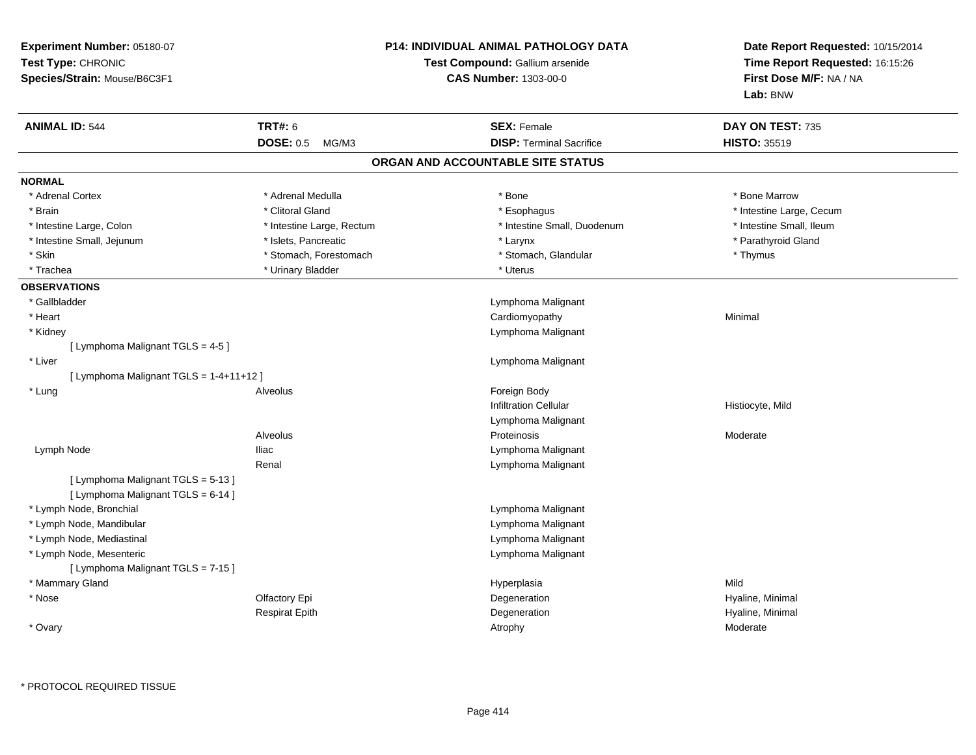| Experiment Number: 05180-07<br>Test Type: CHRONIC<br>Species/Strain: Mouse/B6C3F1 |                           | <b>P14: INDIVIDUAL ANIMAL PATHOLOGY DATA</b><br>Test Compound: Gallium arsenide<br><b>CAS Number: 1303-00-0</b> | Date Report Requested: 10/15/2014<br>Time Report Requested: 16:15:26<br>First Dose M/F: NA / NA<br>Lab: BNW |
|-----------------------------------------------------------------------------------|---------------------------|-----------------------------------------------------------------------------------------------------------------|-------------------------------------------------------------------------------------------------------------|
| <b>ANIMAL ID: 544</b>                                                             | <b>TRT#: 6</b>            | <b>SEX: Female</b>                                                                                              | DAY ON TEST: 735                                                                                            |
|                                                                                   | <b>DOSE: 0.5</b><br>MG/M3 | <b>DISP: Terminal Sacrifice</b>                                                                                 | <b>HISTO: 35519</b>                                                                                         |
|                                                                                   |                           | ORGAN AND ACCOUNTABLE SITE STATUS                                                                               |                                                                                                             |
| <b>NORMAL</b>                                                                     |                           |                                                                                                                 |                                                                                                             |
| * Adrenal Cortex                                                                  | * Adrenal Medulla         | * Bone                                                                                                          | * Bone Marrow                                                                                               |
| * Brain                                                                           | * Clitoral Gland          | * Esophagus                                                                                                     | * Intestine Large, Cecum                                                                                    |
| * Intestine Large, Colon                                                          | * Intestine Large, Rectum | * Intestine Small, Duodenum                                                                                     | * Intestine Small, Ileum                                                                                    |
| * Intestine Small, Jejunum                                                        | * Islets, Pancreatic      | * Larynx                                                                                                        | * Parathyroid Gland                                                                                         |
| * Skin                                                                            | * Stomach, Forestomach    | * Stomach, Glandular                                                                                            | * Thymus                                                                                                    |
| * Trachea                                                                         | * Urinary Bladder         | * Uterus                                                                                                        |                                                                                                             |
| <b>OBSERVATIONS</b>                                                               |                           |                                                                                                                 |                                                                                                             |
| * Gallbladder                                                                     |                           | Lymphoma Malignant                                                                                              |                                                                                                             |
| * Heart                                                                           |                           | Cardiomyopathy                                                                                                  | Minimal                                                                                                     |
| * Kidney                                                                          |                           | Lymphoma Malignant                                                                                              |                                                                                                             |
| [ Lymphoma Malignant TGLS = 4-5 ]                                                 |                           |                                                                                                                 |                                                                                                             |
| * Liver                                                                           |                           | Lymphoma Malignant                                                                                              |                                                                                                             |
| [ Lymphoma Malignant TGLS = 1-4+11+12 ]                                           |                           |                                                                                                                 |                                                                                                             |
| * Lung                                                                            | <b>Alveolus</b>           | Foreign Body                                                                                                    |                                                                                                             |
|                                                                                   |                           | <b>Infiltration Cellular</b>                                                                                    | Histiocyte, Mild                                                                                            |
|                                                                                   |                           | Lymphoma Malignant                                                                                              |                                                                                                             |
|                                                                                   | <b>Alveolus</b>           | Proteinosis                                                                                                     | Moderate                                                                                                    |
| Lymph Node                                                                        | <b>Iliac</b>              | Lymphoma Malignant                                                                                              |                                                                                                             |
|                                                                                   | Renal                     | Lymphoma Malignant                                                                                              |                                                                                                             |
| [ Lymphoma Malignant TGLS = 5-13 ]                                                |                           |                                                                                                                 |                                                                                                             |
| [ Lymphoma Malignant TGLS = 6-14 ]                                                |                           |                                                                                                                 |                                                                                                             |
| * Lymph Node, Bronchial                                                           |                           | Lymphoma Malignant                                                                                              |                                                                                                             |
| * Lymph Node, Mandibular                                                          |                           | Lymphoma Malignant                                                                                              |                                                                                                             |
| * Lymph Node, Mediastinal                                                         |                           | Lymphoma Malignant                                                                                              |                                                                                                             |
| * Lymph Node, Mesenteric                                                          |                           | Lymphoma Malignant                                                                                              |                                                                                                             |
| [ Lymphoma Malignant TGLS = 7-15 ]                                                |                           |                                                                                                                 |                                                                                                             |
| * Mammary Gland                                                                   |                           | Hyperplasia                                                                                                     | Mild                                                                                                        |
| * Nose                                                                            | Olfactory Epi             | Degeneration                                                                                                    | Hyaline, Minimal                                                                                            |
|                                                                                   | <b>Respirat Epith</b>     | Degeneration                                                                                                    | Hyaline, Minimal                                                                                            |
| * Ovary                                                                           |                           | Atrophy                                                                                                         | Moderate                                                                                                    |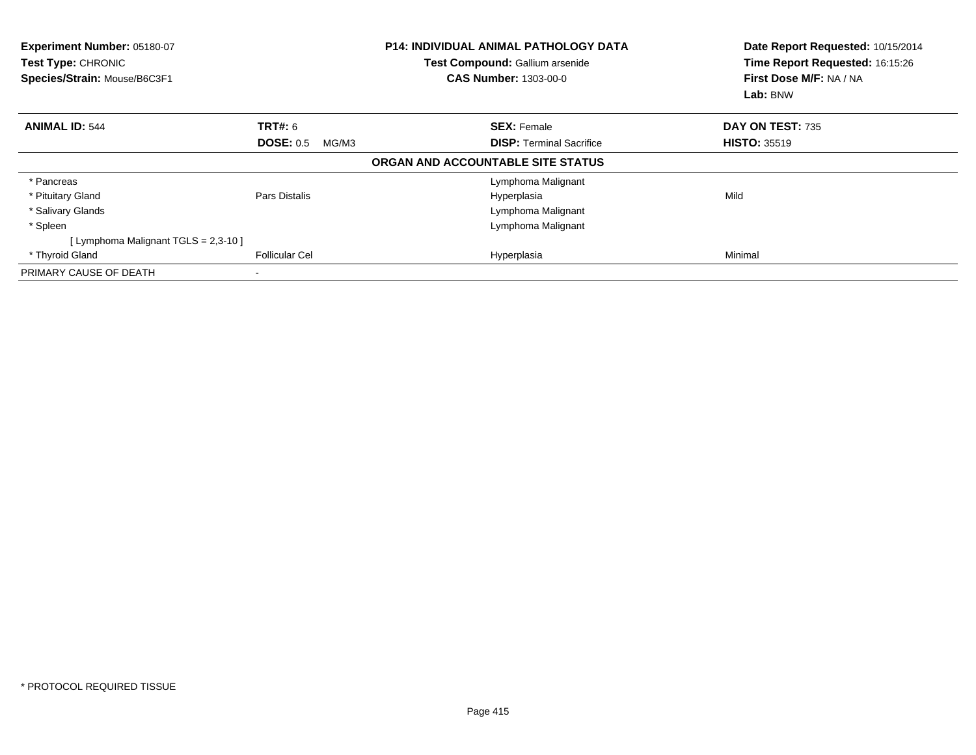| Experiment Number: 05180-07<br><b>Test Type: CHRONIC</b><br>Species/Strain: Mouse/B6C3F1 |                           | <b>P14: INDIVIDUAL ANIMAL PATHOLOGY DATA</b><br>Test Compound: Gallium arsenide<br><b>CAS Number: 1303-00-0</b> | Date Report Requested: 10/15/2014<br>Time Report Requested: 16:15:26<br>First Dose M/F: NA / NA<br>Lab: BNW |
|------------------------------------------------------------------------------------------|---------------------------|-----------------------------------------------------------------------------------------------------------------|-------------------------------------------------------------------------------------------------------------|
| <b>ANIMAL ID: 544</b>                                                                    | <b>TRT#: 6</b>            | <b>SEX: Female</b>                                                                                              | DAY ON TEST: 735                                                                                            |
|                                                                                          | <b>DOSE: 0.5</b><br>MG/M3 | <b>DISP:</b> Terminal Sacrifice                                                                                 | <b>HISTO: 35519</b>                                                                                         |
|                                                                                          |                           | ORGAN AND ACCOUNTABLE SITE STATUS                                                                               |                                                                                                             |
| * Pancreas                                                                               |                           | Lymphoma Malignant                                                                                              |                                                                                                             |
| * Pituitary Gland                                                                        | Pars Distalis             | Hyperplasia                                                                                                     | Mild                                                                                                        |
| * Salivary Glands                                                                        |                           | Lymphoma Malignant                                                                                              |                                                                                                             |
| * Spleen                                                                                 |                           | Lymphoma Malignant                                                                                              |                                                                                                             |
| [ Lymphoma Malignant TGLS = 2,3-10 ]                                                     |                           |                                                                                                                 |                                                                                                             |
| * Thyroid Gland                                                                          | <b>Follicular Cel</b>     | Hyperplasia                                                                                                     | Minimal                                                                                                     |
| PRIMARY CAUSE OF DEATH                                                                   |                           |                                                                                                                 |                                                                                                             |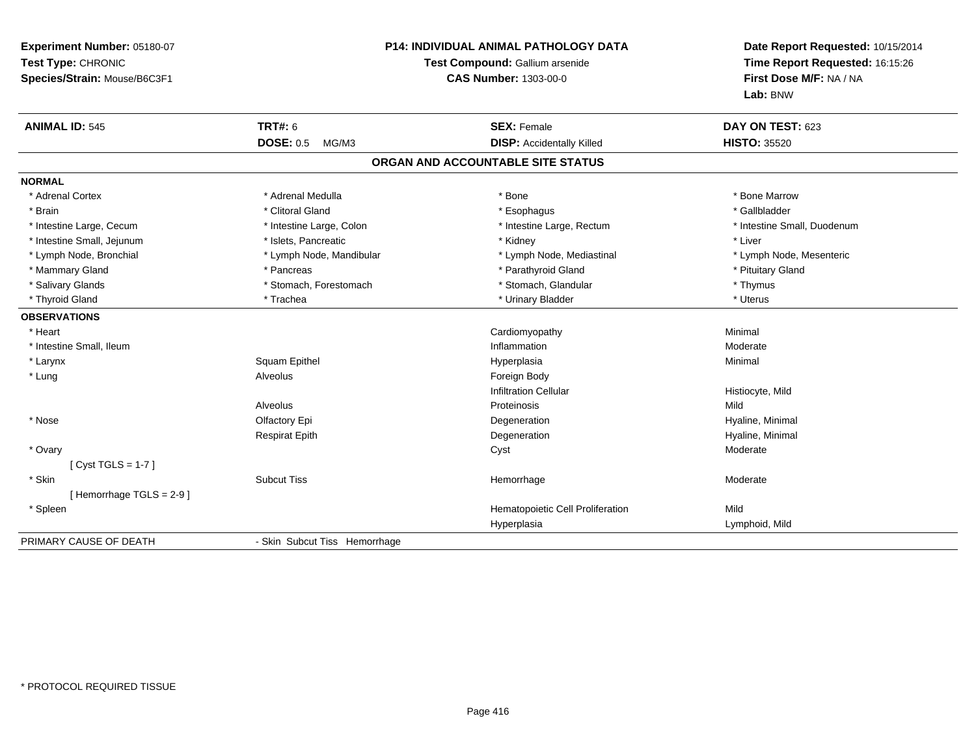| Experiment Number: 05180-07<br>Test Type: CHRONIC<br>Species/Strain: Mouse/B6C3F1 | P14: INDIVIDUAL ANIMAL PATHOLOGY DATA<br>Test Compound: Gallium arsenide<br><b>CAS Number: 1303-00-0</b> |                                   | Date Report Requested: 10/15/2014<br>Time Report Requested: 16:15:26<br>First Dose M/F: NA / NA<br>Lab: BNW |
|-----------------------------------------------------------------------------------|----------------------------------------------------------------------------------------------------------|-----------------------------------|-------------------------------------------------------------------------------------------------------------|
| <b>ANIMAL ID: 545</b>                                                             | <b>TRT#: 6</b>                                                                                           | <b>SEX: Female</b>                | DAY ON TEST: 623                                                                                            |
|                                                                                   | <b>DOSE: 0.5</b><br>MG/M3                                                                                | <b>DISP:</b> Accidentally Killed  | <b>HISTO: 35520</b>                                                                                         |
|                                                                                   |                                                                                                          | ORGAN AND ACCOUNTABLE SITE STATUS |                                                                                                             |
| <b>NORMAL</b>                                                                     |                                                                                                          |                                   |                                                                                                             |
| * Adrenal Cortex                                                                  | * Adrenal Medulla                                                                                        | * Bone                            | * Bone Marrow                                                                                               |
| * Brain                                                                           | * Clitoral Gland                                                                                         | * Esophagus                       | * Gallbladder                                                                                               |
| * Intestine Large, Cecum                                                          | * Intestine Large, Colon                                                                                 | * Intestine Large, Rectum         | * Intestine Small, Duodenum                                                                                 |
| * Intestine Small, Jejunum                                                        | * Islets, Pancreatic                                                                                     | * Kidney                          | * Liver                                                                                                     |
| * Lymph Node, Bronchial                                                           | * Lymph Node, Mandibular                                                                                 | * Lymph Node, Mediastinal         | * Lymph Node, Mesenteric                                                                                    |
| * Mammary Gland                                                                   | * Pancreas                                                                                               | * Parathyroid Gland               | * Pituitary Gland                                                                                           |
| * Salivary Glands                                                                 | * Stomach, Forestomach                                                                                   | * Stomach, Glandular              | * Thymus                                                                                                    |
| * Thyroid Gland                                                                   | * Trachea                                                                                                | * Urinary Bladder                 | * Uterus                                                                                                    |
| <b>OBSERVATIONS</b>                                                               |                                                                                                          |                                   |                                                                                                             |
| * Heart                                                                           |                                                                                                          | Cardiomyopathy                    | Minimal                                                                                                     |
| * Intestine Small, Ileum                                                          |                                                                                                          | Inflammation                      | Moderate                                                                                                    |
| * Larynx                                                                          | Squam Epithel                                                                                            | Hyperplasia                       | Minimal                                                                                                     |
| * Lung                                                                            | Alveolus                                                                                                 | Foreign Body                      |                                                                                                             |
|                                                                                   |                                                                                                          | <b>Infiltration Cellular</b>      | Histiocyte, Mild                                                                                            |
|                                                                                   | Alveolus                                                                                                 | Proteinosis                       | Mild                                                                                                        |
| * Nose                                                                            | Olfactory Epi                                                                                            | Degeneration                      | Hyaline, Minimal                                                                                            |
|                                                                                   | <b>Respirat Epith</b>                                                                                    | Degeneration                      | Hyaline, Minimal                                                                                            |
| * Ovary                                                                           |                                                                                                          | Cyst                              | Moderate                                                                                                    |
| [Cyst TGLS = 1-7]                                                                 |                                                                                                          |                                   |                                                                                                             |
| * Skin                                                                            | <b>Subcut Tiss</b>                                                                                       | Hemorrhage                        | Moderate                                                                                                    |
| [Hemorrhage TGLS = 2-9]                                                           |                                                                                                          |                                   |                                                                                                             |
| * Spleen                                                                          |                                                                                                          | Hematopoietic Cell Proliferation  | Mild                                                                                                        |
|                                                                                   |                                                                                                          | Hyperplasia                       | Lymphoid, Mild                                                                                              |
| PRIMARY CAUSE OF DEATH                                                            | - Skin Subcut Tiss Hemorrhage                                                                            |                                   |                                                                                                             |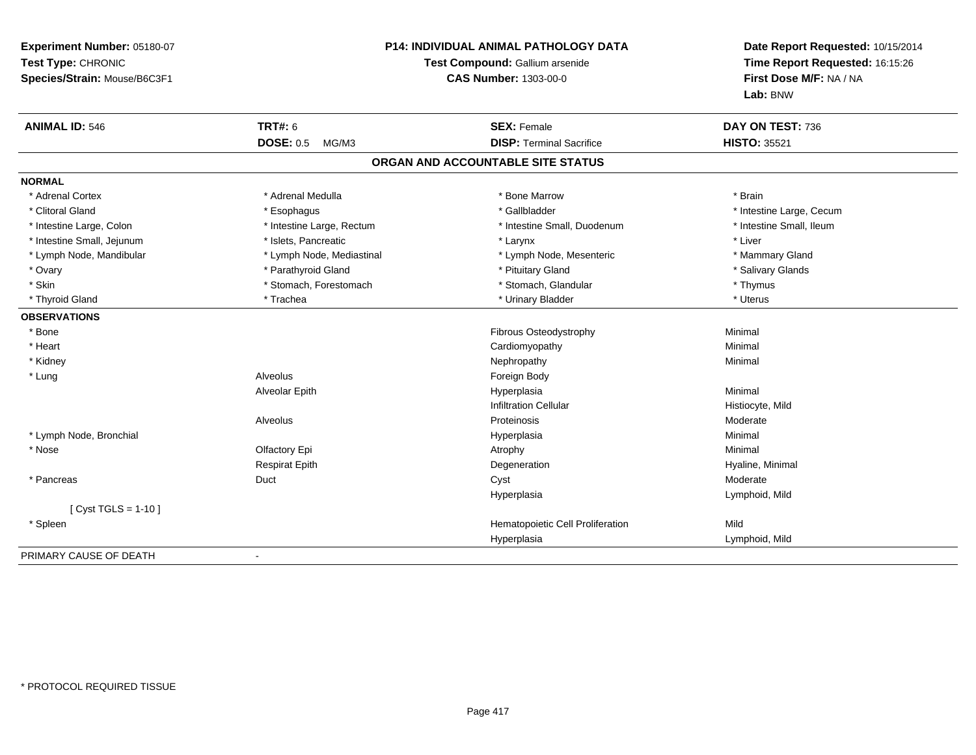| Experiment Number: 05180-07<br>Test Type: CHRONIC<br>Species/Strain: Mouse/B6C3F1 |                           | P14: INDIVIDUAL ANIMAL PATHOLOGY DATA<br>Test Compound: Gallium arsenide<br><b>CAS Number: 1303-00-0</b> | Date Report Requested: 10/15/2014<br>Time Report Requested: 16:15:26<br>First Dose M/F: NA / NA<br>Lab: BNW |
|-----------------------------------------------------------------------------------|---------------------------|----------------------------------------------------------------------------------------------------------|-------------------------------------------------------------------------------------------------------------|
| <b>ANIMAL ID: 546</b>                                                             | <b>TRT#: 6</b>            | <b>SEX: Female</b>                                                                                       | DAY ON TEST: 736                                                                                            |
|                                                                                   | <b>DOSE: 0.5</b><br>MG/M3 | <b>DISP: Terminal Sacrifice</b>                                                                          | <b>HISTO: 35521</b>                                                                                         |
|                                                                                   |                           | ORGAN AND ACCOUNTABLE SITE STATUS                                                                        |                                                                                                             |
| <b>NORMAL</b>                                                                     |                           |                                                                                                          |                                                                                                             |
| * Adrenal Cortex                                                                  | * Adrenal Medulla         | * Bone Marrow                                                                                            | * Brain                                                                                                     |
| * Clitoral Gland                                                                  | * Esophagus               | * Gallbladder                                                                                            | * Intestine Large, Cecum                                                                                    |
| * Intestine Large, Colon                                                          | * Intestine Large, Rectum | * Intestine Small, Duodenum                                                                              | * Intestine Small, Ileum                                                                                    |
| * Intestine Small, Jejunum                                                        | * Islets, Pancreatic      | * Larynx                                                                                                 | * Liver                                                                                                     |
| * Lymph Node, Mandibular                                                          | * Lymph Node, Mediastinal | * Lymph Node, Mesenteric                                                                                 | * Mammary Gland                                                                                             |
| * Ovary                                                                           | * Parathyroid Gland       | * Pituitary Gland                                                                                        | * Salivary Glands                                                                                           |
| * Skin                                                                            | * Stomach, Forestomach    | * Stomach, Glandular                                                                                     | * Thymus                                                                                                    |
| * Thyroid Gland                                                                   | * Trachea                 | * Urinary Bladder                                                                                        | * Uterus                                                                                                    |
| <b>OBSERVATIONS</b>                                                               |                           |                                                                                                          |                                                                                                             |
| * Bone                                                                            |                           | Fibrous Osteodystrophy                                                                                   | Minimal                                                                                                     |
| * Heart                                                                           |                           | Cardiomyopathy                                                                                           | Minimal                                                                                                     |
| * Kidney                                                                          |                           | Nephropathy                                                                                              | Minimal                                                                                                     |
| * Lung                                                                            | Alveolus                  | Foreign Body                                                                                             |                                                                                                             |
|                                                                                   | Alveolar Epith            | Hyperplasia                                                                                              | Minimal                                                                                                     |
|                                                                                   |                           | <b>Infiltration Cellular</b>                                                                             | Histiocyte, Mild                                                                                            |
|                                                                                   | Alveolus                  | Proteinosis                                                                                              | Moderate                                                                                                    |
| * Lymph Node, Bronchial                                                           |                           | Hyperplasia                                                                                              | Minimal                                                                                                     |
| * Nose                                                                            | Olfactory Epi             | Atrophy                                                                                                  | Minimal                                                                                                     |
|                                                                                   | <b>Respirat Epith</b>     | Degeneration                                                                                             | Hyaline, Minimal                                                                                            |
| * Pancreas                                                                        | Duct                      | Cyst                                                                                                     | Moderate                                                                                                    |
|                                                                                   |                           | Hyperplasia                                                                                              | Lymphoid, Mild                                                                                              |
| [ Cyst TGLS = $1-10$ ]                                                            |                           |                                                                                                          |                                                                                                             |
| * Spleen                                                                          |                           | Hematopoietic Cell Proliferation                                                                         | Mild                                                                                                        |
|                                                                                   |                           | Hyperplasia                                                                                              | Lymphoid, Mild                                                                                              |
| PRIMARY CAUSE OF DEATH                                                            |                           |                                                                                                          |                                                                                                             |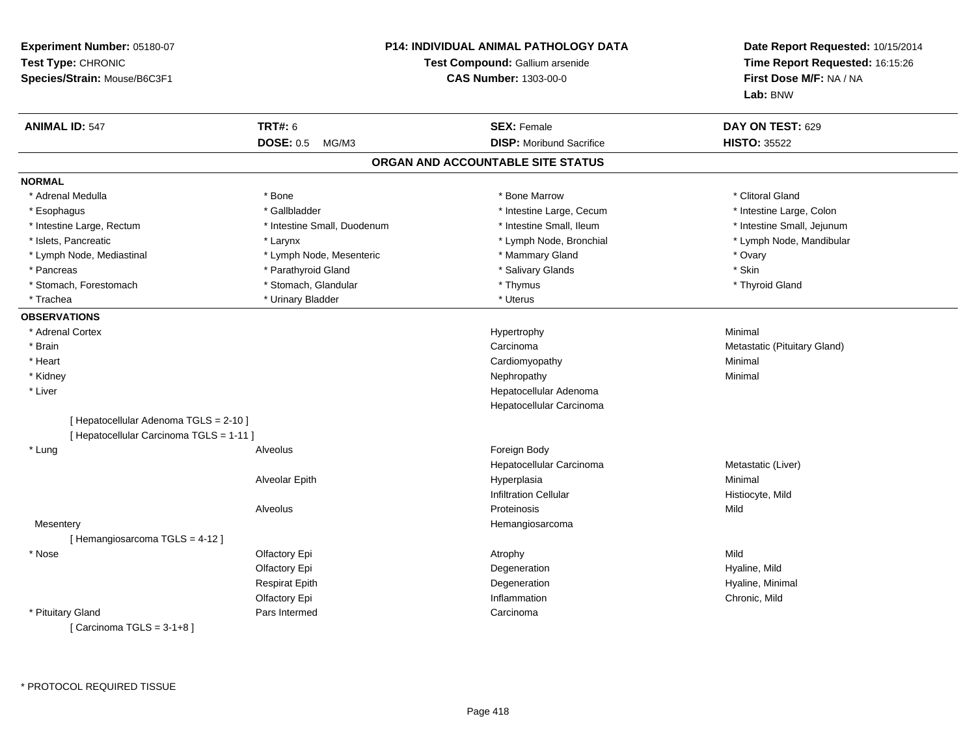| Experiment Number: 05180-07<br>Test Type: CHRONIC<br>Species/Strain: Mouse/B6C3F1 |                             | <b>P14: INDIVIDUAL ANIMAL PATHOLOGY DATA</b><br>Test Compound: Gallium arsenide<br><b>CAS Number: 1303-00-0</b> | Date Report Requested: 10/15/2014<br>Time Report Requested: 16:15:26<br>First Dose M/F: NA / NA<br>Lab: BNW |
|-----------------------------------------------------------------------------------|-----------------------------|-----------------------------------------------------------------------------------------------------------------|-------------------------------------------------------------------------------------------------------------|
| <b>ANIMAL ID: 547</b>                                                             | <b>TRT#: 6</b>              | <b>SEX: Female</b>                                                                                              | DAY ON TEST: 629                                                                                            |
|                                                                                   | <b>DOSE: 0.5</b><br>MG/M3   | <b>DISP:</b> Moribund Sacrifice                                                                                 | <b>HISTO: 35522</b>                                                                                         |
|                                                                                   |                             | ORGAN AND ACCOUNTABLE SITE STATUS                                                                               |                                                                                                             |
| <b>NORMAL</b>                                                                     |                             |                                                                                                                 |                                                                                                             |
| * Adrenal Medulla                                                                 | * Bone                      | * Bone Marrow                                                                                                   | * Clitoral Gland                                                                                            |
| * Esophagus                                                                       | * Gallbladder               | * Intestine Large, Cecum                                                                                        | * Intestine Large, Colon                                                                                    |
| * Intestine Large, Rectum                                                         | * Intestine Small, Duodenum | * Intestine Small, Ileum                                                                                        | * Intestine Small, Jejunum                                                                                  |
| * Islets, Pancreatic                                                              | * Larynx                    | * Lymph Node, Bronchial                                                                                         | * Lymph Node, Mandibular                                                                                    |
| * Lymph Node, Mediastinal                                                         | * Lymph Node, Mesenteric    | * Mammary Gland                                                                                                 | * Ovary                                                                                                     |
| * Pancreas                                                                        | * Parathyroid Gland         | * Salivary Glands                                                                                               | * Skin                                                                                                      |
| * Stomach, Forestomach                                                            | * Stomach, Glandular        | * Thymus                                                                                                        | * Thyroid Gland                                                                                             |
| * Trachea                                                                         | * Urinary Bladder           | * Uterus                                                                                                        |                                                                                                             |
| <b>OBSERVATIONS</b>                                                               |                             |                                                                                                                 |                                                                                                             |
| * Adrenal Cortex                                                                  |                             | Hypertrophy                                                                                                     | Minimal                                                                                                     |
| * Brain                                                                           |                             | Carcinoma                                                                                                       | Metastatic (Pituitary Gland)                                                                                |
| * Heart                                                                           |                             | Cardiomyopathy                                                                                                  | Minimal                                                                                                     |
| * Kidney                                                                          |                             | Nephropathy                                                                                                     | Minimal                                                                                                     |
| * Liver                                                                           |                             | Hepatocellular Adenoma                                                                                          |                                                                                                             |
|                                                                                   |                             | Hepatocellular Carcinoma                                                                                        |                                                                                                             |
| [ Hepatocellular Adenoma TGLS = 2-10 ]                                            |                             |                                                                                                                 |                                                                                                             |
| [ Hepatocellular Carcinoma TGLS = 1-11 ]                                          |                             |                                                                                                                 |                                                                                                             |
| * Lung                                                                            | Alveolus                    | Foreign Body                                                                                                    |                                                                                                             |
|                                                                                   |                             | Hepatocellular Carcinoma                                                                                        | Metastatic (Liver)                                                                                          |
|                                                                                   | Alveolar Epith              | Hyperplasia                                                                                                     | Minimal                                                                                                     |
|                                                                                   |                             | <b>Infiltration Cellular</b>                                                                                    | Histiocyte, Mild                                                                                            |
|                                                                                   | Alveolus                    | Proteinosis                                                                                                     | Mild                                                                                                        |
| Mesentery                                                                         |                             | Hemangiosarcoma                                                                                                 |                                                                                                             |
| [Hemangiosarcoma TGLS = 4-12]                                                     |                             |                                                                                                                 |                                                                                                             |
| * Nose                                                                            | Olfactory Epi               | Atrophy                                                                                                         | Mild                                                                                                        |
|                                                                                   | Olfactory Epi               | Degeneration                                                                                                    | Hyaline, Mild                                                                                               |
|                                                                                   | <b>Respirat Epith</b>       | Degeneration                                                                                                    | Hyaline, Minimal                                                                                            |
|                                                                                   | Olfactory Epi               | Inflammation                                                                                                    | Chronic, Mild                                                                                               |
| * Pituitary Gland                                                                 | Pars Intermed               | Carcinoma                                                                                                       |                                                                                                             |
| [Carcinoma TGLS = $3-1+8$ ]                                                       |                             |                                                                                                                 |                                                                                                             |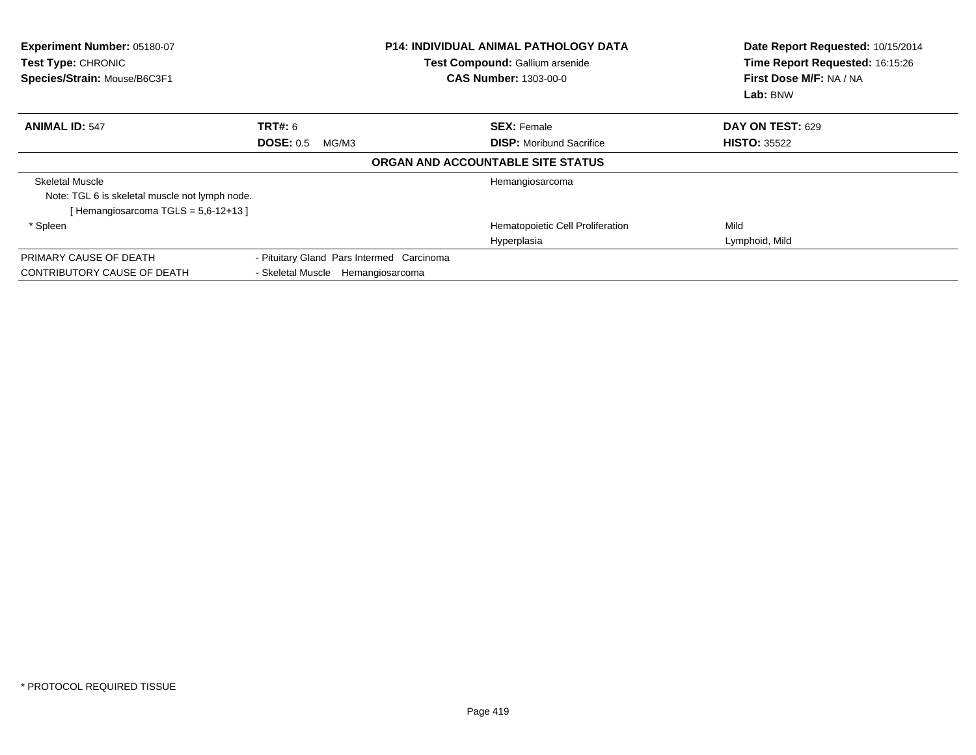| Experiment Number: 05180-07<br>Test Type: CHRONIC<br>Species/Strain: Mouse/B6C3F1 |                                           | <b>P14: INDIVIDUAL ANIMAL PATHOLOGY DATA</b><br>Test Compound: Gallium arsenide<br><b>CAS Number: 1303-00-0</b> | Date Report Requested: 10/15/2014<br>Time Report Requested: 16:15:26<br>First Dose M/F: NA / NA<br>Lab: BNW |
|-----------------------------------------------------------------------------------|-------------------------------------------|-----------------------------------------------------------------------------------------------------------------|-------------------------------------------------------------------------------------------------------------|
| <b>ANIMAL ID: 547</b>                                                             | TRT#: 6                                   | <b>SEX: Female</b>                                                                                              | <b>DAY ON TEST: 629</b>                                                                                     |
|                                                                                   | <b>DOSE: 0.5</b><br>MG/M3                 | <b>DISP:</b> Moribund Sacrifice                                                                                 | <b>HISTO: 35522</b>                                                                                         |
|                                                                                   |                                           | ORGAN AND ACCOUNTABLE SITE STATUS                                                                               |                                                                                                             |
| <b>Skeletal Muscle</b>                                                            |                                           | Hemangiosarcoma                                                                                                 |                                                                                                             |
| Note: TGL 6 is skeletal muscle not lymph node.                                    |                                           |                                                                                                                 |                                                                                                             |
| [Hemangiosarcoma TGLS = $5.6 - 12 + 13$ ]                                         |                                           |                                                                                                                 |                                                                                                             |
| * Spleen                                                                          |                                           | Hematopoietic Cell Proliferation                                                                                | Mild                                                                                                        |
|                                                                                   |                                           | Hyperplasia                                                                                                     | Lymphoid, Mild                                                                                              |
| PRIMARY CAUSE OF DEATH                                                            | - Pituitary Gland Pars Intermed Carcinoma |                                                                                                                 |                                                                                                             |
| CONTRIBUTORY CAUSE OF DEATH                                                       | - Skeletal Muscle Hemangiosarcoma         |                                                                                                                 |                                                                                                             |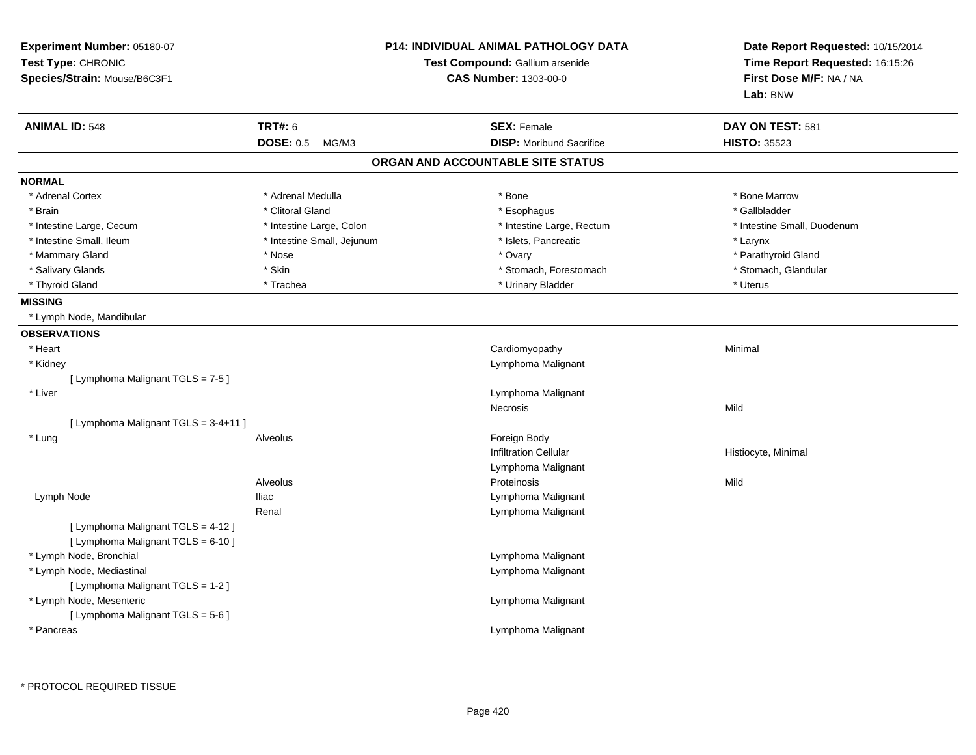| Experiment Number: 05180-07<br>Test Type: CHRONIC                        | <b>P14: INDIVIDUAL ANIMAL PATHOLOGY DATA</b><br>Test Compound: Gallium arsenide |                                   | Date Report Requested: 10/15/2014<br>Time Report Requested: 16:15:26 |  |
|--------------------------------------------------------------------------|---------------------------------------------------------------------------------|-----------------------------------|----------------------------------------------------------------------|--|
| Species/Strain: Mouse/B6C3F1                                             |                                                                                 | <b>CAS Number: 1303-00-0</b>      | First Dose M/F: NA / NA<br>Lab: BNW                                  |  |
| <b>ANIMAL ID: 548</b>                                                    | <b>TRT#: 6</b>                                                                  | <b>SEX: Female</b>                | DAY ON TEST: 581                                                     |  |
|                                                                          | <b>DOSE: 0.5</b><br>MG/M3                                                       | <b>DISP:</b> Moribund Sacrifice   | <b>HISTO: 35523</b>                                                  |  |
|                                                                          |                                                                                 | ORGAN AND ACCOUNTABLE SITE STATUS |                                                                      |  |
| <b>NORMAL</b>                                                            |                                                                                 |                                   |                                                                      |  |
| * Adrenal Cortex                                                         | * Adrenal Medulla                                                               | * Bone                            | * Bone Marrow                                                        |  |
| * Brain                                                                  | * Clitoral Gland                                                                | * Esophagus                       | * Gallbladder                                                        |  |
| * Intestine Large, Cecum                                                 | * Intestine Large, Colon                                                        | * Intestine Large, Rectum         | * Intestine Small, Duodenum                                          |  |
| * Intestine Small, Ileum                                                 | * Intestine Small, Jejunum                                                      | * Islets, Pancreatic              | * Larynx                                                             |  |
| * Mammary Gland                                                          | * Nose                                                                          | * Ovary                           | * Parathyroid Gland                                                  |  |
| * Salivary Glands                                                        | * Skin                                                                          | * Stomach, Forestomach            | * Stomach, Glandular                                                 |  |
| * Thyroid Gland                                                          | * Trachea                                                                       | * Urinary Bladder                 | * Uterus                                                             |  |
| <b>MISSING</b>                                                           |                                                                                 |                                   |                                                                      |  |
| * Lymph Node, Mandibular                                                 |                                                                                 |                                   |                                                                      |  |
| <b>OBSERVATIONS</b>                                                      |                                                                                 |                                   |                                                                      |  |
| * Heart                                                                  |                                                                                 | Cardiomyopathy                    | Minimal                                                              |  |
| * Kidney                                                                 |                                                                                 | Lymphoma Malignant                |                                                                      |  |
| [ Lymphoma Malignant TGLS = 7-5 ]                                        |                                                                                 |                                   |                                                                      |  |
| * Liver                                                                  |                                                                                 | Lymphoma Malignant                |                                                                      |  |
|                                                                          |                                                                                 | Necrosis                          | Mild                                                                 |  |
| [ Lymphoma Malignant TGLS = 3-4+11 ]                                     |                                                                                 |                                   |                                                                      |  |
| * Lung                                                                   | Alveolus                                                                        | Foreign Body                      |                                                                      |  |
|                                                                          |                                                                                 | <b>Infiltration Cellular</b>      | Histiocyte, Minimal                                                  |  |
|                                                                          |                                                                                 | Lymphoma Malignant                |                                                                      |  |
|                                                                          | Alveolus                                                                        | Proteinosis                       | Mild                                                                 |  |
| Lymph Node                                                               | <b>Iliac</b>                                                                    | Lymphoma Malignant                |                                                                      |  |
|                                                                          | Renal                                                                           | Lymphoma Malignant                |                                                                      |  |
| [ Lymphoma Malignant TGLS = 4-12 ]<br>[ Lymphoma Malignant TGLS = 6-10 ] |                                                                                 |                                   |                                                                      |  |
| * Lymph Node, Bronchial                                                  |                                                                                 | Lymphoma Malignant                |                                                                      |  |
| * Lymph Node, Mediastinal                                                |                                                                                 | Lymphoma Malignant                |                                                                      |  |
| [ Lymphoma Malignant TGLS = 1-2 ]                                        |                                                                                 |                                   |                                                                      |  |
| * Lymph Node, Mesenteric                                                 |                                                                                 | Lymphoma Malignant                |                                                                      |  |
| [ Lymphoma Malignant TGLS = 5-6 ]                                        |                                                                                 |                                   |                                                                      |  |
| * Pancreas                                                               |                                                                                 | Lymphoma Malignant                |                                                                      |  |
|                                                                          |                                                                                 |                                   |                                                                      |  |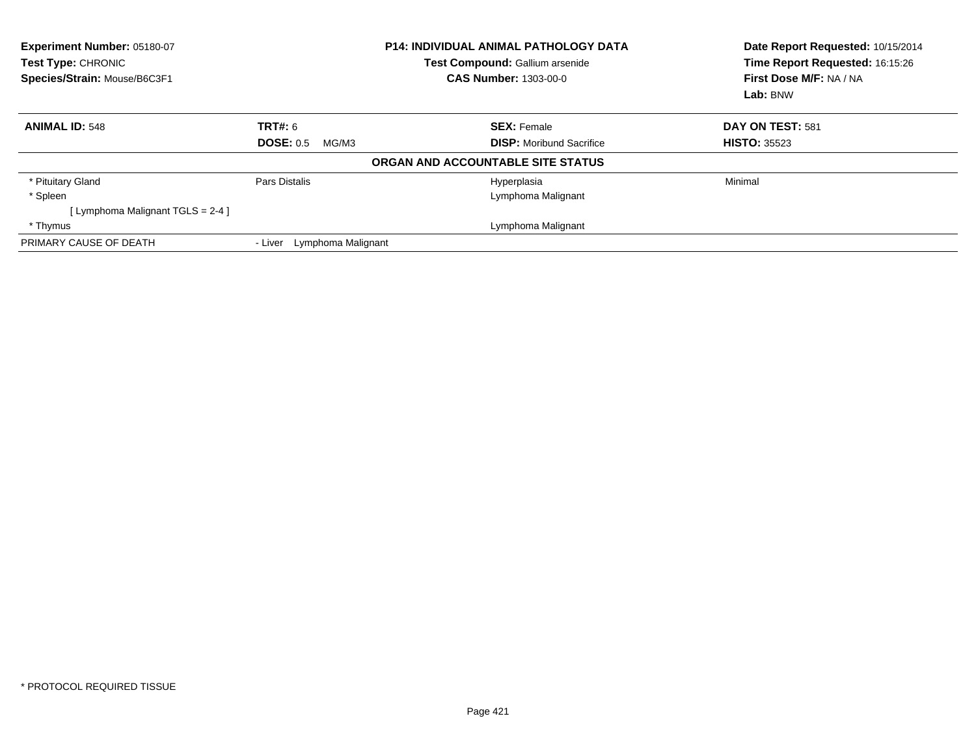| <b>Experiment Number: 05180-07</b><br><b>Test Type: CHRONIC</b><br>Species/Strain: Mouse/B6C3F1 |                               | <b>P14: INDIVIDUAL ANIMAL PATHOLOGY DATA</b><br><b>Test Compound: Gallium arsenide</b><br><b>CAS Number: 1303-00-0</b> | Date Report Requested: 10/15/2014<br>Time Report Requested: 16:15:26<br>First Dose M/F: NA / NA<br>Lab: BNW |
|-------------------------------------------------------------------------------------------------|-------------------------------|------------------------------------------------------------------------------------------------------------------------|-------------------------------------------------------------------------------------------------------------|
| <b>ANIMAL ID: 548</b>                                                                           | TRT#: 6                       | <b>SEX: Female</b>                                                                                                     | DAY ON TEST: 581                                                                                            |
|                                                                                                 | <b>DOSE: 0.5</b><br>MG/M3     | <b>DISP:</b> Moribund Sacrifice                                                                                        | <b>HISTO: 35523</b>                                                                                         |
|                                                                                                 |                               | ORGAN AND ACCOUNTABLE SITE STATUS                                                                                      |                                                                                                             |
| * Pituitary Gland                                                                               | Pars Distalis                 | Hyperplasia                                                                                                            | Minimal                                                                                                     |
| * Spleen                                                                                        |                               | Lymphoma Malignant                                                                                                     |                                                                                                             |
| [ Lymphoma Malignant TGLS = 2-4 ]                                                               |                               |                                                                                                                        |                                                                                                             |
| * Thymus                                                                                        |                               | Lymphoma Malignant                                                                                                     |                                                                                                             |
| PRIMARY CAUSE OF DEATH                                                                          | Lymphoma Malignant<br>- Liver |                                                                                                                        |                                                                                                             |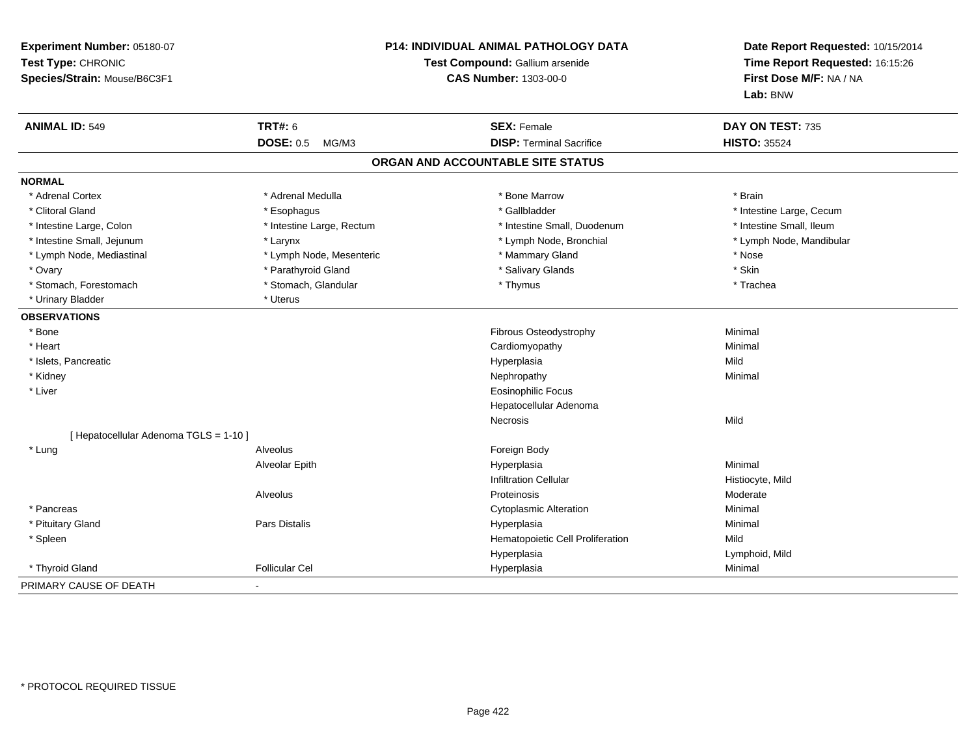| Experiment Number: 05180-07<br>Test Type: CHRONIC<br>Species/Strain: Mouse/B6C3F1 |                           | <b>P14: INDIVIDUAL ANIMAL PATHOLOGY DATA</b><br>Test Compound: Gallium arsenide<br><b>CAS Number: 1303-00-0</b> | Date Report Requested: 10/15/2014<br>Time Report Requested: 16:15:26<br>First Dose M/F: NA / NA<br>Lab: BNW |
|-----------------------------------------------------------------------------------|---------------------------|-----------------------------------------------------------------------------------------------------------------|-------------------------------------------------------------------------------------------------------------|
| <b>ANIMAL ID: 549</b>                                                             | <b>TRT#: 6</b>            | <b>SEX: Female</b>                                                                                              | DAY ON TEST: 735                                                                                            |
|                                                                                   | <b>DOSE: 0.5</b><br>MG/M3 | <b>DISP: Terminal Sacrifice</b>                                                                                 | <b>HISTO: 35524</b>                                                                                         |
|                                                                                   |                           | ORGAN AND ACCOUNTABLE SITE STATUS                                                                               |                                                                                                             |
| <b>NORMAL</b>                                                                     |                           |                                                                                                                 |                                                                                                             |
| * Adrenal Cortex                                                                  | * Adrenal Medulla         | * Bone Marrow                                                                                                   | * Brain                                                                                                     |
| * Clitoral Gland                                                                  | * Esophagus               | * Gallbladder                                                                                                   | * Intestine Large, Cecum                                                                                    |
| * Intestine Large, Colon                                                          | * Intestine Large, Rectum | * Intestine Small, Duodenum                                                                                     | * Intestine Small, Ileum                                                                                    |
| * Intestine Small, Jejunum                                                        | * Larynx                  | * Lymph Node, Bronchial                                                                                         | * Lymph Node, Mandibular                                                                                    |
| * Lymph Node, Mediastinal                                                         | * Lymph Node, Mesenteric  | * Mammary Gland                                                                                                 | * Nose                                                                                                      |
| * Ovary                                                                           | * Parathyroid Gland       | * Salivary Glands                                                                                               | * Skin                                                                                                      |
| * Stomach, Forestomach                                                            | * Stomach, Glandular      | * Thymus                                                                                                        | * Trachea                                                                                                   |
| * Urinary Bladder                                                                 | * Uterus                  |                                                                                                                 |                                                                                                             |
| <b>OBSERVATIONS</b>                                                               |                           |                                                                                                                 |                                                                                                             |
| * Bone                                                                            |                           | Fibrous Osteodystrophy                                                                                          | Minimal                                                                                                     |
| * Heart                                                                           |                           | Cardiomyopathy                                                                                                  | Minimal                                                                                                     |
| * Islets, Pancreatic                                                              |                           | Hyperplasia                                                                                                     | Mild                                                                                                        |
| * Kidney                                                                          |                           | Nephropathy                                                                                                     | Minimal                                                                                                     |
| * Liver                                                                           |                           | <b>Eosinophilic Focus</b>                                                                                       |                                                                                                             |
|                                                                                   |                           | Hepatocellular Adenoma                                                                                          |                                                                                                             |
|                                                                                   |                           | Necrosis                                                                                                        | Mild                                                                                                        |
| [ Hepatocellular Adenoma TGLS = 1-10 ]                                            |                           |                                                                                                                 |                                                                                                             |
| * Lung                                                                            | Alveolus                  | Foreign Body                                                                                                    |                                                                                                             |
|                                                                                   | Alveolar Epith            | Hyperplasia                                                                                                     | Minimal                                                                                                     |
|                                                                                   |                           | <b>Infiltration Cellular</b>                                                                                    | Histiocyte, Mild                                                                                            |
|                                                                                   | Alveolus                  | Proteinosis                                                                                                     | Moderate                                                                                                    |
| * Pancreas                                                                        |                           | <b>Cytoplasmic Alteration</b>                                                                                   | Minimal                                                                                                     |
| * Pituitary Gland                                                                 | <b>Pars Distalis</b>      | Hyperplasia                                                                                                     | Minimal                                                                                                     |
| * Spleen                                                                          |                           | Hematopoietic Cell Proliferation                                                                                | Mild                                                                                                        |
|                                                                                   |                           | Hyperplasia                                                                                                     | Lymphoid, Mild                                                                                              |
| * Thyroid Gland                                                                   | <b>Follicular Cel</b>     | Hyperplasia                                                                                                     | Minimal                                                                                                     |
| PRIMARY CAUSE OF DEATH                                                            |                           |                                                                                                                 |                                                                                                             |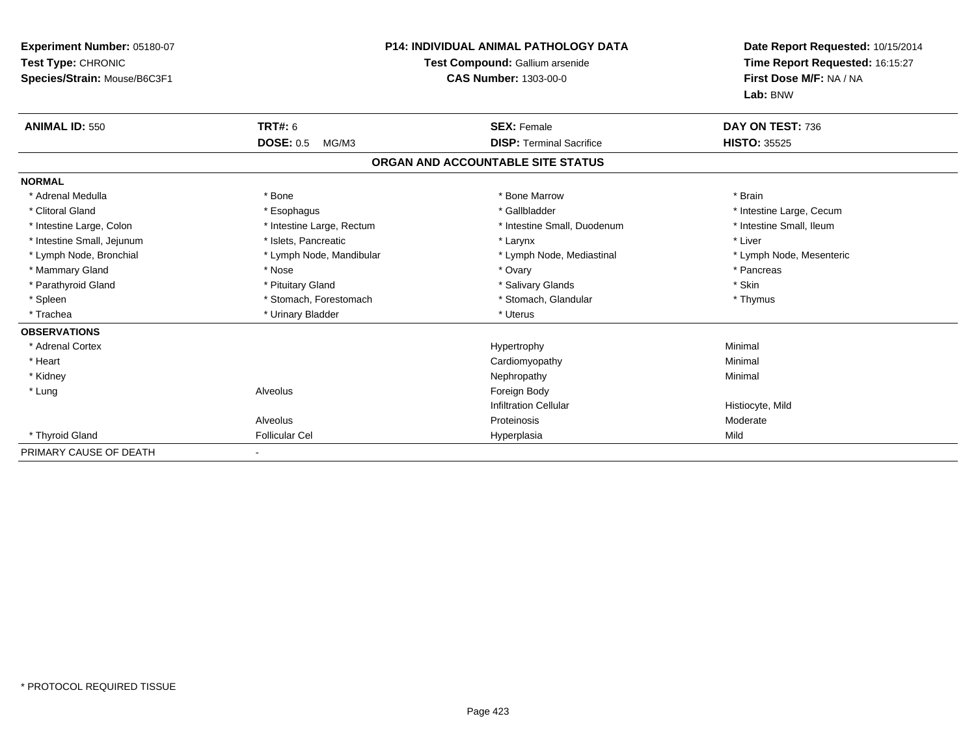| Experiment Number: 05180-07<br>Test Type: CHRONIC<br>Species/Strain: Mouse/B6C3F1 |                           | <b>P14: INDIVIDUAL ANIMAL PATHOLOGY DATA</b><br>Test Compound: Gallium arsenide<br><b>CAS Number: 1303-00-0</b> | Date Report Requested: 10/15/2014<br>Time Report Requested: 16:15:27<br>First Dose M/F: NA / NA<br>Lab: BNW |
|-----------------------------------------------------------------------------------|---------------------------|-----------------------------------------------------------------------------------------------------------------|-------------------------------------------------------------------------------------------------------------|
| <b>ANIMAL ID: 550</b>                                                             | TRT#: 6                   | <b>SEX: Female</b>                                                                                              | DAY ON TEST: 736                                                                                            |
|                                                                                   | <b>DOSE: 0.5</b><br>MG/M3 | <b>DISP: Terminal Sacrifice</b>                                                                                 | <b>HISTO: 35525</b>                                                                                         |
|                                                                                   |                           | ORGAN AND ACCOUNTABLE SITE STATUS                                                                               |                                                                                                             |
| <b>NORMAL</b>                                                                     |                           |                                                                                                                 |                                                                                                             |
| * Adrenal Medulla                                                                 | * Bone                    | * Bone Marrow                                                                                                   | * Brain                                                                                                     |
| * Clitoral Gland                                                                  | * Esophagus               | * Gallbladder                                                                                                   | * Intestine Large, Cecum                                                                                    |
| * Intestine Large, Colon                                                          | * Intestine Large, Rectum | * Intestine Small, Duodenum                                                                                     | * Intestine Small, Ileum                                                                                    |
| * Intestine Small, Jejunum                                                        | * Islets, Pancreatic      | * Larynx                                                                                                        | * Liver                                                                                                     |
| * Lymph Node, Bronchial                                                           | * Lymph Node, Mandibular  | * Lymph Node, Mediastinal                                                                                       | * Lymph Node, Mesenteric                                                                                    |
| * Mammary Gland                                                                   | * Nose                    | * Ovary                                                                                                         | * Pancreas                                                                                                  |
| * Parathyroid Gland                                                               | * Pituitary Gland         | * Salivary Glands                                                                                               | * Skin                                                                                                      |
| * Spleen                                                                          | * Stomach, Forestomach    | * Stomach, Glandular                                                                                            | * Thymus                                                                                                    |
| * Trachea                                                                         | * Urinary Bladder         | * Uterus                                                                                                        |                                                                                                             |
| <b>OBSERVATIONS</b>                                                               |                           |                                                                                                                 |                                                                                                             |
| * Adrenal Cortex                                                                  |                           | Hypertrophy                                                                                                     | Minimal                                                                                                     |
| * Heart                                                                           |                           | Cardiomyopathy                                                                                                  | Minimal                                                                                                     |
| * Kidney                                                                          |                           | Nephropathy                                                                                                     | Minimal                                                                                                     |
| * Lung                                                                            | Alveolus                  | Foreign Body                                                                                                    |                                                                                                             |
|                                                                                   |                           | <b>Infiltration Cellular</b>                                                                                    | Histiocyte, Mild                                                                                            |
|                                                                                   | Alveolus                  | Proteinosis                                                                                                     | Moderate                                                                                                    |
| * Thyroid Gland                                                                   | <b>Follicular Cel</b>     | Hyperplasia                                                                                                     | Mild                                                                                                        |
| PRIMARY CAUSE OF DEATH                                                            |                           |                                                                                                                 |                                                                                                             |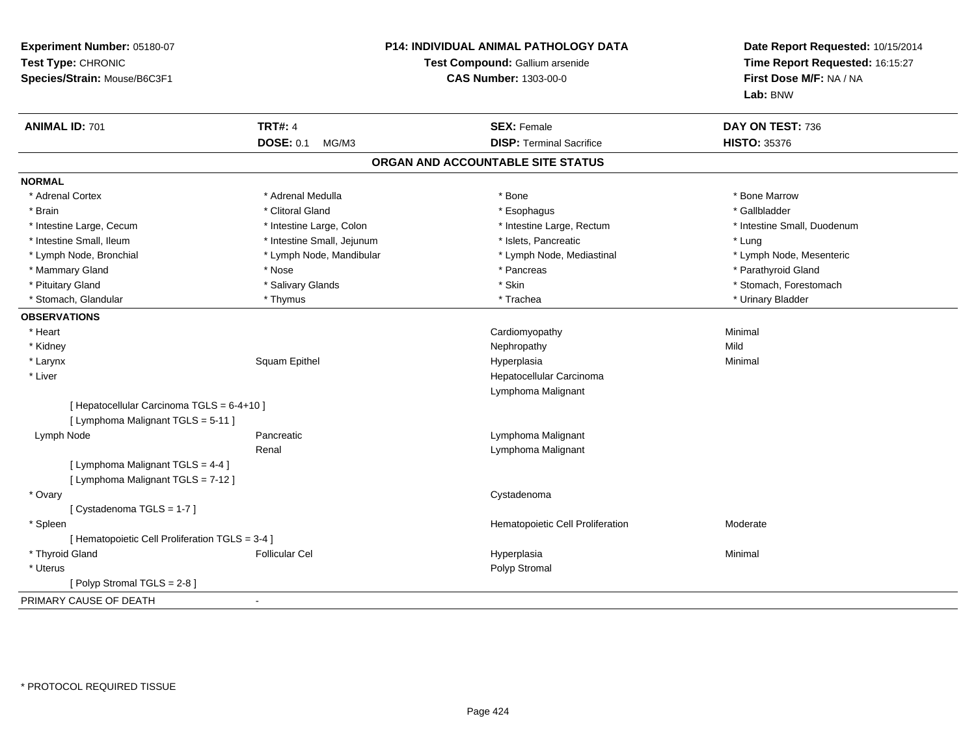| Experiment Number: 05180-07<br>Test Type: CHRONIC<br>Species/Strain: Mouse/B6C3F1 |                            | P14: INDIVIDUAL ANIMAL PATHOLOGY DATA<br>Test Compound: Gallium arsenide<br><b>CAS Number: 1303-00-0</b> | Date Report Requested: 10/15/2014<br>Time Report Requested: 16:15:27<br>First Dose M/F: NA / NA<br>Lab: BNW |
|-----------------------------------------------------------------------------------|----------------------------|----------------------------------------------------------------------------------------------------------|-------------------------------------------------------------------------------------------------------------|
| <b>ANIMAL ID: 701</b>                                                             | <b>TRT#: 4</b>             | <b>SEX: Female</b>                                                                                       | DAY ON TEST: 736                                                                                            |
|                                                                                   | <b>DOSE: 0.1</b><br>MG/M3  | <b>DISP: Terminal Sacrifice</b>                                                                          | <b>HISTO: 35376</b>                                                                                         |
|                                                                                   |                            | ORGAN AND ACCOUNTABLE SITE STATUS                                                                        |                                                                                                             |
| <b>NORMAL</b>                                                                     |                            |                                                                                                          |                                                                                                             |
| * Adrenal Cortex                                                                  | * Adrenal Medulla          | * Bone                                                                                                   | * Bone Marrow                                                                                               |
| * Brain                                                                           | * Clitoral Gland           | * Esophagus                                                                                              | * Gallbladder                                                                                               |
| * Intestine Large, Cecum                                                          | * Intestine Large, Colon   | * Intestine Large, Rectum                                                                                | * Intestine Small, Duodenum                                                                                 |
| * Intestine Small, Ileum                                                          | * Intestine Small, Jejunum | * Islets, Pancreatic                                                                                     | * Lung                                                                                                      |
| * Lymph Node, Bronchial                                                           | * Lymph Node, Mandibular   | * Lymph Node, Mediastinal                                                                                | * Lymph Node, Mesenteric                                                                                    |
| * Mammary Gland                                                                   | * Nose                     | * Pancreas                                                                                               | * Parathyroid Gland                                                                                         |
| * Pituitary Gland                                                                 | * Salivary Glands          | * Skin                                                                                                   | * Stomach, Forestomach                                                                                      |
| * Stomach, Glandular                                                              | * Thymus                   | * Trachea                                                                                                | * Urinary Bladder                                                                                           |
| <b>OBSERVATIONS</b>                                                               |                            |                                                                                                          |                                                                                                             |
| * Heart                                                                           |                            | Cardiomyopathy                                                                                           | Minimal                                                                                                     |
| * Kidney                                                                          |                            | Nephropathy                                                                                              | Mild                                                                                                        |
| * Larynx                                                                          | Squam Epithel              | Hyperplasia                                                                                              | Minimal                                                                                                     |
| * Liver                                                                           |                            | Hepatocellular Carcinoma                                                                                 |                                                                                                             |
|                                                                                   |                            | Lymphoma Malignant                                                                                       |                                                                                                             |
| [ Hepatocellular Carcinoma TGLS = 6-4+10 ]                                        |                            |                                                                                                          |                                                                                                             |
| [ Lymphoma Malignant TGLS = 5-11 ]                                                |                            |                                                                                                          |                                                                                                             |
| Lymph Node                                                                        | Pancreatic                 | Lymphoma Malignant                                                                                       |                                                                                                             |
|                                                                                   | Renal                      | Lymphoma Malignant                                                                                       |                                                                                                             |
| [ Lymphoma Malignant TGLS = 4-4 ]                                                 |                            |                                                                                                          |                                                                                                             |
| [ Lymphoma Malignant TGLS = 7-12 ]                                                |                            |                                                                                                          |                                                                                                             |
| * Ovary                                                                           |                            | Cystadenoma                                                                                              |                                                                                                             |
| [Cystadenoma TGLS = 1-7]                                                          |                            |                                                                                                          |                                                                                                             |
| * Spleen                                                                          |                            | Hematopoietic Cell Proliferation                                                                         | Moderate                                                                                                    |
| [ Hematopoietic Cell Proliferation TGLS = 3-4 ]                                   |                            |                                                                                                          |                                                                                                             |
| * Thyroid Gland                                                                   | <b>Follicular Cel</b>      | Hyperplasia                                                                                              | Minimal                                                                                                     |
| * Uterus                                                                          |                            | Polyp Stromal                                                                                            |                                                                                                             |
| [Polyp Stromal TGLS = 2-8]                                                        |                            |                                                                                                          |                                                                                                             |
| PRIMARY CAUSE OF DEATH                                                            | $\mathbf{r}$               |                                                                                                          |                                                                                                             |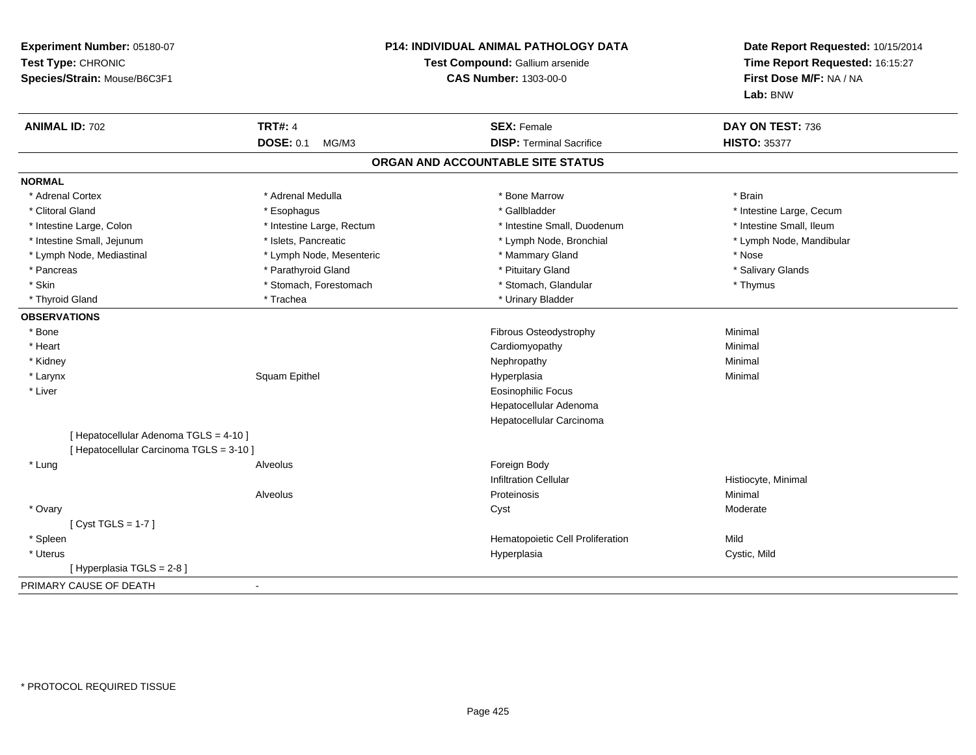| Experiment Number: 05180-07<br>Test Type: CHRONIC<br>Species/Strain: Mouse/B6C3F1 |                           | <b>P14: INDIVIDUAL ANIMAL PATHOLOGY DATA</b><br>Test Compound: Gallium arsenide<br><b>CAS Number: 1303-00-0</b> |                          |
|-----------------------------------------------------------------------------------|---------------------------|-----------------------------------------------------------------------------------------------------------------|--------------------------|
| <b>ANIMAL ID: 702</b>                                                             | <b>TRT#: 4</b>            | <b>SEX: Female</b>                                                                                              | DAY ON TEST: 736         |
|                                                                                   | <b>DOSE: 0.1</b><br>MG/M3 | <b>DISP: Terminal Sacrifice</b>                                                                                 | <b>HISTO: 35377</b>      |
|                                                                                   |                           | ORGAN AND ACCOUNTABLE SITE STATUS                                                                               |                          |
| <b>NORMAL</b>                                                                     |                           |                                                                                                                 |                          |
| * Adrenal Cortex                                                                  | * Adrenal Medulla         | * Bone Marrow                                                                                                   | * Brain                  |
| * Clitoral Gland                                                                  | * Esophagus               | * Gallbladder                                                                                                   | * Intestine Large, Cecum |
| * Intestine Large, Colon                                                          | * Intestine Large, Rectum | * Intestine Small, Duodenum                                                                                     | * Intestine Small, Ileum |
| * Intestine Small, Jejunum                                                        | * Islets, Pancreatic      | * Lymph Node, Bronchial                                                                                         | * Lymph Node, Mandibular |
| * Lymph Node, Mediastinal                                                         | * Lymph Node, Mesenteric  | * Mammary Gland                                                                                                 | * Nose                   |
| * Pancreas                                                                        | * Parathyroid Gland       | * Pituitary Gland                                                                                               | * Salivary Glands        |
| * Skin                                                                            | * Stomach, Forestomach    | * Stomach, Glandular                                                                                            | * Thymus                 |
| * Thyroid Gland                                                                   | * Trachea                 | * Urinary Bladder                                                                                               |                          |
| <b>OBSERVATIONS</b>                                                               |                           |                                                                                                                 |                          |
| * Bone                                                                            |                           | Fibrous Osteodystrophy                                                                                          | Minimal                  |
| * Heart                                                                           |                           | Cardiomyopathy                                                                                                  | Minimal                  |
| * Kidney                                                                          |                           | Nephropathy                                                                                                     | Minimal                  |
| * Larynx                                                                          | Squam Epithel             | Hyperplasia                                                                                                     | Minimal                  |
| * Liver                                                                           |                           | <b>Eosinophilic Focus</b>                                                                                       |                          |
|                                                                                   |                           | Hepatocellular Adenoma                                                                                          |                          |
|                                                                                   |                           | Hepatocellular Carcinoma                                                                                        |                          |
| [ Hepatocellular Adenoma TGLS = 4-10 ]                                            |                           |                                                                                                                 |                          |
| [ Hepatocellular Carcinoma TGLS = 3-10 ]                                          |                           |                                                                                                                 |                          |
| * Lung                                                                            | Alveolus                  | Foreign Body                                                                                                    |                          |
|                                                                                   |                           | <b>Infiltration Cellular</b>                                                                                    | Histiocyte, Minimal      |
|                                                                                   | Alveolus                  | Proteinosis                                                                                                     | Minimal                  |
| * Ovary                                                                           |                           | Cyst                                                                                                            | Moderate                 |
| [Cyst TGLS = $1-7$ ]                                                              |                           |                                                                                                                 |                          |
| * Spleen                                                                          |                           | Hematopoietic Cell Proliferation                                                                                | Mild                     |
| * Uterus                                                                          |                           | Hyperplasia                                                                                                     | Cystic, Mild             |
| [ Hyperplasia TGLS = 2-8]                                                         |                           |                                                                                                                 |                          |
| PRIMARY CAUSE OF DEATH                                                            | $\sim$                    |                                                                                                                 |                          |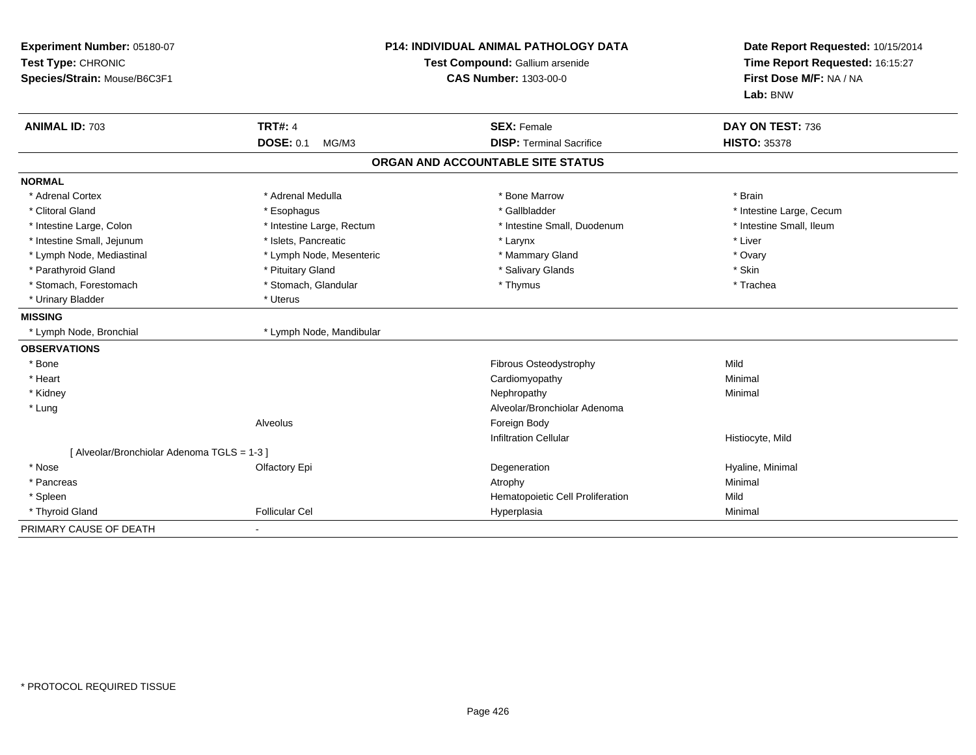| Experiment Number: 05180-07<br>Test Type: CHRONIC<br>Species/Strain: Mouse/B6C3F1 | <b>P14: INDIVIDUAL ANIMAL PATHOLOGY DATA</b><br>Test Compound: Gallium arsenide<br><b>CAS Number: 1303-00-0</b> |                                   | Date Report Requested: 10/15/2014<br>Time Report Requested: 16:15:27<br>First Dose M/F: NA / NA<br>Lab: BNW |
|-----------------------------------------------------------------------------------|-----------------------------------------------------------------------------------------------------------------|-----------------------------------|-------------------------------------------------------------------------------------------------------------|
| <b>ANIMAL ID: 703</b>                                                             | <b>TRT#: 4</b>                                                                                                  | <b>SEX: Female</b>                | DAY ON TEST: 736                                                                                            |
|                                                                                   | <b>DOSE: 0.1</b><br>MG/M3                                                                                       | <b>DISP: Terminal Sacrifice</b>   | <b>HISTO: 35378</b>                                                                                         |
|                                                                                   |                                                                                                                 | ORGAN AND ACCOUNTABLE SITE STATUS |                                                                                                             |
| <b>NORMAL</b>                                                                     |                                                                                                                 |                                   |                                                                                                             |
| * Adrenal Cortex                                                                  | * Adrenal Medulla                                                                                               | * Bone Marrow                     | * Brain                                                                                                     |
| * Clitoral Gland                                                                  | * Esophagus                                                                                                     | * Gallbladder                     | * Intestine Large, Cecum                                                                                    |
| * Intestine Large, Colon                                                          | * Intestine Large, Rectum                                                                                       | * Intestine Small, Duodenum       | * Intestine Small, Ileum                                                                                    |
| * Intestine Small, Jejunum                                                        | * Islets, Pancreatic                                                                                            | * Larynx                          | * Liver                                                                                                     |
| * Lymph Node, Mediastinal                                                         | * Lymph Node, Mesenteric                                                                                        | * Mammary Gland                   | * Ovary                                                                                                     |
| * Parathyroid Gland                                                               | * Pituitary Gland                                                                                               | * Salivary Glands                 | * Skin                                                                                                      |
| * Stomach, Forestomach                                                            | * Stomach, Glandular                                                                                            | * Thymus                          | * Trachea                                                                                                   |
| * Urinary Bladder                                                                 | * Uterus                                                                                                        |                                   |                                                                                                             |
| <b>MISSING</b>                                                                    |                                                                                                                 |                                   |                                                                                                             |
| * Lymph Node, Bronchial                                                           | * Lymph Node, Mandibular                                                                                        |                                   |                                                                                                             |
| <b>OBSERVATIONS</b>                                                               |                                                                                                                 |                                   |                                                                                                             |
| * Bone                                                                            |                                                                                                                 | Fibrous Osteodystrophy            | Mild                                                                                                        |
| * Heart                                                                           |                                                                                                                 | Cardiomyopathy                    | Minimal                                                                                                     |
| * Kidney                                                                          |                                                                                                                 | Nephropathy                       | Minimal                                                                                                     |
| * Lung                                                                            |                                                                                                                 | Alveolar/Bronchiolar Adenoma      |                                                                                                             |
|                                                                                   | Alveolus                                                                                                        | Foreign Body                      |                                                                                                             |
|                                                                                   |                                                                                                                 | <b>Infiltration Cellular</b>      | Histiocyte, Mild                                                                                            |
| [ Alveolar/Bronchiolar Adenoma TGLS = 1-3 ]                                       |                                                                                                                 |                                   |                                                                                                             |
| * Nose                                                                            | Olfactory Epi                                                                                                   | Degeneration                      | Hyaline, Minimal                                                                                            |
| * Pancreas                                                                        |                                                                                                                 | Atrophy                           | Minimal                                                                                                     |
| * Spleen                                                                          |                                                                                                                 | Hematopoietic Cell Proliferation  | Mild                                                                                                        |
| * Thyroid Gland                                                                   | <b>Follicular Cel</b>                                                                                           | Hyperplasia                       | Minimal                                                                                                     |
| PRIMARY CAUSE OF DEATH                                                            |                                                                                                                 |                                   |                                                                                                             |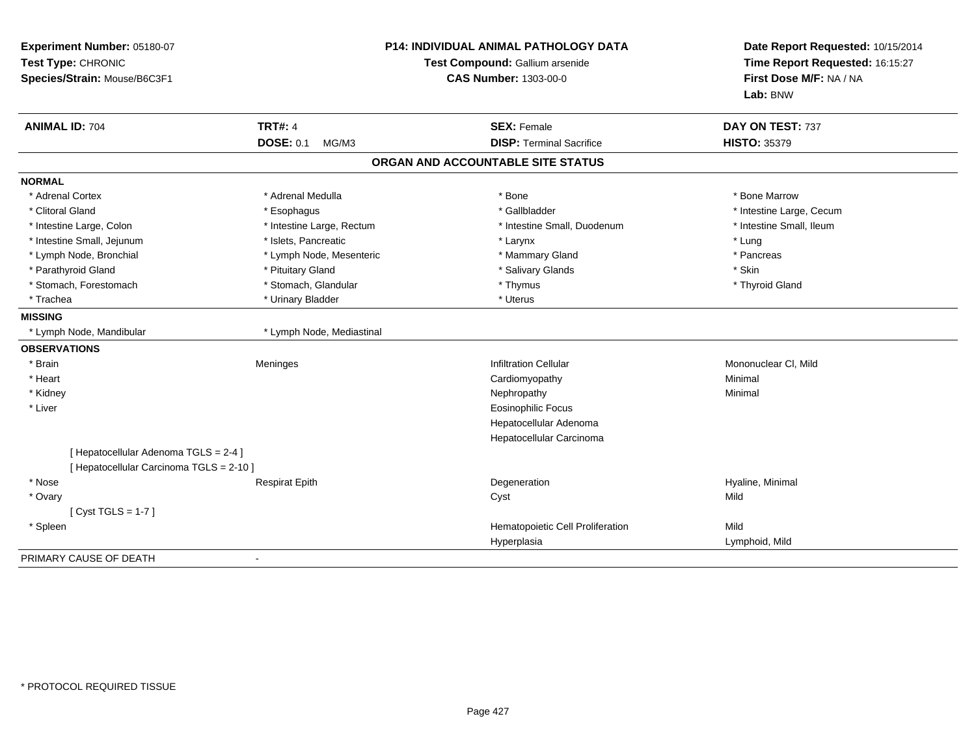| Experiment Number: 05180-07<br>Test Type: CHRONIC<br>Species/Strain: Mouse/B6C3F1 |                                             | <b>P14: INDIVIDUAL ANIMAL PATHOLOGY DATA</b><br>Test Compound: Gallium arsenide<br><b>CAS Number: 1303-00-0</b> | Date Report Requested: 10/15/2014<br>Time Report Requested: 16:15:27<br>First Dose M/F: NA / NA<br>Lab: BNW |
|-----------------------------------------------------------------------------------|---------------------------------------------|-----------------------------------------------------------------------------------------------------------------|-------------------------------------------------------------------------------------------------------------|
| <b>ANIMAL ID: 704</b>                                                             | <b>TRT#: 4</b><br><b>DOSE: 0.1</b><br>MG/M3 | <b>SEX: Female</b><br><b>DISP: Terminal Sacrifice</b>                                                           | DAY ON TEST: 737<br><b>HISTO: 35379</b>                                                                     |
|                                                                                   |                                             | ORGAN AND ACCOUNTABLE SITE STATUS                                                                               |                                                                                                             |
| <b>NORMAL</b>                                                                     |                                             |                                                                                                                 |                                                                                                             |
| * Adrenal Cortex                                                                  | * Adrenal Medulla                           | * Bone                                                                                                          | * Bone Marrow                                                                                               |
| * Clitoral Gland                                                                  | * Esophagus                                 | * Gallbladder                                                                                                   | * Intestine Large, Cecum                                                                                    |
| * Intestine Large, Colon                                                          | * Intestine Large, Rectum                   | * Intestine Small, Duodenum                                                                                     | * Intestine Small, Ileum                                                                                    |
| * Intestine Small, Jejunum                                                        | * Islets, Pancreatic                        | * Larynx                                                                                                        | * Lung                                                                                                      |
| * Lymph Node, Bronchial                                                           | * Lymph Node, Mesenteric                    | * Mammary Gland                                                                                                 | * Pancreas                                                                                                  |
| * Parathyroid Gland                                                               | * Pituitary Gland                           | * Salivary Glands                                                                                               | * Skin                                                                                                      |
| * Stomach, Forestomach                                                            | * Stomach, Glandular                        | * Thymus                                                                                                        | * Thyroid Gland                                                                                             |
| * Trachea                                                                         | * Urinary Bladder                           | * Uterus                                                                                                        |                                                                                                             |
| <b>MISSING</b>                                                                    |                                             |                                                                                                                 |                                                                                                             |
| * Lymph Node, Mandibular                                                          | * Lymph Node, Mediastinal                   |                                                                                                                 |                                                                                                             |
| <b>OBSERVATIONS</b>                                                               |                                             |                                                                                                                 |                                                                                                             |
| * Brain                                                                           | Meninges                                    | <b>Infiltration Cellular</b>                                                                                    | Mononuclear CI, Mild                                                                                        |
| * Heart                                                                           |                                             | Cardiomyopathy                                                                                                  | Minimal                                                                                                     |
| * Kidney                                                                          |                                             | Nephropathy                                                                                                     | Minimal                                                                                                     |
| * Liver                                                                           |                                             | <b>Eosinophilic Focus</b>                                                                                       |                                                                                                             |
|                                                                                   |                                             | Hepatocellular Adenoma                                                                                          |                                                                                                             |
|                                                                                   |                                             | Hepatocellular Carcinoma                                                                                        |                                                                                                             |
| [ Hepatocellular Adenoma TGLS = 2-4 ]<br>[ Hepatocellular Carcinoma TGLS = 2-10 ] |                                             |                                                                                                                 |                                                                                                             |
| * Nose                                                                            | <b>Respirat Epith</b>                       | Degeneration                                                                                                    | Hyaline, Minimal                                                                                            |
| * Ovary                                                                           |                                             | Cyst                                                                                                            | Mild                                                                                                        |
| [Cyst TGLS = $1-7$ ]                                                              |                                             |                                                                                                                 |                                                                                                             |
| * Spleen                                                                          |                                             | Hematopoietic Cell Proliferation                                                                                | Mild                                                                                                        |
|                                                                                   |                                             | Hyperplasia                                                                                                     | Lymphoid, Mild                                                                                              |
| PRIMARY CAUSE OF DEATH                                                            |                                             |                                                                                                                 |                                                                                                             |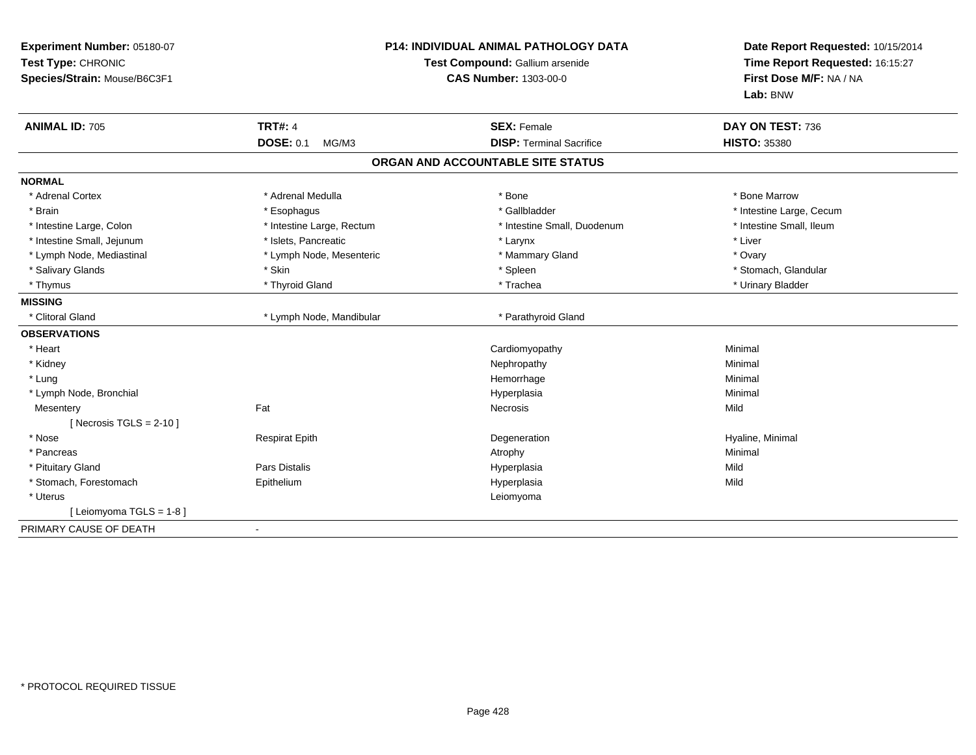| Experiment Number: 05180-07<br>Test Type: CHRONIC<br>Species/Strain: Mouse/B6C3F1 | <b>P14: INDIVIDUAL ANIMAL PATHOLOGY DATA</b><br>Test Compound: Gallium arsenide<br>CAS Number: 1303-00-0 |                                   | Date Report Requested: 10/15/2014<br>Time Report Requested: 16:15:27<br>First Dose M/F: NA / NA<br>Lab: BNW |
|-----------------------------------------------------------------------------------|----------------------------------------------------------------------------------------------------------|-----------------------------------|-------------------------------------------------------------------------------------------------------------|
| <b>ANIMAL ID: 705</b>                                                             | <b>TRT#: 4</b>                                                                                           | <b>SEX: Female</b>                | DAY ON TEST: 736                                                                                            |
|                                                                                   | <b>DOSE: 0.1</b><br>MG/M3                                                                                | <b>DISP: Terminal Sacrifice</b>   | <b>HISTO: 35380</b>                                                                                         |
|                                                                                   |                                                                                                          | ORGAN AND ACCOUNTABLE SITE STATUS |                                                                                                             |
| <b>NORMAL</b>                                                                     |                                                                                                          |                                   |                                                                                                             |
| * Adrenal Cortex                                                                  | * Adrenal Medulla                                                                                        | * Bone                            | * Bone Marrow                                                                                               |
| * Brain                                                                           | * Esophagus                                                                                              | * Gallbladder                     | * Intestine Large, Cecum                                                                                    |
| * Intestine Large, Colon                                                          | * Intestine Large, Rectum                                                                                | * Intestine Small, Duodenum       | * Intestine Small, Ileum                                                                                    |
| * Intestine Small, Jejunum                                                        | * Islets, Pancreatic                                                                                     | * Larynx                          | * Liver                                                                                                     |
| * Lymph Node, Mediastinal                                                         | * Lymph Node, Mesenteric                                                                                 | * Mammary Gland                   | * Ovary                                                                                                     |
| * Salivary Glands                                                                 | * Skin                                                                                                   | * Spleen                          | * Stomach, Glandular                                                                                        |
| * Thymus                                                                          | * Thyroid Gland                                                                                          | * Trachea                         | * Urinary Bladder                                                                                           |
| <b>MISSING</b>                                                                    |                                                                                                          |                                   |                                                                                                             |
| * Clitoral Gland                                                                  | * Lymph Node, Mandibular                                                                                 | * Parathyroid Gland               |                                                                                                             |
| <b>OBSERVATIONS</b>                                                               |                                                                                                          |                                   |                                                                                                             |
| * Heart                                                                           |                                                                                                          | Cardiomyopathy                    | Minimal                                                                                                     |
| * Kidney                                                                          |                                                                                                          | Nephropathy                       | Minimal                                                                                                     |
| * Lung                                                                            |                                                                                                          | Hemorrhage                        | Minimal                                                                                                     |
| * Lymph Node, Bronchial                                                           |                                                                                                          | Hyperplasia                       | Minimal                                                                                                     |
| Mesentery                                                                         | Fat                                                                                                      | <b>Necrosis</b>                   | Mild                                                                                                        |
| [ Necrosis TGLS = $2-10$ ]                                                        |                                                                                                          |                                   |                                                                                                             |
| * Nose                                                                            | <b>Respirat Epith</b>                                                                                    | Degeneration                      | Hyaline, Minimal                                                                                            |
| * Pancreas                                                                        |                                                                                                          | Atrophy                           | Minimal                                                                                                     |
| * Pituitary Gland                                                                 | Pars Distalis                                                                                            | Hyperplasia                       | Mild                                                                                                        |
| * Stomach, Forestomach                                                            | Epithelium                                                                                               | Hyperplasia                       | Mild                                                                                                        |
| * Uterus                                                                          |                                                                                                          | Leiomyoma                         |                                                                                                             |
| [ Leiomyoma TGLS = 1-8 ]                                                          |                                                                                                          |                                   |                                                                                                             |
| PRIMARY CAUSE OF DEATH                                                            |                                                                                                          |                                   |                                                                                                             |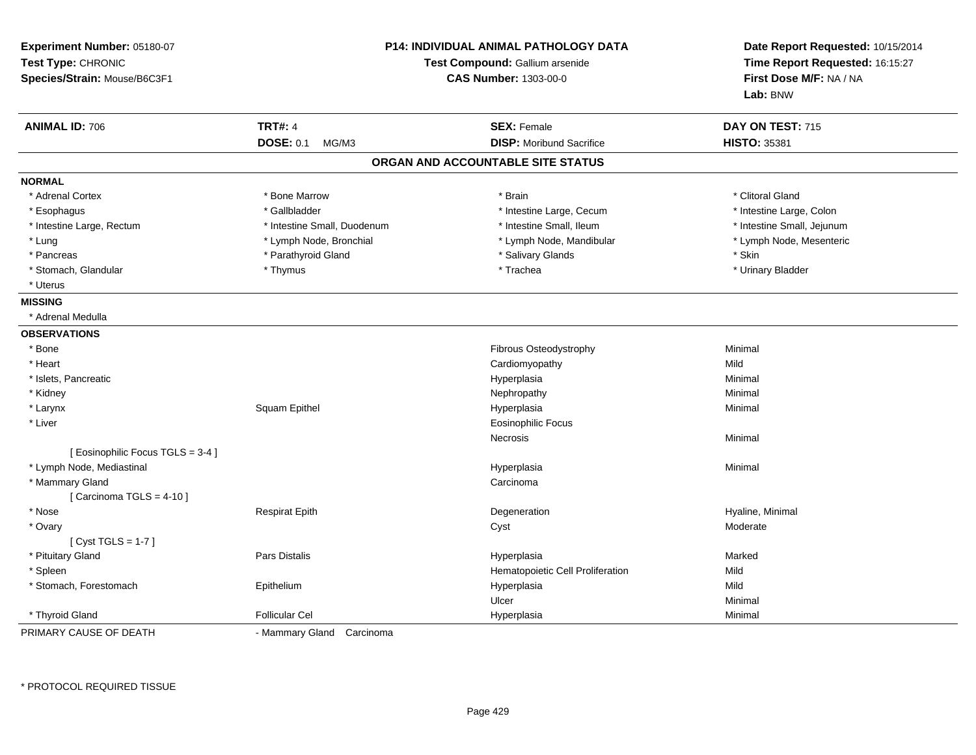| Experiment Number: 05180-07<br>Test Type: CHRONIC<br>Species/Strain: Mouse/B6C3F1 |                             | <b>P14: INDIVIDUAL ANIMAL PATHOLOGY DATA</b><br>Test Compound: Gallium arsenide<br><b>CAS Number: 1303-00-0</b> | Date Report Requested: 10/15/2014<br>Time Report Requested: 16:15:27<br>First Dose M/F: NA / NA<br>Lab: BNW |
|-----------------------------------------------------------------------------------|-----------------------------|-----------------------------------------------------------------------------------------------------------------|-------------------------------------------------------------------------------------------------------------|
| <b>ANIMAL ID: 706</b>                                                             | <b>TRT#: 4</b>              | <b>SEX: Female</b>                                                                                              | DAY ON TEST: 715                                                                                            |
|                                                                                   | <b>DOSE: 0.1</b><br>MG/M3   | <b>DISP:</b> Moribund Sacrifice                                                                                 | <b>HISTO: 35381</b>                                                                                         |
|                                                                                   |                             | ORGAN AND ACCOUNTABLE SITE STATUS                                                                               |                                                                                                             |
| <b>NORMAL</b>                                                                     |                             |                                                                                                                 |                                                                                                             |
| * Adrenal Cortex                                                                  | * Bone Marrow               | * Brain                                                                                                         | * Clitoral Gland                                                                                            |
| * Esophagus                                                                       | * Gallbladder               | * Intestine Large, Cecum                                                                                        | * Intestine Large, Colon                                                                                    |
| * Intestine Large, Rectum                                                         | * Intestine Small, Duodenum | * Intestine Small, Ileum                                                                                        | * Intestine Small, Jejunum                                                                                  |
| * Lung                                                                            | * Lymph Node, Bronchial     | * Lymph Node, Mandibular                                                                                        | * Lymph Node, Mesenteric                                                                                    |
| * Pancreas                                                                        | * Parathyroid Gland         | * Salivary Glands                                                                                               | * Skin                                                                                                      |
| * Stomach, Glandular                                                              | * Thymus                    | * Trachea                                                                                                       | * Urinary Bladder                                                                                           |
| * Uterus                                                                          |                             |                                                                                                                 |                                                                                                             |
| <b>MISSING</b>                                                                    |                             |                                                                                                                 |                                                                                                             |
| * Adrenal Medulla                                                                 |                             |                                                                                                                 |                                                                                                             |
| <b>OBSERVATIONS</b>                                                               |                             |                                                                                                                 |                                                                                                             |
| * Bone                                                                            |                             | Fibrous Osteodystrophy                                                                                          | Minimal                                                                                                     |
| * Heart                                                                           |                             | Cardiomyopathy                                                                                                  | Mild                                                                                                        |
| * Islets, Pancreatic                                                              |                             | Hyperplasia                                                                                                     | Minimal                                                                                                     |
| * Kidney                                                                          |                             | Nephropathy                                                                                                     | Minimal                                                                                                     |
| * Larynx                                                                          | Squam Epithel               | Hyperplasia                                                                                                     | Minimal                                                                                                     |
| * Liver                                                                           |                             | <b>Eosinophilic Focus</b>                                                                                       |                                                                                                             |
|                                                                                   |                             | Necrosis                                                                                                        | Minimal                                                                                                     |
| [ Eosinophilic Focus TGLS = 3-4 ]                                                 |                             |                                                                                                                 |                                                                                                             |
| * Lymph Node, Mediastinal                                                         |                             | Hyperplasia                                                                                                     | Minimal                                                                                                     |
| * Mammary Gland                                                                   |                             | Carcinoma                                                                                                       |                                                                                                             |
| [Carcinoma TGLS = $4-10$ ]                                                        |                             |                                                                                                                 |                                                                                                             |
| * Nose                                                                            | <b>Respirat Epith</b>       | Degeneration                                                                                                    | Hyaline, Minimal                                                                                            |
| * Ovary                                                                           |                             | Cyst                                                                                                            | Moderate                                                                                                    |
| [Cyst TGLS = $1-7$ ]                                                              |                             |                                                                                                                 |                                                                                                             |
| * Pituitary Gland                                                                 | <b>Pars Distalis</b>        | Hyperplasia                                                                                                     | Marked                                                                                                      |
| * Spleen                                                                          |                             | Hematopoietic Cell Proliferation                                                                                | Mild                                                                                                        |
| * Stomach, Forestomach                                                            | Epithelium                  | Hyperplasia                                                                                                     | Mild                                                                                                        |
|                                                                                   |                             | Ulcer                                                                                                           | Minimal                                                                                                     |
| * Thyroid Gland                                                                   | <b>Follicular Cel</b>       | Hyperplasia                                                                                                     | Minimal                                                                                                     |
| PRIMARY CAUSE OF DEATH                                                            | - Mammary Gland Carcinoma   |                                                                                                                 |                                                                                                             |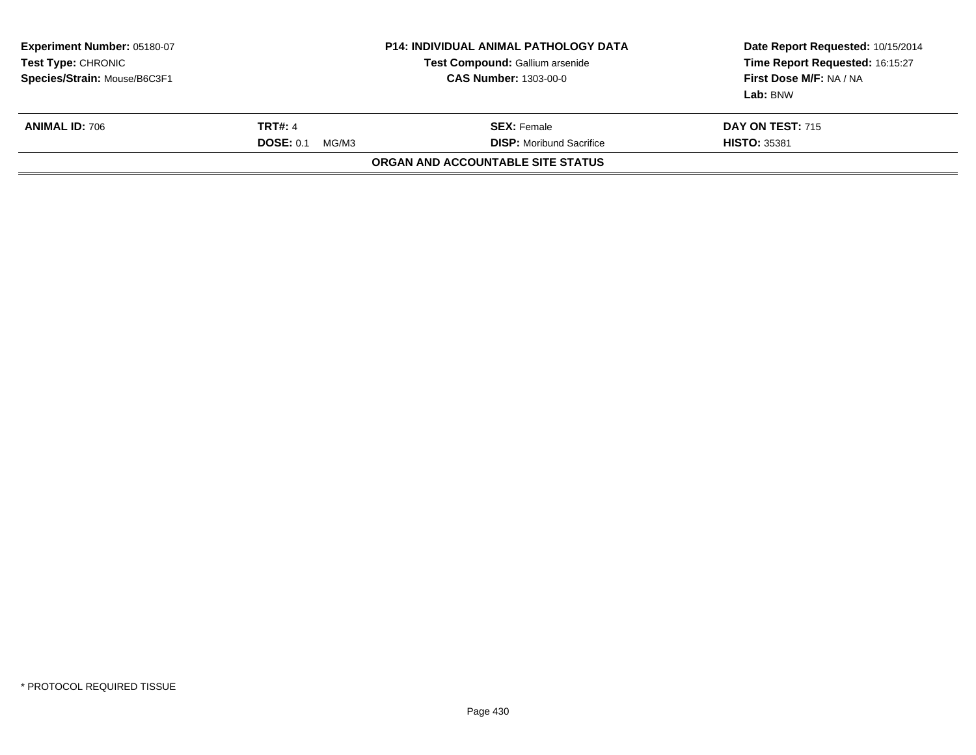| Experiment Number: 05180-07<br>Test Type: CHRONIC<br>Species/Strain: Mouse/B6C3F1 |                                             | <b>P14: INDIVIDUAL ANIMAL PATHOLOGY DATA</b><br>Test Compound: Gallium arsenide<br><b>CAS Number: 1303-00-0</b> | Date Report Requested: 10/15/2014<br>Time Report Requested: 16:15:27<br>First Dose M/F: NA / NA<br>Lab: BNW |
|-----------------------------------------------------------------------------------|---------------------------------------------|-----------------------------------------------------------------------------------------------------------------|-------------------------------------------------------------------------------------------------------------|
| <b>ANIMAL ID: 706</b>                                                             | <b>TRT#: 4</b><br><b>DOSE: 0.1</b><br>MG/M3 | <b>SEX:</b> Female<br><b>DISP:</b> Moribund Sacrifice                                                           | <b>DAY ON TEST: 715</b><br><b>HISTO: 35381</b>                                                              |
|                                                                                   |                                             | <b>ORGAN AND ACCOUNTABLE SITE STATUS</b>                                                                        |                                                                                                             |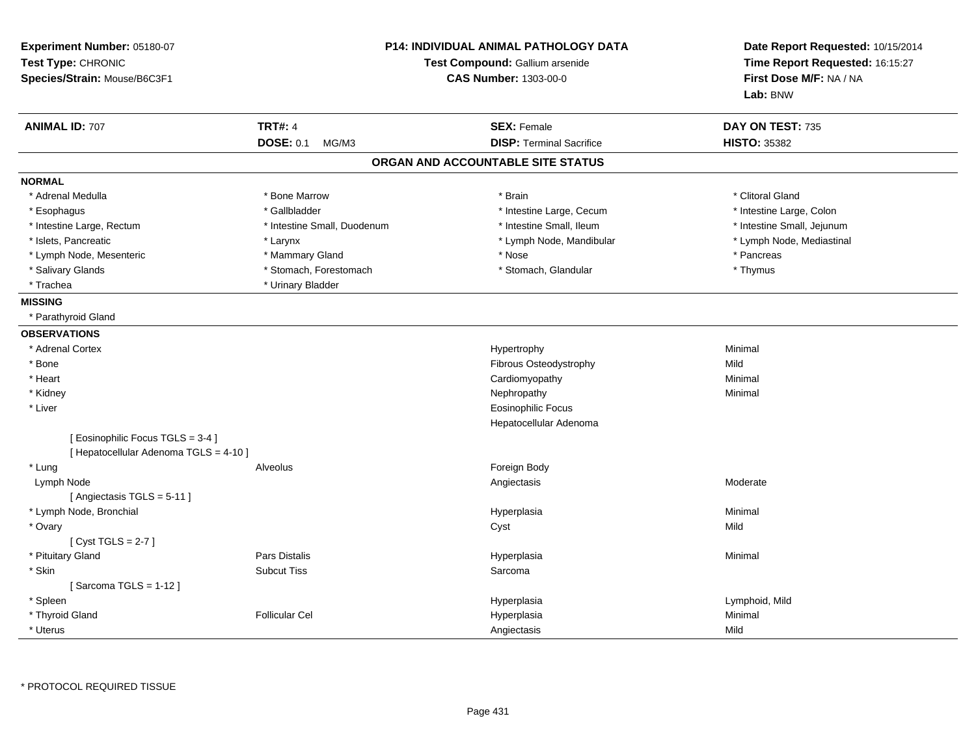| Experiment Number: 05180-07<br>Test Type: CHRONIC<br>Species/Strain: Mouse/B6C3F1 |                                             | P14: INDIVIDUAL ANIMAL PATHOLOGY DATA<br>Test Compound: Gallium arsenide<br><b>CAS Number: 1303-00-0</b> | Date Report Requested: 10/15/2014<br>Time Report Requested: 16:15:27<br>First Dose M/F: NA / NA<br>Lab: BNW |
|-----------------------------------------------------------------------------------|---------------------------------------------|----------------------------------------------------------------------------------------------------------|-------------------------------------------------------------------------------------------------------------|
| <b>ANIMAL ID: 707</b>                                                             | <b>TRT#: 4</b><br><b>DOSE: 0.1</b><br>MG/M3 | <b>SEX: Female</b><br><b>DISP: Terminal Sacrifice</b>                                                    | DAY ON TEST: 735<br><b>HISTO: 35382</b>                                                                     |
|                                                                                   |                                             | ORGAN AND ACCOUNTABLE SITE STATUS                                                                        |                                                                                                             |
| <b>NORMAL</b>                                                                     |                                             |                                                                                                          |                                                                                                             |
| * Adrenal Medulla                                                                 | * Bone Marrow                               | * Brain                                                                                                  | * Clitoral Gland                                                                                            |
| * Esophagus                                                                       | * Gallbladder                               | * Intestine Large, Cecum                                                                                 | * Intestine Large, Colon                                                                                    |
| * Intestine Large, Rectum                                                         | * Intestine Small, Duodenum                 | * Intestine Small, Ileum                                                                                 | * Intestine Small, Jejunum                                                                                  |
| * Islets, Pancreatic                                                              | * Larynx                                    | * Lymph Node, Mandibular                                                                                 | * Lymph Node, Mediastinal                                                                                   |
| * Lymph Node, Mesenteric                                                          | * Mammary Gland                             | * Nose                                                                                                   | * Pancreas                                                                                                  |
| * Salivary Glands                                                                 | * Stomach, Forestomach                      | * Stomach, Glandular                                                                                     | * Thymus                                                                                                    |
| * Trachea                                                                         | * Urinary Bladder                           |                                                                                                          |                                                                                                             |
| <b>MISSING</b>                                                                    |                                             |                                                                                                          |                                                                                                             |
| * Parathyroid Gland                                                               |                                             |                                                                                                          |                                                                                                             |
| <b>OBSERVATIONS</b>                                                               |                                             |                                                                                                          |                                                                                                             |
| * Adrenal Cortex                                                                  |                                             | Hypertrophy                                                                                              | Minimal                                                                                                     |
| * Bone                                                                            |                                             | Fibrous Osteodystrophy                                                                                   | Mild                                                                                                        |
| * Heart                                                                           |                                             | Cardiomyopathy                                                                                           | Minimal                                                                                                     |
| * Kidney                                                                          |                                             | Nephropathy                                                                                              | Minimal                                                                                                     |
| * Liver                                                                           |                                             | <b>Eosinophilic Focus</b>                                                                                |                                                                                                             |
|                                                                                   |                                             | Hepatocellular Adenoma                                                                                   |                                                                                                             |
| [ Eosinophilic Focus TGLS = 3-4 ]<br>[ Hepatocellular Adenoma TGLS = 4-10 ]       |                                             |                                                                                                          |                                                                                                             |
| * Lung                                                                            | Alveolus                                    | Foreign Body                                                                                             |                                                                                                             |
| Lymph Node                                                                        |                                             | Angiectasis                                                                                              | Moderate                                                                                                    |
| [ Angiectasis TGLS = $5-11$ ]                                                     |                                             |                                                                                                          |                                                                                                             |
| * Lymph Node, Bronchial                                                           |                                             | Hyperplasia                                                                                              | Minimal                                                                                                     |
| * Ovary                                                                           |                                             | Cyst                                                                                                     | Mild                                                                                                        |
| [Cyst TGLS = $2-7$ ]                                                              |                                             |                                                                                                          |                                                                                                             |
| * Pituitary Gland                                                                 | <b>Pars Distalis</b>                        | Hyperplasia                                                                                              | Minimal                                                                                                     |
| * Skin                                                                            | <b>Subcut Tiss</b>                          | Sarcoma                                                                                                  |                                                                                                             |
| [Sarcoma TGLS = $1-12$ ]                                                          |                                             |                                                                                                          |                                                                                                             |
| * Spleen                                                                          |                                             | Hyperplasia                                                                                              | Lymphoid, Mild                                                                                              |
| * Thyroid Gland                                                                   | <b>Follicular Cel</b>                       | Hyperplasia                                                                                              | Minimal                                                                                                     |
| * Uterus                                                                          |                                             | Angiectasis                                                                                              | Mild                                                                                                        |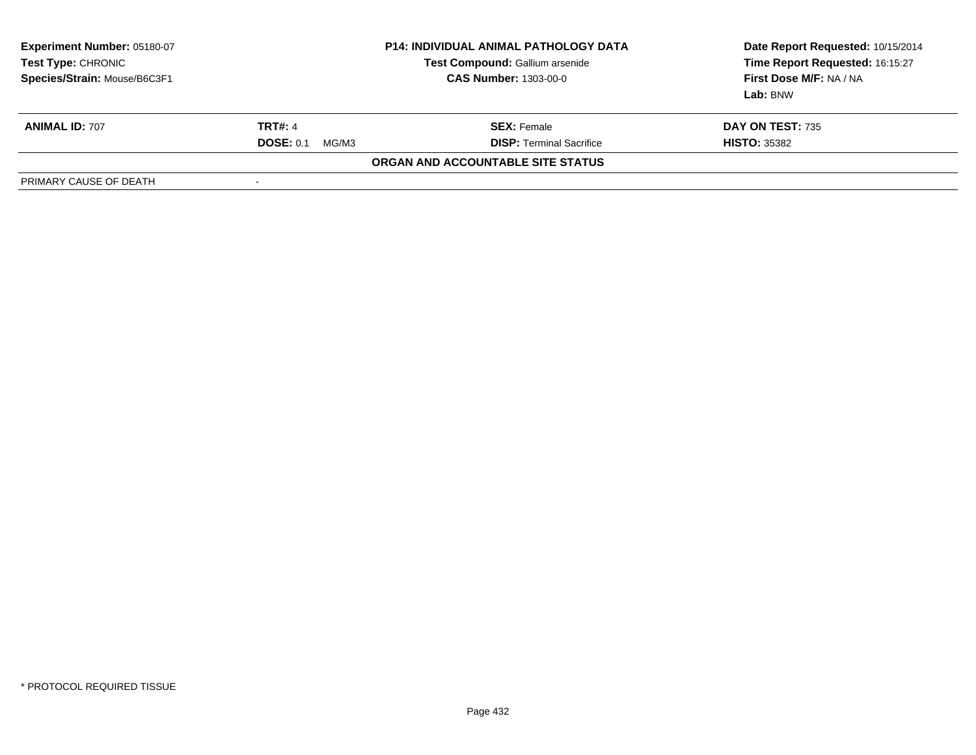| <b>Experiment Number: 05180-07</b><br>Test Type: CHRONIC<br>Species/Strain: Mouse/B6C3F1 | <b>P14: INDIVIDUAL ANIMAL PATHOLOGY DATA</b><br>Test Compound: Gallium arsenide<br><b>CAS Number: 1303-00-0</b> |                                   | Date Report Requested: 10/15/2014<br>Time Report Requested: 16:15:27<br>First Dose M/F: NA / NA<br>Lab: BNW |
|------------------------------------------------------------------------------------------|-----------------------------------------------------------------------------------------------------------------|-----------------------------------|-------------------------------------------------------------------------------------------------------------|
| <b>ANIMAL ID: 707</b>                                                                    | <b>TRT#: 4</b>                                                                                                  | <b>SEX:</b> Female                | <b>DAY ON TEST: 735</b>                                                                                     |
|                                                                                          | <b>DOSE: 0.1</b><br>MG/M3                                                                                       | <b>DISP: Terminal Sacrifice</b>   | <b>HISTO: 35382</b>                                                                                         |
|                                                                                          |                                                                                                                 | ORGAN AND ACCOUNTABLE SITE STATUS |                                                                                                             |
| PRIMARY CAUSE OF DEATH                                                                   |                                                                                                                 |                                   |                                                                                                             |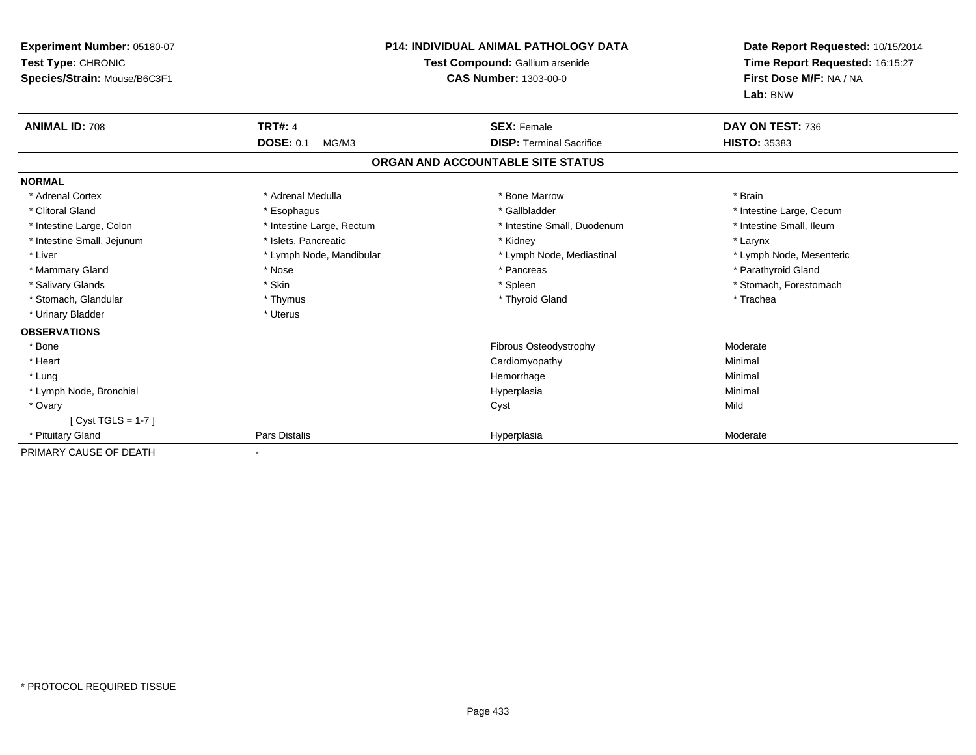| <b>Experiment Number: 05180-07</b><br>Test Type: CHRONIC<br>Species/Strain: Mouse/B6C3F1 |                           | <b>P14: INDIVIDUAL ANIMAL PATHOLOGY DATA</b><br>Test Compound: Gallium arsenide<br><b>CAS Number: 1303-00-0</b> | Date Report Requested: 10/15/2014<br>Time Report Requested: 16:15:27<br>First Dose M/F: NA / NA<br>Lab: BNW |
|------------------------------------------------------------------------------------------|---------------------------|-----------------------------------------------------------------------------------------------------------------|-------------------------------------------------------------------------------------------------------------|
| <b>ANIMAL ID: 708</b>                                                                    | <b>TRT#: 4</b>            | <b>SEX: Female</b>                                                                                              | DAY ON TEST: 736                                                                                            |
|                                                                                          | <b>DOSE: 0.1</b><br>MG/M3 | <b>DISP: Terminal Sacrifice</b>                                                                                 | <b>HISTO: 35383</b>                                                                                         |
|                                                                                          |                           | ORGAN AND ACCOUNTABLE SITE STATUS                                                                               |                                                                                                             |
| <b>NORMAL</b>                                                                            |                           |                                                                                                                 |                                                                                                             |
| * Adrenal Cortex                                                                         | * Adrenal Medulla         | * Bone Marrow                                                                                                   | * Brain                                                                                                     |
| * Clitoral Gland                                                                         | * Esophagus               | * Gallbladder                                                                                                   | * Intestine Large, Cecum                                                                                    |
| * Intestine Large, Colon                                                                 | * Intestine Large, Rectum | * Intestine Small, Duodenum                                                                                     | * Intestine Small, Ileum                                                                                    |
| * Intestine Small, Jejunum                                                               | * Islets. Pancreatic      | * Kidney                                                                                                        | * Larynx                                                                                                    |
| * Liver                                                                                  | * Lymph Node, Mandibular  | * Lymph Node, Mediastinal                                                                                       | * Lymph Node, Mesenteric                                                                                    |
| * Mammary Gland                                                                          | * Nose                    | * Pancreas                                                                                                      | * Parathyroid Gland                                                                                         |
| * Salivary Glands                                                                        | * Skin                    | * Spleen                                                                                                        | * Stomach, Forestomach                                                                                      |
| * Stomach, Glandular                                                                     | * Thymus                  | * Thyroid Gland                                                                                                 | * Trachea                                                                                                   |
| * Urinary Bladder                                                                        | * Uterus                  |                                                                                                                 |                                                                                                             |
| <b>OBSERVATIONS</b>                                                                      |                           |                                                                                                                 |                                                                                                             |
| * Bone                                                                                   |                           | Fibrous Osteodystrophy                                                                                          | Moderate                                                                                                    |
| * Heart                                                                                  |                           | Cardiomyopathy                                                                                                  | Minimal                                                                                                     |
| * Lung                                                                                   |                           | Hemorrhage                                                                                                      | Minimal                                                                                                     |
| * Lymph Node, Bronchial                                                                  |                           | Hyperplasia                                                                                                     | Minimal                                                                                                     |
| * Ovary                                                                                  |                           | Cyst                                                                                                            | Mild                                                                                                        |
| [ $Cyst TGLS = 1-7$ ]                                                                    |                           |                                                                                                                 |                                                                                                             |
| * Pituitary Gland                                                                        | Pars Distalis             | Hyperplasia                                                                                                     | Moderate                                                                                                    |
| PRIMARY CAUSE OF DEATH                                                                   |                           |                                                                                                                 |                                                                                                             |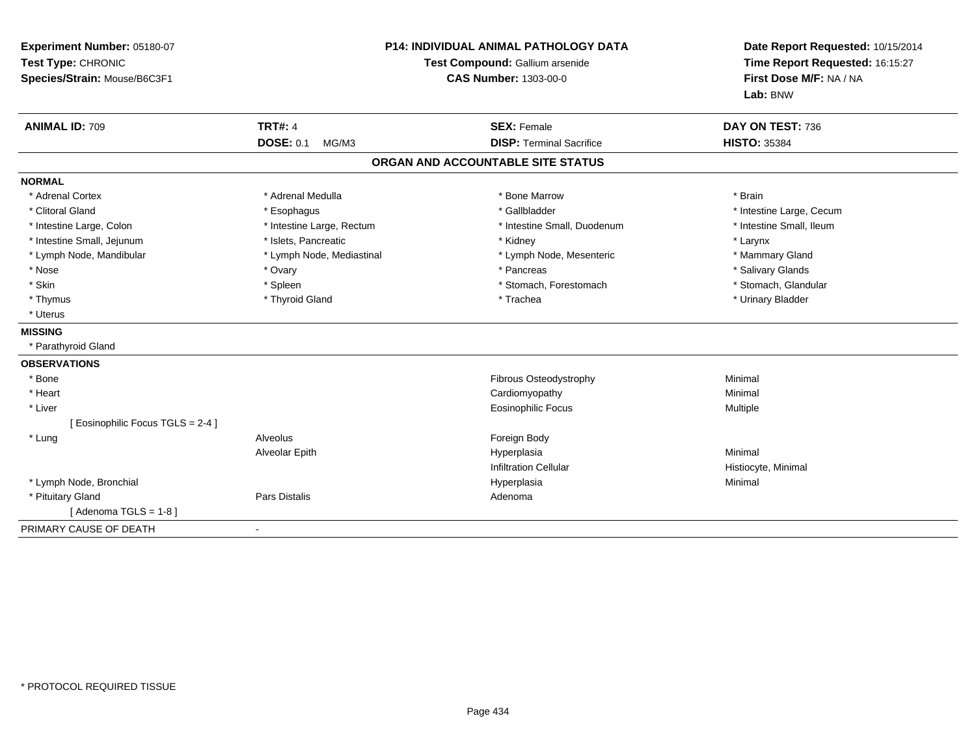| Experiment Number: 05180-07<br>Test Type: CHRONIC<br>Species/Strain: Mouse/B6C3F1 | <b>P14: INDIVIDUAL ANIMAL PATHOLOGY DATA</b><br>Test Compound: Gallium arsenide<br><b>CAS Number: 1303-00-0</b> |                                   | Date Report Requested: 10/15/2014<br>Time Report Requested: 16:15:27<br>First Dose M/F: NA / NA<br>Lab: BNW |
|-----------------------------------------------------------------------------------|-----------------------------------------------------------------------------------------------------------------|-----------------------------------|-------------------------------------------------------------------------------------------------------------|
| <b>ANIMAL ID: 709</b>                                                             | <b>TRT#: 4</b>                                                                                                  | <b>SEX: Female</b>                | DAY ON TEST: 736                                                                                            |
|                                                                                   | <b>DOSE: 0.1</b><br>MG/M3                                                                                       | <b>DISP: Terminal Sacrifice</b>   | <b>HISTO: 35384</b>                                                                                         |
|                                                                                   |                                                                                                                 | ORGAN AND ACCOUNTABLE SITE STATUS |                                                                                                             |
| <b>NORMAL</b>                                                                     |                                                                                                                 |                                   |                                                                                                             |
| * Adrenal Cortex                                                                  | * Adrenal Medulla                                                                                               | * Bone Marrow                     | * Brain                                                                                                     |
| * Clitoral Gland                                                                  | * Esophagus                                                                                                     | * Gallbladder                     | * Intestine Large, Cecum                                                                                    |
| * Intestine Large, Colon                                                          | * Intestine Large, Rectum                                                                                       | * Intestine Small, Duodenum       | * Intestine Small, Ileum                                                                                    |
| * Intestine Small, Jejunum                                                        | * Islets. Pancreatic                                                                                            | * Kidney                          | * Larynx                                                                                                    |
| * Lymph Node, Mandibular                                                          | * Lymph Node, Mediastinal                                                                                       | * Lymph Node, Mesenteric          | * Mammary Gland                                                                                             |
| * Nose                                                                            | * Ovary                                                                                                         | * Pancreas                        | * Salivary Glands                                                                                           |
| * Skin                                                                            | * Spleen                                                                                                        | * Stomach, Forestomach            | * Stomach, Glandular                                                                                        |
| * Thymus                                                                          | * Thyroid Gland                                                                                                 | * Trachea                         | * Urinary Bladder                                                                                           |
| * Uterus                                                                          |                                                                                                                 |                                   |                                                                                                             |
| <b>MISSING</b>                                                                    |                                                                                                                 |                                   |                                                                                                             |
| * Parathyroid Gland                                                               |                                                                                                                 |                                   |                                                                                                             |
| <b>OBSERVATIONS</b>                                                               |                                                                                                                 |                                   |                                                                                                             |
| * Bone                                                                            |                                                                                                                 | Fibrous Osteodystrophy            | Minimal                                                                                                     |
| * Heart                                                                           |                                                                                                                 | Cardiomyopathy                    | Minimal                                                                                                     |
| * Liver                                                                           |                                                                                                                 | <b>Eosinophilic Focus</b>         | Multiple                                                                                                    |
| [ Eosinophilic Focus TGLS = 2-4 ]                                                 |                                                                                                                 |                                   |                                                                                                             |
| * Lung                                                                            | Alveolus                                                                                                        | Foreign Body                      |                                                                                                             |
|                                                                                   | Alveolar Epith                                                                                                  | Hyperplasia                       | Minimal                                                                                                     |
|                                                                                   |                                                                                                                 | <b>Infiltration Cellular</b>      | Histiocyte, Minimal                                                                                         |
| * Lymph Node, Bronchial                                                           |                                                                                                                 | Hyperplasia                       | Minimal                                                                                                     |
| * Pituitary Gland                                                                 | <b>Pars Distalis</b>                                                                                            | Adenoma                           |                                                                                                             |
| [Adenoma TGLS = $1-8$ ]                                                           |                                                                                                                 |                                   |                                                                                                             |
| PRIMARY CAUSE OF DEATH                                                            |                                                                                                                 |                                   |                                                                                                             |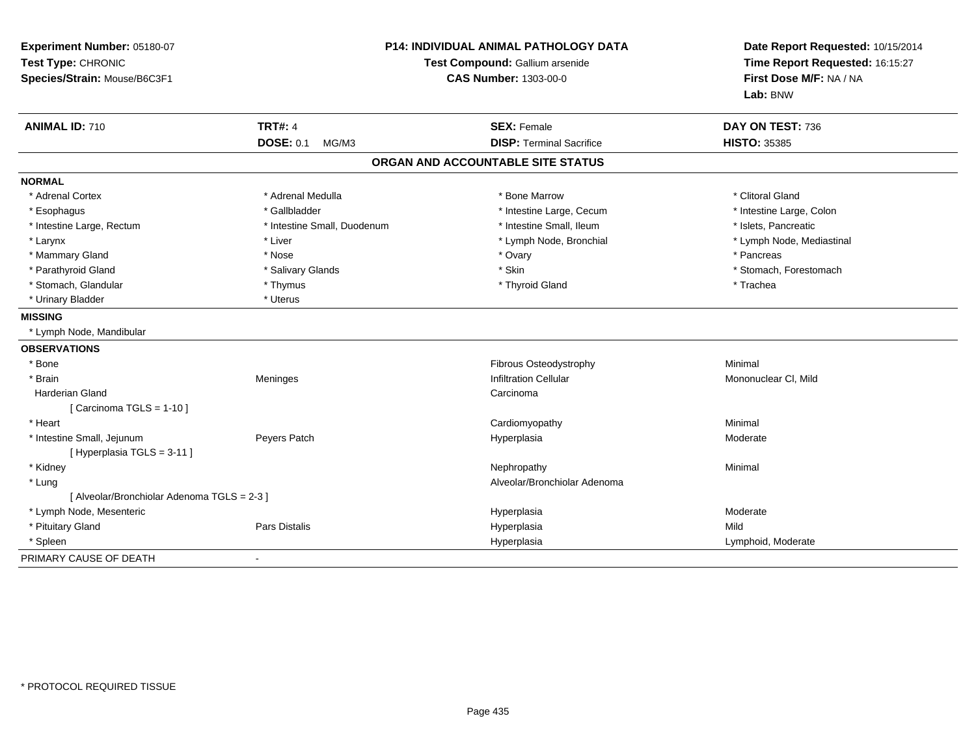| Experiment Number: 05180-07<br>Test Type: CHRONIC<br>Species/Strain: Mouse/B6C3F1 |                             | P14: INDIVIDUAL ANIMAL PATHOLOGY DATA<br>Test Compound: Gallium arsenide<br><b>CAS Number: 1303-00-0</b> | Date Report Requested: 10/15/2014<br>Time Report Requested: 16:15:27<br>First Dose M/F: NA / NA<br>Lab: BNW |  |
|-----------------------------------------------------------------------------------|-----------------------------|----------------------------------------------------------------------------------------------------------|-------------------------------------------------------------------------------------------------------------|--|
| <b>ANIMAL ID: 710</b>                                                             | <b>TRT#: 4</b>              | <b>SEX: Female</b>                                                                                       | DAY ON TEST: 736                                                                                            |  |
|                                                                                   | <b>DOSE: 0.1</b><br>MG/M3   | <b>DISP: Terminal Sacrifice</b>                                                                          | <b>HISTO: 35385</b>                                                                                         |  |
|                                                                                   |                             | ORGAN AND ACCOUNTABLE SITE STATUS                                                                        |                                                                                                             |  |
| <b>NORMAL</b>                                                                     |                             |                                                                                                          |                                                                                                             |  |
| * Adrenal Cortex                                                                  | * Adrenal Medulla           | * Bone Marrow                                                                                            | * Clitoral Gland                                                                                            |  |
| * Esophagus                                                                       | * Gallbladder               | * Intestine Large, Cecum                                                                                 | * Intestine Large, Colon                                                                                    |  |
| * Intestine Large, Rectum                                                         | * Intestine Small, Duodenum | * Intestine Small, Ileum                                                                                 | * Islets, Pancreatic                                                                                        |  |
| * Larynx                                                                          | * Liver                     | * Lymph Node, Bronchial                                                                                  | * Lymph Node, Mediastinal                                                                                   |  |
| * Mammary Gland                                                                   | * Nose                      | * Ovary                                                                                                  | * Pancreas                                                                                                  |  |
| * Parathyroid Gland                                                               | * Salivary Glands           | * Skin                                                                                                   | * Stomach, Forestomach                                                                                      |  |
| * Stomach, Glandular                                                              | * Thymus                    | * Thyroid Gland                                                                                          | * Trachea                                                                                                   |  |
| * Urinary Bladder                                                                 | * Uterus                    |                                                                                                          |                                                                                                             |  |
| <b>MISSING</b>                                                                    |                             |                                                                                                          |                                                                                                             |  |
| * Lymph Node, Mandibular                                                          |                             |                                                                                                          |                                                                                                             |  |
| <b>OBSERVATIONS</b>                                                               |                             |                                                                                                          |                                                                                                             |  |
| * Bone                                                                            |                             | Fibrous Osteodystrophy                                                                                   | Minimal                                                                                                     |  |
| * Brain                                                                           | Meninges                    | <b>Infiltration Cellular</b>                                                                             | Mononuclear CI, Mild                                                                                        |  |
| Harderian Gland                                                                   |                             | Carcinoma                                                                                                |                                                                                                             |  |
| [Carcinoma TGLS = $1-10$ ]                                                        |                             |                                                                                                          |                                                                                                             |  |
| * Heart                                                                           |                             | Cardiomyopathy                                                                                           | Minimal                                                                                                     |  |
| * Intestine Small, Jejunum                                                        | Peyers Patch                | Hyperplasia                                                                                              | Moderate                                                                                                    |  |
| [Hyperplasia TGLS = 3-11]                                                         |                             |                                                                                                          |                                                                                                             |  |
| * Kidney                                                                          |                             | Nephropathy                                                                                              | Minimal                                                                                                     |  |
| * Lung                                                                            |                             | Alveolar/Bronchiolar Adenoma                                                                             |                                                                                                             |  |
| [ Alveolar/Bronchiolar Adenoma TGLS = 2-3 ]                                       |                             |                                                                                                          |                                                                                                             |  |
| * Lymph Node, Mesenteric                                                          |                             | Hyperplasia                                                                                              | Moderate                                                                                                    |  |
| * Pituitary Gland                                                                 | Pars Distalis               | Hyperplasia                                                                                              | Mild                                                                                                        |  |
| * Spleen                                                                          |                             | Hyperplasia                                                                                              | Lymphoid, Moderate                                                                                          |  |
| PRIMARY CAUSE OF DEATH                                                            | $\blacksquare$              |                                                                                                          |                                                                                                             |  |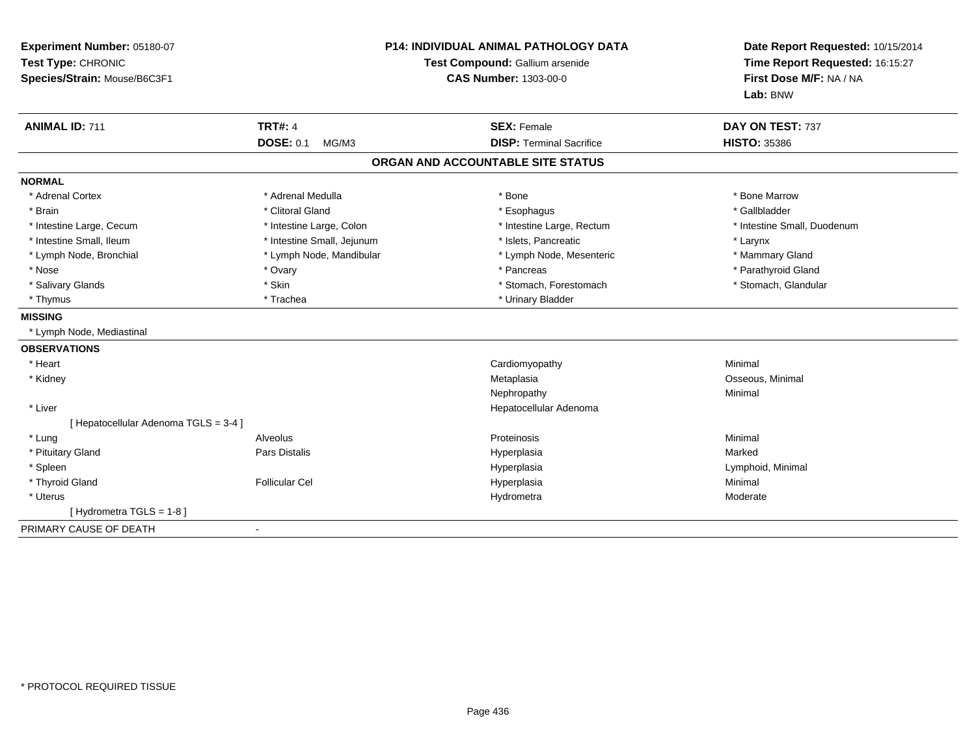| Experiment Number: 05180-07<br>Test Type: CHRONIC<br>Species/Strain: Mouse/B6C3F1 | <b>P14: INDIVIDUAL ANIMAL PATHOLOGY DATA</b><br>Test Compound: Gallium arsenide<br><b>CAS Number: 1303-00-0</b> |                                   | Date Report Requested: 10/15/2014<br>Time Report Requested: 16:15:27<br>First Dose M/F: NA / NA<br>Lab: BNW |
|-----------------------------------------------------------------------------------|-----------------------------------------------------------------------------------------------------------------|-----------------------------------|-------------------------------------------------------------------------------------------------------------|
| <b>ANIMAL ID: 711</b>                                                             | <b>TRT#: 4</b>                                                                                                  | <b>SEX: Female</b>                | DAY ON TEST: 737                                                                                            |
|                                                                                   | <b>DOSE: 0.1</b><br>MG/M3                                                                                       | <b>DISP: Terminal Sacrifice</b>   | <b>HISTO: 35386</b>                                                                                         |
|                                                                                   |                                                                                                                 | ORGAN AND ACCOUNTABLE SITE STATUS |                                                                                                             |
| <b>NORMAL</b>                                                                     |                                                                                                                 |                                   |                                                                                                             |
| * Adrenal Cortex                                                                  | * Adrenal Medulla                                                                                               | * Bone                            | * Bone Marrow                                                                                               |
| * Brain                                                                           | * Clitoral Gland                                                                                                | * Esophagus                       | * Gallbladder                                                                                               |
| * Intestine Large, Cecum                                                          | * Intestine Large, Colon                                                                                        | * Intestine Large, Rectum         | * Intestine Small, Duodenum                                                                                 |
| * Intestine Small, Ileum                                                          | * Intestine Small, Jejunum                                                                                      | * Islets, Pancreatic              | * Larynx                                                                                                    |
| * Lymph Node, Bronchial                                                           | * Lymph Node, Mandibular                                                                                        | * Lymph Node, Mesenteric          | * Mammary Gland                                                                                             |
| * Nose                                                                            | * Ovary                                                                                                         | * Pancreas                        | * Parathyroid Gland                                                                                         |
| * Salivary Glands                                                                 | * Skin                                                                                                          | * Stomach, Forestomach            | * Stomach, Glandular                                                                                        |
| * Thymus                                                                          | * Trachea                                                                                                       | * Urinary Bladder                 |                                                                                                             |
| <b>MISSING</b>                                                                    |                                                                                                                 |                                   |                                                                                                             |
| * Lymph Node, Mediastinal                                                         |                                                                                                                 |                                   |                                                                                                             |
| <b>OBSERVATIONS</b>                                                               |                                                                                                                 |                                   |                                                                                                             |
| * Heart                                                                           |                                                                                                                 | Cardiomyopathy                    | Minimal                                                                                                     |
| * Kidney                                                                          |                                                                                                                 | Metaplasia                        | Osseous, Minimal                                                                                            |
|                                                                                   |                                                                                                                 | Nephropathy                       | Minimal                                                                                                     |
| * Liver                                                                           |                                                                                                                 | Hepatocellular Adenoma            |                                                                                                             |
| [ Hepatocellular Adenoma TGLS = 3-4 ]                                             |                                                                                                                 |                                   |                                                                                                             |
| * Lung                                                                            | Alveolus                                                                                                        | Proteinosis                       | Minimal                                                                                                     |
| * Pituitary Gland                                                                 | Pars Distalis                                                                                                   | Hyperplasia                       | Marked                                                                                                      |
| * Spleen                                                                          |                                                                                                                 | Hyperplasia                       | Lymphoid, Minimal                                                                                           |
| * Thyroid Gland                                                                   | <b>Follicular Cel</b>                                                                                           | Hyperplasia                       | Minimal                                                                                                     |
| * Uterus                                                                          |                                                                                                                 | Hydrometra                        | Moderate                                                                                                    |
| [Hydrometra TGLS = 1-8]                                                           |                                                                                                                 |                                   |                                                                                                             |
| PRIMARY CAUSE OF DEATH                                                            | $\blacksquare$                                                                                                  |                                   |                                                                                                             |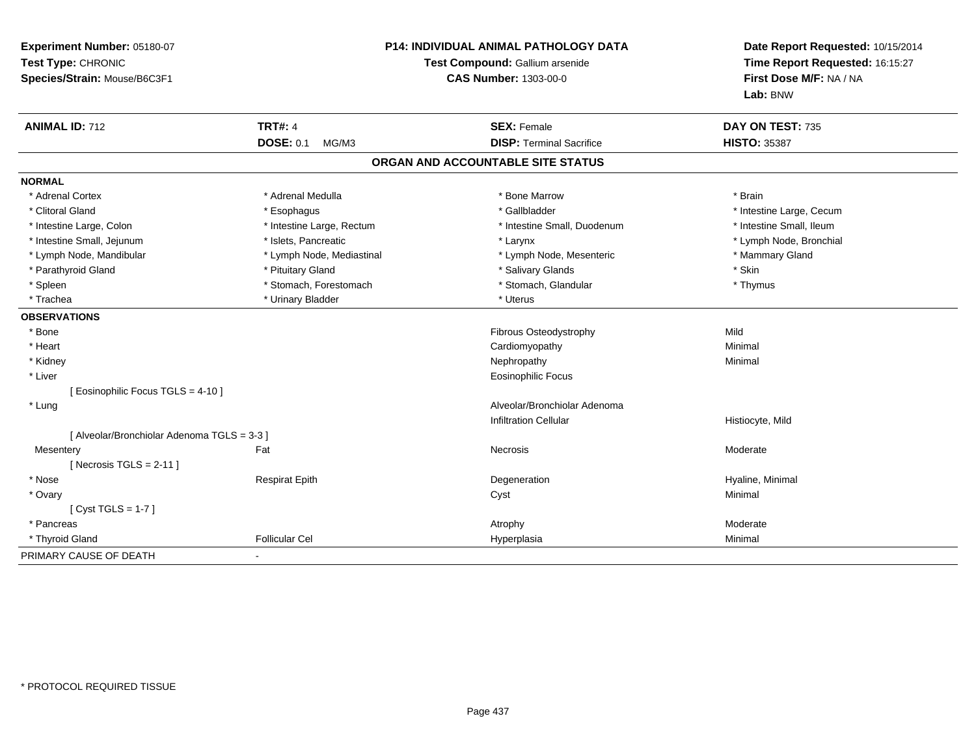| Experiment Number: 05180-07<br>Test Type: CHRONIC<br>Species/Strain: Mouse/B6C3F1 |                           | <b>P14: INDIVIDUAL ANIMAL PATHOLOGY DATA</b><br>Test Compound: Gallium arsenide<br><b>CAS Number: 1303-00-0</b> | Date Report Requested: 10/15/2014<br>Time Report Requested: 16:15:27<br>First Dose M/F: NA / NA<br>Lab: BNW |
|-----------------------------------------------------------------------------------|---------------------------|-----------------------------------------------------------------------------------------------------------------|-------------------------------------------------------------------------------------------------------------|
| <b>ANIMAL ID: 712</b>                                                             | <b>TRT#: 4</b>            | <b>SEX: Female</b>                                                                                              | DAY ON TEST: 735                                                                                            |
|                                                                                   | <b>DOSE: 0.1</b><br>MG/M3 | <b>DISP: Terminal Sacrifice</b>                                                                                 | <b>HISTO: 35387</b>                                                                                         |
|                                                                                   |                           | ORGAN AND ACCOUNTABLE SITE STATUS                                                                               |                                                                                                             |
| <b>NORMAL</b>                                                                     |                           |                                                                                                                 |                                                                                                             |
| * Adrenal Cortex                                                                  | * Adrenal Medulla         | * Bone Marrow                                                                                                   | * Brain                                                                                                     |
| * Clitoral Gland                                                                  | * Esophagus               | * Gallbladder                                                                                                   | * Intestine Large, Cecum                                                                                    |
| * Intestine Large, Colon                                                          | * Intestine Large, Rectum | * Intestine Small, Duodenum                                                                                     | * Intestine Small, Ileum                                                                                    |
| * Intestine Small, Jejunum                                                        | * Islets, Pancreatic      | * Larynx                                                                                                        | * Lymph Node, Bronchial                                                                                     |
| * Lymph Node, Mandibular                                                          | * Lymph Node, Mediastinal | * Lymph Node, Mesenteric                                                                                        | * Mammary Gland                                                                                             |
| * Parathyroid Gland                                                               | * Pituitary Gland         | * Salivary Glands                                                                                               | * Skin                                                                                                      |
| * Spleen                                                                          | * Stomach, Forestomach    | * Stomach, Glandular                                                                                            | * Thymus                                                                                                    |
| * Trachea                                                                         | * Urinary Bladder         | * Uterus                                                                                                        |                                                                                                             |
| <b>OBSERVATIONS</b>                                                               |                           |                                                                                                                 |                                                                                                             |
| * Bone                                                                            |                           | Fibrous Osteodystrophy                                                                                          | Mild                                                                                                        |
| * Heart                                                                           |                           | Cardiomyopathy                                                                                                  | Minimal                                                                                                     |
| * Kidney                                                                          |                           | Nephropathy                                                                                                     | Minimal                                                                                                     |
| * Liver                                                                           |                           | <b>Eosinophilic Focus</b>                                                                                       |                                                                                                             |
| [ Eosinophilic Focus TGLS = 4-10 ]                                                |                           |                                                                                                                 |                                                                                                             |
| * Lung                                                                            |                           | Alveolar/Bronchiolar Adenoma                                                                                    |                                                                                                             |
|                                                                                   |                           | <b>Infiltration Cellular</b>                                                                                    | Histiocyte, Mild                                                                                            |
| [ Alveolar/Bronchiolar Adenoma TGLS = 3-3 ]                                       |                           |                                                                                                                 |                                                                                                             |
| Mesentery                                                                         | Fat                       | <b>Necrosis</b>                                                                                                 | Moderate                                                                                                    |
| [Necrosis TGLS = $2-11$ ]                                                         |                           |                                                                                                                 |                                                                                                             |
| * Nose                                                                            | <b>Respirat Epith</b>     | Degeneration                                                                                                    | Hyaline, Minimal                                                                                            |
| * Ovary                                                                           |                           | Cyst                                                                                                            | Minimal                                                                                                     |
| [Cyst TGLS = $1-7$ ]                                                              |                           |                                                                                                                 |                                                                                                             |
| * Pancreas                                                                        |                           | Atrophy                                                                                                         | Moderate                                                                                                    |
| * Thyroid Gland                                                                   | <b>Follicular Cel</b>     | Hyperplasia                                                                                                     | Minimal                                                                                                     |
| PRIMARY CAUSE OF DEATH                                                            |                           |                                                                                                                 |                                                                                                             |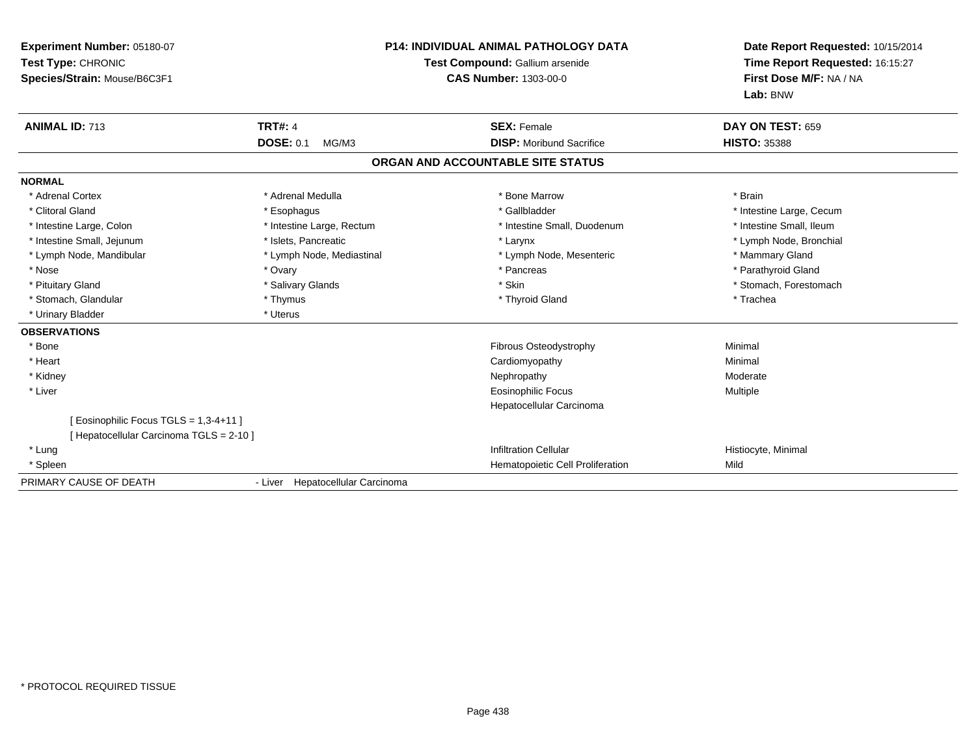| Experiment Number: 05180-07<br>Test Type: CHRONIC<br>Species/Strain: Mouse/B6C3F1 | <b>P14: INDIVIDUAL ANIMAL PATHOLOGY DATA</b><br>Test Compound: Gallium arsenide<br><b>CAS Number: 1303-00-0</b> |                                   | Date Report Requested: 10/15/2014<br>Time Report Requested: 16:15:27<br>First Dose M/F: NA / NA<br>Lab: BNW |  |
|-----------------------------------------------------------------------------------|-----------------------------------------------------------------------------------------------------------------|-----------------------------------|-------------------------------------------------------------------------------------------------------------|--|
| <b>ANIMAL ID: 713</b>                                                             | <b>TRT#: 4</b>                                                                                                  | <b>SEX: Female</b>                | DAY ON TEST: 659                                                                                            |  |
|                                                                                   | <b>DOSE: 0.1</b><br>MG/M3                                                                                       | <b>DISP:</b> Moribund Sacrifice   | <b>HISTO: 35388</b>                                                                                         |  |
|                                                                                   |                                                                                                                 | ORGAN AND ACCOUNTABLE SITE STATUS |                                                                                                             |  |
| <b>NORMAL</b>                                                                     |                                                                                                                 |                                   |                                                                                                             |  |
| * Adrenal Cortex                                                                  | * Adrenal Medulla                                                                                               | * Bone Marrow                     | * Brain                                                                                                     |  |
| * Clitoral Gland                                                                  | * Esophagus                                                                                                     | * Gallbladder                     | * Intestine Large, Cecum                                                                                    |  |
| * Intestine Large, Colon                                                          | * Intestine Large, Rectum                                                                                       | * Intestine Small, Duodenum       | * Intestine Small, Ileum                                                                                    |  |
| * Intestine Small, Jejunum                                                        | * Islets, Pancreatic                                                                                            | * Larynx                          | * Lymph Node, Bronchial                                                                                     |  |
| * Lymph Node, Mandibular                                                          | * Lymph Node, Mediastinal                                                                                       | * Lymph Node, Mesenteric          | * Mammary Gland                                                                                             |  |
| * Nose                                                                            | * Ovary                                                                                                         | * Pancreas                        | * Parathyroid Gland                                                                                         |  |
| * Pituitary Gland                                                                 | * Salivary Glands                                                                                               | * Skin                            | * Stomach, Forestomach                                                                                      |  |
| * Stomach, Glandular                                                              | * Thymus                                                                                                        | * Thyroid Gland                   | * Trachea                                                                                                   |  |
| * Urinary Bladder                                                                 | * Uterus                                                                                                        |                                   |                                                                                                             |  |
| <b>OBSERVATIONS</b>                                                               |                                                                                                                 |                                   |                                                                                                             |  |
| * Bone                                                                            |                                                                                                                 | Fibrous Osteodystrophy            | Minimal                                                                                                     |  |
| * Heart                                                                           |                                                                                                                 | Cardiomyopathy                    | Minimal                                                                                                     |  |
| * Kidney                                                                          |                                                                                                                 | Nephropathy                       | Moderate                                                                                                    |  |
| * Liver                                                                           |                                                                                                                 | <b>Eosinophilic Focus</b>         | <b>Multiple</b>                                                                                             |  |
|                                                                                   |                                                                                                                 | Hepatocellular Carcinoma          |                                                                                                             |  |
| [ Eosinophilic Focus TGLS = 1,3-4+11 ]                                            |                                                                                                                 |                                   |                                                                                                             |  |
| [ Hepatocellular Carcinoma TGLS = 2-10 ]                                          |                                                                                                                 |                                   |                                                                                                             |  |
| * Lung                                                                            |                                                                                                                 | <b>Infiltration Cellular</b>      | Histiocyte, Minimal                                                                                         |  |
| * Spleen                                                                          |                                                                                                                 | Hematopoietic Cell Proliferation  | Mild                                                                                                        |  |
| PRIMARY CAUSE OF DEATH                                                            | - Liver Hepatocellular Carcinoma                                                                                |                                   |                                                                                                             |  |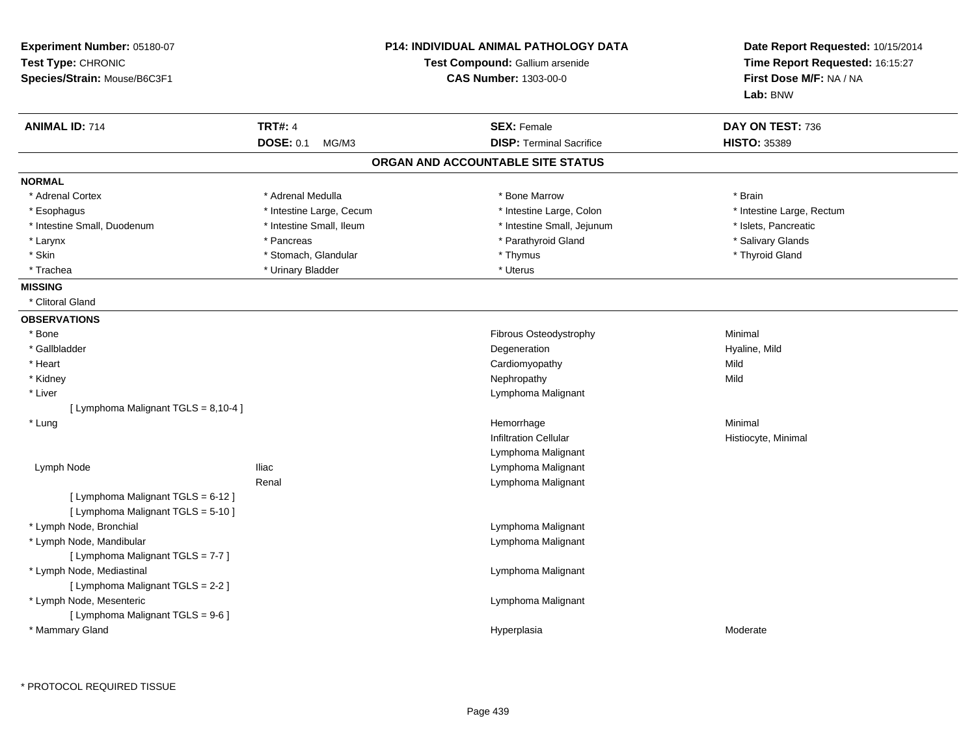| Experiment Number: 05180-07<br>Test Type: CHRONIC<br>Species/Strain: Mouse/B6C3F1 | <b>P14: INDIVIDUAL ANIMAL PATHOLOGY DATA</b><br>Test Compound: Gallium arsenide<br><b>CAS Number: 1303-00-0</b> |                                                                      | Date Report Requested: 10/15/2014<br>Time Report Requested: 16:15:27<br>First Dose M/F: NA / NA<br>Lab: BNW |
|-----------------------------------------------------------------------------------|-----------------------------------------------------------------------------------------------------------------|----------------------------------------------------------------------|-------------------------------------------------------------------------------------------------------------|
| <b>ANIMAL ID: 714</b>                                                             | <b>TRT#: 4</b>                                                                                                  | <b>SEX: Female</b>                                                   | DAY ON TEST: 736                                                                                            |
|                                                                                   | <b>DOSE: 0.1</b><br>MG/M3                                                                                       | <b>DISP: Terminal Sacrifice</b><br>ORGAN AND ACCOUNTABLE SITE STATUS | <b>HISTO: 35389</b>                                                                                         |
| <b>NORMAL</b>                                                                     |                                                                                                                 |                                                                      |                                                                                                             |
| * Adrenal Cortex                                                                  | * Adrenal Medulla                                                                                               | * Bone Marrow                                                        | * Brain                                                                                                     |
| * Esophagus                                                                       | * Intestine Large, Cecum                                                                                        | * Intestine Large, Colon                                             | * Intestine Large, Rectum                                                                                   |
| * Intestine Small, Duodenum                                                       | * Intestine Small, Ileum                                                                                        | * Intestine Small, Jejunum                                           | * Islets, Pancreatic                                                                                        |
| * Larynx                                                                          | * Pancreas                                                                                                      | * Parathyroid Gland                                                  | * Salivary Glands                                                                                           |
| * Skin                                                                            | * Stomach, Glandular                                                                                            | * Thymus                                                             | * Thyroid Gland                                                                                             |
| * Trachea                                                                         | * Urinary Bladder                                                                                               | * Uterus                                                             |                                                                                                             |
| <b>MISSING</b>                                                                    |                                                                                                                 |                                                                      |                                                                                                             |
| * Clitoral Gland                                                                  |                                                                                                                 |                                                                      |                                                                                                             |
| <b>OBSERVATIONS</b>                                                               |                                                                                                                 |                                                                      |                                                                                                             |
| * Bone                                                                            |                                                                                                                 | Fibrous Osteodystrophy                                               | Minimal                                                                                                     |
| * Gallbladder                                                                     |                                                                                                                 | Degeneration                                                         | Hyaline, Mild                                                                                               |
| * Heart                                                                           |                                                                                                                 | Cardiomyopathy                                                       | Mild                                                                                                        |
| * Kidney                                                                          |                                                                                                                 | Nephropathy                                                          | Mild                                                                                                        |
| * Liver                                                                           |                                                                                                                 | Lymphoma Malignant                                                   |                                                                                                             |
| [ Lymphoma Malignant TGLS = 8,10-4 ]                                              |                                                                                                                 |                                                                      |                                                                                                             |
| * Lung                                                                            |                                                                                                                 | Hemorrhage                                                           | Minimal                                                                                                     |
|                                                                                   |                                                                                                                 | <b>Infiltration Cellular</b>                                         | Histiocyte, Minimal                                                                                         |
|                                                                                   |                                                                                                                 | Lymphoma Malignant                                                   |                                                                                                             |
| Lymph Node                                                                        | <b>Iliac</b>                                                                                                    | Lymphoma Malignant                                                   |                                                                                                             |
|                                                                                   | Renal                                                                                                           | Lymphoma Malignant                                                   |                                                                                                             |
| [ Lymphoma Malignant TGLS = 6-12 ]                                                |                                                                                                                 |                                                                      |                                                                                                             |
| [ Lymphoma Malignant TGLS = 5-10 ]                                                |                                                                                                                 |                                                                      |                                                                                                             |
| * Lymph Node, Bronchial                                                           |                                                                                                                 | Lymphoma Malignant                                                   |                                                                                                             |
| * Lymph Node, Mandibular                                                          |                                                                                                                 | Lymphoma Malignant                                                   |                                                                                                             |
| [ Lymphoma Malignant TGLS = 7-7 ]                                                 |                                                                                                                 |                                                                      |                                                                                                             |
| * Lymph Node, Mediastinal                                                         |                                                                                                                 | Lymphoma Malignant                                                   |                                                                                                             |
| [ Lymphoma Malignant TGLS = 2-2 ]                                                 |                                                                                                                 |                                                                      |                                                                                                             |
| * Lymph Node, Mesenteric                                                          |                                                                                                                 | Lymphoma Malignant                                                   |                                                                                                             |
| [ Lymphoma Malignant TGLS = 9-6 ]                                                 |                                                                                                                 |                                                                      |                                                                                                             |
| * Mammary Gland                                                                   |                                                                                                                 | Hyperplasia                                                          | Moderate                                                                                                    |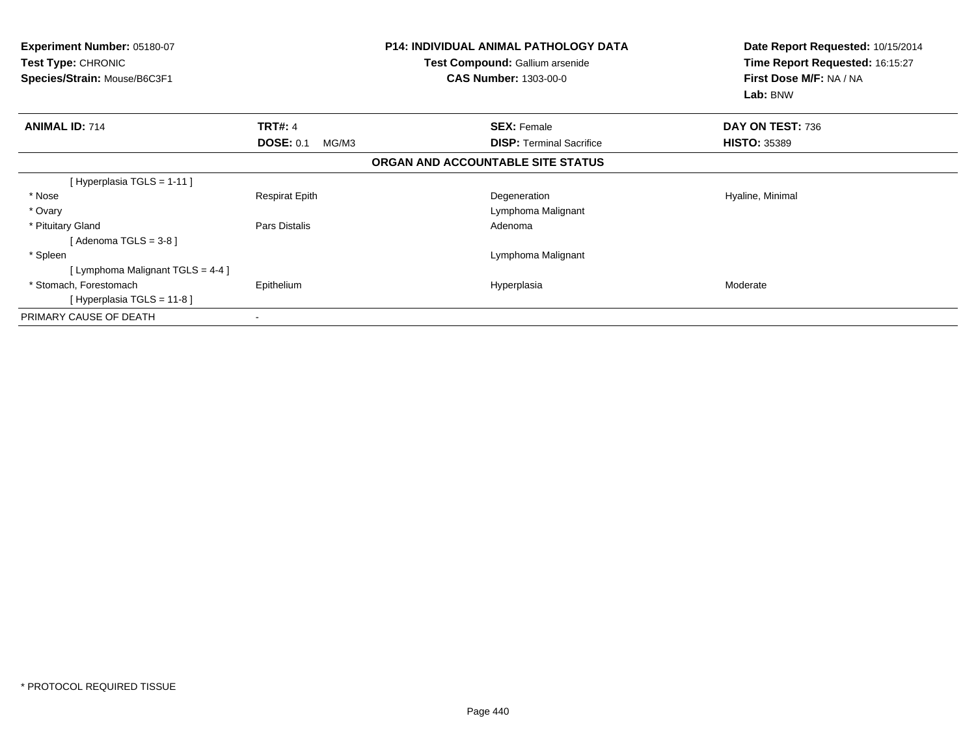| <b>Experiment Number: 05180-07</b><br><b>Test Type: CHRONIC</b><br>Species/Strain: Mouse/B6C3F1 |                           | <b>P14: INDIVIDUAL ANIMAL PATHOLOGY DATA</b><br><b>Test Compound: Gallium arsenide</b><br><b>CAS Number: 1303-00-0</b> | Date Report Requested: 10/15/2014<br>Time Report Requested: 16:15:27<br>First Dose M/F: NA / NA<br>Lab: BNW |
|-------------------------------------------------------------------------------------------------|---------------------------|------------------------------------------------------------------------------------------------------------------------|-------------------------------------------------------------------------------------------------------------|
| <b>ANIMAL ID: 714</b>                                                                           | <b>TRT#: 4</b>            | <b>SEX: Female</b>                                                                                                     | DAY ON TEST: 736                                                                                            |
|                                                                                                 | <b>DOSE: 0.1</b><br>MG/M3 | <b>DISP:</b> Terminal Sacrifice                                                                                        | <b>HISTO: 35389</b>                                                                                         |
|                                                                                                 |                           | ORGAN AND ACCOUNTABLE SITE STATUS                                                                                      |                                                                                                             |
| [Hyperplasia TGLS = 1-11]                                                                       |                           |                                                                                                                        |                                                                                                             |
| * Nose                                                                                          | <b>Respirat Epith</b>     | Degeneration                                                                                                           | Hyaline, Minimal                                                                                            |
| * Ovary                                                                                         |                           | Lymphoma Malignant                                                                                                     |                                                                                                             |
| * Pituitary Gland                                                                               | Pars Distalis             | Adenoma                                                                                                                |                                                                                                             |
| [Adenoma TGLS = $3-8$ ]                                                                         |                           |                                                                                                                        |                                                                                                             |
| * Spleen                                                                                        |                           | Lymphoma Malignant                                                                                                     |                                                                                                             |
| [ Lymphoma Malignant TGLS = 4-4 ]                                                               |                           |                                                                                                                        |                                                                                                             |
| * Stomach, Forestomach                                                                          | Epithelium                | Hyperplasia                                                                                                            | Moderate                                                                                                    |
| [Hyperplasia TGLS = $11-8$ ]                                                                    |                           |                                                                                                                        |                                                                                                             |
| PRIMARY CAUSE OF DEATH                                                                          |                           |                                                                                                                        |                                                                                                             |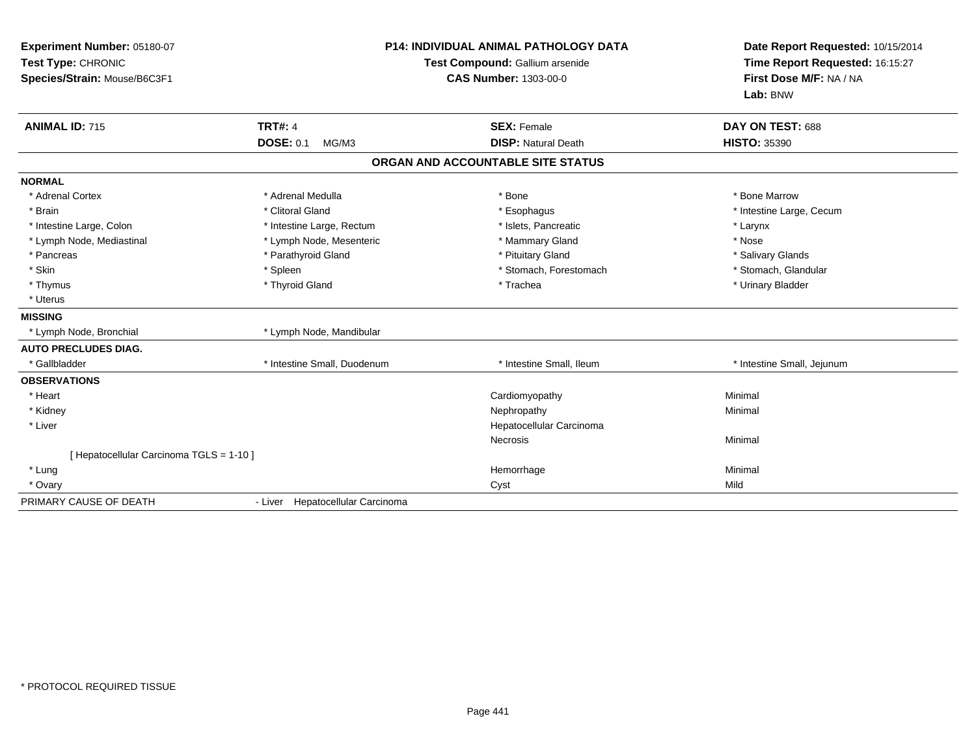| Experiment Number: 05180-07<br>Test Type: CHRONIC<br>Species/Strain: Mouse/B6C3F1<br><b>ANIMAL ID: 715</b> | <b>P14: INDIVIDUAL ANIMAL PATHOLOGY DATA</b><br>Test Compound: Gallium arsenide<br><b>CAS Number: 1303-00-0</b><br><b>TRT#: 4</b><br><b>SEX: Female</b> |                                   | Date Report Requested: 10/15/2014<br>Time Report Requested: 16:15:27<br>First Dose M/F: NA / NA<br>Lab: BNW<br>DAY ON TEST: 688 |  |
|------------------------------------------------------------------------------------------------------------|---------------------------------------------------------------------------------------------------------------------------------------------------------|-----------------------------------|---------------------------------------------------------------------------------------------------------------------------------|--|
|                                                                                                            | <b>DOSE: 0.1</b><br>MG/M3                                                                                                                               | <b>DISP: Natural Death</b>        | <b>HISTO: 35390</b>                                                                                                             |  |
|                                                                                                            |                                                                                                                                                         | ORGAN AND ACCOUNTABLE SITE STATUS |                                                                                                                                 |  |
| <b>NORMAL</b>                                                                                              |                                                                                                                                                         |                                   |                                                                                                                                 |  |
| * Adrenal Cortex                                                                                           | * Adrenal Medulla                                                                                                                                       | * Bone                            | * Bone Marrow                                                                                                                   |  |
| * Brain                                                                                                    | * Clitoral Gland                                                                                                                                        | * Esophagus                       | * Intestine Large, Cecum                                                                                                        |  |
| * Intestine Large, Colon                                                                                   | * Intestine Large, Rectum                                                                                                                               | * Islets, Pancreatic              | * Larynx                                                                                                                        |  |
| * Lymph Node, Mediastinal                                                                                  | * Lymph Node, Mesenteric                                                                                                                                | * Mammary Gland                   | * Nose                                                                                                                          |  |
| * Pancreas                                                                                                 | * Parathyroid Gland                                                                                                                                     | * Pituitary Gland                 | * Salivary Glands                                                                                                               |  |
| * Skin                                                                                                     | * Spleen                                                                                                                                                | * Stomach, Forestomach            | * Stomach, Glandular                                                                                                            |  |
| * Thymus                                                                                                   | * Thyroid Gland                                                                                                                                         | * Trachea                         | * Urinary Bladder                                                                                                               |  |
| * Uterus                                                                                                   |                                                                                                                                                         |                                   |                                                                                                                                 |  |
| <b>MISSING</b>                                                                                             |                                                                                                                                                         |                                   |                                                                                                                                 |  |
| * Lymph Node, Bronchial                                                                                    | * Lymph Node, Mandibular                                                                                                                                |                                   |                                                                                                                                 |  |
| <b>AUTO PRECLUDES DIAG.</b>                                                                                |                                                                                                                                                         |                                   |                                                                                                                                 |  |
| * Gallbladder                                                                                              | * Intestine Small. Duodenum                                                                                                                             | * Intestine Small, Ileum          | * Intestine Small, Jejunum                                                                                                      |  |
| <b>OBSERVATIONS</b>                                                                                        |                                                                                                                                                         |                                   |                                                                                                                                 |  |
| * Heart                                                                                                    |                                                                                                                                                         | Cardiomyopathy                    | Minimal                                                                                                                         |  |
| * Kidney                                                                                                   |                                                                                                                                                         | Nephropathy                       | Minimal                                                                                                                         |  |
| * Liver                                                                                                    |                                                                                                                                                         | Hepatocellular Carcinoma          |                                                                                                                                 |  |
|                                                                                                            |                                                                                                                                                         | Necrosis                          | Minimal                                                                                                                         |  |
| [ Hepatocellular Carcinoma TGLS = 1-10 ]                                                                   |                                                                                                                                                         |                                   |                                                                                                                                 |  |
| * Lung                                                                                                     |                                                                                                                                                         | Hemorrhage                        | Minimal                                                                                                                         |  |
| * Ovary                                                                                                    |                                                                                                                                                         | Cyst                              | Mild                                                                                                                            |  |
| PRIMARY CAUSE OF DEATH                                                                                     | - Liver Hepatocellular Carcinoma                                                                                                                        |                                   |                                                                                                                                 |  |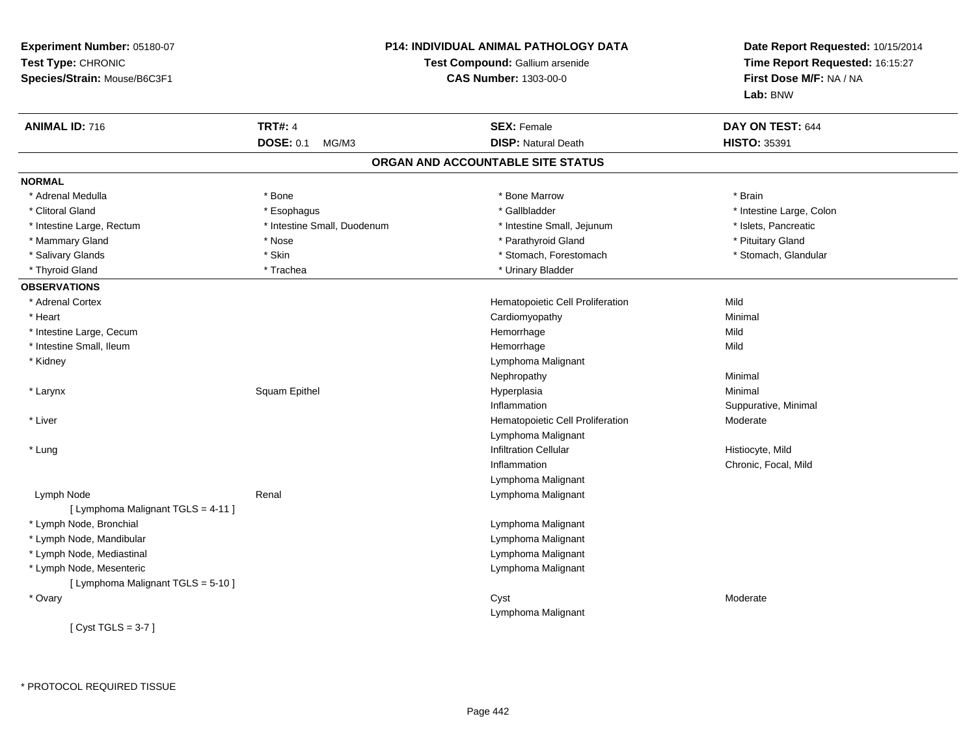| Experiment Number: 05180-07<br>Test Type: CHRONIC<br>Species/Strain: Mouse/B6C3F1 | <b>P14: INDIVIDUAL ANIMAL PATHOLOGY DATA</b><br>Test Compound: Gallium arsenide<br><b>CAS Number: 1303-00-0</b> |                                   | Date Report Requested: 10/15/2014<br>Time Report Requested: 16:15:27<br>First Dose M/F: NA / NA<br>Lab: BNW |
|-----------------------------------------------------------------------------------|-----------------------------------------------------------------------------------------------------------------|-----------------------------------|-------------------------------------------------------------------------------------------------------------|
| <b>ANIMAL ID: 716</b>                                                             | <b>TRT#: 4</b>                                                                                                  | <b>SEX: Female</b>                | DAY ON TEST: 644                                                                                            |
|                                                                                   | <b>DOSE: 0.1</b><br>MG/M3                                                                                       | <b>DISP: Natural Death</b>        | <b>HISTO: 35391</b>                                                                                         |
|                                                                                   |                                                                                                                 | ORGAN AND ACCOUNTABLE SITE STATUS |                                                                                                             |
| <b>NORMAL</b>                                                                     |                                                                                                                 |                                   |                                                                                                             |
| * Adrenal Medulla                                                                 | * Bone                                                                                                          | * Bone Marrow                     | * Brain                                                                                                     |
| * Clitoral Gland                                                                  | * Esophagus                                                                                                     | * Gallbladder                     | * Intestine Large, Colon                                                                                    |
| * Intestine Large, Rectum                                                         | * Intestine Small, Duodenum                                                                                     | * Intestine Small, Jejunum        | * Islets, Pancreatic                                                                                        |
| * Mammary Gland                                                                   | * Nose                                                                                                          | * Parathyroid Gland               | * Pituitary Gland                                                                                           |
| * Salivary Glands                                                                 | * Skin                                                                                                          | * Stomach, Forestomach            | * Stomach, Glandular                                                                                        |
| * Thyroid Gland                                                                   | * Trachea                                                                                                       | * Urinary Bladder                 |                                                                                                             |
| <b>OBSERVATIONS</b>                                                               |                                                                                                                 |                                   |                                                                                                             |
| * Adrenal Cortex                                                                  |                                                                                                                 | Hematopoietic Cell Proliferation  | Mild                                                                                                        |
| * Heart                                                                           |                                                                                                                 | Cardiomyopathy                    | Minimal                                                                                                     |
| * Intestine Large, Cecum                                                          |                                                                                                                 | Hemorrhage                        | Mild                                                                                                        |
| * Intestine Small, Ileum                                                          |                                                                                                                 | Hemorrhage                        | Mild                                                                                                        |
| * Kidney                                                                          |                                                                                                                 | Lymphoma Malignant                |                                                                                                             |
|                                                                                   |                                                                                                                 | Nephropathy                       | Minimal                                                                                                     |
| * Larynx                                                                          | Squam Epithel                                                                                                   | Hyperplasia                       | Minimal                                                                                                     |
|                                                                                   |                                                                                                                 | Inflammation                      | Suppurative, Minimal                                                                                        |
| * Liver                                                                           |                                                                                                                 | Hematopoietic Cell Proliferation  | Moderate                                                                                                    |
|                                                                                   |                                                                                                                 | Lymphoma Malignant                |                                                                                                             |
| * Lung                                                                            |                                                                                                                 | <b>Infiltration Cellular</b>      | Histiocyte, Mild                                                                                            |
|                                                                                   |                                                                                                                 | Inflammation                      | Chronic, Focal, Mild                                                                                        |
|                                                                                   |                                                                                                                 | Lymphoma Malignant                |                                                                                                             |
| Lymph Node                                                                        | Renal                                                                                                           | Lymphoma Malignant                |                                                                                                             |
| [ Lymphoma Malignant TGLS = 4-11 ]                                                |                                                                                                                 |                                   |                                                                                                             |
| * Lymph Node, Bronchial                                                           |                                                                                                                 | Lymphoma Malignant                |                                                                                                             |
| * Lymph Node, Mandibular                                                          |                                                                                                                 | Lymphoma Malignant                |                                                                                                             |
| * Lymph Node, Mediastinal                                                         |                                                                                                                 | Lymphoma Malignant                |                                                                                                             |
| * Lymph Node, Mesenteric                                                          |                                                                                                                 | Lymphoma Malignant                |                                                                                                             |
| [ Lymphoma Malignant TGLS = 5-10 ]                                                |                                                                                                                 |                                   |                                                                                                             |
| * Ovary                                                                           |                                                                                                                 | Cyst                              | Moderate                                                                                                    |
|                                                                                   |                                                                                                                 | Lymphoma Malignant                |                                                                                                             |
| [Cyst TGLS = $3-7$ ]                                                              |                                                                                                                 |                                   |                                                                                                             |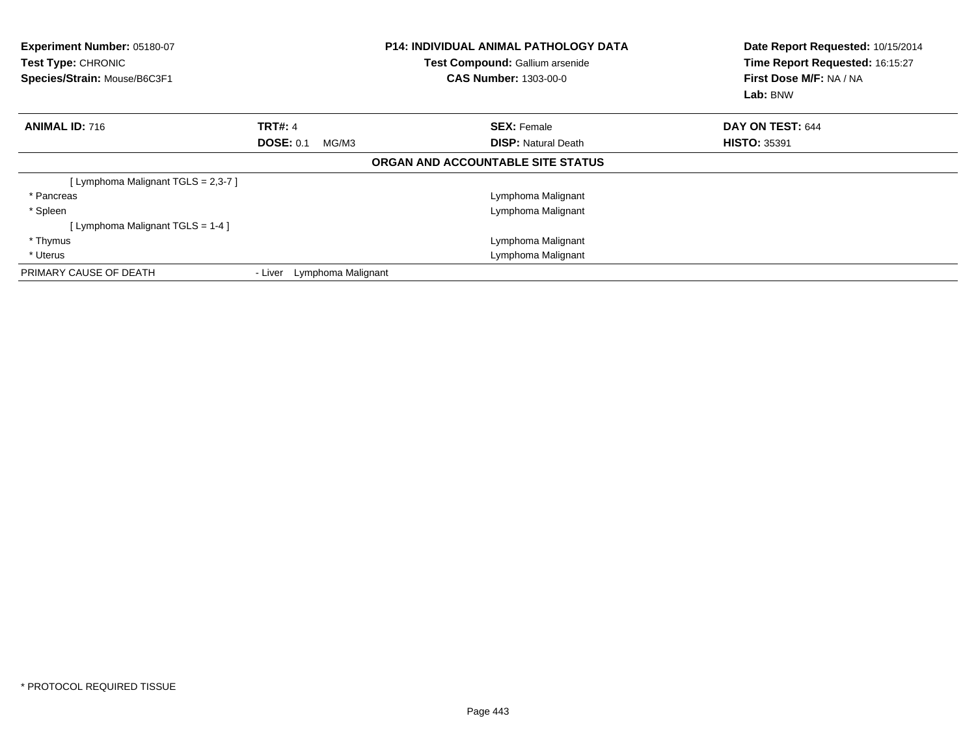| <b>Experiment Number: 05180-07</b><br><b>Test Type: CHRONIC</b><br>Species/Strain: Mouse/B6C3F1 |                               | <b>P14: INDIVIDUAL ANIMAL PATHOLOGY DATA</b><br>Test Compound: Gallium arsenide<br><b>CAS Number: 1303-00-0</b> | Date Report Requested: 10/15/2014<br>Time Report Requested: 16:15:27<br>First Dose M/F: NA / NA<br>Lab: BNW |
|-------------------------------------------------------------------------------------------------|-------------------------------|-----------------------------------------------------------------------------------------------------------------|-------------------------------------------------------------------------------------------------------------|
| <b>ANIMAL ID: 716</b>                                                                           | <b>TRT#: 4</b>                | <b>SEX: Female</b>                                                                                              | DAY ON TEST: 644                                                                                            |
|                                                                                                 | <b>DOSE: 0.1</b><br>MG/M3     | <b>DISP:</b> Natural Death                                                                                      | <b>HISTO: 35391</b>                                                                                         |
|                                                                                                 |                               | ORGAN AND ACCOUNTABLE SITE STATUS                                                                               |                                                                                                             |
| [ Lymphoma Malignant TGLS = 2,3-7 ]                                                             |                               |                                                                                                                 |                                                                                                             |
| * Pancreas                                                                                      |                               | Lymphoma Malignant                                                                                              |                                                                                                             |
| * Spleen                                                                                        |                               | Lymphoma Malignant                                                                                              |                                                                                                             |
| [ Lymphoma Malignant $TGLS = 1-4$ ]                                                             |                               |                                                                                                                 |                                                                                                             |
| * Thymus                                                                                        |                               | Lymphoma Malignant                                                                                              |                                                                                                             |
| * Uterus                                                                                        |                               | Lymphoma Malignant                                                                                              |                                                                                                             |
| PRIMARY CAUSE OF DEATH                                                                          | Lymphoma Malignant<br>- Liver |                                                                                                                 |                                                                                                             |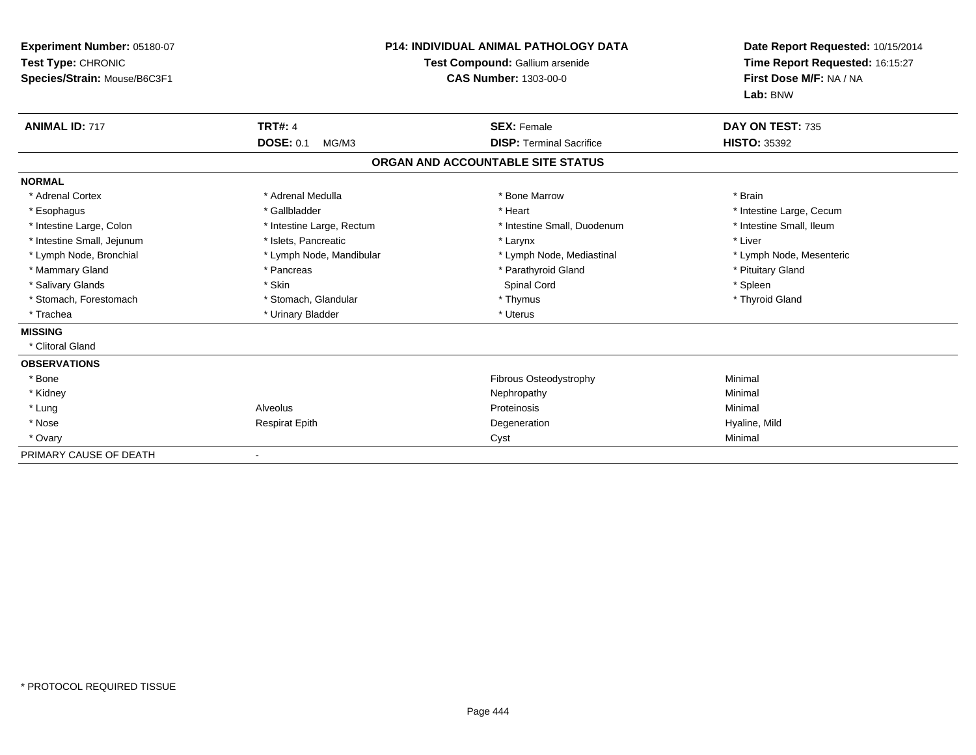| Experiment Number: 05180-07<br>Test Type: CHRONIC<br>Species/Strain: Mouse/B6C3F1 |                           | <b>P14: INDIVIDUAL ANIMAL PATHOLOGY DATA</b><br>Test Compound: Gallium arsenide<br><b>CAS Number: 1303-00-0</b> | Date Report Requested: 10/15/2014<br>Time Report Requested: 16:15:27<br>First Dose M/F: NA / NA<br>Lab: BNW |
|-----------------------------------------------------------------------------------|---------------------------|-----------------------------------------------------------------------------------------------------------------|-------------------------------------------------------------------------------------------------------------|
| <b>ANIMAL ID: 717</b>                                                             | <b>TRT#: 4</b>            | <b>SEX: Female</b>                                                                                              | DAY ON TEST: 735                                                                                            |
|                                                                                   | <b>DOSE: 0.1</b><br>MG/M3 | <b>DISP: Terminal Sacrifice</b>                                                                                 | <b>HISTO: 35392</b>                                                                                         |
|                                                                                   |                           | ORGAN AND ACCOUNTABLE SITE STATUS                                                                               |                                                                                                             |
| <b>NORMAL</b>                                                                     |                           |                                                                                                                 |                                                                                                             |
| * Adrenal Cortex                                                                  | * Adrenal Medulla         | * Bone Marrow                                                                                                   | * Brain                                                                                                     |
| * Esophagus                                                                       | * Gallbladder             | * Heart                                                                                                         | * Intestine Large, Cecum                                                                                    |
| * Intestine Large, Colon                                                          | * Intestine Large, Rectum | * Intestine Small, Duodenum                                                                                     | * Intestine Small, Ileum                                                                                    |
| * Intestine Small, Jejunum                                                        | * Islets, Pancreatic      | * Larynx                                                                                                        | * Liver                                                                                                     |
| * Lymph Node, Bronchial                                                           | * Lymph Node, Mandibular  | * Lymph Node, Mediastinal                                                                                       | * Lymph Node, Mesenteric                                                                                    |
| * Mammary Gland                                                                   | * Pancreas                | * Parathyroid Gland                                                                                             | * Pituitary Gland                                                                                           |
| * Salivary Glands                                                                 | * Skin                    | Spinal Cord                                                                                                     | * Spleen                                                                                                    |
| * Stomach, Forestomach                                                            | * Stomach, Glandular      | * Thymus                                                                                                        | * Thyroid Gland                                                                                             |
| * Trachea                                                                         | * Urinary Bladder         | * Uterus                                                                                                        |                                                                                                             |
| <b>MISSING</b>                                                                    |                           |                                                                                                                 |                                                                                                             |
| * Clitoral Gland                                                                  |                           |                                                                                                                 |                                                                                                             |
| <b>OBSERVATIONS</b>                                                               |                           |                                                                                                                 |                                                                                                             |
| * Bone                                                                            |                           | <b>Fibrous Osteodystrophy</b>                                                                                   | Minimal                                                                                                     |
| * Kidney                                                                          |                           | Nephropathy                                                                                                     | Minimal                                                                                                     |
| * Lung                                                                            | Alveolus                  | Proteinosis                                                                                                     | Minimal                                                                                                     |
| * Nose                                                                            | <b>Respirat Epith</b>     | Degeneration                                                                                                    | Hyaline, Mild                                                                                               |
| * Ovary                                                                           |                           | Cyst                                                                                                            | Minimal                                                                                                     |
| PRIMARY CAUSE OF DEATH                                                            |                           |                                                                                                                 |                                                                                                             |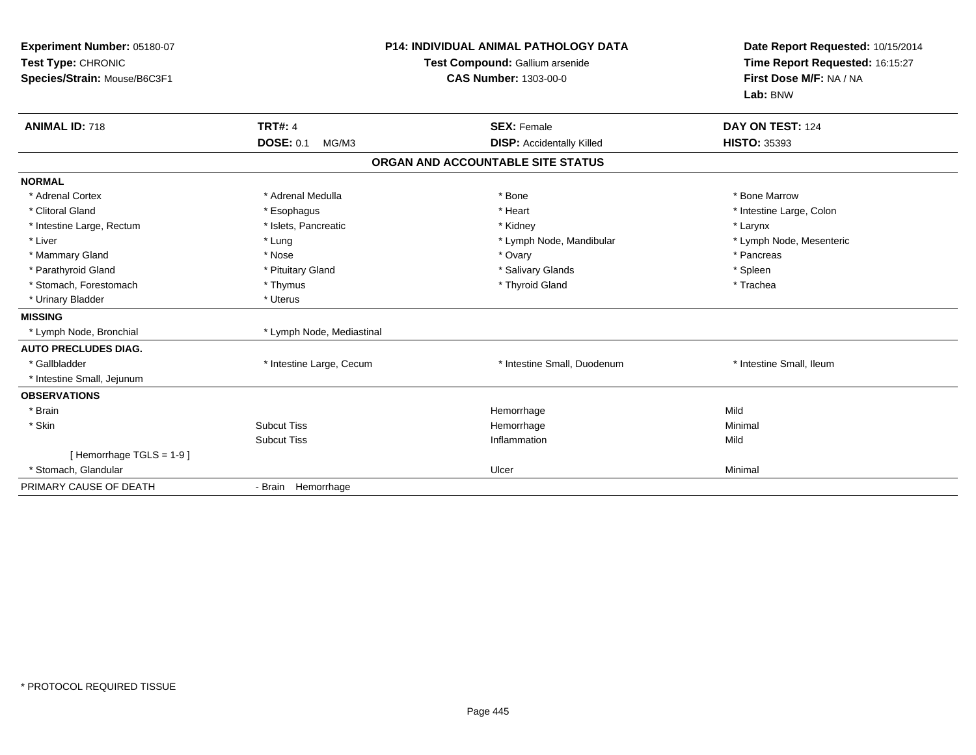| Experiment Number: 05180-07<br>Test Type: CHRONIC<br>Species/Strain: Mouse/B6C3F1 | <b>P14: INDIVIDUAL ANIMAL PATHOLOGY DATA</b><br>Test Compound: Gallium arsenide<br><b>CAS Number: 1303-00-0</b> |                                   | Date Report Requested: 10/15/2014<br>Time Report Requested: 16:15:27<br>First Dose M/F: NA / NA<br>Lab: BNW |  |
|-----------------------------------------------------------------------------------|-----------------------------------------------------------------------------------------------------------------|-----------------------------------|-------------------------------------------------------------------------------------------------------------|--|
| <b>ANIMAL ID: 718</b>                                                             | <b>TRT#: 4</b>                                                                                                  | <b>SEX: Female</b>                | DAY ON TEST: 124                                                                                            |  |
|                                                                                   | <b>DOSE: 0.1</b><br>MG/M3                                                                                       | <b>DISP:</b> Accidentally Killed  | <b>HISTO: 35393</b>                                                                                         |  |
|                                                                                   |                                                                                                                 | ORGAN AND ACCOUNTABLE SITE STATUS |                                                                                                             |  |
| <b>NORMAL</b>                                                                     |                                                                                                                 |                                   |                                                                                                             |  |
| * Adrenal Cortex                                                                  | * Adrenal Medulla                                                                                               | * Bone                            | * Bone Marrow                                                                                               |  |
| * Clitoral Gland                                                                  | * Esophagus                                                                                                     | * Heart                           | * Intestine Large, Colon                                                                                    |  |
| * Intestine Large, Rectum                                                         | * Islets, Pancreatic                                                                                            | * Kidney                          | * Larynx                                                                                                    |  |
| * Liver                                                                           | * Lung                                                                                                          | * Lymph Node, Mandibular          | * Lymph Node, Mesenteric                                                                                    |  |
| * Mammary Gland                                                                   | * Nose                                                                                                          | * Ovary                           | * Pancreas                                                                                                  |  |
| * Parathyroid Gland                                                               | * Pituitary Gland                                                                                               | * Salivary Glands                 | * Spleen                                                                                                    |  |
| * Stomach, Forestomach                                                            | * Thymus                                                                                                        | * Thyroid Gland                   | * Trachea                                                                                                   |  |
| * Urinary Bladder                                                                 | * Uterus                                                                                                        |                                   |                                                                                                             |  |
| <b>MISSING</b>                                                                    |                                                                                                                 |                                   |                                                                                                             |  |
| * Lymph Node, Bronchial                                                           | * Lymph Node, Mediastinal                                                                                       |                                   |                                                                                                             |  |
| <b>AUTO PRECLUDES DIAG.</b>                                                       |                                                                                                                 |                                   |                                                                                                             |  |
| * Gallbladder                                                                     | * Intestine Large, Cecum                                                                                        | * Intestine Small, Duodenum       | * Intestine Small, Ileum                                                                                    |  |
| * Intestine Small, Jejunum                                                        |                                                                                                                 |                                   |                                                                                                             |  |
| <b>OBSERVATIONS</b>                                                               |                                                                                                                 |                                   |                                                                                                             |  |
| * Brain                                                                           |                                                                                                                 | Hemorrhage                        | Mild                                                                                                        |  |
| * Skin                                                                            | <b>Subcut Tiss</b>                                                                                              | Hemorrhage                        | Minimal                                                                                                     |  |
|                                                                                   | <b>Subcut Tiss</b>                                                                                              | Inflammation                      | Mild                                                                                                        |  |
| [Hemorrhage TGLS = 1-9]                                                           |                                                                                                                 |                                   |                                                                                                             |  |
| * Stomach, Glandular                                                              |                                                                                                                 | Ulcer                             | Minimal                                                                                                     |  |
| PRIMARY CAUSE OF DEATH                                                            | - Brain Hemorrhage                                                                                              |                                   |                                                                                                             |  |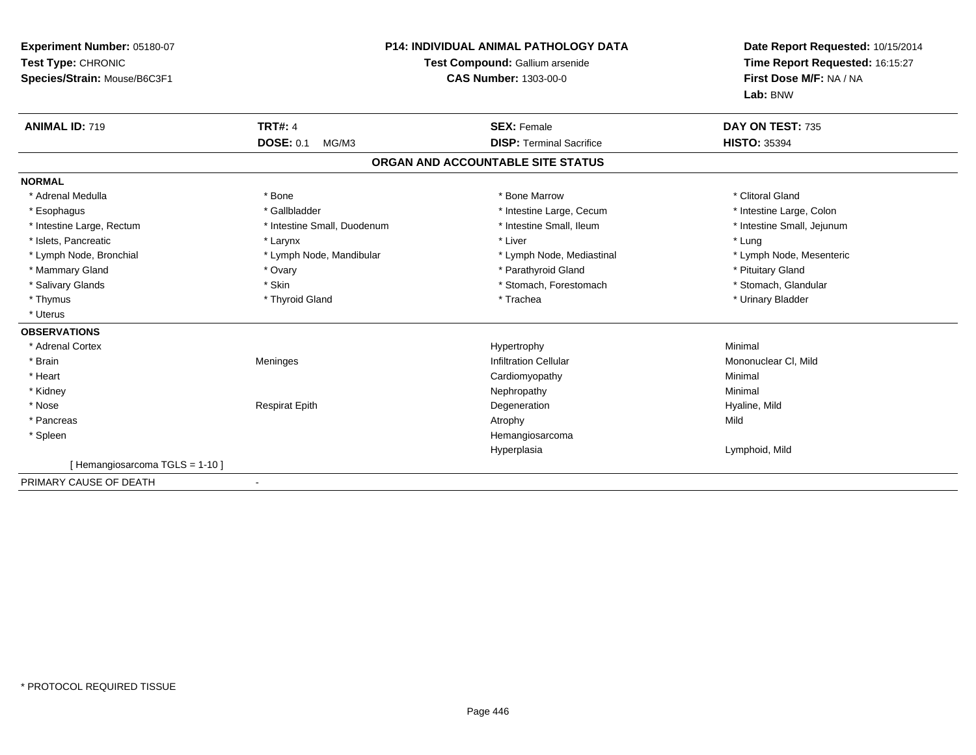| Experiment Number: 05180-07<br>Test Type: CHRONIC<br>Species/Strain: Mouse/B6C3F1 |                             | <b>P14: INDIVIDUAL ANIMAL PATHOLOGY DATA</b><br>Test Compound: Gallium arsenide<br><b>CAS Number: 1303-00-0</b> | Date Report Requested: 10/15/2014<br>Time Report Requested: 16:15:27<br>First Dose M/F: NA / NA<br>Lab: BNW |
|-----------------------------------------------------------------------------------|-----------------------------|-----------------------------------------------------------------------------------------------------------------|-------------------------------------------------------------------------------------------------------------|
| <b>ANIMAL ID: 719</b>                                                             | <b>TRT#: 4</b>              | <b>SEX: Female</b>                                                                                              | DAY ON TEST: 735                                                                                            |
|                                                                                   | <b>DOSE: 0.1</b><br>MG/M3   | <b>DISP: Terminal Sacrifice</b>                                                                                 | <b>HISTO: 35394</b>                                                                                         |
|                                                                                   |                             | ORGAN AND ACCOUNTABLE SITE STATUS                                                                               |                                                                                                             |
| <b>NORMAL</b>                                                                     |                             |                                                                                                                 |                                                                                                             |
| * Adrenal Medulla                                                                 | * Bone                      | * Bone Marrow                                                                                                   | * Clitoral Gland                                                                                            |
| * Esophagus                                                                       | * Gallbladder               | * Intestine Large, Cecum                                                                                        | * Intestine Large, Colon                                                                                    |
| * Intestine Large, Rectum                                                         | * Intestine Small, Duodenum | * Intestine Small, Ileum                                                                                        | * Intestine Small, Jejunum                                                                                  |
| * Islets, Pancreatic                                                              | * Larynx                    | * Liver                                                                                                         | * Lung                                                                                                      |
| * Lymph Node, Bronchial                                                           | * Lymph Node, Mandibular    | * Lymph Node, Mediastinal                                                                                       | * Lymph Node, Mesenteric                                                                                    |
| * Mammary Gland                                                                   | * Ovary                     | * Parathyroid Gland                                                                                             | * Pituitary Gland                                                                                           |
| * Salivary Glands                                                                 | * Skin                      | * Stomach, Forestomach                                                                                          | * Stomach, Glandular                                                                                        |
| * Thymus                                                                          | * Thyroid Gland             | * Trachea                                                                                                       | * Urinary Bladder                                                                                           |
| * Uterus                                                                          |                             |                                                                                                                 |                                                                                                             |
| <b>OBSERVATIONS</b>                                                               |                             |                                                                                                                 |                                                                                                             |
| * Adrenal Cortex                                                                  |                             | Hypertrophy                                                                                                     | Minimal                                                                                                     |
| * Brain                                                                           | Meninges                    | <b>Infiltration Cellular</b>                                                                                    | Mononuclear CI, Mild                                                                                        |
| * Heart                                                                           |                             | Cardiomyopathy                                                                                                  | Minimal                                                                                                     |
| * Kidney                                                                          |                             | Nephropathy                                                                                                     | Minimal                                                                                                     |
| * Nose                                                                            | <b>Respirat Epith</b>       | Degeneration                                                                                                    | Hyaline, Mild                                                                                               |
| * Pancreas                                                                        |                             | Atrophy                                                                                                         | Mild                                                                                                        |
| * Spleen                                                                          |                             | Hemangiosarcoma                                                                                                 |                                                                                                             |
|                                                                                   |                             | Hyperplasia                                                                                                     | Lymphoid, Mild                                                                                              |
| [Hemangiosarcoma TGLS = 1-10]                                                     |                             |                                                                                                                 |                                                                                                             |
| PRIMARY CAUSE OF DEATH                                                            |                             |                                                                                                                 |                                                                                                             |

-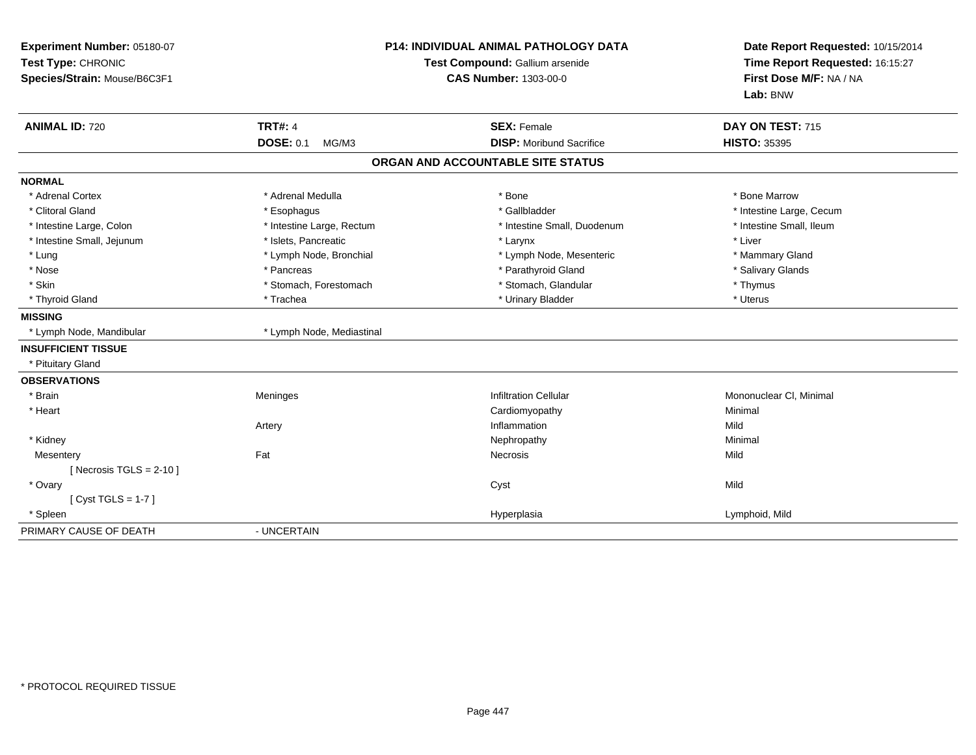| Experiment Number: 05180-07<br>Test Type: CHRONIC<br>Species/Strain: Mouse/B6C3F1<br><b>ANIMAL ID: 720</b> | <b>P14: INDIVIDUAL ANIMAL PATHOLOGY DATA</b><br>Test Compound: Gallium arsenide<br><b>CAS Number: 1303-00-0</b><br><b>TRT#: 4</b><br><b>SEX: Female</b> |                                                                      | Date Report Requested: 10/15/2014<br>Time Report Requested: 16:15:27<br>First Dose M/F: NA / NA<br>Lab: BNW<br>DAY ON TEST: 715<br><b>HISTO: 35395</b> |
|------------------------------------------------------------------------------------------------------------|---------------------------------------------------------------------------------------------------------------------------------------------------------|----------------------------------------------------------------------|--------------------------------------------------------------------------------------------------------------------------------------------------------|
|                                                                                                            | <b>DOSE: 0.1</b><br>MG/M3                                                                                                                               | <b>DISP:</b> Moribund Sacrifice<br>ORGAN AND ACCOUNTABLE SITE STATUS |                                                                                                                                                        |
| <b>NORMAL</b>                                                                                              |                                                                                                                                                         |                                                                      |                                                                                                                                                        |
| * Adrenal Cortex                                                                                           | * Adrenal Medulla                                                                                                                                       | * Bone                                                               | * Bone Marrow                                                                                                                                          |
| * Clitoral Gland                                                                                           | * Esophagus                                                                                                                                             | * Gallbladder                                                        | * Intestine Large, Cecum                                                                                                                               |
| * Intestine Large, Colon                                                                                   | * Intestine Large, Rectum                                                                                                                               | * Intestine Small, Duodenum                                          | * Intestine Small, Ileum                                                                                                                               |
| * Intestine Small, Jejunum                                                                                 | * Islets, Pancreatic                                                                                                                                    | * Larynx                                                             | * Liver                                                                                                                                                |
| * Lung                                                                                                     | * Lymph Node, Bronchial                                                                                                                                 | * Lymph Node, Mesenteric                                             | * Mammary Gland                                                                                                                                        |
| * Nose                                                                                                     | * Pancreas                                                                                                                                              | * Parathyroid Gland                                                  | * Salivary Glands                                                                                                                                      |
| * Skin                                                                                                     | * Stomach, Forestomach                                                                                                                                  | * Stomach, Glandular                                                 | * Thymus                                                                                                                                               |
| * Thyroid Gland                                                                                            | * Trachea                                                                                                                                               | * Urinary Bladder                                                    | * Uterus                                                                                                                                               |
| <b>MISSING</b>                                                                                             |                                                                                                                                                         |                                                                      |                                                                                                                                                        |
| * Lymph Node, Mandibular                                                                                   | * Lymph Node, Mediastinal                                                                                                                               |                                                                      |                                                                                                                                                        |
| <b>INSUFFICIENT TISSUE</b>                                                                                 |                                                                                                                                                         |                                                                      |                                                                                                                                                        |
| * Pituitary Gland                                                                                          |                                                                                                                                                         |                                                                      |                                                                                                                                                        |
| <b>OBSERVATIONS</b>                                                                                        |                                                                                                                                                         |                                                                      |                                                                                                                                                        |
| * Brain                                                                                                    | Meninges                                                                                                                                                | <b>Infiltration Cellular</b>                                         | Mononuclear CI, Minimal                                                                                                                                |
| * Heart                                                                                                    |                                                                                                                                                         | Cardiomyopathy                                                       | Minimal                                                                                                                                                |
|                                                                                                            | Artery                                                                                                                                                  | Inflammation                                                         | Mild                                                                                                                                                   |
| * Kidney                                                                                                   |                                                                                                                                                         | Nephropathy                                                          | Minimal                                                                                                                                                |
| Mesentery                                                                                                  | Fat                                                                                                                                                     | Necrosis                                                             | Mild                                                                                                                                                   |
| [Necrosis TGLS = $2-10$ ]                                                                                  |                                                                                                                                                         |                                                                      |                                                                                                                                                        |
| * Ovary                                                                                                    |                                                                                                                                                         | Cyst                                                                 | Mild                                                                                                                                                   |
| [Cyst TGLS = $1-7$ ]                                                                                       |                                                                                                                                                         |                                                                      |                                                                                                                                                        |
| * Spleen                                                                                                   |                                                                                                                                                         | Hyperplasia                                                          | Lymphoid, Mild                                                                                                                                         |
| PRIMARY CAUSE OF DEATH                                                                                     | - UNCERTAIN                                                                                                                                             |                                                                      |                                                                                                                                                        |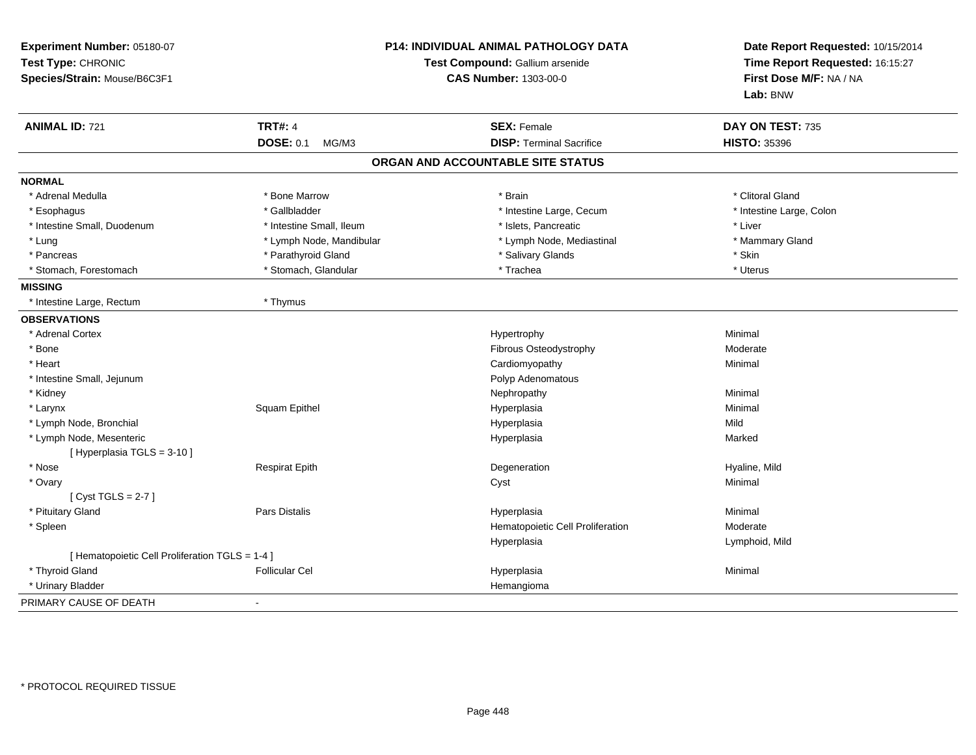| Experiment Number: 05180-07<br>Test Type: CHRONIC<br>Species/Strain: Mouse/B6C3F1 | <b>P14: INDIVIDUAL ANIMAL PATHOLOGY DATA</b><br>Test Compound: Gallium arsenide<br><b>CAS Number: 1303-00-0</b> |                                   | Date Report Requested: 10/15/2014<br>Time Report Requested: 16:15:27<br>First Dose M/F: NA / NA<br>Lab: BNW |
|-----------------------------------------------------------------------------------|-----------------------------------------------------------------------------------------------------------------|-----------------------------------|-------------------------------------------------------------------------------------------------------------|
| <b>ANIMAL ID: 721</b>                                                             | <b>TRT#: 4</b>                                                                                                  | <b>SEX: Female</b>                | DAY ON TEST: 735                                                                                            |
|                                                                                   | <b>DOSE: 0.1</b><br>MG/M3                                                                                       | <b>DISP: Terminal Sacrifice</b>   | <b>HISTO: 35396</b>                                                                                         |
|                                                                                   |                                                                                                                 | ORGAN AND ACCOUNTABLE SITE STATUS |                                                                                                             |
| <b>NORMAL</b>                                                                     |                                                                                                                 |                                   |                                                                                                             |
| * Adrenal Medulla                                                                 | * Bone Marrow                                                                                                   | * Brain                           | * Clitoral Gland                                                                                            |
| * Esophagus                                                                       | * Gallbladder                                                                                                   | * Intestine Large, Cecum          | * Intestine Large, Colon                                                                                    |
| * Intestine Small, Duodenum                                                       | * Intestine Small, Ileum                                                                                        | * Islets, Pancreatic              | * Liver                                                                                                     |
| * Lung                                                                            | * Lymph Node, Mandibular                                                                                        | * Lymph Node, Mediastinal         | * Mammary Gland                                                                                             |
| * Pancreas                                                                        | * Parathyroid Gland                                                                                             | * Salivary Glands                 | * Skin                                                                                                      |
| * Stomach. Forestomach                                                            | * Stomach, Glandular                                                                                            | * Trachea                         | * Uterus                                                                                                    |
| <b>MISSING</b>                                                                    |                                                                                                                 |                                   |                                                                                                             |
| * Intestine Large, Rectum                                                         | * Thymus                                                                                                        |                                   |                                                                                                             |
| <b>OBSERVATIONS</b>                                                               |                                                                                                                 |                                   |                                                                                                             |
| * Adrenal Cortex                                                                  |                                                                                                                 | Hypertrophy                       | Minimal                                                                                                     |
| * Bone                                                                            |                                                                                                                 | Fibrous Osteodystrophy            | Moderate                                                                                                    |
| * Heart                                                                           |                                                                                                                 | Cardiomyopathy                    | Minimal                                                                                                     |
| * Intestine Small, Jejunum                                                        |                                                                                                                 | Polyp Adenomatous                 |                                                                                                             |
| * Kidney                                                                          |                                                                                                                 | Nephropathy                       | Minimal                                                                                                     |
| * Larynx                                                                          | Squam Epithel                                                                                                   | Hyperplasia                       | Minimal                                                                                                     |
| * Lymph Node, Bronchial                                                           |                                                                                                                 | Hyperplasia                       | Mild                                                                                                        |
| * Lymph Node, Mesenteric                                                          |                                                                                                                 | Hyperplasia                       | Marked                                                                                                      |
| [ Hyperplasia TGLS = 3-10 ]                                                       |                                                                                                                 |                                   |                                                                                                             |
| * Nose                                                                            | <b>Respirat Epith</b>                                                                                           | Degeneration                      | Hyaline, Mild                                                                                               |
| * Ovary                                                                           |                                                                                                                 | Cyst                              | Minimal                                                                                                     |
| [Cyst TGLS = $2-7$ ]                                                              |                                                                                                                 |                                   |                                                                                                             |
| * Pituitary Gland                                                                 | <b>Pars Distalis</b>                                                                                            | Hyperplasia                       | Minimal                                                                                                     |
| * Spleen                                                                          |                                                                                                                 | Hematopoietic Cell Proliferation  | Moderate                                                                                                    |
|                                                                                   |                                                                                                                 | Hyperplasia                       | Lymphoid, Mild                                                                                              |
| [ Hematopoietic Cell Proliferation TGLS = 1-4 ]                                   |                                                                                                                 |                                   |                                                                                                             |
| * Thyroid Gland                                                                   | <b>Follicular Cel</b>                                                                                           | Hyperplasia                       | Minimal                                                                                                     |
| * Urinary Bladder                                                                 |                                                                                                                 | Hemangioma                        |                                                                                                             |
| PRIMARY CAUSE OF DEATH                                                            |                                                                                                                 |                                   |                                                                                                             |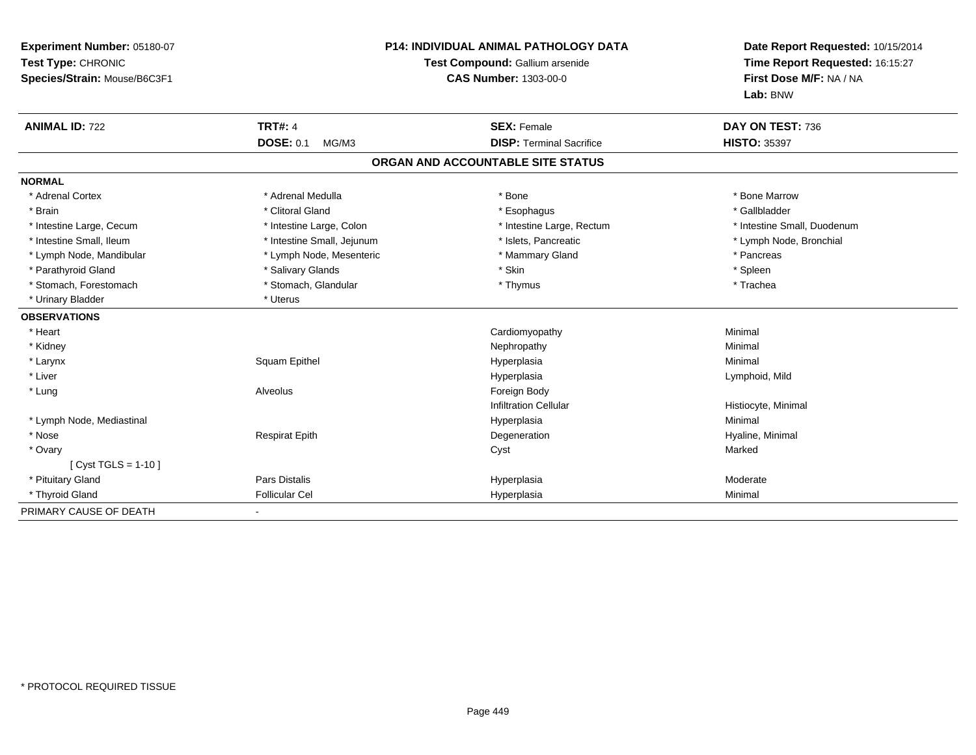| Experiment Number: 05180-07<br>Test Type: CHRONIC<br>Species/Strain: Mouse/B6C3F1 | <b>P14: INDIVIDUAL ANIMAL PATHOLOGY DATA</b><br>Test Compound: Gallium arsenide<br><b>CAS Number: 1303-00-0</b> |                                   | Date Report Requested: 10/15/2014<br>Time Report Requested: 16:15:27<br>First Dose M/F: NA / NA<br>Lab: BNW |
|-----------------------------------------------------------------------------------|-----------------------------------------------------------------------------------------------------------------|-----------------------------------|-------------------------------------------------------------------------------------------------------------|
| <b>ANIMAL ID: 722</b>                                                             | <b>TRT#: 4</b>                                                                                                  | <b>SEX: Female</b>                | DAY ON TEST: 736                                                                                            |
|                                                                                   | <b>DOSE: 0.1</b><br>MG/M3                                                                                       | <b>DISP: Terminal Sacrifice</b>   | <b>HISTO: 35397</b>                                                                                         |
|                                                                                   |                                                                                                                 | ORGAN AND ACCOUNTABLE SITE STATUS |                                                                                                             |
| <b>NORMAL</b>                                                                     |                                                                                                                 |                                   |                                                                                                             |
| * Adrenal Cortex                                                                  | * Adrenal Medulla                                                                                               | * Bone                            | * Bone Marrow                                                                                               |
| * Brain                                                                           | * Clitoral Gland                                                                                                | * Esophagus                       | * Gallbladder                                                                                               |
| * Intestine Large, Cecum                                                          | * Intestine Large, Colon                                                                                        | * Intestine Large, Rectum         | * Intestine Small, Duodenum                                                                                 |
| * Intestine Small, Ileum                                                          | * Intestine Small, Jejunum                                                                                      | * Islets, Pancreatic              | * Lymph Node, Bronchial                                                                                     |
| * Lymph Node, Mandibular                                                          | * Lymph Node, Mesenteric                                                                                        | * Mammary Gland                   | * Pancreas                                                                                                  |
| * Parathyroid Gland                                                               | * Salivary Glands                                                                                               | * Skin                            | * Spleen                                                                                                    |
| * Stomach, Forestomach                                                            | * Stomach, Glandular                                                                                            | * Thymus                          | * Trachea                                                                                                   |
| * Urinary Bladder                                                                 | * Uterus                                                                                                        |                                   |                                                                                                             |
| <b>OBSERVATIONS</b>                                                               |                                                                                                                 |                                   |                                                                                                             |
| * Heart                                                                           |                                                                                                                 | Cardiomyopathy                    | Minimal                                                                                                     |
| * Kidney                                                                          |                                                                                                                 | Nephropathy                       | Minimal                                                                                                     |
| * Larynx                                                                          | Squam Epithel                                                                                                   | Hyperplasia                       | Minimal                                                                                                     |
| * Liver                                                                           |                                                                                                                 | Hyperplasia                       | Lymphoid, Mild                                                                                              |
| * Lung                                                                            | Alveolus                                                                                                        | Foreign Body                      |                                                                                                             |
|                                                                                   |                                                                                                                 | <b>Infiltration Cellular</b>      | Histiocyte, Minimal                                                                                         |
| * Lymph Node, Mediastinal                                                         |                                                                                                                 | Hyperplasia                       | Minimal                                                                                                     |
| * Nose                                                                            | <b>Respirat Epith</b>                                                                                           | Degeneration                      | Hyaline, Minimal                                                                                            |
| * Ovary                                                                           |                                                                                                                 | Cyst                              | Marked                                                                                                      |
| [ Cyst TGLS = $1-10$ ]                                                            |                                                                                                                 |                                   |                                                                                                             |
| * Pituitary Gland                                                                 | Pars Distalis                                                                                                   | Hyperplasia                       | Moderate                                                                                                    |
| * Thyroid Gland                                                                   | <b>Follicular Cel</b>                                                                                           | Hyperplasia                       | Minimal                                                                                                     |
| PRIMARY CAUSE OF DEATH                                                            |                                                                                                                 |                                   |                                                                                                             |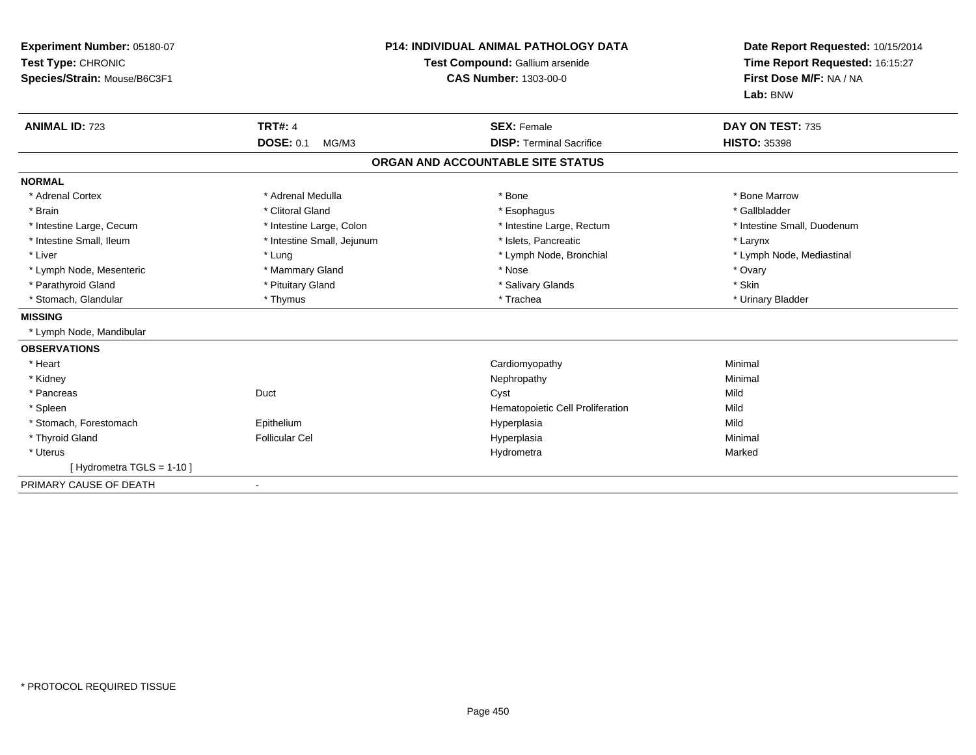| Experiment Number: 05180-07<br>Test Type: CHRONIC<br>Species/Strain: Mouse/B6C3F1<br><b>ANIMAL ID: 723</b> | <b>TRT#: 4</b><br><b>DOSE: 0.1</b><br>MG/M3 | P14: INDIVIDUAL ANIMAL PATHOLOGY DATA<br>Test Compound: Gallium arsenide<br><b>CAS Number: 1303-00-0</b><br><b>SEX: Female</b><br><b>DISP: Terminal Sacrifice</b> | Date Report Requested: 10/15/2014<br>Time Report Requested: 16:15:27<br>First Dose M/F: NA / NA<br>Lab: BNW<br>DAY ON TEST: 735<br><b>HISTO: 35398</b> |
|------------------------------------------------------------------------------------------------------------|---------------------------------------------|-------------------------------------------------------------------------------------------------------------------------------------------------------------------|--------------------------------------------------------------------------------------------------------------------------------------------------------|
|                                                                                                            |                                             | ORGAN AND ACCOUNTABLE SITE STATUS                                                                                                                                 |                                                                                                                                                        |
| <b>NORMAL</b>                                                                                              |                                             |                                                                                                                                                                   |                                                                                                                                                        |
| * Adrenal Cortex                                                                                           | * Adrenal Medulla                           | * Bone                                                                                                                                                            | * Bone Marrow                                                                                                                                          |
| * Brain                                                                                                    | * Clitoral Gland                            | * Esophagus                                                                                                                                                       | * Gallbladder                                                                                                                                          |
| * Intestine Large, Cecum                                                                                   | * Intestine Large, Colon                    | * Intestine Large, Rectum                                                                                                                                         | * Intestine Small, Duodenum                                                                                                                            |
| * Intestine Small, Ileum                                                                                   | * Intestine Small, Jejunum                  | * Islets, Pancreatic                                                                                                                                              | * Larynx                                                                                                                                               |
| * Liver                                                                                                    | * Lung                                      | * Lymph Node, Bronchial                                                                                                                                           | * Lymph Node, Mediastinal                                                                                                                              |
| * Lymph Node, Mesenteric                                                                                   | * Mammary Gland                             | * Nose                                                                                                                                                            | * Ovary                                                                                                                                                |
| * Parathyroid Gland                                                                                        | * Pituitary Gland                           | * Salivary Glands                                                                                                                                                 | * Skin                                                                                                                                                 |
| * Stomach, Glandular                                                                                       | * Thymus                                    | * Trachea                                                                                                                                                         | * Urinary Bladder                                                                                                                                      |
| <b>MISSING</b>                                                                                             |                                             |                                                                                                                                                                   |                                                                                                                                                        |
| * Lymph Node, Mandibular                                                                                   |                                             |                                                                                                                                                                   |                                                                                                                                                        |
| <b>OBSERVATIONS</b>                                                                                        |                                             |                                                                                                                                                                   |                                                                                                                                                        |
| * Heart                                                                                                    |                                             | Cardiomyopathy                                                                                                                                                    | Minimal                                                                                                                                                |
| * Kidney                                                                                                   |                                             | Nephropathy                                                                                                                                                       | Minimal                                                                                                                                                |
| * Pancreas                                                                                                 | Duct                                        | Cyst                                                                                                                                                              | Mild                                                                                                                                                   |
| * Spleen                                                                                                   |                                             | Hematopoietic Cell Proliferation                                                                                                                                  | Mild                                                                                                                                                   |
| * Stomach, Forestomach                                                                                     | Epithelium                                  | Hyperplasia                                                                                                                                                       | Mild                                                                                                                                                   |
| * Thyroid Gland                                                                                            | <b>Follicular Cel</b>                       | Hyperplasia                                                                                                                                                       | Minimal                                                                                                                                                |
| * Uterus                                                                                                   |                                             | Hydrometra                                                                                                                                                        | Marked                                                                                                                                                 |
| [Hydrometra TGLS = 1-10]                                                                                   |                                             |                                                                                                                                                                   |                                                                                                                                                        |
| PRIMARY CAUSE OF DEATH                                                                                     | $\blacksquare$                              |                                                                                                                                                                   |                                                                                                                                                        |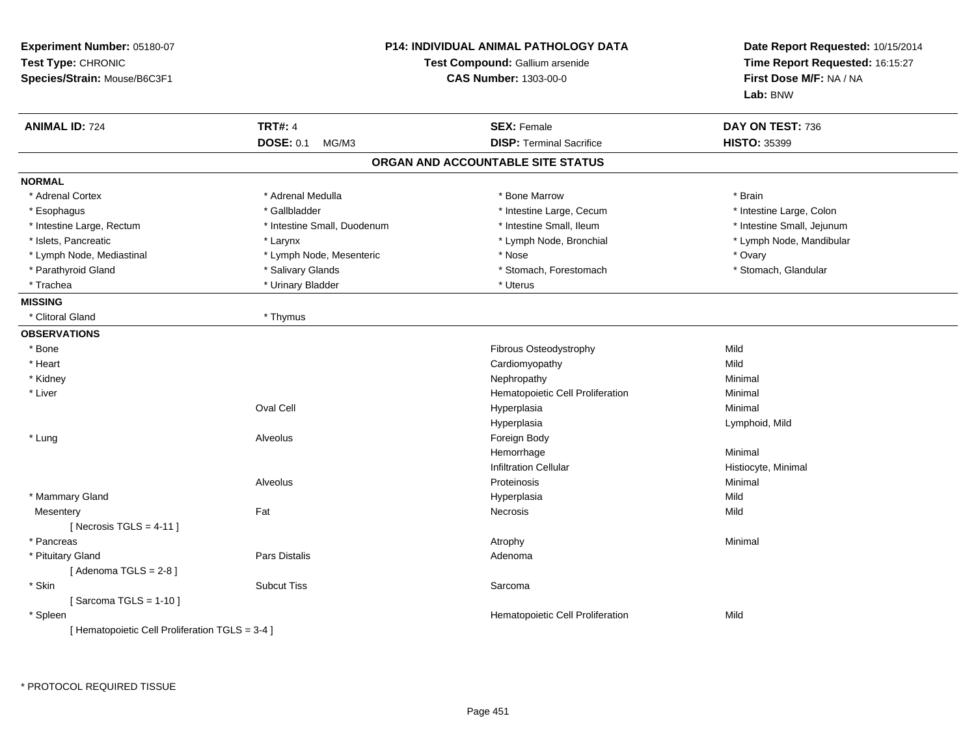| Experiment Number: 05180-07<br>Test Type: CHRONIC<br>Species/Strain: Mouse/B6C3F1 | <b>P14: INDIVIDUAL ANIMAL PATHOLOGY DATA</b><br>Test Compound: Gallium arsenide<br><b>CAS Number: 1303-00-0</b> |                                   | Date Report Requested: 10/15/2014<br>Time Report Requested: 16:15:27<br>First Dose M/F: NA / NA<br>Lab: BNW |
|-----------------------------------------------------------------------------------|-----------------------------------------------------------------------------------------------------------------|-----------------------------------|-------------------------------------------------------------------------------------------------------------|
| <b>ANIMAL ID: 724</b>                                                             | <b>TRT#: 4</b>                                                                                                  | <b>SEX: Female</b>                | DAY ON TEST: 736                                                                                            |
|                                                                                   | <b>DOSE: 0.1</b><br>MG/M3                                                                                       | <b>DISP: Terminal Sacrifice</b>   | <b>HISTO: 35399</b>                                                                                         |
|                                                                                   |                                                                                                                 | ORGAN AND ACCOUNTABLE SITE STATUS |                                                                                                             |
| <b>NORMAL</b>                                                                     |                                                                                                                 |                                   |                                                                                                             |
| * Adrenal Cortex                                                                  | * Adrenal Medulla                                                                                               | * Bone Marrow                     | * Brain                                                                                                     |
| * Esophagus                                                                       | * Gallbladder                                                                                                   | * Intestine Large, Cecum          | * Intestine Large, Colon                                                                                    |
| * Intestine Large, Rectum                                                         | * Intestine Small, Duodenum                                                                                     | * Intestine Small, Ileum          | * Intestine Small, Jejunum                                                                                  |
| * Islets, Pancreatic                                                              | * Larynx                                                                                                        | * Lymph Node, Bronchial           | * Lymph Node, Mandibular                                                                                    |
| * Lymph Node, Mediastinal                                                         | * Lymph Node, Mesenteric                                                                                        | * Nose                            | * Ovary                                                                                                     |
| * Parathyroid Gland                                                               | * Salivary Glands                                                                                               | * Stomach, Forestomach            | * Stomach, Glandular                                                                                        |
| * Trachea                                                                         | * Urinary Bladder                                                                                               | * Uterus                          |                                                                                                             |
| <b>MISSING</b>                                                                    |                                                                                                                 |                                   |                                                                                                             |
| * Clitoral Gland                                                                  | * Thymus                                                                                                        |                                   |                                                                                                             |
| <b>OBSERVATIONS</b>                                                               |                                                                                                                 |                                   |                                                                                                             |
| $*$ Bone                                                                          |                                                                                                                 | Fibrous Osteodystrophy            | Mild                                                                                                        |
| * Heart                                                                           |                                                                                                                 | Cardiomyopathy                    | Mild                                                                                                        |
| * Kidney                                                                          |                                                                                                                 | Nephropathy                       | Minimal                                                                                                     |
| * Liver                                                                           |                                                                                                                 | Hematopoietic Cell Proliferation  | Minimal                                                                                                     |
|                                                                                   | Oval Cell                                                                                                       | Hyperplasia                       | Minimal                                                                                                     |
|                                                                                   |                                                                                                                 | Hyperplasia                       | Lymphoid, Mild                                                                                              |
| * Lung                                                                            | Alveolus                                                                                                        | Foreign Body                      |                                                                                                             |
|                                                                                   |                                                                                                                 | Hemorrhage                        | Minimal                                                                                                     |
|                                                                                   |                                                                                                                 | <b>Infiltration Cellular</b>      | Histiocyte, Minimal                                                                                         |
|                                                                                   | Alveolus                                                                                                        | Proteinosis                       | Minimal                                                                                                     |
| * Mammary Gland                                                                   |                                                                                                                 | Hyperplasia                       | Mild                                                                                                        |
| Mesentery                                                                         | Fat                                                                                                             | <b>Necrosis</b>                   | Mild                                                                                                        |
| [Necrosis TGLS = $4-11$ ]                                                         |                                                                                                                 |                                   |                                                                                                             |
| * Pancreas                                                                        |                                                                                                                 | Atrophy                           | Minimal                                                                                                     |
| * Pituitary Gland                                                                 | <b>Pars Distalis</b>                                                                                            | Adenoma                           |                                                                                                             |
| [Adenoma TGLS = $2-8$ ]                                                           |                                                                                                                 |                                   |                                                                                                             |
| * Skin                                                                            | <b>Subcut Tiss</b>                                                                                              | Sarcoma                           |                                                                                                             |
| [Sarcoma TGLS = $1-10$ ]                                                          |                                                                                                                 |                                   |                                                                                                             |
| * Spleen                                                                          |                                                                                                                 | Hematopoietic Cell Proliferation  | Mild                                                                                                        |
| [ Hematopoietic Cell Proliferation TGLS = 3-4 ]                                   |                                                                                                                 |                                   |                                                                                                             |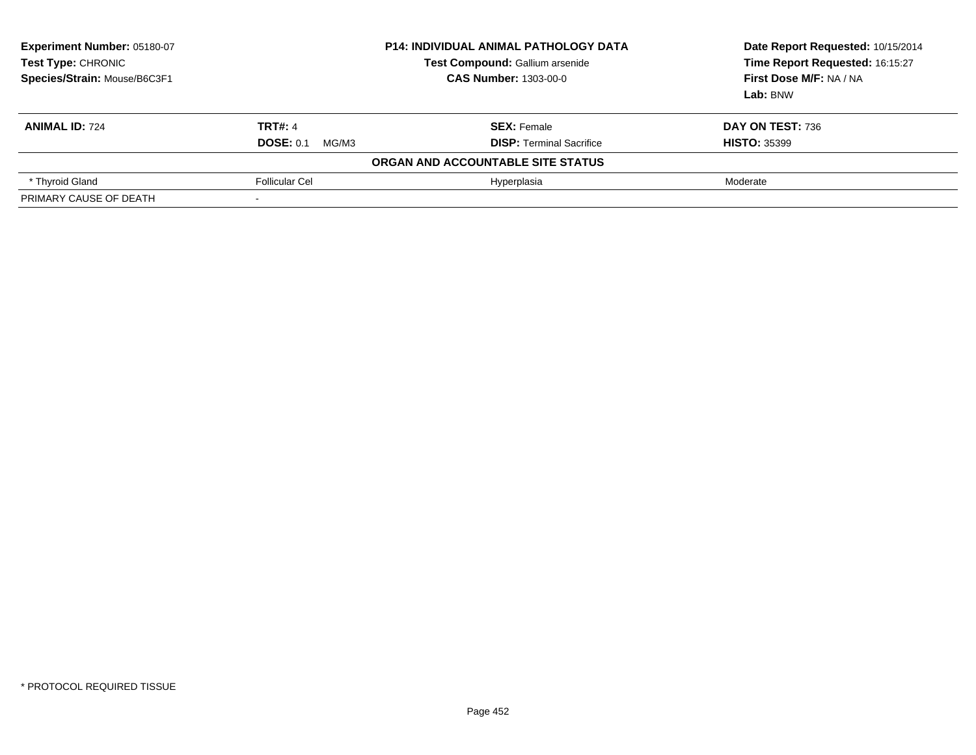| Experiment Number: 05180-07<br>Test Type: CHRONIC<br>Species/Strain: Mouse/B6C3F1 | <b>P14: INDIVIDUAL ANIMAL PATHOLOGY DATA</b><br>Test Compound: Gallium arsenide<br><b>CAS Number: 1303-00-0</b> |                                                       | Date Report Requested: 10/15/2014<br>Time Report Requested: 16:15:27<br>First Dose M/F: NA / NA<br>Lab: BNW |
|-----------------------------------------------------------------------------------|-----------------------------------------------------------------------------------------------------------------|-------------------------------------------------------|-------------------------------------------------------------------------------------------------------------|
| <b>ANIMAL ID: 724</b>                                                             | <b>TRT#: 4</b><br><b>DOSE: 0.1</b><br>MG/M3                                                                     | <b>SEX: Female</b><br><b>DISP: Terminal Sacrifice</b> | DAY ON TEST: 736<br><b>HISTO: 35399</b>                                                                     |
|                                                                                   |                                                                                                                 | ORGAN AND ACCOUNTABLE SITE STATUS                     |                                                                                                             |
| * Thyroid Gland                                                                   | <b>Follicular Cel</b>                                                                                           | Hyperplasia                                           | Moderate                                                                                                    |
| PRIMARY CAUSE OF DEATH                                                            |                                                                                                                 |                                                       |                                                                                                             |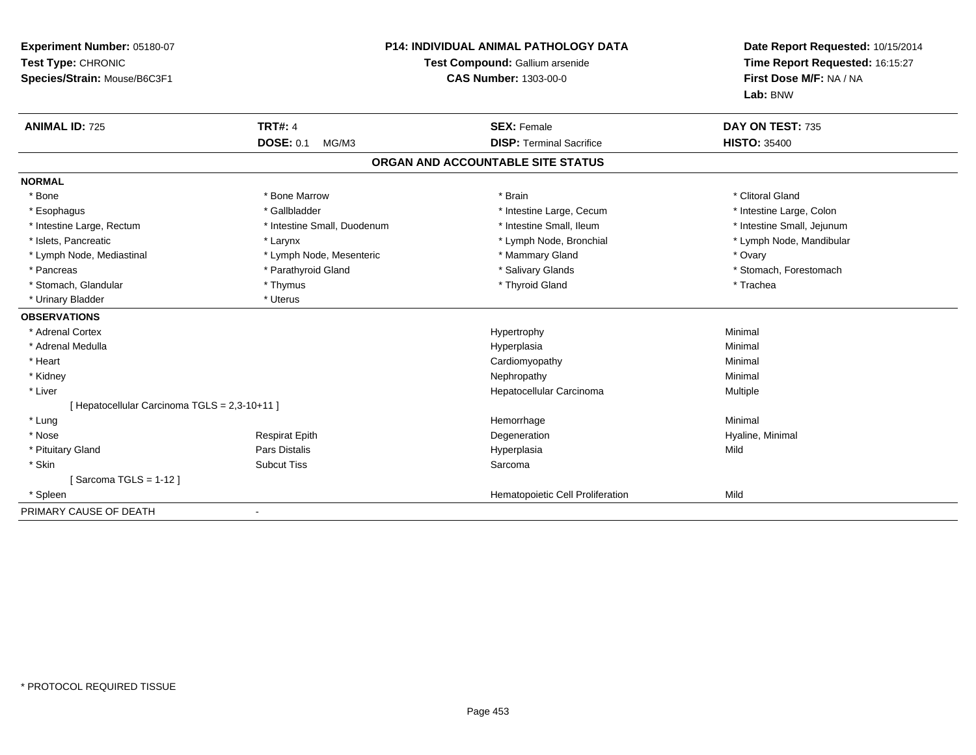| Experiment Number: 05180-07<br>Test Type: CHRONIC<br>Species/Strain: Mouse/B6C3F1 |                             | P14: INDIVIDUAL ANIMAL PATHOLOGY DATA<br>Test Compound: Gallium arsenide<br><b>CAS Number: 1303-00-0</b> | Date Report Requested: 10/15/2014<br>Time Report Requested: 16:15:27<br>First Dose M/F: NA / NA<br>Lab: BNW |  |
|-----------------------------------------------------------------------------------|-----------------------------|----------------------------------------------------------------------------------------------------------|-------------------------------------------------------------------------------------------------------------|--|
| <b>ANIMAL ID: 725</b>                                                             | <b>TRT#: 4</b>              | <b>SEX: Female</b>                                                                                       | DAY ON TEST: 735                                                                                            |  |
|                                                                                   | <b>DOSE: 0.1</b><br>MG/M3   | <b>DISP: Terminal Sacrifice</b>                                                                          | <b>HISTO: 35400</b>                                                                                         |  |
|                                                                                   |                             | ORGAN AND ACCOUNTABLE SITE STATUS                                                                        |                                                                                                             |  |
| <b>NORMAL</b>                                                                     |                             |                                                                                                          |                                                                                                             |  |
| * Bone                                                                            | * Bone Marrow               | * Brain                                                                                                  | * Clitoral Gland                                                                                            |  |
| * Esophagus                                                                       | * Gallbladder               | * Intestine Large, Cecum                                                                                 | * Intestine Large, Colon                                                                                    |  |
| * Intestine Large, Rectum                                                         | * Intestine Small, Duodenum | * Intestine Small, Ileum                                                                                 | * Intestine Small, Jejunum                                                                                  |  |
| * Islets. Pancreatic                                                              | * Larynx                    | * Lymph Node, Bronchial                                                                                  | * Lymph Node, Mandibular                                                                                    |  |
| * Lymph Node, Mediastinal                                                         | * Lymph Node, Mesenteric    | * Mammary Gland                                                                                          | * Ovary                                                                                                     |  |
| * Pancreas                                                                        | * Parathyroid Gland         | * Salivary Glands                                                                                        | * Stomach, Forestomach                                                                                      |  |
| * Stomach, Glandular                                                              | * Thymus                    | * Thyroid Gland                                                                                          | * Trachea                                                                                                   |  |
| * Urinary Bladder                                                                 | * Uterus                    |                                                                                                          |                                                                                                             |  |
| <b>OBSERVATIONS</b>                                                               |                             |                                                                                                          |                                                                                                             |  |
| * Adrenal Cortex                                                                  |                             | Hypertrophy                                                                                              | Minimal                                                                                                     |  |
| * Adrenal Medulla                                                                 |                             | Hyperplasia                                                                                              | Minimal                                                                                                     |  |
| * Heart                                                                           |                             | Cardiomyopathy                                                                                           | Minimal                                                                                                     |  |
| * Kidney                                                                          |                             | Nephropathy                                                                                              | Minimal                                                                                                     |  |
| * Liver                                                                           |                             | Hepatocellular Carcinoma                                                                                 | Multiple                                                                                                    |  |
| [ Hepatocellular Carcinoma TGLS = 2,3-10+11 ]                                     |                             |                                                                                                          |                                                                                                             |  |
| * Lung                                                                            |                             | Hemorrhage                                                                                               | Minimal                                                                                                     |  |
| * Nose                                                                            | <b>Respirat Epith</b>       | Degeneration                                                                                             | Hyaline, Minimal                                                                                            |  |
| * Pituitary Gland                                                                 | Pars Distalis               | Hyperplasia                                                                                              | Mild                                                                                                        |  |
| * Skin                                                                            | <b>Subcut Tiss</b>          | Sarcoma                                                                                                  |                                                                                                             |  |
| [Sarcoma TGLS = $1-12$ ]                                                          |                             |                                                                                                          |                                                                                                             |  |
| * Spleen                                                                          |                             | Hematopoietic Cell Proliferation                                                                         | Mild                                                                                                        |  |
| PRIMARY CAUSE OF DEATH                                                            |                             |                                                                                                          |                                                                                                             |  |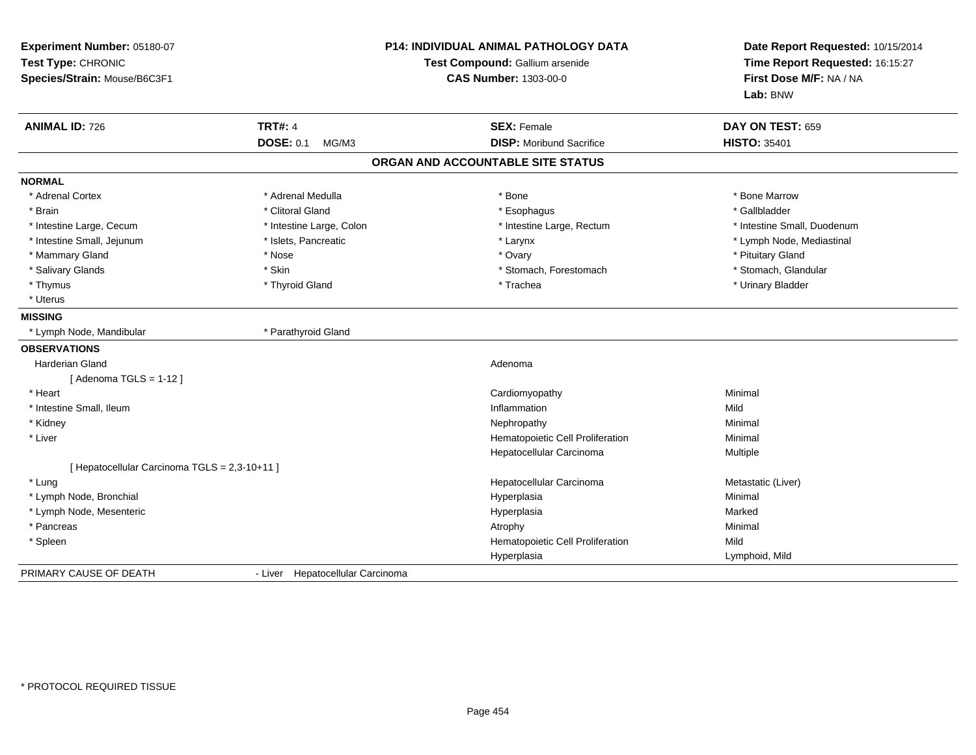| Experiment Number: 05180-07<br>Test Type: CHRONIC<br>Species/Strain: Mouse/B6C3F1 |                                  | P14: INDIVIDUAL ANIMAL PATHOLOGY DATA<br>Test Compound: Gallium arsenide<br><b>CAS Number: 1303-00-0</b> | Date Report Requested: 10/15/2014<br>Time Report Requested: 16:15:27<br>First Dose M/F: NA / NA<br>Lab: BNW |
|-----------------------------------------------------------------------------------|----------------------------------|----------------------------------------------------------------------------------------------------------|-------------------------------------------------------------------------------------------------------------|
| <b>ANIMAL ID: 726</b>                                                             | <b>TRT#: 4</b>                   | <b>SEX: Female</b>                                                                                       | DAY ON TEST: 659                                                                                            |
|                                                                                   | <b>DOSE: 0.1</b><br>MG/M3        | <b>DISP:</b> Moribund Sacrifice                                                                          | <b>HISTO: 35401</b>                                                                                         |
|                                                                                   |                                  | ORGAN AND ACCOUNTABLE SITE STATUS                                                                        |                                                                                                             |
| <b>NORMAL</b>                                                                     |                                  |                                                                                                          |                                                                                                             |
| * Adrenal Cortex                                                                  | * Adrenal Medulla                | * Bone                                                                                                   | * Bone Marrow                                                                                               |
| * Brain                                                                           | * Clitoral Gland                 | * Esophagus                                                                                              | * Gallbladder                                                                                               |
| * Intestine Large, Cecum                                                          | * Intestine Large, Colon         | * Intestine Large, Rectum                                                                                | * Intestine Small, Duodenum                                                                                 |
| * Intestine Small, Jejunum                                                        | * Islets, Pancreatic             | * Larynx                                                                                                 | * Lymph Node, Mediastinal                                                                                   |
| * Mammary Gland                                                                   | * Nose                           | * Ovary                                                                                                  | * Pituitary Gland                                                                                           |
| * Salivary Glands                                                                 | * Skin                           | * Stomach, Forestomach                                                                                   | * Stomach, Glandular                                                                                        |
| * Thymus                                                                          | * Thyroid Gland                  | * Trachea                                                                                                | * Urinary Bladder                                                                                           |
| * Uterus                                                                          |                                  |                                                                                                          |                                                                                                             |
| <b>MISSING</b>                                                                    |                                  |                                                                                                          |                                                                                                             |
| * Lymph Node, Mandibular                                                          | * Parathyroid Gland              |                                                                                                          |                                                                                                             |
| <b>OBSERVATIONS</b>                                                               |                                  |                                                                                                          |                                                                                                             |
| <b>Harderian Gland</b>                                                            |                                  | Adenoma                                                                                                  |                                                                                                             |
| [Adenoma TGLS = $1-12$ ]                                                          |                                  |                                                                                                          |                                                                                                             |
| * Heart                                                                           |                                  | Cardiomyopathy                                                                                           | Minimal                                                                                                     |
| * Intestine Small, Ileum                                                          |                                  | Inflammation                                                                                             | Mild                                                                                                        |
| * Kidney                                                                          |                                  | Nephropathy                                                                                              | Minimal                                                                                                     |
| * Liver                                                                           |                                  | Hematopoietic Cell Proliferation                                                                         | Minimal                                                                                                     |
|                                                                                   |                                  | Hepatocellular Carcinoma                                                                                 | Multiple                                                                                                    |
| [ Hepatocellular Carcinoma TGLS = 2,3-10+11 ]                                     |                                  |                                                                                                          |                                                                                                             |
| * Lung                                                                            |                                  | Hepatocellular Carcinoma                                                                                 | Metastatic (Liver)                                                                                          |
| * Lymph Node, Bronchial                                                           |                                  | Hyperplasia                                                                                              | Minimal                                                                                                     |
| * Lymph Node, Mesenteric                                                          |                                  | Hyperplasia                                                                                              | Marked                                                                                                      |
| * Pancreas                                                                        |                                  | Atrophy                                                                                                  | Minimal                                                                                                     |
| * Spleen                                                                          |                                  | Hematopoietic Cell Proliferation                                                                         | Mild                                                                                                        |
|                                                                                   |                                  | Hyperplasia                                                                                              | Lymphoid, Mild                                                                                              |
| PRIMARY CAUSE OF DEATH                                                            | - Liver Hepatocellular Carcinoma |                                                                                                          |                                                                                                             |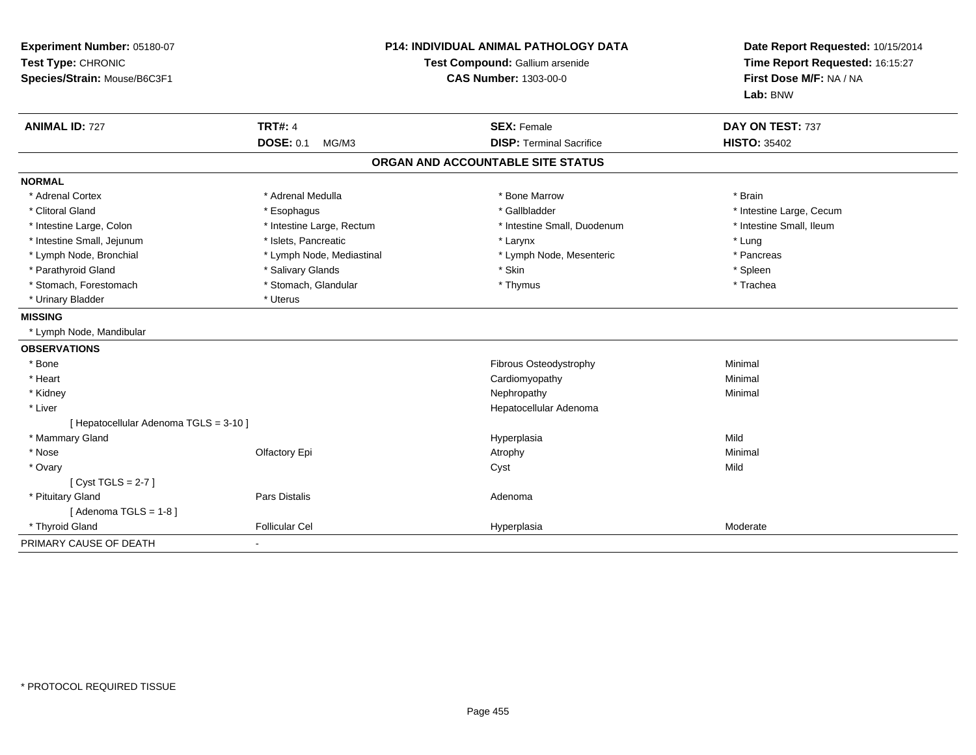| Experiment Number: 05180-07<br>Test Type: CHRONIC<br>Species/Strain: Mouse/B6C3F1 | <b>P14: INDIVIDUAL ANIMAL PATHOLOGY DATA</b><br>Test Compound: Gallium arsenide<br><b>CAS Number: 1303-00-0</b> |                                   | Date Report Requested: 10/15/2014<br>Time Report Requested: 16:15:27<br>First Dose M/F: NA / NA<br>Lab: BNW |  |
|-----------------------------------------------------------------------------------|-----------------------------------------------------------------------------------------------------------------|-----------------------------------|-------------------------------------------------------------------------------------------------------------|--|
| <b>ANIMAL ID: 727</b>                                                             | <b>TRT#: 4</b>                                                                                                  | <b>SEX: Female</b>                | DAY ON TEST: 737                                                                                            |  |
|                                                                                   | <b>DOSE: 0.1</b><br>MG/M3                                                                                       | <b>DISP: Terminal Sacrifice</b>   | <b>HISTO: 35402</b>                                                                                         |  |
|                                                                                   |                                                                                                                 | ORGAN AND ACCOUNTABLE SITE STATUS |                                                                                                             |  |
| <b>NORMAL</b>                                                                     |                                                                                                                 |                                   |                                                                                                             |  |
| * Adrenal Cortex                                                                  | * Adrenal Medulla                                                                                               | * Bone Marrow                     | * Brain                                                                                                     |  |
| * Clitoral Gland                                                                  | * Esophagus                                                                                                     | * Gallbladder                     | * Intestine Large, Cecum                                                                                    |  |
| * Intestine Large, Colon                                                          | * Intestine Large, Rectum                                                                                       | * Intestine Small, Duodenum       | * Intestine Small, Ileum                                                                                    |  |
| * Intestine Small, Jejunum                                                        | * Islets, Pancreatic                                                                                            | * Larynx                          | * Lung                                                                                                      |  |
| * Lymph Node, Bronchial                                                           | * Lymph Node, Mediastinal                                                                                       | * Lymph Node, Mesenteric          | * Pancreas                                                                                                  |  |
| * Parathyroid Gland                                                               | * Salivary Glands                                                                                               | * Skin                            | * Spleen                                                                                                    |  |
| * Stomach, Forestomach                                                            | * Stomach, Glandular                                                                                            | * Thymus                          | * Trachea                                                                                                   |  |
| * Urinary Bladder                                                                 | * Uterus                                                                                                        |                                   |                                                                                                             |  |
| <b>MISSING</b>                                                                    |                                                                                                                 |                                   |                                                                                                             |  |
| * Lymph Node, Mandibular                                                          |                                                                                                                 |                                   |                                                                                                             |  |
| <b>OBSERVATIONS</b>                                                               |                                                                                                                 |                                   |                                                                                                             |  |
| * Bone                                                                            |                                                                                                                 | Fibrous Osteodystrophy            | Minimal                                                                                                     |  |
| * Heart                                                                           |                                                                                                                 | Cardiomyopathy                    | Minimal                                                                                                     |  |
| * Kidney                                                                          |                                                                                                                 | Nephropathy                       | Minimal                                                                                                     |  |
| * Liver                                                                           |                                                                                                                 | Hepatocellular Adenoma            |                                                                                                             |  |
| [ Hepatocellular Adenoma TGLS = 3-10 ]                                            |                                                                                                                 |                                   |                                                                                                             |  |
| * Mammary Gland                                                                   |                                                                                                                 | Hyperplasia                       | Mild                                                                                                        |  |
| * Nose                                                                            | Olfactory Epi                                                                                                   | Atrophy                           | Minimal                                                                                                     |  |
| * Ovary                                                                           |                                                                                                                 | Cyst                              | Mild                                                                                                        |  |
| [Cyst TGLS = $2-7$ ]                                                              |                                                                                                                 |                                   |                                                                                                             |  |
| * Pituitary Gland                                                                 | Pars Distalis                                                                                                   | Adenoma                           |                                                                                                             |  |
| [Adenoma TGLS = $1-8$ ]                                                           |                                                                                                                 |                                   |                                                                                                             |  |
| * Thyroid Gland                                                                   | <b>Follicular Cel</b>                                                                                           | Hyperplasia                       | Moderate                                                                                                    |  |
| PRIMARY CAUSE OF DEATH                                                            | $\blacksquare$                                                                                                  |                                   |                                                                                                             |  |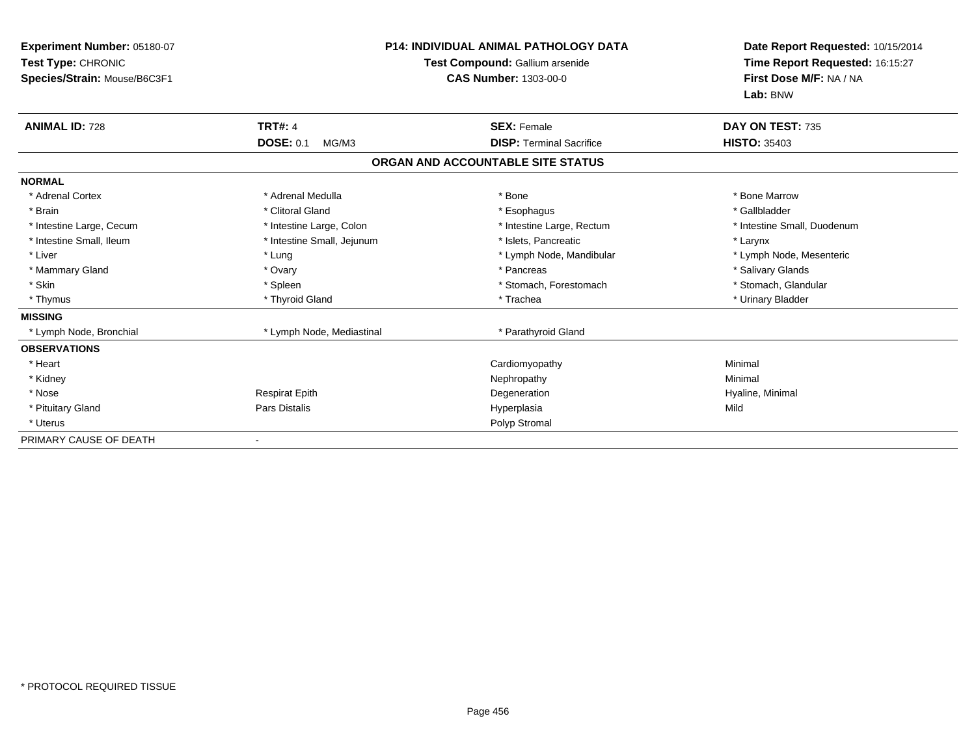| Experiment Number: 05180-07<br>Test Type: CHRONIC<br>Species/Strain: Mouse/B6C3F1 |                            | P14: INDIVIDUAL ANIMAL PATHOLOGY DATA<br>Test Compound: Gallium arsenide<br><b>CAS Number: 1303-00-0</b> | Date Report Requested: 10/15/2014<br>Time Report Requested: 16:15:27<br>First Dose M/F: NA / NA<br>Lab: BNW |  |
|-----------------------------------------------------------------------------------|----------------------------|----------------------------------------------------------------------------------------------------------|-------------------------------------------------------------------------------------------------------------|--|
| <b>ANIMAL ID: 728</b>                                                             | <b>TRT#: 4</b>             | <b>SEX: Female</b>                                                                                       | DAY ON TEST: 735                                                                                            |  |
|                                                                                   | <b>DOSE: 0.1</b><br>MG/M3  | <b>DISP: Terminal Sacrifice</b>                                                                          | <b>HISTO: 35403</b>                                                                                         |  |
|                                                                                   |                            | ORGAN AND ACCOUNTABLE SITE STATUS                                                                        |                                                                                                             |  |
| <b>NORMAL</b>                                                                     |                            |                                                                                                          |                                                                                                             |  |
| * Adrenal Cortex                                                                  | * Adrenal Medulla          | * Bone                                                                                                   | * Bone Marrow                                                                                               |  |
| * Brain                                                                           | * Clitoral Gland           | * Esophagus                                                                                              | * Gallbladder                                                                                               |  |
| * Intestine Large, Cecum                                                          | * Intestine Large, Colon   | * Intestine Large, Rectum                                                                                | * Intestine Small, Duodenum                                                                                 |  |
| * Intestine Small, Ileum                                                          | * Intestine Small, Jejunum | * Islets, Pancreatic                                                                                     | * Larynx                                                                                                    |  |
| * Liver                                                                           | * Lung                     | * Lymph Node, Mandibular                                                                                 | * Lymph Node, Mesenteric                                                                                    |  |
| * Mammary Gland                                                                   | * Ovary                    | * Pancreas                                                                                               | * Salivary Glands                                                                                           |  |
| * Skin                                                                            | * Spleen                   | * Stomach, Forestomach                                                                                   | * Stomach, Glandular                                                                                        |  |
| * Thymus                                                                          | * Thyroid Gland            | * Trachea                                                                                                | * Urinary Bladder                                                                                           |  |
| <b>MISSING</b>                                                                    |                            |                                                                                                          |                                                                                                             |  |
| * Lymph Node, Bronchial                                                           | * Lymph Node, Mediastinal  | * Parathyroid Gland                                                                                      |                                                                                                             |  |
| <b>OBSERVATIONS</b>                                                               |                            |                                                                                                          |                                                                                                             |  |
| * Heart                                                                           |                            | Cardiomyopathy                                                                                           | Minimal                                                                                                     |  |
| * Kidney                                                                          |                            | Nephropathy                                                                                              | Minimal                                                                                                     |  |
| * Nose                                                                            | <b>Respirat Epith</b>      | Degeneration                                                                                             | Hyaline, Minimal                                                                                            |  |
| * Pituitary Gland                                                                 | <b>Pars Distalis</b>       | Hyperplasia                                                                                              | Mild                                                                                                        |  |
| * Uterus                                                                          |                            | Polyp Stromal                                                                                            |                                                                                                             |  |
| PRIMARY CAUSE OF DEATH                                                            |                            |                                                                                                          |                                                                                                             |  |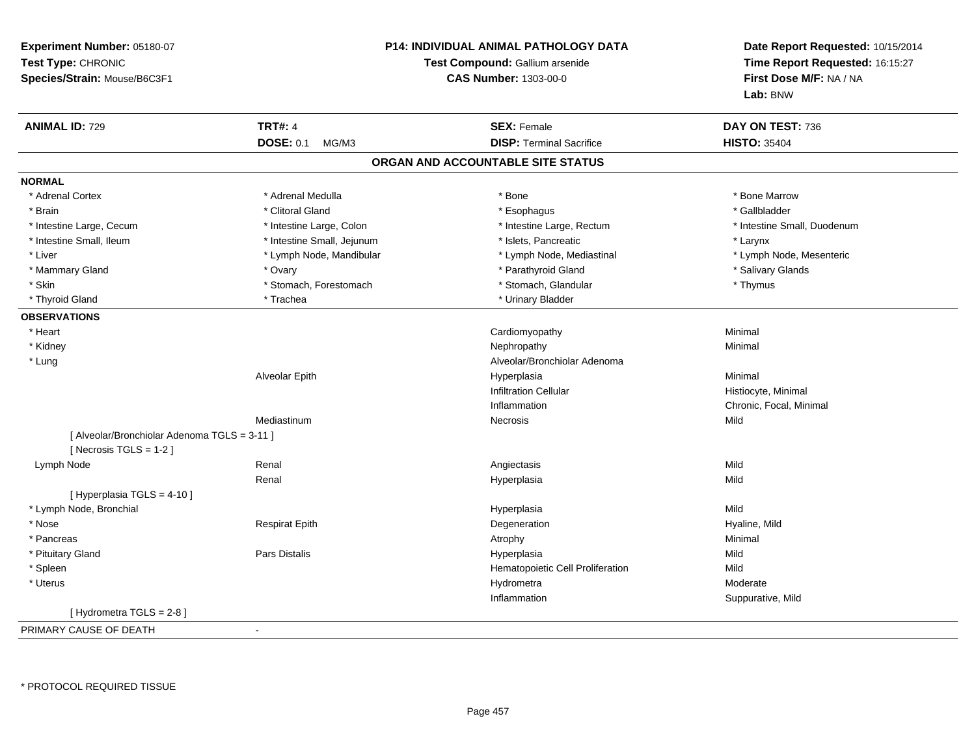| Experiment Number: 05180-07<br>Test Type: CHRONIC<br>Species/Strain: Mouse/B6C3F1 |                            | <b>P14: INDIVIDUAL ANIMAL PATHOLOGY DATA</b><br>Test Compound: Gallium arsenide<br><b>CAS Number: 1303-00-0</b> | Date Report Requested: 10/15/2014<br>Time Report Requested: 16:15:27<br>First Dose M/F: NA / NA<br>Lab: BNW |
|-----------------------------------------------------------------------------------|----------------------------|-----------------------------------------------------------------------------------------------------------------|-------------------------------------------------------------------------------------------------------------|
| <b>ANIMAL ID: 729</b>                                                             | <b>TRT#: 4</b>             | <b>SEX: Female</b>                                                                                              | DAY ON TEST: 736                                                                                            |
|                                                                                   | <b>DOSE: 0.1</b><br>MG/M3  | <b>DISP: Terminal Sacrifice</b>                                                                                 | <b>HISTO: 35404</b>                                                                                         |
|                                                                                   |                            | ORGAN AND ACCOUNTABLE SITE STATUS                                                                               |                                                                                                             |
| <b>NORMAL</b>                                                                     |                            |                                                                                                                 |                                                                                                             |
| * Adrenal Cortex                                                                  | * Adrenal Medulla          | * Bone                                                                                                          | * Bone Marrow                                                                                               |
| * Brain                                                                           | * Clitoral Gland           | * Esophagus                                                                                                     | * Gallbladder                                                                                               |
| * Intestine Large, Cecum                                                          | * Intestine Large, Colon   | * Intestine Large, Rectum                                                                                       | * Intestine Small, Duodenum                                                                                 |
| * Intestine Small, Ileum                                                          | * Intestine Small, Jejunum | * Islets, Pancreatic                                                                                            | * Larynx                                                                                                    |
| * Liver                                                                           | * Lymph Node, Mandibular   | * Lymph Node, Mediastinal                                                                                       | * Lymph Node, Mesenteric                                                                                    |
| * Mammary Gland                                                                   | * Ovary                    | * Parathyroid Gland                                                                                             | * Salivary Glands                                                                                           |
| * Skin                                                                            | * Stomach, Forestomach     | * Stomach, Glandular                                                                                            | * Thymus                                                                                                    |
| * Thyroid Gland                                                                   | * Trachea                  | * Urinary Bladder                                                                                               |                                                                                                             |
| <b>OBSERVATIONS</b>                                                               |                            |                                                                                                                 |                                                                                                             |
| * Heart                                                                           |                            | Cardiomyopathy                                                                                                  | Minimal                                                                                                     |
| * Kidney                                                                          |                            | Nephropathy                                                                                                     | Minimal                                                                                                     |
| * Lung                                                                            |                            | Alveolar/Bronchiolar Adenoma                                                                                    |                                                                                                             |
|                                                                                   | Alveolar Epith             | Hyperplasia                                                                                                     | Minimal                                                                                                     |
|                                                                                   |                            | <b>Infiltration Cellular</b>                                                                                    | Histiocyte, Minimal                                                                                         |
|                                                                                   |                            | Inflammation                                                                                                    | Chronic, Focal, Minimal                                                                                     |
|                                                                                   | Mediastinum                | <b>Necrosis</b>                                                                                                 | Mild                                                                                                        |
| [ Alveolar/Bronchiolar Adenoma TGLS = 3-11 ]<br>[Necrosis TGLS = $1-2$ ]          |                            |                                                                                                                 |                                                                                                             |
| Lymph Node                                                                        | Renal                      | Angiectasis                                                                                                     | Mild                                                                                                        |
|                                                                                   | Renal                      | Hyperplasia                                                                                                     | Mild                                                                                                        |
| [ Hyperplasia TGLS = 4-10 ]                                                       |                            |                                                                                                                 |                                                                                                             |
| * Lymph Node, Bronchial                                                           |                            | Hyperplasia                                                                                                     | Mild                                                                                                        |
| * Nose                                                                            | <b>Respirat Epith</b>      | Degeneration                                                                                                    | Hyaline, Mild                                                                                               |
| * Pancreas                                                                        |                            | Atrophy                                                                                                         | Minimal                                                                                                     |
| * Pituitary Gland                                                                 | Pars Distalis              | Hyperplasia                                                                                                     | Mild                                                                                                        |
| * Spleen                                                                          |                            | Hematopoietic Cell Proliferation                                                                                | Mild                                                                                                        |
| * Uterus                                                                          |                            | Hydrometra                                                                                                      | Moderate                                                                                                    |
|                                                                                   |                            | Inflammation                                                                                                    | Suppurative, Mild                                                                                           |
| [Hydrometra TGLS = 2-8]                                                           |                            |                                                                                                                 |                                                                                                             |
| PRIMARY CAUSE OF DEATH                                                            |                            |                                                                                                                 |                                                                                                             |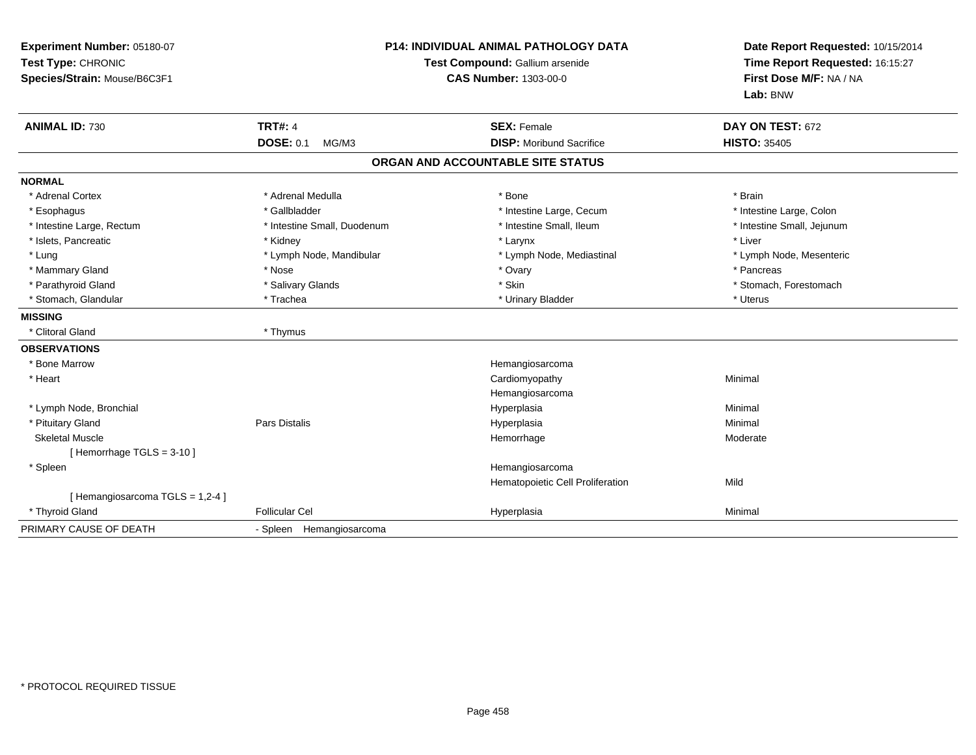| Experiment Number: 05180-07<br>Test Type: CHRONIC<br>Species/Strain: Mouse/B6C3F1 | <b>P14: INDIVIDUAL ANIMAL PATHOLOGY DATA</b><br>Test Compound: Gallium arsenide<br>CAS Number: 1303-00-0 |                                   | Date Report Requested: 10/15/2014<br>Time Report Requested: 16:15:27<br>First Dose M/F: NA / NA<br>Lab: BNW |
|-----------------------------------------------------------------------------------|----------------------------------------------------------------------------------------------------------|-----------------------------------|-------------------------------------------------------------------------------------------------------------|
| <b>ANIMAL ID: 730</b>                                                             | <b>TRT#: 4</b>                                                                                           | <b>SEX: Female</b>                | DAY ON TEST: 672                                                                                            |
|                                                                                   | <b>DOSE: 0.1</b><br>MG/M3                                                                                | <b>DISP:</b> Moribund Sacrifice   | <b>HISTO: 35405</b>                                                                                         |
|                                                                                   |                                                                                                          | ORGAN AND ACCOUNTABLE SITE STATUS |                                                                                                             |
| <b>NORMAL</b>                                                                     |                                                                                                          |                                   |                                                                                                             |
| * Adrenal Cortex                                                                  | * Adrenal Medulla                                                                                        | * Bone                            | * Brain                                                                                                     |
| * Esophagus                                                                       | * Gallbladder                                                                                            | * Intestine Large, Cecum          | * Intestine Large, Colon                                                                                    |
| * Intestine Large, Rectum                                                         | * Intestine Small. Duodenum                                                                              | * Intestine Small. Ileum          | * Intestine Small, Jejunum                                                                                  |
| * Islets, Pancreatic                                                              | * Kidney                                                                                                 | * Larynx                          | * Liver                                                                                                     |
| * Lung                                                                            | * Lymph Node, Mandibular                                                                                 | * Lymph Node, Mediastinal         | * Lymph Node, Mesenteric                                                                                    |
| * Mammary Gland                                                                   | * Nose                                                                                                   | * Ovary                           | * Pancreas                                                                                                  |
| * Parathyroid Gland                                                               | * Salivary Glands                                                                                        | * Skin                            | * Stomach, Forestomach                                                                                      |
| * Stomach, Glandular                                                              | * Trachea                                                                                                | * Urinary Bladder                 | * Uterus                                                                                                    |
| <b>MISSING</b>                                                                    |                                                                                                          |                                   |                                                                                                             |
| * Clitoral Gland                                                                  | * Thymus                                                                                                 |                                   |                                                                                                             |
| <b>OBSERVATIONS</b>                                                               |                                                                                                          |                                   |                                                                                                             |
| * Bone Marrow                                                                     |                                                                                                          | Hemangiosarcoma                   |                                                                                                             |
| * Heart                                                                           |                                                                                                          | Cardiomyopathy                    | Minimal                                                                                                     |
|                                                                                   |                                                                                                          | Hemangiosarcoma                   |                                                                                                             |
| * Lymph Node, Bronchial                                                           |                                                                                                          | Hyperplasia                       | Minimal                                                                                                     |
| * Pituitary Gland                                                                 | <b>Pars Distalis</b>                                                                                     | Hyperplasia                       | Minimal                                                                                                     |
| <b>Skeletal Muscle</b>                                                            |                                                                                                          | Hemorrhage                        | Moderate                                                                                                    |
| [Hemorrhage TGLS = $3-10$ ]                                                       |                                                                                                          |                                   |                                                                                                             |
| * Spleen                                                                          |                                                                                                          | Hemangiosarcoma                   |                                                                                                             |
|                                                                                   |                                                                                                          | Hematopoietic Cell Proliferation  | Mild                                                                                                        |
| [ Hemangiosarcoma TGLS = 1,2-4 ]                                                  |                                                                                                          |                                   |                                                                                                             |
| * Thyroid Gland                                                                   | <b>Follicular Cel</b>                                                                                    | Hyperplasia                       | Minimal                                                                                                     |
| PRIMARY CAUSE OF DEATH                                                            | - Spleen Hemangiosarcoma                                                                                 |                                   |                                                                                                             |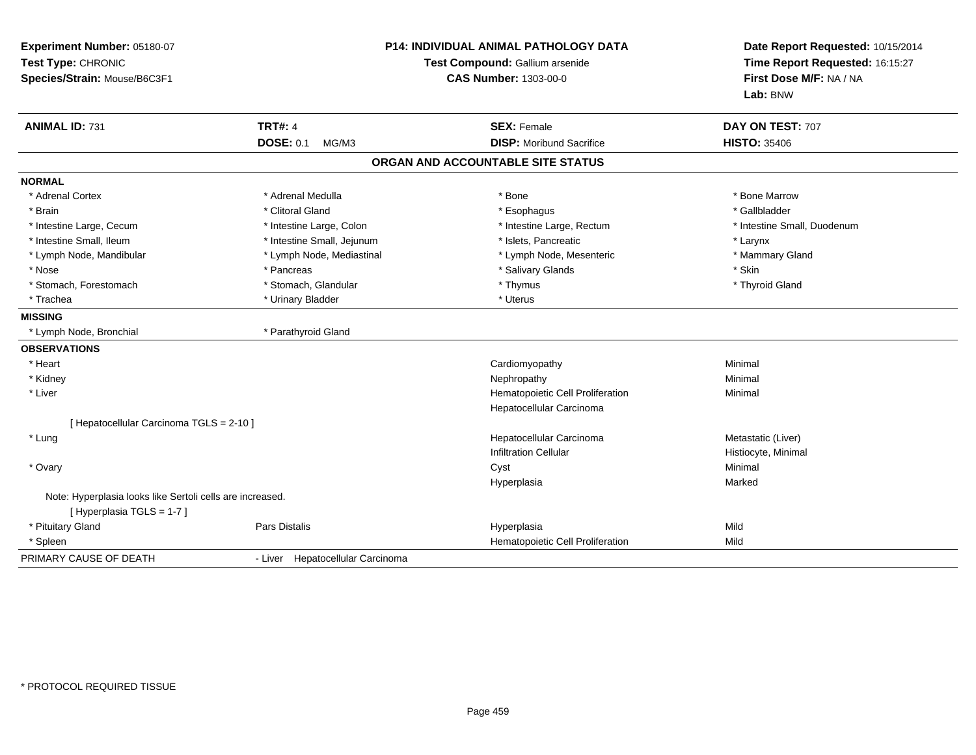| Experiment Number: 05180-07<br>Test Type: CHRONIC<br>Species/Strain: Mouse/B6C3F1       |                                  | <b>P14: INDIVIDUAL ANIMAL PATHOLOGY DATA</b><br>Test Compound: Gallium arsenide<br><b>CAS Number: 1303-00-0</b> | Date Report Requested: 10/15/2014<br>Time Report Requested: 16:15:27<br>First Dose M/F: NA / NA<br>Lab: BNW |
|-----------------------------------------------------------------------------------------|----------------------------------|-----------------------------------------------------------------------------------------------------------------|-------------------------------------------------------------------------------------------------------------|
| <b>ANIMAL ID: 731</b>                                                                   | <b>TRT#: 4</b>                   | <b>SEX: Female</b>                                                                                              | DAY ON TEST: 707                                                                                            |
|                                                                                         | <b>DOSE: 0.1</b><br>MG/M3        | <b>DISP:</b> Moribund Sacrifice                                                                                 | <b>HISTO: 35406</b>                                                                                         |
|                                                                                         |                                  | ORGAN AND ACCOUNTABLE SITE STATUS                                                                               |                                                                                                             |
| <b>NORMAL</b>                                                                           |                                  |                                                                                                                 |                                                                                                             |
| * Adrenal Cortex                                                                        | * Adrenal Medulla                | * Bone                                                                                                          | * Bone Marrow                                                                                               |
| * Brain                                                                                 | * Clitoral Gland                 | * Esophagus                                                                                                     | * Gallbladder                                                                                               |
| * Intestine Large, Cecum                                                                | * Intestine Large, Colon         | * Intestine Large, Rectum                                                                                       | * Intestine Small, Duodenum                                                                                 |
| * Intestine Small, Ileum                                                                | * Intestine Small, Jejunum       | * Islets, Pancreatic                                                                                            | * Larynx                                                                                                    |
| * Lymph Node, Mandibular                                                                | * Lymph Node, Mediastinal        | * Lymph Node, Mesenteric                                                                                        | * Mammary Gland                                                                                             |
| * Nose                                                                                  | * Pancreas                       | * Salivary Glands                                                                                               | * Skin                                                                                                      |
| * Stomach, Forestomach                                                                  | * Stomach, Glandular             | * Thymus                                                                                                        | * Thyroid Gland                                                                                             |
| * Trachea                                                                               | * Urinary Bladder                | * Uterus                                                                                                        |                                                                                                             |
| <b>MISSING</b>                                                                          |                                  |                                                                                                                 |                                                                                                             |
| * Lymph Node, Bronchial                                                                 | * Parathyroid Gland              |                                                                                                                 |                                                                                                             |
| <b>OBSERVATIONS</b>                                                                     |                                  |                                                                                                                 |                                                                                                             |
| * Heart                                                                                 |                                  | Cardiomyopathy                                                                                                  | Minimal                                                                                                     |
| * Kidney                                                                                |                                  | Nephropathy                                                                                                     | Minimal                                                                                                     |
| * Liver                                                                                 |                                  | Hematopoietic Cell Proliferation<br>Hepatocellular Carcinoma                                                    | Minimal                                                                                                     |
| [ Hepatocellular Carcinoma TGLS = 2-10 ]                                                |                                  |                                                                                                                 |                                                                                                             |
| * Lung                                                                                  |                                  | Hepatocellular Carcinoma<br><b>Infiltration Cellular</b>                                                        | Metastatic (Liver)<br>Histiocyte, Minimal                                                                   |
| * Ovary                                                                                 |                                  | Cyst                                                                                                            | Minimal                                                                                                     |
|                                                                                         |                                  | Hyperplasia                                                                                                     | Marked                                                                                                      |
| Note: Hyperplasia looks like Sertoli cells are increased.<br>[ Hyperplasia TGLS = 1-7 ] |                                  |                                                                                                                 |                                                                                                             |
| * Pituitary Gland                                                                       | Pars Distalis                    | Hyperplasia                                                                                                     | Mild                                                                                                        |
| * Spleen                                                                                |                                  | Hematopoietic Cell Proliferation                                                                                | Mild                                                                                                        |
| PRIMARY CAUSE OF DEATH                                                                  | - Liver Hepatocellular Carcinoma |                                                                                                                 |                                                                                                             |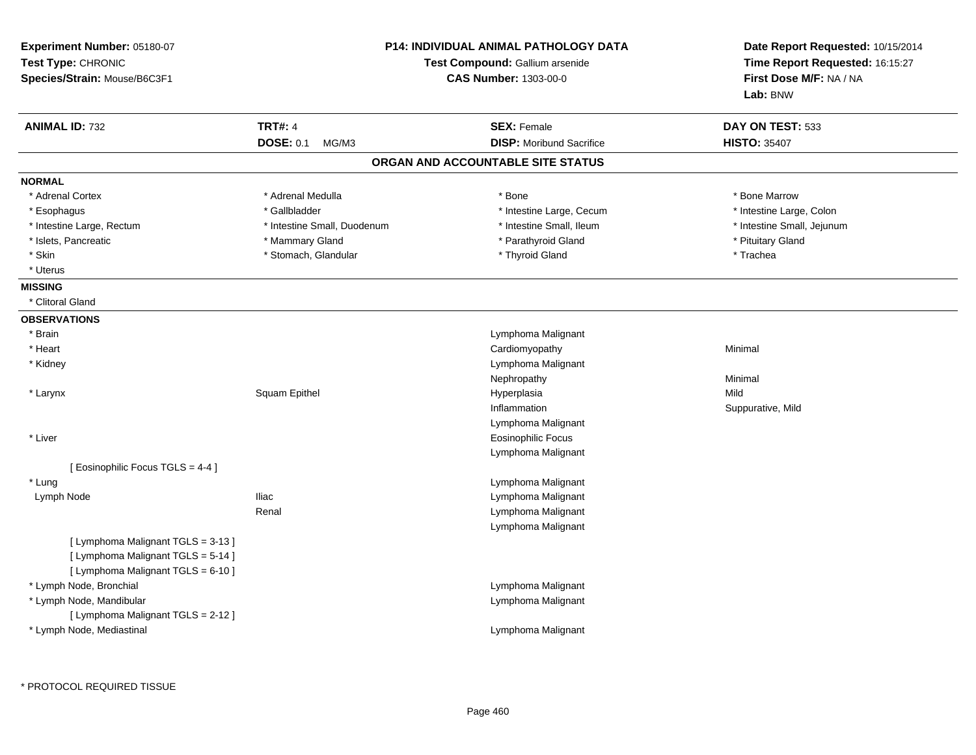| <b>ANIMAL ID: 732</b><br><b>NORMAL</b><br>* Adrenal Cortex<br>* Esophagus<br>* Intestine Large, Rectum<br>* Islets, Pancreatic | <b>TRT#: 4</b><br><b>DOSE: 0.1</b><br>MG/M3<br>* Adrenal Medulla<br>* Gallbladder<br>* Intestine Small, Duodenum<br>* Mammary Gland | <b>SEX: Female</b><br><b>DISP:</b> Moribund Sacrifice<br>ORGAN AND ACCOUNTABLE SITE STATUS<br>* Bone<br>* Intestine Large, Cecum | DAY ON TEST: 533<br><b>HISTO: 35407</b><br>* Bone Marrow |
|--------------------------------------------------------------------------------------------------------------------------------|-------------------------------------------------------------------------------------------------------------------------------------|----------------------------------------------------------------------------------------------------------------------------------|----------------------------------------------------------|
|                                                                                                                                |                                                                                                                                     |                                                                                                                                  |                                                          |
|                                                                                                                                |                                                                                                                                     |                                                                                                                                  |                                                          |
|                                                                                                                                |                                                                                                                                     |                                                                                                                                  |                                                          |
|                                                                                                                                |                                                                                                                                     |                                                                                                                                  |                                                          |
|                                                                                                                                |                                                                                                                                     |                                                                                                                                  | * Intestine Large, Colon                                 |
|                                                                                                                                |                                                                                                                                     | * Intestine Small, Ileum                                                                                                         | * Intestine Small, Jejunum                               |
|                                                                                                                                |                                                                                                                                     | * Parathyroid Gland                                                                                                              | * Pituitary Gland                                        |
| * Skin                                                                                                                         | * Stomach, Glandular                                                                                                                | * Thyroid Gland                                                                                                                  | * Trachea                                                |
| * Uterus                                                                                                                       |                                                                                                                                     |                                                                                                                                  |                                                          |
| <b>MISSING</b>                                                                                                                 |                                                                                                                                     |                                                                                                                                  |                                                          |
| * Clitoral Gland                                                                                                               |                                                                                                                                     |                                                                                                                                  |                                                          |
| <b>OBSERVATIONS</b>                                                                                                            |                                                                                                                                     |                                                                                                                                  |                                                          |
| * Brain                                                                                                                        |                                                                                                                                     | Lymphoma Malignant                                                                                                               |                                                          |
| * Heart                                                                                                                        |                                                                                                                                     | Cardiomyopathy                                                                                                                   | Minimal                                                  |
| * Kidney                                                                                                                       |                                                                                                                                     | Lymphoma Malignant                                                                                                               |                                                          |
|                                                                                                                                |                                                                                                                                     | Nephropathy                                                                                                                      | Minimal                                                  |
| * Larynx                                                                                                                       | Squam Epithel                                                                                                                       | Hyperplasia                                                                                                                      | Mild                                                     |
|                                                                                                                                |                                                                                                                                     | Inflammation                                                                                                                     | Suppurative, Mild                                        |
|                                                                                                                                |                                                                                                                                     | Lymphoma Malignant                                                                                                               |                                                          |
| * Liver                                                                                                                        |                                                                                                                                     | <b>Eosinophilic Focus</b>                                                                                                        |                                                          |
|                                                                                                                                |                                                                                                                                     | Lymphoma Malignant                                                                                                               |                                                          |
| [ Eosinophilic Focus TGLS = 4-4 ]                                                                                              |                                                                                                                                     |                                                                                                                                  |                                                          |
| * Lung                                                                                                                         |                                                                                                                                     | Lymphoma Malignant                                                                                                               |                                                          |
| Lymph Node                                                                                                                     | <b>Iliac</b>                                                                                                                        | Lymphoma Malignant                                                                                                               |                                                          |
|                                                                                                                                | Renal                                                                                                                               | Lymphoma Malignant                                                                                                               |                                                          |
|                                                                                                                                |                                                                                                                                     | Lymphoma Malignant                                                                                                               |                                                          |
| [ Lymphoma Malignant TGLS = 3-13 ]<br>[ Lymphoma Malignant TGLS = 5-14 ]<br>[ Lymphoma Malignant TGLS = 6-10 ]                 |                                                                                                                                     |                                                                                                                                  |                                                          |
| * Lymph Node, Bronchial                                                                                                        |                                                                                                                                     | Lymphoma Malignant                                                                                                               |                                                          |
| * Lymph Node, Mandibular                                                                                                       |                                                                                                                                     | Lymphoma Malignant                                                                                                               |                                                          |
| [ Lymphoma Malignant TGLS = 2-12 ]                                                                                             |                                                                                                                                     |                                                                                                                                  |                                                          |
| * Lymph Node, Mediastinal                                                                                                      |                                                                                                                                     | Lymphoma Malignant                                                                                                               |                                                          |

\* PROTOCOL REQUIRED TISSUE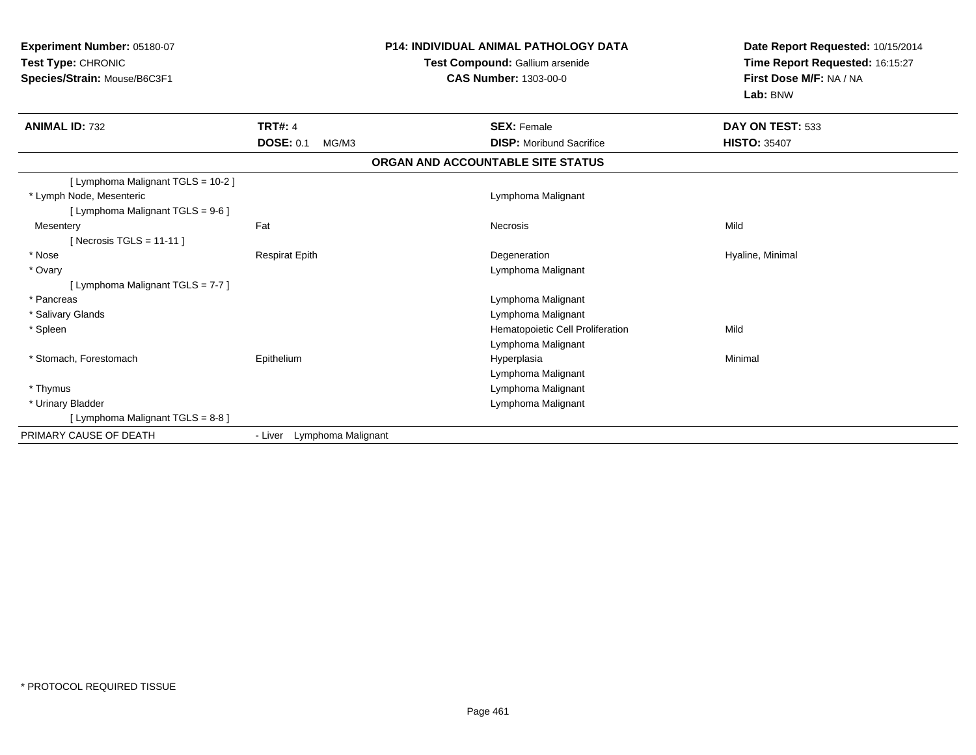| Experiment Number: 05180-07<br>Test Type: CHRONIC<br>Species/Strain: Mouse/B6C3F1 |                            | <b>P14: INDIVIDUAL ANIMAL PATHOLOGY DATA</b><br>Test Compound: Gallium arsenide<br><b>CAS Number: 1303-00-0</b> | Date Report Requested: 10/15/2014<br>Time Report Requested: 16:15:27<br>First Dose M/F: NA / NA<br>Lab: BNW |  |
|-----------------------------------------------------------------------------------|----------------------------|-----------------------------------------------------------------------------------------------------------------|-------------------------------------------------------------------------------------------------------------|--|
| <b>ANIMAL ID: 732</b>                                                             | <b>TRT#: 4</b>             | <b>SEX: Female</b>                                                                                              | DAY ON TEST: 533                                                                                            |  |
|                                                                                   | <b>DOSE: 0.1</b><br>MG/M3  | <b>DISP:</b> Moribund Sacrifice                                                                                 | <b>HISTO: 35407</b>                                                                                         |  |
|                                                                                   |                            | ORGAN AND ACCOUNTABLE SITE STATUS                                                                               |                                                                                                             |  |
| [ Lymphoma Malignant TGLS = 10-2 ]<br>* Lymph Node, Mesenteric                    |                            | Lymphoma Malignant                                                                                              |                                                                                                             |  |
| [ Lymphoma Malignant TGLS = 9-6 ]                                                 |                            |                                                                                                                 |                                                                                                             |  |
| Mesentery                                                                         | Fat                        | <b>Necrosis</b>                                                                                                 | Mild                                                                                                        |  |
| [Necrosis TGLS = 11-11]                                                           |                            |                                                                                                                 |                                                                                                             |  |
| * Nose                                                                            | <b>Respirat Epith</b>      | Degeneration                                                                                                    | Hyaline, Minimal                                                                                            |  |
| * Ovary<br>[ Lymphoma Malignant TGLS = 7-7 ]                                      |                            | Lymphoma Malignant                                                                                              |                                                                                                             |  |
| * Pancreas                                                                        |                            | Lymphoma Malignant                                                                                              |                                                                                                             |  |
| * Salivary Glands                                                                 |                            | Lymphoma Malignant                                                                                              |                                                                                                             |  |
| * Spleen                                                                          |                            | Hematopoietic Cell Proliferation                                                                                | Mild                                                                                                        |  |
|                                                                                   |                            | Lymphoma Malignant                                                                                              |                                                                                                             |  |
| * Stomach, Forestomach                                                            | Epithelium                 | Hyperplasia                                                                                                     | Minimal                                                                                                     |  |
|                                                                                   |                            | Lymphoma Malignant                                                                                              |                                                                                                             |  |
| * Thymus                                                                          |                            | Lymphoma Malignant                                                                                              |                                                                                                             |  |
| * Urinary Bladder                                                                 |                            | Lymphoma Malignant                                                                                              |                                                                                                             |  |
| [ Lymphoma Malignant TGLS = 8-8 ]                                                 |                            |                                                                                                                 |                                                                                                             |  |
| PRIMARY CAUSE OF DEATH                                                            | - Liver Lymphoma Malignant |                                                                                                                 |                                                                                                             |  |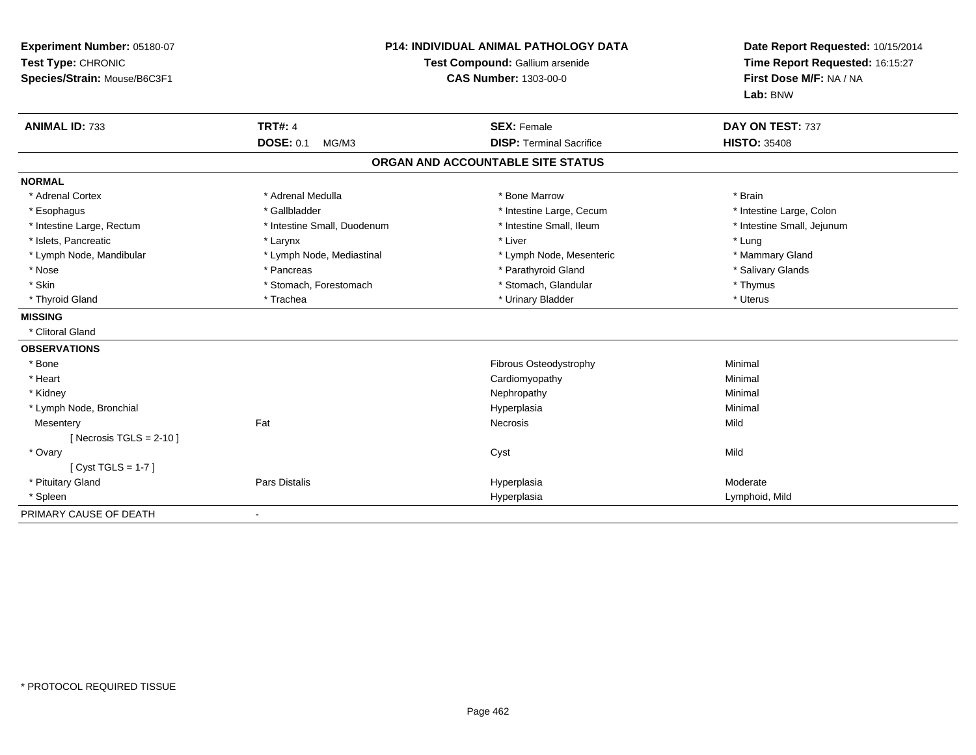| Experiment Number: 05180-07<br>Test Type: CHRONIC<br>Species/Strain: Mouse/B6C3F1 |                             | <b>P14: INDIVIDUAL ANIMAL PATHOLOGY DATA</b><br>Test Compound: Gallium arsenide<br><b>CAS Number: 1303-00-0</b> | Date Report Requested: 10/15/2014<br>Time Report Requested: 16:15:27<br>First Dose M/F: NA / NA<br>Lab: BNW |
|-----------------------------------------------------------------------------------|-----------------------------|-----------------------------------------------------------------------------------------------------------------|-------------------------------------------------------------------------------------------------------------|
| <b>ANIMAL ID: 733</b>                                                             | <b>TRT#: 4</b>              | <b>SEX: Female</b>                                                                                              | DAY ON TEST: 737                                                                                            |
|                                                                                   | <b>DOSE: 0.1</b><br>MG/M3   | <b>DISP: Terminal Sacrifice</b>                                                                                 | <b>HISTO: 35408</b>                                                                                         |
|                                                                                   |                             | ORGAN AND ACCOUNTABLE SITE STATUS                                                                               |                                                                                                             |
| <b>NORMAL</b>                                                                     |                             |                                                                                                                 |                                                                                                             |
| * Adrenal Cortex                                                                  | * Adrenal Medulla           | * Bone Marrow                                                                                                   | * Brain                                                                                                     |
| * Esophagus                                                                       | * Gallbladder               | * Intestine Large, Cecum                                                                                        | * Intestine Large, Colon                                                                                    |
| * Intestine Large, Rectum                                                         | * Intestine Small, Duodenum | * Intestine Small, Ileum                                                                                        | * Intestine Small, Jejunum                                                                                  |
| * Islets, Pancreatic                                                              | * Larynx                    | * Liver                                                                                                         | * Lung                                                                                                      |
| * Lymph Node, Mandibular                                                          | * Lymph Node, Mediastinal   | * Lymph Node, Mesenteric                                                                                        | * Mammary Gland                                                                                             |
| * Nose                                                                            | * Pancreas                  | * Parathyroid Gland                                                                                             | * Salivary Glands                                                                                           |
| * Skin                                                                            | * Stomach, Forestomach      | * Stomach, Glandular                                                                                            | * Thymus                                                                                                    |
| * Thyroid Gland                                                                   | * Trachea                   | * Urinary Bladder                                                                                               | * Uterus                                                                                                    |
| <b>MISSING</b>                                                                    |                             |                                                                                                                 |                                                                                                             |
| * Clitoral Gland                                                                  |                             |                                                                                                                 |                                                                                                             |
| <b>OBSERVATIONS</b>                                                               |                             |                                                                                                                 |                                                                                                             |
| * Bone                                                                            |                             | Fibrous Osteodystrophy                                                                                          | Minimal                                                                                                     |
| * Heart                                                                           |                             | Cardiomyopathy                                                                                                  | Minimal                                                                                                     |
| * Kidney                                                                          |                             | Nephropathy                                                                                                     | Minimal                                                                                                     |
| * Lymph Node, Bronchial                                                           |                             | Hyperplasia                                                                                                     | Minimal                                                                                                     |
| Mesentery                                                                         | Fat                         | Necrosis                                                                                                        | Mild                                                                                                        |
| [ Necrosis TGLS = $2-10$ ]                                                        |                             |                                                                                                                 |                                                                                                             |
| * Ovary                                                                           |                             | Cyst                                                                                                            | Mild                                                                                                        |
| [Cyst TGLS = $1-7$ ]                                                              |                             |                                                                                                                 |                                                                                                             |
| * Pituitary Gland                                                                 | <b>Pars Distalis</b>        | Hyperplasia                                                                                                     | Moderate                                                                                                    |
| * Spleen                                                                          |                             | Hyperplasia                                                                                                     | Lymphoid, Mild                                                                                              |
| PRIMARY CAUSE OF DEATH                                                            |                             |                                                                                                                 |                                                                                                             |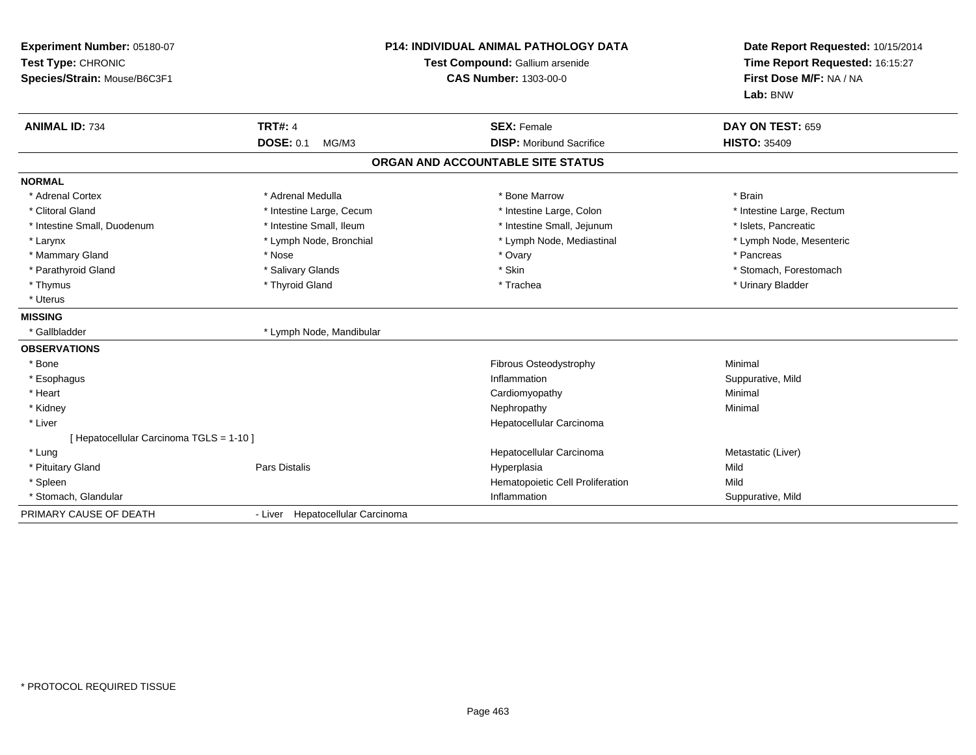| Experiment Number: 05180-07<br>Test Type: CHRONIC<br>Species/Strain: Mouse/B6C3F1 |                                  | P14: INDIVIDUAL ANIMAL PATHOLOGY DATA<br>Test Compound: Gallium arsenide<br><b>CAS Number: 1303-00-0</b> | Date Report Requested: 10/15/2014<br>Time Report Requested: 16:15:27<br>First Dose M/F: NA / NA<br>Lab: BNW |
|-----------------------------------------------------------------------------------|----------------------------------|----------------------------------------------------------------------------------------------------------|-------------------------------------------------------------------------------------------------------------|
| <b>ANIMAL ID: 734</b>                                                             | <b>TRT#: 4</b>                   | <b>SEX: Female</b>                                                                                       | DAY ON TEST: 659                                                                                            |
|                                                                                   | <b>DOSE: 0.1</b><br>MG/M3        | <b>DISP:</b> Moribund Sacrifice                                                                          | <b>HISTO: 35409</b>                                                                                         |
|                                                                                   |                                  | ORGAN AND ACCOUNTABLE SITE STATUS                                                                        |                                                                                                             |
| <b>NORMAL</b>                                                                     |                                  |                                                                                                          |                                                                                                             |
| * Adrenal Cortex                                                                  | * Adrenal Medulla                | * Bone Marrow                                                                                            | * Brain                                                                                                     |
| * Clitoral Gland                                                                  | * Intestine Large, Cecum         | * Intestine Large, Colon                                                                                 | * Intestine Large, Rectum                                                                                   |
| * Intestine Small, Duodenum                                                       | * Intestine Small, Ileum         | * Intestine Small, Jejunum                                                                               | * Islets, Pancreatic                                                                                        |
| * Larynx                                                                          | * Lymph Node, Bronchial          | * Lymph Node, Mediastinal                                                                                | * Lymph Node, Mesenteric                                                                                    |
| * Mammary Gland                                                                   | * Nose                           | * Ovary                                                                                                  | * Pancreas                                                                                                  |
| * Parathyroid Gland                                                               | * Salivary Glands                | * Skin                                                                                                   | * Stomach, Forestomach                                                                                      |
| * Thymus                                                                          | * Thyroid Gland                  | * Trachea                                                                                                | * Urinary Bladder                                                                                           |
| * Uterus                                                                          |                                  |                                                                                                          |                                                                                                             |
| <b>MISSING</b>                                                                    |                                  |                                                                                                          |                                                                                                             |
| * Gallbladder                                                                     | * Lymph Node, Mandibular         |                                                                                                          |                                                                                                             |
| <b>OBSERVATIONS</b>                                                               |                                  |                                                                                                          |                                                                                                             |
| * Bone                                                                            |                                  | Fibrous Osteodystrophy                                                                                   | Minimal                                                                                                     |
| * Esophagus                                                                       |                                  | Inflammation                                                                                             | Suppurative, Mild                                                                                           |
| * Heart                                                                           |                                  | Cardiomyopathy                                                                                           | Minimal                                                                                                     |
| * Kidney                                                                          |                                  | Nephropathy                                                                                              | Minimal                                                                                                     |
| * Liver                                                                           |                                  | Hepatocellular Carcinoma                                                                                 |                                                                                                             |
| [Hepatocellular Carcinoma TGLS = 1-10]                                            |                                  |                                                                                                          |                                                                                                             |
| * Lung                                                                            |                                  | Hepatocellular Carcinoma                                                                                 | Metastatic (Liver)                                                                                          |
| * Pituitary Gland                                                                 | <b>Pars Distalis</b>             | Hyperplasia                                                                                              | Mild                                                                                                        |
| * Spleen                                                                          |                                  | Hematopoietic Cell Proliferation                                                                         | Mild                                                                                                        |
| * Stomach, Glandular                                                              |                                  | Inflammation                                                                                             | Suppurative, Mild                                                                                           |
| PRIMARY CAUSE OF DEATH                                                            | - Liver Hepatocellular Carcinoma |                                                                                                          |                                                                                                             |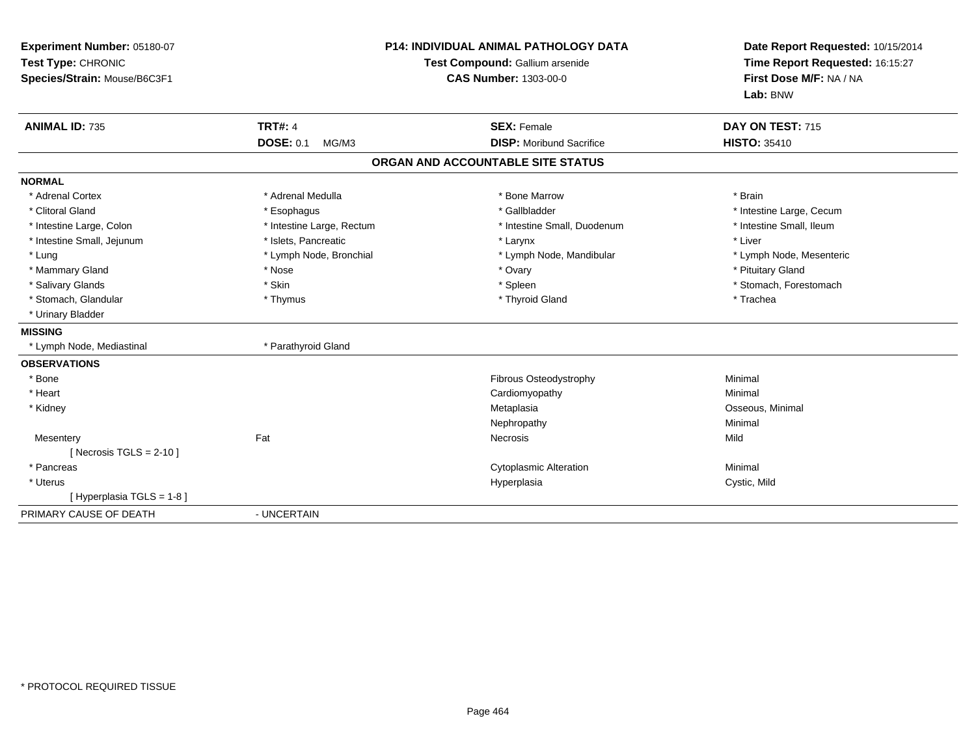| Experiment Number: 05180-07<br>Test Type: CHRONIC<br>Species/Strain: Mouse/B6C3F1 | <b>P14: INDIVIDUAL ANIMAL PATHOLOGY DATA</b><br>Test Compound: Gallium arsenide<br><b>CAS Number: 1303-00-0</b> |                                   | Date Report Requested: 10/15/2014<br>Time Report Requested: 16:15:27<br>First Dose M/F: NA / NA<br>Lab: BNW |
|-----------------------------------------------------------------------------------|-----------------------------------------------------------------------------------------------------------------|-----------------------------------|-------------------------------------------------------------------------------------------------------------|
| <b>ANIMAL ID: 735</b>                                                             | <b>TRT#: 4</b>                                                                                                  | <b>SEX: Female</b>                | DAY ON TEST: 715                                                                                            |
|                                                                                   | <b>DOSE: 0.1</b><br>MG/M3                                                                                       | <b>DISP:</b> Moribund Sacrifice   | <b>HISTO: 35410</b>                                                                                         |
|                                                                                   |                                                                                                                 | ORGAN AND ACCOUNTABLE SITE STATUS |                                                                                                             |
| <b>NORMAL</b>                                                                     |                                                                                                                 |                                   |                                                                                                             |
| * Adrenal Cortex                                                                  | * Adrenal Medulla                                                                                               | * Bone Marrow                     | * Brain                                                                                                     |
| * Clitoral Gland                                                                  | * Esophagus                                                                                                     | * Gallbladder                     | * Intestine Large, Cecum                                                                                    |
| * Intestine Large, Colon                                                          | * Intestine Large, Rectum                                                                                       | * Intestine Small, Duodenum       | * Intestine Small, Ileum                                                                                    |
| * Intestine Small, Jejunum                                                        | * Islets, Pancreatic                                                                                            | * Larynx                          | * Liver                                                                                                     |
| * Lung                                                                            | * Lymph Node, Bronchial                                                                                         | * Lymph Node, Mandibular          | * Lymph Node, Mesenteric                                                                                    |
| * Mammary Gland                                                                   | * Nose                                                                                                          | * Ovary                           | * Pituitary Gland                                                                                           |
| * Salivary Glands                                                                 | * Skin                                                                                                          | * Spleen                          | * Stomach, Forestomach                                                                                      |
| * Stomach, Glandular                                                              | * Thymus                                                                                                        | * Thyroid Gland                   | * Trachea                                                                                                   |
| * Urinary Bladder                                                                 |                                                                                                                 |                                   |                                                                                                             |
| <b>MISSING</b>                                                                    |                                                                                                                 |                                   |                                                                                                             |
| * Lymph Node, Mediastinal                                                         | * Parathyroid Gland                                                                                             |                                   |                                                                                                             |
| <b>OBSERVATIONS</b>                                                               |                                                                                                                 |                                   |                                                                                                             |
| * Bone                                                                            |                                                                                                                 | Fibrous Osteodystrophy            | Minimal                                                                                                     |
| * Heart                                                                           |                                                                                                                 | Cardiomyopathy                    | Minimal                                                                                                     |
| * Kidney                                                                          |                                                                                                                 | Metaplasia                        | Osseous, Minimal                                                                                            |
|                                                                                   |                                                                                                                 | Nephropathy                       | Minimal                                                                                                     |
| Mesentery                                                                         | Fat                                                                                                             | Necrosis                          | Mild                                                                                                        |
| [ Necrosis TGLS = $2-10$ ]                                                        |                                                                                                                 |                                   |                                                                                                             |
| * Pancreas                                                                        |                                                                                                                 | <b>Cytoplasmic Alteration</b>     | Minimal                                                                                                     |
| * Uterus                                                                          |                                                                                                                 | Hyperplasia                       | Cystic, Mild                                                                                                |
| [Hyperplasia TGLS = 1-8]                                                          |                                                                                                                 |                                   |                                                                                                             |
| PRIMARY CAUSE OF DEATH                                                            | - UNCERTAIN                                                                                                     |                                   |                                                                                                             |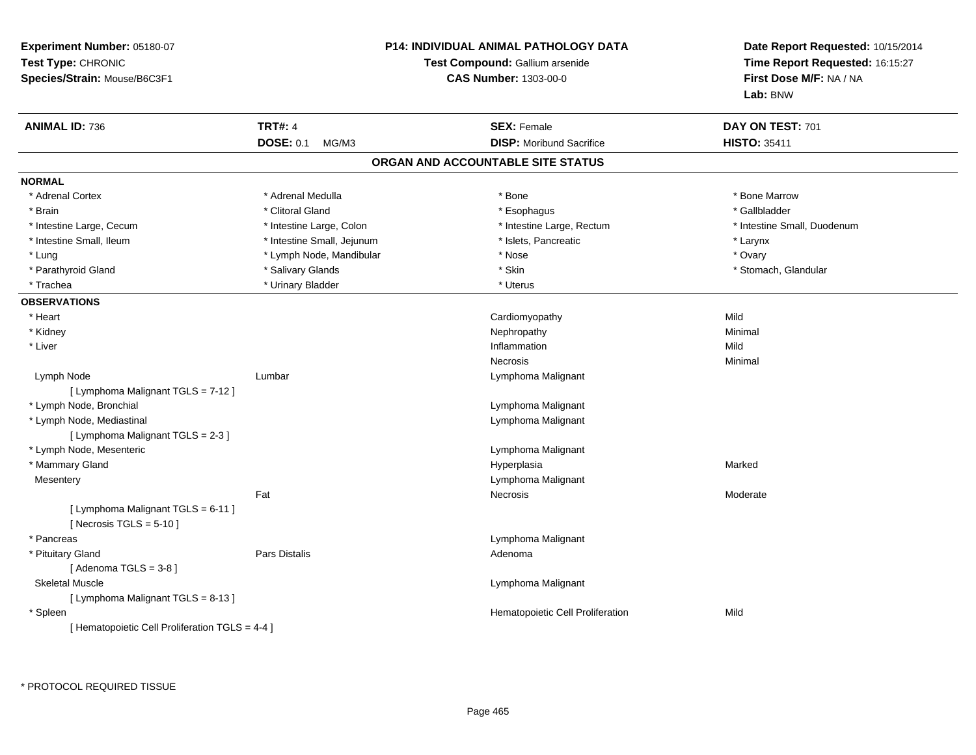| Experiment Number: 05180-07<br>Test Type: CHRONIC<br>Species/Strain: Mouse/B6C3F1 |                            | P14: INDIVIDUAL ANIMAL PATHOLOGY DATA<br>Test Compound: Gallium arsenide<br><b>CAS Number: 1303-00-0</b> | Date Report Requested: 10/15/2014<br>Time Report Requested: 16:15:27<br>First Dose M/F: NA / NA<br>Lab: BNW |
|-----------------------------------------------------------------------------------|----------------------------|----------------------------------------------------------------------------------------------------------|-------------------------------------------------------------------------------------------------------------|
| <b>ANIMAL ID: 736</b>                                                             | <b>TRT#: 4</b>             | <b>SEX: Female</b>                                                                                       | DAY ON TEST: 701                                                                                            |
|                                                                                   | <b>DOSE: 0.1</b><br>MG/M3  | <b>DISP:</b> Moribund Sacrifice                                                                          | <b>HISTO: 35411</b>                                                                                         |
|                                                                                   |                            | ORGAN AND ACCOUNTABLE SITE STATUS                                                                        |                                                                                                             |
| <b>NORMAL</b>                                                                     |                            |                                                                                                          |                                                                                                             |
| * Adrenal Cortex                                                                  | * Adrenal Medulla          | $^{\star}$ Bone                                                                                          | * Bone Marrow                                                                                               |
| * Brain                                                                           | * Clitoral Gland           | * Esophagus                                                                                              | * Gallbladder                                                                                               |
| * Intestine Large, Cecum                                                          | * Intestine Large, Colon   | * Intestine Large, Rectum                                                                                | * Intestine Small, Duodenum                                                                                 |
| * Intestine Small, Ileum                                                          | * Intestine Small, Jejunum | * Islets, Pancreatic                                                                                     | * Larynx                                                                                                    |
| * Lung                                                                            | * Lymph Node, Mandibular   | * Nose                                                                                                   | * Ovary                                                                                                     |
| * Parathyroid Gland                                                               | * Salivary Glands          | * Skin                                                                                                   | * Stomach, Glandular                                                                                        |
| * Trachea                                                                         | * Urinary Bladder          | * Uterus                                                                                                 |                                                                                                             |
| <b>OBSERVATIONS</b>                                                               |                            |                                                                                                          |                                                                                                             |
| * Heart                                                                           |                            | Cardiomyopathy                                                                                           | Mild                                                                                                        |
| * Kidney                                                                          |                            | Nephropathy                                                                                              | Minimal                                                                                                     |
| * Liver                                                                           |                            | Inflammation                                                                                             | Mild                                                                                                        |
|                                                                                   |                            | Necrosis                                                                                                 | Minimal                                                                                                     |
| Lymph Node                                                                        | Lumbar                     | Lymphoma Malignant                                                                                       |                                                                                                             |
| [ Lymphoma Malignant TGLS = 7-12 ]                                                |                            |                                                                                                          |                                                                                                             |
| * Lymph Node, Bronchial                                                           |                            | Lymphoma Malignant                                                                                       |                                                                                                             |
| * Lymph Node, Mediastinal                                                         |                            | Lymphoma Malignant                                                                                       |                                                                                                             |
| [ Lymphoma Malignant TGLS = 2-3 ]                                                 |                            |                                                                                                          |                                                                                                             |
| * Lymph Node, Mesenteric                                                          |                            | Lymphoma Malignant                                                                                       |                                                                                                             |
| * Mammary Gland                                                                   |                            | Hyperplasia                                                                                              | Marked                                                                                                      |
| Mesentery                                                                         |                            | Lymphoma Malignant                                                                                       |                                                                                                             |
|                                                                                   | Fat                        | Necrosis                                                                                                 | Moderate                                                                                                    |
| [ Lymphoma Malignant TGLS = 6-11 ]<br>[Necrosis TGLS = $5-10$ ]                   |                            |                                                                                                          |                                                                                                             |
| * Pancreas                                                                        |                            | Lymphoma Malignant                                                                                       |                                                                                                             |
| * Pituitary Gland                                                                 | Pars Distalis              | Adenoma                                                                                                  |                                                                                                             |
| [Adenoma TGLS = $3-8$ ]                                                           |                            |                                                                                                          |                                                                                                             |
| <b>Skeletal Muscle</b>                                                            |                            | Lymphoma Malignant                                                                                       |                                                                                                             |
| [ Lymphoma Malignant TGLS = 8-13 ]                                                |                            |                                                                                                          |                                                                                                             |
| * Spleen                                                                          |                            | Hematopoietic Cell Proliferation                                                                         | Mild                                                                                                        |
| [ Hematopoietic Cell Proliferation TGLS = 4-4 ]                                   |                            |                                                                                                          |                                                                                                             |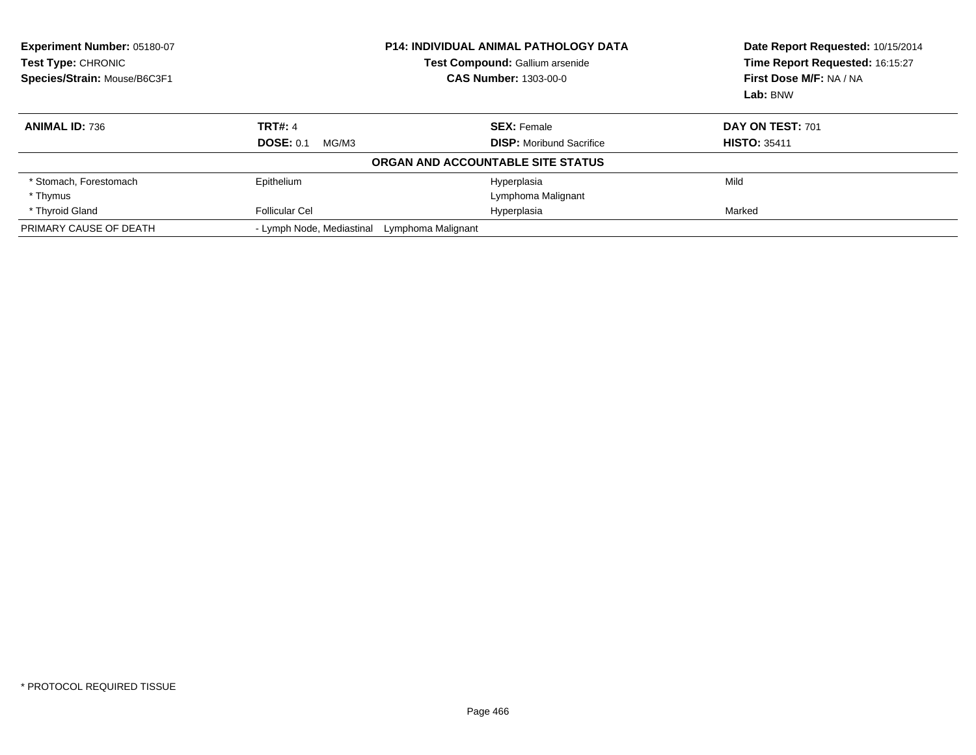| <b>Experiment Number: 05180-07</b><br>Test Type: CHRONIC<br>Species/Strain: Mouse/B6C3F1 | <b>P14: INDIVIDUAL ANIMAL PATHOLOGY DATA</b><br><b>Test Compound: Gallium arsenide</b><br><b>CAS Number: 1303-00-0</b> |                                   | Date Report Requested: 10/15/2014<br>Time Report Requested: 16:15:27<br>First Dose M/F: NA / NA |
|------------------------------------------------------------------------------------------|------------------------------------------------------------------------------------------------------------------------|-----------------------------------|-------------------------------------------------------------------------------------------------|
|                                                                                          |                                                                                                                        |                                   | Lab: BNW                                                                                        |
| <b>ANIMAL ID: 736</b>                                                                    | <b>TRT#: 4</b>                                                                                                         | <b>SEX: Female</b>                | DAY ON TEST: 701                                                                                |
|                                                                                          | <b>DOSE: 0.1</b><br>MG/M3                                                                                              | <b>DISP:</b> Moribund Sacrifice   | <b>HISTO: 35411</b>                                                                             |
|                                                                                          |                                                                                                                        | ORGAN AND ACCOUNTABLE SITE STATUS |                                                                                                 |
| * Stomach, Forestomach                                                                   | Epithelium                                                                                                             | Hyperplasia                       | Mild                                                                                            |
| * Thymus                                                                                 |                                                                                                                        | Lymphoma Malignant                |                                                                                                 |
| * Thyroid Gland                                                                          | Follicular Cel                                                                                                         | Hyperplasia                       | Marked                                                                                          |
| PRIMARY CAUSE OF DEATH                                                                   | - Lymph Node, Mediastinal<br>Lymphoma Malignant                                                                        |                                   |                                                                                                 |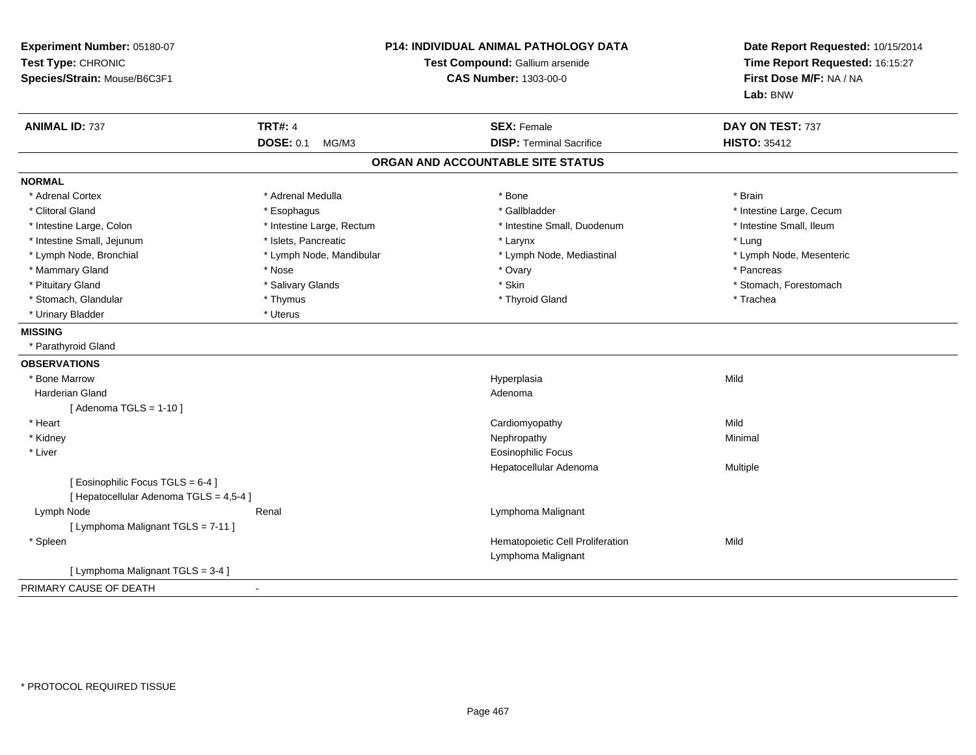| Experiment Number: 05180-07<br>Test Type: CHRONIC<br>Species/Strain: Mouse/B6C3F1 | <b>P14: INDIVIDUAL ANIMAL PATHOLOGY DATA</b><br>Test Compound: Gallium arsenide<br><b>CAS Number: 1303-00-0</b> |                                                        | Date Report Requested: 10/15/2014<br>Time Report Requested: 16:15:27<br>First Dose M/F: NA / NA<br>Lab: BNW |
|-----------------------------------------------------------------------------------|-----------------------------------------------------------------------------------------------------------------|--------------------------------------------------------|-------------------------------------------------------------------------------------------------------------|
| <b>ANIMAL ID: 737</b>                                                             | <b>TRT#: 4</b>                                                                                                  | <b>SEX: Female</b>                                     | DAY ON TEST: 737                                                                                            |
|                                                                                   | <b>DOSE: 0.1</b><br>MG/M3                                                                                       | <b>DISP: Terminal Sacrifice</b>                        | <b>HISTO: 35412</b>                                                                                         |
|                                                                                   |                                                                                                                 | ORGAN AND ACCOUNTABLE SITE STATUS                      |                                                                                                             |
| <b>NORMAL</b>                                                                     |                                                                                                                 |                                                        |                                                                                                             |
| * Adrenal Cortex                                                                  | * Adrenal Medulla                                                                                               | * Bone                                                 | * Brain                                                                                                     |
| * Clitoral Gland                                                                  | * Esophagus                                                                                                     | * Gallbladder                                          | * Intestine Large, Cecum                                                                                    |
| * Intestine Large, Colon                                                          | * Intestine Large, Rectum                                                                                       | * Intestine Small, Duodenum                            | * Intestine Small, Ileum                                                                                    |
| * Intestine Small, Jejunum                                                        | * Islets, Pancreatic                                                                                            | * Larynx                                               | * Lung                                                                                                      |
| * Lymph Node, Bronchial                                                           | * Lymph Node, Mandibular                                                                                        | * Lymph Node, Mediastinal                              | * Lymph Node, Mesenteric                                                                                    |
| * Mammary Gland                                                                   | * Nose                                                                                                          | * Ovary                                                | * Pancreas                                                                                                  |
| * Pituitary Gland                                                                 | * Salivary Glands                                                                                               | * Skin                                                 | * Stomach, Forestomach                                                                                      |
| * Stomach, Glandular                                                              | * Thymus                                                                                                        | * Thyroid Gland                                        | * Trachea                                                                                                   |
| * Urinary Bladder                                                                 | * Uterus                                                                                                        |                                                        |                                                                                                             |
| <b>MISSING</b>                                                                    |                                                                                                                 |                                                        |                                                                                                             |
| * Parathyroid Gland                                                               |                                                                                                                 |                                                        |                                                                                                             |
| <b>OBSERVATIONS</b>                                                               |                                                                                                                 |                                                        |                                                                                                             |
| * Bone Marrow                                                                     |                                                                                                                 | Hyperplasia                                            | Mild                                                                                                        |
| <b>Harderian Gland</b>                                                            |                                                                                                                 | Adenoma                                                |                                                                                                             |
| [ Adenoma TGLS = $1-10$ ]                                                         |                                                                                                                 |                                                        |                                                                                                             |
| * Heart                                                                           |                                                                                                                 | Cardiomyopathy                                         | Mild                                                                                                        |
| * Kidney                                                                          |                                                                                                                 | Nephropathy                                            | Minimal                                                                                                     |
| * Liver                                                                           |                                                                                                                 | <b>Eosinophilic Focus</b>                              |                                                                                                             |
|                                                                                   |                                                                                                                 | Hepatocellular Adenoma                                 | Multiple                                                                                                    |
| [Eosinophilic Focus TGLS = 6-4]<br>[ Hepatocellular Adenoma TGLS = 4,5-4 ]        |                                                                                                                 |                                                        |                                                                                                             |
| Lymph Node                                                                        | Renal                                                                                                           | Lymphoma Malignant                                     |                                                                                                             |
| [ Lymphoma Malignant TGLS = 7-11 ]                                                |                                                                                                                 |                                                        |                                                                                                             |
| * Spleen                                                                          |                                                                                                                 | Hematopoietic Cell Proliferation<br>Lymphoma Malignant | Mild                                                                                                        |
| [ Lymphoma Malignant TGLS = 3-4 ]                                                 |                                                                                                                 |                                                        |                                                                                                             |
| PRIMARY CAUSE OF DEATH                                                            |                                                                                                                 |                                                        |                                                                                                             |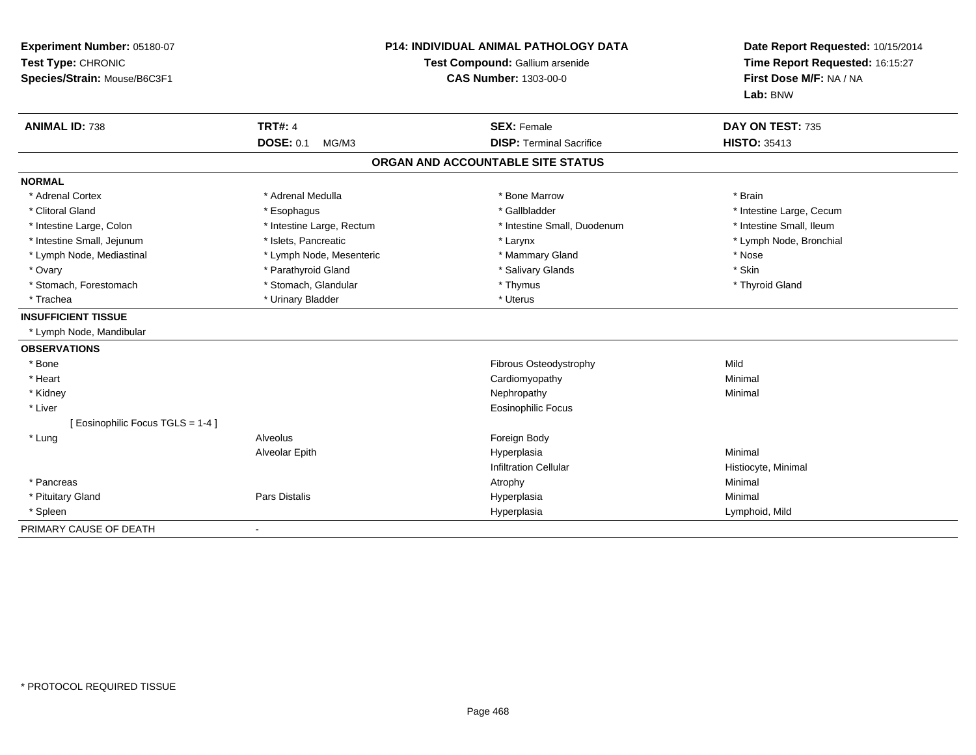| Experiment Number: 05180-07<br>Test Type: CHRONIC<br>Species/Strain: Mouse/B6C3F1 | <b>P14: INDIVIDUAL ANIMAL PATHOLOGY DATA</b><br>Test Compound: Gallium arsenide<br>CAS Number: 1303-00-0 |                                   | Date Report Requested: 10/15/2014<br>Time Report Requested: 16:15:27<br>First Dose M/F: NA / NA<br>Lab: BNW |  |
|-----------------------------------------------------------------------------------|----------------------------------------------------------------------------------------------------------|-----------------------------------|-------------------------------------------------------------------------------------------------------------|--|
| <b>ANIMAL ID: 738</b>                                                             | <b>TRT#: 4</b>                                                                                           | <b>SEX: Female</b>                | DAY ON TEST: 735                                                                                            |  |
|                                                                                   | <b>DOSE: 0.1</b><br>MG/M3                                                                                | <b>DISP: Terminal Sacrifice</b>   | <b>HISTO: 35413</b>                                                                                         |  |
|                                                                                   |                                                                                                          | ORGAN AND ACCOUNTABLE SITE STATUS |                                                                                                             |  |
| <b>NORMAL</b>                                                                     |                                                                                                          |                                   |                                                                                                             |  |
| * Adrenal Cortex                                                                  | * Adrenal Medulla                                                                                        | * Bone Marrow                     | * Brain                                                                                                     |  |
| * Clitoral Gland                                                                  | * Esophagus                                                                                              | * Gallbladder                     | * Intestine Large, Cecum                                                                                    |  |
| * Intestine Large, Colon                                                          | * Intestine Large, Rectum                                                                                | * Intestine Small, Duodenum       | * Intestine Small, Ileum                                                                                    |  |
| * Intestine Small, Jejunum                                                        | * Islets, Pancreatic                                                                                     | * Larynx                          | * Lymph Node, Bronchial                                                                                     |  |
| * Lymph Node, Mediastinal                                                         | * Lymph Node, Mesenteric                                                                                 | * Mammary Gland                   | * Nose                                                                                                      |  |
| * Ovary                                                                           | * Parathyroid Gland                                                                                      | * Salivary Glands                 | * Skin                                                                                                      |  |
| * Stomach, Forestomach                                                            | * Stomach, Glandular                                                                                     | * Thymus                          | * Thyroid Gland                                                                                             |  |
| * Trachea                                                                         | * Urinary Bladder                                                                                        | * Uterus                          |                                                                                                             |  |
| <b>INSUFFICIENT TISSUE</b>                                                        |                                                                                                          |                                   |                                                                                                             |  |
| * Lymph Node, Mandibular                                                          |                                                                                                          |                                   |                                                                                                             |  |
| <b>OBSERVATIONS</b>                                                               |                                                                                                          |                                   |                                                                                                             |  |
| * Bone                                                                            |                                                                                                          | Fibrous Osteodystrophy            | Mild                                                                                                        |  |
| * Heart                                                                           |                                                                                                          | Cardiomyopathy                    | Minimal                                                                                                     |  |
| * Kidney                                                                          |                                                                                                          | Nephropathy                       | Minimal                                                                                                     |  |
| * Liver                                                                           |                                                                                                          | <b>Eosinophilic Focus</b>         |                                                                                                             |  |
| [ Eosinophilic Focus TGLS = 1-4 ]                                                 |                                                                                                          |                                   |                                                                                                             |  |
| * Lung                                                                            | Alveolus                                                                                                 | Foreign Body                      |                                                                                                             |  |
|                                                                                   | Alveolar Epith                                                                                           | Hyperplasia                       | Minimal                                                                                                     |  |
|                                                                                   |                                                                                                          | <b>Infiltration Cellular</b>      | Histiocyte, Minimal                                                                                         |  |
| * Pancreas                                                                        |                                                                                                          | Atrophy                           | Minimal                                                                                                     |  |
| * Pituitary Gland                                                                 | <b>Pars Distalis</b>                                                                                     | Hyperplasia                       | Minimal                                                                                                     |  |
| * Spleen                                                                          |                                                                                                          | Hyperplasia                       | Lymphoid, Mild                                                                                              |  |
| PRIMARY CAUSE OF DEATH                                                            |                                                                                                          |                                   |                                                                                                             |  |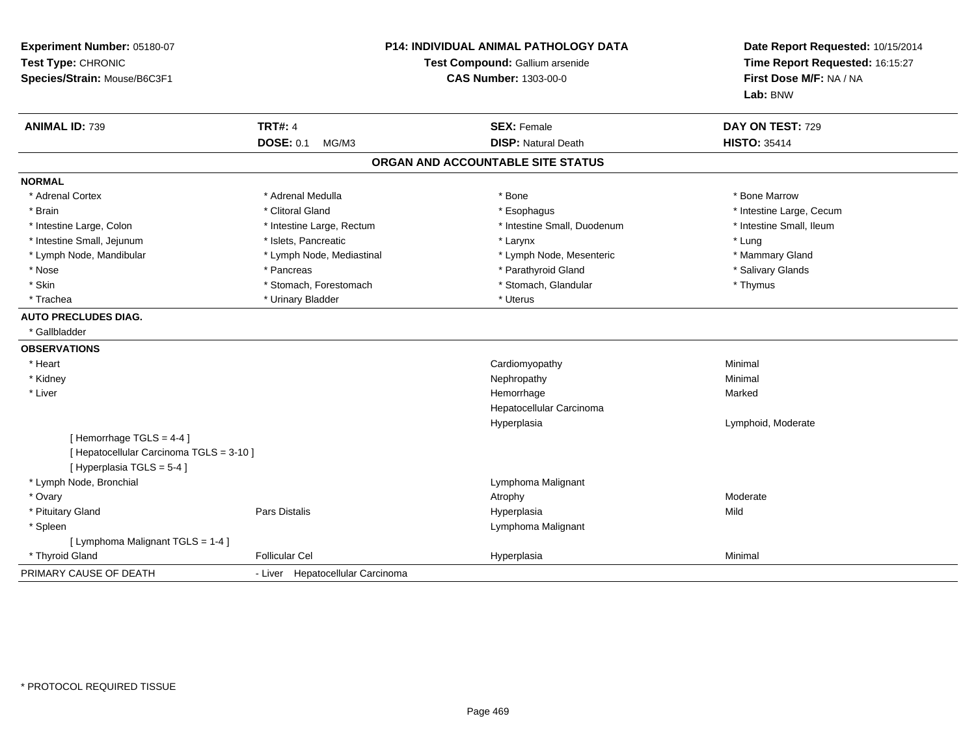| Experiment Number: 05180-07<br>Test Type: CHRONIC<br>Species/Strain: Mouse/B6C3F1 | P14: INDIVIDUAL ANIMAL PATHOLOGY DATA<br>Test Compound: Gallium arsenide<br><b>CAS Number: 1303-00-0</b> |                                                  | Date Report Requested: 10/15/2014<br>Time Report Requested: 16:15:27<br>First Dose M/F: NA / NA<br>Lab: BNW |  |
|-----------------------------------------------------------------------------------|----------------------------------------------------------------------------------------------------------|--------------------------------------------------|-------------------------------------------------------------------------------------------------------------|--|
| <b>ANIMAL ID: 739</b>                                                             | <b>TRT#: 4</b><br><b>DOSE: 0.1</b><br>MG/M3                                                              | <b>SEX: Female</b><br><b>DISP: Natural Death</b> | DAY ON TEST: 729<br><b>HISTO: 35414</b>                                                                     |  |
|                                                                                   |                                                                                                          | ORGAN AND ACCOUNTABLE SITE STATUS                |                                                                                                             |  |
| <b>NORMAL</b>                                                                     |                                                                                                          |                                                  |                                                                                                             |  |
| * Adrenal Cortex                                                                  | * Adrenal Medulla                                                                                        | $*$ Bone                                         | * Bone Marrow                                                                                               |  |
| * Brain                                                                           | * Clitoral Gland                                                                                         |                                                  | * Intestine Large, Cecum                                                                                    |  |
| * Intestine Large, Colon                                                          | * Intestine Large, Rectum                                                                                | * Esophagus<br>* Intestine Small, Duodenum       | * Intestine Small, Ileum                                                                                    |  |
| * Intestine Small, Jejunum                                                        | * Islets, Pancreatic                                                                                     | * Larynx                                         | * Lung                                                                                                      |  |
| * Lymph Node, Mandibular                                                          | * Lymph Node, Mediastinal                                                                                | * Lymph Node, Mesenteric                         | * Mammary Gland                                                                                             |  |
| * Nose                                                                            | * Pancreas                                                                                               | * Parathyroid Gland                              | * Salivary Glands                                                                                           |  |
| * Skin                                                                            | * Stomach, Forestomach                                                                                   | * Stomach, Glandular                             | * Thymus                                                                                                    |  |
| * Trachea                                                                         | * Urinary Bladder                                                                                        | * Uterus                                         |                                                                                                             |  |
| <b>AUTO PRECLUDES DIAG.</b>                                                       |                                                                                                          |                                                  |                                                                                                             |  |
| * Gallbladder                                                                     |                                                                                                          |                                                  |                                                                                                             |  |
| <b>OBSERVATIONS</b>                                                               |                                                                                                          |                                                  |                                                                                                             |  |
| * Heart                                                                           |                                                                                                          | Cardiomyopathy                                   | Minimal                                                                                                     |  |
| * Kidney                                                                          |                                                                                                          | Nephropathy                                      | Minimal                                                                                                     |  |
| * Liver                                                                           |                                                                                                          | Hemorrhage                                       | Marked                                                                                                      |  |
|                                                                                   |                                                                                                          | Hepatocellular Carcinoma                         |                                                                                                             |  |
|                                                                                   |                                                                                                          | Hyperplasia                                      | Lymphoid, Moderate                                                                                          |  |
| [Hemorrhage TGLS = 4-4]                                                           |                                                                                                          |                                                  |                                                                                                             |  |
| [ Hepatocellular Carcinoma TGLS = 3-10 ]                                          |                                                                                                          |                                                  |                                                                                                             |  |
| [Hyperplasia TGLS = 5-4]                                                          |                                                                                                          |                                                  |                                                                                                             |  |
| * Lymph Node, Bronchial                                                           |                                                                                                          | Lymphoma Malignant                               |                                                                                                             |  |
| * Ovary                                                                           |                                                                                                          | Atrophy                                          | Moderate                                                                                                    |  |
| * Pituitary Gland                                                                 | Pars Distalis                                                                                            | Hyperplasia                                      | Mild                                                                                                        |  |
| * Spleen                                                                          |                                                                                                          | Lymphoma Malignant                               |                                                                                                             |  |
| [ Lymphoma Malignant TGLS = 1-4 ]                                                 |                                                                                                          |                                                  |                                                                                                             |  |
| * Thyroid Gland                                                                   | <b>Follicular Cel</b>                                                                                    | Hyperplasia                                      | Minimal                                                                                                     |  |
| PRIMARY CAUSE OF DEATH                                                            | - Liver Hepatocellular Carcinoma                                                                         |                                                  |                                                                                                             |  |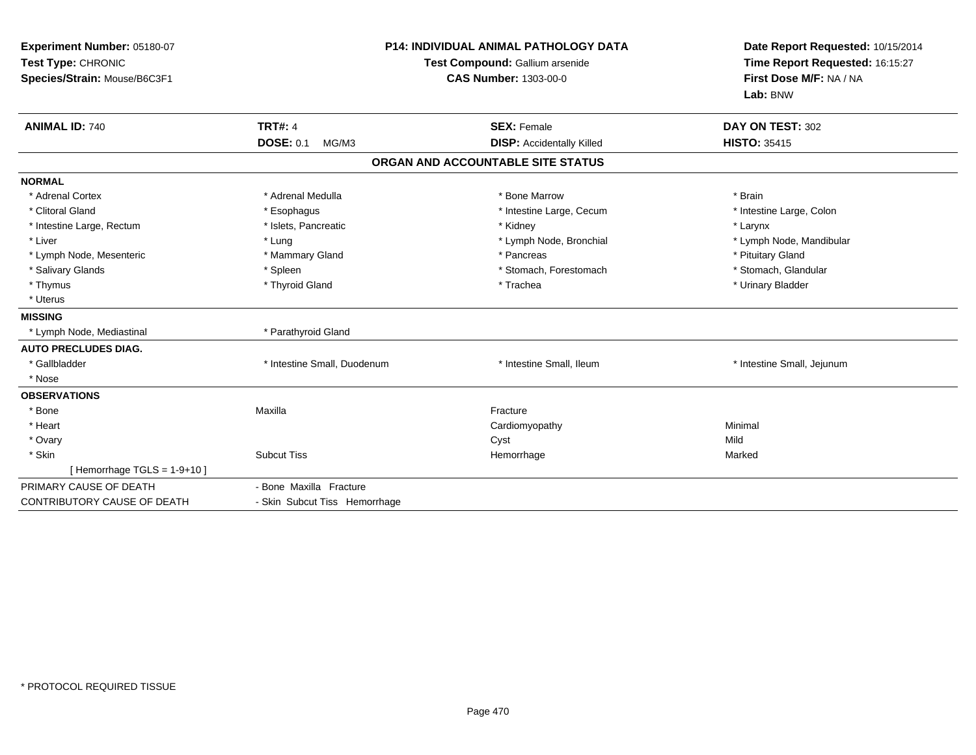| Experiment Number: 05180-07<br>Test Type: CHRONIC<br>Species/Strain: Mouse/B6C3F1<br><b>ANIMAL ID: 740</b> | <b>TRT#: 4</b>                | <b>P14: INDIVIDUAL ANIMAL PATHOLOGY DATA</b><br>Test Compound: Gallium arsenide<br><b>CAS Number: 1303-00-0</b><br><b>SEX: Female</b> | Date Report Requested: 10/15/2014<br>Time Report Requested: 16:15:27<br>First Dose M/F: NA / NA<br>Lab: BNW<br>DAY ON TEST: 302 |
|------------------------------------------------------------------------------------------------------------|-------------------------------|---------------------------------------------------------------------------------------------------------------------------------------|---------------------------------------------------------------------------------------------------------------------------------|
|                                                                                                            | <b>DOSE: 0.1</b><br>MG/M3     | <b>DISP: Accidentally Killed</b>                                                                                                      | <b>HISTO: 35415</b>                                                                                                             |
|                                                                                                            |                               | ORGAN AND ACCOUNTABLE SITE STATUS                                                                                                     |                                                                                                                                 |
| <b>NORMAL</b>                                                                                              |                               |                                                                                                                                       |                                                                                                                                 |
| * Adrenal Cortex                                                                                           | * Adrenal Medulla             | * Bone Marrow                                                                                                                         | * Brain                                                                                                                         |
| * Clitoral Gland                                                                                           | * Esophagus                   | * Intestine Large, Cecum                                                                                                              | * Intestine Large, Colon                                                                                                        |
| * Intestine Large, Rectum                                                                                  | * Islets, Pancreatic          | * Kidney                                                                                                                              | * Larynx                                                                                                                        |
| * Liver                                                                                                    | * Lung                        | * Lymph Node, Bronchial                                                                                                               | * Lymph Node, Mandibular                                                                                                        |
| * Lymph Node, Mesenteric                                                                                   | * Mammary Gland               | * Pancreas                                                                                                                            | * Pituitary Gland                                                                                                               |
| * Salivary Glands                                                                                          | * Spleen                      | * Stomach, Forestomach                                                                                                                | * Stomach, Glandular                                                                                                            |
| * Thymus                                                                                                   | * Thyroid Gland               | * Trachea                                                                                                                             | * Urinary Bladder                                                                                                               |
| * Uterus                                                                                                   |                               |                                                                                                                                       |                                                                                                                                 |
| <b>MISSING</b>                                                                                             |                               |                                                                                                                                       |                                                                                                                                 |
| * Lymph Node, Mediastinal                                                                                  | * Parathyroid Gland           |                                                                                                                                       |                                                                                                                                 |
| <b>AUTO PRECLUDES DIAG.</b>                                                                                |                               |                                                                                                                                       |                                                                                                                                 |
| * Gallbladder                                                                                              | * Intestine Small, Duodenum   | * Intestine Small, Ileum                                                                                                              | * Intestine Small, Jejunum                                                                                                      |
| * Nose                                                                                                     |                               |                                                                                                                                       |                                                                                                                                 |
| <b>OBSERVATIONS</b>                                                                                        |                               |                                                                                                                                       |                                                                                                                                 |
| * Bone                                                                                                     | Maxilla                       | Fracture                                                                                                                              |                                                                                                                                 |
| * Heart                                                                                                    |                               | Cardiomyopathy                                                                                                                        | Minimal                                                                                                                         |
| * Ovary                                                                                                    |                               | Cyst                                                                                                                                  | Mild                                                                                                                            |
| * Skin                                                                                                     | <b>Subcut Tiss</b>            | Hemorrhage                                                                                                                            | Marked                                                                                                                          |
| [Hemorrhage TGLS = $1-9+10$ ]                                                                              |                               |                                                                                                                                       |                                                                                                                                 |
| PRIMARY CAUSE OF DEATH                                                                                     | - Bone Maxilla Fracture       |                                                                                                                                       |                                                                                                                                 |
| CONTRIBUTORY CAUSE OF DEATH                                                                                | - Skin Subcut Tiss Hemorrhage |                                                                                                                                       |                                                                                                                                 |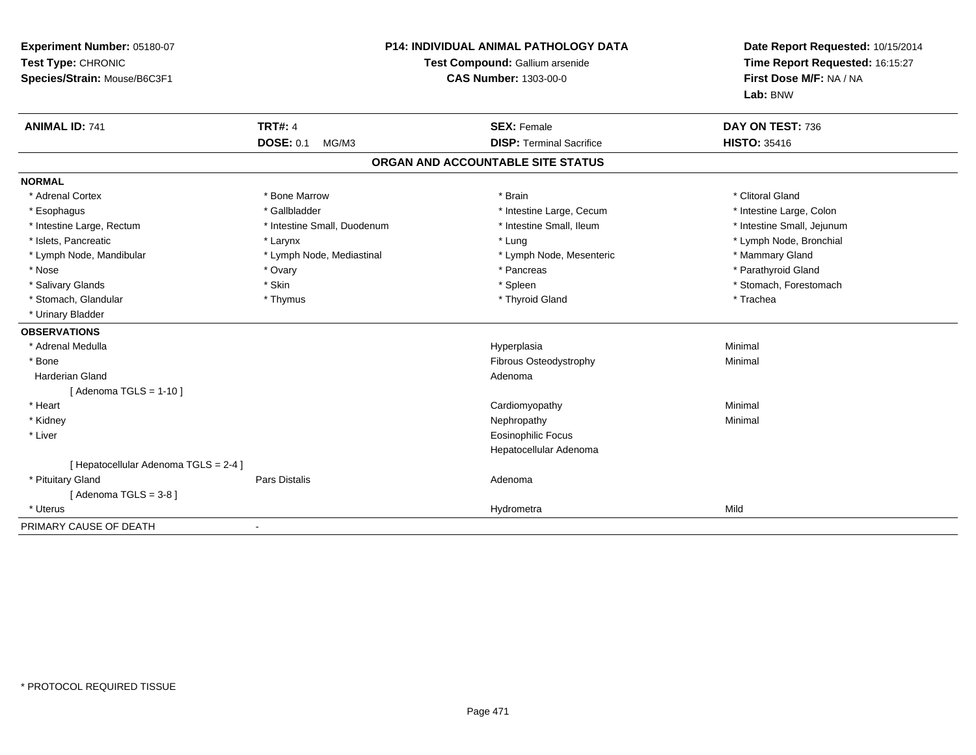| Experiment Number: 05180-07<br>Test Type: CHRONIC<br>Species/Strain: Mouse/B6C3F1 | <b>P14: INDIVIDUAL ANIMAL PATHOLOGY DATA</b><br>Test Compound: Gallium arsenide<br><b>CAS Number: 1303-00-0</b> |                                   | Date Report Requested: 10/15/2014<br>Time Report Requested: 16:15:27<br>First Dose M/F: NA / NA<br>Lab: BNW |  |
|-----------------------------------------------------------------------------------|-----------------------------------------------------------------------------------------------------------------|-----------------------------------|-------------------------------------------------------------------------------------------------------------|--|
| <b>ANIMAL ID: 741</b>                                                             | <b>TRT#: 4</b>                                                                                                  | <b>SEX: Female</b>                | DAY ON TEST: 736                                                                                            |  |
|                                                                                   | <b>DOSE: 0.1</b><br>MG/M3                                                                                       | <b>DISP: Terminal Sacrifice</b>   | <b>HISTO: 35416</b>                                                                                         |  |
|                                                                                   |                                                                                                                 | ORGAN AND ACCOUNTABLE SITE STATUS |                                                                                                             |  |
| <b>NORMAL</b>                                                                     |                                                                                                                 |                                   |                                                                                                             |  |
| * Adrenal Cortex                                                                  | * Bone Marrow                                                                                                   | * Brain                           | * Clitoral Gland                                                                                            |  |
| * Esophagus                                                                       | * Gallbladder                                                                                                   | * Intestine Large, Cecum          | * Intestine Large, Colon                                                                                    |  |
| * Intestine Large, Rectum                                                         | * Intestine Small, Duodenum                                                                                     | * Intestine Small, Ileum          | * Intestine Small, Jejunum                                                                                  |  |
| * Islets, Pancreatic                                                              | * Larynx                                                                                                        | * Lung                            | * Lymph Node, Bronchial                                                                                     |  |
| * Lymph Node, Mandibular                                                          | * Lymph Node, Mediastinal                                                                                       | * Lymph Node, Mesenteric          | * Mammary Gland                                                                                             |  |
| * Nose                                                                            | * Ovary                                                                                                         | * Pancreas                        | * Parathyroid Gland                                                                                         |  |
| * Salivary Glands                                                                 | * Skin                                                                                                          | * Spleen                          | * Stomach, Forestomach                                                                                      |  |
| * Stomach, Glandular                                                              | * Thymus                                                                                                        | * Thyroid Gland                   | * Trachea                                                                                                   |  |
| * Urinary Bladder                                                                 |                                                                                                                 |                                   |                                                                                                             |  |
| <b>OBSERVATIONS</b>                                                               |                                                                                                                 |                                   |                                                                                                             |  |
| * Adrenal Medulla                                                                 |                                                                                                                 | Hyperplasia                       | Minimal                                                                                                     |  |
| * Bone                                                                            |                                                                                                                 | Fibrous Osteodystrophy            | Minimal                                                                                                     |  |
| Harderian Gland                                                                   |                                                                                                                 | Adenoma                           |                                                                                                             |  |
| [Adenoma TGLS = $1-10$ ]                                                          |                                                                                                                 |                                   |                                                                                                             |  |
| * Heart                                                                           |                                                                                                                 | Cardiomyopathy                    | Minimal                                                                                                     |  |
| * Kidney                                                                          |                                                                                                                 | Nephropathy                       | Minimal                                                                                                     |  |
| * Liver                                                                           |                                                                                                                 | <b>Eosinophilic Focus</b>         |                                                                                                             |  |
|                                                                                   |                                                                                                                 | Hepatocellular Adenoma            |                                                                                                             |  |
| [ Hepatocellular Adenoma TGLS = 2-4 ]                                             |                                                                                                                 |                                   |                                                                                                             |  |
| * Pituitary Gland                                                                 | Pars Distalis                                                                                                   | Adenoma                           |                                                                                                             |  |
| [Adenoma TGLS = $3-8$ ]                                                           |                                                                                                                 |                                   |                                                                                                             |  |
| * Uterus                                                                          |                                                                                                                 | Hydrometra                        | Mild                                                                                                        |  |
| PRIMARY CAUSE OF DEATH                                                            |                                                                                                                 |                                   |                                                                                                             |  |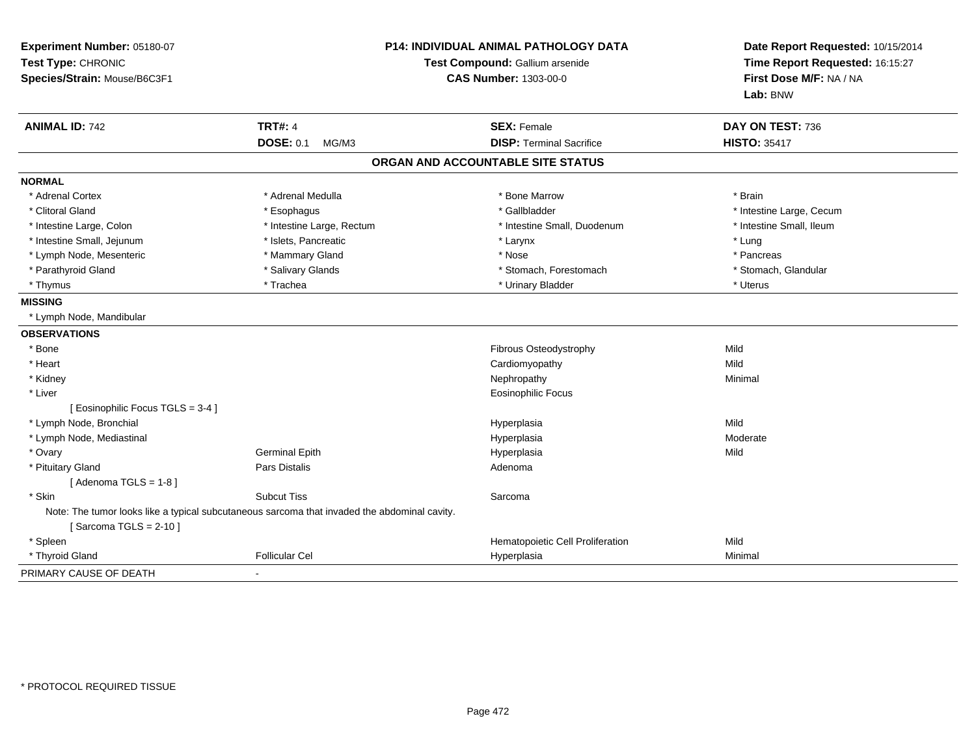| Experiment Number: 05180-07<br>Test Type: CHRONIC<br>Species/Strain: Mouse/B6C3F1                                        | <b>P14: INDIVIDUAL ANIMAL PATHOLOGY DATA</b><br>Test Compound: Gallium arsenide<br><b>CAS Number: 1303-00-0</b> |                                   | Date Report Requested: 10/15/2014<br>Time Report Requested: 16:15:27<br>First Dose M/F: NA / NA<br>Lab: BNW |  |
|--------------------------------------------------------------------------------------------------------------------------|-----------------------------------------------------------------------------------------------------------------|-----------------------------------|-------------------------------------------------------------------------------------------------------------|--|
| <b>ANIMAL ID: 742</b>                                                                                                    | <b>TRT#: 4</b>                                                                                                  | <b>SEX: Female</b>                | DAY ON TEST: 736                                                                                            |  |
|                                                                                                                          | <b>DOSE: 0.1</b><br>MG/M3                                                                                       | <b>DISP: Terminal Sacrifice</b>   | <b>HISTO: 35417</b>                                                                                         |  |
|                                                                                                                          |                                                                                                                 | ORGAN AND ACCOUNTABLE SITE STATUS |                                                                                                             |  |
| <b>NORMAL</b>                                                                                                            |                                                                                                                 |                                   |                                                                                                             |  |
| * Adrenal Cortex                                                                                                         | * Adrenal Medulla                                                                                               | * Bone Marrow                     | * Brain                                                                                                     |  |
| * Clitoral Gland                                                                                                         | * Esophagus                                                                                                     | * Gallbladder                     | * Intestine Large, Cecum                                                                                    |  |
| * Intestine Large, Colon                                                                                                 | * Intestine Large, Rectum                                                                                       | * Intestine Small, Duodenum       | * Intestine Small, Ileum                                                                                    |  |
| * Intestine Small, Jejunum                                                                                               | * Islets, Pancreatic                                                                                            | * Larynx                          | * Lung                                                                                                      |  |
| * Lymph Node, Mesenteric                                                                                                 | * Mammary Gland                                                                                                 | * Nose                            | * Pancreas                                                                                                  |  |
| * Parathyroid Gland                                                                                                      | * Salivary Glands                                                                                               | * Stomach, Forestomach            | * Stomach, Glandular                                                                                        |  |
| * Thymus                                                                                                                 | * Trachea                                                                                                       | * Urinary Bladder                 | * Uterus                                                                                                    |  |
| <b>MISSING</b>                                                                                                           |                                                                                                                 |                                   |                                                                                                             |  |
| * Lymph Node, Mandibular                                                                                                 |                                                                                                                 |                                   |                                                                                                             |  |
| <b>OBSERVATIONS</b>                                                                                                      |                                                                                                                 |                                   |                                                                                                             |  |
| * Bone                                                                                                                   |                                                                                                                 | Fibrous Osteodystrophy            | Mild                                                                                                        |  |
| * Heart                                                                                                                  |                                                                                                                 | Cardiomyopathy                    | Mild                                                                                                        |  |
| * Kidney                                                                                                                 |                                                                                                                 | Nephropathy                       | Minimal                                                                                                     |  |
| * Liver                                                                                                                  |                                                                                                                 | <b>Eosinophilic Focus</b>         |                                                                                                             |  |
| [ Eosinophilic Focus TGLS = 3-4 ]                                                                                        |                                                                                                                 |                                   |                                                                                                             |  |
| * Lymph Node, Bronchial                                                                                                  |                                                                                                                 | Hyperplasia                       | Mild                                                                                                        |  |
| * Lymph Node, Mediastinal                                                                                                |                                                                                                                 | Hyperplasia                       | Moderate                                                                                                    |  |
| * Ovary                                                                                                                  | <b>Germinal Epith</b>                                                                                           | Hyperplasia                       | Mild                                                                                                        |  |
| * Pituitary Gland                                                                                                        | <b>Pars Distalis</b>                                                                                            | Adenoma                           |                                                                                                             |  |
| [Adenoma TGLS = $1-8$ ]                                                                                                  |                                                                                                                 |                                   |                                                                                                             |  |
| * Skin                                                                                                                   | <b>Subcut Tiss</b>                                                                                              | Sarcoma                           |                                                                                                             |  |
| Note: The tumor looks like a typical subcutaneous sarcoma that invaded the abdominal cavity.<br>[Sarcoma TGLS = $2-10$ ] |                                                                                                                 |                                   |                                                                                                             |  |
| * Spleen                                                                                                                 |                                                                                                                 | Hematopoietic Cell Proliferation  | Mild                                                                                                        |  |
| * Thyroid Gland                                                                                                          | <b>Follicular Cel</b>                                                                                           | Hyperplasia                       | Minimal                                                                                                     |  |
| PRIMARY CAUSE OF DEATH                                                                                                   |                                                                                                                 |                                   |                                                                                                             |  |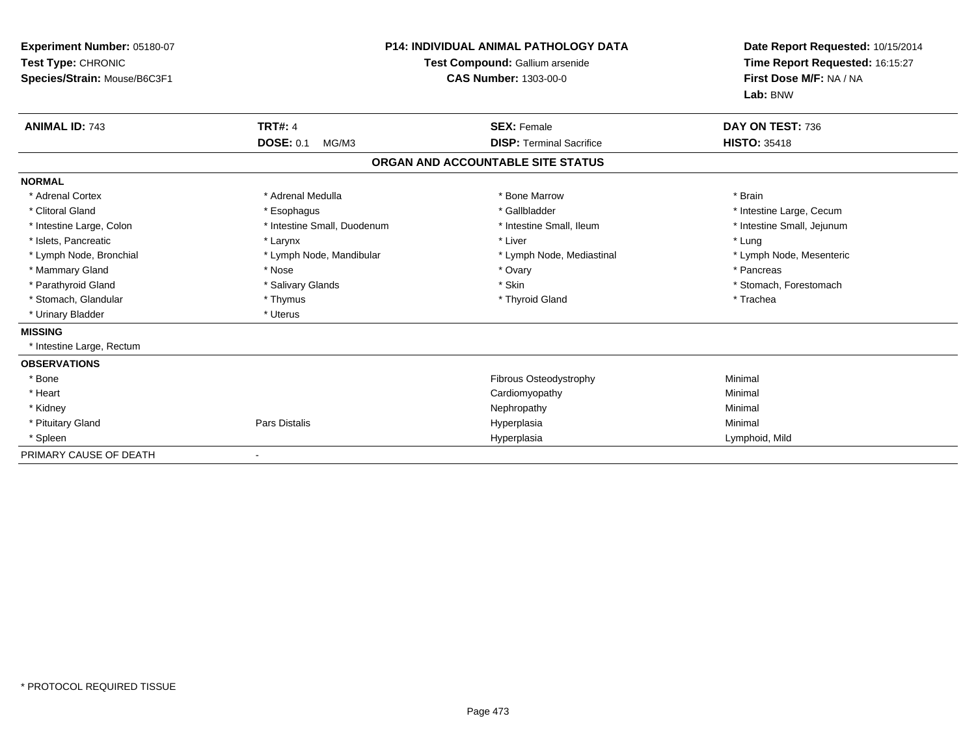| Experiment Number: 05180-07<br>Test Type: CHRONIC<br>Species/Strain: Mouse/B6C3F1 | <b>P14: INDIVIDUAL ANIMAL PATHOLOGY DATA</b><br>Test Compound: Gallium arsenide<br><b>CAS Number: 1303-00-0</b> |                                   | Date Report Requested: 10/15/2014<br>Time Report Requested: 16:15:27<br>First Dose M/F: NA / NA<br>Lab: BNW |
|-----------------------------------------------------------------------------------|-----------------------------------------------------------------------------------------------------------------|-----------------------------------|-------------------------------------------------------------------------------------------------------------|
| <b>ANIMAL ID: 743</b>                                                             | <b>TRT#: 4</b>                                                                                                  | <b>SEX: Female</b>                | DAY ON TEST: 736                                                                                            |
|                                                                                   | <b>DOSE: 0.1</b><br>MG/M3                                                                                       | <b>DISP: Terminal Sacrifice</b>   | <b>HISTO: 35418</b>                                                                                         |
|                                                                                   |                                                                                                                 | ORGAN AND ACCOUNTABLE SITE STATUS |                                                                                                             |
| <b>NORMAL</b>                                                                     |                                                                                                                 |                                   |                                                                                                             |
| * Adrenal Cortex                                                                  | * Adrenal Medulla                                                                                               | * Bone Marrow                     | * Brain                                                                                                     |
| * Clitoral Gland                                                                  | * Esophagus                                                                                                     | * Gallbladder                     | * Intestine Large, Cecum                                                                                    |
| * Intestine Large, Colon                                                          | * Intestine Small, Duodenum                                                                                     | * Intestine Small, Ileum          | * Intestine Small, Jejunum                                                                                  |
| * Islets, Pancreatic                                                              | * Larynx                                                                                                        | * Liver                           | * Lung                                                                                                      |
| * Lymph Node, Bronchial                                                           | * Lymph Node, Mandibular                                                                                        | * Lymph Node, Mediastinal         | * Lymph Node, Mesenteric                                                                                    |
| * Mammary Gland                                                                   | * Nose                                                                                                          | * Ovary                           | * Pancreas                                                                                                  |
| * Parathyroid Gland                                                               | * Salivary Glands                                                                                               | * Skin                            | * Stomach, Forestomach                                                                                      |
| * Stomach, Glandular                                                              | * Thymus                                                                                                        | * Thyroid Gland                   | * Trachea                                                                                                   |
| * Urinary Bladder                                                                 | * Uterus                                                                                                        |                                   |                                                                                                             |
| <b>MISSING</b>                                                                    |                                                                                                                 |                                   |                                                                                                             |
| * Intestine Large, Rectum                                                         |                                                                                                                 |                                   |                                                                                                             |
| <b>OBSERVATIONS</b>                                                               |                                                                                                                 |                                   |                                                                                                             |
| * Bone                                                                            |                                                                                                                 | <b>Fibrous Osteodystrophy</b>     | Minimal                                                                                                     |
| * Heart                                                                           |                                                                                                                 | Cardiomyopathy                    | Minimal                                                                                                     |
| * Kidney                                                                          |                                                                                                                 | Nephropathy                       | Minimal                                                                                                     |
| * Pituitary Gland                                                                 | Pars Distalis                                                                                                   | Hyperplasia                       | Minimal                                                                                                     |
| * Spleen                                                                          |                                                                                                                 | Hyperplasia                       | Lymphoid, Mild                                                                                              |
| PRIMARY CAUSE OF DEATH                                                            |                                                                                                                 |                                   |                                                                                                             |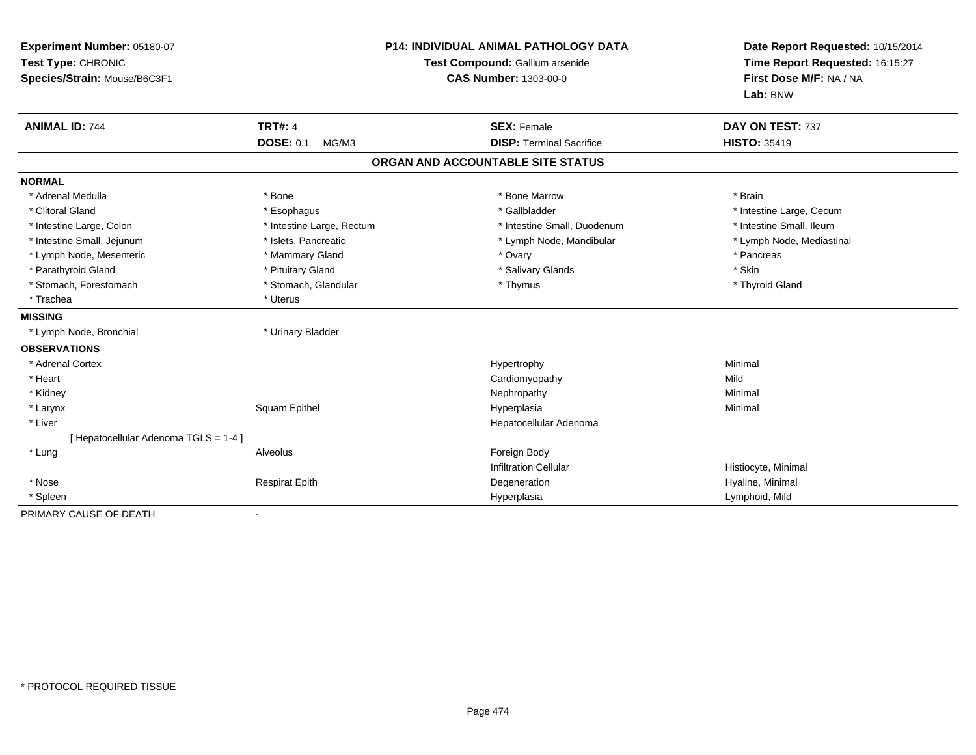| Experiment Number: 05180-07<br>Test Type: CHRONIC<br>Species/Strain: Mouse/B6C3F1 |                           | P14: INDIVIDUAL ANIMAL PATHOLOGY DATA<br>Test Compound: Gallium arsenide<br><b>CAS Number: 1303-00-0</b> | Date Report Requested: 10/15/2014<br>Time Report Requested: 16:15:27<br>First Dose M/F: NA / NA<br>Lab: BNW |
|-----------------------------------------------------------------------------------|---------------------------|----------------------------------------------------------------------------------------------------------|-------------------------------------------------------------------------------------------------------------|
| <b>ANIMAL ID: 744</b>                                                             | <b>TRT#: 4</b>            | <b>SEX: Female</b>                                                                                       | DAY ON TEST: 737                                                                                            |
|                                                                                   | <b>DOSE: 0.1</b><br>MG/M3 | <b>DISP: Terminal Sacrifice</b>                                                                          | <b>HISTO: 35419</b>                                                                                         |
|                                                                                   |                           | ORGAN AND ACCOUNTABLE SITE STATUS                                                                        |                                                                                                             |
| <b>NORMAL</b>                                                                     |                           |                                                                                                          |                                                                                                             |
| * Adrenal Medulla                                                                 | * Bone                    | * Bone Marrow                                                                                            | * Brain                                                                                                     |
| * Clitoral Gland                                                                  | * Esophagus               | * Gallbladder                                                                                            | * Intestine Large, Cecum                                                                                    |
| * Intestine Large, Colon                                                          | * Intestine Large, Rectum | * Intestine Small, Duodenum                                                                              | * Intestine Small, Ileum                                                                                    |
| * Intestine Small, Jejunum                                                        | * Islets, Pancreatic      | * Lymph Node, Mandibular                                                                                 | * Lymph Node, Mediastinal                                                                                   |
| * Lymph Node, Mesenteric                                                          | * Mammary Gland           | * Ovary                                                                                                  | * Pancreas                                                                                                  |
| * Parathyroid Gland                                                               | * Pituitary Gland         | * Salivary Glands                                                                                        | * Skin                                                                                                      |
| * Stomach, Forestomach                                                            | * Stomach, Glandular      | * Thymus                                                                                                 | * Thyroid Gland                                                                                             |
| * Trachea                                                                         | * Uterus                  |                                                                                                          |                                                                                                             |
| <b>MISSING</b>                                                                    |                           |                                                                                                          |                                                                                                             |
| * Lymph Node, Bronchial                                                           | * Urinary Bladder         |                                                                                                          |                                                                                                             |
| <b>OBSERVATIONS</b>                                                               |                           |                                                                                                          |                                                                                                             |
| * Adrenal Cortex                                                                  |                           | Hypertrophy                                                                                              | Minimal                                                                                                     |
| * Heart                                                                           |                           | Cardiomyopathy                                                                                           | Mild                                                                                                        |
| * Kidney                                                                          |                           | Nephropathy                                                                                              | Minimal                                                                                                     |
| * Larynx                                                                          | Squam Epithel             | Hyperplasia                                                                                              | Minimal                                                                                                     |
| * Liver                                                                           |                           | Hepatocellular Adenoma                                                                                   |                                                                                                             |
| [ Hepatocellular Adenoma TGLS = 1-4 ]                                             |                           |                                                                                                          |                                                                                                             |
| * Lung                                                                            | Alveolus                  | Foreign Body                                                                                             |                                                                                                             |
|                                                                                   |                           | <b>Infiltration Cellular</b>                                                                             | Histiocyte, Minimal                                                                                         |
| * Nose                                                                            | <b>Respirat Epith</b>     | Degeneration                                                                                             | Hyaline, Minimal                                                                                            |
| * Spleen                                                                          |                           | Hyperplasia                                                                                              | Lymphoid, Mild                                                                                              |
| PRIMARY CAUSE OF DEATH                                                            |                           |                                                                                                          |                                                                                                             |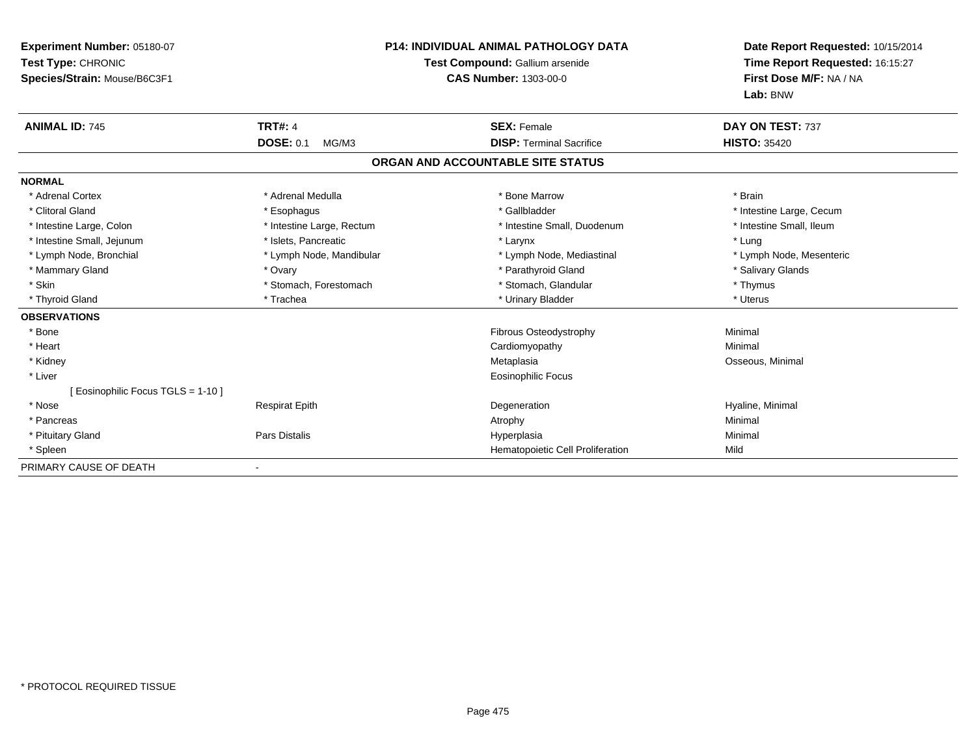| <b>Experiment Number: 05180-07</b><br>Test Type: CHRONIC<br>Species/Strain: Mouse/B6C3F1 | <b>P14: INDIVIDUAL ANIMAL PATHOLOGY DATA</b><br>Test Compound: Gallium arsenide<br><b>CAS Number: 1303-00-0</b> |                                   | Date Report Requested: 10/15/2014<br>Time Report Requested: 16:15:27<br>First Dose M/F: NA / NA<br>Lab: BNW |  |
|------------------------------------------------------------------------------------------|-----------------------------------------------------------------------------------------------------------------|-----------------------------------|-------------------------------------------------------------------------------------------------------------|--|
| <b>ANIMAL ID: 745</b>                                                                    | <b>TRT#: 4</b>                                                                                                  | <b>SEX: Female</b>                | DAY ON TEST: 737                                                                                            |  |
|                                                                                          | <b>DOSE: 0.1</b><br>MG/M3                                                                                       | <b>DISP: Terminal Sacrifice</b>   | <b>HISTO: 35420</b>                                                                                         |  |
|                                                                                          |                                                                                                                 | ORGAN AND ACCOUNTABLE SITE STATUS |                                                                                                             |  |
| <b>NORMAL</b>                                                                            |                                                                                                                 |                                   |                                                                                                             |  |
| * Adrenal Cortex                                                                         | * Adrenal Medulla                                                                                               | * Bone Marrow                     | * Brain                                                                                                     |  |
| * Clitoral Gland                                                                         | * Esophagus                                                                                                     | * Gallbladder                     | * Intestine Large, Cecum                                                                                    |  |
| * Intestine Large, Colon                                                                 | * Intestine Large, Rectum                                                                                       | * Intestine Small, Duodenum       | * Intestine Small, Ileum                                                                                    |  |
| * Intestine Small, Jejunum                                                               | * Islets, Pancreatic                                                                                            | * Larynx                          | * Lung                                                                                                      |  |
| * Lymph Node, Bronchial                                                                  | * Lymph Node, Mandibular                                                                                        | * Lymph Node, Mediastinal         | * Lymph Node, Mesenteric                                                                                    |  |
| * Mammary Gland                                                                          | * Ovary                                                                                                         | * Parathyroid Gland               | * Salivary Glands                                                                                           |  |
| * Skin                                                                                   | * Stomach, Forestomach                                                                                          | * Stomach, Glandular              | * Thymus                                                                                                    |  |
| * Thyroid Gland                                                                          | * Trachea                                                                                                       | * Urinary Bladder                 | * Uterus                                                                                                    |  |
| <b>OBSERVATIONS</b>                                                                      |                                                                                                                 |                                   |                                                                                                             |  |
| * Bone                                                                                   |                                                                                                                 | Fibrous Osteodystrophy            | Minimal                                                                                                     |  |
| * Heart                                                                                  |                                                                                                                 | Cardiomyopathy                    | Minimal                                                                                                     |  |
| * Kidney                                                                                 |                                                                                                                 | Metaplasia                        | Osseous, Minimal                                                                                            |  |
| * Liver                                                                                  |                                                                                                                 | <b>Eosinophilic Focus</b>         |                                                                                                             |  |
| [ Eosinophilic Focus TGLS = 1-10 ]                                                       |                                                                                                                 |                                   |                                                                                                             |  |
| * Nose                                                                                   | <b>Respirat Epith</b>                                                                                           | Degeneration                      | Hyaline, Minimal                                                                                            |  |
| * Pancreas                                                                               |                                                                                                                 | Atrophy                           | Minimal                                                                                                     |  |
| * Pituitary Gland                                                                        | <b>Pars Distalis</b>                                                                                            | Hyperplasia                       | Minimal                                                                                                     |  |
| * Spleen                                                                                 |                                                                                                                 | Hematopoietic Cell Proliferation  | Mild                                                                                                        |  |
| PRIMARY CAUSE OF DEATH                                                                   |                                                                                                                 |                                   |                                                                                                             |  |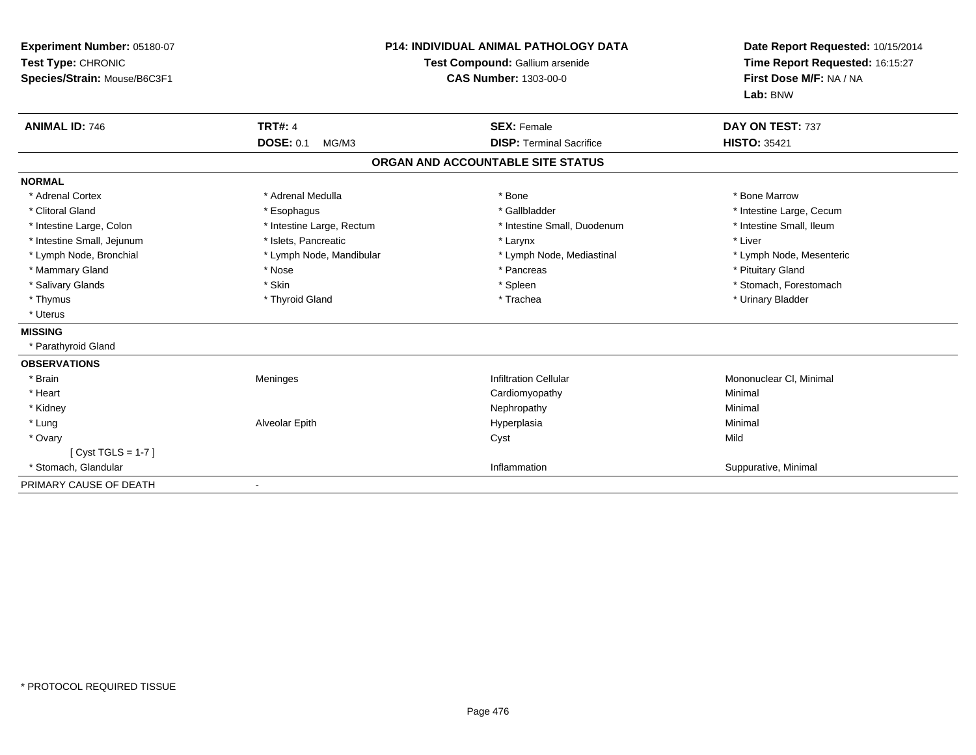| <b>Experiment Number: 05180-07</b><br>Test Type: CHRONIC<br>Species/Strain: Mouse/B6C3F1 |                           | <b>P14: INDIVIDUAL ANIMAL PATHOLOGY DATA</b><br>Test Compound: Gallium arsenide<br><b>CAS Number: 1303-00-0</b> | Date Report Requested: 10/15/2014<br>Time Report Requested: 16:15:27<br>First Dose M/F: NA / NA<br>Lab: BNW |  |
|------------------------------------------------------------------------------------------|---------------------------|-----------------------------------------------------------------------------------------------------------------|-------------------------------------------------------------------------------------------------------------|--|
| <b>ANIMAL ID: 746</b>                                                                    | <b>TRT#: 4</b>            | <b>SEX: Female</b>                                                                                              | DAY ON TEST: 737                                                                                            |  |
|                                                                                          | <b>DOSE: 0.1</b><br>MG/M3 | <b>DISP: Terminal Sacrifice</b>                                                                                 | <b>HISTO: 35421</b>                                                                                         |  |
|                                                                                          |                           | ORGAN AND ACCOUNTABLE SITE STATUS                                                                               |                                                                                                             |  |
| <b>NORMAL</b>                                                                            |                           |                                                                                                                 |                                                                                                             |  |
| * Adrenal Cortex                                                                         | * Adrenal Medulla         | * Bone                                                                                                          | * Bone Marrow                                                                                               |  |
| * Clitoral Gland                                                                         | * Esophagus               | * Gallbladder                                                                                                   | * Intestine Large, Cecum                                                                                    |  |
| * Intestine Large, Colon                                                                 | * Intestine Large, Rectum | * Intestine Small, Duodenum                                                                                     | * Intestine Small, Ileum                                                                                    |  |
| * Intestine Small, Jejunum                                                               | * Islets. Pancreatic      | * Larynx                                                                                                        | * Liver                                                                                                     |  |
| * Lymph Node, Bronchial                                                                  | * Lymph Node, Mandibular  | * Lymph Node, Mediastinal                                                                                       | * Lymph Node, Mesenteric                                                                                    |  |
| * Mammary Gland                                                                          | * Nose                    | * Pancreas                                                                                                      | * Pituitary Gland                                                                                           |  |
| * Salivary Glands                                                                        | * Skin                    | * Spleen                                                                                                        | * Stomach, Forestomach                                                                                      |  |
| * Thymus                                                                                 | * Thyroid Gland           | * Trachea                                                                                                       | * Urinary Bladder                                                                                           |  |
| * Uterus                                                                                 |                           |                                                                                                                 |                                                                                                             |  |
| <b>MISSING</b>                                                                           |                           |                                                                                                                 |                                                                                                             |  |
| * Parathyroid Gland                                                                      |                           |                                                                                                                 |                                                                                                             |  |
| <b>OBSERVATIONS</b>                                                                      |                           |                                                                                                                 |                                                                                                             |  |
| * Brain                                                                                  | Meninges                  | <b>Infiltration Cellular</b>                                                                                    | Mononuclear CI, Minimal                                                                                     |  |
| * Heart                                                                                  |                           | Cardiomyopathy                                                                                                  | Minimal                                                                                                     |  |
| * Kidney                                                                                 |                           | Nephropathy                                                                                                     | Minimal                                                                                                     |  |
| * Lung                                                                                   | Alveolar Epith            | Hyperplasia                                                                                                     | Minimal                                                                                                     |  |
| * Ovary                                                                                  |                           | Cyst                                                                                                            | Mild                                                                                                        |  |
| [Cyst TGLS = $1-7$ ]                                                                     |                           |                                                                                                                 |                                                                                                             |  |
| * Stomach, Glandular                                                                     |                           | Inflammation                                                                                                    | Suppurative, Minimal                                                                                        |  |
| PRIMARY CAUSE OF DEATH                                                                   |                           |                                                                                                                 |                                                                                                             |  |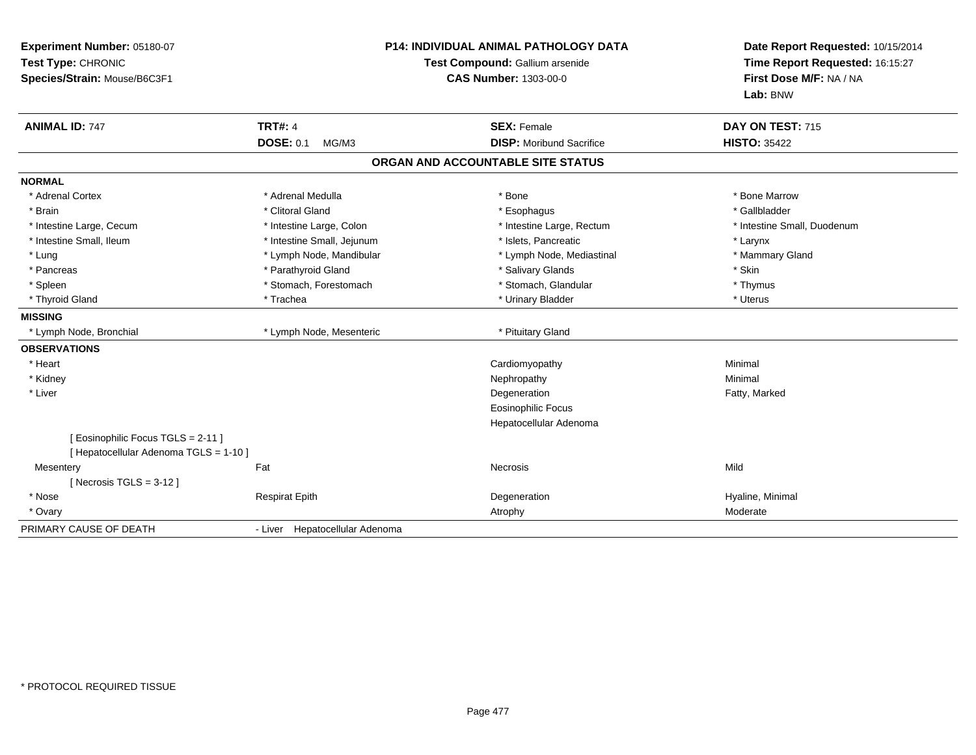| Experiment Number: 05180-07<br>Test Type: CHRONIC<br>Species/Strain: Mouse/B6C3F1 | <b>P14: INDIVIDUAL ANIMAL PATHOLOGY DATA</b><br>Test Compound: Gallium arsenide<br><b>CAS Number: 1303-00-0</b> |                                   | Date Report Requested: 10/15/2014<br>Time Report Requested: 16:15:27<br>First Dose M/F: NA / NA<br>Lab: BNW |  |
|-----------------------------------------------------------------------------------|-----------------------------------------------------------------------------------------------------------------|-----------------------------------|-------------------------------------------------------------------------------------------------------------|--|
| <b>ANIMAL ID: 747</b>                                                             | <b>TRT#: 4</b>                                                                                                  | <b>SEX: Female</b>                | DAY ON TEST: 715                                                                                            |  |
|                                                                                   | <b>DOSE: 0.1</b><br>MG/M3                                                                                       | <b>DISP:</b> Moribund Sacrifice   | <b>HISTO: 35422</b>                                                                                         |  |
|                                                                                   |                                                                                                                 | ORGAN AND ACCOUNTABLE SITE STATUS |                                                                                                             |  |
| <b>NORMAL</b>                                                                     |                                                                                                                 |                                   |                                                                                                             |  |
| * Adrenal Cortex                                                                  | * Adrenal Medulla                                                                                               | * Bone                            | * Bone Marrow                                                                                               |  |
| * Brain                                                                           | * Clitoral Gland                                                                                                | * Esophagus                       | * Gallbladder                                                                                               |  |
| * Intestine Large, Cecum                                                          | * Intestine Large, Colon                                                                                        | * Intestine Large, Rectum         | * Intestine Small, Duodenum                                                                                 |  |
| * Intestine Small, Ileum                                                          | * Intestine Small, Jejunum                                                                                      | * Islets. Pancreatic              | * Larynx                                                                                                    |  |
| * Lung                                                                            | * Lymph Node, Mandibular                                                                                        | * Lymph Node, Mediastinal         | * Mammary Gland                                                                                             |  |
| * Pancreas                                                                        | * Parathyroid Gland                                                                                             | * Salivary Glands                 | * Skin                                                                                                      |  |
| * Spleen                                                                          | * Stomach, Forestomach                                                                                          | * Stomach, Glandular              | * Thymus                                                                                                    |  |
| * Thyroid Gland                                                                   | * Trachea                                                                                                       | * Urinary Bladder                 | * Uterus                                                                                                    |  |
| <b>MISSING</b>                                                                    |                                                                                                                 |                                   |                                                                                                             |  |
| * Lymph Node, Bronchial                                                           | * Lymph Node, Mesenteric                                                                                        | * Pituitary Gland                 |                                                                                                             |  |
| <b>OBSERVATIONS</b>                                                               |                                                                                                                 |                                   |                                                                                                             |  |
| * Heart                                                                           |                                                                                                                 | Cardiomyopathy                    | Minimal                                                                                                     |  |
| * Kidney                                                                          |                                                                                                                 | Nephropathy                       | Minimal                                                                                                     |  |
| * Liver                                                                           |                                                                                                                 | Degeneration                      | Fatty, Marked                                                                                               |  |
|                                                                                   |                                                                                                                 | <b>Eosinophilic Focus</b>         |                                                                                                             |  |
|                                                                                   |                                                                                                                 | Hepatocellular Adenoma            |                                                                                                             |  |
| [Eosinophilic Focus TGLS = 2-11]<br>[ Hepatocellular Adenoma TGLS = 1-10 ]        |                                                                                                                 |                                   |                                                                                                             |  |
| Mesentery                                                                         | Fat                                                                                                             | <b>Necrosis</b>                   | Mild                                                                                                        |  |
| [Necrosis TGLS = $3-12$ ]                                                         |                                                                                                                 |                                   |                                                                                                             |  |
| * Nose                                                                            | <b>Respirat Epith</b>                                                                                           | Degeneration                      | Hyaline, Minimal                                                                                            |  |
| * Ovary                                                                           |                                                                                                                 | Atrophy                           | Moderate                                                                                                    |  |
|                                                                                   |                                                                                                                 |                                   |                                                                                                             |  |
| PRIMARY CAUSE OF DEATH                                                            | - Liver Hepatocellular Adenoma                                                                                  |                                   |                                                                                                             |  |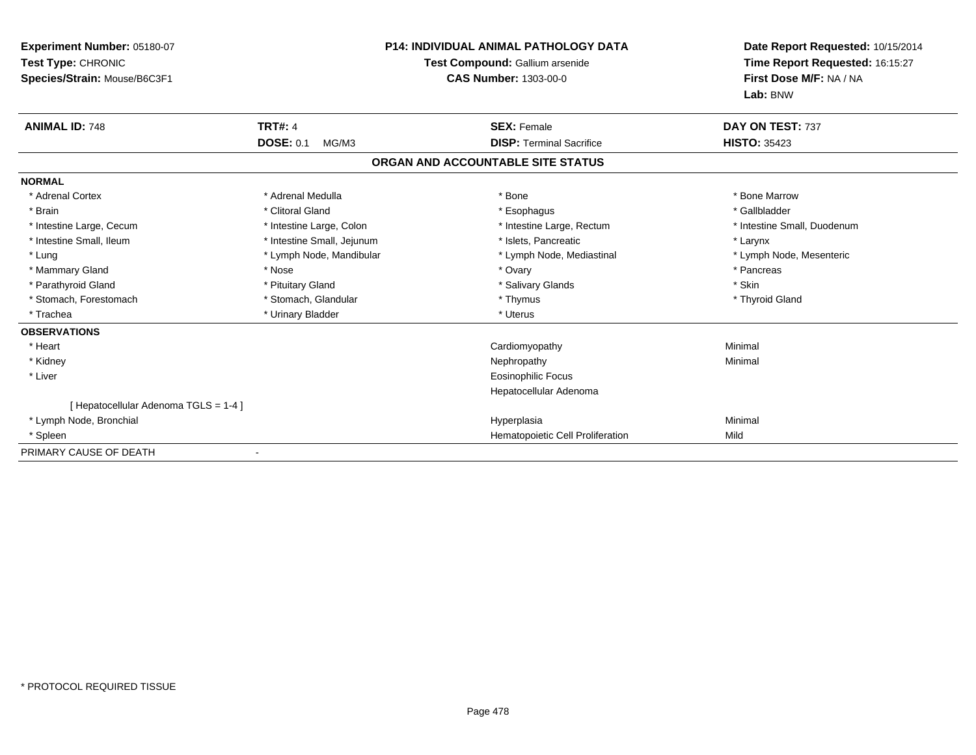| Experiment Number: 05180-07<br>Test Type: CHRONIC<br>Species/Strain: Mouse/B6C3F1 |                            | <b>P14: INDIVIDUAL ANIMAL PATHOLOGY DATA</b><br>Test Compound: Gallium arsenide<br><b>CAS Number: 1303-00-0</b> | Date Report Requested: 10/15/2014<br>Time Report Requested: 16:15:27<br>First Dose M/F: NA / NA<br>Lab: BNW |
|-----------------------------------------------------------------------------------|----------------------------|-----------------------------------------------------------------------------------------------------------------|-------------------------------------------------------------------------------------------------------------|
| <b>ANIMAL ID: 748</b>                                                             | <b>TRT#: 4</b>             | <b>SEX: Female</b>                                                                                              | DAY ON TEST: 737                                                                                            |
|                                                                                   | <b>DOSE: 0.1</b><br>MG/M3  | <b>DISP: Terminal Sacrifice</b>                                                                                 | <b>HISTO: 35423</b>                                                                                         |
|                                                                                   |                            | ORGAN AND ACCOUNTABLE SITE STATUS                                                                               |                                                                                                             |
| <b>NORMAL</b>                                                                     |                            |                                                                                                                 |                                                                                                             |
| * Adrenal Cortex                                                                  | * Adrenal Medulla          | * Bone                                                                                                          | * Bone Marrow                                                                                               |
| * Brain                                                                           | * Clitoral Gland           | * Esophagus                                                                                                     | * Gallbladder                                                                                               |
| * Intestine Large, Cecum                                                          | * Intestine Large, Colon   | * Intestine Large, Rectum                                                                                       | * Intestine Small, Duodenum                                                                                 |
| * Intestine Small, Ileum                                                          | * Intestine Small, Jejunum | * Islets. Pancreatic                                                                                            | * Larynx                                                                                                    |
| * Lung                                                                            | * Lymph Node, Mandibular   | * Lymph Node, Mediastinal                                                                                       | * Lymph Node, Mesenteric                                                                                    |
| * Mammary Gland                                                                   | * Nose                     | * Ovary                                                                                                         | * Pancreas                                                                                                  |
| * Parathyroid Gland                                                               | * Pituitary Gland          | * Salivary Glands                                                                                               | * Skin                                                                                                      |
| * Stomach, Forestomach                                                            | * Stomach, Glandular       | * Thymus                                                                                                        | * Thyroid Gland                                                                                             |
| * Trachea                                                                         | * Urinary Bladder          | * Uterus                                                                                                        |                                                                                                             |
| <b>OBSERVATIONS</b>                                                               |                            |                                                                                                                 |                                                                                                             |
| * Heart                                                                           |                            | Cardiomyopathy                                                                                                  | Minimal                                                                                                     |
| * Kidney                                                                          |                            | Nephropathy                                                                                                     | Minimal                                                                                                     |
| * Liver                                                                           |                            | <b>Eosinophilic Focus</b>                                                                                       |                                                                                                             |
|                                                                                   |                            | Hepatocellular Adenoma                                                                                          |                                                                                                             |
| [Hepatocellular Adenoma TGLS = 1-4]                                               |                            |                                                                                                                 |                                                                                                             |
| * Lymph Node, Bronchial                                                           |                            | Hyperplasia                                                                                                     | Minimal                                                                                                     |
| * Spleen                                                                          |                            | Hematopoietic Cell Proliferation                                                                                | Mild                                                                                                        |
| PRIMARY CAUSE OF DEATH                                                            |                            |                                                                                                                 |                                                                                                             |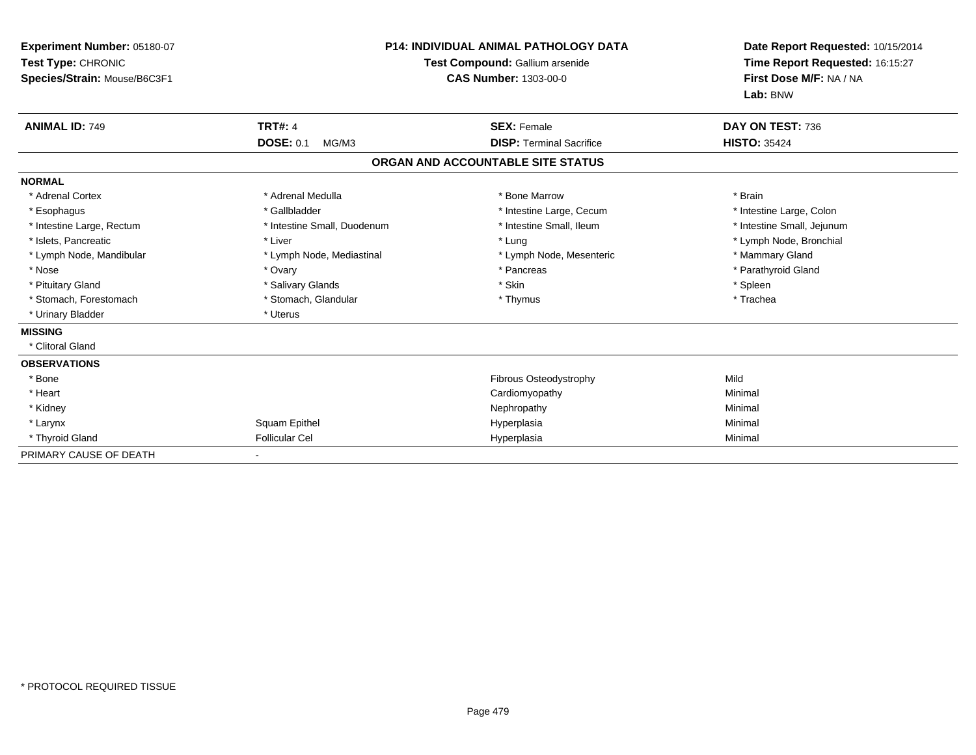| Experiment Number: 05180-07<br>Test Type: CHRONIC<br>Species/Strain: Mouse/B6C3F1 | P14: INDIVIDUAL ANIMAL PATHOLOGY DATA<br>Test Compound: Gallium arsenide<br><b>CAS Number: 1303-00-0</b> |                                   | Date Report Requested: 10/15/2014<br>Time Report Requested: 16:15:27<br>First Dose M/F: NA / NA<br>Lab: BNW |
|-----------------------------------------------------------------------------------|----------------------------------------------------------------------------------------------------------|-----------------------------------|-------------------------------------------------------------------------------------------------------------|
| <b>ANIMAL ID: 749</b>                                                             | <b>TRT#: 4</b>                                                                                           | <b>SEX: Female</b>                | DAY ON TEST: 736                                                                                            |
|                                                                                   | <b>DOSE: 0.1</b><br>MG/M3                                                                                | <b>DISP: Terminal Sacrifice</b>   | <b>HISTO: 35424</b>                                                                                         |
|                                                                                   |                                                                                                          | ORGAN AND ACCOUNTABLE SITE STATUS |                                                                                                             |
| <b>NORMAL</b>                                                                     |                                                                                                          |                                   |                                                                                                             |
| * Adrenal Cortex                                                                  | * Adrenal Medulla                                                                                        | * Bone Marrow                     | * Brain                                                                                                     |
| * Esophagus                                                                       | * Gallbladder                                                                                            | * Intestine Large, Cecum          | * Intestine Large, Colon                                                                                    |
| * Intestine Large, Rectum                                                         | * Intestine Small, Duodenum                                                                              | * Intestine Small, Ileum          | * Intestine Small, Jejunum                                                                                  |
| * Islets, Pancreatic                                                              | * Liver                                                                                                  | * Lung                            | * Lymph Node, Bronchial                                                                                     |
| * Lymph Node, Mandibular                                                          | * Lymph Node, Mediastinal                                                                                | * Lymph Node, Mesenteric          | * Mammary Gland                                                                                             |
| * Nose                                                                            | * Ovary                                                                                                  | * Pancreas                        | * Parathyroid Gland                                                                                         |
| * Pituitary Gland                                                                 | * Salivary Glands                                                                                        | * Skin                            | * Spleen                                                                                                    |
| * Stomach, Forestomach                                                            | * Stomach, Glandular                                                                                     | * Thymus                          | * Trachea                                                                                                   |
| * Urinary Bladder                                                                 | * Uterus                                                                                                 |                                   |                                                                                                             |
| <b>MISSING</b>                                                                    |                                                                                                          |                                   |                                                                                                             |
| * Clitoral Gland                                                                  |                                                                                                          |                                   |                                                                                                             |
| <b>OBSERVATIONS</b>                                                               |                                                                                                          |                                   |                                                                                                             |
| * Bone                                                                            |                                                                                                          | <b>Fibrous Osteodystrophy</b>     | Mild                                                                                                        |
| * Heart                                                                           |                                                                                                          | Cardiomyopathy                    | Minimal                                                                                                     |
| * Kidney                                                                          |                                                                                                          | Nephropathy                       | Minimal                                                                                                     |
| * Larynx                                                                          | Squam Epithel                                                                                            | Hyperplasia                       | Minimal                                                                                                     |
| * Thyroid Gland                                                                   | <b>Follicular Cel</b>                                                                                    | Hyperplasia                       | Minimal                                                                                                     |
| PRIMARY CAUSE OF DEATH                                                            |                                                                                                          |                                   |                                                                                                             |